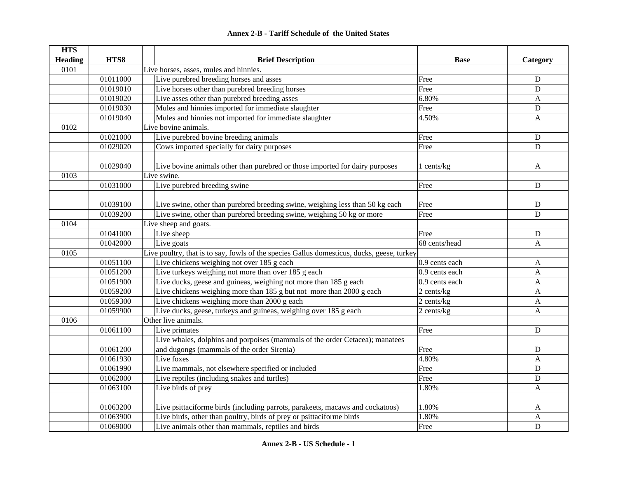| <b>HTS</b>     |                      |                                                                                            |                |              |  |
|----------------|----------------------|--------------------------------------------------------------------------------------------|----------------|--------------|--|
| <b>Heading</b> | HTS8                 | <b>Brief Description</b>                                                                   | <b>Base</b>    | Category     |  |
| 0101           |                      | Live horses, asses, mules and hinnies.                                                     |                |              |  |
|                | 01011000             | Live purebred breeding horses and asses                                                    | Free           | D            |  |
|                | 01019010             | Live horses other than purebred breeding horses                                            | Free           | D            |  |
|                | 01019020             | Live asses other than purebred breeding asses                                              | 6.80%          | $\mathbf{A}$ |  |
|                | 01019030             | Mules and hinnies imported for immediate slaughter                                         | Free           | D            |  |
|                | 01019040             | Mules and hinnies not imported for immediate slaughter                                     | 4.50%          | $\mathbf{A}$ |  |
| 0102           | Live bovine animals. |                                                                                            |                |              |  |
|                | 01021000             | Live purebred bovine breeding animals                                                      | Free           | D            |  |
|                | 01029020             | Cows imported specially for dairy purposes                                                 | Free           | D            |  |
|                | 01029040             | Live bovine animals other than purebred or those imported for dairy purposes               | 1 cents/kg     | A            |  |
| 0103           |                      | Live swine.                                                                                |                | D            |  |
|                | 01031000             | Live purebred breeding swine                                                               | Free           |              |  |
|                | 01039100             | Live swine, other than purebred breeding swine, weighing less than 50 kg each              | Free           | D            |  |
|                | 01039200             | Live swine, other than purebred breeding swine, weighing 50 kg or more                     | Free           | D            |  |
| 0104           |                      | Live sheep and goats.                                                                      |                |              |  |
|                | 01041000             | Live sheep                                                                                 | Free           | D            |  |
|                | 01042000             | Live goats                                                                                 | 68 cents/head  | A            |  |
| 0105           |                      | Live poultry, that is to say, fowls of the species Gallus domesticus, ducks, geese, turkey |                |              |  |
|                | 01051100             | Live chickens weighing not over 185 g each                                                 | 0.9 cents each | A            |  |
|                | 01051200             | Live turkeys weighing not more than over 185 g each                                        | 0.9 cents each | $\mathbf{A}$ |  |
|                | 01051900             | Live ducks, geese and guineas, weighing not more than 185 g each                           | 0.9 cents each | A            |  |
|                | 01059200             | Live chickens weighing more than 185 g but not more than 2000 g each                       | 2 cents/kg     | $\mathbf{A}$ |  |
|                | 01059300             | Live chickens weighing more than 2000 g each                                               | 2 cents/kg     | A            |  |
|                | 01059900             | Live ducks, geese, turkeys and guineas, weighing over 185 g each                           | 2 cents/kg     | $\mathbf{A}$ |  |
| 0106           |                      | Other live animals.                                                                        |                |              |  |
|                | 01061100             | Live primates                                                                              | Free           | D            |  |
|                |                      | Live whales, dolphins and porpoises (mammals of the order Cetacea); manatees               |                |              |  |
|                | 01061200             | and dugongs (mammals of the order Sirenia)                                                 | Free           | D            |  |
|                | 01061930             | Live foxes                                                                                 | 4.80%          | A            |  |
|                | 01061990             | Live mammals, not elsewhere specified or included                                          | Free           | D            |  |
|                | 01062000             | Live reptiles (including snakes and turtles)                                               | Free           | D            |  |
|                | 01063100             | Live birds of prey                                                                         | 1.80%          | A            |  |
|                |                      |                                                                                            |                |              |  |
|                | 01063200             | Live psittaciforme birds (including parrots, parakeets, macaws and cockatoos)              | 1.80%          | A            |  |
|                | 01063900             | Live birds, other than poultry, birds of prey or psittaciforme birds                       | 1.80%          | $\mathbf{A}$ |  |
|                | 01069000             | Live animals other than mammals, reptiles and birds                                        | Free           | D            |  |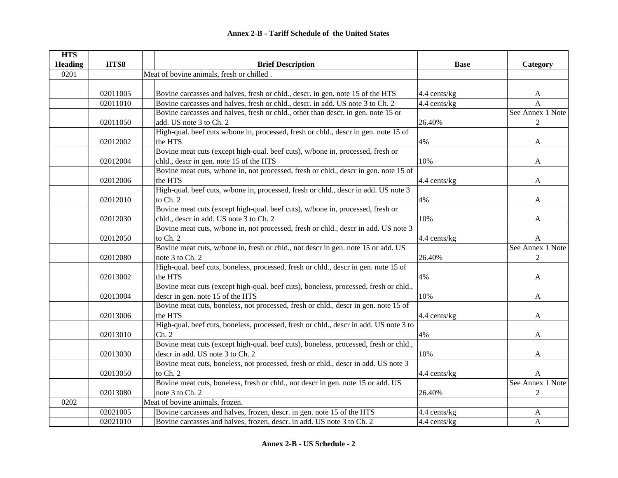| <b>HTS</b>     |          |                                                                                       |              |                  |
|----------------|----------|---------------------------------------------------------------------------------------|--------------|------------------|
| <b>Heading</b> | HTS8     | <b>Brief Description</b>                                                              | <b>Base</b>  | Category         |
| 0201           |          | Meat of bovine animals, fresh or chilled.                                             |              |                  |
|                |          |                                                                                       |              |                  |
|                | 02011005 | Bovine carcasses and halves, fresh or chld., descr. in gen. note 15 of the HTS        | 4.4 cents/kg | A                |
|                | 02011010 | Bovine carcasses and halves, fresh or chld., descr. in add. US note 3 to Ch. 2        | 4.4 cents/kg | $\overline{A}$   |
|                |          | Bovine carcasses and halves, fresh or chld., other than descr. in gen. note 15 or     |              | See Annex 1 Note |
|                | 02011050 | add. US note 3 to Ch. 2                                                               | 26.40%       | $\overline{2}$   |
|                |          | High-qual. beef cuts w/bone in, processed, fresh or chld., descr in gen. note 15 of   |              |                  |
|                | 02012002 | the HTS                                                                               | 4%           | A                |
|                |          | Bovine meat cuts (except high-qual. beef cuts), w/bone in, processed, fresh or        |              |                  |
|                | 02012004 | chld., descr in gen. note 15 of the HTS                                               | 10%          | A                |
|                |          | Bovine meat cuts, w/bone in, not processed, fresh or chld., descr in gen. note 15 of  |              |                  |
|                | 02012006 | the HTS                                                                               | 4.4 cents/kg | A                |
|                |          | High-qual. beef cuts, w/bone in, processed, fresh or chld., descr in add. US note 3   |              |                  |
|                | 02012010 | to Ch. 2                                                                              | 4%           | A                |
|                |          | Bovine meat cuts (except high-qual. beef cuts), w/bone in, processed, fresh or        |              |                  |
|                | 02012030 | chld., descr in add. US note 3 to Ch. 2                                               | 10%          | A                |
|                |          | Bovine meat cuts, w/bone in, not processed, fresh or chld., descr in add. US note 3   |              |                  |
|                | 02012050 | to Ch. 2                                                                              | 4.4 cents/kg | A                |
|                |          | Bovine meat cuts, w/bone in, fresh or chld., not descr in gen. note 15 or add. US     |              | See Annex 1 Note |
|                | 02012080 | note 3 to Ch. 2                                                                       | 26.40%       | $\boldsymbol{2}$ |
|                |          | High-qual. beef cuts, boneless, processed, fresh or chld., descr in gen. note 15 of   |              |                  |
|                | 02013002 | the HTS                                                                               | 4%           | A                |
|                |          | Bovine meat cuts (except high-qual. beef cuts), boneless, processed, fresh or chld.,  |              |                  |
|                | 02013004 | descr in gen. note 15 of the HTS                                                      | 10%          | A                |
|                |          | Bovine meat cuts, boneless, not processed, fresh or chld., descr in gen. note 15 of   |              |                  |
|                | 02013006 | the HTS                                                                               | 4.4 cents/kg | A                |
|                |          | High-qual. beef cuts, boneless, processed, fresh or chld., descr in add. US note 3 to |              |                  |
|                | 02013010 | Ch. 2                                                                                 | 4%           | A                |
|                |          | Bovine meat cuts (except high-qual. beef cuts), boneless, processed, fresh or chld.,  |              |                  |
|                | 02013030 | descr in add. US note 3 to Ch. 2                                                      | 10%          | A                |
|                |          | Bovine meat cuts, boneless, not processed, fresh or chld., descr in add. US note 3    |              |                  |
|                | 02013050 | to Ch. 2                                                                              | 4.4 cents/kg | A                |
|                |          | Bovine meat cuts, boneless, fresh or chld., not descr in gen. note 15 or add. US      |              | See Annex 1 Note |
|                | 02013080 | note 3 to Ch. 2                                                                       | 26.40%       | 2                |
| 0202           |          | Meat of bovine animals, frozen.                                                       |              |                  |
|                | 02021005 | Bovine carcasses and halves, frozen, descr. in gen. note 15 of the HTS                | 4.4 cents/kg | A                |
|                | 02021010 | Bovine carcasses and halves, frozen, descr. in add. US note 3 to Ch. 2                | 4.4 cents/kg | A                |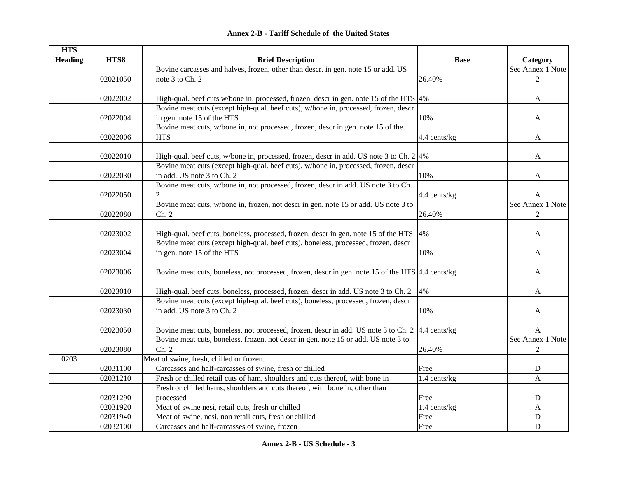|  | <b>Annex 2-B - Tariff Schedule of the United States</b> |  |
|--|---------------------------------------------------------|--|
|--|---------------------------------------------------------|--|

| <b>HTS</b>     |          |                                                                                                    |              |                  |
|----------------|----------|----------------------------------------------------------------------------------------------------|--------------|------------------|
| <b>Heading</b> | HTS8     | <b>Brief Description</b>                                                                           | <b>Base</b>  | Category         |
|                |          | Bovine carcasses and halves, frozen, other than descr. in gen. note 15 or add. US                  |              | See Annex 1 Note |
|                | 02021050 | note 3 to Ch. 2                                                                                    | 26.40%       | $\overline{2}$   |
|                |          |                                                                                                    |              |                  |
|                | 02022002 | High-qual. beef cuts w/bone in, processed, frozen, descr in gen. note 15 of the HTS $ 4\%$         |              | A                |
|                |          | Bovine meat cuts (except high-qual. beef cuts), w/bone in, processed, frozen, descr                |              |                  |
|                | 02022004 | in gen. note 15 of the HTS                                                                         | 10%          | A                |
|                |          | Bovine meat cuts, w/bone in, not processed, frozen, descr in gen. note 15 of the                   |              |                  |
|                | 02022006 | <b>HTS</b>                                                                                         | 4.4 cents/kg | A                |
|                | 02022010 | High-qual. beef cuts, w/bone in, processed, frozen, descr in add. US note 3 to Ch. $2 4\%$         |              | A                |
|                |          | Bovine meat cuts (except high-qual. beef cuts), w/bone in, processed, frozen, descr                |              |                  |
|                | 02022030 | in add. US note 3 to Ch. 2                                                                         | 10%          | A                |
|                |          | Bovine meat cuts, w/bone in, not processed, frozen, descr in add. US note 3 to Ch.                 |              |                  |
|                | 02022050 |                                                                                                    | 4.4 cents/kg | A                |
|                |          | Bovine meat cuts, w/bone in, frozen, not descr in gen. note 15 or add. US note 3 to                |              | See Annex 1 Note |
|                | 02022080 | Ch. 2                                                                                              | 26.40%       | $\overline{2}$   |
|                |          |                                                                                                    |              |                  |
|                | 02023002 | High-qual. beef cuts, boneless, processed, frozen, descr in gen. note 15 of the HTS 4%             |              | A                |
|                |          | Bovine meat cuts (except high-qual. beef cuts), boneless, processed, frozen, descr                 |              |                  |
|                | 02023004 | in gen. note 15 of the HTS                                                                         | 10%          | A                |
|                |          |                                                                                                    |              |                  |
|                | 02023006 | Bovine meat cuts, boneless, not processed, frozen, descr in gen. note 15 of the HTS   4.4 cents/kg |              | A                |
|                | 02023010 | High-qual. beef cuts, boneless, processed, frozen, descr in add. US note 3 to Ch. 2                | 4%           | A                |
|                |          | Bovine meat cuts (except high-qual. beef cuts), boneless, processed, frozen, descr                 |              |                  |
|                | 02023030 | in add. US note 3 to Ch. 2                                                                         | 10%          | A                |
|                |          |                                                                                                    |              |                  |
|                | 02023050 | Bovine meat cuts, boneless, not processed, frozen, descr in add. US note 3 to Ch. 2 4.4 cents/kg   |              | A                |
|                |          | Bovine meat cuts, boneless, frozen, not descr in gen. note 15 or add. US note 3 to                 |              | See Annex 1 Note |
|                | 02023080 | Ch. 2                                                                                              | 26.40%       | $\overline{2}$   |
| 0203           |          | Meat of swine, fresh, chilled or frozen.                                                           |              |                  |
|                | 02031100 | Carcasses and half-carcasses of swine, fresh or chilled                                            | Free         | ${\bf D}$        |
|                | 02031210 | Fresh or chilled retail cuts of ham, shoulders and cuts thereof, with bone in                      | 1.4 cents/kg | A                |
|                |          | Fresh or chilled hams, shoulders and cuts thereof, with bone in, other than                        |              |                  |
|                | 02031290 | processed                                                                                          | Free         | ${\bf D}$        |
|                | 02031920 | Meat of swine nesi, retail cuts, fresh or chilled                                                  | 1.4 cents/kg | A                |
|                | 02031940 | Meat of swine, nesi, non retail cuts, fresh or chilled                                             | Free         | $\mathbf D$      |
|                | 02032100 | Carcasses and half-carcasses of swine, frozen                                                      | Free         | $\mathbf D$      |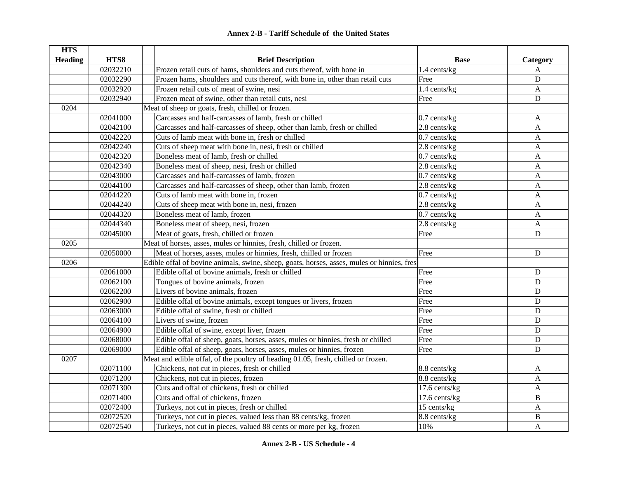| <b>HTS</b>     |          |                                                                                            |                |                           |
|----------------|----------|--------------------------------------------------------------------------------------------|----------------|---------------------------|
| <b>Heading</b> | HTS8     | <b>Brief Description</b>                                                                   | <b>Base</b>    | Category                  |
|                | 02032210 | Frozen retail cuts of hams, shoulders and cuts thereof, with bone in                       | 1.4 cents/kg   | A                         |
|                | 02032290 | Frozen hams, shoulders and cuts thereof, with bone in, other than retail cuts              | Free           | D                         |
|                | 02032920 | Frozen retail cuts of meat of swine, nesi                                                  | 1.4 cents/kg   | A                         |
|                | 02032940 | Frozen meat of swine, other than retail cuts, nesi                                         | Free           | ${\bf D}$                 |
| 0204           |          | Meat of sheep or goats, fresh, chilled or frozen.                                          |                |                           |
|                | 02041000 | Carcasses and half-carcasses of lamb, fresh or chilled                                     | $0.7$ cents/kg | A                         |
|                | 02042100 | Carcasses and half-carcasses of sheep, other than lamb, fresh or chilled                   | 2.8 cents/kg   | $\mathbf{A}$              |
|                | 02042220 | Cuts of lamb meat with bone in, fresh or chilled                                           | $0.7$ cents/kg | $\boldsymbol{\mathsf{A}}$ |
|                | 02042240 | Cuts of sheep meat with bone in, nesi, fresh or chilled                                    | 2.8 cents/kg   | A                         |
|                | 02042320 | Boneless meat of lamb, fresh or chilled                                                    | $0.7$ cents/kg | A                         |
|                | 02042340 | Boneless meat of sheep, nesi, fresh or chilled                                             | $2.8$ cents/kg | $\mathbf{A}$              |
|                | 02043000 | Carcasses and half-carcasses of lamb, frozen                                               | $0.7$ cents/kg | A                         |
|                | 02044100 | Carcasses and half-carcasses of sheep, other than lamb, frozen                             | 2.8 cents/kg   | A                         |
|                | 02044220 | Cuts of lamb meat with bone in, frozen                                                     | $0.7$ cents/kg | A                         |
|                | 02044240 | Cuts of sheep meat with bone in, nesi, frozen                                              | 2.8 cents/kg   | $\mathbf{A}$              |
|                | 02044320 | Boneless meat of lamb, frozen                                                              | $0.7$ cents/kg | A                         |
|                | 02044340 | Boneless meat of sheep, nesi, frozen                                                       | 2.8 cents/kg   | A                         |
|                | 02045000 | Meat of goats, fresh, chilled or frozen                                                    | Free           | $\mathbf D$               |
| 0205           |          | Meat of horses, asses, mules or hinnies, fresh, chilled or frozen.                         |                |                           |
|                | 02050000 | Meat of horses, asses, mules or hinnies, fresh, chilled or frozen                          | Free           | $\mathbf D$               |
| 0206           |          | Edible offal of bovine animals, swine, sheep, goats, horses, asses, mules or hinnies, fres |                |                           |
|                | 02061000 | Edible offal of bovine animals, fresh or chilled                                           | Free           | ${\bf D}$                 |
|                | 02062100 | Tongues of bovine animals, frozen                                                          | Free           | $\mathbf D$               |
|                | 02062200 | Livers of bovine animals, frozen                                                           | Free           | $\mathbf D$               |
|                | 02062900 | Edible offal of bovine animals, except tongues or livers, frozen                           | Free           | ${\bf D}$                 |
|                | 02063000 | Edible offal of swine, fresh or chilled                                                    | Free           | $\mathbf D$               |
|                | 02064100 | Livers of swine, frozen                                                                    | Free           | $\mathbf D$               |
|                | 02064900 | Edible offal of swine, except liver, frozen                                                | Free           | D                         |
|                | 02068000 | Edible offal of sheep, goats, horses, asses, mules or hinnies, fresh or chilled            | Free           | $\mathbf D$               |
|                | 02069000 | Edible offal of sheep, goats, horses, asses, mules or hinnies, frozen                      | Free           | D                         |
| 0207           |          | Meat and edible offal, of the poultry of heading 01.05, fresh, chilled or frozen.          |                |                           |
|                | 02071100 | Chickens, not cut in pieces, fresh or chilled                                              | 8.8 cents/kg   | A                         |
|                | 02071200 | Chickens, not cut in pieces, frozen                                                        | 8.8 cents/kg   | $\mathbf{A}$              |
|                | 02071300 | Cuts and offal of chickens, fresh or chilled                                               | 17.6 cents/kg  | A                         |
|                | 02071400 | Cuts and offal of chickens, frozen                                                         | 17.6 cents/kg  | B                         |
|                | 02072400 | Turkeys, not cut in pieces, fresh or chilled                                               | 15 cents/kg    | A                         |
|                | 02072520 | Turkeys, not cut in pieces, valued less than 88 cents/kg, frozen                           | 8.8 cents/kg   | $\, {\bf B}$              |
|                | 02072540 | Turkeys, not cut in pieces, valued 88 cents or more per kg, frozen                         | 10%            | $\mathbf A$               |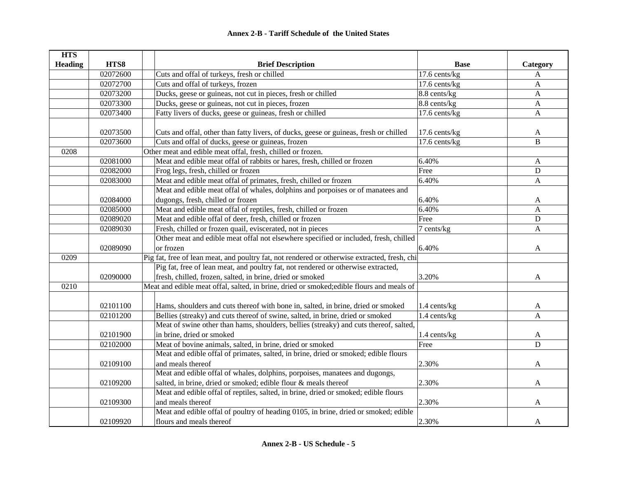| <b>HTS</b>     |          |                                                                                              |                 |                           |
|----------------|----------|----------------------------------------------------------------------------------------------|-----------------|---------------------------|
| <b>Heading</b> | HTS8     | <b>Brief Description</b>                                                                     | <b>Base</b>     | Category                  |
|                | 02072600 | Cuts and offal of turkeys, fresh or chilled                                                  | 17.6 cents/kg   | $\boldsymbol{\mathsf{A}}$ |
|                | 02072700 | Cuts and offal of turkeys, frozen                                                            | 17.6 cents/kg   | A                         |
|                | 02073200 | Ducks, geese or guineas, not cut in pieces, fresh or chilled                                 | 8.8 cents/kg    | A                         |
|                | 02073300 | Ducks, geese or guineas, not cut in pieces, frozen                                           | 8.8 cents/kg    | $\mathbf{A}$              |
|                | 02073400 | Fatty livers of ducks, geese or guineas, fresh or chilled                                    | 17.6 cents/kg   | A                         |
|                |          |                                                                                              |                 |                           |
|                | 02073500 | Cuts and offal, other than fatty livers, of ducks, geese or guineas, fresh or chilled        | 17.6 cents/kg   | A                         |
|                | 02073600 | Cuts and offal of ducks, geese or guineas, frozen                                            | $17.6$ cents/kg | B                         |
| 0208           |          | Other meat and edible meat offal, fresh, chilled or frozen.                                  |                 |                           |
|                | 02081000 | Meat and edible meat offal of rabbits or hares, fresh, chilled or frozen                     | 6.40%           | $\mathbf{A}$              |
|                | 02082000 | Frog legs, fresh, chilled or frozen                                                          | Free            | D                         |
|                | 02083000 | Meat and edible meat offal of primates, fresh, chilled or frozen                             | 6.40%           | $\mathbf{A}$              |
|                |          | Meat and edible meat offal of whales, dolphins and porpoises or of manatees and              |                 |                           |
|                | 02084000 | dugongs, fresh, chilled or frozen                                                            | 6.40%           | A                         |
|                | 02085000 | Meat and edible meat offal of reptiles, fresh, chilled or frozen                             | 6.40%           | $\mathbf{A}$              |
|                | 02089020 | Meat and edible offal of deer, fresh, chilled or frozen                                      | Free            | D                         |
|                | 02089030 | Fresh, chilled or frozen quail, eviscerated, not in pieces                                   | 7 cents/kg      | A                         |
|                |          | Other meat and edible meat offal not elsewhere specified or included, fresh, chilled         |                 |                           |
|                | 02089090 | or frozen                                                                                    | 6.40%           | A                         |
| 0209           |          | Pig fat, free of lean meat, and poultry fat, not rendered or otherwise extracted, fresh, chi |                 |                           |
|                |          | Pig fat, free of lean meat, and poultry fat, not rendered or otherwise extracted,            |                 |                           |
|                | 02090000 | fresh, chilled, frozen, salted, in brine, dried or smoked                                    | 3.20%           | A                         |
| 0210           |          | Meat and edible meat offal, salted, in brine, dried or smoked; edible flours and meals of    |                 |                           |
|                |          |                                                                                              |                 |                           |
|                | 02101100 | Hams, shoulders and cuts thereof with bone in, salted, in brine, dried or smoked             | 1.4 cents/kg    | A                         |
|                | 02101200 | Bellies (streaky) and cuts thereof of swine, salted, in brine, dried or smoked               | 1.4 cents/kg    | A                         |
|                |          | Meat of swine other than hams, shoulders, bellies (streaky) and cuts thereof, salted,        |                 |                           |
|                | 02101900 | in brine, dried or smoked                                                                    | 1.4 cents/kg    | A                         |
|                | 02102000 | Meat of bovine animals, salted, in brine, dried or smoked                                    | Free            | D                         |
|                |          | Meat and edible offal of primates, salted, in brine, dried or smoked; edible flours          |                 |                           |
|                | 02109100 | and meals thereof                                                                            | 2.30%           | A                         |
|                |          | Meat and edible offal of whales, dolphins, porpoises, manatees and dugongs,                  |                 |                           |
|                | 02109200 | salted, in brine, dried or smoked; edible flour & meals thereof                              | 2.30%           | A                         |
|                |          | Meat and edible offal of reptiles, salted, in brine, dried or smoked; edible flours          |                 |                           |
|                | 02109300 | and meals thereof                                                                            | 2.30%           | A                         |
|                |          | Meat and edible offal of poultry of heading 0105, in brine, dried or smoked; edible          |                 |                           |
|                | 02109920 | flours and meals thereof                                                                     | 2.30%           | A                         |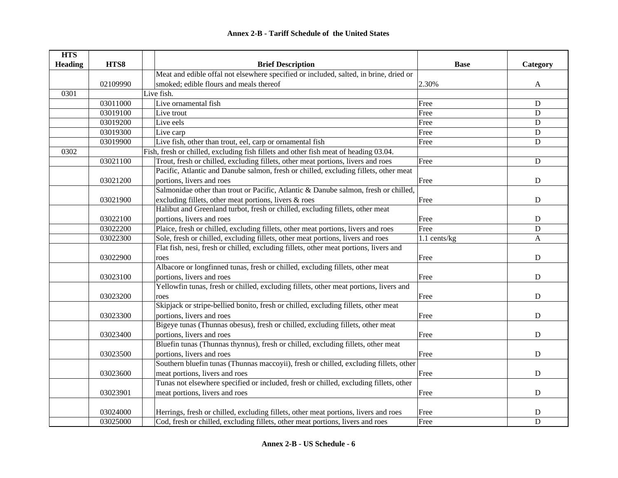| <b>HTS</b>     |          |                                                                                       |              |              |
|----------------|----------|---------------------------------------------------------------------------------------|--------------|--------------|
| <b>Heading</b> | HTS8     | <b>Brief Description</b>                                                              | <b>Base</b>  | Category     |
|                |          | Meat and edible offal not elsewhere specified or included, salted, in brine, dried or |              |              |
|                | 02109990 | smoked; edible flours and meals thereof                                               | 2.30%        | A            |
| 0301           |          | Live fish.                                                                            |              |              |
|                | 03011000 | Live ornamental fish                                                                  | Free         | D            |
|                | 03019100 | Live trout                                                                            | Free         | D            |
|                | 03019200 | Live eels                                                                             | Free         | D            |
|                | 03019300 | Live carp                                                                             | Free         | ${\bf D}$    |
|                | 03019900 | Live fish, other than trout, eel, carp or ornamental fish                             | Free         | ${\bf D}$    |
| 0302           |          | Fish, fresh or chilled, excluding fish fillets and other fish meat of heading 03.04.  |              |              |
|                | 03021100 | Trout, fresh or chilled, excluding fillets, other meat portions, livers and roes      | Free         | ${\bf D}$    |
|                |          | Pacific, Atlantic and Danube salmon, fresh or chilled, excluding fillets, other meat  |              |              |
|                | 03021200 | portions, livers and roes                                                             | Free         | ${\bf D}$    |
|                |          | Salmonidae other than trout or Pacific, Atlantic & Danube salmon, fresh or chilled,   |              |              |
|                | 03021900 | excluding fillets, other meat portions, livers & roes                                 | Free         | D            |
|                |          | Halibut and Greenland turbot, fresh or chilled, excluding fillets, other meat         |              |              |
|                | 03022100 | portions, livers and roes                                                             | Free         | D            |
|                | 03022200 | Plaice, fresh or chilled, excluding fillets, other meat portions, livers and roes     | Free         | D            |
|                | 03022300 | Sole, fresh or chilled, excluding fillets, other meat portions, livers and roes       | 1.1 cents/kg | $\mathbf{A}$ |
|                |          | Flat fish, nesi, fresh or chilled, excluding fillets, other meat portions, livers and |              |              |
|                | 03022900 | roes                                                                                  | Free         | ${\bf D}$    |
|                |          | Albacore or longfinned tunas, fresh or chilled, excluding fillets, other meat         |              |              |
|                | 03023100 | portions, livers and roes                                                             | Free         | D            |
|                |          | Yellowfin tunas, fresh or chilled, excluding fillets, other meat portions, livers and |              |              |
|                | 03023200 | roes                                                                                  | Free         | $\mathbf D$  |
|                |          | Skipjack or stripe-bellied bonito, fresh or chilled, excluding fillets, other meat    |              |              |
|                | 03023300 | portions, livers and roes                                                             | Free         | D            |
|                |          | Bigeye tunas (Thunnas obesus), fresh or chilled, excluding fillets, other meat        |              |              |
|                | 03023400 | portions, livers and roes                                                             | Free         | D            |
|                |          | Bluefin tunas (Thunnas thynnus), fresh or chilled, excluding fillets, other meat      |              |              |
|                | 03023500 | portions, livers and roes                                                             | Free         | ${\bf D}$    |
|                |          | Southern bluefin tunas (Thunnas maccoyii), fresh or chilled, excluding fillets, other |              |              |
|                | 03023600 | meat portions, livers and roes                                                        | Free         | ${\bf D}$    |
|                |          | Tunas not elsewhere specified or included, fresh or chilled, excluding fillets, other |              |              |
|                | 03023901 | meat portions, livers and roes                                                        | Free         | $\mathbf D$  |
|                |          |                                                                                       |              |              |
|                | 03024000 | Herrings, fresh or chilled, excluding fillets, other meat portions, livers and roes   | Free         | $\mathbf D$  |
|                | 03025000 | Cod, fresh or chilled, excluding fillets, other meat portions, livers and roes        | Free         | D            |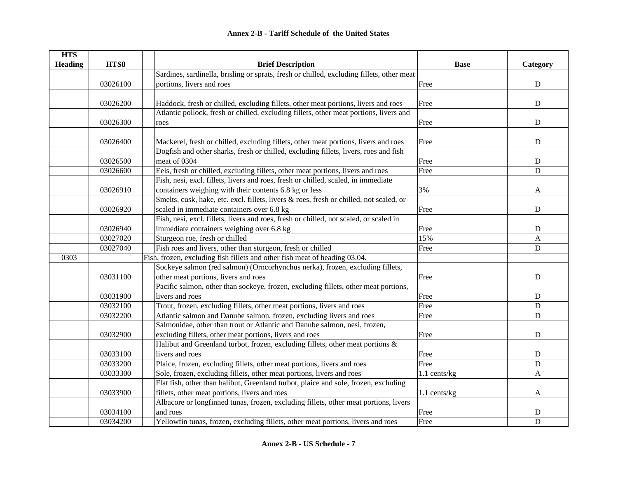| <b>HTS</b>     |          |                                                                                           |              |              |
|----------------|----------|-------------------------------------------------------------------------------------------|--------------|--------------|
| <b>Heading</b> | HTS8     | <b>Brief Description</b>                                                                  | <b>Base</b>  | Category     |
|                |          | Sardines, sardinella, brisling or sprats, fresh or chilled, excluding fillets, other meat |              |              |
|                | 03026100 | portions, livers and roes                                                                 | Free         | ${\bf D}$    |
|                |          |                                                                                           |              |              |
|                | 03026200 | Haddock, fresh or chilled, excluding fillets, other meat portions, livers and roes        | Free         | ${\bf D}$    |
|                |          | Atlantic pollock, fresh or chilled, excluding fillets, other meat portions, livers and    |              |              |
|                | 03026300 | roes                                                                                      | Free         | ${\bf D}$    |
|                |          |                                                                                           |              |              |
|                | 03026400 | Mackerel, fresh or chilled, excluding fillets, other meat portions, livers and roes       | Free         | ${\bf D}$    |
|                |          | Dogfish and other sharks, fresh or chilled, excluding fillets, livers, roes and fish      |              |              |
|                | 03026500 | meat of 0304                                                                              | Free         | $\mathbf D$  |
|                | 03026600 | Eels, fresh or chilled, excluding fillets, other meat portions, livers and roes           | Free         | $\mathbf D$  |
|                |          | Fish, nesi, excl. fillets, livers and roes, fresh or chilled, scaled, in immediate        |              |              |
|                | 03026910 | containers weighing with their contents 6.8 kg or less                                    | 3%           | A            |
|                |          | Smelts, cusk, hake, etc. excl. fillets, livers & roes, fresh or chilled, not scaled, or   |              |              |
|                | 03026920 | scaled in immediate containers over 6.8 kg                                                | Free         | D            |
|                |          | Fish, nesi, excl. fillets, livers and roes, fresh or chilled, not scaled, or scaled in    |              |              |
|                | 03026940 | immediate containers weighing over 6.8 kg                                                 | Free         | ${\bf D}$    |
|                | 03027020 | Sturgeon roe, fresh or chilled                                                            | 15%          | $\mathbf{A}$ |
|                | 03027040 | Fish roes and livers, other than sturgeon, fresh or chilled                               | Free         | ${\bf D}$    |
| 0303           |          | Fish, frozen, excluding fish fillets and other fish meat of heading 03.04.                |              |              |
|                |          | Sockeye salmon (red salmon) (Orncorhynchus nerka), frozen, excluding fillets,             |              |              |
|                | 03031100 | other meat portions, livers and roes                                                      | Free         | $\mathbf D$  |
|                |          | Pacific salmon, other than sockeye, frozen, excluding fillets, other meat portions,       |              |              |
|                | 03031900 | livers and roes                                                                           | Free         | ${\bf D}$    |
|                | 03032100 | Trout, frozen, excluding fillets, other meat portions, livers and roes                    | Free         | $\mathbf D$  |
|                | 03032200 | Atlantic salmon and Danube salmon, frozen, excluding livers and roes                      | Free         | $\mathbf D$  |
|                |          | Salmonidae, other than trout or Atlantic and Danube salmon, nesi, frozen,                 |              |              |
|                | 03032900 | excluding fillets, other meat portions, livers and roes                                   | Free         | $\mathbf D$  |
|                |          | Halibut and Greenland turbot, frozen, excluding fillets, other meat portions $\&$         |              |              |
|                | 03033100 | livers and roes                                                                           | Free         | ${\bf D}$    |
|                | 03033200 | Plaice, frozen, excluding fillets, other meat portions, livers and roes                   | Free         | $\mathbf D$  |
|                | 03033300 | Sole, frozen, excluding fillets, other meat portions, livers and roes                     | 1.1 cents/kg | A            |
|                |          | Flat fish, other than halibut, Greenland turbot, plaice and sole, frozen, excluding       |              |              |
|                | 03033900 | fillets, other meat portions, livers and roes                                             | 1.1 cents/kg | $\mathbf{A}$ |
|                |          | Albacore or longfinned tunas, frozen, excluding fillets, other meat portions, livers      |              |              |
|                | 03034100 | and roes                                                                                  | Free         | D            |
|                | 03034200 | Yellowfin tunas, frozen, excluding fillets, other meat portions, livers and roes          | Free         | $\mathbf D$  |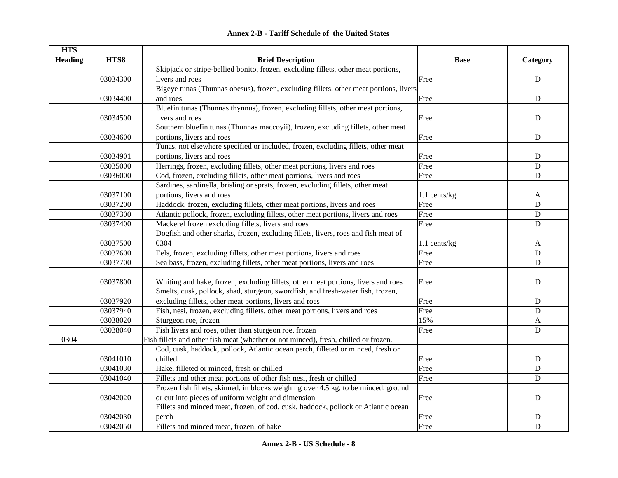| <b>Annex 2-B - Tariff Schedule of the United States</b> |  |
|---------------------------------------------------------|--|
|---------------------------------------------------------|--|

| <b>HTS</b>     |          |                                                                                       |              |             |
|----------------|----------|---------------------------------------------------------------------------------------|--------------|-------------|
| <b>Heading</b> | HTS8     | <b>Brief Description</b>                                                              | <b>Base</b>  | Category    |
|                |          | Skipjack or stripe-bellied bonito, frozen, excluding fillets, other meat portions,    |              |             |
|                | 03034300 | livers and roes                                                                       | Free         | ${\bf D}$   |
|                |          | Bigeye tunas (Thunnas obesus), frozen, excluding fillets, other meat portions, livers |              |             |
|                | 03034400 | and roes                                                                              | Free         | ${\bf D}$   |
|                |          | Bluefin tunas (Thunnas thynnus), frozen, excluding fillets, other meat portions,      |              |             |
|                | 03034500 | livers and roes                                                                       | Free         | ${\bf D}$   |
|                |          | Southern bluefin tunas (Thunnas maccoyii), frozen, excluding fillets, other meat      |              |             |
|                | 03034600 | portions, livers and roes                                                             | Free         | $\mathbf D$ |
|                |          | Tunas, not elsewhere specified or included, frozen, excluding fillets, other meat     |              |             |
|                | 03034901 | portions, livers and roes                                                             | Free         | ${\bf D}$   |
|                | 03035000 | Herrings, frozen, excluding fillets, other meat portions, livers and roes             | Free         | $\mathbf D$ |
|                | 03036000 | Cod, frozen, excluding fillets, other meat portions, livers and roes                  | Free         | $\mathbf D$ |
|                |          | Sardines, sardinella, brisling or sprats, frozen, excluding fillets, other meat       |              |             |
|                | 03037100 | portions, livers and roes                                                             | 1.1 cents/kg | A           |
|                | 03037200 | Haddock, frozen, excluding fillets, other meat portions, livers and roes              | Free         | ${\bf D}$   |
|                | 03037300 | Atlantic pollock, frozen, excluding fillets, other meat portions, livers and roes     | Free         | $\mathbf D$ |
|                | 03037400 | Mackerel frozen excluding fillets, livers and roes                                    | Free         | $\mathbf D$ |
|                |          | Dogfish and other sharks, frozen, excluding fillets, livers, roes and fish meat of    |              |             |
|                | 03037500 | 0304                                                                                  | 1.1 cents/kg | A           |
|                | 03037600 | Eels, frozen, excluding fillets, other meat portions, livers and roes                 | Free         | ${\bf D}$   |
|                | 03037700 | Sea bass, frozen, excluding fillets, other meat portions, livers and roes             | Free         | $\mathbf D$ |
|                |          |                                                                                       |              |             |
|                | 03037800 | Whiting and hake, frozen, excluding fillets, other meat portions, livers and roes     | Free         | $\mathbf D$ |
|                |          | Smelts, cusk, pollock, shad, sturgeon, swordfish, and fresh-water fish, frozen,       |              |             |
|                | 03037920 | excluding fillets, other meat portions, livers and roes                               | Free         | ${\bf D}$   |
|                | 03037940 | Fish, nesi, frozen, excluding fillets, other meat portions, livers and roes           | Free         | $\mathbf D$ |
|                | 03038020 | Sturgeon roe, frozen                                                                  | 15%          | A           |
|                | 03038040 | Fish livers and roes, other than sturgeon roe, frozen                                 | Free         | ${\bf D}$   |
| 0304           |          | Fish fillets and other fish meat (whether or not minced), fresh, chilled or frozen.   |              |             |
|                |          | Cod, cusk, haddock, pollock, Atlantic ocean perch, filleted or minced, fresh or       |              |             |
|                | 03041010 | chilled                                                                               | Free         | ${\bf D}$   |
|                | 03041030 | Hake, filleted or minced, fresh or chilled                                            | Free         | $\mathbf D$ |
|                | 03041040 | Fillets and other meat portions of other fish nesi, fresh or chilled                  | Free         | D           |
|                |          | Frozen fish fillets, skinned, in blocks weighing over 4.5 kg, to be minced, ground    |              |             |
|                | 03042020 | or cut into pieces of uniform weight and dimension                                    | Free         | ${\bf D}$   |
|                |          | Fillets and minced meat, frozen, of cod, cusk, haddock, pollock or Atlantic ocean     |              |             |
|                | 03042030 | perch                                                                                 | Free         | D           |
|                | 03042050 | Fillets and minced meat, frozen, of hake                                              | Free         | $\mathbf D$ |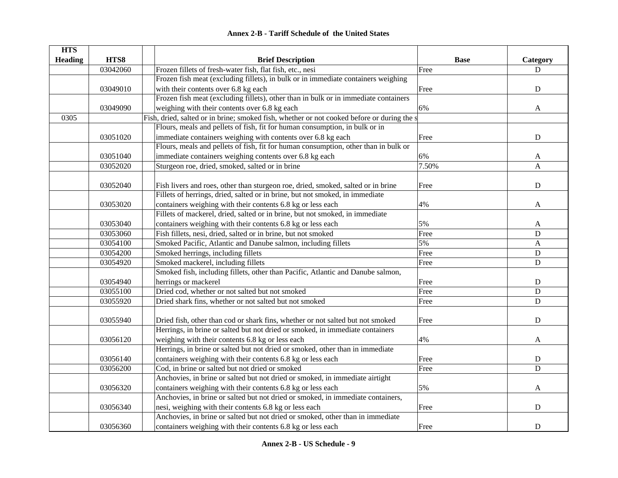|  | <b>Annex 2-B - Tariff Schedule of the United States</b> |  |
|--|---------------------------------------------------------|--|
|--|---------------------------------------------------------|--|

| <b>HTS</b>     |          |                                                                                            |             |              |
|----------------|----------|--------------------------------------------------------------------------------------------|-------------|--------------|
| <b>Heading</b> | HTS8     | <b>Brief Description</b>                                                                   | <b>Base</b> | Category     |
|                | 03042060 | Frozen fillets of fresh-water fish, flat fish, etc., nesi                                  | Free        | D            |
|                |          | Frozen fish meat (excluding fillets), in bulk or in immediate containers weighing          |             |              |
|                | 03049010 | with their contents over 6.8 kg each                                                       | Free        | ${\bf D}$    |
|                |          | Frozen fish meat (excluding fillets), other than in bulk or in immediate containers        |             |              |
|                | 03049090 | weighing with their contents over 6.8 kg each                                              | 6%          | A            |
| 0305           |          | Fish, dried, salted or in brine; smoked fish, whether or not cooked before or during the s |             |              |
|                |          | Flours, meals and pellets of fish, fit for human consumption, in bulk or in                |             |              |
|                | 03051020 | immediate containers weighing with contents over 6.8 kg each                               | Free        | ${\bf D}$    |
|                |          | Flours, meals and pellets of fish, fit for human consumption, other than in bulk or        |             |              |
|                | 03051040 | immediate containers weighing contents over 6.8 kg each                                    | 6%          | A            |
|                | 03052020 | Sturgeon roe, dried, smoked, salted or in brine                                            | 7.50%       | A            |
|                |          |                                                                                            |             |              |
|                | 03052040 | Fish livers and roes, other than sturgeon roe, dried, smoked, salted or in brine           | Free        | $\mathbf D$  |
|                |          | Fillets of herrings, dried, salted or in brine, but not smoked, in immediate               |             |              |
|                | 03053020 | containers weighing with their contents 6.8 kg or less each                                | 4%          | A            |
|                |          | Fillets of mackerel, dried, salted or in brine, but not smoked, in immediate               |             |              |
|                | 03053040 | containers weighing with their contents 6.8 kg or less each                                | 5%          | A            |
|                | 03053060 | Fish fillets, nesi, dried, salted or in brine, but not smoked                              | Free        | ${\bf D}$    |
|                | 03054100 | Smoked Pacific, Atlantic and Danube salmon, including fillets                              | 5%          | $\mathbf{A}$ |
|                | 03054200 | Smoked herrings, including fillets                                                         | Free        | ${\bf D}$    |
|                | 03054920 | Smoked mackerel, including fillets                                                         | Free        | ${\bf D}$    |
|                |          | Smoked fish, including fillets, other than Pacific, Atlantic and Danube salmon,            |             |              |
|                | 03054940 | herrings or mackerel                                                                       | Free        | ${\bf D}$    |
|                | 03055100 | Dried cod, whether or not salted but not smoked                                            | Free        | $\mathbf D$  |
|                | 03055920 | Dried shark fins, whether or not salted but not smoked                                     | Free        | $\mathbf D$  |
|                |          |                                                                                            |             |              |
|                | 03055940 | Dried fish, other than cod or shark fins, whether or not salted but not smoked             | Free        | $\mathbf D$  |
|                |          | Herrings, in brine or salted but not dried or smoked, in immediate containers              |             |              |
|                | 03056120 | weighing with their contents 6.8 kg or less each                                           | 4%          | A            |
|                |          | Herrings, in brine or salted but not dried or smoked, other than in immediate              |             |              |
|                | 03056140 | containers weighing with their contents 6.8 kg or less each                                | Free        | ${\bf D}$    |
|                | 03056200 | Cod, in brine or salted but not dried or smoked                                            | Free        | D            |
|                |          | Anchovies, in brine or salted but not dried or smoked, in immediate airtight               |             |              |
|                | 03056320 | containers weighing with their contents 6.8 kg or less each                                | 5%          | A            |
|                |          | Anchovies, in brine or salted but not dried or smoked, in immediate containers,            |             |              |
|                | 03056340 | nesi, weighing with their contents 6.8 kg or less each                                     | Free        | ${\bf D}$    |
|                |          | Anchovies, in brine or salted but not dried or smoked, other than in immediate             |             |              |
|                | 03056360 | containers weighing with their contents 6.8 kg or less each                                | Free        | ${\bf D}$    |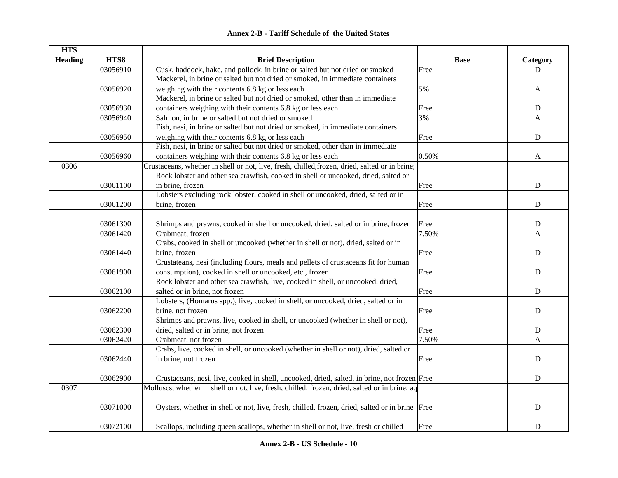| <b>HTS</b>     |          |                                                                                                |             |             |
|----------------|----------|------------------------------------------------------------------------------------------------|-------------|-------------|
| <b>Heading</b> | HTS8     | <b>Brief Description</b>                                                                       | <b>Base</b> | Category    |
|                | 03056910 | Cusk, haddock, hake, and pollock, in brine or salted but not dried or smoked                   | Free        | D           |
|                |          | Mackerel, in brine or salted but not dried or smoked, in immediate containers                  |             |             |
|                | 03056920 | weighing with their contents 6.8 kg or less each                                               | 5%          | A           |
|                |          | Mackerel, in brine or salted but not dried or smoked, other than in immediate                  |             |             |
|                | 03056930 | containers weighing with their contents 6.8 kg or less each                                    | Free        | ${\bf D}$   |
|                | 03056940 | Salmon, in brine or salted but not dried or smoked                                             | 3%          | A           |
|                |          | Fish, nesi, in brine or salted but not dried or smoked, in immediate containers                |             |             |
|                | 03056950 | weighing with their contents 6.8 kg or less each                                               | Free        | ${\bf D}$   |
|                |          | Fish, nesi, in brine or salted but not dried or smoked, other than in immediate                |             |             |
|                | 03056960 | containers weighing with their contents 6.8 kg or less each                                    | 0.50%       | A           |
| 0306           |          | Crustaceans, whether in shell or not, live, fresh, chilled, frozen, dried, salted or in brine; |             |             |
|                |          | Rock lobster and other sea crawfish, cooked in shell or uncooked, dried, salted or             |             |             |
|                | 03061100 | in brine, frozen                                                                               | Free        | $\mathbf D$ |
|                |          | Lobsters excluding rock lobster, cooked in shell or uncooked, dried, salted or in              |             |             |
|                | 03061200 | brine, frozen                                                                                  | Free        | $\mathbf D$ |
|                |          |                                                                                                |             |             |
|                | 03061300 | Shrimps and prawns, cooked in shell or uncooked, dried, salted or in brine, frozen             | Free        | ${\bf D}$   |
|                | 03061420 | Crabmeat, frozen                                                                               | 7.50%       | A           |
|                |          | Crabs, cooked in shell or uncooked (whether in shell or not), dried, salted or in              |             |             |
|                | 03061440 | brine, frozen                                                                                  | Free        | ${\bf D}$   |
|                |          | Crustateans, nesi (including flours, meals and pellets of crustaceans fit for human            |             |             |
|                | 03061900 | consumption), cooked in shell or uncooked, etc., frozen                                        | Free        | $\mathbf D$ |
|                |          | Rock lobster and other sea crawfish, live, cooked in shell, or uncooked, dried,                |             |             |
|                | 03062100 | salted or in brine, not frozen                                                                 | Free        | $\mathbf D$ |
|                |          | Lobsters, (Homarus spp.), live, cooked in shell, or uncooked, dried, salted or in              |             |             |
|                | 03062200 | brine, not frozen                                                                              | Free        | D           |
|                |          | Shrimps and prawns, live, cooked in shell, or uncooked (whether in shell or not),              |             |             |
|                | 03062300 | dried, salted or in brine, not frozen                                                          | Free        | ${\bf D}$   |
|                | 03062420 | Crabmeat, not frozen                                                                           | 7.50%       | A           |
|                |          | Crabs, live, cooked in shell, or uncooked (whether in shell or not), dried, salted or          |             |             |
|                | 03062440 | in brine, not frozen                                                                           | Free        | ${\bf D}$   |
|                |          |                                                                                                |             |             |
|                | 03062900 | Crustaceans, nesi, live, cooked in shell, uncooked, dried, salted, in brine, not frozen Free   |             | ${\bf D}$   |
| 0307           |          | Molluscs, whether in shell or not, live, fresh, chilled, frozen, dried, salted or in brine; aq |             |             |
|                |          |                                                                                                |             |             |
|                | 03071000 | Oysters, whether in shell or not, live, fresh, chilled, frozen, dried, salted or in brine Free |             | ${\bf D}$   |
|                |          |                                                                                                |             |             |
|                | 03072100 | Scallops, including queen scallops, whether in shell or not, live, fresh or chilled            | Free        | ${\bf D}$   |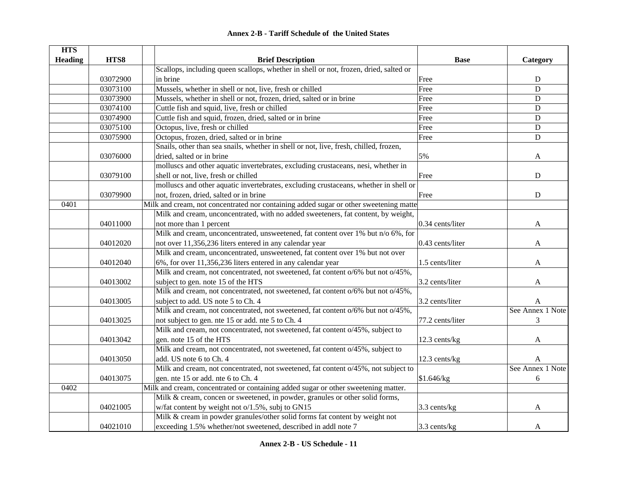|  | <b>Annex 2-B - Tariff Schedule of the United States</b> |  |
|--|---------------------------------------------------------|--|
|--|---------------------------------------------------------|--|

| <b>HTS</b>     |          |                                                                                       |                  |                  |
|----------------|----------|---------------------------------------------------------------------------------------|------------------|------------------|
| <b>Heading</b> | HTS8     | <b>Brief Description</b>                                                              | <b>Base</b>      | Category         |
|                |          | Scallops, including queen scallops, whether in shell or not, frozen, dried, salted or |                  |                  |
|                | 03072900 | in brine                                                                              | Free             | ${\bf D}$        |
|                | 03073100 | Mussels, whether in shell or not, live, fresh or chilled                              | Free             | $\mathbf D$      |
|                | 03073900 | Mussels, whether in shell or not, frozen, dried, salted or in brine                   | Free             | ${\bf D}$        |
|                | 03074100 | Cuttle fish and squid, live, fresh or chilled                                         | Free             | $\mathbf D$      |
|                | 03074900 | Cuttle fish and squid, frozen, dried, salted or in brine                              | Free             | $\mathbf D$      |
|                | 03075100 | Octopus, live, fresh or chilled                                                       | Free             | $\mathbf D$      |
|                | 03075900 | Octopus, frozen, dried, salted or in brine                                            | Free             | $\mathbf D$      |
|                |          | Snails, other than sea snails, whether in shell or not, live, fresh, chilled, frozen, |                  |                  |
|                | 03076000 | dried, salted or in brine                                                             | 5%               | A                |
|                |          | molluscs and other aquatic invertebrates, excluding crustaceans, nesi, whether in     |                  |                  |
|                | 03079100 | shell or not, live, fresh or chilled                                                  | Free             | D                |
|                |          | molluscs and other aquatic invertebrates, excluding crustaceans, whether in shell or  |                  |                  |
|                | 03079900 | not, frozen, dried, salted or in brine                                                | Free             | ${\bf D}$        |
| 0401           |          | Milk and cream, not concentrated nor containing added sugar or other sweetening matte |                  |                  |
|                |          | Milk and cream, unconcentrated, with no added sweeteners, fat content, by weight,     |                  |                  |
|                | 04011000 | not more than 1 percent                                                               | 0.34 cents/liter | A                |
|                |          | Milk and cream, unconcentrated, unsweetened, fat content over 1% but n/o 6%, for      |                  |                  |
|                | 04012020 | not over 11,356,236 liters entered in any calendar year                               | 0.43 cents/liter | A                |
|                |          | Milk and cream, unconcentrated, unsweetened, fat content over 1% but not over         |                  |                  |
|                | 04012040 | 6%, for over 11,356,236 liters entered in any calendar year                           | 1.5 cents/liter  | A                |
|                |          | Milk and cream, not concentrated, not sweetened, fat content o/6% but not o/45%,      |                  |                  |
|                | 04013002 | subject to gen. note 15 of the HTS                                                    | 3.2 cents/liter  | A                |
|                |          | Milk and cream, not concentrated, not sweetened, fat content o/6% but not o/45%,      |                  |                  |
|                | 04013005 | subject to add. US note 5 to Ch. 4                                                    | 3.2 cents/liter  | A                |
|                |          | Milk and cream, not concentrated, not sweetened, fat content o/6% but not o/45%,      |                  | See Annex 1 Note |
|                | 04013025 | not subject to gen. nte 15 or add. nte 5 to Ch. 4                                     | 77.2 cents/liter | 3                |
|                |          | Milk and cream, not concentrated, not sweetened, fat content $o/45\%$ , subject to    |                  |                  |
|                | 04013042 | gen. note 15 of the HTS                                                               | 12.3 cents/kg    | A                |
|                |          | Milk and cream, not concentrated, not sweetened, fat content o/45%, subject to        |                  |                  |
|                | 04013050 | add. US note 6 to Ch. 4                                                               | 12.3 cents/kg    | A                |
|                |          | Milk and cream, not concentrated, not sweetened, fat content o/45%, not subject to    |                  | See Annex 1 Note |
|                | 04013075 | gen. nte 15 or add. nte 6 to Ch. 4                                                    | \$1.646/kg       | 6                |
| 0402           |          | Milk and cream, concentrated or containing added sugar or other sweetening matter.    |                  |                  |
|                |          | Milk & cream, concen or sweetened, in powder, granules or other solid forms,          |                  |                  |
|                | 04021005 | w/fat content by weight not o/1.5%, subj to GN15                                      | $3.3$ cents/kg   | A                |
|                |          | Milk & cream in powder granules/other solid forms fat content by weight not           |                  |                  |
|                | 04021010 | exceeding 1.5% whether/not sweetened, described in addl note 7                        | 3.3 cents/kg     | A                |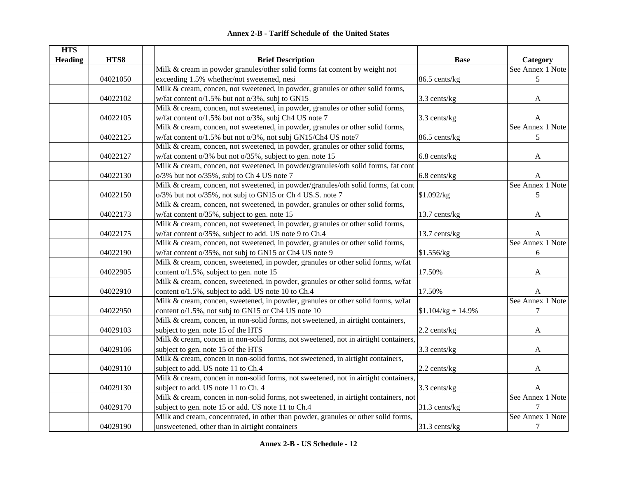| <b>HTS</b>     |          |                                                                                     |                      |                  |
|----------------|----------|-------------------------------------------------------------------------------------|----------------------|------------------|
| <b>Heading</b> | HTS8     | <b>Brief Description</b>                                                            | <b>Base</b>          | Category         |
|                |          | Milk & cream in powder granules/other solid forms fat content by weight not         |                      | See Annex 1 Note |
|                | 04021050 | exceeding 1.5% whether/not sweetened, nesi                                          | 86.5 cents/kg        | 5                |
|                |          | Milk & cream, concen, not sweetened, in powder, granules or other solid forms,      |                      |                  |
|                | 04022102 | w/fat content o/1.5% but not o/3%, subj to GN15                                     | 3.3 cents/kg         | A                |
|                |          | Milk & cream, concen, not sweetened, in powder, granules or other solid forms,      |                      |                  |
|                | 04022105 | w/fat content o/1.5% but not o/3%, subj Ch4 US note 7                               | 3.3 cents/kg         | A                |
|                |          | Milk & cream, concen, not sweetened, in powder, granules or other solid forms,      |                      | See Annex 1 Note |
|                | 04022125 | w/fat content o/1.5% but not o/3%, not subj GN15/Ch4 US note7                       | 86.5 cents/kg        | 5                |
|                |          | Milk & cream, concen, not sweetened, in powder, granules or other solid forms,      |                      |                  |
|                | 04022127 | w/fat content o/3% but not o/35%, subject to gen. note 15                           | 6.8 cents/kg         | A                |
|                |          | Milk & cream, concen, not sweetened, in powder/granules/oth solid forms, fat cont   |                      |                  |
|                | 04022130 | o/3% but not o/35%, subj to Ch 4 US note 7                                          | 6.8 cents/kg         | A                |
|                |          | Milk & cream, concen, not sweetened, in powder/granules/oth solid forms, fat cont   |                      | See Annex 1 Note |
|                | 04022150 | o/3% but not o/35%, not subj to GN15 or Ch 4 US.S. note 7                           | \$1.092/kg           | 5                |
|                |          | Milk & cream, concen, not sweetened, in powder, granules or other solid forms,      |                      |                  |
|                | 04022173 | w/fat content o/35%, subject to gen. note 15                                        | 13.7 cents/kg        | A                |
|                |          | Milk & cream, concen, not sweetened, in powder, granules or other solid forms,      |                      |                  |
|                | 04022175 | w/fat content o/35%, subject to add. US note 9 to Ch.4                              | 13.7 cents/kg        | A                |
|                |          | Milk & cream, concen, not sweetened, in powder, granules or other solid forms,      |                      | See Annex 1 Note |
|                | 04022190 | w/fat content o/35%, not subj to GN15 or Ch4 US note 9                              | \$1.556/kg           | 6                |
|                |          | Milk & cream, concen, sweetened, in powder, granules or other solid forms, w/fat    |                      |                  |
|                | 04022905 | content o/1.5%, subject to gen. note 15                                             | 17.50%               | A                |
|                |          | Milk & cream, concen, sweetened, in powder, granules or other solid forms, w/fat    |                      |                  |
|                | 04022910 | content o/1.5%, subject to add. US note 10 to Ch.4                                  | 17.50%               | A                |
|                |          | Milk & cream, concen, sweetened, in powder, granules or other solid forms, w/fat    |                      | See Annex 1 Note |
|                | 04022950 | content o/1.5%, not subj to GN15 or Ch4 US note 10                                  | $$1.104/kg + 14.9\%$ | $\tau$           |
|                |          | Milk & cream, concen, in non-solid forms, not sweetened, in airtight containers,    |                      |                  |
|                | 04029103 | subject to gen. note 15 of the HTS                                                  | 2.2 cents/kg         | A                |
|                |          | Milk & cream, concen in non-solid forms, not sweetened, not in airtight containers, |                      |                  |
|                | 04029106 | subject to gen. note 15 of the HTS                                                  | 3.3 cents/kg         | A                |
|                |          | Milk & cream, concen in non-solid forms, not sweetened, in airtight containers,     |                      |                  |
|                | 04029110 | subject to add. US note 11 to Ch.4                                                  | 2.2 cents/kg         | A                |
|                |          | Milk & cream, concen in non-solid forms, not sweetened, not in airtight containers, |                      |                  |
|                | 04029130 | subject to add. US note 11 to Ch. 4                                                 | 3.3 cents/kg         | A                |
|                |          | Milk & cream, concen in non-solid forms, not sweetened, in airtight containers, not |                      | See Annex 1 Note |
|                | 04029170 | subject to gen. note 15 or add. US note 11 to Ch.4                                  | 31.3 cents/kg        | 7                |
|                |          | Milk and cream, concentrated, in other than powder, granules or other solid forms,  |                      | See Annex 1 Note |
|                | 04029190 | unsweetened, other than in airtight containers                                      | 31.3 cents/kg        | $\tau$           |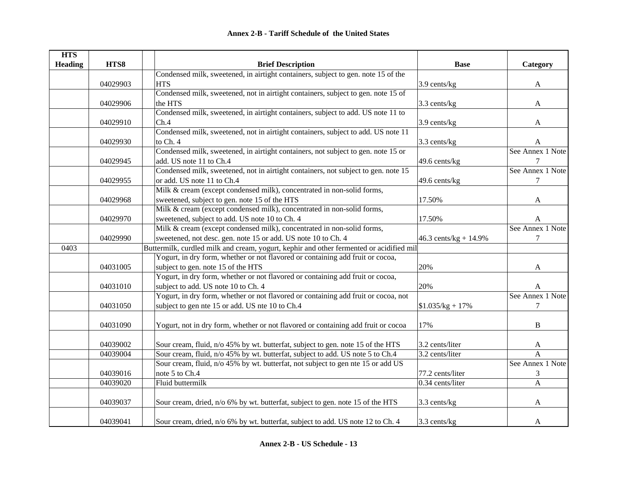| <b>HTS</b>     |          |                                                                                         |                         |                  |
|----------------|----------|-----------------------------------------------------------------------------------------|-------------------------|------------------|
| <b>Heading</b> | HTS8     | <b>Brief Description</b>                                                                | <b>Base</b>             | Category         |
|                |          | Condensed milk, sweetened, in airtight containers, subject to gen. note 15 of the       |                         |                  |
|                | 04029903 | <b>HTS</b>                                                                              | 3.9 cents/kg            | A                |
|                |          | Condensed milk, sweetened, not in airtight containers, subject to gen. note 15 of       |                         |                  |
|                | 04029906 | the HTS                                                                                 | 3.3 cents/kg            | A                |
|                |          | Condensed milk, sweetened, in airtight containers, subject to add. US note 11 to        |                         |                  |
|                | 04029910 | Ch.4                                                                                    | 3.9 cents/kg            | A                |
|                |          | Condensed milk, sweetened, not in airtight containers, subject to add. US note 11       |                         |                  |
|                | 04029930 | to Ch. 4                                                                                | 3.3 cents/kg            | A                |
|                |          | Condensed milk, sweetened, in airtight containers, not subject to gen. note 15 or       |                         | See Annex 1 Note |
|                | 04029945 | add. US note 11 to Ch.4                                                                 | 49.6 cents/kg           |                  |
|                |          | Condensed milk, sweetened, not in airtight containers, not subject to gen. note 15      |                         | See Annex 1 Note |
|                | 04029955 | or add. US note 11 to Ch.4                                                              | 49.6 cents/kg           | 7                |
|                |          | Milk & cream (except condensed milk), concentrated in non-solid forms,                  |                         |                  |
|                | 04029968 | sweetened, subject to gen. note 15 of the HTS                                           | 17.50%                  | A                |
|                |          | Milk & cream (except condensed milk), concentrated in non-solid forms,                  |                         |                  |
|                | 04029970 | sweetened, subject to add. US note 10 to Ch. 4                                          | 17.50%                  | A                |
|                |          | Milk & cream (except condensed milk), concentrated in non-solid forms,                  |                         | See Annex 1 Note |
|                | 04029990 | sweetened, not desc. gen. note 15 or add. US note 10 to Ch. 4                           | 46.3 cents/kg + $14.9%$ | $\tau$           |
| 0403           |          | Buttermilk, curdled milk and cream, yogurt, kephir and other fermented or acidified mil |                         |                  |
|                |          | Yogurt, in dry form, whether or not flavored or containing add fruit or cocoa,          |                         |                  |
|                | 04031005 | subject to gen. note 15 of the HTS                                                      | 20%                     | A                |
|                |          | Yogurt, in dry form, whether or not flavored or containing add fruit or cocoa,          |                         |                  |
|                | 04031010 | subject to add. US note 10 to Ch. 4                                                     | 20%                     | A                |
|                |          | Yogurt, in dry form, whether or not flavored or containing add fruit or cocoa, not      |                         | See Annex 1 Note |
|                | 04031050 | subject to gen nte 15 or add. US nte 10 to Ch.4                                         | $$1.035/kg + 17\%$      | $\tau$           |
|                |          |                                                                                         |                         |                  |
|                | 04031090 | Yogurt, not in dry form, whether or not flavored or containing add fruit or cocoa       | 17%                     | $\, {\bf B}$     |
|                |          |                                                                                         |                         |                  |
|                | 04039002 | Sour cream, fluid, n/o 45% by wt. butterfat, subject to gen. note 15 of the HTS         | 3.2 cents/liter         | A                |
|                | 04039004 | Sour cream, fluid, n/o 45% by wt. butterfat, subject to add. US note 5 to Ch.4          | 3.2 cents/liter         | $\mathsf{A}$     |
|                |          | Sour cream, fluid, n/o 45% by wt. butterfat, not subject to gen nte 15 or add US        |                         | See Annex 1 Note |
|                | 04039016 | note 5 to Ch.4                                                                          | 77.2 cents/liter        | 3                |
|                | 04039020 | Fluid buttermilk                                                                        | 0.34 cents/liter        | A                |
|                |          |                                                                                         |                         |                  |
|                | 04039037 | Sour cream, dried, n/o 6% by wt. butterfat, subject to gen. note 15 of the HTS          | 3.3 cents/kg            | A                |
|                |          |                                                                                         |                         |                  |
|                | 04039041 | Sour cream, dried, n/o 6% by wt. butterfat, subject to add. US note 12 to Ch. 4         | 3.3 cents/kg            | A                |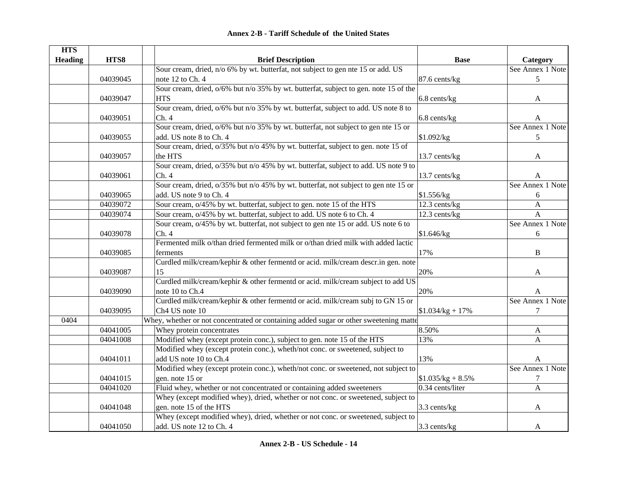| <b>HTS</b>     |          |                                                                                         |                            |                  |
|----------------|----------|-----------------------------------------------------------------------------------------|----------------------------|------------------|
| <b>Heading</b> | HTS8     | <b>Brief Description</b>                                                                | <b>Base</b>                | Category         |
|                |          | Sour cream, dried, n/o 6% by wt. butterfat, not subject to gen nte 15 or add. US        |                            | See Annex 1 Note |
|                | 04039045 | note 12 to Ch. 4                                                                        | 87.6 cents/kg              | 5                |
|                |          | Sour cream, dried, $o/6\%$ but n/o 35% by wt. butterfat, subject to gen. note 15 of the |                            |                  |
|                | 04039047 | <b>HTS</b>                                                                              | 6.8 cents/kg               | A                |
|                |          | Sour cream, dried, $o/6\%$ but n/o 35% by wt. butterfat, subject to add. US note 8 to   |                            |                  |
|                | 04039051 | Ch.4                                                                                    | 6.8 cents/kg               | A                |
|                |          | Sour cream, dried, $o/6\%$ but n/o 35% by wt. butterfat, not subject to gen nte 15 or   |                            | See Annex 1 Note |
|                | 04039055 | add. US note 8 to Ch. 4                                                                 | \$1.092/kg                 | 5                |
|                |          | Sour cream, dried, o/35% but n/o 45% by wt. butterfat, subject to gen. note 15 of       |                            |                  |
|                | 04039057 | the HTS                                                                                 | 13.7 cents/kg              | A                |
|                |          | Sour cream, dried, $o/35\%$ but n/o 45% by wt. butterfat, subject to add. US note 9 to  |                            |                  |
|                | 04039061 | Ch.4                                                                                    | 13.7 cents/kg              | A                |
|                |          | Sour cream, dried, o/35% but n/o 45% by wt. butterfat, not subject to gen nte 15 or     |                            | See Annex 1 Note |
|                | 04039065 | add. US note 9 to Ch. 4                                                                 | \$1.556/kg                 | 6                |
|                | 04039072 | Sour cream, o/45% by wt. butterfat, subject to gen. note 15 of the HTS                  | $\overline{12.3}$ cents/kg | $\mathbf{A}$     |
|                | 04039074 | Sour cream, o/45% by wt. butterfat, subject to add. US note 6 to Ch. 4                  | 12.3 cents/kg              | $\mathbf{A}$     |
|                |          | Sour cream, o/45% by wt. butterfat, not subject to gen nte 15 or add. US note 6 to      |                            | See Annex 1 Note |
|                | 04039078 | Ch.4                                                                                    | \$1.646/kg                 | 6                |
|                |          | Fermented milk o/than dried fermented milk or o/than dried milk with added lactic       |                            |                  |
|                | 04039085 | ferments                                                                                | 17%                        | $\bf{B}$         |
|                |          | Curdled milk/cream/kephir & other fermentd or acid. milk/cream descr.in gen. note       |                            |                  |
|                | 04039087 | 15                                                                                      | 20%                        | A                |
|                |          | Curdled milk/cream/kephir & other fermentd or acid. milk/cream subject to add US        |                            |                  |
|                | 04039090 | note 10 to Ch.4                                                                         | 20%                        | A                |
|                |          | Curdled milk/cream/kephir & other fermentd or acid. milk/cream subj to GN 15 or         |                            | See Annex 1 Note |
|                | 04039095 | Ch4 US note 10                                                                          | $$1.034/kg + 17\%$         | 7                |
| 0404           |          | Whey, whether or not concentrated or containing added sugar or other sweetening matte   |                            |                  |
|                | 04041005 | Whey protein concentrates                                                               | 8.50%                      | A                |
|                | 04041008 | Modified whey (except protein conc.), subject to gen. note 15 of the HTS                | 13%                        | $\mathbf{A}$     |
|                |          | Modified whey (except protein conc.), wheth/not conc. or sweetened, subject to          |                            |                  |
|                | 04041011 | add US note 10 to Ch.4                                                                  | 13%                        | A                |
|                |          | Modified whey (except protein conc.), wheth/not conc. or sweetened, not subject to      |                            | See Annex 1 Note |
|                | 04041015 | gen. note 15 or                                                                         | $$1.035/kg + 8.5\%$        | 7                |
|                | 04041020 | Fluid whey, whether or not concentrated or containing added sweeteners                  | 0.34 cents/liter           | $\overline{A}$   |
|                |          | Whey (except modified whey), dried, whether or not conc. or sweetened, subject to       |                            |                  |
|                | 04041048 | gen. note 15 of the HTS                                                                 | 3.3 cents/kg               | A                |
|                |          | Whey (except modified whey), dried, whether or not conc. or sweetened, subject to       |                            |                  |
|                | 04041050 | add. US note 12 to Ch. 4                                                                | 3.3 cents/kg               | A                |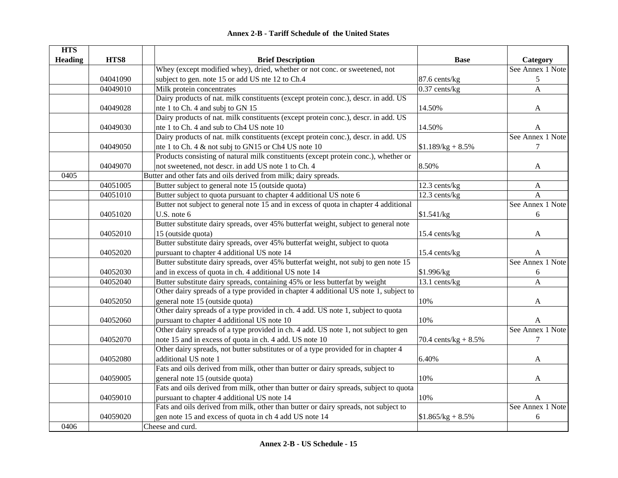| <b>Annex 2-B - Tariff Schedule of the United States</b> |  |
|---------------------------------------------------------|--|
|---------------------------------------------------------|--|

| <b>HTS</b>     |          |                                                                                       |                         |                  |
|----------------|----------|---------------------------------------------------------------------------------------|-------------------------|------------------|
| <b>Heading</b> | HTS8     | <b>Brief Description</b>                                                              | <b>Base</b>             | Category         |
|                |          | Whey (except modified whey), dried, whether or not conc. or sweetened, not            |                         | See Annex 1 Note |
|                | 04041090 | subject to gen. note 15 or add US nte 12 to Ch.4                                      | 87.6 cents/kg           | 5                |
|                | 04049010 | Milk protein concentrates                                                             | $\sqrt{0.37}$ cents/kg  | A                |
|                |          | Dairy products of nat. milk constituents (except protein conc.), descr. in add. US    |                         |                  |
|                | 04049028 | nte 1 to Ch. 4 and subj to GN 15                                                      | 14.50%                  | A                |
|                |          | Dairy products of nat. milk constituents (except protein conc.), descr. in add. US    |                         |                  |
|                | 04049030 | nte 1 to Ch. 4 and sub to Ch4 US note 10                                              | 14.50%                  | A                |
|                |          | Dairy products of nat. milk constituents (except protein conc.), descr. in add. US    |                         | See Annex 1 Note |
|                | 04049050 | nte 1 to Ch. 4 & not subj to GN15 or Ch4 US note 10                                   | $$1.189/kg + 8.5\%$     | $\tau$           |
|                |          | Products consisting of natural milk constituents (except protein conc.), whether or   |                         |                  |
|                | 04049070 | not sweetened, not descr. in add US note 1 to Ch. 4                                   | 8.50%                   | A                |
| 0405           |          | Butter and other fats and oils derived from milk; dairy spreads.                      |                         |                  |
|                | 04051005 | Butter subject to general note 15 (outside quota)                                     | 12.3 cents/kg           | $\mathbf{A}$     |
|                | 04051010 | Butter subject to quota pursuant to chapter 4 additional US note 6                    | 12.3 cents/kg           | A                |
|                |          | Butter not subject to general note 15 and in excess of quota in chapter 4 additional  |                         | See Annex 1 Note |
|                | 04051020 | U.S. note 6                                                                           | \$1.541/kg              | 6                |
|                |          | Butter substitute dairy spreads, over 45% butterfat weight, subject to general note   |                         |                  |
|                | 04052010 | 15 (outside quota)                                                                    | 15.4 cents/kg           | A                |
|                |          | Butter substitute dairy spreads, over 45% butterfat weight, subject to quota          |                         |                  |
|                | 04052020 | pursuant to chapter 4 additional US note 14                                           | 15.4 cents/kg           | A                |
|                |          | Butter substitute dairy spreads, over 45% butterfat weight, not subj to gen note 15   |                         | See Annex 1 Note |
|                | 04052030 | and in excess of quota in ch. 4 additional US note 14                                 | \$1.996/kg              | 6                |
|                | 04052040 | Butter substitute dairy spreads, containing 45% or less butterfat by weight           | 13.1 cents/kg           | $\overline{A}$   |
|                |          | Other dairy spreads of a type provided in chapter 4 additional US note 1, subject to  |                         |                  |
|                | 04052050 | general note 15 (outside quota)                                                       | 10%                     | A                |
|                |          | Other dairy spreads of a type provided in ch. 4 add. US note 1, subject to quota      |                         |                  |
|                | 04052060 | pursuant to chapter 4 additional US note 10                                           | 10%                     | A                |
|                |          | Other dairy spreads of a type provided in ch. 4 add. US note 1, not subject to gen    |                         | See Annex 1 Note |
|                | 04052070 | note 15 and in excess of quota in ch. 4 add. US note 10                               | 70.4 cents/kg + $8.5\%$ | $\tau$           |
|                |          | Other dairy spreads, not butter substitutes or of a type provided for in chapter 4    |                         |                  |
|                | 04052080 | additional US note 1                                                                  | 6.40%                   | A                |
|                |          | Fats and oils derived from milk, other than butter or dairy spreads, subject to       |                         |                  |
|                | 04059005 | general note 15 (outside quota)                                                       | 10%                     | A                |
|                |          | Fats and oils derived from milk, other than butter or dairy spreads, subject to quota |                         |                  |
|                | 04059010 | pursuant to chapter 4 additional US note 14                                           | 10%                     | A                |
|                |          | Fats and oils derived from milk, other than butter or dairy spreads, not subject to   |                         | See Annex 1 Note |
|                | 04059020 | gen note 15 and excess of quota in ch 4 add US note 14                                | $$1.865/kg + 8.5\%$     | 6                |
| 0406           |          | Cheese and curd.                                                                      |                         |                  |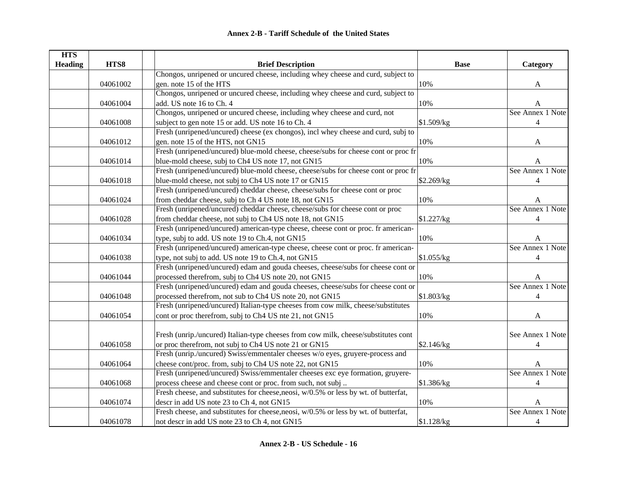| <b>HTS</b>     |          |                                                                                      |             |                  |
|----------------|----------|--------------------------------------------------------------------------------------|-------------|------------------|
| <b>Heading</b> | HTS8     | <b>Brief Description</b>                                                             | <b>Base</b> | Category         |
|                |          | Chongos, unripened or uncured cheese, including whey cheese and curd, subject to     |             |                  |
|                | 04061002 | gen. note 15 of the HTS                                                              | 10%         | A                |
|                |          | Chongos, unripened or uncured cheese, including whey cheese and curd, subject to     |             |                  |
|                | 04061004 | add. US note 16 to Ch. 4                                                             | 10%         | A                |
|                |          | Chongos, unripened or uncured cheese, including whey cheese and curd, not            |             | See Annex 1 Note |
|                | 04061008 | subject to gen note 15 or add. US note 16 to Ch. 4                                   | \$1.509/kg  | 4                |
|                |          | Fresh (unripened/uncured) cheese (ex chongos), incl whey cheese and curd, subj to    |             |                  |
|                | 04061012 | gen. note 15 of the HTS, not GN15                                                    | 10%         | $\mathbf{A}$     |
|                |          | Fresh (unripened/uncured) blue-mold cheese, cheese/subs for cheese cont or proc fr   |             |                  |
|                | 04061014 | blue-mold cheese, subj to Ch4 US note 17, not GN15                                   | 10%         | A                |
|                |          | Fresh (unripened/uncured) blue-mold cheese, cheese/subs for cheese cont or proc fr   |             | See Annex 1 Note |
|                | 04061018 | blue-mold cheese, not subj to Ch4 US note 17 or GN15                                 | \$2.269/kg  | 4                |
|                |          | Fresh (unripened/uncured) cheddar cheese, cheese/subs for cheese cont or proc        |             |                  |
|                | 04061024 | from cheddar cheese, subj to Ch 4 US note 18, not GN15                               | 10%         | A                |
|                |          | Fresh (unripened/uncured) cheddar cheese, cheese/subs for cheese cont or proc        |             | See Annex 1 Note |
|                | 04061028 | from cheddar cheese, not subj to Ch4 US note 18, not GN15                            | \$1.227/kg  | 4                |
|                |          | Fresh (unripened/uncured) american-type cheese, cheese cont or proc. fr american-    |             |                  |
|                | 04061034 | type, subj to add. US note 19 to Ch.4, not GN15                                      | 10%         | A                |
|                |          | Fresh (unripened/uncured) american-type cheese, cheese cont or proc. fr american-    |             | See Annex 1 Note |
|                | 04061038 | type, not subj to add. US note 19 to Ch.4, not GN15                                  | \$1.055/kg  | 4                |
|                |          | Fresh (unripened/uncured) edam and gouda cheeses, cheese/subs for cheese cont or     |             |                  |
|                | 04061044 | processed therefrom, subj to Ch4 US note 20, not GN15                                | 10%         | A                |
|                |          | Fresh (unripened/uncured) edam and gouda cheeses, cheese/subs for cheese cont or     |             | See Annex 1 Note |
|                | 04061048 | processed therefrom, not sub to Ch4 US note 20, not GN15                             | \$1.803/kg  | $\overline{4}$   |
|                |          | Fresh (unripened/uncured) Italian-type cheeses from cow milk, cheese/substitutes     |             |                  |
|                | 04061054 | cont or proc therefrom, subj to Ch4 US nte 21, not GN15                              | 10%         | $\mathbf{A}$     |
|                |          |                                                                                      |             |                  |
|                |          | Fresh (unrip./uncured) Italian-type cheeses from cow milk, cheese/substitutes cont   |             | See Annex 1 Note |
|                | 04061058 | or proc therefrom, not subj to Ch4 US note 21 or GN15                                | \$2.146/kg  | 4                |
|                |          | Fresh (unrip./uncured) Swiss/emmentaler cheeses w/o eyes, gruyere-process and        |             |                  |
|                | 04061064 | cheese cont/proc. from, subj to Ch4 US note 22, not GN15                             | 10%         | A                |
|                |          | Fresh (unripened/uncured) Swiss/emmentaler cheeses exc eye formation, gruyere-       |             | See Annex 1 Note |
|                | 04061068 | process cheese and cheese cont or proc. from such, not subj                          | \$1.386/kg  | 4                |
|                |          | Fresh cheese, and substitutes for cheese, neosi, w/0.5% or less by wt. of butterfat, |             |                  |
|                | 04061074 | descr in add US note 23 to Ch 4, not GN15                                            | 10%         | A                |
|                |          | Fresh cheese, and substitutes for cheese, neosi, w/0.5% or less by wt. of butterfat, |             | See Annex 1 Note |
|                | 04061078 | not descr in add US note 23 to Ch 4, not GN15                                        | \$1.128/kg  | $\overline{4}$   |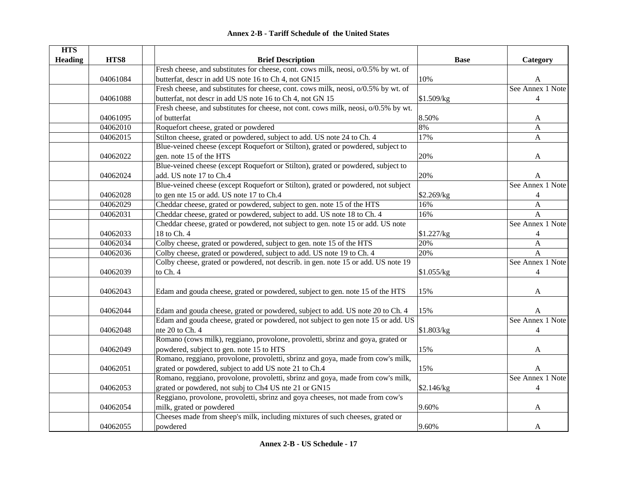| <b>HTS</b>     |          |                                                                                     |             |                  |
|----------------|----------|-------------------------------------------------------------------------------------|-------------|------------------|
| <b>Heading</b> | HTS8     | <b>Brief Description</b>                                                            | <b>Base</b> | Category         |
|                |          | Fresh cheese, and substitutes for cheese, cont. cows milk, neosi, o/0.5% by wt. of  |             |                  |
|                | 04061084 | butterfat, descr in add US note 16 to Ch 4, not GN15                                | 10%         | A                |
|                |          | Fresh cheese, and substitutes for cheese, cont. cows milk, neosi, o/0.5% by wt. of  |             | See Annex 1 Note |
|                | 04061088 | butterfat, not descr in add US note 16 to Ch 4, not GN 15                           | \$1.509/kg  | $\overline{4}$   |
|                |          | Fresh cheese, and substitutes for cheese, not cont. cows milk, neosi, o/0.5% by wt. |             |                  |
|                | 04061095 | of butterfat                                                                        | 8.50%       | A                |
|                | 04062010 | Roquefort cheese, grated or powdered                                                | 8%          | $\mathbf{A}$     |
|                | 04062015 | Stilton cheese, grated or powdered, subject to add. US note 24 to Ch. 4             | 17%         | $\overline{A}$   |
|                |          | Blue-veined cheese (except Roquefort or Stilton), grated or powdered, subject to    |             |                  |
|                | 04062022 | gen. note 15 of the HTS                                                             | 20%         | A                |
|                |          | Blue-veined cheese (except Roquefort or Stilton), grated or powdered, subject to    |             |                  |
|                | 04062024 | add. US note 17 to Ch.4                                                             | 20%         | A                |
|                |          | Blue-veined cheese (except Roquefort or Stilton), grated or powdered, not subject   |             | See Annex 1 Note |
|                | 04062028 | to gen nte 15 or add. US note 17 to Ch.4                                            | \$2.269/kg  | $\overline{4}$   |
|                | 04062029 | Cheddar cheese, grated or powdered, subject to gen. note 15 of the HTS              | 16%         | $\mathbf{A}$     |
|                | 04062031 | Cheddar cheese, grated or powdered, subject to add. US note 18 to Ch. 4             | 16%         | $\overline{A}$   |
|                |          | Cheddar cheese, grated or powdered, not subject to gen. note 15 or add. US note     |             | See Annex 1 Note |
|                | 04062033 | 18 to Ch. 4                                                                         | \$1.227/kg  | $\overline{4}$   |
|                | 04062034 | Colby cheese, grated or powdered, subject to gen. note 15 of the HTS                | 20%         | $\mathbf{A}$     |
|                | 04062036 | Colby cheese, grated or powdered, subject to add. US note 19 to Ch. 4               | 20%         | A                |
|                |          | Colby cheese, grated or powdered, not describ. in gen. note 15 or add. US note 19   |             | See Annex 1 Note |
|                | 04062039 | to Ch. 4                                                                            | \$1.055/kg  | $\overline{4}$   |
|                |          |                                                                                     |             |                  |
|                | 04062043 | Edam and gouda cheese, grated or powdered, subject to gen. note 15 of the HTS       | 15%         | A                |
|                |          |                                                                                     |             |                  |
|                | 04062044 | Edam and gouda cheese, grated or powdered, subject to add. US note 20 to Ch. 4      | 15%         | A                |
|                |          | Edam and gouda cheese, grated or powdered, not subject to gen note 15 or add. US    |             | See Annex 1 Note |
|                | 04062048 | nte 20 to Ch. 4                                                                     | \$1.803/kg  | $\overline{4}$   |
|                |          | Romano (cows milk), reggiano, provolone, provoletti, sbrinz and goya, grated or     |             |                  |
|                | 04062049 | powdered, subject to gen. note 15 to HTS                                            | 15%         | A                |
|                |          | Romano, reggiano, provolone, provoletti, sbrinz and goya, made from cow's milk,     |             |                  |
|                | 04062051 | grated or powdered, subject to add US note 21 to Ch.4                               | 15%         | A                |
|                |          | Romano, reggiano, provolone, provoletti, sbrinz and goya, made from cow's milk,     |             | See Annex 1 Note |
|                | 04062053 | grated or powdered, not subj to Ch4 US nte 21 or GN15                               | \$2.146/kg  | $\overline{4}$   |
|                |          | Reggiano, provolone, provoletti, sbrinz and goya cheeses, not made from cow's       |             |                  |
|                | 04062054 | milk, grated or powdered                                                            | 9.60%       | A                |
|                |          | Cheeses made from sheep's milk, including mixtures of such cheeses, grated or       |             |                  |
|                |          |                                                                                     |             |                  |
|                | 04062055 | powdered                                                                            | 9.60%       | A                |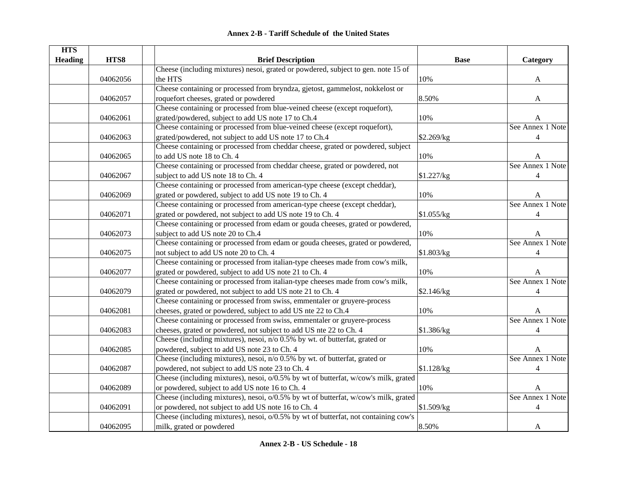| <b>HTS</b>     |          |                                                                                     |             |                  |
|----------------|----------|-------------------------------------------------------------------------------------|-------------|------------------|
| <b>Heading</b> | HTS8     | <b>Brief Description</b>                                                            | <b>Base</b> | Category         |
|                |          | Cheese (including mixtures) nesoi, grated or powdered, subject to gen. note 15 of   |             |                  |
|                | 04062056 | the HTS                                                                             | 10%         | A                |
|                |          | Cheese containing or processed from bryndza, gjetost, gammelost, nokkelost or       |             |                  |
|                | 04062057 | roquefort cheeses, grated or powdered                                               | 8.50%       | A                |
|                |          | Cheese containing or processed from blue-veined cheese (except roquefort),          |             |                  |
|                | 04062061 | grated/powdered, subject to add US note 17 to Ch.4                                  | 10%         | A                |
|                |          | Cheese containing or processed from blue-veined cheese (except roquefort),          |             | See Annex 1 Note |
|                | 04062063 | grated/powdered, not subject to add US note 17 to Ch.4                              | \$2.269/kg  | 4                |
|                |          | Cheese containing or processed from cheddar cheese, grated or powdered, subject     |             |                  |
|                | 04062065 | to add US note 18 to Ch. 4                                                          | 10%         | A                |
|                |          | Cheese containing or processed from cheddar cheese, grated or powdered, not         |             | See Annex 1 Note |
|                | 04062067 | subject to add US note 18 to Ch. 4                                                  | \$1.227/kg  | $\overline{4}$   |
|                |          | Cheese containing or processed from american-type cheese (except cheddar),          |             |                  |
|                | 04062069 | grated or powdered, subject to add US note 19 to Ch. 4                              | 10%         | A                |
|                |          | Cheese containing or processed from american-type cheese (except cheddar),          |             | See Annex 1 Note |
|                | 04062071 | grated or powdered, not subject to add US note 19 to Ch. 4                          | \$1.055/kg  | $\overline{4}$   |
|                |          | Cheese containing or processed from edam or gouda cheeses, grated or powdered,      |             |                  |
|                | 04062073 | subject to add US note 20 to Ch.4                                                   | 10%         | A                |
|                |          | Cheese containing or processed from edam or gouda cheeses, grated or powdered,      |             | See Annex 1 Note |
|                | 04062075 | not subject to add US note 20 to Ch. 4                                              | \$1.803/kg  | 4                |
|                |          | Cheese containing or processed from italian-type cheeses made from cow's milk,      |             |                  |
|                | 04062077 | grated or powdered, subject to add US note 21 to Ch. 4                              | 10%         | A                |
|                |          | Cheese containing or processed from italian-type cheeses made from cow's milk,      |             | See Annex 1 Note |
|                | 04062079 | grated or powdered, not subject to add US note 21 to Ch. 4                          | \$2.146/kg  | $\overline{4}$   |
|                |          | Cheese containing or processed from swiss, emmentaler or gruyere-process            |             |                  |
|                | 04062081 | cheeses, grated or powdered, subject to add US nte 22 to Ch.4                       | 10%         | A                |
|                |          | Cheese containing or processed from swiss, emmentaler or gruyere-process            |             | See Annex 1 Note |
|                | 04062083 | cheeses, grated or powdered, not subject to add US nte 22 to Ch. 4                  | \$1.386/kg  | 4                |
|                |          | Cheese (including mixtures), nesoi, n/o 0.5% by wt. of butterfat, grated or         |             |                  |
|                | 04062085 | powdered, subject to add US note 23 to Ch. 4                                        | 10%         | A                |
|                |          | Cheese (including mixtures), nesoi, n/o 0.5% by wt. of butterfat, grated or         |             | See Annex 1 Note |
|                | 04062087 | powdered, not subject to add US note 23 to Ch. 4                                    | \$1.128/kg  | $\overline{4}$   |
|                |          | Cheese (including mixtures), nesoi, o/0.5% by wt of butterfat, w/cow's milk, grated |             |                  |
|                | 04062089 | or powdered, subject to add US note 16 to Ch. 4                                     | 10%         | A                |
|                |          | Cheese (including mixtures), nesoi, o/0.5% by wt of butterfat, w/cow's milk, grated |             | See Annex 1 Note |
|                | 04062091 | or powdered, not subject to add US note 16 to Ch. 4                                 | \$1.509/kg  | 4                |
|                |          | Cheese (including mixtures), nesoi, o/0.5% by wt of butterfat, not containing cow's |             |                  |
|                |          |                                                                                     |             |                  |
|                | 04062095 | milk, grated or powdered                                                            | 8.50%       | A                |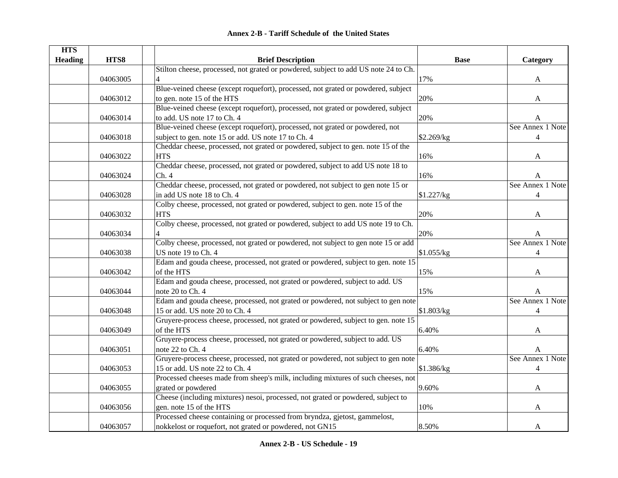|  | <b>Annex 2-B - Tariff Schedule of the United States</b> |  |
|--|---------------------------------------------------------|--|
|--|---------------------------------------------------------|--|

| <b>HTS</b>     |          |                                                                                     |             |                  |
|----------------|----------|-------------------------------------------------------------------------------------|-------------|------------------|
| <b>Heading</b> | HTS8     | <b>Brief Description</b>                                                            | <b>Base</b> | Category         |
|                |          | Stilton cheese, processed, not grated or powdered, subject to add US note 24 to Ch. |             |                  |
|                | 04063005 | $\overline{\mathcal{A}}$                                                            | 17%         | A                |
|                |          | Blue-veined cheese (except roquefort), processed, not grated or powdered, subject   |             |                  |
|                | 04063012 | to gen. note 15 of the HTS                                                          | 20%         | A                |
|                |          | Blue-veined cheese (except roquefort), processed, not grated or powdered, subject   |             |                  |
|                | 04063014 | to add. US note 17 to Ch. 4                                                         | 20%         | A                |
|                |          | Blue-veined cheese (except roquefort), processed, not grated or powdered, not       |             | See Annex 1 Note |
|                | 04063018 | subject to gen. note 15 or add. US note 17 to Ch. 4                                 | \$2.269/kg  | $\overline{4}$   |
|                |          | Cheddar cheese, processed, not grated or powdered, subject to gen. note 15 of the   |             |                  |
|                | 04063022 | <b>HTS</b>                                                                          | 16%         | A                |
|                |          | Cheddar cheese, processed, not grated or powdered, subject to add US note 18 to     |             |                  |
|                | 04063024 | Ch.4                                                                                | 16%         | A                |
|                |          | Cheddar cheese, processed, not grated or powdered, not subject to gen note 15 or    |             | See Annex 1 Note |
|                | 04063028 | in add US note 18 to Ch. 4                                                          | \$1.227/kg  | $\overline{4}$   |
|                |          | Colby cheese, processed, not grated or powdered, subject to gen. note 15 of the     |             |                  |
|                | 04063032 | <b>HTS</b>                                                                          | 20%         | A                |
|                |          | Colby cheese, processed, not grated or powdered, subject to add US note 19 to Ch.   |             |                  |
|                | 04063034 |                                                                                     | 20%         | А                |
|                |          | Colby cheese, processed, not grated or powdered, not subject to gen note 15 or add  |             | See Annex 1 Note |
|                | 04063038 | US note 19 to Ch. 4                                                                 | \$1.055/kg  | $\overline{4}$   |
|                |          | Edam and gouda cheese, processed, not grated or powdered, subject to gen. note 15   |             |                  |
|                | 04063042 | of the HTS                                                                          | 15%         | A                |
|                |          | Edam and gouda cheese, processed, not grated or powdered, subject to add. US        |             |                  |
|                | 04063044 | note 20 to Ch. 4                                                                    | 15%         | A                |
|                |          | Edam and gouda cheese, processed, not grated or powdered, not subject to gen note   |             | See Annex 1 Note |
|                | 04063048 | 15 or add. US note 20 to Ch. 4                                                      | \$1.803/kg  | $\overline{4}$   |
|                |          | Gruyere-process cheese, processed, not grated or powdered, subject to gen. note 15  |             |                  |
|                | 04063049 | of the HTS                                                                          | 6.40%       | A                |
|                |          | Gruyere-process cheese, processed, not grated or powdered, subject to add. US       |             |                  |
|                | 04063051 | note 22 to Ch. 4                                                                    | 6.40%       | A                |
|                |          | Gruyere-process cheese, processed, not grated or powdered, not subject to gen note  |             | See Annex 1 Note |
|                | 04063053 | 15 or add. US note 22 to Ch. 4                                                      | \$1.386/kg  | $\overline{4}$   |
|                |          | Processed cheeses made from sheep's milk, including mixtures of such cheeses, not   |             |                  |
|                | 04063055 | grated or powdered                                                                  | 9.60%       | A                |
|                |          | Cheese (including mixtures) nesoi, processed, not grated or powdered, subject to    |             |                  |
|                | 04063056 | gen. note 15 of the HTS                                                             | 10%         | A                |
|                |          | Processed cheese containing or processed from bryndza, gjetost, gammelost,          |             |                  |
|                | 04063057 | nokkelost or roquefort, not grated or powdered, not GN15                            | 8.50%       | A                |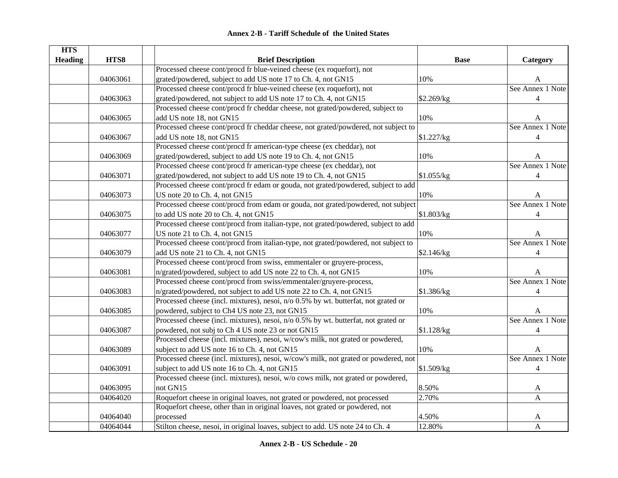| HTS8<br><b>Heading</b><br><b>Brief Description</b>                                         |                 |                  |
|--------------------------------------------------------------------------------------------|-----------------|------------------|
|                                                                                            | <b>Base</b>     | Category         |
| Processed cheese cont/procd fr blue-veined cheese (ex roquefort), not                      |                 |                  |
| 04063061<br>grated/powdered, subject to add US note 17 to Ch. 4, not GN15                  | 10%             | A                |
| Processed cheese cont/procd fr blue-veined cheese (ex roquefort), not                      |                 | See Annex 1 Note |
| grated/powdered, not subject to add US note 17 to Ch. 4, not GN15<br>04063063              | \$2.269/kg      | $\overline{4}$   |
| Processed cheese cont/procd fr cheddar cheese, not grated/powdered, subject to             |                 |                  |
| add US note 18, not GN15<br>04063065                                                       | 10%             | A                |
| Processed cheese cont/procd fr cheddar cheese, not grated/powdered, not subject to         |                 | See Annex 1 Note |
| add US note 18, not GN15<br>04063067                                                       | \$1.227/kg      | $\overline{4}$   |
| Processed cheese cont/procd fr american-type cheese (ex cheddar), not                      |                 |                  |
| grated/powdered, subject to add US note 19 to Ch. 4, not GN15<br>04063069                  | 10%             | A                |
| Processed cheese cont/procd fr american-type cheese (ex cheddar), not                      |                 | See Annex 1 Note |
| grated/powdered, not subject to add US note 19 to Ch. 4, not GN15<br>04063071              | \$1.055/kg      | $\overline{4}$   |
| Processed cheese cont/procd fr edam or gouda, not grated/powdered, subject to add          |                 |                  |
| US note 20 to Ch. 4, not GN15<br>04063073                                                  | 10%             | A                |
| Processed cheese cont/procd from edam or gouda, not grated/powdered, not subject           |                 | See Annex 1 Note |
| to add US note 20 to Ch. 4, not GN15<br>04063075                                           | \$1.803/kg      | $\overline{4}$   |
| Processed cheese cont/procd from italian-type, not grated/powdered, subject to add         |                 |                  |
| US note 21 to Ch. 4, not GN15<br>04063077                                                  | 10%             | A                |
| Processed cheese cont/procd from italian-type, not grated/powdered, not subject to         |                 | See Annex 1 Note |
| add US note 21 to Ch. 4, not GN15<br>04063079                                              | \$2.146/kg      | $\overline{4}$   |
| Processed cheese cont/procd from swiss, emmentaler or gruyere-process,                     |                 |                  |
| n/grated/powdered, subject to add US note 22 to Ch. 4, not GN15<br>04063081                | 10%             | A                |
| Processed cheese cont/procd from swiss/emmentaler/gruyere-process,                         |                 | See Annex 1 Note |
| n/grated/powdered, not subject to add US note 22 to Ch. 4, not GN15<br>04063083            | \$1.386/kg      | $\overline{4}$   |
| Processed cheese (incl. mixtures), nesoi, n/o 0.5% by wt. butterfat, not grated or         |                 |                  |
| powdered, subject to Ch4 US note 23, not GN15<br>04063085                                  | 10%             | A                |
| Processed cheese (incl. mixtures), nesoi, n/o 0.5% by wt. butterfat, not grated or         |                 | See Annex 1 Note |
| powdered, not subj to Ch 4 US note 23 or not GN15<br>04063087                              | \$1.128/kg      | 4                |
| Processed cheese (incl. mixtures), nesoi, w/cow's milk, not grated or powdered,            |                 |                  |
| subject to add US note 16 to Ch. 4, not GN15<br>04063089                                   | 10%             | A                |
| Processed cheese (incl. mixtures), nesoi, w/cow's milk, not grated or powdered, not        |                 | See Annex 1 Note |
| 04063091<br>subject to add US note 16 to Ch. 4, not GN15                                   | \$1.509/kg      | $\overline{4}$   |
| Processed cheese (incl. mixtures), nesoi, w/o cows milk, not grated or powdered,           |                 |                  |
| not GN15<br>04063095                                                                       | 8.50%           | A                |
| Roquefort cheese in original loaves, not grated or powdered, not processed<br>04064020     | $\sqrt{2.70\%}$ | A                |
| Roquefort cheese, other than in original loaves, not grated or powdered, not               |                 |                  |
| processed<br>04064040                                                                      | 4.50%           | A                |
| 04064044<br>Stilton cheese, nesoi, in original loaves, subject to add. US note 24 to Ch. 4 | 12.80%          | A                |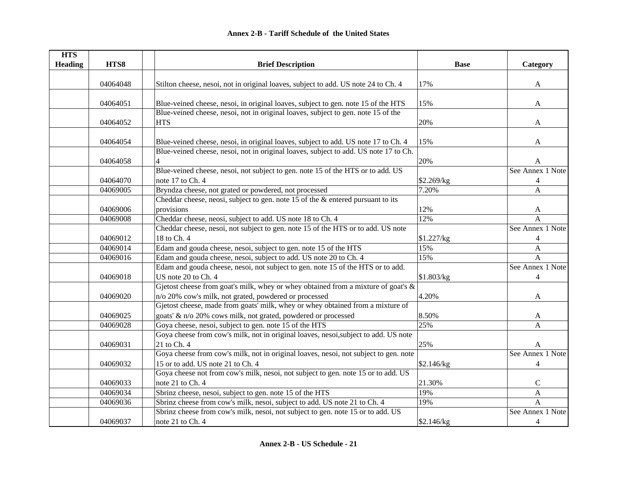| <b>HTS</b>     |          |                                                                                      |             |                  |
|----------------|----------|--------------------------------------------------------------------------------------|-------------|------------------|
| <b>Heading</b> | HTS8     | <b>Brief Description</b>                                                             | <b>Base</b> | Category         |
|                | 04064048 | Stilton cheese, nesoi, not in original loaves, subject to add. US note 24 to Ch. 4   | 17%         | A                |
|                |          |                                                                                      |             |                  |
|                | 04064051 | Blue-veined cheese, nesoi, in original loaves, subject to gen. note 15 of the HTS    | 15%         | A                |
|                |          | Blue-veined cheese, nesoi, not in original loaves, subject to gen. note 15 of the    |             |                  |
|                | 04064052 | <b>HTS</b>                                                                           | 20%         | A                |
|                | 04064054 | Blue-veined cheese, nesoi, in original loaves, subject to add. US note 17 to Ch. 4   | 15%         | A                |
|                |          | Blue-veined cheese, nesoi, not in original loaves, subject to add. US note 17 to Ch. |             |                  |
|                | 04064058 |                                                                                      | 20%         | A                |
|                |          | Blue-veined cheese, nesoi, not subject to gen. note 15 of the HTS or to add. US      |             | See Annex 1 Note |
|                | 04064070 | note 17 to Ch. 4                                                                     | \$2.269/kg  | 4                |
|                | 04069005 | Bryndza cheese, not grated or powdered, not processed                                | 7.20%       | $\overline{A}$   |
|                |          | Cheddar cheese, neosi, subject to gen. note 15 of the $\&$ entered pursuant to its   |             |                  |
|                | 04069006 | provisions                                                                           | 12%         | A                |
|                | 04069008 | Cheddar cheese, neosi, subject to add. US note 18 to Ch. 4                           | 12%         | A                |
|                |          | Cheddar cheese, nesoi, not subject to gen. note 15 of the HTS or to add. US note     |             | See Annex 1 Note |
|                | 04069012 | 18 to Ch. 4                                                                          | \$1.227/kg  | $\overline{4}$   |
|                | 04069014 | Edam and gouda cheese, nesoi, subject to gen. note 15 of the HTS                     | 15%         | $\boldsymbol{A}$ |
|                | 04069016 | Edam and gouda cheese, nesoi, subject to add. US note 20 to Ch. 4                    | 15%         | $\mathbf{A}$     |
|                |          | Edam and gouda cheese, nesoi, not subject to gen. note 15 of the HTS or to add.      |             | See Annex 1 Note |
|                | 04069018 | US note 20 to Ch. 4                                                                  | \$1.803/kg  | $\overline{4}$   |
|                |          | Gjetost cheese from goat's milk, whey or whey obtained from a mixture of goat's $\&$ |             |                  |
|                | 04069020 | n/o 20% cow's milk, not grated, powdered or processed                                | 4.20%       | A                |
|                |          | Gjetost cheese, made from goats' milk, whey or whey obtained from a mixture of       |             |                  |
|                | 04069025 | goats' & n/o 20% cows milk, not grated, powdered or processed                        | 8.50%       | A                |
|                | 04069028 | Goya cheese, nesoi, subject to gen. note 15 of the HTS                               | 25%         | $\mathsf{A}$     |
|                |          | Goya cheese from cow's milk, not in original loaves, nesoi, subject to add. US note  |             |                  |
|                | 04069031 | 21 to Ch. 4                                                                          | 25%         | A                |
|                |          | Goya cheese from cow's milk, not in original loaves, nesoi, not subject to gen. note |             | See Annex 1 Note |
|                | 04069032 | 15 or to add. US note 21 to Ch. 4                                                    | \$2.146/kg  | $\overline{4}$   |
|                |          | Goya cheese not from cow's milk, nesoi, not subject to gen. note 15 or to add. US    |             |                  |
|                | 04069033 | note 21 to Ch. 4                                                                     | 21.30%      | $\mathsf{C}$     |
|                | 04069034 | Sbrinz cheese, nesoi, subject to gen. note 15 of the HTS                             | 19%         | A                |
|                | 04069036 | Sbrinz cheese from cow's milk, nesoi, subject to add. US note 21 to Ch. 4            | 19%         | $\mathbf{A}$     |
|                |          | Sbrinz cheese from cow's milk, nesoi, not subject to gen. note 15 or to add. US      |             | See Annex 1 Note |
|                | 04069037 | note 21 to Ch. 4                                                                     | \$2.146/kg  | 4                |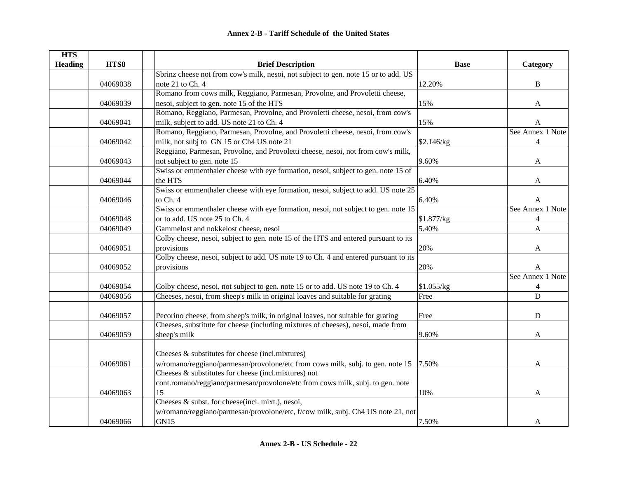| <b>HTS</b>     |          |                                                                                      |             |                  |
|----------------|----------|--------------------------------------------------------------------------------------|-------------|------------------|
| <b>Heading</b> | HTS8     | <b>Brief Description</b>                                                             | <b>Base</b> | Category         |
|                |          | Sbrinz cheese not from cow's milk, nesoi, not subject to gen. note 15 or to add. US  |             |                  |
|                | 04069038 | note 21 to Ch. 4                                                                     | 12.20%      | B                |
|                |          | Romano from cows milk, Reggiano, Parmesan, Provolne, and Provoletti cheese,          |             |                  |
|                | 04069039 | nesoi, subject to gen. note 15 of the HTS                                            | 15%         | $\mathbf{A}$     |
|                |          | Romano, Reggiano, Parmesan, Provolne, and Provoletti cheese, nesoi, from cow's       |             |                  |
|                | 04069041 | milk, subject to add. US note 21 to Ch. 4                                            | 15%         | A                |
|                |          | Romano, Reggiano, Parmesan, Provolne, and Provoletti cheese, nesoi, from cow's       |             | See Annex 1 Note |
|                | 04069042 | milk, not subj to GN 15 or Ch4 US note 21                                            | \$2.146/kg  | $\overline{4}$   |
|                |          | Reggiano, Parmesan, Provolne, and Provoletti cheese, nesoi, not from cow's milk,     |             |                  |
|                | 04069043 | not subject to gen. note 15                                                          | 9.60%       | $\mathbf{A}$     |
|                |          | Swiss or emmenthaler cheese with eye formation, nesoi, subject to gen. note 15 of    |             |                  |
|                | 04069044 | the HTS                                                                              | 6.40%       | A                |
|                |          | Swiss or emmenthaler cheese with eye formation, nesoi, subject to add. US note 25    |             |                  |
|                | 04069046 | to Ch. 4                                                                             | 6.40%       | A                |
|                |          | Swiss or emmenthaler cheese with eye formation, nesoi, not subject to gen. note 15   |             | See Annex 1 Note |
|                | 04069048 | or to add. US note 25 to Ch. 4                                                       | \$1.877/kg  | 4                |
|                | 04069049 | Gammelost and nokkelost cheese, nesoi                                                | 5.40%       | A                |
|                |          | Colby cheese, nesoi, subject to gen. note 15 of the HTS and entered pursuant to its  |             |                  |
|                | 04069051 | provisions                                                                           | 20%         | A                |
|                |          | Colby cheese, nesoi, subject to add. US note 19 to Ch. 4 and entered pursuant to its |             |                  |
|                | 04069052 | provisions                                                                           | 20%         | A                |
|                |          |                                                                                      |             | See Annex 1 Note |
|                | 04069054 | Colby cheese, nesoi, not subject to gen. note 15 or to add. US note 19 to Ch. 4      | \$1.055/kg  | $\overline{4}$   |
|                | 04069056 | Cheeses, nesoi, from sheep's milk in original loaves and suitable for grating        | Free        | $\overline{D}$   |
|                |          |                                                                                      |             |                  |
|                | 04069057 | Pecorino cheese, from sheep's milk, in original loaves, not suitable for grating     | Free        | $\mathbf D$      |
|                |          | Cheeses, substitute for cheese (including mixtures of cheeses), nesoi, made from     |             |                  |
|                | 04069059 | sheep's milk                                                                         | 9.60%       | A                |
|                |          |                                                                                      |             |                  |
|                |          | Cheeses $\&$ substitutes for cheese (incl.mixtures)                                  |             |                  |
|                | 04069061 | w/romano/reggiano/parmesan/provolone/etc from cows milk, subj. to gen. note 15       | 7.50%       | A                |
|                |          | Cheeses & substitutes for cheese (incl.mixtures) not                                 |             |                  |
|                |          | cont.romano/reggiano/parmesan/provolone/etc from cows milk, subj. to gen. note       |             |                  |
|                | 04069063 | 15                                                                                   | 10%         | A                |
|                |          | Cheeses & subst. for cheese(incl. mixt.), nesoi,                                     |             |                  |
|                |          | w/romano/reggiano/parmesan/provolone/etc, f/cow milk, subj. Ch4 US note 21, not      |             |                  |
|                | 04069066 | GN15                                                                                 | 7.50%       | A                |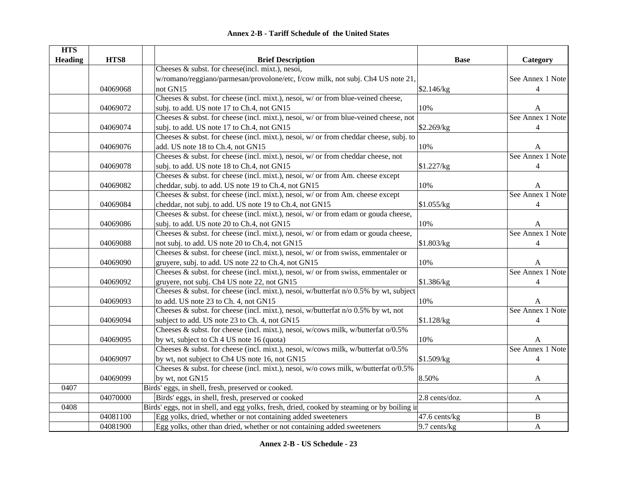|  | <b>Annex 2-B - Tariff Schedule of the United States</b> |  |  |  |
|--|---------------------------------------------------------|--|--|--|
|--|---------------------------------------------------------|--|--|--|

| <b>HTS</b>     |          |                                                                                             |                |                  |
|----------------|----------|---------------------------------------------------------------------------------------------|----------------|------------------|
| <b>Heading</b> | HTS8     | <b>Brief Description</b>                                                                    | <b>Base</b>    | Category         |
|                |          | Cheeses & subst. for cheese(incl. mixt.), nesoi,                                            |                |                  |
|                |          | w/romano/reggiano/parmesan/provolone/etc, f/cow milk, not subj. Ch4 US note 21,             |                | See Annex 1 Note |
|                | 04069068 | not GN15                                                                                    | \$2.146/kg     | $\overline{4}$   |
|                |          | Cheeses $\&$ subst. for cheese (incl. mixt.), nesoi, w/ or from blue-veined cheese,         |                |                  |
|                | 04069072 | subj. to add. US note 17 to Ch.4, not GN15                                                  | 10%            | A                |
|                |          | Cheeses $\&$ subst. for cheese (incl. mixt.), nesoi, w/ or from blue-veined cheese, not     |                | See Annex 1 Note |
|                | 04069074 | subj. to add. US note 17 to Ch.4, not GN15                                                  | \$2.269/kg     | $\overline{4}$   |
|                |          | Cheeses & subst. for cheese (incl. mixt.), nesoi, $w/$ or from cheddar cheese, subj. to     |                |                  |
|                | 04069076 | add. US note 18 to Ch.4, not GN15                                                           | 10%            | A                |
|                |          | Cheeses & subst. for cheese (incl. mixt.), nesoi, $w/$ or from cheddar cheese, not          |                | See Annex 1 Note |
|                | 04069078 | subj. to add. US note 18 to Ch.4, not GN15                                                  | \$1.227/kg     | $\overline{4}$   |
|                |          | Cheeses $\&$ subst. for cheese (incl. mixt.), nesoi, $w/$ or from Am. cheese except         |                |                  |
|                | 04069082 | cheddar, subj. to add. US note 19 to Ch.4, not GN15                                         | 10%            | A                |
|                |          | Cheeses $\&$ subst. for cheese (incl. mixt.), nesoi, $w/$ or from Am. cheese except         |                | See Annex 1 Note |
|                | 04069084 | cheddar, not subj. to add. US note 19 to Ch.4, not GN15                                     | \$1.055/kg     | $\overline{4}$   |
|                |          | Cheeses & subst. for cheese (incl. mixt.), nesoi, w/ or from edam or gouda cheese,          |                |                  |
|                | 04069086 | subj. to add. US note 20 to Ch.4, not GN15                                                  | 10%            | A                |
|                |          | Cheeses & subst. for cheese (incl. mixt.), nesoi, w/ or from edam or gouda cheese,          |                | See Annex 1 Note |
|                | 04069088 | not subj. to add. US note 20 to Ch.4, not GN15                                              | \$1.803/kg     | 4                |
|                |          | Cheeses $\&$ subst. for cheese (incl. mixt.), nesoi, w/ or from swiss, emmentaler or        |                |                  |
|                | 04069090 | gruyere, subj. to add. US note 22 to Ch.4, not GN15                                         | 10%            | A                |
|                |          | Cheeses & subst. for cheese (incl. mixt.), nesoi, $w/$ or from swiss, emmentaler or         |                | See Annex 1 Note |
|                | 04069092 | gruyere, not subj. Ch4 US note 22, not GN15                                                 | \$1.386/kg     | 4                |
|                |          | Cheeses & subst. for cheese (incl. mixt.), nesoi, w/butterfat n/o 0.5% by wt, subject       |                |                  |
|                | 04069093 | to add. US note 23 to Ch. 4, not GN15                                                       | 10%            | A                |
|                |          | Cheeses & subst. for cheese (incl. mixt.), nesoi, w/butterfat n/o 0.5% by wt, not           |                | See Annex 1 Note |
|                | 04069094 | subject to add. US note 23 to Ch. 4, not GN15                                               | \$1.128/kg     | $\overline{4}$   |
|                |          | Cheeses & subst. for cheese (incl. mixt.), nesoi, w/cows milk, w/butterfat o/0.5%           |                |                  |
|                | 04069095 | by wt, subject to Ch 4 US note 16 (quota)                                                   | 10%            | A                |
|                |          | Cheeses & subst. for cheese (incl. mixt.), nesoi, w/cows milk, w/butterfat o/0.5%           |                | See Annex 1 Note |
|                | 04069097 | by wt, not subject to Ch4 US note 16, not GN15                                              | \$1.509/kg     | $\overline{4}$   |
|                |          | Cheeses & subst. for cheese (incl. mixt.), nesoi, w/o cows milk, w/butterfat o/0.5%         |                |                  |
|                | 04069099 | by wt, not GN15                                                                             | 8.50%          | A                |
| 0407           |          | Birds' eggs, in shell, fresh, preserved or cooked.                                          |                |                  |
|                | 04070000 | Birds' eggs, in shell, fresh, preserved or cooked                                           | 2.8 cents/doz. | A                |
| 0408           |          | Birds' eggs, not in shell, and egg yolks, fresh, dried, cooked by steaming or by boiling in |                |                  |
|                | 04081100 | Egg yolks, dried, whether or not containing added sweeteners                                | 47.6 cents/kg  | $\bf{B}$         |
|                | 04081900 | Egg yolks, other than dried, whether or not containing added sweeteners                     | 9.7 cents/kg   | $\mathbf{A}$     |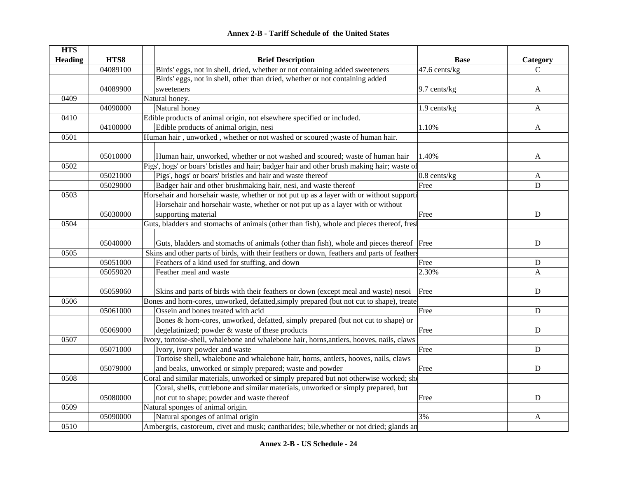| <b>HTS</b>     |          |                                                                                             |                   |                           |
|----------------|----------|---------------------------------------------------------------------------------------------|-------------------|---------------------------|
| <b>Heading</b> | HTS8     | <b>Brief Description</b>                                                                    | <b>Base</b>       | Category                  |
|                | 04089100 | Birds' eggs, not in shell, dried, whether or not containing added sweeteners                | 47.6 cents/kg     | $\mathcal{C}$             |
|                |          | Birds' eggs, not in shell, other than dried, whether or not containing added                |                   |                           |
|                | 04089900 | sweeteners                                                                                  | 9.7 cents/kg      | A                         |
| 0409           |          | Natural honey.                                                                              |                   |                           |
|                | 04090000 | Natural honey                                                                               | 1.9 cents/kg      | $\boldsymbol{\mathsf{A}}$ |
| 0410           |          | Edible products of animal origin, not elsewhere specified or included.                      |                   |                           |
|                | 04100000 | Edible products of animal origin, nesi                                                      | 1.10%             | $\mathbf{A}$              |
| 0501           |          | Human hair, unworked, whether or not washed or scoured; waste of human hair.                |                   |                           |
|                |          |                                                                                             |                   |                           |
|                | 05010000 | Human hair, unworked, whether or not washed and scoured; waste of human hair                | 1.40%             | A                         |
| 0502           |          | Pigs', hogs' or boars' bristles and hair; badger hair and other brush making hair; waste of |                   |                           |
|                | 05021000 | Pigs', hogs' or boars' bristles and hair and waste thereof                                  | $0.8$ cents/ $kg$ | A                         |
|                | 05029000 | Badger hair and other brushmaking hair, nesi, and waste thereof                             | Free              | D                         |
| 0503           |          | Horsehair and horsehair waste, whether or not put up as a layer with or without supportion  |                   |                           |
|                |          | Horsehair and horsehair waste, whether or not put up as a layer with or without             |                   |                           |
|                | 05030000 | supporting material                                                                         | Free              | $\mathbf D$               |
| 0504           |          | Guts, bladders and stomachs of animals (other than fish), whole and pieces thereof, fresh   |                   |                           |
|                |          |                                                                                             |                   |                           |
|                | 05040000 | Guts, bladders and stomachs of animals (other than fish), whole and pieces thereof Free     |                   | ${\bf D}$                 |
| 0505           |          | Skins and other parts of birds, with their feathers or down, feathers and parts of feathers |                   |                           |
|                | 05051000 | Feathers of a kind used for stuffing, and down                                              | Free              | ${\bf D}$                 |
|                | 05059020 | Feather meal and waste                                                                      | 2.30%             | $\mathbf{A}$              |
|                |          |                                                                                             |                   |                           |
|                | 05059060 | Skins and parts of birds with their feathers or down (except meal and waste) nesoi          | Free              | D                         |
| 0506           |          | Bones and horn-cores, unworked, defatted, simply prepared (but not cut to shape), treate    |                   |                           |
|                | 05061000 | Ossein and bones treated with acid                                                          | Free              | ${\bf D}$                 |
|                |          | Bones & horn-cores, unworked, defatted, simply prepared (but not cut to shape) or           |                   |                           |
|                | 05069000 | degelatinized; powder & waste of these products                                             | Free              | D                         |
| 0507           |          | Ivory, tortoise-shell, whalebone and whalebone hair, horns, antlers, hooves, nails, claws   |                   |                           |
|                | 05071000 | Ivory, ivory powder and waste                                                               | Free              | D                         |
|                |          | Tortoise shell, whalebone and whalebone hair, horns, antlers, hooves, nails, claws          |                   |                           |
|                | 05079000 | and beaks, unworked or simply prepared; waste and powder                                    | Free              | $\mathbf D$               |
| 0508           |          | Coral and similar materials, unworked or simply prepared but not otherwise worked; she      |                   |                           |
|                |          | Coral, shells, cuttlebone and similar materials, unworked or simply prepared, but           |                   |                           |
|                | 05080000 | not cut to shape; powder and waste thereof                                                  | Free              | D                         |
| 0509           |          | Natural sponges of animal origin.                                                           |                   |                           |
|                | 05090000 | Natural sponges of animal origin                                                            | 3%                | A                         |
| 0510           |          | Ambergris, castoreum, civet and musk; cantharides; bile, whether or not dried; glands an    |                   |                           |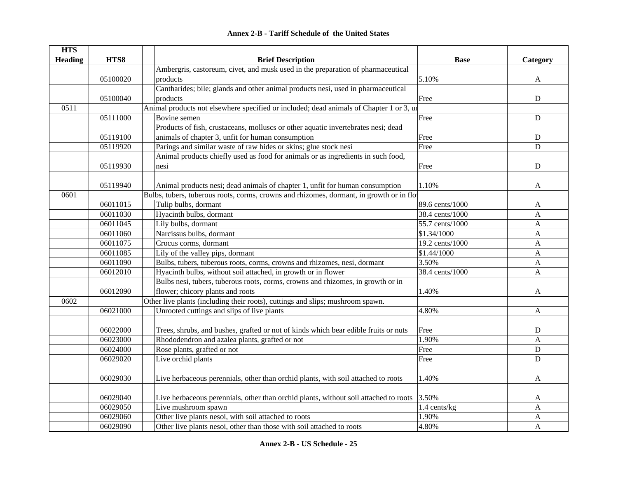| <b>HTS</b>     |          |                                                                                            |                 |                |
|----------------|----------|--------------------------------------------------------------------------------------------|-----------------|----------------|
| <b>Heading</b> | HTS8     | <b>Brief Description</b>                                                                   | <b>Base</b>     | Category       |
|                |          | Ambergris, castoreum, civet, and musk used in the preparation of pharmaceutical            |                 |                |
|                | 05100020 | products                                                                                   | 5.10%           | A              |
|                |          | Cantharides; bile; glands and other animal products nesi, used in pharmaceutical           |                 |                |
|                | 05100040 | products                                                                                   | Free            | ${\bf D}$      |
| 0511           |          | Animal products not elsewhere specified or included; dead animals of Chapter 1 or 3, un    |                 |                |
|                | 05111000 | Bovine semen                                                                               | Free            | ${\bf D}$      |
|                |          | Products of fish, crustaceans, molluscs or other aquatic invertebrates nesi; dead          |                 |                |
|                | 05119100 | animals of chapter 3, unfit for human consumption                                          | Free            | D              |
|                | 05119920 | Parings and similar waste of raw hides or skins; glue stock nesi                           | Free            | $\overline{D}$ |
|                |          | Animal products chiefly used as food for animals or as ingredients in such food,           |                 |                |
|                | 05119930 | nesi                                                                                       | Free            | ${\bf D}$      |
|                |          |                                                                                            |                 |                |
|                | 05119940 | Animal products nesi; dead animals of chapter 1, unfit for human consumption               | 1.10%           | A              |
| 0601           |          | Bulbs, tubers, tuberous roots, corms, crowns and rhizomes, dormant, in growth or in flo    |                 |                |
|                | 06011015 | Tulip bulbs, dormant                                                                       | 89.6 cents/1000 | A              |
|                | 06011030 | Hyacinth bulbs, dormant                                                                    | 38.4 cents/1000 | A              |
|                | 06011045 | Lily bulbs, dormant                                                                        | 55.7 cents/1000 | A              |
|                | 06011060 | Narcissus bulbs, dormant                                                                   | \$1.34/1000     | A              |
|                | 06011075 | Crocus corms, dormant                                                                      | 19.2 cents/1000 | A              |
|                | 06011085 | Lily of the valley pips, dormant                                                           | \$1.44/1000     | A              |
|                | 06011090 | Bulbs, tubers, tuberous roots, corms, crowns and rhizomes, nesi, dormant                   | 3.50%           | A              |
|                | 06012010 | Hyacinth bulbs, without soil attached, in growth or in flower                              | 38.4 cents/1000 | $\mathbf{A}$   |
|                |          | Bulbs nesi, tubers, tuberous roots, corms, crowns and rhizomes, in growth or in            |                 |                |
|                | 06012090 | flower; chicory plants and roots                                                           | 1.40%           | A              |
| 0602           |          | Other live plants (including their roots), cuttings and slips; mushroom spawn.             |                 |                |
|                | 06021000 | Unrooted cuttings and slips of live plants                                                 | 4.80%           | A              |
|                |          |                                                                                            |                 |                |
|                | 06022000 | Trees, shrubs, and bushes, grafted or not of kinds which bear edible fruits or nuts        | Free            | D              |
|                | 06023000 | Rhododendron and azalea plants, grafted or not                                             | 1.90%           | A              |
|                | 06024000 | Rose plants, grafted or not                                                                | Free            | $\mathbf D$    |
|                | 06029020 | Live orchid plants                                                                         | Free            | $\mathbf D$    |
|                |          |                                                                                            |                 |                |
|                | 06029030 | Live herbaceous perennials, other than orchid plants, with soil attached to roots          | 1.40%           | A              |
|                |          |                                                                                            |                 |                |
|                | 06029040 | Live herbaceous perennials, other than orchid plants, without soil attached to roots 3.50% |                 | A              |
|                | 06029050 | Live mushroom spawn                                                                        | 1.4 cents/kg    | A              |
|                | 06029060 | Other live plants nesoi, with soil attached to roots                                       | 1.90%           | A              |
|                | 06029090 | Other live plants nesoi, other than those with soil attached to roots                      | 4.80%           | A              |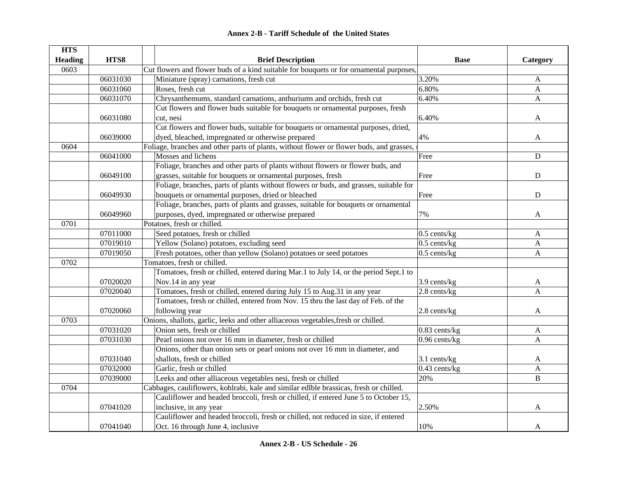|  | <b>Annex 2-B - Tariff Schedule of the United States</b> |  |
|--|---------------------------------------------------------|--|
|--|---------------------------------------------------------|--|

| <b>HTS</b>     |          |                                                                                          |                 |              |
|----------------|----------|------------------------------------------------------------------------------------------|-----------------|--------------|
| <b>Heading</b> | HTS8     | <b>Brief Description</b>                                                                 | <b>Base</b>     | Category     |
| 0603           |          | Cut flowers and flower buds of a kind suitable for bouquets or for ornamental purposes,  |                 |              |
|                | 06031030 | Miniature (spray) carnations, fresh cut                                                  | 3.20%           | A            |
|                | 06031060 | Roses, fresh cut                                                                         | 6.80%           | $\mathbf{A}$ |
|                | 06031070 | Chrysanthemums, standard carnations, anthuriums and orchids, fresh cut                   | 6.40%           | $\mathbf{A}$ |
|                |          | Cut flowers and flower buds suitable for bouquets or ornamental purposes, fresh          |                 |              |
|                | 06031080 | cut, nesi                                                                                | 6.40%           | A            |
|                |          | Cut flowers and flower buds, suitable for bouquets or ornamental purposes, dried,        |                 |              |
|                | 06039000 | dyed, bleached, impregnated or otherwise prepared                                        | 4%              | A            |
| 0604           |          | Foliage, branches and other parts of plants, without flower or flower buds, and grasses, |                 |              |
|                | 06041000 | Mosses and lichens                                                                       | Free            | D            |
|                |          | Foliage, branches and other parts of plants without flowers or flower buds, and          |                 |              |
|                | 06049100 | grasses, suitable for bouquets or ornamental purposes, fresh                             | Free            | ${\bf D}$    |
|                |          | Foliage, branches, parts of plants without flowers or buds, and grasses, suitable for    |                 |              |
|                | 06049930 | bouquets or ornamental purposes, dried or bleached                                       | Free            | $\mathbf D$  |
|                |          | Foliage, branches, parts of plants and grasses, suitable for bouquets or ornamental      |                 |              |
|                | 06049960 | purposes, dyed, impregnated or otherwise prepared                                        | 7%              | A            |
| 0701           |          | Potatoes, fresh or chilled.                                                              |                 |              |
|                | 07011000 | Seed potatoes, fresh or chilled                                                          | $0.5$ cents/kg  | A            |
|                | 07019010 | Yellow (Solano) potatoes, excluding seed                                                 | $0.5$ cents/kg  | $\mathbf{A}$ |
|                | 07019050 | Fresh potatoes, other than yellow (Solano) potatoes or seed potatoes                     | $0.5$ cents/kg  | A            |
| 0702           |          | Tomatoes, fresh or chilled.                                                              |                 |              |
|                |          | Tomatoes, fresh or chilled, entered during Mar.1 to July 14, or the period Sept.1 to     |                 |              |
|                | 07020020 | Nov.14 in any year                                                                       | 3.9 cents/kg    | A            |
|                | 07020040 | Tomatoes, fresh or chilled, entered during July 15 to Aug.31 in any year                 | $2.8$ cents/kg  | A            |
|                |          | Tomatoes, fresh or chilled, entered from Nov. 15 thru the last day of Feb. of the        |                 |              |
|                | 07020060 | following year                                                                           | 2.8 cents/kg    | A            |
| 0703           |          | Onions, shallots, garlic, leeks and other alliaceous vegetables, fresh or chilled.       |                 |              |
|                | 07031020 | Onion sets, fresh or chilled                                                             | $0.83$ cents/kg | A            |
|                | 07031030 | Pearl onions not over 16 mm in diameter, fresh or chilled                                | $0.96$ cents/kg | A            |
|                |          | Onions, other than onion sets or pearl onions not over 16 mm in diameter, and            |                 |              |
|                | 07031040 | shallots, fresh or chilled                                                               | 3.1 cents/kg    | A            |
|                | 07032000 | Garlic, fresh or chilled                                                                 | 0.43 cents/kg   | A            |
|                | 07039000 | Leeks and other alliaceous vegetables nesi, fresh or chilled                             | 20%             | $\, {\bf B}$ |
| 0704           |          | Cabbages, cauliflowers, kohlrabi, kale and similar edlble brassicas, fresh or chilled.   |                 |              |
|                |          | Cauliflower and headed broccoli, fresh or chilled, if entered June 5 to October 15,      |                 |              |
|                | 07041020 | inclusive, in any year                                                                   | 2.50%           | A            |
|                |          | Cauliflower and headed broccoli, fresh or chilled, not reduced in size, if entered       |                 |              |
|                | 07041040 | Oct. 16 through June 4, inclusive                                                        | 10%             | A            |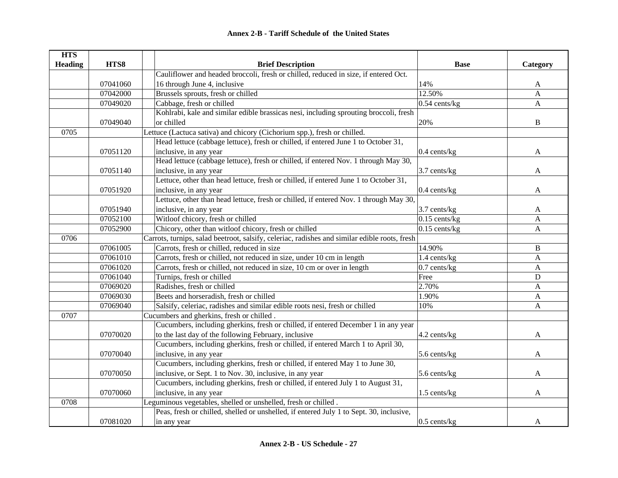| <b>HTS</b>     |          |                                                                                               |                 |              |
|----------------|----------|-----------------------------------------------------------------------------------------------|-----------------|--------------|
| <b>Heading</b> | HTS8     | <b>Brief Description</b>                                                                      | <b>Base</b>     | Category     |
|                |          | Cauliflower and headed broccoli, fresh or chilled, reduced in size, if entered Oct.           |                 |              |
|                | 07041060 | 16 through June 4, inclusive                                                                  | 14%             | A            |
|                | 07042000 | Brussels sprouts, fresh or chilled                                                            | 12.50%          | A            |
|                | 07049020 | Cabbage, fresh or chilled                                                                     | $0.54$ cents/kg | $\mathbf{A}$ |
|                |          | Kohlrabi, kale and similar edible brassicas nesi, including sprouting broccoli, fresh         |                 |              |
|                | 07049040 | or chilled                                                                                    | 20%             | B            |
| 0705           |          | Lettuce (Lactuca sativa) and chicory (Cichorium spp.), fresh or chilled.                      |                 |              |
|                |          | Head lettuce (cabbage lettuce), fresh or chilled, if entered June 1 to October 31,            |                 |              |
|                | 07051120 | inclusive, in any year                                                                        | 0.4 cents/kg    | A            |
|                |          | Head lettuce (cabbage lettuce), fresh or chilled, if entered Nov. 1 through May 30,           |                 |              |
|                | 07051140 | inclusive, in any year                                                                        | 3.7 cents/kg    | A            |
|                |          | Lettuce, other than head lettuce, fresh or chilled, if entered June 1 to October 31,          |                 |              |
|                | 07051920 | inclusive, in any year                                                                        | 0.4 cents/kg    | A            |
|                |          | Lettuce, other than head lettuce, fresh or chilled, if entered Nov. 1 through May 30,         |                 |              |
|                | 07051940 | inclusive, in any year                                                                        | 3.7 cents/kg    | A            |
|                | 07052100 | Witloof chicory, fresh or chilled                                                             | $0.15$ cents/kg | A            |
|                | 07052900 | Chicory, other than witloof chicory, fresh or chilled                                         | $0.15$ cents/kg | $\mathbf{A}$ |
| 0706           |          | Carrots, turnips, salad beetroot, salsify, celeriac, radishes and similar edible roots, fresh |                 |              |
|                | 07061005 | Carrots, fresh or chilled, reduced in size                                                    | 14.90%          | B            |
|                | 07061010 | Carrots, fresh or chilled, not reduced in size, under 10 cm in length                         | 1.4 cents/kg    | $\mathbf{A}$ |
|                | 07061020 | Carrots, fresh or chilled, not reduced in size, 10 cm or over in length                       | $0.7$ cents/kg  | $\mathbf{A}$ |
|                | 07061040 | Turnips, fresh or chilled                                                                     | Free            | $\mathbf D$  |
|                | 07069020 | Radishes, fresh or chilled                                                                    | 2.70%           | $\mathbf{A}$ |
|                | 07069030 | Beets and horseradish, fresh or chilled                                                       | 1.90%           | A            |
|                | 07069040 | Salsify, celeriac, radishes and similar edible roots nesi, fresh or chilled                   | 10%             | $\mathbf{A}$ |
| 0707           |          | Cucumbers and gherkins, fresh or chilled.                                                     |                 |              |
|                |          | Cucumbers, including gherkins, fresh or chilled, if entered December 1 in any year            |                 |              |
|                | 07070020 | to the last day of the following February, inclusive                                          | 4.2 cents/kg    | A            |
|                |          | Cucumbers, including gherkins, fresh or chilled, if entered March 1 to April 30,              |                 |              |
|                | 07070040 | inclusive, in any year                                                                        | 5.6 cents/kg    | A            |
|                |          | Cucumbers, including gherkins, fresh or chilled, if entered May 1 to June 30,                 |                 |              |
|                | 07070050 | inclusive, or Sept. 1 to Nov. 30, inclusive, in any year                                      | $5.6$ cents/kg  | A            |
|                |          | Cucumbers, including gherkins, fresh or chilled, if entered July 1 to August 31,              |                 |              |
|                | 07070060 | inclusive, in any year                                                                        | 1.5 cents/kg    | A            |
| 0708           |          | Leguminous vegetables, shelled or unshelled, fresh or chilled.                                |                 |              |
|                |          | Peas, fresh or chilled, shelled or unshelled, if entered July 1 to Sept. 30, inclusive,       |                 |              |
|                | 07081020 | in any year                                                                                   | $0.5$ cents/kg  | A            |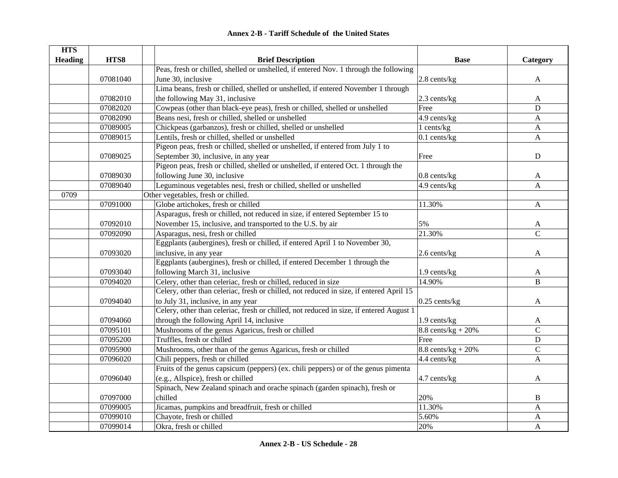| <b>HTS</b>     |          |                                                                                         |                       |                |
|----------------|----------|-----------------------------------------------------------------------------------------|-----------------------|----------------|
| <b>Heading</b> | HTS8     | <b>Brief Description</b>                                                                | <b>Base</b>           | Category       |
|                |          | Peas, fresh or chilled, shelled or unshelled, if entered Nov. 1 through the following   |                       |                |
|                | 07081040 | June 30, inclusive                                                                      | 2.8 cents/kg          | $\mathbf{A}$   |
|                |          | Lima beans, fresh or chilled, shelled or unshelled, if entered November 1 through       |                       |                |
|                | 07082010 | the following May 31, inclusive                                                         | 2.3 cents/kg          | A              |
|                | 07082020 | Cowpeas (other than black-eye peas), fresh or chilled, shelled or unshelled             | Free                  | $\mathbf D$    |
|                | 07082090 | Beans nesi, fresh or chilled, shelled or unshelled                                      | 4.9 cents/kg          | A              |
|                | 07089005 | Chickpeas (garbanzos), fresh or chilled, shelled or unshelled                           | 1 cents/kg            | $\mathbf{A}$   |
|                | 07089015 | Lentils, fresh or chilled, shelled or unshelled                                         | $0.1$ cents/kg        | $\mathbf{A}$   |
|                |          | Pigeon peas, fresh or chilled, shelled or unshelled, if entered from July 1 to          |                       |                |
|                | 07089025 | September 30, inclusive, in any year                                                    | Free                  | D              |
|                |          | Pigeon peas, fresh or chilled, shelled or unshelled, if entered Oct. 1 through the      |                       |                |
|                | 07089030 | following June 30, inclusive                                                            | $0.8$ cents/ $kg$     | A              |
|                | 07089040 | Leguminous vegetables nesi, fresh or chilled, shelled or unshelled                      | 4.9 cents/kg          | $\mathbf{A}$   |
| 0709           |          | Other vegetables, fresh or chilled.                                                     |                       |                |
|                | 07091000 | Globe artichokes, fresh or chilled                                                      | 11.30%                | $\mathbf{A}$   |
|                |          | Asparagus, fresh or chilled, not reduced in size, if entered September 15 to            |                       |                |
|                | 07092010 | November 15, inclusive, and transported to the U.S. by air                              | 5%                    | A              |
|                | 07092090 | Asparagus, nesi, fresh or chilled                                                       | 21.30%                | $\overline{C}$ |
|                |          | Eggplants (aubergines), fresh or chilled, if entered April 1 to November 30,            |                       |                |
|                | 07093020 | inclusive, in any year                                                                  | 2.6 cents/kg          | $\mathbf{A}$   |
|                |          | Eggplants (aubergines), fresh or chilled, if entered December 1 through the             |                       |                |
|                | 07093040 | following March 31, inclusive                                                           | 1.9 cents/kg          | A              |
|                | 07094020 | Celery, other than celeriac, fresh or chilled, reduced in size                          | 14.90%                | $\bf{B}$       |
|                |          | Celery, other than celeriac, fresh or chilled, not reduced in size, if entered April 15 |                       |                |
|                | 07094040 | to July 31, inclusive, in any year                                                      | $0.25$ cents/kg       | A              |
|                |          | Celery, other than celeriac, fresh or chilled, not reduced in size, if entered August 1 |                       |                |
|                | 07094060 | through the following April 14, inclusive                                               | $1.9$ cents/kg        | A              |
|                | 07095101 | Mushrooms of the genus Agaricus, fresh or chilled                                       | $8.8$ cents/kg + 20%  | $\mathsf{C}$   |
|                | 07095200 | Truffles, fresh or chilled                                                              | Free                  | ${\bf D}$      |
|                | 07095900 | Mushrooms, other than of the genus Agaricus, fresh or chilled                           | 8.8 cents/ $kg + 20%$ | $\mathbf C$    |
|                | 07096020 | Chili peppers, fresh or chilled                                                         | 4.4 cents/kg          | $\overline{A}$ |
|                |          | Fruits of the genus capsicum (peppers) (ex. chili peppers) or of the genus pimenta      |                       |                |
|                | 07096040 | (e.g., Allspice), fresh or chilled                                                      | 4.7 cents/kg          | A              |
|                |          | Spinach, New Zealand spinach and orache spinach (garden spinach), fresh or              |                       |                |
|                | 07097000 | chilled                                                                                 | 20%                   | $\bf{B}$       |
|                | 07099005 | Jicamas, pumpkins and breadfruit, fresh or chilled                                      | 11.30%                | $\mathbf{A}$   |
|                | 07099010 | Chayote, fresh or chilled                                                               | 5.60%                 | $\mathbf{A}$   |
|                | 07099014 | Okra, fresh or chilled                                                                  | 20%                   | $\mathbf{A}$   |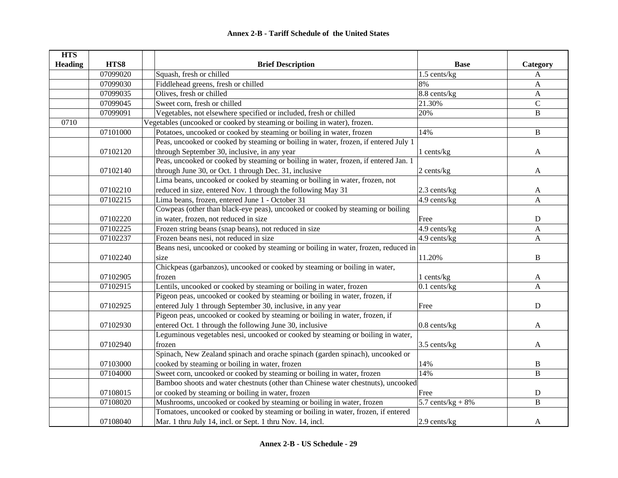| <b>HTS</b>     |          |                                                                                     |                      |               |
|----------------|----------|-------------------------------------------------------------------------------------|----------------------|---------------|
| <b>Heading</b> | HTS8     | <b>Brief Description</b>                                                            | <b>Base</b>          | Category      |
|                | 07099020 | Squash, fresh or chilled                                                            | 1.5 cents/kg         | A             |
|                | 07099030 | Fiddlehead greens, fresh or chilled                                                 | 8%                   | A             |
|                | 07099035 | Olives, fresh or chilled                                                            | 8.8 cents/kg         | $\mathbf{A}$  |
|                | 07099045 | Sweet corn, fresh or chilled                                                        | 21.30%               | $\mathcal{C}$ |
|                | 07099091 | Vegetables, not elsewhere specified or included, fresh or chilled                   | 20%                  | $\, {\bf B}$  |
| 0710           |          | Vegetables (uncooked or cooked by steaming or boiling in water), frozen.            |                      |               |
|                | 07101000 | Potatoes, uncooked or cooked by steaming or boiling in water, frozen                | 14%                  | $\, {\bf B}$  |
|                |          | Peas, uncooked or cooked by steaming or boiling in water, frozen, if entered July 1 |                      |               |
|                | 07102120 | through September 30, inclusive, in any year                                        | 1 cents/kg           | A             |
|                |          | Peas, uncooked or cooked by steaming or boiling in water, frozen, if entered Jan. 1 |                      |               |
|                | 07102140 | through June 30, or Oct. 1 through Dec. 31, inclusive                               | 2 cents/kg           | A             |
|                |          | Lima beans, uncooked or cooked by steaming or boiling in water, frozen, not         |                      |               |
|                | 07102210 | reduced in size, entered Nov. 1 through the following May 31                        | $2.3$ cents/kg       | A             |
|                | 07102215 | Lima beans, frozen, entered June 1 - October 31                                     | 4.9 cents/kg         | A             |
|                |          | Cowpeas (other than black-eye peas), uncooked or cooked by steaming or boiling      |                      |               |
|                | 07102220 | in water, frozen, not reduced in size                                               | Free                 | ${\bf D}$     |
|                | 07102225 | Frozen string beans (snap beans), not reduced in size                               | 4.9 cents/kg         | A             |
|                | 07102237 | Frozen beans nesi, not reduced in size                                              | 4.9 cents/kg         | A             |
|                |          | Beans nesi, uncooked or cooked by steaming or boiling in water, frozen, reduced in  |                      |               |
|                | 07102240 | size                                                                                | 11.20%               | B             |
|                |          | Chickpeas (garbanzos), uncooked or cooked by steaming or boiling in water,          |                      |               |
|                | 07102905 | frozen                                                                              | 1 cents/kg           | A             |
|                | 07102915 | Lentils, uncooked or cooked by steaming or boiling in water, frozen                 | $0.1$ cents/kg       | A             |
|                |          | Pigeon peas, uncooked or cooked by steaming or boiling in water, frozen, if         |                      |               |
|                | 07102925 | entered July 1 through September 30, inclusive, in any year                         | Free                 | $\mathbf D$   |
|                |          | Pigeon peas, uncooked or cooked by steaming or boiling in water, frozen, if         |                      |               |
|                | 07102930 | entered Oct. 1 through the following June 30, inclusive                             | 0.8 cents/kg         | A             |
|                |          | Leguminous vegetables nesi, uncooked or cooked by steaming or boiling in water,     |                      |               |
|                | 07102940 | frozen                                                                              | 3.5 cents/kg         | A             |
|                |          | Spinach, New Zealand spinach and orache spinach (garden spinach), uncooked or       |                      |               |
|                | 07103000 | cooked by steaming or boiling in water, frozen                                      | 14%                  | B             |
|                | 07104000 | Sweet corn, uncooked or cooked by steaming or boiling in water, frozen              | 14%                  | B             |
|                |          | Bamboo shoots and water chestnuts (other than Chinese water chestnuts), uncooked    |                      |               |
|                | 07108015 | or cooked by steaming or boiling in water, frozen                                   | Free                 | $\mathbf D$   |
|                | 07108020 | Mushrooms, uncooked or cooked by steaming or boiling in water, frozen               | 5.7 cents/ $kg + 8%$ | $\, {\bf B}$  |
|                |          | Tomatoes, uncooked or cooked by steaming or boiling in water, frozen, if entered    |                      |               |
|                | 07108040 | Mar. 1 thru July 14, incl. or Sept. 1 thru Nov. 14, incl.                           | 2.9 cents/kg         | A             |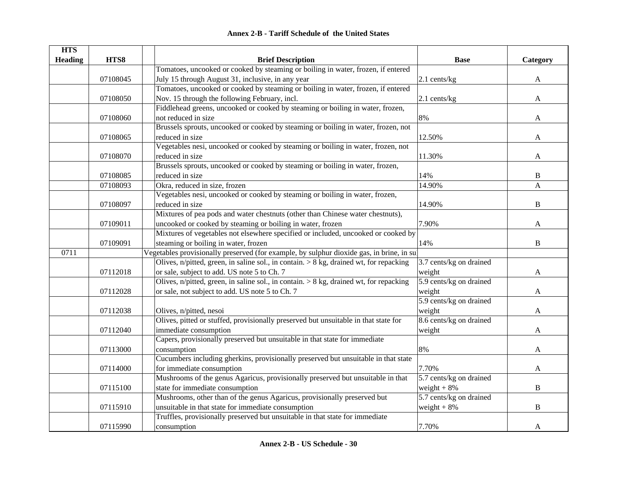| <b>HTS</b>     |          |                                                                                           |                         |              |
|----------------|----------|-------------------------------------------------------------------------------------------|-------------------------|--------------|
| <b>Heading</b> | HTS8     | <b>Brief Description</b>                                                                  | <b>Base</b>             | Category     |
|                |          | Tomatoes, uncooked or cooked by steaming or boiling in water, frozen, if entered          |                         |              |
|                | 07108045 | July 15 through August 31, inclusive, in any year                                         | $2.1$ cents/kg          | A            |
|                |          | Tomatoes, uncooked or cooked by steaming or boiling in water, frozen, if entered          |                         |              |
|                | 07108050 | Nov. 15 through the following February, incl.                                             | 2.1 cents/kg            | A            |
|                |          | Fiddlehead greens, uncooked or cooked by steaming or boiling in water, frozen,            |                         |              |
|                | 07108060 | not reduced in size                                                                       | 8%                      | A            |
|                |          | Brussels sprouts, uncooked or cooked by steaming or boiling in water, frozen, not         |                         |              |
|                | 07108065 | reduced in size                                                                           | 12.50%                  | A            |
|                |          | Vegetables nesi, uncooked or cooked by steaming or boiling in water, frozen, not          |                         |              |
|                | 07108070 | reduced in size                                                                           | 11.30%                  | A            |
|                |          | Brussels sprouts, uncooked or cooked by steaming or boiling in water, frozen,             |                         |              |
|                | 07108085 | reduced in size                                                                           | 14%                     | B            |
|                | 07108093 | Okra, reduced in size, frozen                                                             | 14.90%                  | $\mathbf{A}$ |
|                |          | Vegetables nesi, uncooked or cooked by steaming or boiling in water, frozen,              |                         |              |
|                | 07108097 | reduced in size                                                                           | 14.90%                  | $\, {\bf B}$ |
|                |          | Mixtures of pea pods and water chestnuts (other than Chinese water chestnuts),            |                         |              |
|                | 07109011 | uncooked or cooked by steaming or boiling in water, frozen                                | 7.90%                   | A            |
|                |          | Mixtures of vegetables not elsewhere specified or included, uncooked or cooked by         |                         |              |
|                | 07109091 | steaming or boiling in water, frozen                                                      | 14%                     | $\, {\bf B}$ |
| 0711           |          | Vegetables provisionally preserved (for example, by sulphur dioxide gas, in brine, in sul |                         |              |
|                |          | Olives, n/pitted, green, in saline sol., in contain. > 8 kg, drained wt, for repacking    | 3.7 cents/kg on drained |              |
|                | 07112018 | or sale, subject to add. US note 5 to Ch. 7                                               | weight                  | A            |
|                |          | Olives, n/pitted, green, in saline sol., in contain. $> 8$ kg, drained wt, for repacking  | 5.9 cents/kg on drained |              |
|                | 07112028 | or sale, not subject to add. US note 5 to Ch. 7                                           | weight                  | A            |
|                |          |                                                                                           | 5.9 cents/kg on drained |              |
|                | 07112038 | Olives, n/pitted, nesoi                                                                   | weight                  | A            |
|                |          | Olives, pitted or stuffed, provisionally preserved but unsuitable in that state for       | 8.6 cents/kg on drained |              |
|                | 07112040 | immediate consumption                                                                     | weight                  | A            |
|                |          | Capers, provisionally preserved but unsuitable in that state for immediate                |                         |              |
|                | 07113000 | consumption                                                                               | 8%                      | A            |
|                |          | Cucumbers including gherkins, provisionally preserved but unsuitable in that state        |                         |              |
|                | 07114000 | for immediate consumption                                                                 | 7.70%                   | A            |
|                |          | Mushrooms of the genus Agaricus, provisionally preserved but unsuitable in that           | 5.7 cents/kg on drained |              |
|                | 07115100 | state for immediate consumption                                                           | weight $+8%$            | $\, {\bf B}$ |
|                |          | Mushrooms, other than of the genus Agaricus, provisionally preserved but                  | 5.7 cents/kg on drained |              |
|                | 07115910 | unsuitable in that state for immediate consumption                                        | weight $+8%$            | B            |
|                |          | Truffles, provisionally preserved but unsuitable in that state for immediate              |                         |              |
|                | 07115990 | consumption                                                                               | 7.70%                   | A            |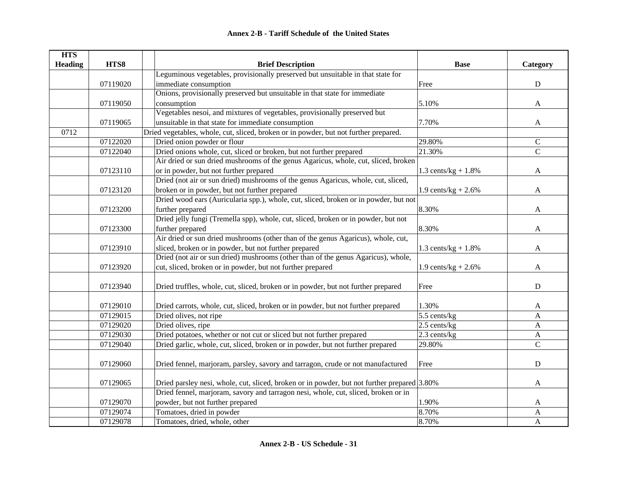| <b>HTS</b>     |          |                                                                                             |                        |                |
|----------------|----------|---------------------------------------------------------------------------------------------|------------------------|----------------|
| <b>Heading</b> | HTS8     | <b>Brief Description</b>                                                                    | <b>Base</b>            | Category       |
|                |          | Leguminous vegetables, provisionally preserved but unsuitable in that state for             |                        |                |
|                | 07119020 | immediate consumption                                                                       | Free                   | ${\bf D}$      |
|                |          | Onions, provisionally preserved but unsuitable in that state for immediate                  |                        |                |
|                | 07119050 | consumption                                                                                 | 5.10%                  | $\mathbf{A}$   |
|                |          | Vegetables nesoi, and mixtures of vegetables, provisionally preserved but                   |                        |                |
|                | 07119065 | unsuitable in that state for immediate consumption                                          | 7.70%                  | A              |
| 0712           |          | Dried vegetables, whole, cut, sliced, broken or in powder, but not further prepared.        |                        |                |
|                | 07122020 | Dried onion powder or flour                                                                 | 29.80%                 | $\mathbf C$    |
|                | 07122040 | Dried onions whole, cut, sliced or broken, but not further prepared                         | 21.30%                 | $\overline{C}$ |
|                |          | Air dried or sun dried mushrooms of the genus Agaricus, whole, cut, sliced, broken          |                        |                |
|                | 07123110 | or in powder, but not further prepared                                                      | 1.3 cents/ $kg + 1.8%$ | A              |
|                |          | Dried (not air or sun dried) mushrooms of the genus Agaricus, whole, cut, sliced,           |                        |                |
|                | 07123120 | broken or in powder, but not further prepared                                               | 1.9 cents/kg + $2.6\%$ | A              |
|                |          | Dried wood ears (Auricularia spp.), whole, cut, sliced, broken or in powder, but not        |                        |                |
|                | 07123200 | further prepared                                                                            | 8.30%                  | A              |
|                |          | Dried jelly fungi (Tremella spp), whole, cut, sliced, broken or in powder, but not          |                        |                |
|                | 07123300 | further prepared                                                                            | 8.30%                  | A              |
|                |          | Air dried or sun dried mushrooms (other than of the genus Agaricus), whole, cut,            |                        |                |
|                | 07123910 | sliced, broken or in powder, but not further prepared                                       | 1.3 cents/ $kg + 1.8%$ | A              |
|                |          | Dried (not air or sun dried) mushrooms (other than of the genus Agaricus), whole,           |                        |                |
|                | 07123920 | cut, sliced, broken or in powder, but not further prepared                                  | 1.9 cents/kg + $2.6\%$ | A              |
|                |          |                                                                                             |                        |                |
|                | 07123940 | Dried truffles, whole, cut, sliced, broken or in powder, but not further prepared           | Free                   | $\mathbf D$    |
|                |          |                                                                                             |                        |                |
|                | 07129010 | Dried carrots, whole, cut, sliced, broken or in powder, but not further prepared            | 1.30%                  | A              |
|                | 07129015 | Dried olives, not ripe                                                                      | 5.5 cents/kg           | A              |
|                | 07129020 | Dried olives, ripe                                                                          | 2.5 cents/kg           | A              |
|                | 07129030 | Dried potatoes, whether or not cut or sliced but not further prepared                       | $2.3$ cents/kg         | A              |
|                | 07129040 | Dried garlic, whole, cut, sliced, broken or in powder, but not further prepared             | 29.80%                 | $\mathbf C$    |
|                |          |                                                                                             |                        |                |
|                | 07129060 | Dried fennel, marjoram, parsley, savory and tarragon, crude or not manufactured             | Free                   | ${\bf D}$      |
|                |          |                                                                                             |                        |                |
|                | 07129065 | Dried parsley nesi, whole, cut, sliced, broken or in powder, but not further prepared 3.80% |                        | $\mathbf{A}$   |
|                |          | Dried fennel, marjoram, savory and tarragon nesi, whole, cut, sliced, broken or in          |                        |                |
|                | 07129070 | powder, but not further prepared                                                            | 1.90%                  | A              |
|                | 07129074 | Tomatoes, dried in powder                                                                   | 8.70%                  | $\mathbf A$    |
|                | 07129078 | Tomatoes, dried, whole, other                                                               | 8.70%                  | A              |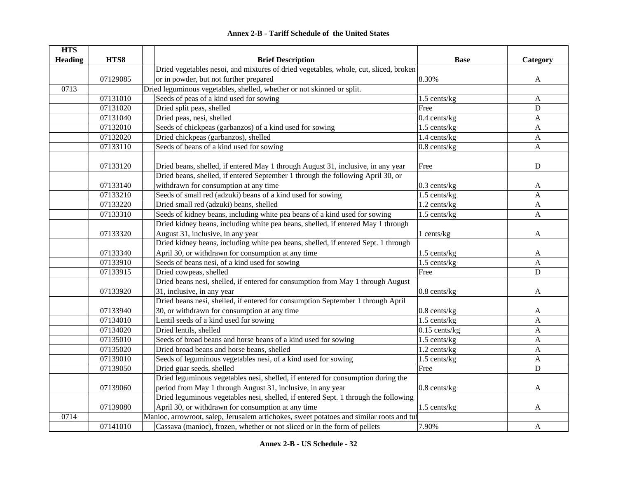| <b>HTS</b> |          |                                                                                                                                                                     |                   |                           |
|------------|----------|---------------------------------------------------------------------------------------------------------------------------------------------------------------------|-------------------|---------------------------|
| Heading    | HTS8     | <b>Brief Description</b>                                                                                                                                            | <b>Base</b>       | Category                  |
|            |          | Dried vegetables nesoi, and mixtures of dried vegetables, whole, cut, sliced, broken                                                                                |                   |                           |
|            | 07129085 | or in powder, but not further prepared                                                                                                                              | 8.30%             | A                         |
| 0713       |          | Dried leguminous vegetables, shelled, whether or not skinned or split.                                                                                              |                   |                           |
|            | 07131010 | Seeds of peas of a kind used for sowing                                                                                                                             | 1.5 cents/kg      | $\mathbf{A}$              |
|            | 07131020 | Dried split peas, shelled                                                                                                                                           | Free              | ${\bf D}$                 |
|            | 07131040 | Dried peas, nesi, shelled                                                                                                                                           | $0.4$ cents/kg    | $\mathbf{A}$              |
|            | 07132010 | Seeds of chickpeas (garbanzos) of a kind used for sowing                                                                                                            | 1.5 cents/kg      | A                         |
|            | 07132020 | Dried chickpeas (garbanzos), shelled                                                                                                                                | 1.4 cents/kg      | $\mathbf{A}$              |
|            | 07133110 | Seeds of beans of a kind used for sowing                                                                                                                            | $0.8$ cents/ $kg$ | $\mathbf{A}$              |
|            | 07133120 | Dried beans, shelled, if entered May 1 through August 31, inclusive, in any year<br>Dried beans, shelled, if entered September 1 through the following April 30, or | Free              | D                         |
|            | 07133140 | withdrawn for consumption at any time                                                                                                                               | $0.3$ cents/kg    | A                         |
|            | 07133210 | Seeds of small red (adzuki) beans of a kind used for sowing                                                                                                         | 1.5 cents/kg      | A                         |
|            | 07133220 | Dried small red (adzuki) beans, shelled                                                                                                                             | 1.2 cents/kg      | $\mathbf{A}$              |
|            | 07133310 | Seeds of kidney beans, including white pea beans of a kind used for sowing                                                                                          | 1.5 cents/kg      | $\mathbf{A}$              |
|            |          | Dried kidney beans, including white pea beans, shelled, if entered May 1 through                                                                                    |                   |                           |
|            | 07133320 | August 31, inclusive, in any year                                                                                                                                   | 1 cents/kg        | A                         |
|            |          | Dried kidney beans, including white pea beans, shelled, if entered Sept. 1 through                                                                                  |                   |                           |
|            | 07133340 | April 30, or withdrawn for consumption at any time                                                                                                                  | 1.5 cents/kg      | A                         |
|            | 07133910 | Seeds of beans nesi, of a kind used for sowing                                                                                                                      | 1.5 cents/kg      | $\mathbf{A}$              |
|            | 07133915 | Dried cowpeas, shelled                                                                                                                                              | Free              | ${\bf D}$                 |
|            |          | Dried beans nesi, shelled, if entered for consumption from May 1 through August                                                                                     |                   |                           |
|            | 07133920 | 31, inclusive, in any year                                                                                                                                          | 0.8 cents/kg      | A                         |
|            |          | Dried beans nesi, shelled, if entered for consumption September 1 through April                                                                                     |                   |                           |
|            | 07133940 | 30, or withdrawn for consumption at any time                                                                                                                        | $0.8$ cents/kg    | A                         |
|            | 07134010 | Lentil seeds of a kind used for sowing                                                                                                                              | 1.5 cents/kg      | $\mathbf{A}$              |
|            | 07134020 | Dried lentils, shelled                                                                                                                                              | $0.15$ cents/kg   | $\mathbf{A}$              |
|            | 07135010 | Seeds of broad beans and horse beans of a kind used for sowing                                                                                                      | 1.5 cents/kg      | $\mathbf{A}$              |
|            | 07135020 | Dried broad beans and horse beans, shelled                                                                                                                          | 1.2 cents/kg      | $\mathbf{A}$              |
|            | 07139010 | Seeds of leguminous vegetables nesi, of a kind used for sowing                                                                                                      | 1.5 cents/kg      | $\boldsymbol{\mathsf{A}}$ |
|            | 07139050 | Dried guar seeds, shelled                                                                                                                                           | Free              | ${\bf D}$                 |
|            |          | Dried leguminous vegetables nesi, shelled, if entered for consumption during the                                                                                    |                   |                           |
|            | 07139060 | period from May 1 through August 31, inclusive, in any year                                                                                                         | $0.8$ cents/ $kg$ | A                         |
|            |          | Dried leguminous vegetables nesi, shelled, if entered Sept. 1 through the following                                                                                 |                   |                           |
|            | 07139080 | April 30, or withdrawn for consumption at any time                                                                                                                  | 1.5 cents/kg      | A                         |
| 0714       |          | Manioc, arrowroot, salep, Jerusalem artichokes, sweet potatoes and similar roots and tul                                                                            |                   |                           |
|            | 07141010 | Cassava (manioc), frozen, whether or not sliced or in the form of pellets                                                                                           | 7.90%             | A                         |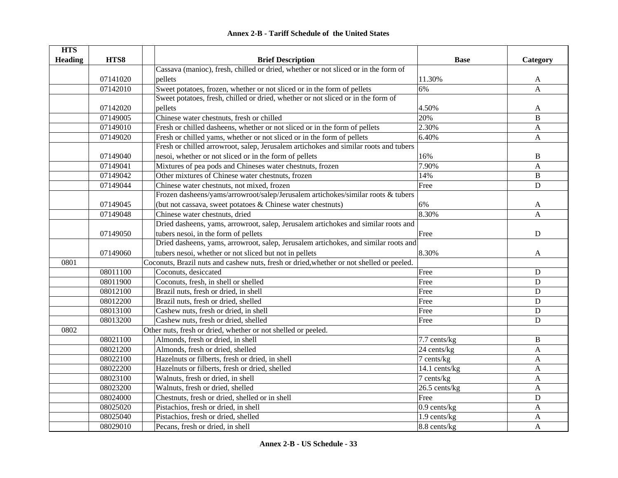| <b>HTS</b>     |          |                                                                                          |                |                |
|----------------|----------|------------------------------------------------------------------------------------------|----------------|----------------|
| <b>Heading</b> | HTS8     | <b>Brief Description</b>                                                                 | <b>Base</b>    | Category       |
|                |          | Cassava (manioc), fresh, chilled or dried, whether or not sliced or in the form of       |                |                |
|                | 07141020 | pellets                                                                                  | 11.30%         | A              |
|                | 07142010 | Sweet potatoes, frozen, whether or not sliced or in the form of pellets                  | 6%             | $\mathbf{A}$   |
|                |          | Sweet potatoes, fresh, chilled or dried, whether or not sliced or in the form of         |                |                |
|                | 07142020 | pellets                                                                                  | 4.50%          | A              |
|                | 07149005 | Chinese water chestnuts, fresh or chilled                                                | 20%            | $\overline{B}$ |
|                | 07149010 | Fresh or chilled dasheens, whether or not sliced or in the form of pellets               | 2.30%          | A              |
|                | 07149020 | Fresh or chilled yams, whether or not sliced or in the form of pellets                   | 6.40%          | A              |
|                |          | Fresh or chilled arrowroot, salep, Jerusalem artichokes and similar roots and tubers     |                |                |
|                | 07149040 | nesoi, whether or not sliced or in the form of pellets                                   | 16%            | B              |
|                | 07149041 | Mixtures of pea pods and Chineses water chestnuts, frozen                                | 7.90%          | A              |
|                | 07149042 | Other mixtures of Chinese water chestnuts, frozen                                        | 14%            | $\, {\bf B}$   |
|                | 07149044 | Chinese water chestnuts, not mixed, frozen                                               | Free           | $\mathbf D$    |
|                |          | Frozen dasheens/yams/arrowroot/salep/Jerusalem artichokes/similar roots & tubers         |                |                |
|                | 07149045 | (but not cassava, sweet potatoes & Chinese water chestnuts)                              | 6%             | A              |
|                | 07149048 | Chinese water chestnuts, dried                                                           | 8.30%          | A              |
|                |          | Dried dasheens, yams, arrowroot, salep, Jerusalem artichokes and similar roots and       |                |                |
|                | 07149050 | tubers nesoi, in the form of pellets                                                     | Free           | ${\bf D}$      |
|                |          | Dried dasheens, yams, arrowroot, salep, Jerusalem artichokes, and similar roots and      |                |                |
|                | 07149060 | tubers nesoi, whether or not sliced but not in pellets                                   | 8.30%          | $\mathbf{A}$   |
| 0801           |          | Coconuts, Brazil nuts and cashew nuts, fresh or dried, whether or not shelled or peeled. |                |                |
|                | 08011100 | Coconuts, desiccated                                                                     | Free           | ${\bf D}$      |
|                | 08011900 | Coconuts, fresh, in shell or shelled                                                     | Free           | $\mathbf D$    |
|                | 08012100 | Brazil nuts, fresh or dried, in shell                                                    | Free           | $\mathbf D$    |
|                | 08012200 | Brazil nuts, fresh or dried, shelled                                                     | Free           | ${\bf D}$      |
|                | 08013100 | Cashew nuts, fresh or dried, in shell                                                    | Free           | ${\bf D}$      |
|                | 08013200 | Cashew nuts, fresh or dried, shelled                                                     | Free           | ${\bf D}$      |
| 0802           |          | Other nuts, fresh or dried, whether or not shelled or peeled.                            |                |                |
|                | 08021100 | Almonds, fresh or dried, in shell                                                        | 7.7 cents/kg   | $\, {\bf B}$   |
|                | 08021200 | Almonds, fresh or dried, shelled                                                         | 24 cents/kg    | A              |
|                | 08022100 | Hazelnuts or filberts, fresh or dried, in shell                                          | 7 cents/kg     | A              |
|                | 08022200 | Hazelnuts or filberts, fresh or dried, shelled                                           | 14.1 cents/kg  | A              |
|                | 08023100 | Walnuts, fresh or dried, in shell                                                        | 7 cents/kg     | A              |
|                | 08023200 | Walnuts, fresh or dried, shelled                                                         | 26.5 cents/kg  | $\mathbf{A}$   |
|                | 08024000 | Chestnuts, fresh or dried, shelled or in shell                                           | Free           | ${\bf D}$      |
|                | 08025020 | Pistachios, fresh or dried, in shell                                                     | $0.9$ cents/kg | A              |
|                | 08025040 | Pistachios, fresh or dried, shelled                                                      | 1.9 cents/kg   | A              |
|                | 08029010 | Pecans, fresh or dried, in shell                                                         | $8.8$ cents/kg | A              |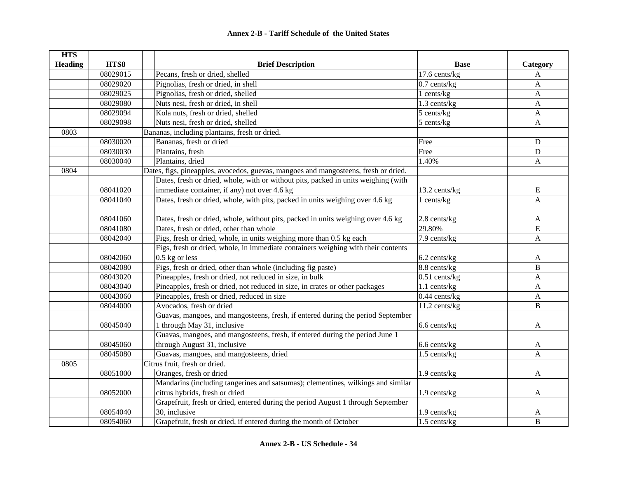| <b>HTS</b>     |          |                                                                                     |                 |                |
|----------------|----------|-------------------------------------------------------------------------------------|-----------------|----------------|
| <b>Heading</b> | HTS8     | <b>Brief Description</b>                                                            | <b>Base</b>     | Category       |
|                | 08029015 | Pecans, fresh or dried, shelled                                                     | 17.6 cents/kg   | A              |
|                | 08029020 | Pignolias, fresh or dried, in shell                                                 | $0.7$ cents/kg  | A              |
|                | 08029025 | Pignolias, fresh or dried, shelled                                                  | 1 cents/kg      | $\mathbf{A}$   |
|                | 08029080 | Nuts nesi, fresh or dried, in shell                                                 | 1.3 cents/kg    | A              |
|                | 08029094 | Kola nuts, fresh or dried, shelled                                                  | $5$ cents/ $kg$ | A              |
|                | 08029098 | Nuts nesi, fresh or dried, shelled                                                  | $5$ cents/ $kg$ | $\mathbf{A}$   |
| 0803           |          | Bananas, including plantains, fresh or dried.                                       |                 |                |
|                | 08030020 | Bananas, fresh or dried                                                             | Free            | ${\bf D}$      |
|                | 08030030 | Plantains, fresh                                                                    | Free            | ${\bf D}$      |
|                | 08030040 | Plantains, dried                                                                    | 1.40%           | $\mathbf{A}$   |
| 0804           |          | Dates, figs, pineapples, avocedos, guevas, mangoes and mangosteens, fresh or dried. |                 |                |
|                |          | Dates, fresh or dried, whole, with or without pits, packed in units weighing (with  |                 |                |
|                | 08041020 | immediate container, if any) not over 4.6 kg                                        | 13.2 cents/kg   | E              |
|                | 08041040 | Dates, fresh or dried, whole, with pits, packed in units weighing over 4.6 kg       | 1 cents/kg      | $\mathbf{A}$   |
|                |          |                                                                                     |                 |                |
|                | 08041060 | Dates, fresh or dried, whole, without pits, packed in units weighing over 4.6 kg    | 2.8 cents/kg    | A              |
|                | 08041080 | Dates, fresh or dried, other than whole                                             | 29.80%          | E              |
|                | 08042040 | Figs, fresh or dried, whole, in units weighing more than 0.5 kg each                | 7.9 cents/kg    | $\mathbf{A}$   |
|                |          | Figs, fresh or dried, whole, in immediate containers weighing with their contents   |                 |                |
|                | 08042060 | $0.5$ kg or less                                                                    | 6.2 cents/kg    | A              |
|                | 08042080 | Figs, fresh or dried, other than whole (including fig paste)                        | 8.8 cents/kg    | B              |
|                | 08043020 | Pineapples, fresh or dried, not reduced in size, in bulk                            | $0.51$ cents/kg | A              |
|                | 08043040 | Pineapples, fresh or dried, not reduced in size, in crates or other packages        | 1.1 cents/kg    | A              |
|                | 08043060 | Pineapples, fresh or dried, reduced in size                                         | $0.44$ cents/kg | $\mathbf{A}$   |
|                | 08044000 | Avocados, fresh or dried                                                            | 11.2 cents/kg   | B              |
|                |          | Guavas, mangoes, and mangosteens, fresh, if entered during the period September     |                 |                |
|                | 08045040 | 1 through May 31, inclusive                                                         | 6.6 cents/kg    | A              |
|                |          | Guavas, mangoes, and mangosteens, fresh, if entered during the period June 1        |                 |                |
|                | 08045060 | through August 31, inclusive                                                        | 6.6 cents/kg    | A              |
|                | 08045080 | Guavas, mangoes, and mangosteens, dried                                             | 1.5 cents/kg    | A              |
| 0805           |          | Citrus fruit, fresh or dried.                                                       |                 |                |
|                | 08051000 | Oranges, fresh or dried                                                             | 1.9 cents/kg    | A              |
|                |          | Mandarins (including tangerines and satsumas); clementines, wilkings and similar    |                 |                |
|                | 08052000 | citrus hybrids, fresh or dried                                                      | 1.9 cents/kg    | A              |
|                |          | Grapefruit, fresh or dried, entered during the period August 1 through September    |                 |                |
|                | 08054040 | 30, inclusive                                                                       | 1.9 cents/kg    | A              |
|                | 08054060 | Grapefruit, fresh or dried, if entered during the month of October                  | $1.5$ cents/kg  | $\overline{B}$ |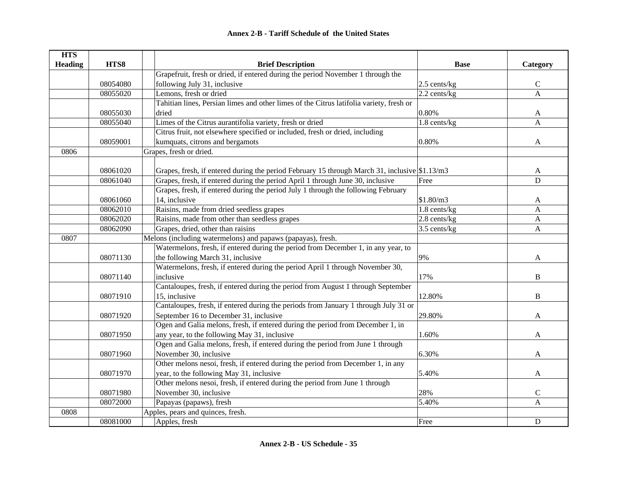| <b>HTS</b>     |          |                                                                                               |                |                |
|----------------|----------|-----------------------------------------------------------------------------------------------|----------------|----------------|
| <b>Heading</b> | HTS8     | <b>Brief Description</b>                                                                      | <b>Base</b>    | Category       |
|                |          | Grapefruit, fresh or dried, if entered during the period November 1 through the               |                |                |
|                | 08054080 | following July 31, inclusive                                                                  | 2.5 cents/kg   | $\mathsf C$    |
|                | 08055020 | Lemons, fresh or dried                                                                        | $2.2$ cents/kg | $\overline{A}$ |
|                |          | Tahitian lines, Persian limes and other limes of the Citrus latifolia variety, fresh or       |                |                |
|                | 08055030 | dried                                                                                         | 0.80%          | A              |
|                | 08055040 | Limes of the Citrus aurantifolia variety, fresh or dried                                      | 1.8 cents/kg   | $\overline{A}$ |
|                |          | Citrus fruit, not elsewhere specified or included, fresh or dried, including                  |                |                |
|                | 08059001 | kumquats, citrons and bergamots                                                               | 0.80%          | A              |
| 0806           |          | Grapes, fresh or dried.                                                                       |                |                |
|                |          |                                                                                               |                |                |
|                | 08061020 | Grapes, fresh, if entered during the period February 15 through March 31, inclusive \$1.13/m3 |                | A              |
|                | 08061040 | Grapes, fresh, if entered during the period April 1 through June 30, inclusive                | Free           | $\mathbf D$    |
|                |          | Grapes, fresh, if entered during the period July 1 through the following February             |                |                |
|                | 08061060 | 14, inclusive                                                                                 | \$1.80/m3      | A              |
|                | 08062010 | Raisins, made from dried seedless grapes                                                      | 1.8 cents/kg   | A              |
|                | 08062020 | Raisins, made from other than seedless grapes                                                 | 2.8 cents/kg   | $\mathbf{A}$   |
|                | 08062090 | Grapes, dried, other than raisins                                                             | 3.5 cents/kg   | $\mathbf{A}$   |
| 0807           |          | Melons (including watermelons) and papaws (papayas), fresh.                                   |                |                |
|                |          | Watermelons, fresh, if entered during the period from December 1, in any year, to             |                |                |
|                | 08071130 | the following March 31, inclusive                                                             | 9%             | A              |
|                |          | Watermelons, fresh, if entered during the period April 1 through November 30,                 |                |                |
|                | 08071140 | inclusive                                                                                     | 17%            | B              |
|                |          | Cantaloupes, fresh, if entered during the period from August 1 through September              |                |                |
|                | 08071910 | 15, inclusive                                                                                 | 12.80%         | B              |
|                |          | Cantaloupes, fresh, if entered during the periods from January 1 through July 31 or           |                |                |
|                | 08071920 | September 16 to December 31, inclusive                                                        | 29.80%         | A              |
|                |          | Ogen and Galia melons, fresh, if entered during the period from December 1, in                |                |                |
|                | 08071950 | any year, to the following May 31, inclusive                                                  | 1.60%          | A              |
|                |          | Ogen and Galia melons, fresh, if entered during the period from June 1 through                |                |                |
|                | 08071960 | November 30, inclusive                                                                        | 6.30%          | A              |
|                |          | Other melons nesoi, fresh, if entered during the period from December 1, in any               |                |                |
|                | 08071970 | year, to the following May 31, inclusive                                                      | 5.40%          | A              |
|                |          | Other melons nesoi, fresh, if entered during the period from June 1 through                   |                |                |
|                | 08071980 | November 30, inclusive                                                                        | 28%            | $\mathsf{C}$   |
|                | 08072000 | Papayas (papaws), fresh                                                                       | 5.40%          | $\mathbf A$    |
| 0808           |          | Apples, pears and quinces, fresh.                                                             |                |                |
|                | 08081000 | Apples, fresh                                                                                 | Free           | D              |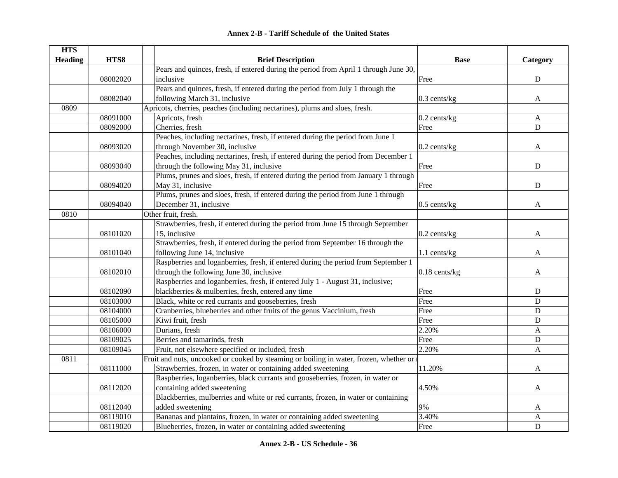| <b>HTS</b>     |          |                                                                                        |                 |              |
|----------------|----------|----------------------------------------------------------------------------------------|-----------------|--------------|
| <b>Heading</b> | HTS8     | <b>Brief Description</b>                                                               | <b>Base</b>     | Category     |
|                |          | Pears and quinces, fresh, if entered during the period from April 1 through June 30,   |                 |              |
|                | 08082020 | inclusive                                                                              | Free            | ${\bf D}$    |
|                |          | Pears and quinces, fresh, if entered during the period from July 1 through the         |                 |              |
|                | 08082040 | following March 31, inclusive                                                          | $0.3$ cents/kg  | $\mathbf{A}$ |
| 0809           |          | Apricots, cherries, peaches (including nectarines), plums and sloes, fresh.            |                 |              |
|                | 08091000 | Apricots, fresh                                                                        | $0.2$ cents/kg  | A            |
|                | 08092000 | Cherries, fresh                                                                        | Free            | $\mathbf D$  |
|                |          | Peaches, including nectarines, fresh, if entered during the period from June 1         |                 |              |
|                | 08093020 | through November 30, inclusive                                                         | $0.2$ cents/kg  | A            |
|                |          | Peaches, including nectarines, fresh, if entered during the period from December 1     |                 |              |
|                | 08093040 | through the following May 31, inclusive                                                | Free            | ${\bf D}$    |
|                |          | Plums, prunes and sloes, fresh, if entered during the period from January 1 through    |                 |              |
|                | 08094020 | May 31, inclusive                                                                      | Free            | $\mathbf D$  |
|                |          | Plums, prunes and sloes, fresh, if entered during the period from June 1 through       |                 |              |
|                | 08094040 | December 31, inclusive                                                                 | $0.5$ cents/kg  | A            |
| 0810           |          | Other fruit, fresh.                                                                    |                 |              |
|                |          | Strawberries, fresh, if entered during the period from June 15 through September       |                 |              |
|                | 08101020 | 15, inclusive                                                                          | $0.2$ cents/kg  | A            |
|                |          | Strawberries, fresh, if entered during the period from September 16 through the        |                 |              |
|                | 08101040 | following June 14, inclusive                                                           | 1.1 cents/kg    | $\mathbf{A}$ |
|                |          | Raspberries and loganberries, fresh, if entered during the period from September 1     |                 |              |
|                | 08102010 | through the following June 30, inclusive                                               | $0.18$ cents/kg | A            |
|                |          | Raspberries and loganberries, fresh, if entered July 1 - August 31, inclusive;         |                 |              |
|                | 08102090 | blackberries & mulberries, fresh, entered any time                                     | Free            | ${\bf D}$    |
|                | 08103000 | Black, white or red currants and gooseberries, fresh                                   | Free            | $\mathbf D$  |
|                | 08104000 | Cranberries, blueberries and other fruits of the genus Vaccinium, fresh                | Free            | ${\bf D}$    |
|                | 08105000 | Kiwi fruit, fresh                                                                      | Free            | ${\bf D}$    |
|                | 08106000 | Durians, fresh                                                                         | 2.20%           | $\mathbf{A}$ |
|                | 08109025 | Berries and tamarinds, fresh                                                           | Free            | ${\bf D}$    |
|                | 08109045 | Fruit, not elsewhere specified or included, fresh                                      | 2.20%           | $\mathbf{A}$ |
| 0811           |          | Fruit and nuts, uncooked or cooked by steaming or boiling in water, frozen, whether or |                 |              |
|                | 08111000 | Strawberries, frozen, in water or containing added sweetening                          | 11.20%          | $\mathbf{A}$ |
|                |          | Raspberries, loganberries, black currants and gooseberries, frozen, in water or        |                 |              |
|                | 08112020 | containing added sweetening                                                            | 4.50%           | A            |
|                |          | Blackberries, mulberries and white or red currants, frozen, in water or containing     |                 |              |
|                | 08112040 | added sweetening                                                                       | 9%              | A            |
|                | 08119010 | Bananas and plantains, frozen, in water or containing added sweetening                 | 3.40%           | A            |
|                | 08119020 | Blueberries, frozen, in water or containing added sweetening                           | Free            | $\mathbf D$  |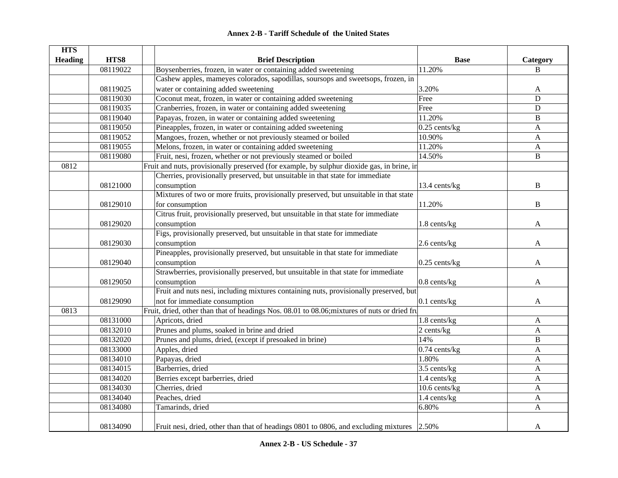|  | <b>Annex 2-B - Tariff Schedule of the United States</b> |  |
|--|---------------------------------------------------------|--|
|--|---------------------------------------------------------|--|

| <b>HTS</b>     |          |                                                                                              |                            |              |
|----------------|----------|----------------------------------------------------------------------------------------------|----------------------------|--------------|
| <b>Heading</b> | HTS8     | <b>Brief Description</b>                                                                     | <b>Base</b>                | Category     |
|                | 08119022 | Boysenberries, frozen, in water or containing added sweetening                               | 11.20%                     | B            |
|                |          | Cashew apples, mameyes colorados, sapodillas, soursops and sweetsops, frozen, in             |                            |              |
|                | 08119025 | water or containing added sweetening                                                         | 3.20%                      | A            |
|                | 08119030 | Coconut meat, frozen, in water or containing added sweetening                                | Free                       | $\mathbf D$  |
|                | 08119035 | Cranberries, frozen, in water or containing added sweetening                                 | Free                       | $\mathbf D$  |
|                | 08119040 | Papayas, frozen, in water or containing added sweetening                                     | 11.20%                     | B            |
|                | 08119050 | Pineapples, frozen, in water or containing added sweetening                                  | $0.25$ cents/kg            | A            |
|                | 08119052 | Mangoes, frozen, whether or not previously steamed or boiled                                 | 10.90%                     | $\mathbf{A}$ |
|                | 08119055 | Melons, frozen, in water or containing added sweetening                                      | 11.20%                     | $\mathbf{A}$ |
|                | 08119080 | Fruit, nesi, frozen, whether or not previously steamed or boiled                             | 14.50%                     | B            |
| 0812           |          | Fruit and nuts, provisionally preserved (for example, by sulphur dioxide gas, in brine, in   |                            |              |
|                |          | Cherries, provisionally preserved, but unsuitable in that state for immediate                |                            |              |
|                | 08121000 | consumption                                                                                  | 13.4 cents/kg              | B            |
|                |          | Mixtures of two or more fruits, provisionally preserved, but unsuitable in that state        |                            |              |
|                | 08129010 | for consumption                                                                              | 11.20%                     | $\, {\bf B}$ |
|                |          | Citrus fruit, provisionally preserved, but unsuitable in that state for immediate            |                            |              |
|                | 08129020 | consumption                                                                                  | 1.8 cents/kg               | A            |
|                |          | Figs, provisionally preserved, but unsuitable in that state for immediate                    |                            |              |
|                | 08129030 | consumption                                                                                  | 2.6 cents/kg               | A            |
|                |          | Pineapples, provisionally preserved, but unsuitable in that state for immediate              |                            |              |
|                | 08129040 | consumption                                                                                  | $0.25$ cents/kg            | A            |
|                |          | Strawberries, provisionally preserved, but unsuitable in that state for immediate            |                            |              |
|                | 08129050 | consumption                                                                                  | 0.8 cents/kg               | A            |
|                |          | Fruit and nuts nesi, including mixtures containing nuts, provisionally preserved, but        |                            |              |
|                | 08129090 | not for immediate consumption                                                                | $0.1$ cents/kg             | A            |
| 0813           |          | Fruit, dried, other than that of headings Nos. 08.01 to 08.06; mixtures of nuts or dried fru |                            |              |
|                | 08131000 | Apricots, dried                                                                              | 1.8 cents/kg               | A            |
|                | 08132010 | Prunes and plums, soaked in brine and dried                                                  | 2 cents/kg                 | $\mathbf{A}$ |
|                | 08132020 | Prunes and plums, dried, (except if presoaked in brine)                                      | 14%                        | B            |
|                | 08133000 | Apples, dried                                                                                | $0.74$ cents/kg            | A            |
|                | 08134010 | Papayas, dried                                                                               | 1.80%                      | $\mathbf{A}$ |
|                | 08134015 | Barberries, dried                                                                            | 3.5 cents/kg               | $\mathbf{A}$ |
|                | 08134020 | Berries except barberries, dried                                                             | 1.4 cents/kg               | A            |
|                | 08134030 | Cherries, dried                                                                              | $\overline{10.6}$ cents/kg | A            |
|                | 08134040 | Peaches, dried                                                                               | 1.4 cents/kg               | $\mathbf{A}$ |
|                | 08134080 | Tamarinds, dried                                                                             | 6.80%                      | A            |
|                |          |                                                                                              |                            |              |
|                | 08134090 | Fruit nesi, dried, other than that of headings 0801 to 0806, and excluding mixtures 2.50%    |                            | A            |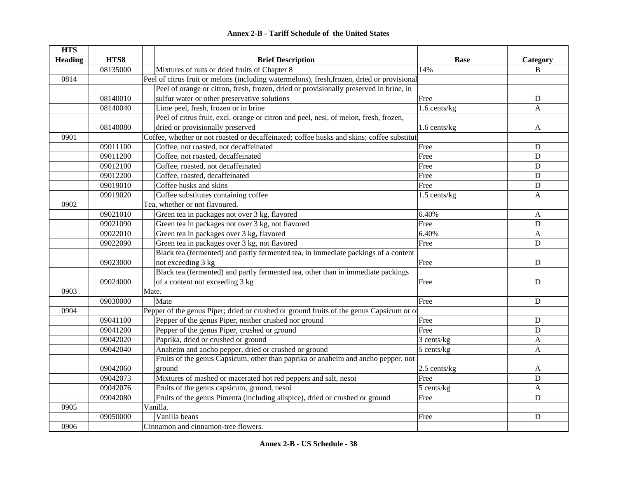#### **HTS Heading HTS8 Brief Description Base Category** 08135000 Mixtures of nuts or dried fruits of Chapter 8 14% B 0814Peel of citrus fruit or melons (including watermelons), fresh, frozen, dried or provisional 08140010Peel of orange or citron, fresh, frozen, dried or provisionally preserved in brine, in sulfur water or other preservative solutions Free Bree Bree Bree D 08140040 Lime peel, fresh, frozen or in brine 1.6 cents/kg A 08140080Peel of citrus fruit, excl. orange or citron and peel, nesi, of melon, fresh, frozen, dried or provisionally preserved and the set of the set of the set of the set of the set of the set of the set of the set of the set of the set of the set of the set of the set of the set of the set of the set of the set o 0901Coffee, whether or not roasted or decaffeinated; coffee husks and skins; coffee substitut 09011100 Coffee, not roasted, not decaffeinated D 09011200 Coffee, not roasted, decaffeinated D Eree Free D 09012100 Coffee, roasted, not decaffeinated D Eree Free D 09012200 Coffee, roasted, decaffeinated D 09019010 Coffee husks and skins D 09019020 Coffee substitutes containing coffee 1.5 cents/kg A 0902Tea, whether or not flavoured. 09021010 Green tea in packages not over 3 kg, flavored 6.40% 6.40% A 09021090 Green tea in packages not over 3 kg, not flavored Free Free Free D 09022010 Green tea in packages over 3 kg, flavored 6.40% 6.40% A 09022090 Green tea in packages over 3 kg, not flavored Free D 09023000Black tea (fermented) and partly fermented tea, in immediate packings of a content not exceeding 3 kg D 09024000Black tea (fermented) and partly fermented tea, other than in immediate packings of a content not exceeding 3 kg Free Branch and the D 0903Mate. 09030000 Mate Free D0904Pepper of the genus Piper; dried or crushed or ground fruits of the genus Capsicum or of 09041100 Pepper of the genus Piper, neither crushed nor ground Free Free D 09041200 Pepper of the genus Piper, crushed or ground Free Free D 09042020 Paprika, dried or crushed or ground 3 cents/kg A 09042040 Anaheim and ancho pepper, dried or crushed or ground 5 cents/kg A 09042060Fruits of the genus Capsicum, other than paprika or anaheim and ancho pepper, not ground and the set of the set of the set of the set of the set of the set of the set of the set of the set of the set of the set of the set of the set of the set of the set of the set of the set of the set of the set of th 09042073 Mixtures of mashed or macerated hot red peppers and salt, nesoi Free Free D  $09042076$  Fruits of the genus capsicum, ground, nesoi  $5$  cents/kg  $\overline{\phantom{a}}$  A 09042080 Fruits of the genus Pimenta (including allspice), dried or crushed or ground Free D 0905Vanilla. 09050000 Vanilla beans D 0906Cinnamon and cinnamon-tree flowers.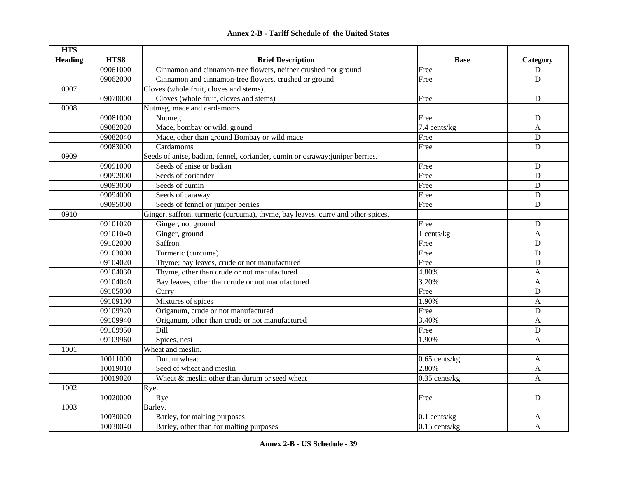#### **HTS Heading are HTS8 are EXECUTE: Brief Description Base Base Category** 09061000 Cinnamon and cinnamon-tree flowers, neither crushed nor ground  $\begin{array}{ccc} \n\text{Free} & \text{S} \\
\end{array}$ 09062000 Cinnamon and cinnamon-tree flowers, crushed or ground Free Free Pree D 0907Cloves (whole fruit, cloves and stems). 09070000 Cloves (whole fruit, cloves and stems) Free Free D 0908Nutmeg, mace and cardamoms. 09081000 Nutmeg Free D 09082020 Mace, bombay or wild, ground 7.4 cents/kg A 09082040 Mace, other than ground Bombay or wild mace Free Free Press, Press, 20082040 Mace, other than ground Bombay or wild mace 09083000 Cardamoms Free D0909Seeds of anise, badian, fennel, coriander, cumin or csraway; juniper berries. 09091000 Seeds of anise or badian D 09092000 Seeds of coriander **Seeds** of coriander **Free** D 09093000 Seeds of cumin D 09094000 Seeds of caraway D 09095000 Seeds of fennel or juniper berries Free D 0910Ginger, saffron, turmeric (curcuma), thyme, bay leaves, curry and other spices. 09101020 Ginger, not ground D 09101040 Ginger, ground A and the set of the set of the set of the set of the set of the set of the set of the set of the set of the set of the set of the set of the set of the set of the set of the set of the set of the s 09102000 Saffron Free D09103000 Turmeric (curcuma) D 09104020 Thyme: bay leaves, crude or not manufactured Free Free Free D 09104030 Thyme, other than crude or not manufactured 4.80% A 09104040 Bay leaves, other than crude or not manufactured 3.20% 3.20% A 09105000 Curry Free D 09109100 Mixtures of spices A and the spin-09109920 Origanum, crude or not manufactured Free Free Press, D 09109940 Origanum, other than crude or not manufactured 3.40% 3.40% A 09109950 | **Dill** l and the property of the contract of the contract of the contract of the contract of the contract of the contract of  $D$ 09109960 | Spices, nesi A 1001Wheat and meslin. 10011000 Durum wheat A and the state of the state of the state of the state of the state of the state of the state of the state of the state of the state of the state of the state of the state of the state of the state of 10019010 Seed of wheat and meslin 2.80% 2.80% A 10019020 Wheat & meslin other than durum or seed wheat 0.35 cents/kg A 1002Rye. 10020000 Rye Bernard Research Control of the Second Present Control of the Dunberry Present Control of Dunberry D 1003Barley. 10030020 Barley, for malting purposes and the set of the set of the set of the set of the set of the A 10030040 Barley, other than for malting purposes 0.15 cents/kg A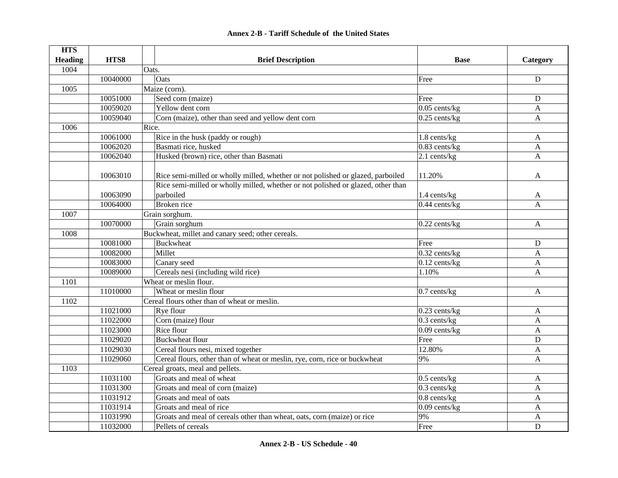| <b>HTS</b>     |          |                                                                                  |                            |              |
|----------------|----------|----------------------------------------------------------------------------------|----------------------------|--------------|
| <b>Heading</b> | HTS8     | <b>Brief Description</b>                                                         | <b>Base</b>                | Category     |
| 1004           |          | Oats.                                                                            |                            |              |
|                | 10040000 | Oats                                                                             | Free                       | ${\bf D}$    |
| 1005           |          | Maize (corn).                                                                    |                            |              |
|                | 10051000 | Seed corn (maize)                                                                | Free                       | D            |
|                | 10059020 | Yellow dent corn                                                                 | $0.05$ cents/kg            | A            |
|                | 10059040 | Corn (maize), other than seed and yellow dent corn                               | $0.25$ cents/kg            | $\mathbf{A}$ |
| 1006           |          | Rice.                                                                            |                            |              |
|                | 10061000 | Rice in the husk (paddy or rough)                                                | 1.8 cents/kg               | A            |
|                | 10062020 | Basmati rice, husked                                                             | 0.83 cents/kg              | A            |
|                | 10062040 | Husked (brown) rice, other than Basmati                                          | 2.1 cents/kg               | $\mathbf{A}$ |
|                |          |                                                                                  |                            |              |
|                | 10063010 | Rice semi-milled or wholly milled, whether or not polished or glazed, parboiled  | 11.20%                     | A            |
|                |          | Rice semi-milled or wholly milled, whether or not polished or glazed, other than |                            |              |
|                | 10063090 | parboiled                                                                        | 1.4 cents/kg               | A            |
|                | 10064000 | Broken rice                                                                      | $\overline{0.44}$ cents/kg | $\mathbf{A}$ |
| 1007           |          | Grain sorghum.                                                                   |                            |              |
|                | 10070000 | Grain sorghum                                                                    | $0.22$ cents/kg            | $\mathbf{A}$ |
| 1008           |          | Buckwheat, millet and canary seed; other cereals.                                |                            |              |
|                | 10081000 | <b>Buckwheat</b>                                                                 | Free                       | ${\bf D}$    |
|                | 10082000 | Millet                                                                           | 0.32 cents/kg              | $\mathbf{A}$ |
|                | 10083000 | Canary seed                                                                      | $0.12$ cents/kg            | $\mathbf{A}$ |
|                | 10089000 | Cereals nesi (including wild rice)                                               | 1.10%                      | $\mathbf{A}$ |
| 1101           |          | Wheat or meslin flour.                                                           |                            |              |
|                | 11010000 | Wheat or meslin flour                                                            | $0.7$ cents/kg             | A            |
| 1102           |          | Cereal flours other than of wheat or meslin.                                     |                            |              |
|                | 11021000 | Rye flour                                                                        | $0.23$ cents/kg            | A            |
|                | 11022000 | Corn (maize) flour                                                               | $0.3$ cents/kg             | $\mathbf{A}$ |
|                | 11023000 | Rice flour                                                                       | $0.09$ cents/kg            | $\mathbf{A}$ |
|                | 11029020 | <b>Buckwheat flour</b>                                                           | Free                       | D            |
|                | 11029030 | Cereal flours nesi, mixed together                                               | 12.80%                     | A            |
|                | 11029060 | Cereal flours, other than of wheat or meslin, rye, corn, rice or buckwheat       | 9%                         | $\mathsf{A}$ |
| 1103           |          | Cereal groats, meal and pellets.                                                 |                            |              |
|                | 11031100 | Groats and meal of wheat                                                         | $0.5$ cents/kg             | A            |
|                | 11031300 | Groats and meal of corn (maize)                                                  | 0.3 cents/kg               | $\mathbf{A}$ |
|                | 11031912 | Groats and meal of oats                                                          | $0.8$ cents/kg             | A            |
|                | 11031914 | Groats and meal of rice                                                          | $0.09$ cents/kg            | A            |
|                | 11031990 | Groats and meal of cereals other than wheat, oats, corn (maize) or rice          | 9%                         | A            |
|                | 11032000 | Pellets of cereals                                                               | Free                       | D            |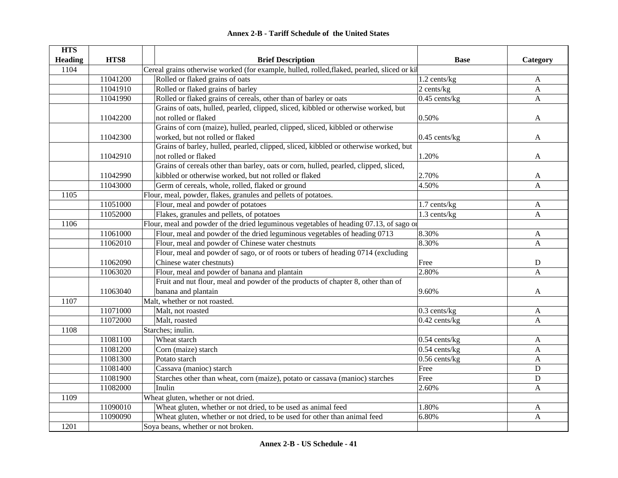|  | <b>Annex 2-B - Tariff Schedule of the United States</b> |  |
|--|---------------------------------------------------------|--|
|--|---------------------------------------------------------|--|

| <b>HTS</b>     |          |                                                                                             |                 |              |  |
|----------------|----------|---------------------------------------------------------------------------------------------|-----------------|--------------|--|
| <b>Heading</b> | HTS8     | <b>Brief Description</b>                                                                    | <b>Base</b>     | Category     |  |
| 1104           |          | Cereal grains otherwise worked (for example, hulled, rolled, flaked, pearled, sliced or kil |                 |              |  |
|                | 11041200 | Rolled or flaked grains of oats                                                             | 1.2 cents/kg    | A            |  |
|                | 11041910 | Rolled or flaked grains of barley                                                           | $2$ cents/kg    | $\mathbf{A}$ |  |
|                | 11041990 | Rolled or flaked grains of cereals, other than of barley or oats                            | $0.45$ cents/kg | $\mathbf{A}$ |  |
|                |          | Grains of oats, hulled, pearled, clipped, sliced, kibbled or otherwise worked, but          |                 |              |  |
|                | 11042200 | not rolled or flaked                                                                        | 0.50%           | A            |  |
|                |          | Grains of corn (maize), hulled, pearled, clipped, sliced, kibbled or otherwise              |                 |              |  |
|                | 11042300 | worked, but not rolled or flaked                                                            | $0.45$ cents/kg | A            |  |
|                |          | Grains of barley, hulled, pearled, clipped, sliced, kibbled or otherwise worked, but        |                 |              |  |
|                | 11042910 | not rolled or flaked                                                                        | 1.20%           | A            |  |
|                |          | Grains of cereals other than barley, oats or corn, hulled, pearled, clipped, sliced,        |                 |              |  |
|                | 11042990 | kibbled or otherwise worked, but not rolled or flaked                                       | 2.70%           | A            |  |
|                | 11043000 | Germ of cereals, whole, rolled, flaked or ground                                            | 4.50%           | A            |  |
| 1105           |          | Flour, meal, powder, flakes, granules and pellets of potatoes.                              |                 |              |  |
|                | 11051000 | Flour, meal and powder of potatoes                                                          | 1.7 cents/kg    | $\mathbf{A}$ |  |
|                | 11052000 | Flakes, granules and pellets, of potatoes                                                   | 1.3 cents/kg    | $\mathbf{A}$ |  |
| 1106           |          | Flour, meal and powder of the dried leguminous vegetables of heading 07.13, of sago or      |                 |              |  |
|                | 11061000 | Flour, meal and powder of the dried leguminous vegetables of heading 0713                   | 8.30%           | $\mathbf{A}$ |  |
|                | 11062010 | Flour, meal and powder of Chinese water chestnuts                                           | 8.30%           | A            |  |
|                |          | Flour, meal and powder of sago, or of roots or tubers of heading 0714 (excluding            |                 |              |  |
|                | 11062090 | Chinese water chestnuts)                                                                    | Free            | ${\bf D}$    |  |
|                | 11063020 | Flour, meal and powder of banana and plantain                                               | 2.80%           | A            |  |
|                |          | Fruit and nut flour, meal and powder of the products of chapter 8, other than of            |                 |              |  |
|                | 11063040 | banana and plantain                                                                         | 9.60%           | A            |  |
| 1107           |          | Malt, whether or not roasted.                                                               |                 |              |  |
|                | 11071000 | Malt, not roasted                                                                           | $0.3$ cents/kg  | A            |  |
|                | 11072000 | Malt, roasted                                                                               | $0.42$ cents/kg | A            |  |
| 1108           |          | Starches; inulin.                                                                           |                 |              |  |
|                | 11081100 | Wheat starch                                                                                | $0.54$ cents/kg | A            |  |
|                | 11081200 | Corn (maize) starch                                                                         | $0.54$ cents/kg | A            |  |
|                | 11081300 | Potato starch                                                                               | $0.56$ cents/kg | $\mathbf{A}$ |  |
|                | 11081400 | Cassava (manioc) starch                                                                     | Free            | $\mathbf D$  |  |
|                | 11081900 | Starches other than wheat, corn (maize), potato or cassava (manioc) starches                | Free            | $\mathbf D$  |  |
|                | 11082000 | Inulin                                                                                      | 2.60%           | A            |  |
| 1109           |          | Wheat gluten, whether or not dried.                                                         |                 |              |  |
|                | 11090010 | Wheat gluten, whether or not dried, to be used as animal feed                               | 1.80%           | A            |  |
|                | 11090090 | Wheat gluten, whether or not dried, to be used for other than animal feed                   | 6.80%           | A            |  |
| 1201           |          | Soya beans, whether or not broken.                                                          |                 |              |  |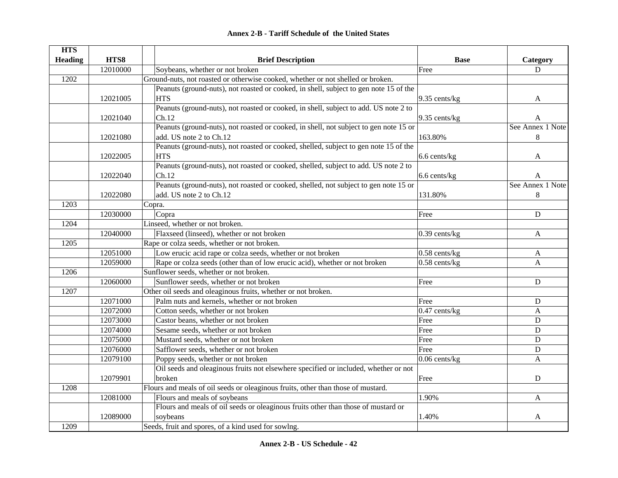|  | <b>Annex 2-B - Tariff Schedule of the United States</b> |  |
|--|---------------------------------------------------------|--|
|--|---------------------------------------------------------|--|

| <b>HTS</b>     |          |                                                                                       |                    |                  |
|----------------|----------|---------------------------------------------------------------------------------------|--------------------|------------------|
| <b>Heading</b> | HTS8     | <b>Brief Description</b>                                                              | <b>Base</b>        | Category         |
|                | 12010000 | Soybeans, whether or not broken                                                       | Free               | D                |
| 1202           |          | Ground-nuts, not roasted or otherwise cooked, whether or not shelled or broken.       |                    |                  |
|                |          | Peanuts (ground-nuts), not roasted or cooked, in shell, subject to gen note 15 of the |                    |                  |
|                | 12021005 | <b>HTS</b>                                                                            | $9.35$ cents/kg    | A                |
|                |          | Peanuts (ground-nuts), not roasted or cooked, in shell, subject to add. US note 2 to  |                    |                  |
|                | 12021040 | Ch.12                                                                                 | $9.35$ cents/kg    | A                |
|                |          | Peanuts (ground-nuts), not roasted or cooked, in shell, not subject to gen note 15 or |                    | See Annex 1 Note |
|                | 12021080 | add. US note 2 to Ch.12                                                               | 163.80%            | $\,8\,$          |
|                |          | Peanuts (ground-nuts), not roasted or cooked, shelled, subject to gen note 15 of the  |                    |                  |
|                | 12022005 | <b>HTS</b>                                                                            | 6.6 cents/kg       | A                |
|                |          | Peanuts (ground-nuts), not roasted or cooked, shelled, subject to add. US note 2 to   |                    |                  |
|                | 12022040 | Ch.12                                                                                 | 6.6 cents/kg       | A                |
|                |          | Peanuts (ground-nuts), not roasted or cooked, shelled, not subject to gen note 15 or  |                    | See Annex 1 Note |
|                | 12022080 | add. US note 2 to Ch.12                                                               | 131.80%            | $8\phantom{.0}$  |
| 1203           |          | Copra.                                                                                |                    |                  |
|                | 12030000 | Copra                                                                                 | Free               | ${\bf D}$        |
| 1204           |          | Linseed, whether or not broken.                                                       |                    |                  |
|                | 12040000 | Flaxseed (linseed), whether or not broken                                             | $0.39$ cents/kg    | $\mathbf{A}$     |
| 1205           |          | Rape or colza seeds, whether or not broken.                                           |                    |                  |
|                | 12051000 | Low erucic acid rape or colza seeds, whether or not broken                            | $0.58$ cents/kg    | A                |
|                | 12059000 | Rape or colza seeds (other than of low erucic acid), whether or not broken            | $0.58$ cents/kg    | A                |
| 1206           |          | Sunflower seeds, whether or not broken.                                               |                    |                  |
|                | 12060000 | Sunflower seeds, whether or not broken                                                | Free               | $\mathbf D$      |
| 1207           |          | Other oil seeds and oleaginous fruits, whether or not broken.                         |                    |                  |
|                | 12071000 | Palm nuts and kernels, whether or not broken                                          | Free               | D                |
|                | 12072000 | Cotton seeds, whether or not broken                                                   | $0.47$ cents/kg    | A                |
|                | 12073000 | Castor beans, whether or not broken                                                   | Free               | $\mathbf D$      |
|                | 12074000 | Sesame seeds, whether or not broken                                                   | Free               | $\mathbf D$      |
|                | 12075000 | Mustard seeds, whether or not broken                                                  | Free               | $\mathbf D$      |
|                | 12076000 | Safflower seeds, whether or not broken                                                | Free               | $\mathbf D$      |
|                | 12079100 | Poppy seeds, whether or not broken                                                    | $0.06$ cents/ $kg$ | $\overline{A}$   |
|                |          | Oil seeds and oleaginous fruits not elsewhere specified or included, whether or not   |                    |                  |
|                | 12079901 | broken                                                                                | Free               | $\mathbf D$      |
| 1208           |          | Flours and meals of oil seeds or oleaginous fruits, other than those of mustard.      |                    |                  |
|                | 12081000 | Flours and meals of soybeans                                                          | 1.90%              | $\mathbf{A}$     |
|                |          | Flours and meals of oil seeds or oleaginous fruits other than those of mustard or     |                    |                  |
|                | 12089000 | soybeans                                                                              | 1.40%              | A                |
| 1209           |          | Seeds, fruit and spores, of a kind used for sowlng.                                   |                    |                  |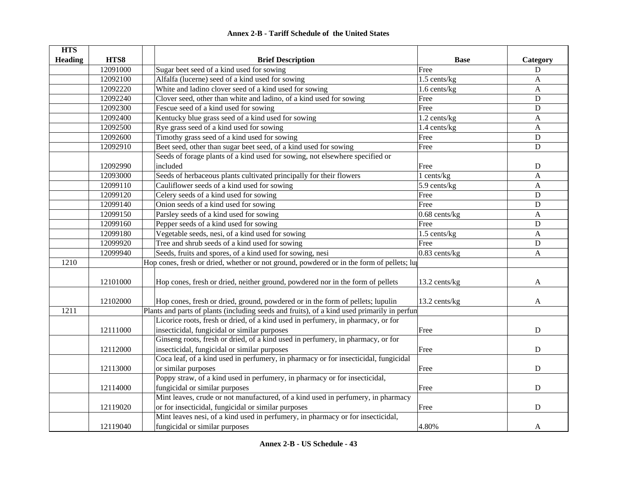| <b>HTS</b>     |          |                                                                                             |                 |              |
|----------------|----------|---------------------------------------------------------------------------------------------|-----------------|--------------|
| <b>Heading</b> | HTS8     | <b>Brief Description</b>                                                                    | <b>Base</b>     | Category     |
|                | 12091000 | Sugar beet seed of a kind used for sowing                                                   | Free            | $\mathbf D$  |
|                | 12092100 | Alfalfa (lucerne) seed of a kind used for sowing                                            | 1.5 cents/kg    | A            |
|                | 12092220 | White and ladino clover seed of a kind used for sowing                                      | 1.6 cents/kg    | $\mathbf{A}$ |
|                | 12092240 | Clover seed, other than white and ladino, of a kind used for sowing                         | Free            | ${\bf D}$    |
|                | 12092300 | Fescue seed of a kind used for sowing                                                       | Free            | ${\bf D}$    |
|                | 12092400 | Kentucky blue grass seed of a kind used for sowing                                          | 1.2 cents/kg    | $\mathbf{A}$ |
|                | 12092500 | Rye grass seed of a kind used for sowing                                                    | 1.4 cents/kg    | $\mathbf{A}$ |
|                | 12092600 | Timothy grass seed of a kind used for sowing                                                | Free            | D            |
|                | 12092910 | Beet seed, other than sugar beet seed, of a kind used for sowing                            | Free            | D            |
|                |          | Seeds of forage plants of a kind used for sowing, not elsewhere specified or                |                 |              |
|                | 12092990 | included                                                                                    | Free            | D            |
|                | 12093000 | Seeds of herbaceous plants cultivated principally for their flowers                         | 1 cents/kg      | $\mathbf{A}$ |
|                | 12099110 | Cauliflower seeds of a kind used for sowing                                                 | 5.9 cents/kg    | $\mathbf{A}$ |
|                | 12099120 | Celery seeds of a kind used for sowing                                                      | Free            | $\mathbf D$  |
|                | 12099140 | Onion seeds of a kind used for sowing                                                       | Free            | $\mathbf D$  |
|                | 12099150 | Parsley seeds of a kind used for sowing                                                     | $0.68$ cents/kg | $\mathbf{A}$ |
|                | 12099160 | Pepper seeds of a kind used for sowing                                                      | Free            | $\mathbf D$  |
|                | 12099180 | Vegetable seeds, nesi, of a kind used for sowing                                            | 1.5 cents/kg    | $\mathbf{A}$ |
|                | 12099920 | Tree and shrub seeds of a kind used for sowing                                              | Free            | ${\bf D}$    |
|                | 12099940 | Seeds, fruits and spores, of a kind used for sowing, nesi                                   | $0.83$ cents/kg | $\mathbf{A}$ |
| 1210           |          | Hop cones, fresh or dried, whether or not ground, powdered or in the form of pellets; lu    |                 |              |
|                |          |                                                                                             |                 |              |
|                | 12101000 | Hop cones, fresh or dried, neither ground, powdered nor in the form of pellets              | 13.2 cents/kg   | A            |
|                |          |                                                                                             |                 |              |
|                | 12102000 | Hop cones, fresh or dried, ground, powdered or in the form of pellets; lupulin              | 13.2 cents/kg   | A            |
| 1211           |          | Plants and parts of plants (including seeds and fruits), of a kind used primarily in perfun |                 |              |
|                |          | Licorice roots, fresh or dried, of a kind used in perfumery, in pharmacy, or for            |                 |              |
|                | 12111000 | insecticidal, fungicidal or similar purposes                                                | Free            | D            |
|                |          | Ginseng roots, fresh or dried, of a kind used in perfumery, in pharmacy, or for             |                 |              |
|                | 12112000 | insecticidal, fungicidal or similar purposes                                                | Free            | D            |
|                |          | Coca leaf, of a kind used in perfumery, in pharmacy or for insecticidal, fungicidal         |                 |              |
|                | 12113000 | or similar purposes                                                                         | Free            | D            |
|                |          | Poppy straw, of a kind used in perfumery, in pharmacy or for insecticidal,                  |                 |              |
|                | 12114000 | fungicidal or similar purposes                                                              | Free            | $\mathbf D$  |
|                |          | Mint leaves, crude or not manufactured, of a kind used in perfumery, in pharmacy            |                 |              |
|                | 12119020 | or for insecticidal, fungicidal or similar purposes                                         | Free            | D            |
|                |          | Mint leaves nesi, of a kind used in perfumery, in pharmacy or for insecticidal,             |                 |              |
|                | 12119040 | fungicidal or similar purposes                                                              | 4.80%           | A            |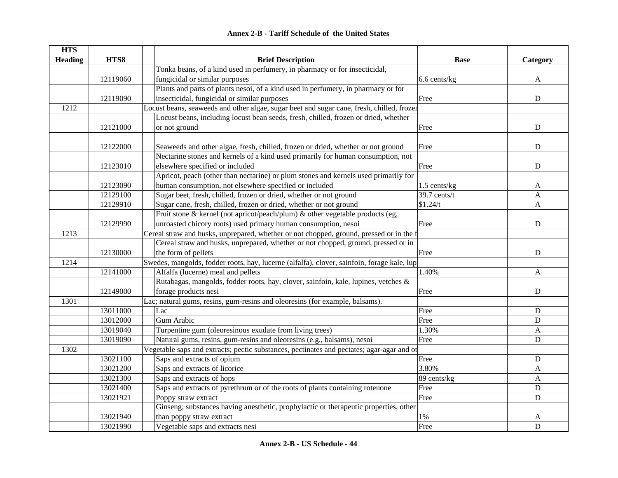| <b>HTS</b>     |          |                                                                                            |                |             |
|----------------|----------|--------------------------------------------------------------------------------------------|----------------|-------------|
| <b>Heading</b> | HTS8     | <b>Brief Description</b>                                                                   | <b>Base</b>    | Category    |
|                |          | Tonka beans, of a kind used in perfumery, in pharmacy or for insecticidal,                 |                |             |
|                | 12119060 | fungicidal or similar purposes                                                             | 6.6 cents/kg   | A           |
|                |          | Plants and parts of plants nesoi, of a kind used in perfumery, in pharmacy or for          |                |             |
|                | 12119090 | insecticidal, fungicidal or similar purposes                                               | Free           | ${\bf D}$   |
| 1212           |          | Locust beans, seaweeds and other algae, sugar beet and sugar cane, fresh, chilled, frozer  |                |             |
|                |          | Locust beans, including locust bean seeds, fresh, chilled, frozen or dried, whether        |                |             |
|                | 12121000 | or not ground                                                                              | Free           | ${\bf D}$   |
|                |          |                                                                                            |                |             |
|                | 12122000 | Seaweeds and other algae, fresh, chilled, frozen or dried, whether or not ground           | Free           | $\mathbf D$ |
|                |          | Nectarine stones and kernels of a kind used primarily for human consumption, not           |                |             |
|                | 12123010 | elsewhere specified or included                                                            | Free           | ${\bf D}$   |
|                |          | Apricot, peach (other than nectarine) or plum stones and kernels used primarily for        |                |             |
|                | 12123090 | human consumption, not elsewhere specified or included                                     | $1.5$ cents/kg | A           |
|                | 12129100 | Sugar beet, fresh, chilled, frozen or dried, whether or not ground                         | 39.7 cents/t   | A           |
|                | 12129910 | Sugar cane, fresh, chilled, frozen or dried, whether or not ground                         | \$1.24/t       | A           |
|                |          | Fruit stone & kernel (not apricot/peach/plum) & other vegetable products (eg,              |                |             |
|                | 12129990 | unroasted chicory roots) used primary human consumption, nesoi                             | Free           | ${\bf D}$   |
| 1213           |          | Cereal straw and husks, unprepared, whether or not chopped, ground, pressed or in the f    |                |             |
|                |          | Cereal straw and husks, unprepared, whether or not chopped, ground, pressed or in          |                |             |
|                | 12130000 | the form of pellets                                                                        | Free           | ${\bf D}$   |
| 1214           |          | Swedes, mangolds, fodder roots, hay, lucerne (alfalfa), clover, sainfoin, forage kale, lup |                |             |
|                | 12141000 | Alfalfa (lucerne) meal and pellets                                                         | 1.40%          | A           |
|                |          | Rutabagas, mangolds, fodder roots, hay, clover, sainfoin, kale, lupines, vetches &         |                |             |
|                | 12149000 | forage products nesi                                                                       | Free           | $\mathbf D$ |
| 1301           |          | Lac; natural gums, resins, gum-resins and oleoresins (for example, balsams).               |                |             |
|                | 13011000 | Lac                                                                                        | Free           | ${\bf D}$   |
|                | 13012000 | Gum Arabic                                                                                 | Free           | ${\bf D}$   |
|                | 13019040 | Turpentine gum (oleoresinous exudate from living trees)                                    | 1.30%          | A           |
|                | 13019090 | Natural gums, resins, gum-resins and oleoresins (e.g., balsams), nesoi                     | Free           | $\mathbf D$ |
| 1302           |          | Vegetable saps and extracts; pectic substances, pectinates and pectates; agar-agar and ot  |                |             |
|                | 13021100 | Saps and extracts of opium                                                                 | Free           | ${\bf D}$   |
|                | 13021200 | Saps and extracts of licorice                                                              | 3.80%          | A           |
|                | 13021300 | Saps and extracts of hops                                                                  | 89 cents/kg    | A           |
|                | 13021400 | Saps and extracts of pyrethrum or of the roots of plants containing rotenone               | Free           | ${\bf D}$   |
|                | 13021921 | Poppy straw extract                                                                        | Free           | $\mathbf D$ |
|                |          | Ginseng; substances having anesthetic, prophylactic or therapeutic properties, other       |                |             |
|                | 13021940 | than poppy straw extract                                                                   | $1\%$          | A           |
|                | 13021990 | Vegetable saps and extracts nesi                                                           | Free           | $\mathbf D$ |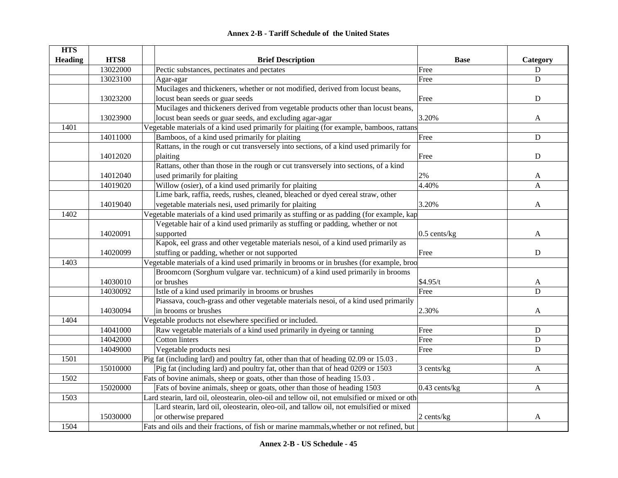#### **HTS Heading are HTS8 are THTS8 Brief Description Brief Description Base Base Example Category** 13022000 Pectic substances, pectinates and pectates Free Free Press,  $\Box$ 13023100 Agar-agar D D 13023200Mucilages and thickeners, whether or not modified, derived from locust beans, locust bean seeds or guar seeds **Free** D 13023900Mucilages and thickeners derived from vegetable products other than locust beans, locust bean seeds or guar seeds, and excluding agar-agar  $\qquad \qquad \qquad$  3.20% A 1401Vegetable materials of a kind used primarily for plaiting (for example, bamboos, rattans 14011000 Bamboos, of a kind used primarily for plaiting Free Free Press, Free Press, D. 14012020Rattans, in the rough or cut transversely into sections, of a kind used primarily for plaiting D<br>
D 14012040 Rattans, other than those in the rough or cut transversely into sections, of a kind used primarily for plaiting and the contract of the contract of the contract of the contract of the contract of the contract of the contract of the contract of the contract of the contract of the contract of the contract o 14019020 Willow (osier), of a kind used primarily for plaiting 4.40% A 14019040Lime bark, raffia, reeds, rushes, cleaned, bleached or dyed cereal straw, other vegetable materials nesi, used primarily for plaiting 3.20% 3.20% 1402Vegetable materials of a kind used primarily as stuffing or as padding (for example, kap 14020091Vegetable hair of a kind used primarily as stuffing or padding, whether or not supported a subset of the set of the set of the set of the set of the set of the set of the set of the set of the set of the set of the set of the set of the set of the set of the set of the set of the set of the set of th 14020099Kapok, eel grass and other vegetable materials nesoi, of a kind used primarily as stuffing or padding, whether or not supported **Free** Pres 1403Vegetable materials of a kind used primarily in brooms or in brushes (for example, broo 14030010Broomcorn (Sorghum vulgare var. technicum) of a kind used primarily in brooms or brushes  $$4.95/t$  A 14030092 Istle of a kind used primarily in brooms or brushes Free Free Press, Pres 14030094Piassava, couch-grass and other vegetable materials nesoi, of a kind used primarily in brooms or brushes and the contract of the contract of the contract of the contract of the contract of the contract of the contract of the contract of the contract of the contract of the contract of the contract of the c 1404Vegetable products not elsewhere specified or included. 14041000 Raw vegetable materials of a kind used primarily in dyeing or tanning Free D 14042000 Cotton linters D 14049000 Vegetable products nesi D 1501Pig fat (including lard) and poultry fat, other than that of heading 02.09 or 15.03 15010000 Pig fat (including lard) and poultry fat, other than that of head 0209 or 1503 3 cents/kg A 1502Fats of bovine animals, sheep or goats, other than those of heading 15.03 15020000 **Fats of bovine animals, sheep or goats, other than those of heading 1503** 0.43 cents/kg A 1503Lard stearin, lard oil, oleostearin, oleo-oil and tellow oil, not emulsified or mixed or oth 15030000Lard stearin, lard oil, oleostearin, oleo-oil, and tallow oil, not emulsified or mixed or otherwise prepared and the control of the control of the control of the control of the control of the control of the control of the control of the control of the control of the control of the control of the control of t

### **Annex 2-B - Tariff Schedule of the United States**

Fats and oils and their fractions, of fish or marine mammals, whether or not refined, but

1504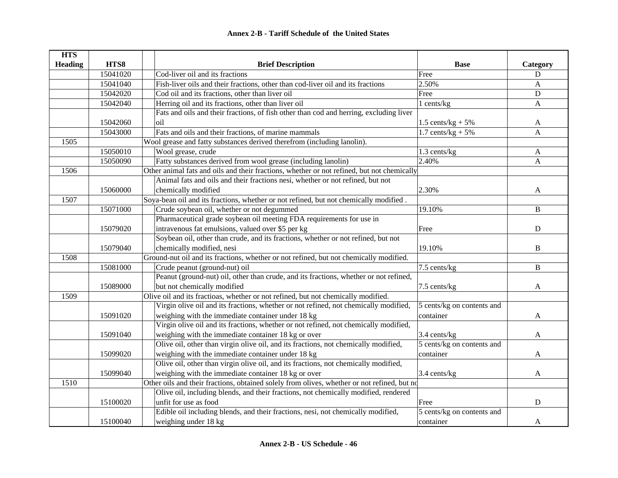| <b>HTS</b>     |          |                                                                                             |                            |              |
|----------------|----------|---------------------------------------------------------------------------------------------|----------------------------|--------------|
| <b>Heading</b> | HTS8     | <b>Brief Description</b>                                                                    | <b>Base</b>                | Category     |
|                | 15041020 | Cod-liver oil and its fractions                                                             | Free                       | D            |
|                | 15041040 | Fish-liver oils and their fractions, other than cod-liver oil and its fractions             | 2.50%                      | A            |
|                | 15042020 | Cod oil and its fractions, other than liver oil                                             | Free                       | ${\bf D}$    |
|                | 15042040 | Herring oil and its fractions, other than liver oil                                         | 1 cents/kg                 | A            |
|                |          | Fats and oils and their fractions, of fish other than cod and herring, excluding liver      |                            |              |
|                | 15042060 | oil                                                                                         | 1.5 cents/ $kg + 5%$       | A            |
|                | 15043000 | Fats and oils and their fractions, of marine mammals                                        | 1.7 cents/kg $+ 5\%$       | $\mathbf{A}$ |
| 1505           |          | Wool grease and fatty substances derived therefrom (including lanolin).                     |                            |              |
|                | 15050010 | Wool grease, crude                                                                          | 1.3 cents/kg               | A            |
|                | 15050090 | Fatty substances derived from wool grease (including lanolin)                               | 2.40%                      | $\mathbf{A}$ |
| 1506           |          | Other animal fats and oils and their fractions, whether or not refined, but not chemically  |                            |              |
|                |          | Animal fats and oils and their fractions nesi, whether or not refined, but not              |                            |              |
|                | 15060000 | chemically modified                                                                         | 2.30%                      | A            |
| 1507           |          | Soya-bean oil and its fractions, whether or not refined, but not chemically modified.       |                            |              |
|                | 15071000 | Crude soybean oil, whether or not degummed                                                  | 19.10%                     | $\, {\bf B}$ |
|                |          | Pharmaceutical grade soybean oil meeting FDA requirements for use in                        |                            |              |
|                | 15079020 | intravenous fat emulsions, valued over \$5 per kg                                           | Free                       | ${\bf D}$    |
|                |          | Soybean oil, other than crude, and its fractions, whether or not refined, but not           |                            |              |
|                | 15079040 | chemically modified, nesi                                                                   | 19.10%                     | B            |
| 1508           |          | Ground-nut oil and its fractions, whether or not refined, but not chemically modified.      |                            |              |
|                | 15081000 | Crude peanut (ground-nut) oil                                                               | 7.5 cents/kg               | B            |
|                |          | Peanut (ground-nut) oil, other than crude, and its fractions, whether or not refined,       |                            |              |
|                | 15089000 | but not chemically modified                                                                 | 7.5 cents/kg               | A            |
| 1509           |          | Olive oil and its fractioas, whether or not refined, but not chemically modified.           |                            |              |
|                |          | Virgin olive oil and its fractions, whether or not refined, not chemically modified,        | 5 cents/kg on contents and |              |
|                | 15091020 | weighing with the immediate container under 18 kg                                           | container                  | A            |
|                |          | Virgin olive oil and its fractions, whether or not refined, not chemically modified,        |                            |              |
|                | 15091040 | weighing with the immediate container 18 kg or over                                         | 3.4 cents/kg               | A            |
|                |          | Olive oil, other than virgin olive oil, and its fractions, not chemically modified,         | 5 cents/kg on contents and |              |
|                | 15099020 | weighing with the immediate container under 18 kg                                           | container                  | A            |
|                |          | Olive oil, other than virgin olive oil, and its fractions, not chemically modified,         |                            |              |
|                | 15099040 | weighing with the immediate container 18 kg or over                                         | 3.4 cents/kg               | A            |
| 1510           |          | Other oils and their fractions, obtained solely from olives, whether or not refined, but no |                            |              |
|                |          | Olive oil, including blends, and their fractions, not chemically modified, rendered         |                            |              |
|                | 15100020 | unfit for use as food                                                                       | Free                       | $\mathbf D$  |
|                |          | Edible oil including blends, and their fractions, nesi, not chemically modified,            | 5 cents/kg on contents and |              |
|                | 15100040 | weighing under 18 kg                                                                        | container                  | A            |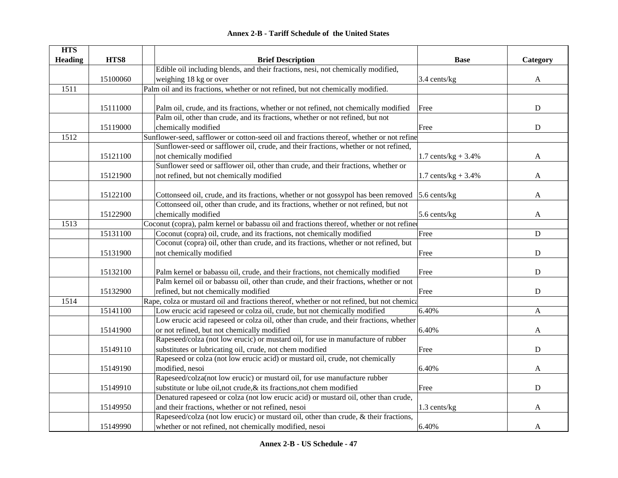| <b>HTS</b>     |          |                                                                                                 |                        |              |
|----------------|----------|-------------------------------------------------------------------------------------------------|------------------------|--------------|
| <b>Heading</b> | HTS8     | <b>Brief Description</b>                                                                        | <b>Base</b>            | Category     |
|                |          | Edible oil including blends, and their fractions, nesi, not chemically modified,                |                        |              |
|                | 15100060 | weighing 18 kg or over                                                                          | 3.4 cents/kg           | $\mathbf{A}$ |
| 1511           |          | Palm oil and its fractions, whether or not refined, but not chemically modified.                |                        |              |
|                |          |                                                                                                 |                        |              |
|                | 15111000 | Palm oil, crude, and its fractions, whether or not refined, not chemically modified             | Free                   | $\mathbf D$  |
|                |          | Palm oil, other than crude, and its fractions, whether or not refined, but not                  |                        |              |
|                | 15119000 | chemically modified                                                                             | Free                   | ${\bf D}$    |
| 1512           |          | Sunflower-seed, safflower or cotton-seed oil and fractions thereof, whether or not refine       |                        |              |
|                |          | Sunflower-seed or safflower oil, crude, and their fractions, whether or not refined,            |                        |              |
|                | 15121100 | not chemically modified                                                                         | 1.7 cents/ $kg + 3.4%$ | A            |
|                |          | Sunflower seed or safflower oil, other than crude, and their fractions, whether or              |                        |              |
|                | 15121900 | not refined, but not chemically modified                                                        | 1.7 cents/ $kg + 3.4%$ | A            |
|                |          |                                                                                                 |                        |              |
|                | 15122100 | Cottonseed oil, crude, and its fractions, whether or not gossypol has been removed 5.6 cents/kg |                        | A            |
|                |          | Cottonseed oil, other than crude, and its fractions, whether or not refined, but not            |                        |              |
|                | 15122900 | chemically modified                                                                             | 5.6 cents/kg           | A            |
| 1513           |          | Coconut (copra), palm kernel or babassu oil and fractions thereof, whether or not refined       |                        |              |
|                | 15131100 | Coconut (copra) oil, crude, and its fractions, not chemically modified                          | Free                   | ${\bf D}$    |
|                |          | Coconut (copra) oil, other than crude, and its fractions, whether or not refined, but           |                        |              |
|                | 15131900 | not chemically modified                                                                         | Free                   | ${\bf D}$    |
|                |          |                                                                                                 |                        |              |
|                | 15132100 | Palm kernel or babassu oil, crude, and their fractions, not chemically modified                 | Free                   | ${\bf D}$    |
|                |          | Palm kernel oil or babassu oil, other than crude, and their fractions, whether or not           |                        |              |
|                | 15132900 | refined, but not chemically modified                                                            | Free                   | ${\bf D}$    |
| 1514           |          | Rape, colza or mustard oil and fractions thereof, whether or not refined, but not chemical      |                        |              |
|                | 15141100 | Low erucic acid rapeseed or colza oil, crude, but not chemically modified                       | 6.40%                  | A            |
|                |          | Low erucic acid rapeseed or colza oil, other than crude, and their fractions, whether           |                        |              |
|                | 15141900 | or not refined, but not chemically modified                                                     | 6.40%                  | A            |
|                |          | Rapeseed/colza (not low erucic) or mustard oil, for use in manufacture of rubber                |                        |              |
|                | 15149110 | substitutes or lubricating oil, crude, not chem modified                                        | Free                   | ${\bf D}$    |
|                |          | Rapeseed or colza (not low erucic acid) or mustard oil, crude, not chemically                   |                        |              |
|                | 15149190 | modified, nesoi                                                                                 | 6.40%                  | A            |
|                |          | Rapeseed/colza(not low erucic) or mustard oil, for use manufacture rubber                       |                        |              |
|                | 15149910 | substitute or lube oil, not crude, & its fractions, not chem modified                           | Free                   | $\mathbf D$  |
|                |          | Denatured rapeseed or colza (not low erucic acid) or mustard oil, other than crude,             |                        |              |
|                | 15149950 | and their fractions, whether or not refined, nesoi                                              | 1.3 cents/kg           | A            |
|                |          | Rapeseed/colza (not low erucic) or mustard oil, other than crude, & their fractions,            |                        |              |
|                | 15149990 | whether or not refined, not chemically modified, nesoi                                          | 6.40%                  | A            |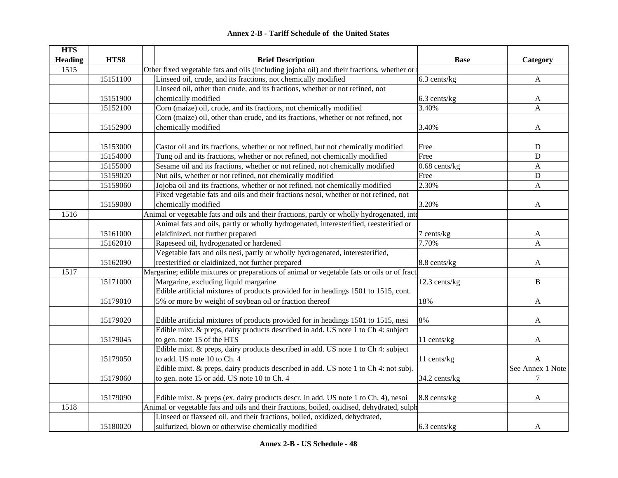|  | <b>Annex 2-B - Tariff Schedule of the United States</b> |  |
|--|---------------------------------------------------------|--|
|--|---------------------------------------------------------|--|

| <b>HTS</b><br><b>Heading</b> | HTS8     | <b>Brief Description</b>                                                                                                                                                         | <b>Base</b>     | Category         |
|------------------------------|----------|----------------------------------------------------------------------------------------------------------------------------------------------------------------------------------|-----------------|------------------|
| 1515                         |          | Other fixed vegetable fats and oils (including jojoba oil) and their fractions, whether or                                                                                       |                 |                  |
|                              | 15151100 | Linseed oil, crude, and its fractions, not chemically modified                                                                                                                   | 6.3 cents/kg    | $\mathbf{A}$     |
|                              |          | Linseed oil, other than crude, and its fractions, whether or not refined, not                                                                                                    |                 |                  |
|                              | 15151900 | chemically modified                                                                                                                                                              | 6.3 cents/kg    | A                |
|                              | 15152100 | Corn (maize) oil, crude, and its fractions, not chemically modified                                                                                                              | 3.40%           | A                |
|                              |          | Corn (maize) oil, other than crude, and its fractions, whether or not refined, not                                                                                               |                 |                  |
|                              | 15152900 | chemically modified                                                                                                                                                              | 3.40%           | A                |
|                              |          |                                                                                                                                                                                  |                 |                  |
|                              | 15153000 | Castor oil and its fractions, whether or not refined, but not chemically modified                                                                                                | Free            | D                |
|                              | 15154000 | Tung oil and its fractions, whether or not refined, not chemically modified                                                                                                      | Free            | $\mathbf D$      |
|                              | 15155000 | Sesame oil and its fractions, whether or not refined, not chemically modified                                                                                                    | $0.68$ cents/kg | A                |
|                              | 15159020 | Nut oils, whether or not refined, not chemically modified                                                                                                                        | Free            | ${\bf D}$        |
|                              | 15159060 | Jojoba oil and its fractions, whether or not refined, not chemically modified                                                                                                    | 2.30%           | A                |
|                              |          | Fixed vegetable fats and oils and their fractions nesoi, whether or not refined, not                                                                                             |                 |                  |
|                              | 15159080 | chemically modified                                                                                                                                                              | 3.20%           | A                |
| 1516                         |          | Animal or vegetable fats and oils and their fractions, partly or wholly hydrogenated, inte                                                                                       |                 |                  |
|                              |          | Animal fats and oils, partly or wholly hydrogenated, interesterified, reesterified or                                                                                            |                 |                  |
|                              | 15161000 | elaidinized, not further prepared                                                                                                                                                | 7 cents/kg      | A                |
|                              | 15162010 | Rapeseed oil, hydrogenated or hardened                                                                                                                                           | 7.70%           | A                |
|                              |          | Vegetable fats and oils nesi, partly or wholly hydrogenated, interesterified,                                                                                                    |                 |                  |
|                              | 15162090 | reesterified or elaidinized, not further prepared                                                                                                                                | 8.8 cents/kg    | A                |
| 1517                         |          | Margarine; edible mixtures or preparations of animal or vegetable fats or oils or of fract                                                                                       |                 |                  |
|                              | 15171000 | Margarine, excluding liquid margarine                                                                                                                                            | 12.3 cents/kg   | B                |
|                              |          | Edible artificial mixtures of products provided for in headings 1501 to 1515, cont.                                                                                              |                 |                  |
|                              | 15179010 | 5% or more by weight of soybean oil or fraction thereof                                                                                                                          | 18%             | A                |
|                              | 15179020 | Edible artificial mixtures of products provided for in headings 1501 to 1515, nesi                                                                                               | 8%              | A                |
|                              |          | Edible mixt. & preps, dairy products described in add. US note 1 to Ch 4: subject                                                                                                |                 |                  |
|                              | 15179045 | to gen. note 15 of the HTS                                                                                                                                                       | 11 cents/kg     | A                |
|                              |          | Edible mixt. & preps, dairy products described in add. US note 1 to Ch 4: subject                                                                                                |                 |                  |
|                              | 15179050 | to add. US note 10 to Ch. 4                                                                                                                                                      | 11 cents/kg     | A                |
|                              |          | Edible mixt. & preps, dairy products described in add. US note 1 to Ch 4: not subj.                                                                                              |                 | See Annex 1 Note |
|                              | 15179060 | to gen. note 15 or add. US note 10 to Ch. 4                                                                                                                                      | 34.2 cents/kg   | $\tau$           |
|                              | 15179090 |                                                                                                                                                                                  | 8.8 cents/kg    |                  |
| 1518                         |          | Edible mixt. & preps (ex. dairy products descr. in add. US note 1 to Ch. 4), nesoi<br>Animal or vegetable fats and oils and their fractions, boiled, oxidised, dehydrated, sulph |                 | A                |
|                              |          | Linseed or flaxseed oil, and their fractions, boiled, oxidized, dehydrated,                                                                                                      |                 |                  |
|                              | 15180020 | sulfurized, blown or otherwise chemically modified                                                                                                                               | $6.3$ cents/kg  | A                |
|                              |          |                                                                                                                                                                                  |                 |                  |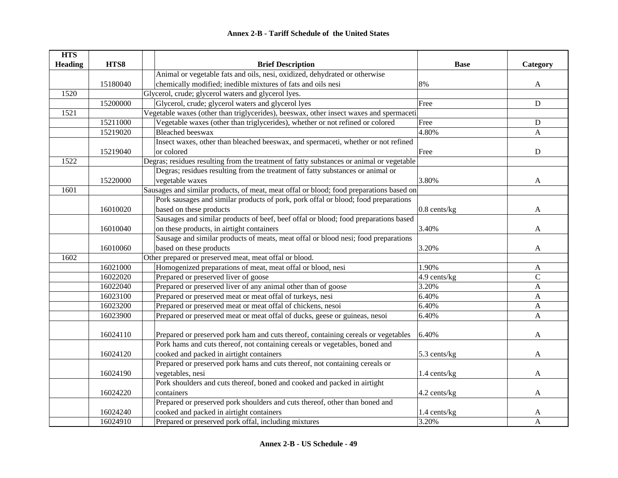| <b>HTS</b>     |          |                                                                                          |              |                           |
|----------------|----------|------------------------------------------------------------------------------------------|--------------|---------------------------|
| <b>Heading</b> | HTS8     | <b>Brief Description</b>                                                                 | <b>Base</b>  | Category                  |
|                |          | Animal or vegetable fats and oils, nesi, oxidized, dehydrated or otherwise               |              |                           |
|                | 15180040 | chemically modified; inedible mixtures of fats and oils nesi                             | 8%           | A                         |
| 1520           |          | Glycerol, crude; glycerol waters and glycerol lyes.                                      |              |                           |
|                | 15200000 | Glycerol, crude; glycerol waters and glycerol lyes                                       | Free         | ${\bf D}$                 |
| 1521           |          | Vegetable waxes (other than triglycerides), beeswax, other insect waxes and spermaceti   |              |                           |
|                | 15211000 | Vegetable waxes (other than triglycerides), whether or not refined or colored            | Free         | ${\bf D}$                 |
|                | 15219020 | <b>Bleached</b> beeswax                                                                  | 4.80%        | A                         |
|                |          | Insect waxes, other than bleached beeswax, and spermaceti, whether or not refined        |              |                           |
|                | 15219040 | or colored                                                                               | Free         | ${\bf D}$                 |
| 1522           |          | Degras; residues resulting from the treatment of fatty substances or animal or vegetable |              |                           |
|                |          | Degras; residues resulting from the treatment of fatty substances or animal or           |              |                           |
|                | 15220000 | vegetable waxes                                                                          | 3.80%        | A                         |
| 1601           |          | Sausages and similar products, of meat, meat offal or blood; food preparations based on  |              |                           |
|                |          | Pork sausages and similar products of pork, pork offal or blood; food preparations       |              |                           |
|                | 16010020 | based on these products                                                                  | 0.8 cents/kg | A                         |
|                |          | Sausages and similar products of beef, beef offal or blood; food preparations based      |              |                           |
|                | 16010040 | on these products, in airtight containers                                                | 3.40%        | A                         |
|                |          | Sausage and similar products of meats, meat offal or blood nesi; food preparations       |              |                           |
|                | 16010060 | based on these products                                                                  | 3.20%        | A                         |
| 1602           |          | Other prepared or preserved meat, meat offal or blood.                                   |              |                           |
|                | 16021000 | Homogenized preparations of meat, meat offal or blood, nesi                              | 1.90%        | A                         |
|                | 16022020 | Prepared or preserved liver of goose                                                     | 4.9 cents/kg | $\mathbf C$               |
|                | 16022040 | Prepared or preserved liver of any animal other than of goose                            | 3.20%        | $\mathbf{A}$              |
|                | 16023100 | Prepared or preserved meat or meat offal of turkeys, nesi                                | 6.40%        | A                         |
|                | 16023200 | Prepared or preserved meat or meat offal of chickens, nesoi                              | 6.40%        | $\boldsymbol{\mathsf{A}}$ |
|                | 16023900 | Prepared or preserved meat or meat offal of ducks, geese or guineas, nesoi               | 6.40%        | $\mathbf{A}$              |
|                |          |                                                                                          |              |                           |
|                | 16024110 | Prepared or preserved pork ham and cuts thereof, containing cereals or vegetables        | 6.40%        | A                         |
|                |          | Pork hams and cuts thereof, not containing cereals or vegetables, boned and              |              |                           |
|                | 16024120 | cooked and packed in airtight containers                                                 | 5.3 cents/kg | A                         |
|                |          | Prepared or preserved pork hams and cuts thereof, not containing cereals or              |              |                           |
|                | 16024190 | vegetables, nesi                                                                         | 1.4 cents/kg | A                         |
|                |          | Pork shoulders and cuts thereof, boned and cooked and packed in airtight                 |              |                           |
|                | 16024220 | containers                                                                               | 4.2 cents/kg | A                         |
|                |          | Prepared or preserved pork shoulders and cuts thereof, other than boned and              |              |                           |
|                | 16024240 | cooked and packed in airtight containers                                                 | 1.4 cents/kg | A                         |
|                | 16024910 | Prepared or preserved pork offal, including mixtures                                     | 3.20%        | A                         |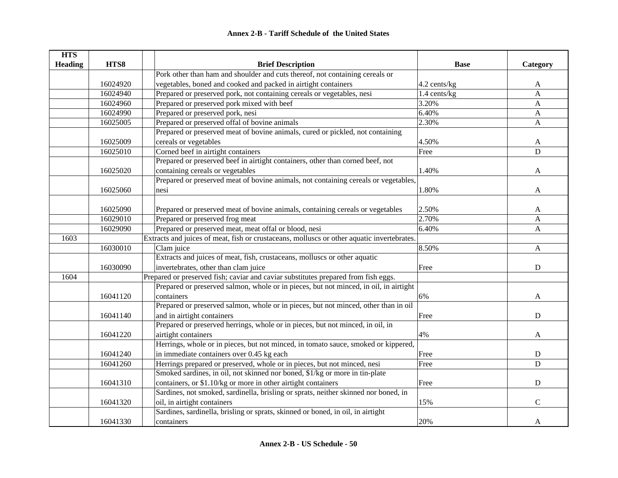| <b>HTS</b>     |          |                                                                                            |              |                |
|----------------|----------|--------------------------------------------------------------------------------------------|--------------|----------------|
| <b>Heading</b> | HTS8     | <b>Brief Description</b>                                                                   | <b>Base</b>  | Category       |
|                |          | Pork other than ham and shoulder and cuts thereof, not containing cereals or               |              |                |
|                | 16024920 | vegetables, boned and cooked and packed in airtight containers                             | 4.2 cents/kg | A              |
|                | 16024940 | Prepared or preserved pork, not containing cereals or vegetables, nesi                     | 1.4 cents/kg | $\overline{A}$ |
|                | 16024960 | Prepared or preserved pork mixed with beef                                                 | 3.20%        | $\mathbf{A}$   |
|                | 16024990 | Prepared or preserved pork, nesi                                                           | 6.40%        | $\mathbf{A}$   |
|                | 16025005 | Prepared or preserved offal of bovine animals                                              | 2.30%        | A              |
|                |          | Prepared or preserved meat of bovine animals, cured or pickled, not containing             |              |                |
|                | 16025009 | cereals or vegetables                                                                      | 4.50%        | A              |
|                | 16025010 | Corned beef in airtight containers                                                         | Free         | D              |
|                |          | Prepared or preserved beef in airtight containers, other than corned beef, not             |              |                |
|                | 16025020 | containing cereals or vegetables                                                           | 1.40%        | A              |
|                |          | Prepared or preserved meat of bovine animals, not containing cereals or vegetables,        |              |                |
|                | 16025060 | nesi                                                                                       | 1.80%        | A              |
|                |          |                                                                                            |              |                |
|                | 16025090 | Prepared or preserved meat of bovine animals, containing cereals or vegetables             | 2.50%        | A              |
|                | 16029010 | Prepared or preserved frog meat                                                            | 2.70%        | $\mathbf{A}$   |
|                | 16029090 | Prepared or preserved meat, meat offal or blood, nesi                                      | 6.40%        | $\mathbf{A}$   |
| 1603           |          | Extracts and juices of meat, fish or crustaceans, molluscs or other aquatic invertebrates. |              |                |
|                | 16030010 | Clam juice                                                                                 | 8.50%        | $\mathbf{A}$   |
|                |          | Extracts and juices of meat, fish, crustaceans, molluscs or other aquatic                  |              |                |
|                | 16030090 | invertebrates, other than clam juice                                                       | Free         | ${\bf D}$      |
| 1604           |          | Prepared or preserved fish; caviar and caviar substitutes prepared from fish eggs.         |              |                |
|                |          | Prepared or preserved salmon, whole or in pieces, but not minced, in oil, in airtight      |              |                |
|                | 16041120 | containers                                                                                 | 6%           | A              |
|                |          | Prepared or preserved salmon, whole or in pieces, but not minced, other than in oil        |              |                |
|                | 16041140 | and in airtight containers                                                                 | Free         | D              |
|                |          | Prepared or preserved herrings, whole or in pieces, but not minced, in oil, in             |              |                |
|                | 16041220 | airtight containers                                                                        | 4%           | A              |
|                |          | Herrings, whole or in pieces, but not minced, in tomato sauce, smoked or kippered,         |              |                |
|                | 16041240 | in immediate containers over 0.45 kg each                                                  | Free         | ${\bf D}$      |
|                | 16041260 | Herrings prepared or preserved, whole or in pieces, but not minced, nesi                   | Free         | D              |
|                |          | Smoked sardines, in oil, not skinned nor boned, \$1/kg or more in tin-plate                |              |                |
|                | 16041310 | containers, or \$1.10/kg or more in other airtight containers                              | Free         | D              |
|                |          | Sardines, not smoked, sardinella, brisling or sprats, neither skinned nor boned, in        |              |                |
|                | 16041320 | oil, in airtight containers                                                                | 15%          | $\mathbf C$    |
|                |          | Sardines, sardinella, brisling or sprats, skinned or boned, in oil, in airtight            |              |                |
|                | 16041330 | containers                                                                                 | 20%          | A              |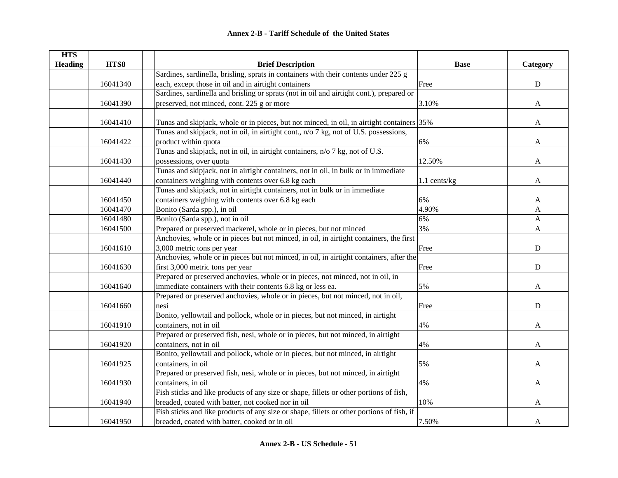| <b>HTS</b>     |          |                                                                                            |              |              |
|----------------|----------|--------------------------------------------------------------------------------------------|--------------|--------------|
| <b>Heading</b> | HTS8     | <b>Brief Description</b>                                                                   | <b>Base</b>  | Category     |
|                |          | Sardines, sardinella, brisling, sprats in containers with their contents under 225 g       |              |              |
|                | 16041340 | each, except those in oil and in airtight containers                                       | Free         | ${\bf D}$    |
|                |          | Sardines, sardinella and brisling or sprats (not in oil and airtight cont.), prepared or   |              |              |
|                | 16041390 | preserved, not minced, cont. 225 g or more                                                 | 3.10%        | $\mathbf{A}$ |
|                |          |                                                                                            |              |              |
|                | 16041410 | Tunas and skipjack, whole or in pieces, but not minced, in oil, in airtight containers 35% |              | $\mathbf{A}$ |
|                |          | Tunas and skipjack, not in oil, in airtight cont., n/o 7 kg, not of U.S. possessions,      |              |              |
|                | 16041422 | product within quota                                                                       | 6%           | $\mathbf{A}$ |
|                |          | Tunas and skipjack, not in oil, in airtight containers, n/o 7 kg, not of U.S.              |              |              |
|                | 16041430 | possessions, over quota                                                                    | 12.50%       | A            |
|                |          | Tunas and skipjack, not in airtight containers, not in oil, in bulk or in immediate        |              |              |
|                | 16041440 | containers weighing with contents over 6.8 kg each                                         | 1.1 cents/kg | A            |
|                |          | Tunas and skipjack, not in airtight containers, not in bulk or in immediate                |              |              |
|                | 16041450 | containers weighing with contents over 6.8 kg each                                         | 6%           | A            |
|                | 16041470 | Bonito (Sarda spp.), in oil                                                                | 4.90%        | A            |
|                | 16041480 | Bonito (Sarda spp.), not in oil                                                            | 6%           | A            |
|                | 16041500 | Prepared or preserved mackerel, whole or in pieces, but not minced                         | 3%           | A            |
|                |          | Anchovies, whole or in pieces but not minced, in oil, in airtight containers, the first    |              |              |
|                | 16041610 | 3,000 metric tons per year                                                                 | Free         | ${\rm D}$    |
|                |          | Anchovies, whole or in pieces but not minced, in oil, in airtight containers, after the    |              |              |
|                | 16041630 | first 3,000 metric tons per year                                                           | Free         | ${\bf D}$    |
|                |          | Prepared or preserved anchovies, whole or in pieces, not minced, not in oil, in            |              |              |
|                | 16041640 | immediate containers with their contents 6.8 kg or less ea.                                | 5%           | A            |
|                |          | Prepared or preserved anchovies, whole or in pieces, but not minced, not in oil,           |              |              |
|                | 16041660 | nesi                                                                                       | Free         | $\mathbf D$  |
|                |          | Bonito, yellowtail and pollock, whole or in pieces, but not minced, in airtight            |              |              |
|                | 16041910 | containers, not in oil                                                                     | 4%           | A            |
|                |          | Prepared or preserved fish, nesi, whole or in pieces, but not minced, in airtight          |              |              |
|                | 16041920 | containers, not in oil                                                                     | 4%           | A            |
|                |          | Bonito, yellowtail and pollock, whole or in pieces, but not minced, in airtight            |              |              |
|                | 16041925 | containers, in oil                                                                         | 5%           | A            |
|                |          | Prepared or preserved fish, nesi, whole or in pieces, but not minced, in airtight          |              |              |
|                | 16041930 | containers, in oil                                                                         | 4%           | $\mathbf{A}$ |
|                |          | Fish sticks and like products of any size or shape, fillets or other portions of fish,     |              |              |
|                | 16041940 | breaded, coated with batter, not cooked nor in oil                                         | 10%          | A            |
|                |          | Fish sticks and like products of any size or shape, fillets or other portions of fish, if  |              |              |
|                | 16041950 | breaded, coated with batter, cooked or in oil                                              | 7.50%        | A            |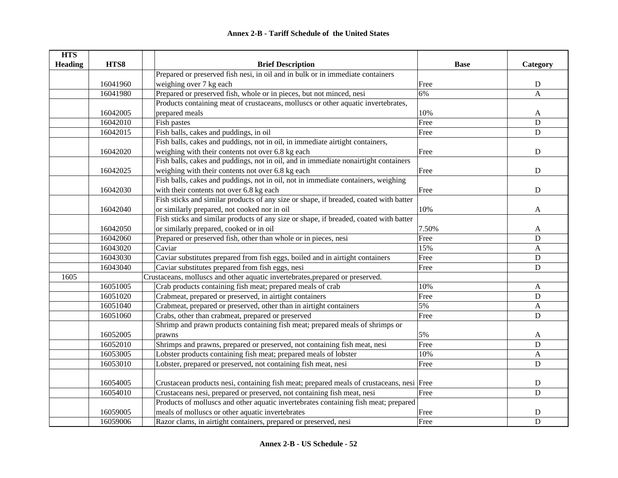| <b>HTS</b>     |          |                                                                                          |             |                |
|----------------|----------|------------------------------------------------------------------------------------------|-------------|----------------|
| <b>Heading</b> | HTS8     | <b>Brief Description</b>                                                                 | <b>Base</b> | Category       |
|                |          | Prepared or preserved fish nesi, in oil and in bulk or in immediate containers           |             |                |
|                | 16041960 | weighing over 7 kg each                                                                  | Free        | ${\bf D}$      |
|                | 16041980 | Prepared or preserved fish, whole or in pieces, but not minced, nesi                     | 6%          | $\overline{A}$ |
|                |          | Products containing meat of crustaceans, molluscs or other aquatic invertebrates,        |             |                |
|                | 16042005 | prepared meals                                                                           | 10%         | A              |
|                | 16042010 | Fish pastes                                                                              | Free        | $\mathbf D$    |
|                | 16042015 | Fish balls, cakes and puddings, in oil                                                   | Free        | ${\bf D}$      |
|                |          | Fish balls, cakes and puddings, not in oil, in immediate airtight containers,            |             |                |
|                | 16042020 | weighing with their contents not over 6.8 kg each                                        | Free        | ${\bf D}$      |
|                |          | Fish balls, cakes and puddings, not in oil, and in immediate nonairtight containers      |             |                |
|                | 16042025 | weighing with their contents not over 6.8 kg each                                        | Free        | $\mathbf D$    |
|                |          | Fish balls, cakes and puddings, not in oil, not in immediate containers, weighing        |             |                |
|                | 16042030 | with their contents not over 6.8 kg each                                                 | Free        | ${\bf D}$      |
|                |          | Fish sticks and similar products of any size or shape, if breaded, coated with batter    |             |                |
|                | 16042040 | or similarly prepared, not cooked nor in oil                                             | 10%         | A              |
|                |          | Fish sticks and similar products of any size or shape, if breaded, coated with batter    |             |                |
|                | 16042050 | or similarly prepared, cooked or in oil                                                  | 7.50%       | A              |
|                | 16042060 | Prepared or preserved fish, other than whole or in pieces, nesi                          | Free        | $\mathbf D$    |
|                | 16043020 | Caviar                                                                                   | 15%         | $\mathbf{A}$   |
|                | 16043030 | Caviar substitutes prepared from fish eggs, boiled and in airtight containers            | Free        | ${\bf D}$      |
|                | 16043040 | Caviar substitutes prepared from fish eggs, nesi                                         | Free        | $\mathbf D$    |
| 1605           |          | Crustaceans, molluscs and other aquatic invertebrates, prepared or preserved.            |             |                |
|                | 16051005 | Crab products containing fish meat; prepared meals of crab                               | 10%         | A              |
|                | 16051020 | Crabmeat, prepared or preserved, in airtight containers                                  | Free        | $\mathbf D$    |
|                | 16051040 | Crabmeat, prepared or preserved, other than in airtight containers                       | 5%          | $\mathbf{A}$   |
|                | 16051060 | Crabs, other than crabmeat, prepared or preserved                                        | Free        | $\mathbf D$    |
|                |          | Shrimp and prawn products containing fish meat; prepared meals of shrimps or             |             |                |
|                | 16052005 | prawns                                                                                   | 5%          | A              |
|                | 16052010 | Shrimps and prawns, prepared or preserved, not containing fish meat, nesi                | Free        | D              |
|                | 16053005 | Lobster products containing fish meat; prepared meals of lobster                         | 10%         | $\mathbf{A}$   |
|                | 16053010 | Lobster, prepared or preserved, not containing fish meat, nesi                           | Free        | ${\bf D}$      |
|                |          |                                                                                          |             |                |
|                | 16054005 | Crustacean products nesi, containing fish meat; prepared meals of crustaceans, nesi Free |             | $\mathbf D$    |
|                | 16054010 | Crustaceans nesi, prepared or preserved, not containing fish meat, nesi                  | Free        | $\mathbf D$    |
|                |          | Products of molluscs and other aquatic invertebrates containing fish meat; prepared      |             |                |
|                | 16059005 | meals of molluscs or other aquatic invertebrates                                         | Free        | $\mathbf D$    |
|                | 16059006 | Razor clams, in airtight containers, prepared or preserved, nesi                         | Free        | $\mathbf D$    |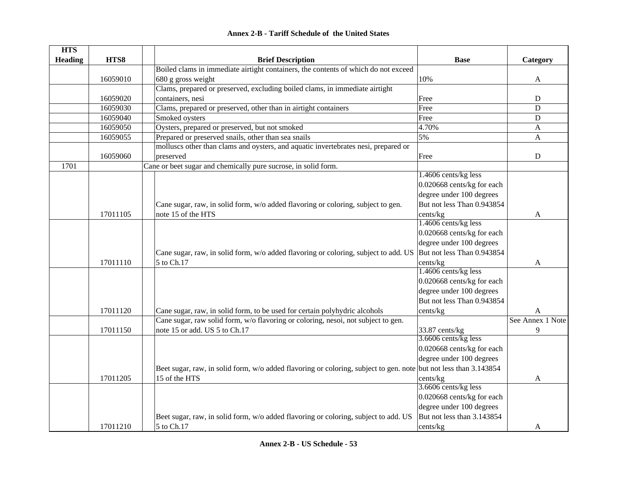| <b>Annex 2-B - Tariff Schedule of the United States</b> |  |
|---------------------------------------------------------|--|
|---------------------------------------------------------|--|

| <b>Heading</b><br>HTS8<br><b>Brief Description</b><br><b>Base</b><br>Category<br>Boiled clams in immediate airtight containers, the contents of which do not exceed<br>680 g gross weight<br>10%<br>16059010<br>$\mathbf{A}$<br>Clams, prepared or preserved, excluding boiled clams, in immediate airtight<br>containers, nesi<br>16059020<br>${\bf D}$<br>Free<br>$\mathbf D$<br>16059030<br>Clams, prepared or preserved, other than in airtight containers<br>Free<br>Smoked oysters<br>16059040<br>Free<br>${\bf D}$<br>16059050<br>Oysters, prepared or preserved, but not smoked<br>4.70%<br>$\mathbf{A}$<br>Prepared or preserved snails, other than sea snails<br>5%<br>16059055<br>$\mathbf{A}$<br>molluscs other than clams and oysters, and aquatic invertebrates nesi, prepared or<br>16059060<br>preserved<br>Free<br>${\bf D}$<br>1701<br>Cane or beet sugar and chemically pure sucrose, in solid form.<br>1.4606 cents/kg less<br>0.020668 cents/kg for each<br>degree under 100 degrees<br>But not less Than 0.943854<br>Cane sugar, raw, in solid form, w/o added flavoring or coloring, subject to gen.<br>17011105<br>note 15 of the HTS<br>cents/kg<br>A<br>1.4606 cents/kg less<br>0.020668 cents/kg for each<br>degree under 100 degrees<br>But not less Than 0.943854<br>Cane sugar, raw, in solid form, w/o added flavoring or coloring, subject to add. US<br>5 to Ch.17<br>17011110<br>cents/kg<br>A<br>1.4606 cents/kg less<br>0.020668 cents/kg for each<br>degree under 100 degrees<br>But not less Than 0.943854<br>17011120<br>Cane sugar, raw, in solid form, to be used for certain polyhydric alcohols<br>cents/kg<br>A<br>Cane sugar, raw solid form, w/o flavoring or coloring, nesoi, not subject to gen.<br>See Annex 1 Note<br>note 15 or add. US 5 to Ch.17<br>9<br>33.87 cents/kg<br>17011150<br>3.6606 cents/kg less<br>0.020668 cents/kg for each<br>degree under 100 degrees<br>Beet sugar, raw, in solid form, w/o added flavoring or coloring, subject to gen. note but not less than 3.143854<br>17011205<br>15 of the HTS<br>cents/kg<br>A | <b>HTS</b> |  |                      |  |
|----------------------------------------------------------------------------------------------------------------------------------------------------------------------------------------------------------------------------------------------------------------------------------------------------------------------------------------------------------------------------------------------------------------------------------------------------------------------------------------------------------------------------------------------------------------------------------------------------------------------------------------------------------------------------------------------------------------------------------------------------------------------------------------------------------------------------------------------------------------------------------------------------------------------------------------------------------------------------------------------------------------------------------------------------------------------------------------------------------------------------------------------------------------------------------------------------------------------------------------------------------------------------------------------------------------------------------------------------------------------------------------------------------------------------------------------------------------------------------------------------------------------------------------------------------------------------------------------------------------------------------------------------------------------------------------------------------------------------------------------------------------------------------------------------------------------------------------------------------------------------------------------------------------------------------------------------------------------------------------------------------------------------------------------------------------------------------------------|------------|--|----------------------|--|
|                                                                                                                                                                                                                                                                                                                                                                                                                                                                                                                                                                                                                                                                                                                                                                                                                                                                                                                                                                                                                                                                                                                                                                                                                                                                                                                                                                                                                                                                                                                                                                                                                                                                                                                                                                                                                                                                                                                                                                                                                                                                                              |            |  |                      |  |
|                                                                                                                                                                                                                                                                                                                                                                                                                                                                                                                                                                                                                                                                                                                                                                                                                                                                                                                                                                                                                                                                                                                                                                                                                                                                                                                                                                                                                                                                                                                                                                                                                                                                                                                                                                                                                                                                                                                                                                                                                                                                                              |            |  |                      |  |
|                                                                                                                                                                                                                                                                                                                                                                                                                                                                                                                                                                                                                                                                                                                                                                                                                                                                                                                                                                                                                                                                                                                                                                                                                                                                                                                                                                                                                                                                                                                                                                                                                                                                                                                                                                                                                                                                                                                                                                                                                                                                                              |            |  |                      |  |
|                                                                                                                                                                                                                                                                                                                                                                                                                                                                                                                                                                                                                                                                                                                                                                                                                                                                                                                                                                                                                                                                                                                                                                                                                                                                                                                                                                                                                                                                                                                                                                                                                                                                                                                                                                                                                                                                                                                                                                                                                                                                                              |            |  |                      |  |
|                                                                                                                                                                                                                                                                                                                                                                                                                                                                                                                                                                                                                                                                                                                                                                                                                                                                                                                                                                                                                                                                                                                                                                                                                                                                                                                                                                                                                                                                                                                                                                                                                                                                                                                                                                                                                                                                                                                                                                                                                                                                                              |            |  |                      |  |
|                                                                                                                                                                                                                                                                                                                                                                                                                                                                                                                                                                                                                                                                                                                                                                                                                                                                                                                                                                                                                                                                                                                                                                                                                                                                                                                                                                                                                                                                                                                                                                                                                                                                                                                                                                                                                                                                                                                                                                                                                                                                                              |            |  |                      |  |
|                                                                                                                                                                                                                                                                                                                                                                                                                                                                                                                                                                                                                                                                                                                                                                                                                                                                                                                                                                                                                                                                                                                                                                                                                                                                                                                                                                                                                                                                                                                                                                                                                                                                                                                                                                                                                                                                                                                                                                                                                                                                                              |            |  |                      |  |
|                                                                                                                                                                                                                                                                                                                                                                                                                                                                                                                                                                                                                                                                                                                                                                                                                                                                                                                                                                                                                                                                                                                                                                                                                                                                                                                                                                                                                                                                                                                                                                                                                                                                                                                                                                                                                                                                                                                                                                                                                                                                                              |            |  |                      |  |
|                                                                                                                                                                                                                                                                                                                                                                                                                                                                                                                                                                                                                                                                                                                                                                                                                                                                                                                                                                                                                                                                                                                                                                                                                                                                                                                                                                                                                                                                                                                                                                                                                                                                                                                                                                                                                                                                                                                                                                                                                                                                                              |            |  |                      |  |
|                                                                                                                                                                                                                                                                                                                                                                                                                                                                                                                                                                                                                                                                                                                                                                                                                                                                                                                                                                                                                                                                                                                                                                                                                                                                                                                                                                                                                                                                                                                                                                                                                                                                                                                                                                                                                                                                                                                                                                                                                                                                                              |            |  |                      |  |
|                                                                                                                                                                                                                                                                                                                                                                                                                                                                                                                                                                                                                                                                                                                                                                                                                                                                                                                                                                                                                                                                                                                                                                                                                                                                                                                                                                                                                                                                                                                                                                                                                                                                                                                                                                                                                                                                                                                                                                                                                                                                                              |            |  |                      |  |
|                                                                                                                                                                                                                                                                                                                                                                                                                                                                                                                                                                                                                                                                                                                                                                                                                                                                                                                                                                                                                                                                                                                                                                                                                                                                                                                                                                                                                                                                                                                                                                                                                                                                                                                                                                                                                                                                                                                                                                                                                                                                                              |            |  |                      |  |
|                                                                                                                                                                                                                                                                                                                                                                                                                                                                                                                                                                                                                                                                                                                                                                                                                                                                                                                                                                                                                                                                                                                                                                                                                                                                                                                                                                                                                                                                                                                                                                                                                                                                                                                                                                                                                                                                                                                                                                                                                                                                                              |            |  |                      |  |
|                                                                                                                                                                                                                                                                                                                                                                                                                                                                                                                                                                                                                                                                                                                                                                                                                                                                                                                                                                                                                                                                                                                                                                                                                                                                                                                                                                                                                                                                                                                                                                                                                                                                                                                                                                                                                                                                                                                                                                                                                                                                                              |            |  |                      |  |
|                                                                                                                                                                                                                                                                                                                                                                                                                                                                                                                                                                                                                                                                                                                                                                                                                                                                                                                                                                                                                                                                                                                                                                                                                                                                                                                                                                                                                                                                                                                                                                                                                                                                                                                                                                                                                                                                                                                                                                                                                                                                                              |            |  |                      |  |
|                                                                                                                                                                                                                                                                                                                                                                                                                                                                                                                                                                                                                                                                                                                                                                                                                                                                                                                                                                                                                                                                                                                                                                                                                                                                                                                                                                                                                                                                                                                                                                                                                                                                                                                                                                                                                                                                                                                                                                                                                                                                                              |            |  |                      |  |
|                                                                                                                                                                                                                                                                                                                                                                                                                                                                                                                                                                                                                                                                                                                                                                                                                                                                                                                                                                                                                                                                                                                                                                                                                                                                                                                                                                                                                                                                                                                                                                                                                                                                                                                                                                                                                                                                                                                                                                                                                                                                                              |            |  |                      |  |
|                                                                                                                                                                                                                                                                                                                                                                                                                                                                                                                                                                                                                                                                                                                                                                                                                                                                                                                                                                                                                                                                                                                                                                                                                                                                                                                                                                                                                                                                                                                                                                                                                                                                                                                                                                                                                                                                                                                                                                                                                                                                                              |            |  |                      |  |
|                                                                                                                                                                                                                                                                                                                                                                                                                                                                                                                                                                                                                                                                                                                                                                                                                                                                                                                                                                                                                                                                                                                                                                                                                                                                                                                                                                                                                                                                                                                                                                                                                                                                                                                                                                                                                                                                                                                                                                                                                                                                                              |            |  |                      |  |
|                                                                                                                                                                                                                                                                                                                                                                                                                                                                                                                                                                                                                                                                                                                                                                                                                                                                                                                                                                                                                                                                                                                                                                                                                                                                                                                                                                                                                                                                                                                                                                                                                                                                                                                                                                                                                                                                                                                                                                                                                                                                                              |            |  |                      |  |
|                                                                                                                                                                                                                                                                                                                                                                                                                                                                                                                                                                                                                                                                                                                                                                                                                                                                                                                                                                                                                                                                                                                                                                                                                                                                                                                                                                                                                                                                                                                                                                                                                                                                                                                                                                                                                                                                                                                                                                                                                                                                                              |            |  |                      |  |
|                                                                                                                                                                                                                                                                                                                                                                                                                                                                                                                                                                                                                                                                                                                                                                                                                                                                                                                                                                                                                                                                                                                                                                                                                                                                                                                                                                                                                                                                                                                                                                                                                                                                                                                                                                                                                                                                                                                                                                                                                                                                                              |            |  |                      |  |
|                                                                                                                                                                                                                                                                                                                                                                                                                                                                                                                                                                                                                                                                                                                                                                                                                                                                                                                                                                                                                                                                                                                                                                                                                                                                                                                                                                                                                                                                                                                                                                                                                                                                                                                                                                                                                                                                                                                                                                                                                                                                                              |            |  |                      |  |
|                                                                                                                                                                                                                                                                                                                                                                                                                                                                                                                                                                                                                                                                                                                                                                                                                                                                                                                                                                                                                                                                                                                                                                                                                                                                                                                                                                                                                                                                                                                                                                                                                                                                                                                                                                                                                                                                                                                                                                                                                                                                                              |            |  |                      |  |
|                                                                                                                                                                                                                                                                                                                                                                                                                                                                                                                                                                                                                                                                                                                                                                                                                                                                                                                                                                                                                                                                                                                                                                                                                                                                                                                                                                                                                                                                                                                                                                                                                                                                                                                                                                                                                                                                                                                                                                                                                                                                                              |            |  |                      |  |
|                                                                                                                                                                                                                                                                                                                                                                                                                                                                                                                                                                                                                                                                                                                                                                                                                                                                                                                                                                                                                                                                                                                                                                                                                                                                                                                                                                                                                                                                                                                                                                                                                                                                                                                                                                                                                                                                                                                                                                                                                                                                                              |            |  |                      |  |
|                                                                                                                                                                                                                                                                                                                                                                                                                                                                                                                                                                                                                                                                                                                                                                                                                                                                                                                                                                                                                                                                                                                                                                                                                                                                                                                                                                                                                                                                                                                                                                                                                                                                                                                                                                                                                                                                                                                                                                                                                                                                                              |            |  |                      |  |
|                                                                                                                                                                                                                                                                                                                                                                                                                                                                                                                                                                                                                                                                                                                                                                                                                                                                                                                                                                                                                                                                                                                                                                                                                                                                                                                                                                                                                                                                                                                                                                                                                                                                                                                                                                                                                                                                                                                                                                                                                                                                                              |            |  |                      |  |
|                                                                                                                                                                                                                                                                                                                                                                                                                                                                                                                                                                                                                                                                                                                                                                                                                                                                                                                                                                                                                                                                                                                                                                                                                                                                                                                                                                                                                                                                                                                                                                                                                                                                                                                                                                                                                                                                                                                                                                                                                                                                                              |            |  |                      |  |
|                                                                                                                                                                                                                                                                                                                                                                                                                                                                                                                                                                                                                                                                                                                                                                                                                                                                                                                                                                                                                                                                                                                                                                                                                                                                                                                                                                                                                                                                                                                                                                                                                                                                                                                                                                                                                                                                                                                                                                                                                                                                                              |            |  |                      |  |
|                                                                                                                                                                                                                                                                                                                                                                                                                                                                                                                                                                                                                                                                                                                                                                                                                                                                                                                                                                                                                                                                                                                                                                                                                                                                                                                                                                                                                                                                                                                                                                                                                                                                                                                                                                                                                                                                                                                                                                                                                                                                                              |            |  |                      |  |
|                                                                                                                                                                                                                                                                                                                                                                                                                                                                                                                                                                                                                                                                                                                                                                                                                                                                                                                                                                                                                                                                                                                                                                                                                                                                                                                                                                                                                                                                                                                                                                                                                                                                                                                                                                                                                                                                                                                                                                                                                                                                                              |            |  |                      |  |
|                                                                                                                                                                                                                                                                                                                                                                                                                                                                                                                                                                                                                                                                                                                                                                                                                                                                                                                                                                                                                                                                                                                                                                                                                                                                                                                                                                                                                                                                                                                                                                                                                                                                                                                                                                                                                                                                                                                                                                                                                                                                                              |            |  |                      |  |
|                                                                                                                                                                                                                                                                                                                                                                                                                                                                                                                                                                                                                                                                                                                                                                                                                                                                                                                                                                                                                                                                                                                                                                                                                                                                                                                                                                                                                                                                                                                                                                                                                                                                                                                                                                                                                                                                                                                                                                                                                                                                                              |            |  |                      |  |
|                                                                                                                                                                                                                                                                                                                                                                                                                                                                                                                                                                                                                                                                                                                                                                                                                                                                                                                                                                                                                                                                                                                                                                                                                                                                                                                                                                                                                                                                                                                                                                                                                                                                                                                                                                                                                                                                                                                                                                                                                                                                                              |            |  | 3.6606 cents/kg less |  |
| 0.020668 cents/kg for each                                                                                                                                                                                                                                                                                                                                                                                                                                                                                                                                                                                                                                                                                                                                                                                                                                                                                                                                                                                                                                                                                                                                                                                                                                                                                                                                                                                                                                                                                                                                                                                                                                                                                                                                                                                                                                                                                                                                                                                                                                                                   |            |  |                      |  |
| degree under 100 degrees                                                                                                                                                                                                                                                                                                                                                                                                                                                                                                                                                                                                                                                                                                                                                                                                                                                                                                                                                                                                                                                                                                                                                                                                                                                                                                                                                                                                                                                                                                                                                                                                                                                                                                                                                                                                                                                                                                                                                                                                                                                                     |            |  |                      |  |
| But not less than 3.143854<br>Beet sugar, raw, in solid form, w/o added flavoring or coloring, subject to add. US                                                                                                                                                                                                                                                                                                                                                                                                                                                                                                                                                                                                                                                                                                                                                                                                                                                                                                                                                                                                                                                                                                                                                                                                                                                                                                                                                                                                                                                                                                                                                                                                                                                                                                                                                                                                                                                                                                                                                                            |            |  |                      |  |
| 17011210<br>5 to Ch.17<br>cents/kg<br>A                                                                                                                                                                                                                                                                                                                                                                                                                                                                                                                                                                                                                                                                                                                                                                                                                                                                                                                                                                                                                                                                                                                                                                                                                                                                                                                                                                                                                                                                                                                                                                                                                                                                                                                                                                                                                                                                                                                                                                                                                                                      |            |  |                      |  |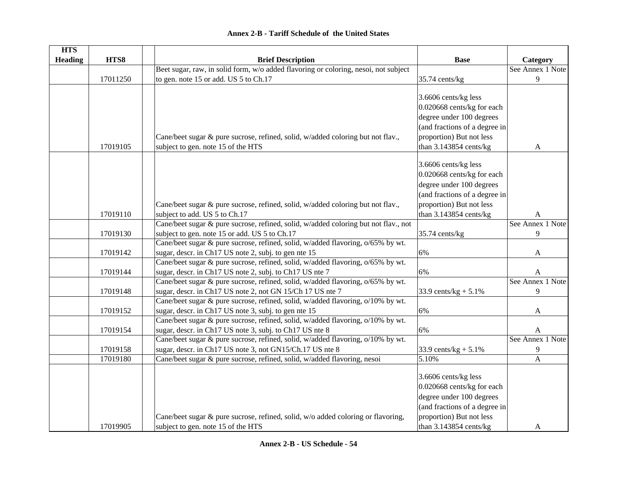| <b>HTS</b>     |          |                                                                                     |                               |                  |
|----------------|----------|-------------------------------------------------------------------------------------|-------------------------------|------------------|
| <b>Heading</b> | HTS8     | <b>Brief Description</b>                                                            | <b>Base</b>                   | Category         |
|                |          | Beet sugar, raw, in solid form, w/o added flavoring or coloring, nesoi, not subject |                               | See Annex 1 Note |
|                | 17011250 | to gen. note 15 or add. US 5 to Ch.17                                               | 35.74 cents/kg                | 9                |
|                |          |                                                                                     |                               |                  |
|                |          |                                                                                     | 3.6606 cents/kg less          |                  |
|                |          |                                                                                     | 0.020668 cents/kg for each    |                  |
|                |          |                                                                                     | degree under 100 degrees      |                  |
|                |          |                                                                                     | (and fractions of a degree in |                  |
|                |          | Cane/beet sugar & pure sucrose, refined, solid, w/added coloring but not flav.,     | proportion) But not less      |                  |
|                | 17019105 | subject to gen. note 15 of the HTS                                                  | than 3.143854 cents/kg        | A                |
|                |          |                                                                                     |                               |                  |
|                |          |                                                                                     | 3.6606 cents/kg less          |                  |
|                |          |                                                                                     | 0.020668 cents/kg for each    |                  |
|                |          |                                                                                     | degree under 100 degrees      |                  |
|                |          |                                                                                     | (and fractions of a degree in |                  |
|                |          | Cane/beet sugar & pure sucrose, refined, solid, w/added coloring but not flav.,     | proportion) But not less      |                  |
|                | 17019110 | subject to add. US 5 to Ch.17                                                       | than 3.143854 cents/kg        | A                |
|                |          | Cane/beet sugar & pure sucrose, refined, solid, w/added coloring but not flav., not |                               | See Annex 1 Note |
|                | 17019130 | subject to gen. note 15 or add. US 5 to Ch.17                                       | 35.74 cents/kg                | 9                |
|                |          | Cane/beet sugar & pure sucrose, refined, solid, w/added flavoring, o/65% by wt.     |                               |                  |
|                | 17019142 | sugar, descr. in Ch17 US note 2, subj. to gen nte 15                                | 6%                            | A                |
|                |          | Cane/beet sugar & pure sucrose, refined, solid, w/added flavoring, o/65% by wt.     |                               |                  |
|                | 17019144 | sugar, descr. in Ch17 US note 2, subj. to Ch17 US nte 7                             | 6%                            | A                |
|                |          | Cane/beet sugar & pure sucrose, refined, solid, w/added flavoring, o/65% by wt.     |                               | See Annex 1 Note |
|                | 17019148 | sugar, descr. in Ch17 US note 2, not GN 15/Ch 17 US nte 7                           | 33.9 cents/kg + $5.1\%$       | 9                |
|                |          | Cane/beet sugar & pure sucrose, refined, solid, w/added flavoring, o/10% by wt.     |                               |                  |
|                | 17019152 | sugar, descr. in Ch17 US note 3, subj. to gen nte 15                                | 6%                            | A                |
|                |          | Cane/beet sugar & pure sucrose, refined, solid, w/added flavoring, o/10% by wt.     |                               |                  |
|                | 17019154 | sugar, descr. in Ch17 US note 3, subj. to Ch17 US nte 8                             | 6%                            | A                |
|                |          | Cane/beet sugar & pure sucrose, refined, solid, w/added flavoring, o/10% by wt.     |                               | See Annex 1 Note |
|                | 17019158 | sugar, descr. in Ch17 US note 3, not GN15/Ch.17 US nte 8                            | 33.9 cents/kg + $5.1\%$       | 9                |
|                | 17019180 | Cane/beet sugar & pure sucrose, refined, solid, w/added flavoring, nesoi            | 5.10%                         | $\overline{A}$   |
|                |          |                                                                                     | 3.6606 cents/kg less          |                  |
|                |          |                                                                                     | 0.020668 cents/kg for each    |                  |
|                |          |                                                                                     | degree under 100 degrees      |                  |
|                |          |                                                                                     | (and fractions of a degree in |                  |
|                |          | Cane/beet sugar & pure sucrose, refined, solid, w/o added coloring or flavoring,    | proportion) But not less      |                  |
|                | 17019905 | subject to gen. note 15 of the HTS                                                  | than 3.143854 cents/kg        | A                |
|                |          |                                                                                     |                               |                  |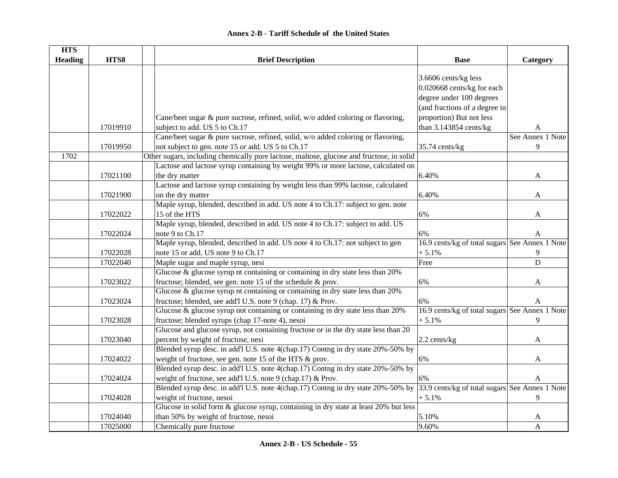| <b>HTS</b>     |          |                                                                                          |                                                |                  |
|----------------|----------|------------------------------------------------------------------------------------------|------------------------------------------------|------------------|
| <b>Heading</b> | HTS8     | <b>Brief Description</b>                                                                 | <b>Base</b>                                    | Category         |
|                |          |                                                                                          |                                                |                  |
|                |          |                                                                                          | 3.6606 cents/kg less                           |                  |
|                |          |                                                                                          | 0.020668 cents/kg for each                     |                  |
|                |          |                                                                                          | degree under 100 degrees                       |                  |
|                |          |                                                                                          | (and fractions of a degree in                  |                  |
|                |          | Cane/beet sugar & pure sucrose, refined, solid, w/o added coloring or flavoring,         | proportion) But not less                       |                  |
|                | 17019910 | subject to add. US 5 to Ch.17                                                            | than 3.143854 cents/kg                         | A                |
|                |          | Cane/beet sugar & pure sucrose, refined, solid, w/o added coloring or flavoring,         |                                                | See Annex 1 Note |
|                | 17019950 | not subject to gen. note 15 or add. US 5 to Ch.17                                        | 35.74 cents/kg                                 | 9                |
| 1702           |          | Other sugars, including chemically pure lactose, maltose, glucose and fructose, in solid |                                                |                  |
|                |          | Lactose and lactose syrup containing by weight 99% or more lactose, calculated on        |                                                |                  |
|                | 17021100 | the dry matter                                                                           | 6.40%                                          | A                |
|                |          | Lactose and lactose syrup containing by weight less than 99% lactose, calculated         |                                                |                  |
|                | 17021900 | on the dry matter                                                                        | 6.40%                                          | A                |
|                |          | Maple syrup, blended, described in add. US note 4 to Ch.17: subject to gen. note         |                                                |                  |
|                | 17022022 | 15 of the HTS                                                                            | 6%                                             | $\mathbf{A}$     |
|                |          | Maple syrup, blended, described in add. US note 4 to Ch.17: subject to add. US           |                                                |                  |
|                | 17022024 | note 9 to Ch.17                                                                          | 6%                                             | A                |
|                |          | Maple syrup, blended, described in add. US note 4 to Ch.17: not subject to gen           | 16.9 cents/kg of total sugars See Annex 1 Note |                  |
|                | 17022028 | note 15 or add. US note 9 to Ch.17                                                       | $+5.1%$                                        | 9                |
|                | 17022040 | Maple sugar and maple syrup, nesi                                                        | Free                                           | $\overline{D}$   |
|                |          | Glucose & glucose syrup nt containing or containing in dry state less than 20%           |                                                |                  |
|                | 17023022 | fructose; blended, see gen. note 15 of the schedule & prov.                              | 6%                                             |                  |
|                |          | Glucose & glucose syrup nt containing or containing in dry state less than 20%           |                                                | A                |
|                |          |                                                                                          |                                                |                  |
|                | 17023024 | fructose; blended, see add'l U.S. note 9 (chap. 17) & Prov.                              | 6%                                             | $\mathbf{A}$     |
|                |          | Glucose $\&$ glucose syrup not containing or containing in dry state less than 20%       | 16.9 cents/kg of total sugars See Annex 1 Note |                  |
|                | 17023028 | fructose; blended syrups (chap 17-note 4), nesoi                                         | $+5.1%$                                        | 9                |
|                |          | Glucose and glucose syrup, not containing fructose or in the dry state less than 20      |                                                |                  |
|                | 17023040 | percent by weight of fructose, nesi                                                      | $2.2$ cents/kg                                 | A                |
|                |          | Blended syrup desc. in add'l U.S. note 4(chap.17) Contng in dry state 20%-50% by         |                                                |                  |
|                | 17024022 | weight of fructose, see gen. note 15 of the HTS & prov.                                  | 6%                                             | A                |
|                |          | Blended syrup desc. in add'l U.S. note 4(chap.17) Contng in dry state 20%-50% by         |                                                |                  |
|                | 17024024 | weight of fructose, see add'l U.S. note 9 (chap.17) & Prov.                              | 6%                                             | A                |
|                |          | Blended syrup desc. in add'l U.S. note 4(chap.17) Contng in dry state 20%-50% by         | 33.9 cents/kg of total sugars See Annex 1 Note |                  |
|                | 17024028 | weight of fructose, nesoi                                                                | $+5.1%$                                        | 9                |
|                |          | Glucose in solid form & glucose syrup, containing in dry state at least 20% but less     |                                                |                  |
|                | 17024040 | than 50% by weight of fructose, nesoi                                                    | 5.10%                                          | A                |
|                | 17025000 | Chemically pure fructose                                                                 | 9.60%                                          | $\mathbf{A}$     |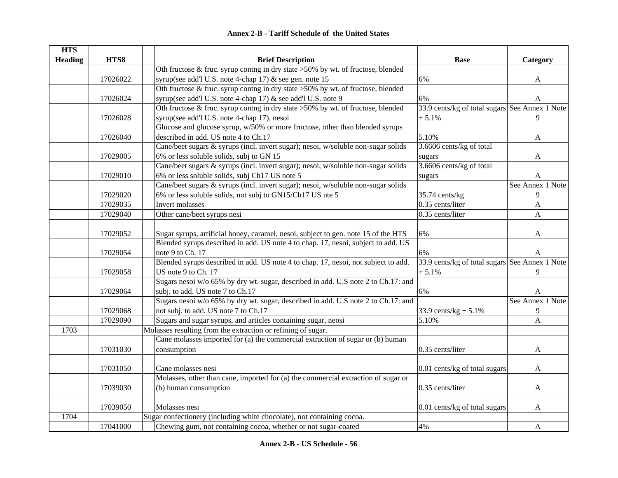| <b>HTS</b>     |          |                                                                                    |                                                |                  |
|----------------|----------|------------------------------------------------------------------------------------|------------------------------------------------|------------------|
| <b>Heading</b> | HTS8     | <b>Brief Description</b>                                                           | <b>Base</b>                                    | Category         |
|                |          | Oth fructose & fruc. syrup contng in dry state >50% by wt. of fructose, blended    |                                                |                  |
|                | 17026022 | syrup(see add'l U.S. note 4-chap 17) & see gen. note 15                            | 6%                                             | A                |
|                |          | Oth fructose & fruc. syrup contng in dry state >50% by wt. of fructose, blended    |                                                |                  |
|                | 17026024 | syrup(see add'l U.S. note 4-chap 17) & see add'l U.S. note 9                       | 6%                                             | A                |
|                |          | Oth fructose $&$ fruc. syrup contng in dry state >50% by wt. of fructose, blended  | 33.9 cents/kg of total sugars See Annex 1 Note |                  |
|                | 17026028 | syrup(see add'l U.S. note 4-chap 17), nesoi                                        | $+5.1%$                                        | 9                |
|                |          | Glucose and glucose syrup, w/50% or more fructose, other than blended syrups       |                                                |                  |
|                | 17026040 | described in add. US note 4 to Ch.17                                               | 5.10%                                          | A                |
|                |          | Cane/beet sugars & syrups (incl. invert sugar); nesoi, w/soluble non-sugar solids  | 3.6606 cents/kg of total                       |                  |
|                | 17029005 | 6% or less soluble solids, subj to GN 15                                           | sugars                                         | A                |
|                |          | Cane/beet sugars & syrups (incl. invert sugar); nesoi, w/soluble non-sugar solids  | 3.6606 cents/kg of total                       |                  |
|                | 17029010 | 6% or less soluble solids, subj Ch17 US note 5                                     | sugars                                         | A                |
|                |          | Cane/beet sugars & syrups (incl. invert sugar); nesoi, w/soluble non-sugar solids  |                                                | See Annex 1 Note |
|                | 17029020 | 6% or less soluble solids, not subj to GN15/Ch17 US nte 5                          | 35.74 cents/kg                                 | 9                |
|                | 17029035 | <b>Invert molasses</b>                                                             | 0.35 cents/liter                               | $\mathbf{A}$     |
|                | 17029040 | Other cane/beet syrups nesi                                                        | 0.35 cents/liter                               | $\mathbf{A}$     |
|                |          |                                                                                    |                                                |                  |
|                | 17029052 | Sugar syrups, artificial honey, caramel, nesoi, subject to gen. note 15 of the HTS | 6%                                             | A                |
|                |          | Blended syrups described in add. US note 4 to chap. 17, nesoi, subject to add. US  |                                                |                  |
|                | 17029054 | note 9 to Ch. 17                                                                   | 6%                                             | A                |
|                |          | Blended syrups described in add. US note 4 to chap. 17, nesoi, not subject to add. | 33.9 cents/kg of total sugars See Annex 1 Note |                  |
|                | 17029058 | US note 9 to Ch. 17                                                                | $+5.1%$                                        | 9                |
|                |          | Sugars nesoi w/o 65% by dry wt. sugar, described in add. U.S note 2 to Ch.17: and  |                                                |                  |
|                | 17029064 | subj. to add. US note 7 to Ch.17                                                   | 6%                                             | A                |
|                |          | Sugars nesoi w/o 65% by dry wt. sugar, described in add. U.S note 2 to Ch.17: and  |                                                | See Annex 1 Note |
|                | 17029068 | not subj. to add. US note 7 to Ch.17                                               | 33.9 cents/ $kg + 5.1\%$                       | 9                |
|                | 17029090 | Sugars and sugar syrups, and articles containing sugar, neosi                      | 5.10%                                          | A                |
| 1703           |          | Molasses resulting from the extraction or refining of sugar.                       |                                                |                  |
|                |          | Cane molasses imported for (a) the commercial extraction of sugar or (b) human     |                                                |                  |
|                | 17031030 | consumption                                                                        | 0.35 cents/liter                               | A                |
|                |          |                                                                                    |                                                |                  |
|                | 17031050 | Cane molasses nesi                                                                 | 0.01 cents/kg of total sugars                  | A                |
|                |          | Molasses, other than cane, imported for (a) the commercial extraction of sugar or  |                                                |                  |
|                | 17039030 | (b) human consumption                                                              | 0.35 cents/liter                               | A                |
|                |          |                                                                                    |                                                |                  |
|                | 17039050 | Molasses nesi                                                                      | 0.01 cents/kg of total sugars                  | A                |
| 1704           |          | Sugar confectionery (including white chocolate), not containing cocoa.             |                                                |                  |
|                | 17041000 | Chewing gum, not containing cocoa, whether or not sugar-coated                     | 4%                                             | A                |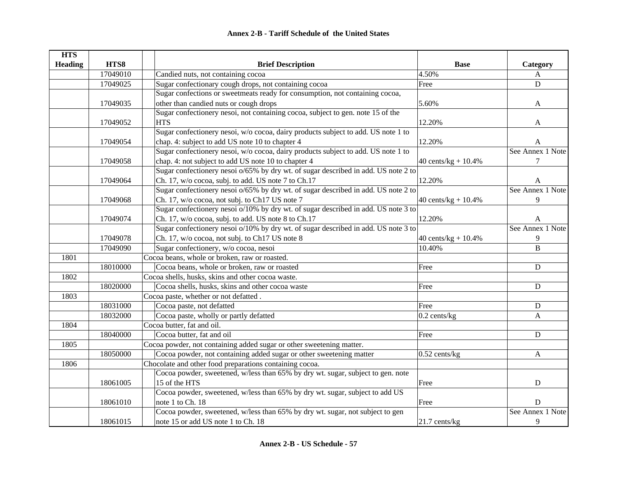| <b>HTS</b>     |          |                                                                                    |                         |                  |
|----------------|----------|------------------------------------------------------------------------------------|-------------------------|------------------|
| <b>Heading</b> | HTS8     | <b>Brief Description</b>                                                           | <b>Base</b>             | Category         |
|                | 17049010 | Candied nuts, not containing cocoa                                                 | 4.50%                   | $\mathbf{A}$     |
|                | 17049025 | Sugar confectionary cough drops, not containing cocoa                              | Free                    | $\mathbf D$      |
|                |          | Sugar confections or sweetmeats ready for consumption, not containing cocoa,       |                         |                  |
|                | 17049035 | other than candied nuts or cough drops                                             | 5.60%                   | A                |
|                |          | Sugar confectionery nesoi, not containing cocoa, subject to gen. note 15 of the    |                         |                  |
|                | 17049052 | <b>HTS</b>                                                                         | 12.20%                  | A                |
|                |          | Sugar confectionery nesoi, w/o cocoa, dairy products subject to add. US note 1 to  |                         |                  |
|                | 17049054 | chap. 4: subject to add US note 10 to chapter 4                                    | 12.20%                  | A                |
|                |          | Sugar confectionery nesoi, w/o cocoa, dairy products subject to add. US note 1 to  |                         | See Annex 1 Note |
|                | 17049058 | chap. 4: not subject to add US note 10 to chapter 4                                | 40 cents/kg + $10.4\%$  | 7                |
|                |          | Sugar confectionery nesoi o/65% by dry wt. of sugar described in add. US note 2 to |                         |                  |
|                | 17049064 | Ch. 17, w/o cocoa, subj. to add. US note 7 to Ch.17                                | 12.20%                  | A                |
|                |          | Sugar confectionery nesoi o/65% by dry wt. of sugar described in add. US note 2 to |                         | See Annex 1 Note |
|                | 17049068 | Ch. 17, w/o cocoa, not subj. to Ch17 US note 7                                     | 40 cents/ $kg + 10.4\%$ | 9                |
|                |          | Sugar confectionery nesoi o/10% by dry wt. of sugar described in add. US note 3 to |                         |                  |
|                | 17049074 | Ch. 17, w/o cocoa, subj. to add. US note 8 to Ch.17                                | 12.20%                  | A                |
|                |          | Sugar confectionery nesoi o/10% by dry wt. of sugar described in add. US note 3 to |                         | See Annex 1 Note |
|                | 17049078 | Ch. 17, w/o cocoa, not subj. to Ch17 US note 8                                     | 40 cents/ $kg + 10.4%$  | 9                |
|                | 17049090 | Sugar confectionery, w/o cocoa, nesoi                                              | 10.40%                  | B                |
| 1801           |          | Cocoa beans, whole or broken, raw or roasted.                                      |                         |                  |
|                | 18010000 | Cocoa beans, whole or broken, raw or roasted                                       | Free                    | ${\bf D}$        |
| 1802           |          | Cocoa shells, husks, skins and other cocoa waste.                                  |                         |                  |
|                | 18020000 | Cocoa shells, husks, skins and other cocoa waste                                   | Free                    | ${\bf D}$        |
| 1803           |          | Cocoa paste, whether or not defatted.                                              |                         |                  |
|                | 18031000 | Cocoa paste, not defatted                                                          | Free                    | ${\bf D}$        |
|                | 18032000 | Cocoa paste, wholly or partly defatted                                             | $0.2$ cents/kg          | A                |
| 1804           |          | Cocoa butter, fat and oil.                                                         |                         |                  |
|                | 18040000 | Cocoa butter, fat and oil                                                          | Free                    | ${\bf D}$        |
| 1805           |          | Cocoa powder, not containing added sugar or other sweetening matter.               |                         |                  |
|                | 18050000 | Cocoa powder, not containing added sugar or other sweetening matter                | $0.52$ cents/kg         | $\mathbf{A}$     |
| 1806           |          | Chocolate and other food preparations containing cocoa.                            |                         |                  |
|                |          | Cocoa powder, sweetened, w/less than 65% by dry wt. sugar, subject to gen. note    |                         |                  |
|                | 18061005 | 15 of the HTS                                                                      | Free                    | ${\bf D}$        |
|                |          | Cocoa powder, sweetened, w/less than 65% by dry wt. sugar, subject to add US       |                         |                  |
|                | 18061010 | note 1 to Ch. 18                                                                   | Free                    | D                |
|                |          | Cocoa powder, sweetened, w/less than 65% by dry wt. sugar, not subject to gen      |                         | See Annex 1 Note |
|                | 18061015 | note 15 or add US note 1 to Ch. 18                                                 | $21.7$ cents/kg         | 9                |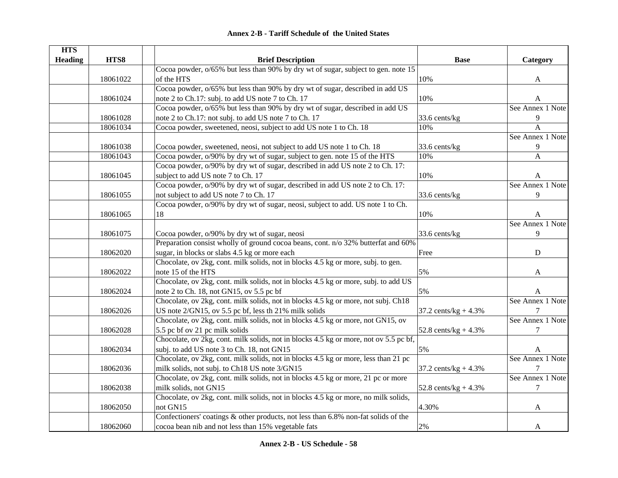| <b>HTS</b>     |          |                                                                                       |                         |                  |
|----------------|----------|---------------------------------------------------------------------------------------|-------------------------|------------------|
| <b>Heading</b> | HTS8     | <b>Brief Description</b>                                                              | <b>Base</b>             | Category         |
|                |          | Cocoa powder, $o/65\%$ but less than 90% by dry wt of sugar, subject to gen. note 15  |                         |                  |
|                | 18061022 | of the HTS                                                                            | 10%                     | A                |
|                |          | Cocoa powder, o/65% but less than 90% by dry wt of sugar, described in add US         |                         |                  |
|                | 18061024 | note 2 to Ch.17: subj. to add US note 7 to Ch. 17                                     | 10%                     | A                |
|                |          | Cocoa powder, o/65% but less than 90% by dry wt of sugar, described in add US         |                         | See Annex 1 Note |
|                | 18061028 | note 2 to Ch.17: not subj. to add US note 7 to Ch. 17                                 | 33.6 cents/kg           | 9                |
|                | 18061034 | Cocoa powder, sweetened, neosi, subject to add US note 1 to Ch. 18                    | 10%                     | $\overline{A}$   |
|                |          |                                                                                       |                         | See Annex 1 Note |
|                | 18061038 | Cocoa powder, sweetened, neosi, not subject to add US note 1 to Ch. 18                | 33.6 cents/kg           | 9                |
|                | 18061043 | Cocoa powder, o/90% by dry wt of sugar, subject to gen. note 15 of the HTS            | 10%                     | $\mathbf{A}$     |
|                |          | Cocoa powder, o/90% by dry wt of sugar, described in add US note 2 to Ch. 17:         |                         |                  |
|                | 18061045 | subject to add US note 7 to Ch. 17                                                    | 10%                     | A                |
|                |          | Cocoa powder, o/90% by dry wt of sugar, described in add US note 2 to Ch. 17:         |                         | See Annex 1 Note |
|                | 18061055 | not subject to add US note 7 to Ch. 17                                                | 33.6 cents/kg           | 9                |
|                |          | Cocoa powder, o/90% by dry wt of sugar, neosi, subject to add. US note 1 to Ch.       |                         |                  |
|                | 18061065 | 18                                                                                    | 10%                     | A                |
|                |          |                                                                                       |                         | See Annex 1 Note |
|                | 18061075 | Cocoa powder, o/90% by dry wt of sugar, neosi                                         | 33.6 cents/kg           | 9                |
|                |          | Preparation consist wholly of ground cocoa beans, cont. n/o 32% butterfat and 60%     |                         |                  |
|                | 18062020 | sugar, in blocks or slabs 4.5 kg or more each                                         | Free                    | ${\bf D}$        |
|                |          | Chocolate, ov 2kg, cont. milk solids, not in blocks 4.5 kg or more, subj. to gen.     |                         |                  |
|                | 18062022 | note 15 of the HTS                                                                    | 5%                      | A                |
|                |          | Chocolate, ov 2kg, cont. milk solids, not in blocks 4.5 kg or more, subj. to add US   |                         |                  |
|                | 18062024 | note 2 to Ch. 18, not GN15, ov 5.5 pc bf                                              | 5%                      | A                |
|                |          | Chocolate, ov 2kg, cont. milk solids, not in blocks 4.5 kg or more, not subj. Ch18    |                         | See Annex 1 Note |
|                | 18062026 | US note 2/GN15, ov 5.5 pc bf, less th 21% milk solids                                 | 37.2 cents/ $kg + 4.3%$ |                  |
|                |          | Chocolate, ov 2kg, cont. milk solids, not in blocks 4.5 kg or more, not GN15, ov      |                         | See Annex 1 Note |
|                | 18062028 | 5.5 pc bf ov 21 pc milk solids                                                        | 52.8 cents/ $kg + 4.3%$ | 7                |
|                |          | Chocolate, ov 2kg, cont. milk solids, not in blocks 4.5 kg or more, not ov 5.5 pc bf, |                         |                  |
|                | 18062034 | subj. to add US note 3 to Ch. 18, not GN15                                            | 5%                      | A                |
|                |          | Chocolate, ov 2kg, cont. milk solids, not in blocks 4.5 kg or more, less than 21 pc   |                         | See Annex 1 Note |
|                | 18062036 | milk solids, not subj. to Ch18 US note 3/GN15                                         | 37.2 cents/ $kg + 4.3%$ | 7                |
|                |          | Chocolate, ov 2kg, cont. milk solids, not in blocks 4.5 kg or more, 21 pc or more     |                         | See Annex 1 Note |
|                | 18062038 | milk solids, not GN15                                                                 | 52.8 cents/ $kg + 4.3%$ | 7                |
|                |          | Chocolate, ov 2kg, cont. milk solids, not in blocks 4.5 kg or more, no milk solids,   |                         |                  |
|                | 18062050 | not GN15                                                                              | 4.30%                   | A                |
|                |          | Confectioners' coatings & other products, not less than 6.8% non-fat solids of the    |                         |                  |
|                | 18062060 | cocoa bean nib and not less than 15% vegetable fats                                   | 2%                      | A                |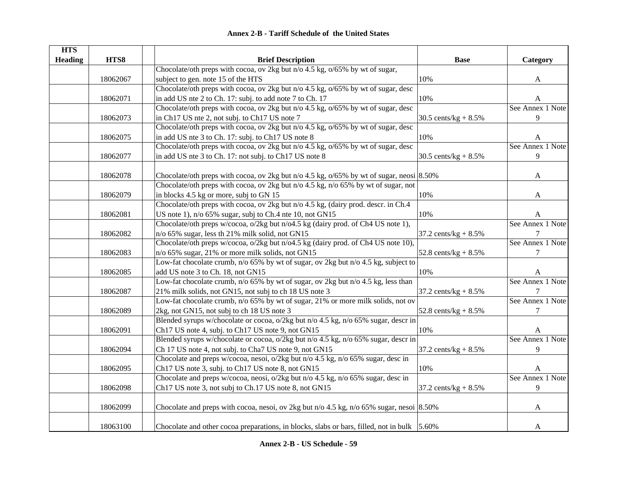| <b>HTS</b>     |          |                                                                                                  |                                 |                  |
|----------------|----------|--------------------------------------------------------------------------------------------------|---------------------------------|------------------|
| <b>Heading</b> | HTS8     | <b>Brief Description</b>                                                                         | <b>Base</b>                     | Category         |
|                |          | Chocolate/oth preps with cocoa, ov 2kg but n/o 4.5 kg, o/65% by wt of sugar,                     |                                 |                  |
|                | 18062067 | subject to gen. note 15 of the HTS                                                               | 10%                             | A                |
|                |          | Chocolate/oth preps with cocoa, ov 2kg but n/o 4.5 kg, o/65% by wt of sugar, desc                |                                 |                  |
|                | 18062071 | in add US nte 2 to Ch. 17: subj. to add note 7 to Ch. 17                                         | 10%                             | A                |
|                |          | Chocolate/oth preps with cocoa, ov 2kg but n/o 4.5 kg, o/65% by wt of sugar, desc                |                                 | See Annex 1 Note |
|                | 18062073 | in Ch17 US nte 2, not subj. to Ch17 US note 7                                                    | 30.5 cents/ $kg + 8.5%$         | 9                |
|                |          | Chocolate/oth preps with cocoa, ov 2kg but n/o 4.5 kg, o/65% by wt of sugar, desc                |                                 |                  |
|                | 18062075 | in add US nte 3 to Ch. 17: subj. to Ch17 US note 8                                               | 10%                             | A                |
|                |          | Chocolate/oth preps with cocoa, ov 2kg but n/o 4.5 kg, o/65% by wt of sugar, desc                |                                 | See Annex 1 Note |
|                | 18062077 | in add US nte 3 to Ch. 17: not subj. to Ch17 US note 8                                           | 30.5 cents/ $kg + 8.5%$         | 9                |
|                |          |                                                                                                  |                                 |                  |
|                | 18062078 | Chocolate/oth preps with cocoa, ov 2kg but n/o 4.5 kg, $o/65\%$ by wt of sugar, neosi 8.50%      |                                 | A                |
|                |          | Chocolate/oth preps with cocoa, ov 2kg but n/o 4.5 kg, n/o 65% by wt of sugar, not               |                                 |                  |
|                | 18062079 | in blocks 4.5 kg or more, subj to GN 15                                                          | 10%                             | A                |
|                |          | Chocolate/oth preps with cocoa, ov 2kg but n/o 4.5 kg, (dairy prod. descr. in Ch.4               |                                 |                  |
|                | 18062081 | US note 1), n/o 65% sugar, subj to Ch.4 nte 10, not GN15                                         | 10%                             | A                |
|                |          | Chocolate/oth preps w/cocoa, o/2kg but n/o4.5 kg (dairy prod. of Ch4 US note 1),                 |                                 | See Annex 1 Note |
|                | 18062082 | n/o 65% sugar, less th 21% milk solid, not GN15                                                  | 37.2 cents/kg + $8.5\%$         | 7                |
|                |          | Chocolate/oth preps w/cocoa, o/2kg but n/o4.5 kg (dairy prod. of Ch4 US note 10),                |                                 | See Annex 1 Note |
|                | 18062083 | n/o 65% sugar, 21% or more milk solids, not GN15                                                 | 52.8 cents/ $kg + 8.5%$         | 7                |
|                |          | Low-fat chocolate crumb, n/o 65% by wt of sugar, ov 2kg but n/o 4.5 $\overline{k}$ g, subject to |                                 |                  |
|                | 18062085 | add US note 3 to Ch. 18, not GN15                                                                | 10%                             | A                |
|                |          | Low-fat chocolate crumb, n/o 65% by wt of sugar, ov 2kg but n/o 4.5 kg, less than                |                                 | See Annex 1 Note |
|                | 18062087 | 21% milk solids, not GN15, not subj to ch 18 US note 3                                           | $37.2 \text{ cents/kg} + 8.5\%$ | $\tau$           |
|                |          | Low-fat chocolate crumb, n/o 65% by wt of sugar, 21% or more milk solids, not ov                 |                                 | See Annex 1 Note |
|                | 18062089 | 2kg, not GN15, not subj to ch 18 US note 3                                                       | 52.8 cents/ $kg + 8.5%$         | 7                |
|                |          | Blended syrups w/chocolate or cocoa, o/2kg but n/o 4.5 kg, n/o 65% sugar, descr in               |                                 |                  |
|                | 18062091 | Ch17 US note 4, subj. to Ch17 US note 9, not GN15                                                | $10\%$                          | A                |
|                |          | Blended syrups w/chocolate or cocoa, o/2kg but n/o 4.5 kg, n/o 65% sugar, descr in               |                                 | See Annex 1 Note |
|                | 18062094 | Ch 17 US note 4, not subj. to Cha7 US note 9, not GN15                                           | 37.2 cents/kg + $8.5\%$         | 9                |
|                |          | Chocolate and preps w/cocoa, nesoi, o/2kg but n/o 4.5 kg, n/o 65% sugar, desc in                 |                                 |                  |
|                | 18062095 | Ch17 US note 3, subj. to Ch17 US note 8, not GN15                                                | 10%                             | A                |
|                |          | Chocolate and preps w/cocoa, neosi, o/2kg but n/o 4.5 kg, n/o 65% sugar, desc in                 |                                 | See Annex 1 Note |
|                | 18062098 | Ch17 US note 3, not subj to Ch.17 US note 8, not GN15                                            | 37.2 cents/kg + $8.5\%$         | 9                |
|                |          |                                                                                                  |                                 |                  |
|                | 18062099 | Chocolate and preps with cocoa, nesoi, ov 2kg but $n/0$ 4.5 kg, $n/0$ 65% sugar, nesoi 8.50%     |                                 | A                |
|                | 18063100 | Chocolate and other cocoa preparations, in blocks, slabs or bars, filled, not in bulk 5.60%      |                                 | A                |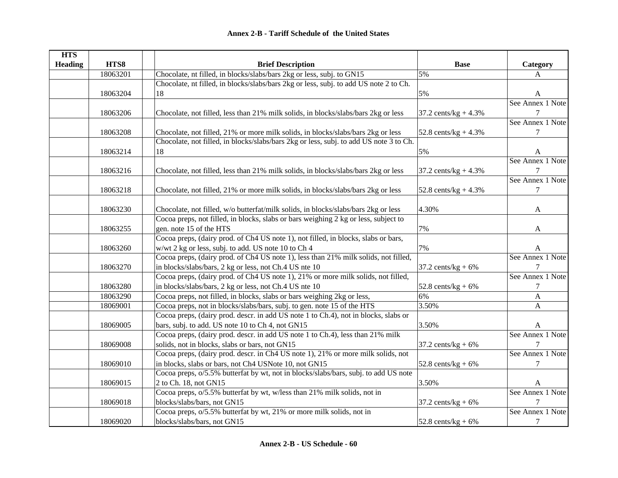| <b>HTS</b>     |          |                                                                                        |                         |                  |
|----------------|----------|----------------------------------------------------------------------------------------|-------------------------|------------------|
| <b>Heading</b> | HTS8     | <b>Brief Description</b>                                                               | <b>Base</b>             | Category         |
|                | 18063201 | Chocolate, nt filled, in blocks/slabs/bars 2kg or less, subj. to GN15                  | 5%                      | A                |
|                |          | Chocolate, nt filled, in blocks/slabs/bars 2kg or less, subj. to add US note 2 to Ch.  |                         |                  |
|                | 18063204 | 18                                                                                     | 5%                      | A                |
|                |          |                                                                                        |                         | See Annex 1 Note |
|                | 18063206 | Chocolate, not filled, less than 21% milk solids, in blocks/slabs/bars 2kg or less     | 37.2 cents/ $kg + 4.3%$ |                  |
|                |          |                                                                                        |                         | See Annex 1 Note |
|                | 18063208 | Chocolate, not filled, 21% or more milk solids, in blocks/slabs/bars 2kg or less       | 52.8 cents/ $kg + 4.3%$ | 7                |
|                |          | Chocolate, not filled, in blocks/slabs/bars 2kg or less, subj. to add US note 3 to Ch. |                         |                  |
|                | 18063214 | 18                                                                                     | 5%                      | A                |
|                |          |                                                                                        |                         | See Annex 1 Note |
|                | 18063216 | Chocolate, not filled, less than 21% milk solids, in blocks/slabs/bars 2kg or less     | 37.2 cents/ $kg + 4.3%$ |                  |
|                |          |                                                                                        |                         | See Annex 1 Note |
|                | 18063218 | Chocolate, not filled, 21% or more milk solids, in blocks/slabs/bars 2kg or less       | 52.8 cents/ $kg + 4.3%$ | $\tau$           |
|                |          |                                                                                        |                         |                  |
|                | 18063230 | Chocolate, not filled, w/o butterfat/milk solids, in blocks/slabs/bars 2kg or less     | 4.30%                   | A                |
|                |          | Cocoa preps, not filled, in blocks, slabs or bars weighing 2 kg or less, subject to    |                         |                  |
|                | 18063255 | gen. note 15 of the HTS                                                                | 7%                      | A                |
|                |          | Cocoa preps, (dairy prod. of Ch4 US note 1), not filled, in blocks, slabs or bars,     |                         |                  |
|                | 18063260 | w/wt 2 kg or less, subj. to add. US note 10 to Ch 4                                    | 7%                      | A                |
|                |          | Cocoa preps, (dairy prod. of Ch4 US note 1), less than 21% milk solids, not filled,    |                         | See Annex 1 Note |
|                | 18063270 | in blocks/slabs/bars, 2 kg or less, not Ch.4 US nte 10                                 | 37.2 cents/ $kg + 6%$   | 7                |
|                |          | Cocoa preps, (dairy prod. of Ch4 US note 1), 21% or more milk solids, not filled,      |                         | See Annex 1 Note |
|                | 18063280 | in blocks/slabs/bars, 2 kg or less, not Ch.4 US nte 10                                 | 52.8 cents/ $kg + 6%$   | 7                |
|                | 18063290 | Cocoa preps, not filled, in blocks, slabs or bars weighing 2kg or less,                | 6%                      | $\mathbf{A}$     |
|                | 18069001 | Cocoa preps, not in blocks/slabs/bars, subj. to gen. note 15 of the HTS                | 3.50%                   | A                |
|                |          | Cocoa preps, (dairy prod. descr. in add US note 1 to Ch.4), not in blocks, slabs or    |                         |                  |
|                | 18069005 | bars, subj. to add. US note 10 to Ch 4, not GN15                                       | 3.50%                   | A                |
|                |          | Cocoa preps, (dairy prod. descr. in add US note 1 to Ch.4), less than 21% milk         |                         | See Annex 1 Note |
|                | 18069008 | solids, not in blocks, slabs or bars, not GN15                                         | 37.2 cents/kg + $6\%$   |                  |
|                |          | Cocoa preps, (dairy prod. descr. in Ch4 US note 1), 21% or more milk solids, not       |                         | See Annex 1 Note |
|                | 18069010 | in blocks, slabs or bars, not Ch4 USNote 10, not GN15                                  | 52.8 cents/kg + $6\%$   | 7                |
|                |          | Cocoa preps, o/5.5% butterfat by wt, not in blocks/slabs/bars, subj. to add US note    |                         |                  |
|                | 18069015 | 2 to Ch. 18, not GN15                                                                  | 3.50%                   | A                |
|                |          | Cocoa preps, $o/5.5\%$ butterfat by wt, w/less than 21% milk solids, not in            |                         | See Annex 1 Note |
|                | 18069018 | blocks/slabs/bars, not GN15                                                            | 37.2 cents/kg + $6\%$   |                  |
|                |          | Cocoa preps, o/5.5% butterfat by wt, 21% or more milk solids, not in                   |                         | See Annex 1 Note |
|                | 18069020 | blocks/slabs/bars, not GN15                                                            | 52.8 cents/kg + $6\%$   | 7                |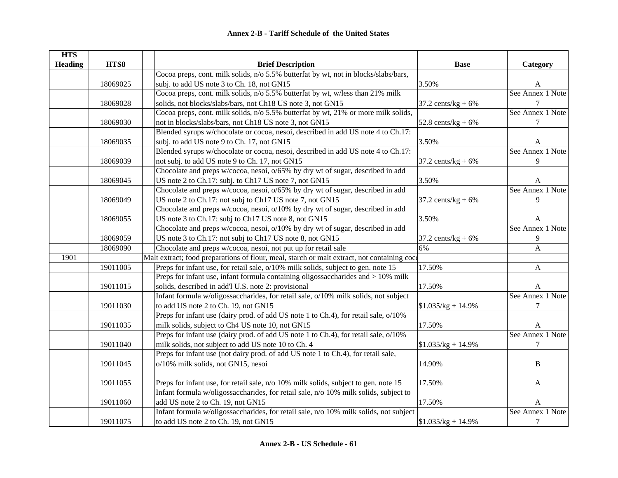| <b>HTS</b>     |          |                                                                                             |                       |                  |
|----------------|----------|---------------------------------------------------------------------------------------------|-----------------------|------------------|
| <b>Heading</b> | HTS8     | <b>Brief Description</b>                                                                    | <b>Base</b>           | Category         |
|                |          | Cocoa preps, cont. milk solids, n/o 5.5% butterfat by wt, not in blocks/slabs/bars,         |                       |                  |
|                | 18069025 | subj. to add US note 3 to Ch. 18, not GN15                                                  | 3.50%                 | A                |
|                |          | Cocoa preps, cont. milk solids, n/o 5.5% butterfat by wt, w/less than 21% milk              |                       | See Annex 1 Note |
|                | 18069028 | solids, not blocks/slabs/bars, not Ch18 US note 3, not GN15                                 | 37.2 cents/ $kg + 6%$ | 7                |
|                |          | Cocoa preps, cont. milk solids, n/o 5.5% butterfat by wt, 21% or more milk solids,          |                       | See Annex 1 Note |
|                | 18069030 | not in blocks/slabs/bars, not Ch18 US note 3, not GN15                                      | 52.8 cents/kg + $6\%$ | 7                |
|                |          | Blended syrups w/chocolate or cocoa, nesoi, described in add US note 4 to Ch.17:            |                       |                  |
|                | 18069035 | subj. to add US note 9 to Ch. 17, not GN15                                                  | 3.50%                 | A                |
|                |          | Blended syrups w/chocolate or cocoa, nesoi, described in add US note 4 to Ch.17:            |                       | See Annex 1 Note |
|                | 18069039 | not subj. to add US note 9 to Ch. 17, not GN15                                              | 37.2 cents/ $kg + 6%$ | 9                |
|                |          | Chocolate and preps w/cocoa, nesoi, o/65% by dry wt of sugar, described in add              |                       |                  |
|                | 18069045 | US note 2 to Ch.17: subj. to Ch17 US note 7, not GN15                                       | 3.50%                 | A                |
|                |          | Chocolate and preps w/cocoa, nesoi, o/65% by dry wt of sugar, described in add              |                       | See Annex 1 Note |
|                | 18069049 | US note 2 to Ch.17: not subj to Ch17 US note 7, not GN15                                    | 37.2 cents/ $kg + 6%$ | 9                |
|                |          | Chocolate and preps w/cocoa, nesoi, o/10% by dry wt of sugar, described in add              |                       |                  |
|                | 18069055 | US note 3 to Ch.17: subj to Ch17 US note 8, not GN15                                        | 3.50%                 | A                |
|                |          | Chocolate and preps w/cocoa, nesoi, o/10% by dry wt of sugar, described in add              |                       | See Annex 1 Note |
|                | 18069059 | US note 3 to Ch.17: not subj to Ch17 US note 8, not GN15                                    | 37.2 cents/kg + $6\%$ | 9                |
|                | 18069090 | Chocolate and preps w/cocoa, nesoi, not put up for retail sale                              | 6%                    | $\mathbf{A}$     |
| 1901           |          | Malt extract; food preparations of flour, meal, starch or malt extract, not containing coco |                       |                  |
|                | 19011005 | Preps for infant use, for retail sale, o/10% milk solids, subject to gen. note 15           | 17.50%                | A                |
|                |          | Preps for infant use, infant formula containing oligossaccharides and > 10% milk            |                       |                  |
|                | 19011015 | solids, described in add'l U.S. note 2: provisional                                         | 17.50%                | A                |
|                |          | Infant formula w/oligossaccharides, for retail sale, o/10% milk solids, not subject         |                       | See Annex 1 Note |
|                | 19011030 | to add US note 2 to Ch. 19, not GN15                                                        | $$1.035/kg + 14.9\%$  | 7                |
|                |          | Preps for infant use (dairy prod. of add US note 1 to Ch.4), for retail sale, o/10%         |                       |                  |
|                | 19011035 | milk solids, subject to Ch4 US note 10, not GN15                                            | 17.50%                | A                |
|                |          | Preps for infant use (dairy prod. of add US note 1 to Ch.4), for retail sale, o/10%         |                       | See Annex 1 Note |
|                | 19011040 | milk solids, not subject to add US note 10 to Ch. 4                                         | $$1.035/kg + 14.9\%$  | 7                |
|                |          | Preps for infant use (not dairy prod. of add US note 1 to Ch.4), for retail sale,           |                       |                  |
|                | 19011045 | o/10% milk solids, not GN15, nesoi                                                          | 14.90%                | B                |
|                |          |                                                                                             |                       |                  |
|                | 19011055 | Preps for infant use, for retail sale, n/o 10% milk solids, subject to gen. note 15         | 17.50%                | A                |
|                |          | Infant formula w/oligossaccharides, for retail sale, n/o 10% milk solids, subject to        |                       |                  |
|                | 19011060 | add US note 2 to Ch. 19, not GN15                                                           | 17.50%                | A                |
|                |          | Infant formula w/oligossaccharides, for retail sale, n/o 10% milk solids, not subject       |                       | See Annex 1 Note |
|                | 19011075 | to add US note 2 to Ch. 19, not GN15                                                        | $$1.035/kg + 14.9\%$  | 7                |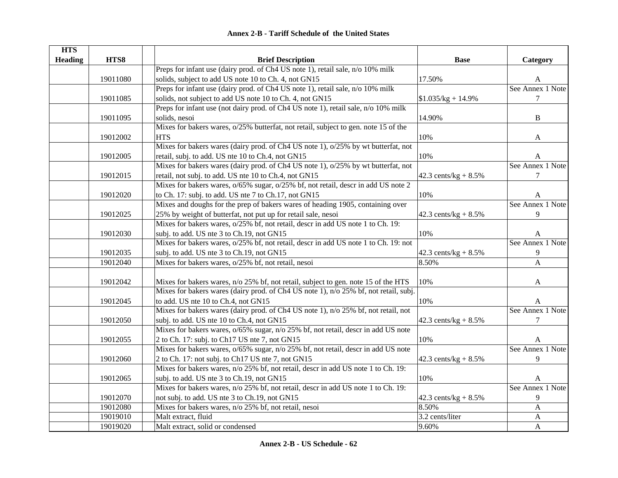| <b>HTS</b>     |          |                                                                                         |                         |                  |
|----------------|----------|-----------------------------------------------------------------------------------------|-------------------------|------------------|
| <b>Heading</b> | HTS8     | <b>Brief Description</b>                                                                | <b>Base</b>             | Category         |
|                |          | Preps for infant use (dairy prod. of Ch4 US note 1), retail sale, n/o 10% milk          |                         |                  |
|                | 19011080 | solids, subject to add US note 10 to Ch. 4, not GN15                                    | 17.50%                  | A                |
|                |          | Preps for infant use (dairy prod. of Ch4 US note 1), retail sale, n/o 10% milk          |                         | See Annex 1 Note |
|                | 19011085 | solids, not subject to add US note 10 to Ch. 4, not GN15                                | $$1.035/kg + 14.9\%$    | 7                |
|                |          | Preps for infant use (not dairy prod. of Ch4 US note 1), retail sale, n/o 10% milk      |                         |                  |
|                | 19011095 | solids, nesoi                                                                           | 14.90%                  | $\, {\bf B}$     |
|                |          | Mixes for bakers wares, o/25% butterfat, not retail, subject to gen. note 15 of the     |                         |                  |
|                | 19012002 | <b>HTS</b>                                                                              | 10%                     | A                |
|                |          | Mixes for bakers wares (dairy prod. of Ch4 US note 1), o/25% by wt butterfat, not       |                         |                  |
|                | 19012005 | retail, subj. to add. US nte 10 to Ch.4, not GN15                                       | 10%                     | A                |
|                |          | Mixes for bakers wares (dairy prod. of Ch4 US note 1), o/25% by wt butterfat, not       |                         | See Annex 1 Note |
|                | 19012015 | retail, not subj. to add. US nte 10 to Ch.4, not GN15                                   | 42.3 cents/kg + $8.5\%$ | 7                |
|                |          | Mixes for bakers wares, $o/65\%$ sugar, $o/25\%$ bf, not retail, descr in add US note 2 |                         |                  |
|                | 19012020 | to Ch. 17: subj. to add. US nte 7 to Ch.17, not GN15                                    | 10%                     | A                |
|                |          | Mixes and doughs for the prep of bakers wares of heading 1905, containing over          |                         | See Annex 1 Note |
|                | 19012025 | 25% by weight of butterfat, not put up for retail sale, nesoi                           | 42.3 cents/kg + $8.5\%$ | 9                |
|                |          | Mixes for bakers wares, o/25% bf, not retail, descr in add US note 1 to Ch. 19:         |                         |                  |
|                | 19012030 | subj. to add. US nte 3 to Ch.19, not GN15                                               | 10%                     | A                |
|                |          | Mixes for bakers wares, o/25% bf, not retail, descr in add US note 1 to Ch. 19: not     |                         | See Annex 1 Note |
|                | 19012035 | subj. to add. US nte 3 to Ch.19, not GN15                                               | 42.3 cents/kg + $8.5\%$ | 9                |
|                | 19012040 | Mixes for bakers wares, o/25% bf, not retail, nesoi                                     | 8.50%                   | $\mathbf{A}$     |
|                |          |                                                                                         |                         |                  |
|                | 19012042 | Mixes for bakers wares, n/o 25% bf, not retail, subject to gen. note 15 of the HTS      | 10%                     | A                |
|                |          | Mixes for bakers wares (dairy prod. of Ch4 US note 1), n/o 25% bf, not retail, subj.    |                         |                  |
|                | 19012045 | to add. US nte 10 to Ch.4, not GN15                                                     | 10%                     | A                |
|                |          | Mixes for bakers wares (dairy prod. of Ch4 US note 1), n/o 25% bf, not retail, not      |                         | See Annex 1 Note |
|                | 19012050 | subj. to add. US nte 10 to Ch.4, not GN15                                               | 42.3 cents/kg + $8.5\%$ | $\tau$           |
|                |          | Mixes for bakers wares, o/65% sugar, n/o 25% bf, not retail, descr in add US note       |                         |                  |
|                | 19012055 | 2 to Ch. 17: subj. to Ch17 US nte 7, not GN15                                           | 10%                     | A                |
|                |          | Mixes for bakers wares, o/65% sugar, n/o 25% bf, not retail, descr in add US note       |                         | See Annex 1 Note |
|                | 19012060 | 2 to Ch. 17: not subj. to Ch17 US nte 7, not GN15                                       | 42.3 cents/kg + $8.5\%$ | 9                |
|                |          | Mixes for bakers wares, n/o 25% bf, not retail, descr in add US note 1 to Ch. 19:       |                         |                  |
|                | 19012065 | subj. to add. US nte 3 to Ch.19, not GN15                                               | 10%                     | A                |
|                |          | Mixes for bakers wares, n/o 25% bf, not retail, descr in add US note 1 to Ch. 19:       |                         | See Annex 1 Note |
|                | 19012070 | not subj. to add. US nte 3 to Ch.19, not GN15                                           | 42.3 cents/kg + $8.5\%$ | 9                |
|                | 19012080 | Mixes for bakers wares, n/o 25% bf, not retail, nesoi                                   | 8.50%                   | A                |
|                | 19019010 | Malt extract, fluid                                                                     | 3.2 cents/liter         | $\mathbf A$      |
|                | 19019020 | Malt extract, solid or condensed                                                        | 9.60%                   | $\mathbf{A}$     |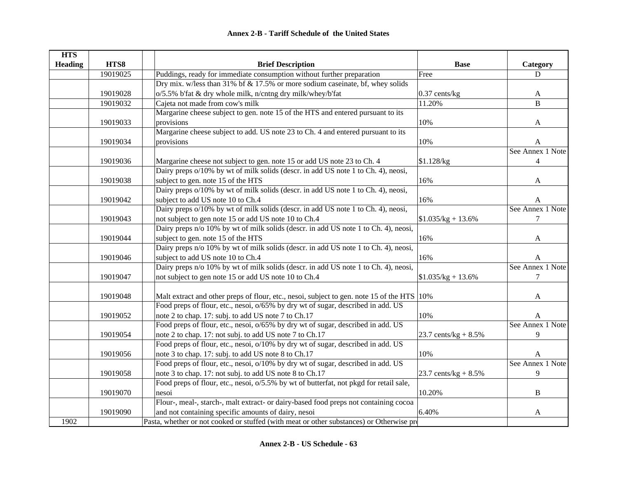| <b>HTS</b>     |          |                                                                                            |                         |                  |
|----------------|----------|--------------------------------------------------------------------------------------------|-------------------------|------------------|
| <b>Heading</b> | HTS8     | <b>Brief Description</b>                                                                   | <b>Base</b>             | Category         |
|                | 19019025 | Puddings, ready for immediate consumption without further preparation                      | Free                    | D                |
|                |          | Dry mix. w/less than 31% bf & 17.5% or more sodium caseinate, bf, whey solids              |                         |                  |
|                | 19019028 | o/5.5% b'fat & dry whole milk, n/cntng dry milk/whey/b'fat                                 | $0.37$ cents/ $kg$      | A                |
|                | 19019032 | Cajeta not made from cow's milk                                                            | 11.20%                  | B                |
|                |          | Margarine cheese subject to gen. note 15 of the HTS and entered pursuant to its            |                         |                  |
|                | 19019033 | provisions                                                                                 | 10%                     | A                |
|                |          | Margarine cheese subject to add. US note 23 to Ch. 4 and entered pursuant to its           |                         |                  |
|                | 19019034 | provisions                                                                                 | 10%                     | A                |
|                |          |                                                                                            |                         | See Annex 1 Note |
|                | 19019036 | Margarine cheese not subject to gen. note 15 or add US note 23 to Ch. 4                    | \$1.128/kg              | 4                |
|                |          | Dairy preps o/10% by wt of milk solids (descr. in add US note 1 to Ch. 4), neosi,          |                         |                  |
|                | 19019038 | subject to gen. note 15 of the HTS                                                         | 16%                     | A                |
|                |          | Dairy preps o/10% by wt of milk solids (descr. in add US note 1 to Ch. 4), neosi,          |                         |                  |
|                | 19019042 | subject to add US note 10 to Ch.4                                                          | 16%                     | $\mathbf{A}$     |
|                |          | Dairy preps o/10% by wt of milk solids (descr. in add US note 1 to Ch. 4), neosi,          |                         | See Annex 1 Note |
|                | 19019043 | not subject to gen note 15 or add US note 10 to Ch.4                                       | $$1.035/kg + 13.6\%$    | 7                |
|                |          | Dairy preps n/o 10% by wt of milk solids (descr. in add US note 1 to Ch. 4), neosi,        |                         |                  |
|                | 19019044 | subject to gen. note 15 of the HTS                                                         | 16%                     | A                |
|                |          | Dairy preps n/o 10% by wt of milk solids (descr. in add US note 1 to Ch. 4), neosi,        |                         |                  |
|                | 19019046 | subject to add US note 10 to Ch.4                                                          | 16%                     | A                |
|                |          | Dairy preps n/o 10% by wt of milk solids (descr. in add US note 1 to Ch. 4), neosi,        |                         | See Annex 1 Note |
|                | 19019047 | not subject to gen note 15 or add US note 10 to Ch.4                                       | $$1.035/kg + 13.6\%$    | 7                |
|                |          |                                                                                            |                         |                  |
|                | 19019048 | Malt extract and other preps of flour, etc., nesoi, subject to gen. note 15 of the HTS 10% |                         | A                |
|                |          | Food preps of flour, etc., nesoi, $o/65\%$ by dry wt of sugar, described in add. US        |                         |                  |
|                | 19019052 | note 2 to chap. 17: subj. to add US note 7 to Ch.17                                        | 10%                     | A                |
|                |          | Food preps of flour, etc., nesoi, $o/65\%$ by dry wt of sugar, described in add. US        |                         | See Annex 1 Note |
|                | 19019054 | note 2 to chap. 17: not subj. to add US note 7 to Ch.17                                    | 23.7 cents/ $kg + 8.5%$ | 9                |
|                |          | Food preps of flour, etc., nesoi, o/10% by dry wt of sugar, described in add. US           |                         |                  |
|                | 19019056 | note 3 to chap. 17: subj. to add US note 8 to Ch.17                                        | 10%                     | A                |
|                |          | Food preps of flour, etc., nesoi, o/10% by dry wt of sugar, described in add. US           |                         | See Annex 1 Note |
|                | 19019058 | note 3 to chap. 17: not subj. to add US note 8 to Ch.17                                    | 23.7 cents/kg + $8.5\%$ | 9                |
|                |          | Food preps of flour, etc., nesoi, o/5.5% by wt of butterfat, not pkgd for retail sale,     |                         |                  |
|                | 19019070 | nesoi                                                                                      | 10.20%                  | $\, {\bf B}$     |
|                |          | Flour-, meal-, starch-, malt extract- or dairy-based food preps not containing cocoa       |                         |                  |
|                | 19019090 | and not containing specific amounts of dairy, nesoi                                        | 6.40%                   | A                |
| 1902           |          | Pasta, whether or not cooked or stuffed (with meat or other substances) or Otherwise pre   |                         |                  |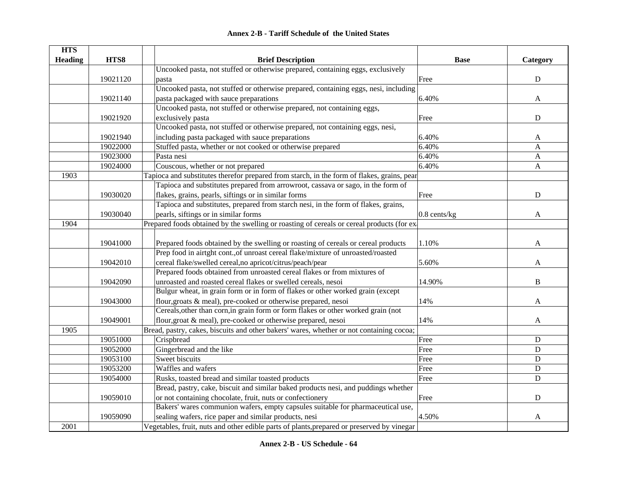| <b>Annex 2-B - Tariff Schedule of the United States</b> |  |  |  |
|---------------------------------------------------------|--|--|--|
|---------------------------------------------------------|--|--|--|

| <b>HTS</b>     |          |                                                                                            |                   |              |
|----------------|----------|--------------------------------------------------------------------------------------------|-------------------|--------------|
| <b>Heading</b> | HTS8     | <b>Brief Description</b>                                                                   | <b>Base</b>       | Category     |
|                |          | Uncooked pasta, not stuffed or otherwise prepared, containing eggs, exclusively            |                   |              |
|                | 19021120 | pasta                                                                                      | Free              | ${\bf D}$    |
|                |          | Uncooked pasta, not stuffed or otherwise prepared, containing eggs, nesi, including        |                   |              |
|                | 19021140 | pasta packaged with sauce preparations                                                     | 6.40%             | A            |
|                |          | Uncooked pasta, not stuffed or otherwise prepared, not containing eggs,                    |                   |              |
|                | 19021920 | exclusively pasta                                                                          | Free              | ${\bf D}$    |
|                |          | Uncooked pasta, not stuffed or otherwise prepared, not containing eggs, nesi,              |                   |              |
|                | 19021940 | including pasta packaged with sauce preparations                                           | 6.40%             | A            |
|                | 19022000 | Stuffed pasta, whether or not cooked or otherwise prepared                                 | 6.40%             | A            |
|                | 19023000 | Pasta nesi                                                                                 | 6.40%             | A            |
|                | 19024000 | Couscous, whether or not prepared                                                          | 6.40%             | $\mathbf{A}$ |
| 1903           |          | Tapioca and substitutes therefor prepared from starch, in the form of flakes, grains, pear |                   |              |
|                |          | Tapioca and substitutes prepared from arrowroot, cassava or sago, in the form of           |                   |              |
|                | 19030020 | flakes, grains, pearls, siftings or in similar forms                                       | Free              | ${\bf D}$    |
|                |          | Tapioca and substitutes, prepared from starch nesi, in the form of flakes, grains,         |                   |              |
|                | 19030040 | pearls, siftings or in similar forms                                                       | $0.8$ cents/ $kg$ | A            |
| 1904           |          | Prepared foods obtained by the swelling or roasting of cereals or cereal products (for ex- |                   |              |
|                |          |                                                                                            |                   |              |
|                | 19041000 | Prepared foods obtained by the swelling or roasting of cereals or cereal products          | 1.10%             | A            |
|                |          | Prep food in airtght cont., of unroast cereal flake/mixture of unroasted/roasted           |                   |              |
|                | 19042010 | cereal flake/swelled cereal,no apricot/citrus/peach/pear                                   | 5.60%             | A            |
|                |          | Prepared foods obtained from unroasted cereal flakes or from mixtures of                   |                   |              |
|                | 19042090 | unroasted and roasted cereal flakes or swelled cereals, nesoi                              | 14.90%            | $\, {\bf B}$ |
|                |          | Bulgur wheat, in grain form or in form of flakes or other worked grain (except             |                   |              |
|                | 19043000 | flour, groats & meal), pre-cooked or otherwise prepared, nesoi                             | 14%               | A            |
|                |          | Cereals, other than corn, in grain form or form flakes or other worked grain (not          |                   |              |
|                | 19049001 | flour, groat & meal), pre-cooked or otherwise prepared, nesoi                              | 14%               | A            |
| 1905           |          | Bread, pastry, cakes, biscuits and other bakers' wares, whether or not containing cocoa;   |                   |              |
|                | 19051000 | Crispbread                                                                                 | Free              | ${\bf D}$    |
|                | 19052000 | Gingerbread and the like                                                                   | Free              | ${\bf D}$    |
|                | 19053100 | Sweet biscuits                                                                             | Free              | $\mathbf D$  |
|                | 19053200 | Waffles and wafers                                                                         | Free              | $\mathbf D$  |
|                | 19054000 | Rusks, toasted bread and similar toasted products                                          | Free              | $\mathbf D$  |
|                |          | Bread, pastry, cake, biscuit and similar baked products nesi, and puddings whether         |                   |              |
|                | 19059010 | or not containing chocolate, fruit, nuts or confectionery                                  | Free              | ${\bf D}$    |
|                |          | Bakers' wares communion wafers, empty capsules suitable for pharmaceutical use,            |                   |              |
|                | 19059090 | sealing wafers, rice paper and similar products, nesi                                      | 4.50%             | A            |
| 2001           |          | Vegetables, fruit, nuts and other edible parts of plants, prepared or preserved by vinegar |                   |              |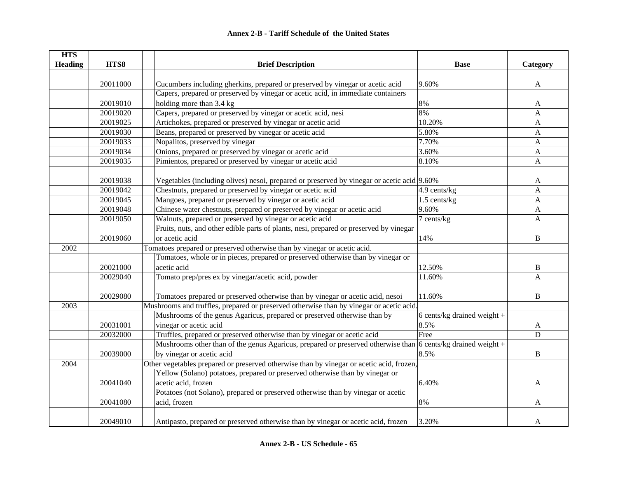| <b>HTS</b>     |          |                                                                                                                                   |                               |              |
|----------------|----------|-----------------------------------------------------------------------------------------------------------------------------------|-------------------------------|--------------|
| <b>Heading</b> | HTS8     | <b>Brief Description</b>                                                                                                          | <b>Base</b>                   | Category     |
|                |          |                                                                                                                                   |                               |              |
|                | 20011000 | Cucumbers including gherkins, prepared or preserved by vinegar or acetic acid                                                     | 9.60%                         | $\mathbf{A}$ |
|                |          | Capers, prepared or preserved by vinegar or acetic acid, in immediate containers                                                  |                               |              |
|                | 20019010 | holding more than 3.4 kg                                                                                                          | 8%                            | A            |
|                | 20019020 | Capers, prepared or preserved by vinegar or acetic acid, nesi                                                                     | 8%                            | A            |
|                | 20019025 | Artichokes, prepared or preserved by vinegar or acetic acid                                                                       | 10.20%                        | A            |
|                | 20019030 | Beans, prepared or preserved by vinegar or acetic acid                                                                            | 5.80%                         | $\mathbf{A}$ |
|                | 20019033 | Nopalitos, preserved by vinegar                                                                                                   | 7.70%                         | $\mathbf{A}$ |
|                | 20019034 | Onions, prepared or preserved by vinegar or acetic acid                                                                           | 3.60%                         | $\mathbf{A}$ |
|                | 20019035 | Pimientos, prepared or preserved by vinegar or acetic acid                                                                        | 8.10%                         | $\mathbf{A}$ |
|                |          |                                                                                                                                   |                               |              |
|                | 20019038 | Vegetables (including olives) nesoi, prepared or preserved by vinegar or acetic acid 9.60%                                        |                               | A            |
|                | 20019042 | Chestnuts, prepared or preserved by vinegar or acetic acid                                                                        | 4.9 cents/kg                  | $\mathbf{A}$ |
|                | 20019045 | Mangoes, prepared or preserved by vinegar or acetic acid                                                                          | 1.5 cents/kg                  | A            |
|                | 20019048 | Chinese water chestnuts, prepared or preserved by vinegar or acetic acid                                                          | 9.60%                         | $\mathbf{A}$ |
|                | 20019050 | Walnuts, prepared or preserved by vinegar or acetic acid                                                                          | 7 cents/kg                    | A            |
|                |          | Fruits, nuts, and other edible parts of plants, nesi, prepared or preserved by vinegar                                            |                               |              |
|                | 20019060 | or acetic acid                                                                                                                    | 14%                           | B            |
| 2002           |          | Tomatoes prepared or preserved otherwise than by vinegar or acetic acid.                                                          |                               |              |
|                |          | Tomatoes, whole or in pieces, prepared or preserved otherwise than by vinegar or                                                  |                               |              |
|                | 20021000 | acetic acid                                                                                                                       | 12.50%                        | B            |
|                | 20029040 | Tomato prep/pres ex by vinegar/acetic acid, powder                                                                                | 11.60%                        | A            |
|                |          |                                                                                                                                   |                               |              |
|                | 20029080 | Tomatoes prepared or preserved otherwise than by vinegar or acetic acid, nesoi                                                    | 11.60%                        | $\, {\bf B}$ |
| 2003           |          | Mushrooms and truffles, prepared or preserved otherwise than by vinegar or acetic acid.                                           |                               |              |
|                |          | Mushrooms of the genus Agaricus, prepared or preserved otherwise than by                                                          | 6 cents/kg drained weight $+$ |              |
|                | 20031001 | vinegar or acetic acid                                                                                                            | 8.5%                          | A            |
|                | 20032000 | Truffles, prepared or preserved otherwise than by vinegar or acetic acid                                                          | Free                          | D            |
|                |          | Mushrooms other than of the genus Agaricus, prepared or preserved otherwise than $\overline{6 \text{ cents/kg}}$ drained weight + |                               |              |
|                | 20039000 | by vinegar or acetic acid                                                                                                         | 8.5%                          | B            |
| 2004           |          | Other vegetables prepared or preserved otherwise than by vinegar or acetic acid, frozen,                                          |                               |              |
|                |          | Yellow (Solano) potatoes, prepared or preserved otherwise than by vinegar or                                                      |                               |              |
|                | 20041040 | acetic acid, frozen                                                                                                               | 6.40%                         | A            |
|                |          | Potatoes (not Solano), prepared or preserved otherwise than by vinegar or acetic                                                  |                               |              |
|                | 20041080 | acid, frozen                                                                                                                      | 8%                            | A            |
|                |          |                                                                                                                                   |                               |              |
|                | 20049010 | Antipasto, prepared or preserved otherwise than by vinegar or acetic acid, frozen                                                 | 3.20%                         | A            |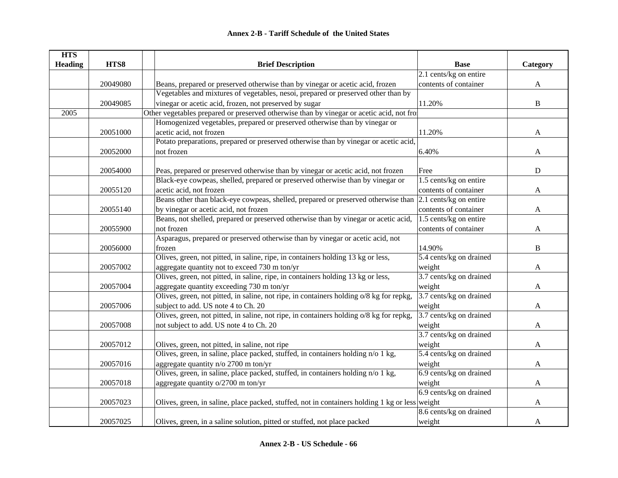| <b>HTS</b>     |          |                                                                                                          |                         |              |
|----------------|----------|----------------------------------------------------------------------------------------------------------|-------------------------|--------------|
| <b>Heading</b> | HTS8     | <b>Brief Description</b>                                                                                 | <b>Base</b>             | Category     |
|                |          |                                                                                                          | 2.1 cents/kg on entire  |              |
|                | 20049080 | Beans, prepared or preserved otherwise than by vinegar or acetic acid, frozen                            | contents of container   | $\mathbf{A}$ |
|                |          | Vegetables and mixtures of vegetables, nesoi, prepared or preserved other than by                        |                         |              |
|                | 20049085 | vinegar or acetic acid, frozen, not preserved by sugar                                                   | 11.20%                  | $\, {\bf B}$ |
| 2005           |          | Other vegetables prepared or preserved otherwise than by vinegar or acetic acid, not from                |                         |              |
|                |          | Homogenized vegetables, prepared or preserved otherwise than by vinegar or                               |                         |              |
|                | 20051000 | acetic acid, not frozen                                                                                  | 11.20%                  | A            |
|                |          | Potato preparations, prepared or preserved otherwise than by vinegar or acetic acid,                     |                         |              |
|                | 20052000 | not frozen                                                                                               | 6.40%                   | A            |
|                |          |                                                                                                          |                         |              |
|                | 20054000 | Peas, prepared or preserved otherwise than by vinegar or acetic acid, not frozen                         | Free                    | ${\bf D}$    |
|                |          | Black-eye cowpeas, shelled, prepared or preserved otherwise than by vinegar or                           | 1.5 cents/kg on entire  |              |
|                | 20055120 | acetic acid, not frozen                                                                                  | contents of container   | A            |
|                |          | Beans other than black-eye cowpeas, shelled, prepared or preserved otherwise than 2.1 cents/kg on entire |                         |              |
|                | 20055140 | by vinegar or acetic acid, not frozen                                                                    | contents of container   | A            |
|                |          | Beans, not shelled, prepared or preserved otherwise than by vinegar or acetic acid,                      | 1.5 cents/kg on entire  |              |
|                | 20055900 | not frozen                                                                                               | contents of container   | A            |
|                |          | Asparagus, prepared or preserved otherwise than by vinegar or acetic acid, not                           |                         |              |
|                | 20056000 | frozen                                                                                                   | 14.90%                  | B            |
|                |          | Olives, green, not pitted, in saline, ripe, in containers holding 13 kg or less,                         | 5.4 cents/kg on drained |              |
|                | 20057002 | aggregate quantity not to exceed 730 m ton/yr                                                            | weight                  | A            |
|                |          | Olives, green, not pitted, in saline, ripe, in containers holding 13 kg or less,                         | 3.7 cents/kg on drained |              |
|                | 20057004 | aggregate quantity exceeding 730 m ton/yr                                                                | weight                  | A            |
|                |          | Olives, green, not pitted, in saline, not ripe, in containers holding o/8 kg for repkg,                  | 3.7 cents/kg on drained |              |
|                | 20057006 | subject to add. US note 4 to Ch. 20                                                                      | weight                  | A            |
|                |          | Olives, green, not pitted, in saline, not ripe, in containers holding o/8 kg for repkg,                  | 3.7 cents/kg on drained |              |
|                | 20057008 | not subject to add. US note 4 to Ch. 20                                                                  | weight                  | A            |
|                |          |                                                                                                          | 3.7 cents/kg on drained |              |
|                | 20057012 | Olives, green, not pitted, in saline, not ripe                                                           | weight                  | A            |
|                |          | Olives, green, in saline, place packed, stuffed, in containers holding n/o 1 kg,                         | 5.4 cents/kg on drained |              |
|                | 20057016 | aggregate quantity n/o 2700 m ton/yr                                                                     | weight                  | A            |
|                |          | Olives, green, in saline, place packed, stuffed, in containers holding n/o 1 kg,                         | 6.9 cents/kg on drained |              |
|                | 20057018 | aggregate quantity o/2700 m ton/yr                                                                       | weight                  | A            |
|                |          |                                                                                                          | 6.9 cents/kg on drained |              |
|                | 20057023 | Olives, green, in saline, place packed, stuffed, not in containers holding 1 kg or less weight           |                         | A            |
|                |          |                                                                                                          | 8.6 cents/kg on drained |              |
|                | 20057025 | Olives, green, in a saline solution, pitted or stuffed, not place packed                                 | weight                  | A            |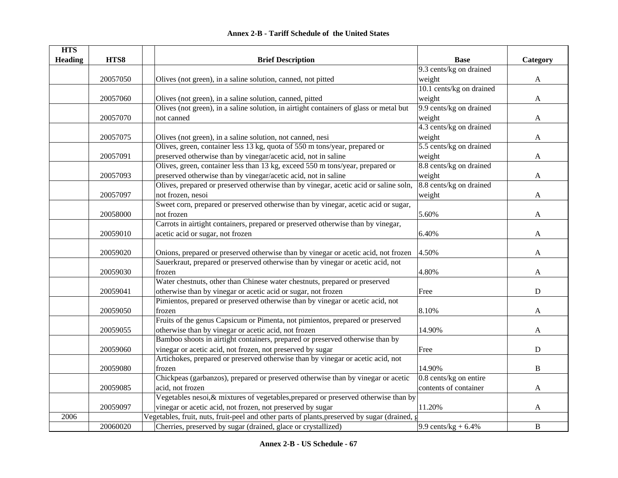|  | <b>Annex 2-B - Tariff Schedule of the United States</b> |  |
|--|---------------------------------------------------------|--|
|--|---------------------------------------------------------|--|

| <b>HTS</b>     |          |                                                                                               |                          |              |
|----------------|----------|-----------------------------------------------------------------------------------------------|--------------------------|--------------|
| <b>Heading</b> | HTS8     | <b>Brief Description</b>                                                                      | <b>Base</b>              | Category     |
|                |          |                                                                                               | 9.3 cents/kg on drained  |              |
|                | 20057050 | Olives (not green), in a saline solution, canned, not pitted                                  | weight                   | A            |
|                |          |                                                                                               | 10.1 cents/kg on drained |              |
|                | 20057060 | Olives (not green), in a saline solution, canned, pitted                                      | weight                   | $\mathbf{A}$ |
|                |          | Olives (not green), in a saline solution, in airtight containers of glass or metal but        | 9.9 cents/kg on drained  |              |
|                | 20057070 | not canned                                                                                    | weight                   | A            |
|                |          |                                                                                               | 4.3 cents/kg on drained  |              |
|                | 20057075 | Olives (not green), in a saline solution, not canned, nesi                                    | weight                   | A            |
|                |          | Olives, green, container less 13 kg, quota of 550 m tons/year, prepared or                    | 5.5 cents/kg on drained  |              |
|                | 20057091 | preserved otherwise than by vinegar/acetic acid, not in saline                                | weight                   | A            |
|                |          | Olives, green, container less than 13 kg, exceed 550 m tons/year, prepared or                 | 8.8 cents/kg on drained  |              |
|                | 20057093 | preserved otherwise than by vinegar/acetic acid, not in saline                                | weight                   | A            |
|                |          | Olives, prepared or preserved otherwise than by vinegar, acetic acid or saline soln,          | 8.8 cents/kg on drained  |              |
|                | 20057097 | not frozen, nesoi                                                                             | weight                   | A            |
|                |          | Sweet corn, prepared or preserved otherwise than by vinegar, acetic acid or sugar,            |                          |              |
|                | 20058000 | not frozen                                                                                    | 5.60%                    | A            |
|                |          | Carrots in airtight containers, prepared or preserved otherwise than by vinegar,              |                          |              |
|                | 20059010 | acetic acid or sugar, not frozen                                                              | 6.40%                    | A            |
|                |          |                                                                                               |                          |              |
|                | 20059020 | Onions, prepared or preserved otherwise than by vinegar or acetic acid, not frozen            | 4.50%                    | A            |
|                |          | Sauerkraut, prepared or preserved otherwise than by vinegar or acetic acid, not               |                          |              |
|                | 20059030 | frozen                                                                                        | 4.80%                    | A            |
|                |          | Water chestnuts, other than Chinese water chestnuts, prepared or preserved                    |                          |              |
|                | 20059041 | otherwise than by vinegar or acetic acid or sugar, not frozen                                 | Free                     | D            |
|                |          | Pimientos, prepared or preserved otherwise than by vinegar or acetic acid, not                |                          |              |
|                | 20059050 | frozen                                                                                        | 8.10%                    | A            |
|                |          | Fruits of the genus Capsicum or Pimenta, not pimientos, prepared or preserved                 |                          |              |
|                | 20059055 | otherwise than by vinegar or acetic acid, not frozen                                          | 14.90%                   | A            |
|                |          | Bamboo shoots in airtight containers, prepared or preserved otherwise than by                 |                          |              |
|                | 20059060 | vinegar or acetic acid, not frozen, not preserved by sugar                                    | Free                     | $\mathbf D$  |
|                |          | Artichokes, prepared or preserved otherwise than by vinegar or acetic acid, not               |                          |              |
|                | 20059080 | frozen                                                                                        | 14.90%                   | $\mathbf{B}$ |
|                |          | Chickpeas (garbanzos), prepared or preserved otherwise than by vinegar or acetic              | 0.8 cents/kg on entire   |              |
|                | 20059085 | acid, not frozen                                                                              | contents of container    | A            |
|                |          | Vegetables nesoi, & mixtures of vegetables, prepared or preserved otherwise than by           |                          |              |
|                | 20059097 | vinegar or acetic acid, not frozen, not preserved by sugar                                    | 11.20%                   | A            |
| 2006           |          | Vegetables, fruit, nuts, fruit-peel and other parts of plants, preserved by sugar (drained, g |                          |              |
|                | 20060020 | Cherries, preserved by sugar (drained, glace or crystallized)                                 | 9.9 cents/kg + $6.4\%$   | $\, {\bf B}$ |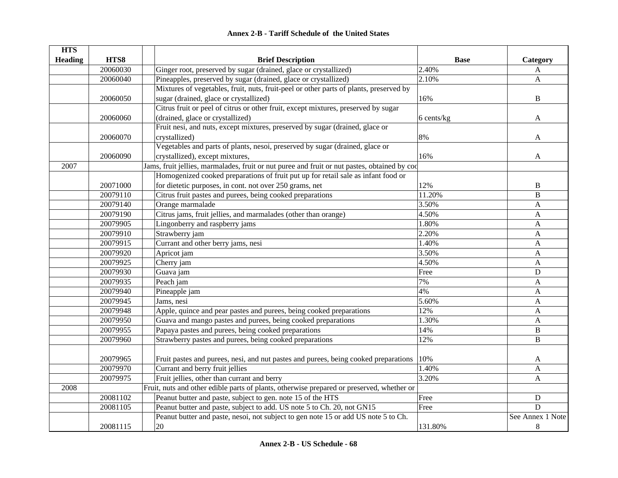| <b>HTS</b>     |          |                                                                                              |                 |                  |
|----------------|----------|----------------------------------------------------------------------------------------------|-----------------|------------------|
| <b>Heading</b> | HTS8     | <b>Brief Description</b>                                                                     | <b>Base</b>     | Category         |
|                | 20060030 | Ginger root, preserved by sugar (drained, glace or crystallized)                             | 2.40%           | $\mathbf{A}$     |
|                | 20060040 | Pineapples, preserved by sugar (drained, glace or crystallized)                              | 2.10%           | A                |
|                |          | Mixtures of vegetables, fruit, nuts, fruit-peel or other parts of plants, preserved by       |                 |                  |
|                | 20060050 | sugar (drained, glace or crystallized)                                                       | 16%             | B                |
|                |          | Citrus fruit or peel of citrus or other fruit, except mixtures, preserved by sugar           |                 |                  |
|                | 20060060 | (drained, glace or crystallized)                                                             | $6$ cents/ $kg$ | A                |
|                |          | Fruit nesi, and nuts, except mixtures, preserved by sugar (drained, glace or                 |                 |                  |
|                | 20060070 | crystallized)                                                                                | 8%              | A                |
|                |          | Vegetables and parts of plants, nesoi, preserved by sugar (drained, glace or                 |                 |                  |
|                | 20060090 | crystallized), except mixtures,                                                              | 16%             | A                |
| 2007           |          | Jams, fruit jellies, marmalades, fruit or nut puree and fruit or nut pastes, obtained by cod |                 |                  |
|                |          | Homogenized cooked preparations of fruit put up for retail sale as infant food or            |                 |                  |
|                | 20071000 | for dietetic purposes, in cont. not over 250 grams, net                                      | 12%             | B                |
|                | 20079110 | Citrus fruit pastes and purees, being cooked preparations                                    | 11.20%          | $\, {\bf B}$     |
|                | 20079140 | Orange marmalade                                                                             | 3.50%           | A                |
|                | 20079190 | Citrus jams, fruit jellies, and marmalades (other than orange)                               | 4.50%           | A                |
|                | 20079905 | Lingonberry and raspberry jams                                                               | 1.80%           | A                |
|                | 20079910 | Strawberry jam                                                                               | 2.20%           | A                |
|                | 20079915 | Currant and other berry jams, nesi                                                           | 1.40%           | A                |
|                | 20079920 | Apricot jam                                                                                  | 3.50%           | A                |
|                | 20079925 | Cherry jam                                                                                   | 4.50%           | A                |
|                | 20079930 | Guava jam                                                                                    | Free            | $\mathbf D$      |
|                | 20079935 | Peach jam                                                                                    | 7%              | A                |
|                | 20079940 | Pineapple jam                                                                                | 4%              | A                |
|                | 20079945 | Jams, nesi                                                                                   | 5.60%           | A                |
|                | 20079948 | Apple, quince and pear pastes and purees, being cooked preparations                          | 12%             | A                |
|                | 20079950 | Guava and mango pastes and purees, being cooked preparations                                 | 1.30%           | A                |
|                | 20079955 | Papaya pastes and purees, being cooked preparations                                          | 14%             | B                |
|                | 20079960 | Strawberry pastes and purees, being cooked preparations                                      | 12%             | $\, {\bf B}$     |
|                |          |                                                                                              |                 |                  |
|                | 20079965 | Fruit pastes and purees, nesi, and nut pastes and purees, being cooked preparations          | 10%             | A                |
|                | 20079970 | Currant and berry fruit jellies                                                              | 1.40%           | A                |
|                | 20079975 | Fruit jellies, other than currant and berry                                                  | 3.20%           | A                |
| 2008           |          | Fruit, nuts and other edible parts of plants, otherwise prepared or preserved, whether or    |                 |                  |
|                | 20081102 | Peanut butter and paste, subject to gen. note 15 of the HTS                                  | Free            | ${\bf D}$        |
|                | 20081105 | Peanut butter and paste, subject to add. US note 5 to Ch. 20, not GN15                       | Free            | $\mathbf D$      |
|                |          | Peanut butter and paste, nesoi, not subject to gen note 15 or add US note 5 to Ch.           |                 | See Annex 1 Note |
|                | 20081115 | $20\,$                                                                                       | 131.80%         | $8\phantom{.0}$  |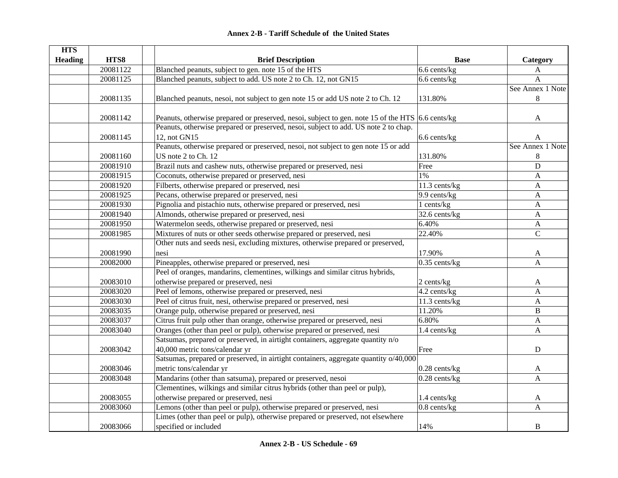| <b>HTS</b>     |          |                                                                                                  |                   |                           |
|----------------|----------|--------------------------------------------------------------------------------------------------|-------------------|---------------------------|
| <b>Heading</b> | HTS8     | <b>Brief Description</b>                                                                         | <b>Base</b>       | Category                  |
|                | 20081122 | Blanched peanuts, subject to gen. note 15 of the HTS                                             | 6.6 cents/kg      | A                         |
|                | 20081125 | Blanched peanuts, subject to add. US note 2 to Ch. 12, not GN15                                  | 6.6 cents/kg      | A                         |
|                |          |                                                                                                  |                   | See Annex 1 Note          |
|                | 20081135 | Blanched peanuts, nesoi, not subject to gen note 15 or add US note 2 to Ch. 12                   | 131.80%           | $\,8\,$                   |
|                | 20081142 | Peanuts, otherwise prepared or preserved, nesoi, subject to gen. note 15 of the HTS 6.6 cents/kg |                   | A                         |
|                |          | Peanuts, otherwise prepared or preserved, nesoi, subject to add. US note 2 to chap.              |                   |                           |
|                | 20081145 | 12, not GN15                                                                                     | 6.6 cents/kg      | A                         |
|                |          | Peanuts, otherwise prepared or preserved, nesoi, not subject to gen note 15 or add               |                   | See Annex 1 Note          |
|                | 20081160 | US note 2 to Ch. 12                                                                              | 131.80%           | 8                         |
|                | 20081910 | Brazil nuts and cashew nuts, otherwise prepared or preserved, nesi                               | Free              | $\mathbf D$               |
|                | 20081915 | Coconuts, otherwise prepared or preserved, nesi                                                  | $1\%$             | A                         |
|                | 20081920 | Filberts, otherwise prepared or preserved, nesi                                                  | 11.3 cents/kg     | $\mathbf{A}$              |
|                | 20081925 | Pecans, otherwise prepared or preserved, nesi                                                    | 9.9 cents/kg      | $\mathbf{A}$              |
|                | 20081930 | Pignolia and pistachio nuts, otherwise prepared or preserved, nesi                               | 1 cents/kg        | $\boldsymbol{\mathsf{A}}$ |
|                | 20081940 | Almonds, otherwise prepared or preserved, nesi                                                   | 32.6 cents/kg     | $\boldsymbol{\mathsf{A}}$ |
|                | 20081950 | Watermelon seeds, otherwise prepared or preserved, nesi                                          | 6.40%             | $\boldsymbol{A}$          |
|                | 20081985 | Mixtures of nuts or other seeds otherwise prepared or preserved, nesi                            | 22.40%            | $\mathsf{C}$              |
|                |          | Other nuts and seeds nesi, excluding mixtures, otherwise prepared or preserved,                  |                   |                           |
|                | 20081990 | nesi                                                                                             | 17.90%            | A                         |
|                | 20082000 | Pineapples, otherwise prepared or preserved, nesi                                                | $0.35$ cents/kg   | A                         |
|                |          | Peel of oranges, mandarins, clementines, wilkings and similar citrus hybrids,                    |                   |                           |
|                | 20083010 | otherwise prepared or preserved, nesi                                                            | $2$ cents/ $kg$   | A                         |
|                | 20083020 | Peel of lemons, otherwise prepared or preserved, nesi                                            | 4.2 cents/kg      | $\mathbf{A}$              |
|                | 20083030 | Peel of citrus fruit, nesi, otherwise prepared or preserved, nesi                                | 11.3 cents/kg     | A                         |
|                | 20083035 | Orange pulp, otherwise prepared or preserved, nesi                                               | 11.20%            | B                         |
|                | 20083037 | Citrus fruit pulp other than orange, otherwise prepared or preserved, nesi                       | 6.80%             | A                         |
|                | 20083040 | Oranges (other than peel or pulp), otherwise prepared or preserved, nesi                         | 1.4 cents/kg      | A                         |
|                |          | Satsumas, prepared or preserved, in airtight containers, aggregate quantity n/o                  |                   |                           |
|                | 20083042 | 40,000 metric tons/calendar yr                                                                   | Free              | $\mathbf D$               |
|                |          | Satsumas, prepared or preserved, in airtight containers, aggregate quantity o/40,000             |                   |                           |
|                | 20083046 | metric tons/calendar yr                                                                          | $0.28$ cents/kg   | A                         |
|                | 20083048 | Mandarins (other than satsuma), prepared or preserved, nesoi                                     | $0.28$ cents/kg   | A                         |
|                |          | Clementines, wilkings and similar citrus hybrids (other than peel or pulp),                      |                   |                           |
|                | 20083055 | otherwise prepared or preserved, nesi                                                            | 1.4 cents/kg      | A                         |
|                | 20083060 | Lemons (other than peel or pulp), otherwise prepared or preserved, nesi                          | $0.8$ cents/ $kg$ | A                         |
|                |          | Limes (other than peel or pulp), otherwise prepared or preserved, not elsewhere                  |                   |                           |
|                | 20083066 | specified or included                                                                            | 14%               | $\, {\bf B}$              |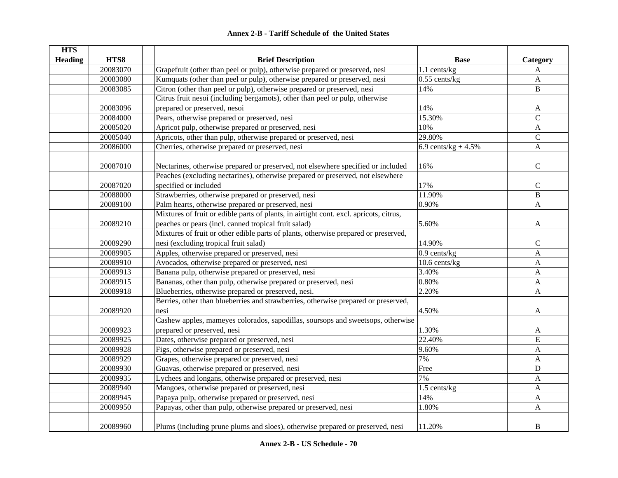|  | <b>Annex 2-B - Tariff Schedule of the United States</b> |  |
|--|---------------------------------------------------------|--|
|--|---------------------------------------------------------|--|

| <b>HTS</b>     |          |                                                                                                                                                                    |                       |                |
|----------------|----------|--------------------------------------------------------------------------------------------------------------------------------------------------------------------|-----------------------|----------------|
| <b>Heading</b> | HTS8     | <b>Brief Description</b>                                                                                                                                           | <b>Base</b>           | Category       |
|                | 20083070 | Grapefruit (other than peel or pulp), otherwise prepared or preserved, nesi                                                                                        | 1.1 cents/kg          | A              |
|                | 20083080 | Kumquats (other than peel or pulp), otherwise prepared or preserved, nesi                                                                                          | $0.55$ cents/kg       | A              |
|                | 20083085 | Citron (other than peel or pulp), otherwise prepared or preserved, nesi                                                                                            | 14%                   | $\mathbf B$    |
|                |          | Citrus fruit nesoi (including bergamots), other than peel or pulp, otherwise                                                                                       |                       |                |
|                | 20083096 | prepared or preserved, nesoi                                                                                                                                       | 14%                   | A              |
|                | 20084000 | Pears, otherwise prepared or preserved, nesi                                                                                                                       | 15.30%                | $\mathcal{C}$  |
|                | 20085020 | Apricot pulp, otherwise prepared or preserved, nesi                                                                                                                | 10%                   | $\mathbf{A}$   |
|                | 20085040 | Apricots, other than pulp, otherwise prepared or preserved, nesi                                                                                                   | 29.80%                | $\mathcal{C}$  |
|                | 20086000 | Cherries, otherwise prepared or preserved, nesi                                                                                                                    | 6.9 cents/kg + $4.5%$ | $\mathbf{A}$   |
|                | 20087010 | Nectarines, otherwise prepared or preserved, not elsewhere specified or included<br>Peaches (excluding nectarines), otherwise prepared or preserved, not elsewhere | 16%                   | $\mathbf C$    |
|                | 20087020 | specified or included                                                                                                                                              | 17%                   | $\mathbf C$    |
|                | 20088000 |                                                                                                                                                                    | 11.90%                | $\overline{B}$ |
|                | 20089100 | Strawberries, otherwise prepared or preserved, nesi                                                                                                                | 0.90%                 | $\mathbf{A}$   |
|                |          | Palm hearts, otherwise prepared or preserved, nesi                                                                                                                 |                       |                |
|                |          | Mixtures of fruit or edible parts of plants, in airtight cont. excl. apricots, citrus,                                                                             |                       |                |
|                | 20089210 | peaches or pears (incl. canned tropical fruit salad)                                                                                                               | 5.60%                 | $\mathbf{A}$   |
|                |          | Mixtures of fruit or other edible parts of plants, otherwise prepared or preserved,                                                                                |                       |                |
|                | 20089290 | nesi (excluding tropical fruit salad)                                                                                                                              | 14.90%                | $\mathbf C$    |
|                | 20089905 | Apples, otherwise prepared or preserved, nesi                                                                                                                      | $0.9$ cents/kg        | A              |
|                | 20089910 | Avocados, otherwise prepared or preserved, nesi                                                                                                                    | $10.6$ cents/kg       | A              |
|                | 20089913 | Banana pulp, otherwise prepared or preserved, nesi                                                                                                                 | 3.40%                 | A              |
|                | 20089915 | Bananas, other than pulp, otherwise prepared or preserved, nesi                                                                                                    | 0.80%                 | A              |
|                | 20089918 | Blueberries, otherwise prepared or preserved, nesi.                                                                                                                | 2.20%                 | $\mathbf{A}$   |
|                |          | Berries, other than blueberries and strawberries, otherwise prepared or preserved,                                                                                 |                       |                |
|                | 20089920 | nesi                                                                                                                                                               | 4.50%                 | A              |
|                |          | Cashew apples, mameyes colorados, sapodillas, soursops and sweetsops, otherwise                                                                                    |                       |                |
|                | 20089923 | prepared or preserved, nesi                                                                                                                                        | 1.30%                 | A              |
|                | 20089925 | Dates, otherwise prepared or preserved, nesi                                                                                                                       | 22.40%                | E              |
|                | 20089928 | Figs, otherwise prepared or preserved, nesi                                                                                                                        | 9.60%                 | $\mathbf{A}$   |
|                | 20089929 | Grapes, otherwise prepared or preserved, nesi                                                                                                                      | 7%                    | A              |
|                | 20089930 | Guavas, otherwise prepared or preserved, nesi                                                                                                                      | Free                  | $\mathbf D$    |
|                | 20089935 | Lychees and longans, otherwise prepared or preserved, nesi                                                                                                         | 7%                    | $\mathbf{A}$   |
|                | 20089940 | Mangoes, otherwise prepared or preserved, nesi                                                                                                                     | 1.5 cents/kg          | $\mathbf{A}$   |
|                | 20089945 | Papaya pulp, otherwise prepared or preserved, nesi                                                                                                                 | 14%                   | $\mathbf{A}$   |
|                | 20089950 | Papayas, other than pulp, otherwise prepared or preserved, nesi                                                                                                    | 1.80%                 | A              |
|                | 20089960 | Plums (including prune plums and sloes), otherwise prepared or preserved, nesi                                                                                     | 11.20%                | B              |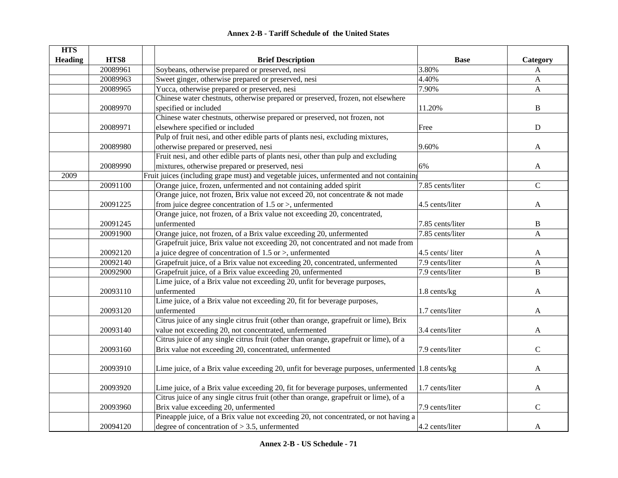| Annex 2-B - Tariff Schedule of the United States |  |
|--------------------------------------------------|--|
|--------------------------------------------------|--|

| <b>HTS</b>     |          |                                                                                                 |                  |                           |
|----------------|----------|-------------------------------------------------------------------------------------------------|------------------|---------------------------|
| <b>Heading</b> | HTS8     | <b>Brief Description</b>                                                                        | <b>Base</b>      | Category                  |
|                | 20089961 | Soybeans, otherwise prepared or preserved, nesi                                                 | 3.80%            | A                         |
|                | 20089963 | Sweet ginger, otherwise prepared or preserved, nesi                                             | 4.40%            | $\mathbf{A}$              |
|                | 20089965 | Yucca, otherwise prepared or preserved, nesi                                                    | 7.90%            | $\boldsymbol{\mathsf{A}}$ |
|                |          | Chinese water chestnuts, otherwise prepared or preserved, frozen, not elsewhere                 |                  |                           |
|                | 20089970 | specified or included                                                                           | 11.20%           | $\bf{B}$                  |
|                |          | Chinese water chestnuts, otherwise prepared or preserved, not frozen, not                       |                  |                           |
|                | 20089971 | elsewhere specified or included                                                                 | Free             | ${\bf D}$                 |
|                |          | Pulp of fruit nesi, and other edible parts of plants nesi, excluding mixtures,                  |                  |                           |
|                | 20089980 | otherwise prepared or preserved, nesi                                                           | 9.60%            | A                         |
|                |          | Fruit nesi, and other edible parts of plants nesi, other than pulp and excluding                |                  |                           |
|                | 20089990 | mixtures, otherwise prepared or preserved, nesi                                                 | 6%               | A                         |
| 2009           |          | Fruit juices (including grape must) and vegetable juices, unfermented and not containing        |                  |                           |
|                | 20091100 | Orange juice, frozen, unfermented and not containing added spirit                               | 7.85 cents/liter | $\overline{C}$            |
|                |          | Orange juice, not frozen, Brix value not exceed 20, not concentrate & not made                  |                  |                           |
|                | 20091225 | from juice degree concentration of $1.5$ or $>$ , unfermented                                   | 4.5 cents/liter  | A                         |
|                |          | Orange juice, not frozen, of a Brix value not exceeding 20, concentrated,                       |                  |                           |
|                | 20091245 | unfermented                                                                                     | 7.85 cents/liter | $\, {\bf B}$              |
|                | 20091900 | Orange juice, not frozen, of a Brix value exceeding 20, unfermented                             | 7.85 cents/liter | A                         |
|                |          | Grapefruit juice, Brix value not exceeding 20, not concentrated and not made from               |                  |                           |
|                | 20092120 | a juice degree of concentration of $1.5$ or $>$ , unfermented                                   | 4.5 cents/liter  | A                         |
|                | 20092140 | Grapefruit juice, of a Brix value not exceeding 20, concentrated, unfermented                   | 7.9 cents/liter  | $\boldsymbol{\mathsf{A}}$ |
|                | 20092900 | Grapefruit juice, of a Brix value exceeding 20, unfermented                                     | 7.9 cents/liter  | $\, {\bf B}$              |
|                |          | Lime juice, of a Brix value not exceeding 20, unfit for beverage purposes,                      |                  |                           |
|                | 20093110 | unfermented                                                                                     | 1.8 cents/kg     | A                         |
|                |          | Lime juice, of a Brix value not exceeding 20, fit for beverage purposes,                        |                  |                           |
|                | 20093120 | unfermented                                                                                     | 1.7 cents/liter  | A                         |
|                |          | Citrus juice of any single citrus fruit (other than orange, grapefruit or lime), Brix           |                  |                           |
|                | 20093140 | value not exceeding 20, not concentrated, unfermented                                           | 3.4 cents/liter  | A                         |
|                |          | Citrus juice of any single citrus fruit (other than orange, grapefruit or lime), of a           |                  |                           |
|                | 20093160 | Brix value not exceeding 20, concentrated, unfermented                                          | 7.9 cents/liter  | $\mathbf C$               |
|                |          |                                                                                                 |                  |                           |
|                | 20093910 | Lime juice, of a Brix value exceeding 20, unfit for beverage purposes, unfermented 1.8 cents/kg |                  | A                         |
|                |          |                                                                                                 |                  |                           |
|                | 20093920 | Lime juice, of a Brix value exceeding 20, fit for beverage purposes, unfermented                | 1.7 cents/liter  | A                         |
|                |          | Citrus juice of any single citrus fruit (other than orange, grapefruit or lime), of a           |                  |                           |
|                | 20093960 | Brix value exceeding 20, unfermented                                                            | 7.9 cents/liter  | $\mathsf{C}$              |
|                |          | Pineapple juice, of a Brix value not exceeding 20, not concentrated, or not having a            |                  |                           |
|                |          | degree of concentration of $> 3.5$ , unfermented                                                | 4.2 cents/liter  |                           |
|                | 20094120 |                                                                                                 |                  | A                         |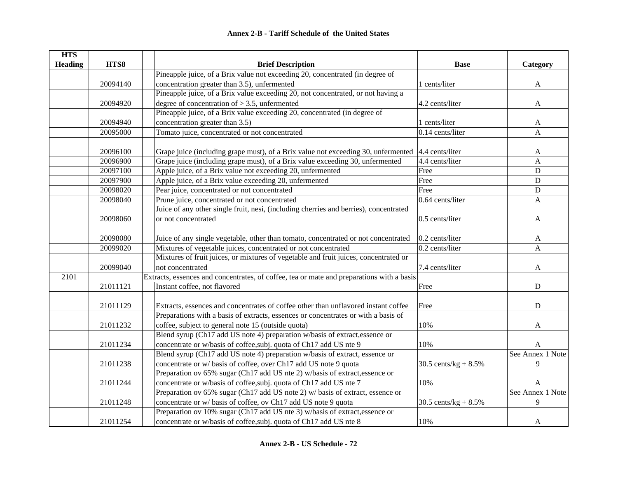| <b>HTS</b>     |          |                                                                                                   |                         |                  |
|----------------|----------|---------------------------------------------------------------------------------------------------|-------------------------|------------------|
| <b>Heading</b> | HTS8     | <b>Brief Description</b>                                                                          | <b>Base</b>             | Category         |
|                |          | Pineapple juice, of a Brix value not exceeding 20, concentrated (in degree of                     |                         |                  |
|                | 20094140 | concentration greater than 3.5), unfermented                                                      | 1 cents/liter           | A                |
|                |          | Pineapple juice, of a Brix value exceeding 20, not concentrated, or not having a                  |                         |                  |
|                | 20094920 | degree of concentration of $> 3.5$ , unfermented                                                  | 4.2 cents/liter         | A                |
|                |          | Pineapple juice, of a Brix value exceeding 20, concentrated (in degree of                         |                         |                  |
|                | 20094940 | concentration greater than 3.5)                                                                   | 1 cents/liter           | A                |
|                | 20095000 | Tomato juice, concentrated or not concentrated                                                    | $0.14$ cents/liter      | $\mathbf{A}$     |
|                |          |                                                                                                   |                         |                  |
|                | 20096100 | Grape juice (including grape must), of a Brix value not exceeding 30, unfermented 4.4 cents/liter |                         | A                |
|                | 20096900 | Grape juice (including grape must), of a Brix value exceeding 30, unfermented                     | 4.4 cents/liter         | $\mathbf{A}$     |
|                | 20097100 | Apple juice, of a Brix value not exceeding 20, unfermented                                        | Free                    | D                |
|                | 20097900 | Apple juice, of a Brix value exceeding 20, unfermented                                            | Free                    | D                |
|                | 20098020 | Pear juice, concentrated or not concentrated                                                      | Free                    | ${\bf D}$        |
|                | 20098040 | Prune juice, concentrated or not concentrated                                                     | $0.64$ cents/liter      | A                |
|                |          | Juice of any other single fruit, nesi, (including cherries and berries), concentrated             |                         |                  |
|                | 20098060 | or not concentrated                                                                               | 0.5 cents/liter         | A                |
|                |          |                                                                                                   |                         |                  |
|                | 20098080 | Juice of any single vegetable, other than tomato, concentrated or not concentrated                | $0.2$ cents/liter       | A                |
|                | 20099020 | Mixtures of vegetable juices, concentrated or not concentrated                                    | 0.2 cents/liter         | A                |
|                |          | Mixtures of fruit juices, or mixtures of vegetable and fruit juices, concentrated or              |                         |                  |
|                | 20099040 | not concentrated                                                                                  | 7.4 cents/liter         | A                |
| 2101           |          | Extracts, essences and concentrates, of coffee, tea or mate and preparations with a basis         |                         |                  |
|                | 21011121 | Instant coffee, not flavored                                                                      | Free                    | ${\bf D}$        |
|                |          |                                                                                                   |                         |                  |
|                | 21011129 | Extracts, essences and concentrates of coffee other than unflavored instant coffee                | Free                    | ${\bf D}$        |
|                |          | Preparations with a basis of extracts, essences or concentrates or with a basis of                |                         |                  |
|                | 21011232 | coffee, subject to general note 15 (outside quota)                                                | 10%                     | A                |
|                |          | Blend syrup (Ch17 add US note 4) preparation w/basis of extract, essence or                       |                         |                  |
|                | 21011234 | concentrate or w/basis of coffee, subj. quota of Ch17 add US nte 9                                | 10%                     | A                |
|                |          | Blend syrup (Ch17 add US note 4) preparation w/basis of extract, essence or                       |                         | See Annex 1 Note |
|                | 21011238 | concentrate or w/ basis of coffee, over Ch17 add US note 9 quota                                  | 30.5 cents/kg + $8.5\%$ | 9                |
|                |          | Preparation ov 65% sugar (Ch17 add US nte 2) w/basis of extract, essence or                       |                         |                  |
|                | 21011244 | concentrate or w/basis of coffee, subj. quota of Ch17 add US nte 7                                | 10%                     | A                |
|                |          | Preparation ov 65% sugar (Ch17 add US note 2) w/ basis of extract, essence or                     |                         | See Annex 1 Note |
|                | 21011248 | concentrate or w/ basis of coffee, ov Ch17 add US note 9 quota                                    | 30.5 cents/ $kg + 8.5%$ | 9                |
|                |          | Preparation ov 10% sugar (Ch17 add US nte 3) w/basis of extract, essence or                       |                         |                  |
|                | 21011254 | concentrate or w/basis of coffee, subj. quota of Ch17 add US nte 8                                | 10%                     | A                |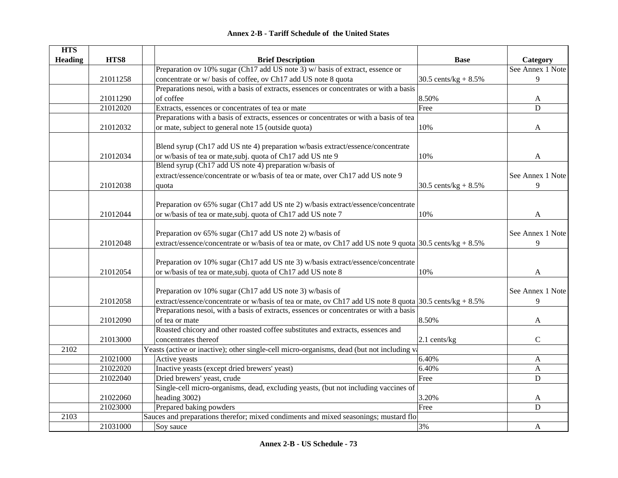| <b>HTS</b>     |          |                                                                                                         |                         |                  |
|----------------|----------|---------------------------------------------------------------------------------------------------------|-------------------------|------------------|
| <b>Heading</b> | HTS8     | <b>Brief Description</b>                                                                                | <b>Base</b>             | Category         |
|                |          | Preparation ov 10% sugar (Ch17 add US note 3) w/ basis of extract, essence or                           |                         | See Annex 1 Note |
|                | 21011258 | concentrate or w/ basis of coffee, ov Ch17 add US note 8 quota                                          | 30.5 cents/kg + $8.5\%$ | 9                |
|                |          | Preparations nesoi, with a basis of extracts, essences or concentrates or with a basis                  |                         |                  |
|                | 21011290 | of coffee                                                                                               | 8.50%                   | A                |
|                | 21012020 | Extracts, essences or concentrates of tea or mate                                                       | Free                    | D                |
|                |          | Preparations with a basis of extracts, essences or concentrates or with a basis of tea                  |                         |                  |
|                | 21012032 | or mate, subject to general note 15 (outside quota)                                                     | 10%                     | A                |
|                |          |                                                                                                         |                         |                  |
|                |          | Blend syrup (Ch17 add US nte 4) preparation w/basis extract/essence/concentrate                         |                         |                  |
|                | 21012034 | or w/basis of tea or mate, subj. quota of Ch17 add US nte 9                                             | 10%                     | A                |
|                |          | Blend syrup (Ch17 add US note 4) preparation w/basis of                                                 |                         |                  |
|                |          | extract/essence/concentrate or w/basis of tea or mate, over Ch17 add US note 9                          |                         | See Annex 1 Note |
|                | 21012038 | quota                                                                                                   | 30.5 cents/kg + $8.5\%$ | 9                |
|                |          |                                                                                                         |                         |                  |
|                |          | Preparation ov 65% sugar (Ch17 add US nte 2) w/basis extract/essence/concentrate                        |                         |                  |
|                | 21012044 | or w/basis of tea or mate, subj. quota of Ch17 add US note 7                                            | 10%                     | $\mathbf{A}$     |
|                |          |                                                                                                         |                         |                  |
|                |          | Preparation ov 65% sugar (Ch17 add US note 2) w/basis of                                                |                         | See Annex 1 Note |
|                | 21012048 | extract/essence/concentrate or w/basis of tea or mate, ov Ch17 add US note 9 quota 30.5 cents/kg + 8.5% |                         | 9                |
|                |          | Preparation ov 10% sugar (Ch17 add US nte 3) w/basis extract/essence/concentrate                        |                         |                  |
|                | 21012054 | or w/basis of tea or mate, subj. quota of Ch17 add US note 8                                            | 10%                     | A                |
|                |          |                                                                                                         |                         |                  |
|                |          | Preparation ov 10% sugar (Ch17 add US note 3) w/basis of                                                |                         | See Annex 1 Note |
|                | 21012058 | extract/essence/concentrate or w/basis of tea or mate, ov Ch17 add US note 8 quota 30.5 cents/kg + 8.5% |                         | 9                |
|                |          | Preparations nesoi, with a basis of extracts, essences or concentrates or with a basis                  |                         |                  |
|                | 21012090 | of tea or mate                                                                                          | 8.50%                   | A                |
|                |          | Roasted chicory and other roasted coffee substitutes and extracts, essences and                         |                         |                  |
|                | 21013000 | concentrates thereof                                                                                    | $2.1$ cents/kg          | $\mathsf{C}$     |
| 2102           |          | Yeasts (active or inactive); other single-cell micro-organisms, dead (but not including va              |                         |                  |
|                | 21021000 | Active yeasts                                                                                           | 6.40%                   | A                |
|                | 21022020 | Inactive yeasts (except dried brewers' yeast)                                                           | 6.40%                   | $\mathbf{A}$     |
|                | 21022040 | Dried brewers' yeast, crude                                                                             | Free                    | ${\bf D}$        |
|                |          | Single-cell micro-organisms, dead, excluding yeasts, (but not including vaccines of                     |                         |                  |
|                | 21022060 | heading 3002)                                                                                           | 3.20%                   | A                |
|                | 21023000 | Prepared baking powders                                                                                 | Free                    | D                |
| 2103           |          | Sauces and preparations therefor; mixed condiments and mixed seasonings; mustard flo                    |                         |                  |
|                | 21031000 | Soy sauce                                                                                               | 3%                      | A                |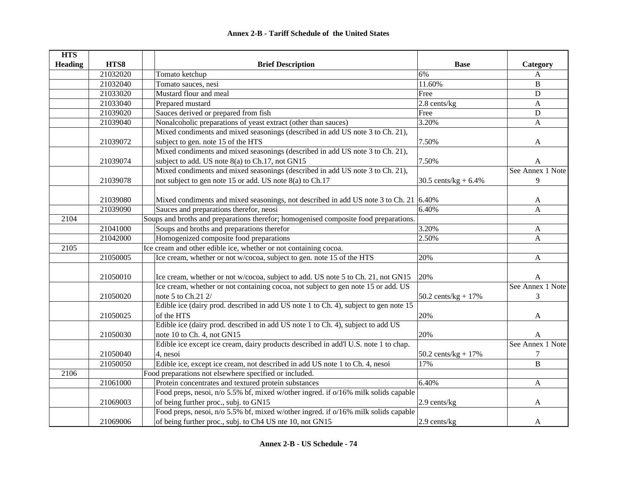| <b>HTS</b>     |          |                                                                                               |                                |                  |
|----------------|----------|-----------------------------------------------------------------------------------------------|--------------------------------|------------------|
| <b>Heading</b> | HTS8     | <b>Brief Description</b>                                                                      | <b>Base</b>                    | Category         |
|                | 21032020 | Tomato ketchup                                                                                | 6%                             | A                |
|                | 21032040 | Tomato sauces, nesi                                                                           | 11.60%                         | $\, {\bf B}$     |
|                | 21033020 | Mustard flour and meal                                                                        | Free                           | $\mathbf D$      |
|                | 21033040 | Prepared mustard                                                                              | 2.8 cents/kg                   | A                |
|                | 21039020 | Sauces derived or prepared from fish                                                          | Free                           | $\mathbf D$      |
|                | 21039040 | Nonalcoholic preparations of yeast extract (other than sauces)                                | 3.20%                          | $\mathbf{A}$     |
|                |          | Mixed condiments and mixed seasonings (described in add US note 3 to Ch. 21),                 |                                |                  |
|                | 21039072 | subject to gen. note 15 of the HTS                                                            | 7.50%                          | A                |
|                |          | Mixed condiments and mixed seasonings (described in add US note 3 to Ch. 21),                 |                                |                  |
|                | 21039074 | subject to add. US note 8(a) to Ch.17, not GN15                                               | 7.50%                          | A                |
|                |          | Mixed condiments and mixed seasonings (described in add US note 3 to Ch. 21),                 |                                | See Annex 1 Note |
|                | 21039078 | not subject to gen note 15 or add. US note 8(a) to Ch.17                                      | 30.5 cents/kg + $6.4\%$        | $\overline{9}$   |
|                |          |                                                                                               |                                |                  |
|                | 21039080 | Mixed condiments and mixed seasonings, not described in add US note 3 to Ch. 21 $\vert$ 6.40% |                                | A                |
|                | 21039090 | Sauces and preparations therefor, neosi                                                       | 6.40%                          | $\overline{A}$   |
| 2104           |          | Soups and broths and preparations therefor; homogenised composite food preparations.          |                                |                  |
|                | 21041000 | Soups and broths and preparations therefor                                                    | 3.20%                          | A                |
|                | 21042000 | Homogenized composite food preparations                                                       | 2.50%                          | $\mathbf{A}$     |
| 2105           |          | Ice cream and other edible ice, whether or not containing cocoa.                              |                                |                  |
|                | 21050005 | Ice cream, whether or not w/cocoa, subject to gen. note 15 of the HTS                         | 20%                            | $\mathbf{A}$     |
|                | 21050010 | Ice cream, whether or not w/cocoa, subject to add. US note 5 to Ch. 21, not GN15              | 20%                            | A                |
|                |          | Ice cream, whether or not containing cocoa, not subject to gen note 15 or add. US             |                                | See Annex 1 Note |
|                | 21050020 | note 5 to Ch.21 2/                                                                            | $50.2 \text{ cents/kg} + 17\%$ | 3                |
|                |          | Edible ice (dairy prod. described in add US note 1 to Ch. 4), subject to gen note 15          |                                |                  |
|                | 21050025 | of the HTS                                                                                    | 20%                            | A                |
|                |          | Edible ice (dairy prod. described in add US note 1 to Ch. 4), subject to add US               |                                |                  |
|                | 21050030 | note 10 to Ch. 4, not GN15                                                                    | 20%                            | A                |
|                |          | Edible ice except ice cream, dairy products described in add'l U.S. note 1 to chap.           |                                | See Annex 1 Note |
|                | 21050040 | 4, nesoi                                                                                      | $50.2$ cents/kg + 17%          | $\overline{7}$   |
|                | 21050050 | Edible ice, except ice cream, not described in add US note 1 to Ch. 4, nesoi                  | 17%                            | $\overline{B}$   |
| 2106           |          | Food preparations not elsewhere specified or included.                                        |                                |                  |
|                | 21061000 | Protein concentrates and textured protein substances                                          | 6.40%                          | $\mathbf{A}$     |
|                |          | Food preps, nesoi, n/o 5.5% bf, mixed w/other ingred. if o/16% milk solids capable            |                                |                  |
|                | 21069003 | of being further proc., subj. to GN15                                                         | 2.9 cents/kg                   | A                |
|                |          | Food preps, nesoi, n/o 5.5% bf, mixed w/other ingred. if o/16% milk solids capable            |                                |                  |
|                | 21069006 | of being further proc., subj. to Ch4 US nte 10, not GN15                                      | 2.9 cents/kg                   | A                |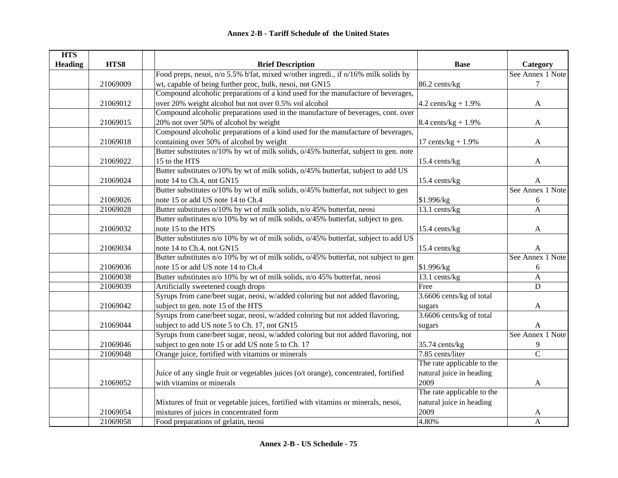| <b>HTS</b>     |          |                                                                                      |                                    |                  |
|----------------|----------|--------------------------------------------------------------------------------------|------------------------------------|------------------|
| <b>Heading</b> | HTS8     | <b>Brief Description</b>                                                             | <b>Base</b>                        | Category         |
|                |          | Food preps, nesoi, n/o 5.5% b'fat, mixed w/other ingredi., if o/16% milk solids by   |                                    | See Annex 1 Note |
|                | 21069009 | wt, capable of being further proc, bulk, nesoi, not GN15                             | 86.2 cents/kg                      | $\tau$           |
|                |          | Compound alcoholic preparations of a kind used for the manufacture of beverages,     |                                    |                  |
|                | 21069012 | over 20% weight alcohol but not over 0.5% vol alcohol                                | 4.2 cents/ $kg + 1.9%$             | $\mathbf{A}$     |
|                |          | Compound alcoholic preparations used in the manufacture of beverages, cont. over     |                                    |                  |
|                | 21069015 | 20% not over 50% of alcohol by weight                                                | $8.4 \text{ cents/kg} + 1.9\%$     | A                |
|                |          | Compound alcoholic preparations of a kind used for the manufacture of beverages,     |                                    |                  |
|                | 21069018 | containing over 50% of alcohol by weight                                             | 17 cents/ $kg + 1.9%$              | A                |
|                |          | Butter substitutes o/10% by wt of milk solids, o/45% butterfat, subject to gen. note |                                    |                  |
|                | 21069022 | 15 to the HTS                                                                        | 15.4 cents/kg                      | $\mathbf{A}$     |
|                |          | Butter substitutes o/10% by wt of milk solids, o/45% butterfat, subject to add US    |                                    |                  |
|                | 21069024 | note 14 to Ch.4, not GN15                                                            | 15.4 cents/kg                      | A                |
|                |          | Butter substitutes o/10% by wt of milk solids, o/45% butterfat, not subject to gen   |                                    | See Annex 1 Note |
|                | 21069026 | note 15 or add US note 14 to Ch.4                                                    | \$1.996/kg                         | 6                |
|                | 21069028 | Butter substitutes o/10% by wt of milk solids, n/o 45% butterfat, neosi              | 13.1 cents/kg                      | A                |
|                |          | Butter substitutes n/o 10% by wt of milk solids, o/45% butterfat, subject to gen.    |                                    |                  |
|                | 21069032 | note 15 to the HTS                                                                   | 15.4 cents/kg                      | A                |
|                |          | Butter substitutes n/o 10% by wt of milk solids, o/45% butterfat, subject to add US  |                                    |                  |
|                | 21069034 | note 14 to Ch.4, not GN15                                                            | 15.4 cents/kg                      | A                |
|                |          | Butter substitutes n/o 10% by wt of milk solids, o/45% butterfat, not subject to gen |                                    | See Annex 1 Note |
|                | 21069036 | note 15 or add US note 14 to Ch.4                                                    | \$1.996/kg                         | 6                |
|                | 21069038 | Butter substitutes n/o 10% by wt of milk solids, n/o 45% butterfat, neosi            | 13.1 cents/ $\overline{\text{kg}}$ | $\mathbf{A}$     |
|                | 21069039 | Artificially sweetened cough drops                                                   | Free                               | ${\bf D}$        |
|                |          | Syrups from cane/beet sugar, neosi, w/added coloring but not added flavoring,        | 3.6606 cents/kg of total           |                  |
|                | 21069042 | subject to gen. note 15 of the HTS                                                   | sugars                             | A                |
|                |          | Syrups from cane/beet sugar, neosi, w/added coloring but not added flavoring,        | 3.6606 cents/kg of total           |                  |
|                | 21069044 | subject to add US note 5 to Ch. 17, not GN15                                         | sugars                             | A                |
|                |          | Syrups from cane/beet sugar, neosi, w/added coloring but not added flavoring, not    |                                    | See Annex 1 Note |
|                | 21069046 | subject to gen note 15 or add US note 5 to Ch. 17                                    | $35.74$ cents/kg                   | 9                |
|                | 21069048 | Orange juice, fortified with vitamins or minerals                                    | 7.85 cents/liter                   | $\overline{C}$   |
|                |          |                                                                                      | The rate applicable to the         |                  |
|                |          | Juice of any single fruit or vegetables juices (o/t orange), concentrated, fortified | natural juice in heading           |                  |
|                | 21069052 | with vitamins or minerals                                                            | 2009                               | A                |
|                |          |                                                                                      | The rate applicable to the         |                  |
|                |          | Mixtures of fruit or vegetable juices, fortified with vitamins or minerals, nesoi,   | natural juice in heading           |                  |
|                | 21069054 | mixtures of juices in concentrated form                                              | 2009                               | A                |
|                | 21069058 | Food preparations of gelatin, neosi                                                  | 4.80%                              | $\mathbf{A}$     |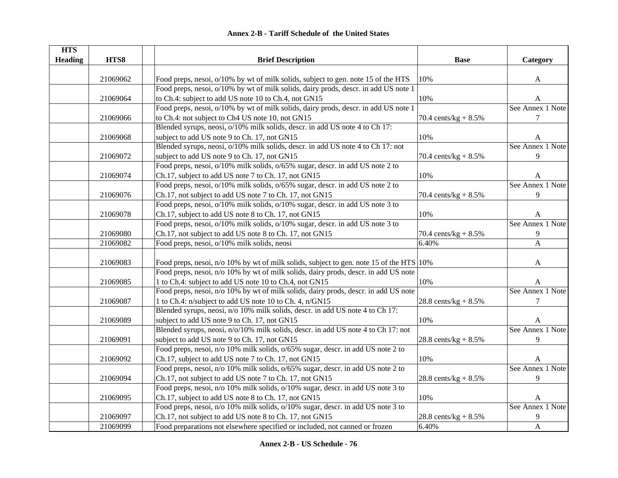| <b>HTS</b>     |          |                                                                                         |                         |                  |
|----------------|----------|-----------------------------------------------------------------------------------------|-------------------------|------------------|
| <b>Heading</b> | HTS8     | <b>Brief Description</b>                                                                | <b>Base</b>             | Category         |
|                |          |                                                                                         |                         |                  |
|                | 21069062 | Food preps, nesoi, o/10% by wt of milk solids, subject to gen. note 15 of the HTS       | 10%                     | A                |
|                |          | Food preps, nesoi, o/10% by wt of milk solids, dairy prods, descr. in add US note 1     |                         |                  |
|                | 21069064 | to Ch.4: subject to add US note 10 to Ch.4, not GN15                                    | 10%                     | A                |
|                |          | Food preps, nesoi, o/10% by wt of milk solids, dairy prods, descr. in add US note 1     |                         | See Annex 1 Note |
|                | 21069066 | to Ch.4: not subject to Ch4 US note 10, not GN15                                        | 70.4 cents/ $kg + 8.5%$ | 7                |
|                |          | Blended syrups, neosi, o/10% milk solids, descr. in add US note 4 to Ch 17:             |                         |                  |
|                | 21069068 | subject to add US note 9 to Ch. 17, not GN15                                            | 10%                     | A                |
|                |          | Blended syrups, neosi, o/10% milk solids, descr. in add US note 4 to Ch 17: not         |                         | See Annex 1 Note |
|                | 21069072 | subject to add US note 9 to Ch. 17, not GN15                                            | 70.4 cents/ $kg + 8.5%$ | 9                |
|                |          | Food preps, nesoi, o/10% milk solids, o/65% sugar, descr. in add US note 2 to           |                         |                  |
|                | 21069074 | Ch.17, subject to add US note 7 to Ch. 17, not GN15                                     | 10%                     | A                |
|                |          | Food preps, nesoi, o/10% milk solids, o/65% sugar, descr. in add US note 2 to           |                         | See Annex 1 Note |
|                | 21069076 | Ch.17, not subject to add US note 7 to Ch. 17, not GN15                                 | 70.4 cents/ $kg + 8.5%$ | 9                |
|                |          | Food preps, nesoi, o/10% milk solids, o/10% sugar, descr. in add US note 3 to           |                         |                  |
|                | 21069078 | Ch.17, subject to add US note 8 to Ch. 17, not GN15                                     | 10%                     | A                |
|                |          | Food preps, nesoi, o/10% milk solids, o/10% sugar, descr. in add US note 3 to           |                         | See Annex 1 Note |
|                | 21069080 | Ch.17, not subject to add US note 8 to Ch. 17, not GN15                                 | 70.4 cents/ $kg + 8.5%$ | 9                |
|                | 21069082 | Food preps, nesoi, o/10% milk solids, neosi                                             | 6.40%                   | $\overline{A}$   |
|                | 21069083 | Food preps, nesoi, n/o 10% by wt of milk solids, subject to gen. note 15 of the HTS 10% |                         | A                |
|                |          | Food preps, nesoi, n/o 10% by wt of milk solids, dairy prods, descr. in add US note     |                         |                  |
|                | 21069085 | 1 to Ch.4: subject to add US note 10 to Ch.4, not GN15                                  | 10%                     | A                |
|                |          | Food preps, nesoi, n/o 10% by wt of milk solids, dairy prods, descr. in add US note     |                         | See Annex 1 Note |
|                | 21069087 | 1 to Ch.4: n/subject to add US note 10 to Ch. 4, n/GN15                                 | 28.8 cents/ $kg + 8.5%$ | $\tau$           |
|                |          | Blended syrups, neosi, n/o 10% milk solids, descr. in add US note 4 to Ch 17:           |                         |                  |
|                | 21069089 | subject to add US note 9 to Ch. 17, not GN15                                            | 10%                     | A                |
|                |          | Blended syrups, neosi, n/o/10% milk solids, descr. in add US note 4 to Ch 17: not       |                         | See Annex 1 Note |
|                | 21069091 | subject to add US note 9 to Ch. 17, not GN15                                            | 28.8 cents/ $kg + 8.5%$ | 9                |
|                |          | Food preps, nesoi, n/o 10% milk solids, o/65% sugar, descr. in add US note 2 to         |                         |                  |
|                | 21069092 | Ch.17, subject to add US note 7 to Ch. 17, not GN15                                     | 10%                     | A                |
|                |          | Food preps, nesoi, n/o 10% milk solids, o/65% sugar, descr. in add US note 2 to         |                         | See Annex 1 Note |
|                | 21069094 | Ch.17, not subject to add US note 7 to Ch. 17, not GN15                                 | 28.8 cents/ $kg + 8.5%$ | 9                |
|                |          | Food preps, nesoi, n/o 10% milk solids, o/10% sugar, descr. in add US note 3 to         |                         |                  |
|                | 21069095 | Ch.17, subject to add US note 8 to Ch. 17, not GN15                                     | 10%                     | A                |
|                |          | Food preps, nesoi, n/o 10% milk solids, o/10% sugar, descr. in add US note 3 to         |                         | See Annex 1 Note |
|                | 21069097 | Ch.17, not subject to add US note 8 to Ch. 17, not GN15                                 | 28.8 cents/ $kg + 8.5%$ | 9                |
|                | 21069099 | Food preparations not elsewhere specified or included, not canned or frozen             | 6.40%                   | $\mathbf{A}$     |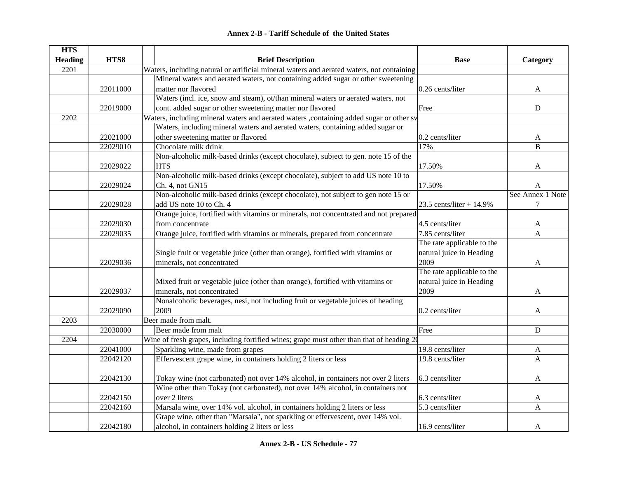|  | <b>Annex 2-B - Tariff Schedule of the United States</b> |  |
|--|---------------------------------------------------------|--|
|--|---------------------------------------------------------|--|

| <b>HTS</b>     |          |                                                                                             |                             |                  |
|----------------|----------|---------------------------------------------------------------------------------------------|-----------------------------|------------------|
| <b>Heading</b> | HTS8     | <b>Brief Description</b>                                                                    | <b>Base</b>                 | Category         |
| 2201           |          | Waters, including natural or artificial mineral waters and aerated waters, not containing   |                             |                  |
|                |          | Mineral waters and aerated waters, not containing added sugar or other sweetening           |                             |                  |
|                | 22011000 | matter nor flavored                                                                         | 0.26 cents/liter            | A                |
|                |          | Waters (incl. ice, snow and steam), ot/than mineral waters or aerated waters, not           |                             |                  |
|                | 22019000 | cont. added sugar or other sweetening matter nor flavored                                   | Free                        | ${\bf D}$        |
| 2202           |          | Waters, including mineral waters and aerated waters ,containing added sugar or other sy     |                             |                  |
|                |          | Waters, including mineral waters and aerated waters, containing added sugar or              |                             |                  |
|                | 22021000 | other sweetening matter or flavored                                                         | 0.2 cents/liter             | A                |
|                | 22029010 | Chocolate milk drink                                                                        | 17%                         | B                |
|                |          | Non-alcoholic milk-based drinks (except chocolate), subject to gen. note 15 of the          |                             |                  |
|                | 22029022 | <b>HTS</b>                                                                                  | 17.50%                      | A                |
|                |          | Non-alcoholic milk-based drinks (except chocolate), subject to add US note 10 to            |                             |                  |
|                | 22029024 | Ch. 4, not GN15                                                                             | 17.50%                      | A                |
|                |          | Non-alcoholic milk-based drinks (except chocolate), not subject to gen note 15 or           |                             | See Annex 1 Note |
|                | 22029028 | add US note 10 to Ch. 4                                                                     | 23.5 cents/liter + $14.9\%$ | $\tau$           |
|                |          | Orange juice, fortified with vitamins or minerals, not concentrated and not prepared        |                             |                  |
|                | 22029030 | from concentrate                                                                            | 4.5 cents/liter             | A                |
|                | 22029035 | Orange juice, fortified with vitamins or minerals, prepared from concentrate                | 7.85 cents/liter            | A                |
|                |          |                                                                                             | The rate applicable to the  |                  |
|                |          | Single fruit or vegetable juice (other than orange), fortified with vitamins or             | natural juice in Heading    |                  |
|                | 22029036 | minerals, not concentrated                                                                  | 2009                        | A                |
|                |          |                                                                                             | The rate applicable to the  |                  |
|                |          | Mixed fruit or vegetable juice (other than orange), fortified with vitamins or              | natural juice in Heading    |                  |
|                | 22029037 | minerals, not concentrated                                                                  | 2009                        | A                |
|                |          | Nonalcoholic beverages, nesi, not including fruit or vegetable juices of heading            |                             |                  |
|                | 22029090 | 2009                                                                                        | 0.2 cents/liter             | A                |
| 2203           |          | Beer made from malt.                                                                        |                             |                  |
|                | 22030000 | Beer made from malt                                                                         | Free                        | ${\bf D}$        |
| 2204           |          | Wine of fresh grapes, including fortified wines; grape must other than that of heading $2($ |                             |                  |
|                | 22041000 | Sparkling wine, made from grapes                                                            | 19.8 cents/liter            | A                |
|                | 22042120 | Effervescent grape wine, in containers holding 2 liters or less                             | 19.8 cents/liter            | A                |
|                |          |                                                                                             |                             |                  |
|                | 22042130 | Tokay wine (not carbonated) not over 14% alcohol, in containers not over 2 liters           | 6.3 cents/liter             | A                |
|                |          | Wine other than Tokay (not carbonated), not over 14% alcohol, in containers not             |                             |                  |
|                | 22042150 | over 2 liters                                                                               | 6.3 cents/liter             | A                |
|                | 22042160 | Marsala wine, over 14% vol. alcohol, in containers holding 2 liters or less                 | 5.3 cents/liter             | A                |
|                |          | Grape wine, other than "Marsala", not sparkling or effervescent, over 14% vol.              |                             |                  |
|                | 22042180 | alcohol, in containers holding 2 liters or less                                             | 16.9 cents/liter            | A                |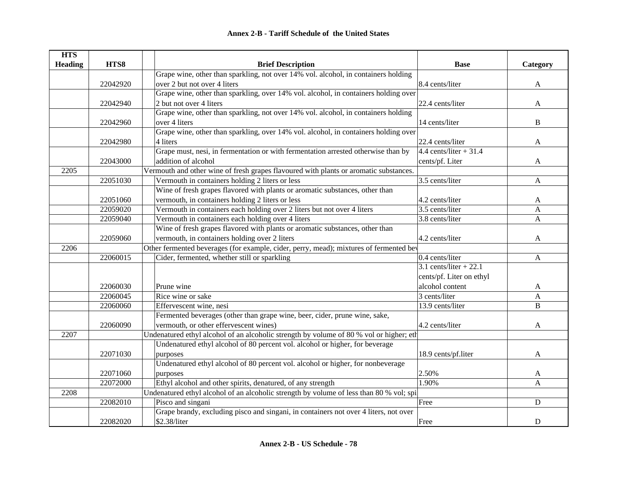| <b>HTS</b>     |          |                                                                                         |                          |                |
|----------------|----------|-----------------------------------------------------------------------------------------|--------------------------|----------------|
| <b>Heading</b> | HTS8     | <b>Brief Description</b>                                                                | <b>Base</b>              | Category       |
|                |          | Grape wine, other than sparkling, not over 14% vol. alcohol, in containers holding      |                          |                |
|                | 22042920 | over 2 but not over 4 liters                                                            | 8.4 cents/liter          | $\mathbf{A}$   |
|                |          | Grape wine, other than sparkling, over 14% vol. alcohol, in containers holding over     |                          |                |
|                | 22042940 | 2 but not over 4 liters                                                                 | 22.4 cents/liter         | A              |
|                |          | Grape wine, other than sparkling, not over 14% vol. alcohol, in containers holding      |                          |                |
|                | 22042960 | over 4 liters                                                                           | 14 cents/liter           | B              |
|                |          | Grape wine, other than sparkling, over 14% vol. alcohol, in containers holding over     |                          |                |
|                | 22042980 | 4 liters                                                                                | 22.4 cents/liter         | A              |
|                |          | Grape must, nesi, in fermentation or with fermentation arrested otherwise than by       | $4.4$ cents/liter + 31.4 |                |
|                | 22043000 | addition of alcohol                                                                     | cents/pf. Liter          | $\mathbf{A}$   |
| 2205           |          | Vermouth and other wine of fresh grapes flavoured with plants or aromatic substances.   |                          |                |
|                | 22051030 | Vermouth in containers holding 2 liters or less                                         | 3.5 cents/liter          | A              |
|                |          | Wine of fresh grapes flavored with plants or aromatic substances, other than            |                          |                |
|                | 22051060 | vermouth, in containers holding 2 liters or less                                        | 4.2 cents/liter          | A              |
|                | 22059020 | Vermouth in containers each holding over 2 liters but not over 4 liters                 | 3.5 cents/liter          | A              |
|                | 22059040 | Vermouth in containers each holding over 4 liters                                       | 3.8 cents/liter          | A              |
|                |          | Wine of fresh grapes flavored with plants or aromatic substances, other than            |                          |                |
|                | 22059060 | vermouth, in containers holding over 2 liters                                           | 4.2 cents/liter          | A              |
| 2206           |          | Other fermented beverages (for example, cider, perry, mead); mixtures of fermented bev  |                          |                |
|                | 22060015 | Cider, fermented, whether still or sparkling                                            | 0.4 cents/liter          | A              |
|                |          |                                                                                         | $3.1$ cents/liter + 22.1 |                |
|                |          |                                                                                         | cents/pf. Liter on ethyl |                |
|                | 22060030 | Prune wine                                                                              | alcohol content          | A              |
|                | 22060045 | Rice wine or sake                                                                       | 3 cents/liter            | A              |
|                | 22060060 | Effervescent wine, nesi                                                                 | 13.9 cents/liter         | $\overline{B}$ |
|                |          | Fermented beverages (other than grape wine, beer, cider, prune wine, sake,              |                          |                |
|                | 22060090 | vermouth, or other effervescent wines)                                                  | 4.2 cents/liter          | A              |
| 2207           |          | Undenatured ethyl alcohol of an alcoholic strength by volume of 80 % vol or higher; eth |                          |                |
|                |          | Undenatured ethyl alcohol of 80 percent vol. alcohol or higher, for beverage            |                          |                |
|                | 22071030 | purposes                                                                                | 18.9 cents/pf.liter      | A              |
|                |          | Undenatured ethyl alcohol of 80 percent vol. alcohol or higher, for nonbeverage         |                          |                |
|                | 22071060 | purposes                                                                                | 2.50%                    | A              |
|                | 22072000 | Ethyl alcohol and other spirits, denatured, of any strength                             | 1.90%                    | A              |
| 2208           |          | Undenatured ethyl alcohol of an alcoholic strength by volume of less than 80 % vol; spi |                          |                |
|                | 22082010 | Pisco and singani                                                                       | Free                     | $\mathbf D$    |
|                |          | Grape brandy, excluding pisco and singani, in containers not over 4 liters, not over    |                          |                |
|                | 22082020 | \$2.38/liter                                                                            | Free                     | D              |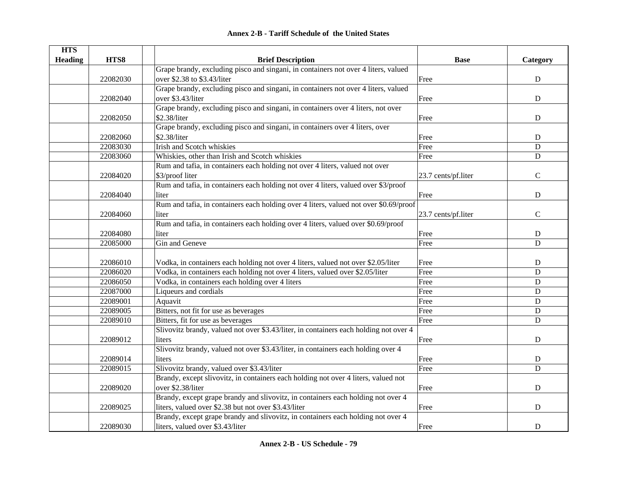|  | <b>Annex 2-B - Tariff Schedule of the United States</b> |  |
|--|---------------------------------------------------------|--|
|--|---------------------------------------------------------|--|

| <b>HTS</b>     |          |                                                                                       |                     |                |
|----------------|----------|---------------------------------------------------------------------------------------|---------------------|----------------|
| <b>Heading</b> | HTS8     | <b>Brief Description</b>                                                              | <b>Base</b>         | Category       |
|                |          | Grape brandy, excluding pisco and singani, in containers not over 4 liters, valued    |                     |                |
|                | 22082030 | over \$2.38 to \$3.43/liter                                                           | Free                | ${\bf D}$      |
|                |          | Grape brandy, excluding pisco and singani, in containers not over 4 liters, valued    |                     |                |
|                | 22082040 | over \$3.43/liter                                                                     | Free                | D              |
|                |          | Grape brandy, excluding pisco and singani, in containers over 4 liters, not over      |                     |                |
|                | 22082050 | \$2.38/liter                                                                          | Free                | $\mathbf D$    |
|                |          | Grape brandy, excluding pisco and singani, in containers over 4 liters, over          |                     |                |
|                | 22082060 | \$2.38/liter                                                                          | Free                | D              |
|                | 22083030 | Irish and Scotch whiskies                                                             | Free                | D              |
|                | 22083060 | Whiskies, other than Irish and Scotch whiskies                                        | Free                | $\mathbf D$    |
|                |          | Rum and tafia, in containers each holding not over 4 liters, valued not over          |                     |                |
|                | 22084020 | \$3/proof liter                                                                       | 23.7 cents/pf.liter | $\mathbf C$    |
|                |          | Rum and tafia, in containers each holding not over 4 liters, valued over \$3/proof    |                     |                |
|                | 22084040 | liter                                                                                 | Free                | $\mathbf D$    |
|                |          | Rum and tafia, in containers each holding over 4 liters, valued not over \$0.69/proof |                     |                |
|                | 22084060 | liter                                                                                 | 23.7 cents/pf.liter | $\mathcal{C}$  |
|                |          | Rum and tafia, in containers each holding over 4 liters, valued over \$0.69/proof     |                     |                |
|                | 22084080 | liter                                                                                 | Free                | $\mathbf D$    |
|                | 22085000 | Gin and Geneve                                                                        | Free                | $\mathbf D$    |
|                |          |                                                                                       |                     |                |
|                | 22086010 | Vodka, in containers each holding not over 4 liters, valued not over \$2.05/liter     | Free                | D              |
|                | 22086020 | Vodka, in containers each holding not over 4 liters, valued over \$2.05/liter         | Free                | $\mathbf D$    |
|                | 22086050 | Vodka, in containers each holding over 4 liters                                       | Free                | D              |
|                | 22087000 | Liqueurs and cordials                                                                 | Free                | $\mathbf D$    |
|                | 22089001 | Aquavit                                                                               | Free                | D              |
|                | 22089005 | Bitters, not fit for use as beverages                                                 | Free                | D              |
|                | 22089010 | Bitters, fit for use as beverages                                                     | Free                | ${\bf D}$      |
|                |          | Slivovitz brandy, valued not over \$3.43/liter, in containers each holding not over 4 |                     |                |
|                | 22089012 | liters                                                                                | Free                | D              |
|                |          | Slivovitz brandy, valued not over \$3.43/liter, in containers each holding over 4     |                     |                |
|                | 22089014 | liters                                                                                | Free                | ${\bf D}$      |
|                | 22089015 | Slivovitz brandy, valued over \$3.43/liter                                            | Free                | $\overline{D}$ |
|                |          | Brandy, except slivovitz, in containers each holding not over 4 liters, valued not    |                     |                |
|                | 22089020 | over \$2.38/liter                                                                     | Free                | ${\bf D}$      |
|                |          | Brandy, except grape brandy and slivovitz, in containers each holding not over 4      |                     |                |
|                | 22089025 | liters, valued over \$2.38 but not over \$3.43/liter                                  | Free                | $\mathbf D$    |
|                |          | Brandy, except grape brandy and slivovitz, in containers each holding not over 4      |                     |                |
|                | 22089030 | liters, valued over \$3.43/liter                                                      | Free                | ${\bf D}$      |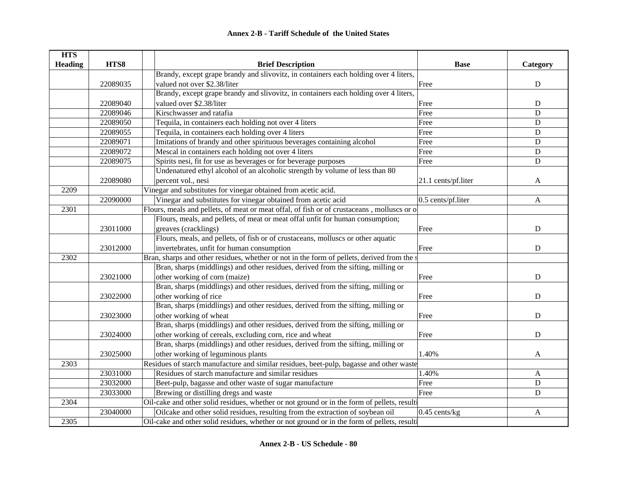| <b>HTS</b>     |          |                                                                                             |                     |              |
|----------------|----------|---------------------------------------------------------------------------------------------|---------------------|--------------|
| <b>Heading</b> | HTS8     | <b>Brief Description</b>                                                                    | <b>Base</b>         | Category     |
|                |          | Brandy, except grape brandy and slivovitz, in containers each holding over 4 liters,        |                     |              |
|                | 22089035 | valued not over \$2.38/liter                                                                | Free                | ${\bf D}$    |
|                |          | Brandy, except grape brandy and slivovitz, in containers each holding over 4 liters,        |                     |              |
|                | 22089040 | valued over \$2.38/liter                                                                    | Free                | ${\bf D}$    |
|                | 22089046 | Kirschwasser and ratafia                                                                    | Free                | $\mathbf D$  |
|                | 22089050 | Tequila, in containers each holding not over 4 liters                                       | Free                | ${\bf D}$    |
|                | 22089055 | Tequila, in containers each holding over 4 liters                                           | Free                | ${\bf D}$    |
|                | 22089071 | Imitations of brandy and other spirituous beverages containing alcohol                      | Free                | ${\bf D}$    |
|                | 22089072 | Mescal in containers each holding not over 4 liters                                         | Free                | ${\bf D}$    |
|                | 22089075 | Spirits nesi, fit for use as beverages or for beverage purposes                             | Free                | D            |
|                |          | Undenatured ethyl alcohol of an alcoholic strength by volume of less than 80                |                     |              |
|                | 22089080 | percent vol., nesi                                                                          | 21.1 cents/pf.liter | A            |
| 2209           |          | Vinegar and substitutes for vinegar obtained from acetic acid.                              |                     |              |
|                | 22090000 | Vinegar and substitutes for vinegar obtained from acetic acid                               | 0.5 cents/pf.liter  | $\mathbf{A}$ |
| 2301           |          | Flours, meals and pellets, of meat or meat offal, of fish or of crustaceans, molluscs or o  |                     |              |
|                |          | Flours, meals, and pellets, of meat or meat offal unfit for human consumption;              |                     |              |
|                | 23011000 | greaves (cracklings)                                                                        | Free                | D            |
|                |          | Flours, meals, and pellets, of fish or of crustaceans, molluscs or other aquatic            |                     |              |
|                | 23012000 | invertebrates, unfit for human consumption                                                  | Free                | ${\bf D}$    |
| 2302           |          | Bran, sharps and other residues, whether or not in the form of pellets, derived from the s  |                     |              |
|                |          | Bran, sharps (middlings) and other residues, derived from the sifting, milling or           |                     |              |
|                | 23021000 | other working of corn (maize)                                                               | Free                | $\mathbf D$  |
|                |          | Bran, sharps (middlings) and other residues, derived from the sifting, milling or           |                     |              |
|                | 23022000 | other working of rice                                                                       | Free                | ${\bf D}$    |
|                |          | Bran, sharps (middlings) and other residues, derived from the sifting, milling or           |                     |              |
|                | 23023000 | other working of wheat                                                                      | Free                | $\mathbf D$  |
|                |          | Bran, sharps (middlings) and other residues, derived from the sifting, milling or           |                     |              |
|                | 23024000 | other working of cereals, excluding corn, rice and wheat                                    | Free                | $\mathbf D$  |
|                |          | Bran, sharps (middlings) and other residues, derived from the sifting, milling or           |                     |              |
|                | 23025000 | other working of leguminous plants                                                          | 1.40%               | A            |
| 2303           |          | Residues of starch manufacture and similar residues, beet-pulp, bagasse and other waste     |                     |              |
|                | 23031000 | Residues of starch manufacture and similar residues                                         | 1.40%               | A            |
|                | 23032000 | Beet-pulp, bagasse and other waste of sugar manufacture                                     | Free                | ${\bf D}$    |
|                | 23033000 | Brewing or distilling dregs and waste                                                       | Free                | D            |
| 2304           |          | Oil-cake and other solid residues, whether or not ground or in the form of pellets, resulti |                     |              |
|                | 23040000 | Oilcake and other solid residues, resulting from the extraction of soybean oil              | $0.45$ cents/kg     | A            |
| 2305           |          | Oil-cake and other solid residues, whether or not ground or in the form of pellets, resulti |                     |              |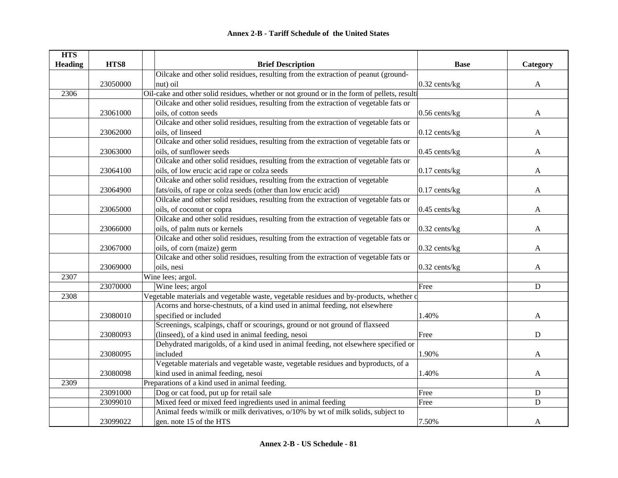| <b>HTS</b>     |          |                                                                                             |                 |             |
|----------------|----------|---------------------------------------------------------------------------------------------|-----------------|-------------|
| <b>Heading</b> | HTS8     | <b>Brief Description</b>                                                                    | <b>Base</b>     | Category    |
|                |          | Oilcake and other solid residues, resulting from the extraction of peanut (ground-          |                 |             |
|                | 23050000 | nut) oil                                                                                    | $0.32$ cents/kg | A           |
| 2306           |          | Oil-cake and other solid residues, whether or not ground or in the form of pellets, resulti |                 |             |
|                |          | Oilcake and other solid residues, resulting from the extraction of vegetable fats or        |                 |             |
|                | 23061000 | oils, of cotton seeds                                                                       | $0.56$ cents/kg | A           |
|                |          | Oilcake and other solid residues, resulting from the extraction of vegetable fats or        |                 |             |
|                | 23062000 | oils, of linseed                                                                            | $0.12$ cents/kg | A           |
|                |          | Oilcake and other solid residues, resulting from the extraction of vegetable fats or        |                 |             |
|                | 23063000 | oils, of sunflower seeds                                                                    | $0.45$ cents/kg | A           |
|                |          | Oilcake and other solid residues, resulting from the extraction of vegetable fats or        |                 |             |
|                | 23064100 | oils, of low erucic acid rape or colza seeds                                                | $0.17$ cents/kg | A           |
|                |          | Oilcake and other solid residues, resulting from the extraction of vegetable                |                 |             |
|                | 23064900 | fats/oils, of rape or colza seeds (other than low erucic acid)                              | $0.17$ cents/kg | A           |
|                |          | Oilcake and other solid residues, resulting from the extraction of vegetable fats or        |                 |             |
|                | 23065000 | oils, of coconut or copra                                                                   | 0.45 cents/kg   | A           |
|                |          | Oilcake and other solid residues, resulting from the extraction of vegetable fats or        |                 |             |
|                | 23066000 | oils, of palm nuts or kernels                                                               | 0.32 cents/kg   | A           |
|                |          | Oilcake and other solid residues, resulting from the extraction of vegetable fats or        |                 |             |
|                | 23067000 | oils, of corn (maize) germ                                                                  | 0.32 cents/kg   | A           |
|                |          | Oilcake and other solid residues, resulting from the extraction of vegetable fats or        |                 |             |
|                | 23069000 | oils, nesi                                                                                  | $0.32$ cents/kg | A           |
| 2307           |          | Wine lees; argol.                                                                           |                 |             |
|                | 23070000 | Wine lees; argol                                                                            | Free            | ${\bf D}$   |
| 2308           |          | Vegetable materials and vegetable waste, vegetable residues and by-products, whether of     |                 |             |
|                |          | Acorns and horse-chestnuts, of a kind used in animal feeding, not elsewhere                 |                 |             |
|                | 23080010 | specified or included                                                                       | 1.40%           | A           |
|                |          | Screenings, scalpings, chaff or scourings, ground or not ground of flaxseed                 |                 |             |
|                | 23080093 | (linseed), of a kind used in animal feeding, nesoi                                          | Free            | D           |
|                |          | Dehydrated marigolds, of a kind used in animal feeding, not elsewhere specified or          |                 |             |
|                | 23080095 | included                                                                                    | 1.90%           | A           |
|                |          | Vegetable materials and vegetable waste, vegetable residues and byproducts, of a            |                 |             |
|                | 23080098 | kind used in animal feeding, nesoi                                                          | 1.40%           | A           |
| 2309           |          | Preparations of a kind used in animal feeding.                                              |                 |             |
|                | 23091000 | Dog or cat food, put up for retail sale                                                     | Free            | $\mathbf D$ |
|                | 23099010 | Mixed feed or mixed feed ingredients used in animal feeding                                 | Free            | D           |
|                |          | Animal feeds w/milk or milk derivatives, o/10% by wt of milk solids, subject to             |                 |             |
|                | 23099022 | gen. note 15 of the HTS                                                                     | 7.50%           | A           |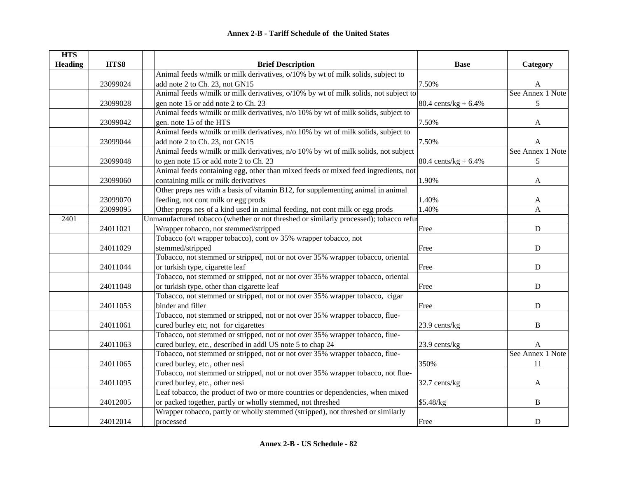| <b>HTS</b>     |          |                                                                                        |                         |                  |
|----------------|----------|----------------------------------------------------------------------------------------|-------------------------|------------------|
| <b>Heading</b> | HTS8     | <b>Brief Description</b>                                                               | <b>Base</b>             | Category         |
|                |          | Animal feeds w/milk or milk derivatives, o/10% by wt of milk solids, subject to        |                         |                  |
|                | 23099024 | add note 2 to Ch. 23, not GN15                                                         | 7.50%                   |                  |
|                |          | Animal feeds w/milk or milk derivatives, o/10% by wt of milk solids, not subject to    |                         | See Annex 1 Note |
|                | 23099028 | gen note 15 or add note 2 to Ch. 23                                                    | 80.4 cents/ $kg + 6.4%$ | 5                |
|                |          | Animal feeds w/milk or milk derivatives, n/o 10% by wt of milk solids, subject to      |                         |                  |
|                | 23099042 | gen. note 15 of the HTS                                                                | 7.50%                   | A                |
|                |          | Animal feeds w/milk or milk derivatives, n/o 10% by wt of milk solids, subject to      |                         |                  |
|                | 23099044 | add note 2 to Ch. 23, not GN15                                                         | 7.50%                   | A                |
|                |          | Animal feeds w/milk or milk derivatives, n/o 10% by wt of milk solids, not subject     |                         | See Annex 1 Note |
|                | 23099048 | to gen note 15 or add note 2 to Ch. 23                                                 | 80.4 cents/kg + $6.4\%$ | 5                |
|                |          | Animal feeds containing egg, other than mixed feeds or mixed feed ingredients, not     |                         |                  |
|                | 23099060 | containing milk or milk derivatives                                                    | 1.90%                   | $\boldsymbol{A}$ |
|                |          | Other preps nes with a basis of vitamin B12, for supplementing animal in animal        |                         |                  |
|                | 23099070 | feeding, not cont milk or egg prods                                                    | 1.40%                   | A                |
|                | 23099095 | Other preps nes of a kind used in animal feeding, not cont milk or egg prods           | 1.40%                   | A                |
| 2401           |          | Unmanufactured tobacco (whether or not threshed or similarly processed); tobacco refus |                         |                  |
|                | 24011021 | Wrapper tobacco, not stemmed/stripped                                                  | Free                    | $\mathbf{D}$     |
|                |          | Tobacco (o/t wrapper tobacco), cont ov 35% wrapper tobacco, not                        |                         |                  |
|                | 24011029 | stemmed/stripped                                                                       | Free                    | ${\bf D}$        |
|                |          | Tobacco, not stemmed or stripped, not or not over 35% wrapper tobacco, oriental        |                         |                  |
|                | 24011044 | or turkish type, cigarette leaf                                                        | Free                    | D                |
|                |          | Tobacco, not stemmed or stripped, not or not over 35% wrapper tobacco, oriental        |                         |                  |
|                | 24011048 | or turkish type, other than cigarette leaf                                             | Free                    | $\mathbf D$      |
|                |          | Tobacco, not stemmed or stripped, not or not over 35% wrapper tobacco, cigar           |                         |                  |
|                | 24011053 | binder and filler                                                                      | Free                    | D                |
|                |          | Tobacco, not stemmed or stripped, not or not over 35% wrapper tobacco, flue-           |                         |                  |
|                | 24011061 | cured burley etc, not for cigarettes                                                   | 23.9 cents/kg           | B                |
|                |          | Tobacco, not stemmed or stripped, not or not over 35% wrapper tobacco, flue-           |                         |                  |
|                | 24011063 | cured burley, etc., described in addl US note 5 to chap 24                             | 23.9 cents/kg           | A                |
|                |          | Tobacco, not stemmed or stripped, not or not over 35% wrapper tobacco, flue-           |                         | See Annex 1 Note |
|                | 24011065 | cured burley, etc., other nesi                                                         | 350%                    | 11               |
|                |          | Tobacco, not stemmed or stripped, not or not over 35% wrapper tobacco, not flue-       |                         |                  |
|                | 24011095 | cured burley, etc., other nesi                                                         | 32.7 cents/kg           | A                |
|                |          | Leaf tobacco, the product of two or more countries or dependencies, when mixed         |                         |                  |
|                | 24012005 | or packed together, partly or wholly stemmed, not threshed                             | \$5.48/kg               | B                |
|                |          | Wrapper tobacco, partly or wholly stemmed (stripped), not threshed or similarly        |                         |                  |
|                | 24012014 | processed                                                                              | Free                    | ${\bf D}$        |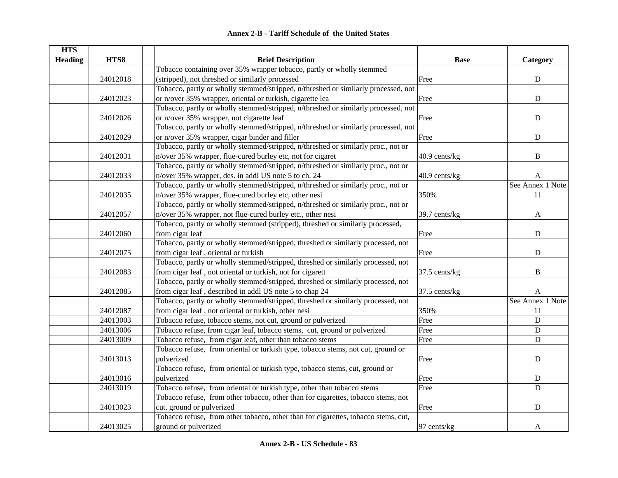|  | <b>Annex 2-B - Tariff Schedule of the United States</b> |  |
|--|---------------------------------------------------------|--|
|--|---------------------------------------------------------|--|

| <b>HTS</b>     |          |                                                                                    |                    |                  |
|----------------|----------|------------------------------------------------------------------------------------|--------------------|------------------|
| <b>Heading</b> | HTS8     | <b>Brief Description</b>                                                           | <b>Base</b>        | Category         |
|                |          | Tobacco containing over 35% wrapper tobacco, partly or wholly stemmed              |                    |                  |
|                | 24012018 | (stripped), not threshed or similarly processed                                    | Free               | ${\bf D}$        |
|                |          | Tobacco, partly or wholly stemmed/stripped, n/threshed or similarly processed, not |                    |                  |
|                | 24012023 | or n/over 35% wrapper, oriental or turkish, cigarette lea                          | Free               | ${\bf D}$        |
|                |          | Tobacco, partly or wholly stemmed/stripped, n/threshed or similarly processed, not |                    |                  |
|                | 24012026 | or n/over 35% wrapper, not cigarette leaf                                          | Free               | ${\bf D}$        |
|                |          | Tobacco, partly or wholly stemmed/stripped, n/threshed or similarly processed, not |                    |                  |
|                | 24012029 | or n/over 35% wrapper, cigar binder and filler                                     | Free               | ${\bf D}$        |
|                |          | Tobacco, partly or wholly stemmed/stripped, n/threshed or similarly proc., not or  |                    |                  |
|                | 24012031 | n/over 35% wrapper, flue-cured burley etc, not for cigaret                         | $40.9$ cents/ $kg$ | B                |
|                |          | Tobacco, partly or wholly stemmed/stripped, n/threshed or similarly proc., not or  |                    |                  |
|                | 24012033 | n/over 35% wrapper, des. in addl US note 5 to ch. 24                               | 40.9 cents/kg      | A                |
|                |          | Tobacco, partly or wholly stemmed/stripped, n/threshed or similarly proc., not or  |                    | See Annex 1 Note |
|                | 24012035 | n/over 35% wrapper, flue-cured burley etc, other nesi                              | 350%               | 11               |
|                |          | Tobacco, partly or wholly stemmed/stripped, n/threshed or similarly proc., not or  |                    |                  |
|                | 24012057 | n/over 35% wrapper, not flue-cured burley etc., other nesi                         | 39.7 cents/kg      | A                |
|                |          | Tobacco, partly or wholly stemmed (stripped), threshed or similarly processed,     |                    |                  |
|                | 24012060 | from cigar leaf                                                                    | Free               | ${\bf D}$        |
|                |          | Tobacco, partly or wholly stemmed/stripped, threshed or similarly processed, not   |                    |                  |
|                | 24012075 | from cigar leaf, oriental or turkish                                               | Free               | ${\bf D}$        |
|                |          | Tobacco, partly or wholly stemmed/stripped, threshed or similarly processed, not   |                    |                  |
|                | 24012083 | from cigar leaf, not oriental or turkish, not for cigarett                         | 37.5 cents/kg      | $\, {\bf B}$     |
|                |          | Tobacco, partly or wholly stemmed/stripped, threshed or similarly processed, not   |                    |                  |
|                | 24012085 | from cigar leaf, described in addl US note 5 to chap 24                            | 37.5 cents/kg      | A                |
|                |          | Tobacco, partly or wholly stemmed/stripped, threshed or similarly processed, not   |                    | See Annex 1 Note |
|                | 24012087 | from cigar leaf, not oriental or turkish, other nesi                               | 350%               | 11               |
|                | 24013003 | Tobacco refuse, tobacco stems, not cut, ground or pulverized                       | Free               | ${\bf D}$        |
|                | 24013006 | Tobacco refuse, from cigar leaf, tobacco stems, cut, ground or pulverized          | Free               | ${\bf D}$        |
|                | 24013009 | Tobacco refuse, from cigar leaf, other than tobacco stems                          | Free               | ${\bf D}$        |
|                |          | Tobacco refuse, from oriental or turkish type, tobacco stems, not cut, ground or   |                    |                  |
|                | 24013013 | pulverized                                                                         | Free               | ${\bf D}$        |
|                |          | Tobacco refuse, from oriental or turkish type, tobacco stems, cut, ground or       |                    |                  |
|                | 24013016 | pulverized                                                                         | Free               | ${\bf D}$        |
|                | 24013019 | Tobacco refuse, from oriental or turkish type, other than tobacco stems            | Free               | ${\bf D}$        |
|                |          | Tobacco refuse, from other tobacco, other than for cigarettes, tobacco stems, not  |                    |                  |
|                | 24013023 | cut, ground or pulverized                                                          | Free               | $\mathbf D$      |
|                |          | Tobacco refuse, from other tobacco, other than for cigarettes, tobacco stems, cut, |                    |                  |
|                | 24013025 | ground or pulverized                                                               | 97 cents/kg        | A                |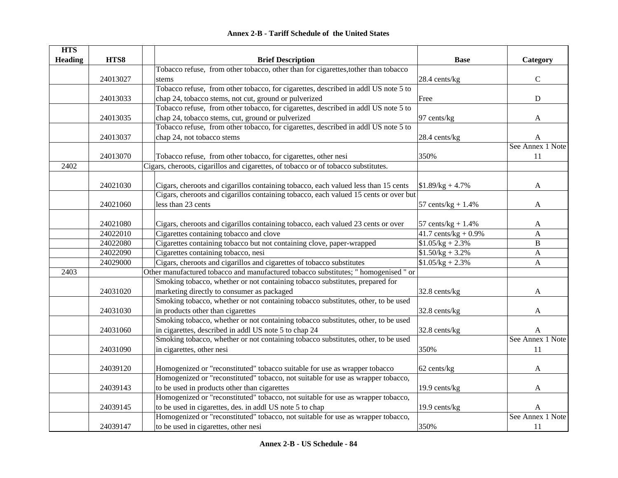| <b>HTS</b>     |          |                                                                                      |                         |                  |
|----------------|----------|--------------------------------------------------------------------------------------|-------------------------|------------------|
| <b>Heading</b> | HTS8     | <b>Brief Description</b>                                                             | <b>Base</b>             | Category         |
|                |          | Tobacco refuse, from other tobacco, other than for cigarettes, to ther than tobacco  |                         |                  |
|                | 24013027 | stems                                                                                | 28.4 cents/kg           | $\mathbf C$      |
|                |          | Tobacco refuse, from other tobacco, for cigarettes, described in addl US note 5 to   |                         |                  |
|                | 24013033 | chap 24, tobacco stems, not cut, ground or pulverized                                | Free                    | ${\bf D}$        |
|                |          | Tobacco refuse, from other tobacco, for cigarettes, described in addl US note 5 to   |                         |                  |
|                | 24013035 | chap 24, tobacco stems, cut, ground or pulverized                                    | 97 cents/kg             | A                |
|                |          | Tobacco refuse, from other tobacco, for cigarettes, described in addl US note 5 to   |                         |                  |
|                | 24013037 | chap 24, not tobacco stems                                                           | 28.4 cents/kg           | A                |
|                |          |                                                                                      |                         | See Annex 1 Note |
|                | 24013070 | Tobacco refuse, from other tobacco, for cigarettes, other nesi                       | 350%                    | 11               |
| 2402           |          | Cigars, cheroots, cigarillos and cigarettes, of tobacco or of tobacco substitutes.   |                         |                  |
|                |          |                                                                                      |                         |                  |
|                | 24021030 | Cigars, cheroots and cigarillos containing tobacco, each valued less than 15 cents   | $$1.89/kg + 4.7\%$      | A                |
|                |          | Cigars, cheroots and cigarillos containing tobacco, each valued 15 cents or over but |                         |                  |
|                | 24021060 | less than 23 cents                                                                   | 57 cents/ $kg + 1.4%$   | A                |
|                |          |                                                                                      |                         |                  |
|                | 24021080 | Cigars, cheroots and cigarillos containing tobacco, each valued 23 cents or over     | 57 cents/ $kg + 1.4%$   | A                |
|                | 24022010 | Cigarettes containing tobacco and clove                                              | 41.7 cents/kg + $0.9\%$ | A                |
|                | 24022080 | Cigarettes containing tobacco but not containing clove, paper-wrapped                | $$1.05/kg + 2.3\%$      | B                |
|                | 24022090 | Cigarettes containing tobacco, nesi                                                  | $$1.50/kg + 3.2\%$      | $\mathbf{A}$     |
|                | 24029000 | Cigars, cheroots and cigarillos and cigarettes of tobacco substitutes                | $$1.05/kg + 2.3\%$      | $\mathbf{A}$     |
| 2403           |          | Other manufactured tobacco and manufactured tobacco substitutes; " homogenised " or  |                         |                  |
|                |          | Smoking tobacco, whether or not containing tobacco substitutes, prepared for         |                         |                  |
|                | 24031020 | marketing directly to consumer as packaged                                           | 32.8 cents/kg           | A                |
|                |          | Smoking tobacco, whether or not containing tobacco substitutes, other, to be used    |                         |                  |
|                | 24031030 | in products other than cigarettes                                                    | 32.8 cents/kg           | A                |
|                |          | Smoking tobacco, whether or not containing tobacco substitutes, other, to be used    |                         |                  |
|                | 24031060 | in cigarettes, described in addl US note 5 to chap 24                                | 32.8 cents/kg           | A                |
|                |          | Smoking tobacco, whether or not containing tobacco substitutes, other, to be used    |                         | See Annex 1 Note |
|                | 24031090 | in cigarettes, other nesi                                                            | 350%                    | 11               |
|                |          |                                                                                      |                         |                  |
|                | 24039120 | Homogenized or "reconstituted" tobacco suitable for use as wrapper tobacco           | 62 cents/kg             | A                |
|                |          | Homogenized or "reconstituted" tobacco, not suitable for use as wrapper tobacco,     |                         |                  |
|                | 24039143 | to be used in products other than cigarettes                                         | 19.9 cents/kg           | A                |
|                |          | Homogenized or "reconstituted" tobacco, not suitable for use as wrapper tobacco,     |                         |                  |
|                | 24039145 | to be used in cigarettes, des. in addl US note 5 to chap                             | 19.9 cents/kg           | A                |
|                |          | Homogenized or "reconstituted" tobacco, not suitable for use as wrapper tobacco,     |                         | See Annex 1 Note |
|                | 24039147 | to be used in cigarettes, other nesi                                                 | 350%                    | 11               |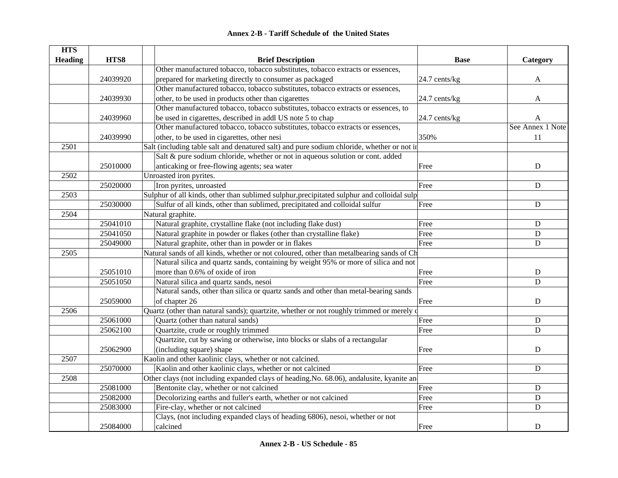|  | <b>Annex 2-B - Tariff Schedule of the United States</b> |  |  |  |
|--|---------------------------------------------------------|--|--|--|
|--|---------------------------------------------------------|--|--|--|

| <b>HTS</b>     |          |                                                                                            |               |                  |
|----------------|----------|--------------------------------------------------------------------------------------------|---------------|------------------|
| <b>Heading</b> | HTS8     | <b>Brief Description</b>                                                                   | <b>Base</b>   | Category         |
|                |          | Other manufactured tobacco, tobacco substitutes, tobacco extracts or essences,             |               |                  |
|                | 24039920 | prepared for marketing directly to consumer as packaged                                    | 24.7 cents/kg | $\mathbf{A}$     |
|                |          | Other manufactured tobacco, tobacco substitutes, tobacco extracts or essences,             |               |                  |
|                | 24039930 | other, to be used in products other than cigarettes                                        | 24.7 cents/kg | A                |
|                |          | Other manufactured tobacco, tobacco substitutes, tobacco extracts or essences, to          |               |                  |
|                | 24039960 | be used in cigarettes, described in addl US note 5 to chap                                 | 24.7 cents/kg | A                |
|                |          | Other manufactured tobacco, tobacco substitutes, tobacco extracts or essences,             |               | See Annex 1 Note |
|                | 24039990 | other, to be used in cigarettes, other nesi                                                | 350%          | 11               |
| 2501           |          | Salt (including table salt and denatured salt) and pure sodium chloride, whether or not in |               |                  |
|                |          | Salt & pure sodium chloride, whether or not in aqueous solution or cont. added             |               |                  |
|                | 25010000 | anticaking or free-flowing agents; sea water                                               | Free          | D                |
| 2502           |          | Unroasted iron pyrites.                                                                    |               |                  |
|                | 25020000 | Iron pyrites, unroasted                                                                    | Free          | $\mathbf D$      |
| 2503           |          | Sulphur of all kinds, other than sublimed sulphur, precipitated sulphur and colloidal sulp |               |                  |
|                | 25030000 | Sulfur of all kinds, other than sublimed, precipitated and colloidal sulfur                | Free          | ${\bf D}$        |
| 2504           |          | Natural graphite.                                                                          |               |                  |
|                | 25041010 | Natural graphite, crystalline flake (not including flake dust)                             | Free          | ${\bf D}$        |
|                | 25041050 | Natural graphite in powder or flakes (other than crystalline flake)                        | Free          | ${\bf D}$        |
|                | 25049000 | Natural graphite, other than in powder or in flakes                                        | Free          | ${\bf D}$        |
| 2505           |          | Natural sands of all kinds, whether or not coloured, other than metalbearing sands of Ch   |               |                  |
|                |          | Natural silica and quartz sands, containing by weight 95% or more of silica and not        |               |                  |
|                | 25051010 | more than 0.6% of oxide of iron                                                            | Free          | ${\bf D}$        |
|                | 25051050 | Natural silica and quartz sands, nesoi                                                     | Free          | $\overline{D}$   |
|                |          | Natural sands, other than silica or quartz sands and other than metal-bearing sands        |               |                  |
|                | 25059000 | of chapter 26                                                                              | Free          | D                |
| 2506           |          | Quartz (other than natural sands); quartzite, whether or not roughly trimmed or merely of  |               |                  |
|                | 25061000 | Quartz (other than natural sands)                                                          | Free          | ${\bf D}$        |
|                | 25062100 | Quartzite, crude or roughly trimmed                                                        | Free          | $\mathbf D$      |
|                |          | Quartzite, cut by sawing or otherwise, into blocks or slabs of a rectangular               |               |                  |
|                | 25062900 | (including square) shape                                                                   | Free          | ${\bf D}$        |
| 2507           |          | Kaolin and other kaolinic clays, whether or not calcined.                                  |               |                  |
|                | 25070000 | Kaolin and other kaolinic clays, whether or not calcined                                   | Free          | $\mathbf D$      |
| 2508           |          | Other clays (not including expanded clays of heading No. 68.06), andalusite, kyanite and   |               |                  |
|                | 25081000 | Bentonite clay, whether or not calcined                                                    | Free          | ${\bf D}$        |
|                | 25082000 | Decolorizing earths and fuller's earth, whether or not calcined                            | Free          | ${\bf D}$        |
|                | 25083000 | Fire-clay, whether or not calcined                                                         | Free          | $\mathbf D$      |
|                |          | Clays, (not including expanded clays of heading 6806), nesoi, whether or not               |               |                  |
|                | 25084000 | calcined                                                                                   | Free          | D                |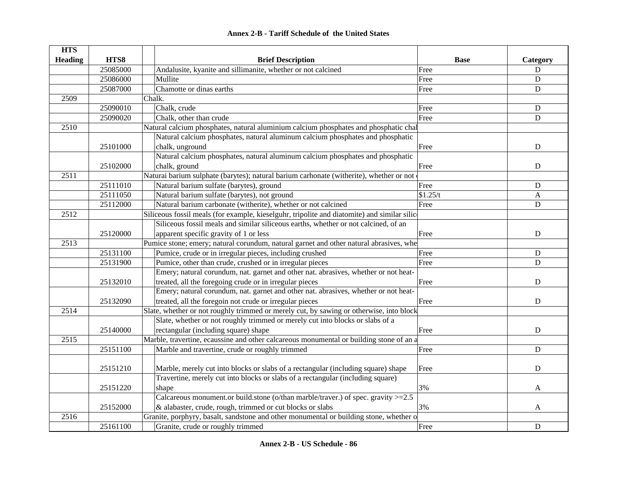| <b>HTS</b>     |          |                                                                                             |             |             |
|----------------|----------|---------------------------------------------------------------------------------------------|-------------|-------------|
| <b>Heading</b> | HTS8     | <b>Brief Description</b>                                                                    | <b>Base</b> | Category    |
|                | 25085000 | Andalusite, kyanite and sillimanite, whether or not calcined                                | Free        | $\mathbf D$ |
|                | 25086000 | Mullite                                                                                     | Free        | $\mathbf D$ |
|                | 25087000 | Chamotte or dinas earths                                                                    | Free        | $\mathbf D$ |
| 2509           |          | Chalk.                                                                                      |             |             |
|                | 25090010 | Chalk, crude                                                                                | Free        | $\mathbf D$ |
|                | 25090020 | Chalk, other than crude                                                                     | Free        | $\mathbf D$ |
| 2510           |          | Natural calcium phosphates, natural aluminium calcium phosphates and phosphatic chal        |             |             |
|                |          | Natural calcium phosphates, natural aluminum calcium phosphates and phosphatic              |             |             |
|                | 25101000 | chalk, unground                                                                             | Free        | ${\bf D}$   |
|                |          | Natural calcium phosphates, natural aluminum calcium phosphates and phosphatic              |             |             |
|                | 25102000 | chalk, ground                                                                               | Free        | ${\bf D}$   |
| 2511           |          | Naturai barium sulphate (barytes); natural barium carhonate (witherite), whether or not of  |             |             |
|                | 25111010 | Natural barium sulfate (barytes), ground                                                    | Free        | ${\bf D}$   |
|                | 25111050 | Natural barium sulfate (barytes), not ground                                                | \$1.25/t    | A           |
|                | 25112000 | Natural barium carbonate (witherite), whether or not calcined                               | Free        | $\mathbf D$ |
| 2512           |          | Siliceous fossil meals (for example, kieselguhr, tripolite and diatomite) and similar silic |             |             |
|                |          | Siliceous fossil meals and similar siliceous earths, whether or not calcined, of an         |             |             |
|                | 25120000 | apparent specific gravity of 1 or less                                                      | Free        | ${\bf D}$   |
| 2513           |          | Pumice stone; emery; natural corundum, natural garnet and other natural abrasives, whe      |             |             |
|                | 25131100 | Pumice, crude or in irregular pieces, including crushed                                     | Free        | ${\bf D}$   |
|                | 25131900 | Pumice, other than crude, crushed or in irregular pieces                                    | Free        | $\mathbf D$ |
|                |          | Emery; natural corundum, nat. garnet and other nat. abrasives, whether or not heat-         |             |             |
|                | 25132010 | treated, all the foregoing crude or in irregular pieces                                     | Free        | $\mathbf D$ |
|                |          | Emery; natural corundum, nat. garnet and other nat. abrasives, whether or not heat-         |             |             |
|                | 25132090 | treated, all the foregoin not crude or irregular pieces                                     | Free        | $\mathbf D$ |
| 2514           |          | Slate, whether or not roughly trimmed or merely cut, by sawing or otherwise, into block     |             |             |
|                |          | Slate, whether or not roughly trimmed or merely cut into blocks or slabs of a               |             |             |
|                | 25140000 | rectangular (including square) shape                                                        | Free        | D           |
| 2515           |          | Marble, travertine, ecaussine and other calcareous monumental or building stone of an a     |             |             |
|                | 25151100 | Marble and travertine, crude or roughly trimmed                                             | Free        | $\mathbf D$ |
|                |          |                                                                                             |             |             |
|                | 25151210 | Marble, merely cut into blocks or slabs of a rectangular (including square) shape           | Free        | $\mathbf D$ |
|                |          | Travertine, merely cut into blocks or slabs of a rectangular (including square)             |             |             |
|                | 25151220 | shape                                                                                       | 3%          | A           |
|                |          | Calcareous monument.or build.stone (o/than marble/traver.) of spec. gravity $>=$ 2.5        |             |             |
|                | 25152000 | & alabaster, crude, rough, trimmed or cut blocks or slabs                                   | 3%          | A           |
| 2516           |          | Granite, porphyry, basalt, sandstone and other monumental or building stone, whether o      |             |             |
|                | 25161100 | Granite, crude or roughly trimmed                                                           | Free        | ${\bf D}$   |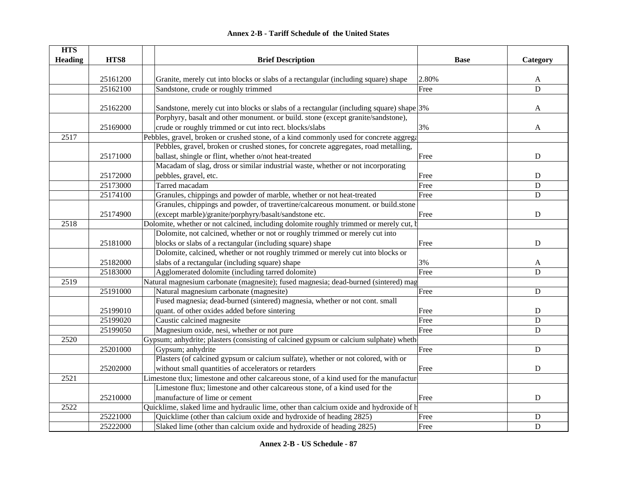| <b>HTS</b>     |          |                                                                                          |             |             |
|----------------|----------|------------------------------------------------------------------------------------------|-------------|-------------|
| <b>Heading</b> | HTS8     | <b>Brief Description</b>                                                                 | <b>Base</b> | Category    |
|                |          |                                                                                          |             |             |
|                | 25161200 | Granite, merely cut into blocks or slabs of a rectangular (including square) shape       | 2.80%       | A           |
|                | 25162100 | Sandstone, crude or roughly trimmed                                                      | Free        | $\mathbf D$ |
|                |          |                                                                                          |             |             |
|                | 25162200 | Sandstone, merely cut into blocks or slabs of a rectangular (including square) shape 3%  |             | A           |
|                |          | Porphyry, basalt and other monument. or build. stone (except granite/sandstone),         |             |             |
|                | 25169000 | crude or roughly trimmed or cut into rect. blocks/slabs                                  | 3%          | A           |
| 2517           |          | Pebbles, gravel, broken or crushed stone, of a kind commonly used for concrete aggrega   |             |             |
|                |          | Pebbles, gravel, broken or crushed stones, for concrete aggregates, road metalling,      |             |             |
|                | 25171000 | ballast, shingle or flint, whether o/not heat-treated                                    | Free        | ${\bf D}$   |
|                |          | Macadam of slag, dross or similar industrial waste, whether or not incorporating         |             |             |
|                | 25172000 | pebbles, gravel, etc.                                                                    | Free        | D           |
|                | 25173000 | Tarred macadam                                                                           | Free        | $\mathbf D$ |
|                | 25174100 | Granules, chippings and powder of marble, whether or not heat-treated                    | Free        | $\mathbf D$ |
|                |          | Granules, chippings and powder, of travertine/calcareous monument. or build.stone        |             |             |
|                | 25174900 | (except marble)/granite/porphyry/basalt/sandstone etc.                                   | Free        | ${\bf D}$   |
| 2518           |          | Dolomite, whether or not calcined, including dolomite roughly trimmed or merely cut, b   |             |             |
|                |          | Dolomite, not calcined, whether or not or roughly trimmed or merely cut into             |             |             |
|                | 25181000 | blocks or slabs of a rectangular (including square) shape                                | Free        | D           |
|                |          | Dolomite, calcined, whether or not roughly trimmed or merely cut into blocks or          |             |             |
|                | 25182000 | slabs of a rectangular (including square) shape                                          | 3%          | A           |
|                | 25183000 | Agglomerated dolomite (including tarred dolomite)                                        | Free        | D           |
| 2519           |          | Natural magnesium carbonate (magnesite); fused magnesia; dead-burned (sintered) mag      |             |             |
|                | 25191000 | Natural magnesium carbonate (magnesite)                                                  | Free        | $\mathbf D$ |
|                |          | Fused magnesia; dead-burned (sintered) magnesia, whether or not cont. small              |             |             |
|                | 25199010 | quant. of other oxides added before sintering                                            | Free        | D           |
|                | 25199020 | Caustic calcined magnesite                                                               | Free        | ${\bf D}$   |
|                | 25199050 | Magnesium oxide, nesi, whether or not pure                                               | Free        | $\mathbf D$ |
| 2520           |          | Gypsum; anhydrite; plasters (consisting of calcined gypsum or calcium sulphate) wheth    |             |             |
|                | 25201000 | Gypsum; anhydrite                                                                        | Free        | $\mathbf D$ |
|                |          | Plasters (of calcined gypsum or calcium sulfate), whether or not colored, with or        |             |             |
|                | 25202000 | without small quantities of accelerators or retarders                                    | Free        | $\mathbf D$ |
| 2521           |          | Limestone tlux; limestone and other calcareous stone, of a kind used for the manufacture |             |             |
|                |          | Limestone flux; limestone and other calcareous stone, of a kind used for the             |             |             |
|                | 25210000 | manufacture of lime or cement                                                            | Free        | ${\bf D}$   |
| 2522           |          | Quicklime, slaked lime and hydraulic lime, other than calcium oxide and hydroxide of h   |             |             |
|                | 25221000 | Quicklime (other than calcium oxide and hydroxide of heading 2825)                       | Free        | ${\bf D}$   |
|                | 25222000 | Slaked lime (other than calcium oxide and hydroxide of heading 2825)                     | Free        | D           |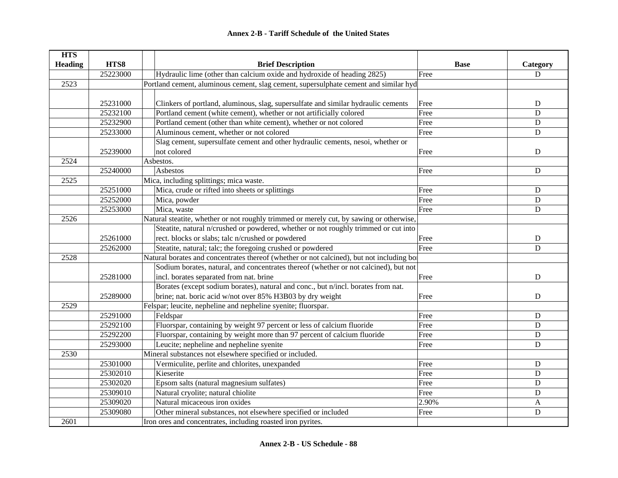| <b>HTS</b>     |          |                                                                                          |             |             |
|----------------|----------|------------------------------------------------------------------------------------------|-------------|-------------|
| <b>Heading</b> | HTS8     | <b>Brief Description</b>                                                                 | <b>Base</b> | Category    |
|                | 25223000 | Hydraulic lime (other than calcium oxide and hydroxide of heading 2825)                  | Free        | D           |
| 2523           |          | Portland cement, aluminous cement, slag cement, supersulphate cement and similar hyd     |             |             |
|                |          |                                                                                          |             |             |
|                | 25231000 | Clinkers of portland, aluminous, slag, supersulfate and similar hydraulic cements        | Free        | ${\bf D}$   |
|                | 25232100 | Portland cement (white cement), whether or not artificially colored                      | Free        | $\mathbf D$ |
|                | 25232900 | Portland cement (other than white cement), whether or not colored                        | Free        | ${\bf D}$   |
|                | 25233000 | Aluminous cement, whether or not colored                                                 | Free        | $\mathbf D$ |
|                |          | Slag cement, supersulfate cement and other hydraulic cements, nesoi, whether or          |             |             |
|                | 25239000 | not colored                                                                              | Free        | ${\bf D}$   |
| 2524           |          | Asbestos.                                                                                |             |             |
|                | 25240000 | Asbestos                                                                                 | Free        | ${\bf D}$   |
| 2525           |          | Mica, including splittings; mica waste.                                                  |             |             |
|                | 25251000 | Mica, crude or rifted into sheets or splittings                                          | Free        | D           |
|                | 25252000 | Mica, powder                                                                             | Free        | D           |
|                | 25253000 | Mica, waste                                                                              | Free        | D           |
| 2526           |          | Natural steatite, whether or not roughly trimmed or merely cut, by sawing or otherwise,  |             |             |
|                |          | Steatite, natural n/crushed or powdered, whether or not roughly trimmed or cut into      |             |             |
|                | 25261000 | rect. blocks or slabs; talc n/crushed or powdered                                        | Free        | D           |
|                | 25262000 | Steatite, natural; talc; the foregoing crushed or powdered                               | Free        | D           |
| 2528           |          | Natural borates and concentrates thereof (whether or not calcined), but not including bo |             |             |
|                |          | Sodium borates, natural, and concentrates thereof (whether or not calcined), but not     |             |             |
|                | 25281000 | incl. borates separated from nat. brine                                                  | Free        | ${\bf D}$   |
|                |          | Borates (except sodium borates), natural and conc., but n/incl. borates from nat.        |             |             |
|                | 25289000 | brine; nat. boric acid w/not over 85% H3B03 by dry weight                                | Free        | $\mathbf D$ |
| 2529           |          | Felspar; leucite, nepheline and nepheline syenite; fluorspar.                            |             |             |
|                | 25291000 | Feldspar                                                                                 | Free        | ${\bf D}$   |
|                | 25292100 | Fluorspar, containing by weight 97 percent or less of calcium fluoride                   | Free        | D           |
|                | 25292200 | Fluorspar, containing by weight more than 97 percent of calcium fluoride                 | Free        | D           |
|                | 25293000 | Leucite; nepheline and nepheline syenite                                                 | Free        | $\mathbf D$ |
| 2530           |          | Mineral substances not elsewhere specified or included.                                  |             |             |
|                | 25301000 | Vermiculite, perlite and chlorites, unexpanded                                           | Free        | ${\bf D}$   |
|                | 25302010 | Kieserite                                                                                | Free        | ${\bf D}$   |
|                | 25302020 | Epsom salts (natural magnesium sulfates)                                                 | Free        | D           |
|                | 25309010 | Natural cryolite; natural chiolite                                                       | Free        | D           |
|                | 25309020 | Natural micaceous iron oxides                                                            | 2.90%       | A           |
|                | 25309080 | Other mineral substances, not elsewhere specified or included                            | Free        | ${\bf D}$   |
| 2601           |          | Iron ores and concentrates, including roasted iron pyrites.                              |             |             |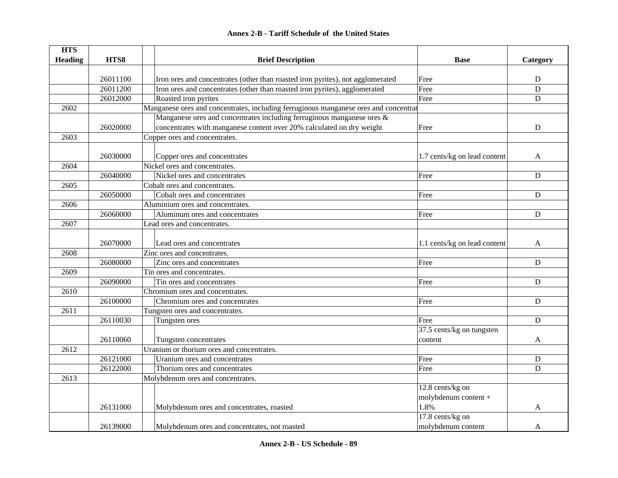|  | <b>Annex 2-B - Tariff Schedule of the United States</b> |  |
|--|---------------------------------------------------------|--|
|--|---------------------------------------------------------|--|

| <b>HTS</b>     |          |                                                                                      |                              |             |
|----------------|----------|--------------------------------------------------------------------------------------|------------------------------|-------------|
| <b>Heading</b> | HTS8     | <b>Brief Description</b>                                                             | <b>Base</b>                  | Category    |
|                |          |                                                                                      |                              |             |
|                | 26011100 | Iron ores and concentrates (other than roasted iron pyrites), not agglomerated       | Free                         | D           |
|                | 26011200 | Iron ores and concentrates (other than roasted iron pyrites), agglomerated           | Free                         | $\mathbf D$ |
|                | 26012000 | Roasted iron pyrites                                                                 | Free                         | ${\bf D}$   |
| 2602           |          | Manganese ores and concentrates, including ferruginous manganese ores and concentrat |                              |             |
|                |          | Manganese ores and concentrates including ferruginous manganese ores $\&$            |                              |             |
|                | 26020000 | concentrates with manganese content over 20% calculated on dry weight                | Free                         | ${\bf D}$   |
| 2603           |          | Copper ores and concentrates.                                                        |                              |             |
|                |          |                                                                                      |                              |             |
|                | 26030000 | Copper ores and concentrates                                                         | 1.7 cents/kg on lead content | A           |
| 2604           |          | Nickel ores and concentrates.                                                        |                              |             |
|                | 26040000 | Nickel ores and concentrates                                                         | Free                         | D           |
| 2605           |          | Cobalt ores and concentrates.                                                        |                              |             |
|                | 26050000 | Cobalt ores and concentrates                                                         | Free                         | D           |
| 2606           |          | Aluminium ores and concentrates.                                                     |                              |             |
|                | 26060000 | Aluminum ores and concentrates                                                       | Free                         | D           |
| 2607           |          | Lead ores and concentrates.                                                          |                              |             |
|                |          |                                                                                      |                              |             |
|                | 26070000 | Lead ores and concentrates                                                           | 1.1 cents/kg on lead content | A           |
| 2608           |          | Zinc ores and concentrates.                                                          |                              |             |
|                | 26080000 | Zinc ores and concentrates                                                           | Free                         | ${\bf D}$   |
| 2609           |          | Tin ores and concentrates.                                                           |                              |             |
|                | 26090000 | Tin ores and concentrates                                                            | Free                         | ${\bf D}$   |
| 2610           |          | Chromium ores and concentrates.                                                      |                              |             |
|                | 26100000 | Chromium ores and concentrates                                                       | Free                         | ${\bf D}$   |
| 2611           |          | Tungsten ores and concentrates.                                                      |                              |             |
|                | 26110030 | Tungsten ores                                                                        | Free                         | ${\bf D}$   |
|                |          |                                                                                      | 37.5 cents/kg on tungsten    |             |
|                | 26110060 | Tungsten concentrates                                                                | content                      | A           |
| 2612           |          | Uranium or thorium ores and concentrates.                                            |                              |             |
|                | 26121000 | Uranium ores and concentrates                                                        | Free                         | ${\bf D}$   |
|                | 26122000 | Thorium ores and concentrates                                                        | Free                         | D           |
| 2613           |          | Molybdenum ores and concentrates.                                                    |                              |             |
|                |          |                                                                                      | 12.8 cents/kg on             |             |
|                |          |                                                                                      | molybdenum content +         |             |
|                | 26131000 | Molybdenum ores and concentrates, roasted                                            | 1.8%                         | A           |
|                |          |                                                                                      | 17.8 cents/kg on             |             |
|                | 26139000 | Molybdenum ores and concentrates, not roasted                                        | molybdenum content           | A           |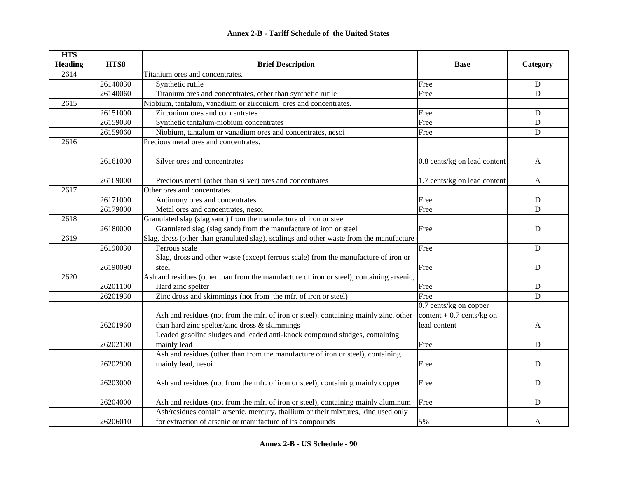| <b>HTS</b>     |          |                                                                                          |                              |             |
|----------------|----------|------------------------------------------------------------------------------------------|------------------------------|-------------|
| <b>Heading</b> | HTS8     | <b>Brief Description</b>                                                                 | <b>Base</b>                  | Category    |
| 2614           |          | Titanium ores and concentrates.                                                          |                              |             |
|                | 26140030 | Synthetic rutile                                                                         | Free                         | D           |
|                | 26140060 | Titanium ores and concentrates, other than synthetic rutile                              | Free                         | D           |
| 2615           |          | Niobium, tantalum, vanadium or zirconium ores and concentrates.                          |                              |             |
|                | 26151000 | Zirconium ores and concentrates                                                          | Free                         | D           |
|                | 26159030 | Synthetic tantalum-niobium concentrates                                                  | Free                         | D           |
|                | 26159060 | Niobium, tantalum or vanadium ores and concentrates, nesoi                               | Free                         | $\mathbf D$ |
| 2616           |          | Precious metal ores and concentrates.                                                    |                              |             |
|                | 26161000 | Silver ores and concentrates                                                             | 0.8 cents/kg on lead content | A           |
|                |          |                                                                                          |                              |             |
|                | 26169000 | Precious metal (other than silver) ores and concentrates                                 | 1.7 cents/kg on lead content | A           |
| 2617           |          | Other ores and concentrates.                                                             |                              |             |
|                | 26171000 | Antimony ores and concentrates                                                           | Free                         | D           |
|                | 26179000 | Metal ores and concentrates, nesoi                                                       | Free                         | D           |
| 2618           |          | Granulated slag (slag sand) from the manufacture of iron or steel.                       |                              |             |
|                | 26180000 | Granulated slag (slag sand) from the manufacture of iron or steel                        | Free                         | $\mathbf D$ |
| 2619           |          | Slag, dross (other than granulated slag), scalings and other waste from the manufacture  |                              |             |
|                | 26190030 | Ferrous scale                                                                            | Free                         | D           |
|                |          | Slag, dross and other waste (except ferrous scale) from the manufacture of iron or       |                              |             |
|                | 26190090 | steel                                                                                    | Free                         | D           |
| 2620           |          | Ash and residues (other than from the manufacture of iron or steel), containing arsenic, |                              |             |
|                | 26201100 | Hard zinc spelter                                                                        | Free                         | ${\bf D}$   |
|                | 26201930 | Zinc dross and skimmings (not from the mfr. of iron or steel)                            | Free                         | D           |
|                |          |                                                                                          | 0.7 cents/kg on copper       |             |
|                |          | Ash and residues (not from the mfr. of iron or steel), containing mainly zinc, other     | content + $0.7$ cents/kg on  |             |
|                | 26201960 | than hard zinc spelter/zinc dross & skimmings                                            | lead content                 | A           |
|                |          | Leaded gasoline sludges and leaded anti-knock compound sludges, containing               |                              |             |
|                | 26202100 | mainly lead                                                                              | Free                         | D           |
|                |          | Ash and residues (other than from the manufacture of iron or steel), containing          |                              |             |
|                | 26202900 | mainly lead, nesoi                                                                       | Free                         | ${\bf D}$   |
|                |          |                                                                                          |                              |             |
|                | 26203000 | Ash and residues (not from the mfr. of iron or steel), containing mainly copper          | Free                         | D           |
|                | 26204000 | Ash and residues (not from the mfr. of iron or steel), containing mainly aluminum        | Free                         | $\mathbf D$ |
|                |          | Ash/residues contain arsenic, mercury, thallium or their mixtures, kind used only        |                              |             |
|                | 26206010 | for extraction of arsenic or manufacture of its compounds                                | 5%                           | A           |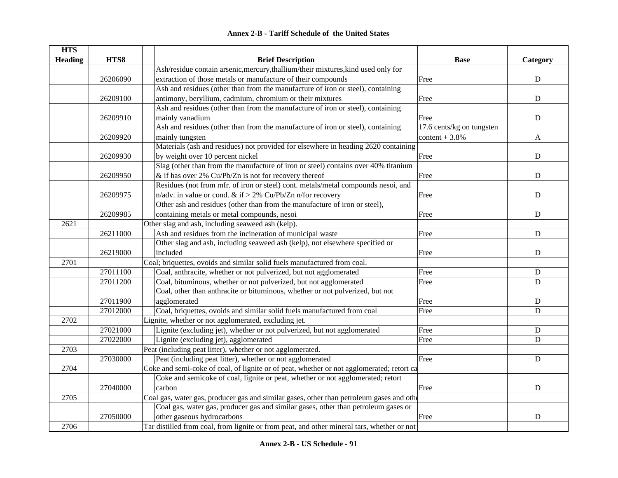| <b>Annex 2-B - Tariff Schedule of the United States</b> |
|---------------------------------------------------------|
|---------------------------------------------------------|

| <b>HTS</b>     |          |                                                                                            |                           |             |
|----------------|----------|--------------------------------------------------------------------------------------------|---------------------------|-------------|
| <b>Heading</b> | HTS8     | <b>Brief Description</b>                                                                   | <b>Base</b>               | Category    |
|                |          | Ash/residue contain arsenic, mercury, thallium/their mixtures, kind used only for          |                           |             |
|                | 26206090 | extraction of those metals or manufacture of their compounds                               | Free                      | $\mathbf D$ |
|                |          | Ash and residues (other than from the manufacture of iron or steel), containing            |                           |             |
|                | 26209100 | antimony, beryllium, cadmium, chromium or their mixtures                                   | Free                      | ${\bf D}$   |
|                |          | Ash and residues (other than from the manufacture of iron or steel), containing            |                           |             |
|                | 26209910 | mainly vanadium                                                                            | Free                      | ${\bf D}$   |
|                |          | Ash and residues (other than from the manufacture of iron or steel), containing            | 17.6 cents/kg on tungsten |             |
|                | 26209920 | mainly tungsten                                                                            | content $+3.8%$           | A           |
|                |          | Materials (ash and residues) not provided for elsewhere in heading 2620 containing         |                           |             |
|                | 26209930 | by weight over 10 percent nickel                                                           | Free                      | D           |
|                |          | Slag (other than from the manufacture of iron or steel) contains over 40% titanium         |                           |             |
|                | 26209950 | & if has over 2% Cu/Pb/Zn is not for recovery thereof                                      | Free                      | ${\bf D}$   |
|                |          | Residues (not from mfr. of iron or steel) cont. metals/metal compounds nesoi, and          |                           |             |
|                | 26209975 | n/adv. in value or cond. & if > 2% Cu/Pb/Zn n/for recovery                                 | Free                      | ${\bf D}$   |
|                |          | Other ash and residues (other than from the manufacture of iron or steel),                 |                           |             |
|                | 26209985 | containing metals or metal compounds, nesoi                                                | Free                      | ${\bf D}$   |
| 2621           |          | Other slag and ash, including seaweed ash (kelp).                                          |                           |             |
|                | 26211000 | Ash and residues from the incineration of municipal waste                                  | Free                      | $\mathbf D$ |
|                |          | Other slag and ash, including seaweed ash (kelp), not elsewhere specified or               |                           |             |
|                | 26219000 | included                                                                                   | Free                      | ${\bf D}$   |
| 2701           |          | Coal; briquettes, ovoids and similar solid fuels manufactured from coal.                   |                           |             |
|                | 27011100 | Coal, anthracite, whether or not pulverized, but not agglomerated                          | Free                      | ${\bf D}$   |
|                | 27011200 | Coal, bituminous, whether or not pulverized, but not agglomerated                          | Free                      | D           |
|                |          | Coal, other than anthracite or bituminous, whether or not pulverized, but not              |                           |             |
|                | 27011900 | agglomerated                                                                               | Free                      | ${\bf D}$   |
|                | 27012000 | Coal, briquettes, ovoids and similar solid fuels manufactured from coal                    | Free                      | $\mathbf D$ |
| 2702           |          | Lignite, whether or not agglomerated, excluding jet.                                       |                           |             |
|                | 27021000 | Lignite (excluding jet), whether or not pulverized, but not agglomerated                   | Free                      | ${\bf D}$   |
|                | 27022000 | Lignite (excluding jet), agglomerated                                                      | Free                      | D           |
| 2703           |          | Peat (including peat litter), whether or not agglomerated.                                 |                           |             |
|                | 27030000 | Peat (including peat litter), whether or not agglomerated                                  | Free                      | $\mathbf D$ |
| 2704           |          | Coke and semi-coke of coal, of lignite or of peat, whether or not agglomerated; retort ca  |                           |             |
|                |          | Coke and semicoke of coal, lignite or peat, whether or not agglomerated; retort            |                           |             |
|                | 27040000 | carbon                                                                                     | Free                      | ${\bf D}$   |
| 2705           |          | Coal gas, water gas, producer gas and similar gases, other than petroleum gases and other  |                           |             |
|                |          | Coal gas, water gas, producer gas and similar gases, other than petroleum gases or         |                           |             |
|                | 27050000 | other gaseous hydrocarbons                                                                 | Free                      | $\mathbf D$ |
| 2706           |          | Tar distilled from coal, from lignite or from peat, and other mineral tars, whether or not |                           |             |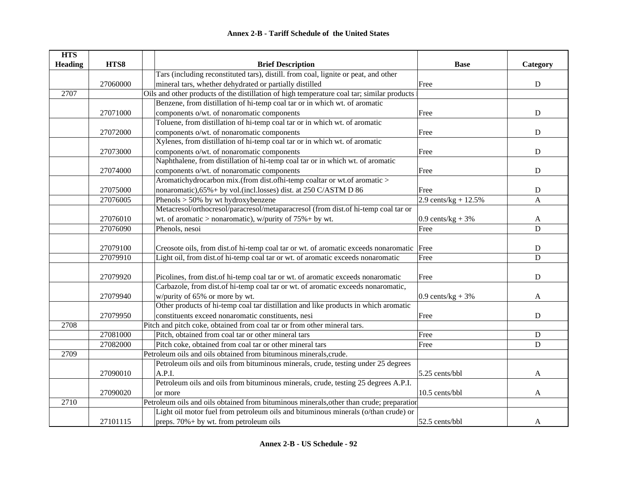| <b>HTS</b>     |          |                                                                                            |                        |                |
|----------------|----------|--------------------------------------------------------------------------------------------|------------------------|----------------|
| <b>Heading</b> | HTS8     | <b>Brief Description</b>                                                                   | <b>Base</b>            | Category       |
|                |          | Tars (including reconstituted tars), distill. from coal, lignite or peat, and other        |                        |                |
|                | 27060000 | mineral tars, whether dehydrated or partially distilled                                    | Free                   | $\mathbf D$    |
| 2707           |          | Oils and other products of the distillation of high temperature coal tar; similar products |                        |                |
|                |          | Benzene, from distillation of hi-temp coal tar or in which wt. of aromatic                 |                        |                |
|                | 27071000 | components o/wt. of nonaromatic components                                                 | Free                   | ${\bf D}$      |
|                |          | Toluene, from distillation of hi-temp coal tar or in which wt. of aromatic                 |                        |                |
|                | 27072000 | components o/wt. of nonaromatic components                                                 | Free                   | $\mathbf D$    |
|                |          | Xylenes, from distillation of hi-temp coal tar or in which wt. of aromatic                 |                        |                |
|                | 27073000 | components o/wt. of nonaromatic components                                                 | Free                   | ${\bf D}$      |
|                |          | Naphthalene, from distillation of hi-temp coal tar or in which wt. of aromatic             |                        |                |
|                | 27074000 | components o/wt. of nonaromatic components                                                 | Free                   | ${\bf D}$      |
|                |          | Aromatichydrocarbon mix.(from dist.ofhi-temp coaltar or wt.of aromatic >                   |                        |                |
|                | 27075000 | nonaromatic), 65% + by vol.(incl.losses) dist. at 250 C/ASTM D 86                          | Free                   | ${\bf D}$      |
|                | 27076005 | Phenols $> 50\%$ by wt hydroxybenzene                                                      | 2.9 cents/kg + $12.5%$ | $\mathbf{A}$   |
|                |          | Metacresol/orthocresol/paracresol/metaparacresol (from dist.of hi-temp coal tar or         |                        |                |
|                | 27076010 | wt. of aromatic > nonaromatic), w/purity of $75% + by$ wt.                                 | $0.9$ cents/kg + 3%    | $\mathbf{A}$   |
|                | 27076090 | Phenols, nesoi                                                                             | Free                   | $\overline{D}$ |
|                |          |                                                                                            |                        |                |
|                | 27079100 | Creosote oils, from dist of hi-temp coal tar or wt. of aromatic exceeds nonaromatic Free   |                        | D              |
|                | 27079910 | Light oil, from dist of hi-temp coal tar or wt. of aromatic exceeds nonaromatic            | Free                   | D              |
|                |          |                                                                                            |                        |                |
|                | 27079920 | Picolines, from dist.of hi-temp coal tar or wt. of aromatic exceeds nonaromatic            | Free                   | $\mathbf D$    |
|                |          | Carbazole, from dist.of hi-temp coal tar or wt. of aromatic exceeds nonaromatic,           |                        |                |
|                | 27079940 | w/purity of 65% or more by wt.                                                             | 0.9 cents/ $kg + 3%$   | A              |
|                |          | Other products of hi-temp coal tar distillation and like products in which aromatic        |                        |                |
|                | 27079950 | constituents exceed nonaromatic constituents, nesi                                         | Free                   | $\mathbf D$    |
| 2708           |          | Pitch and pitch coke, obtained from coal tar or from other mineral tars.                   |                        |                |
|                | 27081000 | Pitch, obtained from coal tar or other mineral tars                                        | Free                   | $\mathbf D$    |
|                | 27082000 | Pitch coke, obtained from coal tar or other mineral tars                                   | Free                   | D              |
| 2709           |          | Petroleum oils and oils obtained from bituminous minerals, crude.                          |                        |                |
|                |          | Petroleum oils and oils from bituminous minerals, crude, testing under 25 degrees          |                        |                |
|                | 27090010 | A.P.I.                                                                                     | $5.25$ cents/bbl       | A              |
|                |          | Petroleum oils and oils from bituminous minerals, crude, testing 25 degrees A.P.I.         |                        |                |
|                | 27090020 | or more                                                                                    | 10.5 cents/bbl         | $\mathbf{A}$   |
| 2710           |          | Petroleum oils and oils obtained from bituminous minerals, other than crude; preparation   |                        |                |
|                |          | Light oil motor fuel from petroleum oils and bituminous minerals (o/than crude) or         |                        |                |
|                | 27101115 | preps. $70\% + by$ wt. from petroleum oils                                                 | 52.5 cents/bbl         | A              |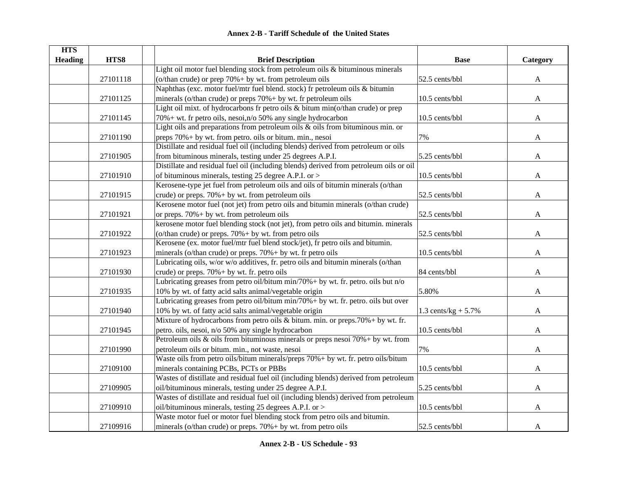| <b>HTS</b>     |          |                                                                                        |                        |              |
|----------------|----------|----------------------------------------------------------------------------------------|------------------------|--------------|
| <b>Heading</b> | HTS8     | <b>Brief Description</b>                                                               | <b>Base</b>            | Category     |
|                |          | Light oil motor fuel blending stock from petroleum oils $\&$ bituminous minerals       |                        |              |
|                | 27101118 | (o/than crude) or prep $70\% + by$ wt. from petroleum oils                             | 52.5 cents/bbl         | A            |
|                |          | Naphthas (exc. motor fuel/mtr fuel blend. stock) fr petroleum oils & bitumin           |                        |              |
|                | 27101125 | minerals (o/than crude) or preps $70\% + by$ wt. fr petroleum oils                     | 10.5 cents/bbl         | $\mathbf{A}$ |
|                |          | Light oil mixt. of hydrocarbons fr petro oils & bitum min(o/than crude) or prep        |                        |              |
|                | 27101145 | $70\% +$ wt. fr petro oils, nesoi, n/o 50% any single hydrocarbon                      | 10.5 cents/bbl         | $\mathbf{A}$ |
|                |          | Light oils and preparations from petroleum oils $\&$ oils from bituminous min. or      |                        |              |
|                | 27101190 | preps 70% + by wt. from petro. oils or bitum. min., nesoi                              | 7%                     | A            |
|                |          | Distillate and residual fuel oil (including blends) derived from petroleum or oils     |                        |              |
|                | 27101905 | from bituminous minerals, testing under 25 degrees A.P.I.                              | 5.25 cents/bbl         | A            |
|                |          | Distillate and residual fuel oil (including blends) derived from petroleum oils or oil |                        |              |
|                | 27101910 | of bituminous minerals, testing 25 degree A.P.I. or >                                  | 10.5 cents/bbl         | A            |
|                |          | Kerosene-type jet fuel from petroleum oils and oils of bitumin minerals (o/than        |                        |              |
|                | 27101915 | crude) or preps. $70\% + by$ wt. from petroleum oils                                   | 52.5 cents/bbl         | A            |
|                |          | Kerosene motor fuel (not jet) from petro oils and bitumin minerals (o/than crude)      |                        |              |
|                | 27101921 | or preps. $70\% + by$ wt. from petroleum oils                                          | 52.5 cents/bbl         | A            |
|                |          | kerosene motor fuel blending stock (not jet), from petro oils and bitumin. minerals    |                        |              |
|                | 27101922 | (o/than crude) or preps. $70\% + by$ wt. from petro oils                               | 52.5 cents/bbl         | A            |
|                |          | Kerosene (ex. motor fuel/mtr fuel blend stock/jet), fr petro oils and bitumin.         |                        |              |
|                | 27101923 | minerals (o/than crude) or preps. 70% + by wt. fr petro oils                           | 10.5 cents/bbl         | A            |
|                |          | Lubricating oils, w/or w/o additives, fr. petro oils and bitumin minerals (o/than      |                        |              |
|                | 27101930 | crude) or preps. $70\% + by$ wt. fr. petro oils                                        | 84 cents/bbl           | A            |
|                |          | Lubricating greases from petro oil/bitum min/70% + by wt. fr. petro. oils but $n/o$    |                        |              |
|                | 27101935 | 10% by wt. of fatty acid salts animal/vegetable origin                                 | 5.80%                  | A            |
|                |          | Lubricating greases from petro oil/bitum min/70%+ by wt. fr. petro. oils but over      |                        |              |
|                | 27101940 | 10% by wt. of fatty acid salts animal/vegetable origin                                 | 1.3 cents/kg + $5.7\%$ | A            |
|                |          | Mixture of hydrocarbons from petro oils $&$ bitum. min. or preps.70% + by wt. fr.      |                        |              |
|                | 27101945 | petro. oils, nesoi, n/o 50% any single hydrocarbon                                     | 10.5 cents/bbl         | A            |
|                |          | Petroleum oils & oils from bituminous minerals or preps nesoi $70% + by$ wt. from      |                        |              |
|                | 27101990 | petroleum oils or bitum. min., not waste, nesoi                                        | 7%                     | A            |
|                |          | Waste oils from petro oils/bitum minerals/preps 70% + by wt. fr. petro oils/bitum      |                        |              |
|                | 27109100 | minerals containing PCBs, PCTs or PBBs                                                 | 10.5 cents/bbl         | A            |
|                |          | Wastes of distillate and residual fuel oil (including blends) derived from petroleum   |                        |              |
|                | 27109905 | oil/bituminous minerals, testing under 25 degree A.P.I.                                | 5.25 cents/bbl         | A            |
|                |          | Wastes of distillate and residual fuel oil (including blends) derived from petroleum   |                        |              |
|                | 27109910 | oil/bituminous minerals, testing 25 degrees A.P.I. or >                                | 10.5 cents/bbl         | A            |
|                |          | Waste motor fuel or motor fuel blending stock from petro oils and bitumin.             |                        |              |
|                | 27109916 | minerals (o/than crude) or preps. $70\% + by$ wt. from petro oils                      | 52.5 cents/bbl         | A            |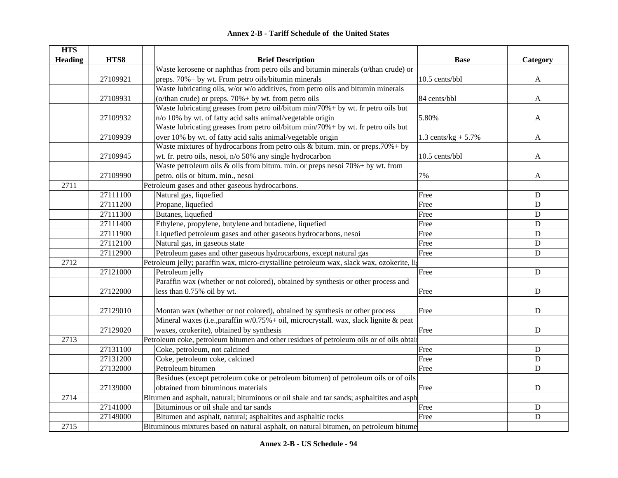| <b>Annex 2-B - Tariff Schedule of the United States</b> |
|---------------------------------------------------------|
|---------------------------------------------------------|

| <b>HTS</b>     |          |                                                                                           |                        |                |
|----------------|----------|-------------------------------------------------------------------------------------------|------------------------|----------------|
| <b>Heading</b> | HTS8     | <b>Brief Description</b>                                                                  | <b>Base</b>            | Category       |
|                |          | Waste kerosene or naphthas from petro oils and bitumin minerals (o/than crude) or         |                        |                |
|                | 27109921 | preps. 70% + by wt. From petro oils/bitumin minerals                                      | 10.5 cents/bbl         | $\mathbf{A}$   |
|                |          | Waste lubricating oils, w/or w/o additives, from petro oils and bitumin minerals          |                        |                |
|                | 27109931 | (o/than crude) or preps. 70% + by wt. from petro oils                                     | 84 cents/bbl           | A              |
|                |          | Waste lubricating greases from petro oil/bitum min/70%+ by wt. fr petro oils but          |                        |                |
|                | 27109932 | n/o 10% by wt. of fatty acid salts animal/vegetable origin                                | 5.80%                  | A              |
|                |          | Waste lubricating greases from petro oil/bitum min/70% + by wt. fr petro oils but         |                        |                |
|                | 27109939 | over 10% by wt. of fatty acid salts animal/vegetable origin                               | 1.3 cents/ $kg + 5.7%$ | A              |
|                |          | Waste mixtures of hydrocarbons from petro oils & bitum. min. or preps. $70\% + by$        |                        |                |
|                | 27109945 | wt. fr. petro oils, nesoi, n/o 50% any single hydrocarbon                                 | 10.5 cents/bbl         | A              |
|                |          | Waste petroleum oils & oils from bitum. min. or preps nesoi $70\% +$ by wt. from          |                        |                |
|                | 27109990 | petro. oils or bitum. min., nesoi                                                         | 7%                     | A              |
| 2711           |          | Petroleum gases and other gaseous hydrocarbons.                                           |                        |                |
|                | 27111100 | Natural gas, liquefied                                                                    | Free                   | $\mathbf D$    |
|                | 27111200 | Propane, liquefied                                                                        | Free                   | D              |
|                | 27111300 | Butanes, liquefied                                                                        | Free                   | $\overline{D}$ |
|                | 27111400 | Ethylene, propylene, butylene and butadiene, liquefied                                    | Free                   | D              |
|                | 27111900 | Liquefied petroleum gases and other gaseous hydrocarbons, nesoi                           | Free                   | ${\bf D}$      |
|                | 27112100 | Natural gas, in gaseous state                                                             | Free                   | ${\bf D}$      |
|                | 27112900 | Petroleum gases and other gaseous hydrocarbons, except natural gas                        | Free                   | ${\bf D}$      |
| 2712           |          | Petroleum jelly; paraffin wax, micro-crystalline petroleum wax, slack wax, ozokerite, lig |                        |                |
|                | 27121000 | Petroleum jelly                                                                           | Free                   | ${\bf D}$      |
|                |          | Paraffin wax (whether or not colored), obtained by synthesis or other process and         |                        |                |
|                | 27122000 | less than 0.75% oil by wt.                                                                | Free                   | $\mathbf D$    |
|                | 27129010 | Montan wax (whether or not colored), obtained by synthesis or other process               | Free                   | ${\bf D}$      |
|                |          | Mineral waxes (i.e., paraffin $w/0.75% +$ oil, microcrystall. wax, slack lignite & peat   |                        |                |
|                | 27129020 | waxes, ozokerite), obtained by synthesis                                                  | Free                   | D              |
| 2713           |          | Petroleum coke, petroleum bitumen and other residues of petroleum oils or of oils obtain  |                        |                |
|                | 27131100 | Coke, petroleum, not calcined                                                             | Free                   | ${\bf D}$      |
|                | 27131200 | Coke, petroleum coke, calcined                                                            | Free                   | $\mathbf D$    |
|                | 27132000 | Petroleum bitumen                                                                         | Free                   | $\mathbf D$    |
|                |          | Residues (except petroleum coke or petroleum bitumen) of petroleum oils or of oils        |                        |                |
|                | 27139000 | obtained from bituminous materials                                                        | Free                   | ${\bf D}$      |
| 2714           |          | Bitumen and asphalt, natural; bituminous or oil shale and tar sands; asphaltites and asph |                        |                |
|                | 27141000 | Bituminous or oil shale and tar sands                                                     | Free                   | $\mathbf D$    |
|                | 27149000 | Bitumen and asphalt, natural; asphaltites and asphaltic rocks                             | Free                   | ${\bf D}$      |
| 2715           |          | Bituminous mixtures based on natural asphalt, on natural bitumen, on petroleum bitume     |                        |                |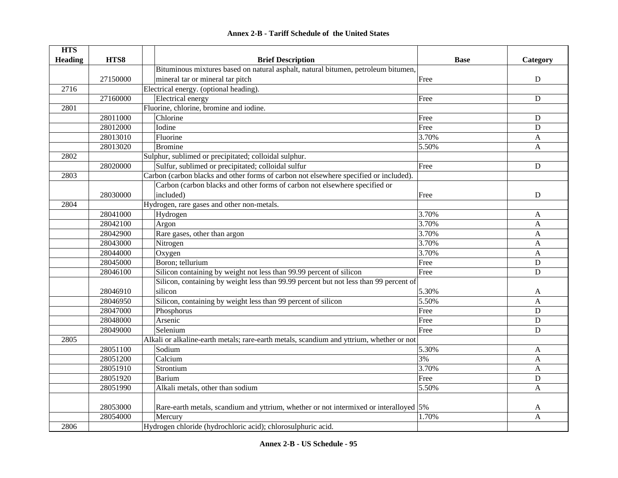| <b>HTS</b>     | HTS8     |                                                                                                               | <b>Base</b> |              |
|----------------|----------|---------------------------------------------------------------------------------------------------------------|-------------|--------------|
| <b>Heading</b> |          | <b>Brief Description</b><br>Bituminous mixtures based on natural asphalt, natural bitumen, petroleum bitumen, |             | Category     |
|                | 27150000 | mineral tar or mineral tar pitch                                                                              | Free        | ${\bf D}$    |
| 2716           |          |                                                                                                               |             |              |
|                |          | Electrical energy. (optional heading).                                                                        |             |              |
|                | 27160000 | <b>Electrical</b> energy                                                                                      | Free        | ${\bf D}$    |
| 2801           |          | Fluorine, chlorine, bromine and iodine.                                                                       |             |              |
|                | 28011000 | Chlorine                                                                                                      | Free        | D            |
|                | 28012000 | Iodine                                                                                                        | Free        | D            |
|                | 28013010 | Fluorine                                                                                                      | 3.70%       | A            |
|                | 28013020 | <b>Bromine</b>                                                                                                | 5.50%       | A            |
| 2802           |          | Sulphur, sublimed or precipitated; colloidal sulphur.                                                         |             |              |
|                | 28020000 | Sulfur, sublimed or precipitated; colloidal sulfur                                                            | Free        | ${\bf D}$    |
| 2803           |          | Carbon (carbon blacks and other forms of carbon not elsewhere specified or included).                         |             |              |
|                |          | Carbon (carbon blacks and other forms of carbon not elsewhere specified or                                    |             |              |
|                | 28030000 | included)                                                                                                     | Free        | ${\bf D}$    |
| 2804           |          | Hydrogen, rare gases and other non-metals.                                                                    |             |              |
|                | 28041000 | Hydrogen                                                                                                      | 3.70%       | A            |
|                | 28042100 | Argon                                                                                                         | 3.70%       | A            |
|                | 28042900 | Rare gases, other than argon                                                                                  | 3.70%       | A            |
|                | 28043000 | Nitrogen                                                                                                      | 3.70%       | A            |
|                | 28044000 | Oxygen                                                                                                        | 3.70%       | $\mathbf{A}$ |
|                | 28045000 | Boron; tellurium                                                                                              | Free        | ${\bf D}$    |
|                | 28046100 | Silicon containing by weight not less than 99.99 percent of silicon                                           | Free        | D            |
|                |          | Silicon, containing by weight less than 99.99 percent but not less than 99 percent of                         |             |              |
|                | 28046910 | silicon                                                                                                       | 5.30%       | A            |
|                | 28046950 | Silicon, containing by weight less than 99 percent of silicon                                                 | 5.50%       | A            |
|                | 28047000 | Phosphorus                                                                                                    | Free        | D            |
|                | 28048000 | Arsenic                                                                                                       | Free        | D            |
|                | 28049000 | Selenium                                                                                                      | Free        | D            |
| 2805           |          | Alkali or alkaline-earth metals; rare-earth metals, scandium and yttrium, whether or not                      |             |              |
|                | 28051100 | Sodium                                                                                                        | 5.30%       | $\mathbf{A}$ |
|                | 28051200 | Calcium                                                                                                       | 3%          | $\mathbf{A}$ |
|                | 28051910 | Strontium                                                                                                     | 3.70%       | $\mathbf{A}$ |
|                | 28051920 | <b>Barium</b>                                                                                                 | Free        | ${\bf D}$    |
|                | 28051990 | Alkali metals, other than sodium                                                                              | 5.50%       | A            |
|                |          |                                                                                                               |             |              |
|                | 28053000 | Rare-earth metals, scandium and yttrium, whether or not intermixed or interalloyed 5%                         |             | A            |
|                | 28054000 | Mercury                                                                                                       | 1.70%       | $\mathbf{A}$ |
| 2806           |          | Hydrogen chloride (hydrochloric acid); chlorosulphuric acid.                                                  |             |              |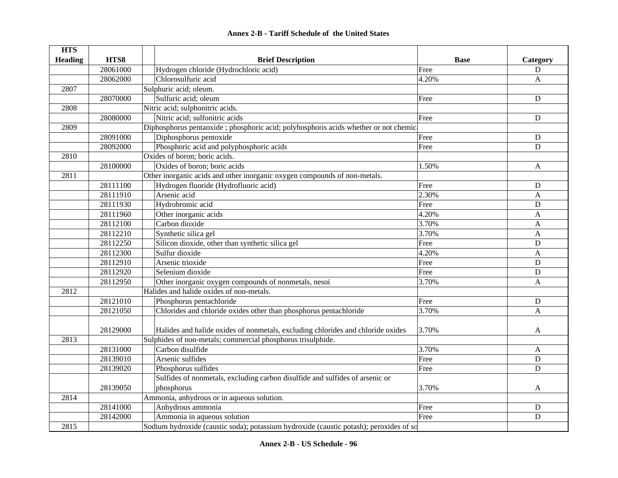| <b>HTS</b>     |          |                                                                                        |             |              |
|----------------|----------|----------------------------------------------------------------------------------------|-------------|--------------|
| <b>Heading</b> | HTS8     | <b>Brief Description</b>                                                               | <b>Base</b> | Category     |
|                | 28061000 | Hydrogen chloride (Hydrochloric acid)                                                  | Free        | D            |
|                | 28062000 | Chlorosulfuric acid                                                                    | 4.20%       | A            |
| 2807           |          | Sulphuric acid; oleum.                                                                 |             |              |
|                | 28070000 | Sulfuric acid; oleum                                                                   | Free        | $\mathbf D$  |
| 2808           |          | Nitric acid; sulphonitric acids.                                                       |             |              |
|                | 28080000 | Nitric acid; sulfonitric acids                                                         | Free        | $\mathbf D$  |
| 2809           |          | Diphosphorus pentaoxide; phosphoric acid; polyhosphoris acids whether or not chemic    |             |              |
|                | 28091000 | Diphosphorus pentoxide                                                                 | Free        | D            |
|                | 28092000 | Phosphoric acid and polyphosphoric acids                                               | Free        | D            |
| 2810           |          | Oxides of boron; boric acids.                                                          |             |              |
|                | 28100000 | Oxides of boron; boric acids                                                           | 1.50%       | $\mathbf{A}$ |
| 2811           |          | Other inorganic acids and other inorganic oxygen compounds of non-metals.              |             |              |
|                | 28111100 | Hydrogen fluoride (Hydrofluoric acid)                                                  | Free        | $\mathbf D$  |
|                | 28111910 | Arsenic acid                                                                           | 2.30%       | $\mathbf{A}$ |
|                | 28111930 | Hydrobromic acid                                                                       | Free        | $\mathbf D$  |
|                | 28111960 | Other inorganic acids                                                                  | 4.20%       | $\mathbf{A}$ |
|                | 28112100 | Carbon dioxide                                                                         | 3.70%       | $\mathbf{A}$ |
|                | 28112210 | Synthetic silica gel                                                                   | 3.70%       | A            |
|                | 28112250 | Silicon dioxide, other than synthetic silica gel                                       | Free        | $\mathbf D$  |
|                | 28112300 | Sulfur dioxide                                                                         | 4.20%       | $\mathbf{A}$ |
|                | 28112910 | Arsenic trioxide                                                                       | Free        | $\mathbf D$  |
|                | 28112920 | Selenium dioxide                                                                       | Free        | $\mathbf D$  |
|                | 28112950 | Other inorganic oxygen compounds of nonmetals, nesoi                                   | 3.70%       | $\mathbf{A}$ |
| 2812           |          | Halides and halide oxides of non-metals.                                               |             |              |
|                | 28121010 | Phosphorus pentachloride                                                               | Free        | ${\bf D}$    |
|                | 28121050 | Chlorides and chloride oxides other than phosphorus pentachloride                      | 3.70%       | $\mathbf{A}$ |
|                |          |                                                                                        |             |              |
|                | 28129000 | Halides and halide oxides of nonmetals, excluding chlorides and chloride oxides        | 3.70%       | A            |
| 2813           |          | Sulphides of non-metals; commercial phosphorus trisulphide.                            |             |              |
|                | 28131000 | Carbon disulfide                                                                       | 3.70%       | $\mathbf{A}$ |
|                | 28139010 | Arsenic sulfides                                                                       | Free        | $\mathbf D$  |
|                | 28139020 | Phosphorus sulfides                                                                    | Free        | D            |
|                |          | Sulfides of nonmetals, excluding carbon disulfide and sulfides of arsenic or           |             |              |
|                | 28139050 | phosphorus                                                                             | 3.70%       | A            |
| 2814           |          | Ammonia, anhydrous or in aqueous solution.                                             |             |              |
|                | 28141000 | Anhydrous ammonia                                                                      | Free        | D            |
|                | 28142000 | Ammonia in aqueous solution                                                            | Free        | $\mathbf D$  |
| 2815           |          | Sodium hydroxide (caustic soda); potassium hydroxide (caustic potash); peroxides of so |             |              |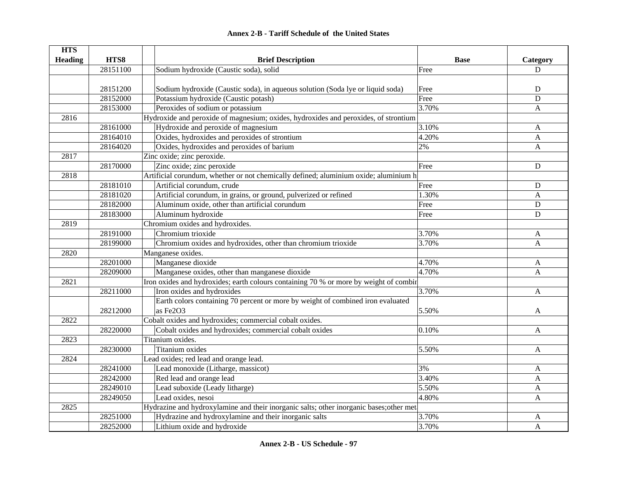| <b>HTS</b>     |          |                                                                                         |                 |              |
|----------------|----------|-----------------------------------------------------------------------------------------|-----------------|--------------|
| <b>Heading</b> | HTS8     | <b>Brief Description</b>                                                                | <b>Base</b>     | Category     |
|                | 28151100 | Sodium hydroxide (Caustic soda), solid                                                  | Free            | D            |
|                |          |                                                                                         |                 |              |
|                | 28151200 | Sodium hydroxide (Caustic soda), in aqueous solution (Soda lye or liquid soda)          | Free            | D            |
|                | 28152000 | Potassium hydroxide (Caustic potash)                                                    | Free            | $\mathbf D$  |
|                | 28153000 | Peroxides of sodium or potassium                                                        | 3.70%           | A            |
| 2816           |          | Hydroxide and peroxide of magnesium; oxides, hydroxides and peroxides, of strontium     |                 |              |
|                | 28161000 | Hydroxide and peroxide of magnesium                                                     | 3.10%           | A            |
|                | 28164010 | Oxides, hydroxides and peroxides of strontium                                           | $\sqrt{4.20\%}$ | A            |
|                | 28164020 | Oxides, hydroxides and peroxides of barium                                              | 2%              | A            |
| 2817           |          | Zinc oxide; zinc peroxide.                                                              |                 |              |
|                | 28170000 | Zinc oxide; zinc peroxide                                                               | Free            | ${\bf D}$    |
| 2818           |          | Artificial corundum, whether or not chemically defined; aluminium oxide; aluminium h    |                 |              |
|                | 28181010 | Artificial corundum, crude                                                              | Free            | ${\bf D}$    |
|                | 28181020 | Artificial corundum, in grains, or ground, pulverized or refined                        | 1.30%           | A            |
|                | 28182000 | Aluminum oxide, other than artificial corundum                                          | Free            | $\mathbf D$  |
|                | 28183000 | Aluminum hydroxide                                                                      | Free            | $\mathbf D$  |
| 2819           |          | Chromium oxides and hydroxides.                                                         |                 |              |
|                | 28191000 | Chromium trioxide                                                                       | 3.70%           | A            |
|                | 28199000 | Chromium oxides and hydroxides, other than chromium trioxide                            | 3.70%           | $\mathbf{A}$ |
| 2820           |          | Manganese oxides.                                                                       |                 |              |
|                | 28201000 | Manganese dioxide                                                                       | 4.70%           | A            |
|                | 28209000 | Manganese oxides, other than manganese dioxide                                          | 4.70%           | A            |
| 2821           |          | Iron oxides and hydroxides; earth colours containing 70 % or more by weight of combin   |                 |              |
|                | 28211000 | Iron oxides and hydroxides                                                              | 3.70%           | A            |
|                |          | Earth colors containing 70 percent or more by weight of combined iron evaluated         |                 |              |
|                | 28212000 | as Fe2O3                                                                                | 5.50%           | A            |
| 2822           |          | Cobalt oxides and hydroxides; commercial cobalt oxides.                                 |                 |              |
|                | 28220000 | Cobalt oxides and hydroxides; commercial cobalt oxides                                  | 0.10%           | A            |
| 2823           |          | Titanium oxides.                                                                        |                 |              |
|                | 28230000 | Titanium oxides                                                                         | 5.50%           | A            |
| 2824           |          | Lead oxides; red lead and orange lead.                                                  |                 |              |
|                | 28241000 | Lead monoxide (Litharge, massicot)                                                      | 3%              | A            |
|                | 28242000 | Red lead and orange lead                                                                | 3.40%           | A            |
|                | 28249010 | Lead suboxide (Leady litharge)                                                          | 5.50%           | A            |
|                | 28249050 | Lead oxides, nesoi                                                                      | 4.80%           | A            |
| 2825           |          | Hydrazine and hydroxylamine and their inorganic salts; other inorganic bases; other met |                 |              |
|                | 28251000 | Hydrazine and hydroxylamine and their inorganic salts                                   | 3.70%           | A            |
|                | 28252000 | Lithium oxide and hydroxide                                                             | 3.70%           | A            |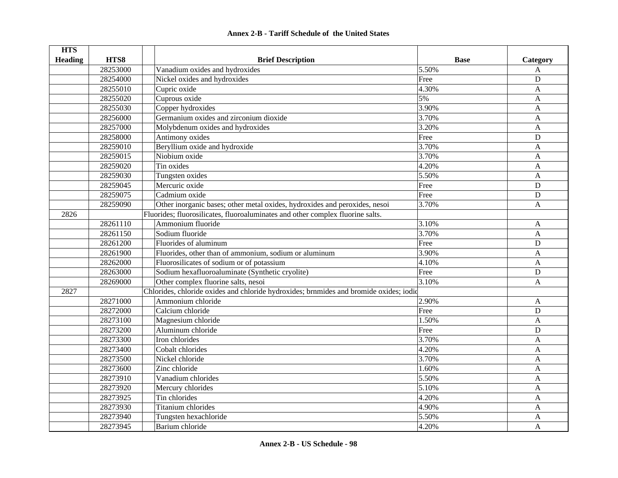| <b>HTS</b>     |          |                                                                                        |             |              |
|----------------|----------|----------------------------------------------------------------------------------------|-------------|--------------|
| <b>Heading</b> | HTS8     | <b>Brief Description</b>                                                               | <b>Base</b> | Category     |
|                | 28253000 | Vanadium oxides and hydroxides                                                         | 5.50%       | A            |
|                | 28254000 | Nickel oxides and hydroxides                                                           | Free        | $\mathbf D$  |
|                | 28255010 | Cupric oxide                                                                           | 4.30%       | $\mathbf{A}$ |
|                | 28255020 | Cuprous oxide                                                                          | 5%          | $\mathbf{A}$ |
|                | 28255030 | Copper hydroxides                                                                      | 3.90%       | $\mathbf{A}$ |
|                | 28256000 | Germanium oxides and zirconium dioxide                                                 | 3.70%       | $\mathbf{A}$ |
|                | 28257000 | Molybdenum oxides and hydroxides                                                       | 3.20%       | $\mathbf{A}$ |
|                | 28258000 | Antimony oxides                                                                        | Free        | D            |
|                | 28259010 | Beryllium oxide and hydroxide                                                          | 3.70%       | A            |
|                | 28259015 | Niobium oxide                                                                          | 3.70%       | A            |
|                | 28259020 | Tin oxides                                                                             | 4.20%       | A            |
|                | 28259030 | Tungsten oxides                                                                        | 5.50%       | $\mathbf{A}$ |
|                | 28259045 | Mercuric oxide                                                                         | Free        | $\mathbf D$  |
|                | 28259075 | Cadmium oxide                                                                          | Free        | $\mathbf D$  |
|                | 28259090 | Other inorganic bases; other metal oxides, hydroxides and peroxides, nesoi             | 3.70%       | A            |
| 2826           |          | Fluorides; fluorosilicates, fluoroaluminates and other complex fluorine salts.         |             |              |
|                | 28261110 | Ammonium fluoride                                                                      | 3.10%       | A            |
|                | 28261150 | Sodium fluoride                                                                        | 3.70%       | A            |
|                | 28261200 | Fluorides of aluminum                                                                  | Free        | $\mathbf D$  |
|                | 28261900 | Fluorides, other than of ammonium, sodium or aluminum                                  | 3.90%       | $\mathbf{A}$ |
|                | 28262000 | Fluorosilicates of sodium or of potassium                                              | 4.10%       | $\mathbf{A}$ |
|                | 28263000 | Sodium hexafluoroaluminate (Synthetic cryolite)                                        | Free        | ${\bf D}$    |
|                | 28269000 | Other complex fluorine salts, nesoi                                                    | 3.10%       | $\mathbf{A}$ |
| 2827           |          | Chlorides, chloride oxides and chloride hydroxides; brnmides and bromide oxides; iodid |             |              |
|                | 28271000 | Ammonium chloride                                                                      | 2.90%       | A            |
|                | 28272000 | Calcium chloride                                                                       | Free        | ${\bf D}$    |
|                | 28273100 | Magnesium chloride                                                                     | 1.50%       | A            |
|                | 28273200 | Aluminum chloride                                                                      | Free        | $\mathbf D$  |
|                | 28273300 | Iron chlorides                                                                         | 3.70%       | $\mathbf{A}$ |
|                | 28273400 | Cobalt chlorides                                                                       | 4.20%       | $\mathbf{A}$ |
|                | 28273500 | Nickel chloride                                                                        | 3.70%       | A            |
|                | 28273600 | Zinc chloride                                                                          | 1.60%       | $\mathbf{A}$ |
|                | 28273910 | Vanadium chlorides                                                                     | 5.50%       | $\mathbf{A}$ |
|                | 28273920 | Mercury chlorides                                                                      | 5.10%       | A            |
|                | 28273925 | Tin chlorides                                                                          | 4.20%       | A            |
|                | 28273930 | Titanium chlorides                                                                     | 4.90%       | $\mathbf{A}$ |
|                | 28273940 | Tungsten hexachloride                                                                  | 5.50%       | $\mathbf{A}$ |
|                | 28273945 | Barium chloride                                                                        | 4.20%       | $\mathbf{A}$ |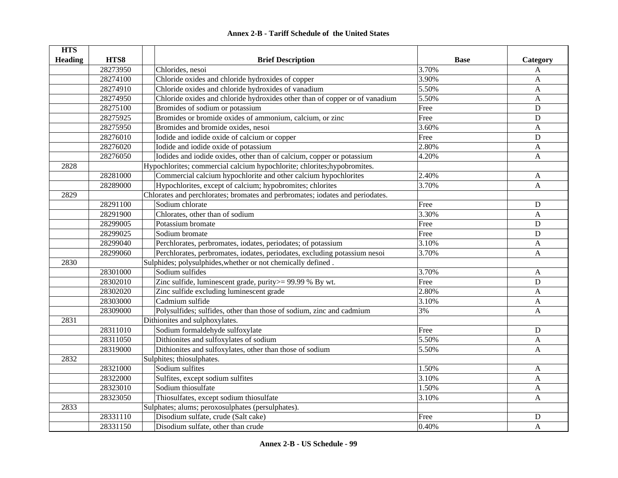| <b>HTS</b>     |          |                                                                               |             |                |
|----------------|----------|-------------------------------------------------------------------------------|-------------|----------------|
| <b>Heading</b> | HTS8     | <b>Brief Description</b>                                                      | <b>Base</b> | Category       |
|                | 28273950 | Chlorides, nesoi                                                              | 3.70%       | A              |
|                | 28274100 | Chloride oxides and chloride hydroxides of copper                             | 3.90%       | A              |
|                | 28274910 | Chloride oxides and chloride hydroxides of vanadium                           | 5.50%       | A              |
|                | 28274950 | Chloride oxides and chloride hydroxides other than of copper or of vanadium   | 5.50%       | A              |
|                | 28275100 | Bromides of sodium or potassium                                               | Free        | D              |
|                | 28275925 | Bromides or bromide oxides of ammonium, calcium, or zinc                      | Free        | D              |
|                | 28275950 | Bromides and bromide oxides, nesoi                                            | 3.60%       | $\mathbf{A}$   |
|                | 28276010 | Iodide and iodide oxide of calcium or copper                                  | Free        | D              |
|                | 28276020 | Iodide and iodide oxide of potassium                                          | 2.80%       | A              |
|                | 28276050 | Iodides and iodide oxides, other than of calcium, copper or potassium         | 4.20%       | A              |
| 2828           |          | Hypochlorites; commercial calcium hypochlorite; chlorites; hypobromites.      |             |                |
|                | 28281000 | Commercial calcium hypochlorite and other calcium hypochlorites               | 2.40%       | A              |
|                | 28289000 | Hypochlorites, except of calcium; hypobromites; chlorites                     | 3.70%       | A              |
| 2829           |          | Chlorates and perchlorates; bromates and perbromates; iodates and periodates. |             |                |
|                | 28291100 | Sodium chlorate                                                               | Free        | D              |
|                | 28291900 | Chlorates, other than of sodium                                               | 3.30%       | $\mathbf{A}$   |
|                | 28299005 | Potassium bromate                                                             | Free        | D              |
|                | 28299025 | Sodium bromate                                                                | Free        | D              |
|                | 28299040 | Perchlorates, perbromates, iodates, periodates; of potassium                  | 3.10%       | $\mathbf{A}$   |
|                | 28299060 | Perchlorates, perbromates, iodates, periodates, excluding potassium nesoi     | 3.70%       | A              |
| 2830           |          | Sulphides; polysulphides, whether or not chemically defined.                  |             |                |
|                | 28301000 | Sodium sulfides                                                               | 3.70%       | $\mathbf{A}$   |
|                | 28302010 | Zinc sulfide, luminescent grade, purity > = 99.99 % By wt.                    | Free        | D              |
|                | 28302020 | Zinc sulfide excluding luminescent grade                                      | 2.80%       | $\mathbf{A}$   |
|                | 28303000 | Cadmium sulfide                                                               | 3.10%       | $\overline{A}$ |
|                | 28309000 | Polysulfides; sulfides, other than those of sodium, zinc and cadmium          | 3%          | $\mathbf{A}$   |
| 2831           |          | Dithionites and sulphoxylates.                                                |             |                |
|                | 28311010 | Sodium formaldehyde sulfoxylate                                               | Free        | D              |
|                | 28311050 | Dithionites and sulfoxylates of sodium                                        | 5.50%       | A              |
|                | 28319000 | Dithionites and sulfoxylates, other than those of sodium                      | 5.50%       | A              |
| 2832           |          | Sulphites; thiosulphates.                                                     |             |                |
|                | 28321000 | Sodium sulfites                                                               | 1.50%       | A              |
|                | 28322000 | Sulfites, except sodium sulfites                                              | 3.10%       | A              |
|                | 28323010 | Sodium thiosulfate                                                            | 1.50%       | A              |
|                | 28323050 | Thiosulfates, except sodium thiosulfate                                       | 3.10%       | $\mathbf{A}$   |
| 2833           |          | Sulphates; alums; peroxosulphates (persulphates).                             |             |                |
|                | 28331110 | Disodium sulfate, crude (Salt cake)                                           | Free        | D              |
|                | 28331150 | Disodium sulfate, other than crude                                            | 0.40%       | $\overline{A}$ |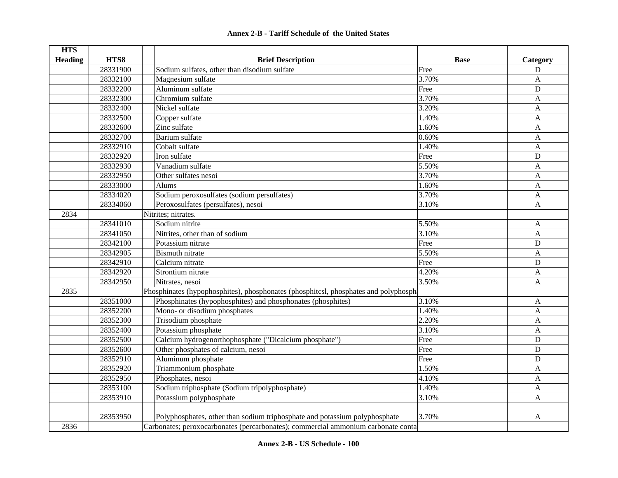# **HTS Heading are HTS8 are EXECUTE: Brief Description Base Base Category** 28331900 Sodium sulfates, other than disodium sulfate Free Free Press, 28331900 Sodium sulfate 28332100 Magnesium sulfate A 28332200 Aluminum sulfate D 28332300 Chromium sulfate A and 3.70% A and 3.70% A 28332400 Nickel sulfate 3.20% A 28332500 Copper sulfate  $1.40\%$  A 28332600 Zinc sulfate  $\overline{1.60\%}$  A 28332700 Barium sulfate A and the contract of the contract of the contract of the contract of the contract of the contract of the contract of the contract of the contract of the contract of the contract of the contract of 28332910 Cobalt sulfate 1.40% A 28332920 I lifon sulfate D 28332930 Vanadium sulfate 5.50% A28332950 Other sulfates nesoi 3.70% A 28333000 Alums A and the set of the set of the set of the set of the set of the set of the set of the set of t 28334020 Sodium peroxosulfates (sodium persulfates) 3.70% 3.70% A 28334060 Peroxosulfates (persulfates), nesoi 3.10% A 2834Nitrites; nitrates. 28341010 Sodium nitrite A and the Second Second Second Second Second Second Second Second Second Second Second S 28341050 Nitrites, other than of sodium 3.10% 3.10% A 28342100 Potassium nitrate D 28342905 Bismuth nitrate 5.50% A28342910 Calcium nitrate D 28342920 Strontium nitrate A and the strong service of the strong and the strong service of the A 28342950 Nitrates, nesoi A 2835Phosphinates (hypophosphites), phosphonates (phosphitcsl, phosphates and polyphosph 28351000 Phosphinates (hypophosphites) and phosphonates (phosphites) 3.10% 3.10% A 28352200 Mono- or disodium phosphates 1.40% A 28352300 Trisodium phosphate 2.20% A 28352400 Potassium phosphate 3.10% A 28352500 Calcium hydrogenorthophosphate ("Dicalcium phosphate") Free D 28352600 Other phosphates of calcium, nesoi Free Free D 28352910 Aluminum phosphate D 28352920 Triammonium phosphate 1.50% A 28352950 Phosphates, nesoi 4.10% A 28353100 Sodium triphosphate (Sodium tripolyphosphate) 1.40% 1.40% A 28353910 Potassium polyphosphate A and 3.10% A and 3.10% A 28353950 Polyphosphates, other than sodium triphosphate and potassium polyphosphate 3.70% A 2836Carbonates; peroxocarbonates (percarbonates); commercial ammonium carbonate conta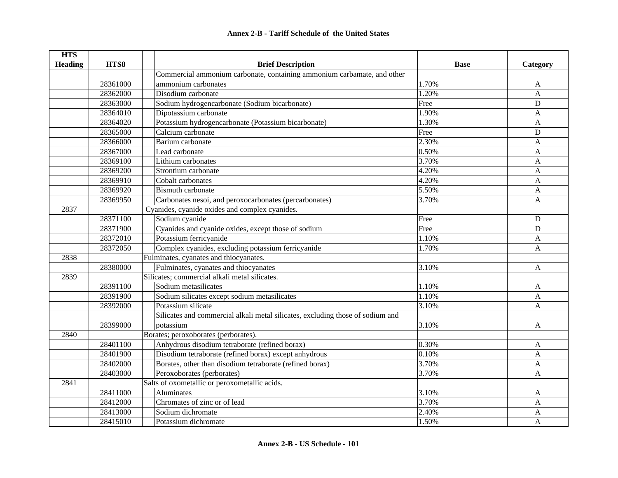| <b>HTS</b>     |          |                                                                                |             |              |
|----------------|----------|--------------------------------------------------------------------------------|-------------|--------------|
| <b>Heading</b> | HTS8     | <b>Brief Description</b>                                                       | <b>Base</b> | Category     |
|                |          | Commercial ammonium carbonate, containing ammonium carbamate, and other        |             |              |
|                | 28361000 | ammonium carbonates                                                            | 1.70%       | A            |
|                | 28362000 | Disodium carbonate                                                             | 1.20%       | A            |
|                | 28363000 | Sodium hydrogencarbonate (Sodium bicarbonate)                                  | Free        | $\mathbf D$  |
|                | 28364010 | Dipotassium carbonate                                                          | 1.90%       | A            |
|                | 28364020 | Potassium hydrogencarbonate (Potassium bicarbonate)                            | 1.30%       | A            |
|                | 28365000 | Calcium carbonate                                                              | Free        | $\mathbf D$  |
|                | 28366000 | Barium carbonate                                                               | 2.30%       | A            |
|                | 28367000 | Lead carbonate                                                                 | 0.50%       | A            |
|                | 28369100 | Lithium carbonates                                                             | 3.70%       | A            |
|                | 28369200 | Strontium carbonate                                                            | 4.20%       | A            |
|                | 28369910 | Cobalt carbonates                                                              | 4.20%       | A            |
|                | 28369920 | <b>Bismuth carbonate</b>                                                       | 5.50%       | A            |
|                | 28369950 | Carbonates nesoi, and peroxocarbonates (percarbonates)                         | 3.70%       | A            |
| 2837           |          | Cyanides, cyanide oxides and complex cyanides.                                 |             |              |
|                | 28371100 | Sodium cyanide                                                                 | Free        | $\mathbf D$  |
|                | 28371900 | Cyanides and cyanide oxides, except those of sodium                            | Free        | D            |
|                | 28372010 | Potassium ferricyanide                                                         | 1.10%       | A            |
|                | 28372050 | Complex cyanides, excluding potassium ferricyanide                             | 1.70%       | $\mathbf{A}$ |
| 2838           |          | Fulminates, cyanates and thiocyanates.                                         |             |              |
|                | 28380000 | Fulminates, cyanates and thiocyanates                                          | 3.10%       | $\mathbf{A}$ |
| 2839           |          | Silicates; commercial alkali metal silicates.                                  |             |              |
|                | 28391100 | Sodium metasilicates                                                           | 1.10%       | A            |
|                | 28391900 | Sodium silicates except sodium metasilicates                                   | 1.10%       | $\mathbf A$  |
|                | 28392000 | Potassium silicate                                                             | 3.10%       | $\mathbf{A}$ |
|                |          | Silicates and commercial alkali metal silicates, excluding those of sodium and |             |              |
|                | 28399000 | potassium                                                                      | 3.10%       | A            |
| 2840           |          | Borates; peroxoborates (perborates).                                           |             |              |
|                | 28401100 | Anhydrous disodium tetraborate (refined borax)                                 | 0.30%       | A            |
|                | 28401900 | Disodium tetraborate (refined borax) except anhydrous                          | 0.10%       | A            |
|                | 28402000 | Borates, other than disodium tetraborate (refined borax)                       | 3.70%       | A            |
|                | 28403000 | Peroxoborates (perborates)                                                     | 3.70%       | A            |
| 2841           |          | Salts of oxometallic or peroxometallic acids.                                  |             |              |
|                | 28411000 | <b>Aluminates</b>                                                              | 3.10%       | A            |
|                | 28412000 | Chromates of zinc or of lead                                                   | 3.70%       | A            |
|                | 28413000 | Sodium dichromate                                                              | 2.40%       | $\mathbf{A}$ |
|                | 28415010 | Potassium dichromate                                                           | 1.50%       | A            |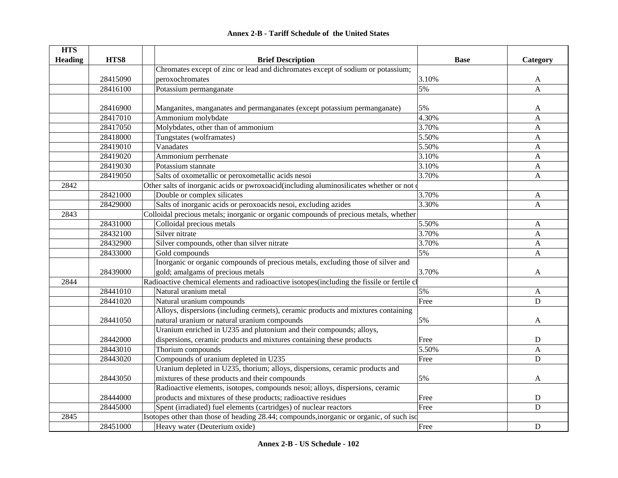| <b>HTS</b>     |          |                                                                                            |             |              |
|----------------|----------|--------------------------------------------------------------------------------------------|-------------|--------------|
| <b>Heading</b> | HTS8     | <b>Brief Description</b>                                                                   | <b>Base</b> | Category     |
|                |          | Chromates except of zinc or lead and dichromates except of sodium or potassium;            |             |              |
|                | 28415090 | peroxochromates                                                                            | 3.10%       | A            |
|                | 28416100 | Potassium permanganate                                                                     | 5%          | $\mathbf{A}$ |
|                |          |                                                                                            |             |              |
|                | 28416900 | Manganites, manganates and permanganates (except potassium permanganate)                   | 5%          | A            |
|                | 28417010 | Ammonium molybdate                                                                         | 4.30%       | $\mathbf{A}$ |
|                | 28417050 | Molybdates, other than of ammonium                                                         | 3.70%       | $\mathbf{A}$ |
|                | 28418000 | Tungstates (wolframates)                                                                   | 5.50%       | A            |
|                | 28419010 | Vanadates                                                                                  | 5.50%       | A            |
|                | 28419020 | Ammonium perrhenate                                                                        | 3.10%       | A            |
|                | 28419030 | Potassium stannate                                                                         | 3.10%       | $\mathbf{A}$ |
|                | 28419050 | Salts of oxometallic or peroxometallic acids nesoi                                         | 3.70%       | $\mathbf{A}$ |
| 2842           |          | Other salts of inorganic acids or pwroxoacid(including aluminosilicates whether or not of  |             |              |
|                | 28421000 | Double or complex silicates                                                                | 3.70%       | $\mathbf{A}$ |
|                | 28429000 | Salts of inorganic acids or peroxoacids nesoi, excluding azides                            | 3.30%       | $\mathbf{A}$ |
| 2843           |          | Colloidal precious metals; inorganic or organic compounds of precious metals, whether      |             |              |
|                | 28431000 | Colloidal precious metals                                                                  | 5.50%       | A            |
|                | 28432100 | Silver nitrate                                                                             | 3.70%       | $\mathbf{A}$ |
|                | 28432900 | Silver compounds, other than silver nitrate                                                | 3.70%       | A            |
|                | 28433000 | Gold compounds                                                                             | 5%          | $\mathbf{A}$ |
|                |          | Inorganic or organic compounds of precious metals, excluding those of silver and           |             |              |
|                | 28439000 | gold; amalgams of precious metals                                                          | 3.70%       | A            |
| 2844           |          | Radioactive chemical elements and radioactive isotopes(including the fissile or fertile cl |             |              |
|                | 28441010 | Natural uranium metal                                                                      | 5%          | A            |
|                | 28441020 | Natural uranium compounds                                                                  | Free        | $\mathbf D$  |
|                |          | Alloys, dispersions (including cermets), ceramic products and mixtures containing          |             |              |
|                | 28441050 | natural uranium or natural uranium compounds                                               | 5%          | A            |
|                |          | Uranium enriched in U235 and plutonium and their compounds; alloys,                        |             |              |
|                | 28442000 | dispersions, ceramic products and mixtures containing these products                       | Free        | $\mathbf D$  |
|                | 28443010 | Thorium compounds                                                                          | 5.50%       | $\mathbf{A}$ |
|                | 28443020 | Compounds of uranium depleted in U235                                                      | Free        | D            |
|                |          | Uranium depleted in U235, thorium; alloys, dispersions, ceramic products and               |             |              |
|                | 28443050 | mixtures of these products and their compounds                                             | 5%          | A            |
|                |          | Radioactive elements, isotopes, compounds nesoi; alloys, dispersions, ceramic              |             |              |
|                | 28444000 | products and mixtures of these products; radioactive residues                              | Free        | ${\bf D}$    |
|                | 28445000 | Spent (irradiated) fuel elements (cartridges) of nuclear reactors                          | Free        | $\mathbf D$  |
| 2845           |          | Isotopes other than those of heading 28.44; compounds, inorganic or organic, of such iso   |             |              |
|                | 28451000 | Heavy water (Deuterium oxide)                                                              | Free        | $\mathbf D$  |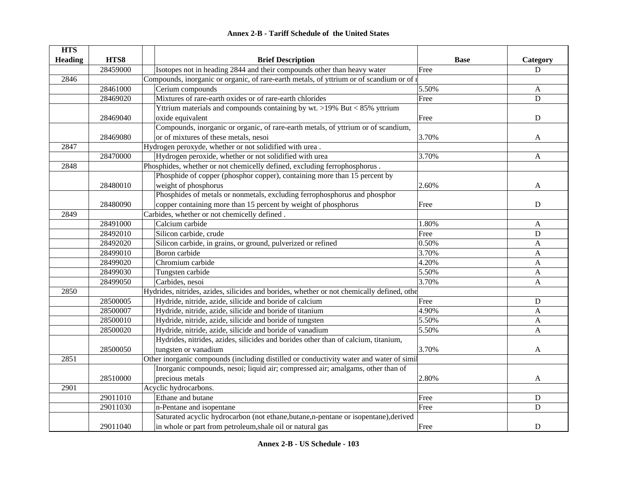| <b>Annex 2-B - Tariff Schedule of the United States</b> |  |
|---------------------------------------------------------|--|
|---------------------------------------------------------|--|

| <b>HTS</b>     |          |                                                                                            |             |             |
|----------------|----------|--------------------------------------------------------------------------------------------|-------------|-------------|
| <b>Heading</b> | HTS8     | <b>Brief Description</b>                                                                   | <b>Base</b> | Category    |
|                | 28459000 | Isotopes not in heading 2844 and their compounds other than heavy water                    | Free        | D           |
| 2846           |          | Compounds, inorganic or organic, of rare-earth metals, of yttrium or of scandium or of 1   |             |             |
|                | 28461000 | Cerium compounds                                                                           | 5.50%       | A           |
|                | 28469020 | Mixtures of rare-earth oxides or of rare-earth chlorides                                   | Free        | ${\bf D}$   |
|                |          | Yttrium materials and compounds containing by wt. >19% But < 85% yttrium                   |             |             |
|                | 28469040 | oxide equivalent                                                                           | Free        | ${\bf D}$   |
|                |          | Compounds, inorganic or organic, of rare-earth metals, of yttrium or of scandium,          |             |             |
|                | 28469080 | or of mixtures of these metals, nesoi                                                      | 3.70%       | A           |
| 2847           |          | Hydrogen peroxyde, whether or not solidified with urea.                                    |             |             |
|                | 28470000 | Hydrogen peroxide, whether or not solidified with urea                                     | 3.70%       | A           |
| 2848           |          | Phosphides, whether or not chemicelly defined, excluding ferrophosphorus.                  |             |             |
|                |          | Phosphide of copper (phosphor copper), containing more than 15 percent by                  |             |             |
|                | 28480010 | weight of phosphorus                                                                       | 2.60%       | A           |
|                |          | Phosphides of metals or nonmetals, excluding ferrophosphorus and phosphor                  |             |             |
|                | 28480090 | copper containing more than 15 percent by weight of phosphorus                             | Free        | $\mathbf D$ |
| 2849           |          | Carbides, whether or not chemicelly defined.                                               |             |             |
|                | 28491000 | Calcium carbide                                                                            | 1.80%       | A           |
|                | 28492010 | Silicon carbide, crude                                                                     | Free        | $\mathbf D$ |
|                | 28492020 | Silicon carbide, in grains, or ground, pulverized or refined                               | 0.50%       | A           |
|                | 28499010 | Boron carbide                                                                              | 3.70%       | A           |
|                | 28499020 | Chromium carbide                                                                           | 4.20%       | A           |
|                | 28499030 | Tungsten carbide                                                                           | 5.50%       | A           |
|                | 28499050 | Carbides, nesoi                                                                            | 3.70%       | A           |
| 2850           |          | Hydrides, nitrides, azides, silicides and borides, whether or not chemically defined, othe |             |             |
|                | 28500005 | Hydride, nitride, azide, silicide and boride of calcium                                    | Free        | $\mathbf D$ |
|                | 28500007 | Hydride, nitride, azide, silicide and boride of titanium                                   | 4.90%       | A           |
|                | 28500010 | Hydride, nitride, azide, silicide and boride of tungsten                                   | 5.50%       | A           |
|                | 28500020 | Hydride, nitride, azide, silicide and boride of vanadium                                   | 5.50%       | A           |
|                |          | Hydrides, nitrides, azides, silicides and borides other than of calcium, titanium,         |             |             |
|                | 28500050 | tungsten or vanadium                                                                       | 3.70%       | A           |
| 2851           |          | Other inorganic compounds (including distilled or conductivity water and water of simil    |             |             |
|                |          | Inorganic compounds, nesoi; liquid air; compressed air; amalgams, other than of            |             |             |
|                | 28510000 | precious metals                                                                            | 2.80%       | A           |
| 2901           |          | Acyclic hydrocarbons.                                                                      |             |             |
|                | 29011010 | Ethane and butane                                                                          | Free        | ${\bf D}$   |
|                | 29011030 | n-Pentane and isopentane                                                                   | Free        | D           |
|                |          | Saturated acyclic hydrocarbon (not ethane, butane, n-pentane or isopentane), derived       |             |             |
|                | 29011040 | in whole or part from petroleum, shale oil or natural gas                                  | Free        | D           |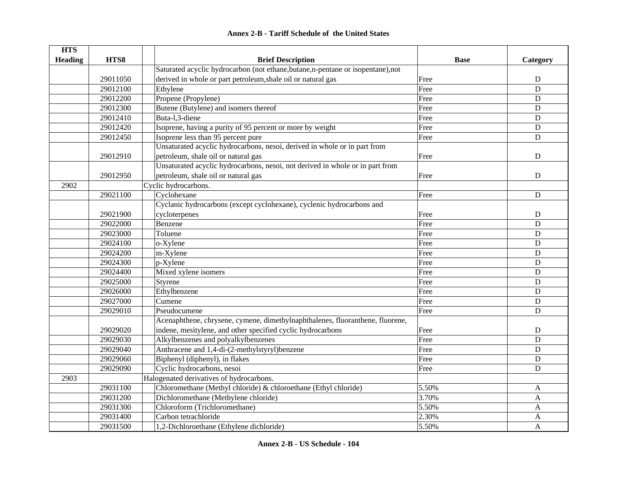#### **HTS Heading HTS8 Brief Description Base Category** 29011050Saturated acyclic hydrocarbon (not ethane,butane,n-pentane or isopentane),not derived in whole or part petroleum, shale oil or natural gas Free Free Free Press, and the D 29012100 Ethylene D 29012200 Propene (Propylene) Best and the Second Second Second Second Second Second Second Second Second Second Second Second Second Second Second Second Second Second Second Second Second Second Second Second Second Secon 29012300 Butene (Butylene) and isomers thereof Free D 29012410 | Buta-l,3-diene D 29012420 Isoprene, having a purity of 95 percent or more by weight Free Free D 29012450 Isoprene less than 95 percent pure Free D 29012910Unsaturated acyclic hydrocarbons, nesoi, derived in whole or in part from petroleum, shale oil or natural gas  $\qquad \qquad$  D 29012950 Unsaturated acyclic hydrocarbons, nesoi, not derived in whole or in part from petroleum, shale oil or natural gas  $\qquad \qquad$  D 2902Cyclic hydrocarbons. 29021100 Cyclohexane D 29021900Cyclanic hydrocarbons (except cyclohexane), cyclenic hydrocarbons and cycloterpenes and the property of the cycloterpenes and the property of the D D D D D D D D D D D D D D D D D D 29022000 Benzene Duitse Benzene Benzene Benzene Benzene Benzene Benzene Benzene Benzene Benzene Benzene Benzen 29023000 Toluene Free D29024100 o-Xylene Free D 29024200 m-Xylene Free D 29024300 p-Xylene Free D 29024400 Mixed xylene isomers **Free** Books and the United States of the United States of the United States of D 29025000 Styrene Free D 29026000 Ethylbenzene Download Barris (Expedition of the Download Barris of the D 29027000 Cumene Free D29029010 Pseudocumene Free D29029020Acenaphthene, chrysene, cymene, dimethylnaphthalenes, fluoranthene, fluorene, indene, mesitylene, and other specified cyclic hydrocarbons Free Free Free Press, provide the D 29029030 Alkylbenzenes and polyalkylbenzenes Free D 29029040 Anthracene and 1,4-di-(2-methylstyryl)benzene Free D 29029060 Biphenyl (diphenyl), in flakes Free D<br>29029090 Cyclic hydrocarbons, nesoi Free D **2902** Cyclic hydrocarbons, nesoi **Free** D 2903Halogenated derivatives of hydrocarbons. 29031100 Chloromethane (Methyl chloride) & chloroethane (Ethyl chloride) 5.50% A 29031200 Dichloromethane (Methylene chloride) 3.70% 3.70% A 29031300 Chloroform (Trichloromethane) 5.50% A 29031400 Carbon tetrachloride 2.30% A

# **Annex 2-B - Tariff Schedule of the United States**

29031500 1.2-Dichloroethane (Ethylene dichloride) 5.50% 5.50% A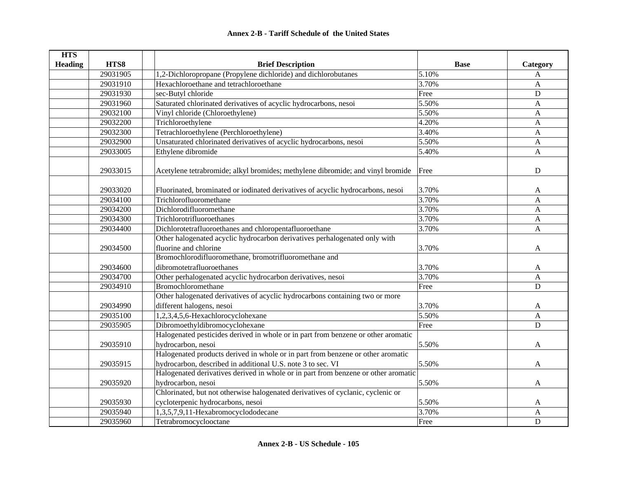| <b>HTS</b>     |          |                                                                                    |             |                |
|----------------|----------|------------------------------------------------------------------------------------|-------------|----------------|
| <b>Heading</b> | HTS8     | <b>Brief Description</b>                                                           | <b>Base</b> | Category       |
|                | 29031905 | 1,2-Dichloropropane (Propylene dichloride) and dichlorobutanes                     | 5.10%       | A              |
|                | 29031910 | Hexachloroethane and tetrachloroethane                                             | 3.70%       | A              |
|                | 29031930 | sec-Butyl chloride                                                                 | Free        | $\mathbf D$    |
|                | 29031960 | Saturated chlorinated derivatives of acyclic hydrocarbons, nesoi                   | 5.50%       | A              |
|                | 29032100 | Vinyl chloride (Chloroethylene)                                                    | 5.50%       | A              |
|                | 29032200 | Trichloroethylene                                                                  | 4.20%       | A              |
|                | 29032300 | Tetrachloroethylene (Perchloroethylene)                                            | 3.40%       | A              |
|                | 29032900 | Unsaturated chlorinated derivatives of acyclic hydrocarbons, nesoi                 | 5.50%       | A              |
|                | 29033005 | Ethylene dibromide                                                                 | 5.40%       | A              |
|                | 29033015 | Acetylene tetrabromide; alkyl bromides; methylene dibromide; and vinyl bromide     | Free        | $\mathbf D$    |
|                | 29033020 | Fluorinated, brominated or iodinated derivatives of acyclic hydrocarbons, nesoi    | 3.70%       | A              |
|                | 29034100 | Trichlorofluoromethane                                                             | 3.70%       | A              |
|                | 29034200 | Dichlorodifluoromethane                                                            | 3.70%       | A              |
|                | 29034300 | Trichlorotrifluoroethanes                                                          | 3.70%       | A              |
|                | 29034400 | Dichlorotetrafluoroethanes and chloropentafluoroethane                             | 3.70%       | A              |
|                |          | Other halogenated acyclic hydrocarbon derivatives perhalogenated only with         |             |                |
|                | 29034500 | fluorine and chlorine                                                              | 3.70%       | A              |
|                |          | Bromochlorodifluoromethane, bromotrifluoromethane and                              |             |                |
|                | 29034600 | dibromotetrafluoroethanes                                                          | 3.70%       | A              |
|                | 29034700 | Other perhalogenated acyclic hydrocarbon derivatives, nesoi                        | 3.70%       | A              |
|                | 29034910 | Bromochloromethane                                                                 | Free        | D              |
|                |          | Other halogenated derivatives of acyclic hydrocarbons containing two or more       |             |                |
|                | 29034990 | different halogens, nesoi                                                          | 3.70%       | A              |
|                | 29035100 | 1,2,3,4,5,6-Hexachlorocyclohexane                                                  | 5.50%       | $\overline{A}$ |
|                | 29035905 | Dibromoethyldibromocyclohexane                                                     | Free        | D              |
|                |          | Halogenated pesticides derived in whole or in part from benzene or other aromatic  |             |                |
|                | 29035910 | hydrocarbon, nesoi                                                                 | 5.50%       | A              |
|                |          | Halogenated products derived in whole or in part from benzene or other aromatic    |             |                |
|                | 29035915 | hydrocarbon, described in additional U.S. note 3 to sec. VI                        | 5.50%       | A              |
|                |          | Halogenated derivatives derived in whole or in part from benzene or other aromatic |             |                |
|                | 29035920 | hydrocarbon, nesoi                                                                 | 5.50%       | A              |
|                |          | Chlorinated, but not otherwise halogenated derivatives of cyclanic, cyclenic or    |             |                |
|                | 29035930 | cycloterpenic hydrocarbons, nesoi                                                  | 5.50%       | A              |
|                | 29035940 | 1,3,5,7,9,11-Hexabromocyclododecane                                                | 3.70%       | $\mathbf{A}$   |
|                | 29035960 | Tetrabromocyclooctane                                                              | Free        | D              |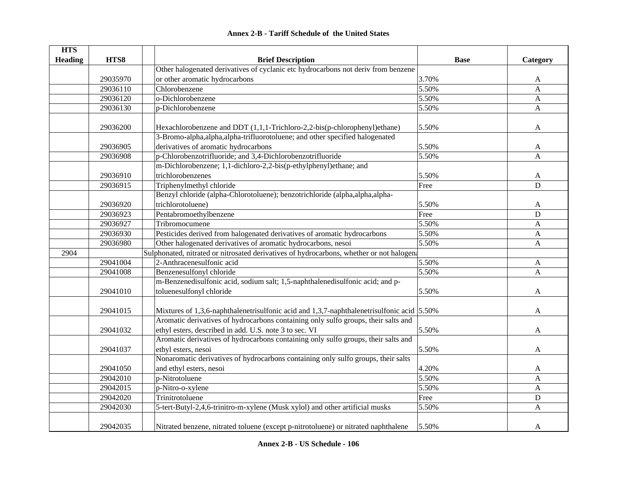| <b>Annex 2-B - Tariff Schedule of the United States</b> |  |
|---------------------------------------------------------|--|
|---------------------------------------------------------|--|

| <b>HTS</b>     |          |                                                                                                |             |              |
|----------------|----------|------------------------------------------------------------------------------------------------|-------------|--------------|
| <b>Heading</b> | HTS8     | <b>Brief Description</b>                                                                       | <b>Base</b> | Category     |
|                |          | Other halogenated derivatives of cyclanic etc hydrocarbons not deriv from benzene              |             |              |
|                | 29035970 | or other aromatic hydrocarbons                                                                 | 3.70%       | A            |
|                | 29036110 | Chlorobenzene                                                                                  | 5.50%       | $\mathbf{A}$ |
|                | 29036120 | o-Dichlorobenzene                                                                              | 5.50%       | A            |
|                | 29036130 | p-Dichlorobenzene                                                                              | 5.50%       | A            |
|                |          |                                                                                                |             |              |
|                | 29036200 | Hexachlorobenzene and DDT (1,1,1-Trichloro-2,2-bis(p-chlorophenyl)ethane)                      | 5.50%       | A            |
|                |          | 3-Bromo-alpha,alpha,alpha-trifluorotoluene; and other specified halogenated                    |             |              |
|                | 29036905 | derivatives of aromatic hydrocarbons                                                           | 5.50%       | A            |
|                | 29036908 | p-Chlorobenzotrifluoride; and 3,4-Dichlorobenzotrifluoride                                     | 5.50%       | A            |
|                |          | m-Dichlorobenzene; 1,1-dichloro-2,2-bis(p-ethylphenyl)ethane; and                              |             |              |
|                | 29036910 | trichlorobenzenes                                                                              | 5.50%       | A            |
|                | 29036915 | Triphenylmethyl chloride                                                                       | Free        | D            |
|                |          | Benzyl chloride (alpha-Chlorotoluene); benzotrichloride (alpha,alpha,alpha-                    |             |              |
|                | 29036920 | trichlorotoluene)                                                                              | 5.50%       | A            |
|                | 29036923 | Pentabromoethylbenzene                                                                         | Free        | D            |
|                | 29036927 | Tribromocumene                                                                                 | 5.50%       | $\mathbf{A}$ |
|                | 29036930 | Pesticides derived from halogenated derivatives of aromatic hydrocarbons                       | 5.50%       | A            |
|                | 29036980 | Other halogenated derivatives of aromatic hydrocarbons, nesoi                                  | 5.50%       | A            |
| 2904           |          | Sulphonated, nitrated or nitrosated derivatives of hydrocarbons, whether or not halogena       |             |              |
|                | 29041004 | 2-Anthracenesulfonic acid                                                                      | 5.50%       | $\mathbf{A}$ |
|                | 29041008 | Benzenesulfonyl chloride                                                                       | 5.50%       | A            |
|                |          | m-Benzenedisulfonic acid, sodium salt; 1,5-naphthalenedisulfonic acid; and p-                  |             |              |
|                | 29041010 | toluenesulfonyl chloride                                                                       | 5.50%       | A            |
|                |          |                                                                                                |             |              |
|                | 29041015 | Mixtures of 1,3,6-naphthalenetrisulfonic acid and 1,3,7-naphthalenetrisulfonic acid $ 5.50\% $ |             | A            |
|                |          | Aromatic derivatives of hydrocarbons containing only sulfo groups, their salts and             |             |              |
|                | 29041032 | ethyl esters, described in add. U.S. note 3 to sec. VI                                         | 5.50%       | A            |
|                |          | Aromatic derivatives of hydrocarbons containing only sulfo groups, their salts and             |             |              |
|                | 29041037 | ethyl esters, nesoi                                                                            | 5.50%       | A            |
|                |          | Nonaromatic derivatives of hydrocarbons containing only sulfo groups, their salts              |             |              |
|                | 29041050 | and ethyl esters, nesoi                                                                        | 4.20%       | A            |
|                | 29042010 | p-Nitrotoluene                                                                                 | 5.50%       | A            |
|                | 29042015 | p-Nitro-o-xylene                                                                               | 5.50%       | $\mathbf{A}$ |
|                | 29042020 | Trinitrotoluene                                                                                | Free        | $\mathbf D$  |
|                | 29042030 | 5-tert-Butyl-2,4,6-trinitro-m-xylene (Musk xylol) and other artificial musks                   | 5.50%       | A            |
|                |          |                                                                                                |             |              |
|                | 29042035 | Nitrated benzene, nitrated toluene (except p-nitrotoluene) or nitrated naphthalene             | 5.50%       | A            |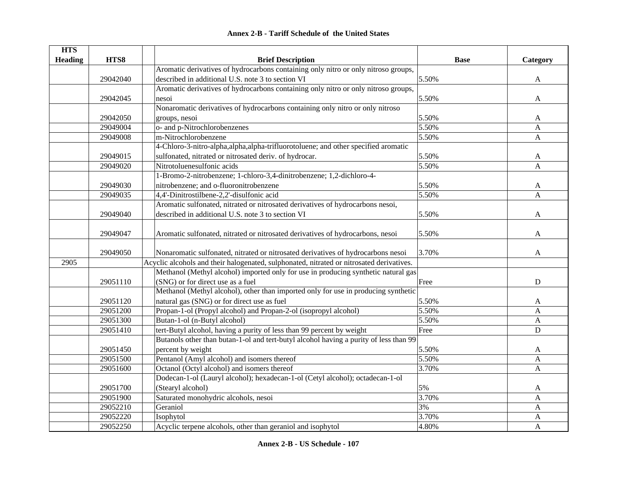| <b>HTS</b>     |          |                                                                                          |             |              |
|----------------|----------|------------------------------------------------------------------------------------------|-------------|--------------|
| <b>Heading</b> | HTS8     | <b>Brief Description</b>                                                                 | <b>Base</b> | Category     |
|                |          | Aromatic derivatives of hydrocarbons containing only nitro or only nitroso groups,       |             |              |
|                | 29042040 | described in additional U.S. note 3 to section VI                                        | 5.50%       | $\mathbf{A}$ |
|                |          | Aromatic derivatives of hydrocarbons containing only nitro or only nitroso groups,       |             |              |
|                | 29042045 | nesoi                                                                                    | 5.50%       | A            |
|                |          | Nonaromatic derivatives of hydrocarbons containing only nitro or only nitroso            |             |              |
|                | 29042050 | groups, nesoi                                                                            | 5.50%       | A            |
|                | 29049004 | o- and p-Nitrochlorobenzenes                                                             | 5.50%       | A            |
|                | 29049008 | m-Nitrochlorobenzene                                                                     | 5.50%       | A            |
|                |          | 4-Chloro-3-nitro-alpha,alpha,alpha-trifluorotoluene; and other specified aromatic        |             |              |
|                | 29049015 | sulfonated, nitrated or nitrosated deriv. of hydrocar.                                   | 5.50%       | A            |
|                | 29049020 | Nitrotoluenesulfonic acids                                                               | 5.50%       | A            |
|                |          | 1-Bromo-2-nitrobenzene; 1-chloro-3,4-dinitrobenzene; 1,2-dichloro-4-                     |             |              |
|                | 29049030 | nitrobenzene; and o-fluoronitrobenzene                                                   | 5.50%       | A            |
|                | 29049035 | 4,4'-Dinitrostilbene-2,2'-disulfonic acid                                                | 5.50%       | A            |
|                |          | Aromatic sulfonated, nitrated or nitrosated derivatives of hydrocarbons nesoi,           |             |              |
|                | 29049040 | described in additional U.S. note 3 to section VI                                        | 5.50%       | A            |
|                |          |                                                                                          |             |              |
|                | 29049047 | Aromatic sulfonated, nitrated or nitrosated derivatives of hydrocarbons, nesoi           | 5.50%       | A            |
|                |          |                                                                                          |             |              |
|                | 29049050 | Nonaromatic sulfonated, nitrated or nitrosated derivatives of hydrocarbons nesoi         | 3.70%       | A            |
| 2905           |          | Acyclic alcohols and their halogenated, sulphonated, nitrated or nitrosated derivatives. |             |              |
|                |          | Methanol (Methyl alcohol) imported only for use in producing synthetic natural gas       |             |              |
|                | 29051110 | (SNG) or for direct use as a fuel                                                        | Free        | $\mathbf D$  |
|                |          | Methanol (Methyl alcohol), other than imported only for use in producing synthetic       |             |              |
|                | 29051120 | natural gas (SNG) or for direct use as fuel                                              | 5.50%       | A            |
|                | 29051200 | Propan-1-ol (Propyl alcohol) and Propan-2-ol (isopropyl alcohol)                         | 5.50%       | $\mathbf{A}$ |
|                | 29051300 | Butan-1-ol (n-Butyl alcohol)                                                             | 5.50%       | A            |
|                | 29051410 | tert-Butyl alcohol, having a purity of less than 99 percent by weight                    | Free        | $\mathbf D$  |
|                |          | Butanols other than butan-1-ol and tert-butyl alcohol having a purity of less than 99    |             |              |
|                | 29051450 | percent by weight                                                                        | 5.50%       | A            |
|                | 29051500 | Pentanol (Amyl alcohol) and isomers thereof                                              | 5.50%       | A            |
|                | 29051600 | Octanol (Octyl alcohol) and isomers thereof                                              | 3.70%       | A            |
|                |          | Dodecan-1-ol (Lauryl alcohol); hexadecan-1-ol (Cetyl alcohol); octadecan-1-ol            |             |              |
|                | 29051700 | (Stearyl alcohol)                                                                        | 5%          | A            |
|                | 29051900 | Saturated monohydric alcohols, nesoi                                                     | 3.70%       | A            |
|                | 29052210 | Geraniol                                                                                 | 3%          | A            |
|                | 29052220 | Isophytol                                                                                | 3.70%       | A            |
|                | 29052250 | Acyclic terpene alcohols, other than geraniol and isophytol                              | 4.80%       | A            |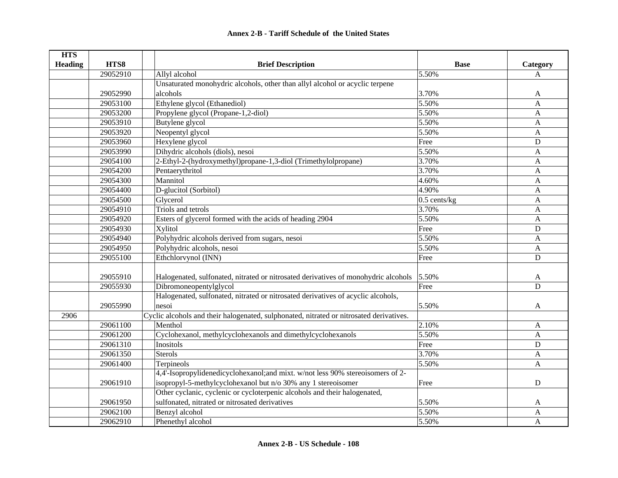| <b>HTS</b>     |          |                                                                                         |                |                |
|----------------|----------|-----------------------------------------------------------------------------------------|----------------|----------------|
| <b>Heading</b> | HTS8     | <b>Brief Description</b>                                                                | <b>Base</b>    | Category       |
|                | 29052910 | Allyl alcohol                                                                           | 5.50%          | A              |
|                |          | Unsaturated monohydric alcohols, other than allyl alcohol or acyclic terpene            |                |                |
|                | 29052990 | alcohols                                                                                | 3.70%          | A              |
|                | 29053100 | Ethylene glycol (Ethanediol)                                                            | 5.50%          | $\mathbf{A}$   |
|                | 29053200 | Propylene glycol (Propane-1,2-diol)                                                     | 5.50%          | $\mathbf{A}$   |
|                | 29053910 | Butylene glycol                                                                         | 5.50%          | A              |
|                | 29053920 | Neopentyl glycol                                                                        | 5.50%          | A              |
|                | 29053960 | Hexylene glycol                                                                         | Free           | $\mathbf D$    |
|                | 29053990 | Dihydric alcohols (diols), nesoi                                                        | 5.50%          | A              |
|                | 29054100 | 2-Ethyl-2-(hydroxymethyl)propane-1,3-diol (Trimethylolpropane)                          | 3.70%          | A              |
|                | 29054200 | Pentaerythritol                                                                         | 3.70%          | $\mathbf{A}$   |
|                | 29054300 | Mannitol                                                                                | 4.60%          | $\overline{A}$ |
|                | 29054400 | D-glucitol (Sorbitol)                                                                   | 4.90%          | A              |
|                | 29054500 | Glycerol                                                                                | $0.5$ cents/kg | $\mathbf{A}$   |
|                | 29054910 | Triols and tetrols                                                                      | 3.70%          | $\mathbf{A}$   |
|                | 29054920 | Esters of glycerol formed with the acids of heading 2904                                | 5.50%          | $\mathbf{A}$   |
|                | 29054930 | Xylitol                                                                                 | Free           | D              |
|                | 29054940 | Polyhydric alcohols derived from sugars, nesoi                                          | 5.50%          | $\mathbf{A}$   |
|                | 29054950 | Polyhydric alcohols, nesoi                                                              | 5.50%          | $\mathbf{A}$   |
|                | 29055100 | Ethchlorvynol (INN)                                                                     | Free           | $\mathbf D$    |
|                |          |                                                                                         |                |                |
|                | 29055910 | Halogenated, sulfonated, nitrated or nitrosated derivatives of monohydric alcohols      | 5.50%          | A              |
|                | 29055930 | Dibromoneopentylglycol                                                                  | Free           | D              |
|                |          | Halogenated, sulfonated, nitrated or nitrosated derivatives of acyclic alcohols,        |                |                |
|                | 29055990 | nesoi                                                                                   | 5.50%          | A              |
| 2906           |          | Cyclic alcohols and their halogenated, sulphonated, nitrated or nitrosated derivatives. |                |                |
|                | 29061100 | Menthol                                                                                 | 2.10%          | A              |
|                | 29061200 | Cyclohexanol, methylcyclohexanols and dimethylcyclohexanols                             | 5.50%          | $\mathbf{A}$   |
|                | 29061310 | Inositols                                                                               | Free           | D              |
|                | 29061350 | <b>Sterols</b>                                                                          | 3.70%          | $\mathbf{A}$   |
|                | 29061400 | Terpineols                                                                              | 5.50%          | A              |
|                |          | 4,4'-Isopropylidenedicyclohexanol;and mixt. w/not less 90% stereoisomers of 2-          |                |                |
|                | 29061910 | isopropyl-5-methylcyclohexanol but n/o 30% any 1 stereoisomer                           | Free           | D              |
|                |          | Other cyclanic, cyclenic or cycloterpenic alcohols and their halogenated,               |                |                |
|                | 29061950 | sulfonated, nitrated or nitrosated derivatives                                          | 5.50%          | A              |
|                | 29062100 | Benzyl alcohol                                                                          | 5.50%          | $\overline{A}$ |
|                | 29062910 | Phenethyl alcohol                                                                       | 5.50%          | A              |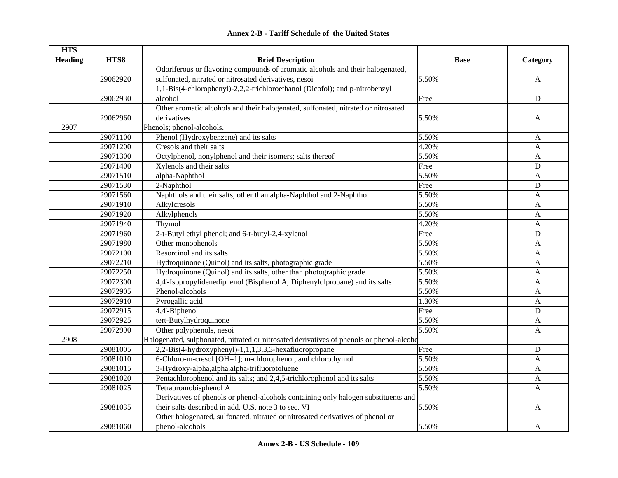#### **HTS Heading HTS8 Brief Description Base Category** 29062920Odoriferous or flavoring compounds of aromatic alcohols and their halogenated, sulfonated, nitrated or nitrosated derivatives, nesoi 5.50% 5.50% A 29062930 1,1-Bis(4-chlorophenyl)-2,2,2-trichloroethanol (Dicofol); and p-nitrobenzyl alcohol Free D29062960Other aromatic alcohols and their halogenated, sulfonated, nitrated or nitrosated derivatives A and A and A and A and A and A and A and A and A and A and A and A and A and A and A and A and A 2907Phenols; phenol-alcohols. 29071100 Phenol (Hydroxybenzene) and its salts 5.50% 5.50% A 29071200 Cresols and their salts 4.20% A 29071300 Octylphenol, nonylphenol and their isomers; salts thereof 5.50% 5.50% A 29071400 Xylenols and their salts **Example 20071400** Free D 29071510 alpha-Naphthol A 3.50% A 29071530 20071530 20071530 20071530 20071530 20071530 20071530 20071530 20071530 20071530 200716020 200716020 29071560 Naphthols and their salts, other than alpha-Naphthol and 2-Naphthol 5.50% A 29071910 Alkylcresols 5.50% A 29071920 | Alkylphenols **Alkylphenols** 5.50% A 29071940 Thymol 4.20% A 29071960 2-t-Butyl ethyl phenol; and 6-t-butyl-2,4-xylenol Free Free D 29071980 Other monophenols A and the state of the state of the state of the state of the state of the state of the state of the state of the state of the state of the state of the state of the state of the state of the sta  $29072100$  Resorcinol and its salts  $29072100$  Resorcinol and its salts 29072210 Hydroquinone (Quinol) and its salts, photographic grade 5.50% 5.50% A 29072250 Hydroquinone (Quinol) and its salts, other than photographic grade 5.50% A 29072300 4,4'-Isopropylidenediphenol (Bisphenol A, Diphenylolpropane) and its salts 5.50% A 29072905 Phenol-alcohols A (2007) 29072905 Phenol-alcohols A (3.50% A (3.50% A (3.50% A  $\pm$ 29072910 Pyrogallic acid A 29072915 4,4'-Biphenol Free D 29072925 tert-Butylhydroquinone 5.50% A 29072990 Other polyphenols, nesoi 5.50% A 2908Halogenated, sulphonated, nitrated or nitrosated derivatives of phenols or phenol-alcoho 29081005 2,2-Bis(4-hydroxyphenyl)-1,1,1,3,3,3-hexafluoropropane Free D 29081010 6-Chloro-m-cresol [OH=1]; m-chlorophenol; and chlorothymol 5.50% A 29081015 3-Hydroxy-alpha,alpha,alpha-trifluorotoluene 5.50% A 29081020 Pentachlorophenol and its salts; and 2,4,5-trichlorophenol and its salts 5.50% A 29081025 Tetrabromobisphenol A 5.50% A 29081035Derivatives of phenols or phenol-alcohols containing only halogen substituents and their salts described in add. U.S. note 3 to sec. VI  $5.50\%$  A 29081060Other halogenated, sulfonated, nitrated or nitrosated derivatives of phenol or phenol-alcohols A and the set of the set of the set of the set of the set of the set of the set of the set of the set of the set of the set of the set of the set of the set of the set of the set of the set of the set of th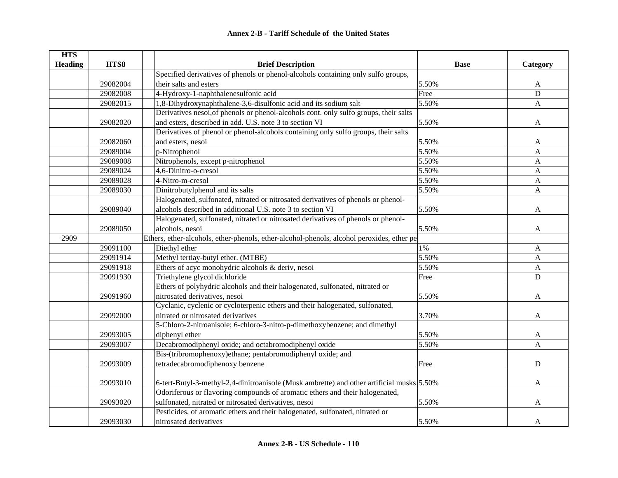| <b>HTS</b>     |          |                                                                                           |             |              |
|----------------|----------|-------------------------------------------------------------------------------------------|-------------|--------------|
| <b>Heading</b> | HTS8     | <b>Brief Description</b>                                                                  | <b>Base</b> | Category     |
|                |          | Specified derivatives of phenols or phenol-alcohols containing only sulfo groups,         |             |              |
|                | 29082004 | their salts and esters                                                                    | 5.50%       | A            |
|                | 29082008 | 4-Hydroxy-1-naphthalenesulfonic acid                                                      | Free        | $\mathbf D$  |
|                | 29082015 | 1,8-Dihydroxynaphthalene-3,6-disulfonic acid and its sodium salt                          | 5.50%       | $\mathbf{A}$ |
|                |          | Derivatives nesoi, of phenols or phenol-alcohols cont. only sulfo groups, their salts     |             |              |
|                | 29082020 | and esters, described in add. U.S. note 3 to section VI                                   | 5.50%       | A            |
|                |          | Derivatives of phenol or phenol-alcohols containing only sulfo groups, their salts        |             |              |
|                | 29082060 | and esters, nesoi                                                                         | 5.50%       | A            |
|                | 29089004 | p-Nitrophenol                                                                             | 5.50%       | A            |
|                | 29089008 | Nitrophenols, except p-nitrophenol                                                        | 5.50%       | $\mathbf{A}$ |
|                | 29089024 | 4,6-Dinitro-o-cresol                                                                      | 5.50%       | A            |
|                | 29089028 | 4-Nitro-m-cresol                                                                          | 5.50%       | A            |
|                | 29089030 | Dinitrobutylphenol and its salts                                                          | 5.50%       | $\mathbf{A}$ |
|                |          | Halogenated, sulfonated, nitrated or nitrosated derivatives of phenols or phenol-         |             |              |
|                | 29089040 | alcohols described in additional U.S. note 3 to section VI                                | 5.50%       | A            |
|                |          | Halogenated, sulfonated, nitrated or nitrosated derivatives of phenols or phenol-         |             |              |
|                | 29089050 | alcohols, nesoi                                                                           | 5.50%       | A            |
| 2909           |          | Ethers, ether-alcohols, ether-phenols, ether-alcohol-phenols, alcohol peroxides, ether pe |             |              |
|                | 29091100 | Diethyl ether                                                                             | 1%          | A            |
|                | 29091914 | Methyl tertiay-butyl ether. (MTBE)                                                        | 5.50%       | $\mathbf{A}$ |
|                | 29091918 | Ethers of acyc monohydric alcohols & deriv, nesoi                                         | 5.50%       | $\mathbf{A}$ |
|                | 29091930 | Triethylene glycol dichloride                                                             | Free        | $\mathbf D$  |
|                |          | Ethers of polyhydric alcohols and their halogenated, sulfonated, nitrated or              |             |              |
|                | 29091960 | nitrosated derivatives, nesoi                                                             | 5.50%       | A            |
|                |          | Cyclanic, cyclenic or cycloterpenic ethers and their halogenated, sulfonated,             |             |              |
|                | 29092000 | nitrated or nitrosated derivatives                                                        | 3.70%       | A            |
|                |          | 5-Chloro-2-nitroanisole; 6-chloro-3-nitro-p-dimethoxybenzene; and dimethyl                |             |              |
|                | 29093005 | diphenyl ether                                                                            | 5.50%       | A            |
|                | 29093007 | Decabromodiphenyl oxide; and octabromodiphenyl oxide                                      | 5.50%       | A            |
|                |          | Bis-(tribromophenoxy)ethane; pentabromodiphenyl oxide; and                                |             |              |
|                | 29093009 | tetradecabromodiphenoxy benzene                                                           | Free        | ${\bf D}$    |
|                |          |                                                                                           |             |              |
|                | 29093010 | 6-tert-Butyl-3-methyl-2,4-dinitroanisole (Musk ambrette) and other artificial musks 5.50% |             | A            |
|                |          | Odoriferous or flavoring compounds of aromatic ethers and their halogenated,              |             |              |
|                | 29093020 | sulfonated, nitrated or nitrosated derivatives, nesoi                                     | 5.50%       | A            |
|                |          | Pesticides, of aromatic ethers and their halogenated, sulfonated, nitrated or             |             |              |
|                | 29093030 | nitrosated derivatives                                                                    | 5.50%       | A            |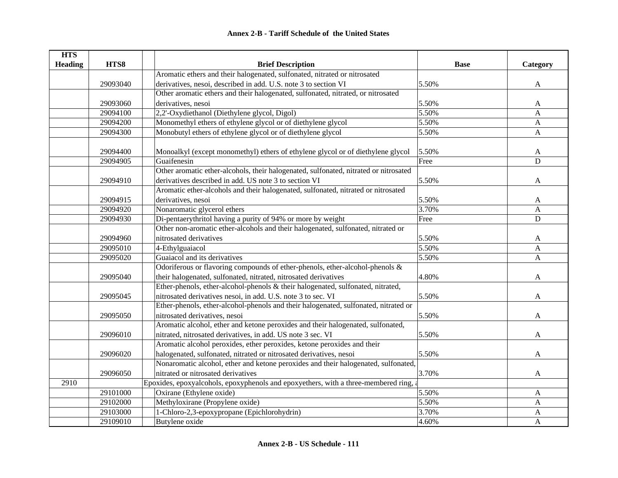| <b>HTS</b>     |                                                                                      |                                                                                      |             |              |
|----------------|--------------------------------------------------------------------------------------|--------------------------------------------------------------------------------------|-------------|--------------|
| <b>Heading</b> | HTS8                                                                                 | <b>Brief Description</b>                                                             | <b>Base</b> | Category     |
|                |                                                                                      | Aromatic ethers and their halogenated, sulfonated, nitrated or nitrosated            |             |              |
|                | derivatives, nesoi, described in add. U.S. note 3 to section VI<br>29093040<br>5.50% |                                                                                      |             | A            |
|                |                                                                                      | Other aromatic ethers and their halogenated, sulfonated, nitrated, or nitrosated     |             |              |
|                | 29093060                                                                             | derivatives, nesoi                                                                   | 5.50%       | A            |
|                | 29094100                                                                             | 2,2'-Oxydiethanol (Diethylene glycol, Digol)                                         | 5.50%       | A            |
|                | 29094200                                                                             | Monomethyl ethers of ethylene glycol or of diethylene glycol                         | 5.50%       | A            |
|                | 29094300                                                                             | Monobutyl ethers of ethylene glycol or of diethylene glycol                          | 5.50%       | $\mathbf{A}$ |
|                |                                                                                      |                                                                                      |             |              |
|                | 29094400                                                                             | Monoalkyl (except monomethyl) ethers of ethylene glycol or of diethylene glycol      | 5.50%       | A            |
|                | 29094905                                                                             | Guaifenesin                                                                          | Free        | ${\bf D}$    |
|                |                                                                                      | Other aromatic ether-alcohols, their halogenated, sulfonated, nitrated or nitrosated |             |              |
|                | 29094910                                                                             | derivatives described in add. US note 3 to section VI                                | 5.50%       | A            |
|                |                                                                                      | Aromatic ether-alcohols and their halogenated, sulfonated, nitrated or nitrosated    |             |              |
|                | 29094915                                                                             | derivatives, nesoi                                                                   | 5.50%       | A            |
|                | 29094920                                                                             | Nonaromatic glycerol ethers                                                          | 3.70%       | A            |
|                | 29094930                                                                             | Di-pentaerythritol having a purity of 94% or more by weight                          | Free        | $\mathbf D$  |
|                |                                                                                      | Other non-aromatic ether-alcohols and their halogenated, sulfonated, nitrated or     |             |              |
|                | 29094960                                                                             | nitrosated derivatives                                                               | 5.50%       | A            |
|                | 29095010                                                                             | 4-Ethylguaiacol                                                                      | 5.50%       | $\mathbf{A}$ |
|                | 29095020                                                                             | Guaiacol and its derivatives                                                         | 5.50%       | $\mathbf{A}$ |
|                |                                                                                      | Odoriferous or flavoring compounds of ether-phenols, ether-alcohol-phenols &         |             |              |
|                | 29095040                                                                             | their halogenated, sulfonated, nitrated, nitrosated derivatives                      | 4.80%       | A            |
|                |                                                                                      | Ether-phenols, ether-alcohol-phenols & their halogenated, sulfonated, nitrated,      |             |              |
|                | 29095045                                                                             | nitrosated derivatives nesoi, in add. U.S. note 3 to sec. VI                         | 5.50%       | A            |
|                |                                                                                      | Ether-phenols, ether-alcohol-phenols and their halogenated, sulfonated, nitrated or  |             |              |
|                | 29095050                                                                             | nitrosated derivatives, nesoi                                                        | 5.50%       | A            |
|                |                                                                                      | Aromatic alcohol, ether and ketone peroxides and their halogenated, sulfonated,      |             |              |
|                | 29096010                                                                             | nitrated, nitrosated derivatives, in add. US note 3 sec. VI                          | 5.50%       | A            |
|                |                                                                                      | Aromatic alcohol peroxides, ether peroxides, ketone peroxides and their              |             |              |
|                | 29096020                                                                             | halogenated, sulfonated, nitrated or nitrosated derivatives, nesoi                   | 5.50%       | A            |
|                |                                                                                      | Nonaromatic alcohol, ether and ketone peroxides and their halogenated, sulfonated,   |             |              |
|                | 29096050                                                                             | nitrated or nitrosated derivatives                                                   | 3.70%       | A            |
| 2910           |                                                                                      | Epoxides, epoxyalcohols, epoxyphenols and epoxyethers, with a three-membered ring, a |             |              |
|                | 29101000                                                                             | Oxirane (Ethylene oxide)                                                             | 5.50%       | A            |
|                | 29102000                                                                             | Methyloxirane (Propylene oxide)                                                      | 5.50%       | A            |
|                | 29103000                                                                             | 1-Chloro-2,3-epoxypropane (Epichlorohydrin)                                          | 3.70%       | $\mathbf A$  |
|                | 29109010                                                                             | Butylene oxide                                                                       | 4.60%       | A            |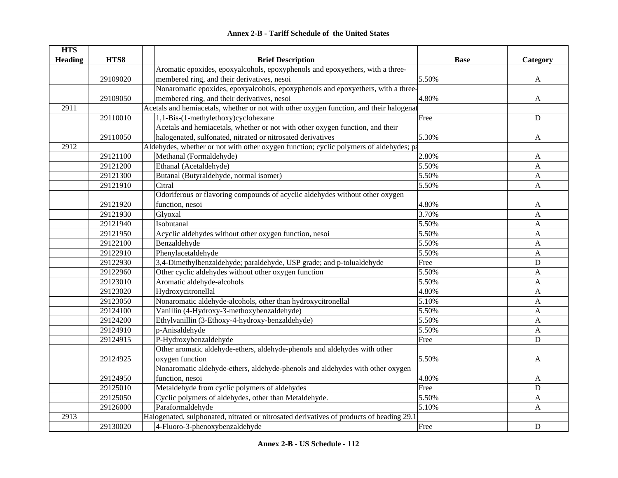| <b>HTS</b>     |          |                                                                                          |             |              |
|----------------|----------|------------------------------------------------------------------------------------------|-------------|--------------|
| <b>Heading</b> | HTS8     | <b>Brief Description</b>                                                                 | <b>Base</b> | Category     |
|                |          | Aromatic epoxides, epoxyalcohols, epoxyphenols and epoxyethers, with a three-            |             |              |
|                | 29109020 | membered ring, and their derivatives, nesoi                                              | 5.50%       | $\mathbf{A}$ |
|                |          | Nonaromatic epoxides, epoxyalcohols, epoxyphenols and epoxyethers, with a three-         |             |              |
|                | 29109050 | membered ring, and their derivatives, nesoi                                              | 4.80%       | A            |
| 2911           |          | Acetals and hemiacetals, whether or not with other oxygen function, and their halogenat  |             |              |
|                | 29110010 | 1,1-Bis-(1-methylethoxy)cyclohexane                                                      | Free        | ${\bf D}$    |
|                |          | Acetals and hemiacetals, whether or not with other oxygen function, and their            |             |              |
|                | 29110050 | halogenated, sulfonated, nitrated or nitrosated derivatives                              | 5.30%       | A            |
| 2912           |          | Aldehydes, whether or not with other oxygen function; cyclic polymers of aldehydes; pa   |             |              |
|                | 29121100 | Methanal (Formaldehyde)                                                                  | 2.80%       | A            |
|                | 29121200 | Ethanal (Acetaldehyde)                                                                   | 5.50%       | $\mathbf{A}$ |
|                | 29121300 | Butanal (Butyraldehyde, normal isomer)                                                   | 5.50%       | A            |
|                | 29121910 | Citral                                                                                   | 5.50%       | A            |
|                |          | Odoriferous or flavoring compounds of acyclic aldehydes without other oxygen             |             |              |
|                | 29121920 | function, nesoi                                                                          | 4.80%       | A            |
|                | 29121930 | Glyoxal                                                                                  | 3.70%       | A            |
|                | 29121940 | Isobutanal                                                                               | 5.50%       | A            |
|                | 29121950 | Acyclic aldehydes without other oxygen function, nesoi                                   | 5.50%       | A            |
|                | 29122100 | Benzaldehyde                                                                             | 5.50%       | A            |
|                | 29122910 | Phenylacetaldehyde                                                                       | 5.50%       | A            |
|                | 29122930 | 3,4-Dimethylbenzaldehyde; paraldehyde, USP grade; and p-tolualdehyde                     | Free        | $\mathbf D$  |
|                | 29122960 | Other cyclic aldehydes without other oxygen function                                     | 5.50%       | A            |
|                | 29123010 | Aromatic aldehyde-alcohols                                                               | 5.50%       | A            |
|                | 29123020 | Hydroxycitronellal                                                                       | 4.80%       | A            |
|                | 29123050 | Nonaromatic aldehyde-alcohols, other than hydroxycitronellal                             | 5.10%       | A            |
|                | 29124100 | Vanillin (4-Hydroxy-3-methoxybenzaldehyde)                                               | 5.50%       | $\mathbf{A}$ |
|                | 29124200 | Ethylvanillin (3-Ethoxy-4-hydroxy-benzaldehyde)                                          | 5.50%       | A            |
|                | 29124910 | p-Anisaldehyde                                                                           | 5.50%       | $\mathbf A$  |
|                | 29124915 | P-Hydroxybenzaldehyde                                                                    | Free        | $\mathbf D$  |
|                |          | Other aromatic aldehyde-ethers, aldehyde-phenols and aldehydes with other                |             |              |
|                | 29124925 | oxygen function                                                                          | 5.50%       | A            |
|                |          | Nonaromatic aldehyde-ethers, aldehyde-phenols and aldehydes with other oxygen            |             |              |
|                | 29124950 | function, nesoi                                                                          | 4.80%       | A            |
|                | 29125010 | Metaldehyde from cyclic polymers of aldehydes                                            | Free        | D            |
|                | 29125050 | Cyclic polymers of aldehydes, other than Metaldehyde.                                    | 5.50%       | A            |
|                | 29126000 | Paraformaldehyde                                                                         | 5.10%       | A            |
| 2913           |          | Halogenated, sulphonated, nitrated or nitrosated derivatives of products of heading 29.1 |             |              |
|                | 29130020 | 4-Fluoro-3-phenoxybenzaldehyde                                                           | Free        | ${\bf D}$    |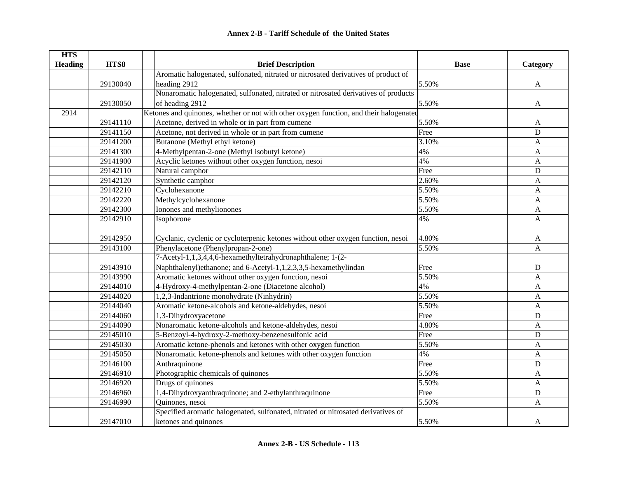| <b>HTS</b>                                                                         |                                                                 |                                                                                        |             |              |
|------------------------------------------------------------------------------------|-----------------------------------------------------------------|----------------------------------------------------------------------------------------|-------------|--------------|
| <b>Heading</b>                                                                     | HTS8                                                            | <b>Brief Description</b>                                                               | <b>Base</b> | Category     |
| Aromatic halogenated, sulfonated, nitrated or nitrosated derivatives of product of |                                                                 |                                                                                        |             |              |
|                                                                                    | 29130040                                                        | heading 2912                                                                           | 5.50%       | A            |
|                                                                                    |                                                                 | Nonaromatic halogenated, sulfonated, nitrated or nitrosated derivatives of products    |             |              |
|                                                                                    | 29130050                                                        | of heading 2912                                                                        | 5.50%       | A            |
| 2914                                                                               |                                                                 | Ketones and quinones, whether or not with other oxygen function, and their halogenated |             |              |
|                                                                                    | 29141110                                                        | Acetone, derived in whole or in part from cumene                                       | 5.50%       | $\mathbf{A}$ |
|                                                                                    | 29141150                                                        | Acetone, not derived in whole or in part from cumene                                   | Free        | ${\bf D}$    |
|                                                                                    | 29141200                                                        | Butanone (Methyl ethyl ketone)                                                         | 3.10%       | A            |
|                                                                                    | 29141300                                                        | 4-Methylpentan-2-one (Methyl isobutyl ketone)                                          | 4%          | $\mathbf{A}$ |
|                                                                                    | 29141900                                                        | Acyclic ketones without other oxygen function, nesoi                                   | 4%          | A            |
|                                                                                    | 29142110                                                        | Natural camphor                                                                        | Free        | ${\bf D}$    |
|                                                                                    | 29142120                                                        | Synthetic camphor                                                                      | 2.60%       | A            |
|                                                                                    | 29142210                                                        | Cyclohexanone                                                                          | 5.50%       | $\mathbf{A}$ |
|                                                                                    | 29142220                                                        | Methylcyclohexanone                                                                    | 5.50%       | A            |
|                                                                                    | 29142300<br>Ionones and methylionones<br>29142910<br>Isophorone |                                                                                        | 5.50%       | $\mathbf{A}$ |
|                                                                                    |                                                                 |                                                                                        | 4%          | $\mathbf{A}$ |
|                                                                                    |                                                                 |                                                                                        |             |              |
|                                                                                    | 29142950                                                        | Cyclanic, cyclenic or cycloterpenic ketones without other oxygen function, nesoi       | 4.80%       | A            |
|                                                                                    | 29143100                                                        | Phenylacetone (Phenylpropan-2-one)                                                     | 5.50%       | $\mathbf{A}$ |
|                                                                                    |                                                                 | 7-Acetyl-1,1,3,4,4,6-hexamethyltetrahydronaphthalene; 1-(2-                            |             |              |
|                                                                                    | 29143910                                                        | Naphthalenyl)ethanone; and 6-Acetyl-1,1,2,3,3,5-hexamethylindan                        | Free        | D            |
|                                                                                    | 29143990                                                        | Aromatic ketones without other oxygen function, nesoi                                  | 5.50%       | $\mathbf{A}$ |
|                                                                                    | 29144010                                                        | 4-Hydroxy-4-methylpentan-2-one (Diacetone alcohol)                                     | 4%          | A            |
|                                                                                    | 29144020                                                        | 1,2,3-Indantrione monohydrate (Ninhydrin)                                              | 5.50%       | A            |
|                                                                                    | 29144040                                                        | Aromatic ketone-alcohols and ketone-aldehydes, nesoi                                   | 5.50%       | $\mathbf{A}$ |
|                                                                                    | 29144060                                                        | 1,3-Dihydroxyacetone                                                                   | Free        | D            |
|                                                                                    | 29144090                                                        | Nonaromatic ketone-alcohols and ketone-aldehydes, nesoi                                | 4.80%       | A            |
|                                                                                    | 29145010                                                        | 5-Benzoyl-4-hydroxy-2-methoxy-benzenesulfonic acid                                     | Free        | D            |
|                                                                                    | 29145030                                                        | Aromatic ketone-phenols and ketones with other oxygen function                         | 5.50%       | $\mathbf{A}$ |
|                                                                                    | 29145050                                                        | Nonaromatic ketone-phenols and ketones with other oxygen function                      | 4%          | $\mathbf{A}$ |
|                                                                                    | 29146100                                                        | Anthraquinone                                                                          | Free        | D            |
|                                                                                    | 29146910                                                        | Photographic chemicals of quinones                                                     | 5.50%       | A            |
|                                                                                    | 29146920                                                        | Drugs of quinones                                                                      | 5.50%       | A            |
|                                                                                    | 29146960                                                        | 1,4-Dihydroxyanthraquinone; and 2-ethylanthraquinone                                   | Free        | ${\bf D}$    |
|                                                                                    | 29146990                                                        | Quinones, nesoi                                                                        | 5.50%       | $\mathbf{A}$ |
|                                                                                    |                                                                 | Specified aromatic halogenated, sulfonated, nitrated or nitrosated derivatives of      |             |              |
|                                                                                    | 29147010                                                        | ketones and quinones                                                                   | 5.50%       | A            |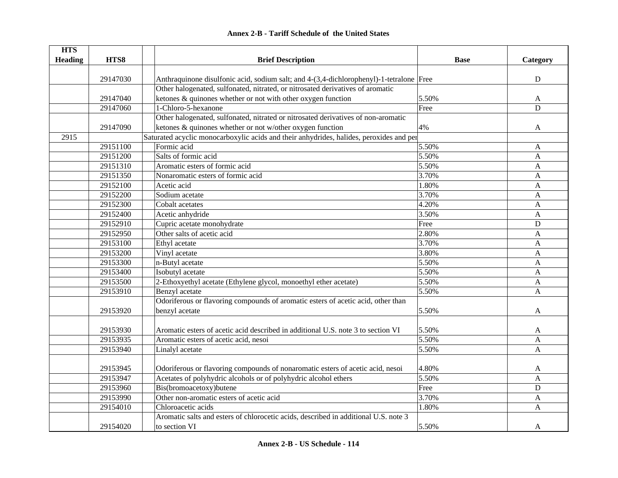# **HTS Heading are HTS8 are THTS8 Brief Description Brief Description Base Base Example Category** 29147030 Anthraquinone disulfonic acid, sodium salt; and 4-(3,4-dichlorophenyl)-1-tetralone Free 29147040Other halogenated, sulfonated, nitrated, or nitrosated derivatives of aromatic ketones & quinones whether or not with other oxygen function 5.50% A 29147060 1-Chloro-5-hexanone D 29147090Other halogenated, sulfonated, nitrated or nitrosated derivatives of non-aromatic ketones  $\&$  quinones whether or not w/other oxygen function  $4\%$   $4\%$ 2915Saturated acyclic monocarboxylic acids and their anhydrides, halides, peroxides and per 29151100 | Formic acid A 29151200 Salts of formic acid 5.50% A29151310 Aromatic esters of formic acid 5.50% A 29151350 Nonaromatic esters of formic acid 3.70% A 29152100 Acetic acid **Acetic acid** Acetic acid and the set of the set of the set of the set of the set of the set of the set of the set of the set of the set of the set of the set of the set of the set of the set of the se 29152200 Sodium acetate A and the set of the set of the set of the set of the set of the set of the set of the set of the set of the set of the set of the set of the set of the set of the set of the set of the set of the s 29152300 Cobalt acetates 4.20% A29152400 Acetic anhydride 3.50% Acetic and Acetic and Acetic and Acetic and Acetic and Acetic and Acetic and A 29152910 Cupric acetate monohydrate **Example 20152910** Cupric acetate monohydrate 29152950 Other salts of acetic acid A 2.80% A 29153100 Ethyl acetate A and the set of the set of the set of the set of the set of the set of the set of the set of the set of the set of the set of the set of the set of the set of the set of the set of the set of the se 29153200 Vinyl acetate A and the set of the set of the set of the set of the set of the set of the set of the set of the set of the set of the set of the set of the set of the set of the set of the set of the set of the se 29153300 **n-Butyl acetate** A 29153400 Solutyl acetate A and the set of the set of the set of the set of the set of the set of the set of the set of the set of the set of the set of the set of the set of the set of the set of the set of the set of the 29153500 2-Ethoxyethyl acetate (Ethylene glycol, monoethyl ether acetate) 5.50% 5.50% A 29153910 Benzyl acetate A and the set of the set of the set of the set of the set of the set of the set of the set of the set of the set of the set of the set of the set of the set of the set of the set of the set of the s 29153920Odoriferous or flavoring compounds of aromatic esters of acetic acid, other than benzyl acetate and the set of the set of the set of the set of the set of the set of the set of the set of the set of the set of the set of the set of the set of the set of the set of the set of the set of the set of the s 29153930 Aromatic esters of acetic acid described in additional U.S. note 3 to section VI 5.50% 29153935 Aromatic esters of acetic acid, nesoi 5.50% A 29153940 | Linalyl acetate A and A and A and A and A and A and A and A and A and A and A and A and A and A and A 29153945 Odoriferous or flavoring compounds of nonaromatic esters of acetic acid, nesoi 4.80% A 29153947 Acetates of polyhydric alcohols or of polyhydric alcohol ethers 5.50% A 29153960 Bis(bromoacetoxy)butene **Example 30** Bis(bromoacetoxy)butene 29153990 Other non-aromatic esters of acetic acid 3.70% A 29154010 Chloroacetic acids A 29154020Aromatic salts and esters of chlorocetic acids, described in additional U.S. note 3 to section VI  $\overline{\phantom{a}}$  A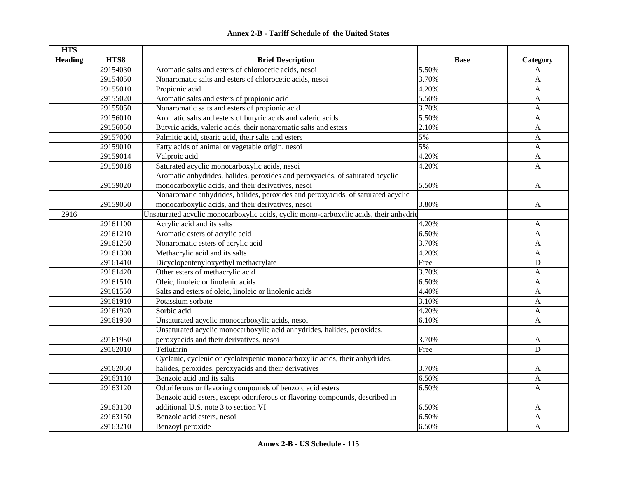|  | <b>Annex 2-B - Tariff Schedule of the United States</b> |  |
|--|---------------------------------------------------------|--|
|--|---------------------------------------------------------|--|

| <b>HTS</b>             |          |                                                                                        |             |              |
|------------------------|----------|----------------------------------------------------------------------------------------|-------------|--------------|
| HTS8<br><b>Heading</b> |          | <b>Brief Description</b>                                                               | <b>Base</b> | Category     |
|                        | 29154030 | Aromatic salts and esters of chlorocetic acids, nesoi                                  | 5.50%       | A            |
|                        | 29154050 | Nonaromatic salts and esters of chlorocetic acids, nesoi                               | 3.70%       | A            |
|                        | 29155010 | Propionic acid                                                                         | 4.20%       | A            |
|                        | 29155020 | Aromatic salts and esters of propionic acid                                            | 5.50%       | A            |
|                        | 29155050 | Nonaromatic salts and esters of propionic acid                                         | 3.70%       | $\mathbf{A}$ |
|                        | 29156010 | Aromatic salts and esters of butyric acids and valeric acids                           | 5.50%       | $\mathbf{A}$ |
|                        | 29156050 | Butyric acids, valeric acids, their nonaromatic salts and esters                       | 2.10%       | $\mathbf{A}$ |
|                        | 29157000 | Palmitic acid, stearic acid, their salts and esters                                    | 5%          | $\mathbf{A}$ |
|                        | 29159010 | Fatty acids of animal or vegetable origin, nesoi                                       | 5%          | $\mathbf{A}$ |
|                        | 29159014 | Valproic acid                                                                          | 4.20%       | $\mathbf{A}$ |
|                        | 29159018 | Saturated acyclic monocarboxylic acids, nesoi                                          | 4.20%       | $\mathbf{A}$ |
|                        |          | Aromatic anhydrides, halides, peroxides and peroxyacids, of saturated acyclic          |             |              |
|                        | 29159020 | monocarboxylic acids, and their derivatives, nesoi                                     | 5.50%       | A            |
|                        |          | Nonaromatic anhydrides, halides, peroxides and peroxyacids, of saturated acyclic       |             |              |
|                        | 29159050 | monocarboxylic acids, and their derivatives, nesoi                                     | 3.80%       | A            |
| 2916                   |          | Unsaturated acyclic monocarboxylic acids, cyclic mono-carboxylic acids, their anhydric |             |              |
|                        | 29161100 | Acrylic acid and its salts                                                             | 4.20%       | A            |
|                        | 29161210 | Aromatic esters of acrylic acid                                                        | 6.50%       | $\mathbf{A}$ |
|                        | 29161250 | Nonaromatic esters of acrylic acid                                                     | 3.70%       | A            |
|                        | 29161300 | Methacrylic acid and its salts                                                         | 4.20%       | $\mathbf{A}$ |
|                        | 29161410 | Dicyclopentenyloxyethyl methacrylate                                                   | Free        | ${\bf D}$    |
|                        | 29161420 | Other esters of methacrylic acid                                                       | 3.70%       | $\mathbf{A}$ |
|                        | 29161510 | Oleic, linoleic or linolenic acids                                                     | 6.50%       | $\mathbf{A}$ |
|                        | 29161550 | Salts and esters of oleic, linoleic or linolenic acids                                 | 4.40%       | $\mathbf{A}$ |
|                        | 29161910 | Potassium sorbate                                                                      | 3.10%       | $\mathbf{A}$ |
|                        | 29161920 | Sorbic acid                                                                            | 4.20%       | A            |
|                        | 29161930 | Unsaturated acyclic monocarboxylic acids, nesoi                                        | 6.10%       | $\mathbf{A}$ |
|                        |          | Unsaturated acyclic monocarboxylic acid anhydrides, halides, peroxides,                |             |              |
|                        | 29161950 | peroxyacids and their derivatives, nesoi                                               | 3.70%       | A            |
|                        | 29162010 | Tefluthrin                                                                             | Free        | D            |
|                        |          | Cyclanic, cyclenic or cycloterpenic monocarboxylic acids, their anhydrides,            |             |              |
|                        | 29162050 | halides, peroxides, peroxyacids and their derivatives                                  | 3.70%       | A            |
|                        | 29163110 | Benzoic acid and its salts                                                             | 6.50%       | $\mathbf{A}$ |
|                        | 29163120 | Odoriferous or flavoring compounds of benzoic acid esters                              | 6.50%       | A            |
|                        |          | Benzoic acid esters, except odoriferous or flavoring compounds, described in           |             |              |
|                        | 29163130 | additional U.S. note 3 to section VI                                                   | 6.50%       | A            |
|                        | 29163150 | Benzoic acid esters, nesoi                                                             | 6.50%       | $\mathbf{A}$ |
|                        | 29163210 | Benzoyl peroxide                                                                       | 6.50%       | A            |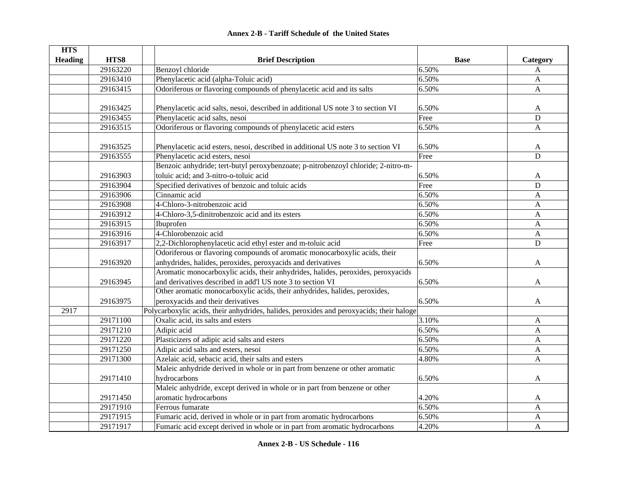| <b>HTS</b>             |          |                                                                                          |             |                  |
|------------------------|----------|------------------------------------------------------------------------------------------|-------------|------------------|
| HTS8<br><b>Heading</b> |          | <b>Brief Description</b>                                                                 | <b>Base</b> | Category         |
|                        | 29163220 | Benzoyl chloride                                                                         | 6.50%       | A                |
|                        | 29163410 | Phenylacetic acid (alpha-Toluic acid)                                                    | 6.50%       | $\mathbf{A}$     |
|                        | 29163415 | Odoriferous or flavoring compounds of phenylacetic acid and its salts                    | 6.50%       | $\mathbf{A}$     |
|                        |          |                                                                                          |             |                  |
|                        | 29163425 | Phenylacetic acid salts, nesoi, described in additional US note 3 to section VI          | 6.50%       | A                |
|                        | 29163455 | Phenylacetic acid salts, nesoi                                                           | Free        | ${\bf D}$        |
|                        | 29163515 | Odoriferous or flavoring compounds of phenylacetic acid esters                           | 6.50%       | $\mathbf{A}$     |
|                        |          |                                                                                          |             |                  |
|                        | 29163525 | Phenylacetic acid esters, nesoi, described in additional US note 3 to section VI         | 6.50%       | A                |
|                        | 29163555 | Phenylacetic acid esters, nesoi                                                          | Free        | $\mathbf D$      |
|                        |          | Benzoic anhydride; tert-butyl peroxybenzoate; p-nitrobenzoyl chloride; 2-nitro-m-        |             |                  |
|                        | 29163903 | toluic acid; and 3-nitro-o-toluic acid                                                   | 6.50%       | A                |
|                        | 29163904 | Specified derivatives of benzoic and toluic acids                                        | Free        | $\mathbf D$      |
|                        | 29163906 | Cinnamic acid                                                                            | 6.50%       | A                |
|                        | 29163908 | 4-Chloro-3-nitrobenzoic acid                                                             | 6.50%       | A                |
|                        | 29163912 | 4-Chloro-3,5-dinitrobenzoic acid and its esters                                          | 6.50%       | A                |
|                        | 29163915 | Ibuprofen                                                                                | 6.50%       | $\mathbf{A}$     |
|                        | 29163916 | 4-Chlorobenzoic acid                                                                     | 6.50%       | $\mathbf{A}$     |
|                        | 29163917 | 2,2-Dichlorophenylacetic acid ethyl ester and m-toluic acid                              | Free        | ${\bf D}$        |
|                        |          | Odoriferous or flavoring compounds of aromatic monocarboxylic acids, their               |             |                  |
|                        | 29163920 | anhydrides, halides, peroxides, peroxyacids and derivatives                              | 6.50%       | A                |
|                        |          | Aromatic monocarboxylic acids, their anhydrides, halides, peroxides, peroxyacids         |             |                  |
|                        | 29163945 | and derivatives described in add'l US note 3 to section VI                               | 6.50%       | A                |
|                        |          | Other aromatic monocarboxylic acids, their anhydrides, halides, peroxides,               |             |                  |
|                        | 29163975 | peroxyacids and their derivatives                                                        | 6.50%       | A                |
| 2917                   |          | Polycarboxylic acids, their anhydrides, halides, peroxides and peroxyacids; their haloge |             |                  |
|                        | 29171100 | Oxalic acid, its salts and esters                                                        | 3.10%       | A                |
|                        | 29171210 | Adipic acid                                                                              | 6.50%       | A                |
|                        | 29171220 | Plasticizers of adipic acid salts and esters                                             | 6.50%       | A                |
|                        | 29171250 | Adipic acid salts and esters, nesoi                                                      | 6.50%       | $\mathbf{A}$     |
|                        | 29171300 | Azelaic acid, sebacic acid, their salts and esters                                       | 4.80%       | A                |
|                        |          | Maleic anhydride derived in whole or in part from benzene or other aromatic              |             |                  |
|                        | 29171410 | hydrocarbons                                                                             | 6.50%       | A                |
|                        |          | Maleic anhydride, except derived in whole or in part from benzene or other               |             |                  |
|                        | 29171450 | aromatic hydrocarbons                                                                    | 4.20%       | A                |
|                        | 29171910 | Ferrous fumarate                                                                         | 6.50%       | A                |
|                        | 29171915 | Fumaric acid, derived in whole or in part from aromatic hydrocarbons                     | 6.50%       | A                |
|                        | 29171917 | Fumaric acid except derived in whole or in part from aromatic hydrocarbons               | 4.20%       | $\boldsymbol{A}$ |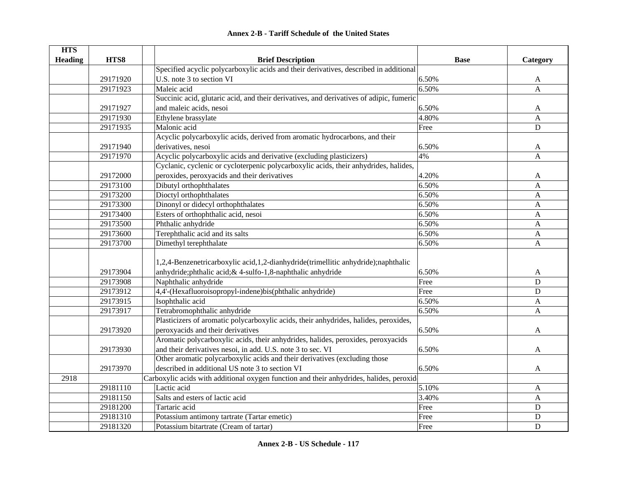|  | <b>Annex 2-B - Tariff Schedule of the United States</b> |  |
|--|---------------------------------------------------------|--|
|--|---------------------------------------------------------|--|

| <b>HTS</b>     |          |                                                                                                                       |             |                |  |  |
|----------------|----------|-----------------------------------------------------------------------------------------------------------------------|-------------|----------------|--|--|
| <b>Heading</b> | HTS8     | <b>Brief Description</b>                                                                                              | <b>Base</b> | Category       |  |  |
|                |          | Specified acyclic polycarboxylic acids and their derivatives, described in additional                                 |             |                |  |  |
|                | 29171920 | U.S. note 3 to section VI                                                                                             | 6.50%       | A              |  |  |
|                | 29171923 | Maleic acid                                                                                                           | 6.50%       | $\overline{A}$ |  |  |
|                |          | Succinic acid, glutaric acid, and their derivatives, and derivatives of adipic, fumeric                               |             |                |  |  |
|                | 29171927 | and maleic acids, nesoi                                                                                               | 6.50%       | A              |  |  |
|                | 29171930 | Ethylene brassylate                                                                                                   | 4.80%       | $\mathbf{A}$   |  |  |
|                | 29171935 | Malonic acid                                                                                                          | Free        | $\mathbf D$    |  |  |
|                |          | Acyclic polycarboxylic acids, derived from aromatic hydrocarbons, and their                                           |             |                |  |  |
|                | 29171940 | derivatives, nesoi                                                                                                    | 6.50%       | A              |  |  |
|                | 29171970 | Acyclic polycarboxylic acids and derivative (excluding plasticizers)                                                  | 4%          | $\mathbf{A}$   |  |  |
|                |          | Cyclanic, cyclenic or cycloterpenic polycarboxylic acids, their anhydrides, halides,                                  |             |                |  |  |
|                | 29172000 | peroxides, peroxyacids and their derivatives                                                                          | 4.20%       | A              |  |  |
|                | 29173100 | Dibutyl orthophthalates                                                                                               | 6.50%       | $\mathbf{A}$   |  |  |
|                | 29173200 | Dioctyl orthophthalates                                                                                               | 6.50%       | $\mathbf{A}$   |  |  |
|                | 29173300 | Dinonyl or didecyl orthophthalates                                                                                    | 6.50%       | A              |  |  |
|                | 29173400 | Esters of orthophthalic acid, nesoi                                                                                   | 6.50%       | A              |  |  |
|                | 29173500 | Phthalic anhydride                                                                                                    | 6.50%       | $\mathbf{A}$   |  |  |
|                | 29173600 | Terephthalic acid and its salts                                                                                       | 6.50%       | A              |  |  |
|                | 29173700 | Dimethyl terephthalate                                                                                                | 6.50%       | $\mathbf{A}$   |  |  |
|                |          | 1,2,4-Benzenetricarboxylic acid,1,2-dianhydride(trimellitic anhydride);naphthalic                                     |             |                |  |  |
|                | 29173904 | anhydride; phthalic acid; & 4-sulfo-1, 8-naphthalic anhydride                                                         | 6.50%       | A              |  |  |
|                | 29173908 | Naphthalic anhydride                                                                                                  | Free        | $\mathbf D$    |  |  |
|                | 29173912 | 4,4'-(Hexafluoroisopropyl-indene)bis(phthalic anhydride)                                                              | Free        | D              |  |  |
|                | 29173915 | Isophthalic acid                                                                                                      | 6.50%       | A              |  |  |
|                | 29173917 | Tetrabromophthalic anhydride                                                                                          | 6.50%       | A              |  |  |
|                |          | Plasticizers of aromatic polycarboxylic acids, their anhydrides, halides, peroxides,                                  |             |                |  |  |
|                |          |                                                                                                                       |             |                |  |  |
|                | 29173920 | peroxyacids and their derivatives<br>Aromatic polycarboxylic acids, their anhydrides, halides, peroxides, peroxyacids | 6.50%       | A              |  |  |
|                |          |                                                                                                                       |             |                |  |  |
|                | 29173930 | and their derivatives nesoi, in add. U.S. note 3 to sec. VI                                                           | 6.50%       | A              |  |  |
|                |          | Other aromatic polycarboxylic acids and their derivatives (excluding those                                            |             |                |  |  |
|                | 29173970 | described in additional US note 3 to section VI                                                                       | 6.50%       | A              |  |  |
| 2918           |          | Carboxylic acids with additional oxygen function and their anhydrides, halides, peroxid                               |             |                |  |  |
|                | 29181110 | Lactic acid                                                                                                           | 5.10%       | A              |  |  |
|                | 29181150 | Salts and esters of lactic acid                                                                                       | 3.40%       | A              |  |  |
|                | 29181200 | Tartaric acid                                                                                                         | Free        | $\mathbf D$    |  |  |
|                | 29181310 | Potassium antimony tartrate (Tartar emetic)                                                                           | Free        | $\mathbf D$    |  |  |
|                | 29181320 | Potassium bitartrate (Cream of tartar)                                                                                | Free        | $\mathbf D$    |  |  |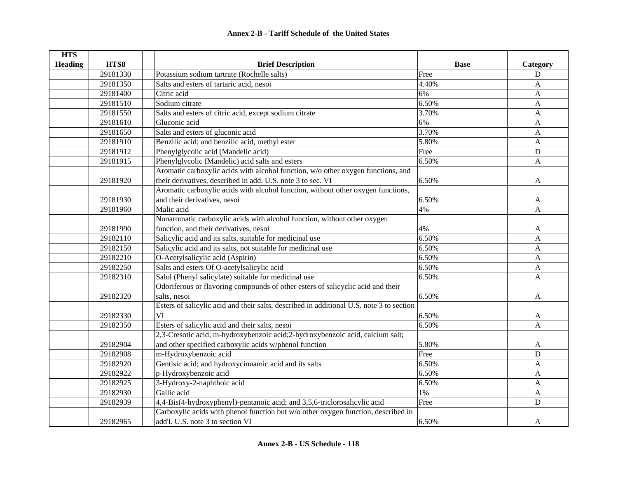| <b>HTS</b>     |          |                                                                                          |                     |              |
|----------------|----------|------------------------------------------------------------------------------------------|---------------------|--------------|
| <b>Heading</b> | HTS8     | <b>Brief Description</b>                                                                 | <b>Base</b>         | Category     |
|                | 29181330 | Potassium sodium tartrate (Rochelle salts)                                               | Free                | ${\bf D}$    |
|                | 29181350 | Salts and esters of tartaric acid, nesoi                                                 | 4.40%               | A            |
|                | 29181400 | Citric acid                                                                              | 6%                  | $\mathbf{A}$ |
|                | 29181510 | Sodium citrate                                                                           | 6.50%               | A            |
|                | 29181550 | Salts and esters of citric acid, except sodium citrate                                   | $\overline{3.70\%}$ | $\mathbf{A}$ |
|                | 29181610 | Gluconic acid                                                                            | 6%                  | $\mathbf{A}$ |
|                | 29181650 | Salts and esters of gluconic acid                                                        | 3.70%               | $\mathbf{A}$ |
|                | 29181910 | Benzilic acid; and benzilic acid, methyl ester                                           | 5.80%               | A            |
|                | 29181912 | Phenylglycolic acid (Mandelic acid)                                                      | Free                | $\mathbf D$  |
|                | 29181915 | Phenylglycolic (Mandelic) acid salts and esters                                          | 6.50%               | $\mathbf{A}$ |
|                |          | Aromatic carboxylic acids with alcohol function, w/o other oxygen functions, and         |                     |              |
|                | 29181920 | their derivatives, described in add. U.S. note 3 to sec. VI                              | 6.50%               | A            |
|                |          | Aromatic carboxylic acids with alcohol function, without other oxygen functions,         |                     |              |
|                | 29181930 | and their derivatives, nesoi                                                             | 6.50%               | A            |
|                | 29181960 | Malic acid                                                                               | 4%                  | $\mathbf{A}$ |
|                |          | Nonaromatic carboxylic acids with alcohol function, without other oxygen                 |                     |              |
|                | 29181990 | function, and their derivatives, nesoi                                                   | 4%                  | A            |
|                | 29182110 | Salicylic acid and its salts, suitable for medicinal use                                 | 6.50%               | $\mathbf{A}$ |
| 29182150       |          | Salicylic acid and its salts, not suitable for medicinal use                             | 6.50%               | $\mathbf{A}$ |
|                | 29182210 | O-Acetylsalicylic acid (Aspirin)                                                         | 6.50%               | $\mathbf{A}$ |
|                | 29182250 | Salts and esters Of O-acetylsalicylic acid                                               | 6.50%               | $\mathbf{A}$ |
|                | 29182310 | Salol (Phenyl salicylate) suitable for medicinal use                                     | 6.50%               | A            |
|                |          | Odoriferous or flavoring compounds of other esters of salicyclic acid and their          |                     |              |
|                | 29182320 | salts, nesoi                                                                             | 6.50%               | A            |
|                |          | Esters of salicylic acid and their salts, described in additional U.S. note 3 to section |                     |              |
|                | 29182330 | VI                                                                                       | 6.50%               | A            |
|                | 29182350 | Esters of salicylic acid and their salts, nesoi                                          | 6.50%               | A            |
|                |          | 2,3-Cresotic acid; m-hydroxybenzoic acid; 2-hydroxybenzoic acid, calcium salt;           |                     |              |
|                | 29182904 | and other specified carboxylic acids w/phenol function                                   | 5.80%               | A            |
|                | 29182908 | m-Hydroxybenzoic acid                                                                    | Free                | $\mathbf D$  |
|                | 29182920 | Gentisic acid; and hydroxycinnamic acid and its salts                                    | 6.50%               | $\mathbf{A}$ |
|                | 29182922 | p-Hydroxybenzoic acid                                                                    | 6.50%               | $\mathbf{A}$ |
|                | 29182925 | 3-Hydroxy-2-naphthoic acid                                                               | 6.50%               | $\mathbf{A}$ |
|                | 29182930 | Gallic acid                                                                              | 1%                  | A            |
|                | 29182939 | 4,4-Bis(4-hydroxyphenyl)-pentanoic acid; and 3,5,6-triclorosalicylic acid                | Free                | $\mathbf D$  |
|                |          | Carboxylic acids with phenol function but w/o other oxygen function, described in        |                     |              |
|                | 29182965 | add'l. U.S. note 3 to section VI                                                         | 6.50%               | A            |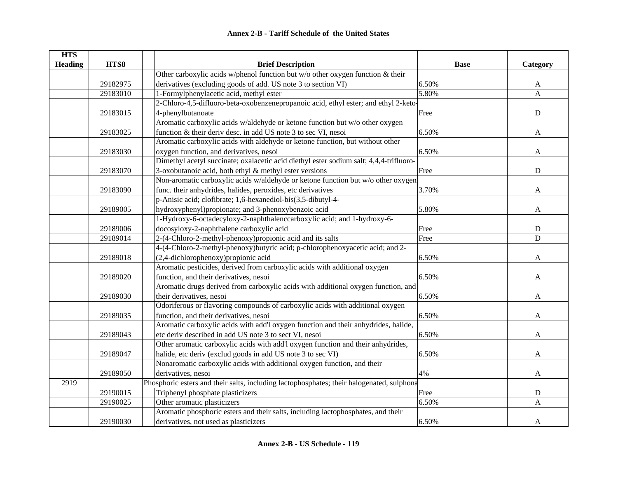| <b>HTS</b>     |          |                                                                                           |             |              |
|----------------|----------|-------------------------------------------------------------------------------------------|-------------|--------------|
| <b>Heading</b> | HTS8     | <b>Brief Description</b>                                                                  | <b>Base</b> | Category     |
|                |          | Other carboxylic acids w/phenol function but w/o other oxygen function & their            |             |              |
|                | 29182975 | derivatives (excluding goods of add. US note 3 to section VI)                             | 6.50%       | $\mathbf{A}$ |
|                | 29183010 | 1-Formylphenylacetic acid, methyl ester                                                   | 5.80%       | $\mathbf{A}$ |
|                |          | 2-Chloro-4,5-difluoro-beta-oxobenzenepropanoic acid, ethyl ester; and ethyl 2-keto-       |             |              |
|                | 29183015 | 4-phenylbutanoate                                                                         | Free        | $\mathbf D$  |
|                |          | Aromatic carboxylic acids w/aldehyde or ketone function but w/o other oxygen              |             |              |
|                | 29183025 | function & their deriv desc. in add US note 3 to sec VI, nesoi                            | 6.50%       | $\mathbf{A}$ |
|                |          | Aromatic carboxylic acids with aldehyde or ketone function, but without other             |             |              |
|                | 29183030 | oxygen function, and derivatives, nesoi                                                   | 6.50%       | A            |
|                |          | Dimethyl acetyl succinate; oxalacetic acid diethyl ester sodium salt; 4,4,4-trifluoro-    |             |              |
|                | 29183070 | 3-oxobutanoic acid, both ethyl & methyl ester versions                                    | Free        | ${\bf D}$    |
|                |          | Non-aromatic carboxylic acids w/aldehyde or ketone function but w/o other oxygen          |             |              |
|                | 29183090 | func. their anhydrides, halides, peroxides, etc derivatives                               | 3.70%       | A            |
|                |          | p-Anisic acid; clofibrate; 1,6-hexanediol-bis(3,5-dibutyl-4-                              |             |              |
|                | 29189005 | hydroxyphenyl)propionate; and 3-phenoxybenzoic acid                                       | 5.80%       | A            |
|                |          | 1-Hydroxy-6-octadecyloxy-2-naphthalenccarboxylic acid; and 1-hydroxy-6-                   |             |              |
|                | 29189006 | docosyloxy-2-naphthalene carboxylic acid                                                  | Free        | D            |
|                | 29189014 | 2-(4-Chloro-2-methyl-phenoxy) propionic acid and its salts                                | Free        | D            |
|                |          | 4-(4-Chloro-2-methyl-phenoxy)butyric acid; p-chlorophenoxyacetic acid; and 2-             |             |              |
|                | 29189018 | (2,4-dichlorophenoxy) propionic acid                                                      | 6.50%       | A            |
|                |          | Aromatic pesticides, derived from carboxylic acids with additional oxygen                 |             |              |
|                | 29189020 | function, and their derivatives, nesoi                                                    | 6.50%       | A            |
|                |          | Aromatic drugs derived from carboxylic acids with additional oxygen function, and         |             |              |
|                | 29189030 | their derivatives, nesoi                                                                  | 6.50%       | A            |
|                |          | Odoriferous or flavoring compounds of carboxylic acids with additional oxygen             |             |              |
|                | 29189035 | function, and their derivatives, nesoi                                                    | 6.50%       | $\mathsf{A}$ |
|                |          | Aromatic carboxylic acids with add'l oxygen function and their anhydrides, halide,        |             |              |
|                | 29189043 | etc deriv described in add US note 3 to sect VI, nesoi                                    | 6.50%       | $\mathbf{A}$ |
|                |          | Other aromatic carboxylic acids with add'l oxygen function and their anhydrides,          |             |              |
|                | 29189047 | halide, etc deriv (exclud goods in add US note 3 to sec VI)                               | 6.50%       | A            |
|                |          | Nonaromatic carboxylic acids with additional oxygen function, and their                   |             |              |
|                | 29189050 | derivatives, nesoi                                                                        | 4%          | A            |
| 2919           |          | Phosphoric esters and their salts, including lactophosphates; their halogenated, sulphona |             |              |
|                | 29190015 | Triphenyl phosphate plasticizers                                                          | Free        | ${\bf D}$    |
|                | 29190025 | Other aromatic plasticizers                                                               | 6.50%       | $\mathbf{A}$ |
|                |          | Aromatic phosphoric esters and their salts, including lactophosphates, and their          |             |              |
|                | 29190030 | derivatives, not used as plasticizers                                                     | 6.50%       | A            |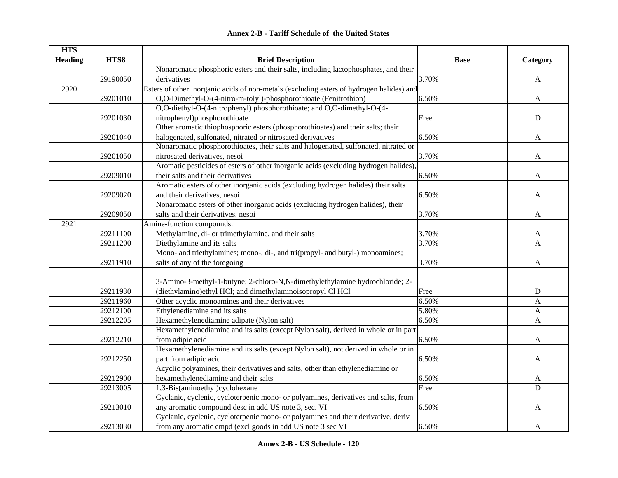| <b>Annex 2-B - Tariff Schedule of the United States</b> |  |  |  |  |  |  |
|---------------------------------------------------------|--|--|--|--|--|--|
|---------------------------------------------------------|--|--|--|--|--|--|

| <b>HTS</b>     |          |                                                                                          |             |              |
|----------------|----------|------------------------------------------------------------------------------------------|-------------|--------------|
| <b>Heading</b> | HTS8     | <b>Brief Description</b>                                                                 | <b>Base</b> | Category     |
|                |          | Nonaromatic phosphoric esters and their salts, including lactophosphates, and their      |             |              |
|                | 29190050 | derivatives                                                                              | 3.70%       | A            |
| 2920           |          | Esters of other inorganic acids of non-metals (excluding esters of hydrogen halides) and |             |              |
|                | 29201010 | O,O-Dimethyl-O-(4-nitro-m-tolyl)-phosphorothioate (Fenitrothion)                         | 6.50%       | A            |
|                |          | O,O-diethyl-O-(4-nitrophenyl) phosphorothioate; and O,O-dimethyl-O-(4-                   |             |              |
|                | 29201030 | nitrophenyl)phosphorothioate                                                             | Free        | $\mathbf D$  |
|                |          | Other aromatic thiophosphoric esters (phosphorothioates) and their salts; their          |             |              |
|                | 29201040 | halogenated, sulfonated, nitrated or nitrosated derivatives                              | 6.50%       | A            |
|                |          | Nonaromatic phosphorothioates, their salts and halogenated, sulfonated, nitrated or      |             |              |
|                | 29201050 | nitrosated derivatives, nesoi                                                            | 3.70%       | A            |
|                |          | Aromatic pesticides of esters of other inorganic acids (excluding hydrogen halides),     |             |              |
|                | 29209010 | their salts and their derivatives                                                        | 6.50%       | A            |
|                |          | Aromatic esters of other inorganic acids (excluding hydrogen halides) their salts        |             |              |
|                | 29209020 | and their derivatives, nesoi                                                             | 6.50%       | A            |
|                |          | Nonaromatic esters of other inorganic acids (excluding hydrogen halides), their          |             |              |
|                | 29209050 | salts and their derivatives, nesoi                                                       | 3.70%       | $\mathbf{A}$ |
| 2921           |          | Amine-function compounds.                                                                |             |              |
|                | 29211100 | Methylamine, di- or trimethylamine, and their salts                                      | 3.70%       | $\mathbf{A}$ |
|                | 29211200 | Diethylamine and its salts                                                               | 3.70%       | $\mathbf{A}$ |
|                |          | Mono- and triethylamines; mono-, di-, and tri(propyl- and butyl-) monoamines;            |             |              |
|                | 29211910 | salts of any of the foregoing                                                            | 3.70%       | A            |
|                |          |                                                                                          |             |              |
|                |          | 3-Amino-3-methyl-1-butyne; 2-chloro-N,N-dimethylethylamine hydrochloride; 2-             |             |              |
|                | 29211930 | (diethylamino)ethyl HCl; and dimethylaminoisopropyl Cl HCl                               | Free        | ${\bf D}$    |
|                | 29211960 | Other acyclic monoamines and their derivatives                                           | 6.50%       | A            |
|                | 29212100 | Ethylenediamine and its salts                                                            | 5.80%       | A            |
|                | 29212205 | Hexamethylenediamine adipate (Nylon salt)                                                | 6.50%       | A            |
|                |          | Hexamethylenediamine and its salts (except Nylon salt), derived in whole or in part      |             |              |
|                | 29212210 | from adipic acid                                                                         | 6.50%       | A            |
|                |          | Hexamethylenediamine and its salts (except Nylon salt), not derived in whole or in       |             |              |
|                | 29212250 | part from adipic acid                                                                    | 6.50%       | A            |
|                |          | Acyclic polyamines, their derivatives and salts, other than ethylenediamine or           |             |              |
|                | 29212900 | hexamethylenediamine and their salts                                                     | 6.50%       | A            |
|                | 29213005 | 1,3-Bis(aminoethyl)cyclohexane                                                           | Free        | D            |
|                |          | Cyclanic, cyclenic, cycloterpenic mono- or polyamines, derivatives and salts, from       |             |              |
|                | 29213010 | any aromatic compound desc in add US note 3, sec. VI                                     | 6.50%       | A            |
|                |          | Cyclanic, cyclenic, cycloterpenic mono- or polyamines and their derivative, deriv        |             |              |
|                | 29213030 | from any aromatic cmpd (excl goods in add US note 3 sec VI                               | 6.50%       | A            |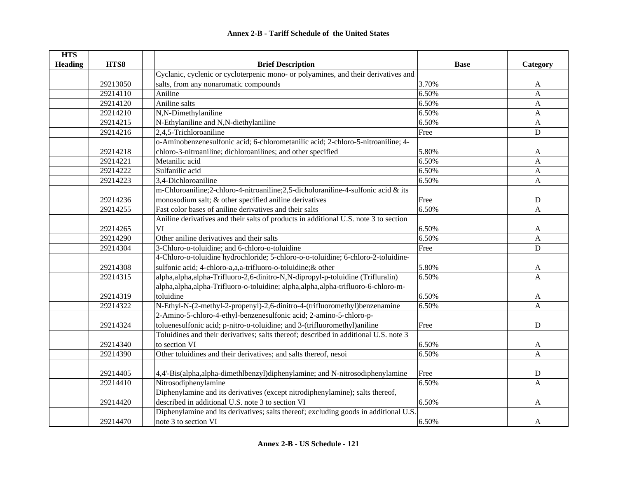| <b>HTS</b>             |                                                                                      |             |                |
|------------------------|--------------------------------------------------------------------------------------|-------------|----------------|
| HTS8<br><b>Heading</b> | <b>Brief Description</b>                                                             | <b>Base</b> | Category       |
|                        | Cyclanic, cyclenic or cycloterpenic mono- or polyamines, and their derivatives and   |             |                |
| 29213050               | salts, from any nonaromatic compounds                                                | 3.70%       | A              |
| 29214110               | Aniline                                                                              | 6.50%       | $\mathbf{A}$   |
| 29214120               | Aniline salts                                                                        | 6.50%       | $\mathbf{A}$   |
| 29214210               | N,N-Dimethylaniline                                                                  | 6.50%       | A              |
| 29214215               | N-Ethylaniline and N,N-diethylaniline                                                | 6.50%       | A              |
| 29214216               | $2,4,5$ -Trichloroaniline                                                            | Free        | ${\bf D}$      |
|                        | o-Aminobenzenesulfonic acid; 6-chlorometanilic acid; 2-chloro-5-nitroaniline; 4-     |             |                |
| 29214218               | chloro-3-nitroaniline; dichloroanilines; and other specified                         | 5.80%       | A              |
| 29214221               | Metanilic acid                                                                       | 6.50%       | $\mathbf{A}$   |
| 29214222               | Sulfanilic acid                                                                      | 6.50%       | A              |
| 29214223               | 3,4-Dichloroaniline                                                                  | 6.50%       | $\mathbf{A}$   |
|                        | m-Chloroaniline;2-chloro-4-nitroaniline;2,5-dicholoraniline-4-sulfonic acid & its    |             |                |
| 29214236               | monosodium salt; & other specified aniline derivatives                               | Free        | ${\bf D}$      |
| 29214255               | Fast color bases of aniline derivatives and their salts                              | 6.50%       | $\mathbf{A}$   |
|                        | Aniline derivatives and their salts of products in additional U.S. note 3 to section |             |                |
| 29214265               | VI                                                                                   | 6.50%       | A              |
| 29214290               | Other aniline derivatives and their salts                                            | 6.50%       | A              |
| 29214304               | 3-Chloro-o-toluidine; and 6-chloro-o-toluidine                                       | Free        | $\mathbf D$    |
|                        | 4-Chloro-o-toluidine hydrochloride; 5-chloro-o-o-toluidine; 6-chloro-2-toluidine-    |             |                |
| 29214308               | sulfonic acid; 4-chloro-a,a,a-trifluoro-o-toluidine; & other                         | 5.80%       | A              |
| 29214315               | alpha, alpha, alpha-Trifluoro-2,6-dinitro-N,N-dipropyl-p-toluidine (Trifluralin)     | 6.50%       | $\overline{A}$ |
|                        | alpha, alpha, alpha-Trifluoro-o-toluidine; alpha, alpha, alpha-trifluoro-6-chloro-m- |             |                |
| 29214319               | toluidine                                                                            | 6.50%       | A              |
| 29214322               | N-Ethyl-N-(2-methyl-2-propenyl)-2,6-dinitro-4-(trifluoromethyl)benzenamine           | 6.50%       | $\overline{A}$ |
|                        | 2-Amino-5-chloro-4-ethyl-benzenesulfonic acid; 2-amino-5-chloro-p-                   |             |                |
| 29214324               | toluenesulfonic acid; p-nitro-o-toluidine; and 3-(trifluoromethyl)aniline            | Free        | ${\bf D}$      |
|                        | Toluidines and their derivatives; salts thereof; described in additional U.S. note 3 |             |                |
| 29214340               | to section VI                                                                        | 6.50%       | A              |
| 29214390               | Other toluidines and their derivatives; and salts thereof, nesoi                     | 6.50%       | A              |
|                        |                                                                                      |             |                |
| 29214405               | 4,4'-Bis(alpha,alpha-dimethlbenzyl)diphenylamine; and N-nitrosodiphenylamine         | Free        | ${\bf D}$      |
| 29214410               | Nitrosodiphenylamine                                                                 | 6.50%       | $\overline{A}$ |
|                        | Diphenylamine and its derivatives (except nitrodiphenylamine); salts thereof,        |             |                |
| 29214420               | described in additional U.S. note 3 to section VI                                    | 6.50%       | A              |
|                        | Diphenylamine and its derivatives; salts thereof; excluding goods in additional U.S. |             |                |
| 29214470               | note 3 to section VI                                                                 | 6.50%       | A              |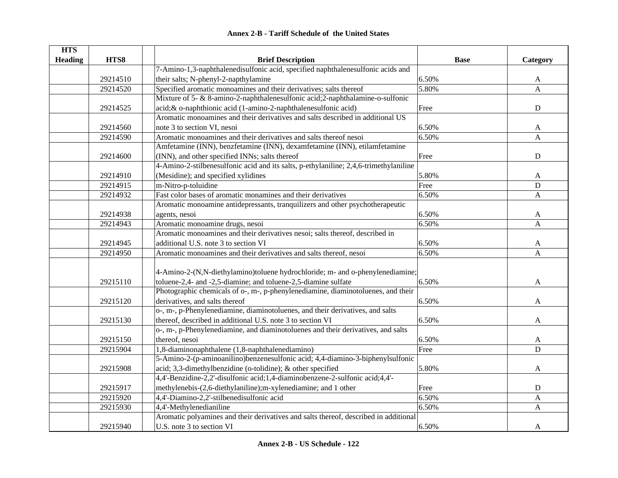|  | <b>Annex 2-B - Tariff Schedule of the United States</b> |  |
|--|---------------------------------------------------------|--|
|--|---------------------------------------------------------|--|

| <b>HTS</b>     |          |                                                                                       |             |              |
|----------------|----------|---------------------------------------------------------------------------------------|-------------|--------------|
| <b>Heading</b> | HTS8     | <b>Brief Description</b>                                                              | <b>Base</b> | Category     |
|                |          | 7-Amino-1,3-naphthalenedisulfonic acid, specified naphthalenesulfonic acids and       |             |              |
|                | 29214510 | their salts; N-phenyl-2-napthylamine                                                  | 6.50%       | A            |
|                | 29214520 | Specified aromatic monoamines and their derivatives; salts thereof                    | 5.80%       | $\mathbf{A}$ |
|                |          | Mixture of 5- & 8-amino-2-naphthalenesulfonic acid; 2-naphthalamine-o-sulfonic        |             |              |
|                | 29214525 | acid; & o-naphthionic acid (1-amino-2-naphthalenesulfonic acid)                       | Free        | ${\bf D}$    |
|                |          | Aromatic monoamines and their derivatives and salts described in additional US        |             |              |
|                | 29214560 | note 3 to section VI, nesoi                                                           | 6.50%       | A            |
|                | 29214590 | Aromatic monoamines and their derivatives and salts thereof nesoi                     | 6.50%       | A            |
|                |          | Amfetamine (INN), benzfetamine (INN), dexamfetamine (INN), etilamfetamine             |             |              |
|                | 29214600 | (INN), and other specified INNs; salts thereof                                        | Free        | ${\bf D}$    |
|                |          | 4-Amino-2-stilbenesulfonic acid and its salts, p-ethylaniline; 2,4,6-trimethylaniline |             |              |
|                | 29214910 | (Mesidine); and specified xylidines                                                   | 5.80%       | A            |
|                | 29214915 | m-Nitro-p-toluidine                                                                   | Free        | ${\bf D}$    |
|                | 29214932 | Fast color bases of aromatic monamines and their derivatives                          | 6.50%       | $\mathbf{A}$ |
|                |          | Aromatic monoamine antidepressants, tranquilizers and other psychotherapeutic         |             |              |
|                | 29214938 | agents, nesoi                                                                         | 6.50%       | A            |
|                | 29214943 | Aromatic monoamine drugs, nesoi                                                       | 6.50%       | A            |
|                |          | Aromatic monoamines and their derivatives nesoi; salts thereof, described in          |             |              |
|                | 29214945 | additional U.S. note 3 to section VI                                                  | 6.50%       | A            |
|                | 29214950 | Aromatic monoamines and their derivatives and salts thereof, nesoi                    | 6.50%       | A            |
|                |          |                                                                                       |             |              |
|                |          | 4-Amino-2-(N,N-diethylamino)toluene hydrochloride; m- and o-phenylenediamine;         |             |              |
|                | 29215110 | toluene-2,4- and -2,5-diamine; and toluene-2,5-diamine sulfate                        | 6.50%       | A            |
|                |          | Photographic chemicals of o-, m-, p-phenylenediamine, diaminotoluenes, and their      |             |              |
|                | 29215120 | derivatives, and salts thereof                                                        | 6.50%       | A            |
|                |          | o-, m-, p-Phenylenediamine, diaminotoluenes, and their derivatives, and salts         |             |              |
|                | 29215130 | thereof, described in additional U.S. note 3 to section VI                            | 6.50%       | A            |
|                |          | o-, m-, p-Phenylenediamine, and diaminotoluenes and their derivatives, and salts      |             |              |
|                | 29215150 | thereof, nesoi                                                                        | 6.50%       | A            |
|                | 29215904 | 1,8-diaminonaphthalene (1,8-naphthalenediamino)                                       | Free        | $\mathbf D$  |
|                |          | 5-Amino-2-(p-aminoanilino)benzenesulfonic acid; 4,4-diamino-3-biphenylsulfonic        |             |              |
|                | 29215908 | acid; 3,3-dimethylbenzidine (o-tolidine); & other specified                           | 5.80%       | A            |
|                |          | 4,4'-Benzidine-2,2'-disulfonic acid;1,4-diaminobenzene-2-sulfonic acid;4,4'-          |             |              |
|                | 29215917 | methylenebis-(2,6-diethylaniline); m-xylenediamine; and 1 other                       | Free        | ${\bf D}$    |
|                | 29215920 | 4,4'-Diamino-2,2'-stilbenedisulfonic acid                                             | 6.50%       | $\mathbf{A}$ |
|                | 29215930 | 4,4'-Methylenedianiline                                                               | 6.50%       | $\mathbf{A}$ |
|                |          | Aromatic polyamines and their derivatives and salts thereof, described in additional  |             |              |
|                | 29215940 | U.S. note 3 to section VI                                                             | 6.50%       | A            |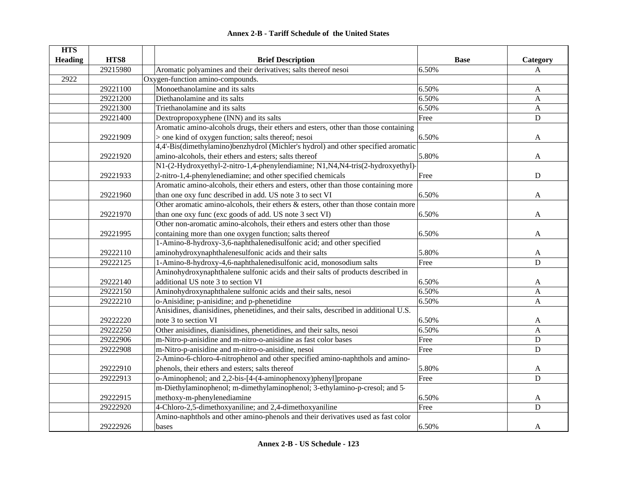|  | <b>Annex 2-B - Tariff Schedule of the United States</b> |  |
|--|---------------------------------------------------------|--|
|--|---------------------------------------------------------|--|

| <b>HTS</b>     |          |                                                                                        |             |              |
|----------------|----------|----------------------------------------------------------------------------------------|-------------|--------------|
| <b>Heading</b> | HTS8     | <b>Brief Description</b>                                                               | <b>Base</b> | Category     |
|                | 29215980 | Aromatic polyamines and their derivatives; salts thereof nesoi                         | 6.50%       | A            |
| 2922           |          | Oxygen-function amino-compounds.                                                       |             |              |
|                | 29221100 | Monoethanolamine and its salts                                                         | 6.50%       | A            |
|                | 29221200 | Diethanolamine and its salts                                                           | 6.50%       | A            |
|                | 29221300 | Triethanolamine and its salts                                                          | 6.50%       | A            |
|                | 29221400 | Dextropropoxyphene (INN) and its salts                                                 | Free        | $\mathbf D$  |
|                |          | Aromatic amino-alcohols drugs, their ethers and esters, other than those containing    |             |              |
|                | 29221909 | > one kind of oxygen function; salts thereof; nesoi                                    | 6.50%       | A            |
|                |          | 4,4'-Bis(dimethylamino)benzhydrol (Michler's hydrol) and other specified aromatic      |             |              |
|                | 29221920 | amino-alcohols, their ethers and esters; salts thereof                                 | 5.80%       | A            |
|                |          | N1-(2-Hydroxyethyl-2-nitro-1,4-phenylendiamine; N1,N4,N4-tris(2-hydroxyethyl)-         |             |              |
|                | 29221933 | 2-nitro-1,4-phenylenediamine; and other specified chemicals                            | Free        | $\mathbf D$  |
|                |          | Aromatic amino-alcohols, their ethers and esters, other than those containing more     |             |              |
|                | 29221960 | than one oxy func described in add. US note 3 to sect VI                               | 6.50%       | A            |
|                |          | Other aromatic amino-alcohols, their ethers $\&$ esters, other than those contain more |             |              |
|                | 29221970 | than one oxy func (exc goods of add. US note 3 sect VI)                                | 6.50%       | A            |
|                |          | Other non-aromatic amino-alcohols, their ethers and esters other than those            |             |              |
|                | 29221995 | containing more than one oxygen function; salts thereof                                | 6.50%       | A            |
|                |          | 1-Amino-8-hydroxy-3,6-naphthalenedisulfonic acid; and other specified                  |             |              |
|                | 29222110 | aminohydroxynaphthalenesulfonic acids and their salts                                  | 5.80%       | A            |
|                | 29222125 | 1-Amino-8-hydroxy-4,6-naphthalenedisulfonic acid, monosodium salts                     | Free        | $\mathbf D$  |
|                |          | Aminohydroxynaphthalene sulfonic acids and their salts of products described in        |             |              |
|                | 29222140 | additional US note 3 to section VI                                                     | 6.50%       | A            |
|                | 29222150 | Aminohydroxynaphthalene sulfonic acids and their salts, nesoi                          | 6.50%       | A            |
|                | 29222210 | o-Anisidine; p-anisidine; and p-phenetidine                                            | 6.50%       | $\mathbf{A}$ |
|                |          | Anisidines, dianisidines, phenetidines, and their salts, described in additional U.S.  |             |              |
|                | 29222220 | note 3 to section VI                                                                   | 6.50%       | A            |
|                | 29222250 | Other anisidines, dianisidines, phenetidines, and their salts, nesoi                   | 6.50%       | A            |
|                | 29222906 | m-Nitro-p-anisidine and m-nitro-o-anisidine as fast color bases                        | Free        | ${\bf D}$    |
|                | 29222908 | m-Nitro-p-anisidine and m-nitro-o-anisidine, nesoi                                     | Free        | $\mathbf D$  |
|                |          | 2-Amino-6-chloro-4-nitrophenol and other specified amino-naphthols and amino-          |             |              |
|                | 29222910 | phenols, their ethers and esters; salts thereof                                        | 5.80%       | A            |
|                | 29222913 | o-Aminophenol; and 2,2-bis-[4-(4-aminophenoxy)phenyl]propane                           | Free        | $\mathbf D$  |
|                |          | m-Diethylaminophenol; m-dimethylaminophenol; 3-ethylamino-p-cresol; and 5-             |             |              |
|                | 29222915 | methoxy-m-phenylenediamine                                                             | 6.50%       | A            |
|                | 29222920 | 4-Chloro-2,5-dimethoxyaniline; and 2,4-dimethoxyaniline                                | Free        | $\mathbf D$  |
|                |          | Amino-naphthols and other amino-phenols and their derivatives used as fast color       |             |              |
|                | 29222926 | bases                                                                                  | 6.50%       | A            |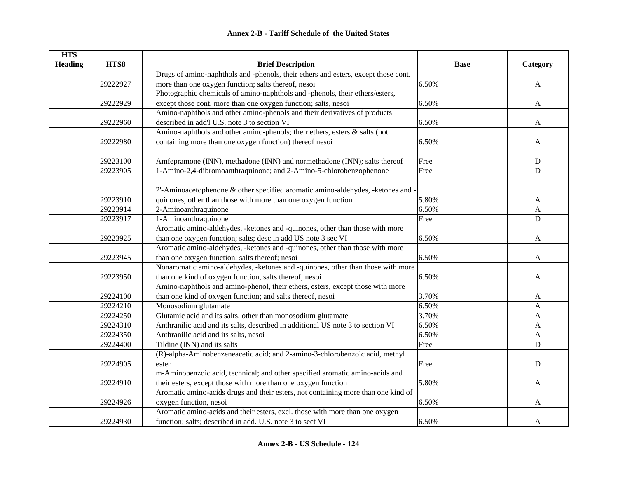| <b>HTS</b>     |          |                                                                                    |             |              |
|----------------|----------|------------------------------------------------------------------------------------|-------------|--------------|
| <b>Heading</b> | HTS8     | <b>Brief Description</b>                                                           | <b>Base</b> | Category     |
|                |          | Drugs of amino-naphthols and -phenols, their ethers and esters, except those cont. |             |              |
|                | 29222927 | more than one oxygen function; salts thereof, nesoi                                | 6.50%       | $\mathbf{A}$ |
|                |          | Photographic chemicals of amino-naphthols and -phenols, their ethers/esters,       |             |              |
|                | 29222929 | except those cont. more than one oxygen function; salts, nesoi                     | 6.50%       | A            |
|                |          | Amino-naphthols and other amino-phenols and their derivatives of products          |             |              |
|                | 29222960 | described in add'l U.S. note 3 to section VI                                       | 6.50%       | $\mathbf{A}$ |
|                |          | Amino-naphthols and other amino-phenols; their ethers, esters & salts (not         |             |              |
|                | 29222980 | containing more than one oxygen function) thereof nesoi                            | 6.50%       | A            |
|                |          |                                                                                    |             |              |
|                | 29223100 | Amfepramone (INN), methadone (INN) and normethadone (INN); salts thereof           | Free        | $\mathbf D$  |
|                | 29223905 | 1-Amino-2,4-dibromoanthraquinone; and 2-Amino-5-chlorobenzophenone                 | Free        | $\mathbf D$  |
|                |          |                                                                                    |             |              |
|                |          | 2'-Aminoacetophenone & other specified aromatic amino-aldehydes, -ketones and -    |             |              |
|                | 29223910 | quinones, other than those with more than one oxygen function                      | 5.80%       | A            |
|                | 29223914 | 2-Aminoanthraquinone                                                               | 6.50%       | A            |
|                | 29223917 | 1-Aminoanthraquinone                                                               | Free        | $\mathbf D$  |
|                |          | Aromatic amino-aldehydes, -ketones and -quinones, other than those with more       |             |              |
|                | 29223925 | than one oxygen function; salts; desc in add US note 3 sec VI                      | 6.50%       | A            |
|                |          | Aromatic amino-aldehydes, -ketones and -quinones, other than those with more       |             |              |
|                | 29223945 | than one oxygen function; salts thereof; nesoi                                     | 6.50%       | A            |
|                |          | Nonaromatic amino-aldehydes, -ketones and -quinones, other than those with more    |             |              |
|                | 29223950 | than one kind of oxygen function, salts thereof; nesoi                             | 6.50%       | A            |
|                |          | Amino-naphthols and amino-phenol, their ethers, esters, except those with more     |             |              |
|                | 29224100 | than one kind of oxygen function; and salts thereof, nesoi                         | 3.70%       | A            |
|                | 29224210 | Monosodium glutamate                                                               | 6.50%       | A            |
|                | 29224250 | Glutamic acid and its salts, other than monosodium glutamate                       | 3.70%       | A            |
|                | 29224310 | Anthranilic acid and its salts, described in additional US note 3 to section VI    | 6.50%       | A            |
|                | 29224350 | Anthranilic acid and its salts, nesoi                                              | 6.50%       | A            |
|                | 29224400 | Tildine (INN) and its salts                                                        | Free        | $\mathbf D$  |
|                |          | (R)-alpha-Aminobenzeneacetic acid; and 2-amino-3-chlorobenzoic acid, methyl        |             |              |
|                | 29224905 | ester                                                                              | Free        | ${\bf D}$    |
|                |          | m-Aminobenzoic acid, technical; and other specified aromatic amino-acids and       |             |              |
|                | 29224910 | their esters, except those with more than one oxygen function                      | 5.80%       | A            |
|                |          | Aromatic amino-acids drugs and their esters, not containing more than one kind of  |             |              |
|                | 29224926 | oxygen function, nesoi                                                             | 6.50%       | A            |
|                |          | Aromatic amino-acids and their esters, excl. those with more than one oxygen       |             |              |
|                | 29224930 | function; salts; described in add. U.S. note 3 to sect VI                          | 6.50%       | A            |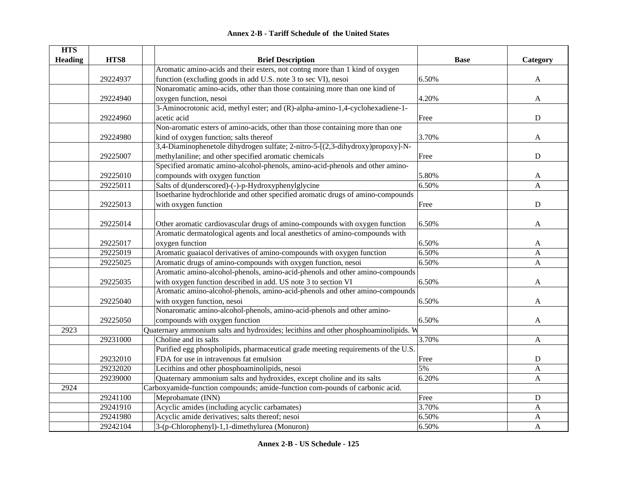| <b>HTS</b>     |          |                                                                                     |             |              |
|----------------|----------|-------------------------------------------------------------------------------------|-------------|--------------|
| <b>Heading</b> | HTS8     | <b>Brief Description</b>                                                            | <b>Base</b> | Category     |
|                |          | Aromatic amino-acids and their esters, not contng more than 1 kind of oxygen        |             |              |
|                | 29224937 | function (excluding goods in add U.S. note 3 to sec VI), nesoi                      | 6.50%       | A            |
|                |          | Nonaromatic amino-acids, other than those containing more than one kind of          |             |              |
|                | 29224940 | oxygen function, nesoi                                                              | 4.20%       | A            |
|                |          | 3-Aminocrotonic acid, methyl ester; and (R)-alpha-amino-1,4-cyclohexadiene-1-       |             |              |
|                | 29224960 | acetic acid                                                                         | Free        | ${\bf D}$    |
|                |          | Non-aromatic esters of amino-acids, other than those containing more than one       |             |              |
|                | 29224980 | kind of oxygen function; salts thereof                                              | 3.70%       | A            |
|                |          | 3,4-Diaminophenetole dihydrogen sulfate; 2-nitro-5-[(2,3-dihydroxy)propoxy]-N-      |             |              |
|                | 29225007 | methylaniline; and other specified aromatic chemicals                               | Free        | $\mathbf D$  |
|                |          | Specified aromatic amino-alcohol-phenols, amino-acid-phenols and other amino-       |             |              |
|                | 29225010 | compounds with oxygen function                                                      | 5.80%       | A            |
|                | 29225011 | Salts of d(underscored)-(-)-p-Hydroxyphenylglycine                                  | 6.50%       | A            |
|                |          | Isoetharine hydrochloride and other specified aromatic drugs of amino-compounds     |             |              |
|                | 29225013 | with oxygen function                                                                | Free        | ${\bf D}$    |
|                |          |                                                                                     |             |              |
|                | 29225014 | Other aromatic cardiovascular drugs of amino-compounds with oxygen function         | 6.50%       | A            |
|                |          | Aromatic dermatological agents and local anesthetics of amino-compounds with        |             |              |
|                | 29225017 | oxygen function                                                                     | 6.50%       | A            |
|                | 29225019 | Aromatic guaiacol derivatives of amino-compounds with oxygen function               | 6.50%       | A            |
|                | 29225025 | Aromatic drugs of amino-compounds with oxygen function, nesoi                       | 6.50%       | A            |
|                |          | Aromatic amino-alcohol-phenols, amino-acid-phenols and other amino-compounds        |             |              |
|                | 29225035 | with oxygen function described in add. US note 3 to section VI                      | 6.50%       | A            |
|                |          | Aromatic amino-alcohol-phenols, amino-acid-phenols and other amino-compounds        |             |              |
|                | 29225040 | with oxygen function, nesoi                                                         | 6.50%       | A            |
|                |          | Nonaromatic amino-alcohol-phenols, amino-acid-phenols and other amino-              |             |              |
|                | 29225050 | compounds with oxygen function                                                      | 6.50%       | A            |
| 2923           |          | Quaternary ammonium salts and hydroxides; lecithins and other phosphoaminolipids. W |             |              |
|                | 29231000 | Choline and its salts                                                               | 3.70%       | A            |
|                |          | Purified egg phospholipids, pharmaceutical grade meeting requirements of the U.S.   |             |              |
|                | 29232010 | FDA for use in intravenous fat emulsion                                             | Free        | ${\bf D}$    |
|                | 29232020 | Lecithins and other phosphoaminolipids, nesoi                                       | 5%          | A            |
|                | 29239000 | Quaternary ammonium salts and hydroxides, except choline and its salts              | 6.20%       | A            |
| 2924           |          | Carboxyamide-function compounds; amide-function com-pounds of carbonic acid.        |             |              |
|                | 29241100 | Meprobamate (INN)                                                                   | Free        | ${\bf D}$    |
|                | 29241910 | Acyclic amides (including acyclic carbamates)                                       | 3.70%       | A            |
|                | 29241980 | Acyclic amide derivatives; salts thereof; nesoi                                     | 6.50%       | A            |
|                | 29242104 | 3-(p-Chlorophenyl)-1,1-dimethylurea (Monuron)                                       | 6.50%       | $\mathbf{A}$ |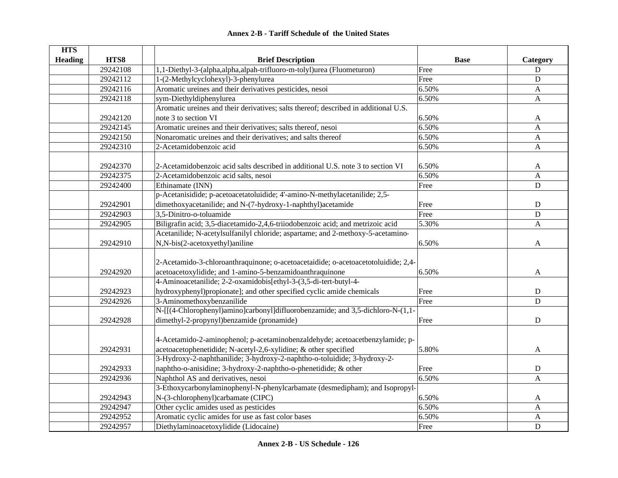| <b>Annex 2-B - Tariff Schedule of the United States</b> |  |
|---------------------------------------------------------|--|
|---------------------------------------------------------|--|

| <b>HTS</b>     |          |                                                                                                                                                 |             |                           |
|----------------|----------|-------------------------------------------------------------------------------------------------------------------------------------------------|-------------|---------------------------|
| <b>Heading</b> | HTS8     | <b>Brief Description</b>                                                                                                                        | <b>Base</b> | Category                  |
|                | 29242108 | 1,1-Diethyl-3-(alpha,alpha,alpah-trifluoro-m-tolyl)urea (Fluometuron)                                                                           | Free        | ${\bf D}$                 |
|                | 29242112 | 1-(2-Methylcyclohexyl)-3-phenylurea                                                                                                             | Free        | $\mathbf D$               |
|                | 29242116 | Aromatic ureines and their derivatives pesticides, nesoi                                                                                        | 6.50%       | $\mathbf{A}$              |
|                | 29242118 | sym-Diethyldiphenylurea                                                                                                                         | 6.50%       | A                         |
|                |          | Aromatic ureines and their derivatives; salts thereof; described in additional U.S.                                                             |             |                           |
|                | 29242120 | note 3 to section VI                                                                                                                            | 6.50%       | A                         |
|                | 29242145 | Aromatic ureines and their derivatives; salts thereof, nesoi                                                                                    | 6.50%       | $\mathbf{A}$              |
|                | 29242150 | Nonaromatic ureines and their derivatives; and salts thereof                                                                                    | 6.50%       | A                         |
|                | 29242310 | 2-Acetamidobenzoic acid                                                                                                                         | 6.50%       | $\mathbf{A}$              |
|                | 29242370 | 2-Acetamidobenzoic acid salts described in additional U.S. note 3 to section VI                                                                 | 6.50%       | A                         |
|                | 29242375 | 2-Acetamidobenzoic acid salts, nesoi                                                                                                            | 6.50%       | A                         |
|                | 29242400 | Ethinamate (INN)                                                                                                                                | Free        | $\mathbf D$               |
|                |          | p-Acetanisidide; p-acetoacetatoluidide; 4'-amino-N-methylacetanilide; 2,5-                                                                      |             |                           |
|                | 29242901 | dimethoxyacetanilide; and N-(7-hydroxy-1-naphthyl)acetamide                                                                                     | Free        | ${\bf D}$                 |
|                | 29242903 | 3,5-Dinitro-o-toluamide                                                                                                                         | Free        | D                         |
|                | 29242905 | Biligrafin acid; 3,5-diacetamido-2,4,6-triiodobenzoic acid; and metrizoic acid                                                                  | 5.30%       | $\mathbf{A}$              |
|                |          | Acetanilide; N-acetylsulfanilyl chloride; aspartame; and 2-methoxy-5-acetamino-                                                                 |             |                           |
|                | 29242910 | N,N-bis(2-acetoxyethyl)aniline                                                                                                                  | 6.50%       | $\mathbf{A}$              |
|                | 29242920 | 2-Acetamido-3-chloroanthraquinone; o-acetoacetaidide; o-acetoacetotoluidide; 2,4-<br>acetoacetoxylidide; and 1-amino-5-benzamidoanthraquinone   | 6.50%       | A                         |
|                |          | 4-Aminoacetanilide; 2-2-oxamidobis[ethyl-3-(3,5-di-tert-butyl-4-                                                                                |             |                           |
|                | 29242923 | hydroxyphenyl)propionate]; and other specified cyclic amide chemicals                                                                           | Free        | D                         |
|                | 29242926 | 3-Aminomethoxybenzanilide                                                                                                                       | Free        | D                         |
|                |          | N-[[(4-Chlorophenyl)amino]carbonyl]difluorobenzamide; and 3,5-dichloro-N-(1,1-                                                                  |             |                           |
|                | 29242928 | dimethyl-2-propynyl)benzamide (pronamide)                                                                                                       | Free        | ${\bf D}$                 |
|                | 29242931 | 4-Acetamido-2-aminophenol; p-acetaminobenzaldehyde; acetoacetbenzylamide; p-<br>acetoacetophenetidide; N-acetyl-2,6-xylidine; & other specified | 5.80%       | A                         |
|                |          | 3-Hydroxy-2-naphthanilide; 3-hydroxy-2-naphtho-o-toluidide; 3-hydroxy-2-                                                                        |             |                           |
|                | 29242933 | naphtho-o-anisidine; 3-hydroxy-2-naphtho-o-phenetidide; & other                                                                                 | Free        | ${\bf D}$                 |
|                | 29242936 | Naphthol AS and derivatives, nesoi                                                                                                              | 6.50%       | A                         |
|                |          | 3-Ethoxycarbonylaminophenyl-N-phenylcarbamate (desmedipham); and Isopropyl-                                                                     |             |                           |
|                | 29242943 | N-(3-chlorophenyl)carbamate (CIPC)                                                                                                              | 6.50%       | A                         |
|                | 29242947 | Other cyclic amides used as pesticides                                                                                                          | 6.50%       | $\mathbf{A}$              |
|                | 29242952 | Aromatic cyclic amides for use as fast color bases                                                                                              | 6.50%       | $\boldsymbol{\mathsf{A}}$ |
|                | 29242957 | Diethylaminoacetoxylidide (Lidocaine)                                                                                                           | Free        | $\mathbf D$               |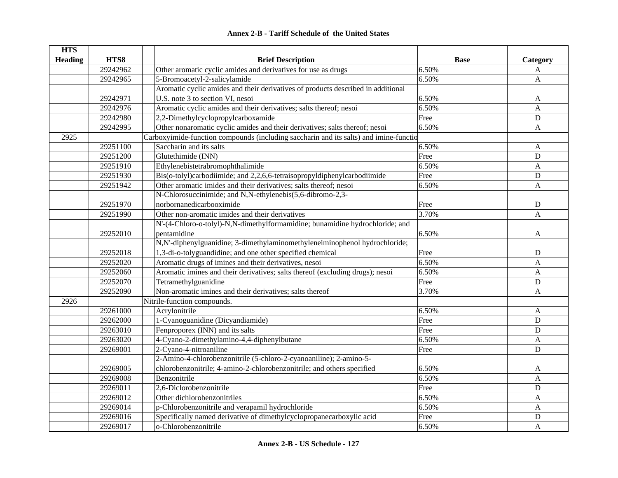|  | <b>Annex 2-B - Tariff Schedule of the United States</b> |  |
|--|---------------------------------------------------------|--|
|--|---------------------------------------------------------|--|

| <b>HTS</b>     |          |                                                                                       |             |              |
|----------------|----------|---------------------------------------------------------------------------------------|-------------|--------------|
| <b>Heading</b> | HTS8     | <b>Brief Description</b>                                                              | <b>Base</b> | Category     |
|                | 29242962 | Other aromatic cyclic amides and derivatives for use as drugs                         | 6.50%       | A            |
|                | 29242965 | 5-Bromoacetyl-2-salicylamide                                                          | 6.50%       | A            |
|                |          | Aromatic cyclic amides and their derivatives of products described in additional      |             |              |
|                | 29242971 | U.S. note 3 to section VI, nesoi                                                      | 6.50%       | A            |
|                | 29242976 | Aromatic cyclic amides and their derivatives; salts thereof; nesoi                    | 6.50%       | A            |
|                | 29242980 | 2,2-Dimethylcyclopropylcarboxamide                                                    | Free        | $\mathbf D$  |
|                | 29242995 | Other nonaromatic cyclic amides and their derivatives; salts thereof; nesoi           | 6.50%       | A            |
| 2925           |          | Carboxyimide-function compounds (including saccharin and its salts) and imine-functio |             |              |
|                | 29251100 | Saccharin and its salts                                                               | 6.50%       | A            |
|                | 29251200 | Glutethimide (INN)                                                                    | Free        | $\mathbf D$  |
|                | 29251910 | Ethylenebistetrabromophthalimide                                                      | 6.50%       | $\mathbf{A}$ |
|                | 29251930 | Bis(o-tolyl)carbodiimide; and 2,2,6,6-tetraisopropyldiphenylcarbodiimide              | Free        | ${\bf D}$    |
|                | 29251942 | Other aromatic imides and their derivatives; salts thereof; nesoi                     | 6.50%       | A            |
|                |          | N-Chlorosuccinimide; and N,N-ethylenebis(5,6-dibromo-2,3-                             |             |              |
|                | 29251970 | norbornanedicarbooximide                                                              | Free        | $\mathbf D$  |
|                | 29251990 | Other non-aromatic imides and their derivatives                                       | 3.70%       | A            |
|                |          | N'-(4-Chloro-o-tolyl)-N,N-dimethylformamidine; bunamidine hydrochloride; and          |             |              |
|                | 29252010 | pentamidine                                                                           | 6.50%       | A            |
|                |          | N,N'-diphenylguanidine; 3-dimethylaminomethyleneiminophenol hydrochloride;            |             |              |
|                | 29252018 | 1,3-di-o-tolyguandidine; and one other specified chemical                             | Free        | $\mathbf D$  |
|                | 29252020 | Aromatic drugs of imines and their derivatives, nesoi                                 | 6.50%       | A            |
|                | 29252060 | Aromatic imines and their derivatives; salts thereof (excluding drugs); nesoi         | 6.50%       | A            |
|                | 29252070 | Tetramethylguanidine                                                                  | Free        | D            |
|                | 29252090 | Non-aromatic imines and their derivatives; salts thereof                              | 3.70%       | A            |
| 2926           |          | Nitrile-function compounds.                                                           |             |              |
|                | 29261000 | Acrylonitrile                                                                         | 6.50%       | A            |
|                | 29262000 | 1-Cyanoguanidine (Dicyandiamide)                                                      | Free        | ${\bf D}$    |
|                | 29263010 | Fenproporex (INN) and its salts                                                       | Free        | ${\bf D}$    |
|                | 29263020 | 4-Cyano-2-dimethylamino-4,4-diphenylbutane                                            | 6.50%       | A            |
|                | 29269001 | 2-Cyano-4-nitroaniline                                                                | Free        | $\mathbf D$  |
|                |          | 2-Amino-4-chlorobenzonitrile (5-chloro-2-cyanoaniline); 2-amino-5-                    |             |              |
|                | 29269005 | chlorobenzonitrile; 4-amino-2-chlorobenzonitrile; and others specified                | 6.50%       | A            |
|                | 29269008 | Benzonitrile                                                                          | 6.50%       | A            |
|                | 29269011 | 2,6-Diclorobenzonitrile                                                               | Free        | ${\bf D}$    |
|                | 29269012 | Other dichlorobenzonitriles                                                           | 6.50%       | A            |
|                | 29269014 | p-Chlorobenzonitrile and verapamil hydrochloride                                      | 6.50%       | A            |
|                | 29269016 | Specifically named derivative of dimethylcyclopropanecarboxylic acid                  | Free        | $\mathbf D$  |
|                | 29269017 | o-Chlorobenzonitrile                                                                  | 6.50%       | A            |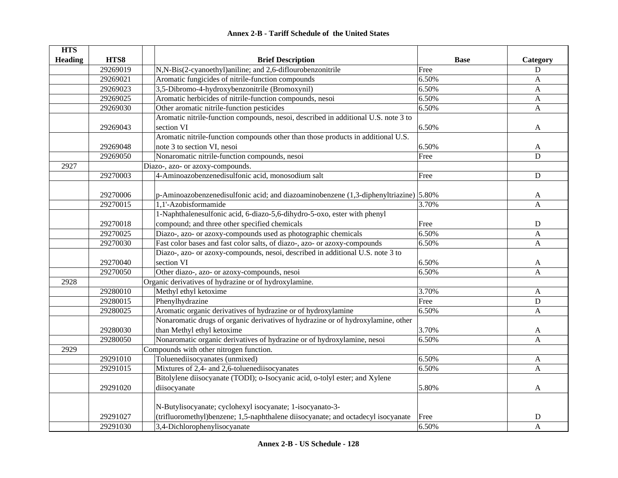| <b>Annex 2-B - Tariff Schedule of the United States</b> |  |
|---------------------------------------------------------|--|
|---------------------------------------------------------|--|

| <b>HTS</b>     |          |                                                                                      |             |                |
|----------------|----------|--------------------------------------------------------------------------------------|-------------|----------------|
| <b>Heading</b> | HTS8     | <b>Brief Description</b>                                                             | <b>Base</b> | Category       |
|                | 29269019 | N,N-Bis(2-cyanoethyl)aniline; and 2,6-diflourobenzonitrile                           | Free        | D              |
|                | 29269021 | Aromatic fungicides of nitrile-function compounds                                    | 6.50%       | A              |
|                | 29269023 | 3,5-Dibromo-4-hydroxybenzonitrile (Bromoxynil)                                       | 6.50%       | $\mathbf{A}$   |
|                | 29269025 | Aromatic herbicides of nitrile-function compounds, nesoi                             | 6.50%       | $\mathbf{A}$   |
|                | 29269030 | Other aromatic nitrile-function pesticides                                           | 6.50%       | $\mathbf{A}$   |
|                |          | Aromatic nitrile-function compounds, nesoi, described in additional U.S. note 3 to   |             |                |
|                | 29269043 | section VI                                                                           | 6.50%       | A              |
|                |          | Aromatic nitrile-function compounds other than those products in additional U.S.     |             |                |
|                | 29269048 | note 3 to section VI, nesoi                                                          | 6.50%       | A              |
|                | 29269050 | Nonaromatic nitrile-function compounds, nesoi                                        | Free        | $\overline{D}$ |
| 2927           |          | Diazo-, azo- or azoxy-compounds.                                                     |             |                |
|                | 29270003 | 4-Aminoazobenzenedisulfonic acid, monosodium salt                                    | Free        | D              |
|                |          |                                                                                      |             |                |
|                | 29270006 | p-Aminoazobenzenedisulfonic acid; and diazoaminobenzene (1,3-diphenyltriazine) 5.80% |             | A              |
|                | 29270015 | 1,1'-Azobisformamide                                                                 | 3.70%       | A              |
|                |          | 1-Naphthalenesulfonic acid, 6-diazo-5,6-dihydro-5-oxo, ester with phenyl             |             |                |
|                | 29270018 | compound; and three other specified chemicals                                        | Free        | D              |
|                | 29270025 | Diazo-, azo- or azoxy-compounds used as photographic chemicals                       | 6.50%       | A              |
|                | 29270030 | Fast color bases and fast color salts, of diazo-, azo- or azoxy-compounds            | 6.50%       | A              |
|                |          | Diazo-, azo- or azoxy-compounds, nesoi, described in additional U.S. note 3 to       |             |                |
|                | 29270040 | section VI                                                                           | 6.50%       | A              |
|                | 29270050 | Other diazo-, azo- or azoxy-compounds, nesoi                                         | 6.50%       | A              |
| 2928           |          | Organic derivatives of hydrazine or of hydroxylamine.                                |             |                |
|                | 29280010 | Methyl ethyl ketoxime                                                                | 3.70%       | A              |
|                | 29280015 | Phenylhydrazine                                                                      | Free        | $\mathbf D$    |
|                | 29280025 | Aromatic organic derivatives of hydrazine or of hydroxylamine                        | 6.50%       | A              |
|                |          | Nonaromatic drugs of organic derivatives of hydrazine or of hydroxylamine, other     |             |                |
|                | 29280030 | than Methyl ethyl ketoxime                                                           | 3.70%       | A              |
|                | 29280050 | Nonaromatic organic derivatives of hydrazine or of hydroxylamine, nesoi              | 6.50%       | A              |
| 2929           |          | Compounds with other nitrogen function.                                              |             |                |
|                | 29291010 | Toluenediisocyanates (unmixed)                                                       | 6.50%       | A              |
|                | 29291015 | Mixtures of 2,4- and 2,6-toluenediisocyanates                                        | 6.50%       | A              |
|                |          | Bitolylene diisocyanate (TODI); o-Isocyanic acid, o-tolyl ester; and Xylene          |             |                |
|                | 29291020 | diisocyanate                                                                         | 5.80%       | A              |
|                |          | N-Butylisocyanate; cyclohexyl isocyanate; 1-isocyanato-3-                            |             |                |
|                | 29291027 | (trifluoromethyl)benzene; 1,5-naphthalene diisocyanate; and octadecyl isocyanate     | Free        | D              |
|                | 29291030 | 3,4-Dichlorophenylisocyanate                                                         | 6.50%       | A              |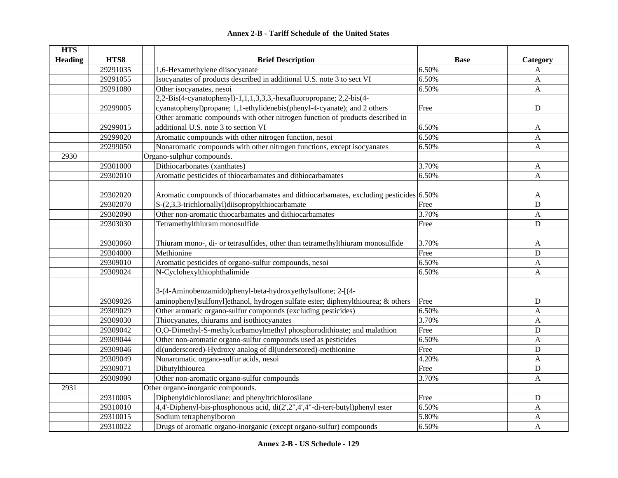| <b>HTS</b>     |          |                                                                                       |             |              |
|----------------|----------|---------------------------------------------------------------------------------------|-------------|--------------|
| <b>Heading</b> | HTS8     | <b>Brief Description</b>                                                              | <b>Base</b> | Category     |
|                | 29291035 | 1,6-Hexamethylene diisocyanate                                                        | 6.50%       | A            |
|                | 29291055 | Isocyanates of products described in additional U.S. note 3 to sect VI                | 6.50%       | A            |
|                | 29291080 | Other isocyanates, nesoi                                                              | 6.50%       | $\mathbf{A}$ |
|                |          | 2,2-Bis(4-cyanatophenyl)-1,1,1,3,3,3,-hexafluoropropane; 2,2-bis(4-                   |             |              |
|                | 29299005 | cyanatophenyl)propane; 1,1-ethylidenebis(phenyl-4-cyanate); and 2 others              | Free        | D            |
|                |          | Other aromatic compounds with other nitrogen function of products described in        |             |              |
|                | 29299015 | additional U.S. note 3 to section VI                                                  | 6.50%       | A            |
|                | 29299020 | Aromatic compounds with other nitrogen function, nesoi                                | 6.50%       | $\mathbf{A}$ |
|                | 29299050 | Nonaromatic compounds with other nitrogen functions, except isocyanates               | 6.50%       | $\mathbf{A}$ |
| 2930           |          | Organo-sulphur compounds.                                                             |             |              |
|                | 29301000 | Dithiocarbonates (xanthates)                                                          | 3.70%       | A            |
|                | 29302010 | Aromatic pesticides of thiocarbamates and dithiocarbamates                            | 6.50%       | A            |
|                |          |                                                                                       |             |              |
|                | 29302020 | Aromatic compounds of thiocarbamates and dithiocarbamates, excluding pesticides 6.50% |             | A            |
|                | 29302070 | S-(2,3,3-trichloroallyl)diisopropylthiocarbamate                                      | Free        | D            |
|                | 29302090 | Other non-aromatic thiocarbamates and dithiocarbamates                                | 3.70%       | $\mathbf{A}$ |
|                | 29303030 | Tetramethylthiuram monosulfide                                                        | Free        | D            |
|                |          |                                                                                       |             |              |
|                | 29303060 | Thiuram mono-, di- or tetrasulfides, other than tetramethylthiuram monosulfide        | 3.70%       | A            |
|                | 29304000 | Methionine                                                                            | Free        | $\mathbf D$  |
|                | 29309010 | Aromatic pesticides of organo-sulfur compounds, nesoi                                 | 6.50%       | $\mathbf{A}$ |
|                | 29309024 | $\overline{N-C}$ yclohexylthiophthalimide                                             | 6.50%       | A            |
|                |          |                                                                                       |             |              |
|                |          | 3-(4-Aminobenzamido)phenyl-beta-hydroxyethylsulfone; 2-[(4-                           |             |              |
|                | 29309026 | aminophenyl)sulfonyl]ethanol, hydrogen sulfate ester; diphenylthiourea; & others      | Free        | D            |
|                | 29309029 | Other aromatic organo-sulfur compounds (excluding pesticides)                         | 6.50%       | $\mathbf{A}$ |
|                | 29309030 | Thiocyanates, thiurams and isothiocyanates                                            | 3.70%       | A            |
|                | 29309042 | O,O-Dimethyl-S-methylcarbamoylmethyl phosphorodithioate; and malathion                | Free        | D            |
|                | 29309044 | Other non-aromatic organo-sulfur compounds used as pesticides                         | 6.50%       | A            |
|                | 29309046 | dl(underscored)-Hydroxy analog of dl(underscored)-methionine                          | Free        | D            |
|                | 29309049 | Nonaromatic organo-sulfur acids, nesoi                                                | 4.20%       | A            |
|                | 29309071 | Dibutylthiourea                                                                       | Free        | D            |
|                | 29309090 | Other non-aromatic organo-sulfur compounds                                            | 3.70%       | A            |
| 2931           |          | Other organo-inorganic compounds.                                                     |             |              |
|                | 29310005 | Diphenyldichlorosilane; and phenyltrichlorosilane                                     | Free        | D            |
|                | 29310010 | 4,4'-Diphenyl-bis-phosphonous acid, di(2',2",4',4"-di-tert-butyl)phenyl ester         | 6.50%       | $\mathbf{A}$ |
|                | 29310015 | Sodium tetraphenylboron                                                               | 5.80%       | $\mathbf{A}$ |
|                | 29310022 | Drugs of aromatic organo-inorganic (except organo-sulfur) compounds                   | 6.50%       | A            |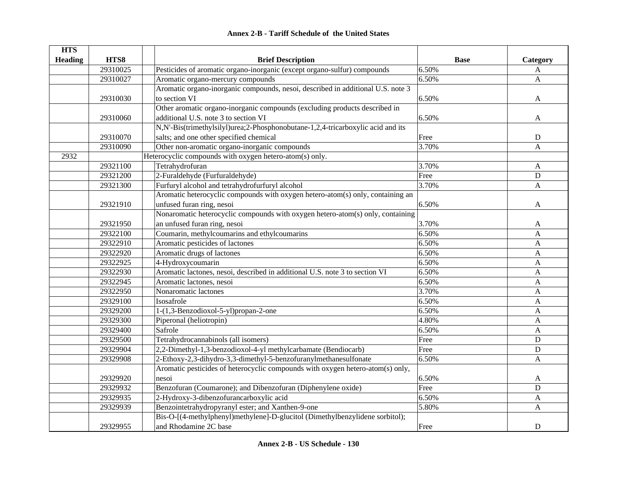|  | <b>Annex 2-B - Tariff Schedule of the United States</b> |  |
|--|---------------------------------------------------------|--|
|--|---------------------------------------------------------|--|

| <b>HTS</b>     |          |                                                                                 |             |              |
|----------------|----------|---------------------------------------------------------------------------------|-------------|--------------|
| <b>Heading</b> | HTS8     | <b>Brief Description</b>                                                        | <b>Base</b> | Category     |
|                | 29310025 | Pesticides of aromatic organo-inorganic (except organo-sulfur) compounds        | 6.50%       | A            |
|                | 29310027 | Aromatic organo-mercury compounds                                               | 6.50%       | A            |
|                |          | Aromatic organo-inorganic compounds, nesoi, described in additional U.S. note 3 |             |              |
|                | 29310030 | to section VI                                                                   | 6.50%       | A            |
|                |          | Other aromatic organo-inorganic compounds (excluding products described in      |             |              |
|                | 29310060 | additional U.S. note 3 to section VI                                            | 6.50%       | A            |
|                |          | N,N'-Bis(trimethylsilyl)urea;2-Phosphonobutane-1,2,4-tricarboxylic acid and its |             |              |
|                | 29310070 | salts; and one other specified chemical                                         | Free        | ${\bf D}$    |
|                | 29310090 | Other non-aromatic organo-inorganic compounds                                   | 3.70%       | A            |
| 2932           |          | Heterocyclic compounds with oxygen hetero-atom(s) only.                         |             |              |
|                | 29321100 | Tetrahydrofuran                                                                 | 3.70%       | A            |
|                | 29321200 | 2-Furaldehyde (Furfuraldehyde)                                                  | Free        | ${\bf D}$    |
|                | 29321300 | Furfuryl alcohol and tetrahydrofurfuryl alcohol                                 | 3.70%       | $\mathbf{A}$ |
|                |          | Aromatic heterocyclic compounds with oxygen hetero-atom(s) only, containing an  |             |              |
|                | 29321910 | unfused furan ring, nesoi                                                       | 6.50%       | A            |
|                |          | Nonaromatic heterocyclic compounds with oxygen hetero-atom(s) only, containing  |             |              |
|                | 29321950 | an unfused furan ring, nesoi                                                    | 3.70%       | A            |
|                | 29322100 | Coumarin, methylcoumarins and ethylcoumarins                                    | 6.50%       | A            |
|                | 29322910 | Aromatic pesticides of lactones                                                 | 6.50%       | $\mathbf{A}$ |
|                | 29322920 | Aromatic drugs of lactones                                                      | 6.50%       | A            |
|                | 29322925 | 4-Hydroxycoumarin                                                               | 6.50%       | A            |
|                | 29322930 | Aromatic lactones, nesoi, described in additional U.S. note 3 to section VI     | 6.50%       | A            |
|                | 29322945 | Aromatic lactones, nesoi                                                        | 6.50%       | A            |
|                | 29322950 | Nonaromatic lactones                                                            | 3.70%       | A            |
|                | 29329100 | Isosafrole                                                                      | 6.50%       | A            |
|                | 29329200 | 1-(1,3-Benzodioxol-5-yl)propan-2-one                                            | 6.50%       | A            |
|                | 29329300 | Piperonal (heliotropin)                                                         | 4.80%       | $\mathbf{A}$ |
|                | 29329400 | Safrole                                                                         | 6.50%       | A            |
|                | 29329500 | Tetrahydrocannabinols (all isomers)                                             | Free        | D            |
|                | 29329904 | 2,2-Dimethyl-1,3-benzodioxol-4-yl methylcarbamate (Bendiocarb)                  | Free        | $\mathbf D$  |
|                | 29329908 | 2-Ethoxy-2,3-dihydro-3,3-dimethyl-5-benzofuranylmethanesulfonate                | 6.50%       | $\mathbf{A}$ |
|                |          | Aromatic pesticides of heterocyclic compounds with oxygen hetero-atom(s) only,  |             |              |
|                | 29329920 | nesoi                                                                           | 6.50%       | A            |
|                | 29329932 | Benzofuran (Coumarone); and Dibenzofuran (Diphenylene oxide)                    | Free        | $\mathbf D$  |
|                | 29329935 | 2-Hydroxy-3-dibenzofurancarboxylic acid                                         | 6.50%       | A            |
|                | 29329939 | Benzointetrahydropyranyl ester; and Xanthen-9-one                               | 5.80%       | $\mathbf{A}$ |
|                |          | Bis-O-[(4-methylphenyl)methylene]-D-glucitol (Dimethylbenzylidene sorbitol);    |             |              |
|                | 29329955 | and Rhodamine 2C base                                                           | Free        | $\mathbf D$  |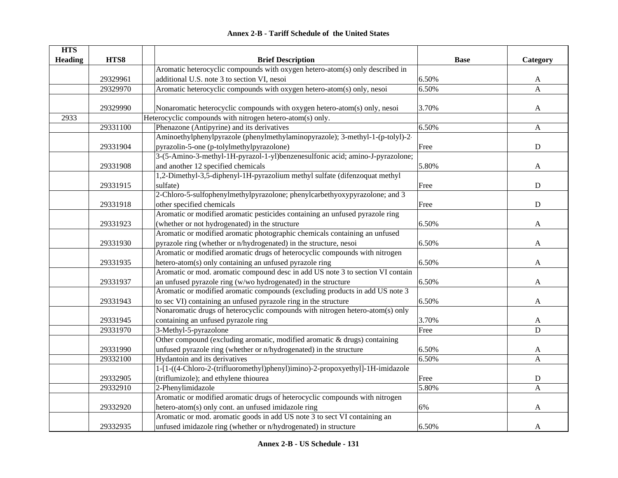| <b>HTS</b>     |          |                                                                                |             |              |
|----------------|----------|--------------------------------------------------------------------------------|-------------|--------------|
| <b>Heading</b> | HTS8     | <b>Brief Description</b>                                                       | <b>Base</b> | Category     |
|                |          | Aromatic heterocyclic compounds with oxygen hetero-atom(s) only described in   |             |              |
|                | 29329961 | additional U.S. note 3 to section VI, nesoi                                    | 6.50%       | A            |
|                | 29329970 | Aromatic heterocyclic compounds with oxygen hetero-atom(s) only, nesoi         | 6.50%       | $\mathbf{A}$ |
|                |          |                                                                                |             |              |
|                | 29329990 | Nonaromatic heterocyclic compounds with oxygen hetero-atom(s) only, nesoi      | 3.70%       | $\mathbf{A}$ |
| 2933           |          | Heterocyclic compounds with nitrogen hetero-atom(s) only.                      |             |              |
|                | 29331100 | Phenazone (Antipyrine) and its derivatives                                     | 6.50%       | $\mathbf{A}$ |
|                |          | Aminoethylphenylpyrazole (phenylmethylaminopyrazole); 3-methyl-1-(p-tolyl)-2-  |             |              |
|                | 29331904 | pyrazolin-5-one (p-tolylmethylpyrazolone)                                      | Free        | ${\bf D}$    |
|                |          | 3-(5-Amino-3-methyl-1H-pyrazol-1-yl)benzenesulfonic acid; amino-J-pyrazolone;  |             |              |
|                | 29331908 | and another 12 specified chemicals                                             | 5.80%       | A            |
|                |          | 1,2-Dimethyl-3,5-diphenyl-1H-pyrazolium methyl sulfate (difenzoquat methyl     |             |              |
|                | 29331915 | sulfate)                                                                       | Free        | ${\bf D}$    |
|                |          | 2-Chloro-5-sulfophenylmethylpyrazolone; phenylcarbethyoxypyrazolone; and 3     |             |              |
|                | 29331918 | other specified chemicals                                                      | Free        | ${\bf D}$    |
|                |          | Aromatic or modified aromatic pesticides containing an unfused pyrazole ring   |             |              |
|                | 29331923 | (whether or not hydrogenated) in the structure                                 | 6.50%       | A            |
|                |          | Aromatic or modified aromatic photographic chemicals containing an unfused     |             |              |
|                | 29331930 | pyrazole ring (whether or n/hydrogenated) in the structure, nesoi              | 6.50%       | A            |
|                |          | Aromatic or modified aromatic drugs of heterocyclic compounds with nitrogen    |             |              |
|                | 29331935 | hetero-atom(s) only containing an unfused pyrazole ring                        | 6.50%       | A            |
|                |          | Aromatic or mod. aromatic compound desc in add US note 3 to section VI contain |             |              |
|                | 29331937 | an unfused pyrazole ring (w/wo hydrogenated) in the structure                  | 6.50%       | A            |
|                |          | Aromatic or modified aromatic compounds (excluding products in add US note 3   |             |              |
|                | 29331943 | to sec VI) containing an unfused pyrazole ring in the structure                | 6.50%       | A            |
|                |          | Nonaromatic drugs of heterocyclic compounds with nitrogen hetero-atom(s) only  |             |              |
|                | 29331945 | containing an unfused pyrazole ring                                            | 3.70%       | A            |
|                | 29331970 | 3-Methyl-5-pyrazolone                                                          | Free        | $\mathbf D$  |
|                |          | Other compound (excluding aromatic, modified aromatic & drugs) containing      |             |              |
|                | 29331990 | unfused pyrazole ring (whether or n/hydrogenated) in the structure             | 6.50%       | A            |
|                | 29332100 | Hydantoin and its derivatives                                                  | 6.50%       | A            |
|                |          | 1-[1-((4-Chloro-2-(trifluoromethyl)phenyl)imino)-2-propoxyethyl]-1H-imidazole  |             |              |
|                | 29332905 | (triflumizole); and ethylene thiourea                                          | Free        | ${\bf D}$    |
|                | 29332910 | 2-Phenylimidazole                                                              | 5.80%       | A            |
|                |          | Aromatic or modified aromatic drugs of heterocyclic compounds with nitrogen    |             |              |
|                | 29332920 | hetero-atom(s) only cont. an unfused imidazole ring                            | 6%          | A            |
|                |          | Aromatic or mod. aromatic goods in add US note 3 to sect VI containing an      |             |              |
|                | 29332935 | unfused imidazole ring (whether or n/hydrogenated) in structure                | 6.50%       | A            |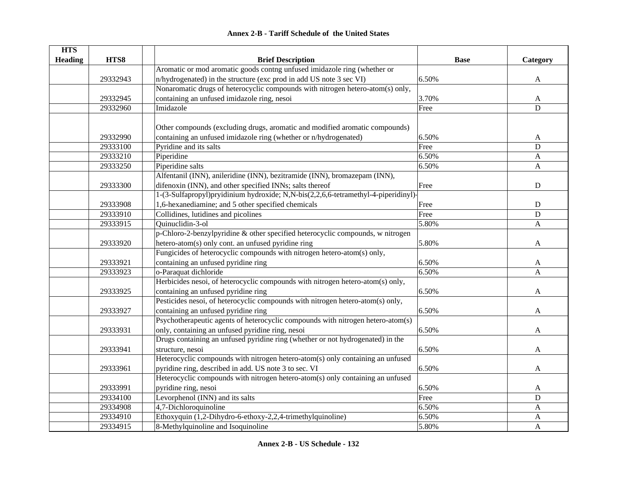|  | <b>Annex 2-B - Tariff Schedule of the United States</b> |  |
|--|---------------------------------------------------------|--|
|--|---------------------------------------------------------|--|

| <b>HTS</b>     |          |                                                                                    |             |              |
|----------------|----------|------------------------------------------------------------------------------------|-------------|--------------|
| <b>Heading</b> | HTS8     | <b>Brief Description</b>                                                           | <b>Base</b> | Category     |
|                |          | Aromatic or mod aromatic goods contng unfused imidazole ring (whether or           |             |              |
|                | 29332943 | n/hydrogenated) in the structure (exc prod in add US note 3 sec VI)                | 6.50%       | $\mathbf{A}$ |
|                |          | Nonaromatic drugs of heterocyclic compounds with nitrogen hetero-atom(s) only,     |             |              |
|                | 29332945 | containing an unfused imidazole ring, nesoi                                        | 3.70%       | A            |
|                | 29332960 | Imidazole                                                                          | Free        | D            |
|                |          |                                                                                    |             |              |
|                |          | Other compounds (excluding drugs, aromatic and modified aromatic compounds)        |             |              |
|                | 29332990 | containing an unfused imidazole ring (whether or n/hydrogenated)                   | 6.50%       | A            |
|                | 29333100 | Pyridine and its salts                                                             | Free        | D            |
|                | 29333210 | Piperidine                                                                         | 6.50%       | $\mathbf{A}$ |
|                | 29333250 | Piperidine salts                                                                   | 6.50%       | $\mathbf{A}$ |
|                |          | Alfentanil (INN), anileridine (INN), bezitramide (INN), bromazepam (INN),          |             |              |
|                | 29333300 | difenoxin (INN), and other specified INNs; salts thereof                           | Free        | $\mathbf D$  |
|                |          | 1-(3-Sulfapropyl)pryidinium hydroxide; N,N-bis(2,2,6,6-tetramethyl-4-piperidinyl)- |             |              |
|                | 29333908 | 1,6-hexanediamine; and 5 other specified chemicals                                 | Free        | $\mathbf D$  |
|                | 29333910 | Collidines, lutidines and picolines                                                | Free        | D            |
|                | 29333915 | Ouinuclidin-3-ol                                                                   | 5.80%       | A            |
|                |          | p-Chloro-2-benzylpyridine & other specified heterocyclic compounds, w nitrogen     |             |              |
|                | 29333920 | hetero-atom(s) only cont. an unfused pyridine ring                                 | 5.80%       | A            |
|                |          | Fungicides of heterocyclic compounds with nitrogen hetero-atom(s) only,            |             |              |
|                | 29333921 | containing an unfused pyridine ring                                                | 6.50%       | A            |
|                | 29333923 | o-Paraquat dichloride                                                              | 6.50%       | A            |
|                |          | Herbicides nesoi, of heterocyclic compounds with nitrogen hetero-atom(s) only,     |             |              |
|                | 29333925 | containing an unfused pyridine ring                                                | 6.50%       | A            |
|                |          | Pesticides nesoi, of heterocyclic compounds with nitrogen hetero-atom(s) only,     |             |              |
|                | 29333927 | containing an unfused pyridine ring                                                | 6.50%       | A            |
|                |          | Psychotherapeutic agents of heterocyclic compounds with nitrogen hetero-atom(s)    |             |              |
|                | 29333931 | only, containing an unfused pyridine ring, nesoi                                   | 6.50%       | A            |
|                |          | Drugs containing an unfused pyridine ring (whether or not hydrogenated) in the     |             |              |
|                | 29333941 | structure, nesoi                                                                   | 6.50%       | A            |
|                |          | Heterocyclic compounds with nitrogen hetero-atom(s) only containing an unfused     |             |              |
|                | 29333961 | pyridine ring, described in add. US note 3 to sec. VI                              | 6.50%       | A            |
|                |          | Heterocyclic compounds with nitrogen hetero-atom(s) only containing an unfused     |             |              |
|                | 29333991 | pyridine ring, nesoi                                                               | 6.50%       | A            |
|                | 29334100 | Levorphenol (INN) and its salts                                                    | Free        | D            |
|                | 29334908 | 4,7-Dichloroquinoline                                                              | 6.50%       | A            |
|                | 29334910 | Ethoxyquin (1,2-Dihydro-6-ethoxy-2,2,4-trimethylquinoline)                         | 6.50%       | A            |
|                | 29334915 | 8-Methylquinoline and Isoquinoline                                                 | 5.80%       | A            |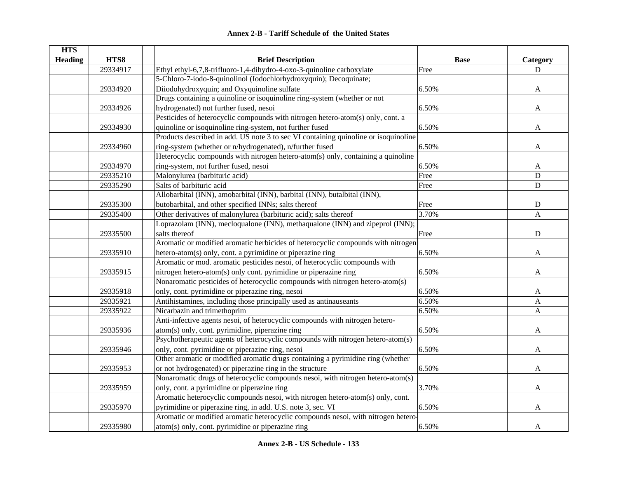| <b>HTS</b>     |          |                                                                                     |             |                |
|----------------|----------|-------------------------------------------------------------------------------------|-------------|----------------|
| <b>Heading</b> | HTS8     | <b>Brief Description</b>                                                            | <b>Base</b> | Category       |
|                | 29334917 | Ethyl ethyl-6,7,8-trifluoro-1,4-dihydro-4-oxo-3-quinoline carboxylate               | Free        | D              |
|                |          | 5-Chloro-7-iodo-8-quinolinol (Iodochlorhydroxyquin); Decoquinate;                   |             |                |
|                | 29334920 | Diiodohydroxyquin; and Oxyquinoline sulfate                                         | 6.50%       | A              |
|                |          | Drugs containing a quinoline or isoquinoline ring-system (whether or not            |             |                |
|                | 29334926 | hydrogenated) not further fused, nesoi                                              | 6.50%       | A              |
|                |          | Pesticides of heterocyclic compounds with nitrogen hetero-atom(s) only, cont. a     |             |                |
|                | 29334930 | quinoline or isoquinoline ring-system, not further fused                            | 6.50%       | A              |
|                |          | Products described in add. US note 3 to sec VI containing quinoline or isoquinoline |             |                |
|                | 29334960 | ring-system (whether or n/hydrogenated), n/further fused                            | 6.50%       | A              |
|                |          | Heterocyclic compounds with nitrogen hetero-atom(s) only, containing a quinoline    |             |                |
|                | 29334970 | ring-system, not further fused, nesoi                                               | 6.50%       | A              |
|                | 29335210 | Malonylurea (barbituric acid)                                                       | Free        | ${\bf D}$      |
|                | 29335290 | Salts of barbituric acid                                                            | Free        | $\mathbf D$    |
|                |          | Allobarbital (INN), amobarbital (INN), barbital (INN), butalbital (INN),            |             |                |
|                | 29335300 | butobarbital, and other specified INNs; salts thereof                               | Free        | ${\bf D}$      |
|                | 29335400 | Other derivatives of malonylurea (barbituric acid); salts thereof                   | 3.70%       | $\overline{A}$ |
|                |          | Loprazolam (INN), mecloqualone (INN), methaqualone (INN) and zipeprol (INN);        |             |                |
|                | 29335500 | salts thereof                                                                       | Free        | ${\bf D}$      |
|                |          | Aromatic or modified aromatic herbicides of heterocyclic compounds with nitrogen    |             |                |
|                | 29335910 | hetero-atom(s) only, cont. a pyrimidine or piperazine ring                          | 6.50%       | A              |
|                |          | Aromatic or mod. aromatic pesticides nesoi, of heterocyclic compounds with          |             |                |
|                | 29335915 | nitrogen hetero-atom(s) only cont. pyrimidine or piperazine ring                    | 6.50%       | A              |
|                |          | Nonaromatic pesticides of heterocyclic compounds with nitrogen hetero-atom(s)       |             |                |
|                | 29335918 | only, cont. pyrimidine or piperazine ring, nesoi                                    | 6.50%       | A              |
|                | 29335921 | Antihistamines, including those principally used as antinauseants                   | 6.50%       | A              |
|                | 29335922 | Nicarbazin and trimethoprim                                                         | 6.50%       | A              |
|                |          | Anti-infective agents nesoi, of heterocyclic compounds with nitrogen hetero-        |             |                |
|                | 29335936 | atom(s) only, cont. pyrimidine, piperazine ring                                     | 6.50%       | A              |
|                |          | Psychotherapeutic agents of heterocyclic compounds with nitrogen hetero-atom(s)     |             |                |
|                | 29335946 | only, cont. pyrimidine or piperazine ring, nesoi                                    | 6.50%       | A              |
|                |          | Other aromatic or modified aromatic drugs containing a pyrimidine ring (whether     |             |                |
|                | 29335953 | or not hydrogenated) or piperazine ring in the structure                            | 6.50%       | A              |
|                |          | Nonaromatic drugs of heterocyclic compounds nesoi, with nitrogen hetero-atom(s)     |             |                |
|                | 29335959 | only, cont. a pyrimidine or piperazine ring                                         | 3.70%       | A              |
|                |          | Aromatic heterocyclic compounds nesoi, with nitrogen hetero-atom(s) only, cont.     |             |                |
|                | 29335970 | pyrimidine or piperazine ring, in add. U.S. note 3, sec. VI                         | 6.50%       | A              |
|                |          | Aromatic or modified aromatic heterocyclic compounds nesoi, with nitrogen hetero-   |             |                |
|                | 29335980 | atom(s) only, cont. pyrimidine or piperazine ring                                   | 6.50%       | A              |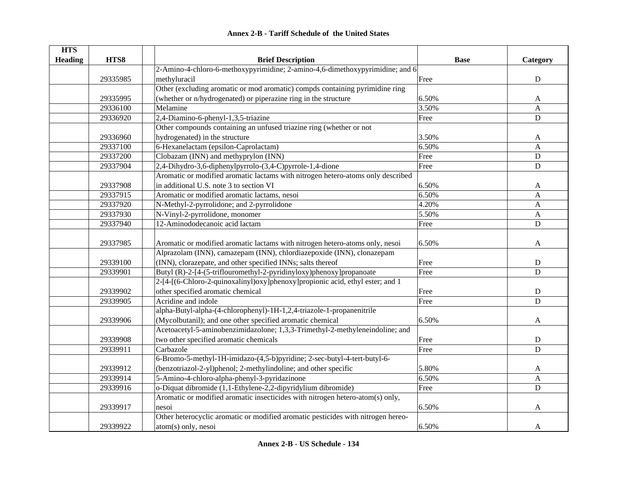| <b>Annex 2-B - Tariff Schedule of the United States</b> |  |
|---------------------------------------------------------|--|
|---------------------------------------------------------|--|

| <b>HTS</b>     |          |                                                                                  |             |                           |
|----------------|----------|----------------------------------------------------------------------------------|-------------|---------------------------|
| <b>Heading</b> | HTS8     | <b>Brief Description</b>                                                         | <b>Base</b> | Category                  |
|                |          | 2-Amino-4-chloro-6-methoxypyrimidine; 2-amino-4,6-dimethoxypyrimidine; and 6     |             |                           |
|                | 29335985 | methyluracil                                                                     | Free        | ${\bf D}$                 |
|                |          | Other (excluding aromatic or mod aromatic) compds containing pyrimidine ring     |             |                           |
|                | 29335995 | (whether or n/hydrogenated) or piperazine ring in the structure                  | 6.50%       | A                         |
|                | 29336100 | Melamine                                                                         | 3.50%       | $\boldsymbol{\mathsf{A}}$ |
|                | 29336920 | 2,4-Diamino-6-phenyl-1,3,5-triazine                                              | Free        | $\mathbf D$               |
|                |          | Other compounds containing an unfused triazine ring (whether or not              |             |                           |
|                | 29336960 | hydrogenated) in the structure                                                   | 3.50%       | A                         |
|                | 29337100 | 6-Hexanelactam (epsilon-Caprolactam)                                             | 6.50%       | $\mathbf{A}$              |
|                | 29337200 | Clobazam (INN) and methyprylon (INN)                                             | Free        | $\mathbf D$               |
|                | 29337904 | 2,4-Dihydro-3,6-diphenylpyrrolo-(3,4-C)pyrrole-1,4-dione                         | Free        | ${\bf D}$                 |
|                |          | Aromatic or modified aromatic lactams with nitrogen hetero-atoms only described  |             |                           |
|                | 29337908 | in additional U.S. note 3 to section VI                                          | 6.50%       | A                         |
|                | 29337915 | Aromatic or modified aromatic lactams, nesoi                                     | 6.50%       | A                         |
|                | 29337920 | N-Methyl-2-pyrrolidone; and 2-pyrrolidone                                        | 4.20%       | A                         |
|                | 29337930 | N-Vinyl-2-pyrrolidone, monomer                                                   | 5.50%       | $\boldsymbol{A}$          |
|                | 29337940 | 12-Aminododecanoic acid lactam                                                   | Free        | D                         |
|                |          |                                                                                  |             |                           |
|                | 29337985 | Aromatic or modified aromatic lactams with nitrogen hetero-atoms only, nesoi     | 6.50%       | $\mathbf{A}$              |
|                |          | Alprazolam (INN), camazepam (INN), chlordiazepoxide (INN), clonazepam            |             |                           |
|                | 29339100 | (INN), clorazepate, and other specified INNs; salts thereof                      | Free        | $\mathbf D$               |
|                | 29339901 | Butyl (R)-2-[4-(5-triflouromethyl-2-pyridinyloxy)phenoxy]propanoate              | Free        | D                         |
|                |          | 2-[4-[(6-Chloro-2-quinoxalinyl)oxy]phenoxy]propionic acid, ethyl ester; and 1    |             |                           |
|                | 29339902 | other specified aromatic chemical                                                | Free        | $\mathbf D$               |
|                | 29339905 | Acridine and indole                                                              | Free        | D                         |
|                |          | alpha-Butyl-alpha-(4-chlorophenyl)-1H-1,2,4-triazole-1-propanenitrile            |             |                           |
|                | 29339906 | (Mycolbutanil); and one other specified aromatic chemical                        | 6.50%       | A                         |
|                |          | Acetoacetyl-5-aminobenzimidazolone; 1,3,3-Trimethyl-2-methyleneindoline; and     |             |                           |
|                | 29339908 | two other specified aromatic chemicals                                           | Free        | D                         |
|                | 29339911 | Carbazole                                                                        | Free        | D                         |
|                |          | 6-Bromo-5-methyl-1H-imidazo-(4,5-b)pyridine; 2-sec-butyl-4-tert-butyl-6-         |             |                           |
|                | 29339912 | (benzotriazol-2-yl)phenol; 2-methylindoline; and other specific                  | 5.80%       | A                         |
|                | 29339914 | 5-Amino-4-chloro-alpha-phenyl-3-pyridazinone                                     | 6.50%       | $\mathbf{A}$              |
|                | 29339916 | o-Diquat dibromide (1,1-Ethylene-2,2-dipyridylium dibromide)                     | Free        | D                         |
|                |          | Aromatic or modified aromatic insecticides with nitrogen hetero-atom(s) only,    |             |                           |
|                | 29339917 | nesoi                                                                            | 6.50%       | A                         |
|                |          | Other heterocyclic aromatic or modified aromatic pesticides with nitrogen hereo- |             |                           |
|                | 29339922 | atom(s) only, nesoi                                                              | 6.50%       | A                         |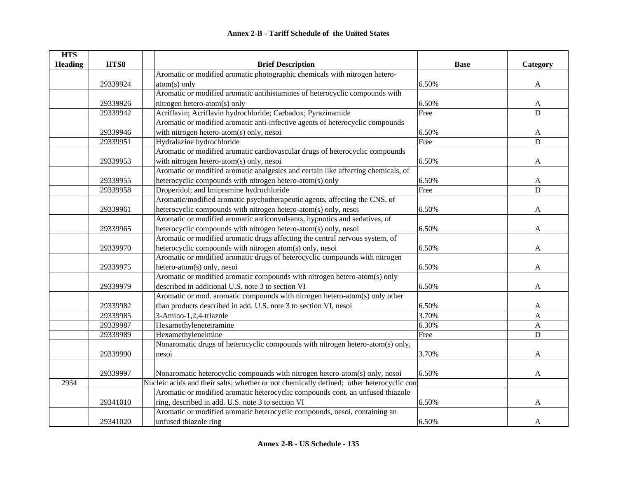| <b>HTS</b>     |          |                                                                                          |             |              |
|----------------|----------|------------------------------------------------------------------------------------------|-------------|--------------|
| <b>Heading</b> | HTS8     | <b>Brief Description</b>                                                                 | <b>Base</b> | Category     |
|                |          | Aromatic or modified aromatic photographic chemicals with nitrogen hetero-               |             |              |
|                | 29339924 | $atom(s)$ only                                                                           | 6.50%       | A            |
|                |          | Aromatic or modified aromatic antihistamines of heterocyclic compounds with              |             |              |
|                | 29339926 | nitrogen hetero-atom(s) only                                                             | 6.50%       | A            |
|                | 29339942 | Acriflavin; Acriflavin hydrochloride; Carbadox; Pyrazinamide                             | Free        | D            |
|                |          | Aromatic or modified aromatic anti-infective agents of heterocyclic compounds            |             |              |
|                | 29339946 | with nitrogen hetero-atom(s) only, nesoi                                                 | 6.50%       | A            |
|                | 29339951 | Hydralazine hydrochloride                                                                | Free        | ${\bf D}$    |
|                |          | Aromatic or modified aromatic cardiovascular drugs of heterocyclic compounds             |             |              |
|                | 29339953 | with nitrogen hetero-atom(s) only, nesoi                                                 | 6.50%       | $\mathbf{A}$ |
|                |          | Aromatic or modified aromatic analgesics and certain like affecting chemicals, of        |             |              |
|                | 29339955 | heterocyclic compounds with nitrogen hetero-atom(s) only                                 | 6.50%       | A            |
|                | 29339958 | Droperidol; and Imipramine hydrochloride                                                 | Free        | $\mathbf D$  |
|                |          | Aromatic/modified aromatic psychotherapeutic agents, affecting the CNS, of               |             |              |
|                | 29339961 | heterocyclic compounds with nitrogen hetero-atom(s) only, nesoi                          | 6.50%       | A            |
|                |          | Aromatic or modified aromatic anticonvulsants, hypnotics and sedatives, of               |             |              |
|                | 29339965 | heterocyclic compounds with nitrogen hetero-atom(s) only, nesoi                          | 6.50%       | A            |
|                |          | Aromatic or modified aromatic drugs affecting the central nervous system, of             |             |              |
|                | 29339970 | heterocyclic compounds with nitrogen atom(s) only, nesoi                                 | 6.50%       | A            |
|                |          | Aromatic or modified aromatic drugs of heterocyclic compounds with nitrogen              |             |              |
|                | 29339975 | hetero-atom(s) only, nesoi                                                               | 6.50%       | A            |
|                |          | Aromatic or modified aromatic compounds with nitrogen hetero-atom(s) only                |             |              |
|                | 29339979 | described in additional U.S. note 3 to section VI                                        | 6.50%       | A            |
|                |          | Aromatic or mod. aromatic compounds with nitrogen hetero-atom(s) only other              |             |              |
|                | 29339982 | than products described in add. U.S. note 3 to section VI, nesoi                         | 6.50%       | A            |
|                | 29339985 | 3-Amino-1,2,4-triazole                                                                   | 3.70%       | A            |
|                | 29339987 | Hexamethylenetetramine                                                                   | 6.30%       | $\mathbf{A}$ |
|                | 29339989 | Hexamethyleneimine                                                                       | Free        | D            |
|                |          | Nonaromatic drugs of heterocyclic compounds with nitrogen hetero-atom(s) only,           |             |              |
|                | 29339990 | nesoi                                                                                    | 3.70%       | A            |
|                |          |                                                                                          |             |              |
|                | 29339997 | Nonaromatic heterocyclic compounds with nitrogen hetero-atom(s) only, nesoi              | 6.50%       | A            |
| 2934           |          | Nucleic acids and their salts; whether or not chemically defined; other heterocyclic con |             |              |
|                |          | Aromatic or modified aromatic heterocyclic compounds cont. an unfused thiazole           |             |              |
|                | 29341010 | ring, described in add. U.S. note 3 to section VI                                        | 6.50%       | A            |
|                |          | Aromatic or modified aromatic heterocyclic compounds, nesoi, containing an               |             |              |
|                | 29341020 | unfused thiazole ring                                                                    | 6.50%       | A            |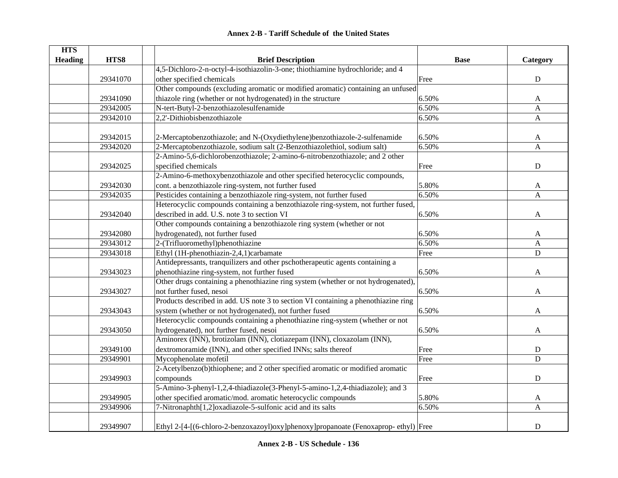| <b>HTS</b>     |          |                                                                                    |             |                           |
|----------------|----------|------------------------------------------------------------------------------------|-------------|---------------------------|
| <b>Heading</b> | HTS8     | <b>Brief Description</b>                                                           | <b>Base</b> | Category                  |
|                |          | 4,5-Dichloro-2-n-octyl-4-isothiazolin-3-one; thiothiamine hydrochloride; and 4     |             |                           |
|                | 29341070 | other specified chemicals                                                          | Free        | ${\bf D}$                 |
|                |          | Other compounds (excluding aromatic or modified aromatic) containing an unfused    |             |                           |
|                | 29341090 | thiazole ring (whether or not hydrogenated) in the structure                       | 6.50%       | A                         |
|                | 29342005 | N-tert-Butyl-2-benzothiazolesulfenamide                                            | 6.50%       | $\boldsymbol{\mathsf{A}}$ |
|                | 29342010 | 2,2'-Dithiobisbenzothiazole                                                        | 6.50%       | $\mathbf{A}$              |
|                | 29342015 | 2-Mercaptobenzothiazole; and N-(Oxydiethylene)benzothiazole-2-sulfenamide          | 6.50%       |                           |
|                | 29342020 | 2-Mercaptobenzothiazole, sodium salt (2-Benzothiazolethiol, sodium salt)           | 6.50%       | A<br>$\mathbf{A}$         |
|                |          | 2-Amino-5,6-dichlorobenzothiazole; 2-amino-6-nitrobenzothiazole; and 2 other       |             |                           |
|                |          |                                                                                    |             |                           |
|                | 29342025 | specified chemicals                                                                | Free        | ${\bf D}$                 |
|                |          | 2-Amino-6-methoxybenzothiazole and other specified heterocyclic compounds,         |             |                           |
|                | 29342030 | cont. a benzothiazole ring-system, not further fused                               | 5.80%       | A                         |
|                | 29342035 | Pesticides containing a benzothiazole ring-system, not further fused               | 6.50%       | $\mathbf{A}$              |
|                |          | Heterocyclic compounds containing a benzothiazole ring-system, not further fused,  |             |                           |
|                | 29342040 | described in add. U.S. note 3 to section VI                                        | 6.50%       | $\mathbf{A}$              |
|                |          | Other compounds containing a benzothiazole ring system (whether or not             |             |                           |
|                | 29342080 | hydrogenated), not further fused                                                   | 6.50%       | A                         |
|                | 29343012 | 2-(Trifluoromethyl)phenothiazine                                                   | 6.50%       | $\mathbf{A}$              |
|                | 29343018 | Ethyl (1H-phenothiazin-2,4,1)carbamate                                             | Free        | ${\bf D}$                 |
|                |          | Antidepressants, tranquilizers and other pschotherapeutic agents containing a      |             |                           |
|                | 29343023 | phenothiazine ring-system, not further fused                                       | 6.50%       | $\mathbf{A}$              |
|                |          | Other drugs containing a phenothiazine ring system (whether or not hydrogenated),  |             |                           |
|                | 29343027 | not further fused, nesoi                                                           | 6.50%       | A                         |
|                |          | Products described in add. US note 3 to section VI containing a phenothiazine ring |             |                           |
|                | 29343043 | system (whether or not hydrogenated), not further fused                            | 6.50%       | A                         |
|                |          | Heterocyclic compounds containing a phenothiazine ring-system (whether or not      |             |                           |
|                | 29343050 | hydrogenated), not further fused, nesoi                                            | 6.50%       | A                         |
|                |          | Aminorex (INN), brotizolam (INN), clotiazepam (INN), cloxazolam (INN),             |             |                           |
|                | 29349100 | dextromoramide (INN), and other specified INNs; salts thereof                      | Free        | ${\bf D}$                 |
|                | 29349901 | Mycophenolate mofetil                                                              | Free        | ${\bf D}$                 |
|                |          | 2-Acetylbenzo(b)thiophene; and 2 other specified aromatic or modified aromatic     |             |                           |
|                | 29349903 | compounds                                                                          | Free        | ${\bf D}$                 |
|                |          | 5-Amino-3-phenyl-1,2,4-thiadiazole(3-Phenyl-5-amino-1,2,4-thiadiazole); and 3      |             |                           |
|                | 29349905 | other specified aromatic/mod. aromatic heterocyclic compounds                      | 5.80%       | A                         |
|                | 29349906 | 7-Nitronaphth[1,2]oxadiazole-5-sulfonic acid and its salts                         | 6.50%       | $\mathbf{A}$              |
|                |          |                                                                                    |             |                           |
|                | 29349907 | Ethyl 2-[4-[(6-chloro-2-benzoxazoyl)oxy]phenoxy]propanoate (Fenoxaprop-ethyl) Free |             | $\mathbf D$               |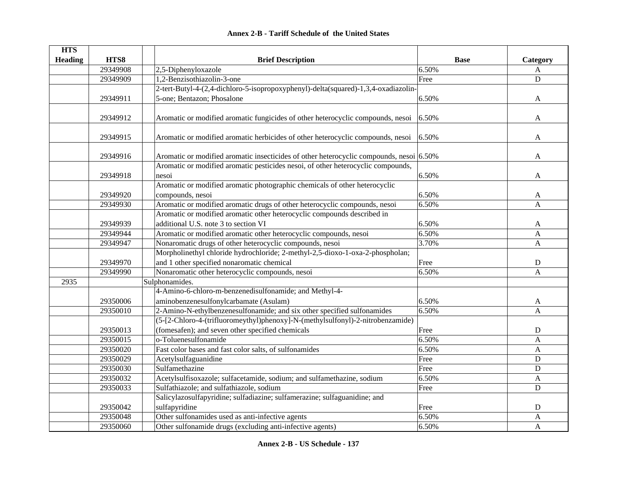| <b>HTS</b> |          |                                                                                         |             |                |
|------------|----------|-----------------------------------------------------------------------------------------|-------------|----------------|
| Heading    | HTS8     | <b>Brief Description</b>                                                                | <b>Base</b> | Category       |
|            | 29349908 | 2,5-Diphenyloxazole                                                                     | 6.50%       | A              |
|            | 29349909 | 1,2-Benzisothiazolin-3-one                                                              | Free        | ${\bf D}$      |
|            |          | 2-tert-Butyl-4-(2,4-dichloro-5-isopropoxyphenyl)-delta(squared)-1,3,4-oxadiazolin-      |             |                |
|            | 29349911 | 5-one; Bentazon; Phosalone                                                              | 6.50%       | $\mathbf{A}$   |
|            | 29349912 | Aromatic or modified aromatic fungicides of other heterocyclic compounds, nesoi         | 6.50%       | A              |
|            |          |                                                                                         |             |                |
|            | 29349915 | Aromatic or modified aromatic herbicides of other heterocyclic compounds, nesoi         | 6.50%       | A              |
|            | 29349916 | Aromatic or modified aromatic insecticides of other heterocyclic compounds, nesoi 6.50% |             | A              |
|            |          | Aromatic or modified aromatic pesticides nesoi, of other heterocyclic compounds,        |             |                |
|            | 29349918 | nesoi                                                                                   | 6.50%       | A              |
|            |          | Aromatic or modified aromatic photographic chemicals of other heterocyclic              |             |                |
|            | 29349920 | compounds, nesoi                                                                        | 6.50%       | A              |
|            | 29349930 | Aromatic or modified aromatic drugs of other heterocyclic compounds, nesoi              | 6.50%       | A              |
|            |          | Aromatic or modified aromatic other heterocyclic compounds described in                 |             |                |
|            | 29349939 | additional U.S. note 3 to section VI                                                    | 6.50%       | A              |
|            | 29349944 | Aromatic or modified aromatic other heterocyclic compounds, nesoi                       | 6.50%       | A              |
|            | 29349947 | Nonaromatic drugs of other heterocyclic compounds, nesoi                                | 3.70%       | A              |
|            |          | Morpholinethyl chloride hydrochloride; 2-methyl-2,5-dioxo-1-oxa-2-phospholan;           |             |                |
|            | 29349970 | and 1 other specified nonaromatic chemical                                              | Free        | ${\rm D}$      |
|            | 29349990 | Nonaromatic other heterocyclic compounds, nesoi                                         | 6.50%       | $\overline{A}$ |
| 2935       |          | Sulphonamides.                                                                          |             |                |
|            |          | 4-Amino-6-chloro-m-benzenedisulfonamide; and Methyl-4-                                  |             |                |
|            | 29350006 | aminobenzenesulfonylcarbamate (Asulam)                                                  | 6.50%       | A              |
|            | 29350010 | 2-Amino-N-ethylbenzenesulfonamide; and six other specified sulfonamides                 | 6.50%       | $\mathbf{A}$   |
|            |          | (5-[2-Chloro-4-(trifluoromeythyl)phenoxy]-N-(methylsulfonyl)-2-nitrobenzamide)          |             |                |
|            | 29350013 | (fomesafen); and seven other specified chemicals                                        | Free        | D              |
|            | 29350015 | o-Toluenesulfonamide                                                                    | 6.50%       | $\mathbf{A}$   |
|            | 29350020 | Fast color bases and fast color salts, of sulfonamides                                  | 6.50%       | A              |
|            | 29350029 | Acetylsulfaguanidine                                                                    | Free        | D              |
|            | 29350030 | Sulfamethazine                                                                          | Free        | D              |
|            | 29350032 | Acetylsulfisoxazole; sulfacetamide, sodium; and sulfamethazine, sodium                  | 6.50%       | $\mathbf{A}$   |
|            | 29350033 | Sulfathiazole; and sulfathiazole, sodium                                                | Free        | D              |
|            |          | Salicylazosulfapyridine; sulfadiazine; sulfamerazine; sulfaguanidine; and               |             |                |
|            | 29350042 | sulfapyridine                                                                           | Free        | D              |
|            | 29350048 | Other sulfonamides used as anti-infective agents                                        | 6.50%       | $\mathbf{A}$   |
|            | 29350060 | Other sulfonamide drugs (excluding anti-infective agents)                               | 6.50%       | A              |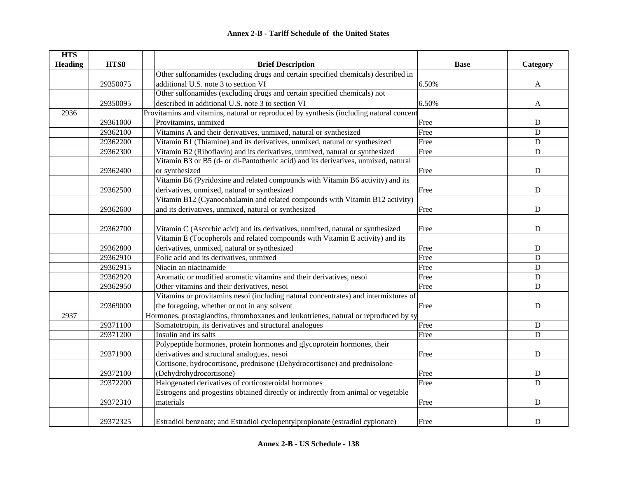| <b>HTS</b>     |          |                                                                                         |             |              |
|----------------|----------|-----------------------------------------------------------------------------------------|-------------|--------------|
| <b>Heading</b> | HTS8     | <b>Brief Description</b>                                                                | <b>Base</b> | Category     |
|                |          | Other sulfonamides (excluding drugs and certain specified chemicals) described in       |             |              |
|                | 29350075 | additional U.S. note 3 to section VI                                                    | 6.50%       | A            |
|                |          | Other sulfonamides (excluding drugs and certain specified chemicals) not                |             |              |
|                | 29350095 | described in additional U.S. note 3 to section VI                                       | 6.50%       | $\mathbf{A}$ |
| 2936           |          | Provitamins and vitamins, natural or reproduced by synthesis (including natural concent |             |              |
|                | 29361000 | Provitamins, unmixed                                                                    | Free        | $\mathbf D$  |
|                | 29362100 | Vitamins A and their derivatives, unmixed, natural or synthesized                       | Free        | ${\bf D}$    |
|                | 29362200 | Vitamin B1 (Thiamine) and its derivatives, unmixed, natural or synthesized              | Free        | ${\bf D}$    |
|                | 29362300 | Vitamin B2 (Riboflavin) and its derivatives, unmixed, natural or synthesized            | Free        | $\mathbf D$  |
|                |          | Vitamin B3 or B5 (d- or dl-Pantothenic acid) and its derivatives, unmixed, natural      |             |              |
|                | 29362400 | or synthesized                                                                          | Free        | ${\bf D}$    |
|                |          | Vitamin B6 (Pyridoxine and related compounds with Vitamin B6 activity) and its          |             |              |
|                | 29362500 | derivatives, unmixed, natural or synthesized                                            | Free        | ${\bf D}$    |
|                |          | Vitamin B12 (Cyanocobalamin and related compounds with Vitamin B12 activity)            |             |              |
|                | 29362600 | and its derivatives, unmixed, natural or synthesized                                    | Free        | ${\bf D}$    |
|                |          |                                                                                         |             |              |
|                | 29362700 | Vitamin C (Ascorbic acid) and its derivatives, unmixed, natural or synthesized          | Free        | D            |
|                |          | Vitamin E (Tocopherols and related compounds with Vitamin E activity) and its           |             |              |
|                | 29362800 | derivatives, unmixed, natural or synthesized                                            | Free        | ${\bf D}$    |
|                | 29362910 | Folic acid and its derivatives, unmixed                                                 | Free        | ${\bf D}$    |
|                | 29362915 | Niacin an niacinamide                                                                   | Free        | ${\bf D}$    |
|                | 29362920 | Aromatic or modified aromatic vitamins and their derivatives, nesoi                     | Free        | ${\bf D}$    |
|                | 29362950 | Other vitamins and their derivatives, nesoi                                             | Free        | $\mathbf D$  |
|                |          | Vitamins or provitamins nesoi (including natural concentrates) and intermixtures of     |             |              |
|                | 29369000 | the foregoing, whether or not in any solvent                                            | Free        | ${\bf D}$    |
| 2937           |          | Hormones, prostaglandins, thromboxanes and leukotrienes, natural or reproduced by sy    |             |              |
|                | 29371100 | Somatotropin, its derivatives and structural analogues                                  | Free        | ${\bf D}$    |
|                | 29371200 | Insulin and its salts                                                                   | Free        | D            |
|                |          | Polypeptide hormones, protein hormones and glycoprotein hormones, their                 |             |              |
|                | 29371900 | derivatives and structural analogues, nesoi                                             | Free        | ${\bf D}$    |
|                |          | Cortisone, hydrocortisone, prednisone (Dehydrocortisone) and prednisolone               |             |              |
|                | 29372100 | (Dehydrohydrocortisone)                                                                 | Free        | ${\bf D}$    |
|                | 29372200 | Halogenated derivatives of corticosteroidal hormones                                    | Free        | $\mathbf D$  |
|                |          | Estrogens and progestins obtained directly or indirectly from animal or vegetable       |             |              |
|                | 29372310 | materials                                                                               | Free        | $\mathbf D$  |
|                |          |                                                                                         |             |              |
|                | 29372325 | Estradiol benzoate; and Estradiol cyclopentylpropionate (estradiol cypionate)           | Free        | D            |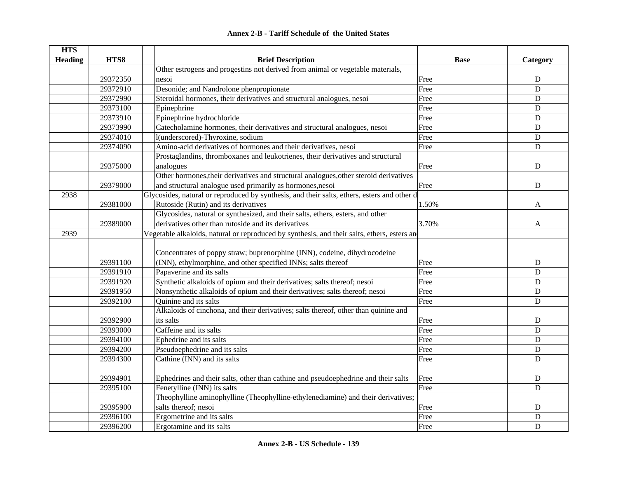#### **HTS Heading HTS8 Brief Description Base Category** 29372350Other estrogens and progestins not derived from animal or vegetable materials, nesoi Free D29372910 Desonide; and Nandrolone phenpropionate Free D 29372990 Steroidal hormones, their derivatives and structural analogues, nesoi Free D 29373100 Epinephrine D 29373910 Epinephrine hydrochloride **Example 1998** Execute 20373910 B 29373990 Catecholamine hormones, their derivatives and structural analogues, nesoi Free Free D 29374010 | l(underscored)-Thyroxine, sodium D 29374090 Amino-acid derivatives of hormones and their derivatives, nesoi Free Free D 29375000Prostaglandins, thromboxanes and leukotrienes, their derivatives and structural analogues and **D** 29379000Other hormones,their derivatives and structural analogues,other steroid derivatives and structural analogue used primarily as hormones,nesoi Free Free Primarily as hormones,nesoi Free Primarily as  $D$ 2938Glycosides, natural or reproduced by synthesis, and their salts, ethers, esters and other d 29381000 Rutoside (Rutin) and its derivatives 1.50% A 29389000Glycosides, natural or synthesized, and their salts, ethers, esters, and other derivatives other than rutoside and its derivatives 3.70% A 2939Vegetable alkaloids, natural or reproduced by synthesis, and their salts, ethers, esters and 29391100Concentrates of poppy straw; buprenorphine (INN), codeine, dihydrocodeine (INN), ethylmorphine, and other specified INNs; salts thereof Free Free Free D 29391910 Papaverine and its salts Free Branch and its salts Free Branch and its salts Branch and its salts Branch and its Solution of Branch and its salts Branch and its salts Branch and its salts Branch and its salts Bran 29391920 Synthetic alkaloids of opium and their derivatives; salts thereof; nesoi Free D 29391950 Nonsynthetic alkaloids of opium and their derivatives; salts thereof; nesoi Free Free D 29392100 Quinine and its salts **D** 29392900Alkaloids of cinchona, and their derivatives; salts thereof, other than quinine and its salts **D** 29393000 Caffeine and its salts Free D29394100 Ephedrine and its salts **Exercise Server Access** Free D 29394200 Pseudoephedrine and its salts Free Pseudoephedrine and its salts D 29394300 Cathine (INN) and its salts Free Theory of Cathine (INN) and its salts D 29394901 Ephedrines and their salts, other than cathine and pseudoephedrine and their salts Free D 29395100 Fenetylline (INN) its salts **Free** Property and the Second Second Second Second Second Second Second Second Second Second Second Second Second Second Second Second Second Second Second Second Second Second Second 29395900 Theophylline aminophylline (Theophylline-ethylenediamine) and their derivatives; salts thereof; nesoi D 29396100 Ergometrine and its salts Free Brown Ergometrine and its salts Brown Ergometrine and its salts Brown E 29396200 Ergotamine and its salts Free Branch and its salts D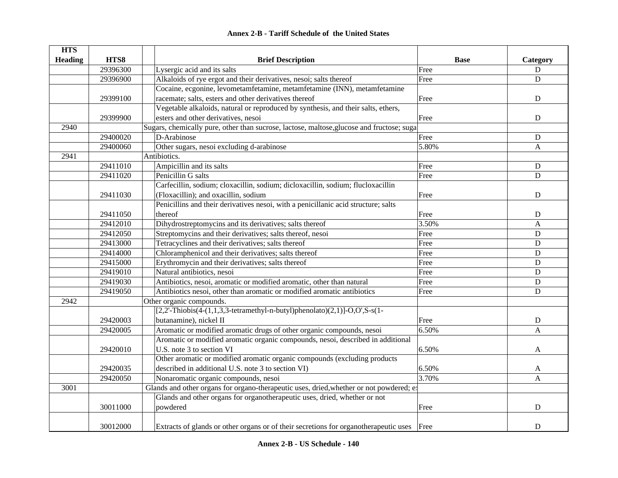| <b>HTS</b>     |          |                                                                                           |             |              |
|----------------|----------|-------------------------------------------------------------------------------------------|-------------|--------------|
| <b>Heading</b> | HTS8     | <b>Brief Description</b>                                                                  | <b>Base</b> | Category     |
|                | 29396300 | Lysergic acid and its salts                                                               | Free        | ${\bf D}$    |
|                | 29396900 | Alkaloids of rye ergot and their derivatives, nesoi; salts thereof                        | Free        | ${\bf D}$    |
|                |          | Cocaine, ecgonine, levometamfetamine, metamfetamine (INN), metamfetamine                  |             |              |
|                | 29399100 | racemate; salts, esters and other derivatives thereof                                     | Free        | D            |
|                |          | Vegetable alkaloids, natural or reproduced by synthesis, and their salts, ethers,         |             |              |
|                | 29399900 | esters and other derivatives, nesoi                                                       | Free        | $\mathbf D$  |
| 2940           |          | Sugars, chemically pure, other than sucrose, lactose, maltose, glucose and fructose; suga |             |              |
|                | 29400020 | D-Arabinose                                                                               | Free        | D            |
|                | 29400060 | Other sugars, nesoi excluding d-arabinose                                                 | 5.80%       | A            |
| 2941           |          | Antibiotics.                                                                              |             |              |
|                | 29411010 | Ampicillin and its salts                                                                  | Free        | ${\bf D}$    |
|                | 29411020 | Penicillin G salts                                                                        | Free        | $\mathbf D$  |
|                |          | Carfecillin, sodium; cloxacillin, sodium; dicloxacillin, sodium; flucloxacillin           |             |              |
|                | 29411030 | (Floxacillin); and oxacillin, sodium                                                      | Free        | ${\bf D}$    |
|                |          | Penicillins and their derivatives nesoi, with a penicillanic acid structure; salts        |             |              |
|                | 29411050 | thereof                                                                                   | Free        | D            |
|                | 29412010 | Dihydrostreptomycins and its derivatives; salts thereof                                   | 3.50%       | $\mathbf{A}$ |
|                | 29412050 | Streptomycins and their derivatives; salts thereof, nesoi                                 | Free        | $\mathbf D$  |
|                | 29413000 | Tetracyclines and their derivatives; salts thereof                                        | Free        | $\mathbf D$  |
|                | 29414000 | Chloramphenicol and their derivatives; salts thereof                                      | Free        | $\mathbf D$  |
|                | 29415000 | Erythromycin and their derivatives; salts thereof                                         | Free        | $\mathbf D$  |
|                | 29419010 | Natural antibiotics, nesoi                                                                | Free        | $\mathbf D$  |
|                | 29419030 | Antibiotics, nesoi, aromatic or modified aromatic, other than natural                     | Free        | $\mathbf D$  |
|                | 29419050 | Antibiotics nesoi, other than aromatic or modified aromatic antibiotics                   | Free        | $\mathbf D$  |
| 2942           |          | Other organic compounds.                                                                  |             |              |
|                |          | $[2,2'-Thiobis(4-(1,1,3,3-tetramethyl-n-buty1)phenolato)(2,1)]-O, O', S-s(1-$             |             |              |
|                | 29420003 | butanamine), nickel II                                                                    | Free        | $\mathbf D$  |
|                | 29420005 | Aromatic or modified aromatic drugs of other organic compounds, nesoi                     | 6.50%       | $\mathbf{A}$ |
|                |          | Aromatic or modified aromatic organic compounds, nesoi, described in additional           |             |              |
|                | 29420010 | U.S. note 3 to section VI                                                                 | 6.50%       | A            |
|                |          | Other aromatic or modified aromatic organic compounds (excluding products                 |             |              |
|                | 29420035 | described in additional U.S. note 3 to section VI)                                        | 6.50%       | A            |
|                | 29420050 | Nonaromatic organic compounds, nesoi                                                      | 3.70%       | $\mathbf{A}$ |
| 3001           |          | Glands and other organs for organo-therapeutic uses, dried, whether or not powdered; ex   |             |              |
|                |          | Glands and other organs for organotherapeutic uses, dried, whether or not                 |             |              |
|                | 30011000 | powdered                                                                                  | Free        | $\mathbf D$  |
|                |          |                                                                                           |             |              |
|                | 30012000 | Extracts of glands or other organs or of their secretions for organotherapeutic uses Free |             | $\mathbf D$  |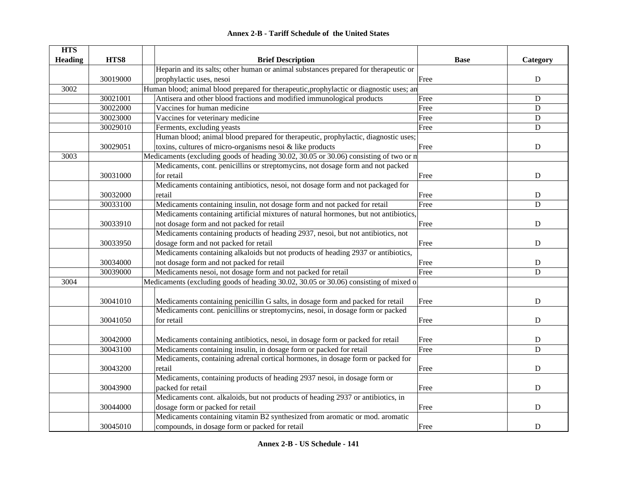#### **HTS Heading HTS8 Brief Description Base Category** 30019000Heparin and its salts; other human or animal substances prepared for therapeutic or prophylactic uses, nesoi **Executed Executed Executed Executed Executed Executed Executed Executed Executed Executed Executed Executed Executed Executed Executed Executed Executed Executed Executed Executed Executed Execute** 3002Human blood; animal blood prepared for therapeutic, prophylactic or diagnostic uses; an 30021001 Antisera and other blood fractions and modified immunological products Free D 30022000 Vaccines for human medicine Free D30023000 Vaccines for veterinary medicine Free D 30029010 Ferments, excluding yeasts D 30029051Human blood; animal blood prepared for therapeutic, prophylactic, diagnostic uses; toxins, cultures of micro-organisms nesoi & like products Free Free Research Control of D 3003 3003 Medicaments (excluding goods of heading 30.02, 30.05 or 30.06) consisting of two or m 30031000Medicaments, cont. penicillins or streptomycins, not dosage form and not packed for retail and the contract of the contract of the contract of the contract of the contract of the contract of D 30032000Medicaments containing antibiotics, nesoi, not dosage form and not packaged for retail and Decree the Decree of the Decree in the Decree in the Decree in the Decree in the D 30033100 Medicaments containing insulin, not dosage form and not packed for retail Free D 30033910Medicaments containing artificial mixtures of natural hormones, but not antibiotics, not dosage form and not packed for retail Free D 30033950Medicaments containing products of heading 2937, nesoi, but not antibiotics, not dosage form and not packed for retail  $\Box$  D 30034000Medicaments containing alkaloids but not products of heading 2937 or antibiotics, not dosage form and not packed for retail and D and D and D and D and D and D and D and D and D and D and D and D and D and D and D and D and D and D and D and D and D and D and D and D and D and D and D and D and D and D 30039000 Medicaments nesoi, not dosage form and not packed for retail Free D 3004Medicaments (excluding goods of heading  $30.02$ ,  $30.05$  or  $30.06$ ) consisting of mixed or 30041010 Medicaments containing penicillin G salts, in dosage form and packed for retail Free D 30041050Medicaments cont. penicillins or streptomycins, nesoi, in dosage form or packed for retail and the contract of the contract of the contract of the contract of the contract of the contract of D 30042000 Medicaments containing antibiotics, nesoi, in dosage form or packed for retail Free D 30043100 Medicaments containing insulin, in dosage form or packed for retail Free D 30043200Medicaments, containing adrenal cortical hormones, in dosage form or packed for retail and Decree the Decree of the Decree in the Decree in the Decree in the Decree in the D 30043900Medicaments, containing products of heading 2937 nesoi, in dosage form or packed for retail D 30044000Medicaments cont. alkaloids, but not products of heading 2937 or antibiotics, in dosage form or packed for retail  $\Box$  D 30045010Medicaments containing vitamin B2 synthesized from aromatic or mod. aromatic compounds, in dosage form or packed for retail Free Free Research Section 2. D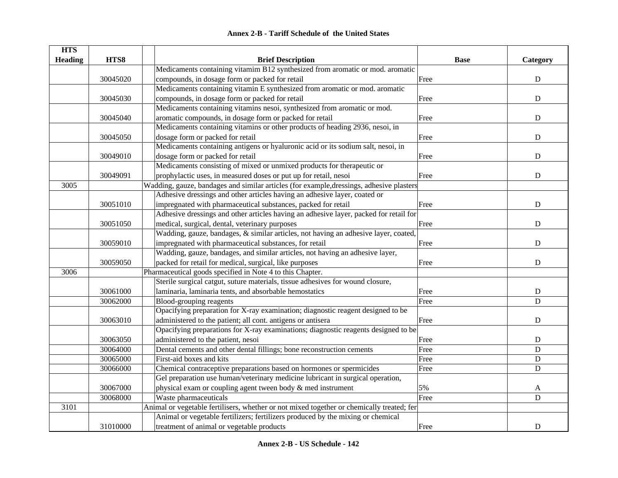|  | <b>Annex 2-B - Tariff Schedule of the United States</b> |  |
|--|---------------------------------------------------------|--|
|--|---------------------------------------------------------|--|

| <b>HTS</b>     |          |                                                                                           |             |             |
|----------------|----------|-------------------------------------------------------------------------------------------|-------------|-------------|
| <b>Heading</b> | HTS8     | <b>Brief Description</b>                                                                  | <b>Base</b> | Category    |
|                |          | Medicaments containing vitamim B12 synthesized from aromatic or mod. aromatic             |             |             |
|                | 30045020 | compounds, in dosage form or packed for retail                                            | Free        | ${\bf D}$   |
|                |          | Medicaments containing vitamin E synthesized from aromatic or mod. aromatic               |             |             |
|                | 30045030 | compounds, in dosage form or packed for retail                                            | Free        | ${\bf D}$   |
|                |          | Medicaments containing vitamins nesoi, synthesized from aromatic or mod.                  |             |             |
|                | 30045040 | aromatic compounds, in dosage form or packed for retail                                   | Free        | $\mathbf D$ |
|                |          | Medicaments containing vitamins or other products of heading 2936, nesoi, in              |             |             |
|                | 30045050 | dosage form or packed for retail                                                          | Free        | $\mathbf D$ |
|                |          | Medicaments containing antigens or hyaluronic acid or its sodium salt, nesoi, in          |             |             |
|                | 30049010 | dosage form or packed for retail                                                          | Free        | $\mathbf D$ |
|                |          | Medicaments consisting of mixed or unmixed products for therapeutic or                    |             |             |
|                | 30049091 | prophylactic uses, in measured doses or put up for retail, nesoi                          | Free        | ${\bf D}$   |
| 3005           |          | Wadding, gauze, bandages and similar articles (for example, dressings, adhesive plasters  |             |             |
|                |          | Adhesive dressings and other articles having an adhesive layer, coated or                 |             |             |
|                | 30051010 | impregnated with pharmaceutical substances, packed for retail                             | Free        | $\mathbf D$ |
|                |          | Adhesive dressings and other articles having an adhesive layer, packed for retail for     |             |             |
|                | 30051050 | medical, surgical, dental, veterinary purposes                                            | Free        | $\mathbf D$ |
|                |          | Wadding, gauze, bandages, & similar articles, not having an adhesive layer, coated,       |             |             |
|                | 30059010 | impregnated with pharmaceutical substances, for retail                                    | Free        | ${\bf D}$   |
|                |          | Wadding, gauze, bandages, and similar articles, not having an adhesive layer,             |             |             |
|                | 30059050 | packed for retail for medical, surgical, like purposes                                    | Free        | ${\rm D}$   |
| 3006           |          | Pharmaceutical goods specified in Note 4 to this Chapter.                                 |             |             |
|                |          | Sterile surgical catgut, suture materials, tissue adhesives for wound closure,            |             |             |
|                | 30061000 | laminaria, laminaria tents, and absorbable hemostatics                                    | Free        | $\mathbf D$ |
|                | 30062000 | Blood-grouping reagents                                                                   | Free        | $\mathbf D$ |
|                |          | Opacifying preparation for X-ray examination; diagnostic reagent designed to be           |             |             |
|                | 30063010 | administered to the patient; all cont. antigens or antisera                               | Free        | ${\bf D}$   |
|                |          | Opacifying preparations for X-ray examinations; diagnostic reagents designed to be        |             |             |
|                | 30063050 | administered to the patient, nesoi                                                        | Free        | $\mathbf D$ |
|                | 30064000 | Dental cements and other dental fillings; bone reconstruction cements                     | Free        | $\mathbf D$ |
|                | 30065000 | First-aid boxes and kits                                                                  | Free        | $\mathbf D$ |
|                | 30066000 | Chemical contraceptive preparations based on hormones or spermicides                      | Free        | $\mathbf D$ |
|                |          | Gel preparation use human/veterinary medicine lubricant in surgical operation,            |             |             |
|                | 30067000 | physical exam or coupling agent tween body & med instrument                               | 5%          | A           |
|                | 30068000 | Waste pharmaceuticals                                                                     | Free        | $\mathbf D$ |
| 3101           |          | Animal or vegetable fertilisers, whether or not mixed together or chemically treated; fer |             |             |
|                |          | Animal or vegetable fertilizers; fertilizers produced by the mixing or chemical           |             |             |
|                | 31010000 | treatment of animal or vegetable products                                                 | Free        | ${\bf D}$   |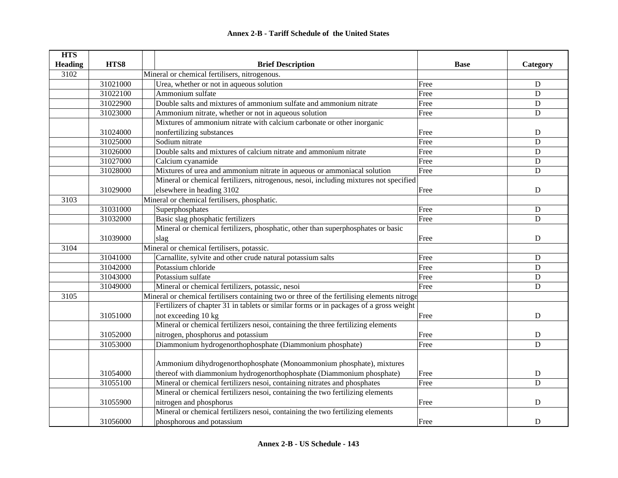| <b>HTS</b>     |          |                                                                                             |             |             |
|----------------|----------|---------------------------------------------------------------------------------------------|-------------|-------------|
| <b>Heading</b> | HTS8     | <b>Brief Description</b>                                                                    | <b>Base</b> | Category    |
| 3102           |          | Mineral or chemical fertilisers, nitrogenous.                                               |             |             |
|                | 31021000 | Urea, whether or not in aqueous solution                                                    | Free        | ${\bf D}$   |
|                | 31022100 | Ammonium sulfate                                                                            | Free        | $\mathbf D$ |
|                | 31022900 | Double salts and mixtures of ammonium sulfate and ammonium nitrate                          | Free        | $\mathbf D$ |
|                | 31023000 | Ammonium nitrate, whether or not in aqueous solution                                        | Free        | ${\bf D}$   |
|                |          | Mixtures of ammonium nitrate with calcium carbonate or other inorganic                      |             |             |
|                | 31024000 | nonfertilizing substances                                                                   | Free        | ${\bf D}$   |
|                | 31025000 | Sodium nitrate                                                                              | Free        | $\mathbf D$ |
|                | 31026000 | Double salts and mixtures of calcium nitrate and ammonium nitrate                           | Free        | ${\bf D}$   |
|                | 31027000 | Calcium cyanamide                                                                           | Free        | $\mathbf D$ |
|                | 31028000 | Mixtures of urea and ammonium nitrate in aqueous or ammoniacal solution                     | Free        | $\mathbf D$ |
|                |          | Mineral or chemical fertilizers, nitrogenous, nesoi, including mixtures not specified       |             |             |
|                | 31029000 | elsewhere in heading 3102                                                                   | Free        | ${\bf D}$   |
| 3103           |          | Mineral or chemical fertilisers, phosphatic.                                                |             |             |
|                | 31031000 | Superphosphates                                                                             | Free        | ${\bf D}$   |
|                | 31032000 | Basic slag phosphatic fertilizers                                                           | Free        | $\mathbf D$ |
|                |          | Mineral or chemical fertilizers, phosphatic, other than superphosphates or basic            |             |             |
|                | 31039000 | slag                                                                                        | Free        | D           |
| 3104           |          | Mineral or chemical fertilisers, potassic.                                                  |             |             |
|                | 31041000 | Carnallite, sylvite and other crude natural potassium salts                                 | Free        | D           |
|                | 31042000 | Potassium chloride                                                                          | Free        | ${\bf D}$   |
|                | 31043000 | Potassium sulfate                                                                           | Free        | D           |
|                | 31049000 | Mineral or chemical fertilizers, potassic, nesoi                                            | Free        | ${\bf D}$   |
| 3105           |          | Mineral or chemical fertilisers containing two or three of the fertilising elements nitroge |             |             |
|                |          | Fertilizers of chapter 31 in tablets or similar forms or in packages of a gross weight      |             |             |
|                | 31051000 | not exceeding 10 kg                                                                         | Free        | $\mathbf D$ |
|                |          | Mineral or chemical fertilizers nesoi, containing the three fertilizing elements            |             |             |
|                | 31052000 | nitrogen, phosphorus and potassium                                                          | Free        | $\mathbf D$ |
|                | 31053000 | Diammonium hydrogenorthophosphate (Diammonium phosphate)                                    | Free        | D           |
|                |          |                                                                                             |             |             |
|                |          | Ammonium dihydrogenorthophosphate (Monoammonium phosphate), mixtures                        |             |             |
|                | 31054000 | thereof with diammonium hydrogenorthophosphate (Diammonium phosphate)                       | Free        | ${\bf D}$   |
|                | 31055100 | Mineral or chemical fertilizers nesoi, containing nitrates and phosphates                   | Free        | $\mathbf D$ |
|                |          | Mineral or chemical fertilizers nesoi, containing the two fertilizing elements              |             |             |
|                | 31055900 | nitrogen and phosphorus                                                                     | Free        | $\mathbf D$ |
|                |          | Mineral or chemical fertilizers nesoi, containing the two fertilizing elements              |             |             |
|                | 31056000 | phosphorous and potassium                                                                   | Free        | D           |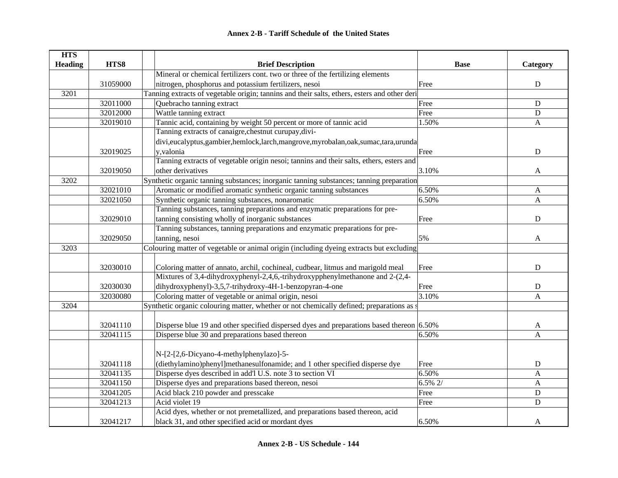| <b>HTS</b>     |          |                                                                                              |             |              |
|----------------|----------|----------------------------------------------------------------------------------------------|-------------|--------------|
| <b>Heading</b> | HTS8     | <b>Brief Description</b>                                                                     | <b>Base</b> | Category     |
|                |          | Mineral or chemical fertilizers cont. two or three of the fertilizing elements               |             |              |
|                | 31059000 | nitrogen, phosphorus and potassium fertilizers, nesoi                                        | Free        | $\mathbf D$  |
| 3201           |          | Tanning extracts of vegetable origin; tannins and their salts, ethers, esters and other deri |             |              |
|                | 32011000 | Quebracho tanning extract                                                                    | Free        | D            |
|                | 32012000 | Wattle tanning extract                                                                       | Free        | ${\bf D}$    |
|                | 32019010 | Tannic acid, containing by weight 50 percent or more of tannic acid                          | 1.50%       | $\mathbf{A}$ |
|                |          | Tanning extracts of canaigre, chestnut curupay, divi-                                        |             |              |
|                |          | divi,eucalyptus,gambier,hemlock,larch,mangrove,myrobalan,oak,sumac,tara,urunda               |             |              |
|                | 32019025 | y, valonia                                                                                   | Free        | ${\bf D}$    |
|                |          | Tanning extracts of vegetable origin nesoi; tannins and their salts, ethers, esters and      |             |              |
|                | 32019050 | other derivatives                                                                            | 3.10%       | A            |
| 3202           |          | Synthetic organic tanning substances; inorganic tanning substances; tanning preparation      |             |              |
|                | 32021010 | Aromatic or modified aromatic synthetic organic tanning substances                           | 6.50%       | A            |
|                | 32021050 | Synthetic organic tanning substances, nonaromatic                                            | 6.50%       | A            |
|                |          | Tanning substances, tanning preparations and enzymatic preparations for pre-                 |             |              |
|                | 32029010 | tanning consisting wholly of inorganic substances                                            | Free        | $\mathbf D$  |
|                |          | Tanning substances, tanning preparations and enzymatic preparations for pre-                 |             |              |
|                | 32029050 | tanning, nesoi                                                                               | 5%          | A            |
| 3203           |          | Colouring matter of vegetable or animal origin (including dyeing extracts but excluding      |             |              |
|                |          |                                                                                              |             |              |
|                | 32030010 | Coloring matter of annato, archil, cochineal, cudbear, litmus and marigold meal              | Free        | ${\bf D}$    |
|                |          | Mixtures of 3,4-dihydroxyphenyl-2,4,6,-trihydroxypphenylmethanone and 2-(2,4-                |             |              |
|                | 32030030 | dihydroxyphenyl)-3,5,7-trihydroxy-4H-1-benzopyran-4-one                                      | Free        | ${\bf D}$    |
|                | 32030080 | Coloring matter of vegetable or animal origin, nesoi                                         | 3.10%       | A            |
| 3204           |          | Synthetic organic colouring matter, whether or not chemically defined; preparations as a     |             |              |
|                |          |                                                                                              |             |              |
|                | 32041110 | Disperse blue 19 and other specified dispersed dyes and preparations based thereon 6.50%     |             | A            |
|                | 32041115 | Disperse blue 30 and preparations based thereon                                              | 6.50%       | A            |
|                |          |                                                                                              |             |              |
|                |          | N-[2-[2,6-Dicyano-4-methylphenylazo]-5-                                                      |             |              |
|                | 32041118 | (diethylamino)phenyl]methanesulfonamide; and 1 other specified disperse dye                  | Free        | ${\bf D}$    |
|                | 32041135 | Disperse dyes described in add'l U.S. note 3 to section VI                                   | 6.50%       | $\mathbf A$  |
|                | 32041150 | Disperse dyes and preparations based thereon, nesoi                                          | 6.5% 2/     | A            |
|                | 32041205 | Acid black 210 powder and presscake                                                          | Free        | ${\bf D}$    |
|                | 32041213 | Acid violet 19                                                                               | Free        | $\mathbf D$  |
|                |          | Acid dyes, whether or not premetallized, and preparations based thereon, acid                |             |              |
|                | 32041217 | black 31, and other specified acid or mordant dyes                                           | 6.50%       | A            |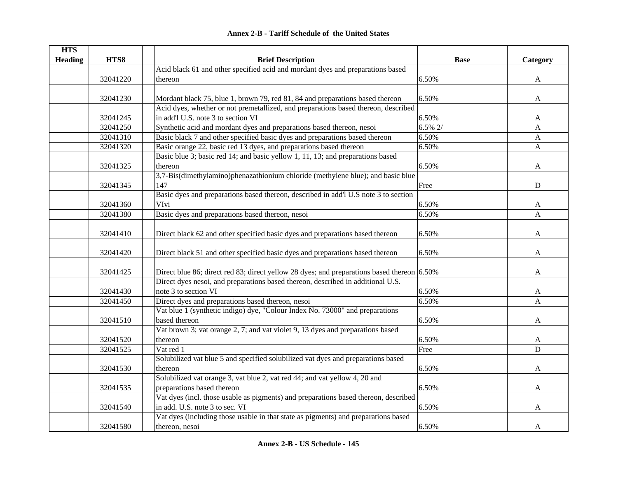|  | <b>Annex 2-B - Tariff Schedule of the United States</b> |  |
|--|---------------------------------------------------------|--|
|--|---------------------------------------------------------|--|

| <b>HTS</b>     |          |                                                                                            |             |              |
|----------------|----------|--------------------------------------------------------------------------------------------|-------------|--------------|
| <b>Heading</b> | HTS8     | <b>Brief Description</b>                                                                   | <b>Base</b> | Category     |
|                |          | Acid black 61 and other specified acid and mordant dyes and preparations based             |             |              |
|                | 32041220 | thereon                                                                                    | 6.50%       | A            |
|                |          |                                                                                            |             |              |
|                | 32041230 | Mordant black 75, blue 1, brown 79, red 81, 84 and preparations based thereon              | 6.50%       | A            |
|                |          | Acid dyes, whether or not premetallized, and preparations based thereon, described         |             |              |
|                | 32041245 | in add'l U.S. note 3 to section VI                                                         | 6.50%       | A            |
|                | 32041250 | Synthetic acid and mordant dyes and preparations based thereon, nesoi                      | 6.5% 2/     | A            |
|                | 32041310 | Basic black 7 and other specified basic dyes and preparations based thereon                | 6.50%       | $\mathbf{A}$ |
|                | 32041320 | Basic orange 22, basic red 13 dyes, and preparations based thereon                         | 6.50%       | $\mathbf{A}$ |
|                |          | Basic blue 3; basic red 14; and basic yellow 1, 11, 13; and preparations based             |             |              |
|                | 32041325 | thereon                                                                                    | 6.50%       | A            |
|                |          | 3,7-Bis(dimethylamino)phenazathionium chloride (methylene blue); and basic blue            |             |              |
|                | 32041345 | 147                                                                                        | Free        | D            |
|                |          | Basic dyes and preparations based thereon, described in add'l U.S note 3 to section        |             |              |
|                | 32041360 | VIvi                                                                                       | 6.50%       | A            |
|                | 32041380 | Basic dyes and preparations based thereon, nesoi                                           | 6.50%       | $\mathbf{A}$ |
|                |          |                                                                                            |             |              |
|                | 32041410 | Direct black 62 and other specified basic dyes and preparations based thereon              | 6.50%       | A            |
|                |          |                                                                                            |             |              |
|                | 32041420 | Direct black 51 and other specified basic dyes and preparations based thereon              | 6.50%       | A            |
|                |          |                                                                                            |             |              |
|                | 32041425 | Direct blue 86; direct red 83; direct yellow 28 dyes; and preparations based thereon 6.50% |             | A            |
|                |          | Direct dyes nesoi, and preparations based thereon, described in additional U.S.            |             |              |
|                | 32041430 | note 3 to section VI                                                                       | 6.50%       | A            |
|                | 32041450 | Direct dyes and preparations based thereon, nesoi                                          | 6.50%       | A            |
|                |          | Vat blue 1 (synthetic indigo) dye, "Colour Index No. 73000" and preparations               |             |              |
|                | 32041510 | based thereon                                                                              | 6.50%       | A            |
|                |          | Vat brown 3; vat orange 2, 7; and vat violet 9, 13 dyes and preparations based             |             |              |
|                | 32041520 | thereon                                                                                    | 6.50%       | A            |
|                | 32041525 | Vat red 1                                                                                  | Free        | D            |
|                |          | Solubilized vat blue 5 and specified solubilized vat dyes and preparations based           |             |              |
|                | 32041530 | thereon                                                                                    | 6.50%       | A            |
|                |          | Solubilized vat orange 3, vat blue 2, vat red 44; and vat yellow 4, 20 and                 |             |              |
|                | 32041535 | preparations based thereon                                                                 | 6.50%       | A            |
|                |          | Vat dyes (incl. those usable as pigments) and preparations based thereon, described        |             |              |
|                | 32041540 | in add. U.S. note 3 to sec. VI                                                             | 6.50%       | A            |
|                |          | Vat dyes (including those usable in that state as pigments) and preparations based         |             |              |
|                | 32041580 | thereon, nesoi                                                                             | 6.50%       | A            |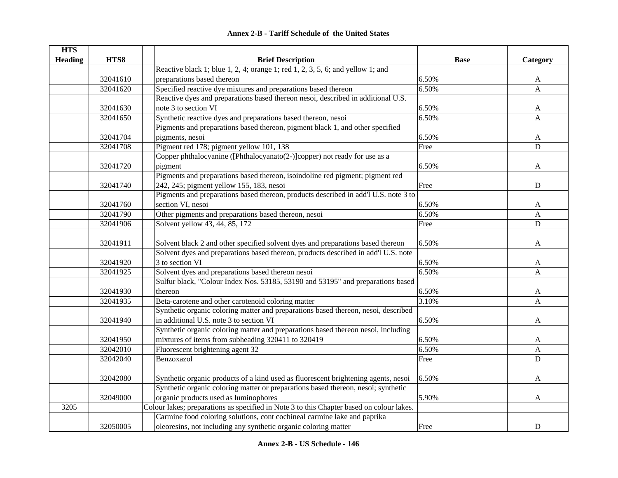|  | <b>Annex 2-B - Tariff Schedule of the United States</b> |  |
|--|---------------------------------------------------------|--|
|--|---------------------------------------------------------|--|

| <b>HTS</b>     |          |                                                                                          |             |              |
|----------------|----------|------------------------------------------------------------------------------------------|-------------|--------------|
| <b>Heading</b> | HTS8     | <b>Brief Description</b>                                                                 | <b>Base</b> | Category     |
|                |          | Reactive black 1; blue $1, 2, 4$ ; orange 1; red $1, 2, 3, 5, 6$ ; and yellow 1; and     |             |              |
|                | 32041610 | preparations based thereon                                                               | 6.50%       | A            |
|                | 32041620 | Specified reactive dye mixtures and preparations based thereon                           | 6.50%       | $\mathbf{A}$ |
|                |          | Reactive dyes and preparations based thereon nesoi, described in additional U.S.         |             |              |
|                | 32041630 | note 3 to section VI                                                                     | 6.50%       | A            |
|                | 32041650 | Synthetic reactive dyes and preparations based thereon, nesoi                            | 6.50%       | A            |
|                |          | Pigments and preparations based thereon, pigment black 1, and other specified            |             |              |
|                | 32041704 | pigments, nesoi                                                                          | 6.50%       | A            |
|                | 32041708 | Pigment red 178; pigment yellow 101, 138                                                 | Free        | $\mathbf D$  |
|                |          | Copper phthalocyanine ([Phthalocyanato(2-)]copper) not ready for use as a                |             |              |
|                | 32041720 | pigment                                                                                  | 6.50%       | A            |
|                |          | Pigments and preparations based thereon, isoindoline red pigment; pigment red            |             |              |
|                | 32041740 | 242, 245; pigment yellow 155, 183, nesoi                                                 | Free        | $\mathbf D$  |
|                |          | Pigments and preparations based thereon, products described in add'l U.S. note 3 to      |             |              |
|                | 32041760 | section VI, nesoi                                                                        | 6.50%       | A            |
|                | 32041790 | Other pigments and preparations based thereon, nesoi                                     | 6.50%       | A            |
|                | 32041906 | Solvent yellow 43, 44, 85, 172                                                           | Free        | $\mathbf D$  |
|                |          |                                                                                          |             |              |
|                | 32041911 | Solvent black 2 and other specified solvent dyes and preparations based thereon          | 6.50%       | A            |
|                |          | Solvent dyes and preparations based thereon, products described in add'l U.S. note       |             |              |
|                | 32041920 | 3 to section VI                                                                          | 6.50%       | A            |
|                | 32041925 | Solvent dyes and preparations based thereon nesoi                                        | 6.50%       | A            |
|                |          | Sulfur black, "Colour Index Nos. 53185, 53190 and 53195" and preparations based          |             |              |
|                | 32041930 | thereon                                                                                  | 6.50%       | A            |
|                | 32041935 | Beta-carotene and other carotenoid coloring matter                                       | 3.10%       | A            |
|                |          | Synthetic organic coloring matter and preparations based thereon, nesoi, described       |             |              |
|                | 32041940 | in additional U.S. note 3 to section VI                                                  | 6.50%       | A            |
|                |          | Synthetic organic coloring matter and preparations based thereon nesoi, including        |             |              |
|                | 32041950 | mixtures of items from subheading 320411 to 320419                                       | 6.50%       | A            |
|                | 32042010 | Fluorescent brightening agent 32                                                         | 6.50%       | A            |
|                | 32042040 | Benzoxazol                                                                               | Free        | $\mathbf D$  |
|                |          |                                                                                          |             |              |
|                | 32042080 | Synthetic organic products of a kind used as fluorescent brightening agents, nesoi       | 6.50%       | A            |
|                |          | Synthetic organic coloring matter or preparations based thereon, nesoi; synthetic        |             |              |
|                | 32049000 | organic products used as luminophores                                                    | 5.90%       | A            |
| 3205           |          | Colour lakes; preparations as specified in Note 3 to this Chapter based on colour lakes. |             |              |
|                |          | Carmine food coloring solutions, cont cochineal carmine lake and paprika                 |             |              |
|                | 32050005 | oleoresins, not including any synthetic organic coloring matter                          | Free        | ${\bf D}$    |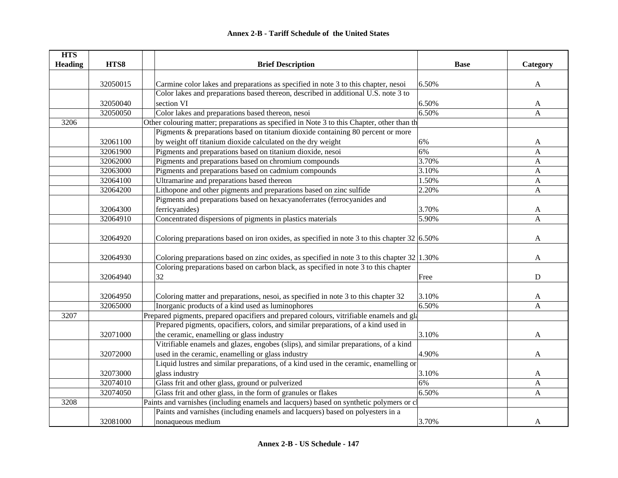| <b>HTS</b>     |          |                                                                                                |             |          |
|----------------|----------|------------------------------------------------------------------------------------------------|-------------|----------|
| <b>Heading</b> | HTS8     | <b>Brief Description</b>                                                                       | <b>Base</b> | Category |
|                |          |                                                                                                |             |          |
|                | 32050015 | Carmine color lakes and preparations as specified in note 3 to this chapter, nesoi             | 6.50%       | A        |
|                |          | Color lakes and preparations based thereon, described in additional U.S. note 3 to             |             |          |
|                | 32050040 | section VI                                                                                     | 6.50%       | A        |
|                | 32050050 | Color lakes and preparations based thereon, nesoi                                              | 6.50%       | A        |
| 3206           |          | Other colouring matter; preparations as specified in Note 3 to this Chapter, other than th     |             |          |
|                |          | Pigments & preparations based on titanium dioxide containing 80 percent or more                |             |          |
|                | 32061100 | by weight off titanium dioxide calculated on the dry weight                                    | 6%          | A        |
|                | 32061900 | Pigments and preparations based on titanium dioxide, nesoi                                     | 6%          | A        |
|                | 32062000 | Pigments and preparations based on chromium compounds                                          | 3.70%       | A        |
|                | 32063000 | Pigments and preparations based on cadmium compounds                                           | 3.10%       | A        |
|                | 32064100 | Ultramarine and preparations based thereon                                                     | 1.50%       | A        |
|                | 32064200 | Lithopone and other pigments and preparations based on zinc sulfide                            | 2.20%       | A        |
|                |          | Pigments and preparations based on hexacyanoferrates (ferrocyanides and                        |             |          |
|                | 32064300 | ferricyanides)                                                                                 | 3.70%       | A        |
|                | 32064910 | Concentrated dispersions of pigments in plastics materials                                     | 5.90%       | A        |
|                |          |                                                                                                |             |          |
|                | 32064920 | Coloring preparations based on iron oxides, as specified in note 3 to this chapter $32 6.50\%$ |             | A        |
|                |          |                                                                                                |             |          |
|                | 32064930 | Coloring preparations based on zinc oxides, as specified in note 3 to this chapter $32 1.30\%$ |             | A        |
|                |          | Coloring preparations based on carbon black, as specified in note 3 to this chapter            |             |          |
|                | 32064940 | 32                                                                                             | Free        | D        |
|                |          |                                                                                                |             |          |
|                | 32064950 | Coloring matter and preparations, nesoi, as specified in note 3 to this chapter 32             | 3.10%       | A        |
|                | 32065000 | Inorganic products of a kind used as luminophores                                              | 6.50%       | A        |
| 3207           |          | Prepared pigments, prepared opacifiers and prepared colours, vitrifiable enamels and gla       |             |          |
|                |          | Prepared pigments, opacifiers, colors, and similar preparations, of a kind used in             |             |          |
|                | 32071000 | the ceramic, enamelling or glass industry                                                      | 3.10%       | A        |
|                |          | Vitrifiable enamels and glazes, engobes (slips), and similar preparations, of a kind           |             |          |
|                | 32072000 | used in the ceramic, enamelling or glass industry                                              | 4.90%       | A        |
|                |          | Liquid lustres and similar preparations, of a kind used in the ceramic, enamelling or          |             |          |
|                | 32073000 | glass industry                                                                                 | 3.10%       | A        |
|                | 32074010 | Glass frit and other glass, ground or pulverized                                               | 6%          | A        |
|                | 32074050 | Glass frit and other glass, in the form of granules or flakes                                  | 6.50%       | A        |
| 3208           |          | Paints and varnishes (including enamels and lacquers) based on synthetic polymers or cl        |             |          |
|                |          | Paints and varnishes (including enamels and lacquers) based on polyesters in a                 |             |          |
|                | 32081000 | nonaqueous medium                                                                              | 3.70%       | A        |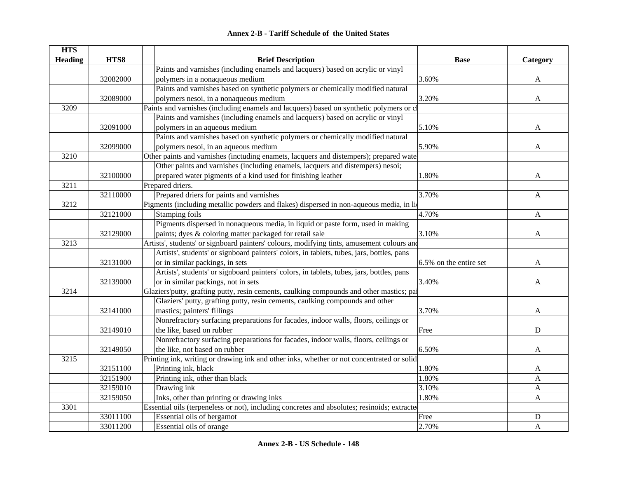|  | <b>Annex 2-B - Tariff Schedule of the United States</b> |  |
|--|---------------------------------------------------------|--|
|--|---------------------------------------------------------|--|

| <b>HTS</b>     |          |                                                                                              |                        |              |
|----------------|----------|----------------------------------------------------------------------------------------------|------------------------|--------------|
| <b>Heading</b> | HTS8     | <b>Brief Description</b>                                                                     | <b>Base</b>            | Category     |
|                |          | Paints and varnishes (including enamels and lacquers) based on acrylic or vinyl              |                        |              |
|                | 32082000 | polymers in a nonaqueous medium                                                              | 3.60%                  | A            |
|                |          | Paints and varnishes based on synthetic polymers or chemically modified natural              |                        |              |
|                | 32089000 | polymers nesoi, in a nonaqueous medium                                                       | 3.20%                  | A            |
| 3209           |          | Paints and varnishes (including enamels and lacquers) based on synthetic polymers or cl      |                        |              |
|                |          | Paints and varnishes (including enamels and lacquers) based on acrylic or vinyl              |                        |              |
|                | 32091000 | polymers in an aqueous medium                                                                | 5.10%                  | A            |
|                |          | Paints and varnishes based on synthetic polymers or chemically modified natural              |                        |              |
|                | 32099000 | polymers nesoi, in an aqueous medium                                                         | 5.90%                  | A            |
| 3210           |          | Other paints and varnishes (inctuding enamets, lacquers and distempers); prepared wate       |                        |              |
|                |          | Other paints and varnishes (including enamels, lacquers and distempers) nesoi;               |                        |              |
|                | 32100000 | prepared water pigments of a kind used for finishing leather                                 | 1.80%                  | A            |
| 3211           |          | Prepared driers.                                                                             |                        |              |
|                | 32110000 | Prepared driers for paints and varnishes                                                     | 3.70%                  | A            |
| 3212           |          | Pigments (including metallic powders and flakes) dispersed in non-aqueous media, in lio      |                        |              |
|                | 32121000 | Stamping foils                                                                               | 4.70%                  | A            |
|                |          | Pigments dispersed in nonaqueous media, in liquid or paste form, used in making              |                        |              |
|                | 32129000 | paints; dyes & coloring matter packaged for retail sale                                      | 3.10%                  | A            |
| 3213           |          | Artists', students' or signboard painters' colours, modifying tints, amusement colours and   |                        |              |
|                |          | Artists', students' or signboard painters' colors, in tablets, tubes, jars, bottles, pans    |                        |              |
|                | 32131000 | or in similar packings, in sets                                                              | 6.5% on the entire set | A            |
|                |          | Artists', students' or signboard painters' colors, in tablets, tubes, jars, bottles, pans    |                        |              |
|                | 32139000 | or in similar packings, not in sets                                                          | 3.40%                  | A            |
| 3214           |          | Glaziers'putty, grafting putty, resin cements, caulking compounds and other mastics; pai     |                        |              |
|                |          | Glaziers' putty, grafting putty, resin cements, caulking compounds and other                 |                        |              |
|                | 32141000 | mastics; painters' fillings                                                                  | 3.70%                  | A            |
|                |          | Nonrefractory surfacing preparations for facades, indoor walls, floors, ceilings or          |                        |              |
|                | 32149010 | the like, based on rubber                                                                    | Free                   | D            |
|                |          | Nonrefractory surfacing preparations for facades, indoor walls, floors, ceilings or          |                        |              |
|                | 32149050 | the like, not based on rubber                                                                | 6.50%                  | A            |
| 3215           |          | Printing ink, writing or drawing ink and other inks, whether or not concentrated or solid    |                        |              |
|                | 32151100 | Printing ink, black                                                                          | 1.80%                  | A            |
|                | 32151900 | Printing ink, other than black                                                               | 1.80%                  | A            |
|                | 32159010 | Drawing ink                                                                                  | 3.10%                  | $\mathbf{A}$ |
|                | 32159050 | Inks, other than printing or drawing inks                                                    | 1.80%                  | A            |
| 3301           |          | Essential oils (terpeneless or not), including concretes and absolutes; resinoids; extracted |                        |              |
|                | 33011100 | Essential oils of bergamot                                                                   | Free                   | ${\bf D}$    |
|                | 33011200 | Essential oils of orange                                                                     | 2.70%                  | A            |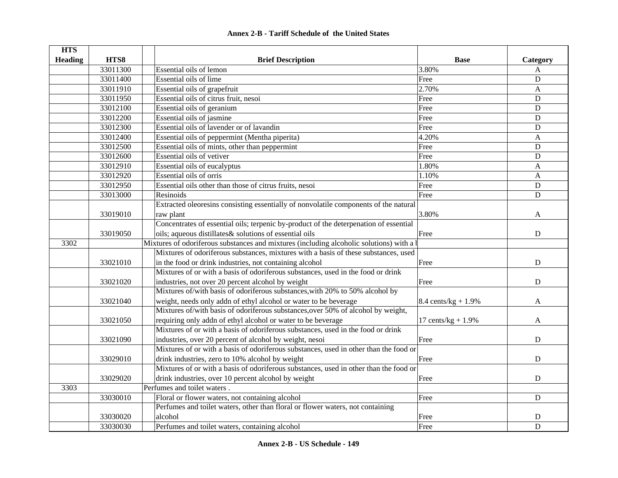| <b>HTS</b>     |          |                                                                                          |                        |             |
|----------------|----------|------------------------------------------------------------------------------------------|------------------------|-------------|
| <b>Heading</b> | HTS8     | <b>Brief Description</b>                                                                 | <b>Base</b>            | Category    |
|                | 33011300 | Essential oils of lemon                                                                  | 3.80%                  | A           |
|                | 33011400 | Essential oils of lime                                                                   | Free                   | D           |
|                | 33011910 | Essential oils of grapefruit                                                             | 2.70%                  | A           |
|                | 33011950 | Essential oils of citrus fruit, nesoi                                                    | Free                   | $\mathbf D$ |
|                | 33012100 | Essential oils of geranium                                                               | Free                   | $\mathbf D$ |
|                | 33012200 | Essential oils of jasmine                                                                | Free                   | D           |
|                | 33012300 | Essential oils of lavender or of lavandin                                                | Free                   | D           |
|                | 33012400 | Essential oils of peppermint (Mentha piperita)                                           | 4.20%                  | A           |
|                | 33012500 | Essential oils of mints, other than peppermint                                           | Free                   | $\mathbf D$ |
|                | 33012600 | Essential oils of vetiver                                                                | Free                   | D           |
|                | 33012910 | Essential oils of eucalyptus                                                             | 1.80%                  | A           |
|                | 33012920 | Essential oils of orris                                                                  | 1.10%                  | A           |
|                | 33012950 | Essential oils other than those of citrus fruits, nesoi                                  | Free                   | $\mathbf D$ |
|                | 33013000 | Resinoids                                                                                | Free                   | $\mathbf D$ |
|                |          | Extracted oleoresins consisting essentially of nonvolatile components of the natural     |                        |             |
|                | 33019010 | raw plant                                                                                | 3.80%                  | A           |
|                |          | Concentrates of essential oils; terpenic by-product of the deterpenation of essential    |                        |             |
|                | 33019050 | oils; aqueous distillates & solutions of essential oils                                  | Free                   | $\mathbf D$ |
| 3302           |          | Mixtures of odoriferous substances and mixtures (including alcoholic solutions) with a l |                        |             |
|                |          | Mixtures of odoriferous substances, mixtures with a basis of these substances, used      |                        |             |
|                | 33021010 | in the food or drink industries, not containing alcohol                                  | Free                   | $\mathbf D$ |
|                |          | Mixtures of or with a basis of odoriferous substances, used in the food or drink         |                        |             |
|                | 33021020 | industries, not over 20 percent alcohol by weight                                        | Free                   | $\mathbf D$ |
|                |          | Mixtures of/with basis of odoriferous substances, with 20% to 50% alcohol by             |                        |             |
|                | 33021040 | weight, needs only addn of ethyl alcohol or water to be beverage                         | 8.4 cents/ $kg + 1.9%$ | A           |
|                |          | Mixtures of/with basis of odoriferous substances, over 50% of alcohol by weight,         |                        |             |
|                | 33021050 | requiring only addn of ethyl alcohol or water to be beverage                             | 17 cents/ $kg + 1.9%$  | A           |
|                |          | Mixtures of or with a basis of odoriferous substances, used in the food or drink         |                        |             |
|                | 33021090 | industries, over 20 percent of alcohol by weight, nesoi                                  | Free                   | D           |
|                |          | Mixtures of or with a basis of odoriferous substances, used in other than the food or    |                        |             |
|                | 33029010 | drink industries, zero to 10% alcohol by weight                                          | Free                   | $\mathbf D$ |
|                |          | Mixtures of or with a basis of odoriferous substances, used in other than the food or    |                        |             |
|                | 33029020 | drink industries, over 10 percent alcohol by weight                                      | Free                   | $\mathbf D$ |
| 3303           |          | Perfumes and toilet waters.                                                              |                        |             |
|                | 33030010 | Floral or flower waters, not containing alcohol                                          | Free                   | D           |
|                |          | Perfumes and toilet waters, other than floral or flower waters, not containing           |                        |             |
|                | 33030020 | alcohol                                                                                  | Free                   | D           |
|                | 33030030 | Perfumes and toilet waters, containing alcohol                                           | Free                   | D           |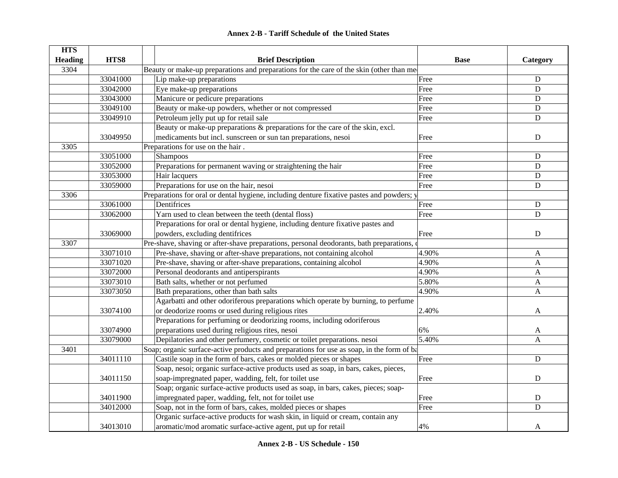| <b>HTS</b>     |          |                                                                                           |             |                |
|----------------|----------|-------------------------------------------------------------------------------------------|-------------|----------------|
| <b>Heading</b> | HTS8     | <b>Brief Description</b>                                                                  | <b>Base</b> | Category       |
| 3304           |          | Beauty or make-up preparations and preparations for the care of the skin (other than me   |             |                |
|                | 33041000 | Lip make-up preparations                                                                  | Free        | ${\bf D}$      |
|                | 33042000 | Eye make-up preparations                                                                  | Free        | D              |
|                | 33043000 | Manicure or pedicure preparations                                                         | Free        | $\mathbf D$    |
|                | 33049100 | Beauty or make-up powders, whether or not compressed                                      | Free        | $\mathbf D$    |
|                | 33049910 | Petroleum jelly put up for retail sale                                                    | Free        | $\mathbf D$    |
|                |          | Beauty or make-up preparations & preparations for the care of the skin, excl.             |             |                |
|                | 33049950 | medicaments but incl. sunscreen or sun tan preparations, nesoi                            | Free        | $\mathbf D$    |
| 3305           |          | Preparations for use on the hair.                                                         |             |                |
|                | 33051000 | Shampoos                                                                                  | Free        | D              |
|                | 33052000 | Preparations for permanent waving or straightening the hair                               | Free        | D              |
|                | 33053000 | Hair lacquers                                                                             | Free        | ${\bf D}$      |
|                | 33059000 | Preparations for use on the hair, nesoi                                                   | Free        | ${\bf D}$      |
| 3306           |          | Preparations for oral or dental hygiene, including denture fixative pastes and powders; y |             |                |
|                | 33061000 | Dentifrices                                                                               | Free        | ${\bf D}$      |
|                | 33062000 | Yarn used to clean between the teeth (dental floss)                                       | Free        | D              |
|                |          | Preparations for oral or dental hygiene, including denture fixative pastes and            |             |                |
|                | 33069000 | powders, excluding dentifrices                                                            | Free        | ${\bf D}$      |
| 3307           |          | Pre-shave, shaving or after-shave preparations, personal deodorants, bath preparations, o |             |                |
|                | 33071010 | Pre-shave, shaving or after-shave preparations, not containing alcohol                    | 4.90%       | $\mathbf{A}$   |
|                | 33071020 | Pre-shave, shaving or after-shave preparations, containing alcohol                        | 4.90%       | $\mathbf A$    |
|                | 33072000 | Personal deodorants and antiperspirants                                                   | 4.90%       | A              |
|                | 33073010 | Bath salts, whether or not perfumed                                                       | 5.80%       | A              |
|                | 33073050 | Bath preparations, other than bath salts                                                  | 4.90%       | A              |
|                |          | Agarbatti and other odoriferous preparations which operate by burning, to perfume         |             |                |
|                | 33074100 | or deodorize rooms or used during religious rites                                         | 2.40%       | A              |
|                |          | Preparations for perfuming or deodorizing rooms, including odoriferous                    |             |                |
|                | 33074900 | preparations used during religious rites, nesoi                                           | 6%          | A              |
|                | 33079000 | Depilatories and other perfumery, cosmetic or toilet preparations. nesoi                  | 5.40%       | $\mathbf{A}$   |
| 3401           |          | Soap; organic surface-active products and preparations for use as soap, in the form of ba |             |                |
|                | 34011110 | Castile soap in the form of bars, cakes or molded pieces or shapes                        | Free        | $\mathbf{D}$   |
|                |          | Soap, nesoi; organic surface-active products used as soap, in bars, cakes, pieces,        |             |                |
|                | 34011150 | soap-impregnated paper, wadding, felt, for toilet use                                     | Free        | ${\bf D}$      |
|                |          | Soap; organic surface-active products used as soap, in bars, cakes, pieces; soap-         |             |                |
|                | 34011900 | impregnated paper, wadding, felt, not for toilet use                                      | Free        | $\mathbf D$    |
|                | 34012000 | Soap, not in the form of bars, cakes, molded pieces or shapes                             | Free        | $\overline{D}$ |
|                |          | Organic surface-active products for wash skin, in liquid or cream, contain any            |             |                |
|                | 34013010 | aromatic/mod aromatic surface-active agent, put up for retail                             | 4%          | A              |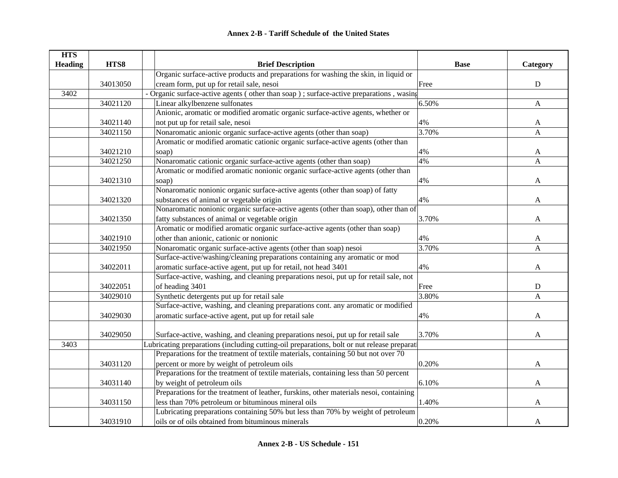| <b>HTS</b>     |          |                                                                                             |             |              |
|----------------|----------|---------------------------------------------------------------------------------------------|-------------|--------------|
| <b>Heading</b> | HTS8     | <b>Brief Description</b>                                                                    | <b>Base</b> | Category     |
|                |          | Organic surface-active products and preparations for washing the skin, in liquid or         |             |              |
|                | 34013050 | cream form, put up for retail sale, nesoi                                                   | Free        | ${\bf D}$    |
| 3402           |          | - Organic surface-active agents (other than soap); surface-active preparations, wasing      |             |              |
|                | 34021120 | Linear alkylbenzene sulfonates                                                              | 6.50%       | $\mathbf{A}$ |
|                |          | Anionic, aromatic or modified aromatic organic surface-active agents, whether or            |             |              |
|                | 34021140 | not put up for retail sale, nesoi                                                           | 4%          | $\mathbf{A}$ |
|                | 34021150 | Nonaromatic anionic organic surface-active agents (other than soap)                         | 3.70%       | $\mathbf{A}$ |
|                |          | Aromatic or modified aromatic cationic organic surface-active agents (other than            |             |              |
|                | 34021210 | soap)                                                                                       | 4%          | $\mathbf{A}$ |
|                | 34021250 | Nonaromatic cationic organic surface-active agents (other than soap)                        | 4%          | $\mathbf{A}$ |
|                |          | Aromatic or modified aromatic nonionic organic surface-active agents (other than            |             |              |
|                | 34021310 | soap)                                                                                       | 4%          | A            |
|                |          | Nonaromatic nonionic organic surface-active agents (other than soap) of fatty               |             |              |
|                | 34021320 | substances of animal or vegetable origin                                                    | 4%          | A            |
|                |          | Nonaromatic nonionic organic surface-active agents (other than soap), other than of         |             |              |
|                | 34021350 | fatty substances of animal or vegetable origin                                              | 3.70%       | A            |
|                |          | Aromatic or modified aromatic organic surface-active agents (other than soap)               |             |              |
|                | 34021910 | other than anionic, cationic or nonionic                                                    | 4%          | A            |
|                | 34021950 | Nonaromatic organic surface-active agents (other than soap) nesoi                           | 3.70%       | A            |
|                |          | Surface-active/washing/cleaning preparations containing any aromatic or mod                 |             |              |
|                | 34022011 | aromatic surface-active agent, put up for retail, not head 3401                             | 4%          | A            |
|                |          | Surface-active, washing, and cleaning preparations nesoi, put up for retail sale, not       |             |              |
|                | 34022051 | of heading 3401                                                                             | Free        | ${\bf D}$    |
|                | 34029010 | Synthetic detergents put up for retail sale                                                 | 3.80%       | $\mathbf{A}$ |
|                |          | Surface-active, washing, and cleaning preparations cont. any aromatic or modified           |             |              |
|                | 34029030 | aromatic surface-active agent, put up for retail sale                                       | 4%          | A            |
|                |          |                                                                                             |             |              |
|                | 34029050 | Surface-active, washing, and cleaning preparations nesoi, put up for retail sale            | 3.70%       | A            |
| 3403           |          | Lubricating preparations (including cutting-oil preparations, bolt or nut release preparati |             |              |
|                |          | Preparations for the treatment of textile materials, containing 50 but not over 70          |             |              |
|                | 34031120 | percent or more by weight of petroleum oils                                                 | 0.20%       | A            |
|                |          | Preparations for the treatment of textile materials, containing less than 50 percent        |             |              |
|                | 34031140 | by weight of petroleum oils                                                                 | 6.10%       | $\mathbf{A}$ |
|                |          | Preparations for the treatment of leather, furskins, other materials nesoi, containing      |             |              |
|                | 34031150 | less than 70% petroleum or bituminous mineral oils                                          | 1.40%       | A            |
|                |          | Lubricating preparations containing 50% but less than 70% by weight of petroleum            |             |              |
|                | 34031910 | oils or of oils obtained from bituminous minerals                                           | 0.20%       | A            |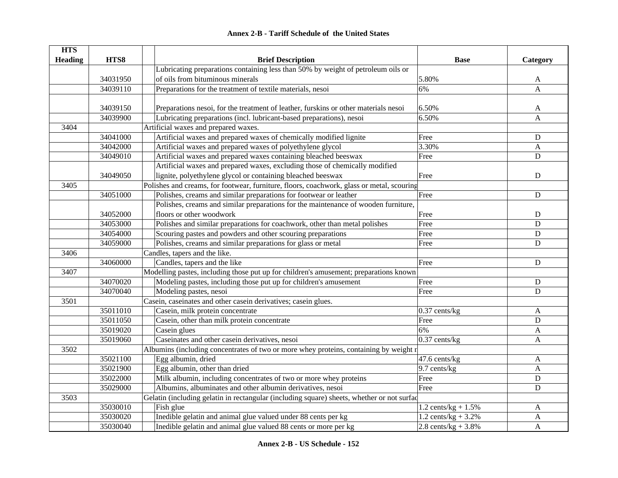|  | <b>Annex 2-B - Tariff Schedule of the United States</b> |  |
|--|---------------------------------------------------------|--|
|--|---------------------------------------------------------|--|

| <b>HTS</b>     |          |                                                                                            |                        |              |
|----------------|----------|--------------------------------------------------------------------------------------------|------------------------|--------------|
| <b>Heading</b> | HTS8     | <b>Brief Description</b>                                                                   | <b>Base</b>            | Category     |
|                |          | Lubricating preparations containing less than 50% by weight of petroleum oils or           |                        |              |
|                | 34031950 | of oils from bituminous minerals                                                           | 5.80%                  | A            |
|                | 34039110 | Preparations for the treatment of textile materials, nesoi                                 | 6%                     | A            |
|                |          |                                                                                            |                        |              |
|                | 34039150 | Preparations nesoi, for the treatment of leather, furskins or other materials nesoi        | 6.50%                  | A            |
|                | 34039900 | Lubricating preparations (incl. lubricant-based preparations), nesoi                       | 6.50%                  | $\mathbf{A}$ |
| 3404           |          | Artificial waxes and prepared waxes.                                                       |                        |              |
|                | 34041000 | Artificial waxes and prepared waxes of chemically modified lignite                         | Free                   | D            |
|                | 34042000 | Artificial waxes and prepared waxes of polyethylene glycol                                 | 3.30%                  | $\mathbf{A}$ |
|                | 34049010 | Artificial waxes and prepared waxes containing bleached beeswax                            | Free                   | $\mathbf D$  |
|                |          | Artificial waxes and prepared waxes, excluding those of chemically modified                |                        |              |
|                | 34049050 | lignite, polyethylene glycol or containing bleached beeswax                                | Free                   | D            |
| 3405           |          | Polishes and creams, for footwear, furniture, floors, coachwork, glass or metal, scouring  |                        |              |
|                | 34051000 | Polishes, creams and similar preparations for footwear or leather                          | Free                   | $\mathbf D$  |
|                |          | Polishes, creams and similar preparations for the maintenance of wooden furniture,         |                        |              |
|                | 34052000 | floors or other woodwork                                                                   | Free                   | $\mathbf D$  |
|                | 34053000 | Polishes and similar preparations for coachwork, other than metal polishes                 | Free                   | $\mathbf D$  |
|                | 34054000 | Scouring pastes and powders and other scouring preparations                                | Free                   | ${\bf D}$    |
|                | 34059000 | Polishes, creams and similar preparations for glass or metal                               | Free                   | $\mathbf D$  |
| 3406           |          | Candles, tapers and the like.                                                              |                        |              |
|                | 34060000 | Candles, tapers and the like                                                               | Free                   | $\mathbf D$  |
| 3407           |          | Modelling pastes, including those put up for children's amusement; preparations known      |                        |              |
|                | 34070020 | Modeling pastes, including those put up for children's amusement                           | Free                   | ${\bf D}$    |
|                | 34070040 | Modeling pastes, nesoi                                                                     | Free                   | $\mathbf D$  |
| 3501           |          | Casein, caseinates and other casein derivatives; casein glues.                             |                        |              |
|                | 35011010 | Casein, milk protein concentrate                                                           | $0.37$ cents/kg        | A            |
|                | 35011050 | Casein, other than milk protein concentrate                                                | Free                   | D            |
|                | 35019020 | Casein glues                                                                               | 6%                     | $\mathbf{A}$ |
|                | 35019060 | Caseinates and other casein derivatives, nesoi                                             | $0.37$ cents/kg        | A            |
| 3502           |          | Albumins (including concentrates of two or more whey proteins, containing by weight r      |                        |              |
|                | 35021100 | Egg albumin, dried                                                                         | 47.6 cents/kg          | $\mathbf{A}$ |
|                | 35021900 | Egg albumin, other than dried                                                              | 9.7 cents/kg           | A            |
|                | 35022000 | Milk albumin, including concentrates of two or more whey proteins                          | Free                   | ${\bf D}$    |
|                | 35029000 | Albumins, albuminates and other albumin derivatives, nesoi                                 | Free                   | D            |
| 3503           |          | Gelatin (including gelatin in rectangular (including square) sheets, whether or not surfac |                        |              |
|                | 35030010 | Fish glue                                                                                  | 1.2 cents/kg + $1.5\%$ | A            |
|                | 35030020 | Inedible gelatin and animal glue valued under 88 cents per kg                              | 1.2 cents/kg + $3.2%$  | A            |
|                | 35030040 | Inedible gelatin and animal glue valued 88 cents or more per kg                            | 2.8 cents/ $kg + 3.8%$ | A            |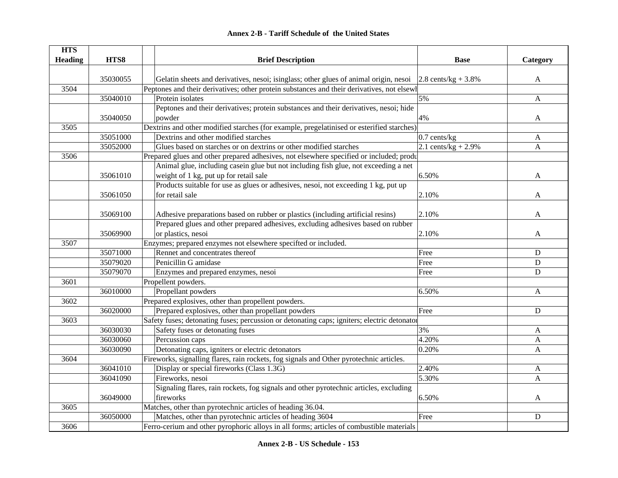| <b>HTS</b>     |          |                                                                                             |                        |           |
|----------------|----------|---------------------------------------------------------------------------------------------|------------------------|-----------|
| <b>Heading</b> | HTS8     | <b>Brief Description</b>                                                                    | <b>Base</b>            | Category  |
|                |          |                                                                                             |                        |           |
|                | 35030055 | Gelatin sheets and derivatives, nesoi; isinglass; other glues of animal origin, nesoi       | 2.8 cents/kg + $3.8\%$ | A         |
| 3504           |          | Peptones and their derivatives; other protein substances and their derivatives, not elsewh  |                        |           |
|                | 35040010 | Protein isolates                                                                            | 5%                     | A         |
|                |          | Peptones and their derivatives; protein substances and their derivatives, nesoi; hide       |                        |           |
|                | 35040050 | powder                                                                                      | 4%                     | A         |
| 3505           |          | Dextrins and other modified starches (for example, pregelatinised or esterified starches)   |                        |           |
|                | 35051000 | Dextrins and other modified starches                                                        | 0.7 cents/kg           | A         |
|                | 35052000 | Glues based on starches or on dextrins or other modified starches                           | 2.1 cents/kg + $2.9\%$ | A         |
| 3506           |          | Prepared glues and other prepared adhesives, not elsewhere specified or included; produ     |                        |           |
|                |          | Animal glue, including casein glue but not including fish glue, not exceeding a net         |                        |           |
|                | 35061010 | weight of 1 kg, put up for retail sale                                                      | 6.50%                  | A         |
|                |          | Products suitable for use as glues or adhesives, nesoi, not exceeding 1 kg, put up          |                        |           |
|                | 35061050 | for retail sale                                                                             | 2.10%                  | A         |
|                |          |                                                                                             |                        |           |
|                | 35069100 | Adhesive preparations based on rubber or plastics (including artificial resins)             | 2.10%                  | A         |
|                |          | Prepared glues and other prepared adhesives, excluding adhesives based on rubber            |                        |           |
|                | 35069900 | or plastics, nesoi                                                                          | 2.10%                  | A         |
| 3507           |          | Enzymes; prepared enzymes not elsewhere specifted or included.                              |                        |           |
|                | 35071000 | Rennet and concentrates thereof                                                             | Free                   | ${\bf D}$ |
|                | 35079020 | Penicillin G amidase                                                                        | Free                   | ${\bf D}$ |
|                | 35079070 | Enzymes and prepared enzymes, nesoi                                                         | Free                   | ${\bf D}$ |
| 3601           |          | Propellent powders.                                                                         |                        |           |
|                | 36010000 | Propellant powders                                                                          | 6.50%                  | A         |
| 3602           |          | Prepared explosives, other than propellent powders.                                         |                        |           |
|                | 36020000 | Prepared explosives, other than propellant powders                                          | Free                   | ${\bf D}$ |
| 3603           |          | Safety fuses; detonating fuses; percussion or detonating caps; igniters; electric detonator |                        |           |
|                | 36030030 | Safety fuses or detonating fuses                                                            | 3%                     | A         |
|                | 36030060 | Percussion caps                                                                             | 4.20%                  | A         |
|                | 36030090 | Detonating caps, igniters or electric detonators                                            | 0.20%                  | A         |
| 3604           |          | Fireworks, signalling flares, rain rockets, fog signals and Other pyrotechnic articles.     |                        |           |
|                | 36041010 | Display or special fireworks (Class 1.3G)                                                   | 2.40%                  | A         |
|                | 36041090 | Fireworks, nesoi                                                                            | 5.30%                  | A         |
|                |          | Signaling flares, rain rockets, fog signals and other pyrotechnic articles, excluding       |                        |           |
|                | 36049000 | fireworks                                                                                   | 6.50%                  | A         |
| 3605           |          | Matches, other than pyrotechnic articles of heading 36.04.                                  |                        |           |
|                | 36050000 | Matches, other than pyrotechnic articles of heading 3604                                    | Free                   | ${\bf D}$ |
| 3606           |          | Ferro-cerium and other pyrophoric alloys in all forms; articles of combustible materials    |                        |           |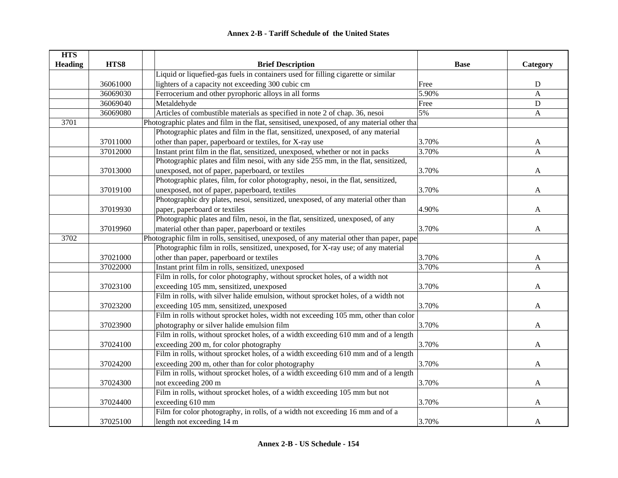| <b>HTS</b>     |          |                                                                                             |             |              |
|----------------|----------|---------------------------------------------------------------------------------------------|-------------|--------------|
| <b>Heading</b> | HTS8     | <b>Brief Description</b>                                                                    | <b>Base</b> | Category     |
|                |          | Liquid or liquefied-gas fuels in containers used for filling cigarette or similar           |             |              |
|                | 36061000 | lighters of a capacity not exceeding 300 cubic cm                                           | Free        | ${\bf D}$    |
|                | 36069030 | Ferrocerium and other pyrophoric alloys in all forms                                        | 5.90%       | A            |
|                | 36069040 | Metaldehyde                                                                                 | Free        | $\mathbf D$  |
|                | 36069080 | Articles of combustible materials as specified in note 2 of chap. 36, nesoi                 | 5%          | A            |
| 3701           |          | Photographic plates and film in the flat, sensitised, unexposed, of any material other that |             |              |
|                |          | Photographic plates and film in the flat, sensitized, unexposed, of any material            |             |              |
|                | 37011000 | other than paper, paperboard or textiles, for X-ray use                                     | 3.70%       | A            |
|                | 37012000 | Instant print film in the flat, sensitized, unexposed, whether or not in packs              | 3.70%       | A            |
|                |          | Photographic plates and film nesoi, with any side 255 mm, in the flat, sensitized,          |             |              |
|                | 37013000 | unexposed, not of paper, paperboard, or textiles                                            | 3.70%       | A            |
|                |          | Photographic plates, film, for color photography, nesoi, in the flat, sensitized,           |             |              |
|                | 37019100 | unexposed, not of paper, paperboard, textiles                                               | 3.70%       | A            |
|                |          | Photographic dry plates, nesoi, sensitized, unexposed, of any material other than           |             |              |
|                | 37019930 | paper, paperboard or textiles                                                               | 4.90%       | A            |
|                |          | Photographic plates and film, nesoi, in the flat, sensitized, unexposed, of any             |             |              |
|                | 37019960 | material other than paper, paperboard or textiles                                           | 3.70%       | A            |
| 3702           |          | Photographic film in rolls, sensitised, unexposed, of any material other than paper, pape   |             |              |
|                |          | Photographic film in rolls, sensitized, unexposed, for X-ray use; of any material           |             |              |
|                | 37021000 | other than paper, paperboard or textiles                                                    | 3.70%       | A            |
|                | 37022000 | Instant print film in rolls, sensitized, unexposed                                          | 3.70%       | A            |
|                |          | Film in rolls, for color photography, without sprocket holes, of a width not                |             |              |
|                | 37023100 | exceeding 105 mm, sensitized, unexposed                                                     | 3.70%       | A            |
|                |          | Film in rolls, with silver halide emulsion, without sprocket holes, of a width not          |             |              |
|                | 37023200 | exceeding 105 mm, sensitized, unexposed                                                     | 3.70%       | A            |
|                |          | Film in rolls without sprocket holes, width not exceeding 105 mm, other than color          |             |              |
|                | 37023900 | photography or silver halide emulsion film                                                  | 3.70%       | A            |
|                |          | Film in rolls, without sprocket holes, of a width exceeding 610 mm and of a length          |             |              |
|                | 37024100 | exceeding 200 m, for color photography                                                      | 3.70%       | A            |
|                |          | Film in rolls, without sprocket holes, of a width exceeding 610 mm and of a length          |             |              |
|                | 37024200 | exceeding 200 m, other than for color photography                                           | 3.70%       | A            |
|                |          | Film in rolls, without sprocket holes, of a width exceeding 610 mm and of a length          |             |              |
|                | 37024300 | not exceeding 200 m                                                                         | 3.70%       | $\mathbf{A}$ |
|                |          | Film in rolls, without sprocket holes, of a width exceeding 105 mm but not                  |             |              |
|                | 37024400 | exceeding 610 mm                                                                            | 3.70%       | A            |
|                |          | Film for color photography, in rolls, of a width not exceeding 16 mm and of a               |             |              |
|                | 37025100 | length not exceeding 14 m                                                                   | 3.70%       | A            |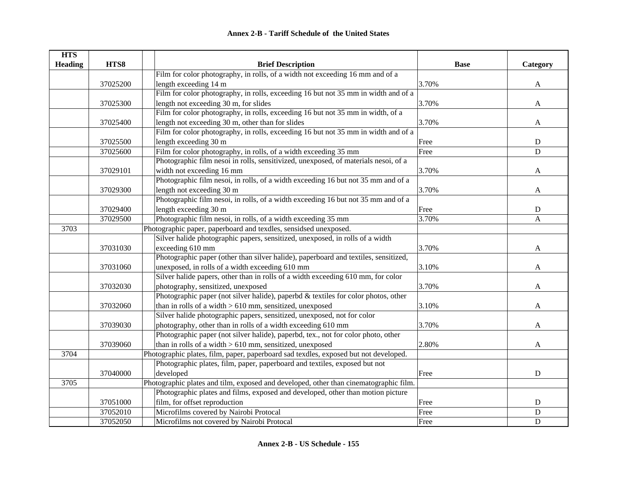| <b>HTS</b>     |          |                                                                                       |             |                |
|----------------|----------|---------------------------------------------------------------------------------------|-------------|----------------|
| <b>Heading</b> | HTS8     | <b>Brief Description</b>                                                              | <b>Base</b> | Category       |
|                |          | Film for color photography, in rolls, of a width not exceeding 16 mm and of a         |             |                |
|                | 37025200 | length exceeding 14 m                                                                 | 3.70%       | $\mathbf{A}$   |
|                |          | Film for color photography, in rolls, exceeding 16 but not 35 mm in width and of a    |             |                |
|                | 37025300 | length not exceeding 30 m, for slides                                                 | 3.70%       | $\mathbf{A}$   |
|                |          | Film for color photography, in rolls, exceeding 16 but not 35 mm in width, of a       |             |                |
|                | 37025400 | length not exceeding 30 m, other than for slides                                      | 3.70%       | $\mathbf{A}$   |
|                |          | Film for color photography, in rolls, exceeding 16 but not 35 mm in width and of a    |             |                |
|                | 37025500 | length exceeding 30 m                                                                 | Free        | ${\rm D}$      |
|                | 37025600 | Film for color photography, in rolls, of a width exceeding 35 mm                      | Free        | $\mathbf D$    |
|                |          | Photographic film nesoi in rolls, sensitivized, unexposed, of materials nesoi, of a   |             |                |
|                | 37029101 | width not exceeding 16 mm                                                             | 3.70%       | A              |
|                |          | Photographic film nesoi, in rolls, of a width exceeding 16 but not 35 mm and of a     |             |                |
|                | 37029300 | length not exceeding 30 m                                                             | 3.70%       | A              |
|                |          | Photographic film nesoi, in rolls, of a width exceeding 16 but not 35 mm and of a     |             |                |
|                | 37029400 | length exceeding 30 m                                                                 | Free        | ${\bf D}$      |
|                | 37029500 | Photographic film nesoi, in rolls, of a width exceeding 35 mm                         | 3.70%       | A              |
| 3703           |          | Photographic paper, paperboard and texdles, sensidsed unexposed.                      |             |                |
|                |          | Silver halide photographic papers, sensitized, unexposed, in rolls of a width         |             |                |
|                | 37031030 | exceeding 610 mm                                                                      | 3.70%       | A              |
|                |          | Photographic paper (other than silver halide), paperboard and textiles, sensitized,   |             |                |
|                | 37031060 | unexposed, in rolls of a width exceeding 610 mm                                       | 3.10%       | A              |
|                |          | Silver halide papers, other than in rolls of a width exceeding 610 mm, for color      |             |                |
|                | 37032030 | photography, sensitized, unexposed                                                    | 3.70%       | A              |
|                |          | Photographic paper (not silver halide), paperbd & textiles for color photos, other    |             |                |
|                | 37032060 | than in rolls of a width $> 610$ mm, sensitized, unexposed                            | 3.10%       | A              |
|                |          | Silver halide photographic papers, sensitized, unexposed, not for color               |             |                |
|                | 37039030 | photography, other than in rolls of a width exceeding 610 mm                          | 3.70%       | A              |
|                |          | Photographic paper (not silver halide), paperbd, tex., not for color photo, other     |             |                |
|                | 37039060 | than in rolls of a width $> 610$ mm, sensitized, unexposed                            | 2.80%       | A              |
| 3704           |          | Photographic plates, film, paper, paperboard sad texdles, exposed but not developed.  |             |                |
|                |          | Photographic plates, film, paper, paperboard and textiles, exposed but not            |             |                |
|                | 37040000 | developed                                                                             | Free        | ${\bf D}$      |
| 3705           |          | Photographic plates and tilm, exposed and developed, other than cinematographic film. |             |                |
|                |          | Photographic plates and films, exposed and developed, other than motion picture       |             |                |
|                | 37051000 | film, for offset reproduction                                                         | Free        | $\mathbf D$    |
|                | 37052010 | Microfilms covered by Nairobi Protocal                                                | Free        | $\overline{D}$ |
|                | 37052050 | Microfilms not covered by Nairobi Protocal                                            | Free        | $\mathbf D$    |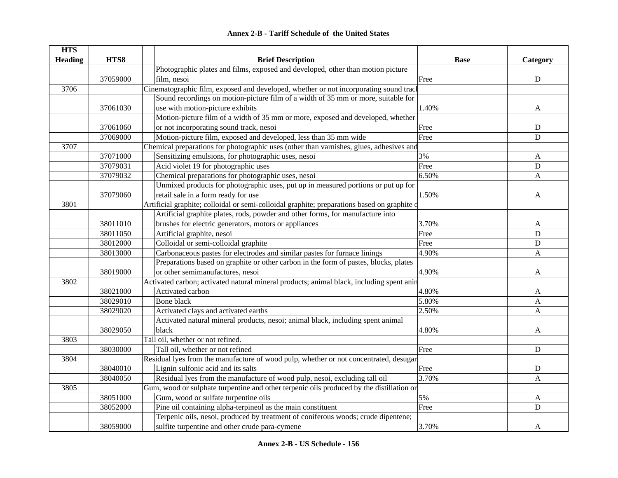#### **HTS Heading HTS8 Brief Description Base Category** 37059000Photographic plates and films, exposed and developed, other than motion picture film, nesoi D 3706Cinematographic film, exposed and developed, whether or not incorporating sound track 37061030Sound recordings on motion-picture film of a width of 35 mm or more, suitable for use with motion-picture exhibits and the set of the set of the set of the set of the set of the set of the set of the set of the set of the set of the set of the set of the set of the set of the set of the set of the set o 37061060Motion-picture film of a width of 35 mm or more, exposed and developed, whether or not incorporating sound track, nesoi Free D 37069000 Motion-picture film, exposed and developed, less than 35 mm wide Free D 3707Chemical preparations for photographic uses (other than varnishes, glues, adhesives and 37071000 Sensitizing emulsions, for photographic uses, nesoi 3% 37071000 A 37079031 Acid violet 19 for photographic uses Free D 37079032 Chemical preparations for photographic uses, nesoi 6.50% A 37079060Unmixed products for photographic uses, put up in measured portions or put up for retail sale in a form ready for use  $1.50\%$  A 3801Artificial graphite; colloidal or semi-colloidal graphite; preparations based on graphite or 38011010Artificial graphite plates, rods, powder and other forms, for manufacture into brushes for electric generators, motors or appliances 3.70% A 38011050 Artificial graphite, nesoi D 38012000 Colloidal or semi-colloidal graphite Free D 38013000 Carbonaceous pastes for electrodes and similar pastes for furnace linings 4.90% A 38019000Preparations based on graphite or other carbon in the form of pastes, blocks, plates or other semimanufactures, nesoi and the semi-manufactures, nesoi and the semi-manufactures, nesoi and the semi-manufactures, nesoi and  $\overline{A}$ 3802Activated carbon; activated natural mineral products; animal black, including spent anim 38021000 Activated carbon Active Control at the SO 4.80% Activated carbon A 38029010 Bone black A and the set of the set of the set of the set of the set of the set of the set of the set o 38029020 Activated clays and activated earths 2.50% Activated earths A 38029050Activated natural mineral products, nesoi; animal black, including spent animal black 4.80% A3803Tall oil, whether or not refined. 38030000 Tall oil, whether or not refined D 3804Residual lyes from the manufacture of wood pulp, whether or not concentrated, desugar 38040010 Lignin sulfonic acid and its salts **Free** Providence D B 38040050 Residual lyes from the manufacture of wood pulp, nesoi, excluding tall oil 3.70% A 3805Gum, wood or sulphate turpentine and other terpenic oils produced by the distillation or 38051000 Gum, wood or sulfate turpentine oils 5% S 5% A 38052000 Pine oil containing alpha-terpineol as the main constituent Free Free Press, Press, Constanting alpha-terpineol as the main constituent Free Free Press, D 38059000Terpenic oils, nesoi, produced by treatment of coniferous woods; crude dipentene; sulfite turpentine and other crude para-cymene 3.70% A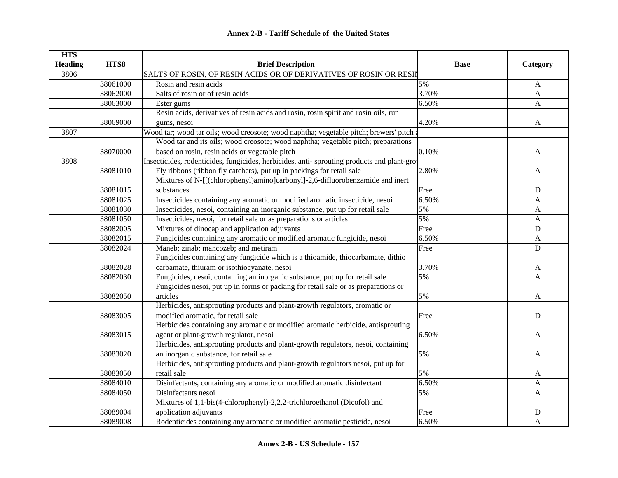| <b>HTS</b>     |          |                                                                                            |             |              |
|----------------|----------|--------------------------------------------------------------------------------------------|-------------|--------------|
| <b>Heading</b> | HTS8     | <b>Brief Description</b>                                                                   | <b>Base</b> | Category     |
| 3806           |          | SALTS OF ROSIN, OF RESIN ACIDS OR OF DERIVATIVES OF ROSIN OR RESIN                         |             |              |
|                | 38061000 | Rosin and resin acids                                                                      | 5%          | A            |
|                | 38062000 | Salts of rosin or of resin acids                                                           | 3.70%       | $\mathbf{A}$ |
|                | 38063000 | Ester gums                                                                                 | 6.50%       | A            |
|                |          | Resin acids, derivatives of resin acids and rosin, rosin spirit and rosin oils, run        |             |              |
|                | 38069000 | gums, nesoi                                                                                | 4.20%       | A            |
| 3807           |          | Wood tar; wood tar oils; wood creosote; wood naphtha; vegetable pitch; brewers' pitch a    |             |              |
|                |          | Wood tar and its oils; wood creosote; wood naphtha; vegetable pitch; preparations          |             |              |
|                | 38070000 | based on rosin, resin acids or vegetable pitch                                             | 0.10%       | A            |
| 3808           |          | Insecticides, rodenticides, fungicides, herbicides, anti-sprouting products and plant-grov |             |              |
|                | 38081010 | Fly ribbons (ribbon fly catchers), put up in packings for retail sale                      | 2.80%       | $\mathbf{A}$ |
|                |          | Mixtures of N-[[(chlorophenyl)amino]carbonyl]-2,6-difluorobenzamide and inert              |             |              |
|                | 38081015 | substances                                                                                 | Free        | ${\bf D}$    |
|                | 38081025 | Insecticides containing any aromatic or modified aromatic insecticide, nesoi               | 6.50%       | A            |
|                | 38081030 | Insecticides, nesoi, containing an inorganic substance, put up for retail sale             | 5%          | A            |
|                | 38081050 | Insecticides, nesoi, for retail sale or as preparations or articles                        | 5%          | A            |
|                | 38082005 | Mixtures of dinocap and application adjuvants                                              | Free        | $\mathbf D$  |
|                | 38082015 | Fungicides containing any aromatic or modified aromatic fungicide, nesoi                   | 6.50%       | $\mathbf{A}$ |
|                | 38082024 | Maneb; zinab; mancozeb; and metiram                                                        | Free        | $\mathbf D$  |
|                |          | Fungicides containing any fungicide which is a thioamide, thiocarbamate, dithio            |             |              |
|                | 38082028 | carbamate, thiuram or isothiocyanate, nesoi                                                | 3.70%       | A            |
|                | 38082030 | Fungicides, nesoi, containing an inorganic substance, put up for retail sale               | 5%          | A            |
|                |          | Fungicides nesoi, put up in forms or packing for retail sale or as preparations or         |             |              |
|                | 38082050 | articles                                                                                   | 5%          | A            |
|                |          | Herbicides, antisprouting products and plant-growth regulators, aromatic or                |             |              |
|                | 38083005 | modified aromatic, for retail sale                                                         | Free        | $\mathbf D$  |
|                |          | Herbicides containing any aromatic or modified aromatic herbicide, antisprouting           |             |              |
|                | 38083015 | agent or plant-growth regulator, nesoi                                                     | 6.50%       | A            |
|                |          | Herbicides, antisprouting products and plant-growth regulators, nesoi, containing          |             |              |
|                | 38083020 | an inorganic substance, for retail sale                                                    | 5%          | A            |
|                |          | Herbicides, antisprouting products and plant-growth regulators nesoi, put up for           |             |              |
|                | 38083050 | retail sale                                                                                | 5%          | A            |
|                | 38084010 | Disinfectants, containing any aromatic or modified aromatic disinfectant                   | 6.50%       | A            |
|                | 38084050 | Disinfectants nesoi                                                                        | 5%          | $\mathbf{A}$ |
|                |          | Mixtures of 1,1-bis(4-chlorophenyl)-2,2,2-trichloroethanol (Dicofol) and                   |             |              |
|                | 38089004 | application adjuvants                                                                      | Free        | ${\bf D}$    |
|                | 38089008 | Rodenticides containing any aromatic or modified aromatic pesticide, nesoi                 | 6.50%       | A            |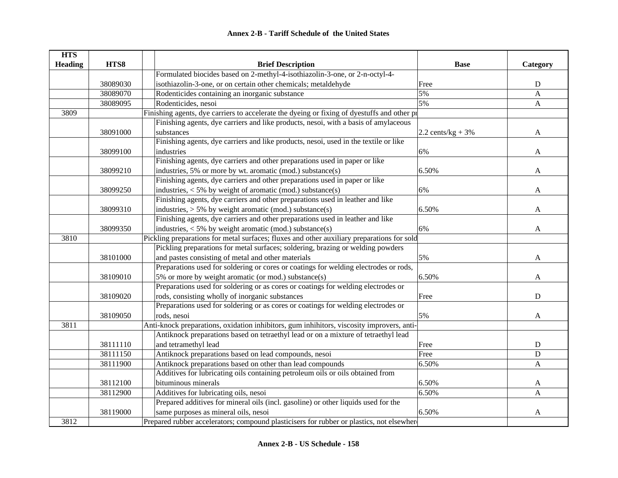| <b>HTS</b>     |          |                                                                                             |                      |              |
|----------------|----------|---------------------------------------------------------------------------------------------|----------------------|--------------|
| <b>Heading</b> | HTS8     | <b>Brief Description</b>                                                                    | <b>Base</b>          | Category     |
|                |          | Formulated biocides based on 2-methyl-4-isothiazolin-3-one, or 2-n-octyl-4-                 |                      |              |
|                | 38089030 | isothiazolin-3-one, or on certain other chemicals; metaldehyde                              | Free                 | $\mathbf D$  |
|                | 38089070 | Rodenticides containing an inorganic substance                                              | 5%                   | $\mathbf{A}$ |
|                | 38089095 | Rodenticides, nesoi                                                                         | 5%                   | $\mathbf{A}$ |
| 3809           |          | Finishing agents, dye carriers to accelerate the dyeing or fixing of dyestuffs and other pr |                      |              |
|                |          | Finishing agents, dye carriers and like products, nesoi, with a basis of amylaceous         |                      |              |
|                | 38091000 | substances                                                                                  | 2.2 cents/ $kg + 3%$ | A            |
|                |          | Finishing agents, dye carriers and like products, nesoi, used in the textile or like        |                      |              |
|                | 38099100 | industries                                                                                  | 6%                   | A            |
|                |          | Finishing agents, dye carriers and other preparations used in paper or like                 |                      |              |
|                | 38099210 | industries, 5% or more by wt. aromatic (mod.) substance(s)                                  | 6.50%                | A            |
|                |          | Finishing agents, dye carriers and other preparations used in paper or like                 |                      |              |
|                | 38099250 | industries, < 5% by weight of aromatic (mod.) substance(s)                                  | 6%                   | A            |
|                |          | Finishing agents, dye carriers and other preparations used in leather and like              |                      |              |
|                | 38099310 | industries, $> 5\%$ by weight aromatic (mod.) substance(s)                                  | 6.50%                | A            |
|                |          | Finishing agents, dye carriers and other preparations used in leather and like              |                      |              |
|                | 38099350 | industries, < 5% by weight aromatic (mod.) substance(s)                                     | 6%                   | A            |
| 3810           |          | Pickling preparations for metal surfaces; fluxes and other auxiliary preparations for sold  |                      |              |
|                |          | Pickling preparations for metal surfaces; soldering, brazing or welding powders             |                      |              |
|                | 38101000 | and pastes consisting of metal and other materials                                          | 5%                   | A            |
|                |          | Preparations used for soldering or cores or coatings for welding electrodes or rods,        |                      |              |
|                | 38109010 | 5% or more by weight aromatic (or mod.) substance(s)                                        | 6.50%                | A            |
|                |          | Preparations used for soldering or as cores or coatings for welding electrodes or           |                      |              |
|                | 38109020 | rods, consisting wholly of inorganic substances                                             | Free                 | D            |
|                |          | Preparations used for soldering or as cores or coatings for welding electrodes or           |                      |              |
|                | 38109050 | rods, nesoi                                                                                 | 5%                   | A            |
| 3811           |          | Anti-knock preparations, oxidation inhibitors, gum inhihitors, viscosity improvers, anti-   |                      |              |
|                |          | Antiknock preparations based on tetraethyl lead or on a mixture of tetraethyl lead          |                      |              |
|                | 38111110 | and tetramethyl lead                                                                        | Free                 | ${\bf D}$    |
|                | 38111150 | Antiknock preparations based on lead compounds, nesoi                                       | Free                 | ${\bf D}$    |
|                | 38111900 | Antiknock preparations based on other than lead compounds                                   | 6.50%                | $\mathbf{A}$ |
|                |          | Additives for lubricating oils containing petroleum oils or oils obtained from              |                      |              |
|                | 38112100 | bituminous minerals                                                                         | 6.50%                | A            |
|                | 38112900 | Additives for lubricating oils, nesoi                                                       | 6.50%                | $\mathbf{A}$ |
|                |          | Prepared additives for mineral oils (incl. gasoline) or other liquids used for the          |                      |              |
|                | 38119000 | same purposes as mineral oils, nesoi                                                        | 6.50%                | A            |
| 3812           |          | Prepared rubber accelerators; compound plasticisers for rubber or plastics, not elsewhere   |                      |              |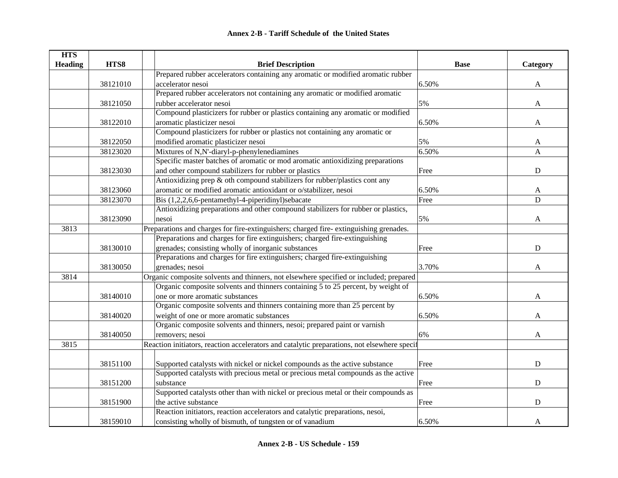| <b>HTS</b>     |          |                                                                                             |             |              |
|----------------|----------|---------------------------------------------------------------------------------------------|-------------|--------------|
| <b>Heading</b> | HTS8     | <b>Brief Description</b>                                                                    | <b>Base</b> | Category     |
|                |          | Prepared rubber accelerators containing any aromatic or modified aromatic rubber            |             |              |
|                | 38121010 | accelerator nesoi                                                                           | 6.50%       | A            |
|                |          | Prepared rubber accelerators not containing any aromatic or modified aromatic               |             |              |
|                | 38121050 | rubber accelerator nesoi                                                                    | 5%          | $\mathbf{A}$ |
|                |          | Compound plasticizers for rubber or plastics containing any aromatic or modified            |             |              |
|                | 38122010 | aromatic plasticizer nesoi                                                                  | 6.50%       | A            |
|                |          | Compound plasticizers for rubber or plastics not containing any aromatic or                 |             |              |
|                | 38122050 | modified aromatic plasticizer nesoi                                                         | 5%          | A            |
|                | 38123020 | Mixtures of N,N'-diaryl-p-phenylenediamines                                                 | 6.50%       | A            |
|                |          | Specific master batches of aromatic or mod aromatic antioxidizing preparations              |             |              |
|                | 38123030 | and other compound stabilizers for rubber or plastics                                       | Free        | $\mathbf D$  |
|                |          | Antioxidizing prep & oth compound stabilizers for rubber/plastics cont any                  |             |              |
|                | 38123060 | aromatic or modified aromatic antioxidant or o/stabilizer, nesoi                            | 6.50%       | A            |
|                | 38123070 | Bis (1,2,2,6,6-pentamethyl-4-piperidinyl)sebacate                                           | Free        | $\mathbf D$  |
|                |          | Antioxidizing preparations and other compound stabilizers for rubber or plastics,           |             |              |
|                | 38123090 | nesoi                                                                                       | 5%          | A            |
| 3813           |          | Preparations and charges for fire-extinguishers; charged fire-extinguishing grenades.       |             |              |
|                |          | Preparations and charges for fire extinguishers; charged fire-extinguishing                 |             |              |
|                | 38130010 | grenades; consisting wholly of inorganic substances                                         | Free        | D            |
|                |          | Preparations and charges for fire extinguishers; charged fire-extinguishing                 |             |              |
|                | 38130050 | grenades; nesoi                                                                             | 3.70%       | A            |
| 3814           |          | Organic composite solvents and thinners, not elsewhere specified or included; prepared      |             |              |
|                |          | Organic composite solvents and thinners containing 5 to 25 percent, by weight of            |             |              |
|                | 38140010 | one or more aromatic substances                                                             | 6.50%       | A            |
|                |          | Organic composite solvents and thinners containing more than 25 percent by                  |             |              |
|                | 38140020 | weight of one or more aromatic substances                                                   | 6.50%       | A            |
|                |          | Organic composite solvents and thinners, nesoi; prepared paint or varnish                   |             |              |
|                | 38140050 | removers; nesoi                                                                             | 6%          | A            |
| 3815           |          | Reaction initiators, reaction accelerators and catalytic preparations, not elsewhere specif |             |              |
|                |          |                                                                                             |             |              |
|                | 38151100 | Supported catalysts with nickel or nickel compounds as the active substance                 | Free        | ${\bf D}$    |
|                |          | Supported catalysts with precious metal or precious metal compounds as the active           |             |              |
|                | 38151200 | substance                                                                                   | Free        | ${\bf D}$    |
|                |          | Supported catalysts other than with nickel or precious metal or their compounds as          |             |              |
|                | 38151900 | the active substance                                                                        | Free        | ${\bf D}$    |
|                |          | Reaction initiators, reaction accelerators and catalytic preparations, nesoi,               |             |              |
|                | 38159010 | consisting wholly of bismuth, of tungsten or of vanadium                                    | 6.50%       | A            |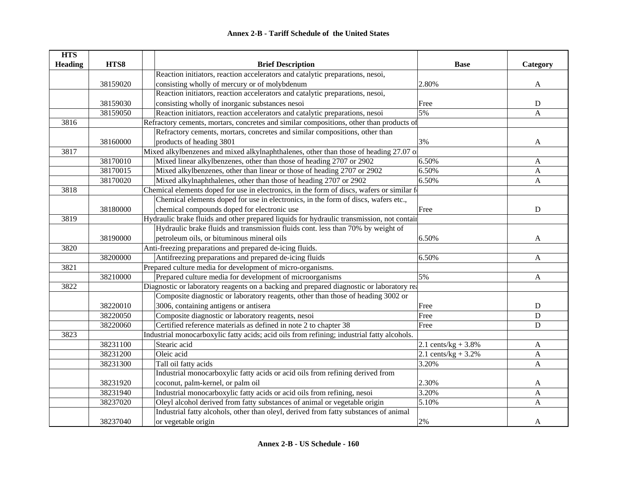| <b>HTS</b>     |          |                                                                                            |                        |                           |
|----------------|----------|--------------------------------------------------------------------------------------------|------------------------|---------------------------|
| <b>Heading</b> | HTS8     | <b>Brief Description</b>                                                                   | <b>Base</b>            | Category                  |
|                |          | Reaction initiators, reaction accelerators and catalytic preparations, nesoi,              |                        |                           |
|                | 38159020 | consisting wholly of mercury or of molybdenum                                              | 2.80%                  | A                         |
|                |          | Reaction initiators, reaction accelerators and catalytic preparations, nesoi,              |                        |                           |
|                | 38159030 | consisting wholly of inorganic substances nesoi                                            | Free                   | D                         |
|                | 38159050 | Reaction initiators, reaction accelerators and catalytic preparations, nesoi               | 5%                     | A                         |
| 3816           |          | Refractory cements, mortars, concretes and similar compositions, other than products of    |                        |                           |
|                |          | Refractory cements, mortars, concretes and similar compositions, other than                |                        |                           |
|                | 38160000 | products of heading 3801                                                                   | 3%                     | A                         |
| 3817           |          | Mixed alkylbenzenes and mixed alkylnaphthalenes, other than those of heading 27.07 of      |                        |                           |
|                | 38170010 | Mixed linear alkylbenzenes, other than those of heading 2707 or 2902                       | 6.50%                  | A                         |
|                | 38170015 | Mixed alkylbenzenes, other than linear or those of heading 2707 or 2902                    | 6.50%                  | A                         |
|                | 38170020 | Mixed alkylnaphthalenes, other than those of heading 2707 or 2902                          | 6.50%                  | $\boldsymbol{\mathsf{A}}$ |
| 3818           |          | Chemical elements doped for use in electronics, in the form of discs, wafers or similar f  |                        |                           |
|                |          | Chemical elements doped for use in electronics, in the form of discs, wafers etc.,         |                        |                           |
|                | 38180000 | chemical compounds doped for electronic use                                                | Free                   | D                         |
| 3819           |          | Hydraulic brake fluids and other prepared liquids for hydraulic transmission, not contain  |                        |                           |
|                |          | Hydraulic brake fluids and transmission fluids cont. less than 70% by weight of            |                        |                           |
|                | 38190000 | petroleum oils, or bituminous mineral oils                                                 | 6.50%                  | A                         |
| 3820           |          | Anti-freezing preparations and prepared de-icing fluids.                                   |                        |                           |
|                | 38200000 | Antifreezing preparations and prepared de-icing fluids                                     | 6.50%                  | A                         |
| 3821           |          | Prepared culture media for development of micro-organisms.                                 |                        |                           |
|                | 38210000 | Prepared culture media for development of microorganisms                                   | 5%                     | $\boldsymbol{\mathsf{A}}$ |
| 3822           |          | Diagnostic or laboratory reagents on a backing and prepared diagnostic or laboratory rea   |                        |                           |
|                |          | Composite diagnostic or laboratory reagents, other than those of heading 3002 or           |                        |                           |
|                | 38220010 | 3006, containing antigens or antisera                                                      | Free                   | ${\rm D}$                 |
|                | 38220050 | Composite diagnostic or laboratory reagents, nesoi                                         | Free                   | $\mathbf D$               |
|                | 38220060 | Certified reference materials as defined in note 2 to chapter 38                           | Free                   | D                         |
| 3823           |          | Industrial monocarboxylic fatty acids; acid oils from refining; industrial fatty alcohols. |                        |                           |
|                | 38231100 | Stearic acid                                                                               | 2.1 cents/ $kg + 3.8%$ | A                         |
|                | 38231200 | Oleic acid                                                                                 | 2.1 cents/kg + $3.2%$  | $\mathbf{A}$              |
|                | 38231300 | Tall oil fatty acids                                                                       | 3.20%                  | A                         |
|                |          | Industrial monocarboxylic fatty acids or acid oils from refining derived from              |                        |                           |
|                | 38231920 | coconut, palm-kernel, or palm oil                                                          | 2.30%                  | A                         |
|                | 38231940 | Industrial monocarboxylic fatty acids or acid oils from refining, nesoi                    | 3.20%                  | A                         |
|                | 38237020 | Oleyl alcohol derived from fatty substances of animal or vegetable origin                  | 5.10%                  | A                         |
|                |          | Industrial fatty alcohols, other than oleyl, derived from fatty substances of animal       |                        |                           |
|                | 38237040 | or vegetable origin                                                                        | $2\%$                  | A                         |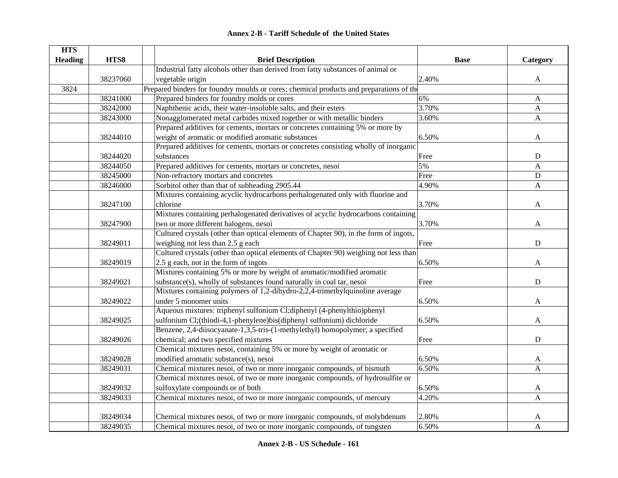| <b>Annex 2-B - Tariff Schedule of the United States</b> |  |
|---------------------------------------------------------|--|
|---------------------------------------------------------|--|

| <b>HTS</b>     |          |                                                                                         |             |                  |
|----------------|----------|-----------------------------------------------------------------------------------------|-------------|------------------|
| <b>Heading</b> | HTS8     | <b>Brief Description</b>                                                                | <b>Base</b> | Category         |
|                |          | Industrial fatty alcohols other than derived from fatty substances of animal or         |             |                  |
|                | 38237060 | vegetable origin                                                                        | 2.40%       | A                |
| 3824           |          | Prepared binders for foundry moulds or cores; chemical products and preparations of the |             |                  |
|                | 38241000 | Prepared binders for foundry molds or cores                                             | 6%          | $\mathbf{A}$     |
|                | 38242000 | Naphthenic acids, their water-insoluble salts, and their esters                         | 3.70%       | $\mathbf{A}$     |
|                | 38243000 | Nonagglomerated metal carbides mixed together or with metallic binders                  | 3.60%       | $\mathbf{A}$     |
|                |          | Prepared additives for cements, mortars or concretes containing 5% or more by           |             |                  |
|                | 38244010 | weight of aromatic or modified aromatic substances                                      | 6.50%       | A                |
|                |          | Prepared additives for cements, mortars or concretes consisting wholly of inorganic     |             |                  |
|                | 38244020 | substances                                                                              | Free        | D                |
|                | 38244050 | Prepared additives for cements, mortars or concretes, nesoi                             | 5%          | $\boldsymbol{A}$ |
|                | 38245000 | Non-refractory mortars and concretes                                                    | Free        | ${\bf D}$        |
|                | 38246000 | Sorbitol other than that of subheading 2905.44                                          | 4.90%       | $\mathbf{A}$     |
|                |          | Mixtures containing acyclic hydrocarbons perhalogenated only with fluorine and          |             |                  |
|                | 38247100 | chlorine                                                                                | 3.70%       | A                |
|                |          | Mixtures containing perhalogenated derivatives of acyclic hydrocarbons containing       |             |                  |
|                | 38247900 | two or more different halogens, nesoi                                                   | 3.70%       | A                |
|                |          | Cultured crystals (other than optical elements of Chapter 90), in the form of ingots,   |             |                  |
|                | 38249011 | weighing not less than 2.5 g each                                                       | Free        | ${\bf D}$        |
|                |          | Cultured crystals (other than optical elements of Chapter 90) weighing not less than    |             |                  |
|                | 38249019 | 2.5 g each, not in the form of ingots                                                   | 6.50%       | A                |
|                |          | Mixtures containing 5% or more by weight of aromatic/modified aromatic                  |             |                  |
|                | 38249021 | substance(s), wholly of substances found naturally in coal tar, nesoi                   | Free        | ${\bf D}$        |
|                |          | Mixtures containing polymers of 1,2-dihydro-2,2,4-trimethylquinoline average            |             |                  |
|                | 38249022 | under 5 monomer units                                                                   | 6.50%       | A                |
|                |          | Aqueous mixtures: triphenyl sulfonium Cl;diphenyl (4-phenylthio)phenyl                  |             |                  |
|                | 38249025 | sulfonium Cl;(thiodi-4,1-phenylene)bis(diphenyl sulfonium) dichloride                   | 6.50%       | A                |
|                |          | Benzene, 2,4-diisocyanate-1,3,5-tris-(1-methylethyl) homopolymer; a specified           |             |                  |
|                | 38249026 | chemical; and two specified mixtures                                                    | Free        | $\mathbf D$      |
|                |          | Chemical mixtures nesoi, containing 5% or more by weight of aromatic or                 |             |                  |
|                | 38249028 | modified aromatic substance(s), nesoi                                                   | 6.50%       | A                |
|                | 38249031 | Chemical mixtures nesoi, of two or more inorganic compounds, of bismuth                 | 6.50%       | $\overline{A}$   |
|                |          | Chemical mixtures nesoi, of two or more inorganic compounds, of hydrosulfite or         |             |                  |
|                | 38249032 | sulfoxylate compounds or of both                                                        | 6.50%       | A                |
|                | 38249033 | Chemical mixtures nesoi, of two or more inorganic compounds, of mercury                 | 4.20%       | A                |
|                |          |                                                                                         |             |                  |
|                | 38249034 | Chemical mixtures nesoi, of two or more inorganic compounds, of molybdenum              | 2.80%       | A                |
|                | 38249035 | Chemical mixtures nesoi, of two or more inorganic compounds, of tungsten                | 6.50%       | A                |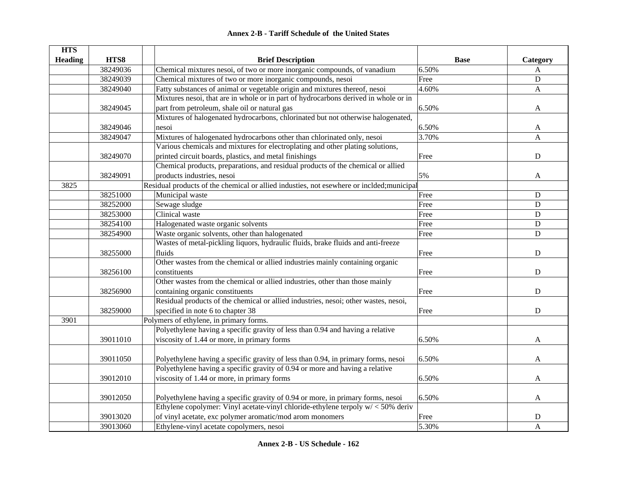|  | <b>Annex 2-B - Tariff Schedule of the United States</b> |  |
|--|---------------------------------------------------------|--|
|--|---------------------------------------------------------|--|

| <b>HTS</b>     |          |                                                                                           |             |             |
|----------------|----------|-------------------------------------------------------------------------------------------|-------------|-------------|
| <b>Heading</b> | HTS8     | <b>Brief Description</b>                                                                  | <b>Base</b> | Category    |
|                | 38249036 | Chemical mixtures nesoi, of two or more inorganic compounds, of vanadium                  | 6.50%       | A           |
|                | 38249039 | Chemical mixtures of two or more inorganic compounds, nesoi                               | Free        | $\mathbf D$ |
|                | 38249040 | Fatty substances of animal or vegetable origin and mixtures thereof, nesoi                | 4.60%       | A           |
|                |          | Mixtures nesoi, that are in whole or in part of hydrocarbons derived in whole or in       |             |             |
|                | 38249045 | part from petroleum, shale oil or natural gas                                             | 6.50%       | A           |
|                |          | Mixtures of halogenated hydrocarbons, chlorinated but not otherwise halogenated,          |             |             |
|                | 38249046 | nesoi                                                                                     | 6.50%       | A           |
|                | 38249047 | Mixtures of halogenated hydrocarbons other than chlorinated only, nesoi                   | 3.70%       | A           |
|                |          | Various chemicals and mixtures for electroplating and other plating solutions,            |             |             |
|                | 38249070 | printed circuit boards, plastics, and metal finishings                                    | Free        | D           |
|                |          | Chemical products, preparations, and residual products of the chemical or allied          |             |             |
|                | 38249091 | products industries, nesoi                                                                | 5%          | A           |
| 3825           |          | Residual products of the chemical or allied industies, not esewhere or inclded; municipal |             |             |
|                | 38251000 | Municipal waste                                                                           | Free        | ${\bf D}$   |
|                | 38252000 | Sewage sludge                                                                             | Free        | ${\bf D}$   |
|                | 38253000 | Clinical waste                                                                            | Free        | $\mathbf D$ |
|                | 38254100 | Halogenated waste organic solvents                                                        | Free        | $\mathbf D$ |
|                | 38254900 | Waste organic solvents, other than halogenated                                            | Free        | $\mathbf D$ |
|                |          | Wastes of metal-pickling liquors, hydraulic fluids, brake fluids and anti-freeze          |             |             |
|                | 38255000 | fluids                                                                                    | Free        | ${\bf D}$   |
|                |          | Other wastes from the chemical or allied industries mainly containing organic             |             |             |
|                | 38256100 | constituents                                                                              | Free        | ${\bf D}$   |
|                |          | Other wastes from the chemical or allied industries, other than those mainly              |             |             |
|                | 38256900 | containing organic constituents                                                           | Free        | ${\bf D}$   |
|                |          | Residual products of the chemical or allied industries, nesoi; other wastes, nesoi,       |             |             |
|                | 38259000 | specified in note 6 to chapter 38                                                         | Free        | $\mathbf D$ |
| 3901           |          | Polymers of ethylene, in primary forms.                                                   |             |             |
|                |          | Polyethylene having a specific gravity of less than 0.94 and having a relative            |             |             |
|                | 39011010 | viscosity of 1.44 or more, in primary forms                                               | 6.50%       | A           |
|                |          |                                                                                           |             |             |
|                | 39011050 | Polyethylene having a specific gravity of less than 0.94, in primary forms, nesoi         | 6.50%       | A           |
|                |          | Polyethylene having a specific gravity of 0.94 or more and having a relative              |             |             |
|                | 39012010 | viscosity of 1.44 or more, in primary forms                                               | 6.50%       | A           |
|                |          |                                                                                           |             |             |
|                | 39012050 | Polyethylene having a specific gravity of 0.94 or more, in primary forms, nesoi           | 6.50%       | A           |
|                |          | Ethylene copolymer: Vinyl acetate-vinyl chloride-ethylene terpoly $w$ / < 50% deriv       |             |             |
|                | 39013020 | of vinyl acetate, exc polymer aromatic/mod arom monomers                                  | Free        | D           |
|                | 39013060 | Ethylene-vinyl acetate copolymers, nesoi                                                  | 5.30%       | A           |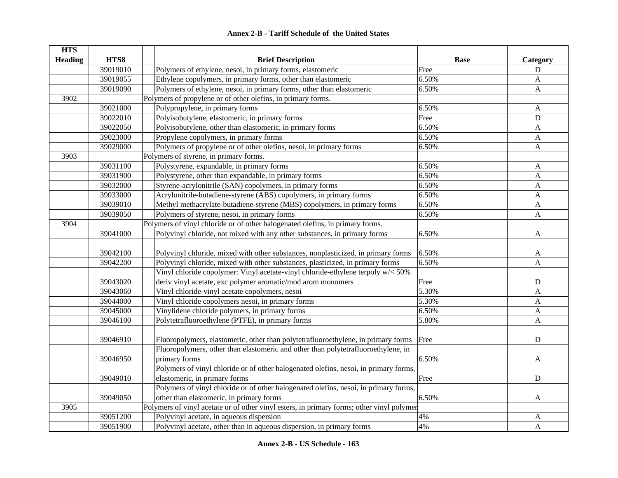| <b>HTS</b>     |          |                                                                                           |             |              |
|----------------|----------|-------------------------------------------------------------------------------------------|-------------|--------------|
| <b>Heading</b> | HTS8     | <b>Brief Description</b>                                                                  | <b>Base</b> | Category     |
|                | 39019010 | Polymers of ethylene, nesoi, in primary forms, elastomeric                                | Free        | D            |
|                | 39019055 | Ethylene copolymers, in primary forms, other than elastomeric                             | 6.50%       | A            |
|                | 39019090 | Polymers of ethylene, nesoi, in primary forms, other than elastomeric                     | 6.50%       | $\mathbf{A}$ |
| 3902           |          | Polymers of propylene or of other olefins, in primary forms.                              |             |              |
|                | 39021000 | Polypropylene, in primary forms                                                           | 6.50%       | $\mathbf{A}$ |
|                | 39022010 | Polyisobutylene, elastomeric, in primary forms                                            | Free        | ${\bf D}$    |
|                | 39022050 | Polyisobutylene, other than elastomeric, in primary forms                                 | 6.50%       | A            |
|                | 39023000 | Propylene copolymers, in primary forms                                                    | 6.50%       | A            |
|                | 39029000 | Polymers of propylene or of other olefins, nesoi, in primary forms                        | 6.50%       | $\mathbf{A}$ |
| 3903           |          | Polymers of styrene, in primary forms.                                                    |             |              |
|                | 39031100 | Polystyrene, expandable, in primary forms                                                 | 6.50%       | A            |
|                | 39031900 | Polystyrene, other than expandable, in primary forms                                      | 6.50%       | $\mathbf{A}$ |
|                | 39032000 | Styrene-acrylonitrile (SAN) copolymers, in primary forms                                  | 6.50%       | $\mathbf{A}$ |
|                | 39033000 | Acrylonitrile-butadiene-styrene (ABS) copolymers, in primary forms                        | 6.50%       | $\mathbf{A}$ |
|                | 39039010 | Methyl methacrylate-butadiene-styrene (MBS) copolymers, in primary forms                  | 6.50%       | $\mathbf{A}$ |
|                | 39039050 | Polymers of styrene, nesoi, in primary forms                                              | 6.50%       | $\mathbf{A}$ |
| 3904           |          | Polymers of vinyl chloride or of other halogenated olefins, in primary forms.             |             |              |
|                | 39041000 | Polyvinyl chloride, not mixed with any other substances, in primary forms                 | 6.50%       | $\mathbf{A}$ |
|                |          |                                                                                           |             |              |
|                | 39042100 | Polyvinyl chloride, mixed with other substances, nonplasticized, in primary forms         | 6.50%       | A            |
|                | 39042200 | Polyvinyl chloride, mixed with other substances, plasticized, in primary forms            | 6.50%       | A            |
|                |          | Vinyl chloride copolymer: Vinyl acetate-vinyl chloride-ethylene terpoly w/< 50%           |             |              |
|                | 39043020 | deriv vinyl acetate, exc polymer aromatic/mod arom monomers                               | Free        | ${\bf D}$    |
|                | 39043060 | Vinyl chloride-vinyl acetate copolymers, nesoi                                            | 5.30%       | A            |
|                | 39044000 | Vinyl chloride copolymers nesoi, in primary forms                                         | 5.30%       | A            |
|                | 39045000 | Vinylidene chloride polymers, in primary forms                                            | 6.50%       | A            |
|                | 39046100 | Polytetrafluoroethylene (PTFE), in primary forms                                          | 5.80%       | $\mathbf{A}$ |
|                |          |                                                                                           |             |              |
|                | 39046910 | Fluoropolymers, elastomeric, other than polytetrafluoroethylene, in primary forms         | Free        | $\mathbf D$  |
|                |          | Fluoropolymers, other than elastomeric and other than polytetrafluoroethylene, in         |             |              |
|                | 39046950 | primary forms                                                                             | 6.50%       | A            |
|                |          | Polymers of vinyl chloride or of other halogenated olefins, nesoi, in primary forms,      |             |              |
|                | 39049010 | elastomeric, in primary forms                                                             | Free        | ${\bf D}$    |
|                |          | Polymers of vinyl chloride or of other halogenated olefins, nesoi, in primary forms,      |             |              |
|                | 39049050 | other than elastomeric, in primary forms                                                  | 6.50%       | A            |
| 3905           |          | Polymers of vinyl acetate or of other vinyl esters, in primary forms; other vinyl polymer |             |              |
|                | 39051200 | Polyvinyl acetate, in aqueous dispersion                                                  | 4%          | A            |
|                | 39051900 | Polyvinyl acetate, other than in aqueous dispersion, in primary forms                     | 4%          | A            |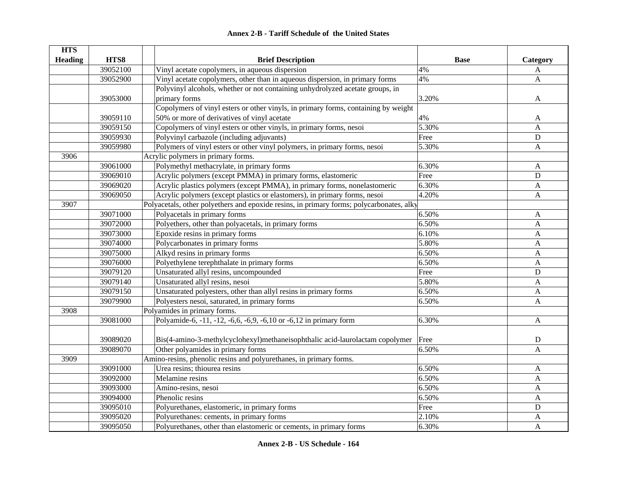## **HTS Heading HTS8 Brief Description Base Category** 39052100 Vinyl acetate copolymers, in aqueous dispersion 4% 4% 39052900 Vinyl acetate copolymers, other than in aqueous dispersion, in primary forms 4% 4% 39053000Polyvinyl alcohols, whether or not containing unhydrolyzed acetate groups, in primary forms and the set of the set of the set of the set of the set of the set of the set of the set of the set of the set of the set of the set of the set of the set of the set of the set of the set of the set of the se 39059110Copolymers of vinyl esters or other vinyls, in primary forms, containing by weight 50% or more of derivatives of vinyl acetate  $4\%$  A 39059150 Copolymers of vinyl esters or other vinyls, in primary forms, nesoi 5.30% A 39059930 Polyvinyl carbazole (including adjuvants) Free D 39059980 Polymers of vinyl esters or other vinyl polymers, in primary forms, nesoi 5.30% A 3906Acrylic polymers in primary forms. 39061000 Polymethyl methacrylate, in primary forms 6.30% A 39069010 Acrylic polymers (except PMMA) in primary forms, elastomeric Free D 39069020 Acrylic plastics polymers (except PMMA), in primary forms, nonelastomeric 6.30% A 39069050 Acrylic polymers (except plastics or elastomers), in primary forms, nesoi 4.20% A 3907Polyacetals, other polyethers and epoxide resins, in primary forms; polycarbonates, alky 39071000 Polyacetals in primary forms 6.50% A 39072000 Polyethers, other than polyacetals, in primary forms 6.50% 6.50% A 39073000 Epoxide resins in primary forms 6.10% A 39074000 Polycarbonates in primary forms 5.80% A 39075000 Alkyd resins in primary forms 6.50% A 39076000 Polyethylene terephthalate in primary forms 6.50% 6.50% A 39079120 Unsaturated allyl resins, uncompounded Free D 39079140 Unsaturated allyl resins, nesoi 5.80% A 39079150 Unsaturated polyesters, other than allyl resins in primary forms 6.50% A 39079900 Polyesters nesoi, saturated, in primary forms 6.50% 6.50% A 3908Polyamides in primary forms. 39081000 Polyamide-6, -11, -12, -6,6, -6,9, -6,10 or -6,12 in primary form 6.30% A 39089020 Bis(4-amino-3-methylcyclohexyl)methaneisophthalic acid-laurolactam copolymer Free D 39089070 Other polyamides in primary forms 6.50% A 3909Amino-resins, phenolic resins and polyurethanes, in primary forms. 39091000 Urea resins; thiourea resins 6.50% A 39092000 Melamine resins 6.50% A39093000 Amino-resins, nesoi 6.50% A 39094000 Phenolic resins A 39095010 Polyurethanes, elastomeric, in primary forms Free D 39095020 Polyurethanes: cements, in primary forms 2.10% A 39095050 Polyurethanes, other than elastomeric or cements, in primary forms 6.30% 6.30% A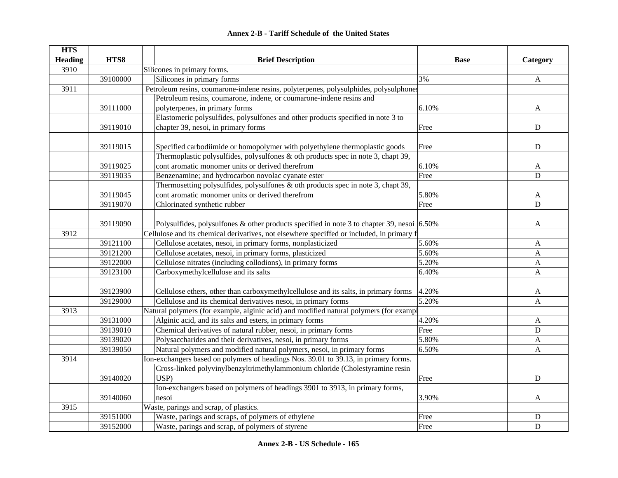| <b>HTS</b>     |          |                                                                                                 |             |                  |
|----------------|----------|-------------------------------------------------------------------------------------------------|-------------|------------------|
| <b>Heading</b> | HTS8     | <b>Brief Description</b>                                                                        | <b>Base</b> | Category         |
| 3910           |          | Silicones in primary forms.                                                                     |             |                  |
|                | 39100000 | Silicones in primary forms                                                                      | 3%          | $\mathbf{A}$     |
| 3911           |          | Petroleum resins, coumarone-indene resins, polyterpenes, polysulphides, polysulphones           |             |                  |
|                |          | Petroleum resins, coumarone, indene, or coumarone-indene resins and                             |             |                  |
|                | 39111000 | polyterpenes, in primary forms                                                                  | 6.10%       | A                |
|                |          | Elastomeric polysulfides, polysulfones and other products specified in note 3 to                |             |                  |
|                | 39119010 | chapter 39, nesoi, in primary forms                                                             | Free        | D                |
|                |          |                                                                                                 |             |                  |
|                | 39119015 | Specified carbodiimide or homopolymer with polyethylene thermoplastic goods                     | Free        | D                |
|                |          | Thermoplastic polysulfides, polysulfones & oth products spec in note 3, chapt 39,               |             |                  |
|                | 39119025 | cont aromatic monomer units or derived therefrom                                                | 6.10%       | A                |
|                | 39119035 | Benzenamine; and hydrocarbon novolac cyanate ester                                              | Free        | D                |
|                |          | Thermosetting polysulfides, polysulfones $\&$ oth products spec in note 3, chapt 39,            |             |                  |
|                | 39119045 | cont aromatic monomer units or derived therefrom                                                | 5.80%       | A                |
|                | 39119070 | Chlorinated synthetic rubber                                                                    | Free        | D                |
|                |          |                                                                                                 |             |                  |
|                | 39119090 | Polysulfides, polysulfones & other products specified in note 3 to chapter 39, nesoi $ 6.50\% $ |             | A                |
| 3912           |          | Cellulose and its chemical derivatives, not elsewhere speciffed or included, in primary f       |             |                  |
|                | 39121100 | Cellulose acetates, nesoi, in primary forms, nonplasticized                                     | 5.60%       | A                |
|                | 39121200 | Cellulose acetates, nesoi, in primary forms, plasticized                                        | 5.60%       | A                |
|                | 39122000 | Cellulose nitrates (including collodions), in primary forms                                     | 5.20%       | $\boldsymbol{A}$ |
|                | 39123100 | Carboxymethylcellulose and its salts                                                            | 6.40%       | $\mathbf{A}$     |
|                |          |                                                                                                 |             |                  |
|                | 39123900 | Cellulose ethers, other than carboxymethylcellulose and its salts, in primary forms             | 4.20%       | A                |
|                | 39129000 | Cellulose and its chemical derivatives nesoi, in primary forms                                  | 5.20%       | $\mathbf{A}$     |
| 3913           |          | Natural polymers (for example, alginic acid) and modified natural polymers (for example         |             |                  |
|                | 39131000 | Alginic acid, and its salts and esters, in primary forms                                        | 4.20%       | A                |
|                | 39139010 | Chemical derivatives of natural rubber, nesoi, in primary forms                                 | Free        | D                |
|                | 39139020 | Polysaccharides and their derivatives, nesoi, in primary forms                                  | 5.80%       | A                |
|                | 39139050 | Natural polymers and modified natural polymers, nesoi, in primary forms                         | 6.50%       | A                |
| 3914           |          | Ion-exchangers based on polymers of headings Nos. 39.01 to 39.13, in primary forms.             |             |                  |
|                |          | Cross-linked polyvinylbenzyltrimethylammonium chloride (Cholestyramine resin                    |             |                  |
|                | 39140020 | USP)                                                                                            | Free        | D                |
|                |          | Ion-exchangers based on polymers of headings 3901 to 3913, in primary forms,                    |             |                  |
|                | 39140060 | nesoi                                                                                           | 3.90%       | A                |
| 3915           |          | Waste, parings and scrap, of plastics.                                                          |             |                  |
|                | 39151000 | Waste, parings and scraps, of polymers of ethylene                                              | Free        | D                |
|                | 39152000 | Waste, parings and scrap, of polymers of styrene                                                | Free        | D                |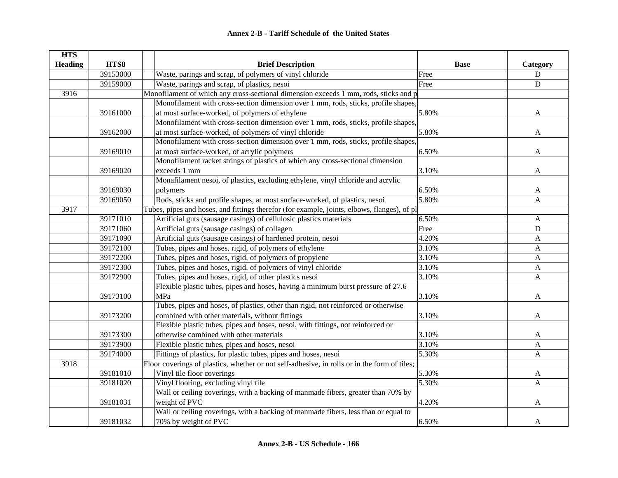| <b>HTS</b>     |          |                                                                                              |             |                           |
|----------------|----------|----------------------------------------------------------------------------------------------|-------------|---------------------------|
| <b>Heading</b> | HTS8     | <b>Brief Description</b>                                                                     | <b>Base</b> | Category                  |
|                | 39153000 | Waste, parings and scrap, of polymers of vinyl chloride                                      | Free        | D                         |
|                | 39159000 | Waste, parings and scrap, of plastics, nesoi                                                 | Free        | $\mathbf{D}$              |
| 3916           |          | Monofilament of which any cross-sectional dimension exceeds 1 mm, rods, sticks and p         |             |                           |
|                |          | Monofilament with cross-section dimension over 1 mm, rods, sticks, profile shapes,           |             |                           |
|                | 39161000 | at most surface-worked, of polymers of ethylene                                              | 5.80%       | A                         |
|                |          | Monofilament with cross-section dimension over 1 mm, rods, sticks, profile shapes,           |             |                           |
|                | 39162000 | at most surface-worked, of polymers of vinyl chloride                                        | 5.80%       | $\mathbf{A}$              |
|                |          | Monofilament with cross-section dimension over 1 mm, rods, sticks, profile shapes,           |             |                           |
|                | 39169010 | at most surface-worked, of acrylic polymers                                                  | 6.50%       | A                         |
|                |          | Monofilament racket strings of plastics of which any cross-sectional dimension               |             |                           |
|                | 39169020 | exceeds 1 mm                                                                                 | 3.10%       | $\mathbf{A}$              |
|                |          | Monafilament nesoi, of plastics, excluding ethylene, vinyl chloride and acrylic              |             |                           |
|                | 39169030 | polymers                                                                                     | 6.50%       | A                         |
|                | 39169050 | Rods, sticks and profile shapes, at most surface-worked, of plastics, nesoi                  | 5.80%       | A                         |
| 3917           |          | Tubes, pipes and hoses, and fittings therefor (for example, joints, elbows, flanges), of pl  |             |                           |
|                | 39171010 | Artificial guts (sausage casings) of cellulosic plastics materials                           | 6.50%       | A                         |
|                | 39171060 | Artificial guts (sausage casings) of collagen                                                | Free        | D                         |
|                | 39171090 | Artificial guts (sausage casings) of hardened protein, nesoi                                 | 4.20%       | $\mathbf{A}$              |
|                | 39172100 | Tubes, pipes and hoses, rigid, of polymers of ethylene                                       | 3.10%       | $\boldsymbol{\mathsf{A}}$ |
|                | 39172200 | Tubes, pipes and hoses, rigid, of polymers of propylene                                      | 3.10%       | $\boldsymbol{\mathsf{A}}$ |
|                | 39172300 | Tubes, pipes and hoses, rigid, of polymers of vinyl chloride                                 | 3.10%       | A                         |
|                | 39172900 | Tubes, pipes and hoses, rigid, of other plastics nesoi                                       | 3.10%       | $\mathbf{A}$              |
|                |          | Flexible plastic tubes, pipes and hoses, having a minimum burst pressure of 27.6             |             |                           |
|                | 39173100 | MPa                                                                                          | 3.10%       | A                         |
|                |          | Tubes, pipes and hoses, of plastics, other than rigid, not reinforced or otherwise           |             |                           |
|                | 39173200 | combined with other materials, without fittings                                              | 3.10%       | A                         |
|                |          | Flexible plastic tubes, pipes and hoses, nesoi, with fittings, not reinforced or             |             |                           |
|                | 39173300 | otherwise combined with other materials                                                      | 3.10%       | A                         |
|                | 39173900 | Flexible plastic tubes, pipes and hoses, nesoi                                               | 3.10%       | A                         |
|                | 39174000 | Fittings of plastics, for plastic tubes, pipes and hoses, nesoi                              | 5.30%       | $\mathbf{A}$              |
| 3918           |          | Floor coverings of plastics, whether or not self-adhesive, in rolls or in the form of tiles; |             |                           |
|                | 39181010 | Vinyl tile floor coverings                                                                   | 5.30%       | $\mathbf{A}$              |
|                | 39181020 | Vinyl flooring, excluding vinyl tile                                                         | 5.30%       | A                         |
|                |          | Wall or ceiling coverings, with a backing of manmade fibers, greater than 70% by             |             |                           |
|                | 39181031 | weight of PVC                                                                                | 4.20%       | A                         |
|                |          | Wall or ceiling coverings, with a backing of manmade fibers, less than or equal to           |             |                           |
|                | 39181032 | 70% by weight of PVC                                                                         | 6.50%       | A                         |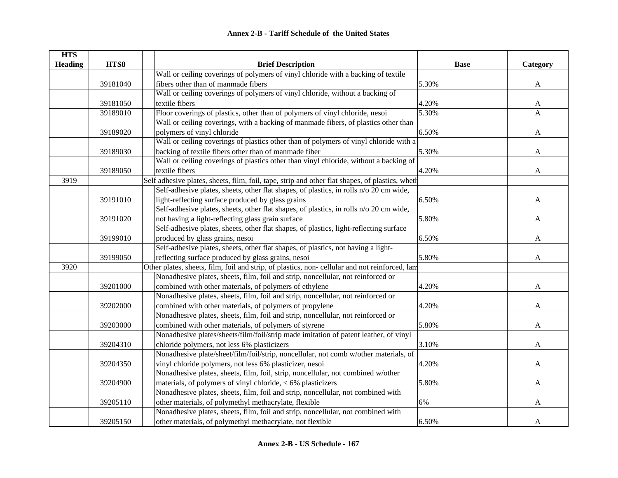| <b>HTS</b>     |          |                                                                                                 |             |              |
|----------------|----------|-------------------------------------------------------------------------------------------------|-------------|--------------|
| <b>Heading</b> | HTS8     | <b>Brief Description</b>                                                                        | <b>Base</b> | Category     |
|                |          | Wall or ceiling coverings of polymers of vinyl chloride with a backing of textile               |             |              |
|                | 39181040 | fibers other than of manmade fibers                                                             | 5.30%       | A            |
|                |          | Wall or ceiling coverings of polymers of vinyl chloride, without a backing of                   |             |              |
|                | 39181050 | textile fibers                                                                                  | 4.20%       | A            |
|                | 39189010 | Floor coverings of plastics, other than of polymers of vinyl chloride, nesoi                    | 5.30%       | A            |
|                |          | Wall or ceiling coverings, with a backing of manmade fibers, of plastics other than             |             |              |
|                | 39189020 | polymers of vinyl chloride                                                                      | 6.50%       | A            |
|                |          | Wall or ceiling coverings of plastics other than of polymers of vinyl chloride with a           |             |              |
|                | 39189030 | backing of textile fibers other than of manmade fiber                                           | 5.30%       | $\mathbf{A}$ |
|                |          | Wall or ceiling coverings of plastics other than vinyl chloride, without a backing of           |             |              |
|                | 39189050 | textile fibers                                                                                  | 4.20%       | A            |
| 3919           |          | Self adhesive plates, sheets, film, foil, tape, strip and other flat shapes, of plastics, wheth |             |              |
|                |          | Self-adhesive plates, sheets, other flat shapes, of plastics, in rolls n/o 20 cm wide,          |             |              |
|                | 39191010 | light-reflecting surface produced by glass grains                                               | 6.50%       | A            |
|                |          | Self-adhesive plates, sheets, other flat shapes, of plastics, in rolls n/o 20 cm wide,          |             |              |
|                | 39191020 | not having a light-reflecting glass grain surface                                               | 5.80%       | A            |
|                |          | Self-adhesive plates, sheets, other flat shapes, of plastics, light-reflecting surface          |             |              |
|                | 39199010 | produced by glass grains, nesoi                                                                 | 6.50%       | A            |
|                |          | Self-adhesive plates, sheets, other flat shapes, of plastics, not having a light-               |             |              |
|                | 39199050 | reflecting surface produced by glass grains, nesoi                                              | 5.80%       | A            |
| 3920           |          | Other plates, sheets, film, foil and strip, of plastics, non-cellular and not reinforced, lam   |             |              |
|                |          | Nonadhesive plates, sheets, film, foil and strip, noncellular, not reinforced or                |             |              |
|                | 39201000 | combined with other materials, of polymers of ethylene                                          | 4.20%       | A            |
|                |          | Nonadhesive plates, sheets, film, foil and strip, noncellular, not reinforced or                |             |              |
|                | 39202000 | combined with other materials, of polymers of propylene                                         | 4.20%       | A            |
|                |          | Nonadhesive plates, sheets, film, foil and strip, noncellular, not reinforced or                |             |              |
|                | 39203000 | combined with other materials, of polymers of styrene                                           | 5.80%       | A            |
|                |          | Nonadhesive plates/sheets/film/foil/strip made imitation of patent leather, of vinyl            |             |              |
|                | 39204310 | chloride polymers, not less 6% plasticizers                                                     | 3.10%       | A            |
|                |          | Nonadhesive plate/sheet/film/foil/strip, noncellular, not comb w/other materials, of            |             |              |
|                | 39204350 | vinyl chloride polymers, not less 6% plasticizer, nesoi                                         | 4.20%       | A            |
|                |          | Nonadhesive plates, sheets, film, foil, strip, noncellular, not combined w/other                |             |              |
|                | 39204900 | materials, of polymers of vinyl chloride, < 6% plasticizers                                     | 5.80%       | A            |
|                |          | Nonadhesive plates, sheets, film, foil and strip, noncellular, not combined with                |             |              |
|                | 39205110 | other materials, of polymethyl methacrylate, flexible                                           | 6%          | A            |
|                |          | Nonadhesive plates, sheets, film, foil and strip, noncellular, not combined with                |             |              |
|                | 39205150 | other materials, of polymethyl methacrylate, not flexible                                       | 6.50%       | A            |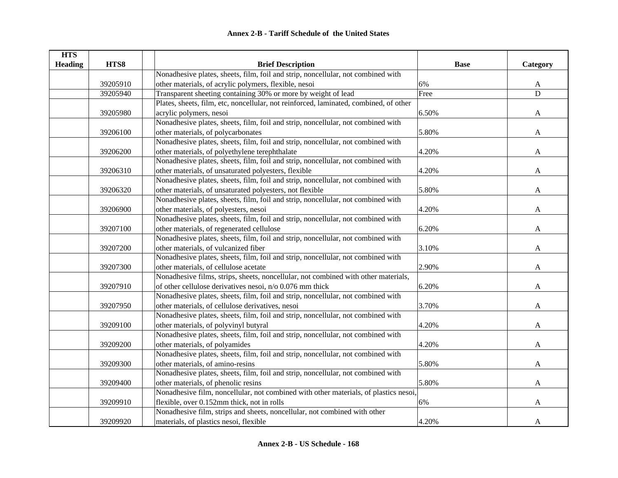| <b>HTS</b>     |          |                                                                                       |             |              |
|----------------|----------|---------------------------------------------------------------------------------------|-------------|--------------|
| <b>Heading</b> | HTS8     | <b>Brief Description</b>                                                              | <b>Base</b> | Category     |
|                |          | Nonadhesive plates, sheets, film, foil and strip, noncellular, not combined with      |             |              |
|                | 39205910 | other materials, of acrylic polymers, flexible, nesoi                                 | 6%          | A            |
|                | 39205940 | Transparent sheeting containing 30% or more by weight of lead                         | Free        | D            |
|                |          | Plates, sheets, film, etc, noncellular, not reinforced, laminated, combined, of other |             |              |
|                | 39205980 | acrylic polymers, nesoi                                                               | 6.50%       | $\mathbf{A}$ |
|                |          | Nonadhesive plates, sheets, film, foil and strip, noncellular, not combined with      |             |              |
|                | 39206100 | other materials, of polycarbonates                                                    | 5.80%       | $\mathbf{A}$ |
|                |          | Nonadhesive plates, sheets, film, foil and strip, noncellular, not combined with      |             |              |
|                | 39206200 | other materials, of polyethylene terephthalate                                        | 4.20%       | A            |
|                |          | Nonadhesive plates, sheets, film, foil and strip, noncellular, not combined with      |             |              |
|                | 39206310 | other materials, of unsaturated polyesters, flexible                                  | 4.20%       | $\mathbf{A}$ |
|                |          | Nonadhesive plates, sheets, film, foil and strip, noncellular, not combined with      |             |              |
|                | 39206320 | other materials, of unsaturated polyesters, not flexible                              | 5.80%       | A            |
|                |          | Nonadhesive plates, sheets, film, foil and strip, noncellular, not combined with      |             |              |
|                | 39206900 | other materials, of polyesters, nesoi                                                 | 4.20%       | A            |
|                |          | Nonadhesive plates, sheets, film, foil and strip, noncellular, not combined with      |             |              |
|                | 39207100 | other materials, of regenerated cellulose                                             | 6.20%       | A            |
|                |          | Nonadhesive plates, sheets, film, foil and strip, noncellular, not combined with      |             |              |
|                | 39207200 | other materials, of vulcanized fiber                                                  | 3.10%       | A            |
|                |          | Nonadhesive plates, sheets, film, foil and strip, noncellular, not combined with      |             |              |
|                | 39207300 | other materials, of cellulose acetate                                                 | 2.90%       | A            |
|                |          | Nonadhesive films, strips, sheets, noncellular, not combined with other materials,    |             |              |
|                | 39207910 | of other cellulose derivatives nesoi, n/o 0.076 mm thick                              | 6.20%       | A            |
|                |          | Nonadhesive plates, sheets, film, foil and strip, noncellular, not combined with      |             |              |
|                | 39207950 | other materials, of cellulose derivatives, nesoi                                      | 3.70%       | A            |
|                |          | Nonadhesive plates, sheets, film, foil and strip, noncellular, not combined with      |             |              |
|                | 39209100 | other materials, of polyvinyl butyral                                                 | 4.20%       | $\mathbf{A}$ |
|                |          | Nonadhesive plates, sheets, film, foil and strip, noncellular, not combined with      |             |              |
|                | 39209200 | other materials, of polyamides                                                        | 4.20%       | $\mathbf{A}$ |
|                |          | Nonadhesive plates, sheets, film, foil and strip, noncellular, not combined with      |             |              |
|                | 39209300 | other materials, of amino-resins                                                      | 5.80%       | A            |
|                |          | Nonadhesive plates, sheets, film, foil and strip, noncellular, not combined with      |             |              |
|                | 39209400 | other materials, of phenolic resins                                                   | 5.80%       | $\mathbf{A}$ |
|                |          | Nonadhesive film, noncellular, not combined with other materials, of plastics nesoi,  |             |              |
|                | 39209910 | flexible, over 0.152mm thick, not in rolls                                            | 6%          | A            |
|                |          | Nonadhesive film, strips and sheets, noncellular, not combined with other             |             |              |
|                | 39209920 | materials, of plastics nesoi, flexible                                                | 4.20%       | A            |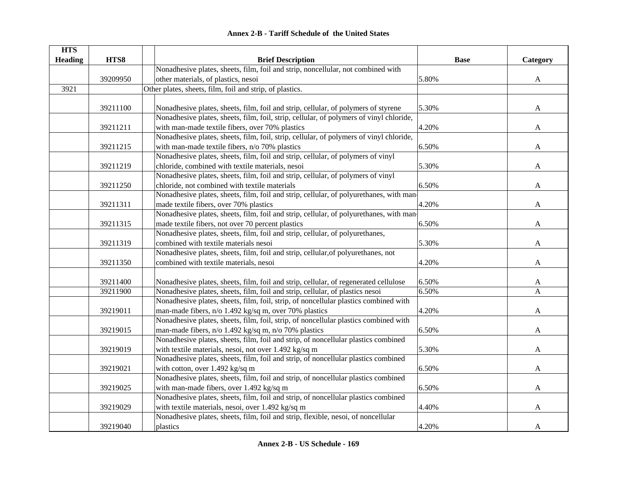| <b>HTS</b>     |          |                                                                                         |             |              |
|----------------|----------|-----------------------------------------------------------------------------------------|-------------|--------------|
| <b>Heading</b> | HTS8     | <b>Brief Description</b>                                                                | <b>Base</b> | Category     |
|                |          | Nonadhesive plates, sheets, film, foil and strip, noncellular, not combined with        |             |              |
|                | 39209950 | other materials, of plastics, nesoi                                                     | 5.80%       | $\mathbf{A}$ |
| 3921           |          | Other plates, sheets, film, foil and strip, of plastics.                                |             |              |
|                |          |                                                                                         |             |              |
|                | 39211100 | Nonadhesive plates, sheets, film, foil and strip, cellular, of polymers of styrene      | 5.30%       | $\mathbf{A}$ |
|                |          | Nonadhesive plates, sheets, film, foil, strip, cellular, of polymers of vinyl chloride, |             |              |
|                | 39211211 | with man-made textile fibers, over 70% plastics                                         | 4.20%       | A            |
|                |          | Nonadhesive plates, sheets, film, foil, strip, cellular, of polymers of vinyl chloride, |             |              |
|                | 39211215 | with man-made textile fibers, n/o 70% plastics                                          | 6.50%       | A            |
|                |          | Nonadhesive plates, sheets, film, foil and strip, cellular, of polymers of vinyl        |             |              |
|                | 39211219 | chloride, combined with textile materials, nesoi                                        | 5.30%       | A            |
|                |          | Nonadhesive plates, sheets, film, foil and strip, cellular, of polymers of vinyl        |             |              |
|                | 39211250 | chloride, not combined with textile materials                                           | 6.50%       | A            |
|                |          | Nonadhesive plates, sheets, film, foil and strip, cellular, of polyurethanes, with man- |             |              |
|                | 39211311 | made textile fibers, over 70% plastics                                                  | 4.20%       | A            |
|                |          | Nonadhesive plates, sheets, film, foil and strip, cellular, of polyurethanes, with man- |             |              |
|                | 39211315 | made textile fibers, not over 70 percent plastics                                       | 6.50%       | A            |
|                |          | Nonadhesive plates, sheets, film, foil and strip, cellular, of polyurethanes,           |             |              |
|                | 39211319 | combined with textile materials nesoi                                                   | 5.30%       | A            |
|                |          | Nonadhesive plates, sheets, film, foil and strip, cellular, of polyurethanes, not       |             |              |
|                | 39211350 | combined with textile materials, nesoi                                                  | 4.20%       | A            |
|                |          |                                                                                         |             |              |
|                | 39211400 | Nonadhesive plates, sheets, film, foil and strip, cellular, of regenerated cellulose    | 6.50%       | A            |
|                | 39211900 | Nonadhesive plates, sheets, film, foil and strip, cellular, of plastics nesoi           | 6.50%       | $\mathbf{A}$ |
|                |          | Nonadhesive plates, sheets, film, foil, strip, of noncellular plastics combined with    |             |              |
|                | 39219011 | man-made fibers, n/o 1.492 kg/sq m, over 70% plastics                                   | 4.20%       | A            |
|                |          | Nonadhesive plates, sheets, film, foil, strip, of noncellular plastics combined with    |             |              |
|                | 39219015 | man-made fibers, n/o 1.492 kg/sq m, n/o 70% plastics                                    | 6.50%       | A            |
|                |          | Nonadhesive plates, sheets, film, foil and strip, of noncellular plastics combined      |             |              |
|                | 39219019 | with textile materials, nesoi, not over 1.492 kg/sq m                                   | 5.30%       | A            |
|                |          | Nonadhesive plates, sheets, film, foil and strip, of noncellular plastics combined      |             |              |
|                | 39219021 | with cotton, over 1.492 kg/sq m                                                         | 6.50%       | A            |
|                |          | Nonadhesive plates, sheets, film, foil and strip, of noncellular plastics combined      |             |              |
|                | 39219025 | with man-made fibers, over 1.492 kg/sq m                                                | 6.50%       | A            |
|                |          | Nonadhesive plates, sheets, film, foil and strip, of noncellular plastics combined      |             |              |
|                | 39219029 | with textile materials, nesoi, over 1.492 kg/sq m                                       | 4.40%       | A            |
|                |          | Nonadhesive plates, sheets, film, foil and strip, flexible, nesoi, of noncellular       |             |              |
|                | 39219040 | plastics                                                                                | 4.20%       | A            |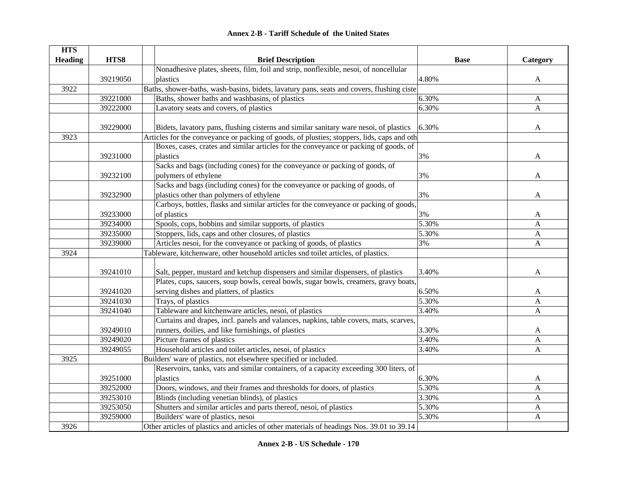|  | <b>Annex 2-B - Tariff Schedule of the United States</b> |  |
|--|---------------------------------------------------------|--|
|--|---------------------------------------------------------|--|

| <b>HTS</b>     |          |                                                                                            |             |              |
|----------------|----------|--------------------------------------------------------------------------------------------|-------------|--------------|
| <b>Heading</b> | HTS8     | <b>Brief Description</b>                                                                   | <b>Base</b> | Category     |
|                |          | Nonadhesive plates, sheets, film, foil and strip, nonflexible, nesoi, of noncellular       |             |              |
|                | 39219050 | plastics                                                                                   | 4.80%       | A            |
| 3922           |          | Baths, shower-baths, wash-basins, bidets, lavatury pans, seats and covers, flushing ciste  |             |              |
|                | 39221000 | Baths, shower baths and washbasins, of plastics                                            | 6.30%       | $\mathbf{A}$ |
|                | 39222000 | Lavatory seats and covers, of plastics                                                     | 6.30%       | $\mathbf{A}$ |
|                |          |                                                                                            |             |              |
|                | 39229000 | Bidets, lavatory pans, flushing cisterns and similar sanitary ware nesoi, of plastics      | 6.30%       | A            |
| 3923           |          | Articles for the conveyance or packing of goods, of plusties; stoppers, lids, caps and oth |             |              |
|                |          | Boxes, cases, crates and similar articles for the conveyance or packing of goods, of       |             |              |
|                | 39231000 | plastics                                                                                   | 3%          | A            |
|                |          | Sacks and bags (including cones) for the conveyance or packing of goods, of                |             |              |
|                | 39232100 | polymers of ethylene                                                                       | 3%          | A            |
|                |          | Sacks and bags (including cones) for the conveyance or packing of goods, of                |             |              |
|                | 39232900 | plastics other than polymers of ethylene                                                   | 3%          | A            |
|                |          | Carboys, bottles, flasks and similar articles for the conveyance or packing of goods,      |             |              |
|                | 39233000 | of plastics                                                                                | 3%          | A            |
|                | 39234000 | Spools, cops, bobbins and similar supports, of plastics                                    | 5.30%       | A            |
|                | 39235000 | Stoppers, lids, caps and other closures, of plastics                                       | 5.30%       | $\mathbf{A}$ |
|                | 39239000 | Articles nesoi, for the conveyance or packing of goods, of plastics                        | 3%          | $\mathbf{A}$ |
| 3924           |          | Tableware, kitchenware, other household articles snd toilet articles, of plastics.         |             |              |
|                |          |                                                                                            |             |              |
|                | 39241010 | Salt, pepper, mustard and ketchup dispensers and similar dispensers, of plastics           | 3.40%       | A            |
|                |          | Plates, cups, saucers, soup bowls, cereal bowls, sugar bowls, creamers, gravy boats,       |             |              |
|                | 39241020 | serving dishes and platters, of plastics                                                   | 6.50%       | A            |
|                | 39241030 | Trays, of plastics                                                                         | 5.30%       | A            |
|                | 39241040 | Tableware and kitchenware articles, nesoi, of plastics                                     | 3.40%       | A            |
|                |          | Curtains and drapes, incl. panels and valances, napkins, table covers, mats, scarves,      |             |              |
|                | 39249010 | runners, doilies, and like furnishings, of plastics                                        | 3.30%       | A            |
|                | 39249020 | Picture frames of plastics                                                                 | 3.40%       | A            |
|                | 39249055 | Household articles and toilet articles, nesoi, of plastics                                 | 3.40%       | A            |
| 3925           |          | Builders' ware of plastics, not elsewhere specified or included.                           |             |              |
|                |          | Reservoirs, tanks, vats and similar containers, of a capacity exceeding 300 liters, of     |             |              |
|                | 39251000 | plastics                                                                                   | 6.30%       | A            |
|                | 39252000 | Doors, windows, and their frames and thresholds for doors, of plastics                     | 5.30%       | A            |
|                | 39253010 | Blinds (including venetian blinds), of plastics                                            | 3.30%       | A            |
|                | 39253050 | Shutters and similar articles and parts thereof, nesoi, of plastics                        | 5.30%       | A            |
|                | 39259000 | Builders' ware of plastics, nesoi                                                          | 5.30%       | A            |
| 3926           |          | Other articles of plastics and articles of other materials of headings Nos. 39.01 to 39.14 |             |              |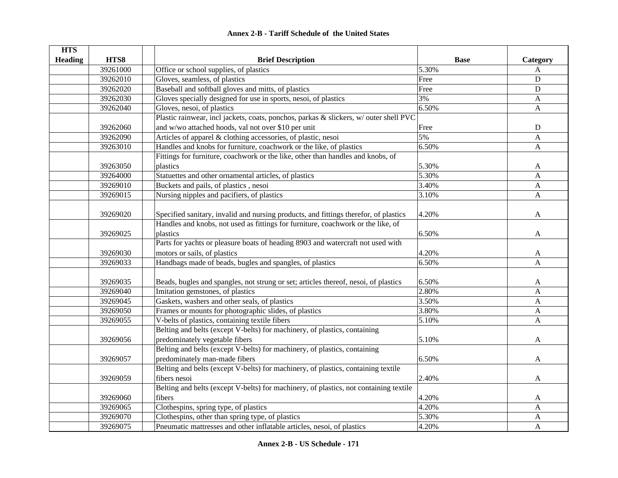| <b>HTS</b>     |          |                                                                                       |             |              |
|----------------|----------|---------------------------------------------------------------------------------------|-------------|--------------|
| <b>Heading</b> | HTS8     | <b>Brief Description</b>                                                              | <b>Base</b> | Category     |
|                | 39261000 | Office or school supplies, of plastics                                                | 5.30%       | A            |
|                | 39262010 | Gloves, seamless, of plastics                                                         | Free        | D            |
|                | 39262020 | Baseball and softball gloves and mitts, of plastics                                   | Free        | D            |
|                | 39262030 | Gloves specially designed for use in sports, nesoi, of plastics                       | 3%          | $\mathbf{A}$ |
|                | 39262040 | Gloves, nesoi, of plastics                                                            | 6.50%       | $\mathbf{A}$ |
|                |          | Plastic rainwear, incl jackets, coats, ponchos, parkas & slickers, w/ outer shell PVC |             |              |
|                | 39262060 | and w/wo attached hoods, val not over \$10 per unit                                   | Free        | D            |
|                | 39262090 | Articles of apparel & clothing accessories, of plastic, nesoi                         | 5%          | A            |
|                | 39263010 | Handles and knobs for furniture, coachwork or the like, of plastics                   | 6.50%       | $\mathbf{A}$ |
|                |          | Fittings for furniture, coachwork or the like, other than handles and knobs, of       |             |              |
|                | 39263050 | plastics                                                                              | 5.30%       | A            |
|                | 39264000 | Statuettes and other ornamental articles, of plastics                                 | 5.30%       | A            |
|                | 39269010 | Buckets and pails, of plastics, nesoi                                                 | 3.40%       | $\mathbf{A}$ |
|                | 39269015 | Nursing nipples and pacifiers, of plastics                                            | 3.10%       | $\mathbf{A}$ |
|                |          |                                                                                       |             |              |
|                | 39269020 | Specified sanitary, invalid and nursing products, and fittings therefor, of plastics  | 4.20%       | A            |
|                |          | Handles and knobs, not used as fittings for furniture, coachwork or the like, of      |             |              |
|                | 39269025 | plastics                                                                              | 6.50%       | $\mathbf{A}$ |
|                |          | Parts for yachts or pleasure boats of heading 8903 and watercraft not used with       |             |              |
|                | 39269030 | motors or sails, of plastics                                                          | 4.20%       | A            |
|                | 39269033 | Handbags made of beads, bugles and spangles, of plastics                              | 6.50%       | $\mathbf{A}$ |
|                |          |                                                                                       |             |              |
|                | 39269035 | Beads, bugles and spangles, not strung or set; articles thereof, nesoi, of plastics   | 6.50%       | A            |
|                | 39269040 | Imitation gemstones, of plastics                                                      | 2.80%       | $\mathbf{A}$ |
|                | 39269045 | Gaskets, washers and other seals, of plastics                                         | 3.50%       | A            |
|                | 39269050 | Frames or mounts for photographic slides, of plastics                                 | 3.80%       | A            |
|                | 39269055 | V-belts of plastics, containing textile fibers                                        | 5.10%       | $\mathbf{A}$ |
|                |          | Belting and belts (except V-belts) for machinery, of plastics, containing             |             |              |
|                | 39269056 | predominately vegetable fibers                                                        | 5.10%       | A            |
|                |          | Belting and belts (except V-belts) for machinery, of plastics, containing             |             |              |
|                | 39269057 | predominately man-made fibers                                                         | 6.50%       | A            |
|                |          | Belting and belts (except V-belts) for machinery, of plastics, containing textile     |             |              |
|                | 39269059 | fibers nesoi                                                                          | 2.40%       | A            |
|                |          | Belting and belts (except V-belts) for machinery, of plastics, not containing textile |             |              |
|                | 39269060 | fibers                                                                                | 4.20%       | $\mathbf{A}$ |
|                | 39269065 | Clothespins, spring type, of plastics                                                 | 4.20%       | $\mathbf{A}$ |
|                | 39269070 | Clothespins, other than spring type, of plastics                                      | 5.30%       | $\mathbf{A}$ |
|                | 39269075 | Pneumatic mattresses and other inflatable articles, nesoi, of plastics                | 4.20%       | A            |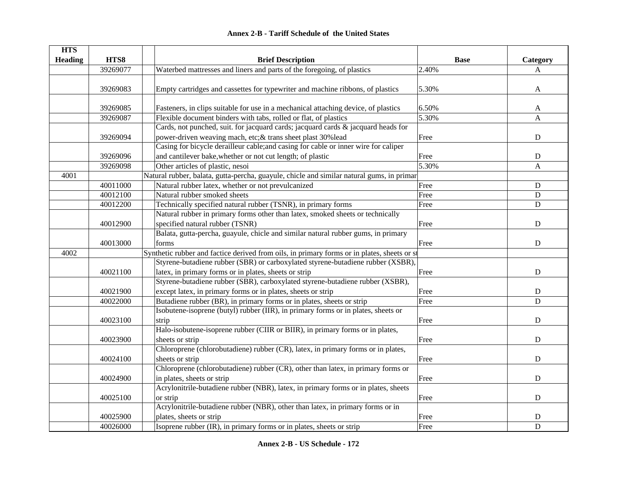|  | <b>Annex 2-B - Tariff Schedule of the United States</b> |  |
|--|---------------------------------------------------------|--|
|--|---------------------------------------------------------|--|

| <b>HTS</b>     |          |                                                                                             |             |              |
|----------------|----------|---------------------------------------------------------------------------------------------|-------------|--------------|
| <b>Heading</b> | HTS8     | <b>Brief Description</b>                                                                    | <b>Base</b> | Category     |
|                | 39269077 | Waterbed mattresses and liners and parts of the foregoing, of plastics                      | 2.40%       | A            |
|                |          |                                                                                             |             |              |
|                | 39269083 | Empty cartridges and cassettes for typewriter and machine ribbons, of plastics              | 5.30%       | A            |
|                |          |                                                                                             |             |              |
|                | 39269085 | Fasteners, in clips suitable for use in a mechanical attaching device, of plastics          | 6.50%       | A            |
|                | 39269087 | Flexible document binders with tabs, rolled or flat, of plastics                            | 5.30%       | $\mathbf{A}$ |
|                |          | Cards, not punched, suit. for jacquard cards; jacquard cards & jacquard heads for           |             |              |
|                | 39269094 | power-driven weaving mach, etc; & trans sheet plast 30% lead                                | Free        | $\mathbf D$  |
|                |          | Casing for bicycle derailleur cable; and casing for cable or inner wire for caliper         |             |              |
|                | 39269096 | and cantilever bake, whether or not cut length; of plastic                                  | Free        | ${\bf D}$    |
|                | 39269098 | Other articles of plastic, nesoi                                                            | 5.30%       | $\mathbf{A}$ |
| 4001           |          | Natural rubber, balata, gutta-percha, guayule, chicle and similar natural gums, in primar   |             |              |
|                | 40011000 | Natural rubber latex, whether or not prevulcanized                                          | Free        | $\mathbf D$  |
|                | 40012100 | Natural rubber smoked sheets                                                                | Free        | ${\bf D}$    |
|                | 40012200 | Technically specified natural rubber (TSNR), in primary forms                               | Free        | D            |
|                |          | Natural rubber in primary forms other than latex, smoked sheets or technically              |             |              |
|                | 40012900 | specified natural rubber (TSNR)                                                             | Free        | ${\bf D}$    |
|                |          | Balata, gutta-percha, guayule, chicle and similar natural rubber gums, in primary           |             |              |
|                | 40013000 | forms                                                                                       | Free        | ${\bf D}$    |
| 4002           |          | Synthetic rubber and factice derived from oils, in primary forms or in plates, sheets or st |             |              |
|                |          | Styrene-butadiene rubber (SBR) or carboxylated styrene-butadiene rubber (XSBR),             |             |              |
|                | 40021100 | latex, in primary forms or in plates, sheets or strip                                       | Free        | ${\bf D}$    |
|                |          | Styrene-butadiene rubber (SBR), carboxylated styrene-butadiene rubber (XSBR),               |             |              |
|                | 40021900 | except latex, in primary forms or in plates, sheets or strip                                | Free        | ${\bf D}$    |
|                | 40022000 | Butadiene rubber (BR), in primary forms or in plates, sheets or strip                       | Free        | $\mathbf D$  |
|                |          | Isobutene-isoprene (butyl) rubber (IIR), in primary forms or in plates, sheets or           |             |              |
|                | 40023100 | strip                                                                                       | Free        | $\mathbf D$  |
|                |          | Halo-isobutene-isoprene rubber (CIIR or BIIR), in primary forms or in plates,               |             |              |
|                | 40023900 | sheets or strip                                                                             | Free        | $\mathbf D$  |
|                |          | Chloroprene (chlorobutadiene) rubber (CR), latex, in primary forms or in plates,            |             |              |
|                | 40024100 | sheets or strip                                                                             | Free        | $\mathbf D$  |
|                |          | Chloroprene (chlorobutadiene) rubber (CR), other than latex, in primary forms or            |             |              |
|                | 40024900 | in plates, sheets or strip                                                                  | Free        | ${\bf D}$    |
|                |          | Acrylonitrile-butadiene rubber (NBR), latex, in primary forms or in plates, sheets          |             |              |
|                | 40025100 | or strip                                                                                    | Free        | ${\bf D}$    |
|                |          | Acrylonitrile-butadiene rubber (NBR), other than latex, in primary forms or in              |             |              |
|                | 40025900 | plates, sheets or strip                                                                     | Free        | $\mathbf D$  |
|                | 40026000 | Isoprene rubber (IR), in primary forms or in plates, sheets or strip                        | Free        | D            |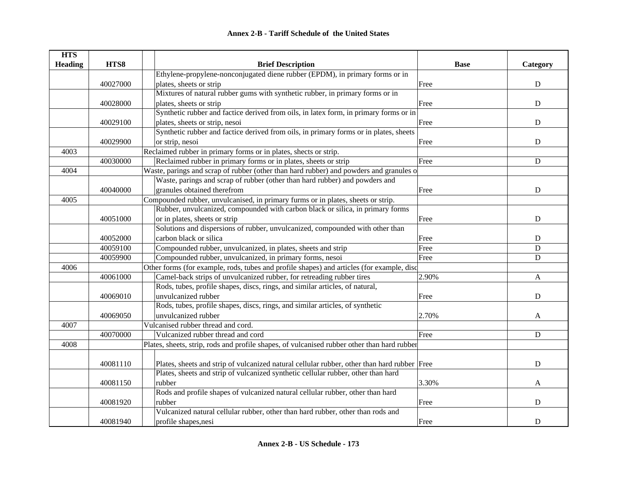| <b>HTS</b>     |          |                                                                                             |             |              |
|----------------|----------|---------------------------------------------------------------------------------------------|-------------|--------------|
| <b>Heading</b> | HTS8     | <b>Brief Description</b>                                                                    | <b>Base</b> | Category     |
|                |          | Ethylene-propylene-nonconjugated diene rubber (EPDM), in primary forms or in                |             |              |
|                | 40027000 | plates, sheets or strip                                                                     | Free        | ${\bf D}$    |
|                |          | Mixtures of natural rubber gums with synthetic rubber, in primary forms or in               |             |              |
|                | 40028000 | plates, sheets or strip                                                                     | Free        | $\mathbf D$  |
|                |          | Synthetic rubber and factice derived from oils, in latex form, in primary forms or in       |             |              |
|                | 40029100 | plates, sheets or strip, nesoi                                                              | Free        | ${\bf D}$    |
|                |          | Synthetic rubber and factice derived from oils, in primary forms or in plates, sheets       |             |              |
|                | 40029900 | or strip, nesoi                                                                             | Free        | ${\bf D}$    |
| 4003           |          | Reclaimed rubber in primary forms or in plates, shects or strip.                            |             |              |
|                | 40030000 | Reclaimed rubber in primary forms or in plates, sheets or strip                             | Free        | ${\bf D}$    |
| 4004           |          | Waste, parings and scrap of rubber (other than hard rubber) and powders and granules o      |             |              |
|                |          | Waste, parings and scrap of rubber (other than hard rubber) and powders and                 |             |              |
|                | 40040000 | granules obtained therefrom                                                                 | Free        | ${\bf D}$    |
| 4005           |          | Compounded rubber, unvulcanised, in primary furms or in plates, sheets or strip.            |             |              |
|                |          | Rubber, unvulcanized, compounded with carbon black or silica, in primary forms              |             |              |
|                | 40051000 | or in plates, sheets or strip                                                               | Free        | D            |
|                |          | Solutions and dispersions of rubber, unvulcanized, compounded with other than               |             |              |
|                | 40052000 | carbon black or silica                                                                      | Free        | ${\bf D}$    |
|                | 40059100 | Compounded rubber, unvulcanized, in plates, sheets and strip                                | Free        | ${\bf D}$    |
|                | 40059900 | Compounded rubber, unvulcanized, in primary forms, nesoi                                    | Free        | $\mathbf D$  |
| 4006           |          | Other forms (for example, rods, tubes and profile shapes) and articles (for example, disc   |             |              |
|                | 40061000 | Camel-back strips of unvulcanized rubber, for retreading rubber tires                       | 2.90%       | $\mathbf{A}$ |
|                |          | Rods, tubes, profile shapes, discs, rings, and similar articles, of natural,                |             |              |
|                | 40069010 | unvulcanized rubber                                                                         | Free        | ${\bf D}$    |
|                |          | Rods, tubes, profile shapes, discs, rings, and similar articles, of synthetic               |             |              |
|                | 40069050 | unvulcanized rubber                                                                         | 2.70%       | A            |
| 4007           |          | Vulcanised rubber thread and cord.                                                          |             |              |
|                | 40070000 | Vulcanized rubber thread and cord                                                           | Free        | $\mathbf D$  |
| 4008           |          | Plates, sheets, strip, rods and profile shapes, of vulcanised rubber other than hard rubber |             |              |
|                |          |                                                                                             |             |              |
|                | 40081110 | Plates, sheets and strip of vulcanized natural cellular rubber, other than hard rubber Free |             | $\mathbf D$  |
|                |          | Plates, sheets and strip of vulcanized synthetic cellular rubber, other than hard           |             |              |
|                | 40081150 | rubber                                                                                      | 3.30%       | A            |
|                |          | Rods and profile shapes of vulcanized natural cellular rubber, other than hard              |             |              |
|                | 40081920 | rubber                                                                                      | Free        | $\mathbf D$  |
|                |          | Vulcanized natural cellular rubber, other than hard rubber, other than rods and             |             |              |
|                | 40081940 | profile shapes, nesi                                                                        | Free        | D            |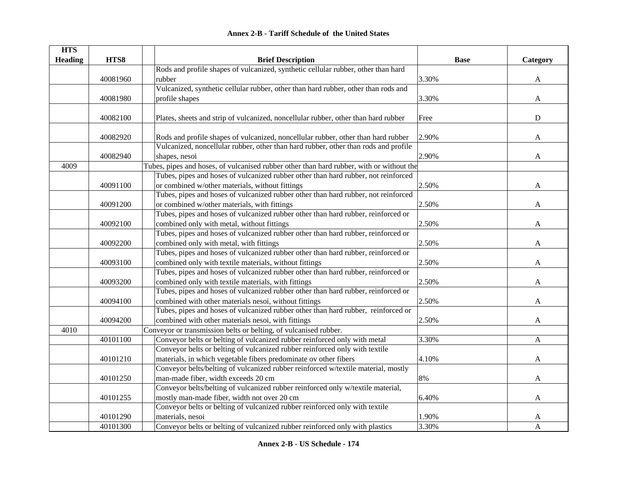|  | <b>Annex 2-B - Tariff Schedule of the United States</b> |  |
|--|---------------------------------------------------------|--|
|--|---------------------------------------------------------|--|

| <b>HTS</b>     |          |                                                                                          |             |              |
|----------------|----------|------------------------------------------------------------------------------------------|-------------|--------------|
| <b>Heading</b> | HTS8     | <b>Brief Description</b>                                                                 | <b>Base</b> | Category     |
|                |          | Rods and profile shapes of vulcanized, synthetic cellular rubber, other than hard        |             |              |
|                | 40081960 | rubber                                                                                   | 3.30%       | A            |
|                |          | Vulcanized, synthetic cellular rubber, other than hard rubber, other than rods and       |             |              |
|                | 40081980 | profile shapes                                                                           | 3.30%       | A            |
|                |          |                                                                                          |             |              |
|                | 40082100 | Plates, sheets and strip of vulcanized, noncellular rubber, other than hard rubber       | Free        | $\mathbf D$  |
|                |          |                                                                                          |             |              |
|                | 40082920 | Rods and profile shapes of vulcanized, noncellular rubber, other than hard rubber        | 2.90%       | A            |
|                |          | Vulcanized, noncellular rubber, other than hard rubber, other than rods and profile      |             |              |
|                | 40082940 | shapes, nesoi                                                                            | 2.90%       | A            |
| 4009           |          | Tubes, pipes and hoses, of vulcanised rubber other than hard rubber, with or without the |             |              |
|                |          | Tubes, pipes and hoses of vulcanized rubber other than hard rubber, not reinforced       |             |              |
|                | 40091100 | or combined w/other materials, without fittings                                          | 2.50%       | A            |
|                |          | Tubes, pipes and hoses of vulcanized rubber other than hard rubber, not reinforced       |             |              |
|                | 40091200 | or combined w/other materials, with fittings                                             | 2.50%       | A            |
|                |          | Tubes, pipes and hoses of vulcanized rubber other than hard rubber, reinforced or        |             |              |
|                | 40092100 | combined only with metal, without fittings                                               | 2.50%       | A            |
|                |          | Tubes, pipes and hoses of vulcanized rubber other than hard rubber, reinforced or        |             |              |
|                | 40092200 | combined only with metal, with fittings                                                  | 2.50%       | $\mathbf{A}$ |
|                |          | Tubes, pipes and hoses of vulcanized rubber other than hard rubber, reinforced or        |             |              |
|                | 40093100 | combined only with textile materials, without fittings                                   | 2.50%       | A            |
|                |          | Tubes, pipes and hoses of vulcanized rubber other than hard rubber, reinforced or        |             |              |
|                | 40093200 | combined only with textile materials, with fittings                                      | 2.50%       | A            |
|                |          | Tubes, pipes and hoses of vulcanized rubber other than hard rubber, reinforced or        |             |              |
|                | 40094100 | combined with other materials nesoi, without fittings                                    | 2.50%       | A            |
|                |          | Tubes, pipes and hoses of vulcanized rubber other than hard rubber, reinforced or        |             |              |
|                | 40094200 | combined with other materials nesoi, with fittings                                       | 2.50%       | A            |
| 4010           |          | Conveyor or transmission belts or belting, of vulcanised rubber.                         |             |              |
|                | 40101100 | Conveyor belts or belting of vulcanized rubber reinforced only with metal                | 3.30%       | A            |
|                |          | Conveyor belts or belting of vulcanized rubber reinforced only with textile              |             |              |
|                | 40101210 | materials, in which vegetable fibers predominate ov other fibers                         | 4.10%       | A            |
|                |          | Conveyor belts/belting of vulcanized rubber reinforced w/textile material, mostly        |             |              |
|                | 40101250 | man-made fiber, width exceeds 20 cm                                                      | 8%          | $\mathbf{A}$ |
|                |          | Conveyor belts/belting of vulcanized rubber reinforced only w/textile material,          |             |              |
|                | 40101255 | mostly man-made fiber, width not over 20 cm                                              | 6.40%       | A            |
|                |          | Conveyor belts or belting of vulcanized rubber reinforced only with textile              |             |              |
|                | 40101290 | materials, nesoi                                                                         | 1.90%       | A            |
|                | 40101300 | Conveyor belts or belting of vulcanized rubber reinforced only with plastics             | 3.30%       | A            |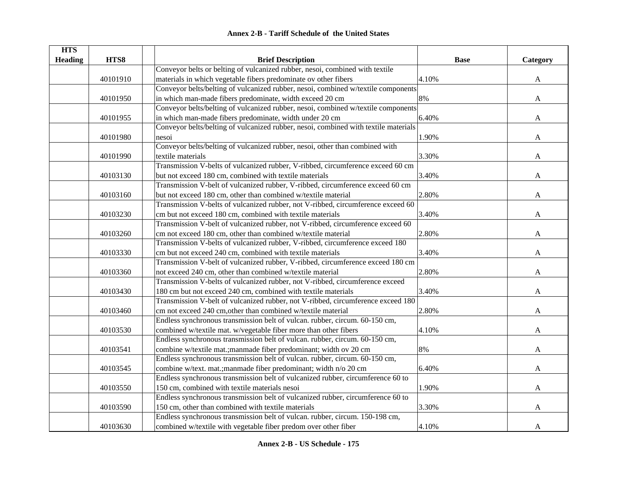| <b>Annex 2-B - Tariff Schedule of the United States</b> |
|---------------------------------------------------------|
|---------------------------------------------------------|

| <b>HTS</b>     |          |                                                                                     |             |              |
|----------------|----------|-------------------------------------------------------------------------------------|-------------|--------------|
| <b>Heading</b> | HTS8     | <b>Brief Description</b>                                                            | <b>Base</b> | Category     |
|                |          | Conveyor belts or belting of vulcanized rubber, nesoi, combined with textile        |             |              |
|                | 40101910 | materials in which vegetable fibers predominate ov other fibers                     | 4.10%       | A            |
|                |          | Conveyor belts/belting of vulcanized rubber, nesoi, combined w/textile components   |             |              |
|                | 40101950 | in which man-made fibers predominate, width exceed 20 cm                            | 8%          | $\mathbf{A}$ |
|                |          | Conveyor belts/belting of vulcanized rubber, nesoi, combined w/textile components   |             |              |
|                | 40101955 | in which man-made fibers predominate, width under 20 cm                             | 6.40%       | A            |
|                |          | Conveyor belts/belting of vulcanized rubber, nesoi, combined with textile materials |             |              |
|                | 40101980 | nesoi                                                                               | 1.90%       | A            |
|                |          | Conveyor belts/belting of vulcanized rubber, nesoi, other than combined with        |             |              |
|                | 40101990 | textile materials                                                                   | 3.30%       | A            |
|                |          | Transmission V-belts of vulcanized rubber, V-ribbed, circumference exceed 60 cm     |             |              |
|                | 40103130 | but not exceed 180 cm, combined with textile materials                              | 3.40%       | A            |
|                |          | Transmission V-belt of vulcanized rubber, V-ribbed, circumference exceed 60 cm      |             |              |
|                | 40103160 | but not exceed 180 cm, other than combined w/textile material                       | 2.80%       | A            |
|                |          | Transmission V-belts of vulcanized rubber, not V-ribbed, circumference exceed 60    |             |              |
|                | 40103230 | cm but not exceed 180 cm, combined with textile materials                           | 3.40%       | A            |
|                |          | Transmission V-belt of vulcanized rubber, not V-ribbed, circumference exceed 60     |             |              |
|                | 40103260 | cm not exceed 180 cm, other than combined w/textile material                        | 2.80%       | A            |
|                |          | Transmission V-belts of vulcanized rubber, V-ribbed, circumference exceed 180       |             |              |
|                | 40103330 | cm but not exceed 240 cm, combined with textile materials                           | 3.40%       | A            |
|                |          | Transmission V-belt of vulcanized rubber, V-ribbed, circumference exceed 180 cm     |             |              |
|                | 40103360 | not exceed 240 cm, other than combined w/textile material                           | 2.80%       | A            |
|                |          | Transmission V-belts of vulcanized rubber, not V-ribbed, circumference exceed       |             |              |
|                | 40103430 | 180 cm but not exceed 240 cm, combined with textile materials                       | 3.40%       | A            |
|                |          | Transmission V-belt of vulcanized rubber, not V-ribbed, circumference exceed 180    |             |              |
|                | 40103460 | cm not exceed 240 cm, other than combined w/textile material                        | 2.80%       | A            |
|                |          | Endless synchronous transmission belt of vulcan. rubber, circum. 60-150 cm,         |             |              |
|                | 40103530 | combined w/textile mat. w/vegetable fiber more than other fibers                    | 4.10%       | A            |
|                |          | Endless synchronous transmission belt of vulcan. rubber, circum. 60-150 cm,         |             |              |
|                | 40103541 | combine w/textile mat.; manmade fiber predominant; width ov 20 cm                   | 8%          | A            |
|                |          | Endless synchronous transmission belt of vulcan. rubber, circum. 60-150 cm,         |             |              |
|                | 40103545 | combine w/text. mat.; manmade fiber predominant; width n/o 20 cm                    | 6.40%       | A            |
|                |          | Endless synchronous transmission belt of vulcanized rubber, circumference 60 to     |             |              |
|                | 40103550 | 150 cm, combined with textile materials nesoi                                       | 1.90%       | A            |
|                |          | Endless synchronous transmission belt of vulcanized rubber, circumference 60 to     |             |              |
|                | 40103590 | 150 cm, other than combined with textile materials                                  | 3.30%       | A            |
|                |          | Endless synchronous transmission belt of vulcan. rubber, circum. 150-198 cm,        |             |              |
|                | 40103630 | combined w/textile with vegetable fiber predom over other fiber                     | 4.10%       | A            |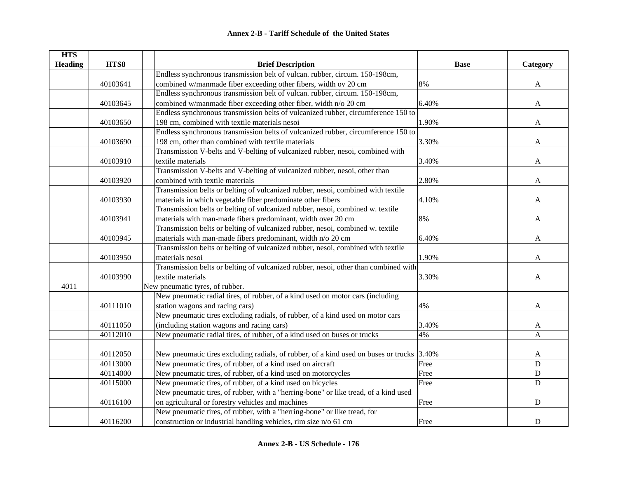| <b>HTS</b>     |          |                                                                                           |             |              |
|----------------|----------|-------------------------------------------------------------------------------------------|-------------|--------------|
| <b>Heading</b> | HTS8     | <b>Brief Description</b>                                                                  | <b>Base</b> | Category     |
|                |          | Endless synchronous transmission belt of vulcan. rubber, circum. 150-198cm,               |             |              |
|                | 40103641 | combined w/manmade fiber exceeding other fibers, width ov 20 cm                           | 8%          | A            |
|                |          | Endless synchronous transmission belt of vulcan. rubber, circum. 150-198cm,               |             |              |
|                | 40103645 | combined w/manmade fiber exceeding other fiber, width n/o 20 cm                           | 6.40%       | $\mathbf{A}$ |
|                |          | Endless synchronous transmission belts of vulcanized rubber, circumference 150 to         |             |              |
|                | 40103650 | 198 cm, combined with textile materials nesoi                                             | 1.90%       | A            |
|                |          | Endless synchronous transmission belts of vulcanized rubber, circumference 150 to         |             |              |
|                | 40103690 | 198 cm, other than combined with textile materials                                        | 3.30%       | A            |
|                |          | Transmission V-belts and V-belting of vulcanized rubber, nesoi, combined with             |             |              |
|                | 40103910 | textile materials                                                                         | 3.40%       | A            |
|                |          | Transmission V-belts and V-belting of vulcanized rubber, nesoi, other than                |             |              |
|                | 40103920 | combined with textile materials                                                           | 2.80%       | A            |
|                |          | Transmission belts or belting of vulcanized rubber, nesoi, combined with textile          |             |              |
|                | 40103930 | materials in which vegetable fiber predominate other fibers                               | 4.10%       | A            |
|                |          | Transmission belts or belting of vulcanized rubber, nesoi, combined w. textile            |             |              |
|                | 40103941 | materials with man-made fibers predominant, width over 20 cm                              | 8%          | A            |
|                |          | Transmission belts or belting of vulcanized rubber, nesoi, combined w. textile            |             |              |
|                | 40103945 | materials with man-made fibers predominant, width n/o 20 cm                               | 6.40%       | A            |
|                |          | Transmission belts or belting of vulcanized rubber, nesoi, combined with textile          |             |              |
|                | 40103950 | materials nesoi                                                                           | 1.90%       | A            |
|                |          | Transmission belts or belting of vulcanized rubber, nesoi, other than combined with       |             |              |
|                | 40103990 | textile materials                                                                         | 3.30%       | A            |
| 4011           |          | New pneumatic tyres, of rubber.                                                           |             |              |
|                |          | New pneumatic radial tires, of rubber, of a kind used on motor cars (including            |             |              |
|                | 40111010 | station wagons and racing cars)                                                           | 4%          | A            |
|                |          | New pneumatic tires excluding radials, of rubber, of a kind used on motor cars            |             |              |
|                | 40111050 | (including station wagons and racing cars)                                                | 3.40%       | A            |
|                | 40112010 | New pneumatic radial tires, of rubber, of a kind used on buses or trucks                  | 4%          | A            |
|                |          |                                                                                           |             |              |
|                | 40112050 | New pneumatic tires excluding radials, of rubber, of a kind used on buses or trucks 3.40% |             | A            |
|                | 40113000 | New pneumatic tires, of rubber, of a kind used on aircraft                                | Free        | ${\bf D}$    |
|                | 40114000 | New pneumatic tires, of rubber, of a kind used on motorcycles                             | Free        | ${\bf D}$    |
|                | 40115000 | New pneumatic tires, of rubber, of a kind used on bicycles                                | Free        | $\mathbf D$  |
|                |          | New pneumatic tires, of rubber, with a "herring-bone" or like tread, of a kind used       |             |              |
|                | 40116100 | on agricultural or forestry vehicles and machines                                         | Free        | ${\bf D}$    |
|                |          | New pneumatic tires, of rubber, with a "herring-bone" or like tread, for                  |             |              |
|                | 40116200 | construction or industrial handling vehicles, rim size n/o 61 cm                          | Free        | $\mathbf D$  |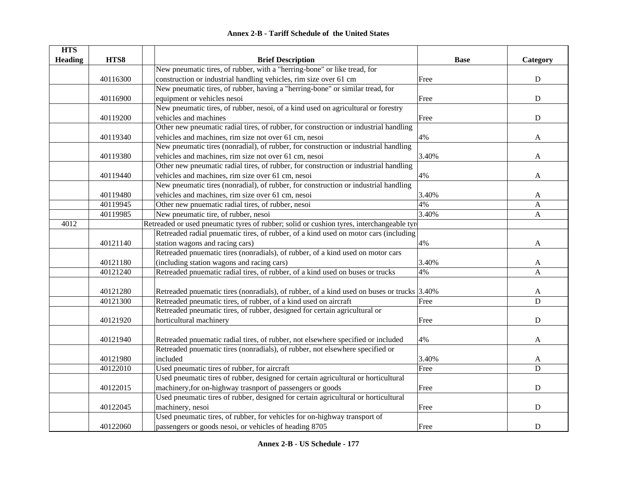| <b>HTS</b>     |          |                                                                                            |             |              |
|----------------|----------|--------------------------------------------------------------------------------------------|-------------|--------------|
| <b>Heading</b> | HTS8     | <b>Brief Description</b>                                                                   | <b>Base</b> | Category     |
|                |          | New pneumatic tires, of rubber, with a "herring-bone" or like tread, for                   |             |              |
|                | 40116300 | construction or industrial handling vehicles, rim size over 61 cm                          | Free        | ${\bf D}$    |
|                |          | New pneumatic tires, of rubber, having a "herring-bone" or similar tread, for              |             |              |
|                | 40116900 | equipment or vehicles nesoi                                                                | Free        | ${\bf D}$    |
|                |          | New pneumatic tires, of rubber, nesoi, of a kind used on agricultural or forestry          |             |              |
|                | 40119200 | vehicles and machines                                                                      | Free        | $\mathbf D$  |
|                |          | Other new pneumatic radial tires, of rubber, for construction or industrial handling       |             |              |
|                | 40119340 | vehicles and machines, rim size not over 61 cm, nesoi                                      | 4%          | A            |
|                |          | New pneumatic tires (nonradial), of rubber, for construction or industrial handling        |             |              |
|                | 40119380 | vehicles and machines, rim size not over 61 cm, nesoi                                      | 3.40%       | A            |
|                |          | Other new pneumatic radial tires, of rubber, for construction or industrial handling       |             |              |
|                | 40119440 | vehicles and machines, rim size over 61 cm, nesoi                                          | 4%          | A            |
|                |          | New pneumatic tires (nonradial), of rubber, for construction or industrial handling        |             |              |
|                | 40119480 | vehicles and machines, rim size over 61 cm, nesoi                                          | 3.40%       | A            |
|                | 40119945 | Other new pnuematic radial tires, of rubber, nesoi                                         | 4%          | A            |
|                | 40119985 | New pneumatic tire, of rubber, nesoi                                                       | 3.40%       | $\mathbf{A}$ |
| 4012           |          | Retreaded or used pneumatic tyres of rubber; solid or cushion tyres, interchangeable tyre  |             |              |
|                |          | Retreaded radial pnuematic tires, of rubber, of a kind used on motor cars (including       |             |              |
|                | 40121140 | station wagons and racing cars)                                                            | 4%          | A            |
|                |          | Retreaded pnuematic tires (nonradials), of rubber, of a kind used on motor cars            |             |              |
|                | 40121180 | (including station wagons and racing cars)                                                 | 3.40%       | A            |
|                | 40121240 | Retreaded pnuematic radial tires, of rubber, of a kind used on buses or trucks             | 4%          | $\mathbf{A}$ |
|                |          |                                                                                            |             |              |
|                | 40121280 | Retreaded pnuematic tires (nonradials), of rubber, of a kind used on buses or trucks 3.40% |             | A            |
|                | 40121300 | Retreaded pneumatic tires, of rubber, of a kind used on aircraft                           | Free        | $\mathbf D$  |
|                |          | Retreaded pneumatic tires, of rubber, designed for certain agricultural or                 |             |              |
|                | 40121920 | horticultural machinery                                                                    | Free        | ${\bf D}$    |
|                |          |                                                                                            |             |              |
|                | 40121940 | Retreaded pnuematic radial tires, of rubber, not elsewhere specified or included           | 4%          | A            |
|                |          | Retreaded pnuematic tires (nonradials), of rubber, not elsewhere specified or              |             |              |
|                | 40121980 | included                                                                                   | 3.40%       | A            |
|                | 40122010 | Used pneumatic tires of rubber, for aircraft                                               | Free        | D            |
|                |          | Used pneumatic tires of rubber, designed for certain agricultural or horticultural         |             |              |
|                | 40122015 | machinery, for on-highway trasnport of passengers or goods                                 | Free        | ${\bf D}$    |
|                |          | Used pneumatic tires of rubber, designed for certain agricultural or horticultural         |             |              |
|                | 40122045 | machinery, nesoi                                                                           | Free        | ${\bf D}$    |
|                |          | Used pneumatic tires, of rubber, for vehicles for on-highway transport of                  |             |              |
|                | 40122060 | passengers or goods nesoi, or vehicles of heading 8705                                     | Free        | ${\bf D}$    |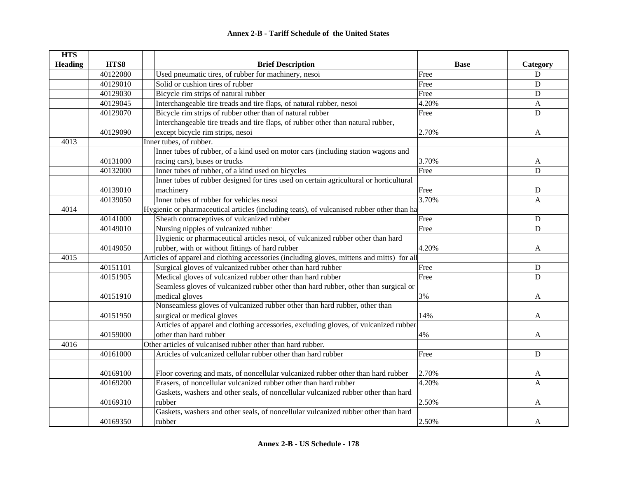| <b>HTS</b>     |          |                                                                                            |             |                |
|----------------|----------|--------------------------------------------------------------------------------------------|-------------|----------------|
| <b>Heading</b> | HTS8     | <b>Brief Description</b>                                                                   | <b>Base</b> | Category       |
|                | 40122080 | Used pneumatic tires, of rubber for machinery, nesoi                                       | Free        | ${\bf D}$      |
|                | 40129010 | Solid or cushion tires of rubber                                                           | Free        | $\mathbf D$    |
|                | 40129030 | Bicycle rim strips of natural rubber                                                       | Free        | $\mathbf D$    |
|                | 40129045 | Interchangeable tire treads and tire flaps, of natural rubber, nesoi                       | 4.20%       | A              |
|                | 40129070 | Bicycle rim strips of rubber other than of natural rubber                                  | Free        | D              |
|                |          | Interchangeable tire treads and tire flaps, of rubber other than natural rubber,           |             |                |
|                | 40129090 | except bicycle rim strips, nesoi                                                           | 2.70%       | A              |
| 4013           |          | Inner tubes, of rubber.                                                                    |             |                |
|                |          | Inner tubes of rubber, of a kind used on motor cars (including station wagons and          |             |                |
|                | 40131000 | racing cars), buses or trucks                                                              | 3.70%       | A              |
|                | 40132000 | Inner tubes of rubber, of a kind used on bicycles                                          | Free        | $\mathbf D$    |
|                |          | Inner tubes of rubber designed for tires used on certain agricultural or horticultural     |             |                |
|                | 40139010 | machinery                                                                                  | Free        | $\mathbf D$    |
|                | 40139050 | Inner tubes of rubber for vehicles nesoi                                                   | 3.70%       | $\overline{A}$ |
| 4014           |          | Hygienic or pharmaceutical articles (including teats), of vulcanised rubber other than ha  |             |                |
|                | 40141000 | Sheath contraceptives of vulcanized rubber                                                 | Free        | D              |
|                | 40149010 | Nursing nipples of vulcanized rubber                                                       | Free        | $\mathbf D$    |
|                |          | Hygienic or pharmaceutical articles nesoi, of vulcanized rubber other than hard            |             |                |
|                | 40149050 | rubber, with or without fittings of hard rubber                                            | 4.20%       | A              |
| 4015           |          | Articles of apparel and clothing accessories (including gloves, mittens and mitts) for all |             |                |
|                | 40151101 | Surgical gloves of vulcanized rubber other than hard rubber                                | Free        | D              |
|                | 40151905 | Medical gloves of vulcanized rubber other than hard rubber                                 | Free        | D              |
|                |          | Seamless gloves of vulcanized rubber other than hard rubber, other than surgical or        |             |                |
|                | 40151910 | medical gloves                                                                             | 3%          | A              |
|                |          | Nonseamless gloves of vulcanized rubber other than hard rubber, other than                 |             |                |
|                | 40151950 | surgical or medical gloves                                                                 | 14%         | A              |
|                |          | Articles of apparel and clothing accessories, excluding gloves, of vulcanized rubber       |             |                |
|                | 40159000 | other than hard rubber                                                                     | 4%          | A              |
| 4016           |          | Other articles of vulcanised rubber other than hard rubber.                                |             |                |
|                | 40161000 | Articles of vulcanized cellular rubber other than hard rubber                              | Free        | $\mathbf D$    |
|                |          |                                                                                            |             |                |
|                | 40169100 | Floor covering and mats, of noncellular vulcanized rubber other than hard rubber           | 2.70%       | A              |
|                | 40169200 | Erasers, of noncellular vulcanized rubber other than hard rubber                           | 4.20%       | $\mathbf{A}$   |
|                |          | Gaskets, washers and other seals, of noncellular vulcanized rubber other than hard         |             |                |
|                | 40169310 | rubber                                                                                     | 2.50%       | A              |
|                |          | Gaskets, washers and other seals, of noncellular vulcanized rubber other than hard         |             |                |
|                | 40169350 | rubber                                                                                     | 2.50%       | A              |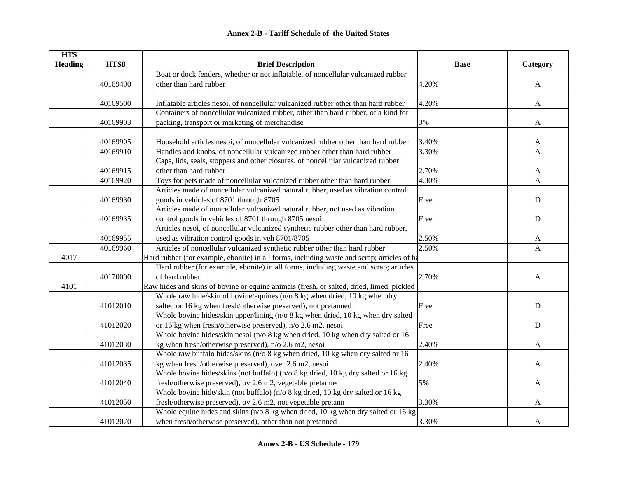| <b>HTS</b>     |          |                                                                                            |             |              |
|----------------|----------|--------------------------------------------------------------------------------------------|-------------|--------------|
| <b>Heading</b> | HTS8     | <b>Brief Description</b>                                                                   | <b>Base</b> | Category     |
|                |          | Boat or dock fenders, whether or not inflatable, of noncellular vulcanized rubber          |             |              |
|                | 40169400 | other than hard rubber                                                                     | 4.20%       | $\mathbf{A}$ |
|                |          |                                                                                            |             |              |
|                | 40169500 | Inflatable articles nesoi, of noncellular vulcanized rubber other than hard rubber         | 4.20%       | $\mathbf{A}$ |
|                |          | Containers of noncellular vulcanized rubber, other than hard rubber, of a kind for         |             |              |
|                | 40169903 | packing, transport or marketing of merchandise                                             | 3%          | A            |
|                |          |                                                                                            |             |              |
|                | 40169905 | Household articles nesoi, of noncellular vulcanized rubber other than hard rubber          | 3.40%       | A            |
|                | 40169910 | Handles and knobs, of noncellular vulcanized rubber other than hard rubber                 | 3.30%       | A            |
|                |          | Caps, lids, seals, stoppers and other closures, of noncellular vulcanized rubber           |             |              |
|                | 40169915 | other than hard rubber                                                                     | 2.70%       | A            |
|                | 40169920 | Toys for pets made of noncellular vulcanized rubber other than hard rubber                 | 4.30%       | $\mathbf{A}$ |
|                |          | Articles made of noncellular vulcanized natural rubber, used as vibration control          |             |              |
|                | 40169930 | goods in vehicles of 8701 through 8705                                                     | Free        | $\mathbf D$  |
|                |          | Articles made of noncellular vulcanized natural rubber, not used as vibration              |             |              |
|                | 40169935 | control goods in vehicles of 8701 through 8705 nesoi                                       | Free        | ${\bf D}$    |
|                |          | Articles nesoi, of noncellular vulcanized synthetic rubber other than hard rubber,         |             |              |
|                | 40169955 | used as vibration control goods in veh 8701/8705                                           | 2.50%       | A            |
|                | 40169960 | Articles of noncellular vulcanized synthetic rubber other than hard rubber                 | 2.50%       | A            |
| 4017           |          | Hard rubber (for example, ebonite) in all forms, including waste and scrap; articles of ha |             |              |
|                |          | Hard rubber (for example, ebonite) in all forms, including waste and scrap; articles       |             |              |
|                | 40170000 | of hard rubber                                                                             | 2.70%       | A            |
| 4101           |          | Raw hides and skins of bovine or equine animais (fresh, or salted, dried, limed, pickled   |             |              |
|                |          | Whole raw hide/skin of bovine/equines (n/o 8 kg when dried, 10 kg when dry                 |             |              |
|                | 41012010 | salted or 16 kg when fresh/otherwise preserved), not pretanned                             | Free        | $\mathbf D$  |
|                |          | Whole bovine hides/skin upper/lining (n/o 8 kg when dried, 10 kg when dry salted           |             |              |
|                | 41012020 | or 16 kg when fresh/otherwise preserved), n/o 2.6 m2, nesoi                                | Free        | $\mathbf D$  |
|                |          | Whole bovine hides/skin nesoi ( $n/0$ 8 kg when dried, 10 kg when dry salted or 16         |             |              |
|                | 41012030 | kg when fresh/otherwise preserved), n/o 2.6 m2, nesoi                                      | 2.40%       | A            |
|                |          | Whole raw buffalo hides/skins (n/o 8 kg when dried, 10 kg when dry salted or 16            |             |              |
|                | 41012035 | kg when fresh/otherwise preserved), over 2.6 m2, nesoi                                     | 2.40%       | A            |
|                |          | Whole bovine hides/skins (not buffalo) (n/o 8 kg dried, 10 kg dry salted or 16 kg          |             |              |
|                | 41012040 | fresh/otherwise preserved), ov 2.6 m2, vegetable pretanned                                 | 5%          | A            |
|                |          | Whole bovine hide/skin (not buffalo) (n/o 8 kg dried, 10 kg dry salted or 16 kg            |             |              |
|                | 41012050 | fresh/otherwise preserved), ov 2.6 m2, not vegetable pretann                               | 3.30%       | A            |
|                |          | Whole equine hides and skins (n/o 8 kg when dried, 10 kg when dry salted or 16 kg          |             |              |
|                | 41012070 | when fresh/otherwise preserved), other than not pretanned                                  | 3.30%       | A            |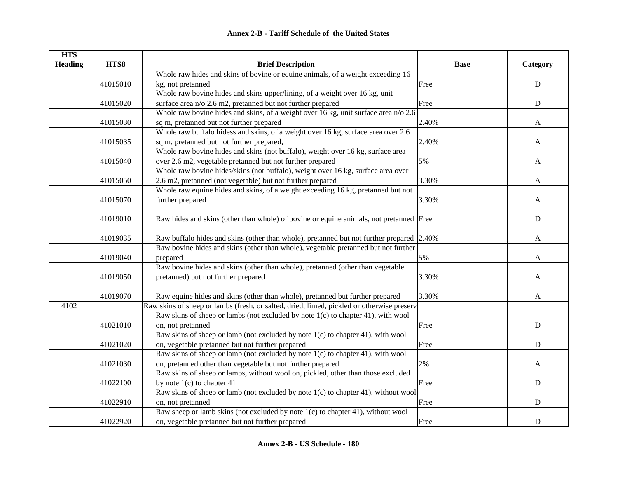| <b>HTS</b>     |          |                                                                                           |             |             |
|----------------|----------|-------------------------------------------------------------------------------------------|-------------|-------------|
| <b>Heading</b> | HTS8     | <b>Brief Description</b>                                                                  | <b>Base</b> | Category    |
|                |          | Whole raw hides and skins of bovine or equine animals, of a weight exceeding 16           |             |             |
|                | 41015010 | kg, not pretanned                                                                         | Free        | ${\bf D}$   |
|                |          | Whole raw bovine hides and skins upper/lining, of a weight over 16 kg, unit               |             |             |
|                | 41015020 | surface area n/o 2.6 m2, pretanned but not further prepared                               | Free        | ${\bf D}$   |
|                |          | Whole raw bovine hides and skins, of a weight over 16 kg, unit surface area n/o 2.6       |             |             |
|                | 41015030 | sq m, pretanned but not further prepared                                                  | 2.40%       | A           |
|                |          | Whole raw buffalo hidess and skins, of a weight over 16 kg, surface area over 2.6         |             |             |
|                | 41015035 | sq m, pretanned but not further prepared,                                                 | 2.40%       | A           |
|                |          | Whole raw bovine hides and skins (not buffalo), weight over 16 kg, surface area           |             |             |
|                | 41015040 | over 2.6 m2, vegetable pretanned but not further prepared                                 | 5%          | A           |
|                |          | Whole raw bovine hides/skins (not buffalo), weight over 16 kg, surface area over          |             |             |
|                | 41015050 | 2.6 m2, pretanned (not vegetable) but not further prepared                                | 3.30%       | A           |
|                |          | Whole raw equine hides and skins, of a weight exceeding 16 kg, pretanned but not          |             |             |
|                | 41015070 | further prepared                                                                          | 3.30%       | A           |
|                |          |                                                                                           |             |             |
|                | 41019010 | Raw hides and skins (other than whole) of bovine or equine animals, not pretanned Free    |             | D           |
|                |          |                                                                                           |             |             |
|                | 41019035 | Raw buffalo hides and skins (other than whole), pretanned but not further prepared 2.40%  |             | A           |
|                |          | Raw bovine hides and skins (other than whole), vegetable pretanned but not further        |             |             |
|                | 41019040 | prepared                                                                                  | 5%          | A           |
|                |          | Raw bovine hides and skins (other than whole), pretanned (other than vegetable            |             |             |
|                | 41019050 | pretanned) but not further prepared                                                       | 3.30%       | A           |
|                |          |                                                                                           |             |             |
|                | 41019070 | Raw equine hides and skins (other than whole), pretanned but further prepared             | 3.30%       | A           |
| 4102           |          | Raw skins of sheep or lambs (fresh, or salted, dried, limed, pickled or otherwise preserv |             |             |
|                |          | Raw skins of sheep or lambs (not excluded by note $1(c)$ to chapter 41), with wool        |             |             |
|                | 41021010 | on, not pretanned                                                                         | Free        | D           |
|                |          | Raw skins of sheep or lamb (not excluded by note 1(c) to chapter 41), with wool           |             |             |
|                | 41021020 | on, vegetable pretanned but not further prepared                                          | Free        | ${\bf D}$   |
|                |          | Raw skins of sheep or lamb (not excluded by note 1(c) to chapter 41), with wool           |             |             |
|                | 41021030 | on, pretanned other than vegetable but not further prepared                               | 2%          | A           |
|                |          | Raw skins of sheep or lambs, without wool on, pickled, other than those excluded          |             |             |
|                | 41022100 | by note $1(c)$ to chapter 41                                                              | Free        | D           |
|                |          | Raw skins of sheep or lamb (not excluded by note $1(c)$ to chapter 41), without wool      |             |             |
|                | 41022910 | on, not pretanned                                                                         | Free        | $\mathbf D$ |
|                |          | Raw sheep or lamb skins (not excluded by note 1(c) to chapter 41), without wool           |             |             |
|                | 41022920 | on, vegetable pretanned but not further prepared                                          | Free        | D           |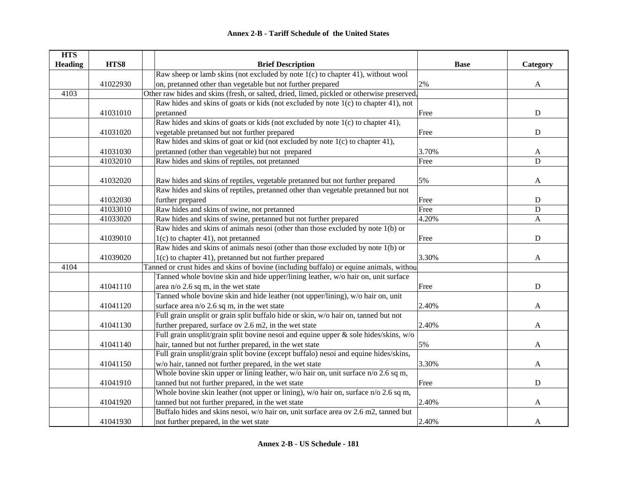| <b>HTS</b>     |          |                                                                                            |             |              |
|----------------|----------|--------------------------------------------------------------------------------------------|-------------|--------------|
| <b>Heading</b> | HTS8     | <b>Brief Description</b>                                                                   | <b>Base</b> | Category     |
|                |          | Raw sheep or lamb skins (not excluded by note $1(c)$ to chapter 41), without wool          |             |              |
|                | 41022930 | on, pretanned other than vegetable but not further prepared                                | 2%          | $\mathbf{A}$ |
| 4103           |          | Other raw hides and skins (fresh, or salted, dried, limed, pickled or otherwise preserved, |             |              |
|                |          | Raw hides and skins of goats or kids (not excluded by note 1(c) to chapter 41), not        |             |              |
|                | 41031010 | pretanned                                                                                  | Free        | ${\bf D}$    |
|                |          | Raw hides and skins of goats or kids (not excluded by note 1(c) to chapter 41),            |             |              |
|                | 41031020 | vegetable pretanned but not further prepared                                               | Free        | ${\bf D}$    |
|                |          | Raw hides and skins of goat or kid (not excluded by note 1(c) to chapter 41),              |             |              |
|                | 41031030 | pretanned (other than vegetable) but not prepared                                          | 3.70%       | A            |
|                | 41032010 | Raw hides and skins of reptiles, not pretanned                                             | Free        | D            |
|                |          |                                                                                            |             |              |
|                | 41032020 | Raw hides and skins of reptiles, vegetable pretanned but not further prepared              | 5%          | A            |
|                |          | Raw hides and skins of reptiles, pretanned other than vegetable pretanned but not          |             |              |
|                | 41032030 | further prepared                                                                           | Free        | ${\bf D}$    |
|                | 41033010 | Raw hides and skins of swine, not pretanned                                                | Free        | $\mathbf D$  |
|                | 41033020 | Raw hides and skins of swine, pretanned but not further prepared                           | 4.20%       | A            |
|                |          | Raw hides and skins of animals nesoi (other than those excluded by note 1(b) or            |             |              |
|                | 41039010 | $1(c)$ to chapter 41), not pretanned                                                       | Free        | ${\bf D}$    |
|                |          | Raw hides and skins of animals nesoi (other than those excluded by note 1(b) or            |             |              |
|                | 41039020 | $1(c)$ to chapter 41), pretanned but not further prepared                                  | 3.30%       | A            |
| 4104           |          | Tanned or crust hides and skins of bovine (including buffalo) or equine animals, withou    |             |              |
|                |          | Tanned whole bovine skin and hide upper/lining leather, w/o hair on, unit surface          |             |              |
|                | 41041110 | area n/o $2.6$ sq m, in the wet state                                                      | Free        | $\mathbf D$  |
|                |          | Tanned whole bovine skin and hide leather (not upper/lining), w/o hair on, unit            |             |              |
|                | 41041120 | surface area $n/0$ 2.6 sq m, in the wet state                                              | 2.40%       | A            |
|                |          | Full grain unsplit or grain split buffalo hide or skin, w/o hair on, tanned but not        |             |              |
|                | 41041130 | further prepared, surface ov 2.6 m2, in the wet state                                      | 2.40%       | A            |
|                |          | Full grain unsplit/grain split bovine nesoi and equine upper $\&$ sole hides/skins, w/o    |             |              |
|                | 41041140 | hair, tanned but not further prepared, in the wet state                                    | 5%          | A            |
|                |          | Full grain unsplit/grain split bovine (except buffalo) nesoi and equine hides/skins,       |             |              |
|                | 41041150 | w/o hair, tanned not further prepared, in the wet state                                    | 3.30%       | A            |
|                |          | Whole bovine skin upper or lining leather, w/o hair on, unit surface n/o 2.6 sq m,         |             |              |
|                | 41041910 | tanned but not further prepared, in the wet state                                          | Free        | $\mathbf D$  |
|                |          | Whole bovine skin leather (not upper or lining), $w/o$ hair on, surface $n/o$ 2.6 sq m,    |             |              |
|                | 41041920 | tanned but not further prepared, in the wet state                                          | 2.40%       | A            |
|                |          | Buffalo hides and skins nesoi, w/o hair on, unit surface area ov 2.6 m2, tanned but        |             |              |
|                | 41041930 | not further prepared, in the wet state                                                     | 2.40%       | A            |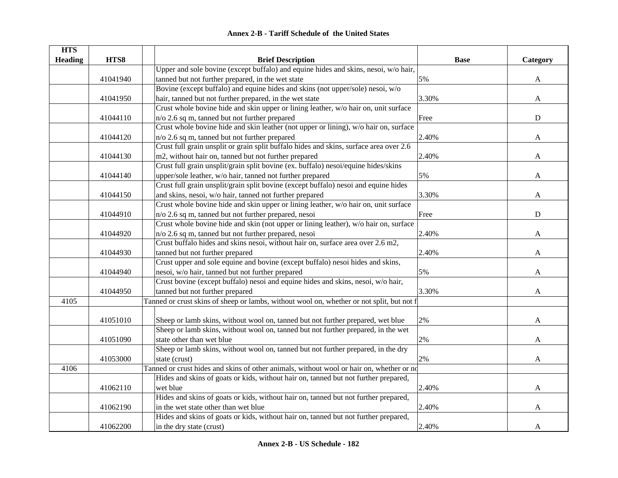| <b>HTS</b>     |          |                                                                                           |             |             |
|----------------|----------|-------------------------------------------------------------------------------------------|-------------|-------------|
| <b>Heading</b> | HTS8     | <b>Brief Description</b>                                                                  | <b>Base</b> | Category    |
|                |          | Upper and sole bovine (except buffalo) and equine hides and skins, nesoi, w/o hair,       |             |             |
|                | 41041940 | tanned but not further prepared, in the wet state                                         | 5%          | A           |
|                |          | Bovine (except buffalo) and equine hides and skins (not upper/sole) nesoi, w/o            |             |             |
|                | 41041950 | hair, tanned but not further prepared, in the wet state                                   | 3.30%       | A           |
|                |          | Crust whole bovine hide and skin upper or lining leather, w/o hair on, unit surface       |             |             |
|                | 41044110 | n/o 2.6 sq m, tanned but not further prepared                                             | Free        | $\mathbf D$ |
|                |          | Crust whole bovine hide and skin leather (not upper or lining), w/o hair on, surface      |             |             |
|                | 41044120 | n/o 2.6 sq m, tanned but not further prepared                                             | 2.40%       | A           |
|                |          | Crust full grain unsplit or grain split buffalo hides and skins, surface area over 2.6    |             |             |
|                | 41044130 | m2, without hair on, tanned but not further prepared                                      | 2.40%       | A           |
|                |          | Crust full grain unsplit/grain split bovine (ex. buffalo) nesoi/equine hides/skins        |             |             |
|                | 41044140 | upper/sole leather, w/o hair, tanned not further prepared                                 | 5%          | A           |
|                |          | Crust full grain unsplit/grain split bovine (except buffalo) nesoi and equine hides       |             |             |
|                | 41044150 | and skins, nesoi, w/o hair, tanned not further prepared                                   | 3.30%       | A           |
|                |          | Crust whole bovine hide and skin upper or lining leather, w/o hair on, unit surface       |             |             |
|                | 41044910 | n/o 2.6 sq m, tanned but not further prepared, nesoi                                      | Free        | $\mathbf D$ |
|                |          | Crust whole bovine hide and skin (not upper or lining leather), w/o hair on, surface      |             |             |
|                | 41044920 | $n/\sigma$ 2.6 sq m, tanned but not further prepared, nesoi                               | 2.40%       | A           |
|                |          | Crust buffalo hides and skins nesoi, without hair on, surface area over 2.6 m2,           |             |             |
|                | 41044930 | tanned but not further prepared                                                           | 2.40%       | A           |
|                |          | Crust upper and sole equine and bovine (except buffalo) nesoi hides and skins,            |             |             |
|                | 41044940 | nesoi, w/o hair, tanned but not further prepared                                          | 5%          | A           |
|                |          | Crust bovine (except buffalo) nesoi and equine hides and skins, nesoi, w/o hair,          |             |             |
|                | 41044950 | tanned but not further prepared                                                           | 3.30%       | A           |
| 4105           |          | Tanned or crust skins of sheep or lambs, without wool on, whether or not split, but not f |             |             |
|                |          |                                                                                           |             |             |
|                | 41051010 | Sheep or lamb skins, without wool on, tanned but not further prepared, wet blue           | 2%          | A           |
|                |          | Sheep or lamb skins, without wool on, tanned but not further prepared, in the wet         |             |             |
|                | 41051090 | state other than wet blue                                                                 | 2%          | A           |
|                |          | Sheep or lamb skins, without wool on, tanned but not further prepared, in the dry         |             |             |
|                | 41053000 | state (crust)                                                                             | 2%          | A           |
| 4106           |          | Tanned or crust hides and skins of other animals, without wool or hair on, whether or no  |             |             |
|                |          | Hides and skins of goats or kids, without hair on, tanned but not further prepared,       |             |             |
|                | 41062110 | wet blue                                                                                  | 2.40%       | A           |
|                |          | Hides and skins of goats or kids, without hair on, tanned but not further prepared,       |             |             |
|                | 41062190 | in the wet state other than wet blue                                                      | 2.40%       | A           |
|                |          | Hides and skins of goats or kids, without hair on, tanned but not further prepared,       |             |             |
|                | 41062200 | in the dry state (crust)                                                                  | 2.40%       | A           |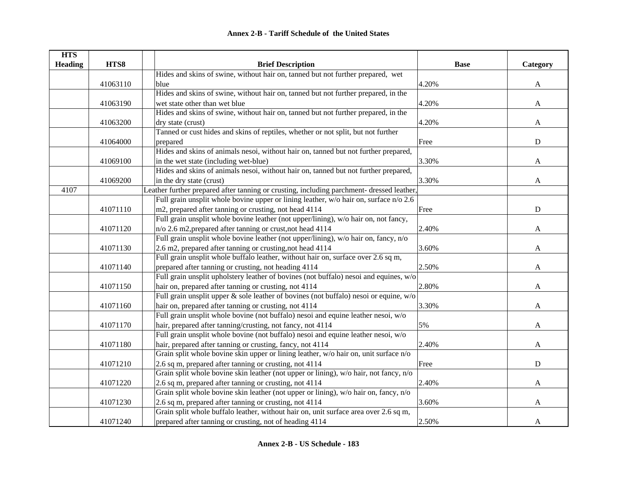| <b>HTS</b>     |          |                                                                                           |             |              |
|----------------|----------|-------------------------------------------------------------------------------------------|-------------|--------------|
| <b>Heading</b> | HTS8     | <b>Brief Description</b>                                                                  | <b>Base</b> | Category     |
|                |          | Hides and skins of swine, without hair on, tanned but not further prepared, wet           |             |              |
|                | 41063110 | blue                                                                                      | 4.20%       | $\mathbf{A}$ |
|                |          | Hides and skins of swine, without hair on, tanned but not further prepared, in the        |             |              |
|                | 41063190 | wet state other than wet blue                                                             | 4.20%       | $\mathbf{A}$ |
|                |          | Hides and skins of swine, without hair on, tanned but not further prepared, in the        |             |              |
|                | 41063200 | dry state (crust)                                                                         | 4.20%       | $\mathbf{A}$ |
|                |          | Tanned or cust hides and skins of reptiles, whether or not split, but not further         |             |              |
|                | 41064000 | prepared                                                                                  | Free        | ${\bf D}$    |
|                |          | Hides and skins of animals nesoi, without hair on, tanned but not further prepared,       |             |              |
|                | 41069100 | in the wet state (including wet-blue)                                                     | 3.30%       | A            |
|                |          | Hides and skins of animals nesoi, without hair on, tanned but not further prepared,       |             |              |
|                | 41069200 | in the dry state (crust)                                                                  | 3.30%       | A            |
| 4107           |          | Leather further prepared after tanning or crusting, including parchment- dressed leather, |             |              |
|                |          | Full grain unsplit whole bovine upper or lining leather, w/o hair on, surface n/o 2.6     |             |              |
|                | 41071110 | m2, prepared after tanning or crusting, not head 4114                                     | Free        | $\mathbf D$  |
|                |          | Full grain unsplit whole bovine leather (not upper/lining), w/o hair on, not fancy,       |             |              |
|                | 41071120 | n/o 2.6 m2, prepared after tanning or crust, not head 4114                                | 2.40%       | A            |
|                |          | Full grain unsplit whole bovine leather (not upper/lining), w/o hair on, fancy, n/o       |             |              |
|                | 41071130 | 2.6 m2, prepared after tanning or crusting, not head 4114                                 | 3.60%       | A            |
|                |          | Full grain unsplit whole buffalo leather, without hair on, surface over 2.6 sq m,         |             |              |
|                | 41071140 | prepared after tanning or crusting, not heading 4114                                      | 2.50%       | A            |
|                |          | Full grain unsplit upholstery leather of bovines (not buffalo) nesoi and equines, w/o     |             |              |
|                | 41071150 | hair on, prepared after tanning or crusting, not 4114                                     | 2.80%       | A            |
|                |          | Full grain unsplit upper & sole leather of bovines (not buffalo) nesoi or equine, w/o     |             |              |
|                | 41071160 | hair on, prepared after tanning or crusting, not 4114                                     | 3.30%       | A            |
|                |          | Full grain unsplit whole bovine (not buffalo) nesoi and equine leather nesoi, w/o         |             |              |
|                | 41071170 | hair, prepared after tanning/crusting, not fancy, not 4114                                | 5%          | A            |
|                |          | Full grain unsplit whole bovine (not buffalo) nesoi and equine leather nesoi, w/o         |             |              |
|                | 41071180 | hair, prepared after tanning or crusting, fancy, not 4114                                 | 2.40%       | A            |
|                |          | Grain split whole bovine skin upper or lining leather, w/o hair on, unit surface n/o      |             |              |
|                | 41071210 | 2.6 sq m, prepared after tanning or crusting, not 4114                                    | Free        | ${\bf D}$    |
|                |          | Grain split whole bovine skin leather (not upper or lining), w/o hair, not fancy, n/o     |             |              |
|                | 41071220 | 2.6 sq m, prepared after tanning or crusting, not 4114                                    | 2.40%       | $\mathbf{A}$ |
|                |          | Grain split whole bovine skin leather (not upper or lining), w/o hair on, fancy, n/o      |             |              |
|                | 41071230 | 2.6 sq m, prepared after tanning or crusting, not 4114                                    | 3.60%       | A            |
|                |          | Grain split whole buffalo leather, without hair on, unit surface area over 2.6 sq m,      |             |              |
|                | 41071240 | prepared after tanning or crusting, not of heading 4114                                   | 2.50%       | A            |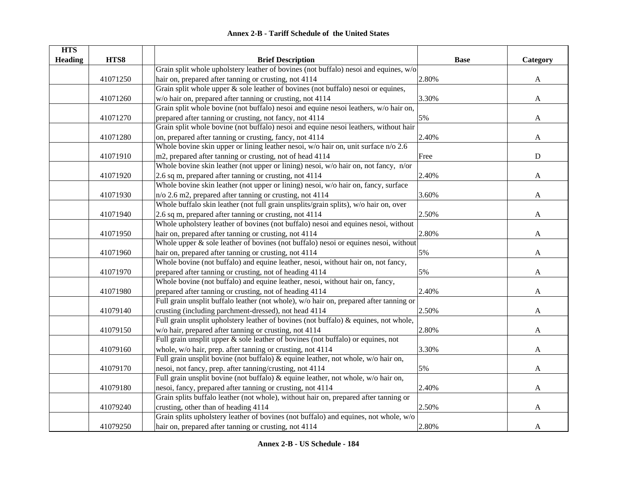|  | <b>Annex 2-B - Tariff Schedule of the United States</b> |  |
|--|---------------------------------------------------------|--|
|--|---------------------------------------------------------|--|

| <b>HTS</b>     |          |                                                                                        |             |              |
|----------------|----------|----------------------------------------------------------------------------------------|-------------|--------------|
| <b>Heading</b> | HTS8     | <b>Brief Description</b>                                                               | <b>Base</b> | Category     |
|                |          | Grain split whole upholstery leather of bovines (not buffalo) nesoi and equines, w/o   |             |              |
|                | 41071250 | hair on, prepared after tanning or crusting, not 4114                                  | 2.80%       | A            |
|                |          | Grain split whole upper $\&$ sole leather of bovines (not buffalo) nesoi or equines,   |             |              |
|                | 41071260 | w/o hair on, prepared after tanning or crusting, not 4114                              | 3.30%       | $\mathbf{A}$ |
|                |          | Grain split whole bovine (not buffalo) nesoi and equine nesoi leathers, w/o hair on,   |             |              |
|                | 41071270 | prepared after tanning or crusting, not fancy, not 4114                                | 5%          | $\mathbf{A}$ |
|                |          | Grain split whole bovine (not buffalo) nesoi and equine nesoi leathers, without hair   |             |              |
|                | 41071280 | on, prepared after tanning or crusting, fancy, not 4114                                | 2.40%       | A            |
|                |          | Whole bovine skin upper or lining leather nesoi, w/o hair on, unit surface n/o 2.6     |             |              |
|                | 41071910 | m2, prepared after tanning or crusting, not of head 4114                               | Free        | ${\bf D}$    |
|                |          | Whole bovine skin leather (not upper or lining) nesoi, w/o hair on, not fancy, n/or    |             |              |
|                | 41071920 | 2.6 sq m, prepared after tanning or crusting, not 4114                                 | 2.40%       | A            |
|                |          | Whole bovine skin leather (not upper or lining) nesoi, w/o hair on, fancy, surface     |             |              |
|                | 41071930 | n/o 2.6 m2, prepared after tanning or crusting, not 4114                               | 3.60%       | A            |
|                |          | Whole buffalo skin leather (not full grain unsplits/grain splits), w/o hair on, over   |             |              |
|                | 41071940 | 2.6 sq m, prepared after tanning or crusting, not 4114                                 | 2.50%       | A            |
|                |          | Whole upholstery leather of bovines (not buffalo) nesoi and equines nesoi, without     |             |              |
|                | 41071950 | hair on, prepared after tanning or crusting, not 4114                                  | 2.80%       | $\mathbf{A}$ |
|                |          | Whole upper $\&$ sole leather of bovines (not buffalo) nesoi or equines nesoi, without |             |              |
|                | 41071960 | hair on, prepared after tanning or crusting, not 4114                                  | 5%          | $\mathbf{A}$ |
|                |          | Whole bovine (not buffalo) and equine leather, nesoi, without hair on, not fancy,      |             |              |
|                | 41071970 | prepared after tanning or crusting, not of heading 4114                                | 5%          | A            |
|                |          | Whole bovine (not buffalo) and equine leather, nesoi, without hair on, fancy,          |             |              |
|                | 41071980 | prepared after tanning or crusting, not of heading 4114                                | 2.40%       | A            |
|                |          | Full grain unsplit buffalo leather (not whole), w/o hair on, prepared after tanning or |             |              |
|                | 41079140 | crusting (including parchment-dressed), not head 4114                                  | 2.50%       | A            |
|                |          | Full grain unsplit upholstery leather of bovines (not buffalo) & equines, not whole,   |             |              |
|                | 41079150 | w/o hair, prepared after tanning or crusting, not 4114                                 | 2.80%       | A            |
|                |          | Full grain unsplit upper $\&$ sole leather of bovines (not buffalo) or equines, not    |             |              |
|                | 41079160 | whole, w/o hair, prep. after tanning or crusting, not 4114                             | 3.30%       | A            |
|                |          | Full grain unsplit bovine (not buffalo) $\&$ equine leather, not whole, w/o hair on,   |             |              |
|                | 41079170 | nesoi, not fancy, prep. after tanning/crusting, not 4114                               | 5%          | A            |
|                |          | Full grain unsplit bovine (not buffalo) $\&$ equine leather, not whole, w/o hair on,   |             |              |
|                | 41079180 | nesoi, fancy, prepared after tanning or crusting, not 4114                             | 2.40%       | A            |
|                |          | Grain splits buffalo leather (not whole), without hair on, prepared after tanning or   |             |              |
|                | 41079240 | crusting, other than of heading 4114                                                   | 2.50%       | A            |
|                |          | Grain splits upholstery leather of bovines (not buffalo) and equines, not whole, w/o   |             |              |
|                | 41079250 | hair on, prepared after tanning or crusting, not 4114                                  | 2.80%       | $\mathbf{A}$ |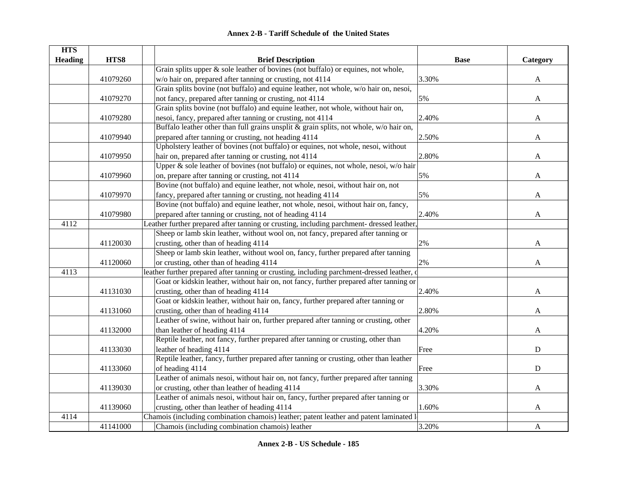| <b>HTS</b>     |          |                                                                                            |             |              |
|----------------|----------|--------------------------------------------------------------------------------------------|-------------|--------------|
| <b>Heading</b> | HTS8     | <b>Brief Description</b>                                                                   | <b>Base</b> | Category     |
|                |          | Grain splits upper $\&$ sole leather of bovines (not buffalo) or equines, not whole,       |             |              |
|                | 41079260 | w/o hair on, prepared after tanning or crusting, not 4114                                  | 3.30%       | A            |
|                |          | Grain splits bovine (not buffalo) and equine leather, not whole, w/o hair on, nesoi,       |             |              |
|                | 41079270 | not fancy, prepared after tanning or crusting, not 4114                                    | 5%          | A            |
|                |          | Grain splits bovine (not buffalo) and equine leather, not whole, without hair on,          |             |              |
|                | 41079280 | nesoi, fancy, prepared after tanning or crusting, not 4114                                 | 2.40%       | A            |
|                |          | Buffalo leather other than full grains unsplit & grain splits, not whole, w/o hair on,     |             |              |
|                | 41079940 | prepared after tanning or crusting, not heading 4114                                       | 2.50%       | A            |
|                |          | Upholstery leather of bovines (not buffalo) or equines, not whole, nesoi, without          |             |              |
|                | 41079950 | hair on, prepared after tanning or crusting, not 4114                                      | 2.80%       | A            |
|                |          | Upper & sole leather of bovines (not buffalo) or equines, not whole, nesoi, w/o hair       |             |              |
|                | 41079960 | on, prepare after tanning or crusting, not 4114                                            | 5%          | A            |
|                |          | Bovine (not buffalo) and equine leather, not whole, nesoi, without hair on, not            |             |              |
|                | 41079970 | fancy, prepared after tanning or crusting, not heading 4114                                | 5%          | A            |
|                |          | Bovine (not buffalo) and equine leather, not whole, nesoi, without hair on, fancy,         |             |              |
|                | 41079980 | prepared after tanning or crusting, not of heading 4114                                    | 2.40%       | A            |
| 4112           |          | Leather further prepared after tanning or crusting, including parchment- dressed leather,  |             |              |
|                |          | Sheep or lamb skin leather, without wool on, not fancy, prepared after tanning or          |             |              |
|                | 41120030 | crusting, other than of heading 4114                                                       | 2%          | A            |
|                |          | Sheep or lamb skin leather, without wool on, fancy, further prepared after tanning         |             |              |
|                | 41120060 | or crusting, other than of heading 4114                                                    | 2%          | $\mathbf{A}$ |
| 4113           |          | leather further prepared after tanning or crusting, including parchment-dressed leather, o |             |              |
|                |          | Goat or kidskin leather, without hair on, not fancy, further prepared after tanning or     |             |              |
|                | 41131030 | crusting, other than of heading 4114                                                       | 2.40%       | A            |
|                |          | Goat or kidskin leather, without hair on, fancy, further prepared after tanning or         |             |              |
|                | 41131060 | crusting, other than of heading 4114                                                       | 2.80%       | A            |
|                |          | Leather of swine, without hair on, further prepared after tanning or crusting, other       |             |              |
|                | 41132000 | than leather of heading 4114                                                               | 4.20%       | A            |
|                |          | Reptile leather, not fancy, further prepared after tanning or crusting, other than         |             |              |
|                | 41133030 | leather of heading 4114                                                                    | Free        | ${\bf D}$    |
|                |          | Reptile leather, fancy, further prepared after tanning or crusting, other than leather     |             |              |
|                | 41133060 | of heading 4114                                                                            | Free        | $\mathbf D$  |
|                |          | Leather of animals nesoi, without hair on, not fancy, further prepared after tanning       |             |              |
|                | 41139030 | or crusting, other than leather of heading 4114                                            | 3.30%       | A            |
|                |          | Leather of animals nesoi, without hair on, fancy, further prepared after tanning or        |             |              |
|                | 41139060 | crusting, other than leather of heading 4114                                               | 1.60%       | A            |
| 4114           |          | Chamois (including combination chamois) leather; patent leather and patent laminated le    |             |              |
|                | 41141000 | Chamois (including combination chamois) leather                                            | 3.20%       | $\mathbf{A}$ |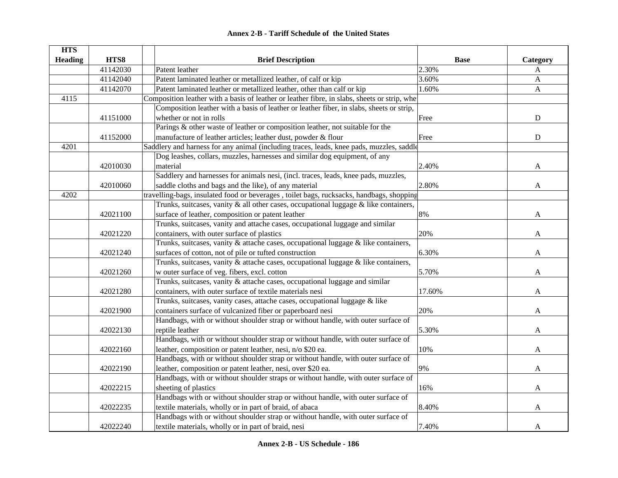| <b>HTS</b>     |          |                                                                                              |             |              |
|----------------|----------|----------------------------------------------------------------------------------------------|-------------|--------------|
| <b>Heading</b> | HTS8     | <b>Brief Description</b>                                                                     | <b>Base</b> | Category     |
|                | 41142030 | Patent leather                                                                               | 2.30%       | A            |
|                | 41142040 | Patent laminated leather or metallized leather, of calf or kip                               | 3.60%       | $\mathbf{A}$ |
|                | 41142070 | Patent laminated leather or metallized leather, other than calf or kip                       | 1.60%       | $\mathbf{A}$ |
| 4115           |          | Composition leather with a basis of leather or leather fibre, in slabs, sheets or strip, whe |             |              |
|                |          | Composition leather with a basis of leather or leather fiber, in slabs, sheets or strip,     |             |              |
|                | 41151000 | whether or not in rolls                                                                      | Free        | ${\bf D}$    |
|                |          | Parings & other waste of leather or composition leather, not suitable for the                |             |              |
|                | 41152000 | manufacture of leather articles; leather dust, powder & flour                                | Free        | ${\bf D}$    |
| 4201           |          | Saddlery and harness for any animal (including traces, leads, knee pads, muzzles, saddle     |             |              |
|                |          | Dog leashes, collars, muzzles, harnesses and similar dog equipment, of any                   |             |              |
|                | 42010030 | material                                                                                     | 2.40%       | A            |
|                |          | Saddlery and harnesses for animals nesi, (incl. traces, leads, knee pads, muzzles,           |             |              |
|                | 42010060 | saddle cloths and bags and the like), of any material                                        | 2.80%       | A            |
| 4202           |          | travelling-bags, insulated food or beverages, toilet bags, rucksacks, handbags, shopping     |             |              |
|                |          | Trunks, suitcases, vanity $\&$ all other cases, occupational luggage $\&$ like containers,   |             |              |
|                | 42021100 | surface of leather, composition or patent leather                                            | 8%          | A            |
|                |          | Trunks, suitcases, vanity and attache cases, occupational luggage and similar                |             |              |
|                | 42021220 | containers, with outer surface of plastics                                                   | 20%         | A            |
|                |          | Trunks, suitcases, vanity & attache cases, occupational luggage & like containers,           |             |              |
|                | 42021240 | surfaces of cotton, not of pile or tufted construction                                       | 6.30%       | A            |
|                |          | Trunks, suitcases, vanity & attache cases, occupational luggage & like containers,           |             |              |
|                | 42021260 | w outer surface of veg. fibers, excl. cotton                                                 | 5.70%       | A            |
|                |          | Trunks, suitcases, vanity & attache cases, occupational luggage and similar                  |             |              |
|                | 42021280 | containers, with outer surface of textile materials nesi                                     | 17.60%      | A            |
|                |          | Trunks, suitcases, vanity cases, attache cases, occupational luggage & like                  |             |              |
|                | 42021900 | containers surface of vulcanized fiber or paperboard nesi                                    | 20%         | A            |
|                |          | Handbags, with or without shoulder strap or without handle, with outer surface of            |             |              |
|                | 42022130 | reptile leather                                                                              | 5.30%       | A            |
|                |          | Handbags, with or without shoulder strap or without handle, with outer surface of            |             |              |
|                | 42022160 | leather, composition or patent leather, nesi, n/o \$20 ea.                                   | 10%         | A            |
|                |          | Handbags, with or without shoulder strap or without handle, with outer surface of            |             |              |
|                | 42022190 | leather, composition or patent leather, nesi, over \$20 ea.                                  | 9%          | A            |
|                |          | Handbags, with or without shoulder straps or without handle, with outer surface of           |             |              |
|                | 42022215 | sheeting of plastics                                                                         | 16%         | A            |
|                |          | Handbags with or without shoulder strap or without handle, with outer surface of             |             |              |
|                | 42022235 | textile materials, wholly or in part of braid, of abaca                                      | 8.40%       | A            |
|                |          | Handbags with or without shoulder strap or without handle, with outer surface of             |             |              |
|                | 42022240 | textile materials, wholly or in part of braid, nesi                                          | 7.40%       | A            |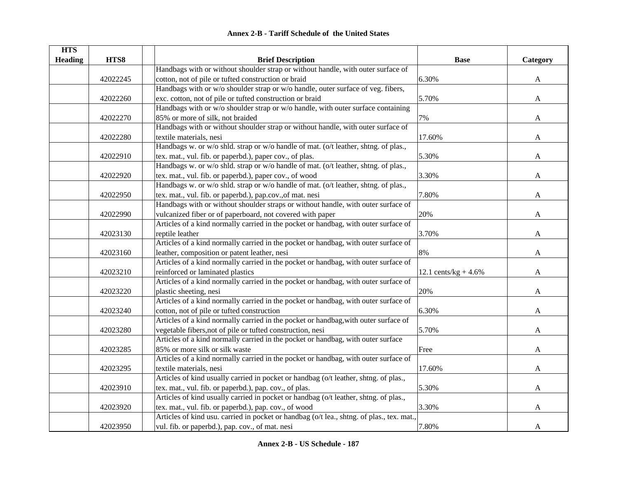| <b>HTS</b>     |          |                                                                                           |                         |          |
|----------------|----------|-------------------------------------------------------------------------------------------|-------------------------|----------|
| <b>Heading</b> | HTS8     | <b>Brief Description</b>                                                                  | <b>Base</b>             | Category |
|                |          | Handbags with or without shoulder strap or without handle, with outer surface of          |                         |          |
|                | 42022245 | cotton, not of pile or tufted construction or braid                                       | 6.30%                   | A        |
|                |          | Handbags with or w/o shoulder strap or w/o handle, outer surface of veg. fibers,          |                         |          |
|                | 42022260 | exc. cotton, not of pile or tufted construction or braid                                  | 5.70%                   | A        |
|                |          | Handbags with or w/o shoulder strap or w/o handle, with outer surface containing          |                         |          |
|                | 42022270 | 85% or more of silk, not braided                                                          | 7%                      | A        |
|                |          | Handbags with or without shoulder strap or without handle, with outer surface of          |                         |          |
|                | 42022280 | textile materials, nesi                                                                   | 17.60%                  | A        |
|                |          | Handbags w. or w/o shld. strap or w/o handle of mat. (o/t leather, shtng. of plas.,       |                         |          |
|                | 42022910 | tex. mat., vul. fib. or paperbd.), paper cov., of plas.                                   | 5.30%                   | A        |
|                |          | Handbags w. or w/o shld. strap or w/o handle of mat. (o/t leather, shtng. of plas.,       |                         |          |
|                | 42022920 | tex. mat., vul. fib. or paperbd.), paper cov., of wood                                    | 3.30%                   | A        |
|                |          | Handbags w. or w/o shld. strap or w/o handle of mat. (o/t leather, shtng. of plas.,       |                         |          |
|                | 42022950 | tex. mat., vul. fib. or paperbd.), pap.cov., of mat. nesi                                 | 7.80%                   | A        |
|                |          | Handbags with or without shoulder straps or without handle, with outer surface of         |                         |          |
|                | 42022990 | vulcanized fiber or of paperboard, not covered with paper                                 | 20%                     | A        |
|                |          | Articles of a kind normally carried in the pocket or handbag, with outer surface of       |                         |          |
|                | 42023130 | reptile leather                                                                           | 3.70%                   | A        |
|                |          | Articles of a kind normally carried in the pocket or handbag, with outer surface of       |                         |          |
|                | 42023160 | leather, composition or patent leather, nesi                                              | 8%                      | A        |
|                |          | Articles of a kind normally carried in the pocket or handbag, with outer surface of       |                         |          |
|                | 42023210 | reinforced or laminated plastics                                                          | 12.1 cents/kg + $4.6\%$ | A        |
|                |          | Articles of a kind normally carried in the pocket or handbag, with outer surface of       |                         |          |
|                | 42023220 | plastic sheeting, nesi                                                                    | 20%                     | A        |
|                |          | Articles of a kind normally carried in the pocket or handbag, with outer surface of       |                         |          |
|                | 42023240 | cotton, not of pile or tufted construction                                                | 6.30%                   | A        |
|                |          | Articles of a kind normally carried in the pocket or handbag, with outer surface of       |                         |          |
|                | 42023280 | vegetable fibers, not of pile or tufted construction, nesi                                | 5.70%                   | A        |
|                |          | Articles of a kind normally carried in the pocket or handbag, with outer surface          |                         |          |
|                | 42023285 | 85% or more silk or silk waste                                                            | Free                    | A        |
|                |          | Articles of a kind normally carried in the pocket or handbag, with outer surface of       |                         |          |
|                | 42023295 | textile materials, nesi                                                                   | 17.60%                  | A        |
|                |          | Articles of kind usually carried in pocket or handbag (o/t leather, shtng. of plas.,      |                         |          |
|                | 42023910 | tex. mat., vul. fib. or paperbd.), pap. cov., of plas.                                    | 5.30%                   | A        |
|                |          | Articles of kind usually carried in pocket or handbag (o/t leather, shtng. of plas.,      |                         |          |
|                | 42023920 | tex. mat., vul. fib. or paperbd.), pap. cov., of wood                                     | 3.30%                   | A        |
|                |          | Articles of kind usu. carried in pocket or handbag (o/t lea., shtng. of plas., tex. mat., |                         |          |
|                | 42023950 | vul. fib. or paperbd.), pap. cov., of mat. nesi                                           | 7.80%                   | A        |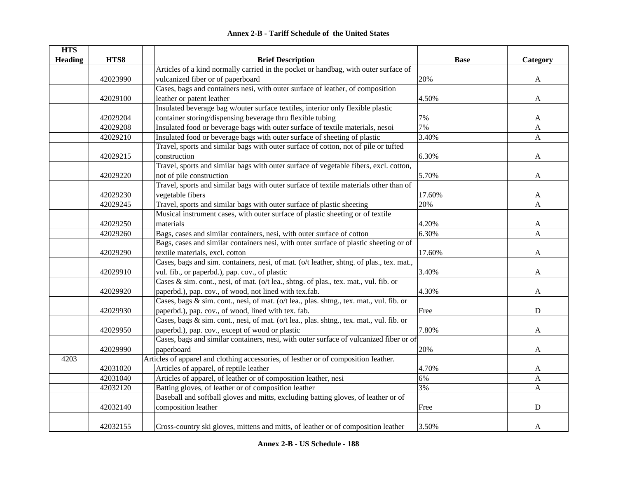|  | <b>Annex 2-B - Tariff Schedule of the United States</b> |  |
|--|---------------------------------------------------------|--|
|--|---------------------------------------------------------|--|

| <b>HTS</b>     |          |                                                                                          |             |              |
|----------------|----------|------------------------------------------------------------------------------------------|-------------|--------------|
| <b>Heading</b> | HTS8     | <b>Brief Description</b>                                                                 | <b>Base</b> | Category     |
|                |          | Articles of a kind normally carried in the pocket or handbag, with outer surface of      |             |              |
|                | 42023990 | vulcanized fiber or of paperboard                                                        | 20%         | A            |
|                |          | Cases, bags and containers nesi, with outer surface of leather, of composition           |             |              |
|                | 42029100 | leather or patent leather                                                                | 4.50%       | A            |
|                |          | Insulated beverage bag w/outer surface textiles, interior only flexible plastic          |             |              |
|                | 42029204 | container storing/dispensing beverage thru flexible tubing                               | 7%          | A            |
|                | 42029208 | Insulated food or beverage bags with outer surface of textile materials, nesoi           | 7%          | A            |
|                | 42029210 | Insulated food or beverage bags with outer surface of sheeting of plastic                | 3.40%       | A            |
|                |          | Travel, sports and similar bags with outer surface of cotton, not of pile or tufted      |             |              |
|                | 42029215 | construction                                                                             | 6.30%       | A            |
|                |          | Travel, sports and similar bags with outer surface of vegetable fibers, excl. cotton,    |             |              |
|                | 42029220 | not of pile construction                                                                 | 5.70%       | A            |
|                |          | Travel, sports and similar bags with outer surface of textile materials other than of    |             |              |
|                | 42029230 | vegetable fibers                                                                         | 17.60%      | A            |
|                | 42029245 | Travel, sports and similar bags with outer surface of plastic sheeting                   | 20%         | A            |
|                |          | Musical instrument cases, with outer surface of plastic sheeting or of textile           |             |              |
|                | 42029250 | materials                                                                                | 4.20%       | A            |
|                | 42029260 | Bags, cases and similar containers, nesi, with outer surface of cotton                   | 6.30%       | A            |
|                |          | Bags, cases and similar containers nesi, with outer surface of plastic sheeting or of    |             |              |
|                | 42029290 | textile materials, excl. cotton                                                          | 17.60%      | $\mathbf{A}$ |
|                |          | Cases, bags and sim. containers, nesi, of mat. (o/t leather, shtng. of plas., tex. mat., |             |              |
|                | 42029910 | vul. fib., or paperbd.), pap. cov., of plastic                                           | 3.40%       | A            |
|                |          | Cases & sim. cont., nesi, of mat. (o/t lea., shtng. of plas., tex. mat., vul. fib. or    |             |              |
|                | 42029920 | paperbd.), pap. cov., of wood, not lined with tex.fab.                                   | 4.30%       | A            |
|                |          | Cases, bags & sim. cont., nesi, of mat. (o/t lea., plas. shtng., tex. mat., vul. fib. or |             |              |
|                | 42029930 | paperbd.), pap. cov., of wood, lined with tex. fab.                                      | Free        | D            |
|                |          | Cases, bags & sim. cont., nesi, of mat. (o/t lea., plas. shtng., tex. mat., vul. fib. or |             |              |
|                | 42029950 | paperbd.), pap. cov., except of wood or plastic                                          | 7.80%       | A            |
|                |          | Cases, bags and similar containers, nesi, with outer surface of vulcanized fiber or of   |             |              |
|                | 42029990 | paperboard                                                                               | 20%         | A            |
| 4203           |          | Articles of apparel and clothing accessories, of lesther or of composition leather.      |             |              |
|                | 42031020 | Articles of apparel, of reptile leather                                                  | 4.70%       | A            |
|                | 42031040 | Articles of apparel, of leather or of composition leather, nesi                          | 6%          | A            |
|                | 42032120 | Batting gloves, of leather or of composition leather                                     | 3%          | $\mathbf{A}$ |
|                |          | Baseball and softball gloves and mitts, excluding batting gloves, of leather or of       |             |              |
|                | 42032140 | composition leather                                                                      | Free        | ${\bf D}$    |
|                |          |                                                                                          |             |              |
|                | 42032155 | Cross-country ski gloves, mittens and mitts, of leather or of composition leather        | 3.50%       | A            |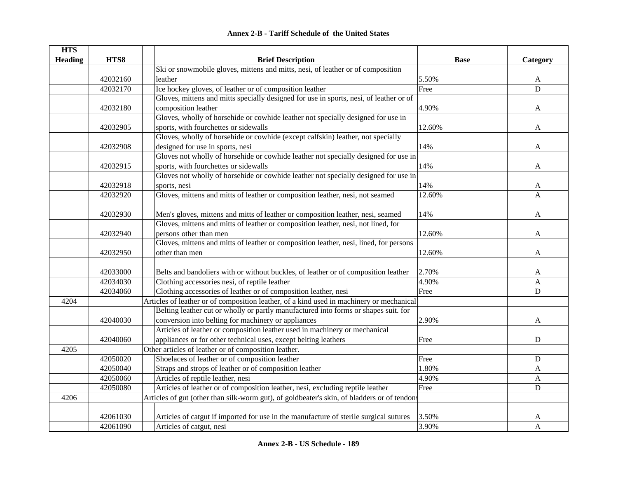| <b>Annex 2-B - Tariff Schedule of the United States</b> |  |
|---------------------------------------------------------|--|
|---------------------------------------------------------|--|

| Ski or snowmobile gloves, mittens and mitts, nesi, of leather or of composition<br>42032160<br>leather<br>5.50%<br>A<br>Ice hockey gloves, of leather or of composition leather<br>42032170<br>Free<br>D<br>Gloves, mittens and mitts specially designed for use in sports, nesi, of leather or of<br>composition leather<br>42032180<br>4.90%<br>A<br>Gloves, wholly of horsehide or cowhide leather not specially designed for use in<br>sports, with fourchettes or sidewalls<br>12.60%<br>42032905<br>A<br>Gloves, wholly of horsehide or cowhide (except calfskin) leather, not specially<br>14%<br>42032908<br>designed for use in sports, nesi<br>A<br>Gloves not wholly of horsehide or cowhide leather not specially designed for use in<br>sports, with fourchettes or sidewalls<br>14%<br>42032915<br>A<br>Gloves not wholly of horsehide or cowhide leather not specially designed for use in<br>42032918<br>14%<br>sports, nesi<br>A<br>42032920<br>Gloves, mittens and mitts of leather or composition leather, nesi, not seamed<br>12.60%<br>A<br>42032930<br>Men's gloves, mittens and mitts of leather or composition leather, nesi, seamed<br>14%<br>A<br>Gloves, mittens and mitts of leather or composition leather, nesi, not lined, for<br>persons other than men<br>42032940<br>12.60%<br>A<br>Gloves, mittens and mitts of leather or composition leather, nesi, lined, for persons<br>other than men<br>42032950<br>12.60%<br>A | <b>HTS</b>     |      |                          |             |          |
|----------------------------------------------------------------------------------------------------------------------------------------------------------------------------------------------------------------------------------------------------------------------------------------------------------------------------------------------------------------------------------------------------------------------------------------------------------------------------------------------------------------------------------------------------------------------------------------------------------------------------------------------------------------------------------------------------------------------------------------------------------------------------------------------------------------------------------------------------------------------------------------------------------------------------------------------------------------------------------------------------------------------------------------------------------------------------------------------------------------------------------------------------------------------------------------------------------------------------------------------------------------------------------------------------------------------------------------------------------------------------------------------------------------------------------------------------------|----------------|------|--------------------------|-------------|----------|
|                                                                                                                                                                                                                                                                                                                                                                                                                                                                                                                                                                                                                                                                                                                                                                                                                                                                                                                                                                                                                                                                                                                                                                                                                                                                                                                                                                                                                                                          | <b>Heading</b> | HTS8 | <b>Brief Description</b> | <b>Base</b> | Category |
|                                                                                                                                                                                                                                                                                                                                                                                                                                                                                                                                                                                                                                                                                                                                                                                                                                                                                                                                                                                                                                                                                                                                                                                                                                                                                                                                                                                                                                                          |                |      |                          |             |          |
|                                                                                                                                                                                                                                                                                                                                                                                                                                                                                                                                                                                                                                                                                                                                                                                                                                                                                                                                                                                                                                                                                                                                                                                                                                                                                                                                                                                                                                                          |                |      |                          |             |          |
|                                                                                                                                                                                                                                                                                                                                                                                                                                                                                                                                                                                                                                                                                                                                                                                                                                                                                                                                                                                                                                                                                                                                                                                                                                                                                                                                                                                                                                                          |                |      |                          |             |          |
|                                                                                                                                                                                                                                                                                                                                                                                                                                                                                                                                                                                                                                                                                                                                                                                                                                                                                                                                                                                                                                                                                                                                                                                                                                                                                                                                                                                                                                                          |                |      |                          |             |          |
|                                                                                                                                                                                                                                                                                                                                                                                                                                                                                                                                                                                                                                                                                                                                                                                                                                                                                                                                                                                                                                                                                                                                                                                                                                                                                                                                                                                                                                                          |                |      |                          |             |          |
|                                                                                                                                                                                                                                                                                                                                                                                                                                                                                                                                                                                                                                                                                                                                                                                                                                                                                                                                                                                                                                                                                                                                                                                                                                                                                                                                                                                                                                                          |                |      |                          |             |          |
|                                                                                                                                                                                                                                                                                                                                                                                                                                                                                                                                                                                                                                                                                                                                                                                                                                                                                                                                                                                                                                                                                                                                                                                                                                                                                                                                                                                                                                                          |                |      |                          |             |          |
|                                                                                                                                                                                                                                                                                                                                                                                                                                                                                                                                                                                                                                                                                                                                                                                                                                                                                                                                                                                                                                                                                                                                                                                                                                                                                                                                                                                                                                                          |                |      |                          |             |          |
|                                                                                                                                                                                                                                                                                                                                                                                                                                                                                                                                                                                                                                                                                                                                                                                                                                                                                                                                                                                                                                                                                                                                                                                                                                                                                                                                                                                                                                                          |                |      |                          |             |          |
|                                                                                                                                                                                                                                                                                                                                                                                                                                                                                                                                                                                                                                                                                                                                                                                                                                                                                                                                                                                                                                                                                                                                                                                                                                                                                                                                                                                                                                                          |                |      |                          |             |          |
|                                                                                                                                                                                                                                                                                                                                                                                                                                                                                                                                                                                                                                                                                                                                                                                                                                                                                                                                                                                                                                                                                                                                                                                                                                                                                                                                                                                                                                                          |                |      |                          |             |          |
|                                                                                                                                                                                                                                                                                                                                                                                                                                                                                                                                                                                                                                                                                                                                                                                                                                                                                                                                                                                                                                                                                                                                                                                                                                                                                                                                                                                                                                                          |                |      |                          |             |          |
|                                                                                                                                                                                                                                                                                                                                                                                                                                                                                                                                                                                                                                                                                                                                                                                                                                                                                                                                                                                                                                                                                                                                                                                                                                                                                                                                                                                                                                                          |                |      |                          |             |          |
|                                                                                                                                                                                                                                                                                                                                                                                                                                                                                                                                                                                                                                                                                                                                                                                                                                                                                                                                                                                                                                                                                                                                                                                                                                                                                                                                                                                                                                                          |                |      |                          |             |          |
|                                                                                                                                                                                                                                                                                                                                                                                                                                                                                                                                                                                                                                                                                                                                                                                                                                                                                                                                                                                                                                                                                                                                                                                                                                                                                                                                                                                                                                                          |                |      |                          |             |          |
|                                                                                                                                                                                                                                                                                                                                                                                                                                                                                                                                                                                                                                                                                                                                                                                                                                                                                                                                                                                                                                                                                                                                                                                                                                                                                                                                                                                                                                                          |                |      |                          |             |          |
|                                                                                                                                                                                                                                                                                                                                                                                                                                                                                                                                                                                                                                                                                                                                                                                                                                                                                                                                                                                                                                                                                                                                                                                                                                                                                                                                                                                                                                                          |                |      |                          |             |          |
|                                                                                                                                                                                                                                                                                                                                                                                                                                                                                                                                                                                                                                                                                                                                                                                                                                                                                                                                                                                                                                                                                                                                                                                                                                                                                                                                                                                                                                                          |                |      |                          |             |          |
|                                                                                                                                                                                                                                                                                                                                                                                                                                                                                                                                                                                                                                                                                                                                                                                                                                                                                                                                                                                                                                                                                                                                                                                                                                                                                                                                                                                                                                                          |                |      |                          |             |          |
|                                                                                                                                                                                                                                                                                                                                                                                                                                                                                                                                                                                                                                                                                                                                                                                                                                                                                                                                                                                                                                                                                                                                                                                                                                                                                                                                                                                                                                                          |                |      |                          |             |          |
|                                                                                                                                                                                                                                                                                                                                                                                                                                                                                                                                                                                                                                                                                                                                                                                                                                                                                                                                                                                                                                                                                                                                                                                                                                                                                                                                                                                                                                                          |                |      |                          |             |          |
| 42033000<br>Belts and bandoliers with or without buckles, of leather or of composition leather<br>2.70%<br>A                                                                                                                                                                                                                                                                                                                                                                                                                                                                                                                                                                                                                                                                                                                                                                                                                                                                                                                                                                                                                                                                                                                                                                                                                                                                                                                                             |                |      |                          |             |          |
| 42034030<br>4.90%<br>Clothing accessories nesi, of reptile leather<br>A                                                                                                                                                                                                                                                                                                                                                                                                                                                                                                                                                                                                                                                                                                                                                                                                                                                                                                                                                                                                                                                                                                                                                                                                                                                                                                                                                                                  |                |      |                          |             |          |
| Clothing accessories of leather or of composition leather, nesi<br>$\mathbf D$<br>42034060<br>Free                                                                                                                                                                                                                                                                                                                                                                                                                                                                                                                                                                                                                                                                                                                                                                                                                                                                                                                                                                                                                                                                                                                                                                                                                                                                                                                                                       |                |      |                          |             |          |
| Articles of leather or of composition leather, of a kind used in machinery or mechanical<br>4204                                                                                                                                                                                                                                                                                                                                                                                                                                                                                                                                                                                                                                                                                                                                                                                                                                                                                                                                                                                                                                                                                                                                                                                                                                                                                                                                                         |                |      |                          |             |          |
| Belting leather cut or wholly or partly manufactured into forms or shapes suit. for                                                                                                                                                                                                                                                                                                                                                                                                                                                                                                                                                                                                                                                                                                                                                                                                                                                                                                                                                                                                                                                                                                                                                                                                                                                                                                                                                                      |                |      |                          |             |          |
| conversion into belting for machinery or appliances<br>2.90%<br>42040030<br>A                                                                                                                                                                                                                                                                                                                                                                                                                                                                                                                                                                                                                                                                                                                                                                                                                                                                                                                                                                                                                                                                                                                                                                                                                                                                                                                                                                            |                |      |                          |             |          |
| Articles of leather or composition leather used in machinery or mechanical                                                                                                                                                                                                                                                                                                                                                                                                                                                                                                                                                                                                                                                                                                                                                                                                                                                                                                                                                                                                                                                                                                                                                                                                                                                                                                                                                                               |                |      |                          |             |          |
| appliances or for other technical uses, except belting leathers<br>42040060<br>$\mathbf D$<br>Free                                                                                                                                                                                                                                                                                                                                                                                                                                                                                                                                                                                                                                                                                                                                                                                                                                                                                                                                                                                                                                                                                                                                                                                                                                                                                                                                                       |                |      |                          |             |          |
| Other articles of leather or of composition leather.<br>4205                                                                                                                                                                                                                                                                                                                                                                                                                                                                                                                                                                                                                                                                                                                                                                                                                                                                                                                                                                                                                                                                                                                                                                                                                                                                                                                                                                                             |                |      |                          |             |          |
| 42050020<br>Shoelaces of leather or of composition leather<br>Free<br>${\bf D}$                                                                                                                                                                                                                                                                                                                                                                                                                                                                                                                                                                                                                                                                                                                                                                                                                                                                                                                                                                                                                                                                                                                                                                                                                                                                                                                                                                          |                |      |                          |             |          |
| 42050040<br>Straps and strops of leather or of composition leather<br>1.80%<br>A                                                                                                                                                                                                                                                                                                                                                                                                                                                                                                                                                                                                                                                                                                                                                                                                                                                                                                                                                                                                                                                                                                                                                                                                                                                                                                                                                                         |                |      |                          |             |          |
| 42050060<br>Articles of reptile leather, nesi<br>4.90%<br>A                                                                                                                                                                                                                                                                                                                                                                                                                                                                                                                                                                                                                                                                                                                                                                                                                                                                                                                                                                                                                                                                                                                                                                                                                                                                                                                                                                                              |                |      |                          |             |          |
| Articles of leather or of composition leather, nesi, excluding reptile leather<br>Free<br>42050080<br>$\mathbf D$                                                                                                                                                                                                                                                                                                                                                                                                                                                                                                                                                                                                                                                                                                                                                                                                                                                                                                                                                                                                                                                                                                                                                                                                                                                                                                                                        |                |      |                          |             |          |
| Articles of gut (other than silk-worm gut), of goldbeater's skin, of bladders or of tendons<br>4206                                                                                                                                                                                                                                                                                                                                                                                                                                                                                                                                                                                                                                                                                                                                                                                                                                                                                                                                                                                                                                                                                                                                                                                                                                                                                                                                                      |                |      |                          |             |          |
|                                                                                                                                                                                                                                                                                                                                                                                                                                                                                                                                                                                                                                                                                                                                                                                                                                                                                                                                                                                                                                                                                                                                                                                                                                                                                                                                                                                                                                                          |                |      |                          |             |          |
| 42061030<br>Articles of catgut if imported for use in the manufacture of sterile surgical sutures<br>3.50%<br>A                                                                                                                                                                                                                                                                                                                                                                                                                                                                                                                                                                                                                                                                                                                                                                                                                                                                                                                                                                                                                                                                                                                                                                                                                                                                                                                                          |                |      |                          |             |          |
| 3.90%<br>$\mathbf{A}$<br>42061090<br>Articles of catgut, nesi                                                                                                                                                                                                                                                                                                                                                                                                                                                                                                                                                                                                                                                                                                                                                                                                                                                                                                                                                                                                                                                                                                                                                                                                                                                                                                                                                                                            |                |      |                          |             |          |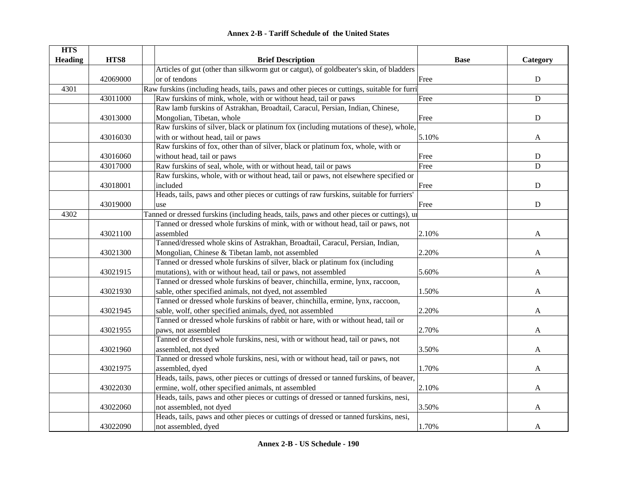| <b>Annex 2-B - Tariff Schedule of the United States</b> |  |
|---------------------------------------------------------|--|
|---------------------------------------------------------|--|

| <b>HTS</b>     |          |                                                                                             |             |             |
|----------------|----------|---------------------------------------------------------------------------------------------|-------------|-------------|
| <b>Heading</b> | HTS8     | <b>Brief Description</b>                                                                    | <b>Base</b> | Category    |
|                |          | Articles of gut (other than silkworm gut or catgut), of goldbeater's skin, of bladders      |             |             |
|                | 42069000 | or of tendons                                                                               | Free        | ${\bf D}$   |
| 4301           |          | Raw furskins (including heads, tails, paws and other pieces or cuttings, suitable for furri |             |             |
|                | 43011000 | Raw furskins of mink, whole, with or without head, tail or paws                             | Free        | ${\bf D}$   |
|                |          | Raw lamb furskins of Astrakhan, Broadtail, Caracul, Persian, Indian, Chinese,               |             |             |
|                | 43013000 | Mongolian, Tibetan, whole                                                                   | Free        | ${\bf D}$   |
|                |          | Raw furskins of silver, black or platinum fox (including mutations of these), whole,        |             |             |
|                | 43016030 | with or without head, tail or paws                                                          | 5.10%       | A           |
|                |          | Raw furskins of fox, other than of silver, black or platinum fox, whole, with or            |             |             |
|                | 43016060 | without head, tail or paws                                                                  | Free        | ${\bf D}$   |
|                | 43017000 | Raw furskins of seal, whole, with or without head, tail or paws                             | Free        | $\mathbf D$ |
|                |          | Raw furskins, whole, with or without head, tail or paws, not elsewhere specified or         |             |             |
|                | 43018001 | included                                                                                    | Free        | $\mathbf D$ |
|                |          | Heads, tails, paws and other pieces or cuttings of raw furskins, suitable for furriers'     |             |             |
|                | 43019000 | use                                                                                         | Free        | ${\bf D}$   |
| 4302           |          | Tanned or dressed furskins (including heads, tails, paws and other pieces or cuttings), un  |             |             |
|                |          | Tanned or dressed whole furskins of mink, with or without head, tail or paws, not           |             |             |
|                | 43021100 | assembled                                                                                   | 2.10%       | A           |
|                |          | Tanned/dressed whole skins of Astrakhan, Broadtail, Caracul, Persian, Indian,               |             |             |
|                | 43021300 | Mongolian, Chinese & Tibetan lamb, not assembled                                            | 2.20%       | A           |
|                |          | Tanned or dressed whole furskins of silver, black or platinum fox (including                |             |             |
|                | 43021915 | mutations), with or without head, tail or paws, not assembled                               | 5.60%       | A           |
|                |          | Tanned or dressed whole furskins of beaver, chinchilla, ermine, lynx, raccoon,              |             |             |
|                | 43021930 | sable, other specified animals, not dyed, not assembled                                     | 1.50%       | A           |
|                |          | Tanned or dressed whole furskins of beaver, chinchilla, ermine, lynx, raccoon,              |             |             |
|                | 43021945 | sable, wolf, other specified animals, dyed, not assembled                                   | 2.20%       | A           |
|                |          | Tanned or dressed whole furskins of rabbit or hare, with or without head, tail or           |             |             |
|                | 43021955 | paws, not assembled                                                                         | 2.70%       | A           |
|                |          | Tanned or dressed whole furskins, nesi, with or without head, tail or paws, not             |             |             |
|                | 43021960 | assembled, not dyed                                                                         | 3.50%       | A           |
|                |          | Tanned or dressed whole furskins, nesi, with or without head, tail or paws, not             |             |             |
|                | 43021975 | assembled, dyed                                                                             | 1.70%       | A           |
|                |          | Heads, tails, paws, other pieces or cuttings of dressed or tanned furskins, of beaver,      |             |             |
|                | 43022030 | ermine, wolf, other specified animals, nt assembled                                         | 2.10%       | A           |
|                |          | Heads, tails, paws and other pieces or cuttings of dressed or tanned furskins, nesi,        |             |             |
|                | 43022060 | not assembled, not dyed                                                                     | 3.50%       | A           |
|                |          | Heads, tails, paws and other pieces or cuttings of dressed or tanned furskins, nesi,        |             |             |
|                | 43022090 | not assembled, dyed                                                                         | 1.70%       | A           |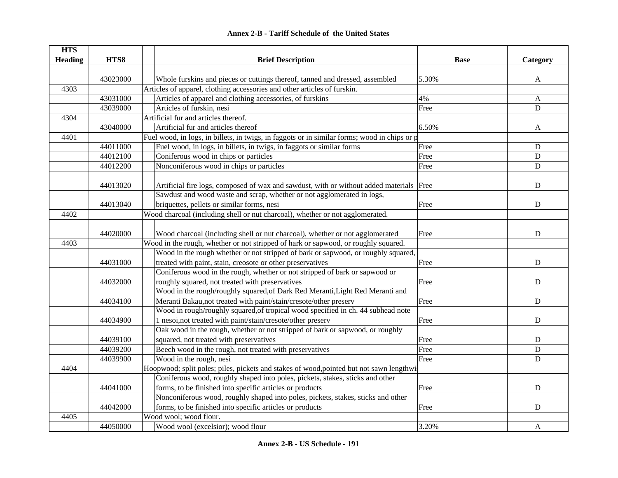#### **HTS Heading are HTS8 are THTS8 Brief Description Brief Description Base Base Example Category** 43023000 Whole furskins and pieces or cuttings thereof, tanned and dressed, assembled 5.30% 4303Articles of apparel, clothing accessories and other articles of furskin. 43031000 Articles of apparel and clothing accessories, of furskins 4% A 43039000 Articles of furskin, nesi Free Free D 4304Artificial fur and articles thereof. 43040000 Artificial fur and articles thereof 6.50% A 4401Fuel wood, in logs, in billets, in twigs, in faggots or in similar forms; wood in chips or p 44011000 Fuel wood, in logs, in billets, in twigs, in faggots or similar forms Free Free Pree D 44012100 Coniferous wood in chips or particles Free Free D 44012200 Nonconiferous wood in chips or particles Free D 44013020 Artificial fire logs, composed of wax and sawdust, with or without added materials Free D 44013040Sawdust and wood waste and scrap, whether or not agglomerated in logs, briquettes, pellets or similar forms, nesi Free Britannic Control of the D 4402Wood charcoal (including shell or nut charcoal), whether or not agglomerated. 44020000 Wood charcoal (including shell or nut charcoal), whether or not agglomerated Free Free D 4403Wood in the rough, whether or not stripped of hark or sapwood, or roughly squared. 44031000Wood in the rough whether or not stripped of bark or sapwood, or roughly squared, treated with paint, stain, creosote or other preservatives Free Free Preservatives B 44032000Coniferous wood in the rough, whether or not stripped of bark or sapwood or roughly squared, not treated with preservatives Free Free Reserves 44034100Wood in the rough/roughly squared,of Dark Red Meranti,Light Red Meranti and Meranti Bakau,not treated with paint/stain/cresote/other preserv Free Free Free Preserversity D 44034900Wood in rough/roughly squared, of tropical wood specified in ch. 44 subhead note 1 nesoi,not treated with paint/stain/cresote/other preserv Free Free Free Preserve D 44039100Oak wood in the rough, whether or not stripped of bark or sapwood, or roughly squared, not treated with preservatives example of the set of the preservatives of the D 44039200 Beech wood in the rough, not treated with preservatives Free Free Preservatives D 44039900 Wood in the rough, nesi New York 1980 September 2014 September 2014 September 2014 September 2014 D 4404Hoopwood; split poles; piles, pickets and stakes of wood,pointed but not sawn lengthwi 44041000Coniferous wood, roughly shaped into poles, pickets, stakes, sticks and other forms, to be finished into specific articles or products Free Free Research Intervalse D 44042000 Nonconiferous wood, roughly shaped into poles, pickets, stakes, sticks and other forms, to be finished into specific articles or products Free Free Research Intervalse D 4405Wood wool; wood flour. 44050000 Wood wool (excelsior); wood flour 3.20% A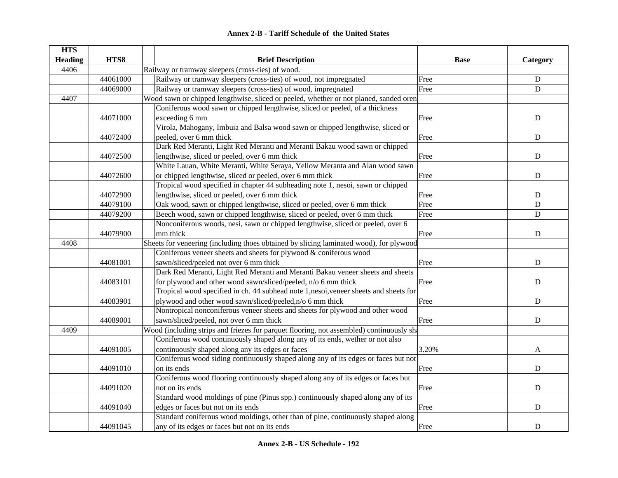|  | <b>Annex 2-B - Tariff Schedule of the United States</b> |  |
|--|---------------------------------------------------------|--|
|--|---------------------------------------------------------|--|

| <b>HTS</b>     |          |                                                                                         |             |             |
|----------------|----------|-----------------------------------------------------------------------------------------|-------------|-------------|
| <b>Heading</b> | HTS8     | <b>Brief Description</b>                                                                | <b>Base</b> | Category    |
| 4406           |          | Railway or tramway sleepers (cross-ties) of wood.                                       |             |             |
|                | 44061000 | Railway or tramway sleepers (cross-ties) of wood, not impregnated                       | Free        | ${\bf D}$   |
|                | 44069000 | Railway or tramway sleepers (cross-ties) of wood, impregnated                           | Free        | ${\bf D}$   |
| 4407           |          | Wood sawn or chipped lengthwise, sliced or peeled, whether or not planed, sanded oren   |             |             |
|                |          | Coniferous wood sawn or chipped lengthwise, sliced or peeled, of a thickness            |             |             |
|                | 44071000 | exceeding 6 mm                                                                          | Free        | ${\bf D}$   |
|                |          | Virola, Mahogany, Imbuia and Balsa wood sawn or chipped lengthwise, sliced or           |             |             |
|                | 44072400 | peeled, over 6 mm thick                                                                 | Free        | $\mathbf D$ |
|                |          | Dark Red Meranti, Light Red Meranti and Meranti Bakau wood sawn or chipped              |             |             |
|                | 44072500 | lengthwise, sliced or peeled, over 6 mm thick                                           | Free        | ${\bf D}$   |
|                |          | White Lauan, White Meranti, White Seraya, Yellow Meranta and Alan wood sawn             |             |             |
|                | 44072600 | or chipped lengthwise, sliced or peeled, over 6 mm thick                                | Free        | ${\bf D}$   |
|                |          | Tropical wood specified in chapter 44 subheading note 1, nesoi, sawn or chipped         |             |             |
|                | 44072900 | lengthwise, sliced or peeled, over 6 mm thick                                           | Free        | ${\bf D}$   |
|                | 44079100 | Oak wood, sawn or chipped lengthwise, sliced or peeled, over 6 mm thick                 | Free        | $\mathbf D$ |
|                | 44079200 | Beech wood, sawn or chipped lengthwise, sliced or peeled, over 6 mm thick               | Free        | $\mathbf D$ |
|                |          | Nonconiferous woods, nesi, sawn or chipped lengthwise, sliced or peeled, over 6         |             |             |
|                | 44079900 | mm thick                                                                                | Free        | ${\bf D}$   |
| 4408           |          | Sheets for veneering (including thoes obtained by slicing laminated wood), for plywood  |             |             |
|                |          | Coniferous veneer sheets and sheets for plywood & coniferous wood                       |             |             |
|                | 44081001 | sawn/sliced/peeled not over 6 mm thick                                                  | Free        | $\mathbf D$ |
|                |          | Dark Red Meranti, Light Red Meranti and Meranti Bakau veneer sheets and sheets          |             |             |
|                | 44083101 | for plywood and other wood sawn/sliced/peeled, n/o 6 mm thick                           | Free        | $\mathbf D$ |
|                |          | Tropical wood specified in ch. 44 subhead note 1,nesoi, veneer sheets and sheets for    |             |             |
|                | 44083901 | plywood and other wood sawn/sliced/peeled,n/o 6 mm thick                                | Free        | $\mathbf D$ |
|                |          | Nontropical nonconiferous veneer sheets and sheets for plywood and other wood           |             |             |
|                | 44089001 | sawn/sliced/peeled, not over 6 mm thick                                                 | Free        | $\mathbf D$ |
| 4409           |          | Wood (including strips and friezes for parquet flooring, not assembled) continuously sh |             |             |
|                |          | Coniferous wood continuously shaped along any of its ends, wether or not also           |             |             |
|                | 44091005 | continuously shaped along any its edges or faces                                        | 3.20%       | A           |
|                |          | Coniferous wood siding continuously shaped along any of its edges or faces but not      |             |             |
|                | 44091010 | on its ends                                                                             | Free        | $\mathbf D$ |
|                |          | Coniferous wood flooring continuously shaped along any of its edges or faces but        |             |             |
|                | 44091020 | not on its ends                                                                         | Free        | ${\bf D}$   |
|                |          | Standard wood moldings of pine (Pinus spp.) continuously shaped along any of its        |             |             |
|                | 44091040 | edges or faces but not on its ends                                                      | Free        | ${\bf D}$   |
|                |          | Standard coniferous wood moldings, other than of pine, continuously shaped along        |             |             |
|                | 44091045 | any of its edges or faces but not on its ends                                           | Free        | ${\bf D}$   |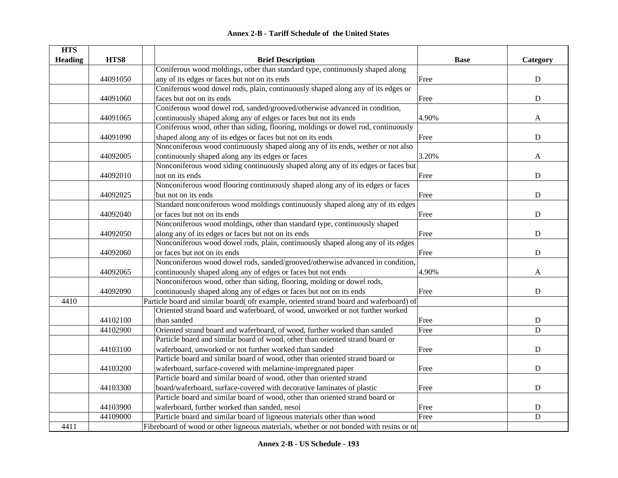|  | <b>Annex 2-B - Tariff Schedule of the United States</b> |  |
|--|---------------------------------------------------------|--|
|--|---------------------------------------------------------|--|

| <b>HTS</b>     |          |                                                                                         |             |             |
|----------------|----------|-----------------------------------------------------------------------------------------|-------------|-------------|
| <b>Heading</b> | HTS8     | <b>Brief Description</b>                                                                | <b>Base</b> | Category    |
|                |          | Coniferous wood moldings, other than standard type, continuously shaped along           |             |             |
|                | 44091050 | any of its edges or faces but not on its ends                                           | Free        | ${\bf D}$   |
|                |          | Coniferous wood dowel rods, plain, continuously shaped along any of its edges or        |             |             |
|                | 44091060 | faces but not on its ends                                                               | Free        | ${\bf D}$   |
|                |          | Coniferous wood dowel rod, sanded/grooved/otherwise advanced in condition,              |             |             |
|                | 44091065 | continuously shaped along any of edges or faces but not its ends                        | 4.90%       | A           |
|                |          | Coniferous wood, other than siding, flooring, moldings or dowel rod, continuously       |             |             |
|                | 44091090 | shaped along any of its edges or faces but not on its ends                              | Free        | $\mathbf D$ |
|                |          | Nonconiferous wood continuously shaped along any of its ends, wether or not also        |             |             |
|                | 44092005 | continuously shaped along any its edges or faces                                        | 3.20%       | A           |
|                |          | Nonconiferous wood siding continuously shaped along any of its edges or faces but       |             |             |
|                | 44092010 | not on its ends                                                                         | Free        | ${\bf D}$   |
|                |          | Nonconiferous wood flooring continuously shaped along any of its edges or faces         |             |             |
|                | 44092025 | but not on its ends                                                                     | Free        | $\mathbf D$ |
|                |          | Standard nonconiferous wood moldings continuously shaped along any of its edges         |             |             |
|                | 44092040 | or faces but not on its ends                                                            | Free        | ${\bf D}$   |
|                |          | Nonconiferous wood moldings, other than standard type, continuously shaped              |             |             |
|                | 44092050 | along any of its edges or faces but not on its ends                                     | Free        | ${\bf D}$   |
|                |          | Nonconiferous wood dowel rods, plain, continuously shaped along any of its edges        |             |             |
|                | 44092060 | or faces but not on its ends                                                            | Free        | $\mathbf D$ |
|                |          | Nonconiferous wood dowel rods, sanded/grooved/otherwise advanced in condition,          |             |             |
|                | 44092065 | continuously shaped along any of edges or faces but not ends                            | 4.90%       | A           |
|                |          | Nonconiferous wood, other than siding, flooring, molding or dowel rods,                 |             |             |
|                | 44092090 | continuously shaped along any of edges or faces but not on its ends                     | Free        | $\mathbf D$ |
| 4410           |          | Particle board and similar board( ofr example, oriented strand board and waferboard) of |             |             |
|                |          | Oriented strand board and waferboard, of wood, unworked or not further worked           |             |             |
|                | 44102100 | than sanded                                                                             | Free        | ${\bf D}$   |
|                | 44102900 | Oriented strand board and waferboard, of wood, further worked than sanded               | Free        | $\mathbf D$ |
|                |          | Particle board and similar board of wood, other than oriented strand board or           |             |             |
|                | 44103100 | waferboard, unworked or not further worked than sanded                                  | Free        | $\mathbf D$ |
|                |          | Particle board and similar board of wood, other than oriented strand board or           |             |             |
|                | 44103200 | waferboard, surface-covered with melamine-impregnated paper                             | Free        | $\mathbf D$ |
|                |          | Particle board and similar board of wood, other than oriented strand                    |             |             |
|                | 44103300 | board/waferboard, surface-covered with decorative laminates of plastic                  | Free        | ${\bf D}$   |
|                |          | Particle board and similar board of wood, other than oriented strand board or           |             |             |
|                | 44103900 | waferboard, further worked than sanded, nesoi                                           | Free        | $\mathbf D$ |
|                | 44109000 | Particle board and similar board of ligneous materials other than wood                  | Free        | D           |
| 4411           |          | Fibreboard of wood or other ligneous materials, whether or not bonded with resins or ot |             |             |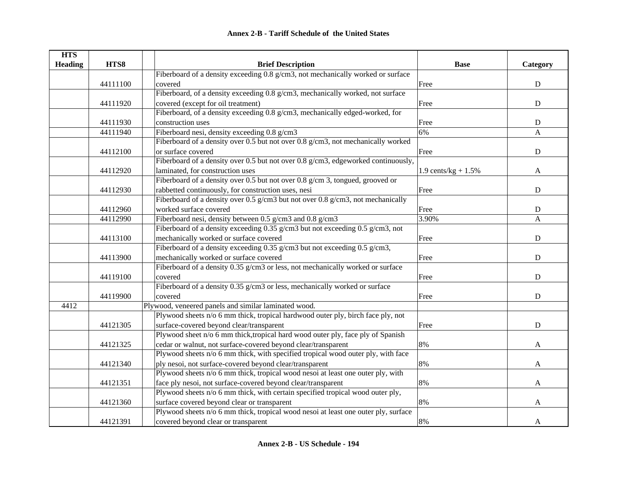| <b>HTS</b>     |          |                                                                                    |                       |              |
|----------------|----------|------------------------------------------------------------------------------------|-----------------------|--------------|
| <b>Heading</b> | HTS8     | <b>Brief Description</b>                                                           | <b>Base</b>           | Category     |
|                |          | Fiberboard of a density exceeding 0.8 g/cm3, not mechanically worked or surface    |                       |              |
|                | 44111100 | covered                                                                            | Free                  | ${\bf D}$    |
|                |          | Fiberboard, of a density exceeding 0.8 g/cm3, mechanically worked, not surface     |                       |              |
|                | 44111920 | covered (except for oil treatment)                                                 | Free                  | ${\bf D}$    |
|                |          | Fiberboard, of a density exceeding 0.8 g/cm3, mechanically edged-worked, for       |                       |              |
|                | 44111930 | construction uses                                                                  | Free                  | ${\bf D}$    |
|                | 44111940 | Fiberboard nesi, density exceeding 0.8 g/cm3                                       | 6%                    | $\mathbf{A}$ |
|                |          | Fiberboard of a density over 0.5 but not over 0.8 g/cm3, not mechanically worked   |                       |              |
|                | 44112100 | or surface covered                                                                 | Free                  | ${\bf D}$    |
|                |          | Fiberboard of a density over 0.5 but not over 0.8 g/cm3, edgeworked continuously,  |                       |              |
|                | 44112920 | laminated, for construction uses                                                   | 1.9 cents/kg + $1.5%$ | A            |
|                |          | Fiberboard of a density over 0.5 but not over 0.8 g/cm 3, tongued, grooved or      |                       |              |
|                | 44112930 | rabbetted continuously, for construction uses, nesi                                | Free                  | $\mathbf D$  |
|                |          | Fiberboard of a density over 0.5 g/cm3 but not over 0.8 g/cm3, not mechanically    |                       |              |
|                | 44112960 | worked surface covered                                                             | Free                  | ${\bf D}$    |
|                | 44112990 | Fiberboard nesi, density between 0.5 g/cm3 and 0.8 g/cm3                           | 3.90%                 | $\mathbf{A}$ |
|                |          | Fiberboard of a density exceeding 0.35 g/cm3 but not exceeding 0.5 g/cm3, not      |                       |              |
|                | 44113100 | mechanically worked or surface covered                                             | Free                  | ${\bf D}$    |
|                |          | Fiberboard of a density exceeding 0.35 g/cm3 but not exceeding 0.5 g/cm3,          |                       |              |
|                | 44113900 | mechanically worked or surface covered                                             | Free                  | ${\bf D}$    |
|                |          | Fiberboard of a density 0.35 g/cm3 or less, not mechanically worked or surface     |                       |              |
|                | 44119100 | covered                                                                            | Free                  | D            |
|                |          | Fiberboard of a density 0.35 g/cm3 or less, mechanically worked or surface         |                       |              |
|                | 44119900 | covered                                                                            | Free                  | ${\bf D}$    |
| 4412           |          | Plywood, veneered panels and similar laminated wood.                               |                       |              |
|                |          | Plywood sheets n/o 6 mm thick, tropical hardwood outer ply, birch face ply, not    |                       |              |
|                | 44121305 | surface-covered beyond clear/transparent                                           | Free                  | $\mathbf D$  |
|                |          | Plywood sheet n/o 6 mm thick, tropical hard wood outer ply, face ply of Spanish    |                       |              |
|                | 44121325 | cedar or walnut, not surface-covered beyond clear/transparent                      | 8%                    | A            |
|                |          | Plywood sheets n/o 6 mm thick, with specified tropical wood outer ply, with face   |                       |              |
|                | 44121340 | ply nesoi, not surface-covered beyond clear/transparent                            | 8%                    | A            |
|                |          | Plywood sheets n/o 6 mm thick, tropical wood nesoi at least one outer ply, with    |                       |              |
|                | 44121351 | face ply nesoi, not surface-covered beyond clear/transparent                       | 8%                    | $\mathbf{A}$ |
|                |          | Plywood sheets n/o 6 mm thick, with certain specified tropical wood outer ply,     |                       |              |
|                | 44121360 | surface covered beyond clear or transparent                                        | 8%                    | $\mathbf{A}$ |
|                |          | Plywood sheets n/o 6 mm thick, tropical wood nesoi at least one outer ply, surface |                       |              |
|                | 44121391 | covered beyond clear or transparent                                                | 8%                    | A            |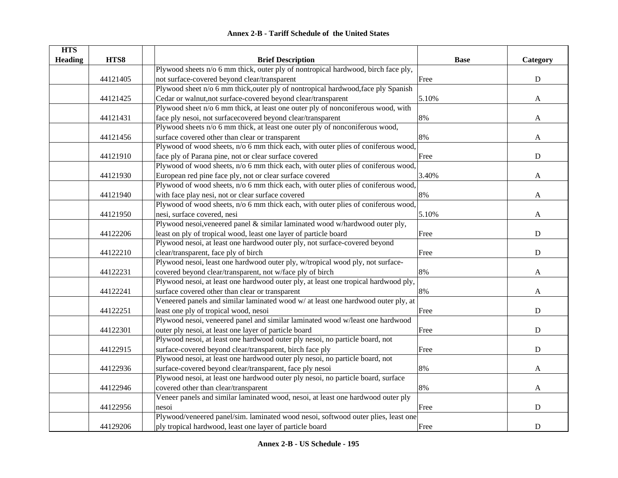| <b>HTS</b>     |          |                                                                                     |             |             |
|----------------|----------|-------------------------------------------------------------------------------------|-------------|-------------|
| <b>Heading</b> | HTS8     | <b>Brief Description</b>                                                            | <b>Base</b> | Category    |
|                |          | Plywood sheets n/o 6 mm thick, outer ply of nontropical hardwood, birch face ply,   |             |             |
|                | 44121405 | not surface-covered beyond clear/transparent                                        | Free        | ${\bf D}$   |
|                |          | Plywood sheet n/o 6 mm thick, outer ply of nontropical hardwood, face ply Spanish   |             |             |
|                | 44121425 | Cedar or walnut, not surface-covered beyond clear/transparent                       | 5.10%       | A           |
|                |          | Plywood sheet n/o 6 mm thick, at least one outer ply of nonconiferous wood, with    |             |             |
|                | 44121431 | face ply nesoi, not surfacecovered beyond clear/transparent                         | 8%          | A           |
|                |          | Plywood sheets n/o 6 mm thick, at least one outer ply of nonconiferous wood,        |             |             |
|                | 44121456 | surface covered other than clear or transparent                                     | 8%          | A           |
|                |          | Plywood of wood sheets, n/o 6 mm thick each, with outer plies of coniferous wood,   |             |             |
|                | 44121910 | face ply of Parana pine, not or clear surface covered                               | Free        | $\mathbf D$ |
|                |          | Plywood of wood sheets, n/o 6 mm thick each, with outer plies of coniferous wood,   |             |             |
|                | 44121930 | European red pine face ply, not or clear surface covered                            | 3.40%       | A           |
|                |          | Plywood of wood sheets, n/o 6 mm thick each, with outer plies of coniferous wood,   |             |             |
|                | 44121940 | with face play nesi, not or clear surface covered                                   | 8%          | A           |
|                |          | Plywood of wood sheets, n/o 6 mm thick each, with outer plies of coniferous wood,   |             |             |
|                | 44121950 | nesi, surface covered, nesi                                                         | 5.10%       | A           |
|                |          | Plywood nesoi, veneered panel & similar laminated wood w/hardwood outer ply,        |             |             |
|                | 44122206 | least on ply of tropical wood, least one layer of particle board                    | Free        | ${\bf D}$   |
|                |          | Plywood nesoi, at least one hardwood outer ply, not surface-covered beyond          |             |             |
|                | 44122210 | clear/transparent, face ply of birch                                                | Free        | ${\bf D}$   |
|                |          | Plywood nesoi, least one hardwood outer ply, w/tropical wood ply, not surface-      |             |             |
|                | 44122231 | covered beyond clear/transparent, not w/face ply of birch                           | 8%          | A           |
|                |          | Plywood nesoi, at least one hardwood outer ply, at least one tropical hardwood ply, |             |             |
|                | 44122241 | surface covered other than clear or transparent                                     | 8%          | A           |
|                |          | Veneered panels and similar laminated wood w/ at least one hardwood outer ply, at   |             |             |
|                | 44122251 | least one ply of tropical wood, nesoi                                               | Free        | ${\bf D}$   |
|                |          | Plywood nesoi, veneered panel and similar laminated wood w/least one hardwood       |             |             |
|                | 44122301 | outer ply nesoi, at least one layer of particle board                               | Free        | ${\bf D}$   |
|                |          | Plywood nesoi, at least one hardwood outer ply nesoi, no particle board, not        |             |             |
|                | 44122915 | surface-covered beyond clear/transparent, birch face ply                            | Free        | $\mathbf D$ |
|                |          | Plywood nesoi, at least one hardwood outer ply nesoi, no particle board, not        |             |             |
|                | 44122936 | surface-covered beyond clear/transparent, face ply nesoi                            | 8%          | A           |
|                |          | Plywood nesoi, at least one hardwood outer ply nesoi, no particle board, surface    |             |             |
|                | 44122946 | covered other than clear/transparent                                                | 8%          | A           |
|                |          | Veneer panels and similar laminated wood, nesoi, at least one hardwood outer ply    |             |             |
|                | 44122956 | nesoi                                                                               | Free        | ${\bf D}$   |
|                |          | Plywood/veneered panel/sim. laminated wood nesoi, softwood outer plies, least one   |             |             |
|                | 44129206 | ply tropical hardwood, least one layer of particle board                            | Free        | ${\bf D}$   |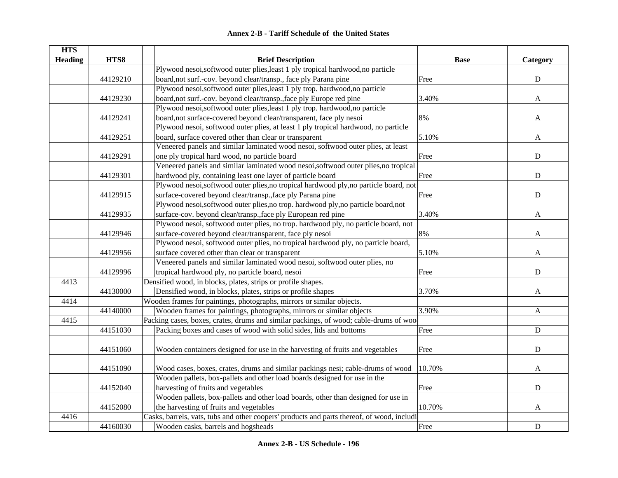|  | <b>Annex 2-B - Tariff Schedule of the United States</b> |  |
|--|---------------------------------------------------------|--|
|--|---------------------------------------------------------|--|

| <b>HTS</b>     |          |                                                                                            |             |              |
|----------------|----------|--------------------------------------------------------------------------------------------|-------------|--------------|
| <b>Heading</b> | HTS8     | <b>Brief Description</b>                                                                   | <b>Base</b> | Category     |
|                |          | Plywood nesoi,softwood outer plies, least 1 ply tropical hardwood, no particle             |             |              |
|                | 44129210 | board, not surf.-cov. beyond clear/transp., face ply Parana pine                           | Free        | ${\bf D}$    |
|                |          | Plywood nesoi,softwood outer plies, least 1 ply trop. hardwood, no particle                |             |              |
|                | 44129230 | board, not surf.-cov. beyond clear/transp., face ply Europe red pine                       | 3.40%       | $\mathbf{A}$ |
|                |          | Plywood nesoi,softwood outer plies, least 1 ply trop. hardwood, no particle                |             |              |
|                | 44129241 | board, not surface-covered beyond clear/transparent, face ply nesoi                        | 8%          | A            |
|                |          | Plywood nesoi, softwood outer plies, at least 1 ply tropical hardwood, no particle         |             |              |
|                | 44129251 | board, surface covered other than clear or transparent                                     | 5.10%       | A            |
|                |          | Veneered panels and similar laminated wood nesoi, softwood outer plies, at least           |             |              |
|                | 44129291 | one ply tropical hard wood, no particle board                                              | Free        | ${\bf D}$    |
|                |          | Veneered panels and similar laminated wood nesoi, softwood outer plies, no tropical        |             |              |
|                | 44129301 | hardwood ply, containing least one layer of particle board                                 | Free        | ${\bf D}$    |
|                |          | Plywood nesoi,softwood outer plies, no tropical hardwood ply, no particle board, not       |             |              |
|                | 44129915 | surface-covered beyond clear/transp., face ply Parana pine                                 | Free        | $\mathbf D$  |
|                |          | Plywood nesoi,softwood outer plies,no trop. hardwood ply,no particle board,not             |             |              |
|                | 44129935 | surface-cov. beyond clear/transp., face ply European red pine                              | 3.40%       | A            |
|                |          | Plywood nesoi, softwood outer plies, no trop. hardwood ply, no particle board, not         |             |              |
|                | 44129946 | surface-covered beyond clear/transparent, face ply nesoi                                   | 8%          | A            |
|                |          | Plywood nesoi, softwood outer plies, no tropical hardwood ply, no particle board,          |             |              |
|                | 44129956 | surface covered other than clear or transparent                                            | 5.10%       | A            |
|                |          | Veneered panels and similar laminated wood nesoi, softwood outer plies, no                 |             |              |
|                | 44129996 | tropical hardwood ply, no particle board, nesoi                                            | Free        | ${\bf D}$    |
| 4413           |          | Densified wood, in blocks, plates, strips or profile shapes.                               |             |              |
|                | 44130000 | Densified wood, in blocks, plates, strips or profile shapes                                | 3.70%       | $\mathbf{A}$ |
| 4414           |          | Wooden frames for paintings, photographs, mirrors or similar objects.                      |             |              |
|                | 44140000 | Wooden frames for paintings, photographs, mirrors or similar objects                       | 3.90%       | $\mathbf{A}$ |
| 4415           |          | Packing cases, boxes, crates, drums and similar packings, of wood; cable-drums of woo      |             |              |
|                | 44151030 | Packing boxes and cases of wood with solid sides, lids and bottoms                         | Free        | ${\bf D}$    |
|                |          |                                                                                            |             |              |
|                | 44151060 | Wooden containers designed for use in the harvesting of fruits and vegetables              | Free        | ${\bf D}$    |
|                |          |                                                                                            |             |              |
|                | 44151090 | Wood cases, boxes, crates, drums and similar packings nesi; cable-drums of wood            | 10.70%      | A            |
|                |          | Wooden pallets, box-pallets and other load boards designed for use in the                  |             |              |
|                | 44152040 | harvesting of fruits and vegetables                                                        | Free        | ${\bf D}$    |
|                |          | Wooden pallets, box-pallets and other load boards, other than designed for use in          |             |              |
|                | 44152080 | the harvesting of fruits and vegetables                                                    | 10.70%      | $\mathbf{A}$ |
| 4416           |          | Casks, barrels, vats, tubs and other coopers' products and parts thereof, of wood, includi |             |              |
|                | 44160030 | Wooden casks, barrels and hogsheads                                                        | Free        | ${\bf D}$    |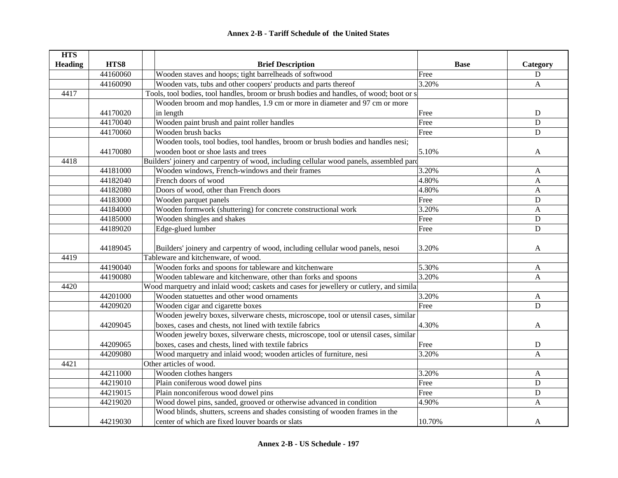| <b>HTS</b>     |          |                                                                                         |             |              |
|----------------|----------|-----------------------------------------------------------------------------------------|-------------|--------------|
| <b>Heading</b> | HTS8     | <b>Brief Description</b>                                                                | <b>Base</b> | Category     |
|                | 44160060 | Wooden staves and hoops; tight barrelheads of softwood                                  | Free        | D            |
|                | 44160090 | Wooden vats, tubs and other coopers' products and parts thereof                         | 3.20%       | A            |
| 4417           |          | Tools, tool bodies, tool handles, broom or brush bodies and handles, of wood; boot or s |             |              |
|                |          | Wooden broom and mop handles, 1.9 cm or more in diameter and 97 cm or more              |             |              |
|                | 44170020 | in length                                                                               | Free        | ${\bf D}$    |
|                | 44170040 | Wooden paint brush and paint roller handles                                             | Free        | ${\bf D}$    |
|                | 44170060 | Wooden brush backs                                                                      | Free        | ${\bf D}$    |
|                |          | Wooden tools, tool bodies, tool handles, broom or brush bodies and handles nesi;        |             |              |
|                | 44170080 | wooden boot or shoe lasts and trees                                                     | 5.10%       | A            |
| 4418           |          | Builders' joinery and carpentry of wood, including cellular wood panels, assembled pard |             |              |
|                | 44181000 | Wooden windows, French-windows and their frames                                         | 3.20%       | A            |
|                | 44182040 | French doors of wood                                                                    | 4.80%       | A            |
|                | 44182080 | Doors of wood, other than French doors                                                  | 4.80%       | A            |
|                | 44183000 | Wooden parquet panels                                                                   | Free        | $\mathbf D$  |
|                | 44184000 | Wooden formwork (shuttering) for concrete constructional work                           | 3.20%       | $\mathbf{A}$ |
|                | 44185000 | Wooden shingles and shakes                                                              | Free        | $\mathbf D$  |
|                | 44189020 | Edge-glued lumber                                                                       | Free        | ${\bf D}$    |
|                |          |                                                                                         |             |              |
|                | 44189045 | Builders' joinery and carpentry of wood, including cellular wood panels, nesoi          | 3.20%       | A            |
| 4419           |          | Tableware and kitchenware, of wood.                                                     |             |              |
|                | 44190040 | Wooden forks and spoons for tableware and kitchenware                                   | 5.30%       | A            |
|                | 44190080 | Wooden tableware and kitchenware, other than forks and spoons                           | 3.20%       | A            |
| 4420           |          | Wood marquetry and inlaid wood; caskets and cases for jewellery or cutlery, and simila  |             |              |
|                | 44201000 | Wooden statuettes and other wood ornaments                                              | 3.20%       | $\mathbf{A}$ |
|                | 44209020 | Wooden cigar and cigarette boxes                                                        | Free        | $\mathbf D$  |
|                |          | Wooden jewelry boxes, silverware chests, microscope, tool or utensil cases, similar     |             |              |
|                | 44209045 | boxes, cases and chests, not lined with textile fabrics                                 | 4.30%       | A            |
|                |          | Wooden jewelry boxes, silverware chests, microscope, tool or utensil cases, similar     |             |              |
|                | 44209065 | boxes, cases and chests, lined with textile fabrics                                     | Free        | ${\bf D}$    |
|                | 44209080 | Wood marquetry and inlaid wood; wooden articles of furniture, nesi                      | 3.20%       | A            |
| 4421           |          | Other articles of wood.                                                                 |             |              |
|                | 44211000 | Wooden clothes hangers                                                                  | 3.20%       | A            |
|                | 44219010 | Plain coniferous wood dowel pins                                                        | Free        | D            |
|                | 44219015 | Plain nonconiferous wood dowel pins                                                     | Free        | D            |
|                | 44219020 | Wood dowel pins, sanded, grooved or otherwise advanced in condition                     | 4.90%       | A            |
|                |          | Wood blinds, shutters, screens and shades consisting of wooden frames in the            |             |              |
|                | 44219030 | center of which are fixed louver boards or slats                                        | 10.70%      | A            |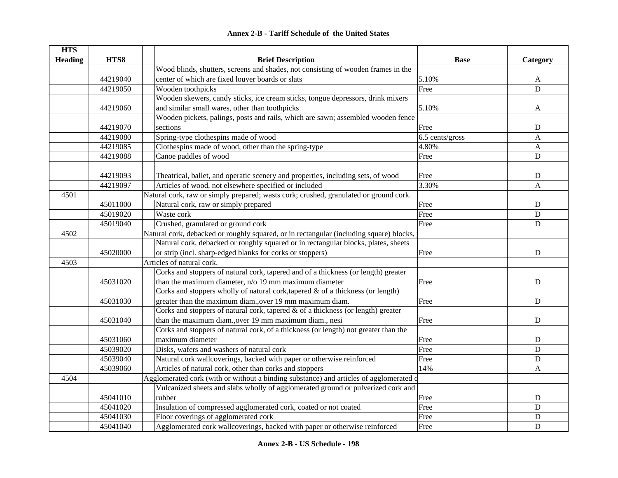| <b>HTS</b>     |          |                                                                                         |                 |              |
|----------------|----------|-----------------------------------------------------------------------------------------|-----------------|--------------|
| <b>Heading</b> | HTS8     | <b>Brief Description</b>                                                                | <b>Base</b>     | Category     |
|                |          | Wood blinds, shutters, screens and shades, not consisting of wooden frames in the       |                 |              |
|                | 44219040 | center of which are fixed louver boards or slats                                        | 5.10%           | A            |
|                | 44219050 | Wooden toothpicks                                                                       | Free            | ${\bf D}$    |
|                |          | Wooden skewers, candy sticks, ice cream sticks, tongue depressors, drink mixers         |                 |              |
|                | 44219060 | and similar small wares, other than toothpicks                                          | 5.10%           | A            |
|                |          | Wooden pickets, palings, posts and rails, which are sawn; assembled wooden fence        |                 |              |
|                | 44219070 | sections                                                                                | Free            | D            |
|                | 44219080 | Spring-type clothespins made of wood                                                    | 6.5 cents/gross | $\mathbf{A}$ |
|                | 44219085 | Clothespins made of wood, other than the spring-type                                    | 4.80%           | A            |
|                | 44219088 | Canoe paddles of wood                                                                   | Free            | ${\bf D}$    |
|                |          |                                                                                         |                 |              |
|                | 44219093 | Theatrical, ballet, and operatic scenery and properties, including sets, of wood        | Free            | D            |
|                | 44219097 | Articles of wood, not elsewhere specified or included                                   | 3.30%           | $\mathbf{A}$ |
| 4501           |          | Natural cork, raw or simply prepared; wasts cork; crushed, granulated or ground cork.   |                 |              |
|                | 45011000 | Natural cork, raw or simply prepared                                                    | Free            | ${\bf D}$    |
|                | 45019020 | Waste cork                                                                              | Free            | D            |
|                | 45019040 | Crushed, granulated or ground cork                                                      | Free            | ${\bf D}$    |
| 4502           |          | Natural cork, debacked or roughly squared, or in rectangular (including square) blocks, |                 |              |
|                |          | Natural cork, debacked or roughly squared or in rectangular blocks, plates, sheets      |                 |              |
|                | 45020000 | or strip (incl. sharp-edged blanks for corks or stoppers)                               | Free            | $\mathbf D$  |
| 4503           |          | Articles of natural cork.                                                               |                 |              |
|                |          | Corks and stoppers of natural cork, tapered and of a thickness (or length) greater      |                 |              |
|                | 45031020 | than the maximum diameter, $n/0$ 19 mm maximum diameter                                 | Free            | D            |
|                |          | Corks and stoppers wholly of natural cork, tapered & of a thickness (or length)         |                 |              |
|                | 45031030 | greater than the maximum diam., over 19 mm maximum diam.                                | Free            | D            |
|                |          | Corks and stoppers of natural cork, tapered & of a thickness (or length) greater        |                 |              |
|                | 45031040 | than the maximum diam., over 19 mm maximum diam., nesi                                  | Free            | D            |
|                |          | Corks and stoppers of natural cork, of a thickness (or length) not greater than the     |                 |              |
|                | 45031060 | maximum diameter                                                                        | Free            | $\mathbf D$  |
|                | 45039020 | Disks, wafers and washers of natural cork                                               | Free            | D            |
|                | 45039040 | Natural cork wallcoverings, backed with paper or otherwise reinforced                   | Free            | D            |
|                | 45039060 | Articles of natural cork, other than corks and stoppers                                 | 14%             | A            |
| 4504           |          | Agglomerated cork (with or without a binding substance) and articles of agglomerated c  |                 |              |
|                |          | Vulcanized sheets and slabs wholly of agglomerated ground or pulverized cork and        |                 |              |
|                | 45041010 | rubber                                                                                  | Free            | $\mathbf D$  |
|                | 45041020 | Insulation of compressed agglomerated cork, coated or not coated                        | Free            | D            |
|                | 45041030 | Floor coverings of agglomerated cork                                                    | Free            | D            |
|                | 45041040 | Agglomerated cork wallcoverings, backed with paper or otherwise reinforced              | Free            | $\mathbf D$  |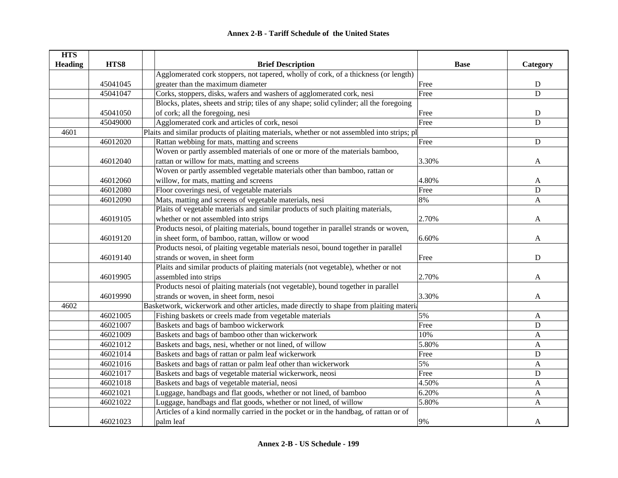| <b>HTS</b>     |          |                                                                                             |             |                |
|----------------|----------|---------------------------------------------------------------------------------------------|-------------|----------------|
| <b>Heading</b> | HTS8     | <b>Brief Description</b>                                                                    | <b>Base</b> | Category       |
|                |          | Agglomerated cork stoppers, not tapered, wholly of cork, of a thickness (or length)         |             |                |
|                | 45041045 | greater than the maximum diameter                                                           | Free        | ${\bf D}$      |
|                | 45041047 | Corks, stoppers, disks, wafers and washers of agglomerated cork, nesi                       | Free        | $\overline{D}$ |
|                |          | Blocks, plates, sheets and strip; tiles of any shape; solid cylinder; all the foregoing     |             |                |
|                | 45041050 | of cork; all the foregoing, nesi                                                            | Free        | ${\bf D}$      |
|                | 45049000 | Agglomerated cork and articles of cork, nesoi                                               | Free        | $\mathbf D$    |
| 4601           |          | Plaits and similar products of plaiting materials, whether or not assembled into strips; pl |             |                |
|                | 46012020 | Rattan webbing for mats, matting and screens                                                | Free        | ${\bf D}$      |
|                |          | Woven or partly assembled materials of one or more of the materials bamboo,                 |             |                |
|                | 46012040 | rattan or willow for mats, matting and screens                                              | 3.30%       | $\mathbf{A}$   |
|                |          | Woven or partly assembled vegetable materials other than bamboo, rattan or                  |             |                |
|                | 46012060 | willow, for mats, matting and screens                                                       | 4.80%       | A              |
|                | 46012080 | Floor coverings nesi, of vegetable materials                                                | Free        | D              |
|                | 46012090 | Mats, matting and screens of vegetable materials, nesi                                      | 8%          | $\mathbf{A}$   |
|                |          | Plaits of vegetable materials and similar products of such plaiting materials,              |             |                |
|                | 46019105 | whether or not assembled into strips                                                        | 2.70%       | A              |
|                |          | Products nesoi, of plaiting materials, bound together in parallel strands or woven,         |             |                |
|                | 46019120 | in sheet form, of bamboo, rattan, willow or wood                                            | 6.60%       | A              |
|                |          | Products nesoi, of plaiting vegetable materials nesoi, bound together in parallel           |             |                |
|                | 46019140 | strands or woven, in sheet form                                                             | Free        | ${\bf D}$      |
|                |          | Plaits and similar products of plaiting materials (not vegetable), whether or not           |             |                |
|                | 46019905 | assembled into strips                                                                       | 2.70%       | A              |
|                |          | Products nesoi of plaiting materials (not vegetable), bound together in parallel            |             |                |
|                | 46019990 | strands or woven, in sheet form, nesoi                                                      | 3.30%       | A              |
| 4602           |          | Basketwork, wickerwork and other articles, made directly to shape from plaiting materia     |             |                |
|                | 46021005 | Fishing baskets or creels made from vegetable materials                                     | 5%          | A              |
|                | 46021007 | Baskets and bags of bamboo wickerwork                                                       | Free        | $\mathbf D$    |
|                | 46021009 | Baskets and bags of bamboo other than wickerwork                                            | 10%         | A              |
|                | 46021012 | Baskets and bags, nesi, whether or not lined, of willow                                     | 5.80%       | A              |
|                | 46021014 | Baskets and bags of rattan or palm leaf wickerwork                                          | Free        | ${\bf D}$      |
|                | 46021016 | Baskets and bags of rattan or palm leaf other than wickerwork                               | 5%          | A              |
|                | 46021017 | Baskets and bags of vegetable material wickerwork, neosi                                    | Free        | ${\bf D}$      |
|                | 46021018 | Baskets and bags of vegetable material, neosi                                               | 4.50%       | $\mathbf{A}$   |
|                | 46021021 | Luggage, handbags and flat goods, whether or not lined, of bamboo                           | 6.20%       | A              |
|                | 46021022 | Luggage, handbags and flat goods, whether or not lined, of willow                           | 5.80%       | A              |
|                |          | Articles of a kind normally carried in the pocket or in the handbag, of rattan or of        |             |                |
|                | 46021023 | palm leaf                                                                                   | 9%          | A              |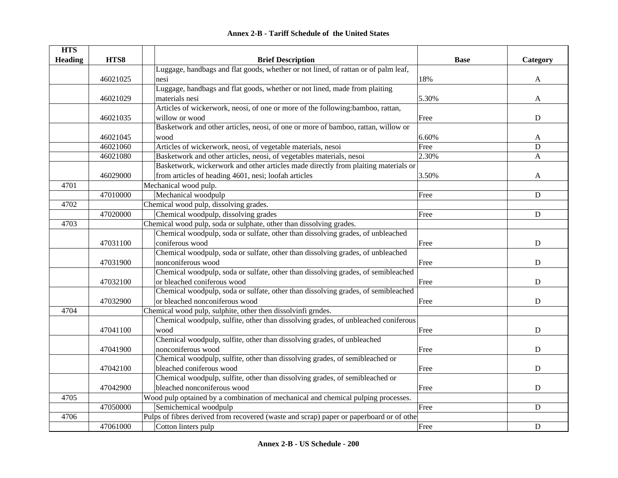|  | <b>Annex 2-B - Tariff Schedule of the United States</b> |  |
|--|---------------------------------------------------------|--|
|--|---------------------------------------------------------|--|

| <b>HTS</b>     |          |                                                                                         |             |             |
|----------------|----------|-----------------------------------------------------------------------------------------|-------------|-------------|
| <b>Heading</b> | HTS8     | <b>Brief Description</b>                                                                | <b>Base</b> | Category    |
|                |          | Luggage, handbags and flat goods, whether or not lined, of rattan or of palm leaf,      |             |             |
|                | 46021025 | nesi                                                                                    | 18%         | A           |
|                |          | Luggage, handbags and flat goods, whether or not lined, made from plaiting              |             |             |
|                | 46021029 | materials nesi                                                                          | 5.30%       | A           |
|                |          | Articles of wickerwork, neosi, of one or more of the following:bamboo, rattan,          |             |             |
|                | 46021035 | willow or wood                                                                          | Free        | D           |
|                |          | Basketwork and other articles, neosi, of one or more of bamboo, rattan, willow or       |             |             |
|                | 46021045 | wood                                                                                    | 6.60%       | A           |
|                | 46021060 | Articles of wickerwork, neosi, of vegetable materials, nesoi                            | Free        | D           |
|                | 46021080 | Basketwork and other articles, neosi, of vegetables materials, nesoi                    | 2.30%       | A           |
|                |          | Basketwork, wickerwork and other articles made directly from plaiting materials or      |             |             |
|                | 46029000 | from articles of heading 4601, nesi; loofah articles                                    | 3.50%       | A           |
| 4701           |          | Mechanical wood pulp.                                                                   |             |             |
|                | 47010000 | Mechanical woodpulp                                                                     | Free        | ${\bf D}$   |
| 4702           |          | Chemical wood pulp, dissolving grades.                                                  |             |             |
|                | 47020000 | Chemical woodpulp, dissolving grades                                                    | Free        | ${\bf D}$   |
| 4703           |          | Chemical wood pulp, soda or sulphate, other than dissolving grades.                     |             |             |
|                |          | Chemical woodpulp, soda or sulfate, other than dissolving grades, of unbleached         |             |             |
|                | 47031100 | coniferous wood                                                                         | Free        | $\mathbf D$ |
|                |          | Chemical woodpulp, soda or sulfate, other than dissolving grades, of unbleached         |             |             |
|                | 47031900 | nonconiferous wood                                                                      | Free        | D           |
|                |          | Chemical woodpulp, soda or sulfate, other than dissolving grades, of semibleached       |             |             |
|                | 47032100 | or bleached coniferous wood                                                             | Free        | D           |
|                |          | Chemical woodpulp, soda or sulfate, other than dissolving grades, of semibleached       |             |             |
|                | 47032900 | or bleached nonconiferous wood                                                          | Free        | D           |
| 4704           |          | Chemical wood pulp, sulphite, other then dissolvinfi grndes.                            |             |             |
|                |          | Chemical woodpulp, sulfite, other than dissolving grades, of unbleached coniferous      |             |             |
|                | 47041100 | wood                                                                                    | Free        | D           |
|                |          | Chemical woodpulp, sulfite, other than dissolving grades, of unbleached                 |             |             |
|                | 47041900 | nonconiferous wood                                                                      | Free        | ${\bf D}$   |
|                |          | Chemical woodpulp, sulfite, other than dissolving grades, of semibleached or            |             |             |
|                | 47042100 | bleached coniferous wood                                                                | Free        | D           |
|                |          | Chemical woodpulp, sulfite, other than dissolving grades, of semibleached or            |             |             |
|                | 47042900 | bleached nonconiferous wood                                                             | Free        | ${\bf D}$   |
| 4705           |          | Wood pulp optained by a combination of mechanical and chemical pulping processes.       |             |             |
|                | 47050000 | Semichemical woodpulp                                                                   | Free        | $\mathbf D$ |
| 4706           |          | Pulps of fibres derived from recovered (waste and scrap) paper or paperboard or of othe |             |             |
|                | 47061000 | Cotton linters pulp                                                                     | Free        | $\mathbf D$ |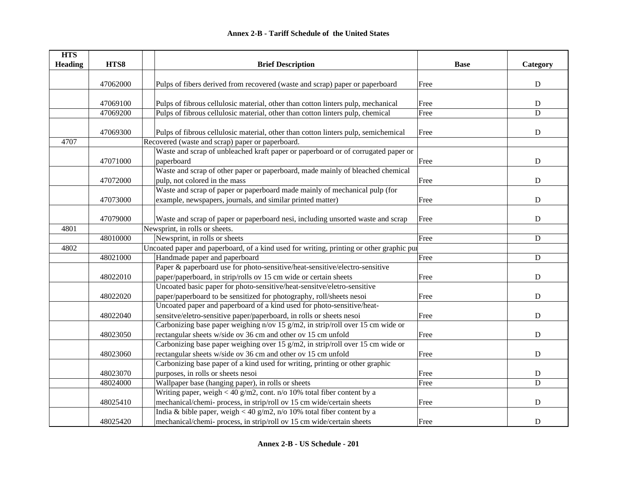| <b>HTS</b>     |          |                                                                                          |             |             |
|----------------|----------|------------------------------------------------------------------------------------------|-------------|-------------|
| <b>Heading</b> | HTS8     | <b>Brief Description</b>                                                                 | <b>Base</b> | Category    |
|                | 47062000 | Pulps of fibers derived from recovered (waste and scrap) paper or paperboard             | Free        | ${\bf D}$   |
|                |          |                                                                                          |             |             |
|                | 47069100 | Pulps of fibrous cellulosic material, other than cotton linters pulp, mechanical         | Free        | ${\rm D}$   |
|                | 47069200 | Pulps of fibrous cellulosic material, other than cotton linters pulp, chemical           | Free        | $\mathbf D$ |
|                |          |                                                                                          |             |             |
|                | 47069300 | Pulps of fibrous cellulosic material, other than cotton linters pulp, semichemical       | Free        | ${\bf D}$   |
| 4707           |          | Recovered (waste and scrap) paper or paperboard.                                         |             |             |
|                |          | Waste and scrap of unbleached kraft paper or paperboard or of corrugated paper or        |             |             |
|                | 47071000 | paperboard                                                                               | Free        | ${\bf D}$   |
|                |          | Waste and scrap of other paper or paperboard, made mainly of bleached chemical           |             |             |
|                | 47072000 | pulp, not colored in the mass                                                            | Free        | ${\rm D}$   |
|                |          | Waste and scrap of paper or paperboard made mainly of mechanical pulp (for               |             |             |
|                | 47073000 | example, newspapers, journals, and similar printed matter)                               | Free        | $\mathbf D$ |
|                |          |                                                                                          |             |             |
|                | 47079000 | Waste and scrap of paper or paperboard nesi, including unsorted waste and scrap          | Free        | ${\bf D}$   |
| 4801           |          | Newsprint, in rolls or sheets.                                                           |             |             |
|                | 48010000 | Newsprint, in rolls or sheets                                                            | Free        | D           |
| 4802           |          | Uncoated paper and paperboard, of a kind used for writing, printing or other graphic pul |             |             |
|                | 48021000 | Handmade paper and paperboard                                                            | Free        | ${\bf D}$   |
|                |          | Paper & paperboard use for photo-sensitive/heat-sensitive/electro-sensitive              |             |             |
|                | 48022010 | paper/paperboard, in strip/rolls ov 15 cm wide or certain sheets                         | Free        | ${\bf D}$   |
|                |          | Uncoated basic paper for photo-sensitive/heat-sensitve/eletro-sensitive                  |             |             |
|                | 48022020 | paper/paperboard to be sensitized for photography, roll/sheets nesoi                     | Free        | ${\bf D}$   |
|                |          | Uncoated paper and paperboard of a kind used for photo-sensitive/heat-                   |             |             |
|                | 48022040 | sensitve/eletro-sensitive paper/paperboard, in rolls or sheets nesoi                     | Free        | $\mathbf D$ |
|                |          | Carbonizing base paper weighing n/ov 15 g/m2, in strip/roll over 15 cm wide or           |             |             |
|                | 48023050 | rectangular sheets w/side ov 36 cm and other ov 15 cm unfold                             | Free        | ${\bf D}$   |
|                |          | Carbonizing base paper weighing over 15 g/m2, in strip/roll over 15 cm wide or           |             |             |
|                | 48023060 | rectangular sheets w/side ov 36 cm and other ov 15 cm unfold                             | Free        | ${\bf D}$   |
|                |          | Carbonizing base paper of a kind used for writing, printing or other graphic             |             |             |
|                | 48023070 | purposes, in rolls or sheets nesoi                                                       | Free        | ${\bf D}$   |
|                | 48024000 | Wallpaper base (hanging paper), in rolls or sheets                                       | Free        | D           |
|                |          | Writing paper, weigh < 40 g/m2, cont. $n/o$ 10% total fiber content by a                 |             |             |
|                | 48025410 | mechanical/chemi- process, in strip/roll ov 15 cm wide/certain sheets                    | Free        | ${\bf D}$   |
|                |          | India & bible paper, weigh < 40 g/m2, n/o 10% total fiber content by a                   |             |             |
|                | 48025420 | mechanical/chemi- process, in strip/roll ov 15 cm wide/certain sheets                    | Free        | $\mathbf D$ |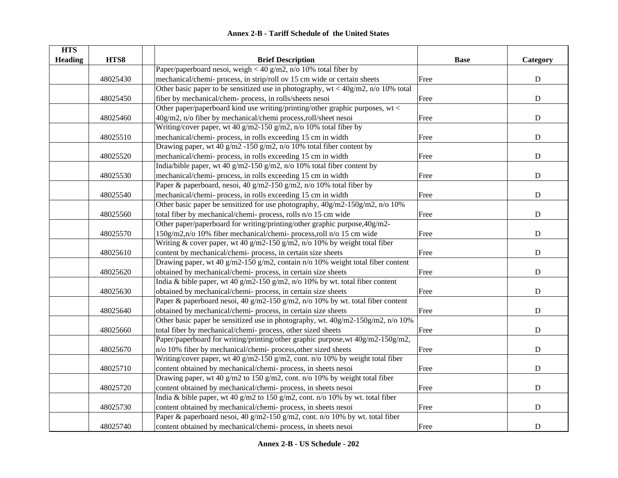| <b>HTS</b>     |          |                                                                                      |             |           |
|----------------|----------|--------------------------------------------------------------------------------------|-------------|-----------|
| <b>Heading</b> | HTS8     | <b>Brief Description</b>                                                             | <b>Base</b> | Category  |
|                |          | Paper/paperboard nesoi, weigh < 40 g/m2, n/o 10% total fiber by                      |             |           |
|                | 48025430 | mechanical/chemi- process, in strip/roll ov 15 cm wide or certain sheets             | Free        | ${\bf D}$ |
|                |          | Other basic paper to be sensitized use in photography, $wt < 40g/m2$ , n/o 10% total |             |           |
|                | 48025450 | fiber by mechanical/chem- process, in rolls/sheets nesoi                             | Free        | ${\bf D}$ |
|                |          | Other paper/paperboard kind use writing/printing/other graphic purposes, wt <        |             |           |
|                | 48025460 | 40g/m2, n/o fiber by mechanical/chemi process,roll/sheet nesoi                       | Free        | ${\bf D}$ |
|                |          | Writing/cover paper, wt 40 g/m2-150 g/m2, n/o 10% total fiber by                     |             |           |
|                | 48025510 | mechanical/chemi-process, in rolls exceeding 15 cm in width                          | Free        | ${\bf D}$ |
|                |          | Drawing paper, wt 40 g/m2 -150 g/m2, n/o 10% total fiber content by                  |             |           |
|                | 48025520 | mechanical/chemi-process, in rolls exceeding 15 cm in width                          | Free        | ${\bf D}$ |
|                |          | India/bible paper, wt 40 g/m2-150 g/m2, n/o 10% total fiber content by               |             |           |
|                | 48025530 | mechanical/chemi- process, in rolls exceeding 15 cm in width                         | Free        | ${\bf D}$ |
|                |          | Paper & paperboard, nesoi, 40 g/m2-150 g/m2, n/o 10% total fiber by                  |             |           |
|                | 48025540 | mechanical/chemi- process, in rolls exceeding 15 cm in width                         | Free        | ${\bf D}$ |
|                |          | Other basic paper be sensitized for use photography, $40g/m2-150g/m2$ , n/o 10%      |             |           |
|                | 48025560 | total fiber by mechanical/chemi- process, rolls n/o 15 cm wide                       | Free        | ${\bf D}$ |
|                |          | Other paper/paperboard for writing/printing/other graphic purpose, 40g/m2-           |             |           |
|                | 48025570 | 150g/m2,n/o 10% fiber mechanical/chemi- process,roll n/o 15 cm wide                  | Free        | ${\bf D}$ |
|                |          | Writing & cover paper, wt 40 g/m2-150 g/m2, n/o 10% by weight total fiber            |             |           |
|                | 48025610 | content by mechanical/chemi-process, in certain size sheets                          | Free        | ${\bf D}$ |
|                |          | Drawing paper, wt 40 g/m2-150 g/m2, contain n/o 10% weight total fiber content       |             |           |
|                | 48025620 | obtained by mechanical/chemi-process, in certain size sheets                         | Free        | ${\bf D}$ |
|                |          | India & bible paper, wt 40 g/m2-150 g/m2, n/o 10% by wt. total fiber content         |             |           |
|                | 48025630 | obtained by mechanical/chemi-process, in certain size sheets                         | Free        | ${\bf D}$ |
|                |          | Paper & paperboard nesoi, 40 g/m2-150 g/m2, n/o 10% by wt. total fiber content       |             |           |
|                | 48025640 | obtained by mechanical/chemi-process, in certain size sheets                         | Free        | ${\bf D}$ |
|                |          | Other basic paper be sensitized use in photography, wt. 40g/m2-150g/m2, n/o 10%      |             |           |
|                | 48025660 | total fiber by mechanical/chemi- process, other sized sheets                         | Free        | ${\bf D}$ |
|                |          | Paper/paperboard for writing/printing/other graphic purpose, wt 40g/m2-150g/m2,      |             |           |
|                | 48025670 | n/o 10% fiber by mechanical/chemi-process, other sized sheets                        | Free        | ${\bf D}$ |
|                |          | Writing/cover paper, wt 40 g/m2-150 g/m2, cont. n/o 10% by weight total fiber        |             |           |
|                | 48025710 | content obtained by mechanical/chemi-process, in sheets nesoi                        | Free        | ${\bf D}$ |
|                |          | Drawing paper, wt 40 g/m2 to 150 g/m2, cont. n/o 10% by weight total fiber           |             |           |
|                | 48025720 | content obtained by mechanical/chemi-process, in sheets nesoi                        | Free        | ${\bf D}$ |
|                |          | India & bible paper, wt 40 g/m2 to 150 g/m2, cont. n/o 10% by wt. total fiber        |             |           |
|                | 48025730 | content obtained by mechanical/chemi- process, in sheets nesoi                       | Free        | ${\bf D}$ |
|                |          | Paper & paperboard nesoi, 40 g/m2-150 g/m2, cont. n/o 10% by wt. total fiber         |             |           |
|                | 48025740 | content obtained by mechanical/chemi-process, in sheets nesoi                        | Free        | ${\bf D}$ |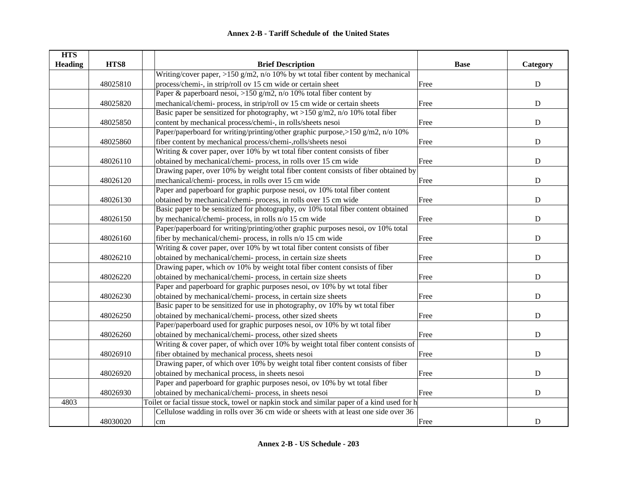| <b>HTS</b>     |          |                                                                                             |             |             |
|----------------|----------|---------------------------------------------------------------------------------------------|-------------|-------------|
| <b>Heading</b> | HTS8     | <b>Brief Description</b>                                                                    | <b>Base</b> | Category    |
|                |          | Writing/cover paper, >150 g/m2, n/o 10% by wt total fiber content by mechanical             |             |             |
|                | 48025810 | process/chemi-, in strip/roll ov 15 cm wide or certain sheet                                | Free        | ${\bf D}$   |
|                |          | Paper & paperboard nesoi, >150 g/m2, n/o 10% total fiber content by                         |             |             |
|                | 48025820 | mechanical/chemi- process, in strip/roll ov 15 cm wide or certain sheets                    | Free        | $\mathbf D$ |
|                |          | Basic paper be sensitized for photography, $wt > 150$ g/m2, n/o 10% total fiber             |             |             |
|                | 48025850 | content by mechanical process/chemi-, in rolls/sheets nesoi                                 | Free        | ${\bf D}$   |
|                |          | Paper/paperboard for writing/printing/other graphic purpose,>150 g/m2, n/o 10%              |             |             |
|                | 48025860 | fiber content by mechanical process/chemi-,rolls/sheets nesoi                               | Free        | ${\bf D}$   |
|                |          | Writing & cover paper, over 10% by wt total fiber content consists of fiber                 |             |             |
|                | 48026110 | obtained by mechanical/chemi- process, in rolls over 15 cm wide                             | Free        | ${\bf D}$   |
|                |          | Drawing paper, over 10% by weight total fiber content consists of fiber obtained by         |             |             |
|                | 48026120 | mechanical/chemi- process, in rolls over 15 cm wide                                         | Free        | $\mathbf D$ |
|                |          | Paper and paperboard for graphic purpose nesoi, ov 10% total fiber content                  |             |             |
|                | 48026130 | obtained by mechanical/chemi- process, in rolls over 15 cm wide                             | Free        | $\mathbf D$ |
|                |          | Basic paper to be sensitized for photography, ov 10% total fiber content obtained           |             |             |
|                | 48026150 | by mechanical/chemi- process, in rolls n/o 15 cm wide                                       | Free        | $\mathbf D$ |
|                |          | Paper/paperboard for writing/printing/other graphic purposes nesoi, ov 10% total            |             |             |
|                | 48026160 | fiber by mechanical/chemi- process, in rolls n/o 15 cm wide                                 | Free        | $\mathbf D$ |
|                |          | Writing $&$ cover paper, over 10% by wt total fiber content consists of fiber               |             |             |
|                | 48026210 | obtained by mechanical/chemi-process, in certain size sheets                                | Free        | ${\bf D}$   |
|                |          | Drawing paper, which ov 10% by weight total fiber content consists of fiber                 |             |             |
|                | 48026220 | obtained by mechanical/chemi-process, in certain size sheets                                | Free        | ${\bf D}$   |
|                |          | Paper and paperboard for graphic purposes nesoi, ov 10% by wt total fiber                   |             |             |
|                | 48026230 | obtained by mechanical/chemi-process, in certain size sheets                                | Free        | $\mathbf D$ |
|                |          | Basic paper to be sensitized for use in photography, ov 10% by wt total fiber               |             |             |
|                | 48026250 | obtained by mechanical/chemi-process, other sized sheets                                    | Free        | $\mathbf D$ |
|                |          | Paper/paperboard used for graphic purposes nesoi, ov 10% by wt total fiber                  |             |             |
|                | 48026260 | obtained by mechanical/chemi-process, other sized sheets                                    | Free        | $\mathbf D$ |
|                |          | Writing $&$ cover paper, of which over 10% by weight total fiber content consists of        |             |             |
|                | 48026910 | fiber obtained by mechanical process, sheets nesoi                                          | Free        | $\mathbf D$ |
|                |          | Drawing paper, of which over 10% by weight total fiber content consists of fiber            |             |             |
|                | 48026920 | obtained by mechanical process, in sheets nesoi                                             | Free        | ${\rm D}$   |
|                |          | Paper and paperboard for graphic purposes nesoi, ov 10% by wt total fiber                   |             |             |
|                | 48026930 | obtained by mechanical/chemi- process, in sheets nesoi                                      | Free        | ${\bf D}$   |
| 4803           |          | Toilet or facial tissue stock, towel or napkin stock and similar paper of a kind used for h |             |             |
|                |          | Cellulose wadding in rolls over 36 cm wide or sheets with at least one side over 36         |             |             |
|                | 48030020 | $\rm cm$                                                                                    | Free        | $\mathbf D$ |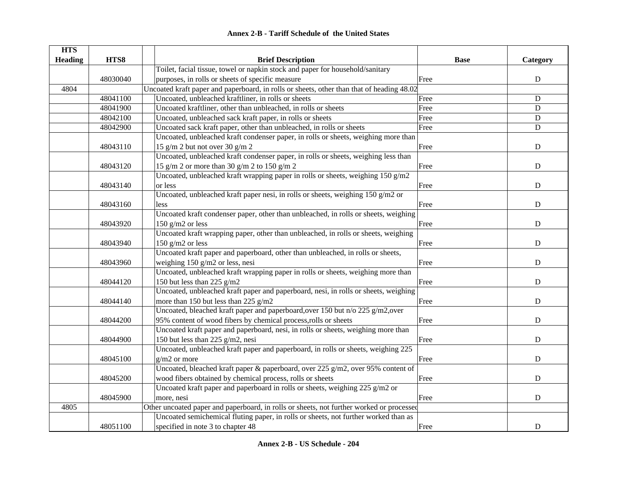|  | <b>Annex 2-B - Tariff Schedule of the United States</b> |  |
|--|---------------------------------------------------------|--|
|--|---------------------------------------------------------|--|

| <b>HTS</b><br><b>Heading</b> | HTS8     | <b>Brief Description</b>                                                                                 | <b>Base</b> | Category    |
|------------------------------|----------|----------------------------------------------------------------------------------------------------------|-------------|-------------|
|                              |          | Toilet, facial tissue, towel or napkin stock and paper for household/sanitary                            |             |             |
|                              | 48030040 | purposes, in rolls or sheets of specific measure                                                         | Free        | ${\bf D}$   |
| 4804                         |          | Uncoated kraft paper and paperboard, in rolls or sheets, other than that of heading 48.02                |             |             |
|                              | 48041100 | Uncoated, unbleached kraftliner, in rolls or sheets                                                      | Free        | D           |
|                              | 48041900 | Uncoated kraftliner, other than unbleached, in rolls or sheets                                           | Free        | $\mathbf D$ |
|                              | 48042100 | Uncoated, unbleached sack kraft paper, in rolls or sheets                                                | Free        | D           |
|                              | 48042900 | Uncoated sack kraft paper, other than unbleached, in rolls or sheets                                     | Free        | D           |
|                              |          | Uncoated, unbleached kraft condenser paper, in rolls or sheets, weighing more than                       |             |             |
|                              | 48043110 | 15 g/m 2 but not over 30 g/m 2                                                                           | Free        | $\mathbf D$ |
|                              |          | Uncoated, unbleached kraft condenser paper, in rolls or sheets, weighing less than                       |             |             |
|                              | 48043120 | 15 g/m 2 or more than 30 g/m 2 to 150 g/m 2                                                              | Free        | ${\bf D}$   |
|                              |          | Uncoated, unbleached kraft wrapping paper in rolls or sheets, weighing 150 g/m2                          |             |             |
|                              | 48043140 | or less                                                                                                  |             |             |
|                              |          | Uncoated, unbleached kraft paper nesi, in rolls or sheets, weighing 150 g/m2 or                          | Free        | D           |
|                              |          |                                                                                                          |             | $\mathbf D$ |
|                              | 48043160 | less<br>Uncoated kraft condenser paper, other than unbleached, in rolls or sheets, weighing              | Free        |             |
|                              |          |                                                                                                          |             | $\mathbf D$ |
|                              | 48043920 | 150 $g/m2$ or less<br>Uncoated kraft wrapping paper, other than unbleached, in rolls or sheets, weighing | Free        |             |
|                              |          |                                                                                                          |             |             |
|                              | 48043940 | 150 $g/m2$ or less<br>Uncoated kraft paper and paperboard, other than unbleached, in rolls or sheets,    | Free        | ${\bf D}$   |
|                              |          |                                                                                                          |             |             |
|                              | 48043960 | weighing 150 g/m2 or less, nesi                                                                          | Free        | ${\bf D}$   |
|                              |          | Uncoated, unbleached kraft wrapping paper in rolls or sheets, weighing more than                         |             |             |
|                              | 48044120 | 150 but less than 225 $g/m2$                                                                             | Free        | $\mathbf D$ |
|                              |          | Uncoated, unbleached kraft paper and paperboard, nesi, in rolls or sheets, weighing                      |             |             |
|                              | 48044140 | more than 150 but less than 225 $g/m2$                                                                   | Free        | $\mathbf D$ |
|                              |          | Uncoated, bleached kraft paper and paperboard, over 150 but n/o 225 g/m2, over                           |             |             |
|                              | 48044200 | 95% content of wood fibers by chemical process, rolls or sheets                                          | Free        | ${\bf D}$   |
|                              |          | Uncoated kraft paper and paperboard, nesi, in rolls or sheets, weighing more than                        |             |             |
|                              | 48044900 | 150 but less than 225 g/m2, nesi                                                                         | Free        | $\mathbf D$ |
|                              |          | Uncoated, unbleached kraft paper and paperboard, in rolls or sheets, weighing 225                        |             |             |
|                              | 48045100 | $g/m2$ or more                                                                                           | Free        | $\mathbf D$ |
|                              |          | Uncoated, bleached kraft paper & paperboard, over 225 g/m2, over 95% content of                          |             |             |
|                              | 48045200 | wood fibers obtained by chemical process, rolls or sheets                                                | Free        | ${\bf D}$   |
|                              |          | Uncoated kraft paper and paperboard in rolls or sheets, weighing 225 g/m2 or                             |             |             |
|                              | 48045900 | more, nesi                                                                                               | Free        | ${\bf D}$   |
| 4805                         |          | Other uncoated paper and paperboard, in rolls or sheets, not further worked or processed                 |             |             |
|                              |          | Uncoated semichemical fluting paper, in rolls or sheets, not further worked than as                      |             |             |
|                              | 48051100 | specified in note 3 to chapter 48                                                                        | Free        | ${\bf D}$   |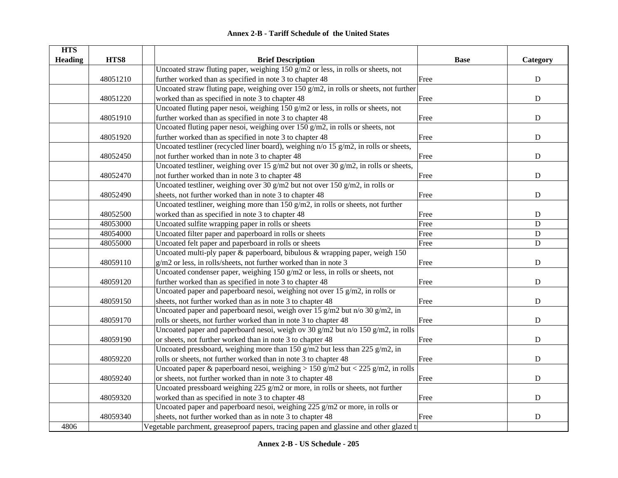| <b>HTS</b>     |          |                                                                                                                      |             |             |
|----------------|----------|----------------------------------------------------------------------------------------------------------------------|-------------|-------------|
| <b>Heading</b> | HTS8     | <b>Brief Description</b>                                                                                             | <b>Base</b> | Category    |
|                |          | Uncoated straw fluting paper, weighing 150 g/m2 or less, in rolls or sheets, not                                     |             |             |
|                | 48051210 | further worked than as specified in note 3 to chapter 48                                                             | Free        | ${\bf D}$   |
|                |          | Uncoated straw fluting pape, weighing over 150 g/m2, in rolls or sheets, not further                                 |             |             |
|                | 48051220 | worked than as specified in note 3 to chapter 48                                                                     | Free        | ${\bf D}$   |
|                |          | Uncoated fluting paper nesoi, weighing 150 g/m2 or less, in rolls or sheets, not                                     |             |             |
|                | 48051910 | further worked than as specified in note 3 to chapter 48                                                             | Free        | $\mathbf D$ |
|                |          | Uncoated fluting paper nesoi, weighing over $150$ g/m2, in rolls or sheets, not                                      |             |             |
|                | 48051920 | further worked than as specified in note 3 to chapter 48                                                             | Free        | ${\bf D}$   |
|                |          | Uncoated testliner (recycled liner board), weighing n/o 15 g/m2, in rolls or sheets,                                 |             |             |
|                | 48052450 | not further worked than in note 3 to chapter 48                                                                      | Free        | ${\bf D}$   |
|                |          | Uncoated testliner, weighing over 15 g/m2 but not over 30 g/m2, in rolls or sheets,                                  |             |             |
|                | 48052470 | not further worked than in note 3 to chapter 48                                                                      | Free        | ${\bf D}$   |
|                |          | Uncoated testliner, weighing over 30 g/m2 but not over 150 g/m2, in rolls or                                         |             |             |
|                | 48052490 | sheets, not further worked than in note 3 to chapter 48                                                              | Free        | $\mathbf D$ |
|                |          | Uncoated testliner, weighing more than $\frac{150 \text{ g/m2}}{150 \text{ g/m2}}$ , in rolls or sheets, not further |             |             |
|                | 48052500 | worked than as specified in note 3 to chapter 48                                                                     | Free        | ${\bf D}$   |
|                | 48053000 | Uncoated sulfite wrapping paper in rolls or sheets                                                                   | Free        | $\mathbf D$ |
|                | 48054000 | Uncoated filter paper and paperboard in rolls or sheets                                                              | Free        | ${\bf D}$   |
|                | 48055000 | Uncoated felt paper and paperboard in rolls or sheets                                                                | Free        | ${\bf D}$   |
|                |          | Uncoated multi-ply paper $\&$ paperboard, bibulous $\&$ wrapping paper, weigh 150                                    |             |             |
|                | 48059110 | g/m2 or less, in rolls/sheets, not further worked than in note 3                                                     | Free        | $\mathbf D$ |
|                |          | Uncoated condenser paper, weighing 150 g/m2 or less, in rolls or sheets, not                                         |             |             |
|                | 48059120 | further worked than as specified in note 3 to chapter 48                                                             | Free        | $\mathbf D$ |
|                |          | Uncoated paper and paperboard nesoi, weighing not over 15 g/m2, in rolls or                                          |             |             |
|                | 48059150 | sheets, not further worked than as in note 3 to chapter 48                                                           | Free        | $\mathbf D$ |
|                |          | Uncoated paper and paperboard nesoi, weigh over 15 g/m2 but n/o 30 g/m2, in                                          |             |             |
|                | 48059170 | rolls or sheets, not further worked than in note 3 to chapter 48                                                     | Free        | ${\bf D}$   |
|                |          | Uncoated paper and paperboard nesoi, weigh ov 30 g/m2 but n/o 150 g/m2, in rolls                                     |             |             |
|                | 48059190 | or sheets, not further worked than in note 3 to chapter 48                                                           | Free        | $\mathbf D$ |
|                |          | Uncoated pressboard, weighing more than 150 g/m2 but less than 225 g/m2, in                                          |             |             |
|                | 48059220 | rolls or sheets, not further worked than in note 3 to chapter 48                                                     | Free        | $\mathbf D$ |
|                |          | Uncoated paper & paperboard nesoi, weighing > 150 g/m2 but < 225 g/m2, in rolls                                      |             |             |
|                | 48059240 | or sheets, not further worked than in note 3 to chapter 48                                                           | Free        | ${\bf D}$   |
|                |          | Uncoated pressboard weighing 225 g/m2 or more, in rolls or sheets, not further                                       |             |             |
|                | 48059320 | worked than as specified in note 3 to chapter 48                                                                     | Free        | ${\bf D}$   |
|                |          | Uncoated paper and paperboard nesoi, weighing 225 g/m2 or more, in rolls or                                          |             |             |
|                | 48059340 | sheets, not further worked than as in note 3 to chapter 48                                                           | Free        | $\mathbf D$ |
| 4806           |          | Vegetable parchment, greaseproof papers, tracing papen and glassine and other glazed t                               |             |             |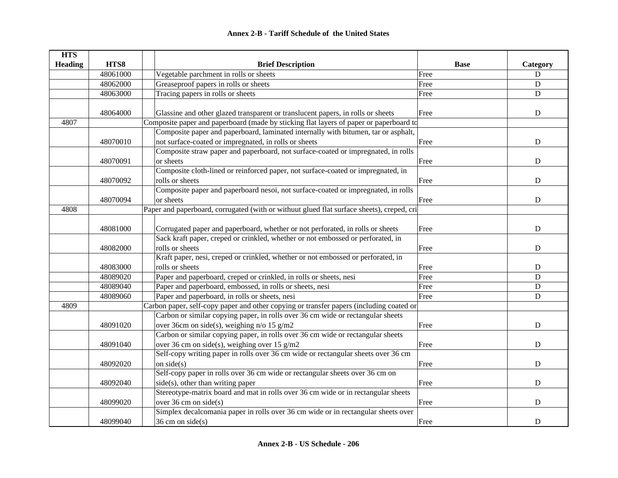| <b>HTS</b>     |          |                                                                                           |             |             |
|----------------|----------|-------------------------------------------------------------------------------------------|-------------|-------------|
| <b>Heading</b> | HTS8     | <b>Brief Description</b>                                                                  | <b>Base</b> | Category    |
|                | 48061000 | Vegetable parchment in rolls or sheets                                                    | Free        | $\mathbf D$ |
|                | 48062000 | Greaseproof papers in rolls or sheets                                                     | Free        | $\mathbf D$ |
|                | 48063000 | Tracing papers in rolls or sheets                                                         | Free        | D           |
|                |          |                                                                                           |             |             |
|                | 48064000 | Glassine and other glazed transparent or translucent papers, in rolls or sheets           | Free        | ${\bf D}$   |
| 4807           |          | Composite paper and paperboard (made by sticking flat layers of paper or paperboard to    |             |             |
|                |          | Composite paper and paperboard, laminated internally with bitumen, tar or asphalt,        |             |             |
|                | 48070010 | not surface-coated or impregnated, in rolls or sheets                                     | Free        | $\mathbf D$ |
|                |          | Composite straw paper and paperboard, not surface-coated or impregnated, in rolls         |             |             |
|                | 48070091 | or sheets                                                                                 | Free        | D           |
|                |          | Composite cloth-lined or reinforced paper, not surface-coated or impregnated, in          |             |             |
|                | 48070092 | rolls or sheets                                                                           | Free        | D           |
|                |          | Composite paper and paperboard nesoi, not surface-coated or impregnated, in rolls         |             |             |
|                | 48070094 | or sheets                                                                                 | Free        | ${\bf D}$   |
| 4808           |          | Paper and paperboard, corrugated (with or withuut glued flat surface sheets), creped, cri |             |             |
|                |          |                                                                                           |             |             |
|                | 48081000 | Corrugated paper and paperboard, whether or not perforated, in rolls or sheets            | Free        | ${\bf D}$   |
|                |          | Sack kraft paper, creped or crinkled, whether or not embossed or perforated, in           |             |             |
|                | 48082000 | rolls or sheets                                                                           | Free        | D           |
|                |          | Kraft paper, nesi, creped or crinkled, whether or not embossed or perforated, in          |             |             |
|                | 48083000 | rolls or sheets                                                                           | Free        | D           |
|                | 48089020 | Paper and paperboard, creped or crinkled, in rolls or sheets, nesi                        | Free        | D           |
|                | 48089040 | Paper and paperboard, embossed, in rolls or sheets, nesi                                  | Free        | ${\bf D}$   |
|                | 48089060 | Paper and paperboard, in rolls or sheets, nesi                                            | Free        | $\mathbf D$ |
| 4809           |          | Carbon paper, self-copy paper and other copying or transfer papers (including coated or   |             |             |
|                |          | Carbon or similar copying paper, in rolls over 36 cm wide or rectangular sheets           |             |             |
|                | 48091020 | over 36cm on side(s), weighing n/o 15 g/m2                                                | Free        | $\mathbf D$ |
|                |          | Carbon or similar copying paper, in rolls over 36 cm wide or rectangular sheets           |             |             |
|                | 48091040 | over 36 cm on side(s), weighing over 15 g/m2                                              | Free        | $\mathbf D$ |
|                |          | Self-copy writing paper in rolls over 36 cm wide or rectangular sheets over 36 cm         |             |             |
|                | 48092020 | on $side(s)$                                                                              | Free        | ${\bf D}$   |
|                |          | Self-copy paper in rolls over 36 cm wide or rectangular sheets over 36 cm on              |             |             |
|                | 48092040 | side(s), other than writing paper                                                         | Free        | D           |
|                |          | Stereotype-matrix board and mat in rolls over 36 cm wide or in rectangular sheets         |             |             |
|                | 48099020 | over $36 \text{ cm}$ on side(s)                                                           | Free        | D           |
|                |          | Simplex decalcomania paper in rolls over 36 cm wide or in rectangular sheets over         |             |             |
|                | 48099040 | $36 \text{ cm}$ on side(s)                                                                | Free        | D           |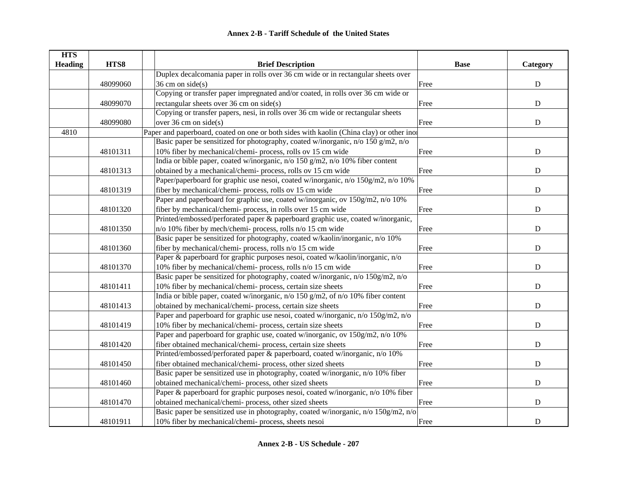| <b>HTS</b>     |          |                                                                                         |             |             |
|----------------|----------|-----------------------------------------------------------------------------------------|-------------|-------------|
| <b>Heading</b> | HTS8     | <b>Brief Description</b>                                                                | <b>Base</b> | Category    |
|                |          | Duplex decalcomania paper in rolls over 36 cm wide or in rectangular sheets over        |             |             |
|                | 48099060 | $36 \text{ cm}$ on side(s)                                                              | Free        | ${\bf D}$   |
|                |          | Copying or transfer paper impregnated and/or coated, in rolls over 36 cm wide or        |             |             |
|                | 48099070 | rectangular sheets over $36 \text{ cm}$ on side(s)                                      | Free        | ${\bf D}$   |
|                |          | Copying or transfer papers, nesi, in rolls over 36 cm wide or rectangular sheets        |             |             |
|                | 48099080 | over $36 \text{ cm}$ on side(s)                                                         | Free        | ${\bf D}$   |
| 4810           |          | Paper and paperboard, coated on one or both sides with kaolin (China clay) or other ino |             |             |
|                |          | Basic paper be sensitized for photography, coated w/inorganic, n/o 150 g/m2, n/o        |             |             |
|                | 48101311 | 10% fiber by mechanical/chemi- process, rolls ov 15 cm wide                             | Free        | ${\bf D}$   |
|                |          | India or bible paper, coated w/inorganic, n/o 150 g/m2, n/o 10% fiber content           |             |             |
|                | 48101313 | obtained by a mechanical/chemi- process, rolls ov 15 cm wide                            | Free        | ${\rm D}$   |
|                |          | Paper/paperboard for graphic use nesoi, coated w/inorganic, n/o 150g/m2, n/o 10%        |             |             |
|                | 48101319 | fiber by mechanical/chemi- process, rolls ov 15 cm wide                                 | Free        | ${\bf D}$   |
|                |          | Paper and paperboard for graphic use, coated w/inorganic, ov 150g/m2, n/o 10%           |             |             |
|                | 48101320 | fiber by mechanical/chemi- process, in rolls over 15 cm wide                            | Free        | $\mathbf D$ |
|                |          | Printed/embossed/perforated paper & paperboard graphic use, coated w/inorganic,         |             |             |
|                | 48101350 | n/o 10% fiber by mech/chemi- process, rolls n/o 15 cm wide                              | Free        | ${\bf D}$   |
|                |          | Basic paper be sensitized for photography, coated w/kaolin/inorganic, n/o 10%           |             |             |
|                | 48101360 | fiber by mechanical/chemi- process, rolls n/o 15 cm wide                                | Free        | ${\bf D}$   |
|                |          | Paper & paperboard for graphic purposes nesoi, coated w/kaolin/inorganic, n/o           |             |             |
|                | 48101370 | 10% fiber by mechanical/chemi- process, rolls n/o 15 cm wide                            | Free        | ${\bf D}$   |
|                |          | Basic paper be sensitized for photography, coated w/inorganic, n/o 150g/m2, n/o         |             |             |
|                | 48101411 | 10% fiber by mechanical/chemi-process, certain size sheets                              | Free        | ${\bf D}$   |
|                |          | India or bible paper, coated w/inorganic, n/o 150 g/m2, of n/o 10% fiber content        |             |             |
|                | 48101413 | obtained by mechanical/chemi-process, certain size sheets                               | Free        | ${\bf D}$   |
|                |          | Paper and paperboard for graphic use nesoi, coated w/inorganic, n/o 150g/m2, n/o        |             |             |
|                | 48101419 | 10% fiber by mechanical/chemi- process, certain size sheets                             | Free        | ${\bf D}$   |
|                |          | Paper and paperboard for graphic use, coated w/inorganic, ov 150g/m2, n/o 10%           |             |             |
|                | 48101420 | fiber obtained mechanical/chemi- process, certain size sheets                           | Free        | ${\bf D}$   |
|                |          | Printed/embossed/perforated paper & paperboard, coated w/inorganic, n/o 10%             |             |             |
|                | 48101450 | fiber obtained mechanical/chemi- process, other sized sheets                            | Free        | ${\bf D}$   |
|                |          | Basic paper be sensitized use in photography, coated w/inorganic, n/o 10% fiber         |             |             |
|                | 48101460 | obtained mechanical/chemi-process, other sized sheets                                   | Free        | ${\bf D}$   |
|                |          | Paper & paperboard for graphic purposes nesoi, coated w/inorganic, n/o 10% fiber        |             |             |
|                | 48101470 | obtained mechanical/chemi-process, other sized sheets                                   | Free        | ${\bf D}$   |
|                |          | Basic paper be sensitized use in photography, coated w/inorganic, n/o 150g/m2, n/o      |             |             |
|                | 48101911 | 10% fiber by mechanical/chemi-process, sheets nesoi                                     | Free        | ${\bf D}$   |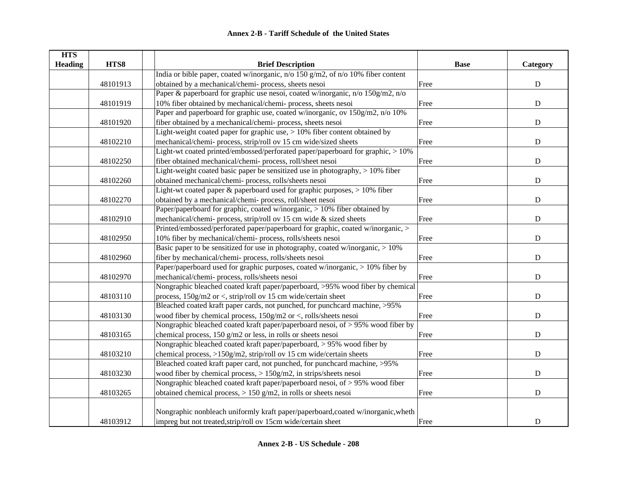| <b>HTS</b>     |          |                                                                                   |             |             |
|----------------|----------|-----------------------------------------------------------------------------------|-------------|-------------|
| <b>Heading</b> | HTS8     | <b>Brief Description</b>                                                          | <b>Base</b> | Category    |
|                |          | India or bible paper, coated w/inorganic, n/o 150 g/m2, of n/o 10% fiber content  |             |             |
|                | 48101913 | obtained by a mechanical/chemi-process, sheets nesoi                              | Free        | ${\bf D}$   |
|                |          | Paper & paperboard for graphic use nesoi, coated w/inorganic, n/o 150g/m2, n/o    |             |             |
|                | 48101919 | 10% fiber obtained by mechanical/chemi-process, sheets nesoi                      | Free        | ${\bf D}$   |
|                |          | Paper and paperboard for graphic use, coated w/inorganic, ov 150g/m2, n/o 10%     |             |             |
|                | 48101920 | fiber obtained by a mechanical/chemi- process, sheets nesoi                       | Free        | ${\bf D}$   |
|                |          | Light-weight coated paper for graphic use, $> 10\%$ fiber content obtained by     |             |             |
|                | 48102210 | mechanical/chemi- process, strip/roll ov 15 cm wide/sized sheets                  | Free        | ${\bf D}$   |
|                |          | Light-wt coated printed/embossed/perforated paper/paperboard for graphic, > 10%   |             |             |
|                | 48102250 | fiber obtained mechanical/chemi- process, roll/sheet nesoi                        | Free        | ${\rm D}$   |
|                |          | Light-weight coated basic paper be sensitized use in photography, > 10% fiber     |             |             |
|                | 48102260 | obtained mechanical/chemi-process, rolls/sheets nesoi                             | Free        | ${\bf D}$   |
|                |          | Light-wt coated paper & paperboard used for graphic purposes, > 10% fiber         |             |             |
|                | 48102270 | obtained by a mechanical/chemi- process, roll/sheet nesoi                         | Free        | $\mathbf D$ |
|                |          | Paper/paperboard for graphic, coated w/inorganic, > 10% fiber obtained by         |             |             |
|                | 48102910 | mechanical/chemi- process, strip/roll ov 15 cm wide & sized sheets                | Free        | $\mathbf D$ |
|                |          | Printed/embossed/perforated paper/paperboard for graphic, coated w/inorganic, >   |             |             |
|                | 48102950 | 10% fiber by mechanical/chemi- process, rolls/sheets nesoi                        | Free        | ${\bf D}$   |
|                |          | Basic paper to be sensitized for use in photography, coated w/inorganic, $> 10\%$ |             |             |
|                | 48102960 | fiber by mechanical/chemi- process, rolls/sheets nesoi                            | Free        | ${\rm D}$   |
|                |          | Paper/paperboard used for graphic purposes, coated w/inorganic, > 10% fiber by    |             |             |
|                | 48102970 | mechanical/chemi-process, rolls/sheets nesoi                                      | Free        | ${\bf D}$   |
|                |          | Nongraphic bleached coated kraft paper/paperboard, >95% wood fiber by chemical    |             |             |
|                | 48103110 | process, 150g/m2 or <, strip/roll ov 15 cm wide/certain sheet                     | Free        | $\mathbf D$ |
|                |          | Bleached coated kraft paper cards, not punched, for punchcard machine, >95%       |             |             |
|                | 48103130 | wood fiber by chemical process, 150g/m2 or <, rolls/sheets nesoi                  | Free        | $\mathbf D$ |
|                |          | Nongraphic bleached coated kraft paper/paperboard nesoi, of > 95% wood fiber by   |             |             |
|                | 48103165 | chemical process, 150 g/m2 or less, in rolls or sheets nesoi                      | Free        | $\mathbf D$ |
|                |          | Nongraphic bleached coated kraft paper/paperboard, > 95% wood fiber by            |             |             |
|                | 48103210 | chemical process, >150g/m2, strip/roll ov 15 cm wide/certain sheets               | Free        | ${\bf D}$   |
|                |          | Bleached coated kraft paper card, not punched, for punchcard machine, >95%        |             |             |
|                | 48103230 | wood fiber by chemical process, $> 150$ g/m2, in strips/sheets nesoi              | Free        | ${\bf D}$   |
|                |          | Nongraphic bleached coated kraft paper/paperboard nesoi, of $> 95\%$ wood fiber   |             |             |
|                | 48103265 | obtained chemical process, $> 150$ g/m2, in rolls or sheets nesoi                 | Free        | ${\bf D}$   |
|                |          |                                                                                   |             |             |
|                |          | Nongraphic nonbleach uniformly kraft paper/paperboard,coated w/inorganic,wheth    |             |             |
|                | 48103912 | impreg but not treated, strip/roll ov 15cm wide/certain sheet                     | Free        | D           |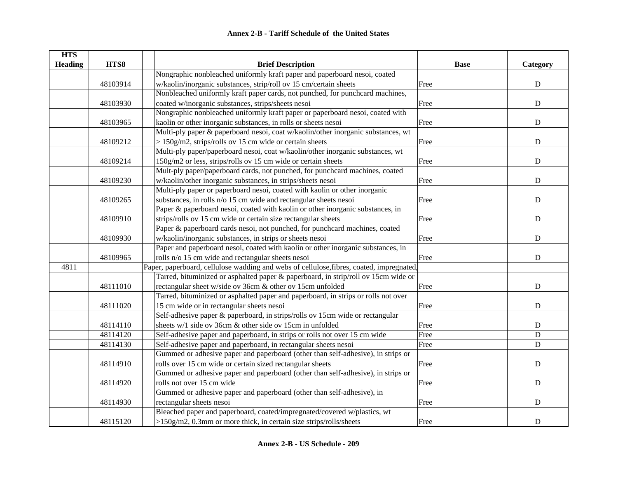| <b>HTS</b>     |          |                                                                                          |             |             |
|----------------|----------|------------------------------------------------------------------------------------------|-------------|-------------|
| <b>Heading</b> | HTS8     | <b>Brief Description</b>                                                                 | <b>Base</b> | Category    |
|                |          | Nongraphic nonbleached uniformly kraft paper and paperboard nesoi, coated                |             |             |
|                | 48103914 | w/kaolin/inorganic substances, strip/roll ov 15 cm/certain sheets                        | Free        | ${\bf D}$   |
|                |          | Nonbleached uniformly kraft paper cards, not punched, for punchcard machines,            |             |             |
|                | 48103930 | coated w/inorganic substances, strips/sheets nesoi                                       | Free        | ${\bf D}$   |
|                |          | Nongraphic nonbleached uniformly kraft paper or paperboard nesoi, coated with            |             |             |
|                | 48103965 | kaolin or other inorganic substances, in rolls or sheets nesoi                           | Free        | ${\bf D}$   |
|                |          | Multi-ply paper & paperboard nesoi, coat w/kaolin/other inorganic substances, wt         |             |             |
|                | 48109212 | $> 150$ g/m2, strips/rolls ov 15 cm wide or certain sheets                               | Free        | $\mathbf D$ |
|                |          | Multi-ply paper/paperboard nesoi, coat w/kaolin/other inorganic substances, wt           |             |             |
|                | 48109214 | 150g/m2 or less, strips/rolls ov 15 cm wide or certain sheets                            | Free        | $\mathbf D$ |
|                |          | Mult-ply paper/paperboard cards, not punched, for punchcard machines, coated             |             |             |
|                | 48109230 | w/kaolin/other inorganic substances, in strips/sheets nesoi                              | Free        | ${\bf D}$   |
|                |          | Multi-ply paper or paperboard nesoi, coated with kaolin or other inorganic               |             |             |
|                | 48109265 | substances, in rolls n/o 15 cm wide and rectangular sheets nesoi                         | Free        | D           |
|                |          | Paper & paperboard nesoi, coated with kaolin or other inorganic substances, in           |             |             |
|                | 48109910 | strips/rolls ov 15 cm wide or certain size rectangular sheets                            | Free        | ${\bf D}$   |
|                |          | Paper & paperboard cards nesoi, not punched, for punchcard machines, coated              |             |             |
|                | 48109930 | w/kaolin/inorganic substances, in strips or sheets nesoi                                 | Free        | ${\bf D}$   |
|                |          | Paper and paperboard nesoi, coated with kaolin or other inorganic substances, in         |             |             |
|                | 48109965 | rolls n/o 15 cm wide and rectangular sheets nesoi                                        | Free        | D           |
| 4811           |          | Paper, paperboard, cellulose wadding and webs of cellulose, fibres, coated, impregnated, |             |             |
|                |          | Tarred, bituminized or asphalted paper & paperboard, in strip/roll ov 15cm wide or       |             |             |
|                | 48111010 | rectangular sheet w/side ov 36cm & other ov 15cm unfolded                                | Free        | ${\bf D}$   |
|                |          | Tarred, bituminized or asphalted paper and paperboard, in strips or rolls not over       |             |             |
|                | 48111020 | 15 cm wide or in rectangular sheets nesoi                                                | Free        | ${\bf D}$   |
|                |          | Self-adhesive paper & paperboard, in strips/rolls ov 15cm wide or rectangular            |             |             |
|                | 48114110 | sheets w/1 side ov 36cm & other side ov 15cm in unfolded                                 | Free        | ${\bf D}$   |
|                | 48114120 | Self-adhesive paper and paperboard, in strips or rolls not over 15 cm wide               | Free        | D           |
|                | 48114130 | Self-adhesive paper and paperboard, in rectangular sheets nesoi                          | Free        | ${\bf D}$   |
|                |          | Gummed or adhesive paper and paperboard (other than self-adhesive), in strips or         |             |             |
|                | 48114910 | rolls over 15 cm wide or certain sized rectangular sheets                                | Free        | ${\bf D}$   |
|                |          | Gummed or adhesive paper and paperboard (other than self-adhesive), in strips or         |             |             |
|                | 48114920 | rolls not over 15 cm wide                                                                | Free        | ${\bf D}$   |
|                |          | Gummed or adhesive paper and paperboard (other than self-adhesive), in                   |             |             |
|                | 48114930 | rectangular sheets nesoi                                                                 | Free        | ${\bf D}$   |
|                |          | Bleached paper and paperboard, coated/impregnated/covered w/plastics, wt                 |             |             |
|                | 48115120 | $>150$ g/m2, 0.3mm or more thick, in certain size strips/rolls/sheets                    | Free        | $\mathbf D$ |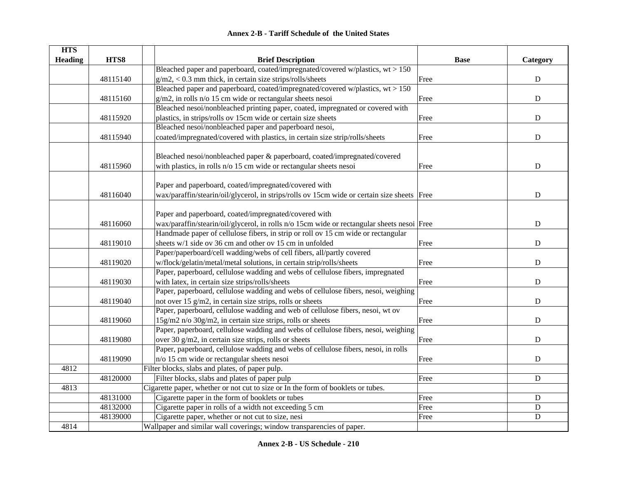| <b>Annex 2-B - Tariff Schedule of the United States</b> |  |
|---------------------------------------------------------|--|
|---------------------------------------------------------|--|

| <b>HTS</b>     |          |                                                                                             |             |             |
|----------------|----------|---------------------------------------------------------------------------------------------|-------------|-------------|
| <b>Heading</b> | HTS8     | <b>Brief Description</b>                                                                    | <b>Base</b> | Category    |
|                |          | Bleached paper and paperboard, coated/impregnated/covered w/plastics, $wt > 150$            |             |             |
|                | 48115140 | $g/m2$ , < 0.3 mm thick, in certain size strips/rolls/sheets                                | Free        | ${\bf D}$   |
|                |          | Bleached paper and paperboard, coated/impregnated/covered w/plastics, wt > 150              |             |             |
|                | 48115160 | g/m2, in rolls n/o 15 cm wide or rectangular sheets nesoi                                   | Free        | ${\bf D}$   |
|                |          | Bleached nesoi/nonbleached printing paper, coated, impregnated or covered with              |             |             |
|                | 48115920 | plastics, in strips/rolls ov 15cm wide or certain size sheets                               | Free        | ${\bf D}$   |
|                |          | Bleached nesoi/nonbleached paper and paperboard nesoi,                                      |             |             |
|                | 48115940 | coated/impregnated/covered with plastics, in certain size strip/rolls/sheets                | Free        | ${\bf D}$   |
|                |          |                                                                                             |             |             |
|                |          | Bleached nesoi/nonbleached paper & paperboard, coated/impregnated/covered                   |             |             |
|                | 48115960 | with plastics, in rolls n/o 15 cm wide or rectangular sheets nesoi                          | Free        | ${\bf D}$   |
|                |          |                                                                                             |             |             |
|                |          | Paper and paperboard, coated/impregnated/covered with                                       |             |             |
|                | 48116040 | wax/paraffin/stearin/oil/glycerol, in strips/rolls ov 15cm wide or certain size sheets Free |             | $\mathbf D$ |
|                |          |                                                                                             |             |             |
|                |          | Paper and paperboard, coated/impregnated/covered with                                       |             |             |
|                | 48116060 | wax/paraffin/stearin/oil/glycerol, in rolls n/o 15cm wide or rectangular sheets nesoi Free  |             | ${\bf D}$   |
|                |          | Handmade paper of cellulose fibers, in strip or roll ov 15 cm wide or rectangular           |             |             |
|                | 48119010 | sheets w/1 side ov 36 cm and other ov 15 cm in unfolded                                     | Free        | ${\bf D}$   |
|                |          | Paper/paperboard/cell wadding/webs of cell fibers, all/partly covered                       |             |             |
|                | 48119020 | w/flock/gelatin/metal/metal solutions, in certain strip/rolls/sheets                        | Free        | $\mathbf D$ |
|                |          | Paper, paperboard, cellulose wadding and webs of cellulose fibers, impregnated              |             |             |
|                | 48119030 | with latex, in certain size strips/rolls/sheets                                             | Free        | $\mathbf D$ |
|                |          | Paper, paperboard, cellulose wadding and webs of cellulose fibers, nesoi, weighing          |             |             |
|                | 48119040 | not over 15 g/m2, in certain size strips, rolls or sheets                                   | Free        | $\mathbf D$ |
|                |          | Paper, paperboard, cellulose wadding and web of cellulose fibers, nesoi, wt ov              |             |             |
|                | 48119060 | 15g/m2 n/o 30g/m2, in certain size strips, rolls or sheets                                  | Free        | D           |
|                |          | Paper, paperboard, cellulose wadding and webs of cellulose fibers, nesoi, weighing          |             |             |
|                | 48119080 | over 30 g/m2, in certain size strips, rolls or sheets                                       | Free        | $\mathbf D$ |
|                |          | Paper, paperboard, cellulose wadding and webs of cellulose fibers, nesoi, in rolls          |             |             |
|                | 48119090 | $n/\sigma$ 15 cm wide or rectangular sheets nesoi                                           | Free        | ${\bf D}$   |
| 4812           |          | Filter blocks, slabs and plates, of paper pulp.                                             |             |             |
|                | 48120000 | Filter blocks, slabs and plates of paper pulp                                               | Free        | ${\bf D}$   |
| 4813           |          | Cigarette paper, whether or not cut to size or In the form of booklets or tubes.            |             |             |
|                | 48131000 | Cigarette paper in the form of booklets or tubes                                            | Free        | ${\bf D}$   |
|                | 48132000 | Cigarette paper in rolls of a width not exceeding 5 cm                                      | Free        | ${\bf D}$   |
|                | 48139000 | Cigarette paper, whether or not cut to size, nesi                                           | Free        | ${\bf D}$   |
| 4814           |          | Wallpaper and similar wall coverings; window transparencies of paper.                       |             |             |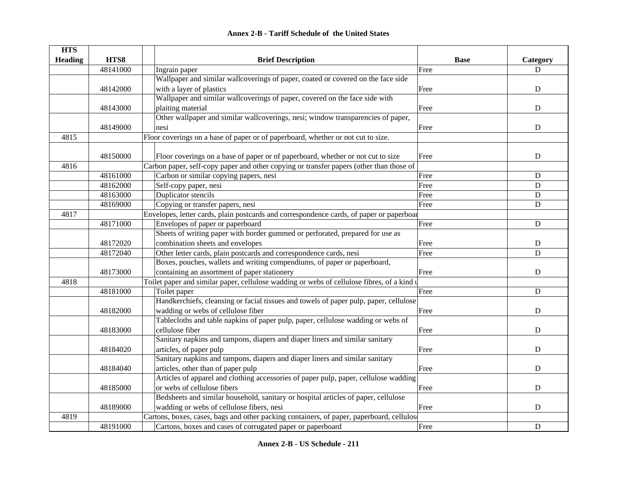| <b>Annex 2-B - Tariff Schedule of the United States</b> |  |  |  |  |  |  |
|---------------------------------------------------------|--|--|--|--|--|--|
|---------------------------------------------------------|--|--|--|--|--|--|

| <b>HTS</b>     |          |                                                                                            |             |             |
|----------------|----------|--------------------------------------------------------------------------------------------|-------------|-------------|
| <b>Heading</b> | HTS8     | <b>Brief Description</b>                                                                   | <b>Base</b> | Category    |
|                | 48141000 | Ingrain paper                                                                              | Free        | D           |
|                |          | Wallpaper and similar wallcoverings of paper, coated or covered on the face side           |             |             |
|                | 48142000 | with a layer of plastics                                                                   | Free        | ${\bf D}$   |
|                |          | Wallpaper and similar wallcoverings of paper, covered on the face side with                |             |             |
|                | 48143000 | plaiting material                                                                          | Free        | D           |
|                |          | Other wallpaper and similar wallcoverings, nesi; window transparencies of paper,           |             |             |
|                | 48149000 | nesi                                                                                       | Free        | ${\bf D}$   |
| 4815           |          | Floor coverings on a base of paper or of paperboard, whether or not cut to size.           |             |             |
|                |          |                                                                                            |             |             |
|                | 48150000 | Floor coverings on a base of paper or of paperboard, whether or not cut to size            | Free        | ${\bf D}$   |
| 4816           |          | Carbon paper, self-copy paper and other copying or transfer papers (other than those of    |             |             |
|                | 48161000 | Carbon or similar copying papers, nesi                                                     | Free        | D           |
|                | 48162000 | Self-copy paper, nesi                                                                      | Free        | $\mathbf D$ |
|                | 48163000 | Duplicator stencils                                                                        | Free        | $\mathbf D$ |
|                | 48169000 | Copying or transfer papers, nesi                                                           | Free        | D           |
| 4817           |          | Envelopes, letter cards, plain postcards and correspondence cards, of paper or paperboat   |             |             |
|                | 48171000 | Envelopes of paper or paperboard                                                           | Free        | ${\bf D}$   |
|                |          | Sheets of writing paper with border gummed or perforated, prepared for use as              |             |             |
|                | 48172020 | combination sheets and envelopes                                                           | Free        | $\mathbf D$ |
|                | 48172040 | Other letter cards, plain postcards and correspondence cards, nesi                         | Free        | D           |
|                |          | Boxes, pouches, wallets and writing compendiums, of paper or paperboard,                   |             |             |
|                | 48173000 | containing an assortment of paper stationery                                               | Free        | ${\bf D}$   |
| 4818           |          | Toilet paper and similar paper, cellulose wadding or webs of cellulose fibres, of a kind u |             |             |
|                | 48181000 | Toilet paper                                                                               | Free        | $\mathbf D$ |
|                |          | Handkerchiefs, cleansing or facial tissues and towels of paper pulp, paper, cellulose      |             |             |
|                | 48182000 | wadding or webs of cellulose fiber                                                         | Free        | D           |
|                |          | Tablecloths and table napkins of paper pulp, paper, cellulose wadding or webs of           |             |             |
|                | 48183000 | cellulose fiber                                                                            | Free        | D           |
|                |          | Sanitary napkins and tampons, diapers and diaper liners and similar sanitary               |             |             |
|                | 48184020 | articles, of paper pulp                                                                    | Free        | D           |
|                |          | Sanitary napkins and tampons, diapers and diaper liners and similar sanitary               |             |             |
|                | 48184040 | articles, other than of paper pulp                                                         | Free        | $\mathbf D$ |
|                |          | Articles of apparel and clothing accessories of paper pulp, paper, cellulose wadding       |             |             |
|                | 48185000 | or webs of cellulose fibers                                                                | Free        | $\mathbf D$ |
|                |          | Bedsheets and similar household, sanitary or hospital articles of paper, cellulose         |             |             |
|                | 48189000 | wadding or webs of cellulose fibers, nesi                                                  | Free        | D           |
| 4819           |          | Cartons, boxes, cases, bags and other packing containers, of paper, paperboard, cellulos   |             |             |
|                | 48191000 | Cartons, boxes and cases of corrugated paper or paperboard                                 | Free        | $\mathbf D$ |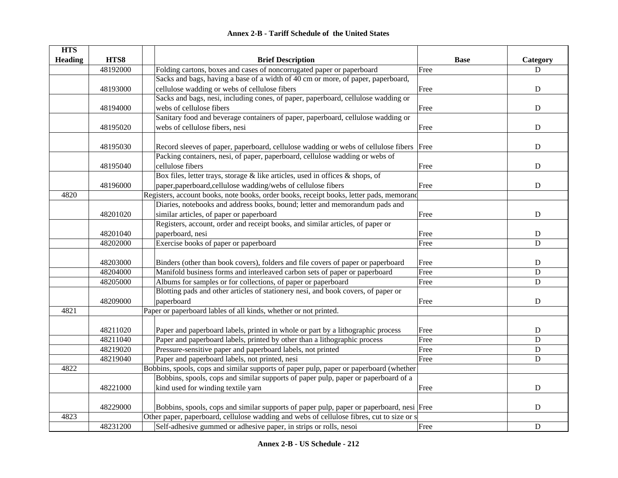|  | <b>Annex 2-B - Tariff Schedule of the United States</b> |  |
|--|---------------------------------------------------------|--|
|--|---------------------------------------------------------|--|

| <b>HTS</b>     |          |                                                                                           |             |             |
|----------------|----------|-------------------------------------------------------------------------------------------|-------------|-------------|
| <b>Heading</b> | HTS8     | <b>Brief Description</b>                                                                  | <b>Base</b> | Category    |
|                | 48192000 | Folding cartons, boxes and cases of noncorrugated paper or paperboard                     | Free        | D           |
|                |          | Sacks and bags, having a base of a width of 40 cm or more, of paper, paperboard,          |             |             |
|                | 48193000 | cellulose wadding or webs of cellulose fibers                                             | Free        | ${\bf D}$   |
|                |          | Sacks and bags, nesi, including cones, of paper, paperboard, cellulose wadding or         |             |             |
|                | 48194000 | webs of cellulose fibers                                                                  | Free        | $\mathbf D$ |
|                |          | Sanitary food and beverage containers of paper, paperboard, cellulose wadding or          |             |             |
|                | 48195020 | webs of cellulose fibers, nesi                                                            | Free        | $\mathbf D$ |
|                |          |                                                                                           |             |             |
|                | 48195030 | Record sleeves of paper, paperboard, cellulose wadding or webs of cellulose fibers        | Free        | D           |
|                |          | Packing containers, nesi, of paper, paperboard, cellulose wadding or webs of              |             |             |
|                | 48195040 | cellulose fibers                                                                          | Free        | D           |
|                |          | Box files, letter trays, storage $\&$ like articles, used in offices $\&$ shops, of       |             |             |
|                | 48196000 | paper, paperboard, cellulose wadding/webs of cellulose fibers                             | Free        | $\mathbf D$ |
| 4820           |          | Registers, account books, note books, order books, receipt books, letter pads, memorand   |             |             |
|                |          | Diaries, notebooks and address books, bound; letter and memorandum pads and               |             |             |
|                | 48201020 | similar articles, of paper or paperboard                                                  | Free        | D           |
|                |          | Registers, account, order and receipt books, and similar articles, of paper or            |             |             |
|                | 48201040 | paperboard, nesi                                                                          | Free        | $\mathbf D$ |
|                | 48202000 | Exercise books of paper or paperboard                                                     | Free        | D           |
|                |          |                                                                                           |             |             |
|                | 48203000 | Binders (other than book covers), folders and file covers of paper or paperboard          | Free        | $\mathbf D$ |
|                | 48204000 | Manifold business forms and interleaved carbon sets of paper or paperboard                | Free        | ${\rm D}$   |
|                | 48205000 | Albums for samples or for collections, of paper or paperboard                             | Free        | D           |
|                |          | Blotting pads and other articles of stationery nesi, and book covers, of paper or         |             |             |
|                | 48209000 | paperboard                                                                                | Free        | D           |
| 4821           |          | Paper or paperboard lables of all kinds, whether or not printed.                          |             |             |
|                |          |                                                                                           |             |             |
|                | 48211020 | Paper and paperboard labels, printed in whole or part by a lithographic process           | Free        | D           |
|                | 48211040 | Paper and paperboard labels, printed by other than a lithographic process                 | Free        | D           |
|                | 48219020 | Pressure-sensitive paper and paperboard labels, not printed                               | Free        | $\mathbf D$ |
|                | 48219040 | Paper and paperboard labels, not printed, nesi                                            | Free        | $\mathbf D$ |
| 4822           |          | Bobbins, spools, cops and similar supports of paper pulp, paper or paperboard (whether    |             |             |
|                |          | Bobbins, spools, cops and similar supports of paper pulp, paper or paperboard of a        |             |             |
|                | 48221000 | kind used for winding textile yarn                                                        | Free        | ${\bf D}$   |
|                |          |                                                                                           |             |             |
|                | 48229000 | Bobbins, spools, cops and similar supports of paper pulp, paper or paperboard, nesi Free  |             | D           |
| 4823           |          | Other paper, paperboard, cellulose wadding and webs of cellulose fibres, cut to size or s |             |             |
|                | 48231200 | Self-adhesive gummed or adhesive paper, in strips or rolls, nesoi                         | Free        | ${\bf D}$   |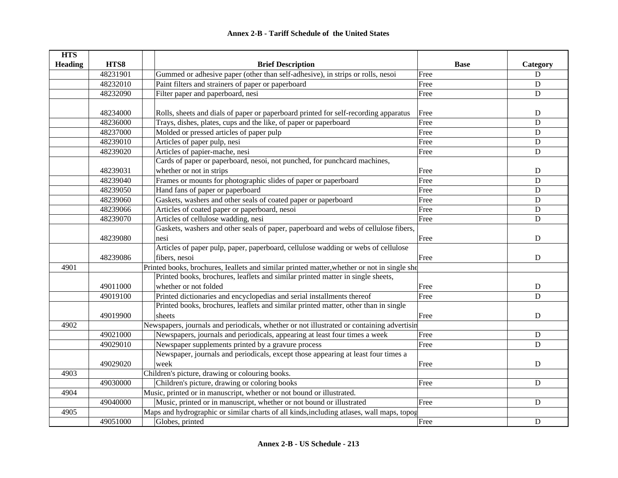| <b>HTS</b>     |          |                                                                                             |             |                |
|----------------|----------|---------------------------------------------------------------------------------------------|-------------|----------------|
| <b>Heading</b> | HTS8     | <b>Brief Description</b>                                                                    | <b>Base</b> | Category       |
|                | 48231901 | Gummed or adhesive paper (other than self-adhesive), in strips or rolls, nesoi              | Free        | ${\bf D}$      |
|                | 48232010 | Paint filters and strainers of paper or paperboard                                          | Free        | $\mathbf D$    |
|                | 48232090 | Filter paper and paperboard, nesi                                                           | Free        | $\mathbf D$    |
|                |          |                                                                                             |             |                |
|                | 48234000 | Rolls, sheets and dials of paper or paperboard printed for self-recording apparatus         | Free        | $\mathbf D$    |
|                | 48236000 | Trays, dishes, plates, cups and the like, of paper or paperboard                            | Free        | $\mathbf D$    |
|                | 48237000 | Molded or pressed articles of paper pulp                                                    | Free        | ${\bf D}$      |
|                | 48239010 | Articles of paper pulp, nesi                                                                | Free        | $\mathbf D$    |
|                | 48239020 | Articles of papier-mache, nesi                                                              | Free        | ${\bf D}$      |
|                |          | Cards of paper or paperboard, nesoi, not punched, for punchcard machines,                   |             |                |
|                | 48239031 | whether or not in strips                                                                    | Free        | $\mathbf D$    |
|                | 48239040 | Frames or mounts for photographic slides of paper or paperboard                             | Free        | $\mathbf D$    |
|                | 48239050 | Hand fans of paper or paperboard                                                            | Free        | D              |
|                | 48239060 | Gaskets, washers and other seals of coated paper or paperboard                              | Free        | D              |
|                | 48239066 | Articles of coated paper or paperboard, nesoi                                               | Free        | $\mathbf D$    |
|                | 48239070 | Articles of cellulose wadding, nesi                                                         | Free        | $\mathbf D$    |
|                |          | Gaskets, washers and other seals of paper, paperboard and webs of cellulose fibers,         |             |                |
|                | 48239080 | nesi                                                                                        | Free        | D              |
|                |          | Articles of paper pulp, paper, paperboard, cellulose wadding or webs of cellulose           |             |                |
|                | 48239086 | fibers, nesoi                                                                               | Free        | ${\bf D}$      |
| 4901           |          | Printed books, brochures, Ieallets and similar printed matter, whether or not in single she |             |                |
|                |          | Printed books, brochures, leaflets and similar printed matter in single sheets,             |             |                |
|                | 49011000 | whether or not folded                                                                       | Free        | $\mathbf D$    |
|                | 49019100 | Printed dictionaries and encyclopedias and serial installments thereof                      | Free        | $\overline{D}$ |
|                |          | Printed books, brochures, leaflets and similar printed matter, other than in single         |             |                |
|                | 49019900 | sheets                                                                                      | Free        | $\mathbf D$    |
| 4902           |          | Newspapers, journals and periodicals, whether or not illustrated or containing advertisin   |             |                |
|                | 49021000 | Newspapers, journals and periodicals, appearing at least four times a week                  | Free        | $\mathbf D$    |
|                | 49029010 | Newspaper supplements printed by a gravure process                                          | Free        | D              |
|                |          | Newspaper, journals and periodicals, except those appearing at least four times a           |             |                |
|                | 49029020 | week                                                                                        | Free        | ${\bf D}$      |
| 4903           |          | Children's picture, drawing or colouring books.                                             |             |                |
|                | 49030000 | Children's picture, drawing or coloring books                                               | Free        | ${\bf D}$      |
| 4904           |          | Music, printed or in manuscript, whether or not bound or illustrated.                       |             |                |
|                | 49040000 | Music, printed or in manuscript, whether or not bound or illustrated                        | Free        | ${\bf D}$      |
| 4905           |          | Maps and hydrographic or similar charts of all kinds, including atlases, wall maps, topog   |             |                |
|                | 49051000 | Globes, printed                                                                             | Free        | ${\bf D}$      |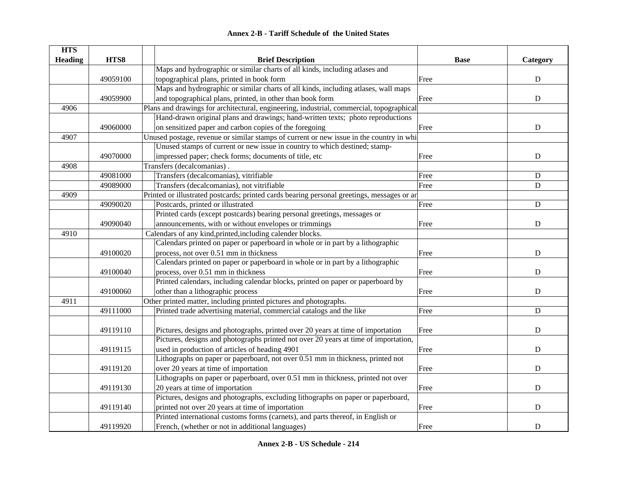| <b>HTS</b>     |          |                                                                                            |             |             |
|----------------|----------|--------------------------------------------------------------------------------------------|-------------|-------------|
| <b>Heading</b> | HTS8     | <b>Brief Description</b>                                                                   | <b>Base</b> | Category    |
|                |          | Maps and hydrographic or similar charts of all kinds, including atlases and                |             |             |
|                | 49059100 | topographical plans, printed in book form                                                  | Free        | ${\bf D}$   |
|                |          | Maps and hydrographic or similar charts of all kinds, including atlases, wall maps         |             |             |
|                | 49059900 | and topographical plans, printed, in other than book form                                  | Free        | ${\bf D}$   |
| 4906           |          | Plans and drawings for architectural, engineering, industrial, commercial, topographical   |             |             |
|                |          | Hand-drawn original plans and drawings; hand-written texts; photo reproductions            |             |             |
|                | 49060000 | on sensitized paper and carbon copies of the foregoing                                     | Free        | ${\bf D}$   |
| 4907           |          | Unused postage, revenue or similar stamps of current or new issue in the country in whi    |             |             |
|                |          | Unused stamps of current or new issue in country to which destined; stamp-                 |             |             |
|                | 49070000 | impressed paper; check forms; documents of title, etc                                      | Free        | ${\bf D}$   |
| 4908           |          | Transfers (decalcomanias).                                                                 |             |             |
|                | 49081000 | Transfers (decalcomanias), vitrifiable                                                     | Free        | ${\bf D}$   |
|                | 49089000 | Transfers (decalcomanias), not vitrifiable                                                 | Free        | $\mathbf D$ |
| 4909           |          | Printed or illustrated postcards; printed cards bearing personal greetings, messages or an |             |             |
|                | 49090020 | Postcards, printed or illustrated                                                          | Free        | ${\bf D}$   |
|                |          | Printed cards (except postcards) bearing personal greetings, messages or                   |             |             |
|                | 49090040 | announcements, with or without envelopes or trimmings                                      | Free        | $\mathbf D$ |
| 4910           |          | Calendars of any kind, printed, including calender blocks.                                 |             |             |
|                |          | Calendars printed on paper or paperboard in whole or in part by a lithographic             |             |             |
|                | 49100020 | process, not over 0.51 mm in thickness                                                     | Free        | ${\bf D}$   |
|                |          | Calendars printed on paper or paperboard in whole or in part by a lithographic             |             |             |
|                | 49100040 | process, over 0.51 mm in thickness                                                         | Free        | $\mathbf D$ |
|                |          | Printed calendars, including calendar blocks, printed on paper or paperboard by            |             |             |
|                | 49100060 | other than a lithographic process                                                          | Free        | $\mathbf D$ |
| 4911           |          | Other printed matter, including printed pictures and photographs.                          |             |             |
|                | 49111000 | Printed trade advertising material, commercial catalogs and the like                       | Free        | $\mathbf D$ |
|                |          |                                                                                            |             |             |
|                | 49119110 | Pictures, designs and photographs, printed over 20 years at time of importation            | Free        | ${\bf D}$   |
|                |          | Pictures, designs and photographs printed not over 20 years at time of importation,        |             |             |
|                | 49119115 | used in production of articles of heading 4901                                             | Free        | $\mathbf D$ |
|                |          | Lithographs on paper or paperboard, not over 0.51 mm in thickness, printed not             |             |             |
|                | 49119120 | over 20 years at time of importation                                                       | Free        | $\mathbf D$ |
|                |          | Lithographs on paper or paperboard, over 0.51 mm in thickness, printed not over            |             |             |
|                | 49119130 | 20 years at time of importation                                                            | Free        | ${\bf D}$   |
|                |          | Pictures, designs and photographs, excluding lithographs on paper or paperboard,           |             |             |
|                | 49119140 | printed not over 20 years at time of importation                                           | Free        | ${\bf D}$   |
|                |          | Printed international customs forms (carnets), and parts thereof, in English or            |             |             |
|                | 49119920 | French, (whether or not in additional languages)                                           | Free        | ${\bf D}$   |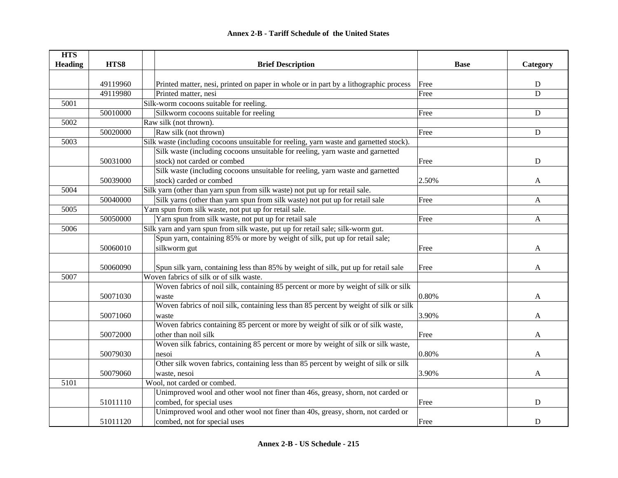| <b>HTS</b>     |          |                                                                                        |             |             |
|----------------|----------|----------------------------------------------------------------------------------------|-------------|-------------|
| <b>Heading</b> | HTS8     | <b>Brief Description</b>                                                               | <b>Base</b> | Category    |
|                |          |                                                                                        |             |             |
|                | 49119960 | Printed matter, nesi, printed on paper in whole or in part by a lithographic process   | Free        | ${\bf D}$   |
|                | 49119980 | Printed matter, nesi                                                                   | Free        | D           |
| 5001           |          | Silk-worm cocoons suitable for reeling.                                                |             |             |
|                | 50010000 | Silkworm cocoons suitable for reeling                                                  | Free        | $\mathbf D$ |
| 5002           |          | Raw silk (not thrown).                                                                 |             |             |
|                | 50020000 | Raw silk (not thrown)                                                                  | Free        | ${\bf D}$   |
| 5003           |          | Silk waste (including cocoons unsuitable for reeling, yarn waste and garnetted stock). |             |             |
|                |          | Silk waste (including cocoons unsuitable for reeling, yarn waste and garnetted         |             |             |
|                | 50031000 | stock) not carded or combed                                                            | Free        | $\mathbf D$ |
|                |          | Silk waste (including cocoons unsuitable for reeling, yarn waste and garnetted         |             |             |
|                | 50039000 | stock) carded or combed                                                                | 2.50%       | A           |
| 5004           |          | Silk yarn (other than yarn spun from silk waste) not put up for retail sale.           |             |             |
|                | 50040000 | Silk yarns (other than yarn spun from silk waste) not put up for retail sale           | Free        | A           |
| 5005           |          | Yarn spun from silk waste, not put up for retail sale.                                 |             |             |
|                | 50050000 | Yarn spun from silk waste, not put up for retail sale                                  | Free        | A           |
| 5006           |          | Silk yarn and yarn spun from silk waste, put up for retail sale; silk-worm gut.        |             |             |
|                |          | Spun yarn, containing 85% or more by weight of silk, put up for retail sale;           |             |             |
|                | 50060010 | silkworm gut                                                                           | Free        | A           |
|                |          |                                                                                        |             |             |
|                | 50060090 | Spun silk yarn, containing less than 85% by weight of silk, put up for retail sale     | Free        | A           |
| 5007           |          | Woven fabrics of silk or of silk waste.                                                |             |             |
|                |          | Woven fabrics of noil silk, containing 85 percent or more by weight of silk or silk    |             |             |
|                | 50071030 | waste                                                                                  | 0.80%       | A           |
|                |          | Woven fabrics of noil silk, containing less than 85 percent by weight of silk or silk  |             |             |
|                | 50071060 | waste                                                                                  | 3.90%       | A           |
|                |          | Woven fabrics containing 85 percent or more by weight of silk or of silk waste,        |             |             |
|                | 50072000 | other than noil silk                                                                   | Free        | A           |
|                |          | Woven silk fabrics, containing 85 percent or more by weight of silk or silk waste,     |             |             |
|                | 50079030 | nesoi                                                                                  | 0.80%       | A           |
|                |          | Other silk woven fabrics, containing less than 85 percent by weight of silk or silk    |             |             |
|                | 50079060 | waste, nesoi                                                                           | 3.90%       | A           |
| 5101           |          | Wool, not carded or combed.                                                            |             |             |
|                |          | Unimproved wool and other wool not finer than 46s, greasy, shorn, not carded or        |             |             |
|                | 51011110 | combed, for special uses                                                               | Free        | $\mathbf D$ |
|                |          | Unimproved wool and other wool not finer than 40s, greasy, shorn, not carded or        |             |             |
|                | 51011120 | combed, not for special uses                                                           | Free        | D           |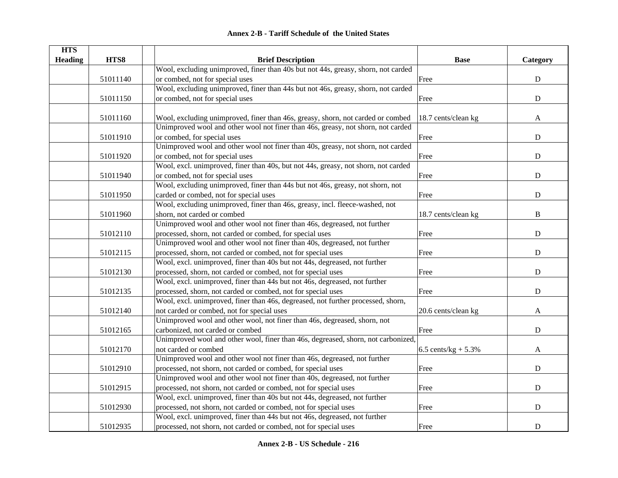| <b>HTS</b>     |          |                                                                                    |                        |             |
|----------------|----------|------------------------------------------------------------------------------------|------------------------|-------------|
| <b>Heading</b> | HTS8     | <b>Brief Description</b>                                                           | <b>Base</b>            | Category    |
|                |          | Wool, excluding unimproved, finer than 40s but not 44s, greasy, shorn, not carded  |                        |             |
|                | 51011140 | or combed, not for special uses                                                    | Free                   | ${\bf D}$   |
|                |          | Wool, excluding unimproved, finer than 44s but not 46s, greasy, shorn, not carded  |                        |             |
|                | 51011150 | or combed, not for special uses                                                    | Free                   | $\mathbf D$ |
|                |          |                                                                                    |                        |             |
|                | 51011160 | Wool, excluding unimproved, finer than 46s, greasy, shorn, not carded or combed    | 18.7 cents/clean kg    | A           |
|                |          | Unimproved wool and other wool not finer than 46s, greasy, not shorn, not carded   |                        |             |
|                | 51011910 | or combed, for special uses                                                        | Free                   | $\mathbf D$ |
|                |          | Unimproved wool and other wool not finer than 40s, greasy, not shorn, not carded   |                        |             |
|                | 51011920 | or combed, not for special uses                                                    | Free                   | D           |
|                |          | Wool, excl. unimproved, finer than 40s, but not 44s, greasy, not shorn, not carded |                        |             |
|                | 51011940 | or combed, not for special uses                                                    | Free                   | ${\bf D}$   |
|                |          | Wool, excluding unimproved, finer than 44s but not 46s, greasy, not shorn, not     |                        |             |
|                | 51011950 | carded or combed, not for special uses                                             | Free                   | $\mathbf D$ |
|                |          | Wool, excluding unimproved, finer than 46s, greasy, incl. fleece-washed, not       |                        |             |
|                | 51011960 | shorn, not carded or combed                                                        | 18.7 cents/clean kg    | $\bf{B}$    |
|                |          | Unimproved wool and other wool not finer than 46s, degreased, not further          |                        |             |
|                | 51012110 | processed, shorn, not carded or combed, for special uses                           | Free                   | ${\bf D}$   |
|                |          | Unimproved wool and other wool not finer than 40s, degreased, not further          |                        |             |
|                | 51012115 | processed, shorn, not carded or combed, not for special uses                       | Free                   | ${\bf D}$   |
|                |          | Wool, excl. unimproved, finer than 40s but not 44s, degreased, not further         |                        |             |
|                | 51012130 | processed, shorn, not carded or combed, not for special uses                       | Free                   | ${\bf D}$   |
|                |          | Wool, excl. unimproved, finer than 44s but not 46s, degreased, not further         |                        |             |
|                | 51012135 | processed, shorn, not carded or combed, not for special uses                       | Free                   | $\mathbf D$ |
|                |          | Wool, excl. unimproved, finer than 46s, degreased, not further processed, shorn,   |                        |             |
|                | 51012140 | not carded or combed, not for special uses                                         | 20.6 cents/clean kg    | A           |
|                |          | Unimproved wool and other wool, not finer than 46s, degreased, shorn, not          |                        |             |
|                | 51012165 | carbonized, not carded or combed                                                   | Free                   | D           |
|                |          | Unimproved wool and other wool, finer than 46s, degreased, shorn, not carbonized,  |                        |             |
|                | 51012170 | not carded or combed                                                               | 6.5 cents/ $kg + 5.3%$ | A           |
|                |          | Unimproved wool and other wool not finer than 46s, degreased, not further          |                        |             |
|                | 51012910 | processed, not shorn, not carded or combed, for special uses                       | Free                   | $\mathbf D$ |
|                |          | Unimproved wool and other wool not finer than 40s, degreased, not further          |                        |             |
|                | 51012915 | processed, not shorn, not carded or combed, not for special uses                   | Free                   | ${\bf D}$   |
|                |          | Wool, excl. unimproved, finer than 40s but not 44s, degreased, not further         |                        |             |
|                | 51012930 | processed, not shorn, not carded or combed, not for special uses                   | Free                   | ${\bf D}$   |
|                |          | Wool, excl. unimproved, finer than 44s but not 46s, degreased, not further         |                        |             |
|                | 51012935 | processed, not shorn, not carded or combed, not for special uses                   | Free                   | ${\bf D}$   |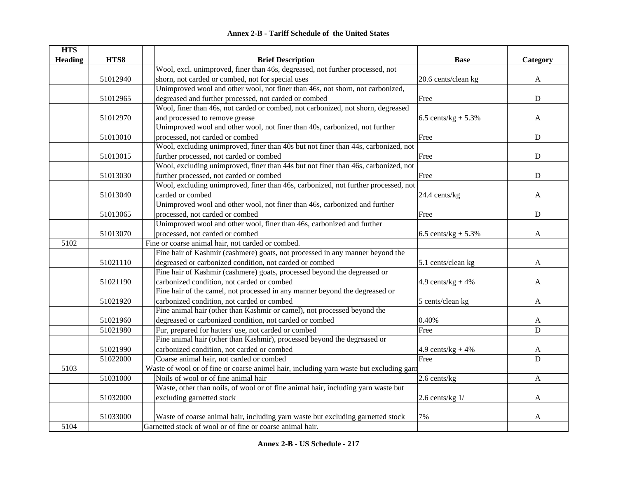| <b>HTS</b>     |          |                                                                                         |                        |             |
|----------------|----------|-----------------------------------------------------------------------------------------|------------------------|-------------|
| <b>Heading</b> | HTS8     | <b>Brief Description</b>                                                                | <b>Base</b>            | Category    |
|                |          | Wool, excl. unimproved, finer than 46s, degreased, not further processed, not           |                        |             |
|                | 51012940 | shorn, not carded or combed, not for special uses                                       | 20.6 cents/clean kg    | A           |
|                |          | Unimproved wool and other wool, not finer than 46s, not shorn, not carbonized,          |                        |             |
|                | 51012965 | degreased and further processed, not carded or combed                                   | Free                   | ${\bf D}$   |
|                |          | Wool, finer than 46s, not carded or combed, not carbonized, not shorn, degreased        |                        |             |
|                | 51012970 | and processed to remove grease                                                          | 6.5 cents/ $kg + 5.3%$ | A           |
|                |          | Unimproved wool and other wool, not finer than 40s, carbonized, not further             |                        |             |
|                | 51013010 | processed, not carded or combed                                                         | Free                   | $\mathbf D$ |
|                |          | Wool, excluding unimproved, finer than 40s but not finer than 44s, carbonized, not      |                        |             |
|                | 51013015 | further processed, not carded or combed                                                 | Free                   | ${\bf D}$   |
|                |          | Wool, excluding unimproved, finer than 44s but not finer than 46s, carbonized, not      |                        |             |
|                | 51013030 | further processed, not carded or combed                                                 | Free                   | $\mathbf D$ |
|                |          | Wool, excluding unimproved, finer than 46s, carbonized, not further processed, not      |                        |             |
|                | 51013040 | carded or combed                                                                        | 24.4 cents/kg          | A           |
|                |          | Unimproved wool and other wool, not finer than 46s, carbonized and further              |                        |             |
|                | 51013065 | processed, not carded or combed                                                         | Free                   | $\mathbf D$ |
|                |          | Unimproved wool and other wool, finer than 46s, carbonized and further                  |                        |             |
|                | 51013070 | processed, not carded or combed                                                         | 6.5 cents/ $kg + 5.3%$ | A           |
| 5102           |          | Fine or coarse animal hair, not carded or combed.                                       |                        |             |
|                |          | Fine hair of Kashmir (cashmere) goats, not processed in any manner beyond the           |                        |             |
|                | 51021110 | degreased or carbonized condition, not carded or combed                                 | 5.1 cents/clean kg     | A           |
|                |          | Fine hair of Kashmir (cashmere) goats, processed beyond the degreased or                |                        |             |
|                | 51021190 | carbonized condition, not carded or combed                                              | 4.9 cents/ $kg + 4%$   | A           |
|                |          | Fine hair of the camel, not processed in any manner beyond the degreased or             |                        |             |
|                | 51021920 | carbonized condition, not carded or combed                                              | 5 cents/clean kg       | A           |
|                |          | Fine animal hair (other than Kashmir or camel), not processed beyond the                |                        |             |
|                | 51021960 | degreased or carbonized condition, not carded or combed                                 | 0.40%                  | A           |
|                | 51021980 | Fur, prepared for hatters' use, not carded or combed                                    | Free                   | $\mathbf D$ |
|                |          | Fine animal hair (other than Kashmir), processed beyond the degreased or                |                        |             |
|                | 51021990 | carbonized condition, not carded or combed                                              | 4.9 cents/ $kg + 4%$   | A           |
|                | 51022000 | Coarse animal hair, not carded or combed                                                | Free                   | D           |
| 5103           |          | Waste of wool or of fine or coarse animel hair, including yarn waste but excluding garn |                        |             |
|                | 51031000 | Noils of wool or of fine animal hair                                                    | 2.6 cents/kg           | A           |
|                |          | Waste, other than noils, of wool or of fine animal hair, including yarn waste but       |                        |             |
|                | 51032000 | excluding garnetted stock                                                               | $2.6$ cents/kg $1/$    | A           |
|                |          |                                                                                         |                        |             |
|                | 51033000 | Waste of coarse animal hair, including yarn waste but excluding garnetted stock         | 7%                     | A           |
| 5104           |          | Garnetted stock of wool or of fine or coarse animal hair.                               |                        |             |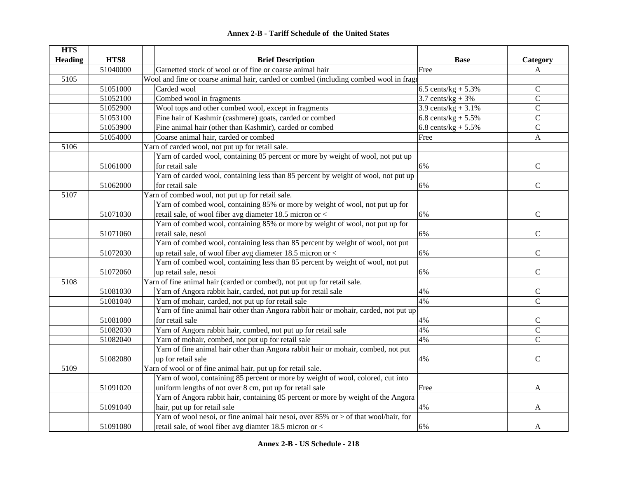|  | <b>Annex 2-B - Tariff Schedule of the United States</b> |  |
|--|---------------------------------------------------------|--|
|--|---------------------------------------------------------|--|

| <b>HTS</b>     |          |                                                                                          |                        |                |
|----------------|----------|------------------------------------------------------------------------------------------|------------------------|----------------|
| <b>Heading</b> | HTS8     | <b>Brief Description</b>                                                                 | <b>Base</b>            | Category       |
|                | 51040000 | Garnetted stock of wool or of fine or coarse animal hair                                 | Free                   | A              |
| 5105           |          | Wool and fine or coarse animal hair, carded or combed (including combed wool in fragt    |                        |                |
|                | 51051000 | Carded wool                                                                              | 6.5 cents/ $kg + 5.3%$ | $\mathsf{C}$   |
|                | 51052100 | Combed wool in fragments                                                                 | 3.7 cents/ $kg + 3%$   | $\mathsf{C}$   |
|                | 51052900 | Wool tops and other combed wool, except in fragments                                     | 3.9 cents/kg + $3.1\%$ | $\mathsf{C}$   |
|                | 51053100 | Fine hair of Kashmir (cashmere) goats, carded or combed                                  | 6.8 cents/ $kg + 5.5%$ | $\mathsf C$    |
|                | 51053900 | Fine animal hair (other than Kashmir), carded or combed                                  | 6.8 cents/ $kg + 5.5%$ | $\mathcal{C}$  |
|                | 51054000 | Coarse animal hair, carded or combed                                                     | Free                   | $\mathbf{A}$   |
| 5106           |          | Yarn of carded wool, not put up for retail sale.                                         |                        |                |
|                |          | Yarn of carded wool, containing 85 percent or more by weight of wool, not put up         |                        |                |
|                | 51061000 | for retail sale                                                                          | 6%                     | $\mathbf C$    |
|                |          | Yarn of carded wool, containing less than 85 percent by weight of wool, not put up       |                        |                |
|                | 51062000 | for retail sale                                                                          | 6%                     | $\mathcal{C}$  |
| 5107           |          | Yarn of combed wool, not put up for retail sale.                                         |                        |                |
|                |          | Yarn of combed wool, containing 85% or more by weight of wool, not put up for            |                        |                |
|                | 51071030 | retail sale, of wool fiber avg diameter 18.5 micron or <                                 | 6%                     | $\mathcal{C}$  |
|                |          | Yarn of combed wool, containing 85% or more by weight of wool, not put up for            |                        |                |
|                | 51071060 | retail sale, nesoi                                                                       | 6%                     | $\mathsf{C}$   |
|                |          | Yarn of combed wool, containing less than 85 percent by weight of wool, not put          |                        |                |
|                | 51072030 | up retail sale, of wool fiber avg diameter 18.5 micron or <                              | 6%                     | $\mathsf{C}$   |
|                |          | Yarn of combed wool, containing less than 85 percent by weight of wool, not put          |                        |                |
|                | 51072060 | up retail sale, nesoi                                                                    | 6%                     | $\mathsf{C}$   |
| 5108           |          | Yarn of fine animal hair (carded or combed), not put up for retail sale.                 |                        |                |
|                | 51081030 | Yarn of Angora rabbit hair, carded, not put up for retail sale                           | 4%                     | $\mathsf C$    |
|                | 51081040 | Yarn of mohair, carded, not put up for retail sale                                       | 4%                     | $\overline{C}$ |
|                |          | Yarn of fine animal hair other than Angora rabbit hair or mohair, carded, not put up     |                        |                |
|                | 51081080 | for retail sale                                                                          | 4%                     | $\mathsf C$    |
|                | 51082030 | Yarn of Angora rabbit hair, combed, not put up for retail sale                           | 4%                     | $\overline{C}$ |
|                | 51082040 | Yarn of mohair, combed, not put up for retail sale                                       | 4%                     | $\overline{C}$ |
|                |          | Yarn of fine animal hair other than Angora rabbit hair or mohair, combed, not put        |                        |                |
|                | 51082080 | up for retail sale                                                                       | 4%                     | $\mathsf{C}$   |
| 5109           |          | Yarn of wool or of fine animal hair, put up for retail sale.                             |                        |                |
|                |          | Yarn of wool, containing 85 percent or more by weight of wool, colored, cut into         |                        |                |
|                | 51091020 | uniform lengths of not over 8 cm, put up for retail sale                                 | Free                   | A              |
|                |          | Yarn of Angora rabbit hair, containing 85 percent or more by weight of the Angora        |                        |                |
|                | 51091040 | hair, put up for retail sale                                                             | 4%                     | A              |
|                |          | Yarn of wool nesoi, or fine animal hair nesoi, over $85\%$ or $>$ of that wool/hair, for |                        |                |
|                | 51091080 | retail sale, of wool fiber avg diamter 18.5 micron or <                                  | 6%                     | A              |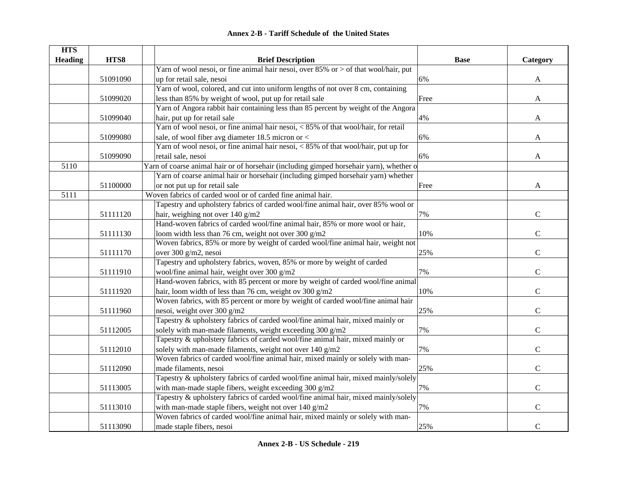| <b>Annex 2-B - Tariff Schedule of the United States</b> |  |
|---------------------------------------------------------|--|
|---------------------------------------------------------|--|

| <b>HTS</b>     |          |                                                                                         |             |               |
|----------------|----------|-----------------------------------------------------------------------------------------|-------------|---------------|
| <b>Heading</b> | HTS8     | <b>Brief Description</b>                                                                | <b>Base</b> | Category      |
|                |          | Yarn of wool nesoi, or fine animal hair nesoi, over 85% or > of that wool/hair, put     |             |               |
|                | 51091090 | up for retail sale, nesoi                                                               | 6%          | A             |
|                |          | Yarn of wool, colored, and cut into uniform lengths of not over 8 cm, containing        |             |               |
|                | 51099020 | less than 85% by weight of wool, put up for retail sale                                 | Free        | A             |
|                |          | Yarn of Angora rabbit hair containing less than 85 percent by weight of the Angora      |             |               |
|                | 51099040 | hair, put up for retail sale                                                            | 4%          | A             |
|                |          | Yarn of wool nesoi, or fine animal hair nesoi, < 85% of that wool/hair, for retail      |             |               |
|                | 51099080 | sale, of wool fiber avg diameter 18.5 micron or <                                       | 6%          | A             |
|                |          | Yarn of wool nesoi, or fine animal hair nesoi, < 85% of that wool/hair, put up for      |             |               |
|                | 51099090 | retail sale, nesoi                                                                      | 6%          | A             |
| 5110           |          | Yarn of coarse animal hair or of horsehair (including gimped horsehair yarn), whether o |             |               |
|                |          | Yarn of coarse animal hair or horsehair (including gimped horsehair yarn) whether       |             |               |
|                | 51100000 | or not put up for retail sale                                                           | Free        | A             |
| 5111           |          | Woven fabrics of carded wool or of carded fine animal hair.                             |             |               |
|                |          | Tapestry and upholstery fabrics of carded wool/fine animal hair, over 85% wool or       |             |               |
|                | 51111120 | hair, weighing not over 140 g/m2                                                        | 7%          | $\mathbf C$   |
|                |          | Hand-woven fabrics of carded wool/fine animal hair, 85% or more wool or hair,           |             |               |
|                | 51111130 | loom width less than 76 cm, weight not over 300 g/m2                                    | 10%         | $\mathbf C$   |
|                |          | Woven fabrics, 85% or more by weight of carded wool/fine animal hair, weight not        |             |               |
|                | 51111170 | over 300 g/m2, nesoi                                                                    | 25%         | $\mathbf C$   |
|                |          | Tapestry and upholstery fabrics, woven, 85% or more by weight of carded                 |             |               |
|                | 51111910 | wool/fine animal hair, weight over 300 g/m2                                             | 7%          | $\mathsf{C}$  |
|                |          | Hand-woven fabrics, with 85 percent or more by weight of carded wool/fine animal        |             |               |
|                | 51111920 | hair, loom width of less than 76 cm, weight ov 300 g/m2                                 | 10%         | $\mathbf C$   |
|                |          | Woven fabrics, with 85 percent or more by weight of carded wool/fine animal hair        |             |               |
|                | 51111960 | nesoi, weight over 300 g/m2                                                             | 25%         | $\mathbf C$   |
|                |          | Tapestry & upholstery fabrics of carded wool/fine animal hair, mixed mainly or          |             |               |
|                | 51112005 | solely with man-made filaments, weight exceeding 300 g/m2                               | 7%          | $\mathbf C$   |
|                |          | Tapestry & upholstery fabrics of carded wool/fine animal hair, mixed mainly or          |             |               |
|                | 51112010 | solely with man-made filaments, weight not over 140 g/m2                                | 7%          | $\mathcal{C}$ |
|                |          | Woven fabrics of carded wool/fine animal hair, mixed mainly or solely with man-         |             |               |
|                | 51112090 | made filaments, nesoi                                                                   | 25%         | $\mathcal{C}$ |
|                |          | Tapestry & upholstery fabrics of carded wool/fine animal hair, mixed mainly/solely      |             |               |
|                | 51113005 | with man-made staple fibers, weight exceeding 300 g/m2                                  | 7%          | $\mathbf C$   |
|                |          | Tapestry & upholstery fabrics of carded wool/fine animal hair, mixed mainly/solely      |             |               |
|                | 51113010 | with man-made staple fibers, weight not over 140 g/m2                                   | 7%          | $\mathsf{C}$  |
|                |          | Woven fabrics of carded wool/fine animal hair, mixed mainly or solely with man-         |             |               |
|                | 51113090 | made staple fibers, nesoi                                                               | 25%         | $\mathbf C$   |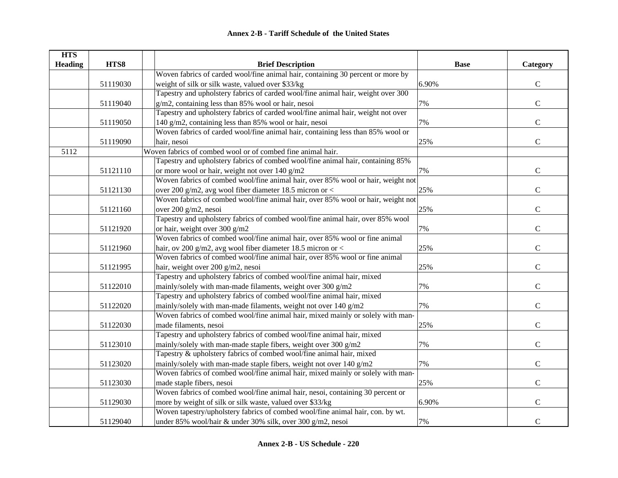| <b>HTS</b>     |          |                                                                                  |             |                |
|----------------|----------|----------------------------------------------------------------------------------|-------------|----------------|
| <b>Heading</b> | HTS8     | <b>Brief Description</b>                                                         | <b>Base</b> | Category       |
|                |          | Woven fabrics of carded wool/fine animal hair, containing 30 percent or more by  |             |                |
|                | 51119030 | weight of silk or silk waste, valued over \$33/kg                                | 6.90%       | $\mathsf{C}$   |
|                |          | Tapestry and upholstery fabrics of carded wool/fine animal hair, weight over 300 |             |                |
|                | 51119040 | g/m2, containing less than 85% wool or hair, nesoi                               | 7%          | $\mathbf C$    |
|                |          | Tapestry and upholstery fabrics of carded wool/fine animal hair, weight not over |             |                |
|                | 51119050 | 140 g/m2, containing less than 85% wool or hair, nesoi                           | 7%          | ${\bf C}$      |
|                |          | Woven fabrics of carded wool/fine animal hair, containing less than 85% wool or  |             |                |
|                | 51119090 | hair, nesoi                                                                      | 25%         | $\mathsf{C}$   |
| 5112           |          | Woven fabrics of combed wool or of combed fine animal hair.                      |             |                |
|                |          | Tapestry and upholstery fabrics of combed wool/fine animal hair, containing 85%  |             |                |
|                | 51121110 | or more wool or hair, weight not over 140 g/m2                                   | 7%          | ${\bf C}$      |
|                |          | Woven fabrics of combed wool/fine animal hair, over 85% wool or hair, weight not |             |                |
|                | 51121130 | over 200 g/m2, avg wool fiber diameter 18.5 micron or <                          | 25%         | $\mathsf{C}$   |
|                |          | Woven fabrics of combed wool/fine animal hair, over 85% wool or hair, weight not |             |                |
|                | 51121160 | over 200 g/m2, nesoi                                                             | 25%         | $\mathbf C$    |
|                |          | Tapestry and upholstery fabrics of combed wool/fine animal hair, over 85% wool   |             |                |
|                | 51121920 | or hair, weight over 300 g/m2                                                    | 7%          | $\mathbf C$    |
|                |          | Woven fabrics of combed wool/fine animal hair, over 85% wool or fine animal      |             |                |
|                | 51121960 | hair, ov 200 g/m2, avg wool fiber diameter 18.5 micron or $<$                    | 25%         | $\mathbf C$    |
|                |          | Woven fabrics of combed wool/fine animal hair, over 85% wool or fine animal      |             |                |
|                | 51121995 | hair, weight over 200 g/m2, nesoi                                                | 25%         | $\mathsf{C}$   |
|                |          | Tapestry and upholstery fabrics of combed wool/fine animal hair, mixed           |             |                |
|                | 51122010 | mainly/solely with man-made filaments, weight over 300 g/m2                      | 7%          | $\mathbf C$    |
|                |          | Tapestry and upholstery fabrics of combed wool/fine animal hair, mixed           |             |                |
|                | 51122020 | mainly/solely with man-made filaments, weight not over 140 g/m2                  | 7%          | $\mathcal{C}$  |
|                |          | Woven fabrics of combed wool/fine animal hair, mixed mainly or solely with man-  |             |                |
|                | 51122030 | made filaments, nesoi                                                            | 25%         | $\overline{C}$ |
|                |          | Tapestry and upholstery fabrics of combed wool/fine animal hair, mixed           |             |                |
|                | 51123010 | mainly/solely with man-made staple fibers, weight over 300 g/m2                  | 7%          | $\mathbf C$    |
|                |          | Tapestry & upholstery fabrics of combed wool/fine animal hair, mixed             |             |                |
|                | 51123020 | mainly/solely with man-made staple fibers, weight not over 140 g/m2              | 7%          | $\mathbf C$    |
|                |          | Woven fabrics of combed wool/fine animal hair, mixed mainly or solely with man-  |             |                |
|                | 51123030 | made staple fibers, nesoi                                                        | 25%         | $\mathbf C$    |
|                |          | Woven fabrics of combed wool/fine animal hair, nesoi, containing 30 percent or   |             |                |
|                | 51129030 | more by weight of silk or silk waste, valued over \$33/kg                        | 6.90%       | $\mathbf C$    |
|                |          | Woven tapestry/upholstery fabrics of combed wool/fine animal hair, con. by wt.   |             |                |
|                | 51129040 | under 85% wool/hair & under 30% silk, over 300 g/m2, nesoi                       | 7%          | $\mathbf C$    |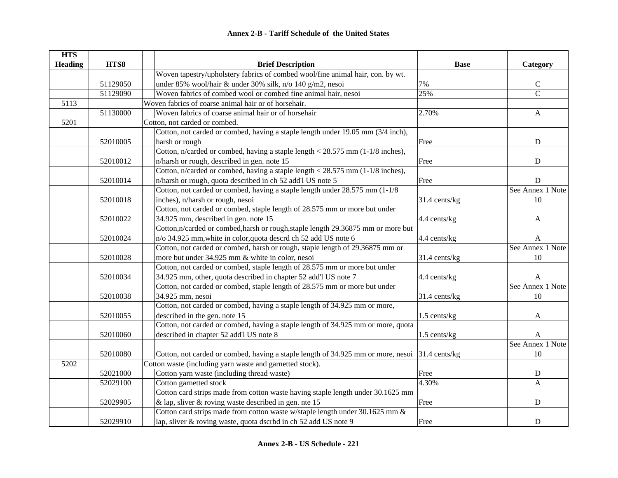| <b>HTS</b>     |          |                                                                                                |               |                  |
|----------------|----------|------------------------------------------------------------------------------------------------|---------------|------------------|
| <b>Heading</b> | HTS8     | <b>Brief Description</b>                                                                       | <b>Base</b>   | Category         |
|                |          | Woven tapestry/upholstery fabrics of combed wool/fine animal hair, con. by wt.                 |               |                  |
|                | 51129050 | under 85% wool/hair & under 30% silk, n/o 140 g/m2, nesoi                                      | 7%            | $\mathsf C$      |
|                | 51129090 | Woven fabrics of combed wool or combed fine animal hair, nesoi                                 | 25%           | $\overline{C}$   |
| 5113           |          | Woven fabrics of coarse animal hair or of horsehair.                                           |               |                  |
|                | 51130000 | Woven fabrics of coarse animal hair or of horsehair                                            | 2.70%         | $\mathbf{A}$     |
| 5201           |          | Cotton, not carded or combed.                                                                  |               |                  |
|                |          | Cotton, not carded or combed, having a staple length under 19.05 mm (3/4 inch),                |               |                  |
|                | 52010005 | harsh or rough                                                                                 | Free          | ${\rm D}$        |
|                |          | Cotton, n/carded or combed, having a staple length $<$ 28.575 mm (1-1/8 inches),               |               |                  |
|                | 52010012 | n/harsh or rough, described in gen. note 15                                                    | Free          | ${\bf D}$        |
|                |          | Cotton, n/carded or combed, having a staple length $<$ 28.575 mm (1-1/8 inches),               |               |                  |
|                | 52010014 | n/harsh or rough, quota described in ch 52 add'l US note 5                                     | Free          | $\mathbf D$      |
|                |          | Cotton, not carded or combed, having a staple length under 28.575 mm (1-1/8)                   |               | See Annex 1 Note |
|                | 52010018 | inches), n/harsh or rough, nesoi                                                               | 31.4 cents/kg | 10               |
|                |          | Cotton, not carded or combed, staple length of 28.575 mm or more but under                     |               |                  |
|                | 52010022 | 34.925 mm, described in gen. note 15                                                           | 4.4 cents/kg  | A                |
|                |          | Cotton, n/carded or combed, harsh or rough, staple length 29.36875 mm or more but              |               |                  |
|                | 52010024 | n/o 34.925 mm, white in color, quota descrd ch 52 add US note 6                                | 4.4 cents/kg  | A                |
|                |          | Cotton, not carded or combed, harsh or rough, staple length of 29.36875 mm or                  |               | See Annex 1 Note |
|                | 52010028 | more but under 34.925 mm & white in color, nesoi                                               | 31.4 cents/kg | 10               |
|                |          | Cotton, not carded or combed, staple length of 28.575 mm or more but under                     |               |                  |
|                | 52010034 | 34.925 mm, other, quota described in chapter 52 add'l US note 7                                | 4.4 cents/kg  | A                |
|                |          | Cotton, not carded or combed, staple length of 28.575 mm or more but under                     |               | See Annex 1 Note |
|                | 52010038 | 34.925 mm, nesoi                                                                               | 31.4 cents/kg | 10               |
|                |          | Cotton, not carded or combed, having a staple length of 34.925 mm or more,                     |               |                  |
|                | 52010055 | described in the gen. note 15                                                                  | 1.5 cents/kg  | $\mathbf{A}$     |
|                |          | Cotton, not carded or combed, having a staple length of 34.925 mm or more, quota               |               |                  |
|                | 52010060 | described in chapter 52 add'l US note 8                                                        | 1.5 cents/kg  | A                |
|                |          |                                                                                                |               | See Annex 1 Note |
|                | 52010080 | Cotton, not carded or combed, having a staple length of 34.925 mm or more, nesoi 31.4 cents/kg |               | 10               |
| 5202           |          | Cotton waste (including yarn waste and garnetted stock).                                       |               |                  |
|                | 52021000 | Cotton yarn waste (including thread waste)                                                     | Free          | ${\bf D}$        |
|                | 52029100 | Cotton garnetted stock                                                                         | 4.30%         | A                |
|                |          | Cotton card strips made from cotton waste having staple length under 30.1625 mm                |               |                  |
|                | 52029905 | & lap, sliver & roving waste described in gen. nte $15$                                        | Free          | ${\bf D}$        |
|                |          | Cotton card strips made from cotton waste w/staple length under 30.1625 mm &                   |               |                  |
|                | 52029910 | lap, sliver & roving waste, quota dscrbd in ch 52 add US note 9                                | Free          | ${\bf D}$        |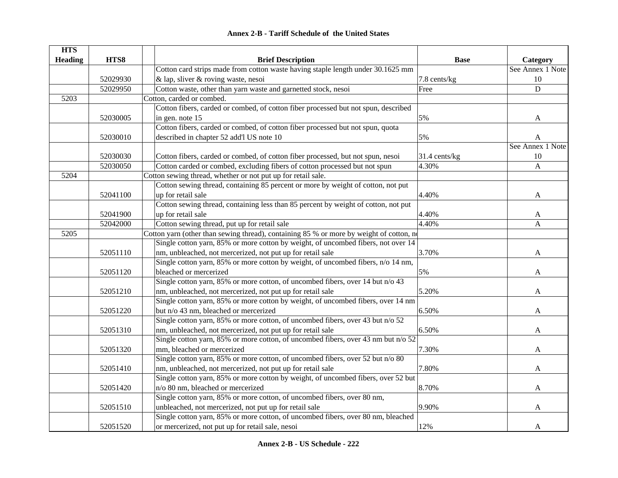#### **HTS Heading HTS8 Brief Description Base Category** 52029930Cotton card strips made from cotton waste having staple length under 30.1625 mm & lap, sliver & roving waste, nesoi 7.8 cents/kg See Annex 1 Note 1052029950 Cotton waste, other than yarn waste and garnetted stock, nesoi Free D 5203Cotton, carded or combed. 52030005Cotton fibers, carded or combed, of cotton fiber processed but not spun, described in gen. note 15  $\blacksquare$ 52030010Cotton fibers, carded or combed, of cotton fiber processed but not spun, quota described in chapter 52 add'l US note 10  $\overline{5\%}$  5% A 52030030 Cotton fibers, carded or combed, of cotton fiber processed, but not spun, nesoi 31.4 cents/kg See Annex 1 Note 1052030050 Cotton carded or combed, excluding fibers of cotton processed but not spun 4.30% 5204Cotton sewing thread, whether or not put up for retail sale. 52041100Cotton sewing thread, containing 85 percent or more by weight of cotton, not put up for retail sale  $4.40\%$  A 52041900Cotton sewing thread, containing less than 85 percent by weight of cotton, not put up for retail sale  $4.40\%$  A 52042000 Cotton sewing thread, put up for retail sale 4.40% A 5205Cotton yarn (other than sewing thread), containing 85 % or more by weight of cotton, n 52051110Single cotton yarn, 85% or more cotton by weight, of uncombed fibers, not over 14 nm, unbleached, not mercerized, not put up for retail sale  $3.70\%$  and  $3.70\%$ 52051120Single cotton yarn, 85% or more cotton by weight, of uncombed fibers, n/o 14 nm, bleached or mercerized and the state of the state of the state of the state of the state of the state of the state of the state of the state of the state of the state of the state of the state of the state of the state of 52051210Single cotton yarn, 85% or more cotton, of uncombed fibers, over 14 but n/o 43 nm, unbleached, not mercerized, not put up for retail sale 5.20% and 5.20% A 52051220Single cotton yarn, 85% or more cotton by weight, of uncombed fibers, over 14 nm but n/o 43 nm, bleached or mercerized  $6.50\%$  A 52051310Single cotton yarn, 85% or more cotton, of uncombed fibers, over 43 but n/o 52 nm, unbleached, not mercerized, not put up for retail sale 6.50% and 6.50% A 52051320Single cotton yarn, 85% or more cotton, of uncombed fibers, over 43 nm but n/o 52 mm, bleached or mercerized and the state of the state of the state of the state of the state of the state of the A 52051410Single cotton yarn, 85% or more cotton, of uncombed fibers, over 52 but n/o 80 nm, unbleached, not mercerized, not put up for retail sale  $17.80\%$  and  $7.80\%$  A 52051420Single cotton yarn, 85% or more cotton by weight, of uncombed fibers, over 52 but n/o 80 nm, bleached or mercerized and a set of the set of the set of the set of the set of the set of the set of the set of the set of the set of the set of the set of the set of the set of the set of the set of the set of 52051510Single cotton yarn, 85% or more cotton, of uncombed fibers, over 80 nm, unbleached, not mercerized, not put up for retail sale 9.90% A 52051520Single cotton yarn, 85% or more cotton, of uncombed fibers, over 80 nm, bleached or mercerized, not put up for retail sale, nesoi and 12% and 12% A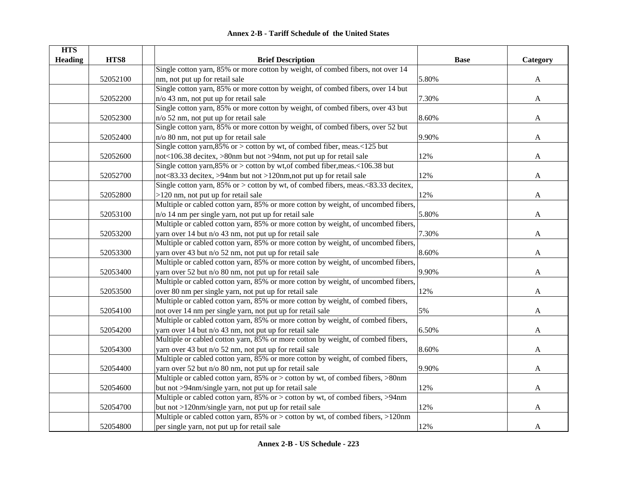|  | <b>Annex 2-B - Tariff Schedule of the United States</b> |  |
|--|---------------------------------------------------------|--|
|--|---------------------------------------------------------|--|

| <b>HTS</b>     |          |                                                                                         |             |              |
|----------------|----------|-----------------------------------------------------------------------------------------|-------------|--------------|
| <b>Heading</b> | HTS8     | <b>Brief Description</b>                                                                | <b>Base</b> | Category     |
|                |          | Single cotton yarn, 85% or more cotton by weight, of combed fibers, not over 14         |             |              |
|                | 52052100 | nm, not put up for retail sale                                                          | 5.80%       | A            |
|                |          | Single cotton yarn, 85% or more cotton by weight, of combed fibers, over 14 but         |             |              |
|                | 52052200 | n/o 43 nm, not put up for retail sale                                                   | 7.30%       | A            |
|                |          | Single cotton yarn, 85% or more cotton by weight, of combed fibers, over 43 but         |             |              |
|                | 52052300 | $n$ /o 52 nm, not put up for retail sale                                                | 8.60%       | $\mathbf{A}$ |
|                |          | Single cotton yarn, 85% or more cotton by weight, of combed fibers, over 52 but         |             |              |
|                | 52052400 | n/o 80 nm, not put up for retail sale                                                   | 9.90%       | A            |
|                |          | Single cotton yarn, 85% or $>$ cotton by wt, of combed fiber, meas. <125 but            |             |              |
|                | 52052600 | not<106.38 decitex, >80nm but not >94nm, not put up for retail sale                     | 12%         | A            |
|                |          | Single cotton yarn, 85% or > cotton by wt, of combed fiber, meas. <106.38 but           |             |              |
|                | 52052700 | not<83.33 decitex, >94nm but not >120nm, not put up for retail sale                     | 12%         | A            |
|                |          | Single cotton yarn, 85% or $>$ cotton by wt, of combed fibers, meas. $< 83.33$ decitex, |             |              |
|                | 52052800 | >120 nm, not put up for retail sale                                                     | 12%         | A            |
|                |          | Multiple or cabled cotton yarn, 85% or more cotton by weight, of uncombed fibers,       |             |              |
|                | 52053100 | n/o 14 nm per single yarn, not put up for retail sale                                   | 5.80%       | A            |
|                |          | Multiple or cabled cotton yarn, 85% or more cotton by weight, of uncombed fibers,       |             |              |
|                | 52053200 | yarn over 14 but n/o 43 nm, not put up for retail sale                                  | 7.30%       | $\mathbf{A}$ |
|                |          | Multiple or cabled cotton yarn, 85% or more cotton by weight, of uncombed fibers,       |             |              |
|                | 52053300 | yarn over 43 but n/o 52 nm, not put up for retail sale                                  | 8.60%       | A            |
|                |          | Multiple or cabled cotton yarn, 85% or more cotton by weight, of uncombed fibers,       |             |              |
|                | 52053400 | yarn over 52 but n/o 80 nm, not put up for retail sale                                  | 9.90%       | A            |
|                |          | Multiple or cabled cotton yarn, 85% or more cotton by weight, of uncombed fibers,       |             |              |
|                | 52053500 | over 80 nm per single yarn, not put up for retail sale                                  | 12%         | A            |
|                |          | Multiple or cabled cotton yarn, 85% or more cotton by weight, of combed fibers,         |             |              |
|                | 52054100 | not over 14 nm per single yarn, not put up for retail sale                              | 5%          | A            |
|                |          | Multiple or cabled cotton yarn, 85% or more cotton by weight, of combed fibers,         |             |              |
|                | 52054200 | yarn over 14 but n/o 43 nm, not put up for retail sale                                  | 6.50%       | A            |
|                |          | Multiple or cabled cotton yarn, 85% or more cotton by weight, of combed fibers,         |             |              |
|                | 52054300 | yarn over 43 but n/o 52 nm, not put up for retail sale                                  | 8.60%       | A            |
|                |          | Multiple or cabled cotton yarn, 85% or more cotton by weight, of combed fibers,         |             |              |
|                | 52054400 | yarn over 52 but n/o 80 nm, not put up for retail sale                                  | 9.90%       | A            |
|                |          | Multiple or cabled cotton yarn, 85% or > cotton by wt, of combed fibers, >80nm          |             |              |
|                | 52054600 | but not >94nm/single yarn, not put up for retail sale                                   | 12%         | A            |
|                |          | Multiple or cabled cotton yarn, 85% or > cotton by wt, of combed fibers, >94nm          |             |              |
|                | 52054700 | but not >120nm/single yarn, not put up for retail sale                                  | 12%         | A            |
|                |          | Multiple or cabled cotton yarn, 85% or > cotton by wt, of combed fibers, >120nm         |             |              |
|                |          |                                                                                         |             |              |
|                | 52054800 | per single yarn, not put up for retail sale                                             | 12%         | A            |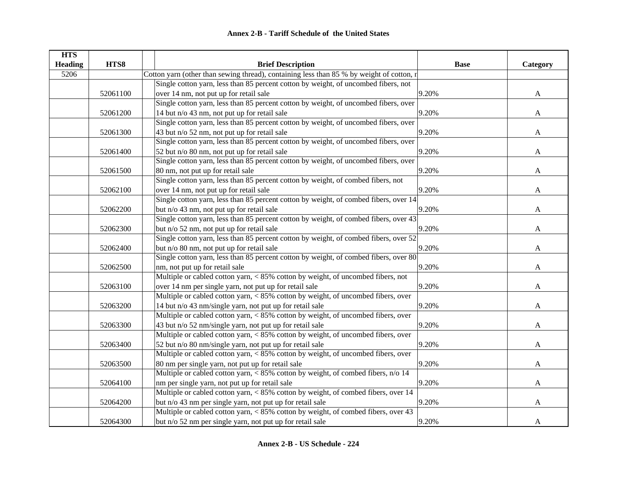| <b>HTS</b>     |          |                                                                                          |             |              |
|----------------|----------|------------------------------------------------------------------------------------------|-------------|--------------|
| <b>Heading</b> | HTS8     | <b>Brief Description</b>                                                                 | <b>Base</b> | Category     |
| 5206           |          | Cotton yarn (other than sewing thread), containing less than 85 % by weight of cotton, r |             |              |
|                |          | Single cotton yarn, less than 85 percent cotton by weight, of uncombed fibers, not       |             |              |
|                | 52061100 | over 14 nm, not put up for retail sale                                                   | 9.20%       | $\mathbf{A}$ |
|                |          | Single cotton yarn, less than 85 percent cotton by weight, of uncombed fibers, over      |             |              |
|                | 52061200 | 14 but n/o 43 nm, not put up for retail sale                                             | 9.20%       | A            |
|                |          | Single cotton yarn, less than 85 percent cotton by weight, of uncombed fibers, over      |             |              |
|                | 52061300 | 43 but n/o 52 nm, not put up for retail sale                                             | 9.20%       | $\mathbf{A}$ |
|                |          | Single cotton yarn, less than 85 percent cotton by weight, of uncombed fibers, over      |             |              |
|                | 52061400 | 52 but n/o 80 nm, not put up for retail sale                                             | 9.20%       | A            |
|                |          | Single cotton yarn, less than 85 percent cotton by weight, of uncombed fibers, over      |             |              |
|                | 52061500 | 80 nm, not put up for retail sale                                                        | 9.20%       | A            |
|                |          | Single cotton yarn, less than 85 percent cotton by weight, of combed fibers, not         |             |              |
|                | 52062100 | over 14 nm, not put up for retail sale                                                   | 9.20%       | A            |
|                |          | Single cotton yarn, less than 85 percent cotton by weight, of combed fibers, over 14     |             |              |
|                | 52062200 | but n/o 43 nm, not put up for retail sale                                                | 9.20%       | A            |
|                |          | Single cotton yarn, less than 85 percent cotton by weight, of combed fibers, over 43     |             |              |
|                | 52062300 | but n/o 52 nm, not put up for retail sale                                                | 9.20%       | A            |
|                |          | Single cotton yarn, less than 85 percent cotton by weight, of combed fibers, over 52     |             |              |
|                | 52062400 | but n/o 80 nm, not put up for retail sale                                                | 9.20%       | A            |
|                |          | Single cotton yarn, less than 85 percent cotton by weight, of combed fibers, over 80     |             |              |
|                | 52062500 | nm, not put up for retail sale                                                           | 9.20%       | A            |
|                |          | Multiple or cabled cotton yarn, < 85% cotton by weight, of uncombed fibers, not          |             |              |
|                | 52063100 | over 14 nm per single yarn, not put up for retail sale                                   | 9.20%       | A            |
|                |          | Multiple or cabled cotton yarn, < 85% cotton by weight, of uncombed fibers, over         |             |              |
|                | 52063200 | 14 but n/o 43 nm/single yarn, not put up for retail sale                                 | 9.20%       | A            |
|                |          | Multiple or cabled cotton yarn, $< 85\%$ cotton by weight, of uncombed fibers, over      |             |              |
|                | 52063300 | 43 but n/o 52 nm/single yarn, not put up for retail sale                                 | 9.20%       | A            |
|                |          | Multiple or cabled cotton yarn, < 85% cotton by weight, of uncombed fibers, over         |             |              |
|                | 52063400 | 52 but n/o 80 nm/single yarn, not put up for retail sale                                 | 9.20%       | A            |
|                |          | Multiple or cabled cotton yarn, $< 85\%$ cotton by weight, of uncombed fibers, over      |             |              |
|                | 52063500 | 80 nm per single yarn, not put up for retail sale                                        | 9.20%       | A            |
|                |          | Multiple or cabled cotton yarn, < 85% cotton by weight, of combed fibers, n/o 14         |             |              |
|                | 52064100 | nm per single yarn, not put up for retail sale                                           | 9.20%       | A            |
|                |          | Multiple or cabled cotton yarn, < 85% cotton by weight, of combed fibers, over 14        |             |              |
|                | 52064200 | but n/o 43 nm per single yarn, not put up for retail sale                                | 9.20%       | A            |
|                |          | Multiple or cabled cotton yarn, < 85% cotton by weight, of combed fibers, over 43        |             |              |
|                | 52064300 | but n/o 52 nm per single yarn, not put up for retail sale                                | 9.20%       | A            |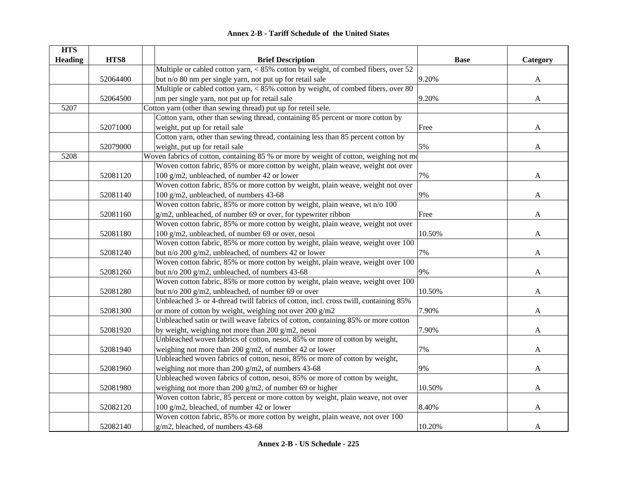|  | <b>Annex 2-B - Tariff Schedule of the United States</b> |  |
|--|---------------------------------------------------------|--|
|--|---------------------------------------------------------|--|

| <b>HTS</b>     |          |                                                                                       |             |              |
|----------------|----------|---------------------------------------------------------------------------------------|-------------|--------------|
| <b>Heading</b> | HTS8     | <b>Brief Description</b>                                                              | <b>Base</b> | Category     |
|                |          | Multiple or cabled cotton yarn, $< 85\%$ cotton by weight, of combed fibers, over 52  |             |              |
|                | 52064400 | but n/o 80 nm per single yarn, not put up for retail sale                             | 9.20%       | A            |
|                |          | Multiple or cabled cotton yarn, < 85% cotton by weight, of combed fibers, over 80     |             |              |
|                | 52064500 | nm per single yarn, not put up for retail sale                                        | 9.20%       | $\mathbf{A}$ |
| 5207           |          | Cotton yarn (other than sewing thread) put up for reteil sele.                        |             |              |
|                |          | Cotton yarn, other than sewing thread, containing 85 percent or more cotton by        |             |              |
|                | 52071000 | weight, put up for retail sale                                                        | Free        | A            |
|                |          | Cotton yarn, other than sewing thread, containing less than 85 percent cotton by      |             |              |
|                | 52079000 | weight, put up for retail sale                                                        | 5%          | A            |
| 5208           |          | Woven fabrics of cotton, containing 85 % or more by weight of cotton, weighing not mo |             |              |
|                |          | Woven cotton fabric, 85% or more cotton by weight, plain weave, weight not over       |             |              |
|                | 52081120 | 100 g/m2, unbleached, of number 42 or lower                                           | 7%          | A            |
|                |          | Woven cotton fabric, 85% or more cotton by weight, plain weave, weight not over       |             |              |
|                | 52081140 | 100 g/m2, unbleached, of numbers 43-68                                                | 9%          | A            |
|                |          | Woven cotton fabric, 85% or more cotton by weight, plain weave, wt n/o 100            |             |              |
|                | 52081160 | g/m2, unbleached, of number 69 or over, for typewriter ribbon                         | Free        | A            |
|                |          | Woven cotton fabric, 85% or more cotton by weight, plain weave, weight not over       |             |              |
|                | 52081180 | 100 g/m2, unbleached, of number 69 or over, nesoi                                     | 10.50%      | A            |
|                |          | Woven cotton fabric, 85% or more cotton by weight, plain weave, weight over 100       |             |              |
|                | 52081240 | but n/o 200 g/m2, unbleached, of numbers 42 or lower                                  | 7%          | A            |
|                |          | Woven cotton fabric, 85% or more cotton by weight, plain weave, weight over 100       |             |              |
|                | 52081260 | but n/o 200 g/m2, unbleached, of numbers 43-68                                        | 9%          | A            |
|                |          | Woven cotton fabric, 85% or more cotton by weight, plain weave, weight over 100       |             |              |
|                | 52081280 | but n/o 200 g/m2, unbleached, of number 69 or over                                    | 10.50%      | A            |
|                |          | Unbleached 3- or 4-thread twill fabrics of cotton, incl. cross twill, containing 85%  |             |              |
|                | 52081300 | or more of cotton by weight, weighing not over 200 g/m2                               | 7.90%       | A            |
|                |          | Unbleached satin or twill weave fabrics of cotton, containing 85% or more cotton      |             |              |
|                | 52081920 | by weight, weighing not more than 200 $g/m2$ , nesoi                                  | 7.90%       | A            |
|                |          | Unbleached woven fabrics of cotton, nesoi, 85% or more of cotton by weight,           |             |              |
|                | 52081940 | weighing not more than 200 g/m2, of number 42 or lower                                | 7%          | A            |
|                |          | Unbleached woven fabrics of cotton, nesoi, 85% or more of cotton by weight,           |             |              |
|                | 52081960 | weighing not more than 200 g/m2, of numbers 43-68                                     | 9%          | A            |
|                |          | Unbleached woven fabrics of cotton, nesoi, 85% or more of cotton by weight,           |             |              |
|                | 52081980 | weighing not more than 200 g/m2, of number 69 or higher                               | 10.50%      | A            |
|                |          | Woven cotton fabric, 85 percent or more cotton by weight, plain weave, not over       |             |              |
|                | 52082120 | 100 g/m2, bleached, of number 42 or lower                                             | 8.40%       | A            |
|                |          | Woven cotton fabric, 85% or more cotton by weight, plain weave, not over 100          |             |              |
|                | 52082140 | $g/m2$ , bleached, of numbers 43-68                                                   | 10.20%      | $\mathbf{A}$ |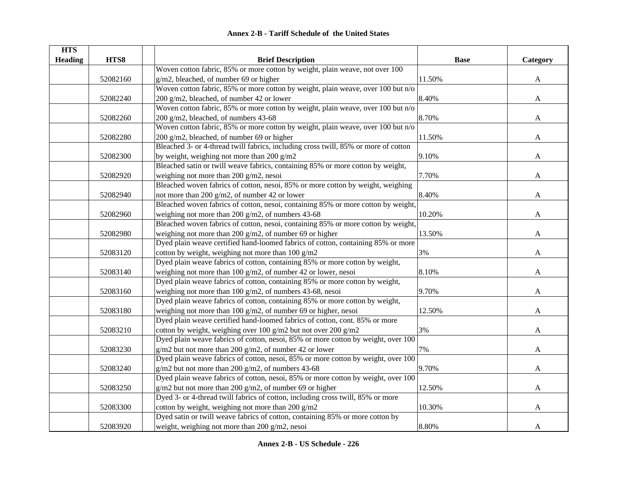| <b>Annex 2-B - Tariff Schedule of the United States</b> |
|---------------------------------------------------------|
|---------------------------------------------------------|

| <b>HTS</b>     |          |                                                                                     |             |              |
|----------------|----------|-------------------------------------------------------------------------------------|-------------|--------------|
| <b>Heading</b> | HTS8     | <b>Brief Description</b>                                                            | <b>Base</b> | Category     |
|                |          | Woven cotton fabric, 85% or more cotton by weight, plain weave, not over 100        |             |              |
|                | 52082160 | g/m2, bleached, of number 69 or higher                                              | 11.50%      | $\mathbf{A}$ |
|                |          | Woven cotton fabric, 85% or more cotton by weight, plain weave, over 100 but n/o    |             |              |
|                | 52082240 | 200 g/m2, bleached, of number 42 or lower                                           | 8.40%       | A            |
|                |          | Woven cotton fabric, 85% or more cotton by weight, plain weave, over 100 but n/o    |             |              |
|                | 52082260 | 200 g/m2, bleached, of numbers 43-68                                                | 8.70%       | A            |
|                |          | Woven cotton fabric, 85% or more cotton by weight, plain weave, over 100 but n/o    |             |              |
|                | 52082280 | 200 g/m2, bleached, of number 69 or higher                                          | 11.50%      | A            |
|                |          | Bleached 3- or 4-thread twill fabrics, including cross twill, 85% or more of cotton |             |              |
|                | 52082300 | by weight, weighing not more than $200$ g/m2                                        | 9.10%       | A            |
|                |          | Bleached satin or twill weave fabrics, containing 85% or more cotton by weight,     |             |              |
|                | 52082920 | weighing not more than 200 $g/m2$ , nesoi                                           | 7.70%       | A            |
|                |          | Bleached woven fabrics of cotton, nesoi, 85% or more cotton by weight, weighing     |             |              |
|                | 52082940 | not more than 200 g/m2, of number 42 or lower                                       | 8.40%       | A            |
|                |          | Bleached woven fabrics of cotton, nesoi, containing 85% or more cotton by weight,   |             |              |
|                | 52082960 | weighing not more than 200 g/m2, of numbers 43-68                                   | 10.20%      | A            |
|                |          | Bleached woven fabrics of cotton, nesoi, containing 85% or more cotton by weight,   |             |              |
|                | 52082980 | weighing not more than 200 $g/m2$ , of number 69 or higher                          | 13.50%      | A            |
|                |          | Dyed plain weave certified hand-loomed fabrics of cotton, containing 85% or more    |             |              |
|                | 52083120 | cotton by weight, weighing not more than $100 g/m2$                                 | 3%          | $\mathbf{A}$ |
|                |          | Dyed plain weave fabrics of cotton, containing 85% or more cotton by weight,        |             |              |
|                | 52083140 | weighing not more than 100 $g/m2$ , of number 42 or lower, nesoi                    | 8.10%       | A            |
|                |          | Dyed plain weave fabrics of cotton, containing 85% or more cotton by weight,        |             |              |
|                | 52083160 | weighing not more than $100$ g/m2, of numbers 43-68, nesoi                          | 9.70%       | A            |
|                |          | Dyed plain weave fabrics of cotton, containing 85% or more cotton by weight,        |             |              |
|                | 52083180 | weighing not more than 100 g/m2, of number 69 or higher, nesoi                      | 12.50%      | A            |
|                |          | Dyed plain weave certified hand-loomed fabrics of cotton, cont. 85% or more         |             |              |
|                | 52083210 | cotton by weight, weighing over 100 g/m2 but not over 200 g/m2                      | 3%          | A            |
|                |          | Dyed plain weave fabrics of cotton, nesoi, 85% or more cotton by weight, over 100   |             |              |
|                | 52083230 | $g/m2$ but not more than 200 $g/m2$ , of number 42 or lower                         | 7%          | A            |
|                |          | Dyed plain weave fabrics of cotton, nesoi, 85% or more cotton by weight, over 100   |             |              |
|                | 52083240 | $g/m2$ but not more than 200 $g/m2$ , of numbers 43-68                              | 9.70%       | A            |
|                |          | Dyed plain weave fabrics of cotton, nesoi, 85% or more cotton by weight, over 100   |             |              |
|                | 52083250 | $g/m2$ but not more than 200 $g/m2$ , of number 69 or higher                        | 12.50%      | A            |
|                |          | Dyed 3- or 4-thread twill fabrics of cotton, including cross twill, 85% or more     |             |              |
|                | 52083300 | cotton by weight, weighing not more than 200 g/m2                                   | 10.30%      | A            |
|                |          | Dyed satin or twill weave fabrics of cotton, containing 85% or more cotton by       |             |              |
|                | 52083920 | weight, weighing not more than 200 g/m2, nesoi                                      | 8.80%       | $\mathbf{A}$ |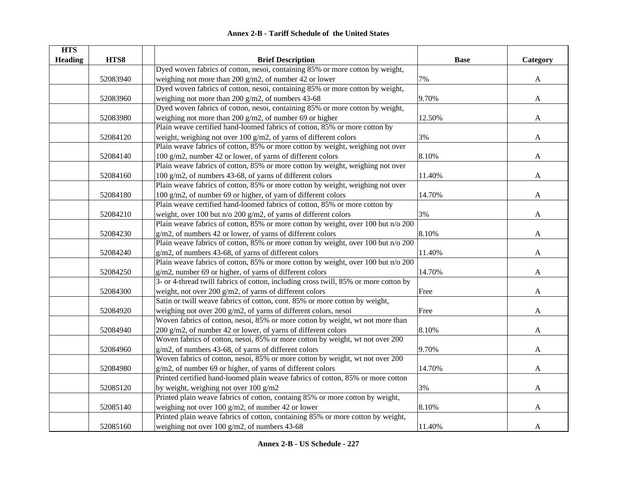| <b>HTS</b>     |          |                                                                                      |             |          |
|----------------|----------|--------------------------------------------------------------------------------------|-------------|----------|
| <b>Heading</b> | HTS8     | <b>Brief Description</b>                                                             | <b>Base</b> | Category |
|                |          | Dyed woven fabrics of cotton, nesoi, containing 85% or more cotton by weight,        |             |          |
|                | 52083940 | weighing not more than 200 $g/m2$ , of number 42 or lower                            | 7%          | A        |
|                |          | Dyed woven fabrics of cotton, nesoi, containing 85% or more cotton by weight,        |             |          |
|                | 52083960 | weighing not more than 200 $g/m2$ , of numbers 43-68                                 | 9.70%       | A        |
|                |          | Dyed woven fabrics of cotton, nesoi, containing 85% or more cotton by weight,        |             |          |
|                | 52083980 | weighing not more than 200 $g/m2$ , of number 69 or higher                           | 12.50%      | A        |
|                |          | Plain weave certified hand-loomed fabrics of cotton, 85% or more cotton by           |             |          |
|                | 52084120 | weight, weighing not over 100 $g/m2$ , of yarns of different colors                  | 3%          | A        |
|                |          | Plain weave fabrics of cotton, 85% or more cotton by weight, weighing not over       |             |          |
|                | 52084140 | 100 g/m2, number 42 or lower, of yarns of different colors                           | 8.10%       | A        |
|                |          | Plain weave fabrics of cotton, 85% or more cotton by weight, weighing not over       |             |          |
|                | 52084160 | 100 g/m2, of numbers 43-68, of yarns of different colors                             | 11.40%      | A        |
|                |          | Plain weave fabrics of cotton, 85% or more cotton by weight, weighing not over       |             |          |
|                | 52084180 | 100 g/m2, of number 69 or higher, of yarn of different colors                        | 14.70%      | A        |
|                |          | Plain weave certified hand-loomed fabrics of cotton, 85% or more cotton by           |             |          |
|                | 52084210 | weight, over 100 but $n/o$ 200 g/m2, of yarns of different colors                    | 3%          | A        |
|                |          | Plain weave fabrics of cotton, 85% or more cotton by weight, over 100 but n/o 200    |             |          |
|                | 52084230 | g/m2, of numbers 42 or lower, of yarns of different colors                           | 8.10%       | A        |
|                |          | Plain weave fabrics of cotton, 85% or more cotton by weight, over 100 but n/o 200    |             |          |
|                | 52084240 | g/m2, of numbers 43-68, of yarns of different colors                                 | 11.40%      | A        |
|                |          | Plain weave fabrics of cotton, 85% or more cotton by weight, over 100 but n/o 200    |             |          |
|                | 52084250 | g/m2, number 69 or higher, of yarns of different colors                              | 14.70%      | A        |
|                |          | 3- or 4-thread twill fabrics of cotton, including cross twill, 85% or more cotton by |             |          |
|                | 52084300 | weight, not over 200 $g/m2$ , of yarns of different colors                           | Free        | A        |
|                |          | Satin or twill weave fabrics of cotton, cont. 85% or more cotton by weight,          |             |          |
|                | 52084920 | weighing not over 200 g/m2, of yarns of different colors, nesoi                      | Free        | A        |
|                |          | Woven fabrics of cotton, nesoi, 85% or more cotton by weight, wt not more than       |             |          |
|                | 52084940 | 200 g/m2, of number 42 or lower, of yarns of different colors                        | 8.10%       | A        |
|                |          | Woven fabrics of cotton, nesoi, 85% or more cotton by weight, wt not over 200        |             |          |
|                | 52084960 | g/m2, of numbers 43-68, of yarns of different colors                                 | 9.70%       | A        |
|                |          | Woven fabrics of cotton, nesoi, 85% or more cotton by weight, wt not over 200        |             |          |
|                | 52084980 | g/m2, of number 69 or higher, of yarns of different colors                           | 14.70%      | A        |
|                |          | Printed certified hand-loomed plain weave fabrics of cotton, 85% or more cotton      |             |          |
|                | 52085120 | by weight, weighing not over $100$ g/m2                                              | 3%          | A        |
|                |          | Printed plain weave fabrics of cotton, containg 85% or more cotton by weight,        |             |          |
|                | 52085140 | weighing not over 100 g/m2, of number 42 or lower                                    | 8.10%       | A        |
|                |          | Printed plain weave fabrics of cotton, containing 85% or more cotton by weight,      |             |          |
|                | 52085160 | weighing not over 100 g/m2, of numbers 43-68                                         | 11.40%      | A        |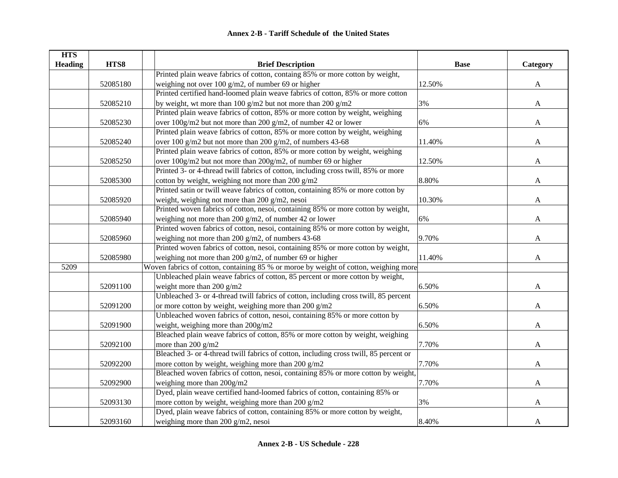| <b>HTS</b>     |          |                                                                                       |             |              |
|----------------|----------|---------------------------------------------------------------------------------------|-------------|--------------|
| <b>Heading</b> | HTS8     | <b>Brief Description</b>                                                              | <b>Base</b> | Category     |
|                |          | Printed plain weave fabrics of cotton, containg 85% or more cotton by weight,         |             |              |
|                | 52085180 | weighing not over 100 g/m2, of number 69 or higher                                    | 12.50%      | $\mathbf{A}$ |
|                |          | Printed certified hand-loomed plain weave fabrics of cotton, 85% or more cotton       |             |              |
|                | 52085210 | by weight, wt more than 100 g/m2 but not more than 200 g/m2                           | 3%          | $\mathbf{A}$ |
|                |          | Printed plain weave fabrics of cotton, 85% or more cotton by weight, weighing         |             |              |
|                | 52085230 | over 100g/m2 but not more than 200 g/m2, of number 42 or lower                        | 6%          | A            |
|                |          | Printed plain weave fabrics of cotton, 85% or more cotton by weight, weighing         |             |              |
|                | 52085240 | over 100 g/m2 but not more than 200 g/m2, of numbers 43-68                            | 11.40%      | A            |
|                |          | Printed plain weave fabrics of cotton, 85% or more cotton by weight, weighing         |             |              |
|                | 52085250 | over 100g/m2 but not more than 200g/m2, of number 69 or higher                        | 12.50%      | $\mathbf{A}$ |
|                |          | Printed 3- or 4-thread twill fabrics of cotton, including cross twill, 85% or more    |             |              |
|                | 52085300 | cotton by weight, weighing not more than 200 g/m2                                     | 8.80%       | A            |
|                |          | Printed satin or twill weave fabrics of cotton, containing 85% or more cotton by      |             |              |
|                | 52085920 | weight, weighing not more than 200 g/m2, nesoi                                        | 10.30%      | A            |
|                |          | Printed woven fabrics of cotton, nesoi, containing 85% or more cotton by weight,      |             |              |
|                | 52085940 | weighing not more than 200 g/m2, of number 42 or lower                                | 6%          | A            |
|                |          | Printed woven fabrics of cotton, nesoi, containing 85% or more cotton by weight,      |             |              |
|                | 52085960 | weighing not more than 200 $g/m2$ , of numbers 43-68                                  | 9.70%       | A            |
|                |          | Printed woven fabrics of cotton, nesoi, containing 85% or more cotton by weight,      |             |              |
|                | 52085980 | weighing not more than 200 $g/m2$ , of number 69 or higher                            | 11.40%      | A            |
| 5209           |          | Woven fabrics of cotton, containing 85 % or moroe by weight of cotton, weighing more  |             |              |
|                |          | Unbleached plain weave fabrics of cotton, 85 percent or more cotton by weight,        |             |              |
|                | 52091100 | weight more than 200 g/m2                                                             | 6.50%       | A            |
|                |          | Unbleached 3- or 4-thread twill fabrics of cotton, including cross twill, 85 percent  |             |              |
|                | 52091200 | or more cotton by weight, weighing more than 200 g/m2                                 | 6.50%       | A            |
|                |          | Unbleached woven fabrics of cotton, nesoi, containing 85% or more cotton by           |             |              |
|                | 52091900 | weight, weighing more than 200g/m2                                                    | 6.50%       | A            |
|                |          | Bleached plain weave fabrics of cotton, 85% or more cotton by weight, weighing        |             |              |
|                | 52092100 | more than 200 g/m2                                                                    | 7.70%       | A            |
|                |          | Bleached 3- or 4-thread twill fabrics of cotton, including cross twill, 85 percent or |             |              |
|                | 52092200 | more cotton by weight, weighing more than 200 $g/m2$                                  | 7.70%       | A            |
|                |          | Bleached woven fabrics of cotton, nesoi, containing 85% or more cotton by weight,     |             |              |
|                | 52092900 | weighing more than 200g/m2                                                            | 7.70%       | $\mathbf{A}$ |
|                |          | Dyed, plain weave certified hand-loomed fabrics of cotton, containing 85% or          |             |              |
|                | 52093130 | more cotton by weight, weighing more than 200 g/m2                                    | 3%          | A            |
|                |          | Dyed, plain weave fabrics of cotton, containing 85% or more cotton by weight,         |             |              |
|                | 52093160 | weighing more than 200 $g/m2$ , nesoi                                                 | 8.40%       | A            |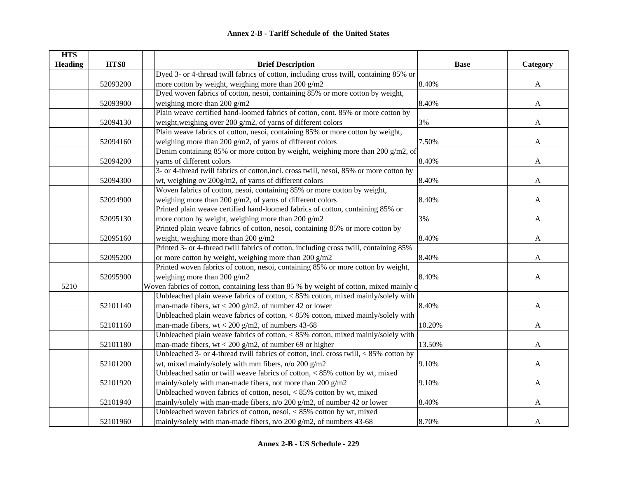| <b>HTS</b>     |          |                                                                                          |             |              |
|----------------|----------|------------------------------------------------------------------------------------------|-------------|--------------|
| <b>Heading</b> | HTS8     | <b>Brief Description</b>                                                                 | <b>Base</b> | Category     |
|                |          | Dyed 3- or 4-thread twill fabrics of cotton, including cross twill, containing 85% or    |             |              |
|                | 52093200 | more cotton by weight, weighing more than 200 g/m2                                       | 8.40%       | $\mathbf{A}$ |
|                |          | Dyed woven fabrics of cotton, nesoi, containing 85% or more cotton by weight,            |             |              |
|                | 52093900 | weighing more than 200 $g/m2$                                                            | 8.40%       | $\mathbf{A}$ |
|                |          | Plain weave certified hand-loomed fabrics of cotton, cont. 85% or more cotton by         |             |              |
|                | 52094130 | weight, weighing over 200 g/m2, of yarns of different colors                             | 3%          | A            |
|                |          | Plain weave fabrics of cotton, nesoi, containing 85% or more cotton by weight,           |             |              |
|                | 52094160 | weighing more than 200 $g/m2$ , of yarns of different colors                             | 7.50%       | A            |
|                |          | Denim containing 85% or more cotton by weight, weighing more than 200 g/m2, of           |             |              |
|                | 52094200 | varns of different colors                                                                | 8.40%       | $\mathbf{A}$ |
|                |          | 3- or 4-thread twill fabrics of cotton, incl. cross twill, nesoi, 85% or more cotton by  |             |              |
|                | 52094300 | wt, weighing ov 200g/m2, of yarns of different colors                                    | 8.40%       | A            |
|                |          | Woven fabrics of cotton, nesoi, containing 85% or more cotton by weight,                 |             |              |
|                | 52094900 | weighing more than 200 $g/m2$ , of yarns of different colors                             | 8.40%       | A            |
|                |          | Printed plain weave certified hand-loomed fabrics of cotton, containing 85% or           |             |              |
|                | 52095130 | more cotton by weight, weighing more than 200 $g/m2$                                     | 3%          | A            |
|                |          | Printed plain weave fabrics of cotton, nesoi, containing 85% or more cotton by           |             |              |
|                | 52095160 | weight, weighing more than 200 g/m2                                                      | 8.40%       | A            |
|                |          | Printed 3- or 4-thread twill fabrics of cotton, including cross twill, containing 85%    |             |              |
|                | 52095200 | or more cotton by weight, weighing more than 200 g/m2                                    | 8.40%       | A            |
|                |          | Printed woven fabrics of cotton, nesoi, containing 85% or more cotton by weight,         |             |              |
|                | 52095900 | weighing more than 200 $g/m2$                                                            | 8.40%       | A            |
| 5210           |          | Woven fabrics of cotton, containing less than 85 % by weight of cotton, mixed mainly of  |             |              |
|                |          | Unbleached plain weave fabrics of cotton, $< 85\%$ cotton, mixed mainly/solely with      |             |              |
|                | 52101140 | man-made fibers, $wt < 200$ g/m2, of number 42 or lower                                  | 8.40%       | A            |
|                |          | Unbleached plain weave fabrics of cotton, $< 85\%$ cotton, mixed mainly/solely with      |             |              |
|                | 52101160 | man-made fibers, $wt < 200$ g/m2, of numbers 43-68                                       | 10.20%      | A            |
|                |          | Unbleached plain weave fabrics of cotton, $< 85\%$ cotton, mixed mainly/solely with      |             |              |
|                | 52101180 | man-made fibers, $wt < 200$ g/m2, of number 69 or higher                                 | 13.50%      | $\mathbf{A}$ |
|                |          | Unbleached 3- or 4-thread twill fabrics of cotton, incl. cross twill, $< 85\%$ cotton by |             |              |
|                | 52101200 | wt, mixed mainly/solely with mm fibers, n/o 200 g/m2                                     | 9.10%       | A            |
|                |          | Unbleached satin or twill weave fabrics of cotton, $< 85\%$ cotton by wt, mixed          |             |              |
|                | 52101920 | mainly/solely with man-made fibers, not more than 200 g/m2                               | 9.10%       | A            |
|                |          | Unbleached woven fabrics of cotton, nesoi, $< 85\%$ cotton by wt, mixed                  |             |              |
|                | 52101940 | mainly/solely with man-made fibers, n/o 200 g/m2, of number 42 or lower                  | 8.40%       | A            |
|                |          | Unbleached woven fabrics of cotton, nesoi, < 85% cotton by wt, mixed                     |             |              |
|                | 52101960 | mainly/solely with man-made fibers, n/o 200 g/m2, of numbers 43-68                       | 8.70%       | $\mathbf{A}$ |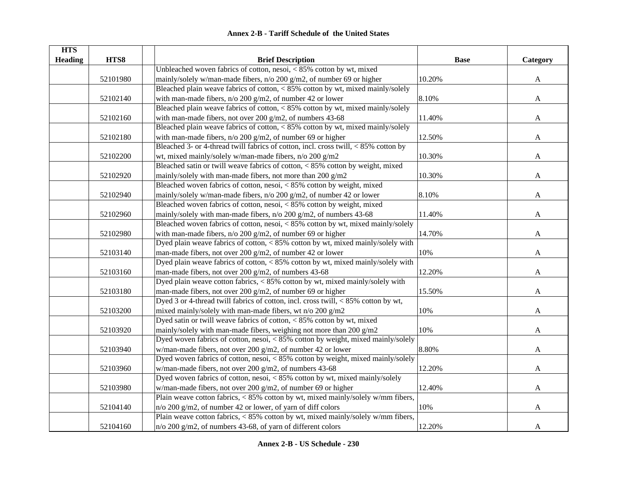| <b>HTS</b><br><b>Heading</b> | HTS8     | <b>Brief Description</b>                                                                                                             | <b>Base</b> | Category     |
|------------------------------|----------|--------------------------------------------------------------------------------------------------------------------------------------|-------------|--------------|
|                              |          | Unbleached woven fabrics of cotton, nesoi, $< 85\%$ cotton by wt, mixed                                                              |             |              |
|                              | 52101980 | mainly/solely w/man-made fibers, n/o 200 g/m2, of number 69 or higher                                                                | 10.20%      | $\mathbf{A}$ |
|                              |          | Bleached plain weave fabrics of cotton, < 85% cotton by wt, mixed mainly/solely                                                      |             |              |
|                              | 52102140 | with man-made fibers, $n/o 200 g/m2$ , of number 42 or lower                                                                         | 8.10%       | $\mathbf{A}$ |
|                              |          | Bleached plain weave fabrics of cotton, < 85% cotton by wt, mixed mainly/solely                                                      |             |              |
|                              | 52102160 | with man-made fibers, not over 200 $g/m2$ , of numbers 43-68                                                                         | 11.40%      | $\mathbf{A}$ |
|                              |          | Bleached plain weave fabrics of cotton, < 85% cotton by wt, mixed mainly/solely                                                      |             |              |
|                              | 52102180 | with man-made fibers, $n/o 200 g/m2$ , of number 69 or higher                                                                        | 12.50%      | $\mathbf{A}$ |
|                              |          | Bleached 3- or 4-thread twill fabrics of cotton, incl. cross twill, < 85% cotton by                                                  |             |              |
|                              | 52102200 | wt, mixed mainly/solely w/man-made fibers, n/o 200 g/m2                                                                              | 10.30%      |              |
|                              |          | Bleached satin or twill weave fabrics of cotton, $< 85\%$ cotton by weight, mixed                                                    |             | A            |
|                              |          |                                                                                                                                      |             |              |
|                              | 52102920 | mainly/solely with man-made fibers, not more than 200 g/m2<br>Bleached woven fabrics of cotton, nesoi, < 85% cotton by weight, mixed | 10.30%      | A            |
|                              |          |                                                                                                                                      |             |              |
|                              | 52102940 | mainly/solely w/man-made fibers, n/o 200 g/m2, of number 42 or lower                                                                 | 8.10%       | A            |
|                              |          | Bleached woven fabrics of cotton, nesoi, < 85% cotton by weight, mixed                                                               |             |              |
|                              | 52102960 | mainly/solely with man-made fibers, n/o 200 g/m2, of numbers 43-68                                                                   | 11.40%      | A            |
|                              |          | Bleached woven fabrics of cotton, nesoi, $\langle 85\% \rangle$ cotton by wt, mixed mainly/solely                                    |             |              |
|                              | 52102980 | with man-made fibers, $n/o 200 g/m2$ , of number 69 or higher                                                                        | 14.70%      | A            |
|                              |          | Dyed plain weave fabrics of cotton, < 85% cotton by wt, mixed mainly/solely with                                                     |             |              |
|                              | 52103140 | man-made fibers, not over 200 g/m2, of number 42 or lower                                                                            | 10%         | A            |
|                              |          | Dyed plain weave fabrics of cotton, < 85% cotton by wt, mixed mainly/solely with                                                     |             |              |
|                              | 52103160 | man-made fibers, not over 200 g/m2, of numbers 43-68                                                                                 | 12.20%      | A            |
|                              |          | Dyed plain weave cotton fabrics, < 85% cotton by wt, mixed mainly/solely with                                                        |             |              |
|                              | 52103180 | man-made fibers, not over 200 g/m2, of number 69 or higher                                                                           | 15.50%      | A            |
|                              |          | Dyed 3 or 4-thread twill fabrics of cotton, incl. cross twill, < 85% cotton by wt,                                                   |             |              |
|                              | 52103200 | mixed mainly/solely with man-made fibers, wt n/o 200 g/m2                                                                            | 10%         | A            |
|                              |          | Dyed satin or twill weave fabrics of cotton, $< 85\%$ cotton by wt, mixed                                                            |             |              |
|                              | 52103920 | mainly/solely with man-made fibers, weighing not more than 200 g/m2                                                                  | 10%         | A            |
|                              |          | Dyed woven fabrics of cotton, nesoi, < 85% cotton by weight, mixed mainly/solely                                                     |             |              |
|                              | 52103940 | w/man-made fibers, not over 200 g/m2, of number 42 or lower                                                                          | 8.80%       | A            |
|                              |          | Dyed woven fabrics of cotton, nesoi, $< 85\%$ cotton by weight, mixed mainly/solely                                                  |             |              |
|                              | 52103960 | w/man-made fibers, not over 200 g/m2, of numbers 43-68                                                                               | 12.20%      | A            |
|                              |          | Dyed woven fabrics of cotton, nesoi, $< 85\%$ cotton by wt, mixed mainly/solely                                                      |             |              |
|                              | 52103980 | w/man-made fibers, not over 200 g/m2, of number 69 or higher                                                                         | 12.40%      | A            |
|                              |          | Plain weave cotton fabrics, < 85% cotton by wt, mixed mainly/solely w/mm fibers,                                                     |             |              |
|                              | 52104140 | $n/\sigma$ 200 g/m2, of number 42 or lower, of yarn of diff colors                                                                   | 10%         | A            |
|                              |          | Plain weave cotton fabrics, < 85% cotton by wt, mixed mainly/solely w/mm fibers,                                                     |             |              |
|                              | 52104160 | $n$ /o 200 g/m2, of numbers 43-68, of yarn of different colors                                                                       | 12.20%      | $\mathbf{A}$ |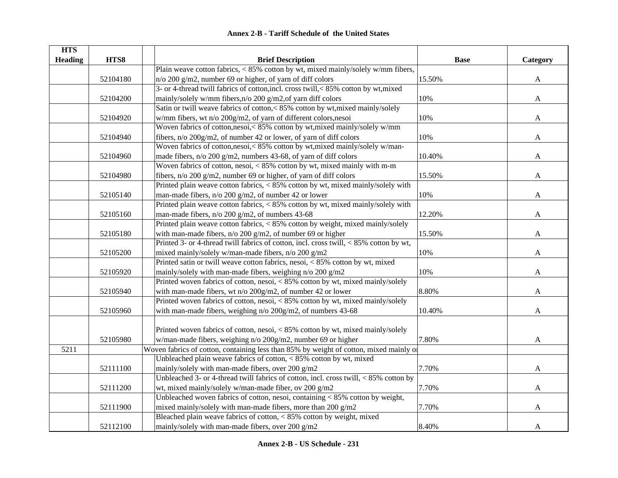| <b>HTS</b>     |          |                                                                                                         |             |              |
|----------------|----------|---------------------------------------------------------------------------------------------------------|-------------|--------------|
| <b>Heading</b> | HTS8     | <b>Brief Description</b>                                                                                | <b>Base</b> | Category     |
|                |          | Plain weave cotton fabrics, < 85% cotton by wt, mixed mainly/solely w/mm fibers,                        |             |              |
|                | 52104180 | $n/\sigma$ 200 g/m2, number 69 or higher, of yarn of diff colors                                        | 15.50%      | $\mathbf{A}$ |
|                |          | 3- or 4-thread twill fabrics of cotton, incl. cross twill, < 85% cotton by wt, mixed                    |             |              |
|                | 52104200 | mainly/solely w/mm fibers,n/o 200 g/m2,of yarn diff colors                                              | 10%         | $\mathbf{A}$ |
|                |          | Satin or twill weave fabrics of cotton,< 85% cotton by wt, mixed mainly/solely                          |             |              |
|                | 52104920 | w/mm fibers, wt n/o 200g/m2, of yarn of different colors, nesoi                                         | 10%         | A            |
|                |          | Woven fabrics of cotton, nesoi, < 85% cotton by wt, mixed mainly/solely w/mm                            |             |              |
|                | 52104940 | fibers, n/o 200g/m2, of number 42 or lower, of yarn of diff colors                                      | 10%         | A            |
|                |          | Woven fabrics of cotton, nesoi, < 85% cotton by wt, mixed mainly/solely w/man-                          |             |              |
|                | 52104960 | made fibers, n/o 200 g/m2, numbers 43-68, of yarn of diff colors                                        | 10.40%      | A            |
|                |          | Woven fabrics of cotton, nesoi, $< 85\%$ cotton by wt, mixed mainly with m-m                            |             |              |
|                | 52104980 | fibers, n/o 200 g/m2, number 69 or higher, of yarn of diff colors                                       | 15.50%      | A            |
|                |          | Printed plain weave cotton fabrics, < 85% cotton by wt, mixed mainly/solely with                        |             |              |
|                | 52105140 | man-made fibers, n/o 200 g/m2, of number 42 or lower                                                    | 10%         | A            |
|                |          | Printed plain weave cotton fabrics, < 85% cotton by wt, mixed mainly/solely with                        |             |              |
|                | 52105160 | man-made fibers, n/o 200 g/m2, of numbers 43-68                                                         | 12.20%      | A            |
|                |          | Printed plain weave $\overline{\text{cotton}}$ fabrics, $\lt$ 85% cotton by weight, mixed mainly/solely |             |              |
|                | 52105180 | with man-made fibers, $n/o 200 g/m2$ , of number 69 or higher                                           | 15.50%      | A            |
|                |          | Printed 3- or 4-thread twill fabrics of cotton, incl. cross twill, <85% cotton by wt,                   |             |              |
|                | 52105200 | mixed mainly/solely w/man-made fibers, n/o 200 g/m2                                                     | 10%         | $\mathbf{A}$ |
|                |          | Printed satin or twill weave cotton fabrics, nesoi, < 85% cotton by wt, mixed                           |             |              |
|                | 52105920 | mainly/solely with man-made fibers, weighing n/o 200 g/m2                                               | 10%         | A            |
|                |          | Printed woven fabrics of cotton, nesoi, < 85% cotton by wt, mixed mainly/solely                         |             |              |
|                | 52105940 | with man-made fibers, wt n/o 200g/m2, of number 42 or lower                                             | 8.80%       | A            |
|                |          | Printed woven fabrics of cotton, nesoi, < 85% cotton by wt, mixed mainly/solely                         |             |              |
|                | 52105960 | with man-made fibers, weighing $n/o 200g/m2$ , of numbers 43-68                                         | 10.40%      | A            |
|                |          |                                                                                                         |             |              |
|                |          | Printed woven fabrics of cotton, nesoi, < 85% cotton by wt, mixed mainly/solely                         |             |              |
|                | 52105980 | w/man-made fibers, weighing n/o 200g/m2, number 69 or higher                                            | 7.80%       | A            |
| 5211           |          | Woven fabrics of cotton, containing less than 85% by weight of cotton, mixed mainly of                  |             |              |
|                |          | Unbleached plain weave fabrics of cotton, $< 85\%$ cotton by wt, mixed                                  |             |              |
|                | 52111100 | mainly/solely with man-made fibers, over 200 g/m2                                                       | 7.70%       | A            |
|                |          | Unbleached 3- or 4-thread twill fabrics of cotton, incl. cross twill, $< 85\%$ cotton by                |             |              |
|                | 52111200 | wt, mixed mainly/solely w/man-made fiber, ov 200 g/m2                                                   | 7.70%       | A            |
|                |          | Unbleached woven fabrics of cotton, nesoi, containing $< 85\%$ cotton by weight,                        |             |              |
|                | 52111900 | mixed mainly/solely with man-made fibers, more than 200 g/m2                                            | 7.70%       | A            |
|                |          | Bleached plain weave fabrics of cotton, $< 85\%$ cotton by weight, mixed                                |             |              |
|                | 52112100 | mainly/solely with man-made fibers, over 200 g/m2                                                       | 8.40%       | A            |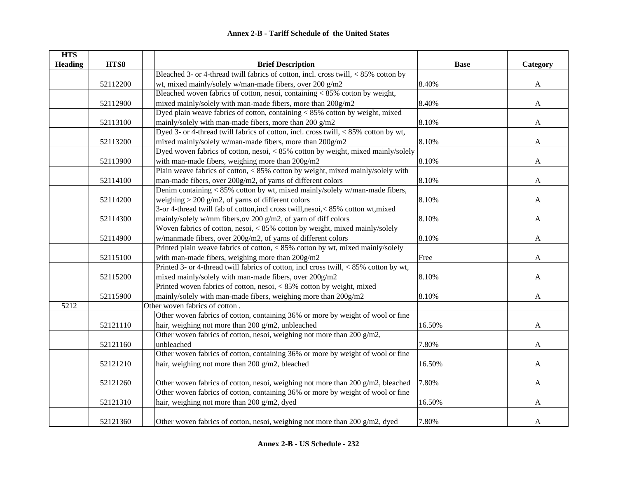| <b>HTS</b>     |          |                                                                                              |             |              |
|----------------|----------|----------------------------------------------------------------------------------------------|-------------|--------------|
| <b>Heading</b> | HTS8     | <b>Brief Description</b>                                                                     | <b>Base</b> | Category     |
|                |          | Bleached 3- or 4-thread twill fabrics of cotton, incl. cross twill, $< 85\%$ cotton by       |             |              |
|                | 52112200 | wt, mixed mainly/solely w/man-made fibers, over 200 g/m2                                     | 8.40%       | $\mathbf{A}$ |
|                |          | Bleached woven fabrics of cotton, nesoi, containing $< 85\%$ cotton by weight,               |             |              |
|                | 52112900 | mixed mainly/solely with man-made fibers, more than 200g/m2                                  | 8.40%       | $\mathbf{A}$ |
|                |          | Dyed plain weave fabrics of cotton, containing $< 85\%$ cotton by weight, mixed              |             |              |
|                | 52113100 | mainly/solely with man-made fibers, more than 200 g/m2                                       | 8.10%       | $\mathbf{A}$ |
|                |          | Dyed 3- or 4-thread twill fabrics of cotton, incl. cross twill, < 85% cotton by wt,          |             |              |
|                | 52113200 | mixed mainly/solely w/man-made fibers, more than 200g/m2                                     | 8.10%       | A            |
|                |          | Dyed woven fabrics of cotton, nesoi, < 85% cotton by weight, mixed mainly/solely             |             |              |
|                | 52113900 | with man-made fibers, weighing more than 200g/m2                                             | 8.10%       | $\mathbf{A}$ |
|                |          | Plain weave fabrics of cotton, < 85% cotton by weight, mixed mainly/solely with              |             |              |
|                | 52114100 | man-made fibers, over 200g/m2, of yarns of different colors                                  | 8.10%       | A            |
|                |          | Denim containing < 85% cotton by wt, mixed mainly/solely w/man-made fibers,                  |             |              |
|                | 52114200 | weighing $>$ 200 g/m2, of yarns of different colors                                          | 8.10%       | A            |
|                |          | 3-or 4-thread twill fab of cotton, incl cross twill, nesoi, < 85% cotton wt, mixed           |             |              |
|                | 52114300 | mainly/solely w/mm fibers, ov 200 g/m2, of yarn of diff colors                               | 8.10%       | A            |
|                |          | Woven fabrics of cotton, nesoi, $\langle 85\% \rangle$ cotton by weight, mixed mainly/solely |             |              |
|                | 52114900 | w/manmade fibers, over 200g/m2, of yarns of different colors                                 | 8.10%       | A            |
|                |          | Printed plain weave fabrics of cotton, < 85% cotton by wt, mixed mainly/solely               |             |              |
|                | 52115100 | with man-made fibers, weighing more than 200g/m2                                             | Free        | A            |
|                |          | Printed 3- or 4-thread twill fabrics of cotton, incl cross twill, $< 85\%$ cotton by wt,     |             |              |
|                | 52115200 | mixed mainly/solely with man-made fibers, over 200g/m2                                       | 8.10%       | A            |
|                |          | Printed woven fabrics of cotton, nesoi, < 85% cotton by weight, mixed                        |             |              |
|                | 52115900 | mainly/solely with man-made fibers, weighing more than 200g/m2                               | 8.10%       | A            |
| 5212           |          | Other woven fabrics of cotton.                                                               |             |              |
|                |          | Other woven fabrics of cotton, containing 36% or more by weight of wool or fine              |             |              |
|                | 52121110 | hair, weighing not more than 200 g/m2, unbleached                                            | 16.50%      | A            |
|                |          | Other woven fabrics of cotton, nesoi, weighing not more than 200 g/m2,                       |             |              |
|                | 52121160 | unbleached                                                                                   | 7.80%       | A            |
|                |          | Other woven fabrics of cotton, containing 36% or more by weight of wool or fine              |             |              |
|                | 52121210 | hair, weighing not more than 200 g/m2, bleached                                              | 16.50%      | A            |
|                |          |                                                                                              |             |              |
|                | 52121260 | Other woven fabrics of cotton, nesoi, weighing not more than 200 g/m2, bleached              | 7.80%       | $\mathbf{A}$ |
|                |          | Other woven fabrics of cotton, containing 36% or more by weight of wool or fine              |             |              |
|                | 52121310 | hair, weighing not more than 200 g/m2, dyed                                                  | 16.50%      | $\mathbf{A}$ |
|                |          |                                                                                              |             |              |
|                | 52121360 | Other woven fabrics of cotton, nesoi, weighing not more than 200 g/m2, dyed                  | 7.80%       | A            |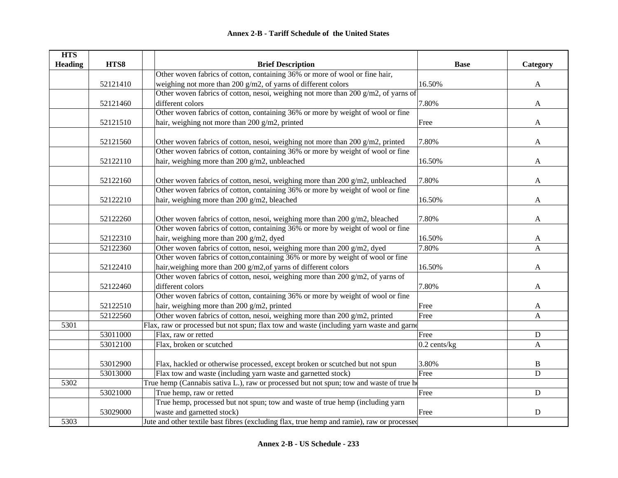| <b>HTS</b>     |          |                                                                                            |                |              |
|----------------|----------|--------------------------------------------------------------------------------------------|----------------|--------------|
| <b>Heading</b> | HTS8     | <b>Brief Description</b>                                                                   | <b>Base</b>    | Category     |
|                |          | Other woven fabrics of cotton, containing 36% or more of wool or fine hair,                |                |              |
|                | 52121410 | weighing not more than 200 $g/m2$ , of yarns of different colors                           | 16.50%         | A            |
|                |          | Other woven fabrics of cotton, nesoi, weighing not more than 200 g/m2, of yarns of         |                |              |
|                | 52121460 | different colors                                                                           | 7.80%          | $\mathbf{A}$ |
|                |          | Other woven fabrics of cotton, containing 36% or more by weight of wool or fine            |                |              |
|                | 52121510 | hair, weighing not more than 200 g/m2, printed                                             | Free           | A            |
|                | 52121560 | Other woven fabrics of cotton, nesoi, weighing not more than 200 g/m2, printed             | 7.80%          | $\mathbf{A}$ |
|                |          | Other woven fabrics of cotton, containing 36% or more by weight of wool or fine            |                |              |
|                | 52122110 | hair, weighing more than 200 g/m2, unbleached                                              | 16.50%         | A            |
|                |          |                                                                                            |                |              |
|                | 52122160 | Other woven fabrics of cotton, nesoi, weighing more than 200 g/m2, unbleached              | 7.80%          | A            |
|                |          | Other woven fabrics of cotton, containing 36% or more by weight of wool or fine            |                |              |
|                | 52122210 | hair, weighing more than 200 g/m2, bleached                                                | 16.50%         | A            |
|                | 52122260 | Other woven fabrics of cotton, nesoi, weighing more than 200 g/m2, bleached                | 7.80%          | A            |
|                |          | Other woven fabrics of cotton, containing 36% or more by weight of wool or fine            |                |              |
|                | 52122310 | hair, weighing more than 200 g/m2, dyed                                                    | 16.50%         | A            |
|                | 52122360 | Other woven fabrics of cotton, nesoi, weighing more than 200 g/m2, dyed                    | 7.80%          | $\mathbf{A}$ |
|                |          | Other woven fabrics of cotton, containing 36% or more by weight of wool or fine            |                |              |
|                | 52122410 | hair, weighing more than 200 g/m2, of yarns of different colors                            | 16.50%         | A            |
|                |          | Other woven fabrics of cotton, nesoi, weighing more than 200 g/m2, of yarns of             |                |              |
|                | 52122460 | different colors                                                                           | 7.80%          | A            |
|                |          | Other woven fabrics of cotton, containing 36% or more by weight of wool or fine            |                |              |
|                | 52122510 | hair, weighing more than 200 g/m2, printed                                                 | Free           | A            |
|                | 52122560 | Other woven fabrics of cotton, nesoi, weighing more than $200$ g/m2, printed               | Free           | $\mathbf{A}$ |
| 5301           |          | Flax, raw or processed but not spun; flax tow and waste (including yarn waste and garne    |                |              |
|                | 53011000 | Flax, raw or retted                                                                        | Free           | ${\bf D}$    |
|                | 53012100 | Flax, broken or scutched                                                                   | $0.2$ cents/kg | A            |
|                |          |                                                                                            |                |              |
|                | 53012900 | Flax, hackled or otherwise processed, except broken or scutched but not spun               | 3.80%          | B            |
|                | 53013000 | Flax tow and waste (including yarn waste and garnetted stock)                              | Free           | D            |
| 5302           |          | True hemp (Cannabis sativa L.), raw or processed but not spun; tow and waste of true ho    |                |              |
|                | 53021000 | True hemp, raw or retted                                                                   | Free           | ${\bf D}$    |
|                |          | True hemp, processed but not spun; tow and waste of true hemp (including yarn              |                |              |
|                | 53029000 | waste and garnetted stock)                                                                 | Free           | ${\rm D}$    |
| 5303           |          | Jute and other textile bast fibres (excluding flax, true hemp and ramie), raw or processed |                |              |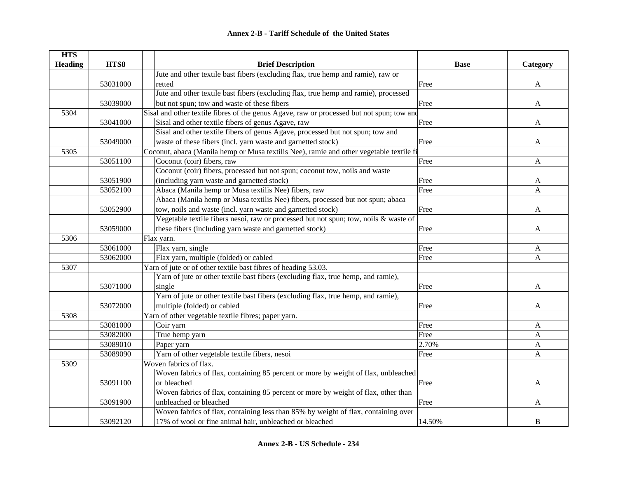| <b>HTS</b>     |          |                                                                                           |             |          |
|----------------|----------|-------------------------------------------------------------------------------------------|-------------|----------|
| <b>Heading</b> | HTS8     | <b>Brief Description</b>                                                                  | <b>Base</b> | Category |
|                |          | Jute and other textile bast fibers (excluding flax, true hemp and ramie), raw or          |             |          |
|                | 53031000 | retted                                                                                    | Free        | A        |
|                |          | Jute and other textile bast fibers (excluding flax, true hemp and ramie), processed       |             |          |
|                | 53039000 | but not spun; tow and waste of these fibers                                               | Free        | A        |
| 5304           |          | Sisal and other textile fibres of the genus Agave, raw or processed but not spun; tow and |             |          |
|                | 53041000 | Sisal and other textile fibers of genus Agave, raw                                        | Free        | A        |
|                |          | Sisal and other textile fibers of genus Agave, processed but not spun; tow and            |             |          |
|                | 53049000 | waste of these fibers (incl. yarn waste and garnetted stock)                              | Free        | A        |
| 5305           |          | Coconut, abaca (Manila hemp or Musa textilis Nee), ramie and other vegetable textile fi   |             |          |
|                | 53051100 | Coconut (coir) fibers, raw                                                                | Free        | A        |
|                |          | Coconut (coir) fibers, processed but not spun; coconut tow, noils and waste               |             |          |
|                | 53051900 | (including yarn waste and garnetted stock)                                                | Free        | A        |
|                | 53052100 | Abaca (Manila hemp or Musa textilis Nee) fibers, raw                                      | Free        | A        |
|                |          | Abaca (Manila hemp or Musa textilis Nee) fibers, processed but not spun; abaca            |             |          |
|                | 53052900 | tow, noils and waste (incl. yarn waste and garnetted stock)                               | Free        | A        |
|                |          | Vegetable textile fibers nesoi, raw or processed but not spun; tow, noils & waste of      |             |          |
|                | 53059000 | these fibers (including yarn waste and garnetted stock)                                   | Free        | A        |
| 5306           |          | Flax yarn.                                                                                |             |          |
|                | 53061000 | Flax yarn, single                                                                         | Free        | A        |
|                | 53062000 | Flax yarn, multiple (folded) or cabled                                                    | Free        | A        |
| 5307           |          | Yarn of jute or of other textile bast fibres of heading 53.03.                            |             |          |
|                |          | Yarn of jute or other textile bast fibers (excluding flax, true hemp, and ramie),         |             |          |
|                | 53071000 | single                                                                                    | Free        | A        |
|                |          | Yarn of jute or other textile bast fibers (excluding flax, true hemp, and ramie),         |             |          |
|                | 53072000 | multiple (folded) or cabled                                                               | Free        | A        |
| 5308           |          | Yarn of other vegetable textile fibres; paper yarn.                                       |             |          |
|                | 53081000 | Coir yarn                                                                                 | Free        | A        |
|                | 53082000 | True hemp yarn                                                                            | Free        | A        |
|                | 53089010 | Paper yarn                                                                                | 2.70%       | A        |
|                | 53089090 | Yarn of other vegetable textile fibers, nesoi                                             | Free        | A        |
| 5309           |          | Woven fabrics of flax.                                                                    |             |          |
|                |          | Woven fabrics of flax, containing 85 percent or more by weight of flax, unbleached        |             |          |
|                | 53091100 | or bleached                                                                               | Free        | A        |
|                |          | Woven fabrics of flax, containing 85 percent or more by weight of flax, other than        |             |          |
|                | 53091900 | unbleached or bleached                                                                    | Free        | A        |
|                |          | Woven fabrics of flax, containing less than 85% by weight of flax, containing over        |             |          |
|                | 53092120 | 17% of wool or fine animal hair, unbleached or bleached                                   | 14.50%      | B        |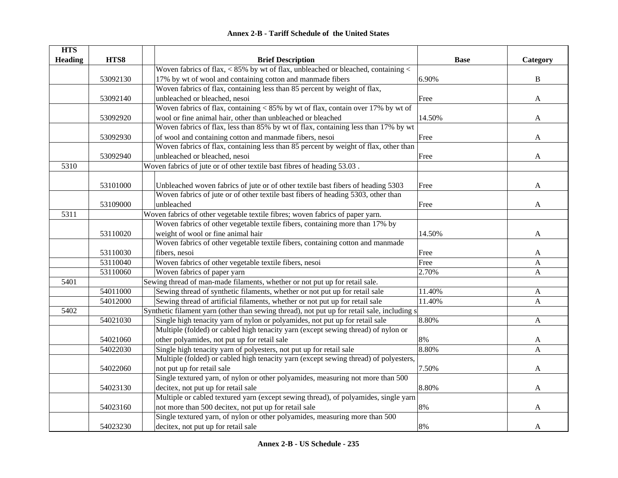| <b>HTS</b>     |          |                                                                                             |             |              |
|----------------|----------|---------------------------------------------------------------------------------------------|-------------|--------------|
| <b>Heading</b> | HTS8     | <b>Brief Description</b>                                                                    | <b>Base</b> | Category     |
|                |          | Woven fabrics of flax, $< 85\%$ by wt of flax, unbleached or bleached, containing $<$       |             |              |
|                | 53092130 | 17% by wt of wool and containing cotton and manmade fibers                                  | 6.90%       | $\, {\bf B}$ |
|                |          | Woven fabrics of flax, containing less than 85 percent by weight of flax,                   |             |              |
|                | 53092140 | unbleached or bleached, nesoi                                                               | Free        | A            |
|                |          | Woven fabrics of flax, containing < 85% by wt of flax, contain over 17% by wt of            |             |              |
|                | 53092920 | wool or fine animal hair, other than unbleached or bleached                                 | 14.50%      | A            |
|                |          | Woven fabrics of flax, less than 85% by wt of flax, containing less than 17% by wt          |             |              |
|                | 53092930 | of wool and containing cotton and manmade fibers, nesoi                                     | Free        | A            |
|                |          | Woven fabrics of flax, containing less than 85 percent by weight of flax, other than        |             |              |
|                | 53092940 | unbleached or bleached, nesoi                                                               | Free        | A            |
| 5310           |          | Woven fabrics of jute or of other textile bast fibres of heading 53.03.                     |             |              |
|                |          |                                                                                             |             |              |
|                | 53101000 | Unbleached woven fabrics of jute or of other textile bast fibers of heading 5303            | Free        | A            |
|                |          | Woven fabrics of jute or of other textile bast fibers of heading 5303, other than           |             |              |
|                | 53109000 | unbleached                                                                                  | Free        | A            |
| 5311           |          | Woven fabrics of other vegetable textile fibres; woven fabrics of paper yarn.               |             |              |
|                |          | Woven fabrics of other vegetable textile fibers, containing more than 17% by                |             |              |
|                | 53110020 | weight of wool or fine animal hair                                                          | 14.50%      | A            |
|                |          | Woven fabrics of other vegetable textile fibers, containing cotton and manmade              |             |              |
|                | 53110030 | fibers, nesoi                                                                               | Free        | A            |
|                | 53110040 | Woven fabrics of other vegetable textile fibers, nesoi                                      | Free        | A            |
|                | 53110060 | Woven fabrics of paper yarn                                                                 | 2.70%       | $\mathbf{A}$ |
| 5401           |          | Sewing thread of man-made filaments, whether or not put up for retail sale.                 |             |              |
|                | 54011000 | Sewing thread of synthetic filaments, whether or not put up for retail sale                 | 11.40%      | $\mathbf{A}$ |
|                | 54012000 | Sewing thread of artificial filaments, whether or not put up for retail sale                | 11.40%      | A            |
| 5402           |          | Synthetic filament yarn (other than sewing thread), not put up for retail sale, including s |             |              |
|                | 54021030 | Single high tenacity yarn of nylon or polyamides, not put up for retail sale                | 8.80%       | A            |
|                |          | Multiple (folded) or cabled high tenacity yarn (except sewing thread) of nylon or           |             |              |
|                | 54021060 | other polyamides, not put up for retail sale                                                | 8%          | A            |
|                | 54022030 | Single high tenacity yarn of polyesters, not put up for retail sale                         | 8.80%       | $\mathbf{A}$ |
|                |          | Multiple (folded) or cabled high tenacity yarn (except sewing thread) of polyesters,        |             |              |
|                | 54022060 | not put up for retail sale                                                                  | 7.50%       | A            |
|                |          | Single textured yarn, of nylon or other polyamides, measuring not more than 500             |             |              |
|                | 54023130 | decitex, not put up for retail sale                                                         | 8.80%       | A            |
|                |          | Multiple or cabled textured yarn (except sewing thread), of polyamides, single yarn         |             |              |
|                | 54023160 | not more than 500 decitex, not put up for retail sale                                       | 8%          | A            |
|                |          | Single textured yarn, of nylon or other polyamides, measuring more than 500                 |             |              |
|                | 54023230 | decitex, not put up for retail sale                                                         | 8%          | A            |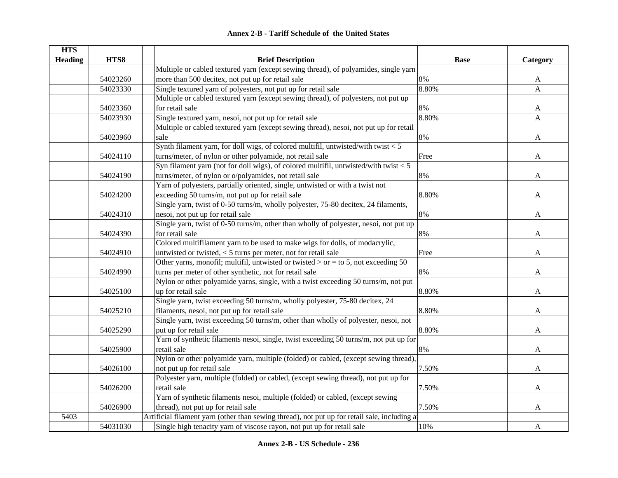| <b>HTS</b>     |          |                                                                                              |             |              |
|----------------|----------|----------------------------------------------------------------------------------------------|-------------|--------------|
| <b>Heading</b> | HTS8     | <b>Brief Description</b>                                                                     | <b>Base</b> | Category     |
|                |          | Multiple or cabled textured yarn (except sewing thread), of polyamides, single yarn          |             |              |
|                | 54023260 | more than 500 decitex, not put up for retail sale                                            | 8%          | A            |
|                | 54023330 | Single textured yarn of polyesters, not put up for retail sale                               | 8.80%       | A            |
|                |          | Multiple or cabled textured yarn (except sewing thread), of polyesters, not put up           |             |              |
|                | 54023360 | for retail sale                                                                              | 8%          | A            |
|                | 54023930 | Single textured yarn, nesoi, not put up for retail sale                                      | 8.80%       | $\mathbf{A}$ |
|                |          | Multiple or cabled textured yarn (except sewing thread), nesoi, not put up for retail        |             |              |
|                | 54023960 | sale                                                                                         | $8\%$       | A            |
|                |          | Synth filament yarn, for doll wigs, of colored multifil, untwisted/with twist $< 5$          |             |              |
|                | 54024110 | turns/meter, of nylon or other polyamide, not retail sale                                    | Free        | A            |
|                |          | Syn filament yarn (not for doll wigs), of colored multifil, untwisted/with twist $<$ 5       |             |              |
|                | 54024190 | turns/meter, of nylon or o/polyamides, not retail sale                                       | 8%          | A            |
|                |          | Yarn of polyesters, partially oriented, single, untwisted or with a twist not                |             |              |
|                | 54024200 | exceeding 50 turns/m, not put up for retail sale                                             | 8.80%       | A            |
|                |          | Single yarn, twist of 0-50 turns/m, wholly polyester, 75-80 decitex, 24 filaments,           |             |              |
|                | 54024310 | nesoi, not put up for retail sale                                                            | 8%          | $\mathbf{A}$ |
|                |          | Single yarn, twist of 0-50 turns/m, other than wholly of polyester, nesoi, not put up        |             |              |
|                | 54024390 | for retail sale                                                                              | 8%          | A            |
|                |          | Colored multifilament yarn to be used to make wigs for dolls, of modacrylic,                 |             |              |
|                | 54024910 | untwisted or twisted, $<$ 5 turns per meter, not for retail sale                             | Free        | $\mathbf{A}$ |
|                |          | Other yarns, monofil; multifil, untwisted or twisted $>$ or = to 5, not exceeding 50         |             |              |
|                | 54024990 | turns per meter of other synthetic, not for retail sale                                      | 8%          | A            |
|                |          | Nylon or other polyamide yarns, single, with a twist exceeding 50 turns/m, not put           |             |              |
|                | 54025100 | up for retail sale                                                                           | 8.80%       | A            |
|                |          | Single yarn, twist exceeding 50 turns/m, wholly polyester, 75-80 decitex, 24                 |             |              |
|                | 54025210 | filaments, nesoi, not put up for retail sale                                                 | 8.80%       | A            |
|                |          | Single yarn, twist exceeding 50 turns/m, other than wholly of polyester, nesoi, not          |             |              |
|                | 54025290 | put up for retail sale                                                                       | 8.80%       | A            |
|                |          | Yarn of synthetic filaments nesoi, single, twist exceeding 50 turns/m, not put up for        |             |              |
|                | 54025900 | retail sale                                                                                  | 8%          | A            |
|                |          | Nylon or other polyamide yarn, multiple (folded) or cabled, (except sewing thread),          |             |              |
|                | 54026100 | not put up for retail sale                                                                   | 7.50%       | A            |
|                |          | Polyester yarn, multiple (folded) or cabled, (except sewing thread), not put up for          |             |              |
|                | 54026200 | retail sale                                                                                  | 7.50%       | A            |
|                |          | Yarn of synthetic filaments nesoi, multiple (folded) or cabled, (except sewing               |             |              |
|                | 54026900 | thread), not put up for retail sale                                                          | 7.50%       | $\mathbf{A}$ |
| 5403           |          | Artificial filament yarn (other than sewing thread), not put up for retail sale, including a |             |              |
|                | 54031030 | Single high tenacity yarn of viscose rayon, not put up for retail sale                       | 10%         | $\mathbf{A}$ |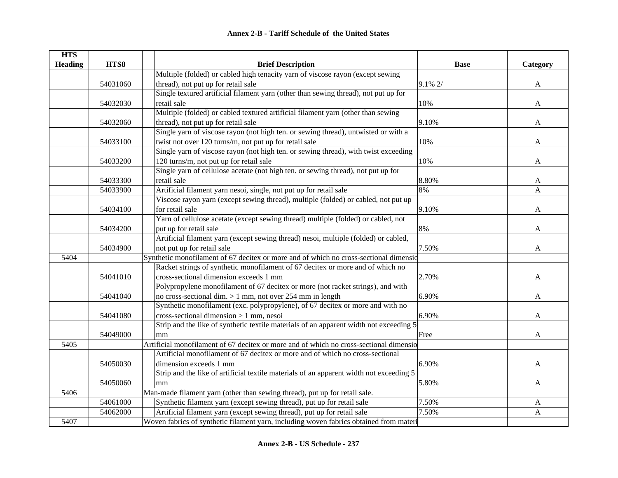| <b>HTS</b>     |          |                                                                                         |             |          |
|----------------|----------|-----------------------------------------------------------------------------------------|-------------|----------|
| <b>Heading</b> | HTS8     | <b>Brief Description</b>                                                                | <b>Base</b> | Category |
|                |          | Multiple (folded) or cabled high tenacity yarn of viscose rayon (except sewing          |             |          |
|                | 54031060 | thread), not put up for retail sale                                                     | 9.1% 2/     | A        |
|                |          | Single textured artificial filament yarn (other than sewing thread), not put up for     |             |          |
|                | 54032030 | retail sale                                                                             | 10%         | A        |
|                |          | Multiple (folded) or cabled textured artificial filament yarn (other than sewing        |             |          |
|                | 54032060 | thread), not put up for retail sale                                                     | 9.10%       | A        |
|                |          | Single yarn of viscose rayon (not high ten. or sewing thread), untwisted or with a      |             |          |
|                | 54033100 | twist not over 120 turns/m, not put up for retail sale                                  | 10%         | A        |
|                |          | Single yarn of viscose rayon (not high ten. or sewing thread), with twist exceeding     |             |          |
|                | 54033200 | 120 turns/m, not put up for retail sale                                                 | 10%         | A        |
|                |          | Single yarn of cellulose acetate (not high ten. or sewing thread), not put up for       |             |          |
|                | 54033300 | retail sale                                                                             | 8.80%       | A        |
|                | 54033900 | Artificial filament yarn nesoi, single, not put up for retail sale                      | 8%          | A        |
|                |          | Viscose rayon yarn (except sewing thread), multiple (folded) or cabled, not put up      |             |          |
|                | 54034100 | for retail sale                                                                         | 9.10%       | A        |
|                |          | Yarn of cellulose acetate (except sewing thread) multiple (folded) or cabled, not       |             |          |
|                | 54034200 | put up for retail sale                                                                  | 8%          | A        |
|                |          | Artificial filament yarn (except sewing thread) nesoi, multiple (folded) or cabled,     |             |          |
|                | 54034900 | not put up for retail sale                                                              | 7.50%       | A        |
| 5404           |          | Synthetic monofilament of 67 decitex or more and of which no cross-sectional dimensic   |             |          |
|                |          | Racket strings of synthetic monofilament of 67 decitex or more and of which no          |             |          |
|                | 54041010 | cross-sectional dimension exceeds 1 mm                                                  | 2.70%       | A        |
|                |          | Polypropylene monofilament of 67 decitex or more (not racket strings), and with         |             |          |
|                | 54041040 | no cross-sectional dim. $> 1$ mm, not over 254 mm in length                             | 6.90%       | A        |
|                |          | Synthetic monofilament (exc. polypropylene), of 67 decitex or more and with no          |             |          |
|                | 54041080 | $cross-sectional dimension > 1 mm$ , nesoi                                              | 6.90%       | A        |
|                |          | Strip and the like of synthetic textile materials of an apparent width not exceeding 5  |             |          |
|                | 54049000 | mm                                                                                      | Free        | A        |
| 5405           |          | Artificial monofilament of 67 decitex or more and of which no cross-sectional dimensio  |             |          |
|                |          | Artificial monofilament of 67 decitex or more and of which no cross-sectional           |             |          |
|                | 54050030 | dimension exceeds 1 mm                                                                  | 6.90%       | A        |
|                |          | Strip and the like of artificial textile materials of an apparent width not exceeding 5 |             |          |
|                | 54050060 | mm                                                                                      | 5.80%       | A        |
| 5406           |          | Man-made filament yarn (other than sewing thread), put up for retail sale.              |             |          |
|                | 54061000 | Synthetic filament yarn (except sewing thread), put up for retail sale                  | 7.50%       | A        |
|                | 54062000 | Artificial filament yarn (except sewing thread), put up for retail sale                 | 7.50%       | A        |
| 5407           |          | Woven fabrics of synthetic filament yarn, including woven fabrics obtained from materi  |             |          |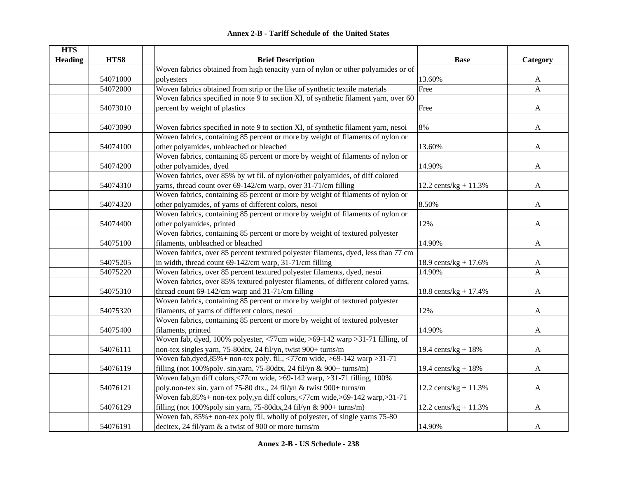|  | <b>Annex 2-B - Tariff Schedule of the United States</b> |  |
|--|---------------------------------------------------------|--|
|--|---------------------------------------------------------|--|

| <b>HTS</b>     |          |                                                                                                   |                         |              |
|----------------|----------|---------------------------------------------------------------------------------------------------|-------------------------|--------------|
| <b>Heading</b> | HTS8     | <b>Brief Description</b>                                                                          | <b>Base</b>             | Category     |
|                |          | Woven fabrics obtained from high tenacity yarn of nylon or other polyamides or of                 |                         |              |
|                | 54071000 | polyesters                                                                                        | 13.60%                  | A            |
|                | 54072000 | Woven fabrics obtained from strip or the like of synthetic textile materials                      | Free                    | $\mathbf{A}$ |
|                |          | Woven fabrics specified in note 9 to section XI, of synthetic filament yarn, over 60              |                         |              |
|                | 54073010 | percent by weight of plastics                                                                     | Free                    | A            |
|                |          |                                                                                                   |                         |              |
|                | 54073090 | Woven fabrics specified in note 9 to section XI, of synthetic filament yarn, nesoi                | 8%                      | $\mathbf{A}$ |
|                |          | Woven fabrics, containing 85 percent or more by weight of filaments of nylon or                   |                         |              |
|                | 54074100 | other polyamides, unbleached or bleached                                                          | 13.60%                  | A            |
|                |          | Woven fabrics, containing 85 percent or more by weight of filaments of nylon or                   |                         |              |
|                | 54074200 | other polyamides, dyed                                                                            | 14.90%                  | A            |
|                |          | Woven fabrics, over 85% by wt fil. of nylon/other polyamides, of diff colored                     |                         |              |
|                | 54074310 | yarns, thread count over 69-142/cm warp, over 31-71/cm filling                                    | 12.2 cents/kg + $11.3%$ | A            |
|                |          | Woven fabrics, containing 85 percent or more by weight of filaments of nylon or                   |                         |              |
|                | 54074320 | other polyamides, of yarns of different colors, nesoi                                             | 8.50%                   | $\mathbf{A}$ |
|                |          | Woven fabrics, containing 85 percent or more by weight of filaments of nylon or                   |                         |              |
|                | 54074400 | other polyamides, printed                                                                         | 12%                     | $\mathbf{A}$ |
|                |          | Woven fabrics, containing 85 percent or more by weight of textured polyester                      |                         |              |
|                | 54075100 | filaments, unbleached or bleached                                                                 | 14.90%                  | A            |
|                |          | Woven fabrics, over 85 percent textured polyester filaments, dyed, less than 77 cm                |                         |              |
|                | 54075205 | in width, thread count 69-142/cm warp, 31-71/cm filling                                           | 18.9 cents/kg + $17.6%$ | A            |
|                | 54075220 | Woven fabrics, over 85 percent textured polyester filaments, dyed, nesoi                          | 14.90%                  | $\mathbf{A}$ |
|                |          | Woven fabrics, over 85% textured polyester filaments, of different colored yarns,                 |                         |              |
|                | 54075310 | thread count $69-142$ /cm warp and $31-71$ /cm filling                                            | 18.8 cents/kg + $17.4%$ | A            |
|                |          | Woven fabrics, containing 85 percent or more by weight of textured polyester                      |                         |              |
|                | 54075320 | filaments, of yarns of different colors, nesoi                                                    | 12%                     | A            |
|                |          | Woven fabrics, containing 85 percent or more by weight of textured polyester                      |                         |              |
|                | 54075400 | filaments, printed                                                                                | 14.90%                  | A            |
|                |          | Woven fab, dyed, 100% polyester, $\langle 77 \text{cm}$ wide, $>69-142$ warp $>31-71$ filling, of |                         |              |
|                | 54076111 | non-tex singles yarn, 75-80dtx, 24 fil/yn, twist 900+ turns/m                                     | 19.4 cents/ $kg + 18%$  | A            |
|                |          | Woven fab, dyed, $85\%$ + non-tex poly. fil., <77cm wide, >69-142 warp > 31-71                    |                         |              |
|                | 54076119 | filling (not 100% poly. sin.yarn, 75-80dtx, 24 fil/yn & 900+ turns/m)                             | 19.4 cents/ $kg + 18%$  | $\mathbf{A}$ |
|                |          | Woven fab, yn diff colors, $\langle 77 \text{cm}$ wide, $>69-142$ warp, $>31-71$ filling, 100%    |                         |              |
|                | 54076121 | poly.non-tex sin. yarn of 75-80 dtx., 24 fil/yn & twist 900+ turns/m                              | 12.2 cents/kg + $11.3%$ | A            |
|                |          | Woven fab, 85% + non-tex poly, yn diff colors, <77cm wide, >69-142 warp, >31-71                   |                         |              |
|                | 54076129 | filling (not 100% poly sin yarn, 75-80dtx, 24 fil/yn & 900+ turns/m)                              | 12.2 cents/kg + $11.3%$ | A            |
|                |          | Woven fab, 85% + non-tex poly fil, wholly of polyester, of single yarns 75-80                     |                         |              |
|                | 54076191 | decitex, 24 fil/yarn & a twist of 900 or more turns/m                                             | 14.90%                  | A            |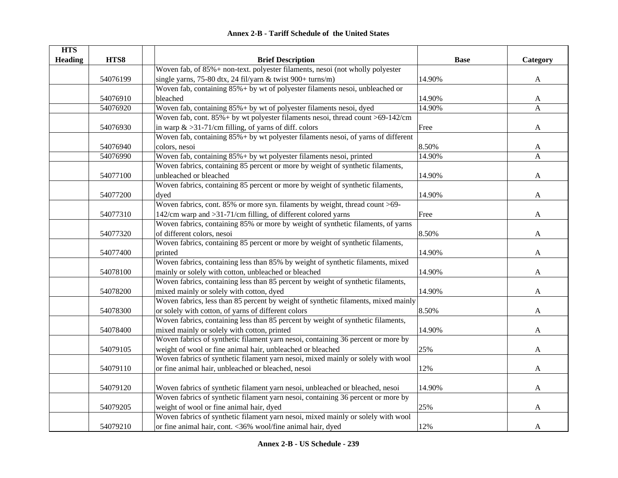| <b>HTS</b>     |          |                                                                                    |             |                           |
|----------------|----------|------------------------------------------------------------------------------------|-------------|---------------------------|
| <b>Heading</b> | HTS8     | <b>Brief Description</b>                                                           | <b>Base</b> | Category                  |
|                |          | Woven fab, of 85%+ non-text. polyester filaments, nesoi (not wholly polyester      |             |                           |
|                | 54076199 | single yarns, 75-80 dtx, 24 fil/yarn & twist 900+ turns/m)                         | 14.90%      | A                         |
|                |          | Woven fab, containing $85\%$ + by wt of polyester filaments nesoi, unbleached or   |             |                           |
|                | 54076910 | bleached                                                                           | 14.90%      | A                         |
|                | 54076920 | Woven fab, containing 85% + by wt of polyester filaments nesoi, dyed               | 14.90%      | $\boldsymbol{\mathsf{A}}$ |
|                |          | Woven fab, cont. 85% + by wt polyester filaments nesoi, thread count >69-142/cm    |             |                           |
|                | 54076930 | in warp $\&$ >31-71/cm filling, of yarns of diff. colors                           | Free        | A                         |
|                |          | Woven fab, containing 85%+ by wt polyester filaments nesoi, of yarns of different  |             |                           |
|                | 54076940 | colors, nesoi                                                                      | 8.50%       | A                         |
|                | 54076990 | Woven fab, containing 85%+ by wt polyester filaments nesoi, printed                | 14.90%      | $\mathbf{A}$              |
|                |          | Woven fabrics, containing 85 percent or more by weight of synthetic filaments,     |             |                           |
|                | 54077100 | unbleached or bleached                                                             | 14.90%      | A                         |
|                |          | Woven fabrics, containing 85 percent or more by weight of synthetic filaments,     |             |                           |
|                | 54077200 | dyed                                                                               | 14.90%      | A                         |
|                |          | Woven fabrics, cont. 85% or more syn. filaments by weight, thread count >69-       |             |                           |
|                | 54077310 | 142/cm warp and >31-71/cm filling, of different colored yarns                      | Free        | $\mathbf{A}$              |
|                |          | Woven fabrics, containing 85% or more by weight of synthetic filaments, of yarns   |             |                           |
|                | 54077320 | of different colors, nesoi                                                         | 8.50%       | $\mathbf{A}$              |
|                |          | Woven fabrics, containing 85 percent or more by weight of synthetic filaments,     |             |                           |
|                | 54077400 | printed                                                                            | 14.90%      | $\mathbf{A}$              |
|                |          | Woven fabrics, containing less than 85% by weight of synthetic filaments, mixed    |             |                           |
|                | 54078100 | mainly or solely with cotton, unbleached or bleached                               | 14.90%      | A                         |
|                |          | Woven fabrics, containing less than 85 percent by weight of synthetic filaments,   |             |                           |
|                | 54078200 | mixed mainly or solely with cotton, dyed                                           | 14.90%      | A                         |
|                |          | Woven fabrics, less than 85 percent by weight of synthetic filaments, mixed mainly |             |                           |
|                | 54078300 | or solely with cotton, of yarns of different colors                                | 8.50%       | A                         |
|                |          | Woven fabrics, containing less than 85 percent by weight of synthetic filaments,   |             |                           |
|                | 54078400 | mixed mainly or solely with cotton, printed                                        | 14.90%      | A                         |
|                |          | Woven fabrics of synthetic filament yarn nesoi, containing 36 percent or more by   |             |                           |
|                | 54079105 | weight of wool or fine animal hair, unbleached or bleached                         | 25%         | A                         |
|                |          | Woven fabrics of synthetic filament yarn nesoi, mixed mainly or solely with wool   |             |                           |
|                | 54079110 | or fine animal hair, unbleached or bleached, nesoi                                 | 12%         | A                         |
|                |          |                                                                                    |             |                           |
|                | 54079120 | Woven fabrics of synthetic filament yarn nesoi, unbleached or bleached, nesoi      | 14.90%      | A                         |
|                |          | Woven fabrics of synthetic filament yarn nesoi, containing 36 percent or more by   |             |                           |
|                | 54079205 | weight of wool or fine animal hair, dyed                                           | 25%         | A                         |
|                |          | Woven fabrics of synthetic filament yarn nesoi, mixed mainly or solely with wool   |             |                           |
|                | 54079210 | or fine animal hair, cont. <36% wool/fine animal hair, dyed                        | 12%         | $\mathbf{A}$              |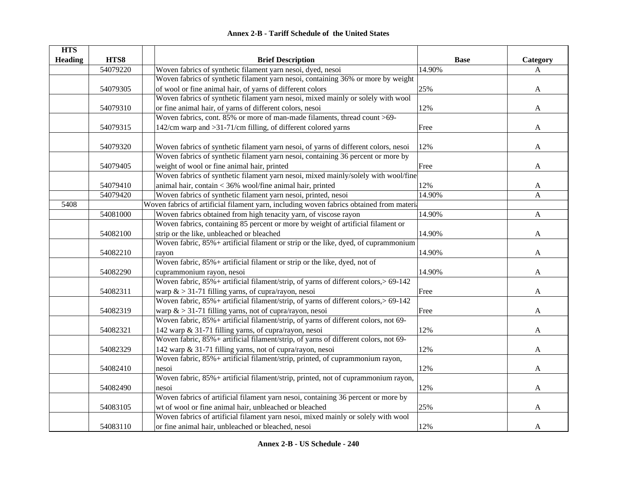|  | <b>Annex 2-B - Tariff Schedule of the United States</b> |  |
|--|---------------------------------------------------------|--|
|--|---------------------------------------------------------|--|

| <b>HTS</b>        |          |                                                                                          |             |              |
|-------------------|----------|------------------------------------------------------------------------------------------|-------------|--------------|
| <b>Heading</b>    | HTS8     | <b>Brief Description</b>                                                                 | <b>Base</b> | Category     |
|                   | 54079220 | Woven fabrics of synthetic filament yarn nesoi, dyed, nesoi                              | 14.90%      | A            |
|                   |          | Woven fabrics of synthetic filament yarn nesoi, containing 36% or more by weight         |             |              |
|                   | 54079305 | of wool or fine animal hair, of yarns of different colors                                | 25%         | A            |
|                   |          | Woven fabrics of synthetic filament yarn nesoi, mixed mainly or solely with wool         |             |              |
|                   | 54079310 | or fine animal hair, of yarns of different colors, nesoi                                 | 12%         | A            |
|                   |          | Woven fabrics, cont. 85% or more of man-made filaments, thread count >69-                |             |              |
|                   | 54079315 | 142/cm warp and >31-71/cm filling, of different colored yarns                            | Free        | A            |
|                   |          |                                                                                          |             |              |
|                   | 54079320 | Woven fabrics of synthetic filament yarn nesoi, of yarns of different colors, nesoi      | 12%         | A            |
|                   |          | Woven fabrics of synthetic filament yarn nesoi, containing 36 percent or more by         |             |              |
|                   | 54079405 | weight of wool or fine animal hair, printed                                              | Free        | A            |
|                   |          | Woven fabrics of synthetic filament yarn nesoi, mixed mainly/solely with wool/fine       |             |              |
|                   | 54079410 | animal hair, contain < 36% wool/fine animal hair, printed                                | 12%         | A            |
|                   | 54079420 | Woven fabrics of synthetic filament yarn nesoi, printed, nesoi                           | 14.90%      | A            |
| $\overline{5408}$ |          | Woven fabrics of artificial filament yarn, including woven fabrics obtained from materia |             |              |
|                   | 54081000 | Woven fabrics obtained from high tenacity yarn, of viscose rayon                         | 14.90%      | $\mathbf{A}$ |
|                   |          | Woven fabrics, containing 85 percent or more by weight of artificial filament or         |             |              |
|                   | 54082100 | strip or the like, unbleached or bleached                                                | 14.90%      | A            |
|                   |          | Woven fabric, 85% + artificial filament or strip or the like, dyed, of cuprammonium      |             |              |
|                   | 54082210 | rayon                                                                                    | 14.90%      | A            |
|                   |          | Woven fabric, 85% + artificial filament or strip or the like, dyed, not of               |             |              |
|                   | 54082290 | cuprammonium rayon, nesoi                                                                | 14.90%      | A            |
|                   |          | Woven fabric, 85%+ artificial filament/strip, of yarns of different colors, > 69-142     |             |              |
|                   | 54082311 | warp $\&$ > 31-71 filling yarns, of cupra/rayon, nesoi                                   | Free        | A            |
|                   |          | Woven fabric, 85%+ artificial filament/strip, of yarns of different colors, > 69-142     |             |              |
|                   | 54082319 | warp $&$ > 31-71 filling yarns, not of cupra/rayon, nesoi                                | Free        | A            |
|                   |          | Woven fabric, 85%+ artificial filament/strip, of yarns of different colors, not 69-      |             |              |
|                   | 54082321 | 142 warp & 31-71 filling yarns, of cupra/rayon, nesoi                                    | 12%         | A            |
|                   |          | Woven fabric, 85%+ artificial filament/strip, of yarns of different colors, not 69-      |             |              |
|                   | 54082329 | 142 warp & 31-71 filling yarns, not of cupra/rayon, nesoi                                | 12%         | A            |
|                   |          | Woven fabric, 85% + artificial filament/strip, printed, of cuprammonium rayon,           |             |              |
|                   | 54082410 | nesoi                                                                                    | 12%         | A            |
|                   |          | Woven fabric, 85% + artificial filament/strip, printed, not of cuprammonium rayon,       |             |              |
|                   | 54082490 | nesoi                                                                                    | 12%         | A            |
|                   |          | Woven fabrics of artificial filament yarn nesoi, containing 36 percent or more by        |             |              |
|                   | 54083105 | wt of wool or fine animal hair, unbleached or bleached                                   | 25%         | A            |
|                   |          | Woven fabrics of artificial filament yarn nesoi, mixed mainly or solely with wool        |             |              |
|                   | 54083110 | or fine animal hair, unbleached or bleached, nesoi                                       | 12%         | A            |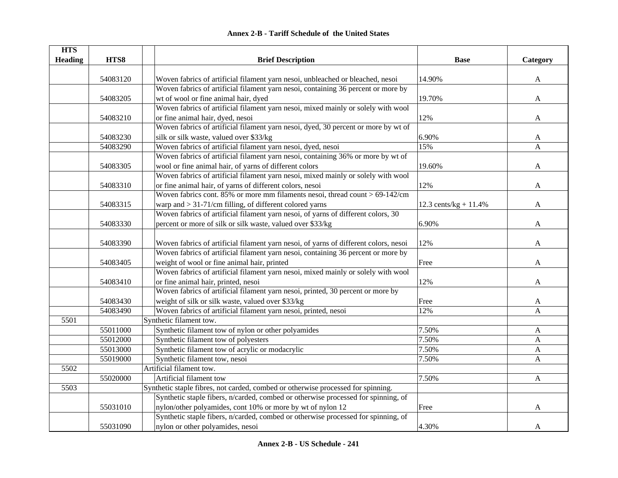| <b>HTS</b>     |          |                                                                                      |                         |              |
|----------------|----------|--------------------------------------------------------------------------------------|-------------------------|--------------|
| <b>Heading</b> | HTS8     | <b>Brief Description</b>                                                             | <b>Base</b>             | Category     |
|                |          |                                                                                      |                         |              |
|                | 54083120 | Woven fabrics of artificial filament yarn nesoi, unbleached or bleached, nesoi       | 14.90%                  | $\mathbf{A}$ |
|                |          | Woven fabrics of artificial filament yarn nesoi, containing 36 percent or more by    |                         |              |
|                | 54083205 | wt of wool or fine animal hair, dyed                                                 | 19.70%                  | A            |
|                |          | Woven fabrics of artificial filament yarn nesoi, mixed mainly or solely with wool    |                         |              |
|                | 54083210 | or fine animal hair, dyed, nesoi                                                     | 12%                     | A            |
|                |          | Woven fabrics of artificial filament yarn nesoi, dyed, 30 percent or more by wt of   |                         |              |
|                | 54083230 | silk or silk waste, valued over \$33/kg                                              | 6.90%                   | A            |
|                | 54083290 | Woven fabrics of artificial filament yarn nesoi, dyed, nesoi                         | 15%                     | A            |
|                |          | Woven fabrics of artificial filament yarn nesoi, containing 36% or more by wt of     |                         |              |
|                | 54083305 | wool or fine animal hair, of yarns of different colors                               | 19.60%                  | A            |
|                |          | Woven fabrics of artificial filament yarn nesoi, mixed mainly or solely with wool    |                         |              |
|                | 54083310 | or fine animal hair, of yarns of different colors, nesoi                             | 12%                     | A            |
|                |          | Woven fabrics cont. 85% or more mm filaments nesoi, thread count $> 69-142$ /cm      |                         |              |
|                | 54083315 | warp and $> 31-71$ /cm filling, of different colored yarns                           | 12.3 cents/kg + $11.4%$ | A            |
|                |          | Woven fabrics of artificial filament yarn nesoi, of yarns of different colors, 30    |                         |              |
|                | 54083330 | percent or more of silk or silk waste, valued over \$33/kg                           | 6.90%                   | A            |
|                |          |                                                                                      |                         |              |
|                | 54083390 | Woven fabrics of artificial filament yarn nesoi, of yarns of different colors, nesoi | 12%                     | A            |
|                |          | Woven fabrics of artificial filament yarn nesoi, containing 36 percent or more by    |                         |              |
|                | 54083405 | weight of wool or fine animal hair, printed                                          | Free                    | A            |
|                |          | Woven fabrics of artificial filament yarn nesoi, mixed mainly or solely with wool    |                         |              |
|                | 54083410 | or fine animal hair, printed, nesoi                                                  | 12%                     | A            |
|                |          | Woven fabrics of artificial filament yarn nesoi, printed, 30 percent or more by      |                         |              |
|                | 54083430 | weight of silk or silk waste, valued over \$33/kg                                    | Free                    | A            |
|                | 54083490 | Woven fabrics of artificial filament yarn nesoi, printed, nesoi                      | 12%                     | A            |
| 5501           |          | Synthetic filament tow.                                                              |                         |              |
|                | 55011000 | Synthetic filament tow of nylon or other polyamides                                  | 7.50%                   | $\mathbf{A}$ |
|                | 55012000 | Synthetic filament tow of polyesters                                                 | 7.50%                   | A            |
|                | 55013000 | Synthetic filament tow of acrylic or modacrylic                                      | 7.50%                   | $\mathbf{A}$ |
|                | 55019000 | Synthetic filament tow, nesoi                                                        | 7.50%                   | $\mathbf{A}$ |
| 5502           |          | Artificial filament tow.                                                             |                         |              |
|                | 55020000 | Artificial filament tow                                                              | 7.50%                   | $\mathbf{A}$ |
| 5503           |          | Synthetic staple fibres, not carded, combed or otherwise processed for spinning.     |                         |              |
|                |          | Synthetic staple fibers, n/carded, combed or otherwise processed for spinning, of    |                         |              |
|                | 55031010 | nylon/other polyamides, cont 10% or more by wt of nylon 12                           | Free                    | A            |
|                |          | Synthetic staple fibers, n/carded, combed or otherwise processed for spinning, of    |                         |              |
|                | 55031090 | nylon or other polyamides, nesoi                                                     | 4.30%                   | A            |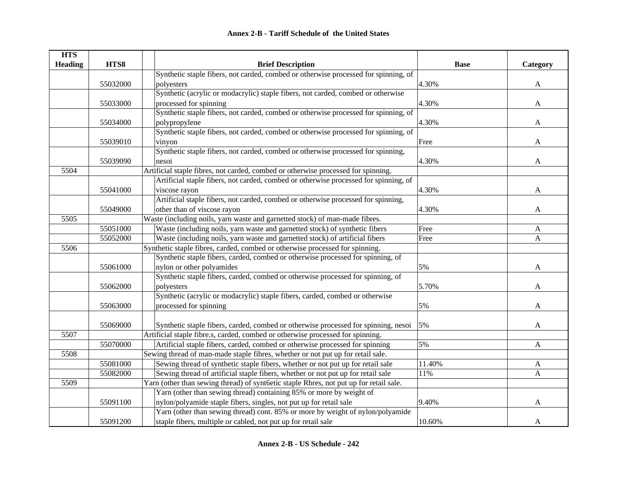| <b>HTS</b><br><b>Heading</b> | HTS8     | <b>Brief Description</b>                                                               | <b>Base</b> | Category     |
|------------------------------|----------|----------------------------------------------------------------------------------------|-------------|--------------|
|                              |          | Synthetic staple fibers, not carded, combed or otherwise processed for spinning, of    |             |              |
|                              | 55032000 | polyesters                                                                             | 4.30%       | A            |
|                              |          | Synthetic (acrylic or modacrylic) staple fibers, not carded, combed or otherwise       |             |              |
|                              | 55033000 | processed for spinning                                                                 | 4.30%       | $\mathbf{A}$ |
|                              |          | Synthetic staple fibers, not carded, combed or otherwise processed for spinning, of    |             |              |
|                              | 55034000 | polypropylene                                                                          | 4.30%       | A            |
|                              |          | Synthetic staple fibers, not carded, combed or otherwise processed for spinning, of    |             |              |
|                              | 55039010 | vinyon                                                                                 | Free        | A            |
|                              |          | Synthetic staple fibers, not carded, combed or otherwise processed for spinning,       |             |              |
|                              | 55039090 | nesoi                                                                                  | 4.30%       | $\mathbf A$  |
| 5504                         |          | Artificial staple fibres, not carded, combed or otherwise processed for spinning.      |             |              |
|                              |          | Artificial staple fibers, not carded, combed or otherwise processed for spinning, of   |             |              |
|                              | 55041000 | viscose rayon                                                                          | 4.30%       | A            |
|                              |          | Artificial staple fibers, not carded, combed or otherwise processed for spinning,      |             |              |
|                              | 55049000 | other than of viscose rayon                                                            | 4.30%       | A            |
| 5505                         |          | Waste (including noils, yarn waste and garnetted stock) of man-made fibres.            |             |              |
|                              | 55051000 | Waste (including noils, yarn waste and garnetted stock) of synthetic fibers            | Free        | A            |
|                              | 55052000 | Waste (including noils, yarn waste and garnetted stock) of artificial fibers           | Free        | $\mathbf{A}$ |
| 5506                         |          | Synthetic staple fibres, carded, combed or otherwise processed for spinning.           |             |              |
|                              |          | Synthetic staple fibers, carded, combed or otherwise processed for spinning, of        |             |              |
|                              | 55061000 | nylon or other polyamides                                                              | 5%          | A            |
|                              |          | Synthetic staple fibers, carded, combed or otherwise processed for spinning, of        |             |              |
|                              | 55062000 | polyesters                                                                             | 5.70%       | A            |
|                              |          | Synthetic (acrylic or modacrylic) staple fibers, carded, combed or otherwise           |             |              |
|                              | 55063000 | processed for spinning                                                                 | 5%          | A            |
|                              |          |                                                                                        |             |              |
|                              | 55069000 | Synthetic staple fibers, carded, combed or otherwise processed for spinning, nesoi     | 5%          | A            |
| 5507                         |          | Artificial staple fibre.s, carded, combed or otherwise processed for spinning.         |             |              |
|                              | 55070000 | Artificial staple fibers, carded, combed or otherwise processed for spinning           | 5%          | $\mathbf{A}$ |
| 5508                         |          | Sewing thread of man-made staple fibres, whether or not put up for retail sale.        |             |              |
|                              | 55081000 | Sewing thread of synthetic staple fibers, whether or not put up for retail sale        | 11.40%      | $\mathbf{A}$ |
|                              | 55082000 | Sewing thread of artificial staple fibers, whether or not put up for retail sale       | 11%         | $\mathbf{A}$ |
| 5509                         |          | Yarn (other than sewing thread) of synt6etic staple Rbres, not put up for retail sale. |             |              |
|                              |          | Yarn (other than sewing thread) containing 85% or more by weight of                    |             |              |
|                              | 55091100 | nylon/polyamide staple fibers, singles, not put up for retail sale                     | 9.40%       | A            |
|                              |          | Yarn (other than sewing thread) cont. 85% or more by weight of nylon/polyamide         |             |              |
|                              | 55091200 | staple fibers, multiple or cabled, not put up for retail sale                          | 10.60%      | A            |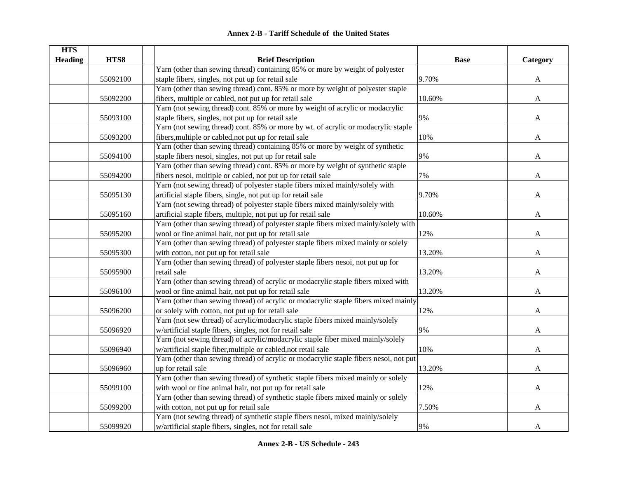| <b>HTS</b>     |          |                                                                                       |             |              |
|----------------|----------|---------------------------------------------------------------------------------------|-------------|--------------|
| <b>Heading</b> | HTS8     | <b>Brief Description</b>                                                              | <b>Base</b> | Category     |
|                |          | Yarn (other than sewing thread) containing 85% or more by weight of polyester         |             |              |
|                | 55092100 | staple fibers, singles, not put up for retail sale                                    | 9.70%       | A            |
|                |          | Yarn (other than sewing thread) cont. 85% or more by weight of polyester staple       |             |              |
|                | 55092200 | fibers, multiple or cabled, not put up for retail sale                                | 10.60%      | A            |
|                |          | Yarn (not sewing thread) cont. 85% or more by weight of acrylic or modacrylic         |             |              |
|                | 55093100 | staple fibers, singles, not put up for retail sale                                    | 9%          | $\mathbf{A}$ |
|                |          | Yarn (not sewing thread) cont. 85% or more by wt. of acrylic or modacrylic staple     |             |              |
|                | 55093200 | fibers, multiple or cabled, not put up for retail sale                                | 10%         | A            |
|                |          | Yarn (other than sewing thread) containing 85% or more by weight of synthetic         |             |              |
|                | 55094100 | staple fibers nesoi, singles, not put up for retail sale                              | 9%          | A            |
|                |          | Yarn (other than sewing thread) cont. 85% or more by weight of synthetic staple       |             |              |
|                | 55094200 | fibers nesoi, multiple or cabled, not put up for retail sale                          | 7%          | A            |
|                |          | Yarn (not sewing thread) of polyester staple fibers mixed mainly/solely with          |             |              |
|                | 55095130 | artificial staple fibers, single, not put up for retail sale                          | 9.70%       | A            |
|                |          | Yarn (not sewing thread) of polyester staple fibers mixed mainly/solely with          |             |              |
|                | 55095160 | artificial staple fibers, multiple, not put up for retail sale                        | 10.60%      | A            |
|                |          | Yarn (other than sewing thread) of polyester staple fibers mixed mainly/solely with   |             |              |
|                | 55095200 | wool or fine animal hair, not put up for retail sale                                  | 12%         | A            |
|                |          | Yarn (other than sewing thread) of polyester staple fibers mixed mainly or solely     |             |              |
|                | 55095300 | with cotton, not put up for retail sale                                               | 13.20%      | A            |
|                |          | Yarn (other than sewing thread) of polyester staple fibers nesoi, not put up for      |             |              |
|                | 55095900 | retail sale                                                                           | 13.20%      | A            |
|                |          | Yarn (other than sewing thread) of acrylic or modacrylic staple fibers mixed with     |             |              |
|                | 55096100 | wool or fine animal hair, not put up for retail sale                                  | 13.20%      | A            |
|                |          | Yarn (other than sewing thread) of acrylic or modacrylic staple fibers mixed mainly   |             |              |
|                | 55096200 | or solely with cotton, not put up for retail sale                                     | 12%         | A            |
|                |          | Yarn (not sew thread) of acrylic/modacrylic staple fibers mixed mainly/solely         |             |              |
|                | 55096920 | w/artificial staple fibers, singles, not for retail sale                              | 9%          | A            |
|                |          | Yarn (not sewing thread) of acrylic/modacrylic staple fiber mixed mainly/solely       |             |              |
|                | 55096940 | w/artificial staple fiber, multiple or cabled, not retail sale                        | 10%         | A            |
|                |          | Yarn (other than sewing thread) of acrylic or modacrylic staple fibers nesoi, not put |             |              |
|                | 55096960 | up for retail sale                                                                    | 13.20%      | $\mathbf{A}$ |
|                |          | Yarn (other than sewing thread) of synthetic staple fibers mixed mainly or solely     |             |              |
|                | 55099100 | with wool or fine animal hair, not put up for retail sale                             | 12%         | A            |
|                |          | Yarn (other than sewing thread) of synthetic staple fibers mixed mainly or solely     |             |              |
|                | 55099200 | with cotton, not put up for retail sale                                               | 7.50%       | A            |
|                |          | Yarn (not sewing thread) of synthetic staple fibers nesoi, mixed mainly/solely        |             |              |
|                | 55099920 | w/artificial staple fibers, singles, not for retail sale                              | 9%          | A            |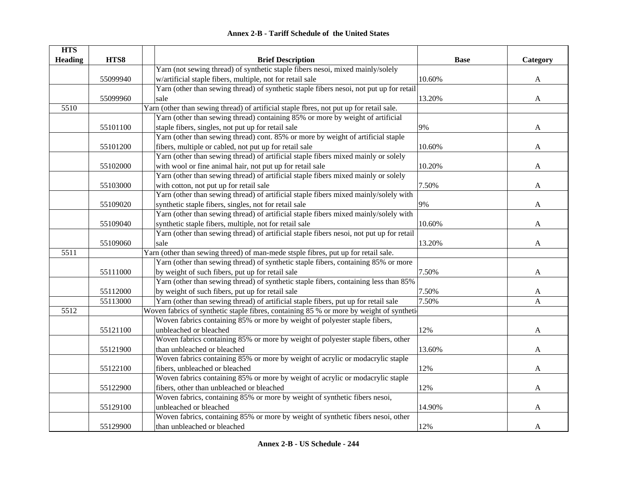| <b>HTS</b>     |          |                                                                                          |             |              |
|----------------|----------|------------------------------------------------------------------------------------------|-------------|--------------|
| <b>Heading</b> | HTS8     | <b>Brief Description</b>                                                                 | <b>Base</b> | Category     |
|                |          | Yarn (not sewing thread) of synthetic staple fibers nesoi, mixed mainly/solely           |             |              |
|                | 55099940 | w/artificial staple fibers, multiple, not for retail sale                                | 10.60%      | A            |
|                |          | Yarn (other than sewing thread) of synthetic staple fibers nesoi, not put up for retail  |             |              |
|                | 55099960 | sale                                                                                     | 13.20%      | A            |
| 5510           |          | Yarn (other than sewing thread) of artificial staple fbres, not put up for retail sale.  |             |              |
|                |          | Yarn (other than sewing thread) containing 85% or more by weight of artificial           |             |              |
|                | 55101100 | staple fibers, singles, not put up for retail sale                                       | 9%          | A            |
|                |          | Yarn (other than sewing thread) cont. 85% or more by weight of artificial staple         |             |              |
|                | 55101200 | fibers, multiple or cabled, not put up for retail sale                                   | 10.60%      | A            |
|                |          | Yarn (other than sewing thread) of artificial staple fibers mixed mainly or solely       |             |              |
|                | 55102000 | with wool or fine animal hair, not put up for retail sale                                | 10.20%      | A            |
|                |          | Yarn (other than sewing thread) of artificial staple fibers mixed mainly or solely       |             |              |
|                | 55103000 | with cotton, not put up for retail sale                                                  | 7.50%       | A            |
|                |          | Yarn (other than sewing thread) of artificial staple fibers mixed mainly/solely with     |             |              |
|                | 55109020 | synthetic staple fibers, singles, not for retail sale                                    | 9%          | A            |
|                |          | Yarn (other than sewing thread) of artificial staple fibers mixed mainly/solely with     |             |              |
|                | 55109040 | synthetic staple fibers, multiple, not for retail sale                                   | 10.60%      | $\mathbf{A}$ |
|                |          | Yarn (other than sewing thread) of artificial staple fibers nesoi, not put up for retail |             |              |
|                | 55109060 | sale                                                                                     | 13.20%      | $\mathbf{A}$ |
| 5511           |          | Yarn (other than sewing threed) of man-mede stsple fibres, put up for retail sale.       |             |              |
|                |          | Yarn (other than sewing thread) of synthetic staple fibers, containing 85% or more       |             |              |
|                | 55111000 | by weight of such fibers, put up for retail sale                                         | 7.50%       | A            |
|                |          | Yarn (other than sewing thread) of synthetic staple fibers, containing less than 85%     |             |              |
|                | 55112000 | by weight of such fibers, put up for retail sale                                         | 7.50%       | A            |
|                | 55113000 | Yarn (other than sewing thread) of artificial staple fibers, put up for retail sale      | 7.50%       | A            |
| 5512           |          | Woven fabrics of synthetic staple fibres, containing 85 % or more by weight of synthetic |             |              |
|                |          | Woven fabrics containing 85% or more by weight of polyester staple fibers,               |             |              |
|                | 55121100 | unbleached or bleached                                                                   | 12%         | A            |
|                |          | Woven fabrics containing 85% or more by weight of polyester staple fibers, other         |             |              |
|                | 55121900 | than unbleached or bleached                                                              | 13.60%      | A            |
|                |          | Woven fabrics containing 85% or more by weight of acrylic or modacrylic staple           |             |              |
|                | 55122100 | fibers, unbleached or bleached                                                           | 12%         | A            |
|                |          | Woven fabrics containing 85% or more by weight of acrylic or modacrylic staple           |             |              |
|                | 55122900 | fibers, other than unbleached or bleached                                                | 12%         | A            |
|                |          | Woven fabrics, containing 85% or more by weight of synthetic fibers nesoi,               |             |              |
|                | 55129100 | unbleached or bleached                                                                   | 14.90%      | A            |
|                |          | Woven fabrics, containing 85% or more by weight of synthetic fibers nesoi, other         |             |              |
|                | 55129900 | than unbleached or bleached                                                              | 12%         | $\mathbf{A}$ |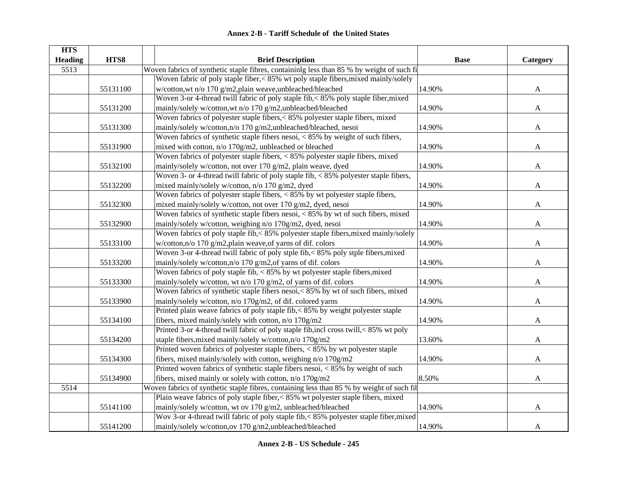| <b>HTS</b>     |          |                                                                                           |             |              |
|----------------|----------|-------------------------------------------------------------------------------------------|-------------|--------------|
| <b>Heading</b> | HTS8     | <b>Brief Description</b>                                                                  | <b>Base</b> | Category     |
| 5513           |          | Woven fabrics of synthetic staple fibres, containinlg less than 85 % by weight of such fi |             |              |
|                |          | Woven fabric of poly staple fiber, < 85% wt poly staple fibers, mixed mainly/solely       |             |              |
|                | 55131100 | w/cotton, wt n/o 170 g/m2, plain weave, unbleached/bleached                               | 14.90%      | A            |
|                |          | Woven 3-or 4-thread twill fabric of poly staple fib,<85% poly staple fiber, mixed         |             |              |
|                | 55131200 | mainly/solely w/cotton,wt n/o 170 g/m2,unbleached/bleached                                | 14.90%      | $\mathbf{A}$ |
|                |          | Woven fabrics of polyester staple fibers,<85% polyester staple fibers, mixed              |             |              |
|                | 55131300 | mainly/solely w/cotton,n/o 170 g/m2,unbleached/bleached, nesoi                            | 14.90%      | A            |
|                |          | Woven fabrics of synthetic staple fibers nesoi, < 85% by weight of such fibers,           |             |              |
|                | 55131900 | mixed with cotton, n/o 170g/m2, unbleached or bleached                                    | 14.90%      | A            |
|                |          | Woven fabrics of polyester staple fibers, < 85% polyester staple fibers, mixed            |             |              |
|                | 55132100 | mainly/solely w/cotton, not over 170 g/m2, plain weave, dyed                              | 14.90%      | A            |
|                |          | Woven 3- or 4-thread twill fabric of poly staple fib, < 85% polyester staple fibers,      |             |              |
|                | 55132200 | mixed mainly/solely w/cotton, n/o 170 g/m2, dyed                                          | 14.90%      | A            |
|                |          | Woven fabrics of polyester staple fibers, $< 85\%$ by wt polyester staple fibers,         |             |              |
|                | 55132300 | mixed mainly/solely w/cotton, not over 170 g/m2, dyed, nesoi                              | 14.90%      | A            |
|                |          | Woven fabrics of synthetic staple fibers nesoi, $< 85\%$ by wt of such fibers, mixed      |             |              |
|                | 55132900 | mainly/solely w/cotton, weighing n/o 170g/m2, dyed, nesoi                                 | 14.90%      | $\mathbf{A}$ |
|                |          | Woven fabrics of poly staple fib,< 85% polyester staple fibers, mixed mainly/solely       |             |              |
|                | 55133100 | w/cotton,n/o 170 g/m2,plain weave,of yarns of dif. colors                                 | 14.90%      | $\mathbf{A}$ |
|                |          | Woven 3-or 4-thread twill fabric of poly stple fib,< 85% poly stple fibers, mixed         |             |              |
|                | 55133200 | mainly/solely w/cotton,n/o 170 g/m2,of yarns of dif. colors                               | 14.90%      | $\mathbf{A}$ |
|                |          | Woven fabrics of poly staple fib, $< 85\%$ by wt polyester staple fibers, mixed           |             |              |
|                | 55133300 | mainly/solely w/cotton, wt n/o 170 g/m2, of yarns of dif. colors                          | 14.90%      | A            |
|                |          | Woven fabrics of synthetic staple fibers nesoi, < 85% by wt of such fibers, mixed         |             |              |
|                | 55133900 | mainly/solely w/cotton, n/o 170g/m2, of dif. colored yarns                                | 14.90%      | A            |
|                |          | Printed plain weave fabrics of poly staple fib,<85% by weight polyester staple            |             |              |
|                | 55134100 | fibers, mixed mainly/solely with cotton, n/o 170g/m2                                      | 14.90%      | A            |
|                |          | Printed 3-or 4-thread twill fabric of poly staple fib, incl cross twill, < 85% wt poly    |             |              |
|                | 55134200 | staple fibers, mixed mainly/solely w/cotton, n/o 170g/m2                                  | 13.60%      | A            |
|                |          | Printed woven fabrics of polyester staple fibers, $< 85\%$ by wt polyester staple         |             |              |
|                | 55134300 | fibers, mixed mainly/solely with cotton, weighing n/o 170g/m2                             | 14.90%      | A            |
|                |          | Printed woven fabrics of synthetic staple fibers nesoi, < 85% by weight of such           |             |              |
|                | 55134900 | fibers, mixed mainly or solely with cotton, n/o 170g/m2                                   | 8.50%       | $\mathbf{A}$ |
| 5514           |          | Woven fabrics of synthetic staple fibres, containing less than 85 % by weight of such fil |             |              |
|                |          | Plain weave fabrics of poly staple fiber,<85% wt polyester staple fibers, mixed           |             |              |
|                | 55141100 | mainly/solely w/cotton, wt ov 170 g/m2, unbleached/bleached                               | 14.90%      | A            |
|                |          | Wov 3-or 4-thread twill fabric of poly staple fib,< 85% polyester staple fiber, mixed     |             |              |
|                | 55141200 | mainly/solely w/cotton,ov 170 g/m2,unbleached/bleached                                    | 14.90%      | $\mathbf{A}$ |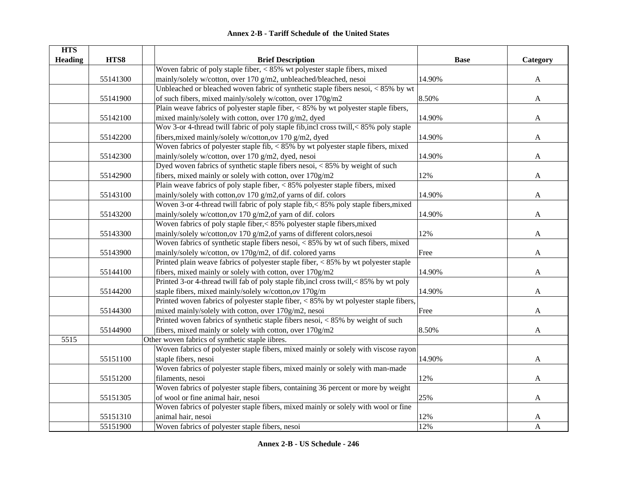| <b>HTS</b>     |          |                                                                                        |             |              |
|----------------|----------|----------------------------------------------------------------------------------------|-------------|--------------|
| <b>Heading</b> | HTS8     | <b>Brief Description</b>                                                               | <b>Base</b> | Category     |
|                |          | Woven fabric of poly staple fiber, < 85% wt polyester staple fibers, mixed             |             |              |
|                | 55141300 | mainly/solely w/cotton, over 170 g/m2, unbleached/bleached, nesoi                      | 14.90%      | $\mathbf{A}$ |
|                |          | Unbleached or bleached woven fabric of synthetic staple fibers nesoi, < 85% by wt      |             |              |
|                | 55141900 | of such fibers, mixed mainly/solely w/cotton, over 170g/m2                             | 8.50%       | $\mathbf{A}$ |
|                |          | Plain weave fabrics of polyester staple fiber, $< 85\%$ by wt polyester staple fibers, |             |              |
|                | 55142100 | mixed mainly/solely with cotton, over 170 g/m2, dyed                                   | 14.90%      | $\mathbf{A}$ |
|                |          | Wov 3-or 4-thread twill fabric of poly staple fib, incl cross twill, < 85% poly staple |             |              |
|                | 55142200 | fibers, mixed mainly/solely w/cotton, ov 170 g/m2, dyed                                | 14.90%      | A            |
|                |          | Woven fabrics of polyester staple fib, $< 85\%$ by wt polyester staple fibers, mixed   |             |              |
|                | 55142300 | mainly/solely w/cotton, over 170 g/m2, dyed, nesoi                                     | 14.90%      | A            |
|                |          | Dyed woven fabrics of synthetic staple fibers nesoi, $< 85\%$ by weight of such        |             |              |
|                | 55142900 | fibers, mixed mainly or solely with cotton, over 170g/m2                               | 12%         | A            |
|                |          | Plain weave fabrics of poly staple fiber, < 85% polyester staple fibers, mixed         |             |              |
|                | 55143100 | mainly/solely with cotton, ov 170 g/m2, of yarns of dif. colors                        | 14.90%      | A            |
|                |          | Woven 3-or 4-thread twill fabric of poly staple fib,< 85% poly staple fibers, mixed    |             |              |
|                | 55143200 | mainly/solely w/cotton,ov 170 g/m2,of yarn of dif. colors                              | 14.90%      | A            |
|                |          | Woven fabrics of poly staple fiber, < 85% polyester staple fibers, mixed               |             |              |
|                | 55143300 | mainly/solely w/cotton,ov 170 g/m2,of yarns of different colors,nesoi                  | 12%         | A            |
|                |          | Woven fabrics of synthetic staple fibers nesoi, $< 85\%$ by wt of such fibers, mixed   |             |              |
|                | 55143900 | mainly/solely w/cotton, ov 170g/m2, of dif. colored yarns                              | Free        | $\mathbf{A}$ |
|                |          | Printed plain weave fabrics of polyester staple fiber, $< 85\%$ by wt polyester staple |             |              |
|                | 55144100 | fibers, mixed mainly or solely with cotton, over 170g/m2                               | 14.90%      | A            |
|                |          | Printed 3-or 4-thread twill fab of poly staple fib, incl cross twill, < 85% by wt poly |             |              |
|                | 55144200 | staple fibers, mixed mainly/solely w/cotton,ov 170g/m                                  | 14.90%      | A            |
|                |          | Printed woven fabrics of polyester staple fiber, < 85% by wt polyester staple fibers,  |             |              |
|                | 55144300 | mixed mainly/solely with cotton, over 170g/m2, nesoi                                   | Free        | A            |
|                |          | Printed woven fabrics of synthetic staple fibers nesoi, < 85% by weight of such        |             |              |
|                | 55144900 | fibers, mixed mainly or solely with cotton, over 170g/m2                               | 8.50%       | A            |
| 5515           |          | Other woven fabrics of synthetic staple iibres.                                        |             |              |
|                |          | Woven fabrics of polyester staple fibers, mixed mainly or solely with viscose rayon    |             |              |
|                | 55151100 | staple fibers, nesoi                                                                   | 14.90%      | $\mathbf{A}$ |
|                |          | Woven fabrics of polyester staple fibers, mixed mainly or solely with man-made         |             |              |
|                | 55151200 | filaments, nesoi                                                                       | 12%         | A            |
|                |          | Woven fabrics of polyester staple fibers, containing 36 percent or more by weight      |             |              |
|                | 55151305 | of wool or fine animal hair, nesoi                                                     | 25%         | A            |
|                |          | Woven fabrics of polyester staple fibers, mixed mainly or solely with wool or fine     |             |              |
|                | 55151310 | animal hair, nesoi                                                                     | 12%         | A            |
|                | 55151900 | Woven fabrics of polyester staple fibers, nesoi                                        | 12%         | $\mathbf{A}$ |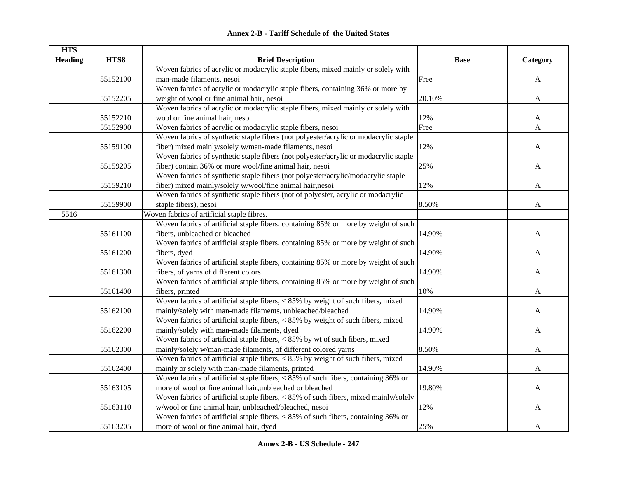|  | <b>Annex 2-B - Tariff Schedule of the United States</b> |  |
|--|---------------------------------------------------------|--|
|--|---------------------------------------------------------|--|

| <b>HTS</b>     |          |                                                                                                       |             |              |
|----------------|----------|-------------------------------------------------------------------------------------------------------|-------------|--------------|
| <b>Heading</b> | HTS8     | <b>Brief Description</b>                                                                              | <b>Base</b> | Category     |
|                |          | Woven fabrics of acrylic or modacrylic staple fibers, mixed mainly or solely with                     |             |              |
|                | 55152100 | man-made filaments, nesoi                                                                             | Free        | A            |
|                |          | Woven fabrics of acrylic or modacrylic staple fibers, containing 36% or more by                       |             |              |
|                | 55152205 | weight of wool or fine animal hair, nesoi                                                             | 20.10%      | $\mathbf{A}$ |
|                |          | Woven fabrics of acrylic or modacrylic staple fibers, mixed mainly or solely with                     |             |              |
|                | 55152210 | wool or fine animal hair, nesoi                                                                       | 12%         | A            |
|                | 55152900 | Woven fabrics of acrylic or modacrylic staple fibers, nesoi                                           | Free        | A            |
|                |          | Woven fabrics of synthetic staple fibers (not polyester/acrylic or modacrylic staple                  |             |              |
|                | 55159100 | fiber) mixed mainly/solely w/man-made filaments, nesoi                                                | 12%         | A            |
|                |          | Woven fabrics of synthetic staple fibers (not polyester/acrylic or modacrylic staple                  |             |              |
|                | 55159205 | fiber) contain 36% or more wool/fine animal hair, nesoi                                               | 25%         | A            |
|                |          | Woven fabrics of synthetic staple fibers (not polyester/acrylic/modacrylic staple                     |             |              |
|                | 55159210 | fiber) mixed mainly/solely w/wool/fine animal hair,nesoi                                              | 12%         | A            |
|                |          | Woven fabrics of synthetic staple fibers (not of polyester, acrylic or modacrylic                     |             |              |
|                | 55159900 | staple fibers), nesoi                                                                                 | 8.50%       | A            |
| 5516           |          | Woven fabrics of artificial staple fibres.                                                            |             |              |
|                |          | Woven fabrics of artificial staple fibers, containing 85% or more by weight of such                   |             |              |
|                | 55161100 | fibers, unbleached or bleached                                                                        | 14.90%      | A            |
|                |          | Woven fabrics of artificial staple fibers, containing 85% or more by weight of such                   |             |              |
|                | 55161200 | fibers, dyed                                                                                          | 14.90%      | $\mathbf{A}$ |
|                |          | Woven fabrics of artificial staple fibers, containing 85% or more by weight of such                   |             |              |
|                | 55161300 | fibers, of yarns of different colors                                                                  | 14.90%      | A            |
|                |          | Woven fabrics of artificial staple fibers, containing 85% or more by weight of such                   |             |              |
|                | 55161400 | fibers, printed                                                                                       | 10%         | A            |
|                |          | Woven fabrics of artificial staple fibers, < 85% by weight of such fibers, mixed                      |             |              |
|                | 55162100 | mainly/solely with man-made filaments, unbleached/bleached                                            | 14.90%      | A            |
|                |          | Woven fabrics of artificial staple fibers, $< 85\%$ by weight of such fibers, mixed                   |             |              |
|                | 55162200 | mainly/solely with man-made filaments, dyed                                                           | 14.90%      | A            |
|                |          | Woven fabrics of artificial staple fibers, $< 85\%$ by wt of such fibers, mixed                       |             |              |
|                | 55162300 | mainly/solely w/man-made filaments, of different colored yarns                                        | 8.50%       | A            |
|                |          | Woven fabrics of artificial staple fibers, $< 85\%$ by weight of such fibers, mixed                   |             |              |
|                | 55162400 | mainly or solely with man-made filaments, printed                                                     | 14.90%      | A            |
|                |          | Woven fabrics of artificial staple fibers, $< 85\%$ of such fibers, containing 36% or                 |             |              |
|                | 55163105 | more of wool or fine animal hair, unbleached or bleached                                              | 19.80%      | A            |
|                |          | Woven fabrics of artificial staple fibers, $\langle 85\% \rangle$ of such fibers, mixed mainly/solely |             |              |
|                | 55163110 | w/wool or fine animal hair, unbleached/bleached, nesoi                                                | 12%         | A            |
|                |          | Woven fabrics of artificial staple fibers, $\langle 85\% \rangle$ of such fibers, containing 36% or   |             |              |
|                | 55163205 | more of wool or fine animal hair, dyed                                                                | 25%         | $\mathbf{A}$ |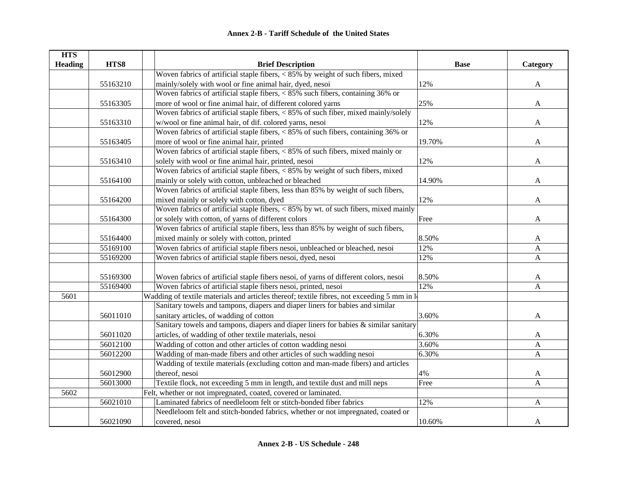| <b>HTS</b>     |          |                                                                                             |             |              |
|----------------|----------|---------------------------------------------------------------------------------------------|-------------|--------------|
| <b>Heading</b> | HTS8     | <b>Brief Description</b>                                                                    | <b>Base</b> | Category     |
|                |          | Woven fabrics of artificial staple fibers, $< 85\%$ by weight of such fibers, mixed         |             |              |
|                | 55163210 | mainly/solely with wool or fine animal hair, dyed, nesoi                                    | 12%         | $\mathbf{A}$ |
|                |          | Woven fabrics of artificial staple fibers, $< 85\%$ such fibers, containing 36% or          |             |              |
|                | 55163305 | more of wool or fine animal hair, of different colored yarns                                | 25%         | $\mathbf{A}$ |
|                |          | Woven fabrics of artificial staple fibers, $< 85\%$ of such fiber, mixed mainly/solely      |             |              |
|                | 55163310 | w/wool or fine animal hair, of dif. colored yarns, nesoi                                    | 12%         | A            |
|                |          | Woven fabrics of artificial staple fibers, $< 85\%$ of such fibers, containing 36% or       |             |              |
|                | 55163405 | more of wool or fine animal hair, printed                                                   | 19.70%      | A            |
|                |          | Woven fabrics of artificial staple fibers, < 85% of such fibers, mixed mainly or            |             |              |
|                | 55163410 | solely with wool or fine animal hair, printed, nesoi                                        | 12%         | $\mathbf{A}$ |
|                |          | Woven fabrics of artificial staple fibers, < 85% by weight of such fibers, mixed            |             |              |
|                | 55164100 | mainly or solely with cotton, unbleached or bleached                                        | 14.90%      | A            |
|                |          | Woven fabrics of artificial staple fibers, less than 85% by weight of such fibers,          |             |              |
|                | 55164200 | mixed mainly or solely with cotton, dyed                                                    | 12%         | A            |
|                |          | Woven fabrics of artificial staple fibers, $< 85\%$ by wt. of such fibers, mixed mainly     |             |              |
|                | 55164300 | or solely with cotton, of yarns of different colors                                         | Free        | A            |
|                |          | Woven fabrics of artificial staple fibers, less than 85% by weight of such fibers,          |             |              |
|                | 55164400 | mixed mainly or solely with cotton, printed                                                 | 8.50%       | A            |
|                | 55169100 | Woven fabrics of artificial staple fibers nesoi, unbleached or bleached, nesoi              | 12%         | A            |
|                | 55169200 | Woven fabrics of artificial staple fibers nesoi, dyed, nesoi                                | 12%         | $\mathbf{A}$ |
|                |          |                                                                                             |             |              |
|                | 55169300 | Woven fabrics of artificial staple fibers nesoi, of yarns of different colors, nesoi        | 8.50%       | A            |
|                | 55169400 | Woven fabrics of artificial staple fibers nesoi, printed, nesoi                             | 12%         | A            |
| 5601           |          | Wadding of textile materials and articles thereof; textile fibres, not exceeding 5 mm in lo |             |              |
|                |          | Sanitary towels and tampons, diapers and diaper liners for babies and similar               |             |              |
|                | 56011010 | sanitary articles, of wadding of cotton                                                     | 3.60%       | A            |
|                |          | Sanitary towels and tampons, diapers and diaper liners for babies & similar sanitary        |             |              |
|                | 56011020 | articles, of wadding of other textile materials, nesoi                                      | 6.30%       | A            |
|                | 56012100 | Wadding of cotton and other articles of cotton wadding nesoi                                | 3.60%       | A            |
|                | 56012200 | Wadding of man-made fibers and other articles of such wadding nesoi                         | 6.30%       | A            |
|                |          | Wadding of textile materials (excluding cotton and man-made fibers) and articles            |             |              |
|                | 56012900 | thereof, nesoi                                                                              | 4%          | A            |
|                | 56013000 | Textile flock, not exceeding 5 mm in length, and textile dust and mill neps                 | Free        | A            |
| 5602           |          | Felt, whether or not impregnated, coated, covered or laminated.                             |             |              |
|                | 56021010 | Laminated fabrics of needleloom felt or stitch-bonded fiber fabrics                         | 12%         | $\mathbf{A}$ |
|                |          | Needleloom felt and stitch-bonded fabrics, whether or not impregnated, coated or            |             |              |
|                | 56021090 | covered, nesoi                                                                              | 10.60%      | A            |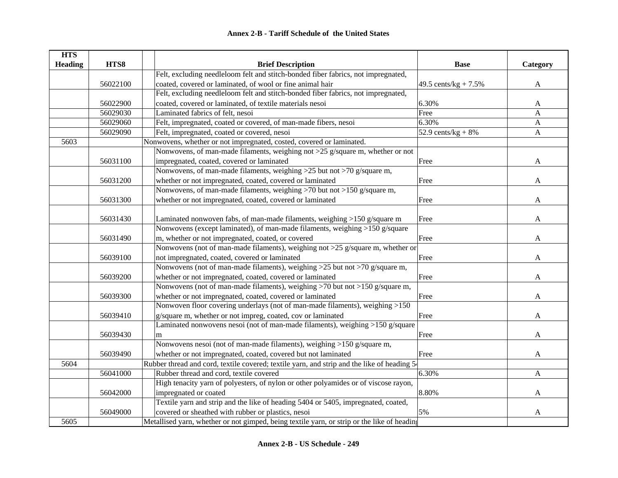| <b>HTS</b>     |          |                                                                                             |                         |              |
|----------------|----------|---------------------------------------------------------------------------------------------|-------------------------|--------------|
| <b>Heading</b> | HTS8     | <b>Brief Description</b>                                                                    | <b>Base</b>             | Category     |
|                |          | Felt, excluding needleloom felt and stitch-bonded fiber fabrics, not impregnated,           |                         |              |
|                | 56022100 | coated, covered or laminated, of wool or fine animal hair                                   | 49.5 cents/kg + $7.5\%$ | A            |
|                |          | Felt, excluding needleloom felt and stitch-bonded fiber fabrics, not impregnated,           |                         |              |
|                | 56022900 | coated, covered or laminated, of textile materials nesoi                                    | 6.30%                   | A            |
|                | 56029030 | Laminated fabrics of felt, nesoi                                                            | Free                    | A            |
|                | 56029060 | Felt, impregnated, coated or covered, of man-made fibers, nesoi                             | 6.30%                   | A            |
|                | 56029090 | Felt, impregnated, coated or covered, nesoi                                                 | 52.9 cents/ $kg + 8%$   | $\mathbf{A}$ |
| 5603           |          | Nonwovens, whether or not impregnated, costed, covered or laminated.                        |                         |              |
|                |          | Nonwovens, of man-made filaments, weighing not $>25$ g/square m, whether or not             |                         |              |
|                | 56031100 | impregnated, coated, covered or laminated                                                   | Free                    | A            |
|                |          | Nonwovens, of man-made filaments, weighing >25 but not >70 g/square m,                      |                         |              |
|                | 56031200 | whether or not impregnated, coated, covered or laminated                                    | Free                    | A            |
|                |          | Nonwovens, of man-made filaments, weighing >70 but not >150 g/square m,                     |                         |              |
|                | 56031300 | whether or not impregnated, coated, covered or laminated                                    | Free                    | A            |
|                |          |                                                                                             |                         |              |
|                | 56031430 | Laminated nonwoven fabs, of man-made filaments, weighing >150 g/square m                    | Free                    | A            |
|                |          | Nonwovens (except laminated), of man-made filaments, weighing >150 g/square                 |                         |              |
|                | 56031490 | m, whether or not impregnated, coated, or covered                                           | Free                    | A            |
|                |          | Nonwovens (not of man-made filaments), weighing not >25 g/square m, whether or              |                         |              |
|                | 56039100 | not impregnated, coated, covered or laminated                                               | Free                    | A            |
|                |          | Nonwovens (not of man-made filaments), weighing $>25$ but not $>70$ g/square m,             |                         |              |
|                | 56039200 | whether or not impregnated, coated, covered or laminated                                    | Free                    | A            |
|                |          | Nonwovens (not of man-made filaments), weighing >70 but not >150 g/square m,                |                         |              |
|                | 56039300 | whether or not impregnated, coated, covered or laminated                                    | Free                    | A            |
|                |          | Nonwoven floor covering underlays (not of man-made filaments), weighing >150                |                         |              |
|                | 56039410 | g/square m, whether or not impreg, coated, cov or laminated                                 | Free                    | A            |
|                |          | Laminated nonwovens nesoi (not of man-made filaments), weighing >150 g/square               |                         |              |
|                | 56039430 | m                                                                                           | Free                    | A            |
|                |          | Nonwovens nesoi (not of man-made filaments), weighing >150 g/square m,                      |                         |              |
|                | 56039490 | whether or not impregnated, coated, covered but not laminated                               | Free                    | A            |
| 5604           |          | Rubber thread and cord, textile covered; textile yarn, and strip and the like of heading 5  |                         |              |
|                | 56041000 | Rubber thread and cord, textile covered                                                     | 6.30%                   | $\mathbf{A}$ |
|                |          | High tenacity yarn of polyesters, of nylon or other polyamides or of viscose rayon,         |                         |              |
|                | 56042000 | impregnated or coated                                                                       | 8.80%                   | A            |
|                |          | Textile yarn and strip and the like of heading 5404 or 5405, impregnated, coated,           |                         |              |
|                | 56049000 | covered or sheathed with rubber or plastics, nesoi                                          | 5%                      | A            |
| 5605           |          | Metallised yarn, whether or not gimped, being textile yarn, or strip or the like of heading |                         |              |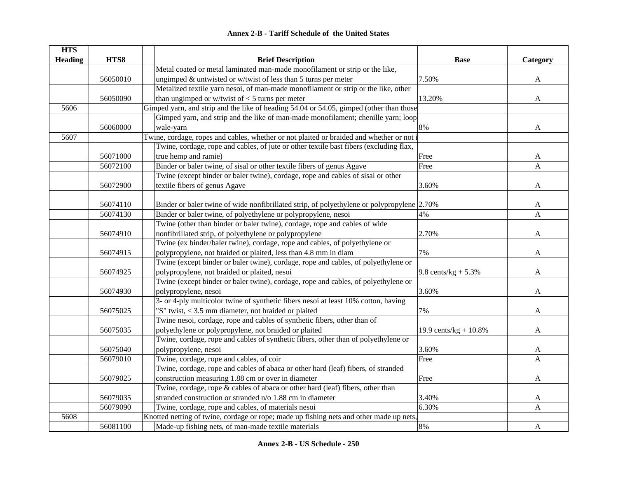| <b>HTS</b>     |          |                                                                                            |                           |          |
|----------------|----------|--------------------------------------------------------------------------------------------|---------------------------|----------|
| <b>Heading</b> | HTS8     | <b>Brief Description</b>                                                                   | <b>Base</b>               | Category |
|                |          | Metal coated or metal laminated man-made monofilament or strip or the like,                |                           |          |
|                | 56050010 | ungimped $&$ untwisted or w/twist of less than 5 turns per meter                           | 7.50%                     | A        |
|                |          | Metalized textile yarn nesoi, of man-made monofilament or strip or the like, other         |                           |          |
|                | 56050090 | than ungimped or w/twist of $<$ 5 turns per meter                                          | 13.20%                    | A        |
| 5606           |          | Gimped yarn, and strip and the like of heading 54.04 or 54.05, gimped (other than those    |                           |          |
|                |          | Gimped yarn, and strip and the like of man-made monofilament; chenille yarn; loop          |                           |          |
|                | 56060000 | wale-yarn                                                                                  | 8%                        | A        |
| 5607           |          | Twine, cordage, ropes and cables, whether or not plaited or braided and whether or not i   |                           |          |
|                |          | Twine, cordage, rope and cables, of jute or other textile bast fibers (excluding flax,     |                           |          |
|                | 56071000 | true hemp and ramie)                                                                       | Free                      | A        |
|                | 56072100 | Binder or baler twine, of sisal or other textile fibers of genus Agave                     | Free                      | A        |
|                |          | Twine (except binder or baler twine), cordage, rope and cables of sisal or other           |                           |          |
|                | 56072900 | textile fibers of genus Agave                                                              | 3.60%                     | A        |
|                |          |                                                                                            |                           |          |
|                | 56074110 | Binder or baler twine of wide nonfibrillated strip, of polyethylene or polypropylene 2.70% |                           | A        |
|                | 56074130 | Binder or baler twine, of polyethylene or polypropylene, nesoi                             | 4%                        | A        |
|                |          | Twine (other than binder or baler twine), cordage, rope and cables of wide                 |                           |          |
|                | 56074910 | nonfibrillated strip, of polyethylene or polypropylene                                     | 2.70%                     | A        |
|                |          | Twine (ex binder/baler twine), cordage, rope and cables, of polyethylene or                |                           |          |
|                | 56074915 | polypropylene, not braided or plaited, less than 4.8 mm in diam                            | 7%                        | A        |
|                |          | Twine (except binder or baler twine), cordage, rope and cables, of polyethylene or         |                           |          |
|                | 56074925 | polypropylene, not braided or plaited, nesoi                                               | 9.8 cents/kg + $5.3\%$    | A        |
|                |          | Twine (except binder or baler twine), cordage, rope and cables, of polyethylene or         |                           |          |
|                | 56074930 | polypropylene, nesoi                                                                       | 3.60%                     | A        |
|                |          | 3- or 4-ply multicolor twine of synthetic fibers nesoi at least 10% cotton, having         |                           |          |
|                | 56075025 | "S" twist, $<$ 3.5 mm diameter, not braided or plaited                                     | 7%                        | A        |
|                |          | Twine nesoi, cordage, rope and cables of synthetic fibers, other than of                   |                           |          |
|                | 56075035 | polyethylene or polypropylene, not braided or plaited                                      | 19.9 cents/ $kg + 10.8\%$ | A        |
|                |          | Twine, cordage, rope and cables of synthetic fibers, other than of polyethylene or         |                           |          |
|                | 56075040 | polypropylene, nesoi                                                                       | 3.60%                     | A        |
|                | 56079010 | Twine, cordage, rope and cables, of coir                                                   | Free                      | A        |
|                |          | Twine, cordage, rope and cables of abaca or other hard (leaf) fibers, of stranded          |                           |          |
|                | 56079025 | construction measuring 1.88 cm or over in diameter                                         | Free                      | A        |
|                |          | Twine, cordage, rope & cables of abaca or other hard (leaf) fibers, other than             |                           |          |
|                | 56079035 | stranded construction or stranded n/o 1.88 cm in diameter                                  | 3.40%                     | A        |
|                | 56079090 | Twine, cordage, rope and cables, of materials nesoi                                        | 6.30%                     | A        |
| 5608           |          | Knotted netting of twine, cordage or rope; made up fishing nets and other made up nets,    |                           |          |
|                | 56081100 | Made-up fishing nets, of man-made textile materials                                        | 8%                        | A        |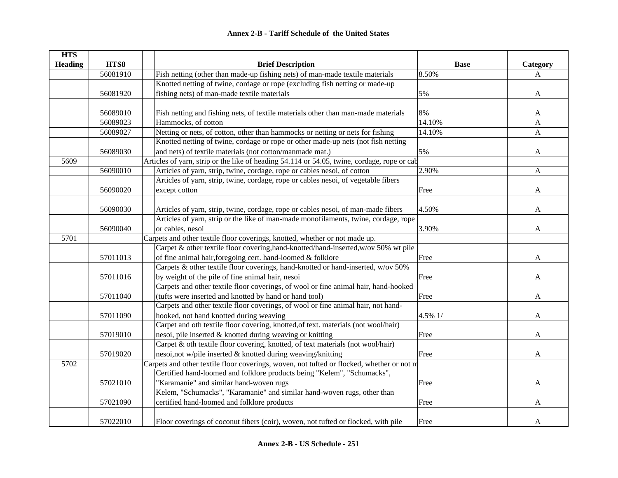| <b>HTS</b>     |          |                                                                                             |             |              |
|----------------|----------|---------------------------------------------------------------------------------------------|-------------|--------------|
| <b>Heading</b> | HTS8     | <b>Brief Description</b>                                                                    | <b>Base</b> | Category     |
|                | 56081910 | Fish netting (other than made-up fishing nets) of man-made textile materials                | 8.50%       | A            |
|                |          | Knotted netting of twine, cordage or rope (excluding fish netting or made-up                |             |              |
|                | 56081920 | fishing nets) of man-made textile materials                                                 | 5%          | $\mathbf{A}$ |
|                |          |                                                                                             |             |              |
|                | 56089010 | Fish netting and fishing nets, of textile materials other than man-made materials           | 8%          | A            |
|                | 56089023 | Hammocks, of cotton                                                                         | 14.10%      | A            |
|                | 56089027 | Netting or nets, of cotton, other than hammocks or netting or nets for fishing              | 14.10%      | A            |
|                |          | Knotted netting of twine, cordage or rope or other made-up nets (not fish netting           |             |              |
|                | 56089030 | and nets) of textile materials (not cotton/manmade mat.)                                    | 5%          | A            |
| 5609           |          | Articles of yarn, strip or the like of heading 54.114 or 54.05, twine, cordage, rope or cab |             |              |
|                | 56090010 | Articles of yarn, strip, twine, cordage, rope or cables nesoi, of cotton                    | 2.90%       | $\mathbf{A}$ |
|                |          | Articles of yarn, strip, twine, cordage, rope or cables nesoi, of vegetable fibers          |             |              |
|                | 56090020 | except cotton                                                                               | Free        | A            |
|                |          |                                                                                             |             |              |
|                | 56090030 | Articles of yarn, strip, twine, cordage, rope or cables nesoi, of man-made fibers           | 4.50%       | A            |
|                |          | Articles of yarn, strip or the like of man-made monofilaments, twine, cordage, rope         |             |              |
|                | 56090040 | or cables, nesoi                                                                            | 3.90%       | A            |
| 5701           |          | Carpets and other textile floor coverings, knotted, whether or not made up.                 |             |              |
|                |          | Carpet & other textile floor covering, hand-knotted/hand-inserted, w/ov 50% wt pile         |             |              |
|                | 57011013 | of fine animal hair, foregoing cert. hand-loomed & folklore                                 | Free        | A            |
|                |          | Carpets & other textile floor coverings, hand-knotted or hand-inserted, w/ov 50%            |             |              |
|                | 57011016 | by weight of the pile of fine animal hair, nesoi                                            | Free        | A            |
|                |          | Carpets and other textile floor coverings, of wool or fine animal hair, hand-hooked         |             |              |
|                | 57011040 | (tufts were inserted and knotted by hand or hand tool)                                      | Free        | A            |
|                |          | Carpets and other textile floor coverings, of wool or fine animal hair, not hand-           |             |              |
|                | 57011090 | hooked, not hand knotted during weaving                                                     | 4.5% 1/     | A            |
|                |          | Carpet and oth textile floor covering, knotted, of text. materials (not wool/hair)          |             |              |
|                | 57019010 | nesoi, pile inserted & knotted during weaving or knitting                                   | Free        | A            |
|                |          | Carpet & oth textile floor covering, knotted, of text materials (not wool/hair)             |             |              |
|                | 57019020 | nesoi, not w/pile inserted & knotted during weaving/knitting                                | Free        | A            |
| 5702           |          | Carpets and other textile floor coverings, woven, not tufted or flocked, whether or not m   |             |              |
|                |          | Certified hand-loomed and folklore products being "Kelem", "Schumacks",                     |             |              |
|                | 57021010 | 'Karamanie" and similar hand-woven rugs                                                     | Free        | A            |
|                |          | Kelem, "Schumacks", "Karamanie" and similar hand-woven rugs, other than                     |             |              |
|                | 57021090 | certified hand-loomed and folklore products                                                 | Free        | A            |
|                |          |                                                                                             |             |              |
|                | 57022010 | Floor coverings of coconut fibers (coir), woven, not tufted or flocked, with pile           | Free        | A            |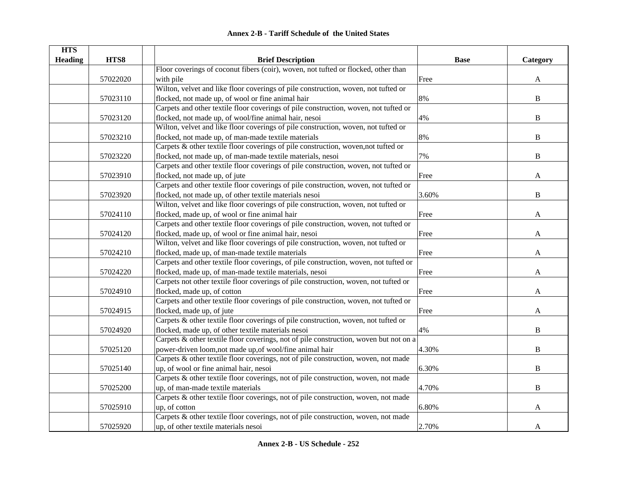| <b>HTS</b><br><b>Heading</b> | HTS8     | <b>Brief Description</b>                                                              | <b>Base</b> | Category     |
|------------------------------|----------|---------------------------------------------------------------------------------------|-------------|--------------|
|                              |          | Floor coverings of coconut fibers (coir), woven, not tufted or flocked, other than    |             |              |
|                              | 57022020 | with pile                                                                             | Free        | A            |
|                              |          | Wilton, velvet and like floor coverings of pile construction, woven, not tufted or    |             |              |
|                              | 57023110 | flocked, not made up, of wool or fine animal hair                                     | 8%          | $\, {\bf B}$ |
|                              |          | Carpets and other textile floor coverings of pile construction, woven, not tufted or  |             |              |
|                              | 57023120 | flocked, not made up, of wool/fine animal hair, nesoi                                 | 4%          | B            |
|                              |          | Wilton, velvet and like floor coverings of pile construction, woven, not tufted or    |             |              |
|                              | 57023210 | flocked, not made up, of man-made textile materials                                   | 8%          | B            |
|                              |          | Carpets & other textile floor coverings of pile construction, woven, not tufted or    |             |              |
|                              | 57023220 | flocked, not made up, of man-made textile materials, nesoi                            | 7%          | B            |
|                              |          | Carpets and other textile floor coverings of pile construction, woven, not tufted or  |             |              |
|                              | 57023910 | flocked, not made up, of jute                                                         | Free        | A            |
|                              |          | Carpets and other textile floor coverings of pile construction, woven, not tufted or  |             |              |
|                              | 57023920 | flocked, not made up, of other textile materials nesoi                                | 3.60%       | $\, {\bf B}$ |
|                              |          | Wilton, velvet and like floor coverings of pile construction, woven, not tufted or    |             |              |
|                              | 57024110 | flocked, made up, of wool or fine animal hair                                         | Free        | A            |
|                              |          | Carpets and other textile floor coverings of pile construction, woven, not tufted or  |             |              |
|                              | 57024120 | flocked, made up, of wool or fine animal hair, nesoi                                  | Free        | A            |
|                              |          | Wilton, velvet and like floor coverings of pile construction, woven, not tufted or    |             |              |
|                              | 57024210 | flocked, made up, of man-made textile materials                                       | Free        | A            |
|                              |          | Carpets and other textile floor coverings, of pile construction, woven, not tufted or |             |              |
|                              | 57024220 | flocked, made up, of man-made textile materials, nesoi                                | Free        | A            |
|                              |          | Carpets not other textile floor coverings of pile construction, woven, not tufted or  |             |              |
|                              | 57024910 | flocked, made up, of cotton                                                           | Free        | A            |
|                              |          | Carpets and other textile floor coverings of pile construction, woven, not tufted or  |             |              |
|                              | 57024915 | flocked, made up, of jute                                                             | Free        | A            |
|                              |          | Carpets & other textile floor coverings of pile construction, woven, not tufted or    |             |              |
|                              | 57024920 | flocked, made up, of other textile materials nesoi                                    | 4%          | $\, {\bf B}$ |
|                              |          | Carpets & other textile floor coverings, not of pile construction, woven but not on a |             |              |
|                              | 57025120 | power-driven loom, not made up, of wool/fine animal hair                              | 4.30%       | $\mathbf B$  |
|                              |          | Carpets & other textile floor coverings, not of pile construction, woven, not made    |             |              |
|                              | 57025140 | up, of wool or fine animal hair, nesoi                                                | 6.30%       | $\bf{B}$     |
|                              |          | Carpets & other textile floor coverings, not of pile construction, woven, not made    |             |              |
|                              | 57025200 | up, of man-made textile materials                                                     | 4.70%       | B            |
|                              |          | Carpets & other textile floor coverings, not of pile construction, woven, not made    |             |              |
|                              | 57025910 | up, of cotton                                                                         | 6.80%       | A            |
|                              |          | Carpets & other textile floor coverings, not of pile construction, woven, not made    |             |              |
|                              | 57025920 | up, of other textile materials nesoi                                                  | 2.70%       | A            |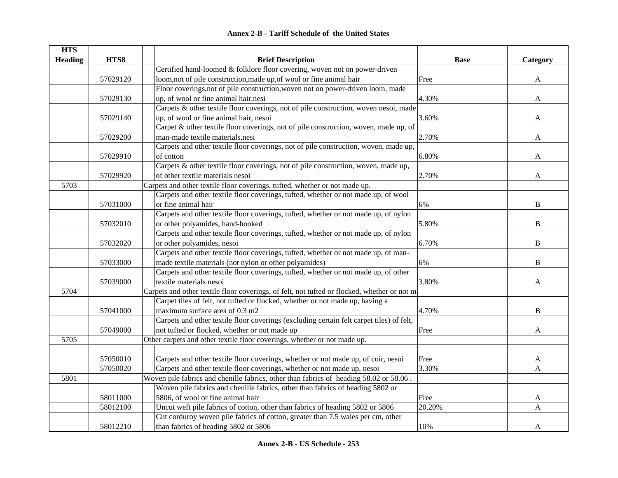| <b>Annex 2-B - Tariff Schedule of the United States</b> |
|---------------------------------------------------------|
|---------------------------------------------------------|

| <b>HTS</b>     |          |                                                                                              |             |              |
|----------------|----------|----------------------------------------------------------------------------------------------|-------------|--------------|
| <b>Heading</b> | HTS8     | <b>Brief Description</b>                                                                     | <b>Base</b> | Category     |
|                |          | Certified hand-loomed & folklore floor covering, woven not on power-driven                   |             |              |
|                | 57029120 | loom, not of pile construction, made up, of wool or fine animal hair                         | Free        | $\mathbf{A}$ |
|                |          | Floor coverings, not of pile construction, woven not on power-driven loom, made              |             |              |
|                | 57029130 | up, of wool or fine animal hair, nesi                                                        | 4.30%       | A            |
|                |          | Carpets & other textile floor coverings, not of pile construction, woven nesoi, made         |             |              |
|                | 57029140 | up, of wool or fine animal hair, nesoi                                                       | 3.60%       | A            |
|                |          | Carpet & other textile floor coverings, not of pile construction, woven, made up, of         |             |              |
|                | 57029200 | man-made textile materials, nesi                                                             | 2.70%       | A            |
|                |          | Carpets and other textile floor coverings, not of pile construction, woven, made up,         |             |              |
|                | 57029910 | of cotton                                                                                    | 6.80%       | A            |
|                |          | Carpets & other textile floor coverings, not of pile construction, woven, made up,           |             |              |
|                | 57029920 | of other textile materials nesoi                                                             | 2.70%       | A            |
| 5703           |          | Carpets and other textile floor coverings, tufted, whether or not made up.                   |             |              |
|                |          | Carpets and other textile floor coverings, tufted, whether or not made up, of wool           |             |              |
|                | 57031000 | or fine animal hair                                                                          | 6%          | $\, {\bf B}$ |
|                |          | Carpets and other textile floor coverings, tufted, whether or not made up, of nylon          |             |              |
|                | 57032010 | or other polyamides, hand-hooked                                                             | 5.80%       | $\, {\bf B}$ |
|                |          | Carpets and other textile floor coverings, tufted, whether or not made up, of nylon          |             |              |
|                | 57032020 | or other polyamides, nesoi                                                                   | 6.70%       | B            |
|                |          | Carpets and other textile floor coverings, tufted, whether or not made up, of man-           |             |              |
|                | 57033000 | made textile materials (not nylon or other polyamides)                                       | 6%          | $\, {\bf B}$ |
|                |          | Carpets and other textile floor coverings, tufted, whether or not made up, of other          |             |              |
|                | 57039000 | textile materials nesoi                                                                      | 3.80%       | A            |
| 5704           |          | Carpets and other textile floor coverings, of felt, not tufted or flocked, whether or not ma |             |              |
|                |          | Carpet tiles of felt, not tufted or flocked, whether or not made up, having a                |             |              |
|                | 57041000 | maximum surface area of 0.3 m2                                                               | 4.70%       | B            |
|                |          | Carpets and other textile floor coverings (excluding certain felt carpet tiles) of felt,     |             |              |
|                | 57049000 | not tufted or flocked, whether or not made up                                                | Free        | A            |
| 5705           |          | Other carpets and other textile floor coverings, whether or not made up.                     |             |              |
|                |          |                                                                                              |             |              |
|                | 57050010 | Carpets and other textile floor coverings, whether or not made up, of coir, nesoi            | Free        | A            |
|                | 57050020 | Carpets and other textile floor coverings, whether or not made up, nesoi                     | 3.30%       | $\mathbf{A}$ |
| 5801           |          | Woven pile fabrics and chenille fabrics, other than fabrics of heading 58.02 or 58.06.       |             |              |
|                |          | Woven pile fabrics and chenille fabrics, other than fabrics of heading 5802 or               |             |              |
|                | 58011000 | 5806, of wool or fine animal hair                                                            | Free        | A            |
|                | 58012100 | Uncut weft pile fabrics of cotton, other than fabrics of heading 5802 or 5806                | 20.20%      | A            |
|                |          | Cut corduroy woven pile fabrics of cotton, greater than 7.5 wales per cm, other              |             |              |
|                | 58012210 | than fabrics of heading 5802 or 5806                                                         | 10%         | A            |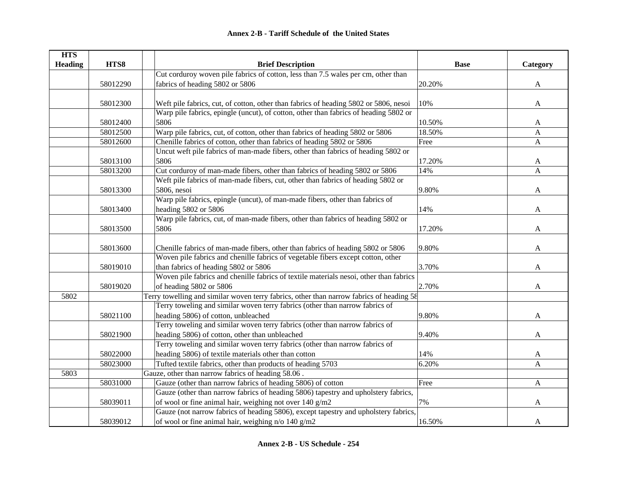| <b>HTS</b>     |          |                                                                                          |             |              |
|----------------|----------|------------------------------------------------------------------------------------------|-------------|--------------|
| <b>Heading</b> | HTS8     | <b>Brief Description</b>                                                                 | <b>Base</b> | Category     |
|                |          | Cut corduroy woven pile fabrics of cotton, less than 7.5 wales per cm, other than        |             |              |
|                | 58012290 | fabrics of heading 5802 or 5806                                                          | 20.20%      | $\mathbf{A}$ |
|                |          |                                                                                          |             |              |
|                | 58012300 | Weft pile fabrics, cut, of cotton, other than fabrics of heading 5802 or 5806, nesoi     | 10%         | $\mathbf{A}$ |
|                |          | Warp pile fabrics, epingle (uncut), of cotton, other than fabrics of heading 5802 or     |             |              |
|                | 58012400 | 5806                                                                                     | 10.50%      | A            |
|                | 58012500 | Warp pile fabrics, cut, of cotton, other than fabrics of heading 5802 or 5806            | 18.50%      | A            |
|                | 58012600 | Chenille fabrics of cotton, other than fabrics of heading 5802 or 5806                   | Free        | $\mathbf{A}$ |
|                |          | Uncut weft pile fabrics of man-made fibers, other than fabrics of heading 5802 or        |             |              |
|                | 58013100 | 5806                                                                                     | 17.20%      | A            |
|                | 58013200 | Cut corduroy of man-made fibers, other than fabrics of heading 5802 or 5806              | 14%         | A            |
|                |          | Weft pile fabrics of man-made fibers, cut, other than fabrics of heading 5802 or         |             |              |
|                | 58013300 | 5806, nesoi                                                                              | 9.80%       | A            |
|                |          | Warp pile fabrics, epingle (uncut), of man-made fibers, other than fabrics of            |             |              |
|                | 58013400 | heading 5802 or 5806                                                                     | 14%         | A            |
|                |          | Warp pile fabrics, cut, of man-made fibers, other than fabrics of heading 5802 or        |             |              |
|                | 58013500 | 5806                                                                                     | 17.20%      | A            |
|                |          |                                                                                          |             |              |
|                | 58013600 | Chenille fabrics of man-made fibers, other than fabrics of heading 5802 or 5806          | 9.80%       | A            |
|                |          | Woven pile fabrics and chenille fabrics of vegetable fibers except cotton, other         |             |              |
|                | 58019010 | than fabrics of heading 5802 or 5806                                                     | 3.70%       | A            |
|                |          | Woven pile fabrics and chenille fabrics of textile materials nesoi, other than fabrics   |             |              |
|                | 58019020 | of heading 5802 or 5806                                                                  | 2.70%       | A            |
| 5802           |          | Terry towelling and similar woven terry fabrics, other than narrow fabrics of heading 58 |             |              |
|                |          | Terry toweling and similar woven terry fabrics (other than narrow fabrics of             |             |              |
|                | 58021100 | heading 5806) of cotton, unbleached                                                      | 9.80%       | A            |
|                |          | Terry toweling and similar woven terry fabrics (other than narrow fabrics of             |             |              |
|                | 58021900 | heading 5806) of cotton, other than unbleached                                           | 9.40%       | A            |
|                |          | Terry toweling and similar woven terry fabrics (other than narrow fabrics of             |             |              |
|                | 58022000 | heading 5806) of textile materials other than cotton                                     | 14%         | A            |
|                | 58023000 | Tufted textile fabrics, other than products of heading 5703                              | 6.20%       | A            |
| 5803           |          | Gauze, other than narrow fabrics of heading 58.06.                                       |             |              |
|                | 58031000 | Gauze (other than narrow fabrics of heading 5806) of cotton                              | Free        | $\mathbf{A}$ |
|                |          | Gauze (other than narrow fabrics of heading 5806) tapestry and upholstery fabrics,       |             |              |
|                | 58039011 | of wool or fine animal hair, weighing not over 140 g/m2                                  | 7%          | A            |
|                |          | Gauze (not narrow fabrics of heading 5806), except tapestry and upholstery fabrics,      |             |              |
|                | 58039012 | of wool or fine animal hair, weighing $n/\sigma$ 140 g/m2                                | 16.50%      | A            |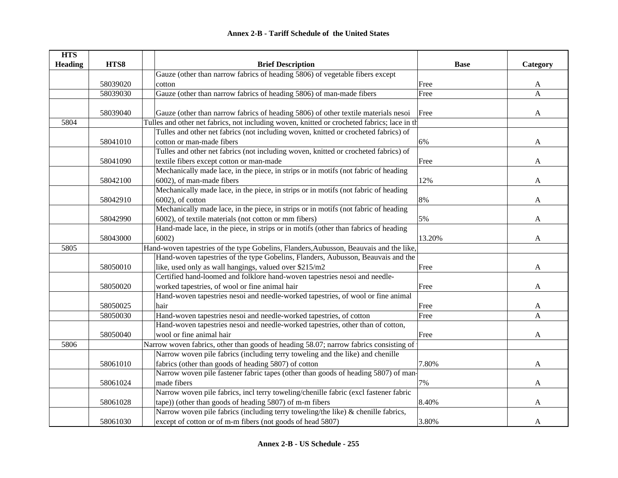| <b>HTS</b>     |          |                                                                                             |             |          |
|----------------|----------|---------------------------------------------------------------------------------------------|-------------|----------|
| <b>Heading</b> | HTS8     | <b>Brief Description</b>                                                                    | <b>Base</b> | Category |
|                |          | Gauze (other than narrow fabrics of heading 5806) of vegetable fibers except                |             |          |
|                | 58039020 | cotton                                                                                      | Free        | A        |
|                | 58039030 | Gauze (other than narrow fabrics of heading 5806) of man-made fibers                        | Free        | A        |
|                |          |                                                                                             |             |          |
|                | 58039040 | Gauze (other than narrow fabrics of heading 5806) of other textile materials nesoi          | Free        | A        |
| 5804           |          | Tulles and other net fabrics, not including woven, knitted or crocheted fabrics; lace in th |             |          |
|                |          | Tulles and other net fabrics (not including woven, knitted or crocheted fabrics) of         |             |          |
|                | 58041010 | cotton or man-made fibers                                                                   | 6%          | A        |
|                |          | Tulles and other net fabrics (not including woven, knitted or crocheted fabrics) of         |             |          |
|                | 58041090 | textile fibers except cotton or man-made                                                    | Free        | A        |
|                |          | Mechanically made lace, in the piece, in strips or in motifs (not fabric of heading         |             |          |
|                | 58042100 | 6002), of man-made fibers                                                                   | 12%         | A        |
|                |          | Mechanically made lace, in the piece, in strips or in motifs (not fabric of heading         |             |          |
|                | 58042910 | $6002$ ), of cotton                                                                         | 8%          | A        |
|                |          | Mechanically made lace, in the piece, in strips or in motifs (not fabric of heading         |             |          |
|                | 58042990 | 6002), of textile materials (not cotton or mm fibers)                                       | 5%          | A        |
|                |          | Hand-made lace, in the piece, in strips or in motifs (other than fabrics of heading         |             |          |
|                | 58043000 | 6002)                                                                                       | 13.20%      | A        |
| 5805           |          | Hand-woven tapestries of the type Gobelins, Flanders, Aubusson, Beauvais and the like,      |             |          |
|                |          | Hand-woven tapestries of the type Gobelins, Flanders, Aubusson, Beauvais and the            |             |          |
|                | 58050010 | like, used only as wall hangings, valued over \$215/m2                                      | Free        | A        |
|                |          | Certified hand-loomed and folklore hand-woven tapestries nesoi and needle-                  |             |          |
|                | 58050020 | worked tapestries, of wool or fine animal hair                                              | Free        | A        |
|                |          | Hand-woven tapestries nesoi and needle-worked tapestries, of wool or fine animal            |             |          |
|                | 58050025 | hair                                                                                        | Free        | A        |
|                | 58050030 | Hand-woven tapestries nesoi and needle-worked tapestries, of cotton                         | Free        | A        |
|                |          | Hand-woven tapestries nesoi and needle-worked tapestries, other than of cotton,             |             |          |
|                | 58050040 | wool or fine animal hair                                                                    | Free        | A        |
| 5806           |          | Narrow woven fabrics, other than goods of heading 58.07; narrow fabrics consisting of       |             |          |
|                |          | Narrow woven pile fabrics (including terry toweling and the like) and chenille              |             |          |
|                | 58061010 | fabrics (other than goods of heading 5807) of cotton                                        | 7.80%       | A        |
|                |          | Narrow woven pile fastener fabric tapes (other than goods of heading 5807) of man-          |             |          |
|                | 58061024 | made fibers                                                                                 | 7%          | A        |
|                |          | Narrow woven pile fabrics, incl terry toweling/chenille fabric (excl fastener fabric        |             |          |
|                | 58061028 | tape)) (other than goods of heading 5807) of m-m fibers                                     | 8.40%       | A        |
|                |          | Narrow woven pile fabrics (including terry toweling/the like) & chenille fabrics,           |             |          |
|                | 58061030 | except of cotton or of m-m fibers (not goods of head 5807)                                  | 3.80%       | A        |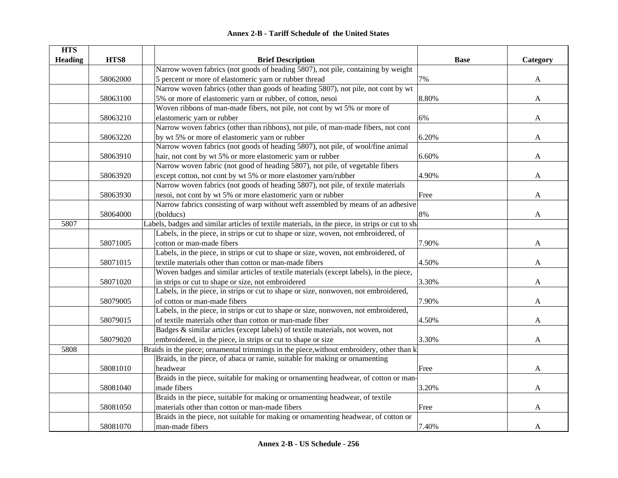| <b>HTS</b>     |          |                                                                                                 |             |              |
|----------------|----------|-------------------------------------------------------------------------------------------------|-------------|--------------|
| <b>Heading</b> | HTS8     | <b>Brief Description</b>                                                                        | <b>Base</b> | Category     |
|                |          | Narrow woven fabrics (not goods of heading 5807), not pile, containing by weight                |             |              |
|                | 58062000 | 5 percent or more of elastomeric yarn or rubber thread                                          | 7%          | A            |
|                |          | Narrow woven fabrics (other than goods of heading 5807), not pile, not cont by wt               |             |              |
|                | 58063100 | 5% or more of elastomeric yarn or rubber, of cotton, nesoi                                      | 8.80%       | A            |
|                |          | Woven ribbons of man-made fibers, not pile, not cont by wt 5% or more of                        |             |              |
|                | 58063210 | elastomeric yarn or rubber                                                                      | 6%          | A            |
|                |          | Narrow woven fabrics (other than ribbons), not pile, of man-made fibers, not cont               |             |              |
|                | 58063220 | by wt 5% or more of elastomeric yarn or rubber                                                  | 6.20%       | A            |
|                |          | Narrow woven fabrics (not goods of heading 5807), not pile, of wool/fine animal                 |             |              |
|                | 58063910 | hair, not cont by wt 5% or more elastomeric yarn or rubber                                      | 6.60%       | A            |
|                |          | Narrow woven fabric (not good of heading 5807), not pile, of vegetable fibers                   |             |              |
|                | 58063920 | except cotton, not cont by wt 5% or more elastomer yarn/rubber                                  | 4.90%       | A            |
|                |          | Narrow woven fabrics (not goods of heading 5807), not pile, of textile materials                |             |              |
|                | 58063930 | nesoi, not cont by wt 5% or more elastomeric yarn or rubber                                     | Free        | A            |
|                |          | Narrow fabrics consisting of warp without weft assembled by means of an adhesive                |             |              |
|                | 58064000 | (bolducs)                                                                                       | 8%          | A            |
| 5807           |          | Labels, badges and similar articles of textile materials, in the piece, in strips or cut to sha |             |              |
|                |          | Labels, in the piece, in strips or cut to shape or size, woven, not embroidered, of             |             |              |
|                | 58071005 | cotton or man-made fibers                                                                       | 7.90%       | A            |
|                |          | Labels, in the piece, in strips or cut to shape or size, woven, not embroidered, of             |             |              |
|                | 58071015 | textile materials other than cotton or man-made fibers                                          | 4.50%       | $\mathbf{A}$ |
|                |          | Woven badges and similar articles of textile materials (except labels), in the piece,           |             |              |
|                | 58071020 | in strips or cut to shape or size, not embroidered                                              | 3.30%       | A            |
|                |          | Labels, in the piece, in strips or cut to shape or size, nonwoven, not embroidered,             |             |              |
|                | 58079005 | of cotton or man-made fibers                                                                    | 7.90%       | A            |
|                |          | Labels, in the piece, in strips or cut to shape or size, nonwoven, not embroidered,             |             |              |
|                | 58079015 | of textile materials other than cotton or man-made fiber                                        | 4.50%       | A            |
|                |          | Badges & similar articles (except labels) of textile materials, not woven, not                  |             |              |
|                | 58079020 | embroidered, in the piece, in strips or cut to shape or size                                    | 3.30%       | A            |
| 5808           |          | Braids in the piece; ornamental trimmings in the piece, without embroidery, other than k        |             |              |
|                |          | Braids, in the piece, of abaca or ramie, suitable for making or ornamenting                     |             |              |
|                | 58081010 | headwear                                                                                        | Free        | A            |
|                |          | Braids in the piece, suitable for making or ornamenting headwear, of cotton or man-             |             |              |
|                | 58081040 | made fibers                                                                                     | 3.20%       | A            |
|                |          | Braids in the piece, suitable for making or ornamenting headwear, of textile                    |             |              |
|                | 58081050 | materials other than cotton or man-made fibers                                                  | Free        | A            |
|                |          | Braids in the piece, not suitable for making or ornamenting headwear, of cotton or              |             |              |
|                | 58081070 | man-made fibers                                                                                 | 7.40%       | A            |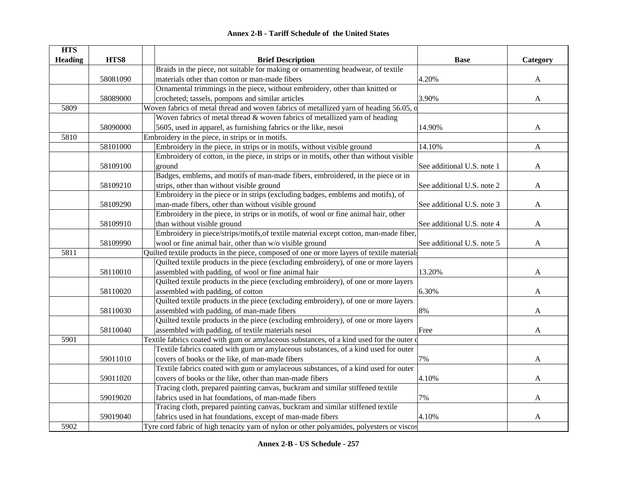| <b>HTS</b>     |          |                                                                                            |                            |              |
|----------------|----------|--------------------------------------------------------------------------------------------|----------------------------|--------------|
| <b>Heading</b> | HTS8     | <b>Brief Description</b>                                                                   | <b>Base</b>                | Category     |
|                |          | Braids in the piece, not suitable for making or ornamenting headwear, of textile           |                            |              |
|                | 58081090 | materials other than cotton or man-made fibers                                             | 4.20%                      | A            |
|                |          | Ornamental trimmings in the piece, without embroidery, other than knitted or               |                            |              |
|                | 58089000 | crocheted; tassels, pompons and similar articles                                           | 3.90%                      | A            |
| 5809           |          | Woven fabrics of metal thread and woven fabrics of metallized yarn of heading 56.05, o     |                            |              |
|                |          | Woven fabrics of metal thread $&$ woven fabrics of metallized yarn of heading              |                            |              |
|                | 58090000 | 5605, used in apparel, as furnishing fabrics or the like, nesoi                            | 14.90%                     | A            |
| 5810           |          | Embroidery in the piece, in strips or in motifs.                                           |                            |              |
|                | 58101000 | Embroidery in the piece, in strips or in motifs, without visible ground                    | 14.10%                     | A            |
|                |          | Embroidery of cotton, in the piece, in strips or in motifs, other than without visible     |                            |              |
|                | 58109100 | ground                                                                                     | See additional U.S. note 1 | A            |
|                |          | Badges, emblems, and motifs of man-made fibers, embroidered, in the piece or in            |                            |              |
|                | 58109210 | strips, other than without visible ground                                                  | See additional U.S. note 2 | A            |
|                |          | Embroidery in the piece or in strips (excluding badges, emblems and motifs), of            |                            |              |
|                | 58109290 | man-made fibers, other than without visible ground                                         | See additional U.S. note 3 | A            |
|                |          | Embroidery in the piece, in strips or in motifs, of wool or fine animal hair, other        |                            |              |
|                | 58109910 | than without visible ground                                                                | See additional U.S. note 4 | A            |
|                |          | Embroidery in piece/strips/motifs, of textile material except cotton, man-made fiber,      |                            |              |
|                | 58109990 | wool or fine animal hair, other than w/o visible ground                                    | See additional U.S. note 5 | $\mathbf{A}$ |
| 5811           |          | Quilted textile products in the piece, composed of one or more layers of textile materials |                            |              |
|                |          | Quilted textile products in the piece (excluding embroidery), of one or more layers        |                            |              |
|                | 58110010 | assembled with padding, of wool or fine animal hair                                        | 13.20%                     | A            |
|                |          | Quilted textile products in the piece (excluding embroidery), of one or more layers        |                            |              |
|                | 58110020 | assembled with padding, of cotton                                                          | 6.30%                      | A            |
|                |          | Quilted textile products in the piece (excluding embroidery), of one or more layers        |                            |              |
|                | 58110030 | assembled with padding, of man-made fibers                                                 | $8\%$                      | A            |
|                |          | Quilted textile products in the piece (excluding embroidery), of one or more layers        |                            |              |
|                | 58110040 | assembled with padding, of textile materials nesoi                                         | Free                       | A            |
| 5901           |          | Textile fabrics coated with gum or amylaceous substances, of a kind used for the outer of  |                            |              |
|                |          | Textile fabrics coated with gum or amylaceous substances, of a kind used for outer         |                            |              |
|                | 59011010 | covers of books or the like, of man-made fibers                                            | 7%                         | A            |
|                |          | Textile fabrics coated with gum or amylaceous substances, of a kind used for outer         |                            |              |
|                | 59011020 | covers of books or the like, other than man-made fibers                                    | 4.10%                      | A            |
|                |          | Tracing cloth, prepared painting canvas, buckram and similar stiffened textile             |                            |              |
|                | 59019020 | fabrics used in hat foundations, of man-made fibers                                        | 7%                         | A            |
|                |          | Tracing cloth, prepared painting canvas, buckram and similar stiffened textile             |                            |              |
|                | 59019040 | fabrics used in hat foundations, except of man-made fibers                                 | 4.10%                      | A            |
| 5902           |          | Tyre cord fabric of high tenacity yarn of nylon or other polyamides, polyesters or viscos  |                            |              |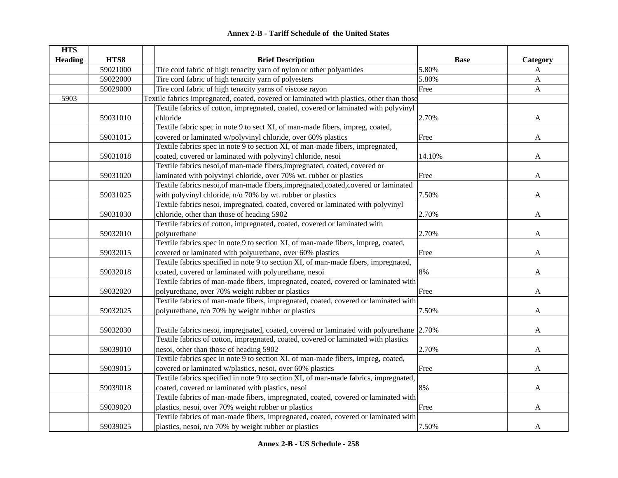| <b>HTS</b>     |          |                                                                                           |             |              |
|----------------|----------|-------------------------------------------------------------------------------------------|-------------|--------------|
| <b>Heading</b> | HTS8     | <b>Brief Description</b>                                                                  | <b>Base</b> | Category     |
|                | 59021000 | Tire cord fabric of high tenacity yarn of nylon or other polyamides                       | 5.80%       | A            |
|                | 59022000 | Tire cord fabric of high tenacity yarn of polyesters                                      | 5.80%       | A            |
|                | 59029000 | Tire cord fabric of high tenacity yarns of viscose rayon                                  | Free        | $\mathbf{A}$ |
| 5903           |          | Textile fabrics impregnated, coated, covered or laminated with plastics, other than those |             |              |
|                |          | Textile fabrics of cotton, impregnated, coated, covered or laminated with polyvinyl       |             |              |
|                | 59031010 | chloride                                                                                  | 2.70%       | A            |
|                |          | Textile fabric spec in note 9 to sect XI, of man-made fibers, impreg, coated,             |             |              |
|                | 59031015 | covered or laminated w/polyvinyl chloride, over 60% plastics                              | Free        | A            |
|                |          | Textile fabrics spec in note 9 to section XI, of man-made fibers, impregnated,            |             |              |
|                | 59031018 | coated, covered or laminated with polyvinyl chloride, nesoi                               | 14.10%      | A            |
|                |          | Textile fabrics nesoi, of man-made fibers, impregnated, coated, covered or                |             |              |
|                | 59031020 | laminated with polyvinyl chloride, over 70% wt. rubber or plastics                        | Free        | A            |
|                |          | Textile fabrics nesoi, of man-made fibers, impregnated, coated, covered or laminated      |             |              |
|                | 59031025 | with polyvinyl chloride, n/o 70% by wt. rubber or plastics                                | 7.50%       | A            |
|                |          | Textile fabrics nesoi, impregnated, coated, covered or laminated with polyvinyl           |             |              |
|                | 59031030 | chloride, other than those of heading 5902                                                | 2.70%       | A            |
|                |          | Textile fabrics of cotton, impregnated, coated, covered or laminated with                 |             |              |
|                | 59032010 | polyurethane                                                                              | 2.70%       | A            |
|                |          | Textile fabrics spec in note 9 to section XI, of man-made fibers, impreg, coated,         |             |              |
|                | 59032015 | covered or laminated with polyurethane, over 60% plastics                                 | Free        | A            |
|                |          | Textile fabrics specified in note 9 to section XI, of man-made fibers, impregnated,       |             |              |
|                | 59032018 | coated, covered or laminated with polyurethane, nesoi                                     | 8%          | A            |
|                |          | Textile fabrics of man-made fibers, impregnated, coated, covered or laminated with        |             |              |
|                | 59032020 | polyurethane, over 70% weight rubber or plastics                                          | Free        | A            |
|                |          | Textile fabrics of man-made fibers, impregnated, coated, covered or laminated with        |             |              |
|                | 59032025 | polyurethane, n/o 70% by weight rubber or plastics                                        | 7.50%       | A            |
|                |          |                                                                                           |             |              |
|                | 59032030 | Textile fabrics nesoi, impregnated, coated, covered or laminated with polyurethane 2.70%  |             | A            |
|                |          | Textile fabrics of cotton, impregnated, coated, covered or laminated with plastics        |             |              |
|                | 59039010 | nesoi, other than those of heading 5902                                                   | 2.70%       | A            |
|                |          | Textile fabrics spec in note 9 to section XI, of man-made fibers, impreg, coated,         |             |              |
|                | 59039015 | covered or laminated w/plastics, nesoi, over 60% plastics                                 | Free        | A            |
|                |          | Textile fabrics specified in note 9 to section XI, of man-made fabrics, impregnated,      |             |              |
|                | 59039018 | coated, covered or laminated with plastics, nesoi                                         | 8%          | A            |
|                |          | Textile fabrics of man-made fibers, impregnated, coated, covered or laminated with        |             |              |
|                | 59039020 | plastics, nesoi, over 70% weight rubber or plastics                                       | Free        | A            |
|                |          | Textile fabrics of man-made fibers, impregnated, coated, covered or laminated with        |             |              |
|                | 59039025 | plastics, nesoi, n/o 70% by weight rubber or plastics                                     | 7.50%       | A            |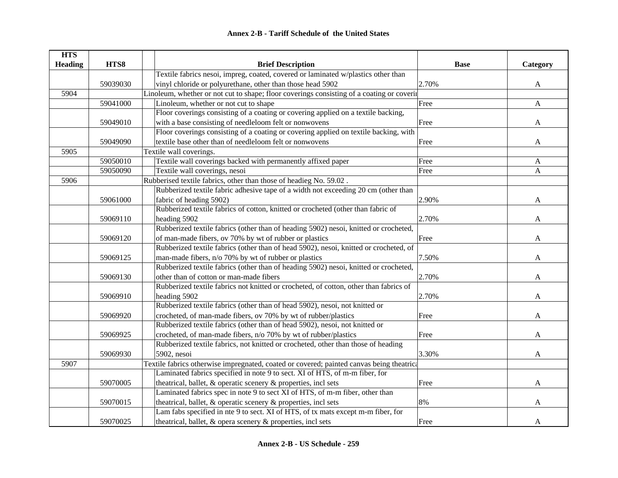| <b>HTS</b>     |          |                                                                                            |             |              |
|----------------|----------|--------------------------------------------------------------------------------------------|-------------|--------------|
| <b>Heading</b> | HTS8     | <b>Brief Description</b>                                                                   | <b>Base</b> | Category     |
|                |          | Textile fabrics nesoi, impreg, coated, covered or laminated w/plastics other than          |             |              |
|                | 59039030 | vinyl chloride or polyurethane, other than those head 5902                                 | 2.70%       | A            |
| 5904           |          | Linoleum, whether or not cut to shape; floor coverings consisting of a coating or covering |             |              |
|                | 59041000 | Linoleum, whether or not cut to shape                                                      | Free        | $\mathbf{A}$ |
|                |          | Floor coverings consisting of a coating or covering applied on a textile backing,          |             |              |
|                | 59049010 | with a base consisting of needleloom felt or nonwovens                                     | Free        | $\mathbf{A}$ |
|                |          | Floor coverings consisting of a coating or covering applied on textile backing, with       |             |              |
|                | 59049090 | textile base other than of needleloom felt or nonwovens                                    | Free        | A            |
| 5905           |          | Textile wall coverings.                                                                    |             |              |
|                | 59050010 | Textile wall coverings backed with permanently affixed paper                               | Free        | $\mathbf{A}$ |
|                | 59050090 | Textile wall coverings, nesoi                                                              | Free        | $\mathbf{A}$ |
| 5906           |          | Rubberised textile fabrics, other than those of headieg No. 59.02.                         |             |              |
|                |          | Rubberized textile fabric adhesive tape of a width not exceeding 20 cm (other than         |             |              |
|                | 59061000 | fabric of heading 5902)                                                                    | 2.90%       | A            |
|                |          | Rubberized textile fabrics of cotton, knitted or crocheted (other than fabric of           |             |              |
|                | 59069110 | heading 5902                                                                               | 2.70%       | A            |
|                |          | Rubberized textile fabrics (other than of heading 5902) nesoi, knitted or crocheted,       |             |              |
|                | 59069120 | of man-made fibers, ov 70% by wt of rubber or plastics                                     | Free        | A            |
|                |          | Rubberized textile fabrics (other than of head 5902), nesoi, knitted or crocheted, of      |             |              |
|                | 59069125 | man-made fibers, n/o 70% by wt of rubber or plastics                                       | 7.50%       | A            |
|                |          | Rubberized textile fabrics (other than of heading 5902) nesoi, knitted or crocheted,       |             |              |
|                | 59069130 | other than of cotton or man-made fibers                                                    | 2.70%       | A            |
|                |          | Rubberized textile fabrics not knitted or crocheted, of cotton, other than fabrics of      |             |              |
|                | 59069910 | heading 5902                                                                               | 2.70%       | A            |
|                |          | Rubberized textile fabrics (other than of head 5902), nesoi, not knitted or                |             |              |
|                | 59069920 | crocheted, of man-made fibers, ov 70% by wt of rubber/plastics                             | Free        | A            |
|                |          | Rubberized textile fabrics (other than of head 5902), nesoi, not knitted or                |             |              |
|                | 59069925 | crocheted, of man-made fibers, n/o 70% by wt of rubber/plastics                            | Free        | A            |
|                |          | Rubberized textile fabrics, not knitted or crocheted, other than those of heading          |             |              |
|                | 59069930 | 5902, nesoi                                                                                | 3.30%       | A            |
| 5907           |          | Textile fabrics otherwise impregnated, coated or covered; painted canvas being theatrica   |             |              |
|                |          | Laminated fabrics specified in note 9 to sect. XI of HTS, of m-m fiber, for                |             |              |
|                | 59070005 | theatrical, ballet, & operatic scenery & properties, incl sets                             | Free        | A            |
|                |          | Laminated fabrics spec in note 9 to sect XI of HTS, of m-m fiber, other than               |             |              |
|                | 59070015 | theatrical, ballet, & operatic scenery & properties, incl sets                             | 8%          | A            |
|                |          | Lam fabs specified in nte 9 to sect. XI of HTS, of tx mats except m-m fiber, for           |             |              |
|                | 59070025 | theatrical, ballet, & opera scenery & properties, incl sets                                | Free        | $\mathbf{A}$ |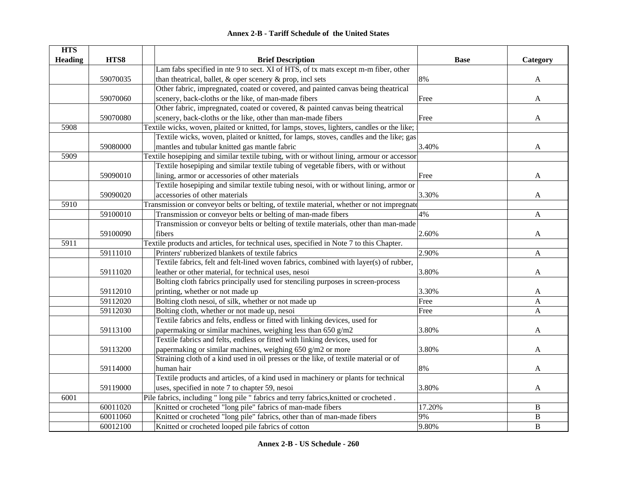| <b>HTS</b>     |          |                                                                                             |             |              |
|----------------|----------|---------------------------------------------------------------------------------------------|-------------|--------------|
| <b>Heading</b> | HTS8     | <b>Brief Description</b>                                                                    | <b>Base</b> | Category     |
|                |          | Lam fabs specified in nte 9 to sect. XI of HTS, of tx mats except m-m fiber, other          |             |              |
|                | 59070035 | than the<br>atrical, ballet, $\&$ oper scenery $\&$ prop, incl sets                         | 8%          | A            |
|                |          | Other fabric, impregnated, coated or covered, and painted canvas being theatrical           |             |              |
|                | 59070060 | scenery, back-cloths or the like, of man-made fibers                                        | Free        | A            |
|                |          | Other fabric, impregnated, coated or covered, & painted canvas being theatrical             |             |              |
|                | 59070080 | scenery, back-cloths or the like, other than man-made fibers                                | Free        | A            |
| 5908           |          | Textile wicks, woven, plaited or knitted, for lamps, stoves, lighters, candles or the like; |             |              |
|                |          | Textile wicks, woven, plaited or knitted, for lamps, stoves, candles and the like; gas      |             |              |
|                | 59080000 | mantles and tubular knitted gas mantle fabric                                               | 3.40%       | A            |
| 5909           |          | Textile hosepiping and similar textile tubing, with or without lining, armour or accessor   |             |              |
|                |          | Textile hosepiping and similar textile tubing of vegetable fibers, with or without          |             |              |
|                | 59090010 | lining, armor or accessories of other materials                                             | Free        | A            |
|                |          | Textile hosepiping and similar textile tubing nesoi, with or without lining, armor or       |             |              |
|                | 59090020 | accessories of other materials                                                              | 3.30%       | A            |
| 5910           |          | Transmission or conveyor belts or belting, of textile material, whether or not impregnate   |             |              |
|                | 59100010 | Transmission or conveyor belts or belting of man-made fibers                                | 4%          | A            |
|                |          | Transmission or conveyor belts or belting of textile materials, other than man-made         |             |              |
|                | 59100090 | fibers                                                                                      | 2.60%       | A            |
| 5911           |          | Textile products and articles, for technical uses, specified in Note 7 to this Chapter.     |             |              |
|                | 59111010 | Printers' rubberized blankets of textile fabrics                                            | 2.90%       | $\mathbf{A}$ |
|                |          | Textile fabrics, felt and felt-lined woven fabrics, combined with layer(s) of rubber,       |             |              |
|                | 59111020 | leather or other material, for technical uses, nesoi                                        | 3.80%       | A            |
|                |          | Bolting cloth fabrics principally used for stenciling purposes in screen-process            |             |              |
|                | 59112010 | printing, whether or not made up                                                            | 3.30%       | A            |
|                | 59112020 | Bolting cloth nesoi, of silk, whether or not made up                                        | Free        | A            |
|                | 59112030 | Bolting cloth, whether or not made up, nesoi                                                | Free        | A            |
|                |          | Textile fabrics and felts, endless or fitted with linking devices, used for                 |             |              |
|                | 59113100 | papermaking or similar machines, weighing less than 650 g/m2                                | 3.80%       | A            |
|                |          | Textile fabrics and felts, endless or fitted with linking devices, used for                 |             |              |
|                | 59113200 | papermaking or similar machines, weighing 650 g/m2 or more                                  | 3.80%       | A            |
|                |          | Straining cloth of a kind used in oil presses or the like, of textile material or of        |             |              |
|                | 59114000 | human hair                                                                                  | $8\%$       | A            |
|                |          | Textile products and articles, of a kind used in machinery or plants for technical          |             |              |
|                | 59119000 | uses, specified in note 7 to chapter 59, nesoi                                              | 3.80%       | A            |
| 6001           |          | Pile fabrics, including " long pile " fabrics and terry fabrics, knitted or crocheted.      |             |              |
|                | 60011020 | Knitted or crocheted "long pile" fabrics of man-made fibers                                 | 17.20%      | B            |
|                | 60011060 | Knitted or crocheted "long pile" fabrics, other than of man-made fibers                     | 9%          | $\, {\bf B}$ |
|                | 60012100 | Knitted or crocheted looped pile fabrics of cotton                                          | 9.80%       | $\, {\bf B}$ |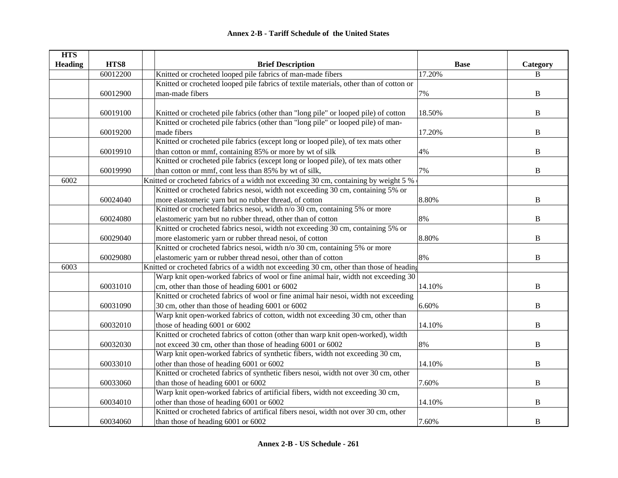| <b>HTS</b>     |          |                                                                                          |             |                |
|----------------|----------|------------------------------------------------------------------------------------------|-------------|----------------|
| <b>Heading</b> | HTS8     | <b>Brief Description</b>                                                                 | <b>Base</b> | Category       |
|                | 60012200 | Knitted or crocheted looped pile fabrics of man-made fibers                              | 17.20%      | B              |
|                |          | Knitted or crocheted looped pile fabrics of textile materials, other than of cotton or   |             |                |
|                | 60012900 | man-made fibers                                                                          | 7%          | $\, {\bf B}$   |
|                |          |                                                                                          |             |                |
|                | 60019100 | Knitted or crocheted pile fabrics (other than "long pile" or looped pile) of cotton      | 18.50%      | $\, {\bf B}$   |
|                |          | Knitted or crocheted pile fabrics (other than "long pile" or looped pile) of man-        |             |                |
|                | 60019200 | made fibers                                                                              | 17.20%      | $\, {\bf B}$   |
|                |          | Knitted or crocheted pile fabrics (except long or looped pile), of tex mats other        |             |                |
|                | 60019910 | than cotton or mmf, containing 85% or more by wt of silk                                 | 4%          | $\, {\bf B}$   |
|                |          | Knitted or crocheted pile fabrics (except long or looped pile), of tex mats other        |             |                |
|                | 60019990 | than cotton or mmf, cont less than 85% by wt of silk,                                    | 7%          | $\, {\bf B}$   |
| 6002           |          | Knitted or crocheted fabrics of a width not exceeding 30 cm, containing by weight 5 %    |             |                |
|                |          | Knitted or crocheted fabrics nesoi, width not exceeding 30 cm, containing 5% or          |             |                |
|                | 60024040 | more elastomeric yarn but no rubber thread, of cotton                                    | 8.80%       | B              |
|                |          | Knitted or crocheted fabrics nesoi, width n/o 30 cm, containing 5% or more               |             |                |
|                | 60024080 | elastomeric yarn but no rubber thread, other than of cotton                              | 8%          | B              |
|                |          | Knitted or crocheted fabrics nesoi, width not exceeding 30 cm, containing 5% or          |             |                |
|                | 60029040 | more elastomeric yarn or rubber thread nesoi, of cotton                                  | 8.80%       | B              |
|                |          | Knitted or crocheted fabrics nesoi, width n/o 30 cm, containing 5% or more               |             |                |
|                | 60029080 | elastomeric yarn or rubber thread nesoi, other than of cotton                            | 8%          | B              |
| 6003           |          | Knitted or crocheted fabrics of a width not exceeding 30 cm, other than those of heading |             |                |
|                |          | Warp knit open-worked fabrics of wool or fine animal hair, width not exceeding 30        |             |                |
|                | 60031010 | cm, other than those of heading 6001 or 6002                                             | 14.10%      | $\, {\bf B}$   |
|                |          | Knitted or crocheted fabrics of wool or fine animal hair nesoi, width not exceeding      |             |                |
|                | 60031090 | 30 cm, other than those of heading 6001 or 6002                                          | 6.60%       | $\, {\bf B}$   |
|                |          | Warp knit open-worked fabrics of cotton, width not exceeding 30 cm, other than           |             |                |
|                | 60032010 | those of heading 6001 or 6002                                                            | 14.10%      | $\overline{B}$ |
|                |          | Knitted or crocheted fabrics of cotton (other than warp knit open-worked), width         |             |                |
|                | 60032030 | not exceed 30 cm, other than those of heading 6001 or 6002                               | 8%          | B              |
|                |          | Warp knit open-worked fabrics of synthetic fibers, width not exceeding 30 cm,            |             |                |
|                | 60033010 | other than those of heading 6001 or 6002                                                 | 14.10%      | $\, {\bf B}$   |
|                |          | Knitted or crocheted fabrics of synthetic fibers nesoi, width not over 30 cm, other      |             |                |
|                | 60033060 | than those of heading 6001 or 6002                                                       | 7.60%       | $\, {\bf B}$   |
|                |          | Warp knit open-worked fabrics of artificial fibers, width not exceeding 30 cm,           |             |                |
|                | 60034010 | other than those of heading 6001 or 6002                                                 | 14.10%      | $\, {\bf B}$   |
|                |          | Knitted or crocheted fabrics of artifical fibers nesoi, width not over 30 cm, other      |             |                |
|                | 60034060 | than those of heading 6001 or 6002                                                       | 7.60%       | B              |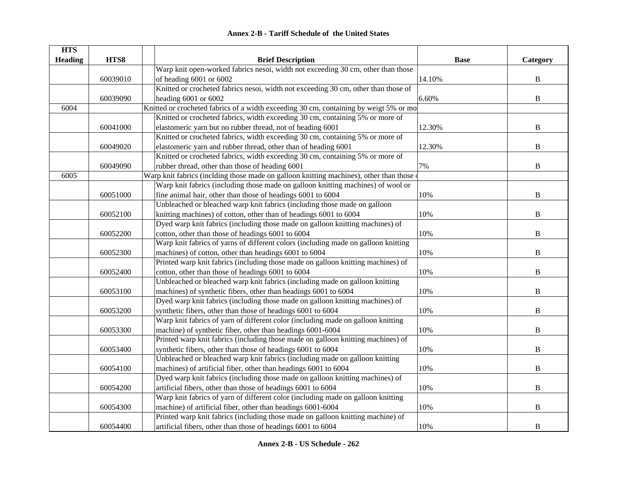| <b>HTS</b>     |          |                                                                                           |             |              |
|----------------|----------|-------------------------------------------------------------------------------------------|-------------|--------------|
| <b>Heading</b> | HTS8     | <b>Brief Description</b>                                                                  | <b>Base</b> | Category     |
|                |          | Warp knit open-worked fabrics nesoi, width not exceeding 30 cm, other than those          |             |              |
|                | 60039010 | of heading 6001 or 6002                                                                   | 14.10%      | $\, {\bf B}$ |
|                |          | Knitted or crocheted fabrics nesoi, width not exceeding 30 cm, other than those of        |             |              |
|                | 60039090 | heading 6001 or 6002                                                                      | 6.60%       | $\, {\bf B}$ |
| 6004           |          | Knitted or crocheted fabrics of a width exceeding 30 cm, containing by weigt 5% or mo     |             |              |
|                |          | Knitted or crocheted fabrics, width exceeding 30 cm, containing 5% or more of             |             |              |
|                | 60041000 | elastomeric yarn but no rubber thread, not of heading 6001                                | 12.30%      | $\, {\bf B}$ |
|                |          | Knitted or crocheted fabrics, width exceeding 30 cm, containing 5% or more of             |             |              |
|                | 60049020 | elastomeric yarn and rubber thread, other than of heading 6001                            | 12.30%      | B            |
|                |          | Knitted or crocheted fabrics, width exceeding 30 cm, containing 5% or more of             |             |              |
|                | 60049090 | rubber thread, other than those of heading 6001                                           | 7%          | $\, {\bf B}$ |
| 6005           |          | Warp knit fabrics (inclding those made on galloon knitting machines), other than those of |             |              |
|                |          | Warp knit fabrics (including those made on galloon knitting machines) of wool or          |             |              |
|                | 60051000 | fine animal hair, other than those of headings 6001 to 6004                               | 10%         | $\, {\bf B}$ |
|                |          | Unbleached or bleached warp knit fabrics (including those made on galloon                 |             |              |
|                | 60052100 | knitting machines) of cotton, other than of headings 6001 to 6004                         | 10%         | $\, {\bf B}$ |
|                |          | Dyed warp knit fabrics (including those made on galloon knitting machines) of             |             |              |
|                | 60052200 | cotton, other than those of headings 6001 to 6004                                         | 10%         | $\, {\bf B}$ |
|                |          | Warp knit fabrics of yarns of different colors (including made on galloon knitting        |             |              |
|                | 60052300 | machines) of cotton, other than headings 6001 to 6004                                     | 10%         | $\, {\bf B}$ |
|                |          | Printed warp knit fabrics (including those made on galloon knitting machines) of          |             |              |
|                | 60052400 | cotton, other than those of headings 6001 to 6004                                         | 10%         | $\, {\bf B}$ |
|                |          | Unbleached or bleached warp knit fabrics (including made on galloon knitting              |             |              |
|                | 60053100 | machines) of synthetic fibers, other than headings 6001 to 6004                           | 10%         | $\, {\bf B}$ |
|                |          | Dyed warp knit fabrics (including those made on galloon knitting machines) of             |             |              |
|                | 60053200 | synthetic fibers, other than those of headings 6001 to 6004                               | 10%         | B            |
|                |          | Warp knit fabrics of yarn of different color (including made on galloon knitting          |             |              |
|                | 60053300 | machine) of synthetic fiber, other than headings 6001-6004                                | 10%         | B            |
|                |          | Printed warp knit fabrics (including those made on galloon knitting machines) of          |             |              |
|                | 60053400 | synthetic fibers, other than those of headings 6001 to 6004                               | 10%         | $\, {\bf B}$ |
|                |          | Unbleached or bleached warp knit fabrics (including made on galloon knitting              |             |              |
|                | 60054100 | machines) of artificial fiber, other than headings 6001 to 6004                           | 10%         | $\, {\bf B}$ |
|                |          | Dyed warp knit fabrics (including those made on galloon knitting machines) of             |             |              |
|                | 60054200 | artificial fibers, other than those of headings 6001 to 6004                              | 10%         | $\bf{B}$     |
|                |          | Warp knit fabrics of yarn of different color (including made on galloon knitting          |             |              |
|                | 60054300 | machine) of artificial fiber, other than headings 6001-6004                               | 10%         | $\, {\bf B}$ |
|                |          | Printed warp knit fabrics (including those made on galloon knitting machine) of           |             |              |
|                | 60054400 | artificial fibers, other than those of headings 6001 to 6004                              | 10%         | $\, {\bf B}$ |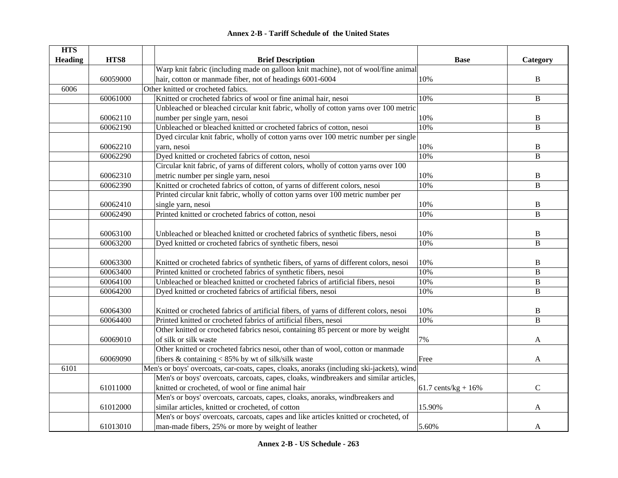| <b>Annex 2-B - Tariff Schedule of the United States</b> |  |
|---------------------------------------------------------|--|
|---------------------------------------------------------|--|

| <b>HTS</b>     |          |                                                                                           |                                |                |
|----------------|----------|-------------------------------------------------------------------------------------------|--------------------------------|----------------|
| <b>Heading</b> | HTS8     | <b>Brief Description</b>                                                                  | <b>Base</b>                    | Category       |
|                |          | Warp knit fabric (including made on galloon knit machine), not of wool/fine animal        |                                |                |
|                | 60059000 | hair, cotton or manmade fiber, not of headings 6001-6004                                  | 10%                            | B              |
| 6006           |          | Other knitted or crocheted fabics.                                                        |                                |                |
|                | 60061000 | Knitted or crocheted fabrics of wool or fine animal hair, nesoi                           | 10%                            | B              |
|                |          | Unbleached or bleached circular knit fabric, wholly of cotton yarns over 100 metric       |                                |                |
|                | 60062110 | number per single yarn, nesoi                                                             | 10%                            | B              |
|                | 60062190 | Unbleached or bleached knitted or crocheted fabrics of cotton, nesoi                      | 10%                            | B              |
|                |          | Dyed circular knit fabric, wholly of cotton yarns over 100 metric number per single       |                                |                |
|                | 60062210 | yarn, nesoi                                                                               | 10%                            | B              |
|                | 60062290 | Dyed knitted or crocheted fabrics of cotton, nesoi                                        | 10%                            | B              |
|                |          | Circular knit fabric, of yarns of different colors, wholly of cotton yarns over 100       |                                |                |
|                | 60062310 | metric number per single yarn, nesoi                                                      | 10%                            | B              |
|                | 60062390 | Knitted or crocheted fabrics of cotton, of yarns of different colors, nesoi               | 10%                            | $\overline{B}$ |
|                |          | Printed circular knit fabric, wholly of cotton yarns over 100 metric number per           |                                |                |
|                | 60062410 | single yarn, nesoi                                                                        | 10%                            | $\, {\bf B}$   |
|                | 60062490 | Printed knitted or crocheted fabrics of cotton, nesoi                                     | 10%                            | B              |
|                |          |                                                                                           |                                |                |
|                | 60063100 | Unbleached or bleached knitted or crocheted fabrics of synthetic fibers, nesoi            | 10%                            | $\, {\bf B}$   |
|                | 60063200 | Dyed knitted or crocheted fabrics of synthetic fibers, nesoi                              | 10%                            | $\, {\bf B}$   |
|                |          |                                                                                           |                                |                |
|                | 60063300 | Knitted or crocheted fabrics of synthetic fibers, of yarns of different colors, nesoi     | 10%                            | B              |
|                | 60063400 | Printed knitted or crocheted fabrics of synthetic fibers, nesoi                           | 10%                            | $\, {\bf B}$   |
|                | 60064100 | Unbleached or bleached knitted or crocheted fabrics of artificial fibers, nesoi           | 10%                            | $\, {\bf B}$   |
|                | 60064200 | Dyed knitted or crocheted fabrics of artificial fibers, nesoi                             | 10%                            | $\, {\bf B}$   |
|                |          |                                                                                           |                                |                |
|                | 60064300 | Knitted or crocheted fabrics of artificial fibers, of yarns of different colors, nesoi    | 10%                            | B              |
|                | 60064400 | Printed knitted or crocheted fabrics of artificial fibers, nesoi                          | 10%                            | B              |
|                |          | Other knitted or crocheted fabrics nesoi, containing 85 percent or more by weight         |                                |                |
|                | 60069010 | of silk or silk waste                                                                     | 7%                             | A              |
|                |          | Other knitted or crocheted fabrics nesoi, other than of wool, cotton or manmade           |                                |                |
|                | 60069090 | fibers & containing < 85% by wt of silk/silk waste                                        | Free                           | A              |
| 6101           |          | Men's or boys' overcoats, car-coats, capes, cloaks, anoraks (including ski-jackets), wind |                                |                |
|                |          | Men's or boys' overcoats, carcoats, capes, cloaks, windbreakers and similar articles,     |                                |                |
|                | 61011000 | knitted or crocheted, of wool or fine animal hair                                         | $61.7 \text{ cents/kg} + 16\%$ | $\mathbf C$    |
|                |          | Men's or boys' overcoats, carcoats, capes, cloaks, anoraks, windbreakers and              |                                |                |
|                | 61012000 | similar articles, knitted or crocheted, of cotton                                         | 15.90%                         | A              |
|                |          | Men's or boys' overcoats, carcoats, capes and like articles knitted or crocheted, of      |                                |                |
|                | 61013010 | man-made fibers, 25% or more by weight of leather                                         | 5.60%                          | A              |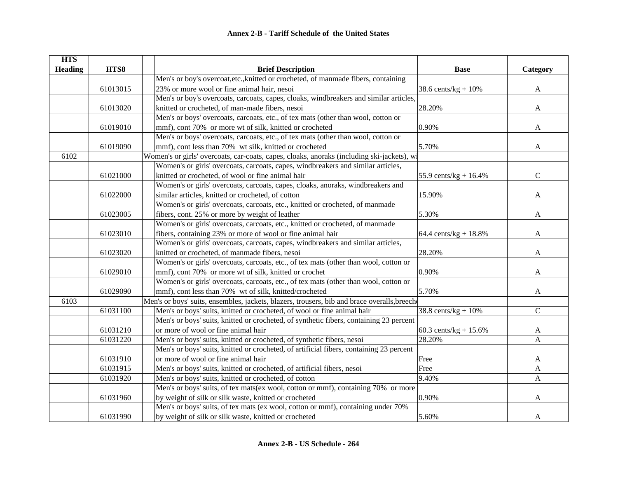| <b>HTS</b>     |          |                                                                                             |                          |              |
|----------------|----------|---------------------------------------------------------------------------------------------|--------------------------|--------------|
| <b>Heading</b> | HTS8     | <b>Brief Description</b>                                                                    | <b>Base</b>              | Category     |
|                |          | Men's or boy's overcoat, etc., knitted or crocheted, of manmade fibers, containing          |                          |              |
|                | 61013015 | 23% or more wool or fine animal hair, nesoi                                                 | 38.6 cents/ $kg + 10%$   | A            |
|                |          | Men's or boy's overcoats, carcoats, capes, cloaks, windbreakers and similar articles,       |                          |              |
|                | 61013020 | knitted or crocheted, of man-made fibers, nesoi                                             | 28.20%                   | A            |
|                |          | Men's or boys' overcoats, carcoats, etc., of tex mats (other than wool, cotton or           |                          |              |
|                | 61019010 | mmf), cont 70% or more wt of silk, knitted or crocheted                                     | 0.90%                    | A            |
|                |          | Men's or boys' overcoats, carcoats, etc., of tex mats (other than wool, cotton or           |                          |              |
|                | 61019090 | mmf), cont less than 70% wt silk, knitted or crocheted                                      | 5.70%                    | A            |
| 6102           |          | Women's or girls' overcoats, car-coats, capes, cloaks, anoraks (including ski-jackets), wi  |                          |              |
|                |          | Women's or girls' overcoats, carcoats, capes, windbreakers and similar articles,            |                          |              |
|                | 61021000 | knitted or crocheted, of wool or fine animal hair                                           | 55.9 cents/kg + $16.4%$  | $\mathbf C$  |
|                |          | Women's or girls' overcoats, carcoats, capes, cloaks, anoraks, windbreakers and             |                          |              |
|                | 61022000 | similar articles, knitted or crocheted, of cotton                                           | 15.90%                   | A            |
|                |          | Women's or girls' overcoats, carcoats, etc., knitted or crocheted, of manmade               |                          |              |
|                | 61023005 | fibers, cont. 25% or more by weight of leather                                              | 5.30%                    | A            |
|                |          | Women's or girls' overcoats, carcoats, etc., knitted or crocheted, of manmade               |                          |              |
|                | 61023010 | fibers, containing 23% or more of wool or fine animal hair                                  | 64.4 cents/ $kg + 18.8%$ | A            |
|                |          | Women's or girls' overcoats, carcoats, capes, windbreakers and similar articles,            |                          |              |
|                | 61023020 | knitted or crocheted, of manmade fibers, nesoi                                              | 28.20%                   | A            |
|                |          | Women's or girls' overcoats, carcoats, etc., of tex mats (other than wool, cotton or        |                          |              |
|                | 61029010 | mmf), cont 70% or more wt of silk, knitted or crochet                                       | 0.90%                    | A            |
|                |          | Women's or girls' overcoats, carcoats, etc., of tex mats (other than wool, cotton or        |                          |              |
|                | 61029090 | mmf), cont less than 70% wt of silk, knitted/crocheted                                      | 5.70%                    | A            |
| 6103           |          | Men's or boys' suits, ensembles, jackets, blazers, trousers, bib and brace overalls, breech |                          |              |
|                | 61031100 | Men's or boys' suits, knitted or crocheted, of wool or fine animal hair                     | 38.8 cents/ $kg + 10%$   | $\mathbf C$  |
|                |          | Men's or boys' suits, knitted or crocheted, of synthetic fibers, containing 23 percent      |                          |              |
|                | 61031210 | or more of wool or fine animal hair                                                         | $60.3$ cents/kg + 15.6%  | A            |
|                | 61031220 | Men's or boys' suits, knitted or crocheted, of synthetic fibers, nesoi                      | 28.20%                   | A            |
|                |          | Men's or boys' suits, knitted or crocheted, of artificial fibers, containing 23 percent     |                          |              |
|                | 61031910 | or more of wool or fine animal hair                                                         | Free                     | A            |
|                | 61031915 | Men's or boys' suits, knitted or crocheted, of artificial fibers, nesoi                     | Free                     | A            |
|                | 61031920 | Men's or boys' suits, knitted or crocheted, of cotton                                       | 9.40%                    | $\mathbf{A}$ |
|                |          | Men's or boys' suits, of tex mats(ex wool, cotton or mmf), containing 70% or more           |                          |              |
|                | 61031960 | by weight of silk or silk waste, knitted or crocheted                                       | 0.90%                    | A            |
|                |          | Men's or boys' suits, of tex mats (ex wool, cotton or mmf), containing under 70%            |                          |              |
|                | 61031990 | by weight of silk or silk waste, knitted or crocheted                                       | 5.60%                    | A            |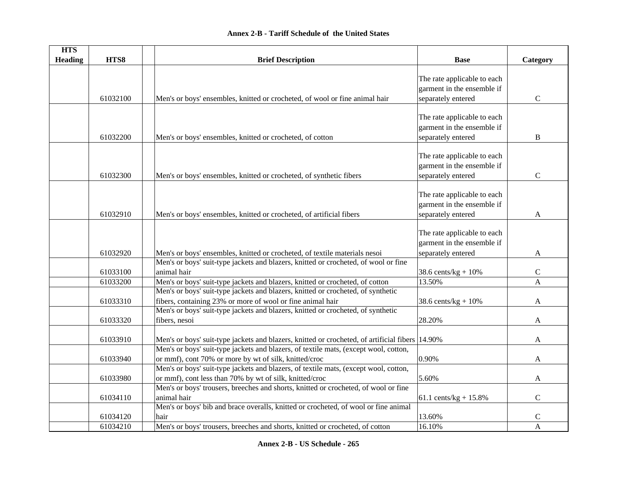| <b>HTS</b>     |          |                                                                                                  |                             |                |
|----------------|----------|--------------------------------------------------------------------------------------------------|-----------------------------|----------------|
| <b>Heading</b> | HTS8     | <b>Brief Description</b>                                                                         | <b>Base</b>                 | Category       |
|                |          |                                                                                                  |                             |                |
|                |          |                                                                                                  | The rate applicable to each |                |
|                |          |                                                                                                  | garment in the ensemble if  |                |
|                | 61032100 | Men's or boys' ensembles, knitted or crocheted, of wool or fine animal hair                      | separately entered          | $\mathcal{C}$  |
|                |          |                                                                                                  | The rate applicable to each |                |
|                |          |                                                                                                  |                             |                |
|                |          |                                                                                                  | garment in the ensemble if  |                |
|                | 61032200 | Men's or boys' ensembles, knitted or crocheted, of cotton                                        | separately entered          | B              |
|                |          |                                                                                                  | The rate applicable to each |                |
|                |          |                                                                                                  | garment in the ensemble if  |                |
|                |          |                                                                                                  |                             |                |
|                | 61032300 | Men's or boys' ensembles, knitted or crocheted, of synthetic fibers                              | separately entered          | $\mathcal{C}$  |
|                |          |                                                                                                  |                             |                |
|                |          |                                                                                                  | The rate applicable to each |                |
|                |          |                                                                                                  | garment in the ensemble if  |                |
|                | 61032910 | Men's or boys' ensembles, knitted or crocheted, of artificial fibers                             | separately entered          | A              |
|                |          |                                                                                                  |                             |                |
|                |          |                                                                                                  | The rate applicable to each |                |
|                |          |                                                                                                  | garment in the ensemble if  |                |
|                | 61032920 | Men's or boys' ensembles, knitted or crocheted, of textile materials nesoi                       | separately entered          | A              |
|                |          | Men's or boys' suit-type jackets and blazers, knitted or crocheted, of wool or fine              |                             |                |
|                | 61033100 | animal hair                                                                                      | 38.6 cents/ $kg + 10%$      | $\mathcal{C}$  |
|                | 61033200 | Men's or boys' suit-type jackets and blazers, knitted or crocheted, of cotton                    | 13.50%                      | $\mathbf{A}$   |
|                |          | Men's or boys' suit-type jackets and blazers, knitted or crocheted, of synthetic                 |                             |                |
|                | 61033310 | fibers, containing 23% or more of wool or fine animal hair                                       | 38.6 cents/ $kg + 10%$      | A              |
|                |          | Men's or boys' suit-type jackets and blazers, knitted or crocheted, of synthetic                 |                             |                |
|                | 61033320 | fibers, nesoi                                                                                    | 28.20%                      | A              |
|                |          |                                                                                                  |                             |                |
|                | 61033910 | Men's or boys' suit-type jackets and blazers, knitted or crocheted, of artificial fibers  14.90% |                             | $\overline{A}$ |
|                |          | Men's or boys' suit-type jackets and blazers, of textile mats, (except wool, cotton,             |                             |                |
|                | 61033940 | or mmf), cont 70% or more by wt of silk, knitted/croc                                            | 0.90%                       | A              |
|                |          | Men's or boys' suit-type jackets and blazers, of textile mats, (except wool, cotton,             |                             |                |
|                | 61033980 | or mmf), cont less than 70% by wt of silk, knitted/croc                                          | 5.60%                       | A              |
|                |          | Men's or boys' trousers, breeches and shorts, knitted or crocheted, of wool or fine              |                             |                |
|                | 61034110 | animal hair                                                                                      | 61.1 cents/kg + $15.8\%$    | $\mathcal{C}$  |
|                |          | Men's or boys' bib and brace overalls, knitted or crocheted, of wool or fine animal              |                             |                |
|                | 61034120 | hair                                                                                             | 13.60%                      | $\mathbf C$    |
|                | 61034210 | Men's or boys' trousers, breeches and shorts, knitted or crocheted, of cotton                    | 16.10%                      | $\mathbf{A}$   |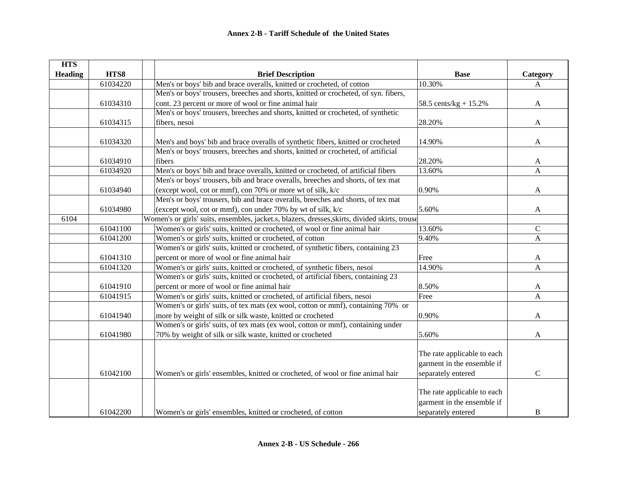| <b>HTS</b>     |          |                                                                                                |                                                                                 |              |
|----------------|----------|------------------------------------------------------------------------------------------------|---------------------------------------------------------------------------------|--------------|
| <b>Heading</b> | HTS8     | <b>Brief Description</b>                                                                       | <b>Base</b>                                                                     | Category     |
|                | 61034220 | Men's or boys' bib and brace overalls, knitted or crocheted, of cotton                         | 10.30%                                                                          | $\mathbf{A}$ |
|                |          | Men's or boys' trousers, breeches and shorts, knitted or crocheted, of syn. fibers,            |                                                                                 |              |
|                | 61034310 | cont. 23 percent or more of wool or fine animal hair                                           | 58.5 cents/ $kg + 15.2\%$                                                       | A            |
|                |          | Men's or boys' trousers, breeches and shorts, knitted or crocheted, of synthetic               |                                                                                 |              |
|                | 61034315 | fibers, nesoi                                                                                  | 28.20%                                                                          | A            |
|                | 61034320 | Men's and boys' bib and brace overalls of synthetic fibers, knitted or crocheted               | 14.90%                                                                          | A            |
|                |          | Men's or boys' trousers, breeches and shorts, knitted or crocheted, of artificial              |                                                                                 |              |
|                | 61034910 | fibers                                                                                         | 28.20%                                                                          | A            |
|                | 61034920 | Men's or boys' bib and brace overalls, knitted or crocheted, of artificial fibers              | 13.60%                                                                          | A            |
|                |          | Men's or boys' trousers, bib and brace overalls, breeches and shorts, of tex mat               |                                                                                 |              |
|                | 61034940 | (except wool, cot or mmf), con 70% or more wt of silk, k/c                                     | 0.90%                                                                           | A            |
|                |          | Men's or boys' trousers, bib and brace overalls, breeches and shorts, of tex mat               |                                                                                 |              |
|                | 61034980 | (except wool, cot or mmf), con under 70% by wt of silk, k/c                                    | 5.60%                                                                           | A            |
| 6104           |          | Women's or girls' suits, ensembles, jacket.s, blazers, dresses, skirts, divided skirts, trouse |                                                                                 |              |
|                | 61041100 | Women's or girls' suits, knitted or crocheted, of wool or fine animal hair                     | 13.60%                                                                          | $\mathsf{C}$ |
|                | 61041200 | Women's or girls' suits, knitted or crocheted, of cotton                                       | 9.40%                                                                           | $\mathbf{A}$ |
|                |          | Women's or girls' suits, knitted or crocheted, of synthetic fibers, containing 23              |                                                                                 |              |
|                | 61041310 | percent or more of wool or fine animal hair                                                    | Free                                                                            | A            |
|                | 61041320 | Women's or girls' suits, knitted or crocheted, of synthetic fibers, nesoi                      | 14.90%                                                                          | A            |
|                |          | Women's or girls' suits, knitted or crocheted, of artificial fibers, containing 23             |                                                                                 |              |
|                | 61041910 | percent or more of wool or fine animal hair                                                    | 8.50%                                                                           | A            |
|                | 61041915 | Women's or girls' suits, knitted or crocheted, of artificial fibers, nesoi                     | Free                                                                            | $\mathbf{A}$ |
|                |          | Women's or girls' suits, of tex mats (ex wool, cotton or mmf), containing 70% or               |                                                                                 |              |
|                | 61041940 | more by weight of silk or silk waste, knitted or crocheted                                     | 0.90%                                                                           | A            |
|                |          | Women's or girls' suits, of tex mats (ex wool, cotton or mmf), containing under                |                                                                                 |              |
|                | 61041980 | 70% by weight of silk or silk waste, knitted or crocheted                                      | 5.60%                                                                           | A            |
|                |          |                                                                                                | The rate applicable to each<br>garment in the ensemble if                       |              |
|                | 61042100 | Women's or girls' ensembles, knitted or crocheted, of wool or fine animal hair                 | separately entered                                                              | ${\bf C}$    |
|                | 61042200 | Women's or girls' ensembles, knitted or crocheted, of cotton                                   | The rate applicable to each<br>garment in the ensemble if<br>separately entered | B            |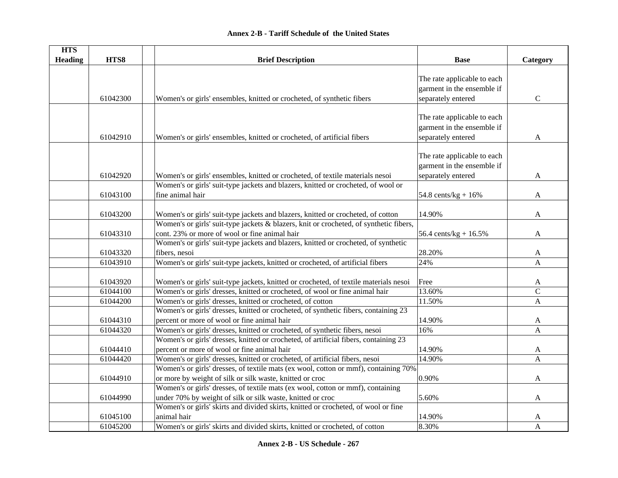| <b>HTS</b>     |          |                                                                                        |                             |                |
|----------------|----------|----------------------------------------------------------------------------------------|-----------------------------|----------------|
| <b>Heading</b> | HTS8     | <b>Brief Description</b>                                                               | <b>Base</b>                 | Category       |
|                |          |                                                                                        |                             |                |
|                |          |                                                                                        | The rate applicable to each |                |
|                |          |                                                                                        | garment in the ensemble if  |                |
|                | 61042300 | Women's or girls' ensembles, knitted or crocheted, of synthetic fibers                 | separately entered          | $\mathbf C$    |
|                |          |                                                                                        |                             |                |
|                |          |                                                                                        | The rate applicable to each |                |
|                |          |                                                                                        | garment in the ensemble if  |                |
|                | 61042910 | Women's or girls' ensembles, knitted or crocheted, of artificial fibers                | separately entered          | A              |
|                |          |                                                                                        |                             |                |
|                |          |                                                                                        | The rate applicable to each |                |
|                |          |                                                                                        | garment in the ensemble if  |                |
|                | 61042920 | Women's or girls' ensembles, knitted or crocheted, of textile materials nesoi          | separately entered          | $\mathbf{A}$   |
|                |          | Women's or girls' suit-type jackets and blazers, knitted or crocheted, of wool or      |                             |                |
|                | 61043100 | fine animal hair                                                                       | 54.8 cents/ $kg + 16%$      | $\mathbf{A}$   |
|                |          |                                                                                        |                             |                |
|                | 61043200 | Women's or girls' suit-type jackets and blazers, knitted or crocheted, of cotton       | 14.90%                      | $\mathbf{A}$   |
|                |          | Women's or girls' suit-type jackets & blazers, knit or crocheted, of synthetic fibers, |                             |                |
|                | 61043310 | cont. 23% or more of wool or fine animal hair                                          | 56.4 cents/kg + $16.5%$     | A              |
|                |          | Women's or girls' suit-type jackets and blazers, knitted or crocheted, of synthetic    |                             |                |
|                | 61043320 | fibers, nesoi                                                                          | 28.20%                      | $\mathbf{A}$   |
|                | 61043910 | Women's or girls' suit-type jackets, knitted or crocheted, of artificial fibers        | 24%                         | $\mathbf{A}$   |
|                |          |                                                                                        |                             |                |
|                | 61043920 | Women's or girls' suit-type jackets, knitted or crocheted, of textile materials nesoi  | Free                        | A              |
|                | 61044100 | Women's or girls' dresses, knitted or crocheted, of wool or fine animal hair           | 13.60%                      | $\mathbf C$    |
|                | 61044200 | Women's or girls' dresses, knitted or crocheted, of cotton                             | 11.50%                      | A              |
|                |          | Women's or girls' dresses, knitted or crocheted, of synthetic fibers, containing 23    |                             |                |
|                | 61044310 | percent or more of wool or fine animal hair                                            | 14.90%                      | A              |
|                | 61044320 | Women's or girls' dresses, knitted or crocheted, of synthetic fibers, nesoi            | 16%                         | $\mathbf{A}$   |
|                |          | Women's or girls' dresses, knitted or crocheted, of artificial fibers, containing 23   |                             |                |
|                | 61044410 | percent or more of wool or fine animal hair                                            | 14.90%                      | A              |
|                | 61044420 | Women's or girls' dresses, knitted or crocheted, of artificial fibers, nesoi           | 14.90%                      | $\overline{A}$ |
|                |          | Women's or girls' dresses, of textile mats (ex wool, cotton or mmf), containing 70%    |                             |                |
|                | 61044910 | or more by weight of silk or silk waste, knitted or croc                               | 0.90%                       | $\mathbf{A}$   |
|                |          | Women's or girls' dresses, of textile mats (ex wool, cotton or mmf), containing        |                             |                |
|                | 61044990 | under 70% by weight of silk or silk waste, knitted or croc                             | 5.60%                       | $\mathbf{A}$   |
|                |          | Women's or girls' skirts and divided skirts, knitted or crocheted, of wool or fine     |                             |                |
|                | 61045100 | animal hair                                                                            | 14.90%                      | A              |
|                | 61045200 | Women's or girls' skirts and divided skirts, knitted or crocheted, of cotton           | 8.30%                       | $\mathbf{A}$   |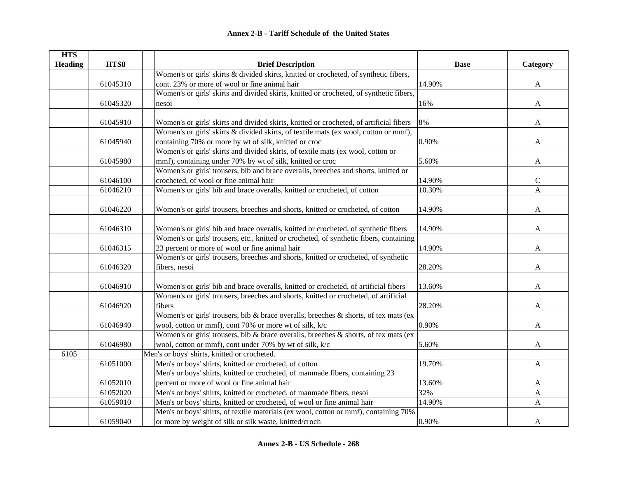| <b>HTS</b>     |          |                                                                                         |             |                |
|----------------|----------|-----------------------------------------------------------------------------------------|-------------|----------------|
| <b>Heading</b> | HTS8     | <b>Brief Description</b>                                                                | <b>Base</b> | Category       |
|                |          | Women's or girls' skirts & divided skirts, knitted or crocheted, of synthetic fibers,   |             |                |
|                | 61045310 | cont. 23% or more of wool or fine animal hair                                           | 14.90%      | A              |
|                |          | Women's or girls' skirts and divided skirts, knitted or crocheted, of synthetic fibers, |             |                |
|                | 61045320 | nesoi                                                                                   | 16%         | A              |
|                |          |                                                                                         |             |                |
|                | 61045910 | Women's or girls' skirts and divided skirts, knitted or crocheted, of artificial fibers | 8%          | A              |
|                |          | Women's or girls' skirts & divided skirts, of textile mats (ex wool, cotton or mmf),    |             |                |
|                | 61045940 | containing 70% or more by wt of silk, knitted or croc                                   | 0.90%       | A              |
|                |          | Women's or girls' skirts and divided skirts, of textile mats (ex wool, cotton or        |             |                |
|                | 61045980 | mmf), containing under 70% by wt of silk, knitted or croc                               | 5.60%       | A              |
|                |          | Women's or girls' trousers, bib and brace overalls, breeches and shorts, knitted or     |             |                |
|                | 61046100 | crocheted, of wool or fine animal hair                                                  | 14.90%      | $\mathbf C$    |
|                | 61046210 | Women's or girls' bib and brace overalls, knitted or crocheted, of cotton               | 10.30%      | $\overline{A}$ |
|                |          |                                                                                         |             |                |
|                | 61046220 | Women's or girls' trousers, breeches and shorts, knitted or crocheted, of cotton        | 14.90%      | A              |
|                |          |                                                                                         |             |                |
|                | 61046310 | Women's or girls' bib and brace overalls, knitted or crocheted, of synthetic fibers     | 14.90%      | A              |
|                |          | Women's or girls' trousers, etc., knitted or crocheted, of synthetic fibers, containing |             |                |
|                | 61046315 | 23 percent or more of wool or fine animal hair                                          | 14.90%      | A              |
|                |          | Women's or girls' trousers, breeches and shorts, knitted or crocheted, of synthetic     |             |                |
|                | 61046320 | fibers, nesoi                                                                           | 28.20%      | A              |
|                |          |                                                                                         |             |                |
|                | 61046910 | Women's or girls' bib and brace overalls, knitted or crocheted, of artificial fibers    | 13.60%      | A              |
|                |          | Women's or girls' trousers, breeches and shorts, knitted or crocheted, of artificial    |             |                |
|                | 61046920 | fibers                                                                                  | 28.20%      | A              |
|                |          | Women's or girls' trousers, bib & brace overalls, breeches & shorts, of tex mats (ex    |             |                |
|                | 61046940 | wool, cotton or mmf), cont 70% or more wt of silk, k/c                                  | 0.90%       | A              |
|                |          | Women's or girls' trousers, bib & brace overalls, breeches & shorts, of tex mats (ex    |             |                |
|                | 61046980 | wool, cotton or mmf), cont under 70% by wt of silk, k/c                                 | 5.60%       | A              |
| 6105           |          | Men's or boys' shirts, knitted or crocheted.                                            |             |                |
|                | 61051000 | Men's or boys' shirts, knitted or crocheted, of cotton                                  | 19.70%      | A              |
|                |          | Men's or boys' shirts, knitted or crocheted, of manmade fibers, containing 23           |             |                |
|                | 61052010 | percent or more of wool or fine animal hair                                             | 13.60%      | A              |
|                | 61052020 | Men's or boys' shirts, knitted or crocheted, of manmade fibers, nesoi                   | 32%         | A              |
|                | 61059010 | Men's or boys' shirts, knitted or crocheted, of wool or fine animal hair                | 14.90%      | A              |
|                |          | Men's or boys' shirts, of textile materials (ex wool, cotton or mmf), containing 70%    |             |                |
|                | 61059040 | or more by weight of silk or silk waste, knitted/croch                                  | 0.90%       | A              |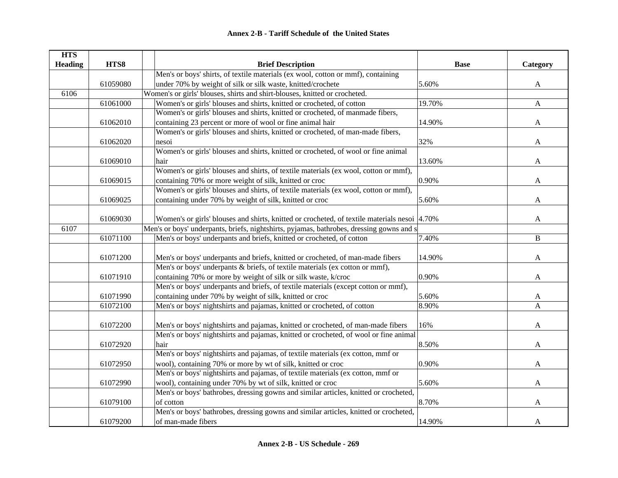| <b>HTS</b>     |          |                                                                                              |             |              |
|----------------|----------|----------------------------------------------------------------------------------------------|-------------|--------------|
| <b>Heading</b> | HTS8     | <b>Brief Description</b>                                                                     | <b>Base</b> | Category     |
|                |          | Men's or boys' shirts, of textile materials (ex wool, cotton or mmf), containing             |             |              |
|                | 61059080 | under 70% by weight of silk or silk waste, knitted/crochete                                  | 5.60%       | A            |
| 6106           |          | Women's or girls' blouses, shirts and shirt-blouses, knitted or crocheted.                   |             |              |
|                | 61061000 | Women's or girls' blouses and shirts, knitted or crocheted, of cotton                        | 19.70%      | $\mathbf{A}$ |
|                |          | Women's or girls' blouses and shirts, knitted or crocheted, of manmade fibers,               |             |              |
|                | 61062010 | containing 23 percent or more of wool or fine animal hair                                    | 14.90%      | A            |
|                |          | Women's or girls' blouses and shirts, knitted or crocheted, of man-made fibers,              |             |              |
|                | 61062020 | nesoi                                                                                        | 32%         | A            |
|                |          | Women's or girls' blouses and shirts, knitted or crocheted, of wool or fine animal           |             |              |
|                | 61069010 | hair                                                                                         | 13.60%      | $\mathbf{A}$ |
|                |          | Women's or girls' blouses and shirts, of textile materials (ex wool, cotton or mmf),         |             |              |
|                | 61069015 | containing 70% or more weight of silk, knitted or croc                                       | 0.90%       | A            |
|                |          | Women's or girls' blouses and shirts, of textile materials (ex wool, cotton or mmf),         |             |              |
|                | 61069025 | containing under 70% by weight of silk, knitted or croc                                      | 5.60%       | A            |
|                |          |                                                                                              |             |              |
|                | 61069030 | Women's or girls' blouses and shirts, knitted or crocheted, of textile materials nesoi 4.70% |             | A            |
| 6107           |          | Men's or boys' underpants, briefs, nightshirts, pyjamas, bathrobes, dressing gowns and s     |             |              |
|                | 61071100 | Men's or boys' underpants and briefs, knitted or crocheted, of cotton                        | 7.40%       | B            |
|                |          |                                                                                              |             |              |
|                | 61071200 | Men's or boys' underpants and briefs, knitted or crocheted, of man-made fibers               | 14.90%      | A            |
|                |          | Men's or boys' underpants & briefs, of textile materials (ex cotton or mmf),                 |             |              |
|                | 61071910 | containing 70% or more by weight of silk or silk waste, k/croc                               | 0.90%       | A            |
|                |          | Men's or boys' underpants and briefs, of textile materials (except cotton or mmf),           |             |              |
|                | 61071990 | containing under 70% by weight of silk, knitted or croc                                      | 5.60%       | A            |
|                | 61072100 | Men's or boys' nightshirts and pajamas, knitted or crocheted, of cotton                      | 8.90%       | $\mathbf{A}$ |
|                |          |                                                                                              |             |              |
|                | 61072200 | Men's or boys' nightshirts and pajamas, knitted or crocheted, of man-made fibers             | 16%         | A            |
|                |          | Men's or boys' nightshirts and pajamas, knitted or crocheted, of wool or fine animal         |             |              |
|                | 61072920 | hair                                                                                         | 8.50%       | A            |
|                |          | Men's or boys' nightshirts and pajamas, of textile materials (ex cotton, mmf or              |             |              |
|                | 61072950 | wool), containing 70% or more by wt of silk, knitted or croc                                 | 0.90%       | A            |
|                |          | Men's or boys' nightshirts and pajamas, of textile materials (ex cotton, mmf or              |             |              |
|                | 61072990 | wool), containing under 70% by wt of silk, knitted or croc                                   | 5.60%       | A            |
|                |          | Men's or boys' bathrobes, dressing gowns and similar articles, knitted or crocheted,         |             |              |
|                | 61079100 | of cotton                                                                                    | 8.70%       | A            |
|                |          | Men's or boys' bathrobes, dressing gowns and similar articles, knitted or crocheted,         |             |              |
|                | 61079200 | of man-made fibers                                                                           | 14.90%      | A            |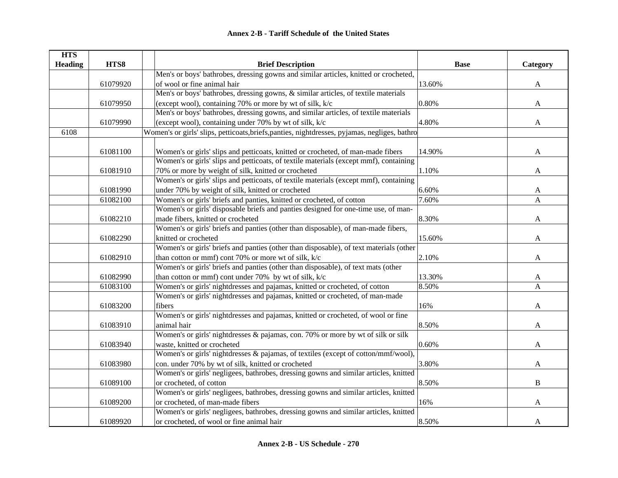| <b>HTS</b>     |          |                                                                                               |             |              |
|----------------|----------|-----------------------------------------------------------------------------------------------|-------------|--------------|
| <b>Heading</b> | HTS8     | <b>Brief Description</b>                                                                      | <b>Base</b> | Category     |
|                |          | Men's or boys' bathrobes, dressing gowns and similar articles, knitted or crocheted,          |             |              |
|                | 61079920 | of wool or fine animal hair                                                                   | 13.60%      | $\mathbf{A}$ |
|                |          | Men's or boys' bathrobes, dressing gowns, & similar articles, of textile materials            |             |              |
|                | 61079950 | (except wool), containing 70% or more by wt of silk, k/c                                      | 0.80%       | A            |
|                |          | Men's or boys' bathrobes, dressing gowns, and similar articles, of textile materials          |             |              |
|                | 61079990 | (except wool), containing under 70% by wt of silk, k/c                                        | 4.80%       | A            |
| 6108           |          | Women's or girls' slips, petticoats, briefs, panties, nightdresses, pyjamas, negliges, bathro |             |              |
|                |          |                                                                                               |             |              |
|                | 61081100 | Women's or girls' slips and petticoats, knitted or crocheted, of man-made fibers              | 14.90%      | A            |
|                |          | Women's or girls' slips and petticoats, of textile materials (except mmf), containing         |             |              |
|                | 61081910 | 70% or more by weight of silk, knitted or crocheted                                           | 1.10%       | A            |
|                |          | Women's or girls' slips and petticoats, of textile materials (except mmf), containing         |             |              |
|                | 61081990 | under 70% by weight of silk, knitted or crocheted                                             | 6.60%       | A            |
|                | 61082100 | Women's or girls' briefs and panties, knitted or crocheted, of cotton                         | 7.60%       | $\mathbf{A}$ |
|                |          | Women's or girls' disposable briefs and panties designed for one-time use, of man-            |             |              |
|                | 61082210 | made fibers, knitted or crocheted                                                             | 8.30%       | A            |
|                |          | Women's or girls' briefs and panties (other than disposable), of man-made fibers,             |             |              |
|                | 61082290 | knitted or crocheted                                                                          | 15.60%      | A            |
|                |          | Women's or girls' briefs and panties (other than disposable), of text materials (other        |             |              |
|                | 61082910 | than cotton or mmf) cont 70% or more wt of silk, k/c                                          | 2.10%       | A            |
|                |          | Women's or girls' briefs and panties (other than disposable), of text mats (other             |             |              |
|                | 61082990 | than cotton or mmf) cont under 70% by wt of silk, k/c                                         | 13.30%      | A            |
|                | 61083100 | Women's or girls' nightdresses and pajamas, knitted or crocheted, of cotton                   | 8.50%       | $\mathbf{A}$ |
|                |          | Women's or girls' nightdresses and pajamas, knitted or crocheted, of man-made                 |             |              |
|                | 61083200 | fibers                                                                                        | 16%         | A            |
|                |          | Women's or girls' nightdresses and pajamas, knitted or crocheted, of wool or fine             |             |              |
|                | 61083910 | animal hair                                                                                   | 8.50%       | A            |
|                |          | Women's or girls' nightdresses & pajamas, con. 70% or more by wt of silk or silk              |             |              |
|                | 61083940 | waste, knitted or crocheted                                                                   | 0.60%       | A            |
|                |          | Women's or girls' nightdresses & pajamas, of textiles (except of cotton/mmf/wool),            |             |              |
|                | 61083980 | con. under 70% by wt of silk, knitted or crocheted                                            | 3.80%       | A            |
|                |          | Women's or girls' negligees, bathrobes, dressing gowns and similar articles, knitted          |             |              |
|                | 61089100 | or crocheted, of cotton                                                                       | 8.50%       | $\, {\bf B}$ |
|                |          | Women's or girls' negligees, bathrobes, dressing gowns and similar articles, knitted          |             |              |
|                | 61089200 | or crocheted, of man-made fibers                                                              | 16%         | A            |
|                |          | Women's or girls' negligees, bathrobes, dressing gowns and similar articles, knitted          |             |              |
|                | 61089920 | or crocheted, of wool or fine animal hair                                                     | 8.50%       | A            |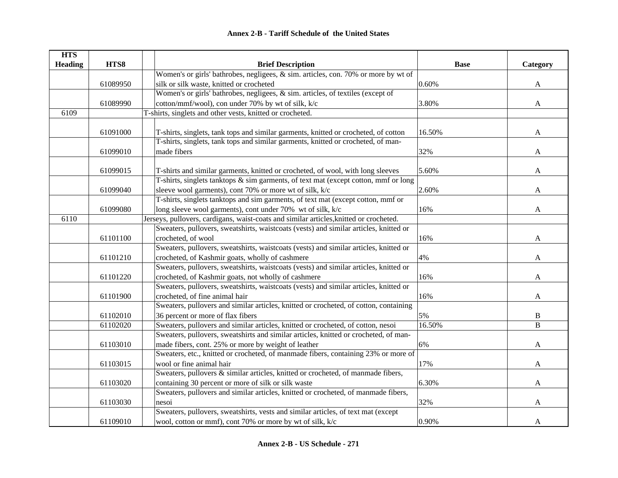| <b>HTS</b>     |          |                                                                                        |             |              |
|----------------|----------|----------------------------------------------------------------------------------------|-------------|--------------|
| <b>Heading</b> | HTS8     | <b>Brief Description</b>                                                               | <b>Base</b> | Category     |
|                |          | Women's or girls' bathrobes, negligees, $\&$ sim. articles, con. 70% or more by wt of  |             |              |
|                | 61089950 | silk or silk waste, knitted or crocheted                                               | 0.60%       | $\mathbf{A}$ |
|                |          | Women's or girls' bathrobes, negligees, & sim. articles, of textiles (except of        |             |              |
|                | 61089990 | cotton/mmf/wool), con under 70% by wt of silk, k/c                                     | 3.80%       | $\mathbf{A}$ |
| 6109           |          | T-shirts, singlets and other vests, knitted or crocheted.                              |             |              |
|                |          |                                                                                        |             |              |
|                | 61091000 | T-shirts, singlets, tank tops and similar garments, knitted or crocheted, of cotton    | 16.50%      | $\mathbf{A}$ |
|                |          | T-shirts, singlets, tank tops and similar garments, knitted or crocheted, of man-      |             |              |
|                | 61099010 | made fibers                                                                            | 32%         | $\mathbf{A}$ |
|                |          |                                                                                        |             |              |
|                | 61099015 | T-shirts and similar garments, knitted or crocheted, of wool, with long sleeves        | 5.60%       | A            |
|                |          | T-shirts, singlets tanktops $\&$ sim garments, of text mat (except cotton, mmf or long |             |              |
|                | 61099040 | sleeve wool garments), cont 70% or more wt of silk, k/c                                | 2.60%       | A            |
|                |          | T-shirts, singlets tanktops and sim garments, of text mat (except cotton, mmf or       |             |              |
|                | 61099080 | long sleeve wool garments), cont under 70% wt of silk, k/c                             | 16%         | A            |
| 6110           |          | Jerseys, pullovers, cardigans, waist-coats and similar articles, knitted or crocheted. |             |              |
|                |          | Sweaters, pullovers, sweatshirts, waistcoats (vests) and similar articles, knitted or  |             |              |
|                | 61101100 | crocheted, of wool                                                                     | 16%         | A            |
|                |          | Sweaters, pullovers, sweatshirts, waistcoats (vests) and similar articles, knitted or  |             |              |
|                | 61101210 | crocheted, of Kashmir goats, wholly of cashmere                                        | 4%          | A            |
|                |          | Sweaters, pullovers, sweatshirts, waistcoats (vests) and similar articles, knitted or  |             |              |
|                | 61101220 | crocheted, of Kashmir goats, not wholly of cashmere                                    | 16%         | A            |
|                |          | Sweaters, pullovers, sweatshirts, waistcoats (vests) and similar articles, knitted or  |             |              |
|                | 61101900 | crocheted, of fine animal hair                                                         | 16%         | A            |
|                |          | Sweaters, pullovers and similar articles, knitted or crocheted, of cotton, containing  |             |              |
|                | 61102010 | 36 percent or more of flax fibers                                                      | 5%          | $\, {\bf B}$ |
|                | 61102020 | Sweaters, pullovers and similar articles, knitted or crocheted, of cotton, nesoi       | 16.50%      | B            |
|                |          | Sweaters, pullovers, sweatshirts and similar articles, knitted or crocheted, of man-   |             |              |
|                | 61103010 | made fibers, cont. 25% or more by weight of leather                                    | 6%          | A            |
|                |          | Sweaters, etc., knitted or crocheted, of manmade fibers, containing 23% or more of     |             |              |
|                | 61103015 | wool or fine animal hair                                                               | 17%         | A            |
|                |          | Sweaters, pullovers & similar articles, knitted or crocheted, of manmade fibers,       |             |              |
|                | 61103020 | containing 30 percent or more of silk or silk waste                                    | 6.30%       | $\mathbf{A}$ |
|                |          | Sweaters, pullovers and similar articles, knitted or crocheted, of manmade fibers,     |             |              |
|                | 61103030 | nesoi                                                                                  | 32%         | A            |
|                |          | Sweaters, pullovers, sweatshirts, vests and similar articles, of text mat (except      |             |              |
|                | 61109010 | wool, cotton or mmf), cont 70% or more by wt of silk, k/c                              | 0.90%       | A            |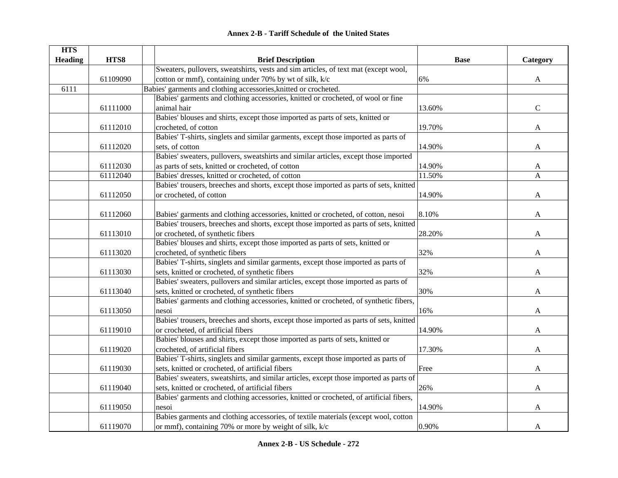| <b>HTS</b><br><b>Heading</b> | HTS8     | <b>Brief Description</b>                                                               | <b>Base</b> | Category      |
|------------------------------|----------|----------------------------------------------------------------------------------------|-------------|---------------|
|                              |          | Sweaters, pullovers, sweatshirts, vests and sim articles, of text mat (except wool,    |             |               |
|                              | 61109090 | cotton or mmf), containing under 70% by wt of silk, k/c                                | 6%          | A             |
| 6111                         |          | Babies' garments and clothing accessories, knitted or crocheted.                       |             |               |
|                              |          | Babies' garments and clothing accessories, knitted or crocheted, of wool or fine       |             |               |
|                              |          | animal hair                                                                            |             |               |
|                              | 61111000 | Babies' blouses and shirts, except those imported as parts of sets, knitted or         | 13.60%      | $\mathcal{C}$ |
|                              |          | crocheted, of cotton                                                                   | 19.70%      | A             |
|                              | 61112010 | Babies' T-shirts, singlets and similar garments, except those imported as parts of     |             |               |
|                              |          |                                                                                        |             |               |
|                              | 61112020 | sets, of cotton                                                                        | 14.90%      | A             |
|                              |          | Babies' sweaters, pullovers, sweatshirts and similar articles, except those imported   |             |               |
|                              | 61112030 | as parts of sets, knitted or crocheted, of cotton                                      | 14.90%      | A             |
|                              | 61112040 | Babies' dresses, knitted or crocheted, of cotton                                       | 11.50%      | A             |
|                              |          | Babies' trousers, breeches and shorts, except those imported as parts of sets, knitted |             |               |
|                              | 61112050 | or crocheted, of cotton                                                                | 14.90%      | A             |
|                              |          |                                                                                        |             |               |
|                              | 61112060 | Babies' garments and clothing accessories, knitted or crocheted, of cotton, nesoi      | 8.10%       | A             |
|                              |          | Babies' trousers, breeches and shorts, except those imported as parts of sets, knitted |             |               |
|                              | 61113010 | or crocheted, of synthetic fibers                                                      | 28.20%      | A             |
|                              |          | Babies' blouses and shirts, except those imported as parts of sets, knitted or         |             |               |
|                              | 61113020 | crocheted, of synthetic fibers                                                         | 32%         | A             |
|                              |          | Babies' T-shirts, singlets and similar garments, except those imported as parts of     |             |               |
|                              | 61113030 | sets, knitted or crocheted, of synthetic fibers                                        | 32%         | A             |
|                              |          | Babies' sweaters, pullovers and similar articles, except those imported as parts of    |             |               |
|                              | 61113040 | sets, knitted or crocheted, of synthetic fibers                                        | 30%         | A             |
|                              |          | Babies' garments and clothing accessories, knitted or crocheted, of synthetic fibers,  |             |               |
|                              | 61113050 | nesoi                                                                                  | 16%         | A             |
|                              |          | Babies' trousers, breeches and shorts, except those imported as parts of sets, knitted |             |               |
|                              | 61119010 | or crocheted, of artificial fibers                                                     | 14.90%      | A             |
|                              |          | Babies' blouses and shirts, except those imported as parts of sets, knitted or         |             |               |
|                              | 61119020 | crocheted, of artificial fibers                                                        | 17.30%      | A             |
|                              |          | Babies' T-shirts, singlets and similar garments, except those imported as parts of     |             |               |
|                              | 61119030 | sets, knitted or crocheted, of artificial fibers                                       | Free        | A             |
|                              |          | Babies' sweaters, sweatshirts, and similar articles, except those imported as parts of |             |               |
|                              | 61119040 | sets, knitted or crocheted, of artificial fibers                                       | 26%         | A             |
|                              |          | Babies' garments and clothing accessories, knitted or crocheted, of artificial fibers, |             |               |
|                              | 61119050 | nesoi                                                                                  | 14.90%      | A             |
|                              |          | Babies garments and clothing accessories, of textile materials (except wool, cotton    |             |               |
|                              | 61119070 | or mmf), containing 70% or more by weight of silk, k/c                                 | 0.90%       | A             |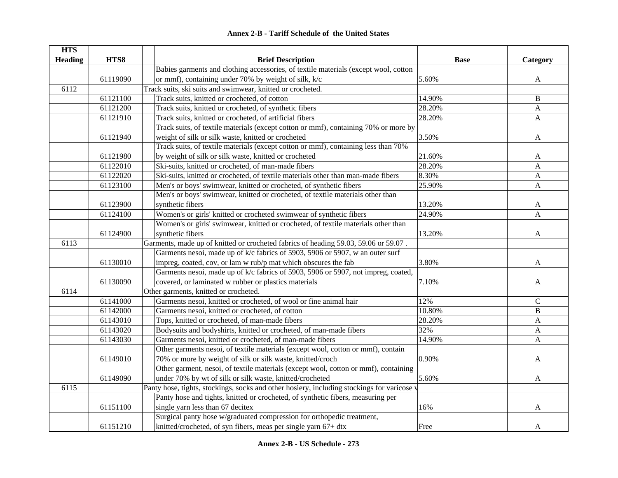#### **HTS Heading HTS8 Brief Description Base Category** 61119090Babies garments and clothing accessories, of textile materials (except wool, cotton or mmf), containing under 70% by weight of silk,  $k/c$  5.60% 5.60% A 6112Track suits, ski suits and swimwear, knitted or crocheted. 61121100 Track suits, knitted or crocheted, of cotton 14.90% B 61121200 Track suits, knitted or crocheted, of synthetic fibers 28.20% A 61121910 Track suits, knitted or crocheted, of artificial fibers 28.20% A 61121940 Track suits, of textile materials (except cotton or mmf), containing 70% or more by weight of silk or silk waste, knitted or crocheted 3.50% A 61121980Track suits, of textile materials (except cotton or mmf), containing less than 70% by weight of silk or silk waste, knitted or crocheted 21.60% A 61122010 Ski-suits, knitted or crocheted, of man-made fibers 28.20% A 61122020 Ski-suits, knitted or crocheted, of textile materials other than man-made fibers 8.30% A 61123100 Men's or boys' swimwear, knitted or crocheted, of synthetic fibers 25.90% A 61123900Men's or boys' swimwear, knitted or crocheted, of textile materials other than synthetic fibers and the synthetic fibers and the synthetic fibers and the synthetic fibers and  $\mathbf{A}$ 61124100 Women's or girls' knitted or crocheted swimwear of synthetic fibers 24.90% A 61124900Women's or girls' swimwear, knitted or crocheted, of textile materials other than synthetic fibers  $\qquad \qquad$  A 6113Garments, made up of knitted or crocheted fabrics of heading 59.03, 59.06 or 59.07. 61130010Garments nesoi, made up of k/c fabrics of 5903, 5906 or 5907, w an outer surf impreg, coated, cov, or lam w rub/p mat which obscures the fab  $3.80\%$  A 61130090Garments nesoi, made up of k/c fabrics of 5903, 5906 or 5907, not impreg, coated, covered, or laminated w rubber or plastics materials  $\sim$  7.10% A 6114Other garments, knitted or crocheted. 61141000 Garments nesoi, knitted or crocheted, of wool or fine animal hair 12% C 61142000 Garments nesoi, knitted or crocheted, of cotton 10.80% B 61143010 Tops, knitted or crocheted, of man-made fibers 28.20% A 61143020 Bodysuits and bodyshirts, knitted or crocheted, of man-made fibers 32% A 61143030 Garments nesoi, knitted or crocheted, of man-made fibers 14.90% A 61149010Other garments nesoi, of textile materials (except wool, cotton or mmf), contain 70% or more by weight of silk or silk waste, knitted/croch  $0.90\%$  and  $0.90\%$  and  $A$ 61149090Other garment, nesoi, of textile materials (except wool, cotton or mmf), containing under 70% by wt of silk or silk waste, knitted/crocheted 5.60% A 6115Panty hose, tights, stockings, socks and other hosiery, including stockings for varicose v 61151100Panty hose and tights, knitted or crocheted, of synthetic fibers, measuring per single yarn less than 67 decitex  $16\%$  A 61151210Surgical panty hose w/graduated compression for orthopedic treatment, knitted/crocheted, of syn fibers, meas per single yarn  $67+$  dtx Free Free A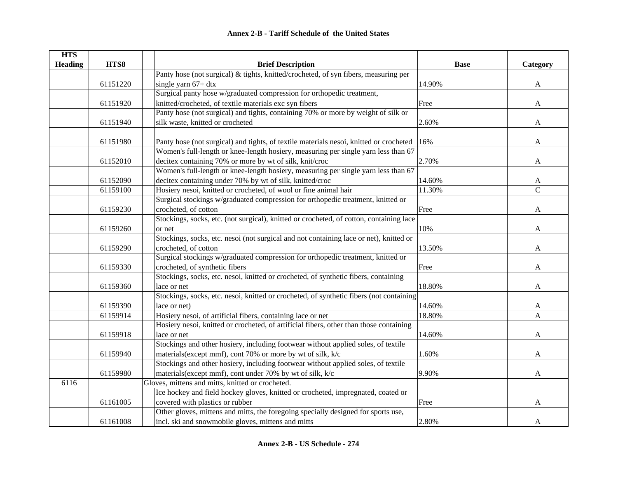| <b>HTS</b>     |          |                                                                                         |             |               |
|----------------|----------|-----------------------------------------------------------------------------------------|-------------|---------------|
| <b>Heading</b> | HTS8     | <b>Brief Description</b>                                                                | <b>Base</b> | Category      |
|                |          | Panty hose (not surgical) & tights, knitted/crocheted, of syn fibers, measuring per     |             |               |
|                | 61151220 | single yarn $67+$ dtx                                                                   | 14.90%      | $\mathbf{A}$  |
|                |          | Surgical panty hose w/graduated compression for orthopedic treatment,                   |             |               |
|                | 61151920 | knitted/crocheted, of textile materials exc syn fibers                                  | Free        | $\mathbf{A}$  |
|                |          | Panty hose (not surgical) and tights, containing 70% or more by weight of silk or       |             |               |
|                | 61151940 | silk waste, knitted or crocheted                                                        | 2.60%       | $\mathbf{A}$  |
|                |          |                                                                                         |             |               |
|                | 61151980 | Panty hose (not surgical) and tights, of textile materials nesoi, knitted or crocheted  | 16%         | A             |
|                |          | Women's full-length or knee-length hosiery, measuring per single yarn less than 67      |             |               |
|                | 61152010 | decitex containing 70% or more by wt of silk, knit/croc                                 | 2.70%       | A             |
|                |          | Women's full-length or knee-length hosiery, measuring per single yarn less than 67      |             |               |
|                | 61152090 | decitex containing under 70% by wt of silk, knitted/croc                                | 14.60%      | A             |
|                | 61159100 | Hosiery nesoi, knitted or crocheted, of wool or fine animal hair                        | 11.30%      | $\mathcal{C}$ |
|                |          | Surgical stockings w/graduated compression for orthopedic treatment, knitted or         |             |               |
|                | 61159230 | crocheted, of cotton                                                                    | Free        | A             |
|                |          | Stockings, socks, etc. (not surgical), knitted or crocheted, of cotton, containing lace |             |               |
|                | 61159260 | or net                                                                                  | 10%         | A             |
|                |          | Stockings, socks, etc. nesoi (not surgical and not containing lace or net), knitted or  |             |               |
|                | 61159290 | crocheted, of cotton                                                                    | 13.50%      | A             |
|                |          | Surgical stockings w/graduated compression for orthopedic treatment, knitted or         |             |               |
|                | 61159330 | crocheted, of synthetic fibers                                                          | Free        | A             |
|                |          | Stockings, socks, etc. nesoi, knitted or crocheted, of synthetic fibers, containing     |             |               |
|                | 61159360 | lace or net                                                                             | 18.80%      | A             |
|                |          | Stockings, socks, etc. nesoi, knitted or crocheted, of synthetic fibers (not containing |             |               |
|                | 61159390 | lace or net)                                                                            | 14.60%      | A             |
|                | 61159914 | Hosiery nesoi, of artificial fibers, containing lace or net                             | 18.80%      | A             |
|                |          | Hosiery nesoi, knitted or crocheted, of artificial fibers, other than those containing  |             |               |
|                | 61159918 | lace or net                                                                             | 14.60%      | A             |
|                |          | Stockings and other hosiery, including footwear without applied soles, of textile       |             |               |
|                | 61159940 | materials(except mmf), cont 70% or more by wt of silk, k/c                              | 1.60%       | A             |
|                |          | Stockings and other hosiery, including footwear without applied soles, of textile       |             |               |
|                | 61159980 | materials(except mmf), cont under 70% by wt of silk, k/c                                | 9.90%       | $\mathbf{A}$  |
| 6116           |          | Gloves, mittens and mitts, knitted or crocheted.                                        |             |               |
|                |          | Ice hockey and field hockey gloves, knitted or crocheted, impregnated, coated or        |             |               |
|                | 61161005 | covered with plastics or rubber                                                         | Free        | A             |
|                |          | Other gloves, mittens and mitts, the foregoing specially designed for sports use,       |             |               |
|                | 61161008 | incl. ski and snowmobile gloves, mittens and mitts                                      | 2.80%       | A             |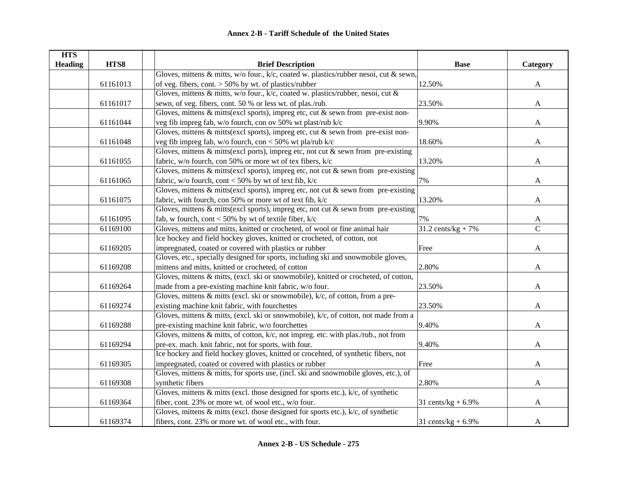| <b>HTS</b>     |          |                                                                                          |                               |                |
|----------------|----------|------------------------------------------------------------------------------------------|-------------------------------|----------------|
| <b>Heading</b> | HTS8     | <b>Brief Description</b>                                                                 | <b>Base</b>                   | Category       |
|                |          | Gloves, mittens & mitts, w/o four., k/c, coated w. plastics/rubber nesoi, cut & sewn,    |                               |                |
|                | 61161013 | of veg. fibers, cont. $> 50\%$ by wt. of plastics/rubber                                 | 12.50%                        | A              |
|                |          | Gloves, mittens & mitts, w/o four., k/c, coated w. plastics/rubber, nesoi, cut &         |                               |                |
|                | 61161017 | sewn, of veg. fibers, cont. 50 % or less wt. of plas./rub.                               | 23.50%                        | A              |
|                |          | Gloves, mittens $\&$ mitts(excl sports), impreg etc, cut $\&$ sewn from pre-exist non-   |                               |                |
|                | 61161044 | veg fib impreg fab, w/o fourch, con ov 50% wt plast/rub k/c                              | 9.90%                         | A              |
|                |          | Gloves, mittens $\&$ mitts(excl sports), impreg etc, cut $\&$ sewn from pre-exist non-   |                               |                |
|                | 61161048 | veg fib impreg fab, w/o fourch, con < 50% wt pla/rub k/c                                 | 18.60%                        | $\mathbf{A}$   |
|                |          | Gloves, mittens $\&$ mitts(excl ports), impreg etc, not cut $\&$ sewn from pre-existing  |                               |                |
|                | 61161055 | fabric, w/o fourch, con 50% or more wt of tex fibers, k/c                                | 13.20%                        | A              |
|                |          | Gloves, mittens $\&$ mitts(excl sports), impreg etc, not cut $\&$ sewn from pre-existing |                               |                |
|                | 61161065 | fabric, w/o fourch, cont < 50% by wt of text fib, $k/c$                                  | 7%                            | $\mathbf{A}$   |
|                |          | Gloves, mittens $\&$ mitts(excl sports), impreg etc, not cut $\&$ sewn from pre-existing |                               |                |
|                | 61161075 | fabric, with fourch, con 50% or more wt of text fib, $k/c$                               | 13.20%                        | A              |
|                |          | Gloves, mittens $\&$ mitts(excl sports), impreg etc, not cut $\&$ sewn from pre-existing |                               |                |
|                | 61161095 | fab, w fourch, cont < 50% by wt of textile fiber, $k/c$                                  | 7%                            | A              |
|                | 61169100 | Gloves, mittens and mitts, knitted or crocheted, of wool or fine animal hair             | $31.2 \text{ cents/kg} + 7\%$ | $\overline{C}$ |
|                |          | Ice hockey and field hockey gloves, knitted or crocheted, of cotton, not                 |                               |                |
|                | 61169205 | impregnated, coated or covered with plastics or rubber                                   | Free                          | A              |
|                |          | Gloves, etc., specially designed for sports, including ski and snowmobile gloves,        |                               |                |
|                | 61169208 | mittens and mitts, knitted or crocheted, of cotton                                       | 2.80%                         | A              |
|                |          | Gloves, mittens & mitts, (excl. ski or snowmobile), knitted or crocheted, of cotton,     |                               |                |
|                | 61169264 | made from a pre-existing machine knit fabric, w/o four.                                  | 23.50%                        | A              |
|                |          | Gloves, mittens $\&$ mitts (excl. ski or snowmobile), $k/c$ , of cotton, from a pre-     |                               |                |
|                | 61169274 | existing machine knit fabric, with fourchettes                                           | 23.50%                        | A              |
|                |          | Gloves, mittens & mitts, (excl. ski or snowmobile), k/c, of cotton, not made from a      |                               |                |
|                | 61169288 | pre-existing machine knit fabric, w/o fourchettes                                        | 9.40%                         | A              |
|                |          | Gloves, mittens & mitts, of cotton, k/c, not impreg. etc. with plas./rub., not from      |                               |                |
|                | 61169294 | pre-ex. mach. knit fabric, not for sports, with four.                                    | 9.40%                         | A              |
|                |          | Ice hockey and field hockey gloves, knitted or crocehted, of synthetic fibers, not       |                               |                |
|                | 61169305 | impregnated, coated or covered with plastics or rubber                                   | Free                          | A              |
|                |          | Gloves, mittens & mitts, for sports use, (incl. ski and snowmobile gloves, etc.), of     |                               |                |
|                | 61169308 | synthetic fibers                                                                         | 2.80%                         | A              |
|                |          | Gloves, mittens $\&$ mitts (excl. those designed for sports etc.), $k/c$ , of synthetic  |                               |                |
|                | 61169364 | fiber, cont. 23% or more wt. of wool etc., w/o four.                                     | 31 cents/ $kg + 6.9%$         | A              |
|                |          | Gloves, mittens $\&$ mitts (excl. those designed for sports etc.), $k/c$ , of synthetic  |                               |                |
|                | 61169374 | fibers, cont. 23% or more wt. of wool etc., with four.                                   | 31 cents/ $kg + 6.9%$         | A              |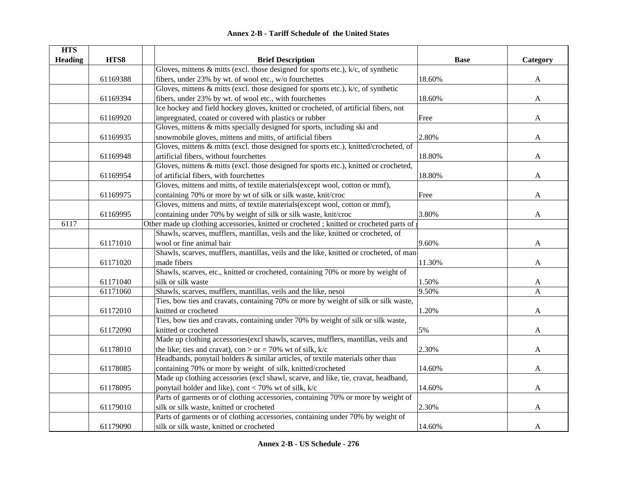|  | <b>Annex 2-B - Tariff Schedule of the United States</b> |  |
|--|---------------------------------------------------------|--|
|--|---------------------------------------------------------|--|

| <b>HTS</b>     |          |                                                                                         |             |              |
|----------------|----------|-----------------------------------------------------------------------------------------|-------------|--------------|
| <b>Heading</b> | HTS8     | <b>Brief Description</b>                                                                | <b>Base</b> | Category     |
|                |          | Gloves, mittens $\&$ mitts (excl. those designed for sports etc.), $k/c$ , of synthetic |             |              |
|                | 61169388 | fibers, under 23% by wt. of wool etc., w/o fourchettes                                  | 18.60%      | A            |
|                |          | Gloves, mittens $\&$ mitts (excl. those designed for sports etc.), $k/c$ , of synthetic |             |              |
|                | 61169394 | fibers, under 23% by wt. of wool etc., with fourchettes                                 | 18.60%      | A            |
|                |          | Ice hockey and field hockey gloves, knitted or crocheted, of artificial fibers, not     |             |              |
|                | 61169920 | impregnated, coated or covered with plastics or rubber                                  | Free        | A            |
|                |          | Gloves, mittens & mitts specially designed for sports, including ski and                |             |              |
|                | 61169935 | snowmobile gloves, mittens and mitts, of artificial fibers                              | 2.80%       | A            |
|                |          | Gloves, mittens & mitts (excl. those designed for sports etc.), knitted/crocheted, of   |             |              |
|                | 61169948 | artificial fibers, without fourchettes                                                  | 18.80%      | A            |
|                |          | Gloves, mittens & mitts (excl. those designed for sports etc.), knitted or crocheted,   |             |              |
|                | 61169954 | of artificial fibers, with fourchettes                                                  | 18.80%      | A            |
|                |          | Gloves, mittens and mitts, of textile materials(except wool, cotton or mmf),            |             |              |
|                | 61169975 | containing 70% or more by wt of silk or silk waste, knit/croc                           | Free        | A            |
|                |          | Gloves, mittens and mitts, of textile materials(except wool, cotton or mmf),            |             |              |
|                | 61169995 | containing under 70% by weight of silk or silk waste, knit/croc                         | 3.80%       | A            |
| 6117           |          | Other made up clothing accessories, knitted or crocheted; knitted or crocheted parts of |             |              |
|                |          | Shawls, scarves, mufflers, mantillas, veils and the like, knitted or crocheted, of      |             |              |
|                | 61171010 | wool or fine animal hair                                                                | 9.60%       | A            |
|                |          | Shawls, scarves, mufflers, mantillas, veils and the like, knitted or crocheted, of man- |             |              |
|                | 61171020 | made fibers                                                                             | 11.30%      | $\mathbf{A}$ |
|                |          | Shawls, scarves, etc., knitted or crocheted, containing 70% or more by weight of        |             |              |
|                | 61171040 | silk or silk waste                                                                      | 1.50%       | A            |
|                | 61171060 | Shawls, scarves, mufflers, mantillas, veils and the like, nesoi                         | 9.50%       | A            |
|                |          | Ties, bow ties and cravats, containing 70% or more by weight of silk or silk waste,     |             |              |
|                | 61172010 | knitted or crocheted                                                                    | 1.20%       | A            |
|                |          | Ties, bow ties and cravats, containing under 70% by weight of silk or silk waste,       |             |              |
|                | 61172090 | knitted or crocheted                                                                    | 5%          | A            |
|                |          | Made up clothing accessories(excl shawls, scarves, mufflers, mantillas, veils and       |             |              |
|                | 61178010 | the like; ties and cravat), con > or = 70% wt of silk, $k/c$                            | 2.30%       | A            |
|                |          | Headbands, ponytail holders $\&$ similar articles, of textile materials other than      |             |              |
|                | 61178085 | containing 70% or more by weight of silk, knitted/crocheted                             | 14.60%      | A            |
|                |          | Made up clothing accessories (excl shawl, scarve, and like, tie, cravat, headband,      |             |              |
|                | 61178095 | ponytail holder and like), cont < 70% wt of silk, k/c                                   | 14.60%      | A            |
|                |          | Parts of garments or of clothing accessories, containing 70% or more by weight of       |             |              |
|                | 61179010 | silk or silk waste, knitted or crocheted                                                | 2.30%       | A            |
|                |          | Parts of garments or of clothing accessories, containing under 70% by weight of         |             |              |
|                | 61179090 | silk or silk waste, knitted or crocheted                                                | 14.60%      | A            |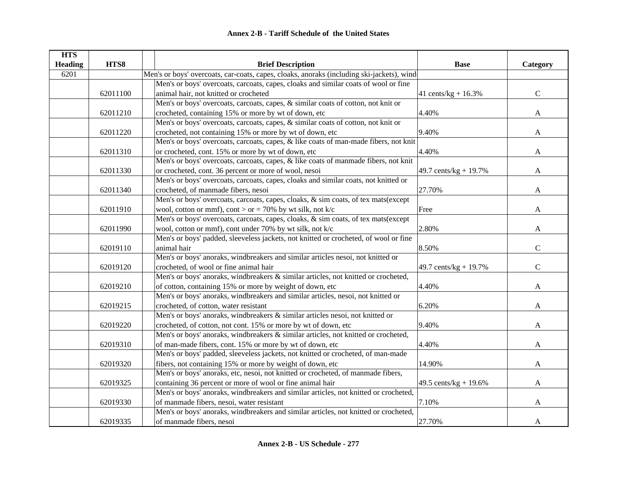| <b>HTS</b>     |          |                                                                                           |                        |               |
|----------------|----------|-------------------------------------------------------------------------------------------|------------------------|---------------|
| <b>Heading</b> | HTS8     | <b>Brief Description</b>                                                                  | <b>Base</b>            | Category      |
| 6201           |          | Men's or boys' overcoats, car-coats, capes, cloaks, anoraks (including ski-jackets), wind |                        |               |
|                |          | Men's or boys' overcoats, carcoats, capes, cloaks and similar coats of wool or fine       |                        |               |
|                | 62011100 | animal hair, not knitted or crocheted                                                     | 41 cents/kg + $16.3\%$ | $\mathbf C$   |
|                |          | Men's or boys' overcoats, carcoats, capes, & similar coats of cotton, not knit or         |                        |               |
|                | 62011210 | crocheted, containing 15% or more by wt of down, etc                                      | 4.40%                  | $\mathbf{A}$  |
|                |          | Men's or boys' overcoats, carcoats, capes, & similar coats of cotton, not knit or         |                        |               |
|                | 62011220 | crocheted, not containing 15% or more by wt of down, etc                                  | 9.40%                  | $\mathbf{A}$  |
|                |          | Men's or boys' overcoats, carcoats, capes, & like coats of man-made fibers, not knit      |                        |               |
|                | 62011310 | or crocheted, cont. 15% or more by wt of down, etc                                        | 4.40%                  | A             |
|                |          | Men's or boys' overcoats, carcoats, capes, & like coats of manmade fibers, not knit       |                        |               |
|                | 62011330 | or crocheted, cont. 36 percent or more of wool, nesoi                                     | 49.7 cents/kg + 19.7%  | A             |
|                |          | Men's or boys' overcoats, carcoats, capes, cloaks and similar coats, not knitted or       |                        |               |
|                | 62011340 | crocheted, of manmade fibers, nesoi                                                       | 27.70%                 | A             |
|                |          | Men's or boys' overcoats, carcoats, capes, cloaks, & sim coats, of tex mats(except        |                        |               |
|                | 62011910 | wool, cotton or mmf), cont > or = 70% by wt silk, not k/c                                 | Free                   | A             |
|                |          | Men's or boys' overcoats, carcoats, capes, cloaks, & sim coats, of tex mats(except        |                        |               |
|                | 62011990 | wool, cotton or mmf), cont under 70% by wt silk, not k/c                                  | 2.80%                  | A             |
|                |          | Men's or boys' padded, sleeveless jackets, not knitted or crocheted, of wool or fine      |                        |               |
|                | 62019110 | animal hair                                                                               | 8.50%                  | $\mathbf C$   |
|                |          | Men's or boys' anoraks, windbreakers and similar articles nesoi, not knitted or           |                        |               |
|                | 62019120 | crocheted, of wool or fine animal hair                                                    | 49.7 cents/kg + 19.7%  | $\mathcal{C}$ |
|                |          | Men's or boys' anoraks, windbreakers & similar articles, not knitted or crocheted,        |                        |               |
|                | 62019210 | of cotton, containing 15% or more by weight of down, etc                                  | 4.40%                  | A             |
|                |          | Men's or boys' anoraks, windbreakers and similar articles, nesoi, not knitted or          |                        |               |
|                | 62019215 | crocheted, of cotton, water resistant                                                     | 6.20%                  | A             |
|                |          | Men's or boys' anoraks, windbreakers & similar articles nesoi, not knitted or             |                        |               |
|                | 62019220 | crocheted, of cotton, not cont. 15% or more by wt of down, etc                            | 9.40%                  | A             |
|                |          | Men's or boys' anoraks, windbreakers & similar articles, not knitted or crocheted,        |                        |               |
|                | 62019310 | of man-made fibers, cont. 15% or more by wt of down, etc                                  | 4.40%                  | A             |
|                |          | Men's or boys' padded, sleeveless jackets, not knitted or crocheted, of man-made          |                        |               |
|                | 62019320 | fibers, not containing 15% or more by weight of down, etc                                 | 14.90%                 | A             |
|                |          | Men's or boys' anoraks, etc, nesoi, not knitted or crocheted, of manmade fibers,          |                        |               |
|                | 62019325 | containing 36 percent or more of wool or fine animal hair                                 | 49.5 cents/kg + 19.6%  | $\mathbf{A}$  |
|                |          | Men's or boys' anoraks, windbreakers and similar articles, not knitted or crocheted,      |                        |               |
|                | 62019330 | of manmade fibers, nesoi, water resistant                                                 | 7.10%                  | A             |
|                |          | Men's or boys' anoraks, windbreakers and similar articles, not knitted or crocheted,      |                        |               |
|                | 62019335 | of manmade fibers, nesoi                                                                  | 27.70%                 | A             |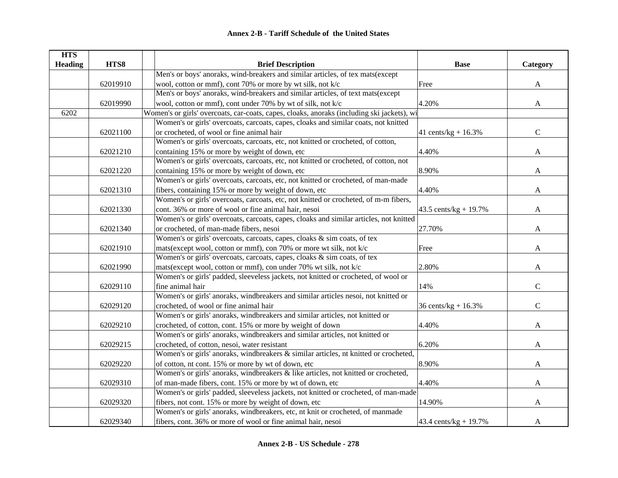| <b>HTS</b>     |          |                                                                                            |                        |               |
|----------------|----------|--------------------------------------------------------------------------------------------|------------------------|---------------|
| <b>Heading</b> | HTS8     | <b>Brief Description</b>                                                                   | <b>Base</b>            | Category      |
|                |          | Men's or boys' anoraks, wind-breakers and similar articles, of tex mats(except             |                        |               |
|                | 62019910 | wool, cotton or mmf), cont 70% or more by wt silk, not k/c                                 | Free                   | $\mathbf{A}$  |
|                |          | Men's or boys' anoraks, wind-breakers and similar articles, of text mats(except            |                        |               |
|                | 62019990 | wool, cotton or mmf), cont under 70% by wt of silk, not k/c                                | 4.20%                  | $\mathbf{A}$  |
| 6202           |          | Women's or girls' overcoats, car-coats, capes, cloaks, anoraks (including ski jackets), wi |                        |               |
|                |          | Women's or girls' overcoats, carcoats, capes, cloaks and similar coats, not knitted        |                        |               |
|                | 62021100 | or crocheted, of wool or fine animal hair                                                  | 41 cents/kg + $16.3%$  | $\mathsf{C}$  |
|                |          | Women's or girls' overcoats, carcoats, etc, not knitted or crocheted, of cotton,           |                        |               |
|                | 62021210 | containing 15% or more by weight of down, etc                                              | 4.40%                  | $\mathbf{A}$  |
|                |          | Women's or girls' overcoats, carcoats, etc, not knitted or crocheted, of cotton, not       |                        |               |
|                | 62021220 | containing 15% or more by weight of down, etc                                              | 8.90%                  | A             |
|                |          | Women's or girls' overcoats, carcoats, etc, not knitted or crocheted, of man-made          |                        |               |
|                | 62021310 | fibers, containing 15% or more by weight of down, etc                                      | 4.40%                  | A             |
|                |          | Women's or girls' overcoats, carcoats, etc, not knitted or crocheted, of m-m fibers,       |                        |               |
|                | 62021330 | cont. 36% or more of wool or fine animal hair, nesoi                                       | 43.5 cents/kg + 19.7%  | A             |
|                |          | Women's or girls' overcoats, carcoats, capes, cloaks and similar articles, not knitted     |                        |               |
|                | 62021340 | or crocheted, of man-made fibers, nesoi                                                    | 27.70%                 | A             |
|                |          | Women's or girls' overcoats, carcoats, capes, cloaks & sim coats, of tex                   |                        |               |
|                | 62021910 | mats(except wool, cotton or mmf), con 70% or more wt silk, not k/c                         | Free                   | A             |
|                |          | Women's or girls' overcoats, carcoats, capes, cloaks & sim coats, of tex                   |                        |               |
|                | 62021990 | mats(except wool, cotton or mmf), con under 70% wt silk, not k/c                           | 2.80%                  | A             |
|                |          | Women's or girls' padded, sleeveless jackets, not knitted or crocheted, of wool or         |                        |               |
|                | 62029110 | fine animal hair                                                                           | 14%                    | $\mathcal{C}$ |
|                |          | Women's or girls' anoraks, windbreakers and similar articles nesoi, not knitted or         |                        |               |
|                | 62029120 | crocheted, of wool or fine animal hair                                                     | 36 cents/ $kg + 16.3%$ | $\mathsf{C}$  |
|                |          | Women's or girls' anoraks, windbreakers and similar articles, not knitted or               |                        |               |
|                | 62029210 | crocheted, of cotton, cont. 15% or more by weight of down                                  | 4.40%                  | A             |
|                |          | Women's or girls' anoraks, windbreakers and similar articles, not knitted or               |                        |               |
|                | 62029215 | crocheted, of cotton, nesoi, water resistant                                               | 6.20%                  | A             |
|                |          | Women's or girls' anoraks, windbreakers & similar articles, nt knitted or crocheted,       |                        |               |
|                | 62029220 | of cotton, nt cont. 15% or more by wt of down, etc                                         | 8.90%                  | A             |
|                |          | Women's or girls' anoraks, windbreakers & like articles, not knitted or crocheted,         |                        |               |
|                | 62029310 | of man-made fibers, cont. 15% or more by wt of down, etc                                   | 4.40%                  | A             |
|                |          | Women's or girls' padded, sleeveless jackets, not knitted or crocheted, of man-made        |                        |               |
|                | 62029320 | fibers, not cont. 15% or more by weight of down, etc                                       | 14.90%                 | A             |
|                |          | Women's or girls' anoraks, windbreakers, etc, nt knit or crocheted, of manmade             |                        |               |
|                | 62029340 | fibers, cont. 36% or more of wool or fine animal hair, nesoi                               | 43.4 cents/kg + 19.7%  | A             |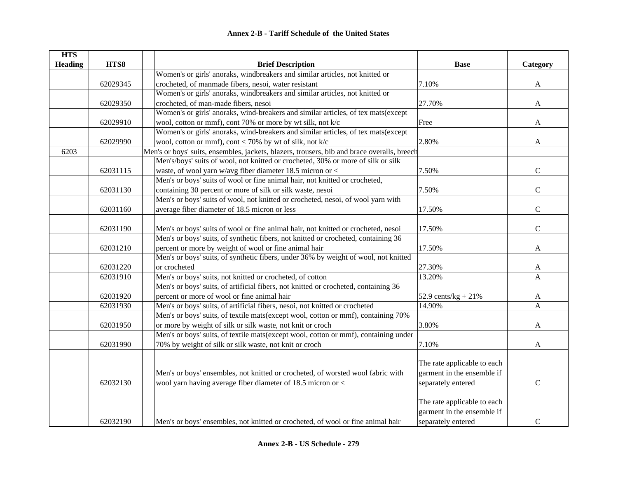| HTS8<br><b>Heading</b><br><b>Brief Description</b><br><b>Base</b><br>Category<br>Women's or girls' anoraks, windbreakers and similar articles, not knitted or<br>crocheted, of manmade fibers, nesoi, water resistant<br>7.10%<br>62029345<br>A<br>Women's or girls' anoraks, windbreakers and similar articles, not knitted or<br>crocheted, of man-made fibers, nesoi<br>27.70%<br>62029350<br>$\mathbf{A}$<br>Women's or girls' anoraks, wind-breakers and similar articles, of tex mats(except<br>62029910<br>wool, cotton or mmf), cont 70% or more by wt silk, not k/c<br>Free<br>A<br>Women's or girls' anoraks, wind-breakers and similar articles, of tex mats(except<br>wool, cotton or mmf), cont < 70% by wt of silk, not k/c<br>2.80%<br>62029990<br>$\mathbf{A}$<br>Men's or boys' suits, ensembles, jackets, blazers, trousers, bib and brace overalls, breech<br>6203<br>Men's/boys' suits of wool, not knitted or crocheted, 30% or more of silk or silk<br>waste, of wool yarn w/avg fiber diameter 18.5 micron or <<br>7.50%<br>$\mathsf C$<br>62031115<br>Men's or boys' suits of wool or fine animal hair, not knitted or crocheted,<br>$\mathbf C$<br>containing 30 percent or more of silk or silk waste, nesoi<br>62031130<br>7.50%<br>Men's or boys' suits of wool, not knitted or crocheted, nesoi, of wool yarn with<br>$\mathbf C$<br>62031160<br>average fiber diameter of 18.5 micron or less<br>17.50%<br>62031190<br>Men's or boys' suits of wool or fine animal hair, not knitted or crocheted, nesoi<br>17.50%<br>$\mathbf C$<br>Men's or boys' suits, of synthetic fibers, not knitted or crocheted, containing 36<br>percent or more by weight of wool or fine animal hair<br>62031210<br>17.50%<br>A<br>Men's or boys' suits, of synthetic fibers, under 36% by weight of wool, not knitted<br>62031220<br>or crocheted<br>27.30%<br>A<br>Men's or boys' suits, not knitted or crocheted, of cotton<br>62031910<br>13.20%<br>A<br>Men's or boys' suits, of artificial fibers, not knitted or crocheted, containing 36<br>percent or more of wool or fine animal hair<br>62031920<br>52.9 cents/ $kg + 21%$<br>A<br>Men's or boys' suits, of artificial fibers, nesoi, not knitted or crocheted<br>14.90%<br>$\mathbf{A}$<br>62031930<br>Men's or boys' suits, of textile mats(except wool, cotton or mmf), containing 70%<br>3.80%<br>or more by weight of silk or silk waste, not knit or croch<br>62031950<br>A<br>Men's or boys' suits, of textile mats(except wool, cotton or mmf), containing under<br>62031990<br>70% by weight of silk or silk waste, not knit or croch<br>7.10%<br>A<br>The rate applicable to each<br>garment in the ensemble if<br>Men's or boys' ensembles, not knitted or crocheted, of worsted wool fabric with<br>wool yarn having average fiber diameter of 18.5 micron or <<br>$\mathbf C$<br>62032130<br>separately entered<br>The rate applicable to each<br>garment in the ensemble if | <b>HTS</b> |                                                                                 |                    |               |
|----------------------------------------------------------------------------------------------------------------------------------------------------------------------------------------------------------------------------------------------------------------------------------------------------------------------------------------------------------------------------------------------------------------------------------------------------------------------------------------------------------------------------------------------------------------------------------------------------------------------------------------------------------------------------------------------------------------------------------------------------------------------------------------------------------------------------------------------------------------------------------------------------------------------------------------------------------------------------------------------------------------------------------------------------------------------------------------------------------------------------------------------------------------------------------------------------------------------------------------------------------------------------------------------------------------------------------------------------------------------------------------------------------------------------------------------------------------------------------------------------------------------------------------------------------------------------------------------------------------------------------------------------------------------------------------------------------------------------------------------------------------------------------------------------------------------------------------------------------------------------------------------------------------------------------------------------------------------------------------------------------------------------------------------------------------------------------------------------------------------------------------------------------------------------------------------------------------------------------------------------------------------------------------------------------------------------------------------------------------------------------------------------------------------------------------------------------------------------------------------------------------------------------------------------------------------------------------------------------------------------------------------------------------------------------------------------------------------------------------------------------------------------------------------------------------------------------------------------------------------------------------------------------------------------------------------------------------|------------|---------------------------------------------------------------------------------|--------------------|---------------|
|                                                                                                                                                                                                                                                                                                                                                                                                                                                                                                                                                                                                                                                                                                                                                                                                                                                                                                                                                                                                                                                                                                                                                                                                                                                                                                                                                                                                                                                                                                                                                                                                                                                                                                                                                                                                                                                                                                                                                                                                                                                                                                                                                                                                                                                                                                                                                                                                                                                                                                                                                                                                                                                                                                                                                                                                                                                                                                                                                                |            |                                                                                 |                    |               |
|                                                                                                                                                                                                                                                                                                                                                                                                                                                                                                                                                                                                                                                                                                                                                                                                                                                                                                                                                                                                                                                                                                                                                                                                                                                                                                                                                                                                                                                                                                                                                                                                                                                                                                                                                                                                                                                                                                                                                                                                                                                                                                                                                                                                                                                                                                                                                                                                                                                                                                                                                                                                                                                                                                                                                                                                                                                                                                                                                                |            |                                                                                 |                    |               |
|                                                                                                                                                                                                                                                                                                                                                                                                                                                                                                                                                                                                                                                                                                                                                                                                                                                                                                                                                                                                                                                                                                                                                                                                                                                                                                                                                                                                                                                                                                                                                                                                                                                                                                                                                                                                                                                                                                                                                                                                                                                                                                                                                                                                                                                                                                                                                                                                                                                                                                                                                                                                                                                                                                                                                                                                                                                                                                                                                                |            |                                                                                 |                    |               |
|                                                                                                                                                                                                                                                                                                                                                                                                                                                                                                                                                                                                                                                                                                                                                                                                                                                                                                                                                                                                                                                                                                                                                                                                                                                                                                                                                                                                                                                                                                                                                                                                                                                                                                                                                                                                                                                                                                                                                                                                                                                                                                                                                                                                                                                                                                                                                                                                                                                                                                                                                                                                                                                                                                                                                                                                                                                                                                                                                                |            |                                                                                 |                    |               |
|                                                                                                                                                                                                                                                                                                                                                                                                                                                                                                                                                                                                                                                                                                                                                                                                                                                                                                                                                                                                                                                                                                                                                                                                                                                                                                                                                                                                                                                                                                                                                                                                                                                                                                                                                                                                                                                                                                                                                                                                                                                                                                                                                                                                                                                                                                                                                                                                                                                                                                                                                                                                                                                                                                                                                                                                                                                                                                                                                                |            |                                                                                 |                    |               |
|                                                                                                                                                                                                                                                                                                                                                                                                                                                                                                                                                                                                                                                                                                                                                                                                                                                                                                                                                                                                                                                                                                                                                                                                                                                                                                                                                                                                                                                                                                                                                                                                                                                                                                                                                                                                                                                                                                                                                                                                                                                                                                                                                                                                                                                                                                                                                                                                                                                                                                                                                                                                                                                                                                                                                                                                                                                                                                                                                                |            |                                                                                 |                    |               |
|                                                                                                                                                                                                                                                                                                                                                                                                                                                                                                                                                                                                                                                                                                                                                                                                                                                                                                                                                                                                                                                                                                                                                                                                                                                                                                                                                                                                                                                                                                                                                                                                                                                                                                                                                                                                                                                                                                                                                                                                                                                                                                                                                                                                                                                                                                                                                                                                                                                                                                                                                                                                                                                                                                                                                                                                                                                                                                                                                                |            |                                                                                 |                    |               |
|                                                                                                                                                                                                                                                                                                                                                                                                                                                                                                                                                                                                                                                                                                                                                                                                                                                                                                                                                                                                                                                                                                                                                                                                                                                                                                                                                                                                                                                                                                                                                                                                                                                                                                                                                                                                                                                                                                                                                                                                                                                                                                                                                                                                                                                                                                                                                                                                                                                                                                                                                                                                                                                                                                                                                                                                                                                                                                                                                                |            |                                                                                 |                    |               |
|                                                                                                                                                                                                                                                                                                                                                                                                                                                                                                                                                                                                                                                                                                                                                                                                                                                                                                                                                                                                                                                                                                                                                                                                                                                                                                                                                                                                                                                                                                                                                                                                                                                                                                                                                                                                                                                                                                                                                                                                                                                                                                                                                                                                                                                                                                                                                                                                                                                                                                                                                                                                                                                                                                                                                                                                                                                                                                                                                                |            |                                                                                 |                    |               |
|                                                                                                                                                                                                                                                                                                                                                                                                                                                                                                                                                                                                                                                                                                                                                                                                                                                                                                                                                                                                                                                                                                                                                                                                                                                                                                                                                                                                                                                                                                                                                                                                                                                                                                                                                                                                                                                                                                                                                                                                                                                                                                                                                                                                                                                                                                                                                                                                                                                                                                                                                                                                                                                                                                                                                                                                                                                                                                                                                                |            |                                                                                 |                    |               |
|                                                                                                                                                                                                                                                                                                                                                                                                                                                                                                                                                                                                                                                                                                                                                                                                                                                                                                                                                                                                                                                                                                                                                                                                                                                                                                                                                                                                                                                                                                                                                                                                                                                                                                                                                                                                                                                                                                                                                                                                                                                                                                                                                                                                                                                                                                                                                                                                                                                                                                                                                                                                                                                                                                                                                                                                                                                                                                                                                                |            |                                                                                 |                    |               |
|                                                                                                                                                                                                                                                                                                                                                                                                                                                                                                                                                                                                                                                                                                                                                                                                                                                                                                                                                                                                                                                                                                                                                                                                                                                                                                                                                                                                                                                                                                                                                                                                                                                                                                                                                                                                                                                                                                                                                                                                                                                                                                                                                                                                                                                                                                                                                                                                                                                                                                                                                                                                                                                                                                                                                                                                                                                                                                                                                                |            |                                                                                 |                    |               |
|                                                                                                                                                                                                                                                                                                                                                                                                                                                                                                                                                                                                                                                                                                                                                                                                                                                                                                                                                                                                                                                                                                                                                                                                                                                                                                                                                                                                                                                                                                                                                                                                                                                                                                                                                                                                                                                                                                                                                                                                                                                                                                                                                                                                                                                                                                                                                                                                                                                                                                                                                                                                                                                                                                                                                                                                                                                                                                                                                                |            |                                                                                 |                    |               |
|                                                                                                                                                                                                                                                                                                                                                                                                                                                                                                                                                                                                                                                                                                                                                                                                                                                                                                                                                                                                                                                                                                                                                                                                                                                                                                                                                                                                                                                                                                                                                                                                                                                                                                                                                                                                                                                                                                                                                                                                                                                                                                                                                                                                                                                                                                                                                                                                                                                                                                                                                                                                                                                                                                                                                                                                                                                                                                                                                                |            |                                                                                 |                    |               |
|                                                                                                                                                                                                                                                                                                                                                                                                                                                                                                                                                                                                                                                                                                                                                                                                                                                                                                                                                                                                                                                                                                                                                                                                                                                                                                                                                                                                                                                                                                                                                                                                                                                                                                                                                                                                                                                                                                                                                                                                                                                                                                                                                                                                                                                                                                                                                                                                                                                                                                                                                                                                                                                                                                                                                                                                                                                                                                                                                                |            |                                                                                 |                    |               |
|                                                                                                                                                                                                                                                                                                                                                                                                                                                                                                                                                                                                                                                                                                                                                                                                                                                                                                                                                                                                                                                                                                                                                                                                                                                                                                                                                                                                                                                                                                                                                                                                                                                                                                                                                                                                                                                                                                                                                                                                                                                                                                                                                                                                                                                                                                                                                                                                                                                                                                                                                                                                                                                                                                                                                                                                                                                                                                                                                                |            |                                                                                 |                    |               |
|                                                                                                                                                                                                                                                                                                                                                                                                                                                                                                                                                                                                                                                                                                                                                                                                                                                                                                                                                                                                                                                                                                                                                                                                                                                                                                                                                                                                                                                                                                                                                                                                                                                                                                                                                                                                                                                                                                                                                                                                                                                                                                                                                                                                                                                                                                                                                                                                                                                                                                                                                                                                                                                                                                                                                                                                                                                                                                                                                                |            |                                                                                 |                    |               |
|                                                                                                                                                                                                                                                                                                                                                                                                                                                                                                                                                                                                                                                                                                                                                                                                                                                                                                                                                                                                                                                                                                                                                                                                                                                                                                                                                                                                                                                                                                                                                                                                                                                                                                                                                                                                                                                                                                                                                                                                                                                                                                                                                                                                                                                                                                                                                                                                                                                                                                                                                                                                                                                                                                                                                                                                                                                                                                                                                                |            |                                                                                 |                    |               |
|                                                                                                                                                                                                                                                                                                                                                                                                                                                                                                                                                                                                                                                                                                                                                                                                                                                                                                                                                                                                                                                                                                                                                                                                                                                                                                                                                                                                                                                                                                                                                                                                                                                                                                                                                                                                                                                                                                                                                                                                                                                                                                                                                                                                                                                                                                                                                                                                                                                                                                                                                                                                                                                                                                                                                                                                                                                                                                                                                                |            |                                                                                 |                    |               |
|                                                                                                                                                                                                                                                                                                                                                                                                                                                                                                                                                                                                                                                                                                                                                                                                                                                                                                                                                                                                                                                                                                                                                                                                                                                                                                                                                                                                                                                                                                                                                                                                                                                                                                                                                                                                                                                                                                                                                                                                                                                                                                                                                                                                                                                                                                                                                                                                                                                                                                                                                                                                                                                                                                                                                                                                                                                                                                                                                                |            |                                                                                 |                    |               |
|                                                                                                                                                                                                                                                                                                                                                                                                                                                                                                                                                                                                                                                                                                                                                                                                                                                                                                                                                                                                                                                                                                                                                                                                                                                                                                                                                                                                                                                                                                                                                                                                                                                                                                                                                                                                                                                                                                                                                                                                                                                                                                                                                                                                                                                                                                                                                                                                                                                                                                                                                                                                                                                                                                                                                                                                                                                                                                                                                                |            |                                                                                 |                    |               |
|                                                                                                                                                                                                                                                                                                                                                                                                                                                                                                                                                                                                                                                                                                                                                                                                                                                                                                                                                                                                                                                                                                                                                                                                                                                                                                                                                                                                                                                                                                                                                                                                                                                                                                                                                                                                                                                                                                                                                                                                                                                                                                                                                                                                                                                                                                                                                                                                                                                                                                                                                                                                                                                                                                                                                                                                                                                                                                                                                                |            |                                                                                 |                    |               |
|                                                                                                                                                                                                                                                                                                                                                                                                                                                                                                                                                                                                                                                                                                                                                                                                                                                                                                                                                                                                                                                                                                                                                                                                                                                                                                                                                                                                                                                                                                                                                                                                                                                                                                                                                                                                                                                                                                                                                                                                                                                                                                                                                                                                                                                                                                                                                                                                                                                                                                                                                                                                                                                                                                                                                                                                                                                                                                                                                                |            |                                                                                 |                    |               |
|                                                                                                                                                                                                                                                                                                                                                                                                                                                                                                                                                                                                                                                                                                                                                                                                                                                                                                                                                                                                                                                                                                                                                                                                                                                                                                                                                                                                                                                                                                                                                                                                                                                                                                                                                                                                                                                                                                                                                                                                                                                                                                                                                                                                                                                                                                                                                                                                                                                                                                                                                                                                                                                                                                                                                                                                                                                                                                                                                                |            |                                                                                 |                    |               |
|                                                                                                                                                                                                                                                                                                                                                                                                                                                                                                                                                                                                                                                                                                                                                                                                                                                                                                                                                                                                                                                                                                                                                                                                                                                                                                                                                                                                                                                                                                                                                                                                                                                                                                                                                                                                                                                                                                                                                                                                                                                                                                                                                                                                                                                                                                                                                                                                                                                                                                                                                                                                                                                                                                                                                                                                                                                                                                                                                                |            |                                                                                 |                    |               |
|                                                                                                                                                                                                                                                                                                                                                                                                                                                                                                                                                                                                                                                                                                                                                                                                                                                                                                                                                                                                                                                                                                                                                                                                                                                                                                                                                                                                                                                                                                                                                                                                                                                                                                                                                                                                                                                                                                                                                                                                                                                                                                                                                                                                                                                                                                                                                                                                                                                                                                                                                                                                                                                                                                                                                                                                                                                                                                                                                                |            |                                                                                 |                    |               |
|                                                                                                                                                                                                                                                                                                                                                                                                                                                                                                                                                                                                                                                                                                                                                                                                                                                                                                                                                                                                                                                                                                                                                                                                                                                                                                                                                                                                                                                                                                                                                                                                                                                                                                                                                                                                                                                                                                                                                                                                                                                                                                                                                                                                                                                                                                                                                                                                                                                                                                                                                                                                                                                                                                                                                                                                                                                                                                                                                                |            |                                                                                 |                    |               |
|                                                                                                                                                                                                                                                                                                                                                                                                                                                                                                                                                                                                                                                                                                                                                                                                                                                                                                                                                                                                                                                                                                                                                                                                                                                                                                                                                                                                                                                                                                                                                                                                                                                                                                                                                                                                                                                                                                                                                                                                                                                                                                                                                                                                                                                                                                                                                                                                                                                                                                                                                                                                                                                                                                                                                                                                                                                                                                                                                                |            |                                                                                 |                    |               |
|                                                                                                                                                                                                                                                                                                                                                                                                                                                                                                                                                                                                                                                                                                                                                                                                                                                                                                                                                                                                                                                                                                                                                                                                                                                                                                                                                                                                                                                                                                                                                                                                                                                                                                                                                                                                                                                                                                                                                                                                                                                                                                                                                                                                                                                                                                                                                                                                                                                                                                                                                                                                                                                                                                                                                                                                                                                                                                                                                                |            |                                                                                 |                    |               |
|                                                                                                                                                                                                                                                                                                                                                                                                                                                                                                                                                                                                                                                                                                                                                                                                                                                                                                                                                                                                                                                                                                                                                                                                                                                                                                                                                                                                                                                                                                                                                                                                                                                                                                                                                                                                                                                                                                                                                                                                                                                                                                                                                                                                                                                                                                                                                                                                                                                                                                                                                                                                                                                                                                                                                                                                                                                                                                                                                                |            |                                                                                 |                    |               |
|                                                                                                                                                                                                                                                                                                                                                                                                                                                                                                                                                                                                                                                                                                                                                                                                                                                                                                                                                                                                                                                                                                                                                                                                                                                                                                                                                                                                                                                                                                                                                                                                                                                                                                                                                                                                                                                                                                                                                                                                                                                                                                                                                                                                                                                                                                                                                                                                                                                                                                                                                                                                                                                                                                                                                                                                                                                                                                                                                                |            |                                                                                 |                    |               |
|                                                                                                                                                                                                                                                                                                                                                                                                                                                                                                                                                                                                                                                                                                                                                                                                                                                                                                                                                                                                                                                                                                                                                                                                                                                                                                                                                                                                                                                                                                                                                                                                                                                                                                                                                                                                                                                                                                                                                                                                                                                                                                                                                                                                                                                                                                                                                                                                                                                                                                                                                                                                                                                                                                                                                                                                                                                                                                                                                                |            |                                                                                 |                    |               |
|                                                                                                                                                                                                                                                                                                                                                                                                                                                                                                                                                                                                                                                                                                                                                                                                                                                                                                                                                                                                                                                                                                                                                                                                                                                                                                                                                                                                                                                                                                                                                                                                                                                                                                                                                                                                                                                                                                                                                                                                                                                                                                                                                                                                                                                                                                                                                                                                                                                                                                                                                                                                                                                                                                                                                                                                                                                                                                                                                                |            |                                                                                 |                    |               |
|                                                                                                                                                                                                                                                                                                                                                                                                                                                                                                                                                                                                                                                                                                                                                                                                                                                                                                                                                                                                                                                                                                                                                                                                                                                                                                                                                                                                                                                                                                                                                                                                                                                                                                                                                                                                                                                                                                                                                                                                                                                                                                                                                                                                                                                                                                                                                                                                                                                                                                                                                                                                                                                                                                                                                                                                                                                                                                                                                                |            |                                                                                 |                    |               |
|                                                                                                                                                                                                                                                                                                                                                                                                                                                                                                                                                                                                                                                                                                                                                                                                                                                                                                                                                                                                                                                                                                                                                                                                                                                                                                                                                                                                                                                                                                                                                                                                                                                                                                                                                                                                                                                                                                                                                                                                                                                                                                                                                                                                                                                                                                                                                                                                                                                                                                                                                                                                                                                                                                                                                                                                                                                                                                                                                                |            |                                                                                 |                    |               |
|                                                                                                                                                                                                                                                                                                                                                                                                                                                                                                                                                                                                                                                                                                                                                                                                                                                                                                                                                                                                                                                                                                                                                                                                                                                                                                                                                                                                                                                                                                                                                                                                                                                                                                                                                                                                                                                                                                                                                                                                                                                                                                                                                                                                                                                                                                                                                                                                                                                                                                                                                                                                                                                                                                                                                                                                                                                                                                                                                                |            |                                                                                 |                    |               |
| 62032190                                                                                                                                                                                                                                                                                                                                                                                                                                                                                                                                                                                                                                                                                                                                                                                                                                                                                                                                                                                                                                                                                                                                                                                                                                                                                                                                                                                                                                                                                                                                                                                                                                                                                                                                                                                                                                                                                                                                                                                                                                                                                                                                                                                                                                                                                                                                                                                                                                                                                                                                                                                                                                                                                                                                                                                                                                                                                                                                                       |            | Men's or boys' ensembles, not knitted or crocheted, of wool or fine animal hair | separately entered | $\mathcal{C}$ |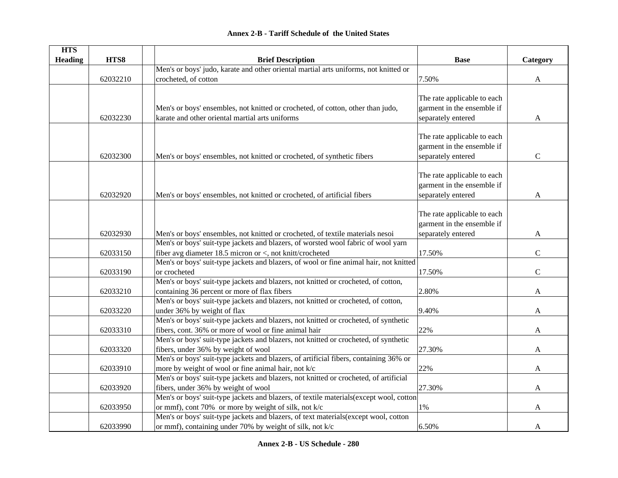### **HTS Heading are HTS8 are THTS8 Brief Description Brief Description Base Base Example Category** 62032210Men's or boys' judo, karate and other oriental martial arts uniforms, not knitted or crocheted, of cotton  $\overline{7.50\%}$  A 62032230Men's or boys' ensembles, not knitted or crocheted, of cotton, other than judo, karate and other oriental martial arts uniformsThe rate applicable to each garment in the ensemble if separately entered A 62032300 Men's or boys' ensembles, not knitted or crocheted, of synthetic fibers The rate applicable to each garment in the ensemble if separately entered C 62032920 Men's or boys' ensembles, not knitted or crocheted, of artificial fibers The rate applicable to each garment in the ensemble if separately entered A 62032930 Men's or boys' ensembles, not knitted or crocheted, of textile materials nesoi The rate applicable to each garment in the ensemble if separately entered A 62033150Men's or boys' suit-type jackets and blazers, of worsted wool fabric of wool yarn fiber avg diameter 18.5 micron or  $\lt$ , not knitt/crocheted 17.50% C 62033190Men's or boys' suit-type jackets and blazers, of wool or fine animal hair, not knitted or crocheted and the contract of the contract of the contract of the contract of the contract of the contract of the contract of the contract of the contract of the contract of the contract of the contract of the contract 62033210Men's or boys' suit-type jackets and blazers, not knitted or crocheted, of cotton, containing 36 percent or more of flax fibers  $2.80\%$  A 62033220Men's or boys' suit-type jackets and blazers, not knitted or crocheted, of cotton, under 36% by weight of flax  $9.40\%$  A 62033310Men's or boys' suit-type jackets and blazers, not knitted or crocheted, of synthetic fibers, cont. 36% or more of wool or fine animal hair  $22\%$  A 62033320Men's or boys' suit-type jackets and blazers, not knitted or crocheted, of synthetic fibers, under 36% by weight of wool  $27.30\%$  A 62033910Men's or boys' suit-type jackets and blazers, of artificial fibers, containing 36% or more by weight of wool or fine animal hair, not k/c  $22\%$  and  $22\%$  A 62033920Men's or boys' suit-type jackets and blazers, not knitted or crocheted, of artificial fibers, under 36% by weight of wool 27.30% A 62033950 Men's or boys' suit-type jackets and blazers, of textile materials(except wool, cotton or mmf), cont 70% or more by weight of silk, not k/c  $1\%$  and  $1\%$ Men's or boys' suit-type jackets and blazers, of text materials(except wool, cotton

or mmf), containing under 70% by weight of silk, not k/c 6.50% A

62033990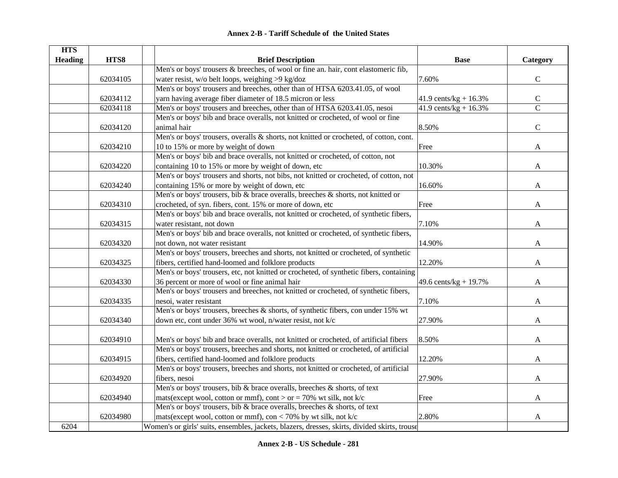| <b>HTS</b>     |          |                                                                                               |                          |                |
|----------------|----------|-----------------------------------------------------------------------------------------------|--------------------------|----------------|
| <b>Heading</b> | HTS8     | <b>Brief Description</b>                                                                      | <b>Base</b>              | Category       |
|                |          | Men's or boys' trousers & breeches, of wool or fine an. hair, cont elastomeric fib,           |                          |                |
|                | 62034105 | water resist, w/o belt loops, weighing >9 kg/doz                                              | 7.60%                    | ${\bf C}$      |
|                |          | Men's or boys' trousers and breeches, other than of HTSA 6203.41.05, of wool                  |                          |                |
|                | 62034112 | yarn having average fiber diameter of 18.5 micron or less                                     | 41.9 cents/kg + $16.3\%$ | $\mathsf C$    |
|                | 62034118 | Men's or boys' trousers and breeches, other than of HTSA 6203.41.05, nesoi                    | 41.9 cents/kg + $16.3\%$ | $\overline{C}$ |
|                |          | Men's or boys' bib and brace overalls, not knitted or crocheted, of wool or fine              |                          |                |
|                | 62034120 | animal hair                                                                                   | 8.50%                    | $\mathbf C$    |
|                |          | Men's or boys' trousers, overalls & shorts, not knitted or crocheted, of cotton, cont.        |                          |                |
|                | 62034210 | 10 to 15% or more by weight of down                                                           | Free                     | A              |
|                |          | Men's or boys' bib and brace overalls, not knitted or crocheted, of cotton, not               |                          |                |
|                | 62034220 | containing 10 to 15% or more by weight of down, etc                                           | 10.30%                   | A              |
|                |          | Men's or boys' trousers and shorts, not bibs, not knitted or crocheted, of cotton, not        |                          |                |
|                | 62034240 | containing 15% or more by weight of down, etc                                                 | 16.60%                   | A              |
|                |          | Men's or boys' trousers, bib & brace overalls, breeches & shorts, not knitted or              |                          |                |
|                | 62034310 | crocheted, of syn. fibers, cont. 15% or more of down, etc                                     | Free                     | A              |
|                |          | Men's or boys' bib and brace overalls, not knitted or crocheted, of synthetic fibers,         |                          |                |
|                | 62034315 | water resistant, not down                                                                     | 7.10%                    | A              |
|                |          | Men's or boys' bib and brace overalls, not knitted or crocheted, of synthetic fibers,         |                          |                |
|                | 62034320 | not down, not water resistant                                                                 | 14.90%                   | A              |
|                |          | Men's or boys' trousers, breeches and shorts, not knitted or crocheted, of synthetic          |                          |                |
|                | 62034325 | fibers, certified hand-loomed and folklore products                                           | 12.20%                   | A              |
|                |          | Men's or boys' trousers, etc, not knitted or crocheted, of synthetic fibers, containing       |                          |                |
|                | 62034330 | 36 percent or more of wool or fine animal hair                                                | 49.6 cents/kg + $19.7%$  | A              |
|                |          | Men's or boys' trousers and breeches, not knitted or crocheted, of synthetic fibers,          |                          |                |
|                | 62034335 | nesoi, water resistant                                                                        | 7.10%                    | A              |
|                |          | Men's or boys' trousers, breeches & shorts, of synthetic fibers, con under 15% wt             |                          |                |
|                | 62034340 | down etc, cont under 36% wt wool, n/water resist, not k/c                                     | 27.90%                   | A              |
|                |          |                                                                                               |                          |                |
|                | 62034910 | Men's or boys' bib and brace overalls, not knitted or crocheted, of artificial fibers         | 8.50%                    | A              |
|                |          | Men's or boys' trousers, breeches and shorts, not knitted or crocheted, of artificial         |                          |                |
|                | 62034915 | fibers, certified hand-loomed and folklore products                                           | 12.20%                   | A              |
|                |          | Men's or boys' trousers, breeches and shorts, not knitted or crocheted, of artificial         |                          |                |
|                | 62034920 | fibers, nesoi                                                                                 | 27.90%                   | A              |
|                |          | Men's or boys' trousers, bib & brace overalls, breeches & shorts, of text                     |                          |                |
|                | 62034940 | mats(except wool, cotton or mmf), cont > or = 70% wt silk, not k/c                            | Free                     | A              |
|                |          | Men's or boys' trousers, bib & brace overalls, breeches & shorts, of text                     |                          |                |
|                | 62034980 | mats (except wool, cotton or mmf), con < 70% by wt silk, not $k/c$                            | 2.80%                    | A              |
| 6204           |          | Women's or girls' suits, ensembles, jackets, blazers, dresses, skirts, divided skirts, trouse |                          |                |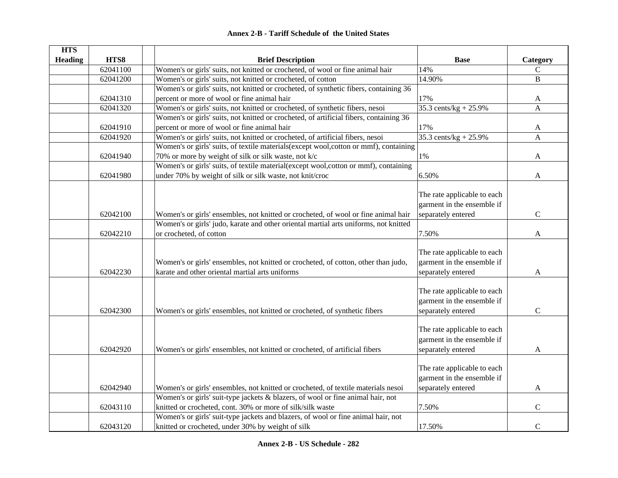|  | <b>Annex 2-B - Tariff Schedule of the United States</b> |  |
|--|---------------------------------------------------------|--|
|--|---------------------------------------------------------|--|

| <b>HTS</b>     |          |                                                                                        |                             |              |
|----------------|----------|----------------------------------------------------------------------------------------|-----------------------------|--------------|
| <b>Heading</b> | HTS8     | <b>Brief Description</b>                                                               | <b>Base</b>                 | Category     |
|                | 62041100 | Women's or girls' suits, not knitted or crocheted, of wool or fine animal hair         | 14%                         | $\mathbf C$  |
|                | 62041200 | Women's or girls' suits, not knitted or crocheted, of cotton                           | 14.90%                      | $\mathbf{B}$ |
|                |          | Women's or girls' suits, not knitted or crocheted, of synthetic fibers, containing 36  |                             |              |
|                | 62041310 | percent or more of wool or fine animal hair                                            | 17%                         | A            |
|                | 62041320 | Women's or girls' suits, not knitted or crocheted, of synthetic fibers, nesoi          | 35.3 cents/kg + 25.9%       | $\mathbf{A}$ |
|                |          | Women's or girls' suits, not knitted or crocheted, of artificial fibers, containing 36 |                             |              |
|                | 62041910 | percent or more of wool or fine animal hair                                            | 17%                         | $\mathbf{A}$ |
|                | 62041920 | Women's or girls' suits, not knitted or crocheted, of artificial fibers, nesoi         | 35.3 cents/kg + $25.9\%$    | $\mathbf{A}$ |
|                |          | Women's or girls' suits, of textile materials(except wool, cotton or mmf), containing  |                             |              |
|                | 62041940 | 70% or more by weight of silk or silk waste, not k/c                                   | $1\%$                       | A            |
|                |          | Women's or girls' suits, of textile material(except wool, cotton or mmf), containing   |                             |              |
|                | 62041980 | under 70% by weight of silk or silk waste, not knit/croc                               | 6.50%                       | A            |
|                |          |                                                                                        |                             |              |
|                |          |                                                                                        | The rate applicable to each |              |
|                |          |                                                                                        | garment in the ensemble if  |              |
|                | 62042100 | Women's or girls' ensembles, not knitted or crocheted, of wool or fine animal hair     | separately entered          | $\mathbf C$  |
|                |          | Women's or girls' judo, karate and other oriental martial arts uniforms, not knitted   |                             |              |
|                | 62042210 | or crocheted, of cotton                                                                | 7.50%                       | $\mathbf{A}$ |
|                |          |                                                                                        |                             |              |
|                |          |                                                                                        | The rate applicable to each |              |
|                |          | Women's or girls' ensembles, not knitted or crocheted, of cotton, other than judo,     | garment in the ensemble if  |              |
|                | 62042230 | karate and other oriental martial arts uniforms                                        | separately entered          | A            |
|                |          |                                                                                        |                             |              |
|                |          |                                                                                        | The rate applicable to each |              |
|                |          |                                                                                        | garment in the ensemble if  |              |
|                | 62042300 | Women's or girls' ensembles, not knitted or crocheted, of synthetic fibers             | separately entered          | $\mathbf C$  |
|                |          |                                                                                        |                             |              |
|                |          |                                                                                        | The rate applicable to each |              |
|                |          |                                                                                        | garment in the ensemble if  |              |
|                | 62042920 | Women's or girls' ensembles, not knitted or crocheted, of artificial fibers            | separately entered          | A            |
|                |          |                                                                                        |                             |              |
|                |          |                                                                                        | The rate applicable to each |              |
|                |          |                                                                                        | garment in the ensemble if  |              |
|                | 62042940 | Women's or girls' ensembles, not knitted or crocheted, of textile materials nesoi      | separately entered          | $\mathbf{A}$ |
|                |          | Women's or girls' suit-type jackets & blazers, of wool or fine animal hair, not        |                             |              |
|                | 62043110 | knitted or crocheted, cont. 30% or more of silk/silk waste                             | 7.50%                       | $\mathbf C$  |
|                |          | Women's or girls' suit-type jackets and blazers, of wool or fine animal hair, not      |                             |              |
|                | 62043120 | knitted or crocheted, under 30% by weight of silk                                      | 17.50%                      | $\mathbf C$  |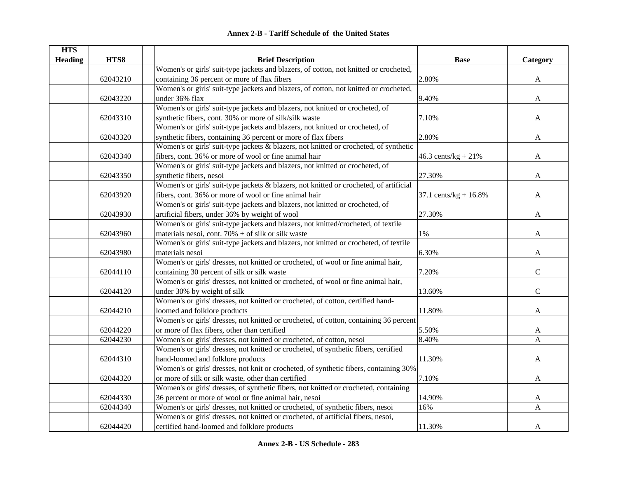| <b>HTS</b>     |          |                                                                                        |                           |              |
|----------------|----------|----------------------------------------------------------------------------------------|---------------------------|--------------|
| <b>Heading</b> | HTS8     | <b>Brief Description</b>                                                               | <b>Base</b>               | Category     |
|                |          | Women's or girls' suit-type jackets and blazers, of cotton, not knitted or crocheted,  |                           |              |
|                | 62043210 | containing 36 percent or more of flax fibers                                           | 2.80%                     | A            |
|                |          | Women's or girls' suit-type jackets and blazers, of cotton, not knitted or crocheted,  |                           |              |
|                | 62043220 | under 36% flax                                                                         | 9.40%                     | A            |
|                |          | Women's or girls' suit-type jackets and blazers, not knitted or crocheted, of          |                           |              |
|                | 62043310 | synthetic fibers, cont. 30% or more of silk/silk waste                                 | 7.10%                     | A            |
|                |          | Women's or girls' suit-type jackets and blazers, not knitted or crocheted, of          |                           |              |
|                | 62043320 | synthetic fibers, containing 36 percent or more of flax fibers                         | 2.80%                     | A            |
|                |          | Women's or girls' suit-type jackets & blazers, not knitted or crocheted, of synthetic  |                           |              |
|                | 62043340 | fibers, cont. 36% or more of wool or fine animal hair                                  | 46.3 cents/kg + $21\%$    | A            |
|                |          | Women's or girls' suit-type jackets and blazers, not knitted or crocheted, of          |                           |              |
|                | 62043350 | synthetic fibers, nesoi                                                                | 27.30%                    | A            |
|                |          | Women's or girls' suit-type jackets & blazers, not knitted or crocheted, of artificial |                           |              |
|                | 62043920 | fibers, cont. 36% or more of wool or fine animal hair                                  | 37.1 cents/ $kg + 16.8\%$ | A            |
|                |          | Women's or girls' suit-type jackets and blazers, not knitted or crocheted, of          |                           |              |
|                | 62043930 | artificial fibers, under 36% by weight of wool                                         | 27.30%                    | A            |
|                |          | Women's or girls' suit-type jackets and blazers, not knitted/crocheted, of textile     |                           |              |
|                | 62043960 | materials nesoi, cont. $70\%$ + of silk or silk waste                                  | 1%                        | A            |
|                |          | Women's or girls' suit-type jackets and blazers, not knitted or crocheted, of textile  |                           |              |
|                | 62043980 | materials nesoi                                                                        | 6.30%                     | $\mathbf{A}$ |
|                |          | Women's or girls' dresses, not knitted or crocheted, of wool or fine animal hair,      |                           |              |
|                | 62044110 | containing 30 percent of silk or silk waste                                            | 7.20%                     | $\mathbf C$  |
|                |          | Women's or girls' dresses, not knitted or crocheted, of wool or fine animal hair,      |                           |              |
|                | 62044120 | under 30% by weight of silk                                                            | 13.60%                    | $\mathbf C$  |
|                |          | Women's or girls' dresses, not knitted or crocheted, of cotton, certified hand-        |                           |              |
|                | 62044210 | loomed and folklore products                                                           | 11.80%                    | A            |
|                |          | Women's or girls' dresses, not knitted or crocheted, of cotton, containing 36 percent  |                           |              |
|                | 62044220 | or more of flax fibers, other than certified                                           | 5.50%                     | A            |
|                | 62044230 | Women's or girls' dresses, not knitted or crocheted, of cotton, nesoi                  | 8.40%                     | A            |
|                |          | Women's or girls' dresses, not knitted or crocheted, of synthetic fibers, certified    |                           |              |
|                | 62044310 | hand-loomed and folklore products                                                      | 11.30%                    | A            |
|                |          | Women's or girls' dresses, not knit or crocheted, of synthetic fibers, containing 30%  |                           |              |
|                | 62044320 | or more of silk or silk waste, other than certified                                    | 7.10%                     | A            |
|                |          | Women's or girls' dresses, of synthetic fibers, not knitted or crocheted, containing   |                           |              |
|                | 62044330 | 36 percent or more of wool or fine animal hair, nesoi                                  | 14.90%                    | A            |
|                | 62044340 | Women's or girls' dresses, not knitted or crocheted, of synthetic fibers, nesoi        | 16%                       | $\mathbf{A}$ |
|                |          | Women's or girls' dresses, not knitted or crocheted, of artificial fibers, nesoi,      |                           |              |
|                | 62044420 | certified hand-loomed and folklore products                                            | 11.30%                    | A            |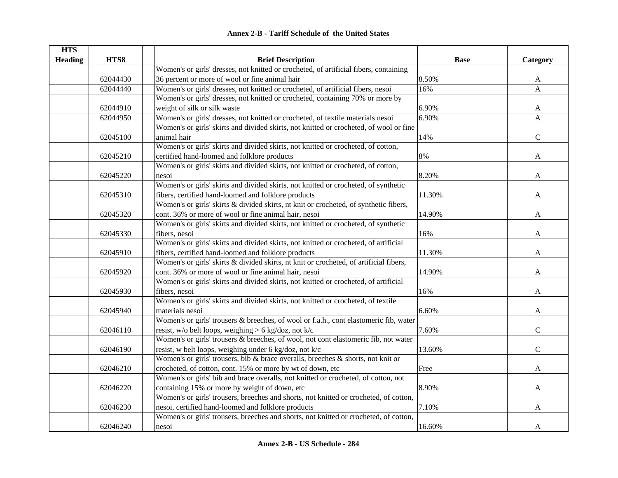| <b>HTS</b>     |          |                                                                                        |             |              |
|----------------|----------|----------------------------------------------------------------------------------------|-------------|--------------|
| <b>Heading</b> | HTS8     | <b>Brief Description</b>                                                               | <b>Base</b> | Category     |
|                |          | Women's or girls' dresses, not knitted or crocheted, of artificial fibers, containing  |             |              |
|                | 62044430 | 36 percent or more of wool or fine animal hair                                         | 8.50%       | A            |
|                | 62044440 | Women's or girls' dresses, not knitted or crocheted, of artificial fibers, nesoi       | 16%         | $\mathbf{A}$ |
|                |          | Women's or girls' dresses, not knitted or crocheted, containing 70% or more by         |             |              |
|                | 62044910 | weight of silk or silk waste                                                           | 6.90%       | $\mathbf{A}$ |
|                | 62044950 | Women's or girls' dresses, not knitted or crocheted, of textile materials nesoi        | 6.90%       | $\mathbf{A}$ |
|                |          | Women's or girls' skirts and divided skirts, not knitted or crocheted, of wool or fine |             |              |
|                | 62045100 | animal hair                                                                            | 14%         | $\mathbf C$  |
|                |          | Women's or girls' skirts and divided skirts, not knitted or crocheted, of cotton,      |             |              |
|                | 62045210 | certified hand-loomed and folklore products                                            | 8%          | A            |
|                |          | Women's or girls' skirts and divided skirts, not knitted or crocheted, of cotton,      |             |              |
|                | 62045220 | nesoi                                                                                  | 8.20%       | A            |
|                |          | Women's or girls' skirts and divided skirts, not knitted or crocheted, of synthetic    |             |              |
|                | 62045310 | fibers, certified hand-loomed and folklore products                                    | 11.30%      | A            |
|                |          | Women's or girls' skirts & divided skirts, nt knit or crocheted, of synthetic fibers,  |             |              |
|                | 62045320 | cont. 36% or more of wool or fine animal hair, nesoi                                   | 14.90%      | A            |
|                |          | Women's or girls' skirts and divided skirts, not knitted or crocheted, of synthetic    |             |              |
|                | 62045330 | fibers, nesoi                                                                          | 16%         | A            |
|                |          | Women's or girls' skirts and divided skirts, not knitted or crocheted, of artificial   |             |              |
|                | 62045910 | fibers, certified hand-loomed and folklore products                                    | 11.30%      | A            |
|                |          | Women's or girls' skirts & divided skirts, nt knit or crocheted, of artificial fibers, |             |              |
|                | 62045920 | cont. 36% or more of wool or fine animal hair, nesoi                                   | 14.90%      | $\mathbf{A}$ |
|                |          | Women's or girls' skirts and divided skirts, not knitted or crocheted, of artificial   |             |              |
|                | 62045930 | fibers, nesoi                                                                          | 16%         | A            |
|                |          | Women's or girls' skirts and divided skirts, not knitted or crocheted, of textile      |             |              |
|                | 62045940 | materials nesoi                                                                        | 6.60%       | A            |
|                |          | Women's or girls' trousers & breeches, of wool or f.a.h., cont elastomeric fib, water  |             |              |
|                | 62046110 | resist, w/o belt loops, weighing > 6 kg/doz, not k/c                                   | 7.60%       | $\mathbf C$  |
|                |          | Women's or girls' trousers & breeches, of wool, not cont elastomeric fib, not water    |             |              |
|                | 62046190 | resist, w belt loops, weighing under 6 kg/doz, not k/c                                 | 13.60%      | $\mathbf C$  |
|                |          | Women's or girls' trousers, bib & brace overalls, breeches & shorts, not knit or       |             |              |
|                | 62046210 | crocheted, of cotton, cont. 15% or more by wt of down, etc                             | Free        | A            |
|                |          | Women's or girls' bib and brace overalls, not knitted or crocheted, of cotton, not     |             |              |
|                | 62046220 | containing 15% or more by weight of down, etc                                          | 8.90%       | A            |
|                |          | Women's or girls' trousers, breeches and shorts, not knitted or crocheted, of cotton,  |             |              |
|                | 62046230 | nesoi, certified hand-loomed and folklore products                                     | 7.10%       | A            |
|                |          | Women's or girls' trousers, breeches and shorts, not knitted or crocheted, of cotton,  |             |              |
|                | 62046240 | nesoi                                                                                  | 16.60%      | A            |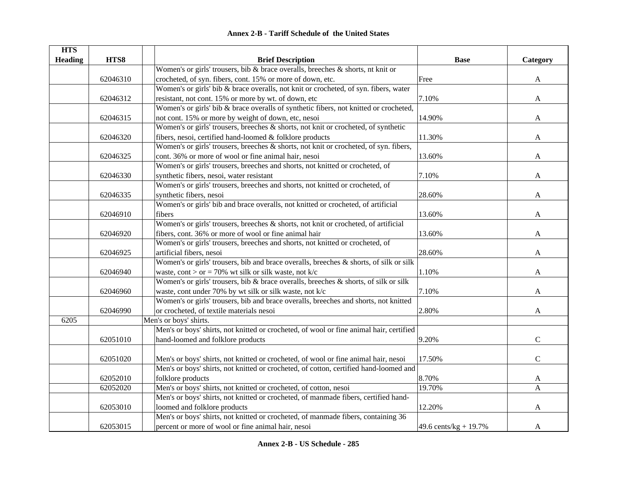| <b>HTS</b>     |          |                                                                                         |                       |              |
|----------------|----------|-----------------------------------------------------------------------------------------|-----------------------|--------------|
| <b>Heading</b> | HTS8     | <b>Brief Description</b>                                                                | <b>Base</b>           | Category     |
|                |          | Women's or girls' trousers, bib & brace overalls, breeches $\&$ shorts, nt knit or      |                       |              |
|                | 62046310 | crocheted, of syn. fibers, cont. 15% or more of down, etc.                              | Free                  | A            |
|                |          | Women's or girls' bib & brace overalls, not knit or crocheted, of syn. fibers, water    |                       |              |
|                | 62046312 | resistant, not cont. 15% or more by wt. of down, etc                                    | 7.10%                 | A            |
|                |          | Women's or girls' bib & brace overalls of synthetic fibers, not knitted or crocheted,   |                       |              |
|                | 62046315 | not cont. 15% or more by weight of down, etc, nesoi                                     | 14.90%                | A            |
|                |          | Women's or girls' trousers, breeches & shorts, not knit or crocheted, of synthetic      |                       |              |
|                | 62046320 | fibers, nesoi, certified hand-loomed & folklore products                                | 11.30%                | A            |
|                |          | Women's or girls' trousers, breeches & shorts, not knit or crocheted, of syn. fibers,   |                       |              |
|                | 62046325 | cont. 36% or more of wool or fine animal hair, nesoi                                    | 13.60%                | A            |
|                |          | Women's or girls' trousers, breeches and shorts, not knitted or crocheted, of           |                       |              |
|                | 62046330 | synthetic fibers, nesoi, water resistant                                                | 7.10%                 | A            |
|                |          | Women's or girls' trousers, breeches and shorts, not knitted or crocheted, of           |                       |              |
|                | 62046335 | synthetic fibers, nesoi                                                                 | 28.60%                | A            |
|                |          | Women's or girls' bib and brace overalls, not knitted or crocheted, of artificial       |                       |              |
|                | 62046910 | fibers                                                                                  | 13.60%                | A            |
|                |          | Women's or girls' trousers, breeches & shorts, not knit or crocheted, of artificial     |                       |              |
|                | 62046920 | fibers, cont. 36% or more of wool or fine animal hair                                   | 13.60%                | A            |
|                |          | Women's or girls' trousers, breeches and shorts, not knitted or crocheted, of           |                       |              |
|                | 62046925 | artificial fibers, nesoi                                                                | 28.60%                | A            |
|                |          | Women's or girls' trousers, bib and brace overalls, breeches & shorts, of silk or silk  |                       |              |
|                | 62046940 | waste, cont > or = 70% wt silk or silk waste, not k/c                                   | 1.10%                 | A            |
|                |          | Women's or girls' trousers, bib & brace overalls, breeches & shorts, of silk or silk    |                       |              |
|                | 62046960 | waste, cont under 70% by wt silk or silk waste, not k/c                                 | 7.10%                 | A            |
|                |          | Women's or girls' trousers, bib and brace overalls, breeches and shorts, not knitted    |                       |              |
|                | 62046990 | or crocheted, of textile materials nesoi                                                | 2.80%                 | A            |
| 6205           |          | Men's or boys' shirts.                                                                  |                       |              |
|                |          | Men's or boys' shirts, not knitted or crocheted, of wool or fine animal hair, certified |                       |              |
|                | 62051010 | hand-loomed and folklore products                                                       | 9.20%                 | $\mathbf C$  |
|                |          |                                                                                         |                       |              |
|                | 62051020 | Men's or boys' shirts, not knitted or crocheted, of wool or fine animal hair, nesoi     | 17.50%                | $\mathbf C$  |
|                |          | Men's or boys' shirts, not knitted or crocheted, of cotton, certified hand-loomed and   |                       |              |
|                | 62052010 | folklore products                                                                       | 8.70%                 | $\mathbf{A}$ |
|                | 62052020 | Men's or boys' shirts, not knitted or crocheted, of cotton, nesoi                       | 19.70%                | A            |
|                |          | Men's or boys' shirts, not knitted or crocheted, of manmade fibers, certified hand-     |                       |              |
|                | 62053010 | loomed and folklore products                                                            | 12.20%                | A            |
|                |          | Men's or boys' shirts, not knitted or crocheted, of manmade fibers, containing 36       |                       |              |
|                | 62053015 | percent or more of wool or fine animal hair, nesoi                                      | 49.6 cents/kg + 19.7% | A            |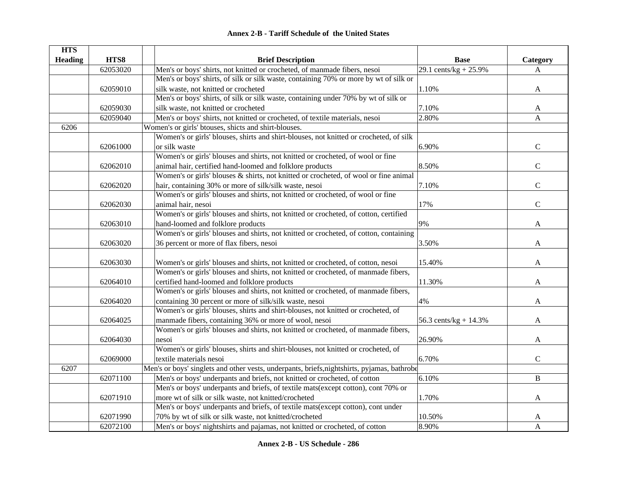|  | <b>Annex 2-B - Tariff Schedule of the United States</b> |  |
|--|---------------------------------------------------------|--|
|--|---------------------------------------------------------|--|

| <b>HTS</b>     |          |                                                                                             |                          |              |
|----------------|----------|---------------------------------------------------------------------------------------------|--------------------------|--------------|
| <b>Heading</b> | HTS8     | <b>Brief Description</b>                                                                    | <b>Base</b>              | Category     |
|                | 62053020 | Men's or boys' shirts, not knitted or crocheted, of manmade fibers, nesoi                   | 29.1 cents/kg + $25.9\%$ | A            |
|                |          | Men's or boys' shirts, of silk or silk waste, containing 70% or more by wt of silk or       |                          |              |
|                | 62059010 | silk waste, not knitted or crocheted                                                        | 1.10%                    | A            |
|                |          | Men's or boys' shirts, of silk or silk waste, containing under 70% by wt of silk or         |                          |              |
|                | 62059030 | silk waste, not knitted or crocheted                                                        | 7.10%                    | A            |
|                | 62059040 | Men's or boys' shirts, not knitted or crocheted, of textile materials, nesoi                | 2.80%                    | A            |
| 6206           |          | Women's or girls' btouses, shicts and shirt-blouses.                                        |                          |              |
|                |          | Women's or girls' blouses, shirts and shirt-blouses, not knitted or crocheted, of silk      |                          |              |
|                | 62061000 | or silk waste                                                                               | 6.90%                    | C            |
|                |          | Women's or girls' blouses and shirts, not knitted or crocheted, of wool or fine             |                          |              |
|                | 62062010 | animal hair, certified hand-loomed and folklore products                                    | 8.50%                    | $\mathsf{C}$ |
|                |          | Women's or girls' blouses & shirts, not knitted or crocheted, of wool or fine animal        |                          |              |
|                | 62062020 | hair, containing 30% or more of silk/silk waste, nesoi                                      | 7.10%                    | $\mathsf{C}$ |
|                |          | Women's or girls' blouses and shirts, not knitted or crocheted, of wool or fine             |                          |              |
|                | 62062030 | animal hair, nesoi                                                                          | 17%                      | $\mathbf C$  |
|                |          | Women's or girls' blouses and shirts, not knitted or crocheted, of cotton, certified        |                          |              |
|                | 62063010 | hand-loomed and folklore products                                                           | 9%                       | A            |
|                |          | Women's or girls' blouses and shirts, not knitted or crocheted, of cotton, containing       |                          |              |
|                | 62063020 | 36 percent or more of flax fibers, nesoi                                                    | 3.50%                    | A            |
|                |          |                                                                                             |                          |              |
|                | 62063030 | Women's or girls' blouses and shirts, not knitted or crocheted, of cotton, nesoi            | 15.40%                   | A            |
|                |          | Women's or girls' blouses and shirts, not knitted or crocheted, of manmade fibers,          |                          |              |
|                | 62064010 | certified hand-loomed and folklore products                                                 | 11.30%                   | A            |
|                |          | Women's or girls' blouses and shirts, not knitted or crocheted, of manmade fibers,          |                          |              |
|                | 62064020 | containing 30 percent or more of silk/silk waste, nesoi                                     | 4%                       | A            |
|                |          | Women's or girls' blouses, shirts and shirt-blouses, not knitted or crocheted, of           |                          |              |
|                | 62064025 | manmade fibers, containing 36% or more of wool, nesoi                                       | 56.3 cents/ $kg + 14.3%$ | A            |
|                |          | Women's or girls' blouses and shirts, not knitted or crocheted, of manmade fibers,          |                          |              |
|                | 62064030 | nesoi                                                                                       | 26.90%                   | A            |
|                |          | Women's or girls' blouses, shirts and shirt-blouses, not knitted or crocheted, of           |                          |              |
|                | 62069000 | textile materials nesoi                                                                     | 6.70%                    | $\mathbf C$  |
| 6207           |          | Men's or boys' singlets and other vests, underpants, briefs, nightshirts, pyjamas, bathrobe |                          |              |
|                | 62071100 | Men's or boys' underpants and briefs, not knitted or crocheted, of cotton                   | 6.10%                    | B            |
|                |          | Men's or boys' underpants and briefs, of textile mats(except cotton), cont 70% or           |                          |              |
|                | 62071910 | more wt of silk or silk waste, not knitted/crocheted                                        | 1.70%                    | A            |
|                |          | Men's or boys' underpants and briefs, of textile mats(except cotton), cont under            |                          |              |
|                | 62071990 | 70% by wt of silk or silk waste, not knitted/crocheted                                      | 10.50%                   | A            |
|                | 62072100 | Men's or boys' nightshirts and pajamas, not knitted or crocheted, of cotton                 | 8.90%                    | A            |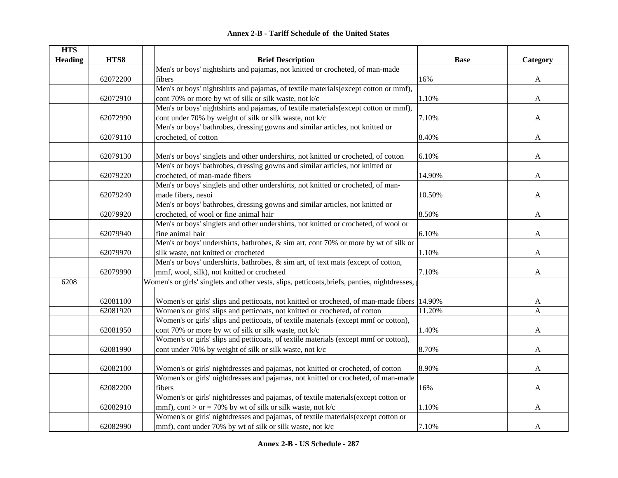|  | <b>Annex 2-B - Tariff Schedule of the United States</b> |  |
|--|---------------------------------------------------------|--|
|--|---------------------------------------------------------|--|

| <b>HTS</b>     |          |                                                                                               |             |              |
|----------------|----------|-----------------------------------------------------------------------------------------------|-------------|--------------|
| <b>Heading</b> | HTS8     | <b>Brief Description</b>                                                                      | <b>Base</b> | Category     |
|                |          | Men's or boys' nightshirts and pajamas, not knitted or crocheted, of man-made                 |             |              |
|                | 62072200 | fibers                                                                                        | 16%         | $\mathbf{A}$ |
|                |          | Men's or boys' nightshirts and pajamas, of textile materials(except cotton or mmf),           |             |              |
|                | 62072910 | cont 70% or more by wt of silk or silk waste, not k/c                                         | 1.10%       | A            |
|                |          | Men's or boys' nightshirts and pajamas, of textile materials(except cotton or mmf),           |             |              |
|                | 62072990 | cont under 70% by weight of silk or silk waste, not k/c                                       | 7.10%       | A            |
|                |          | Men's or boys' bathrobes, dressing gowns and similar articles, not knitted or                 |             |              |
|                | 62079110 | crocheted, of cotton                                                                          | 8.40%       | A            |
|                | 62079130 | Men's or boys' singlets and other undershirts, not knitted or crocheted, of cotton            | 6.10%       | A            |
|                |          | Men's or boys' bathrobes, dressing gowns and similar articles, not knitted or                 |             |              |
|                | 62079220 | crocheted, of man-made fibers                                                                 | 14.90%      | A            |
|                |          | Men's or boys' singlets and other undershirts, not knitted or crocheted, of man-              |             |              |
|                | 62079240 | made fibers, nesoi                                                                            | 10.50%      | A            |
|                |          | Men's or boys' bathrobes, dressing gowns and similar articles, not knitted or                 |             |              |
|                | 62079920 | crocheted, of wool or fine animal hair                                                        | 8.50%       | A            |
|                |          | Men's or boys' singlets and other undershirts, not knitted or crocheted, of wool or           |             |              |
|                | 62079940 | fine animal hair                                                                              | 6.10%       | A            |
|                |          | Men's or boys' undershirts, bathrobes, & sim art, cont 70% or more by wt of silk or           |             |              |
|                | 62079970 | silk waste, not knitted or crocheted                                                          | 1.10%       | A            |
|                |          | Men's or boys' undershirts, bathrobes, & sim art, of text mats (except of cotton,             |             |              |
|                | 62079990 | mmf, wool, silk), not knitted or crocheted                                                    | 7.10%       | A            |
| 6208           |          | Women's or girls' singlets and other vests, slips, petticoats, briefs, panties, nightdresses, |             |              |
|                | 62081100 | Women's or girls' slips and petticoats, not knitted or crocheted, of man-made fibers  14.90%  |             | A            |
|                | 62081920 | Women's or girls' slips and petticoats, not knitted or crocheted, of cotton                   | 11.20%      | A            |
|                |          | Women's or girls' slips and petticoats, of textile materials (except mmf or cotton),          |             |              |
|                | 62081950 | cont 70% or more by wt of silk or silk waste, not k/c                                         | 1.40%       | A            |
|                |          | Women's or girls' slips and petticoats, of textile materials (except mmf or cotton),          |             |              |
|                | 62081990 | cont under 70% by weight of silk or silk waste, not k/c                                       | 8.70%       | A            |
|                |          |                                                                                               |             |              |
|                | 62082100 | Women's or girls' nightdresses and pajamas, not knitted or crocheted, of cotton               | 8.90%       | A            |
|                |          | Women's or girls' nightdresses and pajamas, not knitted or crocheted, of man-made             |             |              |
|                | 62082200 | fibers                                                                                        | 16%         | A            |
|                |          | Women's or girls' nightdresses and pajamas, of textile materials(except cotton or             |             |              |
|                | 62082910 | mmf), cont > or = 70% by wt of silk or silk waste, not k/c                                    | 1.10%       | A            |
|                |          | Women's or girls' nightdresses and pajamas, of textile materials(except cotton or             |             |              |
|                | 62082990 | mmf), cont under 70% by wt of silk or silk waste, not k/c                                     | 7.10%       | A            |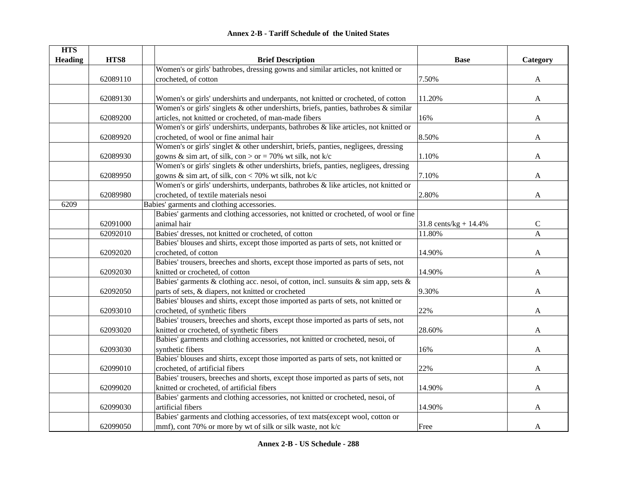| <b>HTS</b>     |          |                                                                                      |                          |              |
|----------------|----------|--------------------------------------------------------------------------------------|--------------------------|--------------|
| <b>Heading</b> | HTS8     | <b>Brief Description</b>                                                             | <b>Base</b>              | Category     |
|                |          | Women's or girls' bathrobes, dressing gowns and similar articles, not knitted or     |                          |              |
|                | 62089110 | crocheted, of cotton                                                                 | 7.50%                    | A            |
|                |          |                                                                                      |                          |              |
|                | 62089130 | Women's or girls' undershirts and underpants, not knitted or crocheted, of cotton    | 11.20%                   | A            |
|                |          | Women's or girls' singlets & other undershirts, briefs, panties, bathrobes & similar |                          |              |
|                | 62089200 | articles, not knitted or crocheted, of man-made fibers                               | 16%                      | A            |
|                |          | Women's or girls' undershirts, underpants, bathrobes & like articles, not knitted or |                          |              |
|                | 62089920 | crocheted, of wool or fine animal hair                                               | 8.50%                    | A            |
|                |          | Women's or girls' singlet & other undershirt, briefs, panties, negligees, dressing   |                          |              |
|                | 62089930 | gowns & sim art, of silk, con > or = 70% wt silk, not k/c                            | 1.10%                    | A            |
|                |          | Women's or girls' singlets & other undershirts, briefs, panties, negligees, dressing |                          |              |
|                | 62089950 | gowns & sim art, of silk, con < 70% wt silk, not $k/c$                               | 7.10%                    | A            |
|                |          | Women's or girls' undershirts, underpants, bathrobes & like articles, not knitted or |                          |              |
|                | 62089980 | crocheted, of textile materials nesoi                                                | 2.80%                    | A            |
| 6209           |          | Babies' garments and clothing accessories.                                           |                          |              |
|                |          | Babies' garments and clothing accessories, not knitted or crocheted, of wool or fine |                          |              |
|                | 62091000 | animal hair                                                                          | 31.8 cents/kg + $14.4\%$ | ${\bf C}$    |
|                | 62092010 | Babies' dresses, not knitted or crocheted, of cotton                                 | 11.80%                   | $\mathbf{A}$ |
|                |          | Babies' blouses and shirts, except those imported as parts of sets, not knitted or   |                          |              |
|                | 62092020 | crocheted, of cotton                                                                 | 14.90%                   | A            |
|                |          | Babies' trousers, breeches and shorts, except those imported as parts of sets, not   |                          |              |
|                | 62092030 | knitted or crocheted, of cotton                                                      | 14.90%                   | A            |
|                |          | Babies' garments & clothing acc. nesoi, of cotton, incl. sunsuits & sim app, sets &  |                          |              |
|                | 62092050 | parts of sets, & diapers, not knitted or crocheted                                   | 9.30%                    | A            |
|                |          | Babies' blouses and shirts, except those imported as parts of sets, not knitted or   |                          |              |
|                | 62093010 | crocheted, of synthetic fibers                                                       | 22%                      | A            |
|                |          | Babies' trousers, breeches and shorts, except those imported as parts of sets, not   |                          |              |
|                | 62093020 | knitted or crocheted, of synthetic fibers                                            | 28.60%                   | A            |
|                |          | Babies' garments and clothing accessories, not knitted or crocheted, nesoi, of       |                          |              |
|                | 62093030 | synthetic fibers                                                                     | 16%                      | A            |
|                |          | Babies' blouses and shirts, except those imported as parts of sets, not knitted or   |                          |              |
|                | 62099010 | crocheted, of artificial fibers                                                      | 22%                      | A            |
|                |          | Babies' trousers, breeches and shorts, except those imported as parts of sets, not   |                          |              |
|                | 62099020 | knitted or crocheted, of artificial fibers                                           | 14.90%                   | A            |
|                |          | Babies' garments and clothing accessories, not knitted or crocheted, nesoi, of       |                          |              |
|                | 62099030 | artificial fibers                                                                    | 14.90%                   | A            |
|                |          | Babies' garments and clothing accessories, of text mats(except wool, cotton or       |                          |              |
|                | 62099050 | mmf), cont 70% or more by wt of silk or silk waste, not k/c                          | Free                     | A            |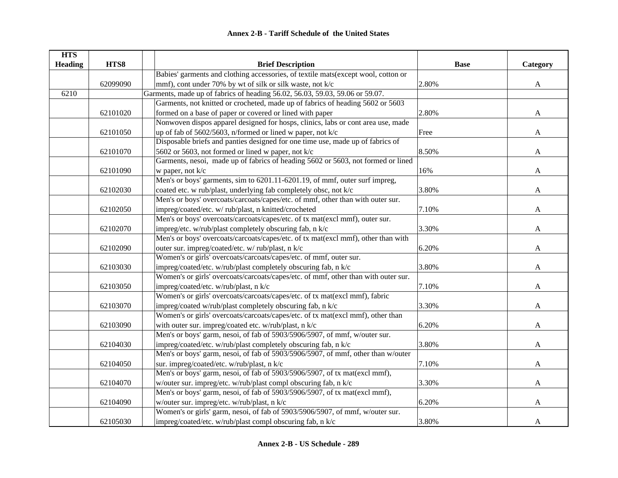| <b>HTS</b>     |          |                                                                                    |             |              |
|----------------|----------|------------------------------------------------------------------------------------|-------------|--------------|
| <b>Heading</b> | HTS8     | <b>Brief Description</b>                                                           | <b>Base</b> | Category     |
|                |          | Babies' garments and clothing accessories, of textile mats(except wool, cotton or  |             |              |
|                | 62099090 | mmf), cont under 70% by wt of silk or silk waste, not k/c                          | 2.80%       | $\mathbf{A}$ |
| 6210           |          | Garments, made up of fabrics of heading 56.02, 56.03, 59.03, 59.06 or 59.07.       |             |              |
|                |          | Garments, not knitted or crocheted, made up of fabrics of heading 5602 or 5603     |             |              |
|                | 62101020 | formed on a base of paper or covered or lined with paper                           | 2.80%       | $\mathbf{A}$ |
|                |          | Nonwoven dispos apparel designed for hosps, clinics, labs or cont area use, made   |             |              |
|                | 62101050 | up of fab of 5602/5603, n/formed or lined w paper, not k/c                         | Free        | $\mathbf{A}$ |
|                |          | Disposable briefs and panties designed for one time use, made up of fabrics of     |             |              |
|                | 62101070 | 5602 or 5603, not formed or lined w paper, not k/c                                 | 8.50%       | A            |
|                |          | Garments, nesoi, made up of fabrics of heading 5602 or 5603, not formed or lined   |             |              |
|                | 62101090 | w paper, not k/c                                                                   | 16%         | $\mathbf{A}$ |
|                |          | Men's or boys' garments, sim to 6201.11-6201.19, of mmf, outer surf impreg,        |             |              |
|                | 62102030 | coated etc. w rub/plast, underlying fab completely obsc, not k/c                   | 3.80%       | A            |
|                |          | Men's or boys' overcoats/carcoats/capes/etc. of mmf, other than with outer sur.    |             |              |
|                | 62102050 | impreg/coated/etc. w/ rub/plast, n knitted/crocheted                               | 7.10%       | A            |
|                |          | Men's or boys' overcoats/carcoats/capes/etc. of tx mat(excl mmf), outer sur.       |             |              |
|                | 62102070 | impreg/etc. w/rub/plast completely obscuring fab, n k/c                            | 3.30%       | A            |
|                |          | Men's or boys' overcoats/carcoats/capes/etc. of tx mat(excl mmf), other than with  |             |              |
|                | 62102090 | outer sur. impreg/coated/etc. w/ rub/plast, n k/c                                  | 6.20%       | A            |
|                |          | Women's or girls' overcoats/carcoats/capes/etc. of mmf, outer sur.                 |             |              |
|                | 62103030 | impreg/coated/etc. w/rub/plast completely obscuring fab, n k/c                     | 3.80%       | A            |
|                |          | Women's or girls' overcoats/carcoats/capes/etc. of mmf, other than with outer sur. |             |              |
|                | 62103050 | impreg/coated/etc. w/rub/plast, n k/c                                              | 7.10%       | A            |
|                |          | Women's or girls' overcoats/carcoats/capes/etc. of tx mat(excl mmf), fabric        |             |              |
|                | 62103070 | impreg/coated w/rub/plast completely obscuring fab, n k/c                          | 3.30%       | A            |
|                |          | Women's or girls' overcoats/carcoats/capes/etc. of tx mat(excl mmf), other than    |             |              |
|                | 62103090 | with outer sur. impreg/coated etc. w/rub/plast, n k/c                              | 6.20%       | A            |
|                |          | Men's or boys' garm, nesoi, of fab of 5903/5906/5907, of mmf, w/outer sur.         |             |              |
|                | 62104030 | impreg/coated/etc. w/rub/plast completely obscuring fab, n k/c                     | 3.80%       | A            |
|                |          | Men's or boys' garm, nesoi, of fab of 5903/5906/5907, of mmf, other than w/outer   |             |              |
|                | 62104050 | sur. impreg/coated/etc. w/rub/plast, n k/c                                         | 7.10%       | $\mathbf{A}$ |
|                |          | Men's or boys' garm, nesoi, of fab of 5903/5906/5907, of tx mat(excl mmf),         |             |              |
|                | 62104070 | w/outer sur. impreg/etc. w/rub/plast compl obscuring fab, n k/c                    | 3.30%       | A            |
|                |          | Men's or boys' garm, nesoi, of fab of 5903/5906/5907, of tx mat(excl mmf),         |             |              |
|                | 62104090 | w/outer sur. impreg/etc. w/rub/plast, n k/c                                        | 6.20%       | A            |
|                |          | Women's or girls' garm, nesoi, of fab of 5903/5906/5907, of mmf, w/outer sur.      |             |              |
|                | 62105030 | impreg/coated/etc. w/rub/plast compl obscuring fab, n k/c                          | 3.80%       | A            |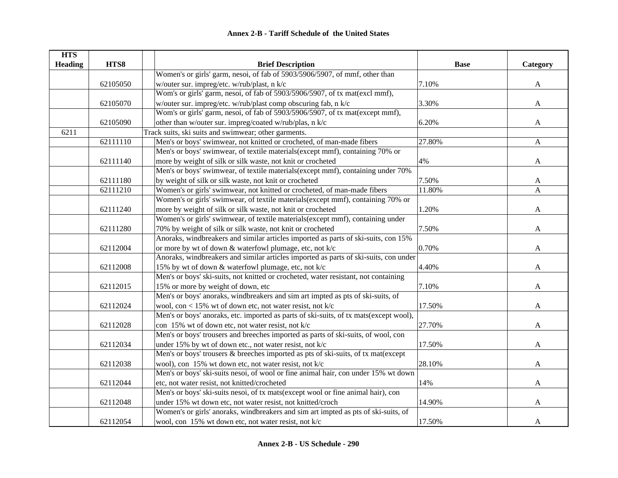| <b>HTS</b>     |          |                                                                                       |             |              |
|----------------|----------|---------------------------------------------------------------------------------------|-------------|--------------|
| <b>Heading</b> | HTS8     | <b>Brief Description</b>                                                              | <b>Base</b> | Category     |
|                |          | Women's or girls' garm, nesoi, of fab of 5903/5906/5907, of mmf, other than           |             |              |
|                | 62105050 | w/outer sur. impreg/etc. w/rub/plast, n k/c                                           | 7.10%       | $\mathbf{A}$ |
|                |          | Wom's or girls' garm, nesoi, of fab of 5903/5906/5907, of tx mat(excl mmf),           |             |              |
|                | 62105070 | w/outer sur. impreg/etc. w/rub/plast comp obscuring fab, n k/c                        | 3.30%       | $\mathbf{A}$ |
|                |          | Wom's or girls' garm, nesoi, of fab of 5903/5906/5907, of tx mat(except mmf),         |             |              |
|                | 62105090 | other than w/outer sur. impreg/coated w/rub/plas, n k/c                               | 6.20%       | A            |
| 6211           |          | Track suits, ski suits and swimwear; other garments.                                  |             |              |
|                | 62111110 | Men's or boys' swimwear, not knitted or crocheted, of man-made fibers                 | 27.80%      | $\mathbf{A}$ |
|                |          | Men's or boys' swimwear, of textile materials(except mmf), containing 70% or          |             |              |
|                | 62111140 | more by weight of silk or silk waste, not knit or crocheted                           | 4%          | $\mathbf{A}$ |
|                |          | Men's or boys' swimwear, of textile materials(except mmf), containing under 70%       |             |              |
|                | 62111180 | by weight of silk or silk waste, not knit or crocheted                                | 7.50%       | A            |
|                | 62111210 | Women's or girls' swimwear, not knitted or crocheted, of man-made fibers              | 11.80%      | A            |
|                |          | Women's or girls' swimwear, of textile materials(except mmf), containing 70% or       |             |              |
|                | 62111240 | more by weight of silk or silk waste, not knit or crocheted                           | 1.20%       | A            |
|                |          | Women's or girls' swimwear, of textile materials(except mmf), containing under        |             |              |
|                | 62111280 | 70% by weight of silk or silk waste, not knit or crocheted                            | 7.50%       | A            |
|                |          | Anoraks, windbreakers and similar articles imported as parts of ski-suits, con 15%    |             |              |
|                | 62112004 | or more by wt of down & waterfowl plumage, etc, not k/c                               | 0.70%       | A            |
|                |          | Anoraks, windbreakers and similar articles imported as parts of ski-suits, con under  |             |              |
|                | 62112008 | 15% by wt of down & waterfowl plumage, etc, not k/c                                   | 4.40%       | A            |
|                |          | Men's or boys' ski-suits, not knitted or crocheted, water resistant, not containing   |             |              |
|                | 62112015 | 15% or more by weight of down, etc                                                    | 7.10%       | A            |
|                |          | Men's or boys' anoraks, windbreakers and sim art impted as pts of ski-suits, of       |             |              |
|                | 62112024 | wool, con < 15% wt of down etc, not water resist, not k/c                             | 17.50%      | A            |
|                |          | Men's or boys' anoraks, etc. imported as parts of ski-suits, of tx mats(except wool), |             |              |
|                | 62112028 | con 15% wt of down etc, not water resist, not k/c                                     | 27.70%      | A            |
|                |          | Men's or boys' trousers and breeches imported as parts of ski-suits, of wool, con     |             |              |
|                | 62112034 | under 15% by wt of down etc., not water resist, not k/c                               | 17.50%      | A            |
|                |          | Men's or boys' trousers & breeches imported as pts of ski-suits, of tx mat(except     |             |              |
|                | 62112038 | wool), con 15% wt down etc, not water resist, not k/c                                 | 28.10%      | A            |
|                |          | Men's or boys' ski-suits nesoi, of wool or fine animal hair, con under 15% wt down    |             |              |
|                | 62112044 | etc, not water resist, not knitted/crocheted                                          | 14%         | $\mathbf{A}$ |
|                |          | Men's or boys' ski-suits nesoi, of tx mats(except wool or fine animal hair), con      |             |              |
|                | 62112048 | under 15% wt down etc, not water resist, not knitted/croch                            | 14.90%      | A            |
|                |          | Women's or girls' anoraks, windbreakers and sim art impted as pts of ski-suits, of    |             |              |
|                | 62112054 | wool, con 15% wt down etc, not water resist, not k/c                                  | 17.50%      | A            |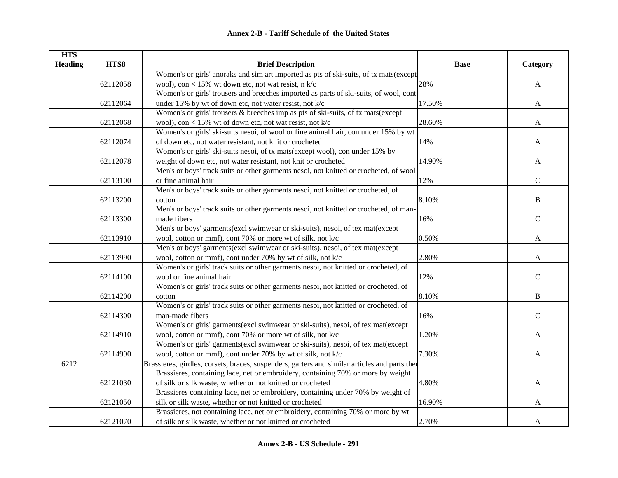| <b>HTS</b>     |          |                                                                                               |             |              |
|----------------|----------|-----------------------------------------------------------------------------------------------|-------------|--------------|
| <b>Heading</b> | HTS8     | <b>Brief Description</b>                                                                      | <b>Base</b> | Category     |
|                |          | Women's or girls' anoraks and sim art imported as pts of ski-suits, of tx mats(except         |             |              |
|                | 62112058 | wool), con < 15% wt down etc, not wat resist, n $k/c$                                         | 28%         | A            |
|                |          | Women's or girls' trousers and breeches imported as parts of ski-suits, of wool, cont         |             |              |
|                | 62112064 | under 15% by wt of down etc, not water resist, not k/c                                        | 17.50%      | $\mathbf{A}$ |
|                |          | Women's or girls' trousers & breeches imp as pts of ski-suits, of tx mats(except              |             |              |
|                | 62112068 | wool), con < 15% wt of down etc, not wat resist, not $k/c$                                    | 28.60%      | A            |
|                |          | Women's or girls' ski-suits nesoi, of wool or fine animal hair, con under 15% by wt           |             |              |
|                | 62112074 | of down etc, not water resistant, not knit or crocheted                                       | 14%         | $\mathbf{A}$ |
|                |          | Women's or girls' ski-suits nesoi, of tx mats(except wool), con under 15% by                  |             |              |
|                | 62112078 | weight of down etc, not water resistant, not knit or crocheted                                | 14.90%      | A            |
|                |          | Men's or boys' track suits or other garments nesoi, not knitted or crocheted, of wool         |             |              |
|                | 62113100 | or fine animal hair                                                                           | 12%         | $\mathbf C$  |
|                |          | Men's or boys' track suits or other garments nesoi, not knitted or crocheted, of              |             |              |
|                | 62113200 | cotton                                                                                        | 8.10%       | B            |
|                |          | Men's or boys' track suits or other garments nesoi, not knitted or crocheted, of man-         |             |              |
|                | 62113300 | made fibers                                                                                   | 16%         | $\mathsf{C}$ |
|                |          | Men's or boys' garments(excl swimwear or ski-suits), nesoi, of tex mat(except                 |             |              |
|                | 62113910 | wool, cotton or mmf), cont 70% or more wt of silk, not k/c                                    | 0.50%       | A            |
|                |          | Men's or boys' garments(excl swimwear or ski-suits), nesoi, of tex mat(except                 |             |              |
|                | 62113990 | wool, cotton or mmf), cont under 70% by wt of silk, not k/c                                   | 2.80%       | A            |
|                |          | Women's or girls' track suits or other garments nesoi, not knitted or crocheted, of           |             |              |
|                | 62114100 | wool or fine animal hair                                                                      | 12%         | $\mathbf C$  |
|                |          | Women's or girls' track suits or other garments nesoi, not knitted or crocheted, of           |             |              |
|                | 62114200 | cotton                                                                                        | 8.10%       | B            |
|                |          | Women's or girls' track suits or other garments nesoi, not knitted or crocheted, of           |             |              |
|                | 62114300 | man-made fibers                                                                               | 16%         | $\mathbf C$  |
|                |          | Women's or girls' garments(excl swimwear or ski-suits), nesoi, of tex mat(except              |             |              |
|                | 62114910 | wool, cotton or mmf), cont 70% or more wt of silk, not k/c                                    | 1.20%       | A            |
|                |          | Women's or girls' garments(excl swimwear or ski-suits), nesoi, of tex mat(except              |             |              |
|                | 62114990 | wool, cotton or mmf), cont under 70% by wt of silk, not k/c                                   | 7.30%       | A            |
| 6212           |          | Brassieres, girdles, corsets, braces, suspenders, garters and similar articles and parts then |             |              |
|                |          | Brassieres, containing lace, net or embroidery, containing 70% or more by weight              |             |              |
|                | 62121030 | of silk or silk waste, whether or not knitted or crocheted                                    | 4.80%       | A            |
|                |          | Brassieres containing lace, net or embroidery, containing under 70% by weight of              |             |              |
|                | 62121050 | silk or silk waste, whether or not knitted or crocheted                                       | 16.90%      | A            |
|                |          | Brassieres, not containing lace, net or embroidery, containing 70% or more by wt              |             |              |
|                | 62121070 | of silk or silk waste, whether or not knitted or crocheted                                    | 2.70%       | A            |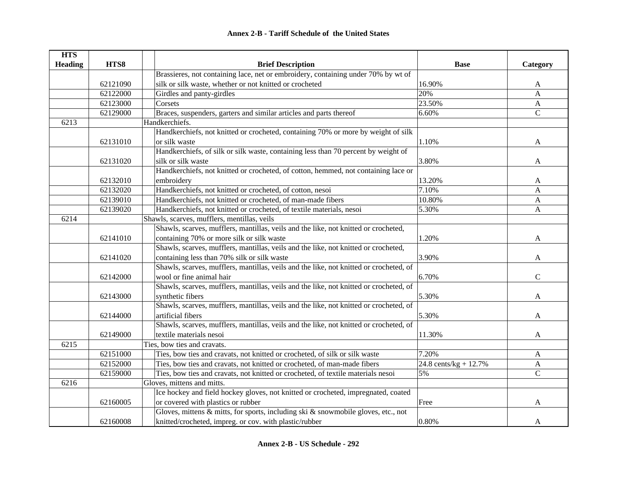| <b>HTS</b>     |          |                                                                                        |                                  |                |
|----------------|----------|----------------------------------------------------------------------------------------|----------------------------------|----------------|
| <b>Heading</b> | HTS8     | <b>Brief Description</b>                                                               | <b>Base</b>                      | Category       |
|                |          | Brassieres, not containing lace, net or embroidery, containing under 70% by wt of      |                                  |                |
|                | 62121090 | silk or silk waste, whether or not knitted or crocheted                                | 16.90%                           | A              |
|                | 62122000 | Girdles and panty-girdles                                                              | 20%                              | A              |
|                | 62123000 | Corsets                                                                                | 23.50%                           | $\mathbf{A}$   |
|                | 62129000 | Braces, suspenders, garters and similar articles and parts thereof                     | 6.60%                            | $\mathbf C$    |
| 6213           |          | Handkerchiefs.                                                                         |                                  |                |
|                |          | Handkerchiefs, not knitted or crocheted, containing 70% or more by weight of silk      |                                  |                |
|                | 62131010 | or silk waste                                                                          | 1.10%                            | A              |
|                |          | Handkerchiefs, of silk or silk waste, containing less than 70 percent by weight of     |                                  |                |
|                | 62131020 | silk or silk waste                                                                     | 3.80%                            | A              |
|                |          | Handkerchiefs, not knitted or crocheted, of cotton, hemmed, not containing lace or     |                                  |                |
|                | 62132010 | embroidery                                                                             | 13.20%                           | A              |
|                | 62132020 | Handkerchiefs, not knitted or crocheted, of cotton, nesoi                              | 7.10%                            | $\overline{A}$ |
|                | 62139010 | Handkerchiefs, not knitted or crocheted, of man-made fibers                            | 10.80%                           | A              |
|                | 62139020 | Handkerchiefs, not knitted or crocheted, of textile materials, nesoi                   | 5.30%                            | A              |
| 6214           |          | Shawls, scarves, mufflers, mentillas, veils                                            |                                  |                |
|                |          | Shawls, scarves, mufflers, mantillas, veils and the like, not knitted or crocheted,    |                                  |                |
|                | 62141010 | containing 70% or more silk or silk waste                                              | 1.20%                            | A              |
|                |          | Shawls, scarves, mufflers, mantillas, veils and the like, not knitted or crocheted,    |                                  |                |
|                | 62141020 | containing less than 70% silk or silk waste                                            | 3.90%                            | A              |
|                |          | Shawls, scarves, mufflers, mantillas, veils and the like, not knitted or crocheted, of |                                  |                |
|                | 62142000 | wool or fine animal hair                                                               | 6.70%                            | $\mathcal{C}$  |
|                |          | Shawls, scarves, mufflers, mantillas, veils and the like, not knitted or crocheted, of |                                  |                |
|                | 62143000 | synthetic fibers                                                                       | 5.30%                            | A              |
|                |          | Shawls, scarves, mufflers, mantillas, veils and the like, not knitted or crocheted, of |                                  |                |
|                | 62144000 | artificial fibers                                                                      | 5.30%                            | A              |
|                |          | Shawls, scarves, mufflers, mantillas, veils and the like, not knitted or crocheted, of |                                  |                |
|                | 62149000 | textile materials nesoi                                                                | 11.30%                           | A              |
| 6215           |          | Ties, bow ties and cravats.                                                            |                                  |                |
|                | 62151000 | Ties, bow ties and cravats, not knitted or crocheted, of silk or silk waste            | 7.20%                            | A              |
|                | 62152000 | Ties, bow ties and cravats, not knitted or crocheted, of man-made fibers               | $24.8 \text{ cents/kg} + 12.7\%$ | $\mathbf{A}$   |
|                | 62159000 | Ties, bow ties and cravats, not knitted or crocheted, of textile materials nesoi       | 5%                               | $\overline{C}$ |
| 6216           |          | Gloves, mittens and mitts.                                                             |                                  |                |
|                |          | Ice hockey and field hockey gloves, not knitted or crocheted, impregnated, coated      |                                  |                |
|                | 62160005 | or covered with plastics or rubber                                                     | Free                             | A              |
|                |          | Gloves, mittens & mitts, for sports, including ski & snowmobile gloves, etc., not      |                                  |                |
|                | 62160008 | knitted/crocheted, impreg. or cov. with plastic/rubber                                 | 0.80%                            | A              |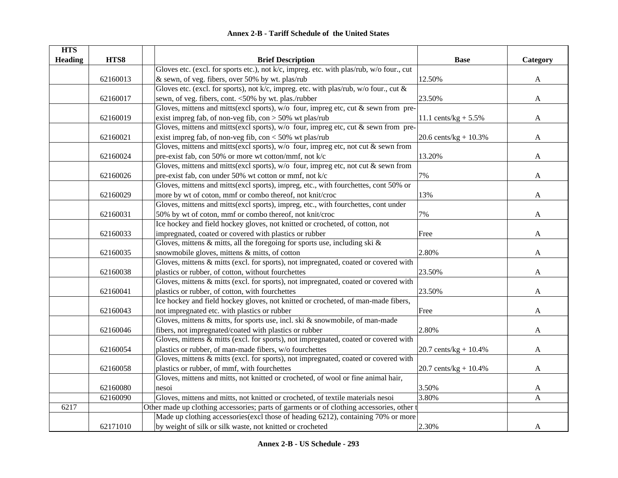| <b>HTS</b>     |          |                                                                                           |                         |              |
|----------------|----------|-------------------------------------------------------------------------------------------|-------------------------|--------------|
| <b>Heading</b> | HTS8     | <b>Brief Description</b>                                                                  | <b>Base</b>             | Category     |
|                |          | Gloves etc. (excl. for sports etc.), not k/c, impreg. etc. with plas/rub, w/o four., cut  |                         |              |
|                | 62160013 | & sewn, of veg. fibers, over 50% by wt. plas/rub                                          | 12.50%                  | $\mathbf{A}$ |
|                |          | Gloves etc. (excl. for sports), not k/c, impreg. etc. with plas/rub, w/o four., cut &     |                         |              |
|                | 62160017 | sewn, of veg. fibers, cont. <50% by wt. plas./rubber                                      | 23.50%                  | $\mathbf{A}$ |
|                |          | Gloves, mittens and mitts(excl sports), w/o four, impreg etc, cut & sewn from pre-        |                         |              |
|                | 62160019 | exist impreg fab, of non-veg fib, $con > 50\%$ wt plas/rub                                | 11.1 cents/kg + $5.5\%$ | A            |
|                |          | Gloves, mittens and mitts(excl sports), w/o four, impreg etc, cut & sewn from pre-        |                         |              |
|                | 62160021 | exist impreg fab, of non-veg fib, $con < 50\%$ wt plas/rub                                | 20.6 cents/kg + $10.3%$ | A            |
|                |          | Gloves, mittens and mitts(excl sports), $w/o$ four, impreg etc, not cut & sewn from       |                         |              |
|                | 62160024 | pre-exist fab, con 50% or more wt cotton/mmf, not k/c                                     | 13.20%                  | A            |
|                |          | Gloves, mittens and mitts(excl sports), $w/o$ four, impreg etc, not cut & sewn from       |                         |              |
|                | 62160026 | pre-exist fab, con under 50% wt cotton or mmf, not k/c                                    | 7%                      | A            |
|                |          | Gloves, mittens and mitts(excl sports), impreg, etc., with fourchettes, cont 50% or       |                         |              |
|                | 62160029 | more by wt of coton, mmf or combo thereof, not knit/croc                                  | 13%                     | A            |
|                |          | Gloves, mittens and mitts(excl sports), impreg, etc., with fourchettes, cont under        |                         |              |
|                | 62160031 | 50% by wt of coton, mmf or combo thereof, not knit/croc                                   | 7%                      | A            |
|                |          | Ice hockey and field hockey gloves, not knitted or crocheted, of cotton, not              |                         |              |
|                | 62160033 | impregnated, coated or covered with plastics or rubber                                    | Free                    | A            |
|                |          | Gloves, mittens $\&$ mitts, all the foregoing for sports use, including ski $\&$          |                         |              |
|                | 62160035 | snowmobile gloves, mittens & mitts, of cotton                                             | 2.80%                   | A            |
|                |          | Gloves, mittens & mitts (excl. for sports), not impregnated, coated or covered with       |                         |              |
|                | 62160038 | plastics or rubber, of cotton, without fourchettes                                        | 23.50%                  | A            |
|                |          | Gloves, mittens & mitts (excl. for sports), not impregnated, coated or covered with       |                         |              |
|                | 62160041 | plastics or rubber, of cotton, with fourchettes                                           | 23.50%                  | A            |
|                |          | Ice hockey and field hockey gloves, not knitted or crocheted, of man-made fibers,         |                         |              |
|                | 62160043 | not impregnated etc. with plastics or rubber                                              | Free                    | A            |
|                |          | Gloves, mittens & mitts, for sports use, incl. ski & snowmobile, of man-made              |                         |              |
|                | 62160046 | fibers, not impregnated/coated with plastics or rubber                                    | 2.80%                   | A            |
|                |          | Gloves, mittens & mitts (excl. for sports), not impregnated, coated or covered with       |                         |              |
|                | 62160054 | plastics or rubber, of man-made fibers, w/o fourchettes                                   | 20.7 cents/kg + $10.4%$ | A            |
|                |          | Gloves, mittens & mitts (excl. for sports), not impregnated, coated or covered with       |                         |              |
|                | 62160058 | plastics or rubber, of mmf, with fourchettes                                              | 20.7 cents/kg + $10.4%$ | A            |
|                |          | Gloves, mittens and mitts, not knitted or crocheted, of wool or fine animal hair,         |                         |              |
|                | 62160080 | nesoi                                                                                     | 3.50%                   | A            |
|                | 62160090 | Gloves, mittens and mitts, not knitted or crocheted, of textile materials nesoi           | 3.80%                   | A            |
| 6217           |          | Other made up clothing accessories; parts of garments or of clothing accessories, other t |                         |              |
|                |          | Made up clothing accessories (excl those of heading 6212), containing 70% or more         |                         |              |
|                | 62171010 | by weight of silk or silk waste, not knitted or crocheted                                 | 2.30%                   | A            |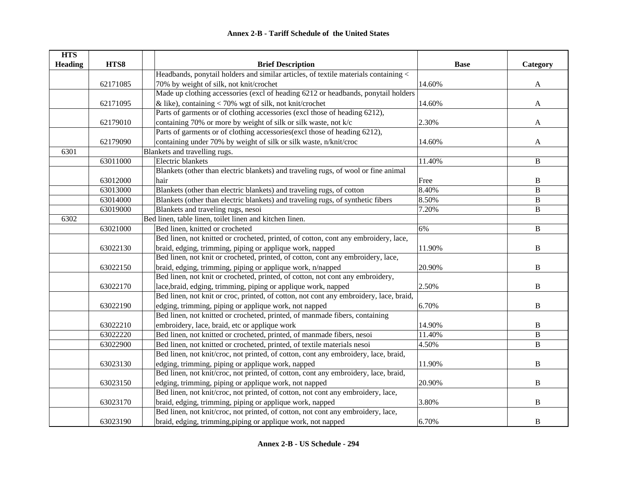| <b>HTS</b>     |          |                                                                                        |             |                |
|----------------|----------|----------------------------------------------------------------------------------------|-------------|----------------|
| <b>Heading</b> | HTS8     | <b>Brief Description</b>                                                               | <b>Base</b> | Category       |
|                |          | Headbands, ponytail holders and similar articles, of textile materials containing <    |             |                |
|                | 62171085 | 70% by weight of silk, not knit/crochet                                                | 14.60%      | $\mathbf{A}$   |
|                |          | Made up clothing accessories (excl of heading 6212 or headbands, ponytail holders      |             |                |
|                | 62171095 | & like), containing $<$ 70% wgt of silk, not knit/crochet                              | 14.60%      | $\mathbf{A}$   |
|                |          | Parts of garments or of clothing accessories (excl those of heading 6212),             |             |                |
|                | 62179010 | containing 70% or more by weight of silk or silk waste, not k/c                        | 2.30%       | $\mathbf{A}$   |
|                |          | Parts of garments or of clothing accessories(excl those of heading 6212),              |             |                |
|                | 62179090 | containing under 70% by weight of silk or silk waste, n/knit/croc                      | 14.60%      | $\mathbf{A}$   |
| 6301           |          | Blankets and travelling rugs.                                                          |             |                |
|                | 63011000 | Electric blankets                                                                      | 11.40%      | $\, {\bf B}$   |
|                |          | Blankets (other than electric blankets) and traveling rugs, of wool or fine animal     |             |                |
|                | 63012000 | hair                                                                                   | Free        | B              |
|                | 63013000 | Blankets (other than electric blankets) and traveling rugs, of cotton                  | 8.40%       | $\overline{B}$ |
|                | 63014000 | Blankets (other than electric blankets) and traveling rugs, of synthetic fibers        | 8.50%       | $\, {\bf B}$   |
|                | 63019000 | Blankets and traveling rugs, nesoi                                                     | 7.20%       | B              |
| 6302           |          | Bed linen, table linen, toilet linen and kitchen Iinen.                                |             |                |
|                | 63021000 | Bed linen, knitted or crocheted                                                        | 6%          | $\mathbf B$    |
|                |          | Bed linen, not knitted or crocheted, printed, of cotton, cont any embroidery, lace,    |             |                |
|                | 63022130 | braid, edging, trimming, piping or applique work, napped                               | 11.90%      | B              |
|                |          | Bed linen, not knit or crocheted, printed, of cotton, cont any embroidery, lace,       |             |                |
|                | 63022150 | braid, edging, trimming, piping or applique work, n/napped                             | 20.90%      | $\, {\bf B}$   |
|                |          | Bed linen, not knit or crocheted, printed, of cotton, not cont any embroidery,         |             |                |
|                | 63022170 | lace, braid, edging, trimming, piping or applique work, napped                         | 2.50%       | B              |
|                |          | Bed linen, not knit or croc, printed, of cotton, not cont any embroidery, lace, braid, |             |                |
|                | 63022190 | edging, trimming, piping or applique work, not napped                                  | 6.70%       | $\, {\bf B}$   |
|                |          | Bed linen, not knitted or crocheted, printed, of manmade fibers, containing            |             |                |
|                | 63022210 | embroidery, lace, braid, etc or applique work                                          | 14.90%      | $\, {\bf B}$   |
|                | 63022220 | Bed linen, not knitted or crocheted, printed, of manmade fibers, nesoi                 | 11.40%      | $\, {\bf B}$   |
|                | 63022900 | Bed linen, not knitted or crocheted, printed, of textile materials nesoi               | 4.50%       | B              |
|                |          | Bed linen, not knit/croc, not printed, of cotton, cont any embroidery, lace, braid,    |             |                |
|                | 63023130 | edging, trimming, piping or applique work, napped                                      | 11.90%      | B              |
|                |          | Bed linen, not knit/croc, not printed, of cotton, cont any embroidery, lace, braid,    |             |                |
|                | 63023150 | edging, trimming, piping or applique work, not napped                                  | 20.90%      | $\, {\bf B}$   |
|                |          | Bed linen, not knit/croc, not printed, of cotton, not cont any embroidery, lace,       |             |                |
|                | 63023170 | braid, edging, trimming, piping or applique work, napped                               | 3.80%       | B              |
|                |          | Bed linen, not knit/croc, not printed, of cotton, not cont any embroidery, lace,       |             |                |
|                | 63023190 | braid, edging, trimming, piping or applique work, not napped                           | 6.70%       | $\, {\bf B}$   |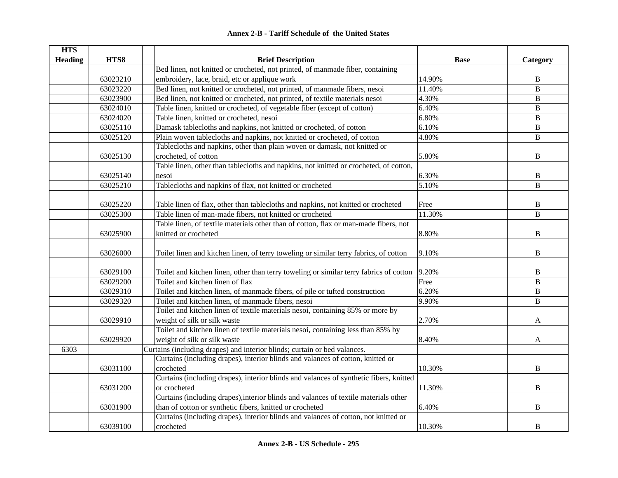| <b>HTS</b>     |          |                                                                                        |             |                |
|----------------|----------|----------------------------------------------------------------------------------------|-------------|----------------|
| <b>Heading</b> | HTS8     | <b>Brief Description</b>                                                               | <b>Base</b> | Category       |
|                |          | Bed linen, not knitted or crocheted, not printed, of manmade fiber, containing         |             |                |
|                | 63023210 | embroidery, lace, braid, etc or applique work                                          | 14.90%      | B              |
|                | 63023220 | Bed linen, not knitted or crocheted, not printed, of manmade fibers, nesoi             | 11.40%      | $\, {\bf B}$   |
|                | 63023900 | Bed linen, not knitted or crocheted, not printed, of textile materials nesoi           | 4.30%       | $\, {\bf B}$   |
|                | 63024010 | Table linen, knitted or crocheted, of vegetable fiber (except of cotton)               | 6.40%       | B              |
|                | 63024020 | Table linen, knitted or crocheted, nesoi                                               | 6.80%       | $\, {\bf B}$   |
|                | 63025110 | Damask tablecloths and napkins, not knitted or crocheted, of cotton                    | 6.10%       | $\, {\bf B}$   |
|                | 63025120 | Plain woven tablecloths and napkins, not knitted or crocheted, of cotton               | 4.80%       | $\, {\bf B}$   |
|                |          | Tablecloths and napkins, other than plain woven or damask, not knitted or              |             |                |
|                | 63025130 | crocheted, of cotton                                                                   | 5.80%       | B              |
|                |          | Table linen, other than tablecloths and napkins, not knitted or crocheted, of cotton,  |             |                |
|                | 63025140 | nesoi                                                                                  | 6.30%       | B              |
|                | 63025210 | Tablecloths and napkins of flax, not knitted or crocheted                              | 5.10%       | B              |
|                |          |                                                                                        |             |                |
|                | 63025220 | Table linen of flax, other than tablecloths and napkins, not knitted or crocheted      | Free        | $\, {\bf B}$   |
|                | 63025300 | Table linen of man-made fibers, not knitted or crocheted                               | 11.30%      | $\bf{B}$       |
|                |          | Table linen, of textile materials other than of cotton, flax or man-made fibers, not   |             |                |
|                | 63025900 | knitted or crocheted                                                                   | 8.80%       | $\, {\bf B}$   |
|                |          |                                                                                        |             |                |
|                | 63026000 | Toilet linen and kitchen linen, of terry toweling or similar terry fabrics, of cotton  | 9.10%       | $\bf{B}$       |
|                |          |                                                                                        |             |                |
|                | 63029100 | Toilet and kitchen linen, other than terry toweling or similar terry fabrics of cotton | 9.20%       | $\, {\bf B}$   |
|                | 63029200 | Toilet and kitchen linen of flax                                                       | Free        | $\, {\bf B}$   |
|                | 63029310 | Toilet and kitchen linen, of manmade fibers, of pile or tufted construction            | 6.20%       | $\overline{B}$ |
|                | 63029320 | Toilet and kitchen linen, of manmade fibers, nesoi                                     | 9.90%       | $\, {\bf B}$   |
|                |          | Toilet and kitchen linen of textile materials nesoi, containing 85% or more by         |             |                |
|                | 63029910 | weight of silk or silk waste                                                           | 2.70%       | A              |
|                |          | Toilet and kitchen linen of textile materials nesoi, containing less than 85% by       |             |                |
|                | 63029920 | weight of silk or silk waste                                                           | 8.40%       | A              |
| 6303           |          | Curtains (including drapes) and interior blinds; curtain or bed valances.              |             |                |
|                |          | Curtains (including drapes), interior blinds and valances of cotton, knitted or        |             |                |
|                | 63031100 | crocheted                                                                              | 10.30%      | B              |
|                |          | Curtains (including drapes), interior blinds and valances of synthetic fibers, knitted |             |                |
|                | 63031200 | or crocheted                                                                           | 11.30%      | B              |
|                |          | Curtains (including drapes), interior blinds and valances of textile materials other   |             |                |
|                | 63031900 | than of cotton or synthetic fibers, knitted or crocheted                               | 6.40%       | $\bf{B}$       |
|                |          | Curtains (including drapes), interior blinds and valances of cotton, not knitted or    |             |                |
|                | 63039100 | crocheted                                                                              | 10.30%      | B              |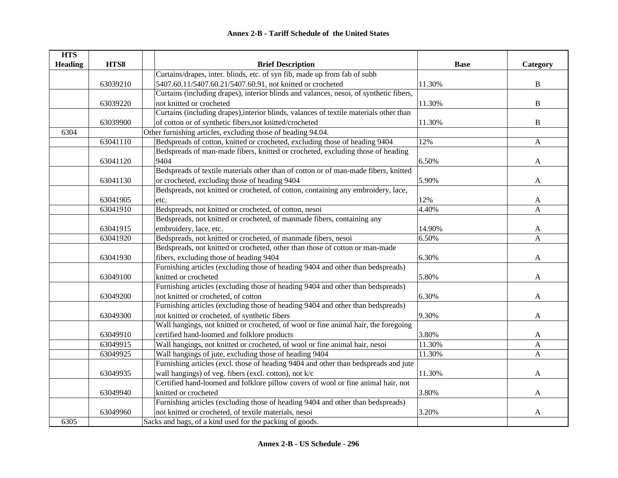| <b>HTS</b>     |          |                                                                                        |             |              |
|----------------|----------|----------------------------------------------------------------------------------------|-------------|--------------|
| <b>Heading</b> | HTS8     | <b>Brief Description</b>                                                               | <b>Base</b> | Category     |
|                |          | Curtains/drapes, inter. blinds, etc. of syn fib, made up from fab of subh              |             |              |
|                | 63039210 | 5407.60.11/5407.60.21/5407.60.91, not knitted or crocheted                             | 11.30%      | $\, {\bf B}$ |
|                |          | Curtains (including drapes), interior blinds and valances, nesoi, of synthetic fibers, |             |              |
|                | 63039220 | not knitted or crocheted                                                               | 11.30%      | $\bf{B}$     |
|                |          | Curtains (including drapes), interior blinds, valances of textile materials other than |             |              |
|                | 63039900 | of cotton or of synthetic fibers, not knitted/crocheted                                | 11.30%      | $\, {\bf B}$ |
| 6304           |          | Other furnishing articles, excluding those of heading 94.04.                           |             |              |
|                | 63041110 | Bedspreads of cotton, knitted or crocheted, excluding those of heading 9404            | 12%         | $\mathbf{A}$ |
|                |          | Bedspreads of man-made fibers, knitted or crocheted, excluding those of heading        |             |              |
|                | 63041120 | 9404                                                                                   | 6.50%       | $\mathbf{A}$ |
|                |          | Bedspreads of textile materials other than of cotton or of man-made fibers, knitted    |             |              |
|                | 63041130 | or crocheted, excluding those of heading 9404                                          | 5.90%       | A            |
|                |          | Bedspreads, not knitted or crocheted, of cotton, containing any embroidery, lace,      |             |              |
|                | 63041905 | etc.                                                                                   | 12%         | A            |
|                | 63041910 | Bedspreads, not knitted or crocheted, of cotton, nesoi                                 | 4.40%       | A            |
|                |          | Bedspreads, not knitted or crocheted, of manmade fibers, containing any                |             |              |
|                | 63041915 | embroidery, lace, etc.                                                                 | 14.90%      | A            |
|                | 63041920 | Bedspreads, not knitted or crocheted, of manmade fibers, nesoi                         | 6.50%       | A            |
|                |          | Bedspreads, not knitted or crocheted, other than those of cotton or man-made           |             |              |
|                | 63041930 | fibers, excluding those of heading 9404                                                | 6.30%       | A            |
|                |          | Furnishing articles (excluding those of heading 9404 and other than bedspreads)        |             |              |
|                | 63049100 | knitted or crocheted                                                                   | 5.80%       | A            |
|                |          | Furnishing articles (excluding those of heading 9404 and other than bedspreads)        |             |              |
|                | 63049200 | not knitted or crocheted, of cotton                                                    | 6.30%       | A            |
|                |          | Furnishing articles (excluding those of heading 9404 and other than bedspreads)        |             |              |
|                | 63049300 | not knitted or crocheted, of synthetic fibers                                          | 9.30%       | A            |
|                |          | Wall hangings, not knitted or crocheted, of wool or fine animal hair, the foregoing    |             |              |
|                | 63049910 | certified hand-loomed and folklore products                                            | 3.80%       | A            |
|                | 63049915 | Wall hangings, not knitted or crocheted, of wool or fine animal hair, nesoi            | 11.30%      | A            |
|                | 63049925 | Wall hangings of jute, excluding those of heading 9404                                 | 11.30%      | $\mathbf{A}$ |
|                |          | Furnishing articles (excl. those of heading 9404 and other than bedspreads and jute    |             |              |
|                | 63049935 | wall hangings) of veg. fibers (excl. cotton), not k/c                                  | 11.30%      | $\mathbf{A}$ |
|                |          | Certified hand-loomed and folklore pillow covers of wool or fine animal hair, not      |             |              |
|                | 63049940 | knitted or crocheted                                                                   | 3.80%       | A            |
|                |          | Furnishing articles (excluding those of heading 9404 and other than bedspreads)        |             |              |
|                | 63049960 | not knitted or crocheted, of textile materials, nesoi                                  | 3.20%       | A            |
| 6305           |          | Sacks and bags, of a kind used for the packing of goods.                               |             |              |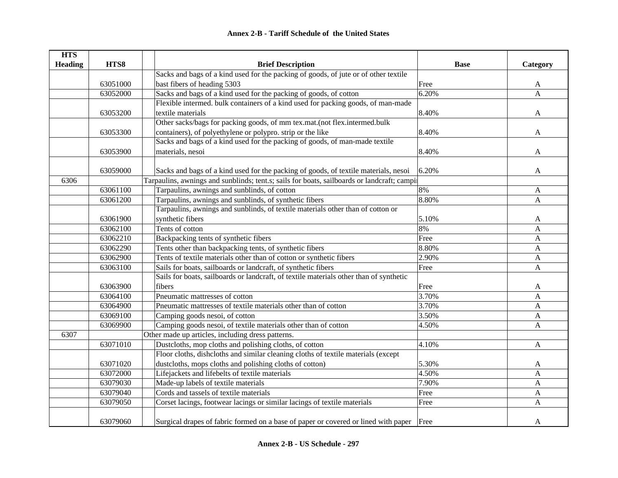| <b>HTS</b>     |          |                                                                                            |             |                |
|----------------|----------|--------------------------------------------------------------------------------------------|-------------|----------------|
| <b>Heading</b> | HTS8     | <b>Brief Description</b>                                                                   | <b>Base</b> | Category       |
|                |          | Sacks and bags of a kind used for the packing of goods, of jute or of other textile        |             |                |
|                | 63051000 | bast fibers of heading 5303                                                                | Free        | A              |
|                | 63052000 | Sacks and bags of a kind used for the packing of goods, of cotton                          | 6.20%       | $\overline{A}$ |
|                |          | Flexible intermed. bulk containers of a kind used for packing goods, of man-made           |             |                |
|                | 63053200 | textile materials                                                                          | 8.40%       | A              |
|                |          | Other sacks/bags for packing goods, of mm tex.mat.(not flex.intermed.bulk                  |             |                |
|                | 63053300 | containers), of polyethylene or polypro. strip or the like                                 | 8.40%       | A              |
|                |          | Sacks and bags of a kind used for the packing of goods, of man-made textile                |             |                |
|                | 63053900 | materials, nesoi                                                                           | 8.40%       | A              |
|                |          |                                                                                            |             |                |
|                | 63059000 | Sacks and bags of a kind used for the packing of goods, of textile materials, nesoi        | 6.20%       | A              |
| 6306           |          | Tarpaulins, awnings and sunblinds; tent.s; sails for boats, sailboards or landcraft; campi |             |                |
|                | 63061100 | Tarpaulins, awnings and sunblinds, of cotton                                               | 8%          | A              |
|                | 63061200 | Tarpaulins, awnings and sunblinds, of synthetic fibers                                     | 8.80%       | A              |
|                |          | Tarpaulins, awnings and sunblinds, of textile materials other than of cotton or            |             |                |
|                | 63061900 | synthetic fibers                                                                           | 5.10%       | A              |
|                | 63062100 | Tents of cotton                                                                            | 8%          | A              |
|                | 63062210 | Backpacking tents of synthetic fibers                                                      | Free        | A              |
|                | 63062290 | Tents other than backpacking tents, of synthetic fibers                                    | 8.80%       | $\mathbf{A}$   |
|                | 63062900 | Tents of textile materials other than of cotton or synthetic fibers                        | 2.90%       | A              |
|                | 63063100 | Sails for boats, sailboards or landcraft, of synthetic fibers                              | Free        | A              |
|                |          | Sails for boats, sailboards or landcraft, of textile materials other than of synthetic     |             |                |
|                | 63063900 | fibers                                                                                     | Free        | A              |
|                | 63064100 | Pneumatic mattresses of cotton                                                             | 3.70%       | A              |
|                | 63064900 | Pneumatic mattresses of textile materials other than of cotton                             | 3.70%       | A              |
|                | 63069100 | Camping goods nesoi, of cotton                                                             | 3.50%       | A              |
|                | 63069900 | Camping goods nesoi, of textile materials other than of cotton                             | 4.50%       | A              |
| 6307           |          | Other made up articles, including dress patterns.                                          |             |                |
|                | 63071010 | Dustcloths, mop cloths and polishing cloths, of cotton                                     | 4.10%       | A              |
|                |          | Floor cloths, dishcloths and similar cleaning cloths of textile materials (except          |             |                |
|                | 63071020 | dustcloths, mops cloths and polishing cloths of cotton)                                    | 5.30%       | A              |
|                | 63072000 | Lifejackets and lifebelts of textile materials                                             | 4.50%       | $\mathbf{A}$   |
|                | 63079030 | Made-up labels of textile materials                                                        | 7.90%       | A              |
|                | 63079040 | Cords and tassels of textile materials                                                     | Free        | A              |
|                | 63079050 | Corset lacings, footwear lacings or similar lacings of textile materials                   | Free        | A              |
|                |          |                                                                                            |             |                |
|                | 63079060 | Surgical drapes of fabric formed on a base of paper or covered or lined with paper         | Free        | A              |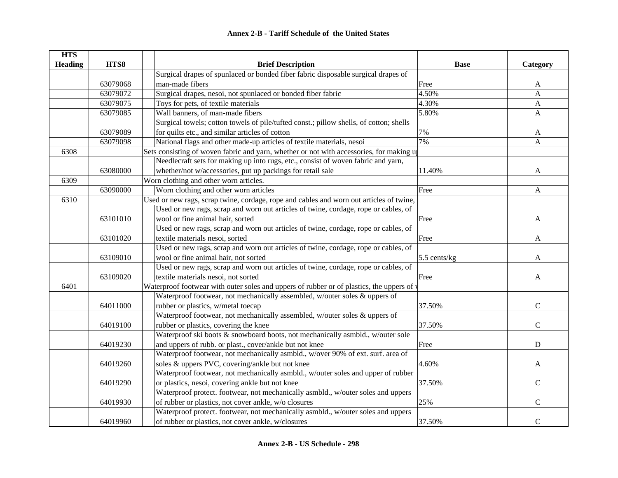| <b>HTS</b>     |          |                                                                                                    |                |               |
|----------------|----------|----------------------------------------------------------------------------------------------------|----------------|---------------|
| <b>Heading</b> | HTS8     | <b>Brief Description</b>                                                                           | <b>Base</b>    | Category      |
|                |          | Surgical drapes of spunlaced or bonded fiber fabric disposable surgical drapes of                  |                |               |
|                | 63079068 | man-made fibers                                                                                    | Free           | A             |
|                | 63079072 | Surgical drapes, nesoi, not spunlaced or bonded fiber fabric                                       | 4.50%          | A             |
|                | 63079075 | Toys for pets, of textile materials                                                                | 4.30%          | A             |
|                | 63079085 | Wall banners, of man-made fibers                                                                   | 5.80%          | A             |
|                |          | Surgical towels; cotton towels of pile/tufted const.; pillow shells, of cotton; shells             |                |               |
|                | 63079089 | for quilts etc., and similar articles of cotton                                                    | 7%             | A             |
|                | 63079098 | National flags and other made-up articles of textile materials, nesoi                              | 7%             | A             |
| 6308           |          | Sets consisting of woven fabric and yarn, whether or not with accessories, for making $\mathbf{u}$ |                |               |
|                |          | Needlecraft sets for making up into rugs, etc., consist of woven fabric and yarn,                  |                |               |
|                | 63080000 | whether/not w/accessories, put up packings for retail sale                                         | 11.40%         | A             |
| 6309           |          | Worn clothing and other worn articles.                                                             |                |               |
|                | 63090000 | Worn clothing and other worn articles                                                              | Free           | $\mathbf{A}$  |
| 6310           |          | Used or new rags, scrap twine, cordage, rope and cables and worn out articles of twine,            |                |               |
|                |          | Used or new rags, scrap and worn out articles of twine, cordage, rope or cables, of                |                |               |
|                | 63101010 | wool or fine animal hair, sorted                                                                   | Free           | A             |
|                |          | Used or new rags, scrap and worn out articles of twine, cordage, rope or cables, of                |                |               |
|                | 63101020 | textile materials nesoi, sorted                                                                    | Free           | A             |
|                |          | Used or new rags, scrap and worn out articles of twine, cordage, rope or cables, of                |                |               |
|                | 63109010 | wool or fine animal hair, not sorted                                                               | $5.5$ cents/kg | A             |
|                |          | Used or new rags, scrap and worn out articles of twine, cordage, rope or cables, of                |                |               |
|                | 63109020 | textile materials nesoi, not sorted                                                                | Free           | A             |
| 6401           |          | Waterproof footwear with outer soles and uppers of rubber or of plastics, the uppers of v          |                |               |
|                |          | Waterproof footwear, not mechanically assembled, w/outer soles & uppers of                         |                |               |
|                | 64011000 | rubber or plastics, w/metal toecap                                                                 | 37.50%         | $\mathcal{C}$ |
|                |          | Waterproof footwear, not mechanically assembled, w/outer soles & uppers of                         |                |               |
|                | 64019100 | rubber or plastics, covering the knee                                                              | 37.50%         | $\mathcal{C}$ |
|                |          | Waterproof ski boots & snowboard boots, not mechanically asmbld., w/outer sole                     |                |               |
|                | 64019230 | and uppers of rubb. or plast., cover/ankle but not knee                                            | Free           | $\mathbf D$   |
|                |          | Waterproof footwear, not mechanically asmbld., w/over 90% of ext. surf. area of                    |                |               |
|                | 64019260 | soles & uppers PVC, covering/ankle but not knee                                                    | 4.60%          | A             |
|                |          | Waterproof footwear, not mechanically asmbld., w/outer soles and upper of rubber                   |                |               |
|                | 64019290 | or plastics, nesoi, covering ankle but not knee                                                    | 37.50%         | $\mathsf{C}$  |
|                |          | Waterproof protect. footwear, not mechanically asmbld., w/outer soles and uppers                   |                |               |
|                | 64019930 | of rubber or plastics, not cover ankle, w/o closures                                               | 25%            | $\mathbf C$   |
|                |          | Waterproof protect. footwear, not mechanically asmbld., w/outer soles and uppers                   |                |               |
|                | 64019960 | of rubber or plastics, not cover ankle, w/closures                                                 | 37.50%         | $\mathbf C$   |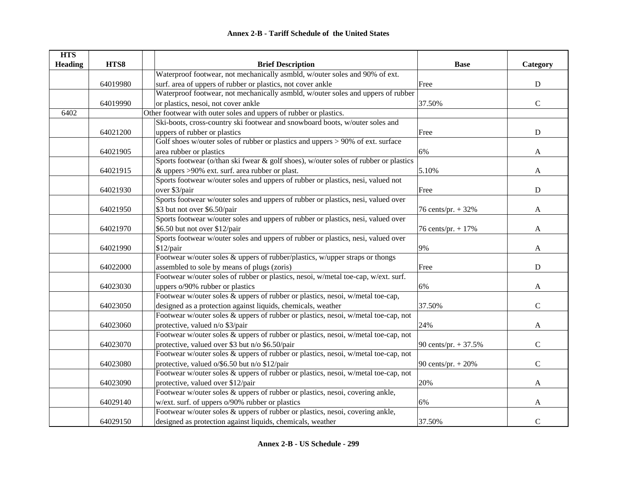| <b>HTS</b>     |          |                                                                                      |                        |              |
|----------------|----------|--------------------------------------------------------------------------------------|------------------------|--------------|
| <b>Heading</b> | HTS8     | <b>Brief Description</b>                                                             | <b>Base</b>            | Category     |
|                |          | Waterproof footwear, not mechanically asmbld, w/outer soles and 90% of ext.          |                        |              |
|                | 64019980 | surf. area of uppers of rubber or plastics, not cover ankle                          | Free                   | ${\bf D}$    |
|                |          | Waterproof footwear, not mechanically asmbld, w/outer soles and uppers of rubber     |                        |              |
|                | 64019990 | or plastics, nesoi, not cover ankle                                                  | 37.50%                 | $\mathbf C$  |
| 6402           |          | Other footwear with outer soles and uppers of rubber or plastics.                    |                        |              |
|                |          | Ski-boots, cross-country ski footwear and snowboard boots, w/outer soles and         |                        |              |
|                | 64021200 | uppers of rubber or plastics                                                         | Free                   | ${\bf D}$    |
|                |          | Golf shoes w/outer soles of rubber or plastics and uppers $> 90\%$ of ext. surface   |                        |              |
|                | 64021905 | area rubber or plastics                                                              | 6%                     | $\mathbf{A}$ |
|                |          | Sports footwear (o/than ski fwear & golf shoes), w/outer soles of rubber or plastics |                        |              |
|                | 64021915 | & uppers >90% ext. surf. area rubber or plast.                                       | 5.10%                  | A            |
|                |          | Sports footwear w/outer soles and uppers of rubber or plastics, nesi, valued not     |                        |              |
|                | 64021930 | over \$3/pair                                                                        | Free                   | $\mathbf D$  |
|                |          | Sports footwear w/outer soles and uppers of rubber or plastics, nesi, valued over    |                        |              |
|                | 64021950 | \$3 but not over \$6.50/pair                                                         | 76 cents/pr. + 32%     | A            |
|                |          | Sports footwear w/outer soles and uppers of rubber or plastics, nesi, valued over    |                        |              |
|                | 64021970 | \$6.50 but not over \$12/pair                                                        | 76 cents/pr. + 17%     | A            |
|                |          | Sports footwear w/outer soles and uppers of rubber or plastics, nesi, valued over    |                        |              |
|                | 64021990 | \$12/pair                                                                            | 9%                     | A            |
|                |          | Footwear w/outer soles $\&$ uppers of rubber/plastics, w/upper straps or thongs      |                        |              |
|                | 64022000 | assembled to sole by means of plugs (zoris)                                          | Free                   | ${\bf D}$    |
|                |          | Footwear w/outer soles of rubber or plastics, nesoi, w/metal toe-cap, w/ext. surf.   |                        |              |
|                | 64023030 | uppers o/90% rubber or plastics                                                      | 6%                     | A            |
|                |          | Footwear w/outer soles & uppers of rubber or plastics, nesoi, w/metal toe-cap,       |                        |              |
|                | 64023050 | designed as a protection against liquids, chemicals, weather                         | 37.50%                 | $\mathsf{C}$ |
|                |          | Footwear w/outer soles & uppers of rubber or plastics, nesoi, w/metal toe-cap, not   |                        |              |
|                | 64023060 | protective, valued n/o \$3/pair                                                      | 24%                    | $\mathbf{A}$ |
|                |          | Footwear w/outer soles & uppers of rubber or plastics, nesoi, w/metal toe-cap, not   |                        |              |
|                | 64023070 | protective, valued over \$3 but n/o \$6.50/pair                                      | 90 cents/pr. $+ 37.5%$ | $\mathbf C$  |
|                |          | Footwear w/outer soles & uppers of rubber or plastics, nesoi, w/metal toe-cap, not   |                        |              |
|                | 64023080 | protective, valued o/\$6.50 but n/o \$12/pair                                        | 90 cents/pr. $+ 20%$   | $\mathbf C$  |
|                |          | Footwear w/outer soles & uppers of rubber or plastics, nesoi, w/metal toe-cap, not   |                        |              |
|                | 64023090 | protective, valued over \$12/pair                                                    | 20%                    | $\mathbf{A}$ |
|                |          | Footwear w/outer soles $\&$ uppers of rubber or plastics, nesoi, covering ankle,     |                        |              |
|                | 64029140 | w/ext. surf. of uppers o/90% rubber or plastics                                      | 6%                     | A            |
|                |          | Footwear w/outer soles & uppers of rubber or plastics, nesoi, covering ankle,        |                        |              |
|                | 64029150 | designed as protection against liquids, chemicals, weather                           | 37.50%                 | $\mathbf C$  |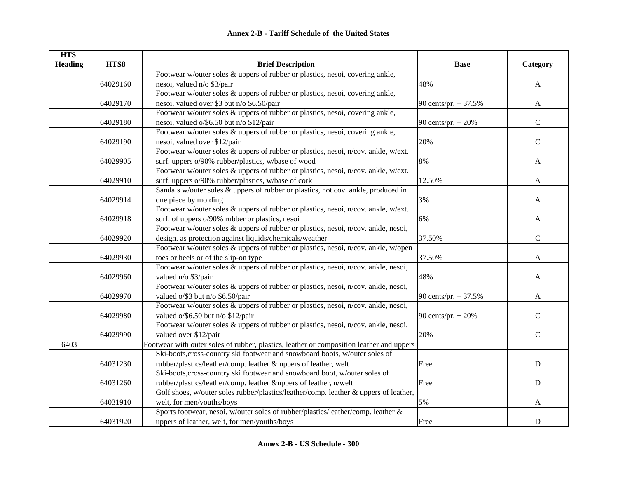| <b>HTS</b>     |          |                                                                                          |                        |                |
|----------------|----------|------------------------------------------------------------------------------------------|------------------------|----------------|
| <b>Heading</b> | HTS8     | <b>Brief Description</b>                                                                 | <b>Base</b>            | Category       |
|                |          | Footwear w/outer soles & uppers of rubber or plastics, nesoi, covering ankle,            |                        |                |
|                | 64029160 | nesoi, valued n/o \$3/pair                                                               | 48%                    | $\mathbf{A}$   |
|                |          | Footwear w/outer soles & uppers of rubber or plastics, nesoi, covering ankle,            |                        |                |
|                | 64029170 | nesoi, valued over \$3 but n/o \$6.50/pair                                               | 90 cents/pr. $+ 37.5%$ | $\mathbf{A}$   |
|                |          | Footwear w/outer soles & uppers of rubber or plastics, nesoi, covering ankle,            |                        |                |
|                | 64029180 | nesoi, valued o/\$6.50 but n/o \$12/pair                                                 | 90 cents/pr. $+ 20%$   | $\mathbf C$    |
|                |          | Footwear w/outer soles & uppers of rubber or plastics, nesoi, covering ankle,            |                        |                |
|                | 64029190 | nesoi, valued over \$12/pair                                                             | 20%                    | $\mathbf C$    |
|                |          | Footwear w/outer soles & uppers of rubber or plastics, nesoi, n/cov. ankle, w/ext.       |                        |                |
|                | 64029905 | surf. uppers o/90% rubber/plastics, w/base of wood                                       | 8%                     | $\mathbf{A}$   |
|                |          | Footwear w/outer soles & uppers of rubber or plastics, nesoi, n/cov. ankle, w/ext.       |                        |                |
|                | 64029910 | surf. uppers o/90% rubber/plastics, w/base of cork                                       | 12.50%                 | A              |
|                |          | Sandals w/outer soles & uppers of rubber or plastics, not cov. ankle, produced in        |                        |                |
|                | 64029914 | one piece by molding                                                                     | 3%                     | A              |
|                |          | Footwear w/outer soles & uppers of rubber or plastics, nesoi, n/cov. ankle, w/ext.       |                        |                |
|                | 64029918 | surf. of uppers o/90% rubber or plastics, nesoi                                          | 6%                     | A              |
|                |          | Footwear w/outer soles & uppers of rubber or plastics, nesoi, n/cov. ankle, nesoi,       |                        |                |
|                | 64029920 | design. as protection against liquids/chemicals/weather                                  | 37.50%                 | $\mathsf{C}$   |
|                |          | Footwear w/outer soles & uppers of rubber or plastics, nesoi, n/cov. ankle, w/open       |                        |                |
|                | 64029930 | toes or heels or of the slip-on type                                                     | 37.50%                 | A              |
|                |          | Footwear w/outer soles & uppers of rubber or plastics, nesoi, n/cov. ankle, nesoi,       |                        |                |
|                | 64029960 | valued n/o \$3/pair                                                                      | 48%                    | A              |
|                |          | Footwear w/outer soles & uppers of rubber or plastics, nesoi, n/cov. ankle, nesoi,       |                        |                |
|                | 64029970 | valued o/\$3 but n/o \$6.50/pair                                                         | 90 cents/pr. + 37.5%   | A              |
|                |          | Footwear w/outer soles & uppers of rubber or plastics, nesoi, n/cov. ankle, nesoi,       |                        |                |
|                | 64029980 | valued $o$ /\$6.50 but n/o \$12/pair                                                     | 90 cents/pr. + 20%     | $\overline{C}$ |
|                |          | Footwear w/outer soles & uppers of rubber or plastics, nesoi, n/cov. ankle, nesoi,       |                        |                |
|                | 64029990 | valued over \$12/pair                                                                    | 20%                    | $\mathbf C$    |
| 6403           |          | Footwear with outer soles of rubber, plastics, leather or composition leather and uppers |                        |                |
|                |          | Ski-boots, cross-country ski footwear and snowboard boots, w/outer soles of              |                        |                |
|                | 64031230 | rubber/plastics/leather/comp. leather & uppers of leather, welt                          | Free                   | $\mathbf D$    |
|                |          | Ski-boots, cross-country ski footwear and snowboard boot, w/outer soles of               |                        |                |
|                | 64031260 | rubber/plastics/leather/comp. leather &uppers of leather, n/welt                         | Free                   | ${\bf D}$      |
|                |          | Golf shoes, w/outer soles rubber/plastics/leather/comp. leather & uppers of leather,     |                        |                |
|                | 64031910 | welt, for men/youths/boys                                                                | 5%                     | A              |
|                |          | Sports footwear, nesoi, w/outer soles of rubber/plastics/leather/comp. leather &         |                        |                |
|                | 64031920 | uppers of leather, welt, for men/youths/boys                                             | Free                   | ${\bf D}$      |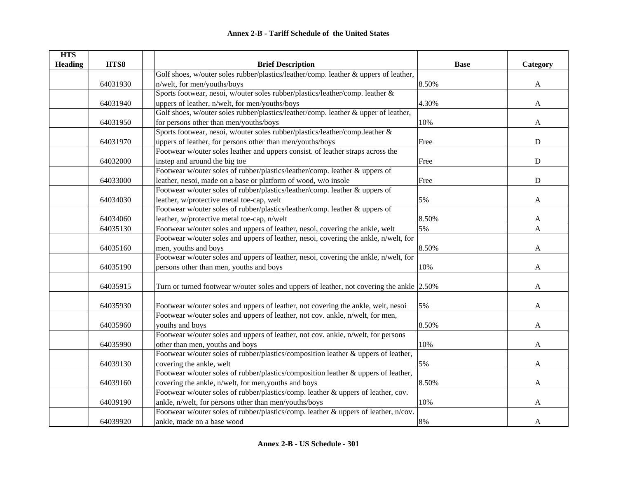| <b>HTS</b>     |          |                                                                                           |             |                           |
|----------------|----------|-------------------------------------------------------------------------------------------|-------------|---------------------------|
| <b>Heading</b> | HTS8     | <b>Brief Description</b>                                                                  | <b>Base</b> | Category                  |
|                |          | Golf shoes, w/outer soles rubber/plastics/leather/comp. leather & uppers of leather,      |             |                           |
|                | 64031930 | n/welt, for men/youths/boys                                                               | 8.50%       | A                         |
|                |          | Sports footwear, nesoi, w/outer soles rubber/plastics/leather/comp. leather &             |             |                           |
|                | 64031940 | uppers of leather, n/welt, for men/youths/boys                                            | 4.30%       | $\boldsymbol{\mathsf{A}}$ |
|                |          | Golf shoes, w/outer soles rubber/plastics/leather/comp. leather & upper of leather,       |             |                           |
|                | 64031950 | for persons other than men/youths/boys                                                    | 10%         | A                         |
|                |          | Sports footwear, nesoi, w/outer soles rubber/plastics/leather/comp.leather &              |             |                           |
|                | 64031970 | uppers of leather, for persons other than men/youths/boys                                 | Free        | ${\bf D}$                 |
|                |          | Footwear w/outer soles leather and uppers consist. of leather straps across the           |             |                           |
|                | 64032000 | instep and around the big toe                                                             | Free        | $\mathbf D$               |
|                |          | Footwear w/outer soles of rubber/plastics/leather/comp. leather & uppers of               |             |                           |
|                | 64033000 | leather, nesoi, made on a base or platform of wood, w/o insole                            | Free        | ${\bf D}$                 |
|                |          | Footwear w/outer soles of rubber/plastics/leather/comp. leather & uppers of               |             |                           |
|                | 64034030 | leather, w/protective metal toe-cap, welt                                                 | 5%          | A                         |
|                |          | Footwear w/outer soles of rubber/plastics/leather/comp. leather & uppers of               |             |                           |
|                | 64034060 | leather, w/protective metal toe-cap, n/welt                                               | 8.50%       | A                         |
|                | 64035130 | Footwear w/outer soles and uppers of leather, nesoi, covering the ankle, welt             | 5%          | A                         |
|                |          | Footwear w/outer soles and uppers of leather, nesoi, covering the ankle, n/welt, for      |             |                           |
|                | 64035160 | men, youths and boys                                                                      | 8.50%       | A                         |
|                |          | Footwear w/outer soles and uppers of leather, nesoi, covering the ankle, n/welt, for      |             |                           |
|                | 64035190 | persons other than men, youths and boys                                                   | 10%         | A                         |
|                |          |                                                                                           |             |                           |
|                | 64035915 | Turn or turned footwear w/outer soles and uppers of leather, not covering the ankle 2.50% |             | A                         |
|                |          |                                                                                           |             |                           |
|                | 64035930 | Footwear w/outer soles and uppers of leather, not covering the ankle, welt, nesoi         | 5%          | A                         |
|                |          | Footwear w/outer soles and uppers of leather, not cov. ankle, n/welt, for men,            |             |                           |
|                | 64035960 | youths and boys                                                                           | 8.50%       | A                         |
|                |          | Footwear w/outer soles and uppers of leather, not cov. ankle, n/welt, for persons         |             |                           |
|                | 64035990 | other than men, youths and boys                                                           | 10%         | A                         |
|                |          | Footwear w/outer soles of rubber/plastics/composition leather & uppers of leather,        |             |                           |
|                | 64039130 | covering the ankle, welt                                                                  | 5%          | A                         |
|                |          | Footwear w/outer soles of rubber/plastics/composition leather & uppers of leather,        |             |                           |
|                | 64039160 | covering the ankle, n/welt, for men, youths and boys                                      | 8.50%       | A                         |
|                |          | Footwear w/outer soles of rubber/plastics/comp. leather & uppers of leather, cov.         |             |                           |
|                | 64039190 | ankle, n/welt, for persons other than men/youths/boys                                     | 10%         | A                         |
|                |          | Footwear w/outer soles of rubber/plastics/comp. leather & uppers of leather, n/cov.       |             |                           |
|                | 64039920 | ankle, made on a base wood                                                                | 8%          | A                         |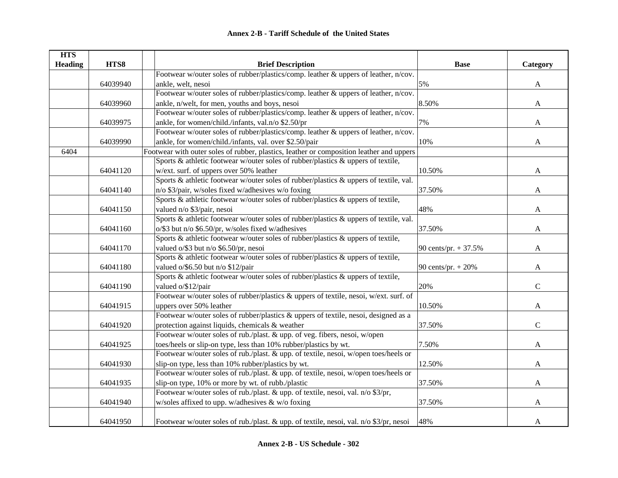| <b>HTS</b>     |          |                                                                                          |                        |              |
|----------------|----------|------------------------------------------------------------------------------------------|------------------------|--------------|
| <b>Heading</b> | HTS8     | <b>Brief Description</b>                                                                 | <b>Base</b>            | Category     |
|                |          | Footwear w/outer soles of rubber/plastics/comp. leather & uppers of leather, n/cov.      |                        |              |
|                | 64039940 | ankle, welt, nesoi                                                                       | 5%                     | $\mathbf{A}$ |
|                |          | Footwear w/outer soles of rubber/plastics/comp. leather & uppers of leather, n/cov.      |                        |              |
|                | 64039960 | ankle, n/welt, for men, youths and boys, nesoi                                           | 8.50%                  | $\mathbf{A}$ |
|                |          | Footwear w/outer soles of rubber/plastics/comp. leather & uppers of leather, n/cov.      |                        |              |
|                | 64039975 | ankle, for women/child./infants, val.n/o \$2.50/pr                                       | 7%                     | A            |
|                |          | Footwear w/outer soles of rubber/plastics/comp. leather & uppers of leather, n/cov.      |                        |              |
|                | 64039990 | ankle, for women/child./infants, val. over \$2.50/pair                                   | 10%                    | A            |
| 6404           |          | Footwear with outer soles of rubber, plastics, Ieather or composition leather and uppers |                        |              |
|                |          | Sports & athletic footwear w/outer soles of rubber/plastics & uppers of textile,         |                        |              |
|                | 64041120 | w/ext. surf. of uppers over 50% leather                                                  | 10.50%                 | A            |
|                |          | Sports & athletic footwear w/outer soles of rubber/plastics & uppers of textile, val.    |                        |              |
|                | 64041140 | n/o \$3/pair, w/soles fixed w/adhesives w/o foxing                                       | 37.50%                 | A            |
|                |          | Sports & athletic footwear w/outer soles of rubber/plastics & uppers of textile,         |                        |              |
|                | 64041150 | valued n/o \$3/pair, nesoi                                                               | 48%                    | A            |
|                |          | Sports & athletic footwear w/outer soles of rubber/plastics & uppers of textile, val.    |                        |              |
|                | 64041160 | o/\$3 but n/o \$6.50/pr, w/soles fixed w/adhesives                                       | 37.50%                 | A            |
|                |          | Sports & athletic footwear w/outer soles of rubber/plastics & uppers of textile,         |                        |              |
|                | 64041170 | valued o/\$3 but n/o \$6.50/pr, nesoi                                                    | 90 cents/pr. $+ 37.5%$ | A            |
|                |          | Sports & athletic footwear w/outer soles of rubber/plastics & uppers of textile,         |                        |              |
|                | 64041180 | valued o/\$6.50 but n/o \$12/pair                                                        | 90 cents/pr. $+ 20%$   | A            |
|                |          | Sports & athletic footwear w/outer soles of rubber/plastics & uppers of textile,         |                        |              |
|                | 64041190 | valued o/\$12/pair                                                                       | 20%                    | $\mathbf C$  |
|                |          | Footwear w/outer soles of rubber/plastics & uppers of textile, nesoi, w/ext. surf. of    |                        |              |
|                | 64041915 | uppers over 50% leather                                                                  | 10.50%                 | $\mathbf{A}$ |
|                |          | Footwear w/outer soles of rubber/plastics & uppers of textile, nesoi, designed as a      |                        |              |
|                | 64041920 | protection against liquids, chemicals & weather                                          | 37.50%                 | $\mathbf C$  |
|                |          | Footwear w/outer soles of rub./plast. & upp. of veg. fibers, nesoi, w/open               |                        |              |
|                | 64041925 | toes/heels or slip-on type, less than 10% rubber/plastics by wt.                         | 7.50%                  | A            |
|                |          | Footwear w/outer soles of rub./plast. & upp. of textile, nesoi, w/open toes/heels or     |                        |              |
|                | 64041930 | slip-on type, less than 10% rubber/plastics by wt.                                       | 12.50%                 | A            |
|                |          | Footwear w/outer soles of rub./plast. & upp. of textile, nesoi, w/open toes/heels or     |                        |              |
|                | 64041935 | slip-on type, 10% or more by wt. of rubb./plastic                                        | 37.50%                 | $\mathbf{A}$ |
|                |          | Footwear w/outer soles of rub./plast. & upp. of textile, nesoi, val. n/o \$3/pr,         |                        |              |
|                | 64041940 | w/soles affixed to upp. w/adhesives & w/o foxing                                         | 37.50%                 | A            |
|                |          |                                                                                          |                        |              |
|                | 64041950 | Footwear w/outer soles of rub./plast. & upp. of textile, nesoi, val. n/o \$3/pr, nesoi   | 48%                    | A            |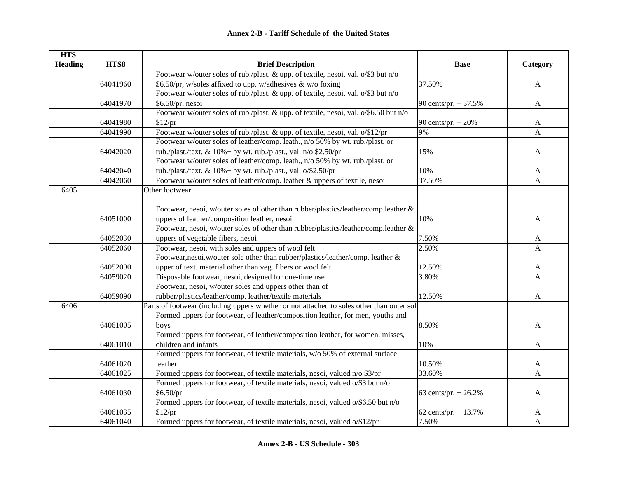| <b>HTS</b>     |          |                                                                                           |                        |              |
|----------------|----------|-------------------------------------------------------------------------------------------|------------------------|--------------|
| <b>Heading</b> | HTS8     | <b>Brief Description</b>                                                                  | <b>Base</b>            | Category     |
|                |          | Footwear w/outer soles of rub./plast. & upp. of textile, nesoi, val. o/\$3 but n/o        |                        |              |
|                | 64041960 | \$6.50/pr, w/soles affixed to upp. w/adhesives & w/o foxing                               | 37.50%                 | $\mathbf{A}$ |
|                |          | Footwear w/outer soles of rub./plast. & upp. of textile, nesoi, val. o/\$3 but n/o        |                        |              |
|                | 64041970 | \$6.50/pr, nesoi                                                                          | 90 cents/pr. $+ 37.5%$ | A            |
|                |          | Footwear w/outer soles of rub./plast. & upp. of textile, nesoi, val. o/\$6.50 but n/o     |                        |              |
|                | 64041980 | \$12/pr                                                                                   | 90 cents/pr. $+ 20%$   | A            |
|                | 64041990 | Footwear w/outer soles of rub./plast. & upp. of textile, nesoi, val. o/\$12/pr            | 9%                     | A            |
|                |          | Footwear w/outer soles of leather/comp. leath., n/o 50% by wt. rub./plast. or             |                        |              |
|                | 64042020 | rub./plast./text. & 10%+ by wt. rub./plast., val. n/o \$2.50/pr                           | 15%                    | A            |
|                |          | Footwear w/outer soles of leather/comp. leath., n/o 50% by wt. rub./plast. or             |                        |              |
|                | 64042040 | rub./plast./text. & $10\%$ + by wt. rub./plast., val. o/\$2.50/pr                         | 10%                    | A            |
|                | 64042060 | Footwear w/outer soles of leather/comp. leather & uppers of textile, nesoi                | 37.50%                 | $\mathbf{A}$ |
| 6405           |          | Other footwear.                                                                           |                        |              |
|                |          |                                                                                           |                        |              |
|                |          | Footwear, nesoi, w/outer soles of other than rubber/plastics/leather/comp.leather &       |                        |              |
|                | 64051000 | uppers of leather/composition leather, nesoi                                              | 10%                    | A            |
|                |          | Footwear, nesoi, w/outer soles of other than rubber/plastics/leather/comp.leather &       |                        |              |
|                | 64052030 | uppers of vegetable fibers, nesoi                                                         | 7.50%                  | A            |
|                | 64052060 | Footwear, nesoi, with soles and uppers of wool felt                                       | 2.50%                  | $\mathbf{A}$ |
|                |          | Footwear, nesoi, w/outer sole other than rubber/plastics/leather/comp. leather &          |                        |              |
|                | 64052090 | upper of text. material other than veg. fibers or wool felt                               | 12.50%                 | A            |
|                | 64059020 | Disposable footwear, nesoi, designed for one-time use                                     | 3.80%                  | $\mathbf{A}$ |
|                |          | Footwear, nesoi, w/outer soles and uppers other than of                                   |                        |              |
|                | 64059090 | rubber/plastics/leather/comp. leather/textile materials                                   | 12.50%                 | A            |
| 6406           |          | Parts of footwear (including uppers whether or not attached to soles other than outer sol |                        |              |
|                |          | Formed uppers for footwear, of leather/composition leather, for men, youths and           |                        |              |
|                | 64061005 | boys                                                                                      | 8.50%                  | A            |
|                |          | Formed uppers for footwear, of leather/composition leather, for women, misses,            |                        |              |
|                | 64061010 | children and infants                                                                      | 10%                    | A            |
|                |          | Formed uppers for footwear, of textile materials, w/o 50% of external surface             |                        |              |
|                | 64061020 | leather                                                                                   | 10.50%                 | A            |
|                | 64061025 | Formed uppers for footwear, of textile materials, nesoi, valued n/o \$3/pr                | 33.60%                 | A            |
|                |          | Formed uppers for footwear, of textile materials, nesoi, valued o/\$3 but n/o             |                        |              |
|                | 64061030 | \$6.50/pr\$                                                                               | 63 cents/pr. + 26.2%   | $\mathbf{A}$ |
|                |          | Formed uppers for footwear, of textile materials, nesoi, valued o/\$6.50 but n/o          |                        |              |
|                | 64061035 | \$12/pr                                                                                   | 62 cents/pr. $+ 13.7%$ | A            |
|                | 64061040 | Formed uppers for footwear, of textile materials, nesoi, valued o/\$12/pr                 | 7.50%                  | A            |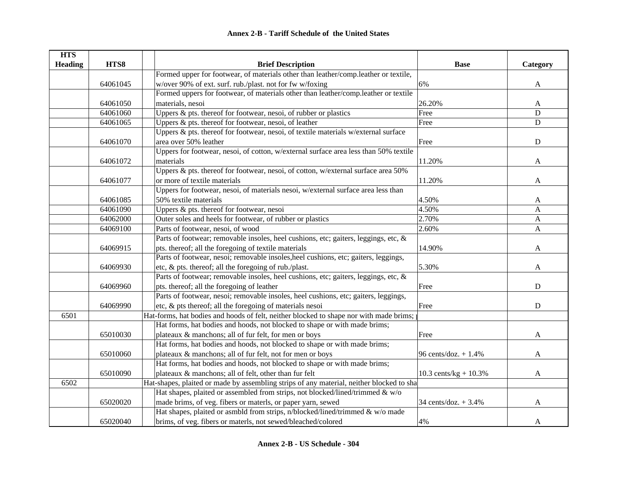| <b>HTS</b>     |          |                                                                                          |                         |             |
|----------------|----------|------------------------------------------------------------------------------------------|-------------------------|-------------|
| <b>Heading</b> | HTS8     | <b>Brief Description</b>                                                                 | <b>Base</b>             | Category    |
|                |          | Formed upper for footwear, of materials other than leather/comp.leather or textile,      |                         |             |
|                | 64061045 | w/over 90% of ext. surf. rub./plast. not for fw w/foxing                                 | 6%                      | A           |
|                |          | Formed uppers for footwear, of materials other than leather/comp.leather or textile      |                         |             |
|                | 64061050 | materials, nesoi                                                                         | 26.20%                  | A           |
|                | 64061060 | Uppers & pts. thereof for footwear, nesoi, of rubber or plastics                         | Free                    | D           |
|                | 64061065 | Uppers & pts. thereof for footwear, nesoi, of leather                                    | Free                    | ${\bf D}$   |
|                |          | Uppers & pts. thereof for footwear, nesoi, of textile materials w/external surface       |                         |             |
|                | 64061070 | area over 50% leather                                                                    | Free                    | ${\bf D}$   |
|                |          | Uppers for footwear, nesoi, of cotton, w/external surface area less than 50% textile     |                         |             |
|                | 64061072 | materials                                                                                | 11.20%                  | A           |
|                |          | Uppers & pts. thereof for footwear, nesoi, of cotton, w/external surface area 50%        |                         |             |
|                | 64061077 | or more of textile materials                                                             | 11.20%                  | A           |
|                |          | Uppers for footwear, nesoi, of materials nesoi, w/external surface area less than        |                         |             |
|                | 64061085 | 50% textile materials                                                                    | 4.50%                   | A           |
|                | 64061090 | Uppers & pts. thereof for footwear, nesoi                                                | 4.50%                   | A           |
|                | 64062000 | Outer soles and heels for footwear, of rubber or plastics                                | 2.70%                   | A           |
|                | 64069100 | Parts of footwear, nesoi, of wood                                                        | 2.60%                   | A           |
|                |          | Parts of footwear; removable insoles, heel cushions, etc; gaiters, leggings, etc, &      |                         |             |
|                | 64069915 | pts. thereof; all the foregoing of textile materials                                     | 14.90%                  | A           |
|                |          | Parts of footwear, nesoi; removable insoles, heel cushions, etc; gaiters, leggings,      |                         |             |
|                | 64069930 | etc, & pts. thereof; all the foregoing of rub./plast.                                    | 5.30%                   | A           |
|                |          | Parts of footwear; removable insoles, heel cushions, etc; gaiters, leggings, etc, &      |                         |             |
|                | 64069960 | pts. thereof; all the foregoing of leather                                               | Free                    | D           |
|                |          | Parts of footwear, nesoi; removable insoles, heel cushions, etc; gaiters, leggings,      |                         |             |
|                | 64069990 | etc, & pts thereof; all the foregoing of materials nesoi                                 | Free                    | $\mathbf D$ |
| 6501           |          | Hat-forms, hat bodies and hoods of felt, neither blocked to shape nor with made brims;   |                         |             |
|                |          | Hat forms, hat bodies and hoods, not blocked to shape or with made brims;                |                         |             |
|                | 65010030 | plateaux & manchons; all of fur felt, for men or boys                                    | Free                    | A           |
|                |          | Hat forms, hat bodies and hoods, not blocked to shape or with made brims;                |                         |             |
|                | 65010060 | plateaux & manchons; all of fur felt, not for men or boys                                | 96 cents/doz. $+1.4%$   | A           |
|                |          | Hat forms, hat bodies and hoods, not blocked to shape or with made brims;                |                         |             |
|                | 65010090 | plateaux & manchons; all of felt, other than fur felt                                    | 10.3 cents/kg + $10.3%$ | A           |
| 6502           |          | Hat-shapes, plaited or made by assembling strips of any material, neither blocked to sha |                         |             |
|                |          | Hat shapes, plaited or assembled from strips, not blocked/lined/trimmed & w/o            |                         |             |
|                | 65020020 | made brims, of veg. fibers or materls, or paper yarn, sewed                              | 34 cents/doz. + 3.4%    | A           |
|                |          | Hat shapes, plaited or asmbld from strips, n/blocked/lined/trimmed & w/o made            |                         |             |
|                | 65020040 | brims, of veg. fibers or materls, not sewed/bleached/colored                             | 4%                      | A           |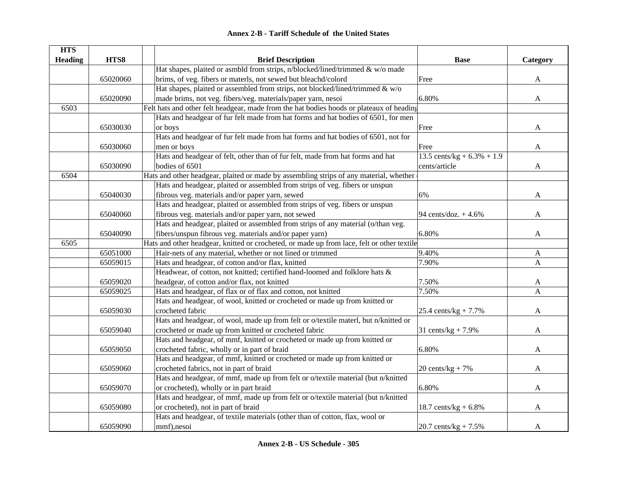| <b>HTS</b>     |          |                                                                                            |                               |              |
|----------------|----------|--------------------------------------------------------------------------------------------|-------------------------------|--------------|
| <b>Heading</b> | HTS8     | <b>Brief Description</b>                                                                   | <b>Base</b>                   | Category     |
|                |          | Hat shapes, plaited or asmbld from strips, n/blocked/lined/trimmed & w/o made              |                               |              |
|                | 65020060 | brims, of veg. fibers or materls, not sewed but bleachd/colord                             | Free                          | A            |
|                |          | Hat shapes, plaited or assembled from strips, not blocked/lined/trimmed & w/o              |                               |              |
|                | 65020090 | made brims, not veg. fibers/veg. materials/paper yarn, nesoi                               | 6.80%                         | A            |
| 6503           |          | Felt hats and other felt headgear, made from the hat bodies hoods or plateaux of heading   |                               |              |
|                |          | Hats and headgear of fur felt made from hat forms and hat bodies of 6501, for men          |                               |              |
|                | 65030030 | or boys                                                                                    | Free                          | A            |
|                |          | Hats and headgear of fur felt made from hat forms and hat bodies of 6501, not for          |                               |              |
|                | 65030060 | men or boys                                                                                | Free                          | A            |
|                |          | Hats and headgear of felt, other than of fur felt, made from hat forms and hat             | 13.5 cents/kg + $6.3\%$ + 1.9 |              |
|                | 65030090 | bodies of 6501                                                                             | cents/article                 | A            |
| 6504           |          | Hats and other headgear, plaited or made by assembling strips of any material, whether     |                               |              |
|                |          | Hats and headgear, plaited or assembled from strips of veg. fibers or unspun               |                               |              |
|                | 65040030 | fibrous veg. materials and/or paper yarn, sewed                                            | 6%                            | A            |
|                |          | Hats and headgear, plaited or assembled from strips of veg. fibers or unspun               |                               |              |
|                | 65040060 | fibrous veg. materials and/or paper yarn, not sewed                                        | 94 cents/doz. $+4.6%$         | A            |
|                |          | Hats and headgear, plaited or assembled from strips of any material (o/than veg.           |                               |              |
|                | 65040090 | fibers/unspun fibrous veg. materials and/or paper yarn)                                    | 6.80%                         | A            |
| 6505           |          | Hats and other headgear, knitted or crocheted, or made up from lace, felt or other textile |                               |              |
|                | 65051000 | Hair-nets of any material, whether or not lined or trimmed                                 | 9.40%                         | A            |
|                | 65059015 | Hats and headgear, of cotton and/or flax, knitted                                          | 7.90%                         | $\mathbf{A}$ |
|                |          | Headwear, of cotton, not knitted; certified hand-loomed and folklore hats &                |                               |              |
|                | 65059020 | headgear, of cotton and/or flax, not knitted                                               | 7.50%                         | A            |
|                | 65059025 | Hats and headgear, of flax or of flax and cotton, not knitted                              | 7.50%                         | A            |
|                |          | Hats and headgear, of wool, knitted or crocheted or made up from knitted or                |                               |              |
|                | 65059030 | crocheted fabric                                                                           | 25.4 cents/ $kg + 7.7%$       | A            |
|                |          | Hats and headgear, of wool, made up from felt or o/textile materl, but n/knitted or        |                               |              |
|                | 65059040 | crocheted or made up from knitted or crocheted fabric                                      | 31 cents/ $kg + 7.9%$         | A            |
|                |          | Hats and headgear, of mmf, knitted or crocheted or made up from knitted or                 |                               |              |
|                | 65059050 | crocheted fabric, wholly or in part of braid                                               | 6.80%                         | A            |
|                |          | Hats and headgear, of mmf, knitted or crocheted or made up from knitted or                 |                               |              |
|                | 65059060 | crocheted fabrics, not in part of braid                                                    | $20$ cents/kg + 7%            | A            |
|                |          | Hats and headgear, of mmf, made up from felt or o/textile material (but n/knitted          |                               |              |
|                | 65059070 | or crocheted), wholly or in part braid                                                     | 6.80%                         | A            |
|                |          | Hats and headgear, of mmf, made up from felt or o/textile material (but n/knitted          |                               |              |
|                | 65059080 | or crocheted), not in part of braid                                                        | 18.7 cents/kg + $6.8\%$       | A            |
|                |          | Hats and headgear, of textile materials (other than of cotton, flax, wool or               |                               |              |
|                | 65059090 | mmf), nesoi                                                                                | 20.7 cents/kg + $7.5\%$       | A            |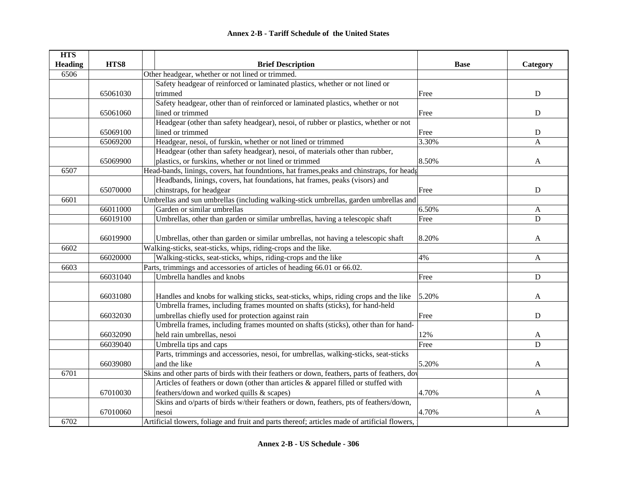| <b>HTS</b>     |          |                                                                                               |             |             |
|----------------|----------|-----------------------------------------------------------------------------------------------|-------------|-------------|
| <b>Heading</b> | HTS8     | <b>Brief Description</b>                                                                      | <b>Base</b> | Category    |
| 6506           |          | Other headgear, whether or not lined or trimmed.                                              |             |             |
|                |          | Safety headgear of reinforced or laminated plastics, whether or not lined or                  |             |             |
|                | 65061030 | trimmed                                                                                       | Free        | $\mathbf D$ |
|                |          | Safety headgear, other than of reinforced or laminated plastics, whether or not               |             |             |
|                | 65061060 | lined or trimmed                                                                              | Free        | ${\bf D}$   |
|                |          | Headgear (other than safety headgear), nesoi, of rubber or plastics, whether or not           |             |             |
|                | 65069100 | lined or trimmed                                                                              | Free        | ${\bf D}$   |
|                | 65069200 | Headgear, nesoi, of furskin, whether or not lined or trimmed                                  | 3.30%       | A           |
|                |          | Headgear (other than safety headgear), nesoi, of materials other than rubber,                 |             |             |
|                | 65069900 | plastics, or furskins, whether or not lined or trimmed                                        | 8.50%       | A           |
| 6507           |          | Head-bands, linings, covers, hat foundntions, hat frames, peaks and chinstraps, for heads     |             |             |
|                |          | Headbands, linings, covers, hat foundations, hat frames, peaks (visors) and                   |             |             |
|                | 65070000 | chinstraps, for headgear                                                                      | Free        | ${\bf D}$   |
| 6601           |          | Umbrellas and sun umbrellas (including walking-stick umbrellas, garden umbrellas and          |             |             |
|                | 66011000 | Garden or similar umbrellas                                                                   | 6.50%       | A           |
|                | 66019100 | Umbrellas, other than garden or similar umbrellas, having a telescopic shaft                  | Free        | D           |
|                |          |                                                                                               |             |             |
|                | 66019900 | Umbrellas, other than garden or similar umbrellas, not having a telescopic shaft              | 8.20%       | A           |
| 6602           |          | Walking-sticks, seat-sticks, whips, riding-crops and the like.                                |             |             |
|                | 66020000 | Walking-sticks, seat-sticks, whips, riding-crops and the like                                 | 4%          | A           |
| 6603           |          | Parts, trimmings and accessories of articles of heading 66.01 or 66.02.                       |             |             |
|                | 66031040 | Umbrella handles and knobs                                                                    | Free        | $\mathbf D$ |
|                |          |                                                                                               |             |             |
|                | 66031080 | Handles and knobs for walking sticks, seat-sticks, whips, riding crops and the like           | 5.20%       | A           |
|                |          | Umbrella frames, including frames mounted on shafts (sticks), for hand-held                   |             |             |
|                | 66032030 | umbrellas chiefly used for protection against rain                                            | Free        | $\mathbf D$ |
|                |          | Umbrella frames, including frames mounted on shafts (sticks), other than for hand-            |             |             |
|                | 66032090 | held rain umbrellas, nesoi                                                                    | 12%         | A           |
|                | 66039040 | Umbrella tips and caps                                                                        | Free        | D           |
|                |          | Parts, trimmings and accessories, nesoi, for umbrellas, walking-sticks, seat-sticks           |             |             |
|                | 66039080 | and the like                                                                                  | 5.20%       | A           |
| 6701           |          | Skins and other parts of birds with their feathers or down, feathers, parts of feathers, dov  |             |             |
|                |          | Articles of feathers or down (other than articles & apparel filled or stuffed with            |             |             |
|                | 67010030 | feathers/down and worked quills & scapes)                                                     | 4.70%       | A           |
|                |          | Skins and o/parts of birds w/their feathers or down, feathers, pts of feathers/down,          |             |             |
|                | 67010060 | nesoi                                                                                         | 4.70%       | A           |
| 6702           |          | Artificial tlowers, foliage and fruit and parts thereof; articles made of artificial flowers, |             |             |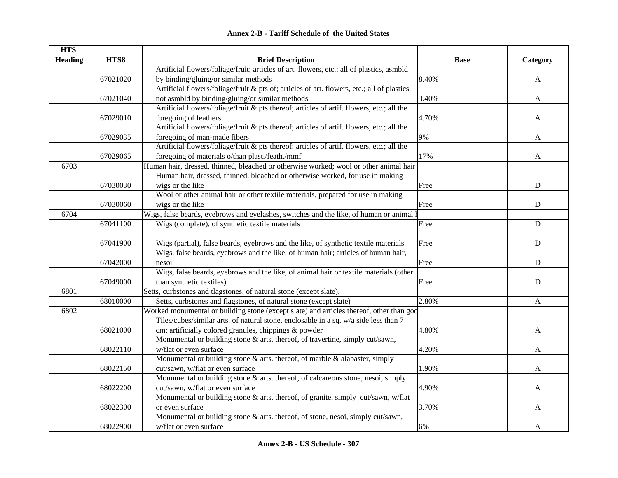|  | <b>Annex 2-B - Tariff Schedule of the United States</b> |  |
|--|---------------------------------------------------------|--|
|--|---------------------------------------------------------|--|

| <b>HTS</b>     |          |                                                                                             |             |              |
|----------------|----------|---------------------------------------------------------------------------------------------|-------------|--------------|
| <b>Heading</b> | HTS8     | <b>Brief Description</b>                                                                    | <b>Base</b> | Category     |
|                |          | Artificial flowers/foliage/fruit; articles of art. flowers, etc.; all of plastics, asmbld   |             |              |
|                | 67021020 | by binding/gluing/or similar methods                                                        | 8.40%       | A            |
|                |          | Artificial flowers/foliage/fruit & pts of; articles of art. flowers, etc.; all of plastics, |             |              |
|                | 67021040 | not asmbld by binding/gluing/or similar methods                                             | 3.40%       | A            |
|                |          | Artificial flowers/foliage/fruit & pts thereof; articles of artif. flowers, etc.; all the   |             |              |
|                | 67029010 | foregoing of feathers                                                                       | 4.70%       | A            |
|                |          | Artificial flowers/foliage/fruit & pts thereof; articles of artif. flowers, etc.; all the   |             |              |
|                | 67029035 | foregoing of man-made fibers                                                                | 9%          | A            |
|                |          | Artificial flowers/foliage/fruit & pts thereof; articles of artif. flowers, etc.; all the   |             |              |
|                | 67029065 | foregoing of materials o/than plast./feath./mmf                                             | 17%         | A            |
| 6703           |          | Human hair, dressed, thinned, bleached or otherwise worked; wool or other animal hair       |             |              |
|                |          | Human hair, dressed, thinned, bleached or otherwise worked, for use in making               |             |              |
|                | 67030030 | wigs or the like                                                                            | Free        | D            |
|                |          | Wool or other animal hair or other textile materials, prepared for use in making            |             |              |
|                | 67030060 | wigs or the like                                                                            | Free        | $\mathbf D$  |
| 6704           |          | Wigs, false beards, eyebrows and eyelashes, switches and the like, of human or animal h     |             |              |
|                | 67041100 | Wigs (complete), of synthetic textile materials                                             | Free        | $\mathbf D$  |
|                |          |                                                                                             |             |              |
|                | 67041900 | Wigs (partial), false beards, eyebrows and the like, of synthetic textile materials         | Free        | ${\bf D}$    |
|                |          | Wigs, false beards, eyebrows and the like, of human hair; articles of human hair,           |             |              |
|                | 67042000 | nesoi                                                                                       | Free        | ${\bf D}$    |
|                |          | Wigs, false beards, eyebrows and the like, of animal hair or textile materials (other       |             |              |
|                | 67049000 | than synthetic textiles)                                                                    | Free        | ${\bf D}$    |
| 6801           |          | Setts, curbstones and tlagstones, of natural stone (except slate).                          |             |              |
|                | 68010000 | Setts, curbstones and flagstones, of natural stone (except slate)                           | 2.80%       | $\mathbf{A}$ |
| 6802           |          | Worked monumental or building stone (except slate) and articles thereof, other than god     |             |              |
|                |          | Tiles/cubes/similar arts. of natural stone, enclosable in a sq. w/a side less than 7        |             |              |
|                | 68021000 | cm; artificially colored granules, chippings & powder                                       | 4.80%       | A            |
|                |          | Monumental or building stone & arts. thereof, of travertine, simply cut/sawn,               |             |              |
|                | 68022110 | w/flat or even surface                                                                      | 4.20%       | A            |
|                |          | Monumental or building stone $\&$ arts. thereof, of marble $\&$ alabaster, simply           |             |              |
|                | 68022150 | cut/sawn, w/flat or even surface                                                            | 1.90%       | A            |
|                |          | Monumental or building stone & arts. thereof, of calcareous stone, nesoi, simply            |             |              |
|                | 68022200 | cut/sawn, w/flat or even surface                                                            | 4.90%       | A            |
|                |          | Monumental or building stone & arts. thereof, of granite, simply cut/sawn, w/flat           |             |              |
|                | 68022300 | or even surface                                                                             | 3.70%       | A            |
|                |          | Monumental or building stone & arts. thereof, of stone, nesoi, simply cut/sawn,             |             |              |
|                | 68022900 | w/flat or even surface                                                                      | 6%          | A            |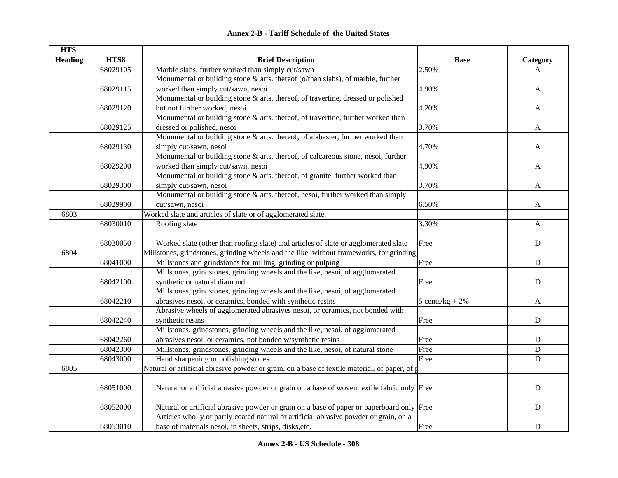| HTS8<br><b>Heading</b><br><b>Brief Description</b><br><b>Base</b><br>Category<br>68029105<br>Marble slabs, further worked than simply cut/sawn<br>2.50%<br>A<br>Monumental or building stone & arts. thereof (o/than slabs), of marble, further<br>68029115<br>worked than simply cut/sawn, nesoi<br>4.90%<br>A<br>Monumental or building stone & arts. thereof, of travertine, dressed or polished<br>but not further worked, nesoi<br>4.20%<br>68029120<br>A<br>Monumental or building stone & arts. thereof, of travertine, further worked than<br>dressed or polished, nesoi<br>3.70%<br>68029125<br>A<br>Monumental or building stone & arts. thereof, of alabaster, further worked than<br>simply cut/sawn, nesoi<br>4.70%<br>68029130<br>A<br>Monumental or building stone & arts. thereof, of calcareous stone, nesoi, further<br>worked than simply cut/sawn, nesoi<br>4.90%<br>68029200<br>A<br>Monumental or building stone & arts. thereof, of granite, further worked than<br>simply cut/sawn, nesoi<br>3.70%<br>68029300<br>A<br>Monumental or building stone & arts. thereof, nesoi, further worked than simply<br>68029900<br>cut/sawn, nesoi<br>6.50%<br>A<br>Worked slate and articles of slate or of agglomerated slate.<br>6803<br>68030010<br>3.30%<br>Roofing slate<br>$\mathbf{A}$<br>Worked slate (other than roofing slate) and articles of slate or agglomerated slate<br>${\bf D}$<br>68030050<br>Free<br>Millstones, grindstones, grinding wheels and the like, without frameworks, for grinding,<br>6804<br>68041000<br>Millstones and grindstones for milling, grinding or pulping<br>Free<br>${\bf D}$<br>Millstones, grindstones, grinding wheels and the like, nesoi, of agglomerated<br>68042100<br>synthetic or natural diamond<br>${\bf D}$<br>Free<br>Millstones, grindstones, grinding wheels and the like, nesoi, of agglomerated<br>68042210<br>abrasives nesoi, or ceramics, bonded with synthetic resins<br>5 cents/ $kg + 2%$<br>A<br>Abrasive wheels of agglomerated abrasives nesoi, or ceramics, not bonded with<br>68042240<br>synthetic resins<br>${\bf D}$<br>Free<br>Millstones, grindstones, grinding wheels and the like, nesoi, of agglomerated<br>abrasives nesoi, or ceramics, not bonded w/synthetic resins<br>68042260<br>Free<br>D<br>Millstones, grindstones, grinding wheels and the like, nesoi, of natural stone<br>Free<br>68042300<br>${\bf D}$<br>68043000<br>Hand sharpening or polishing stones<br>$\mathbf D$<br>Free<br>Natural or artificial abrasive powder or grain, on a base of textile material, of paper, of p<br>6805<br>68051000<br>Natural or artificial abrasive powder or grain on a base of woven textile fabric only Free<br>${\bf D}$<br>Natural or artificial abrasive powder or grain on a base of paper or paperboard only Free<br>${\bf D}$<br>68052000<br>Articles wholly or partly coated natural or artificial abrasive powder or grain, on a | <b>HTS</b> |          |                                                         |      |           |
|------------------------------------------------------------------------------------------------------------------------------------------------------------------------------------------------------------------------------------------------------------------------------------------------------------------------------------------------------------------------------------------------------------------------------------------------------------------------------------------------------------------------------------------------------------------------------------------------------------------------------------------------------------------------------------------------------------------------------------------------------------------------------------------------------------------------------------------------------------------------------------------------------------------------------------------------------------------------------------------------------------------------------------------------------------------------------------------------------------------------------------------------------------------------------------------------------------------------------------------------------------------------------------------------------------------------------------------------------------------------------------------------------------------------------------------------------------------------------------------------------------------------------------------------------------------------------------------------------------------------------------------------------------------------------------------------------------------------------------------------------------------------------------------------------------------------------------------------------------------------------------------------------------------------------------------------------------------------------------------------------------------------------------------------------------------------------------------------------------------------------------------------------------------------------------------------------------------------------------------------------------------------------------------------------------------------------------------------------------------------------------------------------------------------------------------------------------------------------------------------------------------------------------------------------------------------------------------------------------------------------------------------------------------------------------------------------------------------------------------------------------------------------------------------------------------------------------------------------------------------------------------------------------------------------------------|------------|----------|---------------------------------------------------------|------|-----------|
|                                                                                                                                                                                                                                                                                                                                                                                                                                                                                                                                                                                                                                                                                                                                                                                                                                                                                                                                                                                                                                                                                                                                                                                                                                                                                                                                                                                                                                                                                                                                                                                                                                                                                                                                                                                                                                                                                                                                                                                                                                                                                                                                                                                                                                                                                                                                                                                                                                                                                                                                                                                                                                                                                                                                                                                                                                                                                                                                          |            |          |                                                         |      |           |
|                                                                                                                                                                                                                                                                                                                                                                                                                                                                                                                                                                                                                                                                                                                                                                                                                                                                                                                                                                                                                                                                                                                                                                                                                                                                                                                                                                                                                                                                                                                                                                                                                                                                                                                                                                                                                                                                                                                                                                                                                                                                                                                                                                                                                                                                                                                                                                                                                                                                                                                                                                                                                                                                                                                                                                                                                                                                                                                                          |            |          |                                                         |      |           |
|                                                                                                                                                                                                                                                                                                                                                                                                                                                                                                                                                                                                                                                                                                                                                                                                                                                                                                                                                                                                                                                                                                                                                                                                                                                                                                                                                                                                                                                                                                                                                                                                                                                                                                                                                                                                                                                                                                                                                                                                                                                                                                                                                                                                                                                                                                                                                                                                                                                                                                                                                                                                                                                                                                                                                                                                                                                                                                                                          |            |          |                                                         |      |           |
|                                                                                                                                                                                                                                                                                                                                                                                                                                                                                                                                                                                                                                                                                                                                                                                                                                                                                                                                                                                                                                                                                                                                                                                                                                                                                                                                                                                                                                                                                                                                                                                                                                                                                                                                                                                                                                                                                                                                                                                                                                                                                                                                                                                                                                                                                                                                                                                                                                                                                                                                                                                                                                                                                                                                                                                                                                                                                                                                          |            |          |                                                         |      |           |
|                                                                                                                                                                                                                                                                                                                                                                                                                                                                                                                                                                                                                                                                                                                                                                                                                                                                                                                                                                                                                                                                                                                                                                                                                                                                                                                                                                                                                                                                                                                                                                                                                                                                                                                                                                                                                                                                                                                                                                                                                                                                                                                                                                                                                                                                                                                                                                                                                                                                                                                                                                                                                                                                                                                                                                                                                                                                                                                                          |            |          |                                                         |      |           |
|                                                                                                                                                                                                                                                                                                                                                                                                                                                                                                                                                                                                                                                                                                                                                                                                                                                                                                                                                                                                                                                                                                                                                                                                                                                                                                                                                                                                                                                                                                                                                                                                                                                                                                                                                                                                                                                                                                                                                                                                                                                                                                                                                                                                                                                                                                                                                                                                                                                                                                                                                                                                                                                                                                                                                                                                                                                                                                                                          |            |          |                                                         |      |           |
|                                                                                                                                                                                                                                                                                                                                                                                                                                                                                                                                                                                                                                                                                                                                                                                                                                                                                                                                                                                                                                                                                                                                                                                                                                                                                                                                                                                                                                                                                                                                                                                                                                                                                                                                                                                                                                                                                                                                                                                                                                                                                                                                                                                                                                                                                                                                                                                                                                                                                                                                                                                                                                                                                                                                                                                                                                                                                                                                          |            |          |                                                         |      |           |
|                                                                                                                                                                                                                                                                                                                                                                                                                                                                                                                                                                                                                                                                                                                                                                                                                                                                                                                                                                                                                                                                                                                                                                                                                                                                                                                                                                                                                                                                                                                                                                                                                                                                                                                                                                                                                                                                                                                                                                                                                                                                                                                                                                                                                                                                                                                                                                                                                                                                                                                                                                                                                                                                                                                                                                                                                                                                                                                                          |            |          |                                                         |      |           |
|                                                                                                                                                                                                                                                                                                                                                                                                                                                                                                                                                                                                                                                                                                                                                                                                                                                                                                                                                                                                                                                                                                                                                                                                                                                                                                                                                                                                                                                                                                                                                                                                                                                                                                                                                                                                                                                                                                                                                                                                                                                                                                                                                                                                                                                                                                                                                                                                                                                                                                                                                                                                                                                                                                                                                                                                                                                                                                                                          |            |          |                                                         |      |           |
|                                                                                                                                                                                                                                                                                                                                                                                                                                                                                                                                                                                                                                                                                                                                                                                                                                                                                                                                                                                                                                                                                                                                                                                                                                                                                                                                                                                                                                                                                                                                                                                                                                                                                                                                                                                                                                                                                                                                                                                                                                                                                                                                                                                                                                                                                                                                                                                                                                                                                                                                                                                                                                                                                                                                                                                                                                                                                                                                          |            |          |                                                         |      |           |
|                                                                                                                                                                                                                                                                                                                                                                                                                                                                                                                                                                                                                                                                                                                                                                                                                                                                                                                                                                                                                                                                                                                                                                                                                                                                                                                                                                                                                                                                                                                                                                                                                                                                                                                                                                                                                                                                                                                                                                                                                                                                                                                                                                                                                                                                                                                                                                                                                                                                                                                                                                                                                                                                                                                                                                                                                                                                                                                                          |            |          |                                                         |      |           |
|                                                                                                                                                                                                                                                                                                                                                                                                                                                                                                                                                                                                                                                                                                                                                                                                                                                                                                                                                                                                                                                                                                                                                                                                                                                                                                                                                                                                                                                                                                                                                                                                                                                                                                                                                                                                                                                                                                                                                                                                                                                                                                                                                                                                                                                                                                                                                                                                                                                                                                                                                                                                                                                                                                                                                                                                                                                                                                                                          |            |          |                                                         |      |           |
|                                                                                                                                                                                                                                                                                                                                                                                                                                                                                                                                                                                                                                                                                                                                                                                                                                                                                                                                                                                                                                                                                                                                                                                                                                                                                                                                                                                                                                                                                                                                                                                                                                                                                                                                                                                                                                                                                                                                                                                                                                                                                                                                                                                                                                                                                                                                                                                                                                                                                                                                                                                                                                                                                                                                                                                                                                                                                                                                          |            |          |                                                         |      |           |
|                                                                                                                                                                                                                                                                                                                                                                                                                                                                                                                                                                                                                                                                                                                                                                                                                                                                                                                                                                                                                                                                                                                                                                                                                                                                                                                                                                                                                                                                                                                                                                                                                                                                                                                                                                                                                                                                                                                                                                                                                                                                                                                                                                                                                                                                                                                                                                                                                                                                                                                                                                                                                                                                                                                                                                                                                                                                                                                                          |            |          |                                                         |      |           |
|                                                                                                                                                                                                                                                                                                                                                                                                                                                                                                                                                                                                                                                                                                                                                                                                                                                                                                                                                                                                                                                                                                                                                                                                                                                                                                                                                                                                                                                                                                                                                                                                                                                                                                                                                                                                                                                                                                                                                                                                                                                                                                                                                                                                                                                                                                                                                                                                                                                                                                                                                                                                                                                                                                                                                                                                                                                                                                                                          |            |          |                                                         |      |           |
|                                                                                                                                                                                                                                                                                                                                                                                                                                                                                                                                                                                                                                                                                                                                                                                                                                                                                                                                                                                                                                                                                                                                                                                                                                                                                                                                                                                                                                                                                                                                                                                                                                                                                                                                                                                                                                                                                                                                                                                                                                                                                                                                                                                                                                                                                                                                                                                                                                                                                                                                                                                                                                                                                                                                                                                                                                                                                                                                          |            |          |                                                         |      |           |
|                                                                                                                                                                                                                                                                                                                                                                                                                                                                                                                                                                                                                                                                                                                                                                                                                                                                                                                                                                                                                                                                                                                                                                                                                                                                                                                                                                                                                                                                                                                                                                                                                                                                                                                                                                                                                                                                                                                                                                                                                                                                                                                                                                                                                                                                                                                                                                                                                                                                                                                                                                                                                                                                                                                                                                                                                                                                                                                                          |            |          |                                                         |      |           |
|                                                                                                                                                                                                                                                                                                                                                                                                                                                                                                                                                                                                                                                                                                                                                                                                                                                                                                                                                                                                                                                                                                                                                                                                                                                                                                                                                                                                                                                                                                                                                                                                                                                                                                                                                                                                                                                                                                                                                                                                                                                                                                                                                                                                                                                                                                                                                                                                                                                                                                                                                                                                                                                                                                                                                                                                                                                                                                                                          |            |          |                                                         |      |           |
|                                                                                                                                                                                                                                                                                                                                                                                                                                                                                                                                                                                                                                                                                                                                                                                                                                                                                                                                                                                                                                                                                                                                                                                                                                                                                                                                                                                                                                                                                                                                                                                                                                                                                                                                                                                                                                                                                                                                                                                                                                                                                                                                                                                                                                                                                                                                                                                                                                                                                                                                                                                                                                                                                                                                                                                                                                                                                                                                          |            |          |                                                         |      |           |
|                                                                                                                                                                                                                                                                                                                                                                                                                                                                                                                                                                                                                                                                                                                                                                                                                                                                                                                                                                                                                                                                                                                                                                                                                                                                                                                                                                                                                                                                                                                                                                                                                                                                                                                                                                                                                                                                                                                                                                                                                                                                                                                                                                                                                                                                                                                                                                                                                                                                                                                                                                                                                                                                                                                                                                                                                                                                                                                                          |            |          |                                                         |      |           |
|                                                                                                                                                                                                                                                                                                                                                                                                                                                                                                                                                                                                                                                                                                                                                                                                                                                                                                                                                                                                                                                                                                                                                                                                                                                                                                                                                                                                                                                                                                                                                                                                                                                                                                                                                                                                                                                                                                                                                                                                                                                                                                                                                                                                                                                                                                                                                                                                                                                                                                                                                                                                                                                                                                                                                                                                                                                                                                                                          |            |          |                                                         |      |           |
|                                                                                                                                                                                                                                                                                                                                                                                                                                                                                                                                                                                                                                                                                                                                                                                                                                                                                                                                                                                                                                                                                                                                                                                                                                                                                                                                                                                                                                                                                                                                                                                                                                                                                                                                                                                                                                                                                                                                                                                                                                                                                                                                                                                                                                                                                                                                                                                                                                                                                                                                                                                                                                                                                                                                                                                                                                                                                                                                          |            |          |                                                         |      |           |
|                                                                                                                                                                                                                                                                                                                                                                                                                                                                                                                                                                                                                                                                                                                                                                                                                                                                                                                                                                                                                                                                                                                                                                                                                                                                                                                                                                                                                                                                                                                                                                                                                                                                                                                                                                                                                                                                                                                                                                                                                                                                                                                                                                                                                                                                                                                                                                                                                                                                                                                                                                                                                                                                                                                                                                                                                                                                                                                                          |            |          |                                                         |      |           |
|                                                                                                                                                                                                                                                                                                                                                                                                                                                                                                                                                                                                                                                                                                                                                                                                                                                                                                                                                                                                                                                                                                                                                                                                                                                                                                                                                                                                                                                                                                                                                                                                                                                                                                                                                                                                                                                                                                                                                                                                                                                                                                                                                                                                                                                                                                                                                                                                                                                                                                                                                                                                                                                                                                                                                                                                                                                                                                                                          |            |          |                                                         |      |           |
|                                                                                                                                                                                                                                                                                                                                                                                                                                                                                                                                                                                                                                                                                                                                                                                                                                                                                                                                                                                                                                                                                                                                                                                                                                                                                                                                                                                                                                                                                                                                                                                                                                                                                                                                                                                                                                                                                                                                                                                                                                                                                                                                                                                                                                                                                                                                                                                                                                                                                                                                                                                                                                                                                                                                                                                                                                                                                                                                          |            |          |                                                         |      |           |
|                                                                                                                                                                                                                                                                                                                                                                                                                                                                                                                                                                                                                                                                                                                                                                                                                                                                                                                                                                                                                                                                                                                                                                                                                                                                                                                                                                                                                                                                                                                                                                                                                                                                                                                                                                                                                                                                                                                                                                                                                                                                                                                                                                                                                                                                                                                                                                                                                                                                                                                                                                                                                                                                                                                                                                                                                                                                                                                                          |            |          |                                                         |      |           |
|                                                                                                                                                                                                                                                                                                                                                                                                                                                                                                                                                                                                                                                                                                                                                                                                                                                                                                                                                                                                                                                                                                                                                                                                                                                                                                                                                                                                                                                                                                                                                                                                                                                                                                                                                                                                                                                                                                                                                                                                                                                                                                                                                                                                                                                                                                                                                                                                                                                                                                                                                                                                                                                                                                                                                                                                                                                                                                                                          |            |          |                                                         |      |           |
|                                                                                                                                                                                                                                                                                                                                                                                                                                                                                                                                                                                                                                                                                                                                                                                                                                                                                                                                                                                                                                                                                                                                                                                                                                                                                                                                                                                                                                                                                                                                                                                                                                                                                                                                                                                                                                                                                                                                                                                                                                                                                                                                                                                                                                                                                                                                                                                                                                                                                                                                                                                                                                                                                                                                                                                                                                                                                                                                          |            |          |                                                         |      |           |
|                                                                                                                                                                                                                                                                                                                                                                                                                                                                                                                                                                                                                                                                                                                                                                                                                                                                                                                                                                                                                                                                                                                                                                                                                                                                                                                                                                                                                                                                                                                                                                                                                                                                                                                                                                                                                                                                                                                                                                                                                                                                                                                                                                                                                                                                                                                                                                                                                                                                                                                                                                                                                                                                                                                                                                                                                                                                                                                                          |            |          |                                                         |      |           |
|                                                                                                                                                                                                                                                                                                                                                                                                                                                                                                                                                                                                                                                                                                                                                                                                                                                                                                                                                                                                                                                                                                                                                                                                                                                                                                                                                                                                                                                                                                                                                                                                                                                                                                                                                                                                                                                                                                                                                                                                                                                                                                                                                                                                                                                                                                                                                                                                                                                                                                                                                                                                                                                                                                                                                                                                                                                                                                                                          |            |          |                                                         |      |           |
|                                                                                                                                                                                                                                                                                                                                                                                                                                                                                                                                                                                                                                                                                                                                                                                                                                                                                                                                                                                                                                                                                                                                                                                                                                                                                                                                                                                                                                                                                                                                                                                                                                                                                                                                                                                                                                                                                                                                                                                                                                                                                                                                                                                                                                                                                                                                                                                                                                                                                                                                                                                                                                                                                                                                                                                                                                                                                                                                          |            |          |                                                         |      |           |
|                                                                                                                                                                                                                                                                                                                                                                                                                                                                                                                                                                                                                                                                                                                                                                                                                                                                                                                                                                                                                                                                                                                                                                                                                                                                                                                                                                                                                                                                                                                                                                                                                                                                                                                                                                                                                                                                                                                                                                                                                                                                                                                                                                                                                                                                                                                                                                                                                                                                                                                                                                                                                                                                                                                                                                                                                                                                                                                                          |            |          |                                                         |      |           |
|                                                                                                                                                                                                                                                                                                                                                                                                                                                                                                                                                                                                                                                                                                                                                                                                                                                                                                                                                                                                                                                                                                                                                                                                                                                                                                                                                                                                                                                                                                                                                                                                                                                                                                                                                                                                                                                                                                                                                                                                                                                                                                                                                                                                                                                                                                                                                                                                                                                                                                                                                                                                                                                                                                                                                                                                                                                                                                                                          |            |          |                                                         |      |           |
|                                                                                                                                                                                                                                                                                                                                                                                                                                                                                                                                                                                                                                                                                                                                                                                                                                                                                                                                                                                                                                                                                                                                                                                                                                                                                                                                                                                                                                                                                                                                                                                                                                                                                                                                                                                                                                                                                                                                                                                                                                                                                                                                                                                                                                                                                                                                                                                                                                                                                                                                                                                                                                                                                                                                                                                                                                                                                                                                          |            |          |                                                         |      |           |
|                                                                                                                                                                                                                                                                                                                                                                                                                                                                                                                                                                                                                                                                                                                                                                                                                                                                                                                                                                                                                                                                                                                                                                                                                                                                                                                                                                                                                                                                                                                                                                                                                                                                                                                                                                                                                                                                                                                                                                                                                                                                                                                                                                                                                                                                                                                                                                                                                                                                                                                                                                                                                                                                                                                                                                                                                                                                                                                                          |            |          |                                                         |      |           |
|                                                                                                                                                                                                                                                                                                                                                                                                                                                                                                                                                                                                                                                                                                                                                                                                                                                                                                                                                                                                                                                                                                                                                                                                                                                                                                                                                                                                                                                                                                                                                                                                                                                                                                                                                                                                                                                                                                                                                                                                                                                                                                                                                                                                                                                                                                                                                                                                                                                                                                                                                                                                                                                                                                                                                                                                                                                                                                                                          |            |          |                                                         |      |           |
|                                                                                                                                                                                                                                                                                                                                                                                                                                                                                                                                                                                                                                                                                                                                                                                                                                                                                                                                                                                                                                                                                                                                                                                                                                                                                                                                                                                                                                                                                                                                                                                                                                                                                                                                                                                                                                                                                                                                                                                                                                                                                                                                                                                                                                                                                                                                                                                                                                                                                                                                                                                                                                                                                                                                                                                                                                                                                                                                          |            |          |                                                         |      |           |
|                                                                                                                                                                                                                                                                                                                                                                                                                                                                                                                                                                                                                                                                                                                                                                                                                                                                                                                                                                                                                                                                                                                                                                                                                                                                                                                                                                                                                                                                                                                                                                                                                                                                                                                                                                                                                                                                                                                                                                                                                                                                                                                                                                                                                                                                                                                                                                                                                                                                                                                                                                                                                                                                                                                                                                                                                                                                                                                                          |            | 68053010 | base of materials nesoi, in sheets, strips, disks, etc. | Free | ${\bf D}$ |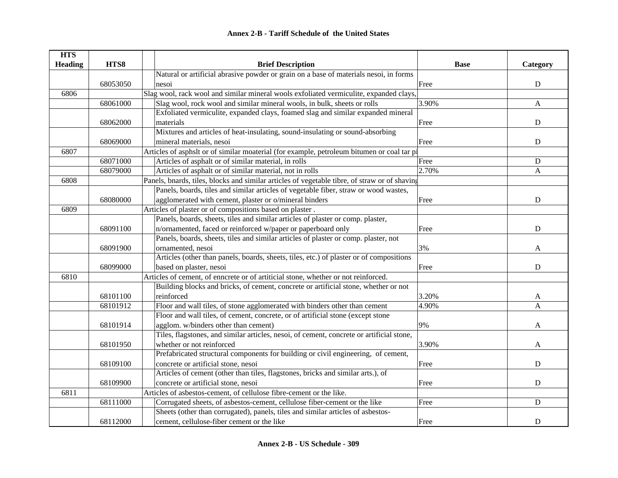| <b>HTS</b>     |          |                                                                                               |             |             |
|----------------|----------|-----------------------------------------------------------------------------------------------|-------------|-------------|
| <b>Heading</b> | HTS8     | <b>Brief Description</b>                                                                      | <b>Base</b> | Category    |
|                |          | Natural or artificial abrasive powder or grain on a base of materials nesoi, in forms         |             |             |
|                | 68053050 | nesoi                                                                                         | Free        | ${\bf D}$   |
| 6806           |          | Slag wool, rack wool and similar mineral wools exfoliated vermiculite, expanded clays,        |             |             |
|                | 68061000 | Slag wool, rock wool and similar mineral wools, in bulk, sheets or rolls                      | 3.90%       | A           |
|                |          | Exfoliated vermiculite, expanded clays, foamed slag and similar expanded mineral              |             |             |
|                | 68062000 | materials                                                                                     | Free        | ${\bf D}$   |
|                |          | Mixtures and articles of heat-insulating, sound-insulating or sound-absorbing                 |             |             |
|                | 68069000 | mineral materials, nesoi                                                                      | Free        | ${\bf D}$   |
| 6807           |          | Articles of asphslt or of similar moaterial (for example, petroleum bitumen or coal tar pi    |             |             |
|                | 68071000 | Articles of asphalt or of similar material, in rolls                                          | Free        | ${\bf D}$   |
|                | 68079000 | Articles of asphalt or of similar material, not in rolls                                      | 2.70%       | A           |
| 6808           |          | Panels, bnards, tiles, blocks and similar articles of vegetable tibre, of straw or of shaving |             |             |
|                |          | Panels, boards, tiles and similar articles of vegetable fiber, straw or wood wastes,          |             |             |
|                | 68080000 | agglomerated with cement, plaster or o/mineral binders                                        | Free        | ${\bf D}$   |
| 6809           |          | Articles of plaster or of compositions based on plaster.                                      |             |             |
|                |          | Panels, boards, sheets, tiles and similar articles of plaster or comp. plaster,               |             |             |
|                | 68091100 | n/ornamented, faced or reinforced w/paper or paperboard only                                  | Free        | D           |
|                |          | Panels, boards, sheets, tiles and similar articles of plaster or comp. plaster, not           |             |             |
|                | 68091900 | ornamented, nesoi                                                                             | 3%          | A           |
|                |          | Articles (other than panels, boards, sheets, tiles, etc.) of plaster or of compositions       |             |             |
|                | 68099000 | based on plaster, nesoi                                                                       | Free        | D           |
| 6810           |          | Articles of cement, of enncrete or of artiticial stone, whether or not reinforced.            |             |             |
|                |          | Building blocks and bricks, of cement, concrete or artificial stone, whether or not           |             |             |
|                | 68101100 | reinforced                                                                                    | 3.20%       | A           |
|                | 68101912 | Floor and wall tiles, of stone agglomerated with binders other than cement                    | 4.90%       | A           |
|                |          | Floor and wall tiles, of cement, concrete, or of artificial stone (except stone               |             |             |
|                | 68101914 | agglom. w/binders other than cement)                                                          | 9%          | A           |
|                |          | Tiles, flagstones, and similar articles, nesoi, of cement, concrete or artificial stone,      |             |             |
|                | 68101950 | whether or not reinforced                                                                     | 3.90%       | A           |
|                |          | Prefabricated structural components for building or civil engineering, of cement,             |             |             |
|                | 68109100 | concrete or artificial stone, nesoi                                                           | Free        | ${\bf D}$   |
|                |          | Articles of cement (other than tiles, flagstones, bricks and similar arts.), of               |             |             |
|                | 68109900 | concrete or artificial stone, nesoi                                                           | Free        | ${\bf D}$   |
| 6811           |          | Articles of asbestos-cement, of cellulose fibre-cement or the like.                           |             |             |
|                | 68111000 | Corrugated sheets, of asbestos-cement, cellulose fiber-cement or the like                     | Free        | $\mathbf D$ |
|                |          | Sheets (other than corrugated), panels, tiles and similar articles of asbestos-               |             |             |
|                | 68112000 | cement, cellulose-fiber cement or the like                                                    | Free        | $\mathbf D$ |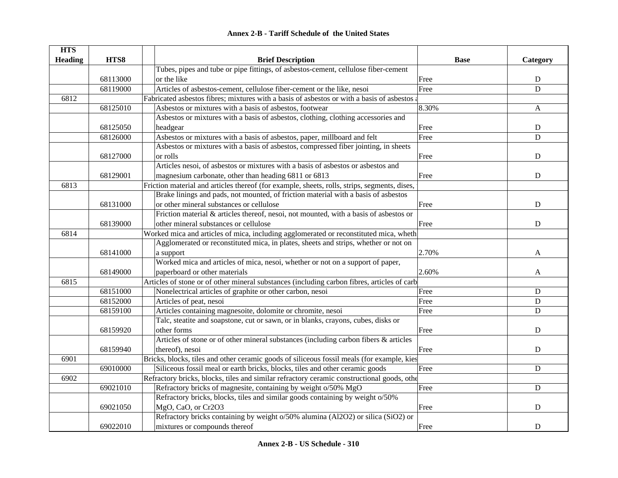|  | <b>Annex 2-B - Tariff Schedule of the United States</b> |  |
|--|---------------------------------------------------------|--|
|--|---------------------------------------------------------|--|

| <b>HTS</b><br><b>Heading</b> | HTS8     | <b>Brief Description</b>                                                                     | <b>Base</b> | Category    |
|------------------------------|----------|----------------------------------------------------------------------------------------------|-------------|-------------|
|                              |          | Tubes, pipes and tube or pipe fittings, of asbestos-cement, cellulose fiber-cement           |             |             |
|                              | 68113000 | or the like                                                                                  | Free        | ${\bf D}$   |
|                              | 68119000 | Articles of asbestos-cement, cellulose fiber-cement or the like, nesoi                       | Free        | D           |
| 6812                         |          | Fabricated asbestos fibres; mixtures with a basis of asbestos or with a basis of asbestos a  |             |             |
|                              | 68125010 | Asbestos or mixtures with a basis of asbestos, footwear                                      | 8.30%       | A           |
|                              |          | Asbestos or mixtures with a basis of asbestos, clothing, clothing accessories and            |             |             |
|                              | 68125050 | headgear                                                                                     | Free        | ${\bf D}$   |
|                              | 68126000 | Asbestos or mixtures with a basis of asbestos, paper, millboard and felt                     | Free        | D           |
|                              |          | Asbestos or mixtures with a basis of asbestos, compressed fiber jointing, in sheets          |             |             |
|                              | 68127000 | or rolls                                                                                     | Free        | D           |
|                              |          | Articles nesoi, of asbestos or mixtures with a basis of asbestos or asbestos and             |             |             |
|                              | 68129001 | magnesium carbonate, other than heading 6811 or 6813                                         | Free        | ${\bf D}$   |
| 6813                         |          | Friction material and articles thereof (for example, sheets, rolls, strips, segments, dises, |             |             |
|                              |          | Brake linings and pads, not mounted, of friction material with a basis of asbestos           |             |             |
|                              | 68131000 | or other mineral substances or cellulose                                                     | Free        | ${\bf D}$   |
|                              |          | Friction material & articles thereof, nesoi, not mounted, with a basis of asbestos or        |             |             |
|                              | 68139000 | other mineral substances or cellulose                                                        | Free        | ${\bf D}$   |
| 6814                         |          | Worked mica and articles of mica, including agglomerated or reconstituted mica, wheth        |             |             |
|                              |          | Agglomerated or reconstituted mica, in plates, sheets and strips, whether or not on          |             |             |
|                              | 68141000 | a support                                                                                    | 2.70%       | A           |
|                              |          | Worked mica and articles of mica, nesoi, whether or not on a support of paper,               |             |             |
|                              | 68149000 | paperboard or other materials                                                                | 2.60%       | A           |
| 6815                         |          | Articles of stone or of other mineral substances (including carbon fibres, articles of carb  |             |             |
|                              | 68151000 | Nonelectrical articles of graphite or other carbon, nesoi                                    | Free        | $\mathbf D$ |
|                              | 68152000 | Articles of peat, nesoi                                                                      | Free        | D           |
|                              | 68159100 | Articles containing magnesoite, dolomite or chromite, nesoi                                  | Free        | $\mathbf D$ |
|                              |          | Talc, steatite and soapstone, cut or sawn, or in blanks, crayons, cubes, disks or            |             |             |
|                              | 68159920 | other forms                                                                                  | Free        | D           |
|                              |          | Articles of stone or of other mineral substances (including carbon fibers & articles         |             |             |
|                              | 68159940 | thereof), nesoi                                                                              | Free        | $\mathbf D$ |
| 6901                         |          | Bricks, blocks, tiles and other ceramic goods of siliceous fossil meals (for example, kies   |             |             |
|                              | 69010000 | Siliceous fossil meal or earth bricks, blocks, tiles and other ceramic goods                 | Free        | $\mathbf D$ |
| 6902                         |          | Refractory bricks, blocks, tiles and similar refractory ceramic constructional goods, other  |             |             |
|                              | 69021010 | Refractory bricks of magnesite, containing by weight o/50% MgO                               | Free        | $\mathbf D$ |
|                              |          | Refractory bricks, blocks, tiles and similar goods containing by weight o/50%                |             |             |
|                              | 69021050 | MgO, CaO, or Cr2O3                                                                           | Free        | D           |
|                              |          | Refractory bricks containing by weight o/50% alumina (Al2O2) or silica (SiO2) or             |             |             |
|                              | 69022010 | mixtures or compounds thereof                                                                | Free        | ${\bf D}$   |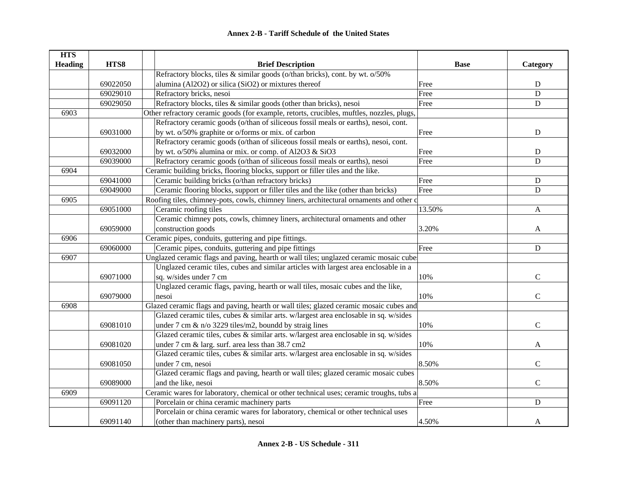| <b>HTS</b>     |                                                                                |                                                                                           |             |               |
|----------------|--------------------------------------------------------------------------------|-------------------------------------------------------------------------------------------|-------------|---------------|
| <b>Heading</b> | HTS8                                                                           | <b>Brief Description</b>                                                                  | <b>Base</b> | Category      |
|                |                                                                                | Refractory blocks, tiles & similar goods (o/than bricks), cont. by wt. o/50%              |             |               |
|                | 69022050                                                                       | alumina (Al2O2) or silica (SiO2) or mixtures thereof                                      | Free        | ${\bf D}$     |
|                | 69029010                                                                       | Refractory bricks, nesoi                                                                  | Free        | $\mathbf D$   |
|                | 69029050                                                                       | Refractory blocks, tiles & similar goods (other than bricks), nesoi                       | Free        | $\mathbf D$   |
| 6903           |                                                                                | Other refractory ceramic goods (for example, retorts, crucibles, muftles, nozzles, plugs, |             |               |
|                |                                                                                | Refractory ceramic goods (o/than of siliceous fossil meals or earths), nesoi, cont.       |             |               |
|                | 69031000                                                                       | by wt. o/50% graphite or o/forms or mix. of carbon                                        | Free        | ${\bf D}$     |
|                |                                                                                | Refractory ceramic goods (o/than of siliceous fossil meals or earths), nesoi, cont.       |             |               |
|                | 69032000                                                                       | by wt. o/50% alumina or mix. or comp. of Al2O3 & SiO3                                     | Free        | ${\bf D}$     |
|                | 69039000                                                                       | Refractory ceramic goods (o/than of siliceous fossil meals or earths), nesoi              | Free        | D             |
| 6904           |                                                                                | Ceramic building bricks, flooring blocks, support or filler tiles and the like.           |             |               |
|                | 69041000                                                                       | Ceramic building bricks (o/than refractory bricks)                                        | Free        | ${\bf D}$     |
|                | 69049000                                                                       | Ceramic flooring blocks, support or filler tiles and the like (other than bricks)         | Free        | $\mathbf D$   |
| 6905           |                                                                                | Roofing tiles, chimney-pots, cowls, chimney liners, architectural ornaments and other c   |             |               |
|                | 69051000                                                                       | Ceramic roofing tiles                                                                     | 13.50%      | A             |
|                | Ceramic chimney pots, cowls, chimney liners, architectural ornaments and other |                                                                                           |             |               |
|                | 69059000                                                                       | construction goods                                                                        | 3.20%       | A             |
| 6906           |                                                                                | Ceramic pipes, conduits, guttering and pipe fittings.                                     |             |               |
|                | 69060000                                                                       | Ceramic pipes, conduits, guttering and pipe fittings                                      | Free        | ${\bf D}$     |
| 6907           |                                                                                | Unglazed ceramic flags and paving, hearth or wall tiles; unglazed ceramic mosaic cube     |             |               |
|                |                                                                                | Unglazed ceramic tiles, cubes and similar articles with largest area enclosable in a      |             |               |
|                | 69071000                                                                       | sq. w/sides under 7 cm                                                                    | 10%         | $\mathbf C$   |
|                |                                                                                | Unglazed ceramic flags, paving, hearth or wall tiles, mosaic cubes and the like,          |             |               |
|                | 69079000                                                                       | nesoi                                                                                     | 10%         | $\mathcal{C}$ |
| 6908           |                                                                                | Glazed ceramic flags and paving, hearth or wall tiles; glazed ceramic mosaic cubes and    |             |               |
|                |                                                                                | Glazed ceramic tiles, cubes & similar arts. w/largest area enclosable in sq. w/sides      |             |               |
|                | 69081010                                                                       | under 7 cm & n/o 3229 tiles/m2, boundd by straig lines                                    | 10%         | $\mathcal{C}$ |
|                |                                                                                | Glazed ceramic tiles, cubes & similar arts. w/largest area enclosable in sq. w/sides      |             |               |
|                | 69081020                                                                       | under 7 cm & larg. surf. area less than 38.7 cm2                                          | 10%         | A             |
|                |                                                                                | Glazed ceramic tiles, cubes & similar arts. w/largest area enclosable in sq. w/sides      |             |               |
|                | 69081050                                                                       | under 7 cm, nesoi                                                                         | 8.50%       | $\mathbf C$   |
|                |                                                                                | Glazed ceramic flags and paving, hearth or wall tiles; glazed ceramic mosaic cubes        |             |               |
|                | 69089000                                                                       | and the like, nesoi                                                                       | 8.50%       | $\mathsf{C}$  |
| 6909           |                                                                                | Ceramic wares for laboratory, chemical or other technical uses; ceramic troughs, tubs a   |             |               |
|                | 69091120                                                                       | Porcelain or china ceramic machinery parts                                                | Free        | $\mathbf D$   |
|                |                                                                                | Porcelain or china ceramic wares for laboratory, chemical or other technical uses         |             |               |
|                | 69091140                                                                       | (other than machinery parts), nesoi                                                       | 4.50%       | A             |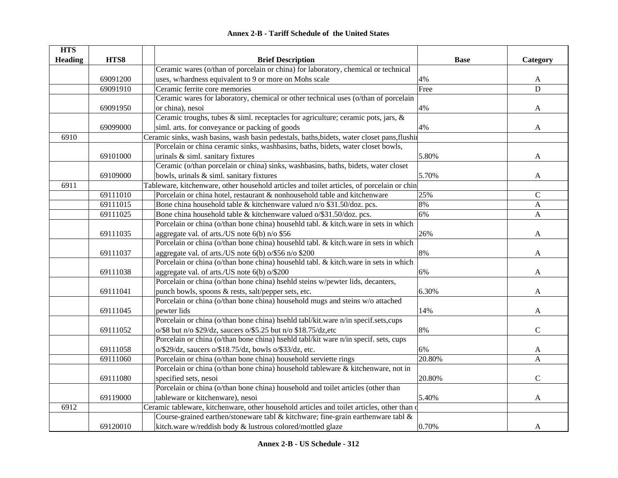|  | <b>Annex 2-B - Tariff Schedule of the United States</b> |  |
|--|---------------------------------------------------------|--|
|--|---------------------------------------------------------|--|

| <b>HTS</b>     |          |                                                                                             |             |               |
|----------------|----------|---------------------------------------------------------------------------------------------|-------------|---------------|
| <b>Heading</b> | HTS8     | <b>Brief Description</b>                                                                    | <b>Base</b> | Category      |
|                |          | Ceramic wares (o/than of porcelain or china) for laboratory, chemical or technical          |             |               |
|                | 69091200 | uses, w/hardness equivalent to 9 or more on Mohs scale                                      | 4%          | A             |
|                | 69091910 | Ceramic ferrite core memories                                                               | Free        | $\mathbf D$   |
|                |          | Ceramic wares for laboratory, chemical or other technical uses (o/than of porcelain         |             |               |
|                | 69091950 | or china), nesoi                                                                            | 4%          | A             |
|                |          | Ceramic troughs, tubes & siml. receptacles for agriculture; ceramic pots, jars, &           |             |               |
|                | 69099000 | siml. arts. for conveyance or packing of goods                                              | 4%          | A             |
| 6910           |          | Ceramic sinks, wash basins, wash basin pedestals, baths, bidets, water closet pans, flushin |             |               |
|                |          | Porcelain or china ceramic sinks, washbasins, baths, bidets, water closet bowls,            |             |               |
|                | 69101000 | urinals & siml. sanitary fixtures                                                           | 5.80%       | A             |
|                |          | Ceramic (o/than porcelain or china) sinks, washbasins, baths, bidets, water closet          |             |               |
|                | 69109000 | bowls, urinals & siml. sanitary fixtures                                                    | 5.70%       | A             |
| 6911           |          | Tableware, kitchenware, other household articles and toilet articles, of porcelain or chin  |             |               |
|                | 69111010 | Porcelain or china hotel, restaurant & nonhousehold table and kitchenware                   | 25%         | $\mathcal{C}$ |
|                | 69111015 | Bone china household table & kitchenware valued n/o \$31.50/doz. pcs.                       | 8%          | $\mathbf{A}$  |
|                | 69111025 | Bone china household table & kitchenware valued o/\$31.50/doz. pcs.                         | 6%          | A             |
|                |          | Porcelain or china (o/than bone china) househld tabl. & kitch.ware in sets in which         |             |               |
|                | 69111035 | aggregate val. of arts./US note $6(b)$ n/o \$56                                             | 26%         | A             |
|                |          | Porcelain or china (o/than bone china) househld tabl. & kitch.ware in sets in which         |             |               |
|                | 69111037 | aggregate val. of arts./US note 6(b) o/\$56 n/o \$200                                       | 8%          | A             |
|                |          | Porcelain or china (o/than bone china) househld tabl. & kitch.ware in sets in which         |             |               |
|                | 69111038 | aggregate val. of arts./US note $6(b)$ o/\$200                                              | 6%          | A             |
|                |          | Porcelain or china (o/than bone china) hsehld steins w/pewter lids, decanters,              |             |               |
|                | 69111041 | punch bowls, spoons & rests, salt/pepper sets, etc.                                         | 6.30%       | A             |
|                |          | Porcelain or china (o/than bone china) household mugs and steins w/o attached               |             |               |
|                | 69111045 | pewter lids                                                                                 | 14%         | A             |
|                |          | Porcelain or china (o/than bone china) hsehld tabl/kit.ware n/in specif.sets,cups           |             |               |
|                | 69111052 | o/\$8 but n/o \$29/dz, saucers o/\$5.25 but n/o \$18.75/dz,etc                              | 8%          | $\mathcal{C}$ |
|                |          | Porcelain or china (o/than bone china) hsehld tabl/kit ware n/in specif. sets, cups         |             |               |
|                | 69111058 | $o$ /\$29/dz, saucers $o$ /\$18.75/dz, bowls $o$ /\$33/dz, etc.                             | 6%          | A             |
|                | 69111060 | Porcelain or china (o/than bone china) household serviette rings                            | 20.80%      | A             |
|                |          | Porcelain or china (o/than bone china) household tableware & kitchenware, not in            |             |               |
|                | 69111080 | specified sets, nesoi                                                                       | 20.80%      | $\mathbf C$   |
|                |          | Porcelain or china (o/than bone china) household and toilet articles (other than            |             |               |
|                | 69119000 | tableware or kitchenware), nesoi                                                            | 5.40%       | A             |
| 6912           |          | Ceramic tableware, kitchenware, other household articles and toilet articles, other than o  |             |               |
|                |          | Course-grained earthen/stoneware tabl & kitchware; fine-grain earthenware tabl $\&$         |             |               |
|                | 69120010 | kitch.ware w/reddish body & lustrous colored/mottled glaze                                  | 0.70%       | A             |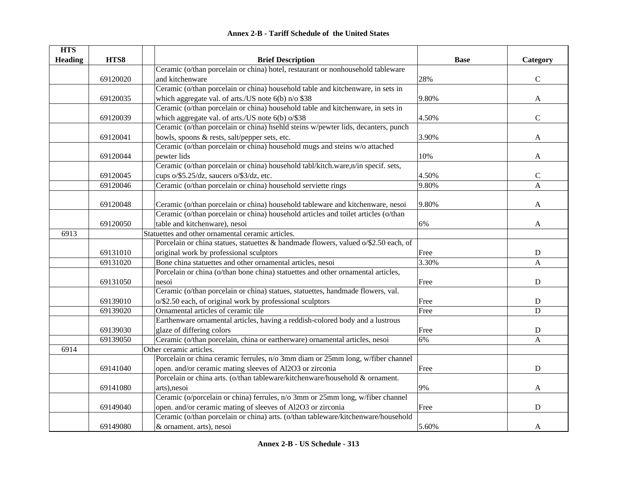|  | <b>Annex 2-B - Tariff Schedule of the United States</b> |  |
|--|---------------------------------------------------------|--|
|--|---------------------------------------------------------|--|

| <b>HTS</b>     |          |                                                                                     |             |              |
|----------------|----------|-------------------------------------------------------------------------------------|-------------|--------------|
| <b>Heading</b> | HTS8     | <b>Brief Description</b>                                                            | <b>Base</b> | Category     |
|                |          | Ceramic (o/than porcelain or china) hotel, restaurant or nonhousehold tableware     |             |              |
|                | 69120020 | and kitchenware                                                                     | 28%         | $\mathbf C$  |
|                |          | Ceramic (o/than porcelain or china) household table and kitchenware, in sets in     |             |              |
|                | 69120035 | which aggregate val. of arts./US note 6(b) n/o \$38                                 | 9.80%       | A            |
|                |          | Ceramic (o/than porcelain or china) household table and kitchenware, in sets in     |             |              |
|                | 69120039 | which aggregate val. of arts./US note 6(b) o/\$38                                   | 4.50%       | $\mathbf C$  |
|                |          | Ceramic (o/than porcelain or china) hsehld steins w/pewter lids, decanters, punch   |             |              |
|                | 69120041 | bowls, spoons & rests, salt/pepper sets, etc.                                       | 3.90%       | A            |
|                |          | Ceramic (o/than porcelain or china) household mugs and steins w/o attached          |             |              |
|                | 69120044 | pewter lids                                                                         | 10%         | A            |
|                |          | Ceramic (o/than porcelain or china) household tabl/kitch.ware,n/in specif. sets,    |             |              |
|                | 69120045 | cups o/\$5.25/dz, saucers o/\$3/dz, etc.                                            | 4.50%       | $\mathsf{C}$ |
|                | 69120046 | Ceramic (o/than porcelain or china) household serviette rings                       | 9.80%       | A            |
|                |          |                                                                                     |             |              |
|                | 69120048 | Ceramic (o/than porcelain or china) household tableware and kitchenware, nesoi      | 9.80%       | A            |
|                |          | Ceramic (o/than porcelain or china) household articles and toilet articles (o/than  |             |              |
|                | 69120050 | table and kitchenware), nesoi                                                       | 6%          | A            |
| 6913           |          | Statuettes and other ornamental ceramic articles.                                   |             |              |
|                |          | Porcelain or china statues, statuettes & handmade flowers, valued o/\$2.50 each, of |             |              |
|                | 69131010 | original work by professional sculptors                                             | Free        | ${\bf D}$    |
|                | 69131020 | Bone china statuettes and other ornamental articles, nesoi                          | 3.30%       | A            |
|                |          | Porcelain or china (o/than bone china) statuettes and other ornamental articles,    |             |              |
|                | 69131050 | nesoi                                                                               | Free        | ${\bf D}$    |
|                |          | Ceramic (o/than porcelain or china) statues, statuettes, handmade flowers, val.     |             |              |
|                | 69139010 | o/\$2.50 each, of original work by professional sculptors                           | Free        | ${\bf D}$    |
|                | 69139020 | Ornamental articles of ceramic tile                                                 | Free        | $\mathbf D$  |
|                |          | Earthenware ornamental articles, having a reddish-colored body and a lustrous       |             |              |
|                | 69139030 | glaze of differing colors                                                           | Free        | ${\bf D}$    |
|                | 69139050 | Ceramic (o/than porcelain, china or eartherware) ornamental articles, nesoi         | 6%          | A            |
| 6914           |          | Other ceramic articles.                                                             |             |              |
|                |          | Porcelain or china ceramic ferrules, n/o 3mm diam or 25mm long, w/fiber channel     |             |              |
|                | 69141040 | open. and/or ceramic mating sleeves of Al2O3 or zirconia                            | Free        | $\mathbf D$  |
|                |          | Porcelain or china arts. (o/than tableware/kitchenware/household & ornament.        |             |              |
|                | 69141080 | arts), nesoi                                                                        | 9%          | A            |
|                |          | Ceramic (o/porcelain or china) ferrules, n/o 3mm or 25mm long, w/fiber channel      |             |              |
|                | 69149040 | open. and/or ceramic mating of sleeves of Al2O3 or zirconia                         | Free        | $\mathbf D$  |
|                |          | Ceramic (o/than porcelain or china) arts. (o/than tableware/kitchenware/household   |             |              |
|                | 69149080 | & ornament. arts), nesoi                                                            | 5.60%       | A            |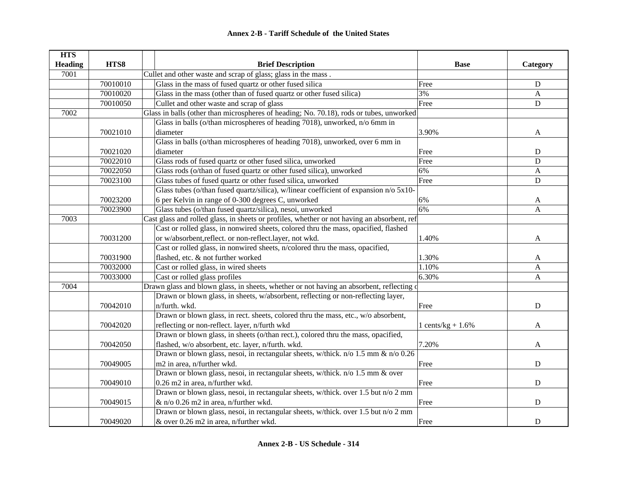| <b>HTS</b>     |          |                                                                                             |                      |                |
|----------------|----------|---------------------------------------------------------------------------------------------|----------------------|----------------|
| <b>Heading</b> | HTS8     | <b>Brief Description</b>                                                                    | <b>Base</b>          | Category       |
| 7001           |          | Cullet and other waste and scrap of glass; glass in the mass.                               |                      |                |
|                | 70010010 | Glass in the mass of fused quartz or other fused silica                                     | Free                 | ${\bf D}$      |
|                | 70010020 | Glass in the mass (other than of fused quartz or other fused silica)                        | 3%                   | A              |
|                | 70010050 | Cullet and other waste and scrap of glass                                                   | Free                 | $\mathbf D$    |
| 7002           |          | Glass in balls (other than microspheres of heading; No. 70.18), rods or tubes, unworked     |                      |                |
|                |          | Glass in balls (o/than microspheres of heading 7018), unworked, n/o 6mm in                  |                      |                |
|                | 70021010 | diameter                                                                                    | 3.90%                | A              |
|                |          | Glass in balls (o/than microspheres of heading 7018), unworked, over 6 mm in                |                      |                |
|                | 70021020 | diameter                                                                                    | Free                 | D              |
|                | 70022010 | Glass rods of fused quartz or other fused silica, unworked                                  | Free                 | D              |
|                | 70022050 | Glass rods (o/than of fused quartz or other fused silica), unworked                         | 6%                   | A              |
|                | 70023100 | Glass tubes of fused quartz or other fused silica, unworked                                 | Free                 | $\mathbf D$    |
|                |          | Glass tubes (o/than fused quartz/silica), w/linear coefficient of expansion n/o 5x10-       |                      |                |
|                | 70023200 | 6 per Kelvin in range of 0-300 degrees C, unworked                                          | 6%                   | A              |
|                | 70023900 | Glass tubes (o/than fused quartz/silica), nesoi, unworked                                   | 6%                   | $\overline{A}$ |
| 7003           |          | Cast glass and rolled glass, in sheets or profiles, whether or not having an absorbent, ref |                      |                |
|                |          | Cast or rolled glass, in nonwired sheets, colored thru the mass, opacified, flashed         |                      |                |
|                | 70031200 | or w/absorbent,reflect. or non-reflect.layer, not wkd.                                      | 1.40%                | A              |
|                |          | Cast or rolled glass, in nonwired sheets, n/colored thru the mass, opacified,               |                      |                |
|                | 70031900 | flashed, etc. & not further worked                                                          | 1.30%                | A              |
|                | 70032000 | Cast or rolled glass, in wired sheets                                                       | 1.10%                | A              |
|                | 70033000 | Cast or rolled glass profiles                                                               | 6.30%                | $\mathbf{A}$   |
| 7004           |          | Drawn glass and blown glass, in sheets, whether or not having an absorbent, reflecting of   |                      |                |
|                |          | Drawn or blown glass, in sheets, w/absorbent, reflecting or non-reflecting layer,           |                      |                |
|                | 70042010 | n/furth. wkd.                                                                               | Free                 | $\mathbf D$    |
|                |          | Drawn or blown glass, in rect. sheets, colored thru the mass, etc., w/o absorbent,          |                      |                |
|                | 70042020 | reflecting or non-reflect. layer, n/furth wkd                                               | 1 cents/kg + $1.6\%$ | A              |
|                |          | Drawn or blown glass, in sheets (o/than rect.), colored thru the mass, opacified,           |                      |                |
|                | 70042050 | flashed, w/o absorbent, etc. layer, n/furth. wkd.                                           | 7.20%                | A              |
|                |          | Drawn or blown glass, nesoi, in rectangular sheets, w/thick. n/o 1.5 mm & n/o 0.26          |                      |                |
|                | 70049005 | m2 in area, n/further wkd.                                                                  | Free                 | ${\bf D}$      |
|                |          | Drawn or blown glass, nesoi, in rectangular sheets, w/thick. n/o 1.5 mm & over              |                      |                |
|                | 70049010 | 0.26 m2 in area, n/further wkd.                                                             | Free                 | ${\bf D}$      |
|                |          | Drawn or blown glass, nesoi, in rectangular sheets, w/thick. over 1.5 but n/o 2 mm          |                      |                |
|                | 70049015 | & n/o 0.26 m2 in area, n/further wkd.                                                       | Free                 | ${\bf D}$      |
|                |          | Drawn or blown glass, nesoi, in rectangular sheets, w/thick. over 1.5 but n/o 2 mm          |                      |                |
|                | 70049020 | & over 0.26 m2 in area, n/further wkd.                                                      | Free                 | $\mathbf D$    |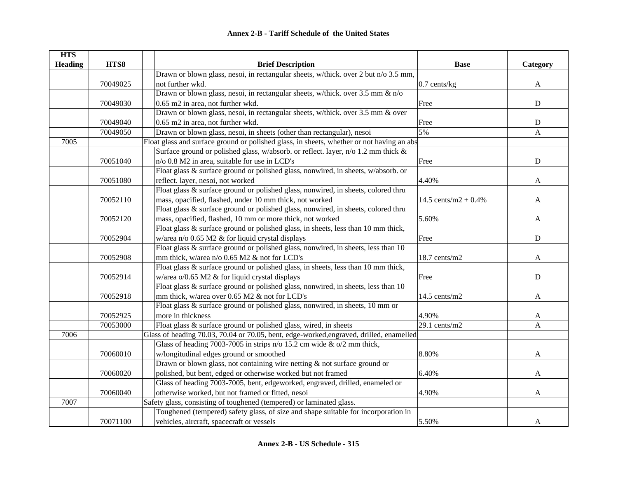| <b>HTS</b>     |          |                                                                                           |                         |              |
|----------------|----------|-------------------------------------------------------------------------------------------|-------------------------|--------------|
| <b>Heading</b> | HTS8     | <b>Brief Description</b>                                                                  | <b>Base</b>             | Category     |
|                |          | Drawn or blown glass, nesoi, in rectangular sheets, w/thick. over 2 but n/o 3.5 mm,       |                         |              |
|                | 70049025 | not further wkd.                                                                          | 0.7 cents/kg            | $\mathbf{A}$ |
|                |          | Drawn or blown glass, nesoi, in rectangular sheets, w/thick. over 3.5 mm & n/o            |                         |              |
|                | 70049030 | 0.65 m2 in area, not further wkd.                                                         | Free                    | ${\bf D}$    |
|                |          | Drawn or blown glass, nesoi, in rectangular sheets, w/thick. over 3.5 mm & over           |                         |              |
|                | 70049040 | 0.65 m2 in area, not further wkd.                                                         | Free                    | ${\bf D}$    |
|                | 70049050 | Drawn or blown glass, nesoi, in sheets (other than rectangular), nesoi                    | 5%                      | A            |
| 7005           |          | Float glass and surface ground or polished glass, in sheets, whether or not having an abs |                         |              |
|                |          | Surface ground or polished glass, w/absorb. or reflect. layer, n/o 1.2 mm thick &         |                         |              |
|                | 70051040 | n/o 0.8 M2 in area, suitable for use in LCD's                                             | Free                    | ${\bf D}$    |
|                |          | Float glass & surface ground or polished glass, nonwired, in sheets, w/absorb. or         |                         |              |
|                | 70051080 | reflect. layer, nesoi, not worked                                                         | 4.40%                   | A            |
|                |          | Float glass & surface ground or polished glass, nonwired, in sheets, colored thru         |                         |              |
|                | 70052110 | mass, opacified, flashed, under 10 mm thick, not worked                                   | 14.5 cents/m2 + $0.4\%$ | A            |
|                |          | Float glass & surface ground or polished glass, nonwired, in sheets, colored thru         |                         |              |
|                | 70052120 | mass, opacified, flashed, 10 mm or more thick, not worked                                 | 5.60%                   | A            |
|                |          | Float glass & surface ground or polished glass, in sheets, less than 10 mm thick,         |                         |              |
|                | 70052904 | w/area $n$ /o 0.65 M2 & for liquid crystal displays                                       | Free                    | D            |
|                |          | Float glass & surface ground or polished glass, nonwired, in sheets, less than 10         |                         |              |
|                | 70052908 | mm thick, w/area n/o 0.65 M2 & not for LCD's                                              | $18.7$ cents/m2         | A            |
|                |          | Float glass & surface ground or polished glass, in sheets, less than 10 mm thick,         |                         |              |
|                | 70052914 | w/area o/0.65 M2 & for liquid crystal displays                                            | Free                    | ${\bf D}$    |
|                |          | Float glass & surface ground or polished glass, nonwired, in sheets, less than 10         |                         |              |
|                | 70052918 | mm thick, w/area over 0.65 M2 & not for LCD's                                             | $14.5$ cents/m2         | A            |
|                |          | Float glass & surface ground or polished glass, nonwired, in sheets, 10 mm or             |                         |              |
|                | 70052925 | more in thickness                                                                         | 4.90%                   | A            |
|                | 70053000 | Float glass & surface ground or polished glass, wired, in sheets                          | $29.1$ cents/m2         | A            |
| 7006           |          | Glass of heading 70.03, 70.04 or 70.05, bent, edge-worked, engraved, drilled, enamelled   |                         |              |
|                |          | Glass of heading 7003-7005 in strips n/o 15.2 cm wide & o/2 mm thick,                     |                         |              |
|                | 70060010 | w/longitudinal edges ground or smoothed                                                   | 8.80%                   | $\mathbf{A}$ |
|                |          | Drawn or blown glass, not containing wire netting $\&$ not surface ground or              |                         |              |
|                | 70060020 | polished, but bent, edged or otherwise worked but not framed                              | 6.40%                   | A            |
|                |          | Glass of heading 7003-7005, bent, edgeworked, engraved, drilled, enameled or              |                         |              |
|                | 70060040 | otherwise worked, but not framed or fitted, nesoi                                         | 4.90%                   | A            |
| 7007           |          | Safety glass, consisting of toughened (tempered) or laminated glass.                      |                         |              |
|                |          | Toughened (tempered) safety glass, of size and shape suitable for incorporation in        |                         |              |
|                | 70071100 | vehicles, aircraft, spacecraft or vessels                                                 | 5.50%                   | A            |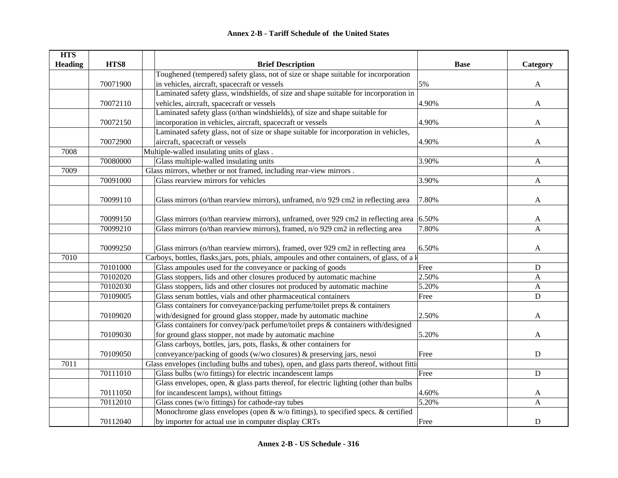| <b>HTS</b>     |          |                                                                                               |             |                           |
|----------------|----------|-----------------------------------------------------------------------------------------------|-------------|---------------------------|
| <b>Heading</b> | HTS8     | <b>Brief Description</b>                                                                      | <b>Base</b> | Category                  |
|                |          | Toughened (tempered) safety glass, not of size or shape suitable for incorporation            |             |                           |
|                | 70071900 | in vehicles, aircraft, spacecraft or vessels                                                  | 5%          | A                         |
|                |          | Laminated safety glass, windshields, of size and shape suitable for incorporation in          |             |                           |
|                | 70072110 | vehicles, aircraft, spacecraft or vessels                                                     | 4.90%       | A                         |
|                |          | Laminated safety glass (o/than windshields), of size and shape suitable for                   |             |                           |
|                | 70072150 | incorporation in vehicles, aircraft, spacecraft or vessels                                    | 4.90%       | A                         |
|                |          | Laminated safety glass, not of size or shape suitable for incorporation in vehicles,          |             |                           |
|                | 70072900 | aircraft, spacecraft or vessels                                                               | 4.90%       | A                         |
| 7008           |          | Multiple-walled insulating units of glass.                                                    |             |                           |
|                | 70080000 | Glass multiple-walled insulating units                                                        | 3.90%       | $\boldsymbol{\mathsf{A}}$ |
| 7009           |          | Glass mirrors, whether or not framed, including rear-view mirrors.                            |             |                           |
|                | 70091000 | Glass rearview mirrors for vehicles                                                           | 3.90%       | $\boldsymbol{\mathsf{A}}$ |
|                |          |                                                                                               |             |                           |
|                | 70099110 | Glass mirrors (o/than rearview mirrors), unframed, n/o 929 cm2 in reflecting area             | 7.80%       | A                         |
|                |          |                                                                                               |             |                           |
|                | 70099150 | Glass mirrors (o/than rearview mirrors), unframed, over 929 cm2 in reflecting area            | 6.50%       | A                         |
|                | 70099210 | Glass mirrors (o/than rearview mirrors), framed, n/o 929 cm2 in reflecting area               | 7.80%       | A                         |
|                |          |                                                                                               |             |                           |
|                | 70099250 | Glass mirrors (o/than rearview mirrors), framed, over 929 cm2 in reflecting area              | 6.50%       | A                         |
| 7010           |          | Carboys, bottles, flasks, jars, pots, phials, ampoules and other containers, of glass, of a k |             |                           |
|                | 70101000 | Glass ampoules used for the conveyance or packing of goods                                    | Free        | $\mathbf D$               |
|                | 70102020 | Glass stoppers, lids and other closures produced by automatic machine                         | 2.50%       | A                         |
|                | 70102030 | Glass stoppers, lids and other closures not produced by automatic machine                     | 5.20%       | A                         |
|                | 70109005 | Glass serum bottles, vials and other pharmaceutical containers                                | Free        | D                         |
|                |          | Glass containers for conveyance/packing perfume/toilet preps & containers                     |             |                           |
|                | 70109020 | with/designed for ground glass stopper, made by automatic machine                             | 2.50%       | A                         |
|                |          | Glass containers for convey/pack perfume/toilet preps & containers with/designed              |             |                           |
|                | 70109030 | for ground glass stopper, not made by automatic machine                                       | 5.20%       | A                         |
|                |          | Glass carboys, bottles, jars, pots, flasks, & other containers for                            |             |                           |
|                | 70109050 | conveyance/packing of goods (w/wo closures) & preserving jars, nesoi                          | Free        | ${\bf D}$                 |
| 7011           |          | Glass envelopes (including bulbs and tubes), open, and glass parts thereof, without fitting   |             |                           |
|                | 70111010 | Glass bulbs (w/o fittings) for electric incandescent lamps                                    | Free        | ${\bf D}$                 |
|                |          | Glass envelopes, open, & glass parts thereof, for electric lighting (other than bulbs         |             |                           |
|                | 70111050 | for incandescent lamps), without fittings                                                     | 4.60%       | $\mathbf{A}$              |
|                | 70112010 | Glass cones (w/o fittings) for cathode-ray tubes                                              | 5.20%       | A                         |
|                |          | Monochrome glass envelopes (open & w/o fittings), to specified specs. & certified             |             |                           |
|                | 70112040 | by importer for actual use in computer display CRTs                                           | Free        | $\mathbf D$               |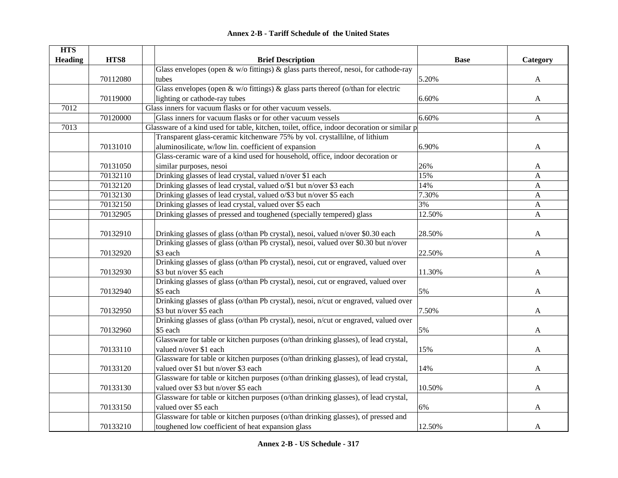| <b>HTS</b>     |          |                                                                                             |             |                           |
|----------------|----------|---------------------------------------------------------------------------------------------|-------------|---------------------------|
| <b>Heading</b> | HTS8     | <b>Brief Description</b>                                                                    | <b>Base</b> | Category                  |
|                |          | Glass envelopes (open $\&$ w/o fittings) $\&$ glass parts thereof, nesoi, for cathode-ray   |             |                           |
|                | 70112080 | tubes                                                                                       | 5.20%       | A                         |
|                |          | Glass envelopes (open & w/o fittings) & glass parts thereof (o/than for electric            |             |                           |
|                | 70119000 | lighting or cathode-ray tubes                                                               | 6.60%       | A                         |
| 7012           |          | Glass inners for vacuum flasks or for other vacuum vessels.                                 |             |                           |
|                | 70120000 | Glass inners for vacuum flasks or for other vacuum vessels                                  | 6.60%       | $\boldsymbol{\mathsf{A}}$ |
| 7013           |          | Glassware of a kind used for table, kitchen, toilet, office, indoor decoration or similar p |             |                           |
|                |          | Transparent glass-ceramic kitchenware 75% by vol. crystallilne, of lithium                  |             |                           |
|                | 70131010 | aluminosilicate, w/low lin. coefficient of expansion                                        | 6.90%       | A                         |
|                |          | Glass-ceramic ware of a kind used for household, office, indoor decoration or               |             |                           |
|                | 70131050 | similar purposes, nesoi                                                                     | 26%         | A                         |
|                | 70132110 | Drinking glasses of lead crystal, valued n/over \$1 each                                    | 15%         | A                         |
|                | 70132120 | Drinking glasses of lead crystal, valued o/\$1 but n/over \$3 each                          | 14%         | A                         |
|                | 70132130 | Drinking glasses of lead crystal, valued o/\$3 but n/over \$5 each                          | 7.30%       | A                         |
|                | 70132150 | Drinking glasses of lead crystal, valued over \$5 each                                      | 3%          | $\mathbf{A}$              |
|                | 70132905 | Drinking glasses of pressed and toughened (specially tempered) glass                        | 12.50%      | $\mathbf{A}$              |
|                |          |                                                                                             |             |                           |
|                | 70132910 | Drinking glasses of glass (o/than Pb crystal), nesoi, valued n/over \$0.30 each             | 28.50%      | A                         |
|                |          | Drinking glasses of glass (o/than Pb crystal), nesoi, valued over \$0.30 but n/over         |             |                           |
|                | 70132920 | \$3 each                                                                                    | 22.50%      | A                         |
|                |          | Drinking glasses of glass (o/than Pb crystal), nesoi, cut or engraved, valued over          |             |                           |
|                | 70132930 | \$3 but n/over \$5 each                                                                     | 11.30%      | A                         |
|                |          | Drinking glasses of glass (o/than Pb crystal), nesoi, cut or engraved, valued over          |             |                           |
|                | 70132940 | \$5 each                                                                                    | 5%          | A                         |
|                |          | Drinking glasses of glass (o/than Pb crystal), nesoi, n/cut or engraved, valued over        |             |                           |
|                | 70132950 | \$3 but n/over \$5 each                                                                     | 7.50%       | A                         |
|                |          | Drinking glasses of glass (o/than Pb crystal), nesoi, n/cut or engraved, valued over        |             |                           |
|                | 70132960 | \$5 each                                                                                    | 5%          | A                         |
|                |          | Glassware for table or kitchen purposes (o/than drinking glasses), of lead crystal,         |             |                           |
|                | 70133110 | valued n/over \$1 each                                                                      | 15%         | A                         |
|                |          | Glassware for table or kitchen purposes (o/than drinking glasses), of lead crystal,         |             |                           |
|                | 70133120 | valued over \$1 but n/over \$3 each                                                         | 14%         | A                         |
|                |          | Glassware for table or kitchen purposes (o/than drinking glasses), of lead crystal,         |             |                           |
|                | 70133130 | valued over \$3 but n/over \$5 each                                                         | 10.50%      | A                         |
|                |          | Glassware for table or kitchen purposes (o/than drinking glasses), of lead crystal,         |             |                           |
|                | 70133150 | valued over \$5 each                                                                        | 6%          | A                         |
|                |          | Glassware for table or kitchen purposes (o/than drinking glasses), of pressed and           |             |                           |
|                | 70133210 | toughened low coefficient of heat expansion glass                                           | 12.50%      | A                         |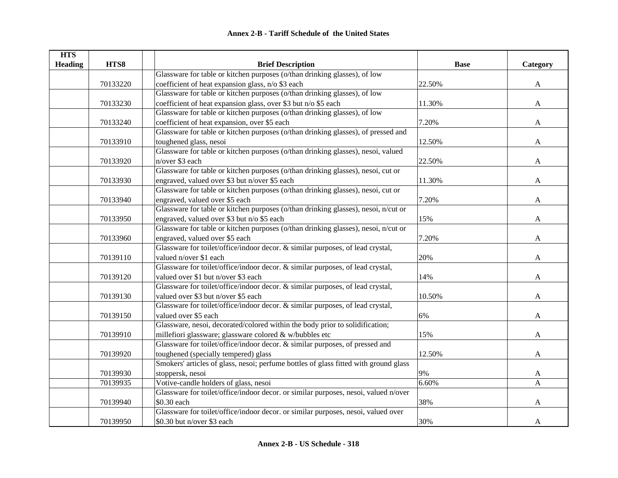| <b>HTS</b>     |          |                                                                                      |             |              |
|----------------|----------|--------------------------------------------------------------------------------------|-------------|--------------|
| <b>Heading</b> | HTS8     | <b>Brief Description</b>                                                             | <b>Base</b> | Category     |
|                |          | Glassware for table or kitchen purposes (o/than drinking glasses), of low            |             |              |
|                | 70133220 | coefficient of heat expansion glass, n/o \$3 each                                    | 22.50%      | $\mathbf{A}$ |
|                |          | Glassware for table or kitchen purposes (o/than drinking glasses), of low            |             |              |
|                | 70133230 | coefficient of heat expansion glass, over \$3 but n/o \$5 each                       | 11.30%      | A            |
|                |          | Glassware for table or kitchen purposes (o/than drinking glasses), of low            |             |              |
|                | 70133240 | coefficient of heat expansion, over \$5 each                                         | 7.20%       | A            |
|                |          | Glassware for table or kitchen purposes (o/than drinking glasses), of pressed and    |             |              |
|                | 70133910 | toughened glass, nesoi                                                               | 12.50%      | A            |
|                |          | Glassware for table or kitchen purposes (o/than drinking glasses), nesoi, valued     |             |              |
|                | 70133920 | n/over \$3 each                                                                      | 22.50%      | A            |
|                |          | Glassware for table or kitchen purposes (o/than drinking glasses), nesoi, cut or     |             |              |
|                | 70133930 | engraved, valued over \$3 but n/over \$5 each                                        | 11.30%      | A            |
|                |          | Glassware for table or kitchen purposes (o/than drinking glasses), nesoi, cut or     |             |              |
|                | 70133940 | engraved, valued over \$5 each                                                       | 7.20%       | A            |
|                |          | Glassware for table or kitchen purposes (o/than drinking glasses), nesoi, n/cut or   |             |              |
|                | 70133950 | engraved, valued over \$3 but n/o \$5 each                                           | 15%         | A            |
|                |          | Glassware for table or kitchen purposes (o/than drinking glasses), nesoi, n/cut or   |             |              |
|                | 70133960 | engraved, valued over \$5 each                                                       | 7.20%       | A            |
|                |          | Glassware for toilet/office/indoor decor. & similar purposes, of lead crystal,       |             |              |
|                | 70139110 | valued n/over \$1 each                                                               | 20%         | A            |
|                |          | Glassware for toilet/office/indoor decor. & similar purposes, of lead crystal,       |             |              |
|                | 70139120 | valued over \$1 but n/over \$3 each                                                  | 14%         | A            |
|                |          | Glassware for toilet/office/indoor decor. & similar purposes, of lead crystal,       |             |              |
|                | 70139130 | valued over \$3 but n/over \$5 each                                                  | 10.50%      | A            |
|                |          | Glassware for toilet/office/indoor decor. & similar purposes, of lead crystal,       |             |              |
|                | 70139150 | valued over \$5 each                                                                 | 6%          | A            |
|                |          | Glassware, nesoi, decorated/colored within the body prior to solidification;         |             |              |
|                | 70139910 | millefiori glassware; glassware colored & w/bubbles etc                              | 15%         | A            |
|                |          | Glassware for toilet/office/indoor decor. & similar purposes, of pressed and         |             |              |
|                | 70139920 | toughened (specially tempered) glass                                                 | 12.50%      | A            |
|                |          | Smokers' articles of glass, nesoi; perfume bottles of glass fitted with ground glass |             |              |
|                | 70139930 | stoppersk, nesoi                                                                     | 9%          | $\mathbf{A}$ |
|                | 70139935 | Votive-candle holders of glass, nesoi                                                | 6.60%       | A            |
|                |          | Glassware for toilet/office/indoor decor. or similar purposes, nesoi, valued n/over  |             |              |
|                | 70139940 | \$0.30 each                                                                          | 38%         | A            |
|                |          | Glassware for toilet/office/indoor decor. or similar purposes, nesoi, valued over    |             |              |
|                | 70139950 | \$0.30 but n/over \$3 each                                                           | 30%         | A            |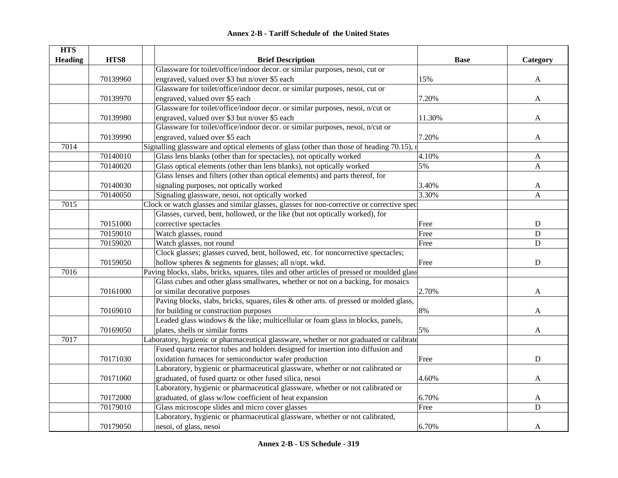|  | <b>Annex 2-B - Tariff Schedule of the United States</b> |  |
|--|---------------------------------------------------------|--|
|--|---------------------------------------------------------|--|

| <b>HTS</b>     |          |                                                                                             |             |              |
|----------------|----------|---------------------------------------------------------------------------------------------|-------------|--------------|
| <b>Heading</b> | HTS8     | <b>Brief Description</b>                                                                    | <b>Base</b> | Category     |
|                |          | Glassware for toilet/office/indoor decor. or similar purposes, nesoi, cut or                |             |              |
|                | 70139960 | engraved, valued over \$3 but n/over \$5 each                                               | 15%         | A            |
|                |          | Glassware for toilet/office/indoor decor. or similar purposes, nesoi, cut or                |             |              |
|                | 70139970 | engraved, valued over \$5 each                                                              | 7.20%       | A            |
|                |          | Glassware for toilet/office/indoor decor. or similar purposes, nesoi, n/cut or              |             |              |
|                | 70139980 | engraved, valued over \$3 but n/over \$5 each                                               | 11.30%      | A            |
|                |          | Glassware for toilet/office/indoor decor. or similar purposes, nesoi, n/cut or              |             |              |
|                | 70139990 | engraved, valued over \$5 each                                                              | 7.20%       | A            |
| 7014           |          | Signalling glassware and optical elements of glass (other than those of heading 70.15), r   |             |              |
|                | 70140010 | Glass lens blanks (other than for spectacles), not optically worked                         | 4.10%       | A            |
|                | 70140020 | Glass optical elements (other than lens blanks), not optically worked                       | 5%          | $\mathbf{A}$ |
|                |          | Glass lenses and filters (other than optical elements) and parts thereof, for               |             |              |
|                | 70140030 | signaling purposes, not optically worked                                                    | 3.40%       | A            |
|                | 70140050 | Signaling glassware, nesoi, not optically worked                                            | 3.30%       | A            |
| 7015           |          | Clock or watch glasses and similar glasses, glasses for non-corrective or corrective spec   |             |              |
|                |          | Glasses, curved, bent, hollowed, or the like (but not optically worked), for                |             |              |
|                | 70151000 | corrective spectacles                                                                       | Free        | $\mathbf D$  |
|                | 70159010 | Watch glasses, round                                                                        | Free        | ${\bf D}$    |
|                | 70159020 | Watch glasses, not round                                                                    | Free        | ${\bf D}$    |
|                |          | Clock glasses; glasses curved, bent, hollowed, etc. for noncorrective spectacles;           |             |              |
|                | 70159050 | hollow spheres & segments for glasses; all n/opt. wkd.                                      | Free        | $\mathbf D$  |
| 7016           |          | Paving blocks, slabs, bricks, squares, tiles and other articles of pressed or moulded glass |             |              |
|                |          | Glass cubes and other glass smallwares, whether or not on a backing, for mosaics            |             |              |
|                | 70161000 | or similar decorative purposes                                                              | 2.70%       | A            |
|                |          | Paving blocks, slabs, bricks, squares, tiles & other arts. of pressed or molded glass,      |             |              |
|                | 70169010 | for building or construction purposes                                                       | 8%          | A            |
|                |          | Leaded glass windows & the like; multicellular or foam glass in blocks, panels,             |             |              |
|                | 70169050 | plates, shells or similar forms                                                             | 5%          | A            |
| 7017           |          | Laboratory, hygienic or pharmaceutical glassware, whether or not graduated or calibrate     |             |              |
|                |          | Fused quartz reactor tubes and holders designed for insertion into diffusion and            |             |              |
|                | 70171030 | oxidation furnaces for semiconductor wafer production                                       | Free        | $\mathbf D$  |
|                |          | Laboratory, hygienic or pharmaceutical glassware, whether or not calibrated or              |             |              |
|                | 70171060 | graduated, of fused quartz or other fused silica, nesoi                                     | 4.60%       | A            |
|                |          | Laboratory, hygienic or pharmaceutical glassware, whether or not calibrated or              |             |              |
|                | 70172000 | graduated, of glass w/low coefficient of heat expansion                                     | 6.70%       | A            |
|                | 70179010 | Glass microscope slides and micro cover glasses                                             | Free        | D            |
|                |          | Laboratory, hygienic or pharmaceutical glassware, whether or not calibrated,                |             |              |
|                | 70179050 | nesoi, of glass, nesoi                                                                      | 6.70%       | A            |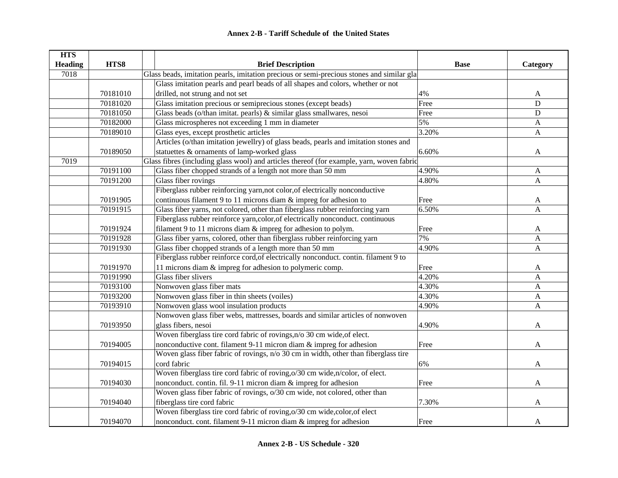| <b>HTS</b>     |          |                                                                                           |             |                           |
|----------------|----------|-------------------------------------------------------------------------------------------|-------------|---------------------------|
| <b>Heading</b> | HTS8     | <b>Brief Description</b>                                                                  | <b>Base</b> | Category                  |
| 7018           |          | Glass beads, imitation pearls, imitation precious or semi-precious stones and similar gla |             |                           |
|                |          | Glass imitation pearls and pearl beads of all shapes and colors, whether or not           |             |                           |
|                | 70181010 | drilled, not strung and not set                                                           | 4%          | A                         |
|                | 70181020 | Glass imitation precious or semiprecious stones (except beads)                            | Free        | $\mathbf D$               |
|                | 70181050 | Glass beads (o/than imitat. pearls) & similar glass smallwares, nesoi                     | Free        | $\mathbf D$               |
|                | 70182000 | Glass microspheres not exceeding 1 mm in diameter                                         | 5%          | A                         |
|                | 70189010 | Glass eyes, except prosthetic articles                                                    | 3.20%       | A                         |
|                |          | Articles (o/than imitation jewellry) of glass beads, pearls and imitation stones and      |             |                           |
|                | 70189050 | statuettes & ornaments of lamp-worked glass                                               | 6.60%       | $\mathbf{A}$              |
| 7019           |          | Glass fibres (including glass wool) and articles thereof (for example, yarn, woven fabric |             |                           |
|                | 70191100 | Glass fiber chopped strands of a length not more than 50 mm                               | 4.90%       | A                         |
|                | 70191200 | Glass fiber rovings                                                                       | 4.80%       | $\mathbf{A}$              |
|                |          | Fiberglass rubber reinforcing yarn, not color, of electrically nonconductive              |             |                           |
|                | 70191905 | continuous filament 9 to 11 microns diam $\&$ impreg for adhesion to                      | Free        | A                         |
|                | 70191915 | Glass fiber yarns, not colored, other than fiberglass rubber reinforcing yarn             | 6.50%       | $\mathbf{A}$              |
|                |          | Fiberglass rubber reinforce yarn,color,of electrically nonconduct. continuous             |             |                           |
|                | 70191924 | filament 9 to 11 microns diam $&$ impreg for adhesion to polym.                           | Free        | A                         |
|                | 70191928 | Glass fiber yarns, colored, other than fiberglass rubber reinforcing yarn                 | 7%          | $\mathbf{A}$              |
|                | 70191930 | Glass fiber chopped strands of a length more than 50 mm                                   | 4.90%       | $\mathbf{A}$              |
|                |          | Fiberglass rubber reinforce cord, of electrically nonconduct. contin. filament 9 to       |             |                           |
|                | 70191970 | 11 microns diam & impreg for adhesion to polymeric comp.                                  | Free        | A                         |
|                | 70191990 | Glass fiber slivers                                                                       | 4.20%       | $\boldsymbol{\mathsf{A}}$ |
|                | 70193100 | Nonwoven glass fiber mats                                                                 | 4.30%       | $\mathbf{A}$              |
|                | 70193200 | Nonwoven glass fiber in thin sheets (voiles)                                              | 4.30%       | $\boldsymbol{\mathsf{A}}$ |
|                | 70193910 | Nonwoven glass wool insulation products                                                   | 4.90%       | $\mathbf{A}$              |
|                |          | Nonwoven glass fiber webs, mattresses, boards and similar articles of nonwoven            |             |                           |
|                | 70193950 | glass fibers, nesoi                                                                       | 4.90%       | A                         |
|                |          | Woven fiberglass tire cord fabric of rovings, n/o 30 cm wide, of elect.                   |             |                           |
|                | 70194005 | nonconductive cont. filament 9-11 micron diam & impreg for adhesion                       | Free        | A                         |
|                |          | Woven glass fiber fabric of rovings, n/o 30 cm in width, other than fiberglass tire       |             |                           |
|                | 70194015 | cord fabric                                                                               | 6%          | A                         |
|                |          | Woven fiberglass tire cord fabric of roving, o/30 cm wide, n/color, of elect.             |             |                           |
|                | 70194030 | nonconduct. contin. fil. 9-11 micron diam & impreg for adhesion                           | Free        | A                         |
|                |          | Woven glass fiber fabric of rovings, o/30 cm wide, not colored, other than                |             |                           |
|                | 70194040 | fiberglass tire cord fabric                                                               | 7.30%       | A                         |
|                |          | Woven fiberglass tire cord fabric of roving, o/30 cm wide, color, of elect                |             |                           |
|                | 70194070 | nonconduct. cont. filament 9-11 micron diam & impreg for adhesion                         | Free        | A                         |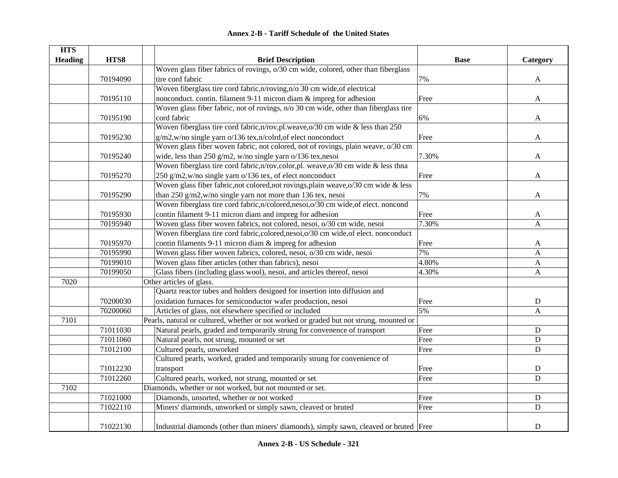| <b>HTS</b>     |          |                                                                                         |             |              |
|----------------|----------|-----------------------------------------------------------------------------------------|-------------|--------------|
| <b>Heading</b> | HTS8     | <b>Brief Description</b>                                                                | <b>Base</b> | Category     |
|                |          | Woven glass fiber fabrics of rovings, o/30 cm wide, colored, other than fiberglass      |             |              |
|                | 70194090 | tire cord fabric                                                                        | 7%          | $\mathbf{A}$ |
|                |          | Woven fiberglass tire cord fabric, n/roving, n/o 30 cm wide, of electrical              |             |              |
|                | 70195110 | nonconduct. contin. filament 9-11 micron diam & impreg for adhesion                     | Free        | A            |
|                |          | Woven glass fiber fabric, not of rovings, n/o 30 cm wide, other than fiberglass tire    |             |              |
|                | 70195190 | cord fabric                                                                             | 6%          | A            |
|                |          | Woven fiberglass tire cord fabric, n/rov, pl. weave, o/30 cm wide & less than 250       |             |              |
|                | 70195230 | g/m2,w/no single yarn o/136 tex,n/colrd,of elect nonconduct                             | Free        | A            |
|                |          | Woven glass fiber woven fabric, not colored, not of rovings, plain weave, o/30 cm       |             |              |
|                | 70195240 | wide, less than 250 g/m2, w/no single yarn o/136 tex, nesoi                             | 7.30%       | A            |
|                |          | Woven fiberglass tire cord fabric, n/rov, color, pl. weave, o/30 cm wide & less thna    |             |              |
|                | 70195270 | 250 g/m2,w/no single yarn o/136 tex, of elect nonconduct                                | Free        | A            |
|                |          | Woven glass fiber fabric, not colored, not rovings, plain weave, o/30 cm wide & less    |             |              |
|                | 70195290 | than 250 g/m2,w/no single yarn not more than 136 tex, nesoi                             | 7%          | A            |
|                |          | Woven fiberglass tire cord fabric,n/colored,nesoi,o/30 cm wide,of elect. noncond        |             |              |
|                | 70195930 | contin filament 9-11 micron diam and impreg for adhesion                                | Free        | A            |
|                | 70195940 | Woven glass fiber woven fabrics, not colored, nesoi, o/30 cm wide, nesoi                | 7.30%       | A            |
|                |          | Woven fiberglass tire cord fabric, colored, nesoi, o/30 cm wide, of elect. nonconduct   |             |              |
|                | 70195970 | contin filaments 9-11 micron diam & impreg for adhesion                                 | Free        | A            |
|                | 70195990 | Woven glass fiber woven fabrics, colored, nesoi, o/30 cm wide, nesoi                    | 7%          | A            |
|                | 70199010 | Woven glass fiber articles (other than fabrics), nesoi                                  | 4.80%       | A            |
|                | 70199050 | Glass fibers (including glass wool), nesoi, and articles thereof, nesoi                 | 4.30%       | $\mathbf{A}$ |
| 7020           |          | Other articles of glass.                                                                |             |              |
|                |          | Quartz reactor tubes and holders designed for insertion into diffusion and              |             |              |
|                | 70200030 | oxidation furnaces for semiconductor wafer production, nesoi                            | Free        | ${\bf D}$    |
|                | 70200060 | Articles of glass, not elsewhere specified or included                                  | 5%          | A            |
| 7101           |          | Pearls, natural or cultured, whether or not worked or graded but not strung, mounted or |             |              |
|                | 71011030 | Natural pearls, graded and temporarily strung for convenence of transport               | Free        | ${\bf D}$    |
|                | 71011060 | Natural pearls, not strung, mounted or set                                              | Free        | ${\bf D}$    |
|                | 71012100 | Cultured pearls, unworked                                                               | Free        | $\mathbf D$  |
|                |          | Cultured pearls, worked, graded and temporarily strung for convenience of               |             |              |
|                | 71012230 | transport                                                                               | Free        | ${\bf D}$    |
|                | 71012260 | Cultured pearls, worked, not strung, mounted or set                                     | Free        | $\mathbf D$  |
| 7102           |          | Diamonds, whether or not worked, but not mounted or set.                                |             |              |
|                | 71021000 | Diamonds, unsorted, whether or not worked                                               | Free        | ${\bf D}$    |
|                | 71022110 | Miners' diamonds, unworked or simply sawn, cleaved or bruted                            | Free        | ${\bf D}$    |
|                |          |                                                                                         |             |              |
|                | 71022130 | Industrial diamonds (other than miners' diamonds), simply sawn, cleaved or bruted Free  |             | $\mathbf D$  |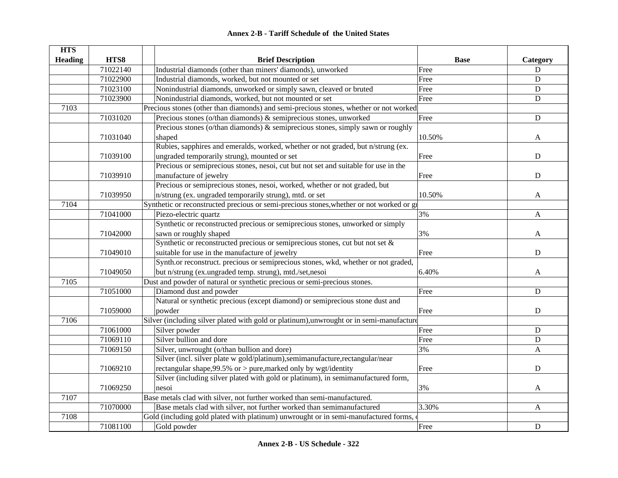| <b>HTS</b>     |          |                                                                                          |             |              |
|----------------|----------|------------------------------------------------------------------------------------------|-------------|--------------|
| <b>Heading</b> | HTS8     | <b>Brief Description</b>                                                                 | <b>Base</b> | Category     |
|                | 71022140 | Industrial diamonds (other than miners' diamonds), unworked                              | Free        | D            |
|                | 71022900 | Industrial diamonds, worked, but not mounted or set                                      | Free        | D            |
|                | 71023100 | Nonindustrial diamonds, unworked or simply sawn, cleaved or bruted                       | Free        | ${\bf D}$    |
|                | 71023900 | Nonindustrial diamonds, worked, but not mounted or set                                   | Free        | ${\bf D}$    |
| 7103           |          | Precious stones (other than diamonds) and semi-precious stones, whether or not worked    |             |              |
|                | 71031020 | Precious stones (o/than diamonds) & semiprecious stones, unworked                        | Free        | $\mathbf D$  |
|                |          | Precious stones (o/than diamonds) & semiprecious stones, simply sawn or roughly          |             |              |
|                | 71031040 | shaped                                                                                   | 10.50%      | A            |
|                |          | Rubies, sapphires and emeralds, worked, whether or not graded, but n/strung (ex.         |             |              |
|                | 71039100 | ungraded temporarily strung), mounted or set                                             | Free        | $\mathbf D$  |
|                |          | Precious or semiprecious stones, nesoi, cut but not set and suitable for use in the      |             |              |
|                | 71039910 | manufacture of jewelry                                                                   | Free        | ${\bf D}$    |
|                |          | Precious or semiprecious stones, nesoi, worked, whether or not graded, but               |             |              |
|                | 71039950 | n/strung (ex. ungraded temporarily strung), mtd. or set                                  | 10.50%      | A            |
| 7104           |          | Synthetic or reconstructed precious or semi-precious stones, whether or not worked or gi |             |              |
|                | 71041000 | Piezo-electric quartz                                                                    | 3%          | A            |
|                |          | Synthetic or reconstructed precious or semiprecious stones, unworked or simply           |             |              |
|                | 71042000 | sawn or roughly shaped                                                                   | 3%          | A            |
|                |          | Synthetic or reconstructed precious or semiprecious stones, cut but not set $\&$         |             |              |
|                | 71049010 | suitable for use in the manufacture of jewelry                                           | Free        | $\mathbf D$  |
|                |          | Synth.or reconstruct. precious or semiprecious stones, wkd, whether or not graded,       |             |              |
|                | 71049050 | but n/strung (ex.ungraded temp. strung), mtd./set,nesoi                                  | 6.40%       | A            |
| 7105           |          | Dust and powder of natural or synthetic precious or semi-precious stones.                |             |              |
|                | 71051000 | Diamond dust and powder                                                                  | Free        | D            |
|                |          | Natural or synthetic precious (except diamond) or semiprecious stone dust and            |             |              |
|                | 71059000 | powder                                                                                   | Free        | D            |
| 7106           |          | Silver (including silver plated with gold or platinum), unwrought or in semi-manufacture |             |              |
|                | 71061000 | Silver powder                                                                            | Free        | ${\bf D}$    |
|                | 71069110 | Silver bullion and dore                                                                  | Free        | ${\bf D}$    |
|                | 71069150 | Silver, unwrought (o/than bullion and dore)                                              | 3%          | A            |
|                |          | Silver (incl. silver plate w gold/platinum),semimanufacture,rectangular/near             |             |              |
|                | 71069210 | rectangular shape, $99.5\%$ or $>$ pure, marked only by wgt/identity                     | Free        | $\mathbf D$  |
|                |          | Silver (including silver plated with gold or platinum), in semimanufactured form,        |             |              |
|                | 71069250 | nesoi                                                                                    | 3%          | A            |
| 7107           |          | Base metals clad with silver, not further worked than semi-manufactured.                 |             |              |
|                | 71070000 | Base metals clad with silver, not further worked than semimanufactured                   | 3.30%       | $\mathbf{A}$ |
| 7108           |          | Gold (including gold plated with platinum) unwrought or in semi-manufactured forms,      |             |              |
|                | 71081100 | Gold powder                                                                              | Free        | ${\bf D}$    |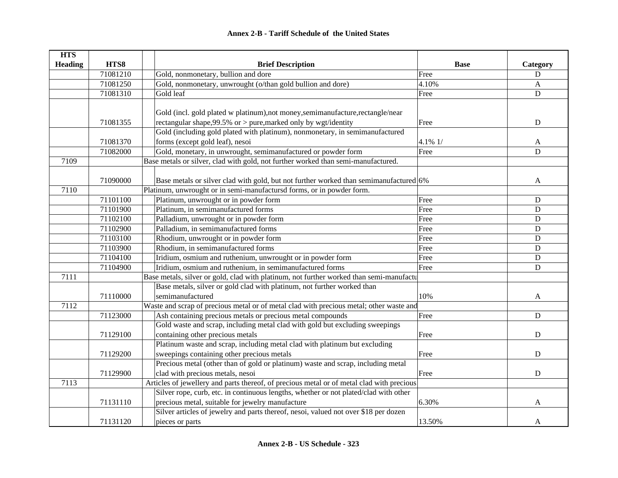| <b>HTS</b>     |          |                                                                                           |             |             |
|----------------|----------|-------------------------------------------------------------------------------------------|-------------|-------------|
| <b>Heading</b> | HTS8     | <b>Brief Description</b>                                                                  | <b>Base</b> | Category    |
|                | 71081210 | Gold, nonmonetary, bullion and dore                                                       | Free        | D           |
|                | 71081250 | Gold, nonmonetary, unwrought (o/than gold bullion and dore)                               | 4.10%       | A           |
|                | 71081310 | Gold leaf                                                                                 | Free        | D           |
|                |          |                                                                                           |             |             |
|                |          | Gold (incl. gold plated w platinum), not money, semimanufacture, rectangle/near           |             |             |
|                | 71081355 | rectangular shape, 99.5% or > pure, marked only by wgt/identity                           | Free        | ${\bf D}$   |
|                |          | Gold (including gold plated with platinum), nonmonetary, in semimanufactured              |             |             |
|                | 71081370 | forms (except gold leaf), nesoi                                                           | 4.1% 1/     | A           |
|                | 71082000 | Gold, monetary, in unwrought, semimanufactured or powder form                             | Free        | $\mathbf D$ |
| 7109           |          | Base metals or silver, clad with gold, not further worked than semi-manufactured.         |             |             |
|                |          |                                                                                           |             |             |
|                | 71090000 | Base metals or silver clad with gold, but not further worked than semimanufactured 6%     |             | A           |
| 7110           |          | Platinum, unwrought or in semi-manufactursd forms, or in powder form.                     |             |             |
|                | 71101100 | Platinum, unwrought or in powder form                                                     | Free        | ${\bf D}$   |
|                | 71101900 | Platinum, in semimanufactured forms                                                       | Free        | $\mathbf D$ |
|                | 71102100 | Palladium, unwrought or in powder form                                                    | Free        | D           |
|                | 71102900 | Palladium, in semimanufactured forms                                                      | Free        | $\mathbf D$ |
|                | 71103100 | Rhodium, unwrought or in powder form                                                      | Free        | ${\bf D}$   |
|                | 71103900 | Rhodium, in semimanufactured forms                                                        | Free        | ${\bf D}$   |
|                | 71104100 | Iridium, osmium and ruthenium, unwrought or in powder form                                | Free        | ${\bf D}$   |
|                | 71104900 | Iridium, osmium and ruthenium, in semimanufactured forms                                  | Free        | ${\bf D}$   |
| 7111           |          | Base metals, silver or gold, clad with platinum, not further worked than semi-manufactu   |             |             |
|                |          | Base metals, silver or gold clad with platinum, not further worked than                   |             |             |
|                | 71110000 | semimanufactured                                                                          | 10%         | A           |
| 7112           |          | Waste and scrap of precious metal or of metal clad with precious metal; other waste and   |             |             |
|                | 71123000 | Ash containing precious metals or precious metal compounds                                | Free        | $\mathbf D$ |
|                |          | Gold waste and scrap, including metal clad with gold but excluding sweepings              |             |             |
|                | 71129100 | containing other precious metals                                                          | Free        | $\mathbf D$ |
|                |          | Platinum waste and scrap, including metal clad with platinum but excluding                |             |             |
|                | 71129200 | sweepings containing other precious metals                                                | Free        | $\mathbf D$ |
|                |          | Precious metal (other than of gold or platinum) waste and scrap, including metal          |             |             |
|                | 71129900 | clad with precious metals, nesoi                                                          | Free        | ${\bf D}$   |
| 7113           |          | Articles of jewellery and parts thereof, of precious metal or of metal clad with precious |             |             |
|                |          | Silver rope, curb, etc. in continuous lengths, whether or not plated/clad with other      |             |             |
|                | 71131110 | precious metal, suitable for jewelry manufacture                                          | 6.30%       | A           |
|                |          | Silver articles of jewelry and parts thereof, nesoi, valued not over \$18 per dozen       |             |             |
|                | 71131120 | pieces or parts                                                                           | 13.50%      | A           |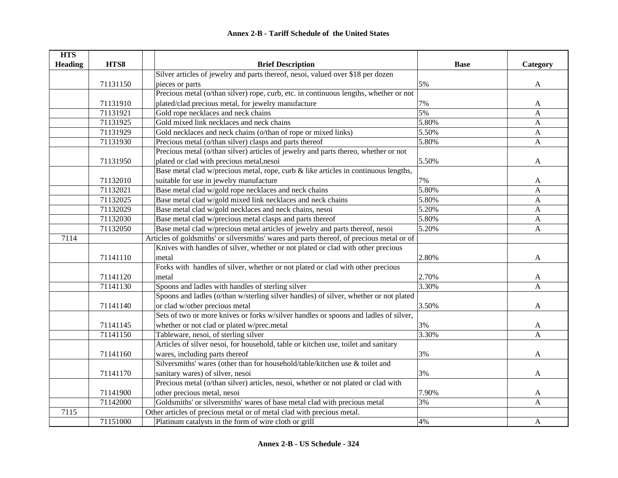| <b>HTS</b>     |          |                                                                                           |             |              |
|----------------|----------|-------------------------------------------------------------------------------------------|-------------|--------------|
| <b>Heading</b> | HTS8     | <b>Brief Description</b>                                                                  | <b>Base</b> | Category     |
|                |          | Silver articles of jewelry and parts thereof, nesoi, valued over \$18 per dozen           |             |              |
|                | 71131150 | pieces or parts                                                                           | 5%          | A            |
|                |          | Precious metal (o/than silver) rope, curb, etc. in continuous lengths, whether or not     |             |              |
|                | 71131910 | plated/clad precious metal, for jewelry manufacture                                       | 7%          | A            |
|                | 71131921 | Gold rope necklaces and neck chains                                                       | 5%          | A            |
|                | 71131925 | Gold mixed link necklaces and neck chains                                                 | 5.80%       | $\mathbf{A}$ |
|                | 71131929 | Gold necklaces and neck chains (o/than of rope or mixed links)                            | 5.50%       | $\mathbf{A}$ |
|                | 71131930 | Precious metal (o/than silver) clasps and parts thereof                                   | 5.80%       | A            |
|                |          | Precious metal (o/than silver) articles of jewelry and parts thereo, whether or not       |             |              |
|                | 71131950 | plated or clad with precious metal, nesoi                                                 | 5.50%       | A            |
|                |          | Base metal clad w/precious metal, rope, curb & like articles in continuous lengths,       |             |              |
|                | 71132010 | suitable for use in jewelry manufacture                                                   | 7%          | A            |
|                | 71132021 | Base metal clad w/gold rope necklaces and neck chains                                     | 5.80%       | A            |
|                | 71132025 | Base metal clad w/gold mixed link necklaces and neck chains                               | 5.80%       | A            |
|                | 71132029 | Base metal clad w/gold necklaces and neck chains, nesoi                                   | 5.20%       | $\mathbf{A}$ |
|                | 71132030 | Base metal clad w/precious metal clasps and parts thereof                                 | 5.80%       | A            |
|                | 71132050 | Base metal clad w/precious metal articles of jewelry and parts thereof, nesoi             | 5.20%       | A            |
| 7114           |          | Articles of goldsmiths' or silversmiths' wares and parts thereof, of precious metal or of |             |              |
|                |          | Knives with handles of silver, whether or not plated or clad with other precious          |             |              |
|                | 71141110 | metal                                                                                     | 2.80%       | A            |
|                |          | Forks with handles of silver, whether or not plated or clad with other precious           |             |              |
|                | 71141120 | metal                                                                                     | 2.70%       | A            |
|                | 71141130 | Spoons and ladles with handles of sterling silver                                         | 3.30%       | A            |
|                |          | Spoons and ladles (o/than w/sterling silver handles) of silver, whether or not plated     |             |              |
|                | 71141140 | or clad w/other precious metal                                                            | 3.50%       | A            |
|                |          | Sets of two or more knives or forks w/silver handles or spoons and ladles of silver,      |             |              |
|                | 71141145 | whether or not clad or plated w/prec.metal                                                | 3%          | A            |
|                | 71141150 | Tableware, nesoi, of sterling silver                                                      | 3.30%       | A            |
|                |          | Articles of silver nesoi, for household, table or kitchen use, toilet and sanitary        |             |              |
|                | 71141160 | wares, including parts thereof                                                            | 3%          | A            |
|                |          | Silversmiths' wares (other than for household/table/kitchen use & toilet and              |             |              |
|                | 71141170 | sanitary wares) of silver, nesoi                                                          | 3%          | A            |
|                |          | Precious metal (o/than silver) articles, nesoi, whether or not plated or clad with        |             |              |
|                | 71141900 | other precious metal, nesoi                                                               | 7.90%       | A            |
|                | 71142000 | Goldsmiths' or silversmiths' wares of base metal clad with precious metal                 | 3%          | A            |
| 7115           |          | Other articles of precious metal or of metal clad with precious metal.                    |             |              |
|                | 71151000 | Platinum catalysts in the form of wire cloth or grill                                     | 4%          | A            |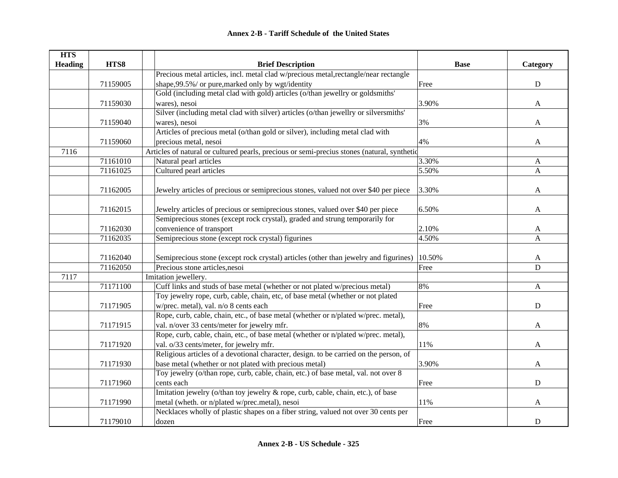| <b>HTS</b>     |          |                                                                                             |             |              |
|----------------|----------|---------------------------------------------------------------------------------------------|-------------|--------------|
| <b>Heading</b> | HTS8     | <b>Brief Description</b>                                                                    | <b>Base</b> | Category     |
|                |          | Precious metal articles, incl. metal clad w/precious metal, rectangle/near rectangle        |             |              |
|                | 71159005 | shape, 99.5%/ or pure, marked only by wgt/identity                                          | Free        | ${\bf D}$    |
|                |          | Gold (including metal clad with gold) articles (o/than jewellry or goldsmiths'              |             |              |
|                | 71159030 | wares), nesoi                                                                               | 3.90%       | $\mathbf{A}$ |
|                |          | Silver (including metal clad with silver) articles (o/than jewellry or silversmiths'        |             |              |
|                | 71159040 | wares), nesoi                                                                               | 3%          | A            |
|                |          | Articles of precious metal (o/than gold or silver), including metal clad with               |             |              |
|                | 71159060 | precious metal, nesoi                                                                       | 4%          | A            |
| 7116           |          | Articles of natural or cultured pearls, precious or semi-precius stones (natural, synthetic |             |              |
|                | 71161010 | Natural pearl articles                                                                      | 3.30%       | $\mathbf{A}$ |
|                | 71161025 | Cultured pearl articles                                                                     | 5.50%       | $\mathbf{A}$ |
|                |          |                                                                                             |             |              |
|                | 71162005 | Jewelry articles of precious or semiprecious stones, valued not over \$40 per piece         | 3.30%       | A            |
|                |          |                                                                                             |             |              |
|                | 71162015 | Jewelry articles of precious or semiprecious stones, valued over \$40 per piece             | 6.50%       | A            |
|                |          | Semiprecious stones (except rock crystal), graded and strung temporarily for                |             |              |
|                | 71162030 | convenience of transport                                                                    | 2.10%       | A            |
|                | 71162035 | Semiprecious stone (except rock crystal) figurines                                          | 4.50%       | A            |
|                |          |                                                                                             |             |              |
|                | 71162040 | Semiprecious stone (except rock crystal) articles (other than jewelry and figurines)        | 10.50%      | A            |
|                | 71162050 | Precious stone articles, nesoi                                                              | Free        | $\mathbf D$  |
| 7117           |          | Imitation jewellery.                                                                        |             |              |
|                | 71171100 | Cuff links and studs of base metal (whether or not plated w/precious metal)                 | 8%          | $\mathbf{A}$ |
|                |          | Toy jewelry rope, curb, cable, chain, etc, of base metal (whether or not plated             |             |              |
|                | 71171905 | w/prec. metal), val. n/o 8 cents each                                                       | Free        | ${\bf D}$    |
|                |          | Rope, curb, cable, chain, etc., of base metal (whether or n/plated w/prec. metal),          |             |              |
|                | 71171915 | val. n/over 33 cents/meter for jewelry mfr.                                                 | 8%          | A            |
|                |          | Rope, curb, cable, chain, etc., of base metal (whether or n/plated w/prec. metal),          |             |              |
|                | 71171920 | val. o/33 cents/meter, for jewelry mfr.                                                     | 11%         | A            |
|                |          | Religious articles of a devotional character, design. to be carried on the person, of       |             |              |
|                | 71171930 | base metal (whether or not plated with precious metal)                                      | 3.90%       | A            |
|                |          | Toy jewelry (o/than rope, curb, cable, chain, etc.) of base metal, val. not over 8          |             |              |
|                | 71171960 | cents each                                                                                  | Free        | $\mathbf D$  |
|                |          | Imitation jewelry (o/than toy jewelry & rope, curb, cable, chain, etc.), of base            |             |              |
|                | 71171990 | metal (wheth. or n/plated w/prec.metal), nesoi                                              | 11%         | A            |
|                |          | Necklaces wholly of plastic shapes on a fiber string, valued not over 30 cents per          |             |              |
|                | 71179010 | dozen                                                                                       | Free        | ${\bf D}$    |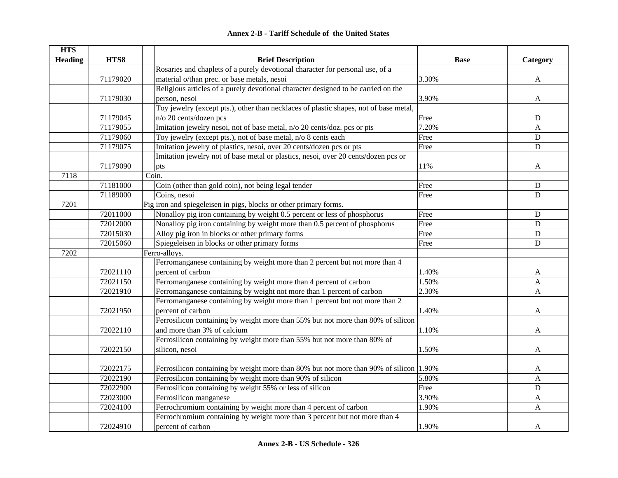#### **HTS Heading HTS8 Brief Description Base Category** 71179020Rosaries and chaplets of a purely devotional character for personal use, of a material o/than prec. or base metals, nesoi 3.30% A 71179030Religious articles of a purely devotional character designed to be carried on the person, nesoi and a set of the set of the set of the set of the set of the set of the set of the set of the set of the set of the set of the set of the set of the set of the set of the set of the set of the set of the set 71179045Toy jewelry (except pts.), other than necklaces of plastic shapes, not of base metal, n/o 20 cents/dozen pcs D 71179055 Imitation jewelry nesoi, not of base metal, n/o 20 cents/doz. pcs or pts 7.20% A 71179060 Toy jewelry (except pts.), not of base metal, n/o 8 cents each Free Free D 71179075 Imitation jewelry of plastics, nesoi, over 20 cents/dozen pcs or pts Free D 71179090Imitation jewelry not of base metal or plastics, nesoi, over 20 cents/dozen pcs or pts  $11\%$  A 7118Coin. 71181000 Coin (other than gold coin), not being legal tender Free Free Press, D 71189000 Coins, nesoi **D** 7201Pig iron and spiegeleisen in pigs, blocks or other primary forms. 72011000 Nonalloy pig iron containing by weight 0.5 percent or less of phosphorus Free Free D 72012000 Nonalloy pig iron containing by weight more than 0.5 percent of phosphorus Free D 72015030 Alloy pig iron in blocks or other primary forms Free D 72015060 Spiegeleisen in blocks or other primary forms Free D 7202Ferro-alloys. 72021110Ferromanganese containing by weight more than 2 percent but not more than 4 percent of carbon  $1.40\%$  A 72021150 Ferromanganese containing by weight more than 4 percent of carbon 1.50% A 72021910 Ferromanganese containing by weight not more than 1 percent of carbon 2.30% A 72021950Ferromanganese containing by weight more than 1 percent but not more than 2 percent of carbon  $1.40\%$  A 72022110Ferrosilicon containing by weight more than 55% but not more than 80% of silicon and more than 3% of calcium  $\overline{A}$ 72022150Ferrosilicon containing by weight more than 55% but not more than 80% of silicon, nesoi  $1.50\%$  A 72022175 Ferrosilicon containing by weight more than 80% but not more than 90% of silicon 1.90% 72022190 Ferrosilicon containing by weight more than 90% of silicon 5.80% A 72022900 Ferrosilicon containing by weight 55% or less of silicon Free D 72023000 Ferrosilicon manganese 3.90% A 72024100 Ferrochromium containing by weight more than 4 percent of carbon 1.90% A 72024910Ferrochromium containing by weight more than 3 percent but not more than 4 percent of carbon and the set of carbon and the set of carbon and the set of carbon and  $1.90\%$  and  $A$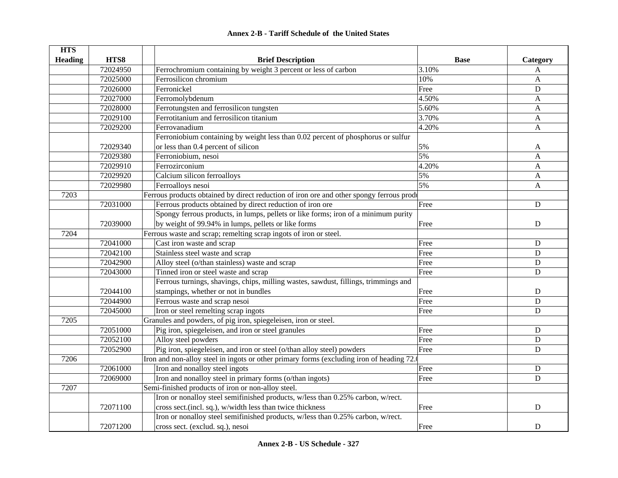| <b>HTS</b>     |          |                                                                                          |             |                |
|----------------|----------|------------------------------------------------------------------------------------------|-------------|----------------|
| <b>Heading</b> | HTS8     | <b>Brief Description</b>                                                                 | <b>Base</b> | Category       |
|                | 72024950 | Ferrochromium containing by weight 3 percent or less of carbon                           | 3.10%       | A              |
|                | 72025000 | Ferrosilicon chromium                                                                    | 10%         | A              |
|                | 72026000 | Ferronickel                                                                              | Free        | ${\bf D}$      |
|                | 72027000 | Ferromolybdenum                                                                          | 4.50%       | A              |
|                | 72028000 | Ferrotungsten and ferrosilicon tungsten                                                  | 5.60%       | A              |
|                | 72029100 | Ferrotitanium and ferrosilicon titanium                                                  | 3.70%       | A              |
|                | 72029200 | Ferrovanadium                                                                            | 4.20%       | A              |
|                |          | Ferroniobium containing by weight less than 0.02 percent of phosphorus or sulfur         |             |                |
|                | 72029340 | or less than 0.4 percent of silicon                                                      | 5%          | A              |
|                | 72029380 | Ferroniobium, nesoi                                                                      | 5%          | A              |
|                | 72029910 | Ferrozirconium                                                                           | 4.20%       | A              |
|                | 72029920 | Calcium silicon ferroalloys                                                              | 5%          | A              |
|                | 72029980 | Ferroalloys nesoi                                                                        | 5%          | A              |
| 7203           |          | Ferrous products obtained by direct reduction of iron ore and other spongy ferrous produ |             |                |
|                | 72031000 | Ferrous products obtained by direct reduction of iron ore                                | Free        | $\overline{D}$ |
|                |          | Spongy ferrous products, in lumps, pellets or like forms; iron of a minimum purity       |             |                |
|                | 72039000 | by weight of 99.94% in lumps, pellets or like forms                                      | Free        | ${\bf D}$      |
| 7204           |          | Ferrous waste and scrap; remelting scrap ingots of iron or steel.                        |             |                |
|                | 72041000 | Cast iron waste and scrap                                                                | Free        | ${\bf D}$      |
|                | 72042100 | Stainless steel waste and scrap                                                          | Free        | D              |
|                | 72042900 | Alloy steel (o/than stainless) waste and scrap                                           | Free        | $\mathbf D$    |
|                | 72043000 | Tinned iron or steel waste and scrap                                                     | Free        | D              |
|                |          | Ferrous turnings, shavings, chips, milling wastes, sawdust, fillings, trimmings and      |             |                |
|                | 72044100 | stampings, whether or not in bundles                                                     | Free        | $\mathbf D$    |
|                | 72044900 | Ferrous waste and scrap nesoi                                                            | Free        | $\mathbf D$    |
|                | 72045000 | Iron or steel remelting scrap ingots                                                     | Free        | D              |
| 7205           |          | Granules and powders, of pig iron, spiegeleisen, iron or steel.                          |             |                |
|                | 72051000 | Pig iron, spiegeleisen, and iron or steel granules                                       | Free        | $\mathbf D$    |
|                | 72052100 | Alloy steel powders                                                                      | Free        | D              |
|                | 72052900 | Pig iron, spiegeleisen, and iron or steel (o/than alloy steel) powders                   | Free        | D              |
| 7206           |          | Iron and non-alloy steel in ingots or other primary forms (excluding iron of heading 72. |             |                |
|                | 72061000 | Iron and nonalloy steel ingots                                                           | Free        | $\mathbf D$    |
|                | 72069000 | Iron and nonalloy steel in primary forms (o/than ingots)                                 | Free        | $\mathbf D$    |
| 7207           |          | Semi-finished products of iron or non-alloy steel.                                       |             |                |
|                |          | Iron or nonalloy steel semifinished products, w/less than 0.25% carbon, w/rect.          |             |                |
|                | 72071100 | cross sect.(incl. sq.), w/width less than twice thickness                                | Free        | $\mathbf D$    |
|                |          | Iron or nonalloy steel semifinished products, w/less than 0.25% carbon, w/rect.          |             |                |
|                | 72071200 | cross sect. (exclud. sq.), nesoi                                                         | Free        | $\mathbf D$    |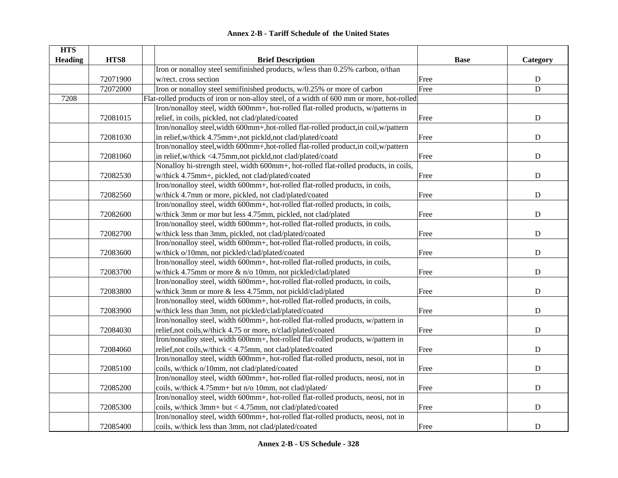| <b>HTS</b><br><b>Heading</b> | HTS8     | <b>Brief Description</b>                                                                  | <b>Base</b> | Category       |
|------------------------------|----------|-------------------------------------------------------------------------------------------|-------------|----------------|
|                              |          | Iron or nonalloy steel semifinished products, w/less than 0.25% carbon, o/than            |             |                |
|                              | 72071900 | w/rect. cross section                                                                     | Free        | ${\bf D}$      |
|                              | 72072000 | Iron or nonalloy steel semifinished products, w/0.25% or more of carbon                   | Free        | $\overline{D}$ |
| 7208                         |          | Flat-rolled products of iron or non-alloy steel, of a width of 600 mm or more, hot-rolled |             |                |
|                              |          | Iron/nonalloy steel, width 600mm+, hot-rolled flat-rolled products, w/patterns in         |             |                |
|                              | 72081015 | relief, in coils, pickled, not clad/plated/coated                                         | Free        | ${\bf D}$      |
|                              |          | Iron/nonalloy steel, width 600mm+, hot-rolled flat-rolled product, in coil, w/pattern     |             |                |
|                              | 72081030 | in relief, w/thick 4.75mm+, not pickld, not clad/plated/coatd                             | Free        | ${\bf D}$      |
|                              |          | Iron/nonalloy steel, width 600mm+, hot-rolled flat-rolled product, in coil, w/pattern     |             |                |
|                              | 72081060 | in relief, w/thick <4.75mm, not pickld, not clad/plated/coatd                             | Free        | D              |
|                              |          | Nonalloy hi-strength steel, width 600mm+, hot-rolled flat-rolled products, in coils,      |             |                |
|                              | 72082530 | w/thick 4.75mm+, pickled, not clad/plated/coated                                          | Free        | ${\bf D}$      |
|                              |          | Iron/nonalloy steel, width 600mm+, hot-rolled flat-rolled products, in coils,             |             |                |
|                              | 72082560 | w/thick 4.7mm or more, pickled, not clad/plated/coated                                    | Free        | ${\bf D}$      |
|                              |          | Iron/nonalloy steel, width 600mm+, hot-rolled flat-rolled products, in coils,             |             |                |
|                              | 72082600 | w/thick 3mm or mor but less 4.75mm, pickled, not clad/plated                              | Free        | ${\bf D}$      |
|                              |          | Iron/nonalloy steel, width 600mm+, hot-rolled flat-rolled products, in coils,             |             |                |
|                              | 72082700 | w/thick less than 3mm, pickled, not clad/plated/coated                                    | Free        | ${\bf D}$      |
|                              |          | Iron/nonalloy steel, width 600mm+, hot-rolled flat-rolled products, in coils,             |             |                |
|                              | 72083600 | w/thick o/10mm, not pickled/clad/plated/coated                                            | Free        | ${\bf D}$      |
|                              |          | Iron/nonalloy steel, width 600mm+, hot-rolled flat-rolled products, in coils,             |             |                |
|                              | 72083700 | w/thick 4.75mm or more & n/o 10mm, not pickled/clad/plated                                | Free        | ${\bf D}$      |
|                              |          | Iron/nonalloy steel, width 600mm+, hot-rolled flat-rolled products, in coils,             |             |                |
|                              | 72083800 | w/thick 3mm or more & less 4.75mm, not pickld/clad/plated                                 | Free        | ${\bf D}$      |
|                              |          | Iron/nonalloy steel, width 600mm+, hot-rolled flat-rolled products, in coils,             |             |                |
|                              | 72083900 | w/thick less than 3mm, not pickled/clad/plated/coated                                     | Free        | ${\bf D}$      |
|                              |          | Iron/nonalloy steel, width 600mm+, hot-rolled flat-rolled products, w/pattern in          |             |                |
|                              | 72084030 | relief, not coils, w/thick 4.75 or more, n/clad/plated/coated                             | Free        | ${\bf D}$      |
|                              |          | Iron/nonalloy steel, width 600mm+, hot-rolled flat-rolled products, w/pattern in          |             |                |
|                              | 72084060 | relief,not coils,w/thick < 4.75mm, not clad/plated/coated                                 | Free        | $\mathbf D$    |
|                              |          | Iron/nonalloy steel, width 600mm+, hot-rolled flat-rolled products, nesoi, not in         |             |                |
|                              | 72085100 | coils, w/thick o/10mm, not clad/plated/coated                                             | Free        | $\mathbf D$    |
|                              |          | Iron/nonalloy steel, width 600mm+, hot-rolled flat-rolled products, neosi, not in         |             |                |
|                              | 72085200 | coils, w/thick 4.75mm+ but n/o 10mm, not clad/plated/                                     | Free        | ${\bf D}$      |
|                              |          | Iron/nonalloy steel, width 600mm+, hot-rolled flat-rolled products, neosi, not in         |             |                |
|                              | 72085300 | coils, w/thick 3mm+ but < 4.75mm, not clad/plated/coated                                  | Free        | ${\bf D}$      |
|                              |          | Iron/nonalloy steel, width 600mm+, hot-rolled flat-rolled products, neosi, not in         |             |                |
|                              | 72085400 | coils, w/thick less than 3mm, not clad/plated/coated                                      | Free        | ${\bf D}$      |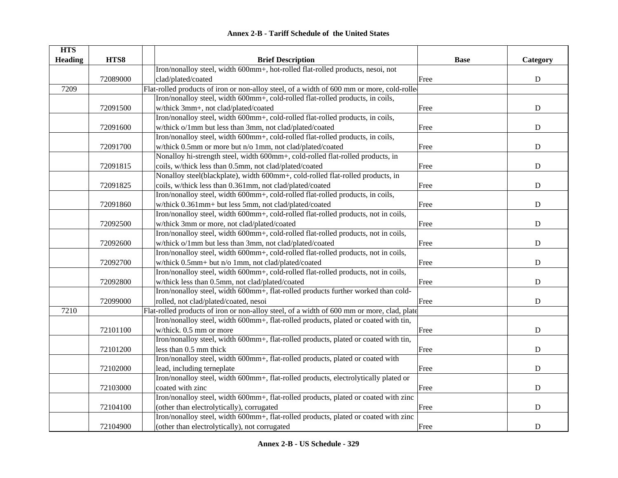|  | Annex 2-B - Tariff Schedule of the United States |  |
|--|--------------------------------------------------|--|
|--|--------------------------------------------------|--|

| <b>HTS</b><br><b>Heading</b> | HTS8     | <b>Brief Description</b>                                                                   | <b>Base</b> | Category    |
|------------------------------|----------|--------------------------------------------------------------------------------------------|-------------|-------------|
|                              |          | Iron/nonalloy steel, width 600mm+, hot-rolled flat-rolled products, nesoi, not             |             |             |
|                              | 72089000 | clad/plated/coated                                                                         | Free        | ${\bf D}$   |
| 7209                         |          | Flat-rolled products of iron or non-alloy steel, of a width of 600 mm or more, cold-rolled |             |             |
|                              |          | Iron/nonalloy steel, width 600mm+, cold-rolled flat-rolled products, in coils,             |             |             |
|                              | 72091500 | w/thick 3mm+, not clad/plated/coated                                                       | Free        | ${\bf D}$   |
|                              |          | Iron/nonalloy steel, width 600mm+, cold-rolled flat-rolled products, in coils,             |             |             |
|                              | 72091600 | w/thick o/1mm but less than 3mm, not clad/plated/coated                                    | Free        | $\mathbf D$ |
|                              |          | Iron/nonalloy steel, width 600mm+, cold-rolled flat-rolled products, in coils,             |             |             |
|                              | 72091700 | w/thick 0.5mm or more but n/o 1mm, not clad/plated/coated                                  | Free        | $\mathbf D$ |
|                              |          | Nonalloy hi-strength steel, width 600mm+, cold-rolled flat-rolled products, in             |             |             |
|                              | 72091815 | coils, w/thick less than 0.5mm, not clad/plated/coated                                     | Free        | ${\bf D}$   |
|                              |          | Nonalloy steel(blackplate), width 600mm+, cold-rolled flat-rolled products, in             |             |             |
|                              | 72091825 | coils, w/thick less than 0.361mm, not clad/plated/coated                                   | Free        | D           |
|                              |          | Iron/nonalloy steel, width 600mm+, cold-rolled flat-rolled products, in coils,             |             |             |
|                              | 72091860 | w/thick 0.361mm+ but less 5mm, not clad/plated/coated                                      | Free        | $\mathbf D$ |
|                              |          | Iron/nonalloy steel, width 600mm+, cold-rolled flat-rolled products, not in coils,         |             |             |
|                              | 72092500 | w/thick 3mm or more, not clad/plated/coated                                                | Free        | ${\bf D}$   |
|                              |          | Iron/nonalloy steel, width 600mm+, cold-rolled flat-rolled products, not in coils,         |             |             |
|                              | 72092600 | w/thick o/1mm but less than 3mm, not clad/plated/coated                                    | Free        | ${\bf D}$   |
|                              |          | Iron/nonalloy steel, width 600mm+, cold-rolled flat-rolled products, not in coils,         |             |             |
|                              | 72092700 | w/thick 0.5mm+ but n/o 1mm, not clad/plated/coated                                         | Free        | ${\bf D}$   |
|                              |          | Iron/nonalloy steel, width 600mm+, cold-rolled flat-rolled products, not in coils,         |             |             |
|                              | 72092800 | w/thick less than 0.5mm, not clad/plated/coated                                            | Free        | $\mathbf D$ |
|                              |          | Iron/nonalloy steel, width 600mm+, flat-rolled products further worked than cold-          |             |             |
|                              | 72099000 | rolled, not clad/plated/coated, nesoi                                                      | Free        | ${\bf D}$   |
| 7210                         |          | Flat-rolled products of iron or non-alloy steel, of a width of 600 mm or more, clad, plate |             |             |
|                              |          | Iron/nonalloy steel, width 600mm+, flat-rolled products, plated or coated with tin,        |             |             |
|                              | 72101100 | w/thick. 0.5 mm or more                                                                    | Free        | $\mathbf D$ |
|                              |          | Iron/nonalloy steel, width 600mm+, flat-rolled products, plated or coated with tin,        |             |             |
|                              | 72101200 | less than 0.5 mm thick                                                                     | Free        | $\mathbf D$ |
|                              |          | Iron/nonalloy steel, width 600mm+, flat-rolled products, plated or coated with             |             |             |
|                              | 72102000 | lead, including terneplate                                                                 | Free        | $\mathbf D$ |
|                              |          | Iron/nonalloy steel, width 600mm+, flat-rolled products, electrolytically plated or        |             |             |
|                              | 72103000 | coated with zinc                                                                           | Free        | ${\bf D}$   |
|                              |          | Iron/nonalloy steel, width 600mm+, flat-rolled products, plated or coated with zinc        |             |             |
|                              | 72104100 | (other than electrolytically), corrugated                                                  | Free        | ${\bf D}$   |
|                              |          | Iron/nonalloy steel, width 600mm+, flat-rolled products, plated or coated with zinc        |             |             |
|                              | 72104900 | (other than electrolytically), not corrugated                                              | Free        | ${\bf D}$   |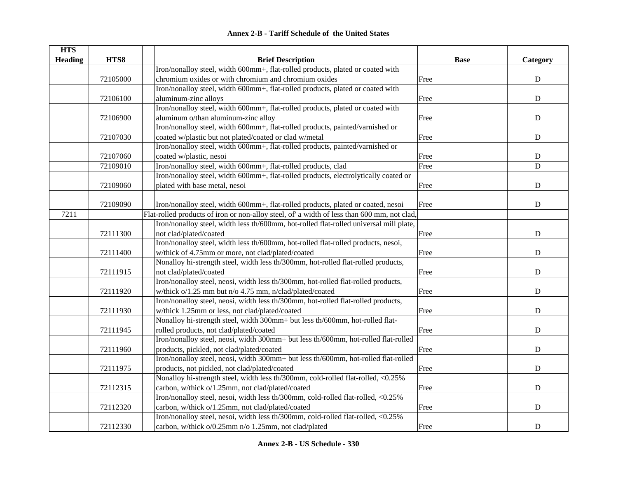| <b>HTS</b>     |          |                                                                                             |             |                |
|----------------|----------|---------------------------------------------------------------------------------------------|-------------|----------------|
| <b>Heading</b> | HTS8     | <b>Brief Description</b>                                                                    | <b>Base</b> | Category       |
|                |          | Iron/nonalloy steel, width 600mm+, flat-rolled products, plated or coated with              |             |                |
|                | 72105000 | chromium oxides or with chromium and chromium oxides                                        | Free        | ${\bf D}$      |
|                |          | Iron/nonalloy steel, width 600mm+, flat-rolled products, plated or coated with              |             |                |
|                | 72106100 | aluminum-zinc alloys                                                                        | Free        | ${\bf D}$      |
|                |          | Iron/nonalloy steel, width 600mm+, flat-rolled products, plated or coated with              |             |                |
|                | 72106900 | aluminum o/than aluminum-zinc alloy                                                         | Free        | $\mathbf D$    |
|                |          | Iron/nonalloy steel, width 600mm+, flat-rolled products, painted/varnished or               |             |                |
|                | 72107030 | coated w/plastic but not plated/coated or clad w/metal                                      | Free        | $\mathbf D$    |
|                |          | Iron/nonalloy steel, width 600mm+, flat-rolled products, painted/varnished or               |             |                |
|                | 72107060 | coated w/plastic, nesoi                                                                     | Free        | $\mathbf D$    |
|                | 72109010 | Iron/nonalloy steel, width 600mm+, flat-rolled products, clad                               | Free        | $\overline{D}$ |
|                |          | Iron/nonalloy steel, width 600mm+, flat-rolled products, electrolytically coated or         |             |                |
|                | 72109060 | plated with base metal, nesoi                                                               | Free        | ${\bf D}$      |
|                |          |                                                                                             |             |                |
|                | 72109090 | Iron/nonalloy steel, width 600mm+, flat-rolled products, plated or coated, nesoi            | Free        | ${\bf D}$      |
| 7211           |          | Flat-rolled products of iron or non-alloy steel, of' a width of less than 600 mm, not clad, |             |                |
|                |          | Iron/nonalloy steel, width less th/600mm, hot-rolled flat-rolled universal mill plate,      |             |                |
|                | 72111300 | not clad/plated/coated                                                                      | Free        | ${\bf D}$      |
|                |          | Iron/nonalloy steel, width less th/600mm, hot-rolled flat-rolled products, nesoi,           |             |                |
|                | 72111400 | w/thick of 4.75mm or more, not clad/plated/coated                                           | Free        | ${\bf D}$      |
|                |          | Nonalloy hi-strength steel, width less th/300mm, hot-rolled flat-rolled products,           |             |                |
|                | 72111915 | not clad/plated/coated                                                                      | Free        | ${\bf D}$      |
|                |          | Iron/nonalloy steel, neosi, width less th/300mm, hot-rolled flat-rolled products,           |             |                |
|                | 72111920 | w/thick o/1.25 mm but n/o 4.75 mm, n/clad/plated/coated                                     | Free        | ${\bf D}$      |
|                |          | Iron/nonalloy steel, neosi, width less th/300mm, hot-rolled flat-rolled products,           |             |                |
|                | 72111930 | w/thick 1.25mm or less, not clad/plated/coated                                              | Free        | ${\bf D}$      |
|                |          | Nonalloy hi-strength steel, width 300mm+ but less th/600mm, hot-rolled flat-                |             |                |
|                | 72111945 | rolled products, not clad/plated/coated                                                     | Free        | ${\bf D}$      |
|                |          | Iron/nonalloy steel, neosi, width 300mm+ but less th/600mm, hot-rolled flat-rolled          |             |                |
|                | 72111960 | products, pickled, not clad/plated/coated                                                   | Free        | ${\bf D}$      |
|                |          | Iron/nonalloy steel, neosi, width 300mm+ but less th/600mm, hot-rolled flat-rolled          |             |                |
|                | 72111975 | products, not pickled, not clad/plated/coated                                               | Free        | $\mathbf D$    |
|                |          | Nonalloy hi-strength steel, width less th/300mm, cold-rolled flat-rolled, <0.25%            |             |                |
|                | 72112315 | carbon, w/thick o/1.25mm, not clad/plated/coated                                            | Free        | ${\bf D}$      |
|                |          | Iron/nonalloy steel, nesoi, width less th/300mm, cold-rolled flat-rolled, <0.25%            |             |                |
|                | 72112320 | carbon, w/thick o/1.25mm, not clad/plated/coated                                            | Free        | ${\bf D}$      |
|                |          | Iron/nonalloy steel, nesoi, width less th/300mm, cold-rolled flat-rolled, <0.25%            |             |                |
|                | 72112330 | carbon, w/thick o/0.25mm n/o 1.25mm, not clad/plated                                        | Free        | ${\bf D}$      |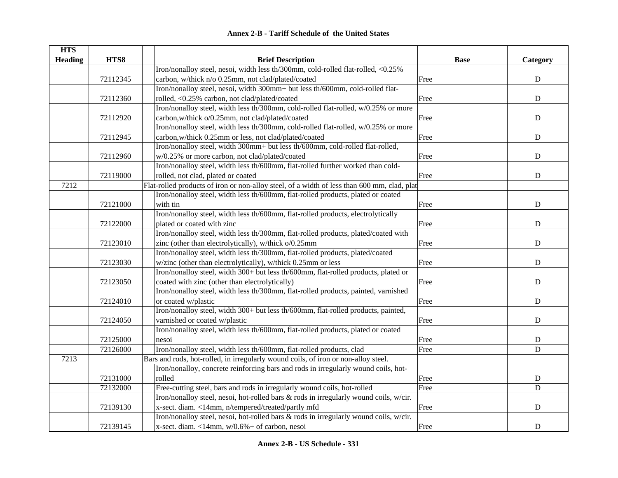| <b>HTS</b>     |          |                                                                                             |             |             |
|----------------|----------|---------------------------------------------------------------------------------------------|-------------|-------------|
| <b>Heading</b> | HTS8     | <b>Brief Description</b>                                                                    | <b>Base</b> | Category    |
|                |          | Iron/nonalloy steel, nesoi, width less th/300mm, cold-rolled flat-rolled, <0.25%            |             |             |
|                | 72112345 | carbon, w/thick n/o 0.25mm, not clad/plated/coated                                          | Free        | ${\bf D}$   |
|                |          | Iron/nonalloy steel, nesoi, width 300mm+ but less th/600mm, cold-rolled flat-               |             |             |
|                | 72112360 | rolled, <0.25% carbon, not clad/plated/coated                                               | Free        | ${\bf D}$   |
|                |          | Iron/nonalloy steel, width less th/300mm, cold-rolled flat-rolled, w/0.25% or more          |             |             |
|                | 72112920 | carbon, w/thick o/0.25mm, not clad/plated/coated                                            | Free        | ${\bf D}$   |
|                |          | Iron/nonalloy steel, width less th/300mm, cold-rolled flat-rolled, w/0.25% or more          |             |             |
|                | 72112945 | carbon, w/thick 0.25mm or less, not clad/plated/coated                                      | Free        | ${\bf D}$   |
|                |          | Iron/nonalloy steel, width 300mm+ but less th/600mm, cold-rolled flat-rolled,               |             |             |
|                | 72112960 | w/0.25% or more carbon, not clad/plated/coated                                              | Free        | ${\bf D}$   |
|                |          | Iron/nonalloy steel, width less th/600mm, flat-rolled further worked than cold-             |             |             |
|                | 72119000 | rolled, not clad, plated or coated                                                          | Free        | ${\bf D}$   |
| 7212           |          | Flat-rolled products of iron or non-alloy steel, of a width of less than 600 mm, clad, plat |             |             |
|                |          | Iron/nonalloy steel, width less th/600mm, flat-rolled products, plated or coated            |             |             |
|                | 72121000 | with tin                                                                                    | Free        | ${\bf D}$   |
|                |          | Iron/nonalloy steel, width less th/600mm, flat-rolled products, electrolytically            |             |             |
|                | 72122000 | plated or coated with zinc                                                                  | Free        | ${\bf D}$   |
|                |          | Iron/nonalloy steel, width less th/300mm, flat-rolled products, plated/coated with          |             |             |
|                | 72123010 | zinc (other than electrolytically), w/thick o/0.25mm                                        | Free        | ${\bf D}$   |
|                |          | Iron/nonalloy steel, width less th/300mm, flat-rolled products, plated/coated               |             |             |
|                | 72123030 | w/zinc (other than electrolytically), w/thick 0.25mm or less                                | Free        | ${\bf D}$   |
|                |          | Iron/nonalloy steel, width 300+ but less th/600mm, flat-rolled products, plated or          |             |             |
|                | 72123050 | coated with zinc (other than electrolytically)                                              | Free        | ${\bf D}$   |
|                |          | Iron/nonalloy steel, width less th/300mm, flat-rolled products, painted, varnished          |             |             |
|                | 72124010 | or coated w/plastic                                                                         | Free        | ${\bf D}$   |
|                |          | Iron/nonalloy steel, width 300+ but less th/600mm, flat-rolled products, painted,           |             |             |
|                | 72124050 | varnished or coated w/plastic                                                               | Free        | D           |
|                |          | Iron/nonalloy steel, width less th/600mm, flat-rolled products, plated or coated            |             |             |
|                | 72125000 | nesoi                                                                                       | Free        | D           |
|                | 72126000 | Iron/nonalloy steel, width less th/600mm, flat-rolled products, clad                        | Free        | $\mathbf D$ |
| 7213           |          | Bars and rods, hot-rolled, in irregularly wound coils, of iron or non-alloy steel.          |             |             |
|                |          | Iron/nonalloy, concrete reinforcing bars and rods in irregularly wound coils, hot-          |             |             |
|                | 72131000 | rolled                                                                                      | Free        | ${\bf D}$   |
|                | 72132000 | Free-cutting steel, bars and rods in irregularly wound coils, hot-rolled                    | Free        | $\mathbf D$ |
|                |          | Iron/nonalloy steel, nesoi, hot-rolled bars & rods in irregularly wound coils, w/cir.       |             |             |
|                | 72139130 | x-sect. diam. <14mm, n/tempered/treated/partly mfd                                          | Free        | ${\bf D}$   |
|                |          | Iron/nonalloy steel, nesoi, hot-rolled bars & rods in irregularly wound coils, w/cir.       |             |             |
|                | 72139145 | x-sect. diam. <14mm, $w/0.6%$ + of carbon, nesoi                                            | Free        | ${\bf D}$   |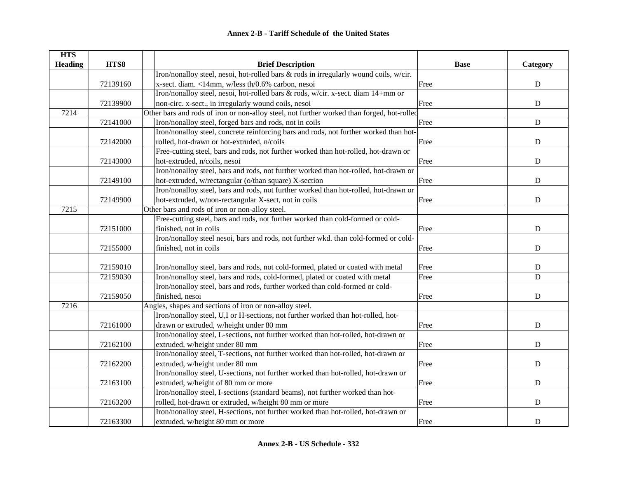| <b>HTS</b>     |          |                                                                                            |             |             |
|----------------|----------|--------------------------------------------------------------------------------------------|-------------|-------------|
| <b>Heading</b> | HTS8     | <b>Brief Description</b>                                                                   | <b>Base</b> | Category    |
|                |          | Iron/nonalloy steel, nesoi, hot-rolled bars & rods in irregularly wound coils, w/cir.      |             |             |
|                | 72139160 | x-sect. diam. <14mm, w/less th/0.6% carbon, nesoi                                          | Free        | $\mathbf D$ |
|                |          | Iron/nonalloy steel, nesoi, hot-rolled bars & rods, w/cir. x-sect. diam 14+mm or           |             |             |
|                | 72139900 | non-circ. x-sect., in irregularly wound coils, nesoi                                       | Free        | $\mathbf D$ |
| 7214           |          | Other bars and rods of iron or non-alloy steel, not further worked than forged, hot-rolled |             |             |
|                | 72141000 | Iron/nonalloy steel, forged bars and rods, not in coils                                    | Free        | ${\bf D}$   |
|                |          | Iron/nonalloy steel, concrete reinforcing bars and rods, not further worked than hot-      |             |             |
|                | 72142000 | rolled, hot-drawn or hot-extruded, n/coils                                                 | Free        | ${\bf D}$   |
|                |          | Free-cutting steel, bars and rods, not further worked than hot-rolled, hot-drawn or        |             |             |
|                | 72143000 | hot-extruded, n/coils, nesoi                                                               | Free        | ${\bf D}$   |
|                |          | Iron/nonalloy steel, bars and rods, not further worked than hot-rolled, hot-drawn or       |             |             |
|                | 72149100 | hot-extruded, w/rectangular (o/than square) X-section                                      | Free        | $\mathbf D$ |
|                |          | Iron/nonalloy steel, bars and rods, not further worked than hot-rolled, hot-drawn or       |             |             |
|                | 72149900 | hot-extruded, w/non-rectangular X-sect, not in coils                                       | Free        | ${\bf D}$   |
| 7215           |          | Other bars and rods of iron or non-alloy steel.                                            |             |             |
|                |          | Free-cutting steel, bars and rods, not further worked than cold-formed or cold-            |             |             |
|                | 72151000 | finished, not in coils                                                                     | Free        | ${\bf D}$   |
|                |          | Iron/nonalloy steel nesoi, bars and rods, not further wkd. than cold-formed or cold-       |             |             |
|                | 72155000 | finished, not in coils                                                                     | Free        | D           |
|                |          |                                                                                            |             |             |
|                | 72159010 | Iron/nonalloy steel, bars and rods, not cold-formed, plated or coated with metal           | Free        | D           |
|                | 72159030 | Iron/nonalloy steel, bars and rods, cold-formed, plated or coated with metal               | Free        | $\mathbf D$ |
|                |          | Iron/nonalloy steel, bars and rods, further worked than cold-formed or cold-               |             |             |
|                | 72159050 | finished, nesoi                                                                            | Free        | $\mathbf D$ |
| 7216           |          | Angles, shapes and sections of iron or non-alloy steel.                                    |             |             |
|                |          | Iron/nonalloy steel, U,I or H-sections, not further worked than hot-rolled, hot-           |             |             |
|                | 72161000 | drawn or extruded, w/height under 80 mm                                                    | Free        | $\mathbf D$ |
|                |          | Iron/nonalloy steel, L-sections, not further worked than hot-rolled, hot-drawn or          |             |             |
|                | 72162100 | extruded, w/height under 80 mm                                                             | Free        | $\mathbf D$ |
|                |          | Iron/nonalloy steel, T-sections, not further worked than hot-rolled, hot-drawn or          |             |             |
|                | 72162200 | extruded, w/height under 80 mm                                                             | Free        | ${\bf D}$   |
|                |          | Iron/nonalloy steel, U-sections, not further worked than hot-rolled, hot-drawn or          |             |             |
|                | 72163100 | extruded, w/height of 80 mm or more                                                        | Free        | ${\bf D}$   |
|                |          | Iron/nonalloy steel, I-sections (standard beams), not further worked than hot-             |             |             |
|                | 72163200 | rolled, hot-drawn or extruded, w/height 80 mm or more                                      | Free        | ${\bf D}$   |
|                |          | Iron/nonalloy steel, H-sections, not further worked than hot-rolled, hot-drawn or          |             |             |
|                | 72163300 | extruded, w/height 80 mm or more                                                           | Free        | $\mathbf D$ |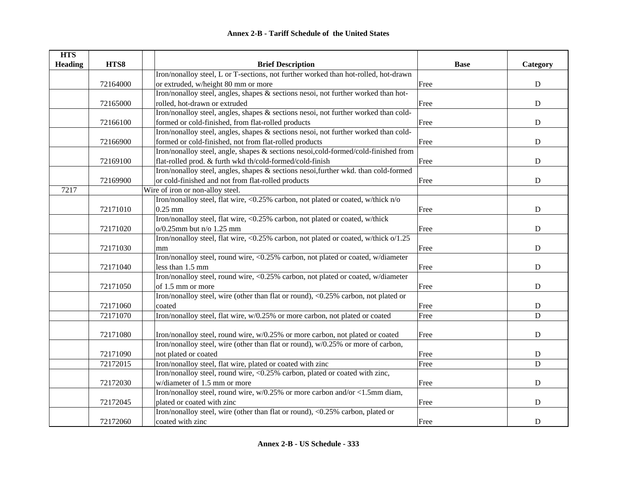| <b>HTS</b>     |          |                                                                                        |             |             |
|----------------|----------|----------------------------------------------------------------------------------------|-------------|-------------|
| <b>Heading</b> | HTS8     | <b>Brief Description</b>                                                               | <b>Base</b> | Category    |
|                |          | Iron/nonalloy steel, L or T-sections, not further worked than hot-rolled, hot-drawn    |             |             |
|                | 72164000 | or extruded, w/height 80 mm or more                                                    | Free        | ${\bf D}$   |
|                |          | Iron/nonalloy steel, angles, shapes & sections nesoi, not further worked than hot-     |             |             |
|                | 72165000 | rolled, hot-drawn or extruded                                                          | Free        | ${\bf D}$   |
|                |          | Iron/nonalloy steel, angles, shapes $\&$ sections nesoi, not further worked than cold- |             |             |
|                | 72166100 | formed or cold-finished, from flat-rolled products                                     | Free        | ${\bf D}$   |
|                |          | Iron/nonalloy steel, angles, shapes & sections nesoi, not further worked than cold-    |             |             |
|                | 72166900 | formed or cold-finished, not from flat-rolled products                                 | Free        | ${\bf D}$   |
|                |          | Iron/nonalloy steel, angle, shapes & sections nesoi,cold-formed/cold-finished from     |             |             |
|                | 72169100 | flat-rolled prod. & furth wkd th/cold-formed/cold-finish                               | Free        | $\mathbf D$ |
|                |          | Iron/nonalloy steel, angles, shapes & sections nesoi, further wkd. than cold-formed    |             |             |
|                | 72169900 | or cold-finished and not from flat-rolled products                                     | Free        | ${\bf D}$   |
| 7217           |          | Wire of iron or non-alloy steel.                                                       |             |             |
|                |          | Iron/nonalloy steel, flat wire, <0.25% carbon, not plated or coated, w/thick n/o       |             |             |
|                | 72171010 | $0.25$ mm                                                                              | Free        | D           |
|                |          | Iron/nonalloy steel, flat wire, <0.25% carbon, not plated or coated, w/thick           |             |             |
|                | 72171020 | $o/0.25$ mm but n/o $1.25$ mm                                                          | Free        | ${\bf D}$   |
|                |          | Iron/nonalloy steel, flat wire, <0.25% carbon, not plated or coated, w/thick o/1.25    |             |             |
|                | 72171030 | mm                                                                                     | Free        | D           |
|                |          | Iron/nonalloy steel, round wire, <0.25% carbon, not plated or coated, w/diameter       |             |             |
|                | 72171040 | less than 1.5 mm                                                                       | Free        | D           |
|                |          | Iron/nonalloy steel, round wire, <0.25% carbon, not plated or coated, w/diameter       |             |             |
|                | 72171050 | of 1.5 mm or more                                                                      | Free        | D           |
|                |          | Iron/nonalloy steel, wire (other than flat or round), <0.25% carbon, not plated or     |             |             |
|                | 72171060 | coated                                                                                 | Free        | $\mathbf D$ |
|                | 72171070 | Iron/nonalloy steel, flat wire, w/0.25% or more carbon, not plated or coated           | Free        | D           |
|                |          |                                                                                        |             |             |
|                | 72171080 | Iron/nonalloy steel, round wire, w/0.25% or more carbon, not plated or coated          | Free        | $\mathbf D$ |
|                |          | Iron/nonalloy steel, wire (other than flat or round), w/0.25% or more of carbon,       |             |             |
|                | 72171090 | not plated or coated                                                                   | Free        | ${\bf D}$   |
|                | 72172015 | Iron/nonalloy steel, flat wire, plated or coated with zinc                             | Free        | D           |
|                |          | Iron/nonalloy steel, round wire, <0.25% carbon, plated or coated with zinc,            |             |             |
|                | 72172030 | w/diameter of 1.5 mm or more                                                           | Free        | ${\bf D}$   |
|                |          | Iron/nonalloy steel, round wire, $w/0.25\%$ or more carbon and/or <1.5mm diam,         |             |             |
|                | 72172045 | plated or coated with zinc                                                             | Free        | ${\bf D}$   |
|                |          | Iron/nonalloy steel, wire (other than flat or round), <0.25% carbon, plated or         |             |             |
|                | 72172060 | coated with zinc                                                                       | Free        | $\mathbf D$ |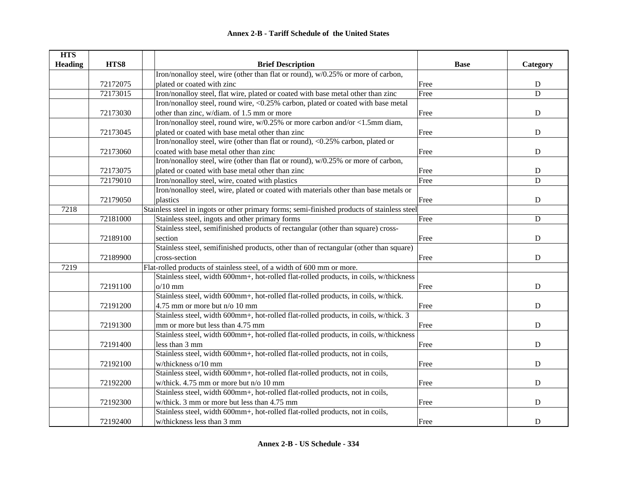| <b>HTS</b>     |          |                                                                                             |             |             |
|----------------|----------|---------------------------------------------------------------------------------------------|-------------|-------------|
| <b>Heading</b> | HTS8     | <b>Brief Description</b>                                                                    | <b>Base</b> | Category    |
|                |          | Iron/nonalloy steel, wire (other than flat or round), w/0.25% or more of carbon,            |             |             |
|                | 72172075 | plated or coated with zinc                                                                  | Free        | ${\bf D}$   |
|                | 72173015 | Iron/nonalloy steel, flat wire, plated or coated with base metal other than zinc            | Free        | D           |
|                |          | Iron/nonalloy steel, round wire, <0.25% carbon, plated or coated with base metal            |             |             |
|                | 72173030 | other than zinc, w/diam. of 1.5 mm or more                                                  | Free        | ${\bf D}$   |
|                |          | Iron/nonalloy steel, round wire, $w/0.25\%$ or more carbon and/or <1.5mm diam,              |             |             |
|                | 72173045 | plated or coated with base metal other than zinc                                            | Free        | ${\bf D}$   |
|                |          | Iron/nonalloy steel, wire (other than flat or round), <0.25% carbon, plated or              |             |             |
|                | 72173060 | coated with base metal other than zinc                                                      | Free        | ${\bf D}$   |
|                |          | Iron/nonalloy steel, wire (other than flat or round), w/0.25% or more of carbon,            |             |             |
|                | 72173075 | plated or coated with base metal other than zinc                                            | Free        | D           |
|                | 72179010 | Iron/nonalloy steel, wire, coated with plastics                                             | Free        | D           |
|                |          | Iron/nonalloy steel, wire, plated or coated with materials other than base metals or        |             |             |
|                | 72179050 | plastics                                                                                    | Free        | ${\bf D}$   |
| 7218           |          | Stainless steel in ingots or other primary forms; semi-finished products of stainless steel |             |             |
|                | 72181000 | Stainless steel, ingots and other primary forms                                             | Free        | $\mathbf D$ |
|                |          | Stainless steel, semifinished products of rectangular (other than square) cross-            |             |             |
|                | 72189100 | section                                                                                     | Free        | D           |
|                |          | Stainless steel, semifinished products, other than of rectangular (other than square)       |             |             |
|                | 72189900 | cross-section                                                                               | Free        | $\mathbf D$ |
| 7219           |          | Flat-rolled products of stainless steel, of a width of 600 mm or more.                      |             |             |
|                |          | Stainless steel, width 600mm+, hot-rolled flat-rolled products, in coils, w/thickness       |             |             |
|                | 72191100 | $o/10$ mm                                                                                   | Free        | D           |
|                |          | Stainless steel, width 600mm+, hot-rolled flat-rolled products, in coils, w/thick.          |             |             |
|                | 72191200 | 4.75 mm or more but n/o 10 mm                                                               | Free        | $\mathbf D$ |
|                |          | Stainless steel, width 600mm+, hot-rolled flat-rolled products, in coils, w/thick. 3        |             |             |
|                | 72191300 | mm or more but less than 4.75 mm                                                            | Free        | $\mathbf D$ |
|                |          | Stainless steel, width 600mm+, hot-rolled flat-rolled products, in coils, w/thickness       |             |             |
|                | 72191400 | less than 3 mm                                                                              | Free        | ${\bf D}$   |
|                |          | Stainless steel, width 600mm+, hot-rolled flat-rolled products, not in coils,               |             |             |
|                | 72192100 | w/thickness o/10 mm                                                                         | Free        | ${\bf D}$   |
|                |          | Stainless steel, width 600mm+, hot-rolled flat-rolled products, not in coils,               |             |             |
|                | 72192200 | w/thick. 4.75 mm or more but n/o 10 mm                                                      | Free        | ${\bf D}$   |
|                |          | Stainless steel, width 600mm+, hot-rolled flat-rolled products, not in coils,               |             |             |
|                | 72192300 | w/thick. 3 mm or more but less than 4.75 mm                                                 | Free        | ${\bf D}$   |
|                |          | Stainless steel, width 600mm+, hot-rolled flat-rolled products, not in coils,               |             |             |
|                | 72192400 | w/thickness less than 3 mm                                                                  | Free        | ${\bf D}$   |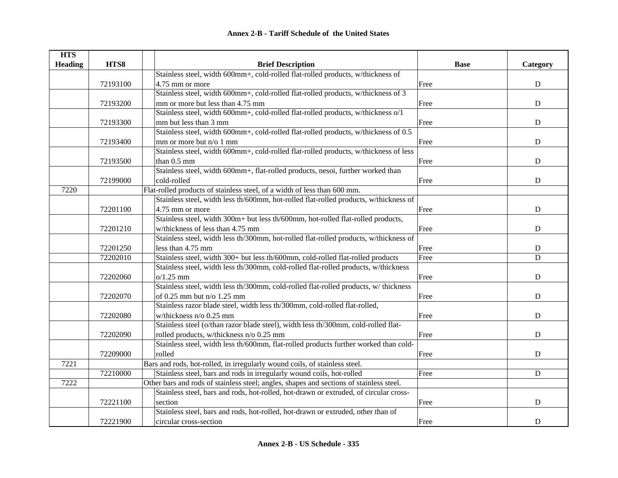| <b>HTS</b>     |          |                                                                                         |             |             |
|----------------|----------|-----------------------------------------------------------------------------------------|-------------|-------------|
| <b>Heading</b> | HTS8     | <b>Brief Description</b>                                                                | <b>Base</b> | Category    |
|                |          | Stainless steel, width 600mm+, cold-rolled flat-rolled products, w/thickness of         |             |             |
|                | 72193100 | 4.75 mm or more                                                                         | Free        | ${\bf D}$   |
|                |          | Stainless steel, width 600mm+, cold-rolled flat-rolled products, w/thickness of 3       |             |             |
|                | 72193200 | mm or more but less than 4.75 mm                                                        | Free        | ${\bf D}$   |
|                |          | Stainless steel, width 600mm+, cold-rolled flat-rolled products, w/thickness o/1        |             |             |
|                | 72193300 | mm but less than 3 mm                                                                   | Free        | ${\bf D}$   |
|                |          | Stainless steel, width 600mm+, cold-rolled flat-rolled products, w/thickness of 0.5     |             |             |
|                | 72193400 | mm or more but n/o 1 mm                                                                 | Free        | ${\bf D}$   |
|                |          | Stainless steel, width 600mm+, cold-rolled flat-rolled products, w/thickness of less    |             |             |
|                | 72193500 | than $0.5$ mm                                                                           | Free        | ${\bf D}$   |
|                |          | Stainless steel, width 600mm+, flat-rolled products, nesoi, further worked than         |             |             |
|                | 72199000 | cold-rolled                                                                             | Free        | ${\bf D}$   |
| 7220           |          | Flat-rolled products of stainless steel, of a width of less than 600 mm.                |             |             |
|                |          | Stainless steel, width less th/600mm, hot-rolled flat-rolled products, w/thickness of   |             |             |
|                | 72201100 | 4.75 mm or more                                                                         | Free        | $\mathbf D$ |
|                |          | Stainless steel, width 300m+ but less th/600mm, hot-rolled flat-rolled products,        |             |             |
|                | 72201210 | w/thickness of less than 4.75 mm                                                        | Free        | $\mathbf D$ |
|                |          | Stainless steel, width less th/300mm, hot-rolled flat-rolled products, w/thickness of   |             |             |
|                | 72201250 | less than 4.75 mm                                                                       | Free        | D           |
|                | 72202010 | Stainless steel, width 300+ but less th/600mm, cold-rolled flat-rolled products         | Free        | D           |
|                |          | Stainless steel, width less th/300mm, cold-rolled flat-rolled products, w/thickness     |             |             |
|                | 72202060 | $o/1.25$ mm                                                                             | Free        | ${\bf D}$   |
|                |          | Stainless steel, width less th/300mm, cold-rolled flat-rolled products, w/ thickness    |             |             |
|                | 72202070 | of 0.25 mm but n/o 1.25 mm                                                              | Free        | $\mathbf D$ |
|                |          | Stainless razor blade steel, width less th/300mm, cold-rolled flat-rolled,              |             |             |
|                | 72202080 | w/thickness n/o 0.25 mm                                                                 | Free        | $\mathbf D$ |
|                |          | Stainless steel (o/than razor blade steel), width less th/300mm, cold-rolled flat-      |             |             |
|                | 72202090 | rolled products, w/thickness n/o 0.25 mm                                                | Free        | $\mathbf D$ |
|                |          | Stainless steel, width less th/600mm, flat-rolled products further worked than cold-    |             |             |
|                | 72209000 | rolled                                                                                  | Free        | ${\bf D}$   |
| 7221           |          | Bars and rods, hot-rolled, in irregularly wound coils, of stainless steel.              |             |             |
|                | 72210000 | Stainless steel, bars and rods in irregularly wound coils, hot-rolled                   | Free        | $\mathbf D$ |
| 7222           |          | Other bars and rods of stainless steel; angles, shapes and sections of stainless steel. |             |             |
|                |          | Stainless steel, bars and rods, hot-rolled, hot-drawn or extruded, of circular cross-   |             |             |
|                | 72221100 | section                                                                                 | Free        | ${\bf D}$   |
|                |          | Stainless steel, bars and rods, hot-rolled, hot-drawn or extruded, other than of        |             |             |
|                | 72221900 | circular cross-section                                                                  | Free        | $\mathbf D$ |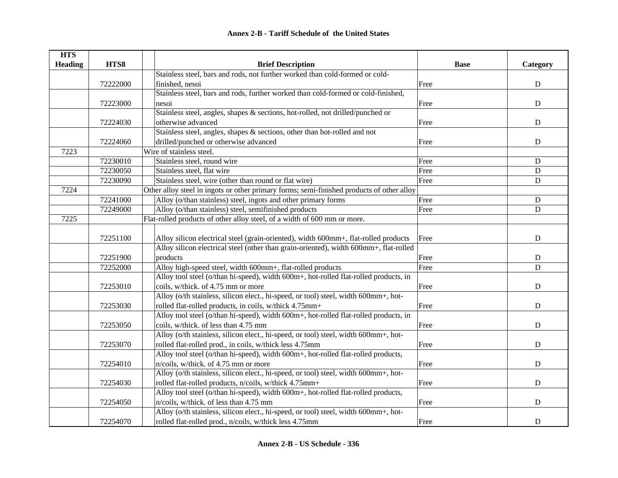| <b>HTS</b><br><b>Heading</b> | HTS8     | <b>Brief Description</b>                                                                  | <b>Base</b> | Category    |
|------------------------------|----------|-------------------------------------------------------------------------------------------|-------------|-------------|
|                              |          | Stainless steel, bars and rods, not further worked than cold-formed or cold-              |             |             |
|                              | 72222000 | finished, nesoi                                                                           | Free        | ${\bf D}$   |
|                              |          | Stainless steel, bars and rods, further worked than cold-formed or cold-finished,         |             |             |
|                              | 72223000 | nesoi                                                                                     | Free        | ${\bf D}$   |
|                              |          | Stainless steel, angles, shapes & sections, hot-rolled, not drilled/punched or            |             |             |
|                              | 72224030 | otherwise advanced                                                                        | Free        | ${\bf D}$   |
|                              |          | Stainless steel, angles, shapes & sections, other than hot-rolled and not                 |             |             |
|                              | 72224060 | drilled/punched or otherwise advanced                                                     | Free        | ${\bf D}$   |
| 7223                         |          | Wire of stainless steel.                                                                  |             |             |
|                              | 72230010 | Stainless steel, round wire                                                               | Free        | $\mathbf D$ |
|                              | 72230050 | Stainless steel, flat wire                                                                | Free        | ${\bf D}$   |
|                              | 72230090 | Stainless steel, wire (other than round or flat wire)                                     | Free        | $\mathbf D$ |
| 7224                         |          | Other alloy steel in ingots or other primary forms; semi-finished products of other alloy |             |             |
|                              | 72241000 | Alloy (o/than stainless) steel, ingots and other primary forms                            | Free        | $\mathbf D$ |
|                              | 72249000 | Alloy (o/than stainless) steel, semifinished products                                     | Free        | $\mathbf D$ |
| 7225                         |          | Flat-rolled products of other alloy steel, of a width of 600 mm or more.                  |             |             |
|                              |          |                                                                                           |             |             |
|                              | 72251100 | Alloy silicon electrical steel (grain-oriented), width 600mm+, flat-rolled products       | Free        | ${\bf D}$   |
|                              |          | Alloy silicon electrical steel (other than grain-oriented), width 600mm+, flat-rolled     |             |             |
|                              | 72251900 | products                                                                                  | Free        | D           |
|                              | 72252000 | Alloy high-speed steel, width 600mm+, flat-rolled products                                | Free        | D           |
|                              |          | Alloy tool steel (o/than hi-speed), width 600m+, hot-rolled flat-rolled products, in      |             |             |
|                              | 72253010 | coils, w/thick. of 4.75 mm or more                                                        | Free        | $\mathbf D$ |
|                              |          | Alloy (o/th stainless, silicon elect., hi-speed, or tool) steel, width 600mm+, hot-       |             |             |
|                              | 72253030 | rolled flat-rolled products, in coils, w/thick 4.75mm+                                    | Free        | $\mathbf D$ |
|                              |          | Alloy tool steel (o/than hi-speed), width 600m+, hot-rolled flat-rolled products, in      |             |             |
|                              | 72253050 | coils, w/thick. of less than 4.75 mm                                                      | Free        | $\mathbf D$ |
|                              |          | Alloy (o/th stainless, silicon elect., hi-speed, or tool) steel, width 600mm+, hot-       |             |             |
|                              | 72253070 | rolled flat-rolled prod., in coils, w/thick less 4.75mm                                   | Free        | $\mathbf D$ |
|                              |          | Alloy tool steel (o/than hi-speed), width 600m+, hot-rolled flat-rolled products,         |             |             |
|                              | 72254010 | n/coils, w/thick. of 4.75 mm or more                                                      | Free        | ${\bf D}$   |
|                              |          | Alloy (o/th stainless, silicon elect., hi-speed, or tool) steel, width 600mm+, hot-       |             |             |
|                              | 72254030 | rolled flat-rolled products, n/coils, w/thick 4.75mm+                                     | Free        | ${\bf D}$   |
|                              |          | Alloy tool steel (o/than hi-speed), width 600m+, hot-rolled flat-rolled products,         |             |             |
|                              | 72254050 | n/coils, w/thick. of less than 4.75 mm                                                    | Free        | ${\bf D}$   |
|                              |          | Alloy (o/th stainless, silicon elect., hi-speed, or tool) steel, width 600mm+, hot-       |             |             |
|                              | 72254070 | rolled flat-rolled prod., n/coils, w/thick less 4.75mm                                    | Free        | ${\bf D}$   |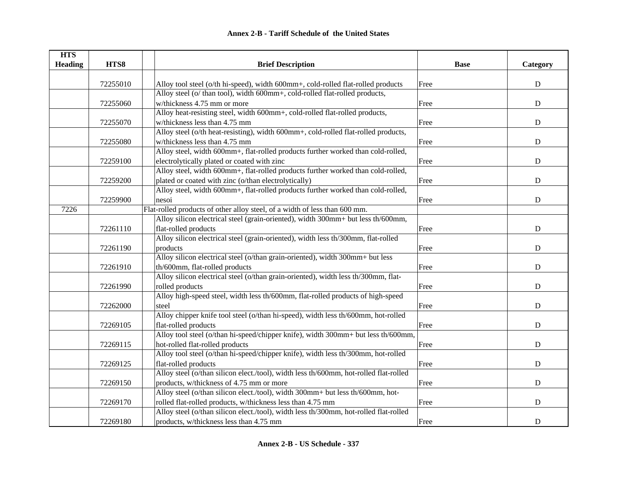| <b>HTS</b>     |          |                                                                                       |             |             |
|----------------|----------|---------------------------------------------------------------------------------------|-------------|-------------|
| <b>Heading</b> | HTS8     | <b>Brief Description</b>                                                              | <b>Base</b> | Category    |
|                |          |                                                                                       |             |             |
|                | 72255010 | Alloy tool steel (o/th hi-speed), width 600mm+, cold-rolled flat-rolled products      | Free        | $\mathbf D$ |
|                |          | Alloy steel (o/ than tool), width 600mm+, cold-rolled flat-rolled products,           |             |             |
|                | 72255060 | w/thickness 4.75 mm or more                                                           | Free        | ${\bf D}$   |
|                |          | Alloy heat-resisting steel, width 600mm+, cold-rolled flat-rolled products,           |             |             |
|                | 72255070 | w/thickness less than 4.75 mm                                                         | Free        | ${\bf D}$   |
|                |          | Alloy steel (o/th heat-resisting), width 600mm+, cold-rolled flat-rolled products,    |             |             |
|                | 72255080 | w/thickness less than 4.75 mm                                                         | Free        | ${\bf D}$   |
|                |          | Alloy steel, width 600mm+, flat-rolled products further worked than cold-rolled,      |             |             |
|                | 72259100 | electrolytically plated or coated with zinc                                           | Free        | ${\bf D}$   |
|                |          | Alloy steel, width 600mm+, flat-rolled products further worked than cold-rolled,      |             |             |
|                | 72259200 | plated or coated with zinc (o/than electrolytically)                                  | Free        | ${\bf D}$   |
|                |          | Alloy steel, width 600mm+, flat-rolled products further worked than cold-rolled,      |             |             |
|                | 72259900 | nesoi                                                                                 | Free        | ${\bf D}$   |
| 7226           |          | Flat-rolled products of other alloy steel, of a width of less than 600 mm.            |             |             |
|                |          | Alloy silicon electrical steel (grain-oriented), width 300mm+ but less th/600mm,      |             |             |
|                | 72261110 | flat-rolled products                                                                  | Free        | ${\bf D}$   |
|                |          | Alloy silicon electrical steel (grain-oriented), width less th/300mm, flat-rolled     |             |             |
|                | 72261190 | products                                                                              | Free        | D           |
|                |          | Alloy silicon electrical steel (o/than grain-oriented), width 300mm+ but less         |             |             |
|                | 72261910 | th/600mm, flat-rolled products                                                        | Free        | ${\bf D}$   |
|                |          | Alloy silicon electrical steel (o/than grain-oriented), width less th/300mm, flat-    |             |             |
|                | 72261990 | rolled products                                                                       | Free        | $\mathbf D$ |
|                |          | Alloy high-speed steel, width less th/600mm, flat-rolled products of high-speed       |             |             |
|                | 72262000 | steel                                                                                 | Free        | $\mathbf D$ |
|                |          | Alloy chipper knife tool steel (o/than hi-speed), width less th/600mm, hot-rolled     |             |             |
|                | 72269105 | flat-rolled products                                                                  | Free        | $\mathbf D$ |
|                |          | Alloy tool steel (o/than hi-speed/chipper knife), width 300mm+ but less th/600mm,     |             |             |
|                | 72269115 | hot-rolled flat-rolled products                                                       | Free        | ${\bf D}$   |
|                |          | Alloy tool steel (o/than hi-speed/chipper knife), width less th/300mm, hot-rolled     |             |             |
|                | 72269125 | flat-rolled products                                                                  | Free        | ${\bf D}$   |
|                |          | Alloy steel (o/than silicon elect./tool), width less th/600mm, hot-rolled flat-rolled |             |             |
|                | 72269150 | products, w/thickness of 4.75 mm or more                                              | Free        | ${\bf D}$   |
|                |          | Alloy steel (o/than silicon elect./tool), width 300mm+ but less th/600mm, hot-        |             |             |
|                | 72269170 | rolled flat-rolled products, w/thickness less than 4.75 mm                            | Free        | ${\bf D}$   |
|                |          | Alloy steel (o/than silicon elect./tool), width less th/300mm, hot-rolled flat-rolled |             |             |
|                | 72269180 | products, w/thickness less than 4.75 mm                                               | Free        | ${\bf D}$   |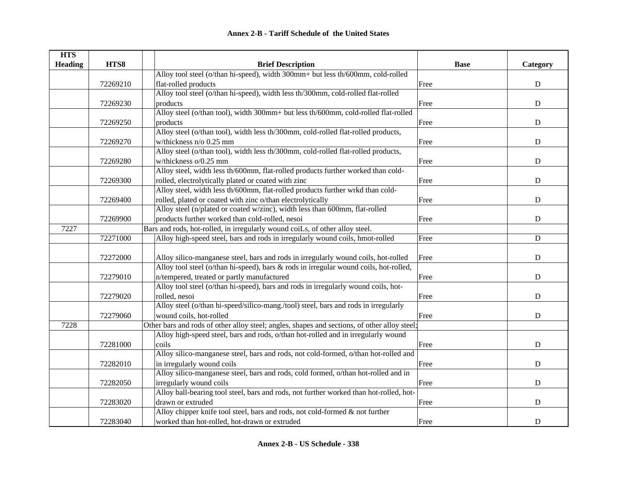| <b>HTS</b>     |          |                                                                                              |             |             |
|----------------|----------|----------------------------------------------------------------------------------------------|-------------|-------------|
| <b>Heading</b> | HTS8     | <b>Brief Description</b>                                                                     | <b>Base</b> | Category    |
|                |          | Alloy tool steel (o/than hi-speed), width 300mm+ but less th/600mm, cold-rolled              |             |             |
|                | 72269210 | flat-rolled products                                                                         | Free        | $\mathbf D$ |
|                |          | Alloy tool steel (o/than hi-speed), width less th/300mm, cold-rolled flat-rolled             |             |             |
|                | 72269230 | products                                                                                     | Free        | ${\bf D}$   |
|                |          | Alloy steel (o/than tool), width 300mm+ but less th/600mm, cold-rolled flat-rolled           |             |             |
|                | 72269250 | products                                                                                     | Free        | ${\bf D}$   |
|                |          | Alloy steel (o/than tool), width less th/300mm, cold-rolled flat-rolled products,            |             |             |
|                | 72269270 | w/thickness n/o 0.25 mm                                                                      | Free        | ${\bf D}$   |
|                |          | Alloy steel (o/than tool), width less th/300mm, cold-rolled flat-rolled products,            |             |             |
|                | 72269280 | w/thickness o/0.25 mm                                                                        | Free        | $\mathbf D$ |
|                |          | Alloy steel, width less th/600mm, flat-rolled products further worked than cold-             |             |             |
|                | 72269300 | rolled, electrolytically plated or coated with zinc                                          | Free        | $\mathbf D$ |
|                |          | Alloy steel, width less th/600mm, flat-rolled products further wrkd than cold-               |             |             |
|                | 72269400 | rolled, plated or coated with zinc o/than electrolytically                                   | Free        | $\mathbf D$ |
|                |          | Alloy steel (n/plated or coated w/zinc), width less than 600mm, flat-rolled                  |             |             |
|                | 72269900 | products further worked than cold-rolled, nesoi                                              | Free        | ${\bf D}$   |
| 7227           |          | Bars and rods, hot-rolled, in irregularly wound coiLs, of other alloy steel.                 |             |             |
|                | 72271000 | Alloy high-speed steel, bars and rods in irregularly wound coils, hmot-rolled                | Free        | $\mathbf D$ |
|                |          |                                                                                              |             |             |
|                | 72272000 | Alloy silico-manganese steel, bars and rods in irregularly wound coils, hot-rolled           | Free        | ${\bf D}$   |
|                |          | Alloy tool steel (o/than hi-speed), bars & rods in irregular wound coils, hot-rolled,        |             |             |
|                | 72279010 | n/tempered, treated or partly manufactured                                                   | Free        | $\mathbf D$ |
|                |          | Alloy tool steel (o/than hi-speed), bars and rods in irregularly wound coils, hot-           |             |             |
|                | 72279020 | rolled, nesoi                                                                                | Free        | $\mathbf D$ |
|                |          | Alloy steel (o/than hi-speed/silico-mang./tool) steel, bars and rods in irregularly          |             |             |
|                | 72279060 | wound coils, hot-rolled                                                                      | Free        | $\mathbf D$ |
| 7228           |          | Other bars and rods of other alloy steel; angles, shapes and sections, of other alloy steel; |             |             |
|                |          | Alloy high-speed steel, bars and rods, o/than hot-rolled and in irregularly wound            |             |             |
|                | 72281000 | coils                                                                                        | Free        | ${\bf D}$   |
|                |          | Alloy silico-manganese steel, bars and rods, not cold-formed, o/than hot-rolled and          |             |             |
|                | 72282010 | in irregularly wound coils                                                                   | Free        | ${\bf D}$   |
|                |          | Alloy silico-manganese steel, bars and rods, cold formed, o/than hot-rolled and in           |             |             |
|                | 72282050 | irregularly wound coils                                                                      | Free        | ${\bf D}$   |
|                |          | Alloy ball-bearing tool steel, bars and rods, not further worked than hot-rolled, hot-       |             |             |
|                | 72283020 | drawn or extruded                                                                            | Free        | ${\bf D}$   |
|                |          | Alloy chipper knife tool steel, bars and rods, not cold-formed & not further                 |             |             |
|                | 72283040 | worked than hot-rolled, hot-drawn or extruded                                                | Free        | $\mathbf D$ |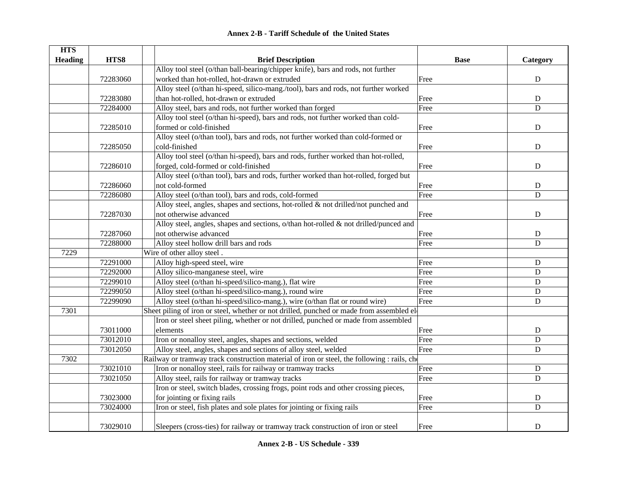|  | <b>Annex 2-B - Tariff Schedule of the United States</b> |  |
|--|---------------------------------------------------------|--|
|--|---------------------------------------------------------|--|

| <b>HTS</b>     |          |                                                                                             |             |             |
|----------------|----------|---------------------------------------------------------------------------------------------|-------------|-------------|
| <b>Heading</b> | HTS8     | <b>Brief Description</b>                                                                    | <b>Base</b> | Category    |
|                |          | Alloy tool steel (o/than ball-bearing/chipper knife), bars and rods, not further            |             |             |
|                | 72283060 | worked than hot-rolled, hot-drawn or extruded                                               | Free        | ${\bf D}$   |
|                |          | Alloy steel (o/than hi-speed, silico-mang./tool), bars and rods, not further worked         |             |             |
|                | 72283080 | than hot-rolled, hot-drawn or extruded                                                      | Free        | ${\bf D}$   |
|                | 72284000 | Alloy steel, bars and rods, not further worked than forged                                  | Free        | $\mathbf D$ |
|                |          | Alloy tool steel (o/than hi-speed), bars and rods, not further worked than cold-            |             |             |
|                | 72285010 | formed or cold-finished                                                                     | Free        | ${\bf D}$   |
|                |          | Alloy steel (o/than tool), bars and rods, not further worked than cold-formed or            |             |             |
|                | 72285050 | cold-finished                                                                               | Free        | D           |
|                |          | Alloy tool steel (o/than hi-speed), bars and rods, further worked than hot-rolled,          |             |             |
|                | 72286010 | forged, cold-formed or cold-finished                                                        | Free        | $\mathbf D$ |
|                |          | Alloy steel (o/than tool), bars and rods, further worked than hot-rolled, forged but        |             |             |
|                | 72286060 | not cold-formed                                                                             | Free        | ${\bf D}$   |
|                | 72286080 | Alloy steel (o/than tool), bars and rods, cold-formed                                       | Free        | D           |
|                |          | Alloy steel, angles, shapes and sections, hot-rolled $\&$ not drilled/not punched and       |             |             |
|                | 72287030 | not otherwise advanced                                                                      | Free        | $\mathbf D$ |
|                |          | Alloy steel, angles, shapes and sections, $o$ /than hot-rolled & not drilled/punced and     |             |             |
|                | 72287060 | not otherwise advanced                                                                      | Free        | ${\bf D}$   |
|                | 72288000 | Alloy steel hollow drill bars and rods                                                      | Free        | $\mathbf D$ |
| 7229           |          | Wire of other alloy steel.                                                                  |             |             |
|                | 72291000 | Alloy high-speed steel, wire                                                                | Free        | $\mathbf D$ |
|                | 72292000 | Alloy silico-manganese steel, wire                                                          | Free        | $\mathbf D$ |
|                | 72299010 | Alloy steel (o/than hi-speed/silico-mang.), flat wire                                       | Free        | $\mathbf D$ |
|                | 72299050 | Alloy steel (o/than hi-speed/silico-mang.), round wire                                      | Free        | $\mathbf D$ |
|                | 72299090 | Alloy steel (o/than hi-speed/silico-mang.), wire (o/than flat or round wire)                | Free        | $\mathbf D$ |
| 7301           |          | Sheet piling of iron or steel, whether or not drilled, punched or made from assembled el    |             |             |
|                |          | Iron or steel sheet piling, whether or not drilled, punched or made from assembled          |             |             |
|                | 73011000 | elements                                                                                    | Free        | D           |
|                | 73012010 | Iron or nonalloy steel, angles, shapes and sections, welded                                 | Free        | ${\bf D}$   |
|                | 73012050 | Alloy steel, angles, shapes and sections of alloy steel, welded                             | Free        | D           |
| 7302           |          | Railway or tramway track construction material of iron or steel, the following : rails, che |             |             |
|                | 73021010 | Iron or nonalloy steel, rails for railway or tramway tracks                                 | Free        | $\mathbf D$ |
|                | 73021050 | Alloy steel, rails for railway or tramway tracks                                            | Free        | D           |
|                |          | Iron or steel, switch blades, crossing frogs, point rods and other crossing pieces,         |             |             |
|                | 73023000 | for jointing or fixing rails                                                                | Free        | ${\bf D}$   |
|                | 73024000 | Iron or steel, fish plates and sole plates for jointing or fixing rails                     | Free        | D           |
|                | 73029010 | Sleepers (cross-ties) for railway or tramway track construction of iron or steel            | Free        | $\mathbf D$ |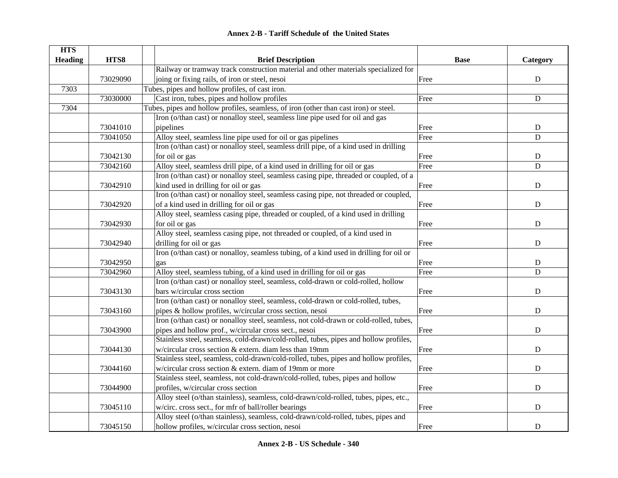| <b>Annex 2-B - Tariff Schedule of the United States</b> |  |
|---------------------------------------------------------|--|
|---------------------------------------------------------|--|

| <b>HTS</b><br><b>Heading</b> | HTS8     | <b>Brief Description</b>                                                               | <b>Base</b> | Category       |
|------------------------------|----------|----------------------------------------------------------------------------------------|-------------|----------------|
|                              |          | Railway or tramway track construction material and other materials specialized for     |             |                |
|                              | 73029090 | joing or fixing rails, of iron or steel, nesoi                                         | Free        | ${\bf D}$      |
| 7303                         |          |                                                                                        |             |                |
|                              |          | Tubes, pipes and hollow profiles, of cast iron.                                        |             |                |
|                              | 73030000 | Cast iron, tubes, pipes and hollow profiles                                            | Free        | ${\bf D}$      |
| 7304                         |          | Tubes, pipes and hollow profiles, seamless, of iron (other than cast iron) or steel.   |             |                |
|                              |          | Iron (o/than cast) or nonalloy steel, seamless line pipe used for oil and gas          |             |                |
|                              | 73041010 | pipelines                                                                              | Free        | ${\bf D}$      |
|                              | 73041050 | Alloy steel, seamless line pipe used for oil or gas pipelines                          | Free        | $\overline{D}$ |
|                              |          | Iron (o/than cast) or nonalloy steel, seamless drill pipe, of a kind used in drilling  |             |                |
|                              | 73042130 | for oil or gas                                                                         | Free        | ${\bf D}$      |
|                              | 73042160 | Alloy steel, seamless drill pipe, of a kind used in drilling for oil or gas            | Free        | D              |
|                              |          | Iron (o/than cast) or nonalloy steel, seamless casing pipe, threaded or coupled, of a  |             |                |
|                              | 73042910 | kind used in drilling for oil or gas                                                   | Free        | ${\bf D}$      |
|                              |          | Iron (o/than cast) or nonalloy steel, seamless casing pipe, not threaded or coupled,   |             |                |
|                              | 73042920 | of a kind used in drilling for oil or gas                                              | Free        | ${\bf D}$      |
|                              |          | Alloy steel, seamless casing pipe, threaded or coupled, of a kind used in drilling     |             |                |
|                              | 73042930 | for oil or gas                                                                         | Free        | ${\bf D}$      |
|                              |          | Alloy steel, seamless casing pipe, not threaded or coupled, of a kind used in          |             |                |
|                              | 73042940 | drilling for oil or gas                                                                | Free        | ${\bf D}$      |
|                              |          | Iron (o/than cast) or nonalloy, seamless tubing, of a kind used in drilling for oil or |             |                |
|                              | 73042950 | gas                                                                                    | Free        | ${\bf D}$      |
|                              | 73042960 | Alloy steel, seamless tubing, of a kind used in drilling for oil or gas                | Free        | $\mathbf D$    |
|                              |          | Iron (o/than cast) or nonalloy steel, seamless, cold-drawn or cold-rolled, hollow      |             |                |
|                              | 73043130 | bars w/circular cross section                                                          | Free        | ${\bf D}$      |
|                              |          | Iron (o/than cast) or nonalloy steel, seamless, cold-drawn or cold-rolled, tubes,      |             |                |
|                              | 73043160 | pipes & hollow profiles, w/circular cross section, nesoi                               | Free        | $\mathbf D$    |
|                              |          | Iron (o/than cast) or nonalloy steel, seamless, not cold-drawn or cold-rolled, tubes,  |             |                |
|                              | 73043900 | pipes and hollow prof., w/circular cross sect., nesoi                                  | Free        | ${\bf D}$      |
|                              |          | Stainless steel, seamless, cold-drawn/cold-rolled, tubes, pipes and hollow profiles,   |             |                |
|                              | 73044130 | w/circular cross section & extern. diam less than 19mm                                 | Free        | $\mathbf D$    |
|                              |          | Stainless steel, seamless, cold-drawn/cold-rolled, tubes, pipes and hollow profiles,   |             |                |
|                              | 73044160 | w/circular cross section & extern. diam of 19mm or more                                | Free        | $\mathbf D$    |
|                              |          | Stainless steel, seamless, not cold-drawn/cold-rolled, tubes, pipes and hollow         |             |                |
|                              | 73044900 | profiles, w/circular cross section                                                     | Free        | ${\bf D}$      |
|                              |          | Alloy steel (o/than stainless), seamless, cold-drawn/cold-rolled, tubes, pipes, etc.,  |             |                |
|                              | 73045110 | w/circ. cross sect., for mfr of ball/roller bearings                                   | Free        | ${\bf D}$      |
|                              |          | Alloy steel (o/than stainless), seamless, cold-drawn/cold-rolled, tubes, pipes and     |             |                |
|                              | 73045150 | hollow profiles, w/circular cross section, nesoi                                       | Free        | ${\bf D}$      |
|                              |          |                                                                                        |             |                |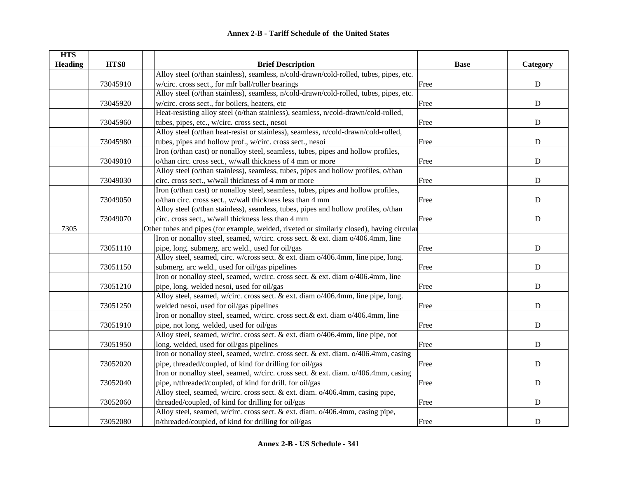| <b>HTS</b>     |          |                                                                                           |             |             |
|----------------|----------|-------------------------------------------------------------------------------------------|-------------|-------------|
| <b>Heading</b> | HTS8     | <b>Brief Description</b>                                                                  | <b>Base</b> | Category    |
|                |          | Alloy steel (o/than stainless), seamless, n/cold-drawn/cold-rolled, tubes, pipes, etc.    |             |             |
|                | 73045910 | w/circ. cross sect., for mfr ball/roller bearings                                         | Free        | ${\bf D}$   |
|                |          | Alloy steel (o/than stainless), seamless, n/cold-drawn/cold-rolled, tubes, pipes, etc.    |             |             |
|                | 73045920 | w/circ. cross sect., for boilers, heaters, etc                                            | Free        | ${\bf D}$   |
|                |          | Heat-resisting alloy steel (o/than stainless), seamless, n/cold-drawn/cold-rolled,        |             |             |
|                | 73045960 | tubes, pipes, etc., w/circ. cross sect., nesoi                                            | Free        | ${\bf D}$   |
|                |          | Alloy steel (o/than heat-resist or stainless), seamless, n/cold-drawn/cold-rolled,        |             |             |
|                | 73045980 | tubes, pipes and hollow prof., w/circ. cross sect., nesoi                                 | Free        | ${\bf D}$   |
|                |          | Iron (o/than cast) or nonalloy steel, seamless, tubes, pipes and hollow profiles,         |             |             |
|                | 73049010 | o/than circ. cross sect., w/wall thickness of 4 mm or more                                | Free        | ${\bf D}$   |
|                |          | Alloy steel (o/than stainless), seamless, tubes, pipes and hollow profiles, o/than        |             |             |
|                | 73049030 | circ. cross sect., w/wall thickness of 4 mm or more                                       | Free        | ${\bf D}$   |
|                |          | Iron (o/than cast) or nonalloy steel, seamless, tubes, pipes and hollow profiles,         |             |             |
|                | 73049050 | o/than circ. cross sect., w/wall thickness less than 4 mm                                 | Free        | ${\bf D}$   |
|                |          | Alloy steel (o/than stainless), seamless, tubes, pipes and hollow profiles, o/than        |             |             |
|                | 73049070 | circ. cross sect., w/wall thickness less than 4 mm                                        | Free        | $\mathbf D$ |
| 7305           |          | Other tubes and pipes (for example, welded, riveted or similarly closed), having circular |             |             |
|                |          | Iron or nonalloy steel, seamed, w/circ. cross sect. & ext. diam o/406.4mm, line           |             |             |
|                | 73051110 | pipe, long. submerg. arc weld., used for oil/gas                                          | Free        | ${\bf D}$   |
|                |          | Alloy steel, seamed, circ. w/cross sect. & ext. diam o/406.4mm, line pipe, long.          |             |             |
|                | 73051150 | submerg. arc weld., used for oil/gas pipelines                                            | Free        | ${\bf D}$   |
|                |          | Iron or nonalloy steel, seamed, w/circ. cross sect. & ext. diam o/406.4mm, line           |             |             |
|                | 73051210 | pipe, long. welded nesoi, used for oil/gas                                                | Free        | ${\bf D}$   |
|                |          | Alloy steel, seamed, w/circ. cross sect. & ext. diam o/406.4mm, line pipe, long.          |             |             |
|                | 73051250 | welded nesoi, used for oil/gas pipelines                                                  | Free        | $\mathbf D$ |
|                |          | Iron or nonalloy steel, seamed, w/circ. cross sect.& ext. diam o/406.4mm, line            |             |             |
|                | 73051910 | pipe, not long. welded, used for oil/gas                                                  | Free        | $\mathbf D$ |
|                |          | Alloy steel, seamed, w/circ. cross sect. & ext. diam o/406.4mm, line pipe, not            |             |             |
|                | 73051950 | long. welded, used for oil/gas pipelines                                                  | Free        | ${\bf D}$   |
|                |          | Iron or nonalloy steel, seamed, w/circ. cross sect. & ext. diam. o/406.4mm, casing        |             |             |
|                | 73052020 | pipe, threaded/coupled, of kind for drilling for oil/gas                                  | Free        | ${\bf D}$   |
|                |          | Iron or nonalloy steel, seamed, w/circ. cross sect. & ext. diam. o/406.4mm, casing        |             |             |
|                | 73052040 | pipe, n/threaded/coupled, of kind for drill. for oil/gas                                  | Free        | ${\bf D}$   |
|                |          | Alloy steel, seamed, w/circ. cross sect. & ext. diam. o/406.4mm, casing pipe,             |             |             |
|                | 73052060 | threaded/coupled, of kind for drilling for oil/gas                                        | Free        | ${\bf D}$   |
|                |          | Alloy steel, seamed, w/circ. cross sect. & ext. diam. o/406.4mm, casing pipe,             |             |             |
|                | 73052080 | n/threaded/coupled, of kind for drilling for oil/gas                                      | Free        | ${\bf D}$   |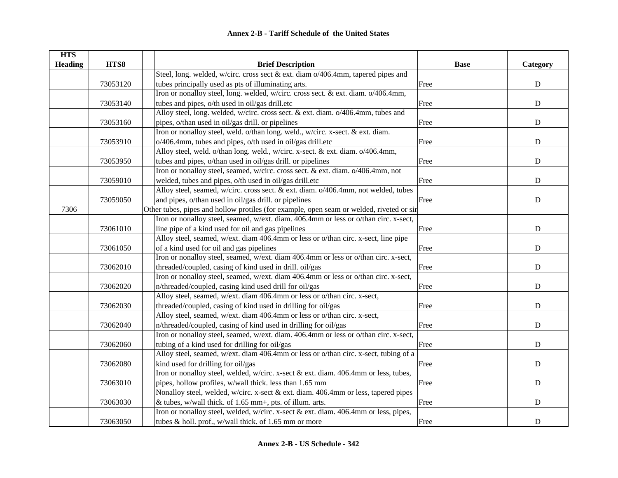| <b>HTS</b>     |          |                                                                                          |             |             |
|----------------|----------|------------------------------------------------------------------------------------------|-------------|-------------|
| <b>Heading</b> | HTS8     | <b>Brief Description</b>                                                                 | <b>Base</b> | Category    |
|                |          | Steel, long. welded, w/circ. cross sect & ext. diam $o/406.4$ mm, tapered pipes and      |             |             |
|                | 73053120 | tubes principally used as pts of illuminating arts.                                      | Free        | ${\bf D}$   |
|                |          | Iron or nonalloy steel, long. welded, w/circ. cross sect. & ext. diam. 0/406.4mm,        |             |             |
|                | 73053140 | tubes and pipes, o/th used in oil/gas drill.etc                                          | Free        | ${\bf D}$   |
|                |          | Alloy steel, long. welded, w/circ. cross sect. & ext. diam. o/406.4mm, tubes and         |             |             |
|                | 73053160 | pipes, o/than used in oil/gas drill. or pipelines                                        | Free        | ${\bf D}$   |
|                |          | Iron or nonalloy steel, weld. o/than long. weld., w/circ. x-sect. & ext. diam.           |             |             |
|                | 73053910 | o/406.4mm, tubes and pipes, o/th used in oil/gas drill.etc                               | Free        | ${\bf D}$   |
|                |          | Alloy steel, weld. o/than long. weld., w/circ. x-sect. & ext. diam. o/406.4mm,           |             |             |
|                | 73053950 | tubes and pipes, o/than used in oil/gas drill. or pipelines                              | Free        | ${\bf D}$   |
|                |          | Iron or nonalloy steel, seamed, w/circ. cross sect. & ext. diam. o/406.4mm, not          |             |             |
|                | 73059010 | welded, tubes and pipes, o/th used in oil/gas drill.etc                                  | Free        | $\mathbf D$ |
|                |          | Alloy steel, seamed, w/circ. cross sect. & ext. diam. o/406.4mm, not welded, tubes       |             |             |
|                | 73059050 | and pipes, o/than used in oil/gas drill. or pipelines                                    | Free        | ${\bf D}$   |
| 7306           |          | Other tubes, pipes and hollow protiles (for example, open seam or welded, riveted or sir |             |             |
|                |          | Iron or nonalloy steel, seamed, w/ext. diam. 406.4mm or less or o/than circ. x-sect,     |             |             |
|                | 73061010 | line pipe of a kind used for oil and gas pipelines                                       | Free        | ${\bf D}$   |
|                |          | Alloy steel, seamed, w/ext. diam 406.4mm or less or o/than circ. x-sect, line pipe       |             |             |
|                | 73061050 | of a kind used for oil and gas pipelines                                                 | Free        | ${\bf D}$   |
|                |          | Iron or nonalloy steel, seamed, w/ext. diam 406.4mm or less or o/than circ. x-sect,      |             |             |
|                | 73062010 | threaded/coupled, casing of kind used in drill. oil/gas                                  | Free        | ${\bf D}$   |
|                |          | Iron or nonalloy steel, seamed, w/ext. diam 406.4mm or less or o/than circ. x-sect,      |             |             |
|                | 73062020 | n/threaded/coupled, casing kind used drill for oil/gas                                   | Free        | ${\bf D}$   |
|                |          | Alloy steel, seamed, w/ext. diam 406.4mm or less or o/than circ. x-sect,                 |             |             |
|                | 73062030 | threaded/coupled, casing of kind used in drilling for oil/gas                            | Free        | $\mathbf D$ |
|                |          | Alloy steel, seamed, w/ext. diam 406.4mm or less or o/than circ. x-sect,                 |             |             |
|                | 73062040 | n/threaded/coupled, casing of kind used in drilling for oil/gas                          | Free        | $\mathbf D$ |
|                |          | Iron or nonalloy steel, seamed, w/ext. diam. 406.4mm or less or o/than circ. x-sect,     |             |             |
|                | 73062060 | tubing of a kind used for drilling for oil/gas                                           | Free        | ${\bf D}$   |
|                |          | Alloy steel, seamed, w/ext. diam 406.4mm or less or o/than circ. x-sect, tubing of a     |             |             |
|                | 73062080 | kind used for drilling for oil/gas                                                       | Free        | ${\bf D}$   |
|                |          | Iron or nonalloy steel, welded, w/circ. x-sect & ext. diam. 406.4mm or less, tubes,      |             |             |
|                | 73063010 | pipes, hollow profiles, w/wall thick. less than 1.65 mm                                  | Free        | ${\bf D}$   |
|                |          | Nonalloy steel, welded, w/circ. x-sect & ext. diam. 406.4mm or less, tapered pipes       |             |             |
|                | 73063030 | & tubes, w/wall thick. of 1.65 mm+, pts. of illum. arts.                                 | Free        | ${\bf D}$   |
|                |          | Iron or nonalloy steel, welded, w/circ. x-sect & ext. diam. 406.4mm or less, pipes,      |             |             |
|                | 73063050 | tubes & holl. prof., w/wall thick. of 1.65 mm or more                                    | Free        | ${\bf D}$   |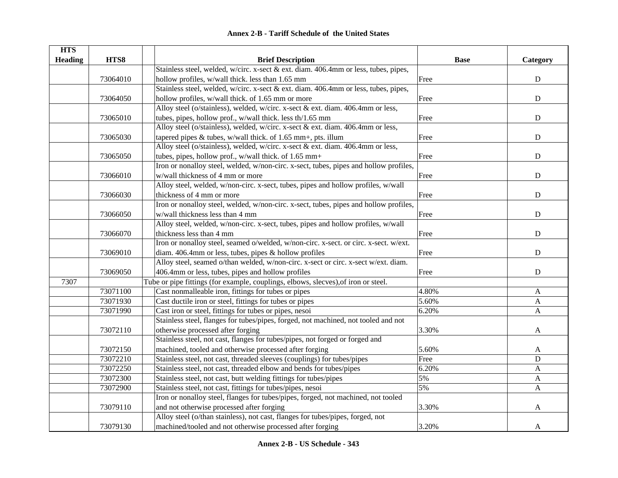| <b>HTS</b>     |          |                                                                                       |             |              |
|----------------|----------|---------------------------------------------------------------------------------------|-------------|--------------|
| <b>Heading</b> | HTS8     | <b>Brief Description</b>                                                              | <b>Base</b> | Category     |
|                |          | Stainless steel, welded, w/circ. x-sect & ext. diam. 406.4mm or less, tubes, pipes,   |             |              |
|                | 73064010 | hollow profiles, w/wall thick. less than 1.65 mm                                      | Free        | ${\bf D}$    |
|                |          | Stainless steel, welded, w/circ. x-sect & ext. diam. 406.4mm or less, tubes, pipes,   |             |              |
|                | 73064050 | hollow profiles, w/wall thick. of 1.65 mm or more                                     | Free        | ${\bf D}$    |
|                |          | Alloy steel (o/stainless), welded, w/circ. x-sect & ext. diam. 406.4mm or less,       |             |              |
|                | 73065010 | tubes, pipes, hollow prof., w/wall thick. less th/1.65 mm                             | Free        | $\mathbf D$  |
|                |          | Alloy steel (o/stainless), welded, w/circ. x-sect & ext. diam. 406.4mm or less,       |             |              |
|                | 73065030 | tapered pipes $&$ tubes, w/wall thick. of 1.65 mm+, pts. illum                        | Free        | $\mathbf D$  |
|                |          | Alloy steel (o/stainless), welded, w/circ. x-sect & ext. diam. 406.4mm or less,       |             |              |
|                | 73065050 | tubes, pipes, hollow prof., w/wall thick. of 1.65 mm+                                 | Free        | $\mathbf D$  |
|                |          | Iron or nonalloy steel, welded, w/non-circ. x-sect, tubes, pipes and hollow profiles, |             |              |
|                | 73066010 | w/wall thickness of 4 mm or more                                                      | Free        | D            |
|                |          | Alloy steel, welded, w/non-circ. x-sect, tubes, pipes and hollow profiles, w/wall     |             |              |
|                | 73066030 | thickness of 4 mm or more                                                             | Free        | $\mathbf D$  |
|                |          | Iron or nonalloy steel, welded, w/non-circ. x-sect, tubes, pipes and hollow profiles, |             |              |
|                | 73066050 | w/wall thickness less than 4 mm                                                       | Free        | $\mathbf D$  |
|                |          | Alloy steel, welded, w/non-circ. x-sect, tubes, pipes and hollow profiles, w/wall     |             |              |
|                | 73066070 | thickness less than 4 mm                                                              | Free        | ${\bf D}$    |
|                |          | Iron or nonalloy steel, seamed o/welded, w/non-circ. x-sect. or circ. x-sect. w/ext.  |             |              |
|                | 73069010 | diam. 406.4mm or less, tubes, pipes & hollow profiles                                 | Free        | ${\bf D}$    |
|                |          | Alloy steel, seamed o/than welded, w/non-circ. x-sect or circ. x-sect w/ext. diam.    |             |              |
|                | 73069050 | 406.4mm or less, tubes, pipes and hollow profiles                                     | Free        | ${\bf D}$    |
| 7307           |          | Tube or pipe fittings (for example, couplings, elbows, slecves), of iron or steel.    |             |              |
|                | 73071100 | Cast nonmalleable iron, fittings for tubes or pipes                                   | 4.80%       | $\mathbf{A}$ |
|                | 73071930 | Cast ductile iron or steel, fittings for tubes or pipes                               | 5.60%       | A            |
|                | 73071990 | Cast iron or steel, fittings for tubes or pipes, nesoi                                | 6.20%       | $\mathbf{A}$ |
|                |          | Stainless steel, flanges for tubes/pipes, forged, not machined, not tooled and not    |             |              |
|                | 73072110 | otherwise processed after forging                                                     | 3.30%       | A            |
|                |          | Stainless steel, not cast, flanges for tubes/pipes, not forged or forged and          |             |              |
|                | 73072150 | machined, tooled and otherwise processed after forging                                | 5.60%       | A            |
|                | 73072210 | Stainless steel, not cast, threaded sleeves (couplings) for tubes/pipes               | Free        | ${\bf D}$    |
|                | 73072250 | Stainless steel, not cast, threaded elbow and bends for tubes/pipes                   | 6.20%       | A            |
|                | 73072300 | Stainless steel, not cast, butt welding fittings for tubes/pipes                      | 5%          | A            |
|                | 73072900 | Stainless steel, not cast, fittings for tubes/pipes, nesoi                            | 5%          | $\mathbf{A}$ |
|                |          | Iron or nonalloy steel, flanges for tubes/pipes, forged, not machined, not tooled     |             |              |
|                | 73079110 | and not otherwise processed after forging                                             | 3.30%       | A            |
|                |          | Alloy steel (o/than stainless), not cast, flanges for tubes/pipes, forged, not        |             |              |
|                | 73079130 | machined/tooled and not otherwise processed after forging                             | 3.20%       | A            |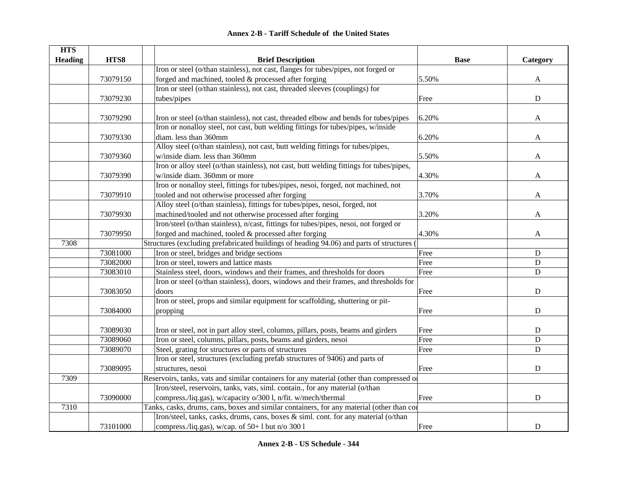|  | Annex 2-B - Tariff Schedule of the United States |  |
|--|--------------------------------------------------|--|
|--|--------------------------------------------------|--|

| <b>HTS</b><br><b>Heading</b> | HTS8     | <b>Brief Description</b>                                                                  | <b>Base</b> | Category    |
|------------------------------|----------|-------------------------------------------------------------------------------------------|-------------|-------------|
|                              |          | Iron or steel (o/than stainless), not cast, flanges for tubes/pipes, not forged or        |             |             |
|                              | 73079150 | forged and machined, tooled & processed after forging                                     | 5.50%       | A           |
|                              |          | Iron or steel (o/than stainless), not cast, threaded sleeves (couplings) for              |             |             |
|                              | 73079230 | tubes/pipes                                                                               | Free        | ${\bf D}$   |
|                              |          |                                                                                           |             |             |
|                              | 73079290 | Iron or steel (o/than stainless), not cast, threaded elbow and bends for tubes/pipes      | 6.20%       | A           |
|                              |          | Iron or nonalloy steel, not cast, butt welding fittings for tubes/pipes, w/inside         |             |             |
|                              | 73079330 | diam. less than 360mm                                                                     | 6.20%       | A           |
|                              |          | Alloy steel (o/than stainless), not cast, butt welding fittings for tubes/pipes,          |             |             |
|                              | 73079360 | w/inside diam. less than 360mm                                                            | 5.50%       | A           |
|                              |          | Iron or alloy steel (o/than stainless), not cast, butt welding fittings for tubes/pipes,  |             |             |
|                              | 73079390 | w/inside diam. 360mm or more                                                              | 4.30%       | A           |
|                              |          | Iron or nonalloy steel, fittings for tubes/pipes, nesoi, forged, not machined, not        |             |             |
|                              | 73079910 | tooled and not otherwise processed after forging                                          | 3.70%       | A           |
|                              |          | Alloy steel (o/than stainless), fittings for tubes/pipes, nesoi, forged, not              |             |             |
|                              | 73079930 | machined/tooled and not otherwise processed after forging                                 | 3.20%       | A           |
|                              |          | Iron/steel (o/than stainless), n/cast, fittings for tubes/pipes, nesoi, not forged or     |             |             |
|                              | 73079950 | forged and machined, tooled & processed after forging                                     | 4.30%       | A           |
| 7308                         |          | Structures (excluding prefabricated buildings of heading 94.06) and parts of structures ( |             |             |
|                              | 73081000 | Iron or steel, bridges and bridge sections                                                | Free        | ${\bf D}$   |
|                              | 73082000 | Iron or steel, towers and lattice masts                                                   | Free        | ${\bf D}$   |
|                              | 73083010 | Stainless steel, doors, windows and their frames, and thresholds for doors                | Free        | ${\bf D}$   |
|                              |          | Iron or steel (o/than stainless), doors, windows and their frames, and thresholds for     |             |             |
|                              | 73083050 | doors                                                                                     | Free        | $\mathbf D$ |
|                              |          | Iron or steel, props and similar equipment for scaffolding, shuttering or pit-            |             |             |
|                              | 73084000 | propping                                                                                  | Free        | ${\bf D}$   |
|                              |          |                                                                                           |             |             |
|                              | 73089030 | Iron or steel, not in part alloy steel, columns, pillars, posts, beams and girders        | Free        | $\mathbf D$ |
|                              | 73089060 | Iron or steel, columns, pillars, posts, beams and girders, nesoi                          | Free        | ${\bf D}$   |
|                              | 73089070 | Steel, grating for structures or parts of structures                                      | Free        | $\mathbf D$ |
|                              |          | Iron or steel, structures (excluding prefab structures of 9406) and parts of              |             |             |
|                              | 73089095 | structures, nesoi                                                                         | Free        | $\mathbf D$ |
| 7309                         |          | Reservoirs, tanks, vats and similar containers for any material (other than compressed or |             |             |
|                              |          | Iron/steel, reservoirs, tanks, vats, siml. contain., for any material (o/than             |             |             |
|                              | 73090000 | compress./liq.gas), w/capacity o/300 l, n/fit. w/mech/thermal                             | Free        | ${\bf D}$   |
| 7310                         |          | Tanks, casks, drums, cans, boxes and similar containers, for any material (other than cor |             |             |
|                              |          | Iron/steel, tanks, casks, drums, cans, boxes & siml. cont. for any material (o/than       |             |             |
|                              | 73101000 | compress./liq.gas), w/cap. of $50+1$ but n/o 300 1                                        | Free        | ${\bf D}$   |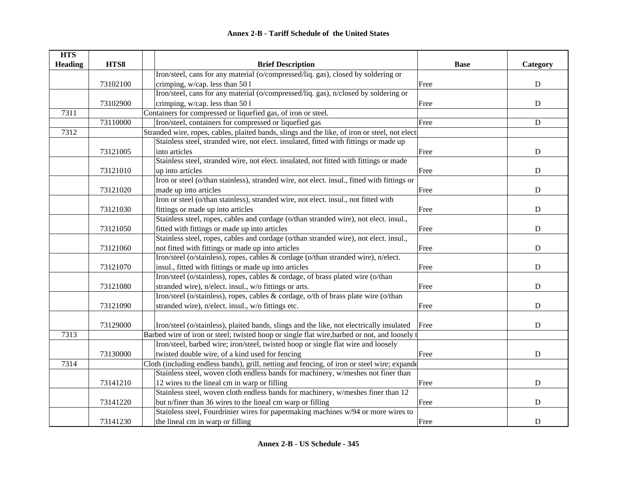| <b>HTS</b>     |          |                                                                                               |             |             |
|----------------|----------|-----------------------------------------------------------------------------------------------|-------------|-------------|
| <b>Heading</b> | HTS8     | <b>Brief Description</b>                                                                      | <b>Base</b> | Category    |
|                |          | Iron/steel, cans for any material (o/compressed/liq. gas), closed by soldering or             |             |             |
|                | 73102100 | crimping, w/cap. less than 50 l                                                               | Free        | ${\bf D}$   |
|                |          | Iron/steel, cans for any material (o/compressed/liq. gas), n/closed by soldering or           |             |             |
|                | 73102900 | crimping, w/cap. less than 50 l                                                               | Free        | ${\bf D}$   |
| 7311           |          | Containers for compressed or liquefied gas, of iron or steel.                                 |             |             |
|                | 73110000 | Iron/steel, containers for compressed or liquefied gas                                        | Free        | ${\bf D}$   |
| 7312           |          | Stranded wire, ropes, cables, plaited bands, slings and the like, of iron or steel, not elect |             |             |
|                |          | Stainless steel, stranded wire, not elect. insulated, fitted with fittings or made up         |             |             |
|                | 73121005 | into articles                                                                                 | Free        | $\mathbf D$ |
|                |          | Stainless steel, stranded wire, not elect. insulated, not fitted with fittings or made        |             |             |
|                | 73121010 | up into articles                                                                              | Free        | $\mathbf D$ |
|                |          | Iron or steel (o/than stainless), stranded wire, not elect. insul., fitted with fittings or   |             |             |
|                | 73121020 | made up into articles                                                                         | Free        | $\mathbf D$ |
|                |          | Iron or steel (o/than stainless), stranded wire, not elect. insul., not fitted with           |             |             |
|                | 73121030 | fittings or made up into articles                                                             | Free        | D           |
|                |          | Stainless steel, ropes, cables and cordage (o/than stranded wire), not elect. insul.,         |             |             |
|                | 73121050 | fitted with fittings or made up into articles                                                 | Free        | ${\bf D}$   |
|                |          | Stainless steel, ropes, cables and cordage (o/than stranded wire), not elect. insul.,         |             |             |
|                | 73121060 | not fitted with fittings or made up into articles                                             | Free        | ${\bf D}$   |
|                |          | Iron/steel (o/stainless), ropes, cables & cordage (o/than stranded wire), n/elect.            |             |             |
|                | 73121070 | insul., fitted with fittings or made up into articles                                         | Free        | $\mathbf D$ |
|                |          | Iron/steel (o/stainless), ropes, cables & cordage, of brass plated wire (o/than               |             |             |
|                | 73121080 | stranded wire), n/elect. insul., w/o fittings or arts.                                        | Free        | D           |
|                |          | Iron/steel (o/stainless), ropes, cables & cordage, o/th of brass plate wire (o/than           |             |             |
|                | 73121090 | stranded wire), n/elect. insul., w/o fittings etc.                                            | Free        | ${\bf D}$   |
|                |          |                                                                                               |             |             |
|                | 73129000 | Iron/steel (o/stainless), plaited bands, slings and the like, not electrically insulated      | Free        | ${\bf D}$   |
| 7313           |          | Barbed wire of iron or steel; twisted hoop or single flat wire, barbed or not, and loosely t  |             |             |
|                |          | Iron/steel, barbed wire; iron/steel, twisted hoop or single flat wire and loosely             |             |             |
|                | 73130000 | twisted double wire, of a kind used for fencing                                               | Free        | ${\bf D}$   |
| 7314           |          | Cloth (including endless bands), grill, netting and fencing, of iron or steel wire; expande   |             |             |
|                |          | Stainless steel, woven cloth endless bands for machinery, w/meshes not finer than             |             |             |
|                | 73141210 | 12 wires to the lineal cm in warp or filling                                                  | Free        | $\mathbf D$ |
|                |          | Stainless steel, woven cloth endless bands for machinery, w/meshes finer than 12              |             |             |
|                | 73141220 | but n/finer than 36 wires to the lineal cm warp or filling                                    | Free        | ${\bf D}$   |
|                |          | Stainless steel, Fourdrinier wires for papermaking machines w/94 or more wires to             |             |             |
|                | 73141230 | the lineal cm in warp or filling                                                              | Free        | ${\bf D}$   |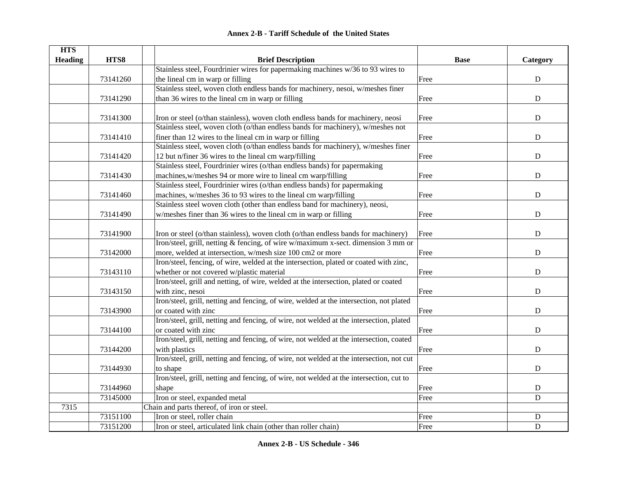| <b>HTS</b>     |          |                                                                                          |             |             |
|----------------|----------|------------------------------------------------------------------------------------------|-------------|-------------|
| <b>Heading</b> | HTS8     | <b>Brief Description</b>                                                                 | <b>Base</b> | Category    |
|                |          | Stainless steel, Fourdrinier wires for papermaking machines w/36 to 93 wires to          |             |             |
|                | 73141260 | the lineal cm in warp or filling                                                         | Free        | ${\bf D}$   |
|                |          | Stainless steel, woven cloth endless bands for machinery, nesoi, w/meshes finer          |             |             |
|                | 73141290 | than 36 wires to the lineal cm in warp or filling                                        | Free        | $\mathbf D$ |
|                |          |                                                                                          |             |             |
|                | 73141300 | Iron or steel (o/than stainless), woven cloth endless bands for machinery, neosi         | Free        | ${\bf D}$   |
|                |          | Stainless steel, woven cloth (o/than endless bands for machinery), w/meshes not          |             |             |
|                | 73141410 | finer than 12 wires to the lineal cm in warp or filling                                  | Free        | D           |
|                |          | Stainless steel, woven cloth (o/than endless bands for machinery), w/meshes finer        |             |             |
|                | 73141420 | 12 but n/finer 36 wires to the lineal cm warp/filling                                    | Free        | ${\bf D}$   |
|                |          | Stainless steel, Fourdrinier wires (o/than endless bands) for papermaking                |             |             |
|                | 73141430 | machines, w/meshes 94 or more wire to lineal cm warp/filling                             | Free        | ${\bf D}$   |
|                |          | Stainless steel, Fourdrinier wires (o/than endless bands) for papermaking                |             |             |
|                | 73141460 | machines, w/meshes 36 to 93 wires to the lineal cm warp/filling                          | Free        | $\mathbf D$ |
|                |          | Stainless steel woven cloth (other than endless band for machinery), neosi,              |             |             |
|                | 73141490 | w/meshes finer than 36 wires to the lineal cm in warp or filling                         | Free        | ${\bf D}$   |
|                |          |                                                                                          |             |             |
|                | 73141900 | Iron or steel (o/than stainless), woven cloth (o/than endless bands for machinery)       | Free        | ${\bf D}$   |
|                |          | Iron/steel, grill, netting & fencing, of wire w/maximum x-sect. dimension 3 mm or        |             |             |
|                | 73142000 | more, welded at intersection, w/mesh size 100 cm2 or more                                | Free        | ${\bf D}$   |
|                |          | Iron/steel, fencing, of wire, welded at the intersection, plated or coated with zinc,    |             |             |
|                | 73143110 | whether or not covered w/plastic material                                                | Free        | $\mathbf D$ |
|                |          | Iron/steel, grill and netting, of wire, welded at the intersection, plated or coated     |             |             |
|                | 73143150 | with zinc, nesoi                                                                         | Free        | $\mathbf D$ |
|                |          | Iron/steel, grill, netting and fencing, of wire, welded at the intersection, not plated  |             |             |
|                | 73143900 | or coated with zinc                                                                      | Free        | ${\bf D}$   |
|                |          | Iron/steel, grill, netting and fencing, of wire, not welded at the intersection, plated  |             |             |
|                | 73144100 | or coated with zinc                                                                      | Free        | $\mathbf D$ |
|                |          | Iron/steel, grill, netting and fencing, of wire, not welded at the intersection, coated  |             |             |
|                | 73144200 | with plastics                                                                            | Free        | $\mathbf D$ |
|                |          | Iron/steel, grill, netting and fencing, of wire, not welded at the intersection, not cut |             |             |
|                | 73144930 | to shape                                                                                 | Free        | ${\bf D}$   |
|                |          | Iron/steel, grill, netting and fencing, of wire, not welded at the intersection, cut to  |             |             |
|                | 73144960 | shape                                                                                    | Free        | ${\bf D}$   |
|                | 73145000 | Iron or steel, expanded metal                                                            | Free        | $\mathbf D$ |
| 7315           |          | Chain and parts thereof, of iron or steel.                                               |             |             |
|                | 73151100 | Iron or steel, roller chain                                                              | Free        | ${\bf D}$   |
|                | 73151200 | Iron or steel, articulated link chain (other than roller chain)                          | Free        | $\mathbf D$ |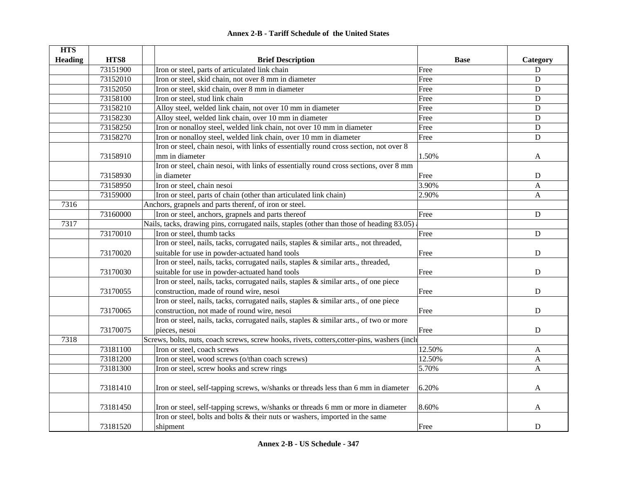#### **HTS Heading** | **HTS8** | | **Brief Description Brief Description Base** | **Category** 73151900 Iron or steel, parts of articulated link chain Free D 73152010 Iron or steel, skid chain, not over 8 mm in diameter Free Free Press, Press, 2010 I 73152050 Iron or steel, skid chain, over 8 mm in diameter Free Free Press, Free D 73158100 Iron or steel, stud link chain expansion of the Contract of the Contract of the D 73158210 Alloy steel, welded link chain, not over 10 mm in diameter Free Free Pres 73158230 Alloy steel, welded link chain, over 10 mm in diameter Free Free Free D 73158250 Iron or nonalloy steel, welded link chain, not over 10 mm in diameter Free D 73158270 Iron or nonalloy steel, welded link chain, over 10 mm in diameter Free Free D 73158910Iron or steel, chain nesoi, with links of essentially round cross section, not over 8 mm in diameter and the set of the set of the set of the set of the set of the set of the set of the set of the set of the set of the set of the set of the set of the set of the set of the set of the set of the set of the s 73158930 Iron or steel, chain nesoi, with links of essentially round cross sections, over 8 mm in diameter **D** 73158950 Iron or steel, chain nesoi 3.90% 3.90% A 73159000 Iron or steel, parts of chain (other than articulated link chain) 2.90% 2.90% A 7316Anchors, grapnels and parts therenf, of iron or steel. 73160000 Iron or steel, anchors, grapnels and parts thereof Free Free D 7317Nails, tacks, drawing pins, corrugated nails, staples (other than those of heading 83.05) 73170010 Iron or steel, thumb tacks D 73170020Iron or steel, nails, tacks, corrugated nails, staples & similar arts., not threaded, suitable for use in powder-actuated hand tools **Free** Provenues **Example 1** and tools **Example 1** and tools **Example 1** 73170030Iron or steel, nails, tacks, corrugated nails, staples & similar arts., threaded, suitable for use in powder-actuated hand tools **Free** Free **D** 73170055Iron or steel, nails, tacks, corrugated nails, staples & similar arts., of one piece construction, made of round wire, nesoi and the set of the property of the property of the D 73170065Iron or steel, nails, tacks, corrugated nails, staples & similar arts., of one piece construction, not made of round wire, nesoi Free Free Pressure and Trustee Resolution, not made of round wire, nesoi 73170075Iron or steel, nails, tacks, corrugated nails, staples & similar arts., of two or more pieces, nesoi D 7318Screws, bolts, nuts, coach screws, screw hooks, rivets, cotters, cotter-pins, washers (included) 73181100 Iron or steel, coach screws 12.50% A 73181200 Iron or steel, wood screws (o/than coach screws) 12.50% A 73181300 Iron or steel, screw hooks and screw rings 5.70% A 73181410 Iron or steel, self-tapping screws, w/shanks or threads less than 6 mm in diameter 6.20% 73181450 Iron or steel, self-tapping screws, w/shanks or threads 6 mm or more in diameter 8.60% Iron or steel, bolts and bolts & their nuts or washers, imported in the same

shipment D

73181520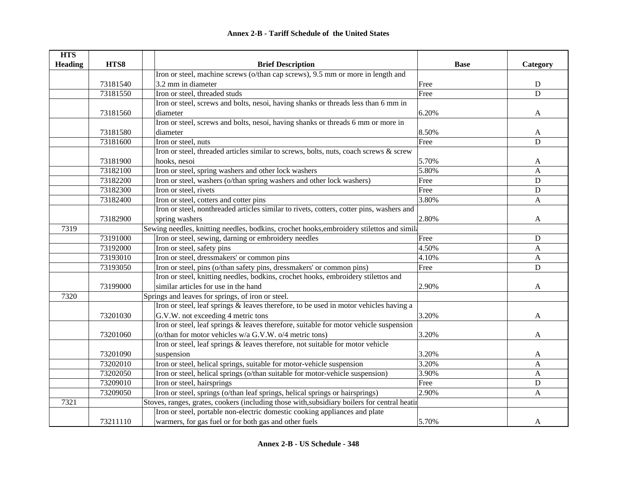| <b>HTS</b>     |          |                                                                                              |             |             |
|----------------|----------|----------------------------------------------------------------------------------------------|-------------|-------------|
| <b>Heading</b> | HTS8     | <b>Brief Description</b>                                                                     | <b>Base</b> | Category    |
|                |          | Iron or steel, machine screws (o/than cap screws), 9.5 mm or more in length and              |             |             |
|                | 73181540 | 3.2 mm in diameter                                                                           | Free        | ${\bf D}$   |
|                | 73181550 | Iron or steel, threaded studs                                                                | Free        | D           |
|                |          | Iron or steel, screws and bolts, nesoi, having shanks or threads less than 6 mm in           |             |             |
|                | 73181560 | diameter                                                                                     | 6.20%       | A           |
|                |          | Iron or steel, screws and bolts, nesoi, having shanks or threads 6 mm or more in             |             |             |
|                | 73181580 | diameter                                                                                     | 8.50%       | A           |
|                | 73181600 | Iron or steel, nuts                                                                          | Free        | $\mathbf D$ |
|                |          | Iron or steel, threaded articles similar to screws, bolts, nuts, coach screws & screw        |             |             |
|                | 73181900 | hooks, nesoi                                                                                 | 5.70%       | A           |
|                | 73182100 | Iron or steel, spring washers and other lock washers                                         | 5.80%       | A           |
|                | 73182200 | Iron or steel, washers (o/than spring washers and other lock washers)                        | Free        | ${\bf D}$   |
|                | 73182300 | Iron or steel, rivets                                                                        | Free        | D           |
|                | 73182400 | Iron or steel, cotters and cotter pins                                                       | 3.80%       | A           |
|                |          | Iron or steel, nonthreaded articles similar to rivets, cotters, cotter pins, washers and     |             |             |
|                | 73182900 | spring washers                                                                               | 2.80%       | A           |
| 7319           |          | Sewing needles, knitting needles, bodkins, crochet hooks, embroidery stilettos and simila    |             |             |
|                | 73191000 | Iron or steel, sewing, darning or embroidery needles                                         | Free        | D           |
|                | 73192000 | Iron or steel, safety pins                                                                   | 4.50%       | A           |
|                | 73193010 | Iron or steel, dressmakers' or common pins                                                   | 4.10%       | A           |
|                | 73193050 | Iron or steel, pins (o/than safety pins, dressmakers' or common pins)                        | Free        | $\mathbf D$ |
|                |          | Iron or steel, knitting needles, bodkins, crochet hooks, embroidery stilettos and            |             |             |
|                | 73199000 | similar articles for use in the hand                                                         | 2.90%       | A           |
| 7320           |          | Springs and leaves for springs, of iron or steel.                                            |             |             |
|                |          | Iron or steel, leaf springs & leaves therefore, to be used in motor vehicles having a        |             |             |
|                | 73201030 | G.V.W. not exceeding 4 metric tons                                                           | 3.20%       | A           |
|                |          | Iron or steel, leaf springs $\&$ leaves therefore, suitable for motor vehicle suspension     |             |             |
|                | 73201060 | (o/than for motor vehicles w/a G.V.W. o/4 metric tons)                                       | 3.20%       | A           |
|                |          | Iron or steel, leaf springs & leaves therefore, not suitable for motor vehicle               |             |             |
|                | 73201090 | suspension                                                                                   | 3.20%       | A           |
|                | 73202010 | Iron or steel, helical springs, suitable for motor-vehicle suspension                        | 3.20%       | A           |
|                | 73202050 | Iron or steel, helical springs (o/than suitable for motor-vehicle suspension)                | 3.90%       | A           |
|                | 73209010 | Iron or steel, hairsprings                                                                   | Free        | ${\bf D}$   |
|                | 73209050 | Iron or steel, springs (o/than leaf springs, helical springs or hairsprings)                 | 2.90%       | A           |
| 7321           |          | Stoves, ranges, grates, cookers (including those with, subsidiary boilers for central heatin |             |             |
|                |          | Iron or steel, portable non-electric domestic cooking appliances and plate                   |             |             |
|                | 73211110 | warmers, for gas fuel or for both gas and other fuels                                        | 5.70%       | A           |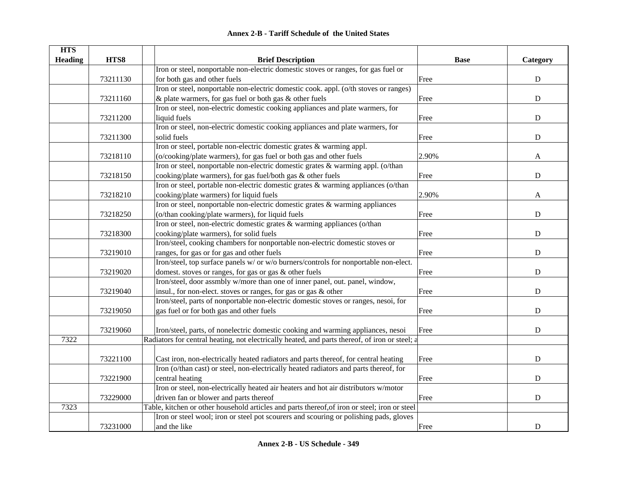| <b>Annex 2-B - Tariff Schedule of the United States</b> |  |
|---------------------------------------------------------|--|
|---------------------------------------------------------|--|

| <b>HTS</b><br><b>Heading</b> | HTS8     | <b>Brief Description</b>                                                                       | <b>Base</b> | Category    |
|------------------------------|----------|------------------------------------------------------------------------------------------------|-------------|-------------|
|                              |          | Iron or steel, nonportable non-electric domestic stoves or ranges, for gas fuel or             |             |             |
|                              | 73211130 | for both gas and other fuels                                                                   | Free        | ${\bf D}$   |
|                              |          | Iron or steel, nonportable non-electric domestic cook. appl. (o/th stoves or ranges)           |             |             |
|                              | 73211160 | & plate warmers, for gas fuel or both gas & other fuels                                        | Free        | ${\bf D}$   |
|                              |          | Iron or steel, non-electric domestic cooking appliances and plate warmers, for                 |             |             |
|                              | 73211200 | liquid fuels                                                                                   | Free        | ${\bf D}$   |
|                              |          | Iron or steel, non-electric domestic cooking appliances and plate warmers, for                 |             |             |
|                              | 73211300 | solid fuels                                                                                    | Free        | ${\bf D}$   |
|                              |          | Iron or steel, portable non-electric domestic grates & warming appl.                           |             |             |
|                              | 73218110 | (o/cooking/plate warmers), for gas fuel or both gas and other fuels                            | 2.90%       | A           |
|                              |          | Iron or steel, nonportable non-electric domestic grates & warming appl. (o/than                |             |             |
|                              | 73218150 | cooking/plate warmers), for gas fuel/both gas & other fuels                                    | Free        | ${\bf D}$   |
|                              |          | Iron or steel, portable non-electric domestic grates & warming appliances (o/than              |             |             |
|                              | 73218210 | cooking/plate warmers) for liquid fuels                                                        | 2.90%       | A           |
|                              |          | Iron or steel, nonportable non-electric domestic grates & warming appliances                   |             |             |
|                              | 73218250 | (o/than cooking/plate warmers), for liquid fuels                                               | Free        | ${\bf D}$   |
|                              |          | Iron or steel, non-electric domestic grates & warming appliances (o/than                       |             |             |
|                              | 73218300 | cooking/plate warmers), for solid fuels                                                        | Free        | ${\bf D}$   |
|                              |          | Iron/steel, cooking chambers for nonportable non-electric domestic stoves or                   |             |             |
|                              | 73219010 | ranges, for gas or for gas and other fuels                                                     | Free        | ${\bf D}$   |
|                              |          | Iron/steel, top surface panels w/ or w/o burners/controls for nonportable non-elect.           |             |             |
|                              | 73219020 | domest. stoves or ranges, for gas or gas & other fuels                                         | Free        | ${\bf D}$   |
|                              |          | Iron/steel, door assmbly w/more than one of inner panel, out. panel, window,                   |             |             |
|                              | 73219040 | insul., for non-elect. stoves or ranges, for gas or gas & other                                | Free        | $\mathbf D$ |
|                              |          | Iron/steel, parts of nonportable non-electric domestic stoves or ranges, nesoi, for            |             |             |
|                              | 73219050 | gas fuel or for both gas and other fuels                                                       | Free        | ${\bf D}$   |
|                              |          |                                                                                                |             |             |
|                              | 73219060 | Iron/steel, parts, of nonelectric domestic cooking and warming appliances, nesoi               | Free        | ${\bf D}$   |
| 7322                         |          | Radiators for central heating, not electrically heated, and parts thereof, of iron or steel; a |             |             |
|                              |          |                                                                                                |             |             |
|                              | 73221100 | Cast iron, non-electrically heated radiators and parts thereof, for central heating            | Free        | ${\bf D}$   |
|                              |          | Iron (o/than cast) or steel, non-electrically heated radiators and parts thereof, for          |             |             |
|                              | 73221900 | central heating                                                                                | Free        | $\mathbf D$ |
|                              |          | Iron or steel, non-electrically heated air heaters and hot air distributors w/motor            |             |             |
|                              | 73229000 | driven fan or blower and parts thereof                                                         | Free        | ${\bf D}$   |
| 7323                         |          | Table, kitchen or other household articles and parts thereof, of iron or steel; iron or steel  |             |             |
|                              |          | Iron or steel wool; iron or steel pot scourers and scouring or polishing pads, gloves          |             |             |
|                              | 73231000 | and the like                                                                                   | Free        | $\mathbf D$ |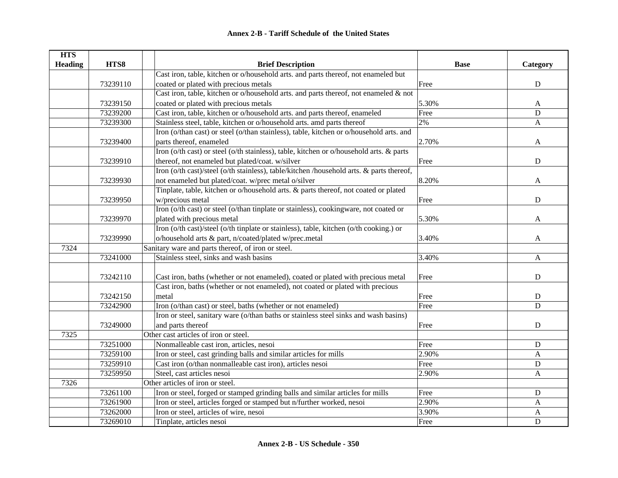| <b>HTS</b>     |          |                                                                                          |             |                           |
|----------------|----------|------------------------------------------------------------------------------------------|-------------|---------------------------|
| <b>Heading</b> | HTS8     | <b>Brief Description</b>                                                                 | <b>Base</b> | Category                  |
|                |          | Cast iron, table, kitchen or o/household arts. and parts thereof, not enameled but       |             |                           |
|                | 73239110 | coated or plated with precious metals                                                    | Free        | $\mathbf D$               |
|                |          | Cast iron, table, kitchen or o/household arts. and parts thereof, not enameled & not     |             |                           |
|                | 73239150 | coated or plated with precious metals                                                    | 5.30%       | A                         |
|                | 73239200 | Cast iron, table, kitchen or o/household arts. and parts thereof, enameled               | Free        | $\mathbf D$               |
|                | 73239300 | Stainless steel, table, kitchen or o/household arts. amd parts thereof                   | 2%          | A                         |
|                |          | Iron (o/than cast) or steel (o/than stainless), table, kitchen or o/household arts. and  |             |                           |
|                | 73239400 | parts thereof, enameled                                                                  | 2.70%       | A                         |
|                |          | Iron (o/th cast) or steel (o/th stainless), table, kitchen or o/household arts. & parts  |             |                           |
|                | 73239910 | thereof, not enameled but plated/coat. w/silver                                          | Free        | ${\bf D}$                 |
|                |          | Iron (o/th cast)/steel (o/th stainless), table/kitchen /household arts. & parts thereof, |             |                           |
|                | 73239930 | not enameled but plated/coat. w/prec metal o/silver                                      | 8.20%       | A                         |
|                |          | Tinplate, table, kitchen or o/household arts. & parts thereof, not coated or plated      |             |                           |
|                | 73239950 | w/precious metal                                                                         | Free        | ${\bf D}$                 |
|                |          | Iron (o/th cast) or steel (o/than tinplate or stainless), cookingware, not coated or     |             |                           |
|                | 73239970 | plated with precious metal                                                               | 5.30%       | A                         |
|                |          | Iron (o/th cast)/steel (o/th tinplate or stainless), table, kitchen (o/th cooking.) or   |             |                           |
|                | 73239990 | o/household arts & part, n/coated/plated w/prec.metal                                    | 3.40%       | A                         |
| 7324           |          | Sanitary ware and parts thereof, of iron or steel.                                       |             |                           |
|                | 73241000 | Stainless steel, sinks and wash basins                                                   | 3.40%       | A                         |
|                |          |                                                                                          |             |                           |
|                | 73242110 | Cast iron, baths (whether or not enameled), coated or plated with precious metal         | Free        | $\mathbf D$               |
|                |          | Cast iron, baths (whether or not enameled), not coated or plated with precious           |             |                           |
|                | 73242150 | metal                                                                                    | Free        | ${\bf D}$                 |
|                | 73242900 | Iron (o/than cast) or steel, baths (whether or not enameled)                             | Free        | D                         |
|                |          | Iron or steel, sanitary ware (o/than baths or stainless steel sinks and wash basins)     |             |                           |
|                | 73249000 | and parts thereof                                                                        | Free        | $\mathbf D$               |
| 7325           |          | Other cast articles of iron or steel.                                                    |             |                           |
|                | 73251000 | Nonmalleable cast iron, articles, nesoi                                                  | Free        | ${\bf D}$                 |
|                | 73259100 | Iron or steel, cast grinding balls and similar articles for mills                        | 2.90%       | $\boldsymbol{A}$          |
|                | 73259910 | Cast iron (o/than nonmalleable cast iron), articles nesoi                                | Free        | ${\bf D}$                 |
|                | 73259950 | Steel, cast articles nesoi                                                               | 2.90%       | A                         |
| 7326           |          | Other articles of iron or steel.                                                         |             |                           |
|                | 73261100 | Iron or steel, forged or stamped grinding balls and similar articles for mills           | Free        | D                         |
|                | 73261900 | Iron or steel, articles forged or stamped but n/further worked, nesoi                    | 2.90%       | A                         |
|                | 73262000 | Iron or steel, articles of wire, nesoi                                                   | 3.90%       | $\boldsymbol{\mathsf{A}}$ |
|                | 73269010 | Tinplate, articles nesoi                                                                 | Free        | $\mathbf D$               |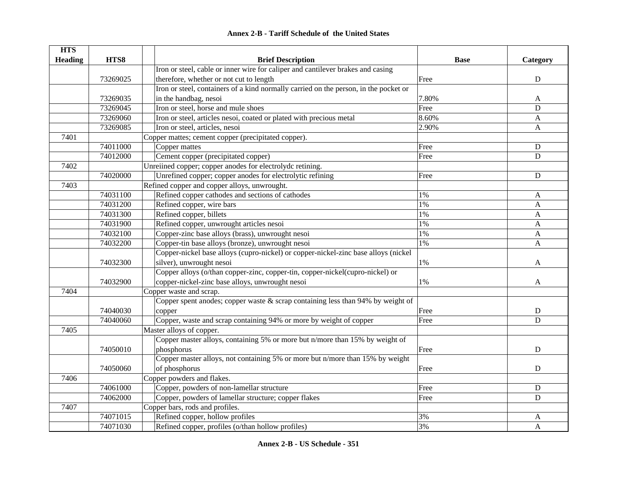#### **HTS Heading HTS8 Brief Description Base Category** 73269025Iron or steel, cable or inner wire for caliper and cantilever brakes and casing therefore, whether or not cut to length  $\Box$  D 73269035Iron or steel, containers of a kind normally carried on the person, in the pocket or in the handbag, nesoi and the handbag as the set of the set of the set of the set of the set of the set of the  $A$ 73269045 Iron or steel, horse and mule shoes Free Free Press, and mule shoes B 73269060 Iron or steel, articles nesoi, coated or plated with precious metal 8.60% A 73269085 Iron or steel, articles, nesoi 2.90% A 7401Copper mattes; cement copper (precipitated copper). 74011000 Copper mattes **D** Copper mattes **D** Copper mattes **Container and Container and Copper matters by D** 74012000 Cement copper (precipitated copper) Free D 7402Unreiined copper; copper anodes for electrolydc retining. 74020000 Unrefined copper; copper anodes for electrolytic refining Free D 7403Refined copper and copper alloys, unwrought. 74031100 Refined copper cathodes and sections of cathodes 1% A 74031200 Refined copper, wire bars 1% A 74031300 Refined copper, billets A 74031900 Refined copper, unwrought articles nesoi 1% A 74032100 Copper-zinc base alloys (brass), unwrought nesoi 1% A 74032200 Copper-tin base alloys (bronze), unwrought nesoi 1% A 74032300Copper-nickel base alloys (cupro-nickel) or copper-nickel-zinc base alloys (nickel silver), unwrought nesoi  $1\%$  A 74032900Copper alloys (o/than copper-zinc, copper-tin, copper-nickel(cupro-nickel) or copper-nickel-zinc base alloys, unwrought nesoi and the set of the set of the set of the set of the set of the  $A$ 7404Copper waste and scrap. 74040030Copper spent anodes; copper waste  $\&$  scrap containing less than 94% by weight of copper and the control of the control of the control of the control of the control of the control of the control of the control of the control of the control of the control of the control of the control of the control of t 74040060 Copper, waste and scrap containing 94% or more by weight of copper Free D 7405Master alloys of copper. 74050010Copper master alloys, containing 5% or more but n/more than 15% by weight of phosphorus D 74050060Copper master alloys, not containing 5% or more but n/more than 15% by weight of phosphorus Free D 7406Copper powders and flakes. 74061000 Copper, powders of non-lamellar structure Free D 74062000 Copper, powders of lamellar structure; copper flakes Free Free Press, Copper Free D 7407Copper bars, rods and profiles. 74071015 Refined copper, hollow profiles 3% A 74071030 Refined copper, profiles (o/than hollow profiles) 3% A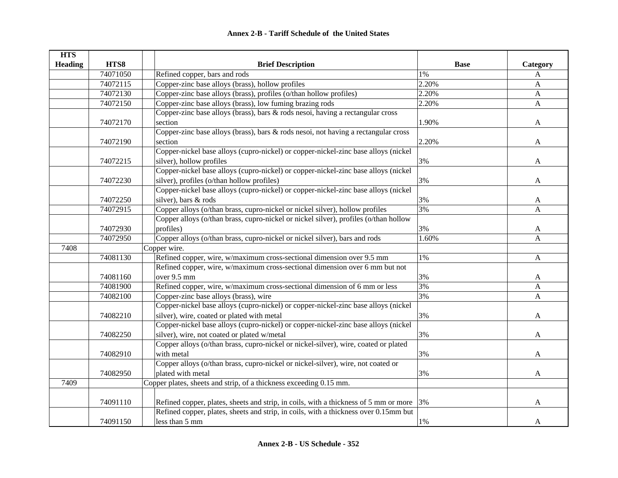| <b>HTS</b>     |          |                                                                                              |             |              |
|----------------|----------|----------------------------------------------------------------------------------------------|-------------|--------------|
| <b>Heading</b> | HTS8     | <b>Brief Description</b>                                                                     | <b>Base</b> | Category     |
|                | 74071050 | Refined copper, bars and rods                                                                | 1%          | A            |
|                | 74072115 | Copper-zinc base alloys (brass), hollow profiles                                             | 2.20%       | $\mathbf{A}$ |
|                | 74072130 | Copper-zinc base alloys (brass), profiles (o/than hollow profiles)                           | 2.20%       | $\mathbf{A}$ |
|                | 74072150 | Copper-zinc base alloys (brass), low fuming brazing rods                                     | 2.20%       | $\mathbf{A}$ |
|                |          | Copper-zinc base alloys (brass), bars & rods nesoi, having a rectangular cross               |             |              |
|                | 74072170 | section                                                                                      | 1.90%       | A            |
|                |          | Copper-zinc base alloys (brass), bars & rods nesoi, not having a rectangular cross           |             |              |
|                | 74072190 | section                                                                                      | 2.20%       | A            |
|                |          | Copper-nickel base alloys (cupro-nickel) or copper-nickel-zinc base alloys (nickel           |             |              |
|                | 74072215 | silver), hollow profiles                                                                     | 3%          | A            |
|                |          | Copper-nickel base alloys (cupro-nickel) or copper-nickel-zinc base alloys (nickel           |             |              |
|                | 74072230 | silver), profiles (o/than hollow profiles)                                                   | 3%          | A            |
|                |          | Copper-nickel base alloys (cupro-nickel) or copper-nickel-zinc base alloys (nickel           |             |              |
|                | 74072250 | silver), bars & rods                                                                         | 3%          | A            |
|                | 74072915 | Copper alloys (o/than brass, cupro-nickel or nickel silver), hollow profiles                 | 3%          | A            |
|                |          | Copper alloys (o/than brass, cupro-nickel or nickel silver), profiles (o/than hollow         |             |              |
|                | 74072930 | profiles)                                                                                    | 3%          | A            |
|                | 74072950 | Copper alloys (o/than brass, cupro-nickel or nickel silver), bars and rods                   | 1.60%       | $\mathbf{A}$ |
| 7408           |          | Copper wire.                                                                                 |             |              |
|                | 74081130 | Refined copper, wire, w/maximum cross-sectional dimension over 9.5 mm                        | 1%          | A            |
|                |          | Refined copper, wire, w/maximum cross-sectional dimension over 6 mm but not                  |             |              |
|                | 74081160 | over 9.5 mm                                                                                  | 3%          | A            |
|                | 74081900 | Refined copper, wire, w/maximum cross-sectional dimension of 6 mm or less                    | 3%          | $\mathbf{A}$ |
|                | 74082100 | Copper-zinc base alloys (brass), wire                                                        | 3%          | A            |
|                |          | Copper-nickel base alloys (cupro-nickel) or copper-nickel-zinc base alloys (nickel           |             |              |
|                | 74082210 | silver), wire, coated or plated with metal                                                   | 3%          | A            |
|                |          | Copper-nickel base alloys (cupro-nickel) or copper-nickel-zinc base alloys (nickel           |             |              |
|                | 74082250 | silver), wire, not coated or plated w/metal                                                  | 3%          | A            |
|                |          | Copper alloys (o/than brass, cupro-nickel or nickel-silver), wire, coated or plated          |             |              |
|                | 74082910 | with metal                                                                                   | 3%          | A            |
|                |          | Copper alloys (o/than brass, cupro-nickel or nickel-silver), wire, not coated or             |             |              |
|                | 74082950 | plated with metal                                                                            | 3%          | A            |
| 7409           |          | Copper plates, sheets and strip, of a thickness exceeding 0.15 mm.                           |             |              |
|                |          |                                                                                              |             |              |
|                | 74091110 | Refined copper, plates, sheets and strip, in coils, with a thickness of 5 mm or more $ 3\% $ |             | A            |
|                |          | Refined copper, plates, sheets and strip, in coils, with a thickness over 0.15mm but         |             |              |
|                | 74091150 | less than 5 mm                                                                               | 1%          | A            |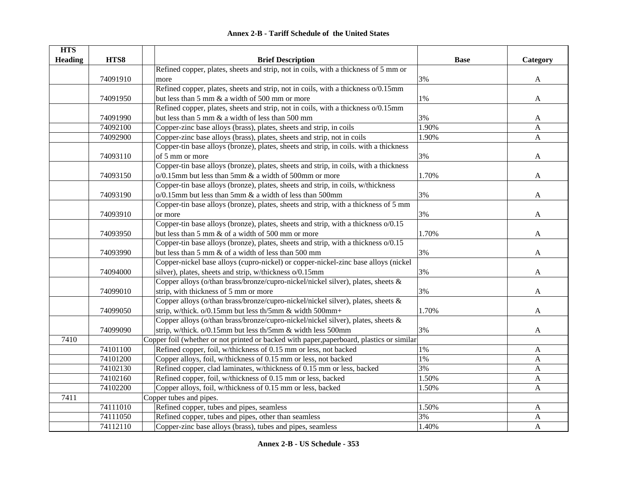| <b>Annex 2-B - Tariff Schedule of the United States</b> |
|---------------------------------------------------------|
|---------------------------------------------------------|

| <b>HTS</b>     |          |                                                                                           |             |              |
|----------------|----------|-------------------------------------------------------------------------------------------|-------------|--------------|
| <b>Heading</b> | HTS8     | <b>Brief Description</b>                                                                  | <b>Base</b> | Category     |
|                |          | Refined copper, plates, sheets and strip, not in coils, with a thickness of 5 mm or       |             |              |
|                | 74091910 | more                                                                                      | 3%          | $\mathbf{A}$ |
|                |          | Refined copper, plates, sheets and strip, not in coils, with a thickness o/0.15mm         |             |              |
|                | 74091950 | but less than 5 mm & a width of 500 mm or more                                            | 1%          | A            |
|                |          | Refined copper, plates, sheets and strip, not in coils, with a thickness o/0.15mm         |             |              |
|                | 74091990 | but less than 5 mm & a width of less than 500 mm                                          | 3%          | A            |
|                | 74092100 | Copper-zinc base alloys (brass), plates, sheets and strip, in coils                       | 1.90%       | A            |
|                | 74092900 | Copper-zinc base alloys (brass), plates, sheets and strip, not in coils                   | 1.90%       | $\mathbf{A}$ |
|                |          | Copper-tin base alloys (bronze), plates, sheets and strip, in coils. with a thickness     |             |              |
|                | 74093110 | of 5 mm or more                                                                           | 3%          | A            |
|                |          | Copper-tin base alloys (bronze), plates, sheets and strip, in coils, with a thickness     |             |              |
|                | 74093150 | $o/0.15$ mm but less than 5mm $\&$ a width of 500mm or more                               | 1.70%       | A            |
|                |          | Copper-tin base alloys (bronze), plates, sheets and strip, in coils, w/thickness          |             |              |
|                | 74093190 | o/0.15mm but less than 5mm & a width of less than 500mm                                   | 3%          | A            |
|                |          | Copper-tin base alloys (bronze), plates, sheets and strip, with a thickness of 5 mm       |             |              |
|                | 74093910 | or more                                                                                   | 3%          | A            |
|                |          | Copper-tin base alloys (bronze), plates, sheets and strip, with a thickness o/0.15        |             |              |
|                | 74093950 | but less than 5 mm & of a width of 500 mm or more                                         | 1.70%       | A            |
|                |          | Copper-tin base alloys (bronze), plates, sheets and strip, with a thickness o/0.15        |             |              |
|                | 74093990 | but less than 5 mm & of a width of less than 500 mm                                       | 3%          | A            |
|                |          | Copper-nickel base alloys (cupro-nickel) or copper-nickel-zinc base alloys (nickel        |             |              |
|                | 74094000 | silver), plates, sheets and strip, w/thickness o/0.15mm                                   | 3%          | A            |
|                |          | Copper alloys (o/than brass/bronze/cupro-nickel/nickel silver), plates, sheets &          |             |              |
|                | 74099010 | strip, with thickness of 5 mm or more                                                     | 3%          | A            |
|                |          | Copper alloys (o/than brass/bronze/cupro-nickel/nickel silver), plates, sheets &          |             |              |
|                | 74099050 | strip, w/thick. o/0.15mm but less th/5mm & width 500mm+                                   | 1.70%       | A            |
|                |          | Copper alloys (o/than brass/bronze/cupro-nickel/nickel silver), plates, sheets &          |             |              |
|                | 74099090 | strip, w/thick. o/0.15mm but less th/5mm & width less 500mm                               | 3%          | A            |
| 7410           |          | Copper foil (whether or not printed or backed with paper, paperboard, plastics or similar |             |              |
|                | 74101100 | Refined copper, foil, w/thickness of 0.15 mm or less, not backed                          | $1\%$       | A            |
|                | 74101200 | Copper alloys, foil, w/thickness of 0.15 mm or less, not backed                           | 1%          | A            |
|                | 74102130 | Refined copper, clad laminates, w/thickness of 0.15 mm or less, backed                    | 3%          | $\mathbf{A}$ |
|                | 74102160 | Refined copper, foil, w/thickness of 0.15 mm or less, backed                              | 1.50%       | A            |
|                | 74102200 | Copper alloys, foil, w/thickness of 0.15 mm or less, backed                               | 1.50%       | $\mathbf{A}$ |
| 7411           |          | Copper tubes and pipes.                                                                   |             |              |
|                | 74111010 | Refined copper, tubes and pipes, seamless                                                 | 1.50%       | A            |
|                | 74111050 | Refined copper, tubes and pipes, other than seamless                                      | 3%          | A            |
|                | 74112110 | Copper-zinc base alloys (brass), tubes and pipes, seamless                                | 1.40%       | $\mathbf{A}$ |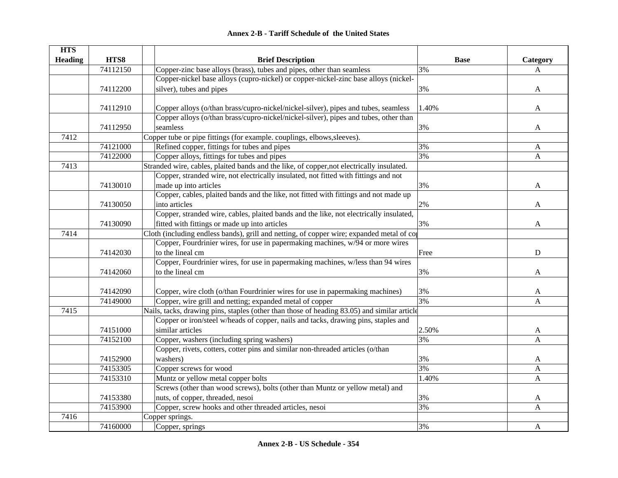|  | <b>Annex 2-B - Tariff Schedule of the United States</b> |  |
|--|---------------------------------------------------------|--|
|--|---------------------------------------------------------|--|

| <b>HTS</b>     |          |                                                                                             |             |           |
|----------------|----------|---------------------------------------------------------------------------------------------|-------------|-----------|
| <b>Heading</b> | HTS8     | <b>Brief Description</b>                                                                    | <b>Base</b> | Category  |
|                | 74112150 | Copper-zinc base alloys (brass), tubes and pipes, other than seamless                       | 3%          | A         |
|                |          | Copper-nickel base alloys (cupro-nickel) or copper-nickel-zinc base alloys (nickel-         |             |           |
|                | 74112200 | silver), tubes and pipes                                                                    | 3%          | A         |
|                |          |                                                                                             |             |           |
|                | 74112910 | Copper alloys (o/than brass/cupro-nickel/nickel-silver), pipes and tubes, seamless          | 1.40%       | A         |
|                |          | Copper alloys (o/than brass/cupro-nickel/nickel-silver), pipes and tubes, other than        |             |           |
|                | 74112950 | seamless                                                                                    | 3%          | A         |
| 7412           |          | Copper tube or pipe fittings (for example. couplings, elbows, sleeves).                     |             |           |
|                | 74121000 | Refined copper, fittings for tubes and pipes                                                | 3%          | A         |
|                | 74122000 | Copper alloys, fittings for tubes and pipes                                                 | 3%          | A         |
| 7413           |          | Stranded wire, cables, plaited bands and the like, of copper, not electrically insulated.   |             |           |
|                |          | Copper, stranded wire, not electrically insulated, not fitted with fittings and not         |             |           |
|                | 74130010 | made up into articles                                                                       | 3%          | A         |
|                |          | Copper, cables, plaited bands and the like, not fitted with fittings and not made up        |             |           |
|                | 74130050 | into articles                                                                               | 2%          | A         |
|                |          | Copper, stranded wire, cables, plaited bands and the like, not electrically insulated,      |             |           |
|                | 74130090 | fitted with fittings or made up into articles                                               | 3%          | A         |
| 7414           |          | Cloth (including endless bands), grill and netting, of copper wire; expanded metal of co    |             |           |
|                |          | Copper, Fourdrinier wires, for use in papermaking machines, w/94 or more wires              |             |           |
|                | 74142030 | to the lineal cm                                                                            | Free        | ${\bf D}$ |
|                |          | Copper, Fourdrinier wires, for use in papermaking machines, w/less than 94 wires            |             |           |
|                | 74142060 | to the lineal cm                                                                            | 3%          | A         |
|                |          |                                                                                             |             |           |
|                | 74142090 | Copper, wire cloth (o/than Fourdrinier wires for use in papermaking machines)               | 3%          | A         |
|                | 74149000 | Copper, wire grill and netting; expanded metal of copper                                    | 3%          | A         |
| 7415           |          | Nails, tacks, drawing pins, staples (other than those of heading 83.05) and similar article |             |           |
|                |          | Copper or iron/steel w/heads of copper, nails and tacks, drawing pins, staples and          |             |           |
|                | 74151000 | similar articles                                                                            | 2.50%       | A         |
|                | 74152100 | Copper, washers (including spring washers)                                                  | 3%          | A         |
|                |          | Copper, rivets, cotters, cotter pins and similar non-threaded articles (o/than              |             |           |
|                | 74152900 | washers)                                                                                    | 3%          | A         |
|                | 74153305 | Copper screws for wood                                                                      | 3%          | A         |
|                | 74153310 | Muntz or yellow metal copper bolts                                                          | 1.40%       | A         |
|                |          | Screws (other than wood screws), bolts (other than Muntz or yellow metal) and               |             |           |
|                | 74153380 | nuts, of copper, threaded, nesoi                                                            | 3%          | A         |
|                | 74153900 | Copper, screw hooks and other threaded articles, nesoi                                      | 3%          | A         |
| 7416           |          | Copper springs.                                                                             |             |           |
|                | 74160000 | Copper, springs                                                                             | 3%          | A         |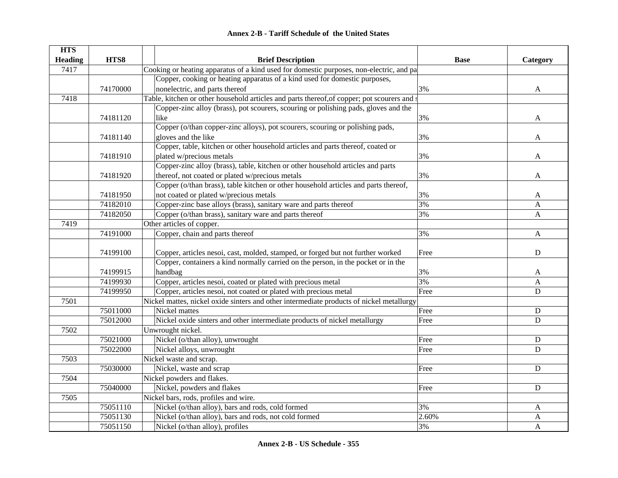|  | <b>Annex 2-B - Tariff Schedule of the United States</b> |  |
|--|---------------------------------------------------------|--|
|--|---------------------------------------------------------|--|

| <b>HTS</b>     |          |                                                                                             |             |              |
|----------------|----------|---------------------------------------------------------------------------------------------|-------------|--------------|
| <b>Heading</b> | HTS8     | <b>Brief Description</b>                                                                    | <b>Base</b> | Category     |
| 7417           |          | Cooking or heating apparatus of a kind used for domestic purposes, non-electric, and pa     |             |              |
|                |          | Copper, cooking or heating apparatus of a kind used for domestic purposes,                  |             |              |
|                | 74170000 | nonelectric, and parts thereof                                                              | 3%          | A            |
| 7418           |          | Table, kitchen or other household articles and parts thereof, of copper; pot scourers and s |             |              |
|                |          | Copper-zinc alloy (brass), pot scourers, scouring or polishing pads, gloves and the         |             |              |
|                | 74181120 | like                                                                                        | 3%          | A            |
|                |          | Copper (o/than copper-zinc alloys), pot scourers, scouring or polishing pads,               |             |              |
|                | 74181140 | gloves and the like                                                                         | 3%          | A            |
|                |          | Copper, table, kitchen or other household articles and parts thereof, coated or             |             |              |
|                | 74181910 | plated w/precious metals                                                                    | 3%          | A            |
|                |          | Copper-zinc alloy (brass), table, kitchen or other household articles and parts             |             |              |
|                | 74181920 | thereof, not coated or plated w/precious metals                                             | 3%          | A            |
|                |          | Copper (o/than brass), table kitchen or other household articles and parts thereof,         |             |              |
|                | 74181950 | not coated or plated w/precious metals                                                      | 3%          | A            |
|                | 74182010 | Copper-zinc base alloys (brass), sanitary ware and parts thereof                            | 3%          | A            |
|                | 74182050 | Copper (o/than brass), sanitary ware and parts thereof                                      | 3%          | A            |
| 7419           |          | Other articles of copper.                                                                   |             |              |
|                | 74191000 | Copper, chain and parts thereof                                                             | 3%          | $\mathbf{A}$ |
|                |          |                                                                                             |             |              |
|                | 74199100 | Copper, articles nesoi, cast, molded, stamped, or forged but not further worked             | Free        | ${\bf D}$    |
|                |          | Copper, containers a kind normally carried on the person, in the pocket or in the           |             |              |
|                | 74199915 | handbag                                                                                     | 3%          | A            |
|                | 74199930 | Copper, articles nesoi, coated or plated with precious metal                                | 3%          | A            |
|                | 74199950 | Copper, articles nesoi, not coated or plated with precious metal                            | Free        | $\mathbf D$  |
| 7501           |          | Nickel mattes, nickel oxide sinters and other intermediate products of nickel metallurgy    |             |              |
|                | 75011000 | Nickel mattes                                                                               | Free        | ${\bf D}$    |
|                | 75012000 | Nickel oxide sinters and other intermediate products of nickel metallurgy                   | Free        | $\mathbf D$  |
| 7502           |          | Unwrought nickel.                                                                           |             |              |
|                | 75021000 | Nickel (o/than alloy), unwrought                                                            | Free        | $\mathbf D$  |
|                | 75022000 | Nickel alloys, unwrought                                                                    | Free        | D            |
| 7503           |          | Nickel waste and scrap.                                                                     |             |              |
|                | 75030000 | Nickel, waste and scrap                                                                     | Free        | $\mathbf D$  |
| 7504           |          | Nickel powders and flakes.                                                                  |             |              |
|                | 75040000 | Nickel, powders and flakes                                                                  | Free        | $\mathbf D$  |
| 7505           |          | Nickel bars, rods, profiles and wire.                                                       |             |              |
|                | 75051110 | Nickel (o/than alloy), bars and rods, cold formed                                           | 3%          | A            |
|                | 75051130 | Nickel (o/than alloy), bars and rods, not cold formed                                       | 2.60%       | A            |
|                | 75051150 | Nickel (o/than alloy), profiles                                                             | 3%          | A            |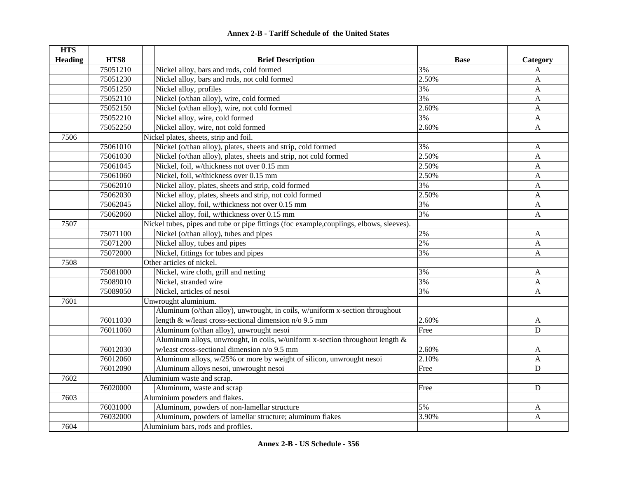| <b>HTS</b>     |          |                                                                                          |             |                           |
|----------------|----------|------------------------------------------------------------------------------------------|-------------|---------------------------|
| <b>Heading</b> | HTS8     | <b>Brief Description</b>                                                                 | <b>Base</b> | Category                  |
|                | 75051210 | Nickel alloy, bars and rods, cold formed                                                 | 3%          | A                         |
|                | 75051230 | Nickel alloy, bars and rods, not cold formed                                             | 2.50%       | A                         |
|                | 75051250 | Nickel alloy, profiles                                                                   | 3%          | A                         |
|                | 75052110 | Nickel (o/than alloy), wire, cold formed                                                 | 3%          | A                         |
|                | 75052150 | Nickel (o/than alloy), wire, not cold formed                                             | 2.60%       | $\mathbf{A}$              |
|                | 75052210 | Nickel alloy, wire, cold formed                                                          | 3%          | $\mathbf{A}$              |
|                | 75052250 | Nickel alloy, wire, not cold formed                                                      | 2.60%       | $\mathbf{A}$              |
| 7506           |          | Nickel plates, sheets, strip and foil.                                                   |             |                           |
|                | 75061010 | Nickel (o/than alloy), plates, sheets and strip, cold formed                             | 3%          | A                         |
|                | 75061030 | Nickel (o/than alloy), plates, sheets and strip, not cold formed                         | 2.50%       | $\mathbf{A}$              |
|                | 75061045 | Nickel, foil, w/thickness not over 0.15 mm                                               | 2.50%       | A                         |
|                | 75061060 | Nickel, foil, w/thickness over 0.15 mm                                                   | 2.50%       | $\mathbf{A}$              |
|                | 75062010 | Nickel alloy, plates, sheets and strip, cold formed                                      | 3%          | A                         |
|                | 75062030 | Nickel alloy, plates, sheets and strip, not cold formed                                  | 2.50%       | $\mathbf{A}$              |
|                | 75062045 | Nickel alloy, foil, w/thickness not over 0.15 mm                                         | 3%          | A                         |
|                | 75062060 | Nickel alloy, foil, w/thickness over 0.15 mm                                             | 3%          | $\mathbf{A}$              |
| 7507           |          | Nickel tubes, pipes and tube or pipe fittings (foc example, couplings, elbows, sleeves). |             |                           |
|                | 75071100 | Nickel (o/than alloy), tubes and pipes                                                   | 2%          | A                         |
|                | 75071200 | Nickel alloy, tubes and pipes                                                            | 2%          | $\mathbf{A}$              |
|                | 75072000 | Nickel, fittings for tubes and pipes                                                     | 3%          | $\mathbf{A}$              |
| 7508           |          | Other articles of nickel.                                                                |             |                           |
|                | 75081000 | Nickel, wire cloth, grill and netting                                                    | 3%          | $\boldsymbol{\mathsf{A}}$ |
|                | 75089010 | Nickel, stranded wire                                                                    | 3%          | $\boldsymbol{A}$          |
|                | 75089050 | Nickel, articles of nesoi                                                                | 3%          | $\boldsymbol{A}$          |
| 7601           |          | Unwrought aluminium.                                                                     |             |                           |
|                |          | Aluminum (o/than alloy), unwrought, in coils, w/uniform x-section throughout             |             |                           |
|                | 76011030 | length $&$ w/least cross-sectional dimension n/o 9.5 mm                                  | 2.60%       | A                         |
|                | 76011060 | Aluminum (o/than alloy), unwrought nesoi                                                 | Free        | $\overline{D}$            |
|                |          | Aluminum alloys, unwrought, in coils, w/uniform x-section throughout length $\&$         |             |                           |
|                | 76012030 | w/least cross-sectional dimension n/o 9.5 mm                                             | 2.60%       | A                         |
|                | 76012060 | Aluminum alloys, w/25% or more by weight of silicon, unwrought nesoi                     | 2.10%       | $\mathbf{A}$              |
|                | 76012090 | Aluminum alloys nesoi, unwrought nesoi                                                   | Free        | $\mathbf D$               |
| 7602           |          | Aluminium waste and scrap.                                                               |             |                           |
|                | 76020000 | Aluminum, waste and scrap                                                                | Free        | D                         |
| 7603           |          | Aluminium powders and flakes.                                                            |             |                           |
|                | 76031000 | Aluminum, powders of non-lamellar structure                                              | 5%          | A                         |
|                | 76032000 | Aluminum, powders of lamellar structure; aluminum flakes                                 | 3.90%       | $\mathbf{A}$              |
| 7604           |          | Aluminium bars, rods and profiles.                                                       |             |                           |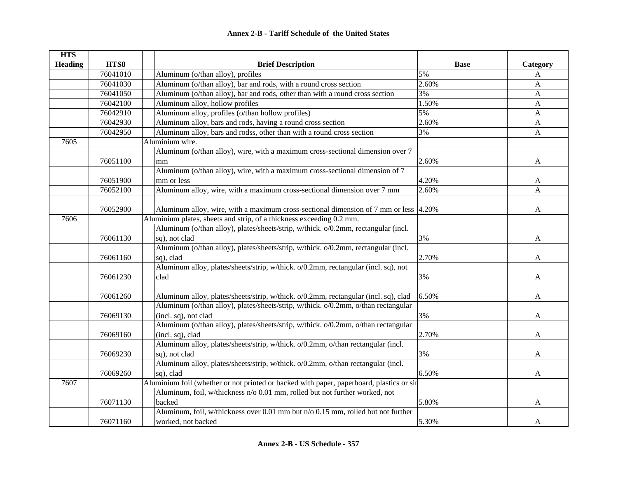| <b>HTS</b>     |          |                                                                                          |             |              |
|----------------|----------|------------------------------------------------------------------------------------------|-------------|--------------|
| <b>Heading</b> | HTS8     | <b>Brief Description</b>                                                                 | <b>Base</b> | Category     |
|                | 76041010 | Aluminum (o/than alloy), profiles                                                        | 5%          | A            |
|                | 76041030 | Aluminum (o/than alloy), bar and rods, with a round cross section                        | 2.60%       | A            |
|                | 76041050 | Aluminum (o/than alloy), bar and rods, other than with a round cross section             | 3%          | A            |
|                | 76042100 | Aluminum alloy, hollow profiles                                                          | 1.50%       | A            |
|                | 76042910 | Aluminum alloy, profiles (o/than hollow profiles)                                        | 5%          | A            |
|                | 76042930 | Aluminum alloy, bars and rods, having a round cross section                              | 2.60%       | A            |
|                | 76042950 | Aluminum alloy, bars and rodss, other than with a round cross section                    | 3%          | $\mathbf{A}$ |
| 7605           |          | Aluminium wire.                                                                          |             |              |
|                |          | Aluminum (o/than alloy), wire, with a maximum cross-sectional dimension over 7           |             |              |
|                | 76051100 | mm                                                                                       | 2.60%       | A            |
|                |          | Aluminum (o/than alloy), wire, with a maximum cross-sectional dimension of 7             |             |              |
|                | 76051900 | mm or less                                                                               | 4.20%       | A            |
|                | 76052100 | Aluminum alloy, wire, with a maximum cross-sectional dimension over 7 mm                 | 2.60%       | $\mathbf{A}$ |
|                |          |                                                                                          |             |              |
|                | 76052900 | Aluminum alloy, wire, with a maximum cross-sectional dimension of 7 mm or less 4.20%     |             | A            |
| 7606           |          | Aluminium plates, sheets and strip, of a thickness exceeding 0.2 mm.                     |             |              |
|                |          | Aluminum (o/than alloy), plates/sheets/strip, w/thick. o/0.2mm, rectangular (incl.       |             |              |
|                | 76061130 | sq), not clad                                                                            | 3%          | A            |
|                |          | Aluminum (o/than alloy), plates/sheets/strip, w/thick. o/0.2mm, rectangular (incl.       |             |              |
|                | 76061160 | sq), clad                                                                                | 2.70%       | A            |
|                |          | Aluminum alloy, plates/sheets/strip, w/thick. o/0.2mm, rectangular (incl. sq), not       |             |              |
|                | 76061230 | clad                                                                                     | 3%          | A            |
|                |          |                                                                                          |             |              |
|                | 76061260 | Aluminum alloy, plates/sheets/strip, w/thick. o/0.2mm, rectangular (incl. sq), clad      | 6.50%       | A            |
|                |          | Aluminum (o/than alloy), plates/sheets/strip, w/thick. o/0.2mm, o/than rectangular       |             |              |
|                | 76069130 | (incl. sq), not clad                                                                     | 3%          | A            |
|                |          | Aluminum (o/than alloy), plates/sheets/strip, w/thick. o/0.2mm, o/than rectangular       |             |              |
|                | 76069160 | (incl. sq), clad                                                                         | 2.70%       | A            |
|                |          | Aluminum alloy, plates/sheets/strip, w/thick. o/0.2mm, o/than rectangular (incl.         |             |              |
|                | 76069230 | sq), not clad                                                                            | 3%          | A            |
|                |          | Aluminum alloy, plates/sheets/strip, w/thick. o/0.2mm, o/than rectangular (incl.         |             |              |
|                | 76069260 | sq), clad                                                                                | 6.50%       | A            |
| 7607           |          | Aluminium foil (whether or not printed or backed with paper, paperboard, plastics or sir |             |              |
|                |          | Aluminum, foil, w/thickness n/o 0.01 mm, rolled but not further worked, not              |             |              |
|                | 76071130 | backed                                                                                   | 5.80%       | A            |
|                |          | Aluminum, foil, w/thickness over 0.01 mm but n/o 0.15 mm, rolled but not further         |             |              |
|                | 76071160 | worked, not backed                                                                       | 5.30%       | A            |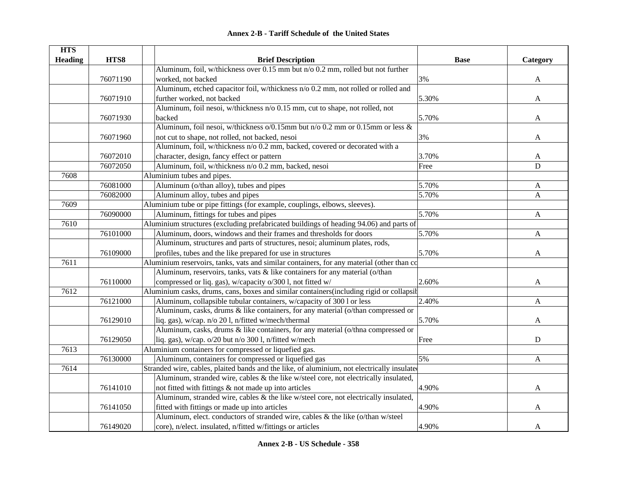|  | <b>Annex 2-B - Tariff Schedule of the United States</b> |  |
|--|---------------------------------------------------------|--|
|--|---------------------------------------------------------|--|

| <b>HTS</b>     |          |                                                                                             |             |              |
|----------------|----------|---------------------------------------------------------------------------------------------|-------------|--------------|
| <b>Heading</b> | HTS8     | <b>Brief Description</b>                                                                    | <b>Base</b> | Category     |
|                |          | Aluminum, foil, w/thickness over 0.15 mm but n/o 0.2 mm, rolled but not further             |             |              |
|                | 76071190 | worked, not backed                                                                          | 3%          | A            |
|                |          | Aluminum, etched capacitor foil, w/thickness n/o 0.2 mm, not rolled or rolled and           |             |              |
|                | 76071910 | further worked, not backed                                                                  | 5.30%       | A            |
|                |          | Aluminum, foil nesoi, w/thickness n/o 0.15 mm, cut to shape, not rolled, not                |             |              |
|                | 76071930 | backed                                                                                      | 5.70%       | A            |
|                |          | Aluminum, foil nesoi, w/thickness o/0.15mm but n/o 0.2 mm or 0.15mm or less &               |             |              |
|                | 76071960 | not cut to shape, not rolled, not backed, nesoi                                             | 3%          | A            |
|                |          | Aluminum, foil, w/thickness n/o 0.2 mm, backed, covered or decorated with a                 |             |              |
|                | 76072010 | character, design, fancy effect or pattern                                                  | 3.70%       | A            |
|                | 76072050 | Aluminum, foil, w/thickness n/o 0.2 mm, backed, nesoi                                       | Free        | $\mathbf D$  |
| 7608           |          | Aluminium tubes and pipes.                                                                  |             |              |
|                | 76081000 | Aluminum (o/than alloy), tubes and pipes                                                    | 5.70%       | $\mathbf{A}$ |
|                | 76082000 | Aluminum alloy, tubes and pipes                                                             | 5.70%       | A            |
| 7609           |          | Aluminium tube or pipe fittings (for example, couplings, elbows, sleeves).                  |             |              |
|                | 76090000 | Aluminum, fittings for tubes and pipes                                                      | 5.70%       | $\mathbf{A}$ |
| 7610           |          | Aluminium structures (excluding prefabricated buildings of heading 94.06) and parts of      |             |              |
|                | 76101000 | Aluminum, doors, windows and their frames and thresholds for doors                          | 5.70%       | $\mathbf{A}$ |
|                |          | Aluminum, structures and parts of structures, nesoi; aluminum plates, rods,                 |             |              |
|                | 76109000 | profiles, tubes and the like prepared for use in structures                                 | 5.70%       | $\mathbf{A}$ |
| 7611           |          | Aluminium reservoirs, tanks, vats and similar containers, for any material (other than co   |             |              |
|                |          | Aluminum, reservoirs, tanks, vats & like containers for any material (o/than                |             |              |
|                | 76110000 | compressed or liq. gas), w/capacity o/300 l, not fitted w/                                  | 2.60%       | A            |
| 7612           |          | Aluminium casks, drums, cans, boxes and similar containers(including rigid or collapsit     |             |              |
|                | 76121000 | Aluminum, collapsible tubular containers, w/capacity of 300 l or less                       | 2.40%       | A            |
|                |          | Aluminum, casks, drums & like containers, for any material (o/than compressed or            |             |              |
|                | 76129010 | liq. gas), w/cap. n/o 201, n/fitted w/mech/thermal                                          | 5.70%       | A            |
|                |          | Aluminum, casks, drums & like containers, for any material (o/thna compressed or            |             |              |
|                | 76129050 | liq. gas), w/cap. o/20 but n/o 300 l, n/fitted w/mech                                       | Free        | D            |
| 7613           |          | Aluminium containers for compressed or liquefied gas.                                       |             |              |
|                | 76130000 | Aluminum, containers for compressed or liquefied gas                                        | 5%          | A            |
| 7614           |          | Stranded wire, cables, plaited bands and the like, of aluminium, not electrically insulated |             |              |
|                |          | Aluminum, stranded wire, cables & the like w/steel core, not electrically insulated,        |             |              |
|                | 76141010 | not fitted with fittings & not made up into articles                                        | 4.90%       | A            |
|                |          | Aluminum, stranded wire, cables & the like w/steel core, not electrically insulated,        |             |              |
|                | 76141050 | fitted with fittings or made up into articles                                               | 4.90%       | A            |
|                |          | Aluminum, elect. conductors of stranded wire, cables & the like (o/than w/steel             |             |              |
|                | 76149020 | core), n/elect. insulated, n/fitted w/fittings or articles                                  | 4.90%       | A            |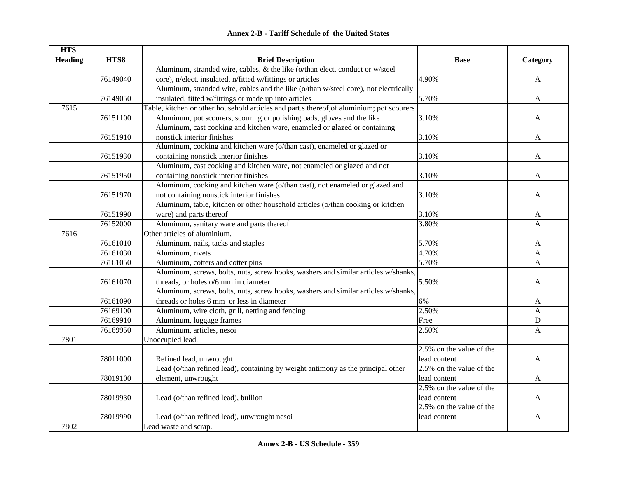| <b>HTS</b>     |          |                                                                                           |                          |              |
|----------------|----------|-------------------------------------------------------------------------------------------|--------------------------|--------------|
| <b>Heading</b> | HTS8     | <b>Brief Description</b>                                                                  | <b>Base</b>              | Category     |
|                |          | Aluminum, stranded wire, cables, & the like (o/than elect. conduct or w/steel             |                          |              |
|                | 76149040 | core), n/elect. insulated, n/fitted w/fittings or articles                                | 4.90%                    | $\mathbf{A}$ |
|                |          | Aluminum, stranded wire, cables and the like (o/than w/steel core), not electrically      |                          |              |
|                | 76149050 | insulated, fitted w/fittings or made up into articles                                     | 5.70%                    | A            |
| 7615           |          | Table, kitchen or other household articles and part.s thereof, of aluminium; pot scourers |                          |              |
|                | 76151100 | Aluminum, pot scourers, scouring or polishing pads, gloves and the like                   | 3.10%                    | A            |
|                |          | Aluminum, cast cooking and kitchen ware, enameled or glazed or containing                 |                          |              |
|                | 76151910 | nonstick interior finishes                                                                | 3.10%                    | A            |
|                |          | Aluminum, cooking and kitchen ware (o/than cast), enameled or glazed or                   |                          |              |
|                | 76151930 | containing nonstick interior finishes                                                     | 3.10%                    | A            |
|                |          | Aluminum, cast cooking and kitchen ware, not enameled or glazed and not                   |                          |              |
|                | 76151950 | containing nonstick interior finishes                                                     | 3.10%                    | A            |
|                |          | Aluminum, cooking and kitchen ware (o/than cast), not enameled or glazed and              |                          |              |
|                | 76151970 | not containing nonstick interior finishes                                                 | 3.10%                    | A            |
|                |          | Aluminum, table, kitchen or other household articles (o/than cooking or kitchen           |                          |              |
|                | 76151990 | ware) and parts thereof                                                                   | 3.10%                    | A            |
|                | 76152000 | Aluminum, sanitary ware and parts thereof                                                 | 3.80%                    | $\mathbf{A}$ |
| 7616           |          | Other articles of aluminium.                                                              |                          |              |
|                | 76161010 | Aluminum, nails, tacks and staples                                                        | 5.70%                    | A            |
|                | 76161030 | Aluminum, rivets                                                                          | 4.70%                    | A            |
|                | 76161050 | Aluminum, cotters and cotter pins                                                         | 5.70%                    | $\mathbf{A}$ |
|                |          | Aluminum, screws, bolts, nuts, screw hooks, washers and similar articles w/shanks,        |                          |              |
|                | 76161070 | threads, or holes o/6 mm in diameter                                                      | 5.50%                    | A            |
|                |          | Aluminum, screws, bolts, nuts, screw hooks, washers and similar articles w/shanks,        |                          |              |
|                | 76161090 | threads or holes 6 mm or less in diameter                                                 | 6%                       | A            |
|                | 76169100 | Aluminum, wire cloth, grill, netting and fencing                                          | 2.50%                    | $\mathbf{A}$ |
|                | 76169910 | Aluminum, luggage frames                                                                  | Free                     | ${\bf D}$    |
|                | 76169950 | Aluminum, articles, nesoi                                                                 | 2.50%                    | $\mathbf{A}$ |
| 7801           |          | Unoccupied lead.                                                                          |                          |              |
|                |          |                                                                                           | 2.5% on the value of the |              |
|                | 78011000 | Refined lead, unwrought                                                                   | lead content             | A            |
|                |          | Lead (o/than refined lead), containing by weight antimony as the principal other          | 2.5% on the value of the |              |
|                | 78019100 | element, unwrought                                                                        | lead content             | A            |
|                |          |                                                                                           | 2.5% on the value of the |              |
|                | 78019930 | Lead (o/than refined lead), bullion                                                       | lead content             | A            |
|                |          |                                                                                           | 2.5% on the value of the |              |
|                | 78019990 | Lead (o/than refined lead), unwrought nesoi                                               | lead content             | A            |
| 7802           |          | Lead waste and scrap.                                                                     |                          |              |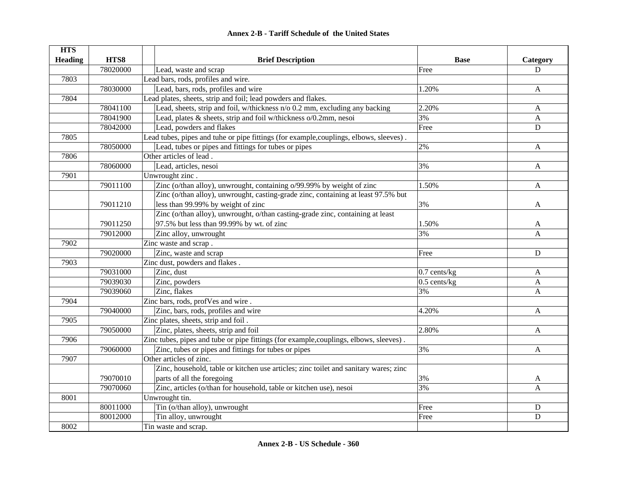| <b>HTS</b>     |          |                                                                                        |                   |              |
|----------------|----------|----------------------------------------------------------------------------------------|-------------------|--------------|
| <b>Heading</b> | HTS8     | <b>Brief Description</b>                                                               | <b>Base</b>       | Category     |
|                | 78020000 | Lead, waste and scrap                                                                  | Free              | D            |
| 7803           |          | Lead bars, rods, profiles and wire.                                                    |                   |              |
|                | 78030000 | Lead, bars, rods, profiles and wire                                                    | 1.20%             | $\mathbf{A}$ |
| 7804           |          | Lead plates, sheets, strip and foil; lead powders and flakes.                          |                   |              |
|                | 78041100 | Lead, sheets, strip and foil, w/thickness n/o 0.2 mm, excluding any backing            | 2.20%             | A            |
|                | 78041900 | Lead, plates & sheets, strip and foil w/thickness o/0.2mm, nesoi                       | 3%                | $\mathbf{A}$ |
|                | 78042000 | Lead, powders and flakes                                                               | Free              | $\mathbf D$  |
| 7805           |          | Lead tubes, pipes and tuhe or pipe fittings (for example, couplings, elbows, sleeves). |                   |              |
|                | 78050000 | Lead, tubes or pipes and fittings for tubes or pipes                                   | 2%                | A            |
| 7806           |          | Other articles of lead.                                                                |                   |              |
|                | 78060000 | Lead, articles, nesoi                                                                  | 3%                | A            |
| 7901           |          | Unwrought zinc.                                                                        |                   |              |
|                | 79011100 | Zinc (o/than alloy), unwrought, containing o/99.99% by weight of zinc                  | 1.50%             | A            |
|                |          | Zinc (o/than alloy), unwrought, casting-grade zinc, containing at least 97.5% but      |                   |              |
|                | 79011210 | less than 99.99% by weight of zinc                                                     | 3%                | A            |
|                |          | Zinc (o/than alloy), unwrought, o/than casting-grade zinc, containing at least         |                   |              |
|                | 79011250 | 97.5% but less than 99.99% by wt. of zinc                                              | 1.50%             | A            |
|                | 79012000 | Zinc alloy, unwrought                                                                  | 3%                | A            |
| 7902           |          | Zinc waste and scrap.                                                                  |                   |              |
|                | 79020000 | Zinc, waste and scrap                                                                  | Free              | $\mathbf D$  |
| 7903           |          | Zinc dust, powders and flakes.                                                         |                   |              |
|                | 79031000 | Zinc, dust                                                                             | $0.7$ cents/ $kg$ | $\mathbf{A}$ |
|                | 79039030 | Zinc, powders                                                                          | $0.5$ cents/kg    | $\mathbf{A}$ |
|                | 79039060 | Zinc, flakes                                                                           | 3%                | $\mathbf{A}$ |
| 7904           |          | Zinc bars, rods, profVes and wire.                                                     |                   |              |
|                | 79040000 | Zinc, bars, rods, profiles and wire                                                    | 4.20%             | $\mathsf{A}$ |
| 7905           |          | Zinc plates, sheets, strip and foil.                                                   |                   |              |
|                | 79050000 | Zinc, plates, sheets, strip and foil                                                   | 2.80%             | A            |
| 7906           |          | Zinc tubes, pipes and tube or pipe fittings (for example, couplings, elbows, sleeves). |                   |              |
|                | 79060000 | Zinc, tubes or pipes and fittings for tubes or pipes                                   | 3%                | A            |
| 7907           |          | Other articles of zinc.                                                                |                   |              |
|                |          | Zinc, household, table or kitchen use articles; zinc toilet and sanitary wares; zinc   |                   |              |
|                | 79070010 | parts of all the foregoing                                                             | 3%                | A            |
|                | 79070060 | Zinc, articles (o/than for household, table or kitchen use), nesoi                     | 3%                | $\mathsf{A}$ |
| 8001           |          | Unwrought tin.                                                                         |                   |              |
|                | 80011000 | Tin (o/than alloy), unwrought                                                          | Free              | D            |
|                | 80012000 | Tin alloy, unwrought                                                                   | Free              | $\mathbf D$  |
| 8002           |          | Tin waste and scrap.                                                                   |                   |              |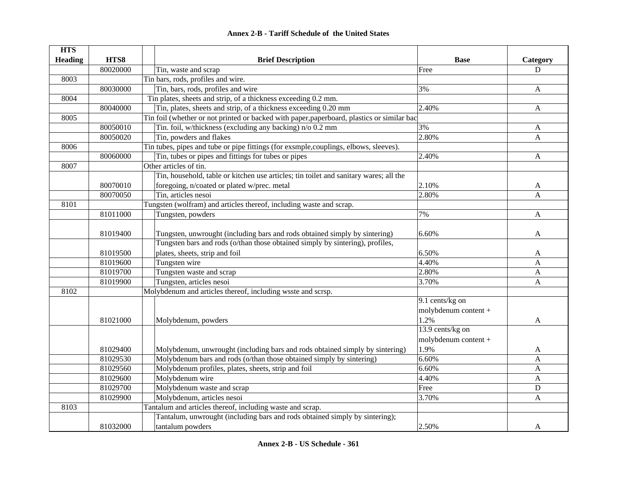| <b>HTS</b>     |          |                                                                                            |                      |              |
|----------------|----------|--------------------------------------------------------------------------------------------|----------------------|--------------|
| <b>Heading</b> | HTS8     | <b>Brief Description</b>                                                                   | <b>Base</b>          | Category     |
|                | 80020000 | Tin, waste and scrap                                                                       | Free                 | D            |
| 8003           |          | Tin bars, rods, profiles and wire.                                                         |                      |              |
|                | 80030000 | Tin, bars, rods, profiles and wire                                                         | 3%                   | $\mathbf{A}$ |
| 8004           |          | Tin plates, sheets and strip, of a thickness exceeding 0.2 mm.                             |                      |              |
|                | 80040000 | Tin, plates, sheets and strip, of a thickness exceeding 0.20 mm                            | 2.40%                | A            |
| 8005           |          | Tin foil (whether or not printed or backed with paper, paperboard, plastics or similar bac |                      |              |
|                | 80050010 | Tin. foil, w/thickness (excluding any backing) n/o 0.2 mm                                  | 3%                   | A            |
|                | 80050020 | Tin, powders and flakes                                                                    | 2.80%                | A            |
| 8006           |          | Tin tubes, pipes and tube or pipe fittings (for exsmple, couplings, elbows, sleeves).      |                      |              |
|                | 80060000 | Tin, tubes or pipes and fittings for tubes or pipes                                        | 2.40%                | A            |
| 8007           |          | Other articles of tin.                                                                     |                      |              |
|                |          | Tin, household, table or kitchen use articles; tin toilet and sanitary wares; all the      |                      |              |
|                | 80070010 | foregoing, n/coated or plated w/prec. metal                                                | 2.10%                | $\mathbf{A}$ |
|                | 80070050 | Tin, articles nesoi                                                                        | 2.80%                | $\mathbf{A}$ |
| 8101           |          | Tungsten (wolfram) and articles thereof, including waste and scrap.                        |                      |              |
|                | 81011000 | Tungsten, powders                                                                          | 7%                   | $\mathbf{A}$ |
|                |          |                                                                                            |                      |              |
|                | 81019400 | Tungsten, unwrought (including bars and rods obtained simply by sintering)                 | 6.60%                | A            |
|                |          | Tungsten bars and rods (o/than those obtained simply by sintering), profiles,              |                      |              |
|                | 81019500 | plates, sheets, strip and foil                                                             | 6.50%                | A            |
|                | 81019600 | Tungsten wire                                                                              | 4.40%                | $\mathbf{A}$ |
|                | 81019700 | Tungsten waste and scrap                                                                   | 2.80%                | $\mathbf{A}$ |
|                | 81019900 | Tungsten, articles nesoi                                                                   | 3.70%                | $\mathbf{A}$ |
| 8102           |          | Molybdenum and articles thereof, including wsste and scrsp.                                |                      |              |
|                |          |                                                                                            | 9.1 cents/kg on      |              |
|                |          |                                                                                            | molybdenum content + |              |
|                | 81021000 | Molybdenum, powders                                                                        | 1.2%                 | A            |
|                |          |                                                                                            | 13.9 cents/kg on     |              |
|                |          |                                                                                            | molybdenum content + |              |
|                | 81029400 | Molybdenum, unwrought (including bars and rods obtained simply by sintering)               | 1.9%                 | A            |
|                | 81029530 | Molybdenum bars and rods (o/than those obtained simply by sintering)                       | 6.60%                | $\mathbf{A}$ |
|                | 81029560 | Molybdenum profiles, plates, sheets, strip and foil                                        | 6.60%                | A            |
|                | 81029600 | Molybdenum wire                                                                            | 4.40%                | A            |
|                | 81029700 | Molybdenum waste and scrap                                                                 | Free                 | $\mathbf D$  |
|                | 81029900 | Molybdenum, articles nesoi                                                                 | 3.70%                | A            |
| 8103           |          | Tantalum and articles thereof, including waste and scrap.                                  |                      |              |
|                |          | Tantalum, unwrought (including bars and rods obtained simply by sintering);                |                      |              |
|                | 81032000 | tantalum powders                                                                           | 2.50%                | A            |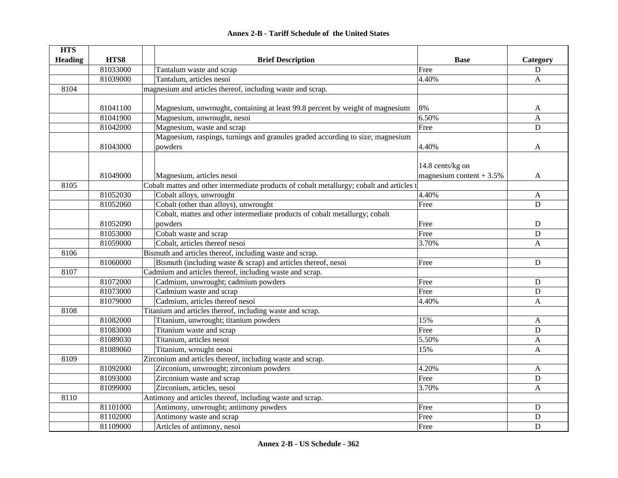|  | <b>Annex 2-B - Tariff Schedule of the United States</b> |  |
|--|---------------------------------------------------------|--|
|--|---------------------------------------------------------|--|

| <b>HTS</b>     |          |                                                                                           |                            |                |
|----------------|----------|-------------------------------------------------------------------------------------------|----------------------------|----------------|
| <b>Heading</b> | HTS8     | <b>Brief Description</b>                                                                  | <b>Base</b>                | Category       |
|                | 81033000 | Tantalum waste and scrap                                                                  | Free                       | ${\bf D}$      |
|                | 81039000 | Tantalum, articles nesoi                                                                  | 4.40%                      | A              |
| 8104           |          | magnesium and articles thereof, including waste and scrap.                                |                            |                |
|                |          |                                                                                           |                            |                |
|                | 81041100 | Magnesium, unwrought, containing at least 99.8 percent by weight of magnesium             | 8%                         | A              |
|                | 81041900 | Magnesium, unwrought, nesoi                                                               | 6.50%                      | $\overline{A}$ |
|                | 81042000 | Magnesium, waste and scrap                                                                | Free                       | D              |
|                |          | Magnesium, raspings, turnings and granules graded according to size; magnesium            |                            |                |
|                | 81043000 | powders                                                                                   | 4.40%                      | A              |
|                |          |                                                                                           |                            |                |
|                |          |                                                                                           | 14.8 cents/kg on           |                |
|                | 81049000 | Magnesium, articles nesoi                                                                 | magnesium content $+3.5\%$ | A              |
| 8105           |          | Cobalt mattes and other intermediate products of cobalt metallurgy; cobalt and articles t |                            |                |
|                | 81052030 | Cobalt alloys, unwrought                                                                  | 4.40%                      | $\mathbf{A}$   |
|                | 81052060 | Cobalt (other than alloys), unwrought                                                     | Free                       | D              |
|                |          | Cobalt, mattes and other intermediate products of cobalt metallurgy; cobalt               |                            |                |
|                | 81052090 | powders                                                                                   | Free                       | ${\bf D}$      |
|                | 81053000 | Cobalt waste and scrap                                                                    | Free                       | ${\bf D}$      |
|                | 81059000 | Cobalt, articles thereof nesoi                                                            | 3.70%                      | $\mathbf{A}$   |
| 8106           |          | Bismuth and articles thereof, including waste and scrap.                                  |                            |                |
|                | 81060000 | Bismuth (including waste $\&$ scrap) and articles thereof, nesoi                          | Free                       | $\mathbf D$    |
| 8107           |          | Cadmium and articles thereof, including waste and scrap.                                  |                            |                |
|                | 81072000 | Cadmium, unwrought; cadmium powders                                                       | Free                       | D              |
|                | 81073000 | Cadmium waste and scrap                                                                   | Free                       | ${\bf D}$      |
|                | 81079000 | Cadmium, articles thereof nesoi                                                           | 4.40%                      | A              |
| 8108           |          | Titanium and articles thereof, including waste and scrap.                                 |                            |                |
|                | 81082000 | Titanium, unwrought; titanium powders                                                     | 15%                        | A              |
|                | 81083000 | Titanium waste and scrap                                                                  | Free                       | ${\bf D}$      |
|                | 81089030 | Titanium, articles nesoi                                                                  | 5.50%                      | $\mathbf{A}$   |
|                | 81089060 | Titanium, wrought nesoi                                                                   | 15%                        | A              |
| 8109           |          | Zirconium and articles thereof, including waste and scrap.                                |                            |                |
|                | 81092000 | Zirconium, unwrought; zirconium powders                                                   | 4.20%                      | A              |
|                | 81093000 | Zirconium waste and scrap                                                                 | Free                       | $\mathbf D$    |
|                | 81099000 | Zirconium, articles, nesoi                                                                | 3.70%                      | A              |
| 8110           |          | Antimony and articles thereof, including waste and scrap.                                 |                            |                |
|                | 81101000 | Antimony, unwrought; antimony powders                                                     | Free                       | ${\bf D}$      |
|                | 81102000 | Antimony waste and scrap                                                                  | Free                       | D              |
|                | 81109000 | Articles of antimony, nesoi                                                               | Free                       | D              |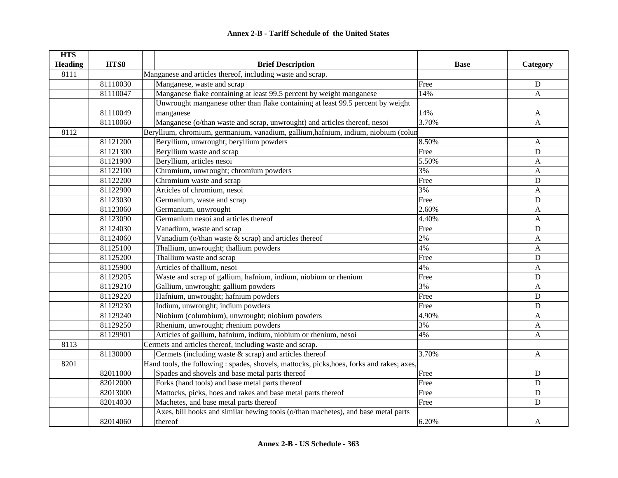| <b>HTS</b>     |          |                                                                                            |             |              |
|----------------|----------|--------------------------------------------------------------------------------------------|-------------|--------------|
| <b>Heading</b> | HTS8     | <b>Brief Description</b>                                                                   | <b>Base</b> | Category     |
| 8111           |          | Manganese and articles thereof, including waste and scrap.                                 |             |              |
|                | 81110030 | Manganese, waste and scrap                                                                 | Free        | $\mathbf D$  |
|                | 81110047 | Manganese flake containing at least 99.5 percent by weight manganese                       | 14%         | A            |
|                |          | Unwrought manganese other than flake containing at least 99.5 percent by weight            |             |              |
|                | 81110049 | manganese                                                                                  | 14%         | A            |
|                | 81110060 | Manganese (o/than waste and scrap, unwrought) and articles thereof, nesoi                  | 3.70%       | A            |
| 8112           |          | Beryllium, chromium, germanium, vanadium, gallium, hafnium, indium, niobium (colun         |             |              |
|                | 81121200 | Beryllium, unwrought; beryllium powders                                                    | 8.50%       | A            |
|                | 81121300 | Beryllium waste and scrap                                                                  | Free        | $\mathbf D$  |
|                | 81121900 | Beryllium, articles nesoi                                                                  | 5.50%       | A            |
|                | 81122100 | Chromium, unwrought; chromium powders                                                      | 3%          | A            |
|                | 81122200 | Chromium waste and scrap                                                                   | Free        | $\mathbf D$  |
|                | 81122900 | Articles of chromium, nesoi                                                                | 3%          | A            |
|                | 81123030 | Germanium, waste and scrap                                                                 | Free        | $\mathbf D$  |
|                | 81123060 | Germanium, unwrought                                                                       | 2.60%       | A            |
|                | 81123090 | Germanium nesoi and articles thereof                                                       | 4.40%       | A            |
|                | 81124030 | Vanadium, waste and scrap                                                                  | Free        | ${\bf D}$    |
|                | 81124060 | Vanadium ( $o$ /than waste & scrap) and articles thereof                                   | 2%          | A            |
|                | 81125100 | Thallium, unwrought; thallium powders                                                      | 4%          | A            |
|                | 81125200 | Thallium waste and scrap                                                                   | Free        | ${\bf D}$    |
|                | 81125900 | Articles of thallium, nesoi                                                                | 4%          | A            |
|                | 81129205 | Waste and scrap of gallium, hafnium, indium, niobium or rhenium                            | Free        | $\mathbf D$  |
|                | 81129210 | Gallium, unwrought; gallium powders                                                        | 3%          | A            |
|                | 81129220 | Hafnium, unwrought; hafnium powders                                                        | Free        | ${\bf D}$    |
|                | 81129230 | Indium, unwrought; indium powders                                                          | Free        | $\mathbf D$  |
|                | 81129240 | Niobium (columbium), unwrought; niobium powders                                            | 4.90%       | A            |
|                | 81129250 | Rhenium, unwrought; rhenium powders                                                        | 3%          | A            |
|                | 81129901 | Articles of gallium, hafnium, indium, niobium or rhenium, nesoi                            | 4%          | A            |
| 8113           |          | Cermets and articles thereof, including waste and scrap.                                   |             |              |
|                | 81130000 | Cermets (including waste $\&$ scrap) and articles thereof                                  | 3.70%       | $\mathbf{A}$ |
| 8201           |          | Hand tools, the following : spades, shovels, mattocks, picks, hoes, forks and rakes; axes, |             |              |
|                | 82011000 | Spades and shovels and base metal parts thereof                                            | Free        | ${\bf D}$    |
|                | 82012000 | Forks (hand tools) and base metal parts thereof                                            | Free        | $\mathbf D$  |
|                | 82013000 | Mattocks, picks, hoes and rakes and base metal parts thereof                               | Free        | D            |
|                | 82014030 | Machetes, and base metal parts thereof                                                     | Free        | ${\bf D}$    |
|                |          | Axes, bill hooks and similar hewing tools (o/than machetes), and base metal parts          |             |              |
|                | 82014060 | thereof                                                                                    | 6.20%       | A            |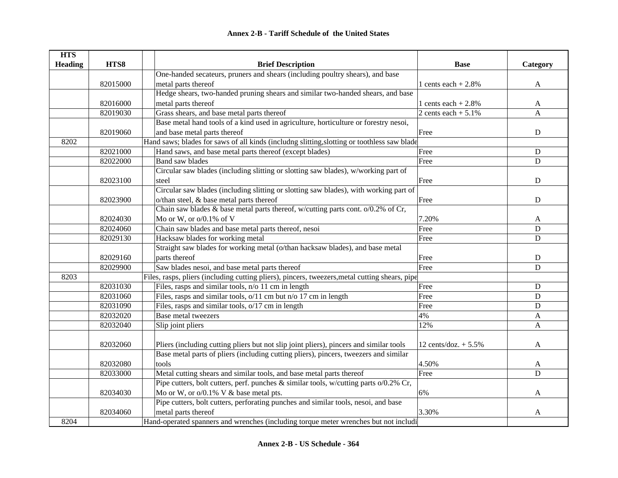| <b>HTS</b>     |          |                                                                                                |                         |              |
|----------------|----------|------------------------------------------------------------------------------------------------|-------------------------|--------------|
| <b>Heading</b> | HTS8     | <b>Brief Description</b>                                                                       | <b>Base</b>             | Category     |
|                |          | One-handed secateurs, pruners and shears (including poultry shears), and base                  |                         |              |
|                | 82015000 | metal parts thereof                                                                            | 1 cents each $+2.8\%$   | $\mathbf{A}$ |
|                |          | Hedge shears, two-handed pruning shears and similar two-handed shears, and base                |                         |              |
|                | 82016000 | metal parts thereof                                                                            | 1 cents each $+2.8%$    | A            |
|                | 82019030 | Grass shears, and base metal parts thereof                                                     | 2 cents each $+ 5.1\%$  | A            |
|                |          | Base metal hand tools of a kind used in agriculture, horticulture or forestry nesoi,           |                         |              |
|                | 82019060 | and base metal parts thereof                                                                   | Free                    | ${\bf D}$    |
| 8202           |          | Hand saws; blades for saws of all kinds (includng slitting, slotting or toothless saw blade    |                         |              |
|                | 82021000 | Hand saws, and base metal parts thereof (except blades)                                        | Free                    | ${\bf D}$    |
|                | 82022000 | <b>Band saw blades</b>                                                                         | Free                    | D            |
|                |          | Circular saw blades (including slitting or slotting saw blades), w/working part of             |                         |              |
|                | 82023100 | steel                                                                                          | Free                    | $\mathbf D$  |
|                |          | Circular saw blades (including slitting or slotting saw blades), with working part of          |                         |              |
|                | 82023900 | o/than steel, & base metal parts thereof                                                       | Free                    | D            |
|                |          | Chain saw blades & base metal parts thereof, w/cutting parts cont. o/0.2% of Cr,               |                         |              |
|                | 82024030 | Mo or W, or $o/0.1\%$ of V                                                                     | 7.20%                   | A            |
|                | 82024060 | Chain saw blades and base metal parts thereof, nesoi                                           | Free                    | D            |
|                | 82029130 | Hacksaw blades for working metal                                                               | Free                    | $\mathbf D$  |
|                |          | Straight saw blades for working metal (o/than hacksaw blades), and base metal                  |                         |              |
|                | 82029160 | parts thereof                                                                                  | Free                    | ${\bf D}$    |
|                | 82029900 | Saw blades nesoi, and base metal parts thereof                                                 | Free                    | $\mathbf D$  |
| 8203           |          | Files, rasps, pliers (including cutting pliers), pincers, tweezers, metal cutting shears, pipe |                         |              |
|                | 82031030 | Files, rasps and similar tools, n/o 11 cm in length                                            | Free                    | ${\bf D}$    |
|                | 82031060 | Files, rasps and similar tools, o/11 cm but n/o 17 cm in length                                | Free                    | D            |
|                | 82031090 | Files, rasps and similar tools, o/17 cm in length                                              | Free                    | D            |
|                | 82032020 | Base metal tweezers                                                                            | 4%                      | A            |
|                | 82032040 | Slip joint pliers                                                                              | 12%                     | A            |
|                |          |                                                                                                |                         |              |
|                | 82032060 | Pliers (including cutting pliers but not slip joint pliers), pincers and similar tools         | 12 cents/doz. $+ 5.5\%$ | A            |
|                |          | Base metal parts of pliers (including cutting pliers), pincers, tweezers and similar           |                         |              |
|                | 82032080 | tools                                                                                          | 4.50%                   | A            |
|                | 82033000 | Metal cutting shears and similar tools, and base metal parts thereof                           | Free                    | $\mathbf D$  |
|                |          | Pipe cutters, bolt cutters, perf. punches & similar tools, w/cutting parts o/0.2% Cr,          |                         |              |
|                | 82034030 | Mo or W, or $o/0.1\%$ V & base metal pts.                                                      | 6%                      | A            |
|                |          | Pipe cutters, bolt cutters, perforating punches and similar tools, nesoi, and base             |                         |              |
|                | 82034060 | metal parts thereof                                                                            | 3.30%                   | A            |
| 8204           |          | Hand-operated spanners and wrenches (including torque meter wrenches but not includi           |                         |              |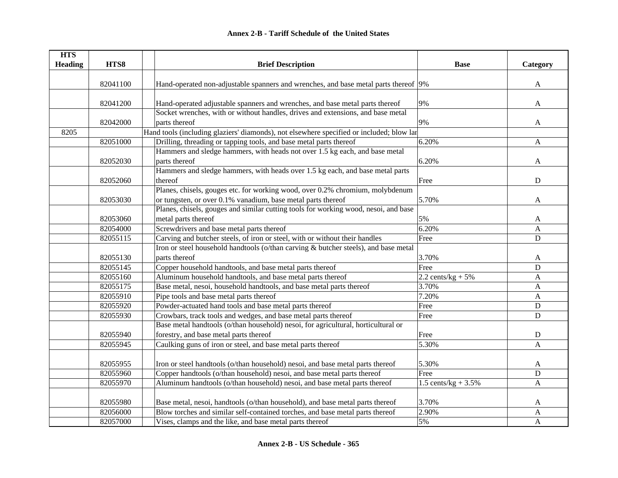| <b>HTS</b>     |          |                                                                                          |                        |              |
|----------------|----------|------------------------------------------------------------------------------------------|------------------------|--------------|
| <b>Heading</b> | HTS8     | <b>Brief Description</b>                                                                 | <b>Base</b>            | Category     |
|                | 82041100 | Hand-operated non-adjustable spanners and wrenches, and base metal parts thereof 9%      |                        | $\mathbf{A}$ |
|                |          |                                                                                          |                        |              |
|                | 82041200 | Hand-operated adjustable spanners and wrenches, and base metal parts thereof             | 9%                     | A            |
|                |          | Socket wrenches, with or without handles, drives and extensions, and base metal          |                        |              |
|                | 82042000 | parts thereof                                                                            | 9%                     | A            |
| 8205           |          | Hand tools (including glaziers' diamonds), not elsewhere specified or included; blow lar |                        |              |
|                | 82051000 | Drilling, threading or tapping tools, and base metal parts thereof                       | 6.20%                  | $\mathbf{A}$ |
|                |          | Hammers and sledge hammers, with heads not over 1.5 kg each, and base metal              |                        |              |
|                | 82052030 | parts thereof                                                                            | 6.20%                  | A            |
|                |          | Hammers and sledge hammers, with heads over 1.5 kg each, and base metal parts            |                        |              |
|                | 82052060 | thereof                                                                                  | Free                   | ${\bf D}$    |
|                |          | Planes, chisels, gouges etc. for working wood, over 0.2% chromium, molybdenum            |                        |              |
|                | 82053030 | or tungsten, or over 0.1% vanadium, base metal parts thereof                             | 5.70%                  | A            |
|                |          | Planes, chisels, gouges and similar cutting tools for working wood, nesoi, and base      |                        |              |
|                | 82053060 | metal parts thereof                                                                      | 5%                     | A            |
|                | 82054000 | Screwdrivers and base metal parts thereof                                                | 6.20%                  | A            |
|                | 82055115 | Carving and butcher steels, of iron or steel, with or without their handles              | Free                   | ${\bf D}$    |
|                |          | Iron or steel household handtools (o/than carving & butcher steels), and base metal      |                        |              |
|                | 82055130 | parts thereof                                                                            | 3.70%                  | A            |
|                | 82055145 | Copper household handtools, and base metal parts thereof                                 | Free                   | D            |
|                | 82055160 | Aluminum household handtools, and base metal parts thereof                               | 2.2 cents/ $kg + 5%$   | A            |
|                | 82055175 | Base metal, nesoi, household handtools, and base metal parts thereof                     | 3.70%                  | $\mathbf{A}$ |
|                | 82055910 | Pipe tools and base metal parts thereof                                                  | 7.20%                  | $\mathbf{A}$ |
|                | 82055920 | Powder-actuated hand tools and base metal parts thereof                                  | Free                   | $\mathbf D$  |
|                | 82055930 | Crowbars, track tools and wedges, and base metal parts thereof                           | Free                   | $\mathbf D$  |
|                |          | Base metal handtools (o/than household) nesoi, for agricultural, horticultural or        |                        |              |
|                | 82055940 | forestry, and base metal parts thereof                                                   | Free                   | ${\bf D}$    |
|                | 82055945 | Caulking guns of iron or steel, and base metal parts thereof                             | 5.30%                  | A            |
|                |          |                                                                                          |                        |              |
|                | 82055955 | Iron or steel handtools (o/than household) nesoi, and base metal parts thereof           | 5.30%                  | A            |
|                | 82055960 | Copper handtools (o/than household) nesoi, and base metal parts thereof                  | Free                   | ${\bf D}$    |
|                | 82055970 | Aluminum handtools (o/than household) nesoi, and base metal parts thereof                | 1.5 cents/kg + $3.5\%$ | A            |
|                | 82055980 | Base metal, nesoi, handtools (o/than household), and base metal parts thereof            | 3.70%                  | A            |
|                | 82056000 | Blow torches and similar self-contained torches, and base metal parts thereof            | 2.90%                  | A            |
|                | 82057000 | Vises, clamps and the like, and base metal parts thereof                                 | 5%                     | $\mathbf{A}$ |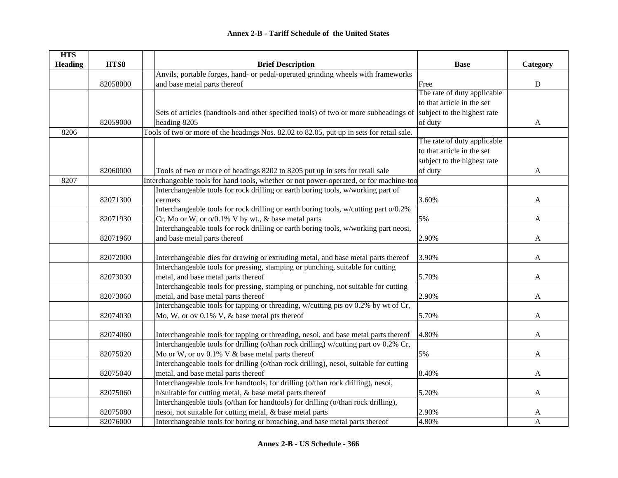| <b>HTS</b>     |          |                                                                                                                  |                             |           |
|----------------|----------|------------------------------------------------------------------------------------------------------------------|-----------------------------|-----------|
| <b>Heading</b> | HTS8     | <b>Brief Description</b>                                                                                         | <b>Base</b>                 | Category  |
|                |          | Anvils, portable forges, hand- or pedal-operated grinding wheels with frameworks                                 |                             |           |
|                | 82058000 | and base metal parts thereof                                                                                     | Free                        | ${\bf D}$ |
|                |          |                                                                                                                  | The rate of duty applicable |           |
|                |          |                                                                                                                  | to that article in the set  |           |
|                |          | Sets of articles (handtools and other specified tools) of two or more subheadings of subject to the highest rate |                             |           |
|                | 82059000 | heading 8205                                                                                                     | of duty                     | A         |
| 8206           |          | Tools of two or more of the headings Nos. 82.02 to 82.05, put up in sets for retail sale.                        |                             |           |
|                |          |                                                                                                                  | The rate of duty applicable |           |
|                |          |                                                                                                                  | to that article in the set  |           |
|                |          |                                                                                                                  | subject to the highest rate |           |
|                | 82060000 | Tools of two or more of headings 8202 to 8205 put up in sets for retail sale                                     | of duty                     | A         |
| 8207           |          | Interchangeable tools for hand tools, whether or not power-operated, or for machine-too                          |                             |           |
|                |          | Interchangeable tools for rock drilling or earth boring tools, w/working part of                                 |                             |           |
|                | 82071300 | cermets                                                                                                          | 3.60%                       | A         |
|                |          | Interchangeable tools for rock drilling or earth boring tools, w/cutting part o/0.2%                             |                             |           |
|                | 82071930 | Cr, Mo or W, or o/0.1% V by wt., & base metal parts                                                              | 5%                          | A         |
|                |          | Interchangeable tools for rock drilling or earth boring tools, w/working part neosi,                             |                             |           |
|                | 82071960 | and base metal parts thereof                                                                                     | 2.90%                       | A         |
|                |          |                                                                                                                  |                             |           |
|                | 82072000 | Interchangeable dies for drawing or extruding metal, and base metal parts thereof                                | 3.90%                       | A         |
|                |          | Interchangeable tools for pressing, stamping or punching, suitable for cutting                                   |                             |           |
|                | 82073030 | metal, and base metal parts thereof                                                                              | 5.70%                       | A         |
|                |          | Interchangeable tools for pressing, stamping or punching, not suitable for cutting                               |                             |           |
|                | 82073060 | metal, and base metal parts thereof                                                                              | 2.90%                       | A         |
|                |          | Interchangeable tools for tapping or threading, w/cutting pts ov 0.2% by wt of Cr,                               |                             |           |
|                | 82074030 | Mo, W, or ov 0.1% V, & base metal pts thereof                                                                    | 5.70%                       | A         |
|                |          |                                                                                                                  |                             |           |
|                | 82074060 | Interchangeable tools for tapping or threading, nesoi, and base metal parts thereof                              | 4.80%                       | A         |
|                |          | Interchangeable tools for drilling (o/than rock drilling) w/cutting part ov 0.2% Cr,                             |                             |           |
|                | 82075020 | Mo or W, or ov 0.1% V & base metal parts thereof                                                                 | 5%                          | A         |
|                |          | Interchangeable tools for drilling (o/than rock drilling), nesoi, suitable for cutting                           |                             |           |
|                | 82075040 | metal, and base metal parts thereof                                                                              | 8.40%                       | A         |
|                |          | Interchangeable tools for handtools, for drilling (o/than rock drilling), nesoi,                                 |                             |           |
|                | 82075060 | n/suitable for cutting metal, & base metal parts thereof                                                         | 5.20%                       | A         |
|                |          | Interchangeable tools (o/than for handtools) for drilling (o/than rock drilling),                                |                             |           |
|                | 82075080 | nesoi, not suitable for cutting metal, & base metal parts                                                        | 2.90%                       | A         |
|                | 82076000 | Interchangeable tools for boring or broaching, and base metal parts thereof                                      | 4.80%                       | A         |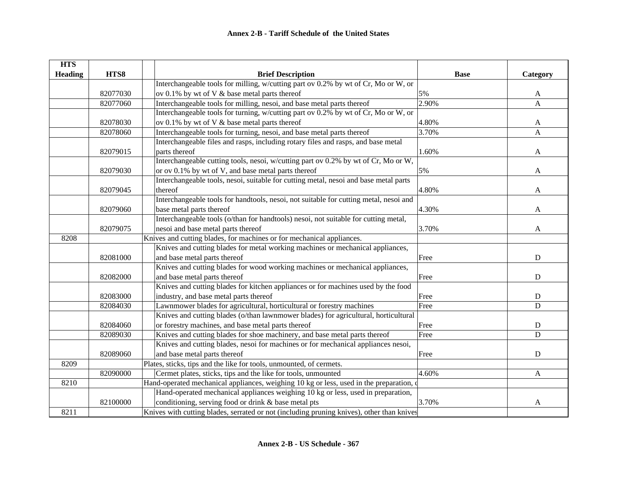| <b>HTS</b>     |          |                                                                                           |             |             |
|----------------|----------|-------------------------------------------------------------------------------------------|-------------|-------------|
| <b>Heading</b> | HTS8     | <b>Brief Description</b>                                                                  | <b>Base</b> | Category    |
|                |          | Interchangeable tools for milling, w/cutting part ov 0.2% by wt of Cr, Mo or W, or        |             |             |
|                | 82077030 | ov 0.1% by wt of V & base metal parts thereof                                             | 5%          | A           |
|                | 82077060 | Interchangeable tools for milling, nesoi, and base metal parts thereof                    | 2.90%       | A           |
|                |          | Interchangeable tools for turning, w/cutting part ov 0.2% by wt of Cr, Mo or W, or        |             |             |
|                | 82078030 | ov 0.1% by wt of V & base metal parts thereof                                             | 4.80%       | A           |
|                | 82078060 | Interchangeable tools for turning, nesoi, and base metal parts thereof                    | 3.70%       | A           |
|                |          | Interchangeable files and rasps, including rotary files and rasps, and base metal         |             |             |
|                | 82079015 | parts thereof                                                                             | 1.60%       | A           |
|                |          | Interchangeable cutting tools, nesoi, w/cutting part ov 0.2% by wt of Cr, Mo or W,        |             |             |
|                | 82079030 | or ov 0.1% by wt of V, and base metal parts thereof                                       | 5%          | A           |
|                |          | Interchangeable tools, nesoi, suitable for cutting metal, nesoi and base metal parts      |             |             |
|                | 82079045 | thereof                                                                                   | 4.80%       | A           |
|                |          | Interchangeable tools for handtools, nesoi, not suitable for cutting metal, nesoi and     |             |             |
|                | 82079060 | base metal parts thereof                                                                  | 4.30%       | A           |
|                |          | Interchangeable tools (o/than for handtools) nesoi, not suitable for cutting metal,       |             |             |
|                | 82079075 | nesoi and base metal parts thereof                                                        | 3.70%       | A           |
| 8208           |          | Knives and cutting blades, for machines or for mechanical appliances.                     |             |             |
|                |          | Knives and cutting blades for metal working machines or mechanical appliances,            |             |             |
|                | 82081000 | and base metal parts thereof                                                              | Free        | D           |
|                |          | Knives and cutting blades for wood working machines or mechanical appliances,             |             |             |
|                | 82082000 | and base metal parts thereof                                                              | Free        | ${\bf D}$   |
|                |          | Knives and cutting blades for kitchen appliances or for machines used by the food         |             |             |
|                | 82083000 | industry, and base metal parts thereof                                                    | Free        | D           |
|                | 82084030 | Lawnmower blades for agricultural, horticultural or forestry machines                     | Free        | $\mathbf D$ |
|                |          | Knives and cutting blades (o/than lawnmower blades) for agricultural, horticultural       |             |             |
|                | 82084060 | or forestry machines, and base metal parts thereof                                        | Free        | ${\bf D}$   |
|                | 82089030 | Knives and cutting blades for shoe machinery, and base metal parts thereof                | Free        | $\mathbf D$ |
|                |          | Knives and cutting blades, nesoi for machines or for mechanical appliances nesoi,         |             |             |
|                | 82089060 | and base metal parts thereof                                                              | Free        | ${\bf D}$   |
| 8209           |          | Plates, sticks, tips and the like for tools, unmounted, of cermets.                       |             |             |
|                | 82090000 | Cermet plates, sticks, tips and the like for tools, unmounted                             | 4.60%       | A           |
| 8210           |          | Hand-operated mechanical appliances, weighing 10 kg or less, used in the preparation, o   |             |             |
|                |          | Hand-operated mechanical appliances weighing 10 kg or less, used in preparation,          |             |             |
|                | 82100000 | conditioning, serving food or drink & base metal pts                                      | 3.70%       | A           |
| 8211           |          | Knives with cutting blades, serrated or not (including pruning knives), other than knives |             |             |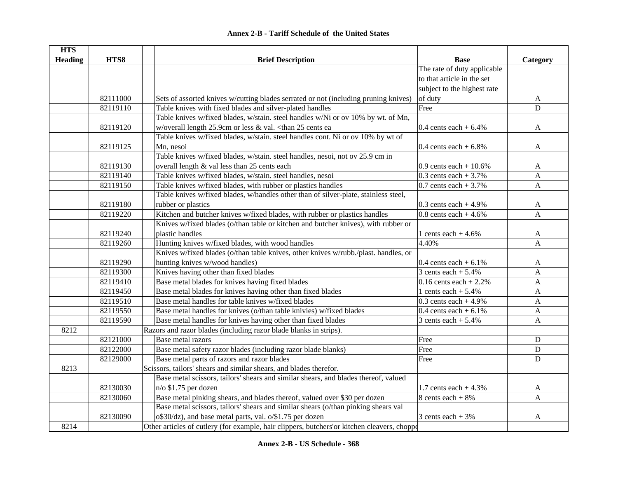| <b>HTS</b>     |          |                                                                                                                                      |                             |                |
|----------------|----------|--------------------------------------------------------------------------------------------------------------------------------------|-----------------------------|----------------|
| <b>Heading</b> | HTS8     | <b>Brief Description</b>                                                                                                             | <b>Base</b>                 | Category       |
|                |          |                                                                                                                                      | The rate of duty applicable |                |
|                |          |                                                                                                                                      | to that article in the set  |                |
|                |          |                                                                                                                                      | subject to the highest rate |                |
|                | 82111000 | Sets of assorted knives w/cutting blades serrated or not (including pruning knives)                                                  | of duty                     | $\mathbf{A}$   |
|                | 82119110 | Table knives with fixed blades and silver-plated handles                                                                             | Free                        | D              |
|                |          | Table knives w/fixed blades, w/stain. steel handles w/Ni or ov 10% by wt. of Mn,                                                     |                             |                |
|                | 82119120 | w/overall length 25.9cm or less & val. <than 25="" cents="" ea<="" td=""><td>0.4 cents each <math>+6.4%</math></td><td>A</td></than> | 0.4 cents each $+6.4%$      | A              |
|                |          | Table knives w/fixed blades, w/stain. steel handles cont. Ni or ov 10% by wt of                                                      |                             |                |
|                | 82119125 | Mn, nesoi                                                                                                                            | 0.4 cents each $+6.8\%$     | A              |
|                |          | Table knives w/fixed blades, w/stain. steel handles, nesoi, not ov 25.9 cm in                                                        |                             |                |
|                | 82119130 | overall length & val less than 25 cents each                                                                                         | 0.9 cents each $+10.6%$     | A              |
|                | 82119140 | Table knives w/fixed blades, w/stain. steel handles, nesoi                                                                           | 0.3 cents each $+3.7\%$     | $\mathbf{A}$   |
|                | 82119150 | Table knives w/fixed blades, with rubber or plastics handles                                                                         | 0.7 cents each $+3.7\%$     | $\overline{A}$ |
|                |          | Table knives w/fixed blades, w/handles other than of silver-plate, stainless steel,                                                  |                             |                |
|                | 82119180 | rubber or plastics                                                                                                                   | 0.3 cents each $+4.9%$      | A              |
|                | 82119220 | Kitchen and butcher knives w/fixed blades, with rubber or plastics handles                                                           | 0.8 cents each $+4.6%$      | $\overline{A}$ |
|                |          | Knives w/fixed blades (o/than table or kitchen and butcher knives), with rubber or                                                   |                             |                |
|                | 82119240 | plastic handles                                                                                                                      | 1 cents each $+4.6%$        | A              |
|                | 82119260 | Hunting knives w/fixed blades, with wood handles                                                                                     | 4.40%                       | A              |
|                |          | Knives w/fixed blades (o/than table knives, other knives w/rubb./plast. handles, or                                                  |                             |                |
|                | 82119290 | hunting knives w/wood handles)                                                                                                       | 0.4 cents each $+6.1\%$     | A              |
|                | 82119300 | Knives having other than fixed blades                                                                                                | 3 cents each $+$ 5.4%       | $\mathbf{A}$   |
|                | 82119410 | Base metal blades for knives having fixed blades                                                                                     | $0.16$ cents each + 2.2%    | $\mathbf{A}$   |
|                | 82119450 | Base metal blades for knives having other than fixed blades                                                                          | 1 cents each $+ 5.4%$       | $\mathbf{A}$   |
|                | 82119510 | Base metal handles for table knives w/fixed blades                                                                                   | $0.3$ cents each + 4.9%     | $\mathbf{A}$   |
|                | 82119550 | Base metal handles for knives (o/than table knivies) w/fixed blades                                                                  | $0.4$ cents each + $6.1\%$  | $\mathbf{A}$   |
|                | 82119590 | Base metal handles for knives having other than fixed blades                                                                         | 3 cents each $+ 5.4%$       | A              |
| 8212           |          | Razors and razor blades (including razor blade blanks in strips).                                                                    |                             |                |
|                | 82121000 | Base metal razors                                                                                                                    | Free                        | D              |
|                | 82122000 | Base metal safety razor blades (including razor blade blanks)                                                                        | Free                        | D              |
|                | 82129000 | Base metal parts of razors and razor blades                                                                                          | Free                        | D              |
| 8213           |          | Scissors, tailors' shears and similar shears, and blades therefor.                                                                   |                             |                |
|                |          | Base metal scissors, tailors' shears and similar shears, and blades thereof, valued                                                  |                             |                |
|                | 82130030 | $n$ /o \$1.75 per dozen                                                                                                              | 1.7 cents each $+4.3%$      | $\mathbf{A}$   |
|                | 82130060 | Base metal pinking shears, and blades thereof, valued over \$30 per dozen                                                            | 8 cents each $+8%$          | $\mathbf{A}$   |
|                |          | Base metal scissors, tailors' shears and similar shears (o/than pinking shears val                                                   |                             |                |
|                | 82130090 | o\$30/dz), and base metal parts, val. o/\$1.75 per dozen                                                                             | 3 cents each $+3\%$         | A              |
| 8214           |          | Other articles of cutlery (for example, hair clippers, butchers' or kitchen cleavers, choppe                                         |                             |                |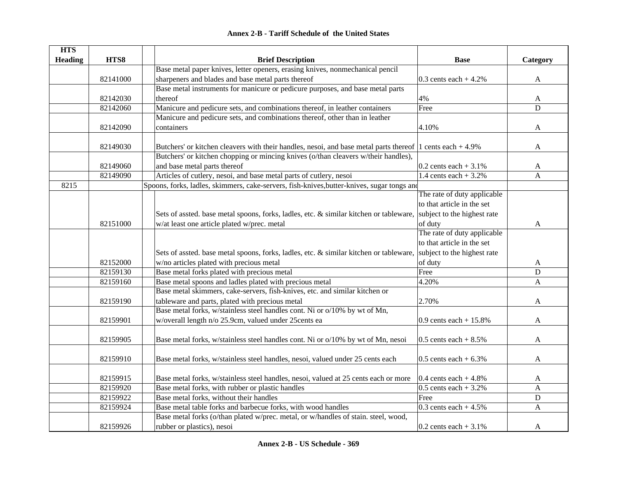| <b>HTS</b>     |          |                                                                                                                                         |                                                   |              |
|----------------|----------|-----------------------------------------------------------------------------------------------------------------------------------------|---------------------------------------------------|--------------|
| <b>Heading</b> | HTS8     | <b>Brief Description</b>                                                                                                                | <b>Base</b>                                       | Category     |
|                |          | Base metal paper knives, letter openers, erasing knives, nonmechanical pencil                                                           |                                                   |              |
|                | 82141000 | sharpeners and blades and base metal parts thereof                                                                                      | 0.3 cents each $+4.2\%$                           | $\mathbf{A}$ |
|                |          | Base metal instruments for manicure or pedicure purposes, and base metal parts                                                          |                                                   |              |
|                | 82142030 | thereof                                                                                                                                 | 4%                                                | A            |
|                | 82142060 | Manicure and pedicure sets, and combinations thereof, in leather containers                                                             | Free                                              | $\mathbf D$  |
|                |          | Manicure and pedicure sets, and combinations thereof, other than in leather                                                             |                                                   |              |
|                | 82142090 | containers                                                                                                                              | 4.10%                                             | A            |
|                |          |                                                                                                                                         |                                                   |              |
|                | 82149030 | Butchers' or kitchen cleavers with their handles, nesoi, and base metal parts thereof 1 cents each $+4.9\%$                             |                                                   | A            |
|                |          | Butchers' or kitchen chopping or mincing knives (o/than cleavers w/their handles),                                                      |                                                   |              |
|                | 82149060 | and base metal parts thereof                                                                                                            | $0.2$ cents each + 3.1%                           | A            |
|                | 82149090 | Articles of cutlery, nesoi, and base metal parts of cutlery, nesoi                                                                      | 1.4 cents each $+3.2%$                            | A            |
| 8215           |          | Spoons, forks, ladles, skimmers, cake-servers, fish-knives, butter-knives, sugar tongs and                                              |                                                   |              |
|                |          |                                                                                                                                         | The rate of duty applicable                       |              |
|                |          |                                                                                                                                         | to that article in the set                        |              |
|                |          | Sets of assted. base metal spoons, forks, ladles, etc. & similar kitchen or tableware,                                                  | subject to the highest rate                       |              |
|                | 82151000 | w/at least one article plated w/prec. metal                                                                                             | of duty                                           | A            |
|                |          |                                                                                                                                         | The rate of duty applicable                       |              |
|                |          |                                                                                                                                         | to that article in the set                        |              |
|                |          | Sets of assted. base metal spoons, forks, ladles, etc. & similar kitchen or tableware,                                                  | subject to the highest rate                       |              |
|                | 82152000 | w/no articles plated with precious metal                                                                                                | of duty                                           | A            |
|                | 82159130 | Base metal forks plated with precious metal                                                                                             | Free                                              | $\mathbf D$  |
|                | 82159160 | Base metal spoons and ladles plated with precious metal                                                                                 | 4.20%                                             | $\mathbf{A}$ |
|                |          | Base metal skimmers, cake-servers, fish-knives, etc. and similar kitchen or                                                             |                                                   |              |
|                | 82159190 | tableware and parts, plated with precious metal                                                                                         | 2.70%                                             | A            |
|                |          | Base metal forks, w/stainless steel handles cont. Ni or o/10% by wt of Mn,                                                              |                                                   |              |
|                | 82159901 | w/overall length n/o 25.9cm, valued under 25cents ea                                                                                    | 0.9 cents each + $15.8%$                          | A            |
|                |          |                                                                                                                                         |                                                   |              |
|                | 82159905 | Base metal forks, w/stainless steel handles cont. Ni or o/10% by wt of Mn, nesoi                                                        | 0.5 cents each $+8.5\%$                           | A            |
|                |          |                                                                                                                                         |                                                   |              |
|                | 82159910 | Base metal forks, w/stainless steel handles, nesoi, valued under 25 cents each                                                          | 0.5 cents each $+6.3\%$                           | A            |
|                | 82159915 |                                                                                                                                         |                                                   |              |
|                | 82159920 | Base metal forks, w/stainless steel handles, nesoi, valued at 25 cents each or more<br>Base metal forks, with rubber or plastic handles | 0.4 cents each $+4.8\%$<br>0.5 cents each $+3.2%$ | A            |
|                |          |                                                                                                                                         |                                                   | $\mathbf{A}$ |
|                | 82159922 | Base metal forks, without their handles                                                                                                 | Free                                              | ${\bf D}$    |
|                | 82159924 | Base metal table forks and barbecue forks, with wood handles                                                                            | $\overline{0.3}$ cents each + 4.5%                | $\mathbf{A}$ |
|                |          | Base metal forks (o/than plated w/prec. metal, or w/handles of stain. steel, wood,                                                      |                                                   |              |
|                | 82159926 | rubber or plastics), nesoi                                                                                                              | 0.2 cents each $+3.1\%$                           | A            |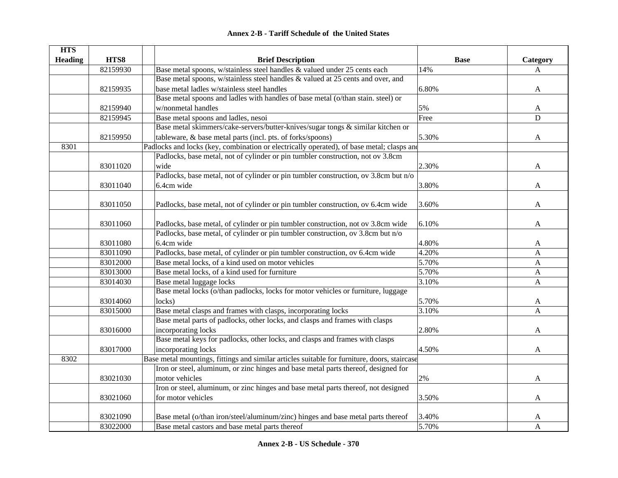|  | <b>Annex 2-B - Tariff Schedule of the United States</b> |  |
|--|---------------------------------------------------------|--|
|--|---------------------------------------------------------|--|

| <b>HTS</b>     |          |                                                                                              |             |             |
|----------------|----------|----------------------------------------------------------------------------------------------|-------------|-------------|
| <b>Heading</b> | HTS8     | <b>Brief Description</b>                                                                     | <b>Base</b> | Category    |
|                | 82159930 | Base metal spoons, w/stainless steel handles & valued under 25 cents each                    | 14%         | A           |
|                |          | Base metal spoons, w/stainless steel handles & valued at 25 cents and over, and              |             |             |
|                | 82159935 | base metal ladles w/stainless steel handles                                                  | 6.80%       | A           |
|                |          | Base metal spoons and ladles with handles of base metal (o/than stain. steel) or             |             |             |
|                | 82159940 | w/nonmetal handles                                                                           | 5%          | A           |
|                | 82159945 | Base metal spoons and ladles, nesoi                                                          | Free        | $\mathbf D$ |
|                |          | Base metal skimmers/cake-servers/butter-knives/sugar tongs & similar kitchen or              |             |             |
|                | 82159950 | tableware, & base metal parts (incl. pts. of forks/spoons)                                   | 5.30%       | A           |
| 8301           |          | Padlocks and locks (key, combination or electrically operated), of base metal; clasps and    |             |             |
|                |          | Padlocks, base metal, not of cylinder or pin tumbler construction, not ov 3.8cm              |             |             |
|                | 83011020 | wide                                                                                         | 2.30%       | A           |
|                |          | Padlocks, base metal, not of cylinder or pin tumbler construction, ov 3.8cm but n/o          |             |             |
|                | 83011040 | 6.4cm wide                                                                                   | 3.80%       | A           |
|                |          |                                                                                              |             |             |
|                | 83011050 | Padlocks, base metal, not of cylinder or pin tumbler construction, ov 6.4cm wide             | 3.60%       | A           |
|                |          |                                                                                              |             |             |
|                | 83011060 | Padlocks, base metal, of cylinder or pin tumbler construction, not ov 3.8cm wide             | 6.10%       | A           |
|                |          | Padlocks, base metal, of cylinder or pin tumbler construction, ov 3.8cm but n/o              |             |             |
|                | 83011080 | 6.4cm wide                                                                                   | 4.80%       | A           |
|                | 83011090 | Padlocks, base metal, of cylinder or pin tumbler construction, ov 6.4cm wide                 | 4.20%       | A           |
|                | 83012000 | Base metal locks, of a kind used on motor vehicles                                           | 5.70%       | A           |
|                | 83013000 | Base metal locks, of a kind used for furniture                                               | 5.70%       | A           |
|                | 83014030 | Base metal luggage locks                                                                     | 3.10%       | A           |
|                |          | Base metal locks (o/than padlocks, locks for motor vehicles or furniture, luggage            |             |             |
|                | 83014060 | locks)                                                                                       | 5.70%       | A           |
|                | 83015000 | Base metal clasps and frames with clasps, incorporating locks                                | 3.10%       | A           |
|                |          | Base metal parts of padlocks, other locks, and clasps and frames with clasps                 |             |             |
|                | 83016000 | incorporating locks                                                                          | 2.80%       | A           |
|                |          | Base metal keys for padlocks, other locks, and clasps and frames with clasps                 |             |             |
|                | 83017000 | incorporating locks                                                                          | 4.50%       | A           |
| 8302           |          | Base metal mountings, fittings and similar articles suitable for furniture, doors, staircase |             |             |
|                |          | Iron or steel, aluminum, or zinc hinges and base metal parts thereof, designed for           |             |             |
|                | 83021030 | motor vehicles                                                                               | 2%          | A           |
|                |          | Iron or steel, aluminum, or zinc hinges and base metal parts thereof, not designed           |             |             |
|                | 83021060 | for motor vehicles                                                                           | 3.50%       | A           |
|                |          |                                                                                              |             |             |
|                | 83021090 | Base metal (o/than iron/steel/aluminum/zinc) hinges and base metal parts thereof             | 3.40%       | A           |
|                | 83022000 | Base metal castors and base metal parts thereof                                              | 5.70%       | A           |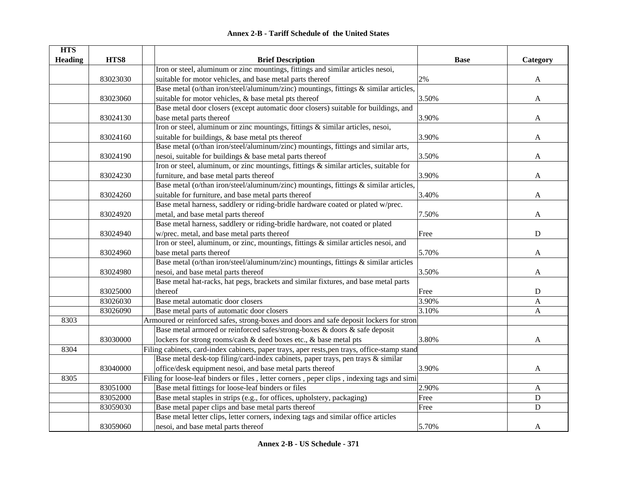| <b>Annex 2-B - Tariff Schedule of the United States</b> |
|---------------------------------------------------------|
|---------------------------------------------------------|

| <b>HTS</b>     |          |                                                                                              |             |           |
|----------------|----------|----------------------------------------------------------------------------------------------|-------------|-----------|
| <b>Heading</b> | HTS8     | <b>Brief Description</b>                                                                     | <b>Base</b> | Category  |
|                |          | Iron or steel, aluminum or zinc mountings, fittings and similar articles nesoi,              |             |           |
|                | 83023030 | suitable for motor vehicles, and base metal parts thereof                                    | $2\%$       | A         |
|                |          | Base metal (o/than iron/steel/aluminum/zinc) mountings, fittings & similar articles,         |             |           |
|                | 83023060 | suitable for motor vehicles, & base metal pts thereof                                        | 3.50%       | A         |
|                |          | Base metal door closers (except automatic door closers) suitable for buildings, and          |             |           |
|                | 83024130 | base metal parts thereof                                                                     | 3.90%       | A         |
|                |          | Iron or steel, aluminum or zinc mountings, fittings & similar articles, nesoi,               |             |           |
|                | 83024160 | suitable for buildings, & base metal pts thereof                                             | 3.90%       | A         |
|                |          | Base metal (o/than iron/steel/aluminum/zinc) mountings, fittings and similar arts,           |             |           |
|                | 83024190 | nesoi, suitable for buildings & base metal parts thereof                                     | 3.50%       | A         |
|                |          | Iron or steel, aluminum, or zinc mountings, fittings $\&$ similar articles, suitable for     |             |           |
|                | 83024230 | furniture, and base metal parts thereof                                                      | 3.90%       | A         |
|                |          | Base metal (o/than iron/steel/aluminum/zinc) mountings, fittings $\&$ similar articles,      |             |           |
|                | 83024260 | suitable for furniture, and base metal parts thereof                                         | 3.40%       | A         |
|                |          | Base metal harness, saddlery or riding-bridle hardware coated or plated w/prec.              |             |           |
|                | 83024920 | metal, and base metal parts thereof                                                          | 7.50%       | A         |
|                |          | Base metal harness, saddlery or riding-bridle hardware, not coated or plated                 |             |           |
|                | 83024940 | w/prec. metal, and base metal parts thereof                                                  | Free        | ${\bf D}$ |
|                |          | Iron or steel, aluminum, or zinc, mountings, fittings & similar articles nesoi, and          |             |           |
|                | 83024960 | base metal parts thereof                                                                     | 5.70%       | A         |
|                |          | Base metal (o/than iron/steel/aluminum/zinc) mountings, fittings & similar articles          |             |           |
|                | 83024980 | nesoi, and base metal parts thereof                                                          | 3.50%       | A         |
|                |          | Base metal hat-racks, hat pegs, brackets and similar fixtures, and base metal parts          |             |           |
|                | 83025000 | thereof                                                                                      | Free        | ${\bf D}$ |
|                | 83026030 | Base metal automatic door closers                                                            | 3.90%       | A         |
|                | 83026090 | Base metal parts of automatic door closers                                                   | 3.10%       | A         |
| 8303           |          | Armoured or reinforced safes, strong-boxes and doors and safe deposit lockers for stron      |             |           |
|                |          | Base metal armored or reinforced safes/strong-boxes & doors & safe deposit                   |             |           |
|                | 83030000 | lockers for strong rooms/cash & deed boxes etc., & base metal pts                            | 3.80%       | A         |
| 8304           |          | Filing cabinets, card-index cabinets, paper trays, aper rests, pen trays, office-stamp stand |             |           |
|                |          | Base metal desk-top filing/card-index cabinets, paper trays, pen trays & similar             |             |           |
|                | 83040000 | office/desk equipment nesoi, and base metal parts thereof                                    | 3.90%       | A         |
| 8305           |          | Filing for loose-leaf binders or files, letter corners, peper clips, indexing tags and simi  |             |           |
|                | 83051000 | Base metal fittings for loose-leaf binders or files                                          | 2.90%       | A         |
|                | 83052000 | Base metal staples in strips (e.g., for offices, upholstery, packaging)                      | Free        | ${\bf D}$ |
|                | 83059030 | Base metal paper clips and base metal parts thereof                                          | Free        | D         |
|                |          | Base metal letter clips, letter corners, indexing tags and similar office articles           |             |           |
|                | 83059060 | nesoi, and base metal parts thereof                                                          | 5.70%       | A         |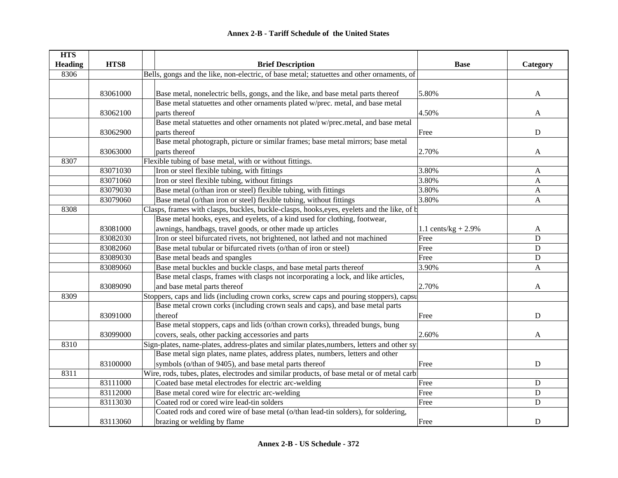| <b>HTS</b><br><b>Heading</b> | HTS8     | <b>Brief Description</b>                                                                    | <b>Base</b>            | Category                  |
|------------------------------|----------|---------------------------------------------------------------------------------------------|------------------------|---------------------------|
| 8306                         |          | Bells, gongs and the like, non-electric, of base metal; statuettes and other ornaments, of  |                        |                           |
|                              |          |                                                                                             |                        |                           |
|                              | 83061000 | Base metal, nonelectric bells, gongs, and the like, and base metal parts thereof            | 5.80%                  | A                         |
|                              |          | Base metal statuettes and other ornaments plated w/prec. metal, and base metal              |                        |                           |
|                              | 83062100 | parts thereof                                                                               | 4.50%                  | A                         |
|                              |          | Base metal statuettes and other ornaments not plated w/prec.metal, and base metal           |                        |                           |
|                              | 83062900 | parts thereof                                                                               | Free                   | $\mathbf D$               |
|                              |          | Base metal photograph, picture or similar frames; base metal mirrors; base metal            |                        |                           |
|                              | 83063000 | parts thereof                                                                               | 2.70%                  | $\mathbf{A}$              |
| 8307                         |          | Flexible tubing of base metal, with or without fittings.                                    |                        |                           |
|                              | 83071030 | Iron or steel flexible tubing, with fittings                                                | 3.80%                  | A                         |
|                              | 83071060 | Iron or steel flexible tubing, without fittings                                             | 3.80%                  | $\boldsymbol{\mathsf{A}}$ |
|                              | 83079030 | Base metal (o/than iron or steel) flexible tubing, with fittings                            | 3.80%                  | A                         |
|                              | 83079060 | Base metal (o/than iron or steel) flexible tubing, without fittings                         | 3.80%                  | A                         |
| 8308                         |          | Clasps, frames with clasps, buckles, buckle-clasps, hooks, eyes, eyelets and the like, of b |                        |                           |
|                              |          | Base metal hooks, eyes, and eyelets, of a kind used for clothing, footwear,                 |                        |                           |
|                              | 83081000 | awnings, handbags, travel goods, or other made up articles                                  | 1.1 cents/kg + $2.9\%$ | A                         |
|                              | 83082030 | Iron or steel bifurcated rivets, not brightened, not lathed and not machined                | Free                   | $\mathbf D$               |
|                              | 83082060 | Base metal tubular or bifurcated rivets (o/than of iron or steel)                           | Free                   | D                         |
|                              | 83089030 | Base metal beads and spangles                                                               | Free                   | D                         |
|                              | 83089060 | Base metal buckles and buckle clasps, and base metal parts thereof                          | 3.90%                  | $\mathbf{A}$              |
|                              |          | Base metal clasps, frames with clasps not incorporating a lock, and like articles,          |                        |                           |
|                              | 83089090 | and base metal parts thereof                                                                | 2.70%                  | A                         |
| 8309                         |          | Stoppers, caps and lids (including crown corks, screw caps and pouring stoppers), capsu     |                        |                           |
|                              |          | Base metal crown corks (including crown seals and caps), and base metal parts               |                        |                           |
|                              | 83091000 | thereof                                                                                     | Free                   | $\mathbf D$               |
|                              |          | Base metal stoppers, caps and lids (o/than crown corks), threaded bungs, bung               |                        |                           |
|                              | 83099000 | covers, seals, other packing accessories and parts                                          | 2.60%                  | A                         |
| 8310                         |          | Sign-plates, name-plates, address-plates and similar plates, numbers, letters and other sy  |                        |                           |
|                              |          | Base metal sign plates, name plates, address plates, numbers, letters and other             |                        |                           |
|                              | 83100000 | symbols (o/than of 9405), and base metal parts thereof                                      | Free                   | ${\bf D}$                 |
| 8311                         |          | Wire, rods, tubes, plates, electrodes and similar products, of base metal or of metal carbi |                        |                           |
|                              | 83111000 | Coated base metal electrodes for electric arc-welding                                       | Free                   | D                         |
|                              | 83112000 | Base metal cored wire for electric arc-welding                                              | Free                   | D                         |
|                              | 83113030 | Coated rod or cored wire lead-tin solders                                                   | Free                   | $\mathbf D$               |
|                              |          | Coated rods and cored wire of base metal (o/than lead-tin solders), for soldering,          |                        |                           |
|                              | 83113060 | brazing or welding by flame                                                                 | Free                   | D                         |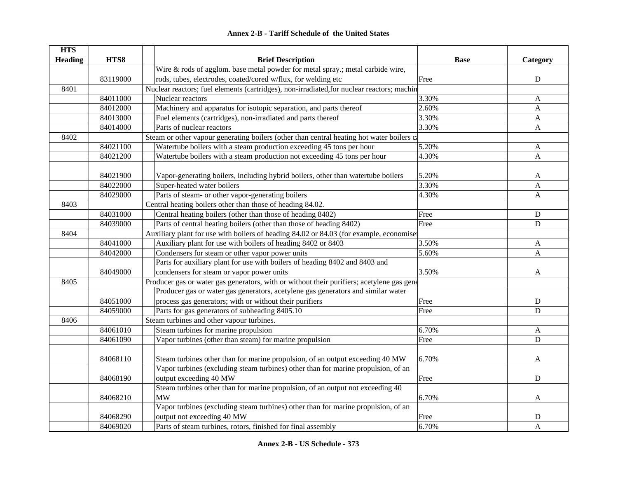| <b>Annex 2-B - Tariff Schedule of the United States</b> |
|---------------------------------------------------------|
|---------------------------------------------------------|

| <b>HTS</b>     |          |                                                                                            |             |              |
|----------------|----------|--------------------------------------------------------------------------------------------|-------------|--------------|
| <b>Heading</b> | HTS8     | <b>Brief Description</b>                                                                   | <b>Base</b> | Category     |
|                |          | Wire $\&$ rods of agglom. base metal powder for metal spray.; metal carbide wire,          |             |              |
|                | 83119000 | rods, tubes, electrodes, coated/cored w/flux, for welding etc                              | Free        | ${\bf D}$    |
| 8401           |          | Nuclear reactors; fuel elements (cartridges), non-irradiated, for nuclear reactors; machin |             |              |
|                | 84011000 | Nuclear reactors                                                                           | 3.30%       | $\mathbf{A}$ |
|                | 84012000 | Machinery and apparatus for isotopic separation, and parts thereof                         | 2.60%       | A            |
|                | 84013000 | Fuel elements (cartridges), non-irradiated and parts thereof                               | 3.30%       | A            |
|                | 84014000 | Parts of nuclear reactors                                                                  | 3.30%       | $\mathbf{A}$ |
| 8402           |          | Steam or other vapour generating boilers (other than central heating hot water boilers ca  |             |              |
|                | 84021100 | Watertube boilers with a steam production exceeding 45 tons per hour                       | 5.20%       | A            |
|                | 84021200 | Watertube boilers with a steam production not exceeding 45 tons per hour                   | 4.30%       | $\mathbf{A}$ |
|                |          |                                                                                            |             |              |
|                | 84021900 | Vapor-generating boilers, including hybrid boilers, other than watertube boilers           | 5.20%       | A            |
|                | 84022000 | Super-heated water boilers                                                                 | 3.30%       | A            |
|                | 84029000 | Parts of steam- or other vapor-generating boilers                                          | 4.30%       | $\mathbf{A}$ |
| 8403           |          | Central heating boilers other than those of heading 84.02.                                 |             |              |
|                | 84031000 | Central heating boilers (other than those of heading 8402)                                 | Free        | $\mathbf D$  |
|                | 84039000 | Parts of central heating boilers (other than those of heading 8402)                        | Free        | $\mathbf D$  |
| 8404           |          | Auxiliary plant for use with boilers of heading 84.02 or 84.03 (for example, economise     |             |              |
|                | 84041000 | Auxiliary plant for use with boilers of heading 8402 or 8403                               | 3.50%       | $\mathbf{A}$ |
|                | 84042000 | Condensers for steam or other vapor power units                                            | 5.60%       | A            |
|                |          | Parts for auxiliary plant for use with boilers of heading 8402 and 8403 and                |             |              |
|                | 84049000 | condensers for steam or vapor power units                                                  | 3.50%       | A            |
| 8405           |          | Producer gas or water gas generators, with or without their purifiers; acetylene gas gene  |             |              |
|                |          | Producer gas or water gas generators, acetylene gas generators and similar water           |             |              |
|                | 84051000 | process gas generators; with or without their purifiers                                    | Free        | $\mathbf D$  |
|                | 84059000 | Parts for gas generators of subheading 8405.10                                             | Free        | $\mathbf D$  |
| 8406           |          | Steam turbines and other vapour turbines.                                                  |             |              |
|                | 84061010 | Steam turbines for marine propulsion                                                       | 6.70%       | A            |
|                | 84061090 | Vapor turbines (other than steam) for marine propulsion                                    | Free        | $\mathbf D$  |
|                |          |                                                                                            |             |              |
|                | 84068110 | Steam turbines other than for marine propulsion, of an output exceeding 40 MW              | 6.70%       | A            |
|                |          | Vapor turbines (excluding steam turbines) other than for marine propulsion, of an          |             |              |
|                | 84068190 | output exceeding 40 MW                                                                     | Free        | $\mathbf D$  |
|                |          | Steam turbines other than for marine propulsion, of an output not exceeding 40             |             |              |
|                | 84068210 | <b>MW</b>                                                                                  | 6.70%       | A            |
|                |          | Vapor turbines (excluding steam turbines) other than for marine propulsion, of an          |             |              |
|                | 84068290 | output not exceeding 40 MW                                                                 | Free        | $\mathbf D$  |
|                | 84069020 | Parts of steam turbines, rotors, finished for final assembly                               | 6.70%       | A            |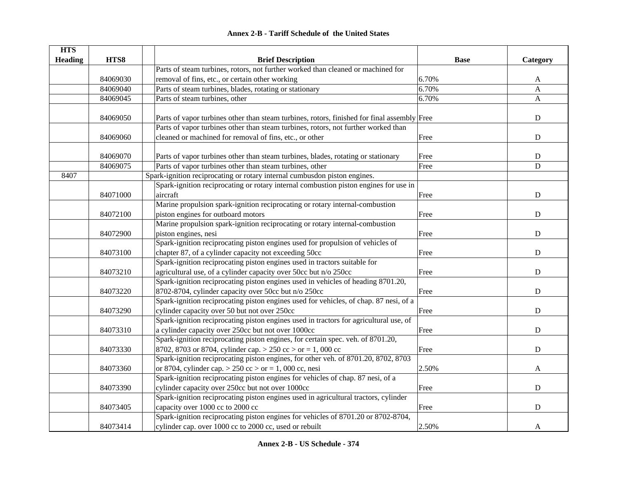|  | <b>Annex 2-B - Tariff Schedule of the United States</b> |  |
|--|---------------------------------------------------------|--|
|--|---------------------------------------------------------|--|

| <b>HTS</b>     |          |                                                                                                                                               |             |              |
|----------------|----------|-----------------------------------------------------------------------------------------------------------------------------------------------|-------------|--------------|
| <b>Heading</b> | HTS8     | <b>Brief Description</b>                                                                                                                      | <b>Base</b> | Category     |
|                |          | Parts of steam turbines, rotors, not further worked than cleaned or machined for                                                              |             |              |
|                | 84069030 | removal of fins, etc., or certain other working                                                                                               | 6.70%       | A            |
|                | 84069040 | Parts of steam turbines, blades, rotating or stationary                                                                                       | 6.70%       | $\mathbf{A}$ |
|                | 84069045 | Parts of steam turbines, other                                                                                                                | 6.70%       | $\mathbf{A}$ |
|                | 84069050 | Parts of vapor turbines other than steam turbines, rotors, finished for final assembly Free                                                   |             | ${\bf D}$    |
|                | 84069060 | Parts of vapor turbines other than steam turbines, rotors, not further worked than<br>cleaned or machined for removal of fins, etc., or other | Free        | $\mathbf D$  |
|                | 84069070 | Parts of vapor turbines other than steam turbines, blades, rotating or stationary                                                             | Free        | ${\bf D}$    |
|                | 84069075 | Parts of vapor turbines other than steam turbines, other                                                                                      | Free        | $\mathbf D$  |
| 8407           |          | Spark-ignition reciprocating or rotary internal cumbusdon piston engines.                                                                     |             |              |
|                |          | Spark-ignition reciprocating or rotary internal combustion piston engines for use in                                                          |             |              |
|                | 84071000 | aircraft                                                                                                                                      | Free        | ${\bf D}$    |
|                |          | Marine propulsion spark-ignition reciprocating or rotary internal-combustion                                                                  |             |              |
|                | 84072100 | piston engines for outboard motors                                                                                                            | Free        | $\mathbf D$  |
|                |          | Marine propulsion spark-ignition reciprocating or rotary internal-combustion                                                                  |             |              |
|                | 84072900 | piston engines, nesi                                                                                                                          | Free        | ${\bf D}$    |
|                | 84073100 | Spark-ignition reciprocating piston engines used for propulsion of vehicles of<br>chapter 87, of a cylinder capacity not exceeding 50cc       |             | ${\bf D}$    |
|                |          | Spark-ignition reciprocating piston engines used in tractors suitable for                                                                     | Free        |              |
|                |          |                                                                                                                                               |             |              |
|                | 84073210 | agricultural use, of a cylinder capacity over 50cc but n/o 250cc                                                                              | Free        | $\mathbf D$  |
|                | 84073220 | Spark-ignition reciprocating piston engines used in vehicles of heading 8701.20,<br>8702-8704, cylinder capacity over 50cc but n/o 250cc      | Free        | $\mathbf D$  |
|                |          |                                                                                                                                               |             |              |
|                | 84073290 | Spark-ignition reciprocating piston engines used for vehicles, of chap. 87 nesi, of a<br>cylinder capacity over 50 but not over 250cc         | Free        | ${\bf D}$    |
|                |          | Spark-ignition reciprocating piston engines used in tractors for agricultural use, of                                                         |             |              |
|                | 84073310 | a cylinder capacity over 250cc but not over 1000cc                                                                                            | Free        | ${\bf D}$    |
|                |          | Spark-ignition reciprocating piston engines, for certain spec. veh. of 8701.20,                                                               |             |              |
|                | 84073330 | 8702, 8703 or 8704, cylinder cap. $>$ 250 cc $>$ or = 1, 000 cc                                                                               | Free        | $\mathbf D$  |
|                |          | Spark-ignition reciprocating piston engines, for other veh. of 8701.20, 8702, 8703                                                            |             |              |
|                | 84073360 | or 8704, cylinder cap. $> 250$ cc $>$ or $= 1,000$ cc, nesi                                                                                   | 2.50%       | A            |
|                |          | Spark-ignition reciprocating piston engines for vehicles of chap. 87 nesi, of a                                                               |             |              |
|                | 84073390 | cylinder capacity over 250cc but not over 1000cc                                                                                              | Free        | ${\bf D}$    |
|                |          | Spark-ignition reciprocating piston engines used in agricultural tractors, cylinder                                                           |             |              |
|                | 84073405 | capacity over 1000 cc to 2000 cc                                                                                                              | Free        | ${\bf D}$    |
|                |          | Spark-ignition reciprocating piston engines for vehicles of 8701.20 or 8702-8704,                                                             |             |              |
|                | 84073414 | cylinder cap. over 1000 cc to 2000 cc, used or rebuilt                                                                                        | 2.50%       | A            |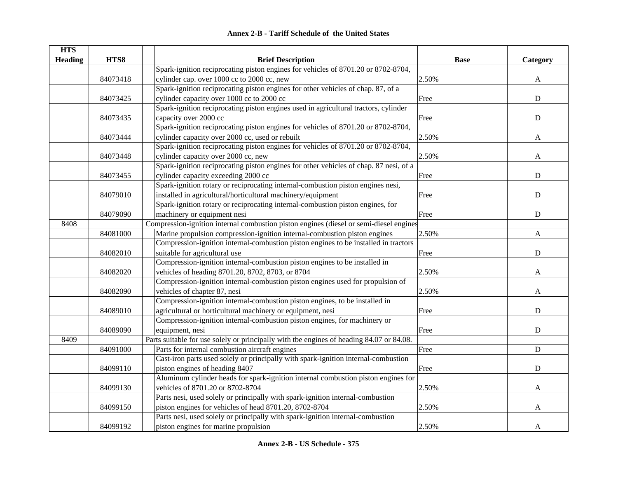|  | <b>Annex 2-B - Tariff Schedule of the United States</b> |  |
|--|---------------------------------------------------------|--|
|--|---------------------------------------------------------|--|

| <b>HTS</b>     | HTS8     |                                                                                                               | <b>Base</b>                                                                                                               |             |
|----------------|----------|---------------------------------------------------------------------------------------------------------------|---------------------------------------------------------------------------------------------------------------------------|-------------|
| <b>Heading</b> |          | <b>Brief Description</b><br>Spark-ignition reciprocating piston engines for vehicles of 8701.20 or 8702-8704, |                                                                                                                           | Category    |
|                |          | cylinder cap. over 1000 cc to 2000 cc, new                                                                    | 2.50%                                                                                                                     |             |
|                | 84073418 |                                                                                                               |                                                                                                                           | A           |
|                |          | Spark-ignition reciprocating piston engines for other vehicles of chap. 87, of a                              |                                                                                                                           |             |
|                | 84073425 | cylinder capacity over 1000 cc to 2000 cc                                                                     | Free                                                                                                                      | ${\bf D}$   |
|                |          | Spark-ignition reciprocating piston engines used in agricultural tractors, cylinder                           |                                                                                                                           |             |
|                | 84073435 | capacity over 2000 cc                                                                                         | Free                                                                                                                      | $\mathbf D$ |
|                |          | Spark-ignition reciprocating piston engines for vehicles of 8701.20 or 8702-8704,                             |                                                                                                                           |             |
|                | 84073444 | cylinder capacity over 2000 cc, used or rebuilt                                                               | 2.50%                                                                                                                     | A           |
|                |          | Spark-ignition reciprocating piston engines for vehicles of 8701.20 or 8702-8704,                             |                                                                                                                           |             |
|                | 84073448 | cylinder capacity over 2000 cc, new                                                                           |                                                                                                                           |             |
|                |          | Spark-ignition reciprocating piston engines for other vehicles of chap. 87 nesi, of a                         |                                                                                                                           |             |
|                | 84073455 | cylinder capacity exceeding 2000 cc                                                                           |                                                                                                                           |             |
|                |          | Spark-ignition rotary or reciprocating internal-combustion piston engines nesi,                               | 2.50%<br>A<br>Free<br>${\bf D}$<br>$\mathbf D$<br>Free<br>${\bf D}$<br>Free<br>2.50%<br>$\mathbf{A}$<br>${\bf D}$<br>Free |             |
|                | 84079010 | installed in agricultural/horticultural machinery/equipment                                                   |                                                                                                                           |             |
|                |          | Spark-ignition rotary or reciprocating internal-combustion piston engines, for                                |                                                                                                                           |             |
|                | 84079090 | machinery or equipment nesi                                                                                   |                                                                                                                           |             |
| 8408           |          | Compression-ignition internal combustion piston engines (diesel or semi-diesel engines                        |                                                                                                                           |             |
|                | 84081000 | Marine propulsion compression-ignition internal-combustion piston engines                                     |                                                                                                                           |             |
|                |          | Compression-ignition internal-combustion piston engines to be installed in tractors                           |                                                                                                                           |             |
|                | 84082010 | suitable for agricultural use                                                                                 |                                                                                                                           |             |
|                |          | Compression-ignition internal-combustion piston engines to be installed in                                    |                                                                                                                           |             |
|                | 84082020 | vehicles of heading 8701.20, 8702, 8703, or 8704                                                              | 2.50%                                                                                                                     | A           |
|                |          | Compression-ignition internal-combustion piston engines used for propulsion of                                |                                                                                                                           |             |
|                | 84082090 | vehicles of chapter 87, nesi                                                                                  | 2.50%                                                                                                                     | A           |
|                |          | Compression-ignition internal-combustion piston engines, to be installed in                                   |                                                                                                                           |             |
|                | 84089010 | agricultural or horticultural machinery or equipment, nesi                                                    | Free                                                                                                                      | ${\bf D}$   |
|                |          | Compression-ignition internal-combustion piston engines, for machinery or                                     |                                                                                                                           |             |
|                | 84089090 | equipment, nesi                                                                                               | Free                                                                                                                      | ${\bf D}$   |
| 8409           |          | Parts suitable for use solely or principally with the engines of heading 84.07 or 84.08.                      |                                                                                                                           |             |
|                | 84091000 | Parts for internal combustion aircraft engines                                                                | Free                                                                                                                      | ${\bf D}$   |
|                |          | Cast-iron parts used solely or principally with spark-ignition internal-combustion                            |                                                                                                                           |             |
|                | 84099110 | piston engines of heading 8407                                                                                | Free                                                                                                                      | $\mathbf D$ |
|                |          | Aluminum cylinder heads for spark-ignition internal combustion piston engines for                             |                                                                                                                           |             |
|                | 84099130 | vehicles of 8701.20 or 8702-8704                                                                              | 2.50%                                                                                                                     | A           |
|                |          | Parts nesi, used solely or principally with spark-ignition internal-combustion                                |                                                                                                                           |             |
|                | 84099150 | piston engines for vehicles of head 8701.20, 8702-8704                                                        | 2.50%                                                                                                                     | A           |
|                |          | Parts nesi, used solely or principally with spark-ignition internal-combustion                                |                                                                                                                           |             |
|                | 84099192 | piston engines for marine propulsion                                                                          | 2.50%                                                                                                                     | A           |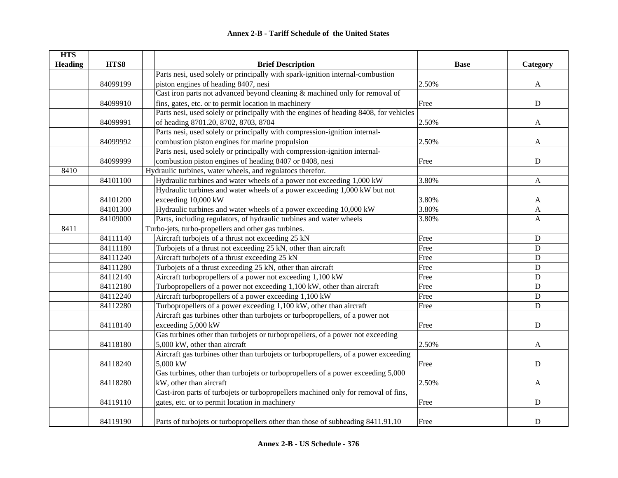| <b>HTS</b>     |          |                                                                                       |             |              |
|----------------|----------|---------------------------------------------------------------------------------------|-------------|--------------|
| <b>Heading</b> | HTS8     | <b>Brief Description</b>                                                              | <b>Base</b> | Category     |
|                |          | Parts nesi, used solely or principally with spark-ignition internal-combustion        |             |              |
|                | 84099199 | piston engines of heading 8407, nesi                                                  | 2.50%       | $\mathbf{A}$ |
|                |          | Cast iron parts not advanced beyond cleaning & machined only for removal of           |             |              |
|                | 84099910 | fins, gates, etc. or to permit location in machinery                                  | Free        | ${\bf D}$    |
|                |          | Parts nesi, used solely or principally with the engines of heading 8408, for vehicles |             |              |
|                | 84099991 | of heading 8701.20, 8702, 8703, 8704                                                  | 2.50%       | $\mathbf{A}$ |
|                |          | Parts nesi, used solely or principally with compression-ignition internal-            |             |              |
|                | 84099992 | combustion piston engines for marine propulsion                                       | 2.50%       | A            |
|                |          | Parts nesi, used solely or principally with compression-ignition internal-            |             |              |
|                | 84099999 | combustion piston engines of heading 8407 or 8408, nesi                               | Free        | ${\bf D}$    |
| 8410           |          | Hydraulic turbines, water wheels, and regulatocs therefor.                            |             |              |
|                | 84101100 | Hydraulic turbines and water wheels of a power not exceeding 1,000 kW                 | 3.80%       | $\mathbf{A}$ |
|                |          | Hydraulic turbines and water wheels of a power exceeding 1,000 kW but not             |             |              |
|                | 84101200 | exceeding 10,000 kW                                                                   | 3.80%       | A            |
|                | 84101300 | Hydraulic turbines and water wheels of a power exceeding 10,000 kW                    | 3.80%       | A            |
|                | 84109000 | Parts, including regulators, of hydraulic turbines and water wheels                   | 3.80%       | A            |
| 8411           |          | Turbo-jets, turbo-propellers and other gas turbines.                                  |             |              |
|                | 84111140 | Aircraft turbojets of a thrust not exceeding 25 kN                                    | Free        | ${\bf D}$    |
|                | 84111180 | Turbojets of a thrust not exceeding 25 kN, other than aircraft                        | Free        | ${\bf D}$    |
|                | 84111240 | Aircraft turbojets of a thrust exceeding 25 kN                                        | Free        | ${\bf D}$    |
|                | 84111280 | Turbojets of a thrust exceeding 25 kN, other than aircraft                            | Free        | ${\bf D}$    |
|                | 84112140 | Aircraft turbopropellers of a power not exceeding 1,100 kW                            | Free        | ${\bf D}$    |
|                | 84112180 | Turbopropellers of a power not exceeding 1,100 kW, other than aircraft                | Free        | $\mathbf D$  |
|                | 84112240 | Aircraft turbopropellers of a power exceeding 1,100 kW                                | Free        | ${\bf D}$    |
|                | 84112280 | Turbopropellers of a power exceeding 1,100 kW, other than aircraft                    | Free        | ${\bf D}$    |
|                |          | Aircraft gas turbines other than turbojets or turbopropellers, of a power not         |             |              |
|                | 84118140 | exceeding 5,000 kW                                                                    | Free        | ${\bf D}$    |
|                |          | Gas turbines other than turbojets or turbopropellers, of a power not exceeding        |             |              |
|                | 84118180 | 5,000 kW, other than aircraft                                                         | 2.50%       | A            |
|                |          | Aircraft gas turbines other than turbojets or turbopropellers, of a power exceeding   |             |              |
|                | 84118240 | 5,000 kW                                                                              | Free        | ${\bf D}$    |
|                |          | Gas turbines, other than turbojets or turbopropellers of a power exceeding 5,000      |             |              |
|                | 84118280 | kW, other than aircraft                                                               | 2.50%       | $\mathbf{A}$ |
|                |          | Cast-iron parts of turbojets or turbopropellers machined only for removal of fins,    |             |              |
|                | 84119110 | gates, etc. or to permit location in machinery                                        | Free        | ${\bf D}$    |
|                | 84119190 | Parts of turbojets or turbopropellers other than those of subheading 8411.91.10       | Free        | ${\bf D}$    |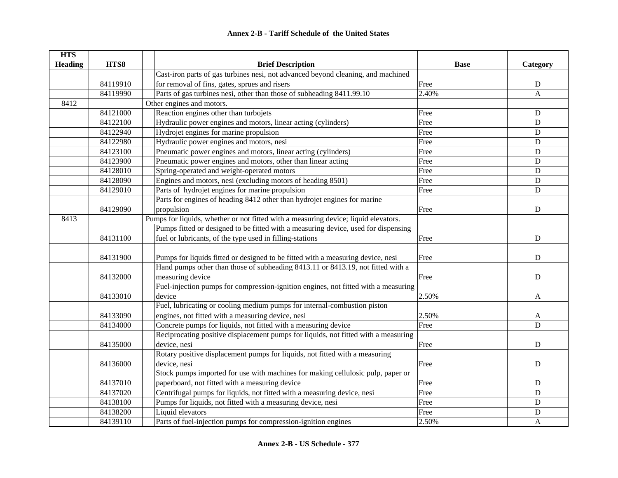| <b>HTS</b>     |          |                                                                                     |             |              |
|----------------|----------|-------------------------------------------------------------------------------------|-------------|--------------|
| <b>Heading</b> | HTS8     | <b>Brief Description</b>                                                            | <b>Base</b> | Category     |
|                |          | Cast-iron parts of gas turbines nesi, not advanced beyond cleaning, and machined    |             |              |
|                | 84119910 | for removal of fins, gates, sprues and risers                                       | Free        | ${\bf D}$    |
|                | 84119990 | Parts of gas turbines nesi, other than those of subheading 8411.99.10               | 2.40%       | $\mathbf{A}$ |
| 8412           |          | Other engines and motors.                                                           |             |              |
|                | 84121000 | Reaction engines other than turbojets                                               | Free        | $\mathbf D$  |
|                | 84122100 | Hydraulic power engines and motors, linear acting (cylinders)                       | Free        | $\mathbf D$  |
|                | 84122940 | Hydrojet engines for marine propulsion                                              | Free        | ${\bf D}$    |
|                | 84122980 | Hydraulic power engines and motors, nesi                                            | Free        | ${\bf D}$    |
|                | 84123100 | Pneumatic power engines and motors, linear acting (cylinders)                       | Free        | $\mathbf D$  |
|                | 84123900 | Pneumatic power engines and motors, other than linear acting                        | Free        | ${\bf D}$    |
|                | 84128010 | Spring-operated and weight-operated motors                                          | Free        | $\mathbf D$  |
|                | 84128090 | Engines and motors, nesi (excluding motors of heading 8501)                         | Free        | $\mathbf D$  |
|                | 84129010 | Parts of hydrojet engines for marine propulsion                                     | Free        | $\mathbf D$  |
|                |          | Parts for engines of heading 8412 other than hydrojet engines for marine            |             |              |
|                | 84129090 | propulsion                                                                          | Free        | $\mathbf D$  |
| 8413           |          | Pumps for liquids, whether or not fitted with a measuring device; liquid elevators. |             |              |
|                |          | Pumps fitted or designed to be fitted with a measuring device, used for dispensing  |             |              |
|                | 84131100 | fuel or lubricants, of the type used in filling-stations                            | Free        | ${\bf D}$    |
|                |          |                                                                                     |             |              |
|                | 84131900 | Pumps for liquids fitted or designed to be fitted with a measuring device, nesi     | Free        | ${\bf D}$    |
|                |          | Hand pumps other than those of subheading 8413.11 or 8413.19, not fitted with a     |             |              |
|                | 84132000 | measuring device                                                                    | Free        | $\mathbf D$  |
|                |          | Fuel-injection pumps for compression-ignition engines, not fitted with a measuring  |             |              |
|                | 84133010 | device                                                                              | 2.50%       | A            |
|                |          | Fuel, lubricating or cooling medium pumps for internal-combustion piston            |             |              |
|                | 84133090 | engines, not fitted with a measuring device, nesi                                   | 2.50%       | A            |
|                | 84134000 | Concrete pumps for liquids, not fitted with a measuring device                      | Free        | D            |
|                |          | Reciprocating positive displacement pumps for liquids, not fitted with a measuring  |             |              |
|                | 84135000 | device, nesi                                                                        | Free        | $\mathbf D$  |
|                |          | Rotary positive displacement pumps for liquids, not fitted with a measuring         |             |              |
|                | 84136000 | device, nesi                                                                        | Free        | ${\bf D}$    |
|                |          | Stock pumps imported for use with machines for making cellulosic pulp, paper or     |             |              |
|                | 84137010 | paperboard, not fitted with a measuring device                                      | Free        | ${\bf D}$    |
|                | 84137020 | Centrifugal pumps for liquids, not fitted with a measuring device, nesi             | Free        | D            |
|                | 84138100 | Pumps for liquids, not fitted with a measuring device, nesi                         | Free        | $\mathbf D$  |
|                | 84138200 | Liquid elevators                                                                    | Free        | ${\bf D}$    |
|                | 84139110 | Parts of fuel-injection pumps for compression-ignition engines                      | 2.50%       | A            |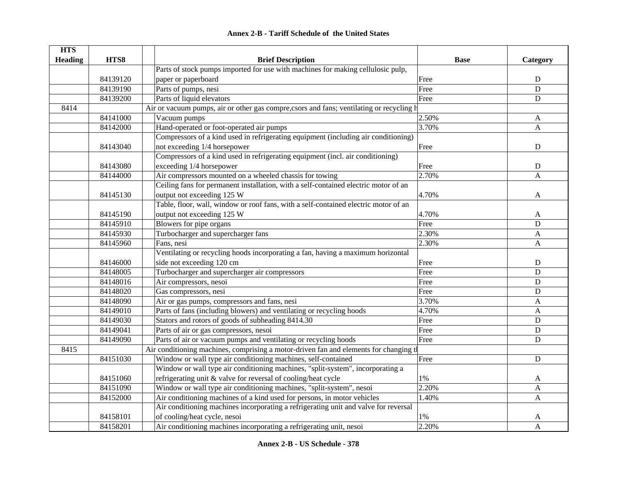| <b>HTS</b>     |          |                                                                                          |             |              |
|----------------|----------|------------------------------------------------------------------------------------------|-------------|--------------|
| <b>Heading</b> | HTS8     | <b>Brief Description</b>                                                                 | <b>Base</b> | Category     |
|                |          | Parts of stock pumps imported for use with machines for making cellulosic pulp,          |             |              |
|                | 84139120 | paper or paperboard                                                                      | Free        | $\mathbf D$  |
|                | 84139190 | Parts of pumps, nesi                                                                     | Free        | $\mathbf D$  |
|                | 84139200 | Parts of liquid elevators                                                                | Free        | ${\bf D}$    |
| 8414           |          | Air or vacuum pumps, air or other gas compre, csors and fans; ventilating or recycling h |             |              |
|                | 84141000 | Vacuum pumps                                                                             | 2.50%       | A            |
|                | 84142000 | Hand-operated or foot-operated air pumps                                                 | 3.70%       | $\mathbf{A}$ |
|                |          | Compressors of a kind used in refrigerating equipment (including air conditioning)       |             |              |
|                | 84143040 | not exceeding 1/4 horsepower                                                             | Free        | $\mathbf D$  |
|                |          | Compressors of a kind used in refrigerating equipment (incl. air conditioning)           |             |              |
|                | 84143080 | exceeding 1/4 horsepower                                                                 | Free        | ${\bf D}$    |
|                | 84144000 | Air compressors mounted on a wheeled chassis for towing                                  | 2.70%       | A            |
|                |          | Ceiling fans for permanent installation, with a self-contained electric motor of an      |             |              |
|                | 84145130 | output not exceeding 125 W                                                               | 4.70%       | A            |
|                |          | Table, floor, wall, window or roof fans, with a self-contained electric motor of an      |             |              |
|                | 84145190 | output not exceeding 125 W                                                               | 4.70%       | A            |
|                | 84145910 | Blowers for pipe organs                                                                  | Free        | D            |
|                | 84145930 | Turbocharger and supercharger fans                                                       | 2.30%       | A            |
|                | 84145960 | Fans, nesi                                                                               | 2.30%       | $\mathbf{A}$ |
|                |          | Ventilating or recycling hoods incorporating a fan, having a maximum horizontal          |             |              |
|                | 84146000 | side not exceeding 120 cm                                                                | Free        | $\mathbf D$  |
|                | 84148005 | Turbocharger and supercharger air compressors                                            | Free        | $\mathbf D$  |
|                | 84148016 | Air compressors, nesoi                                                                   | Free        | $\mathbf D$  |
|                | 84148020 | Gas compressors, nesi                                                                    | Free        | $\mathbf D$  |
|                | 84148090 | Air or gas pumps, compressors and fans, nesi                                             | 3.70%       | A            |
|                | 84149010 | Parts of fans (including blowers) and ventilating or recycling hoods                     | 4.70%       | $\mathbf{A}$ |
|                | 84149030 | Stators and rotors of goods of subheading 8414.30                                        | Free        | ${\bf D}$    |
|                | 84149041 | Parts of air or gas compressors, nesoi                                                   | Free        | ${\bf D}$    |
|                | 84149090 | Parts of air or vacuum pumps and ventilating or recycling hoods                          | Free        | $\mathbf D$  |
| 8415           |          | Air conditioning machines, comprising a motor-driven fan and elements for changing t     |             |              |
|                | 84151030 | Window or wall type air conditioning machines, self-contained                            | Free        | $\mathbf D$  |
|                |          | Window or wall type air conditioning machines, "split-system", incorporating a           |             |              |
|                | 84151060 | refrigerating unit & valve for reversal of cooling/heat cycle                            | $1\%$       | A            |
|                | 84151090 | Window or wall type air conditioning machines, "split-system", nesoi                     | 2.20%       | A            |
|                | 84152000 | Air conditioning machines of a kind used for persons, in motor vehicles                  | 1.40%       | $\mathbf{A}$ |
|                |          | Air conditioning machines incorporating a refrigerating unit and valve for reversal      |             |              |
|                | 84158101 | of cooling/heat cycle, nesoi                                                             | $1\%$       | A            |
|                | 84158201 | Air conditioning machines incorporating a refrigerating unit, nesoi                      | 2.20%       | $\mathbf{A}$ |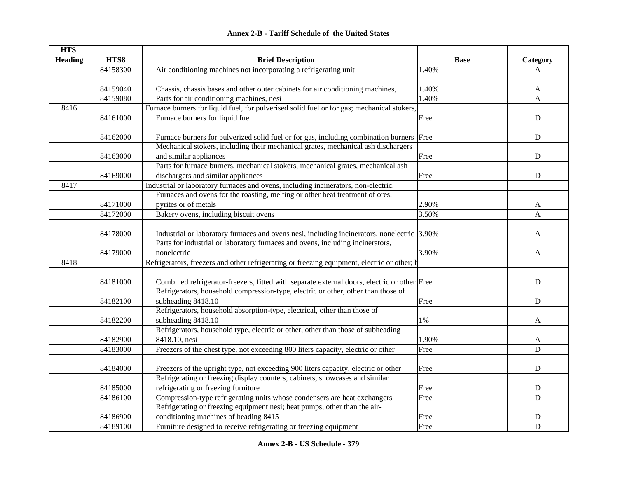|  | <b>Annex 2-B - Tariff Schedule of the United States</b> |  |
|--|---------------------------------------------------------|--|
|--|---------------------------------------------------------|--|

| <b>HTS</b>     |          |                                                                                             |             |              |
|----------------|----------|---------------------------------------------------------------------------------------------|-------------|--------------|
| <b>Heading</b> | HTS8     | <b>Brief Description</b>                                                                    | <b>Base</b> | Category     |
|                | 84158300 | Air conditioning machines not incorporating a refrigerating unit                            | 1.40%       | A            |
|                |          |                                                                                             |             |              |
|                | 84159040 | Chassis, chassis bases and other outer cabinets for air conditioning machines,              | 1.40%       | A            |
|                | 84159080 | Parts for air conditioning machines, nesi                                                   | 1.40%       | $\mathbf{A}$ |
| 8416           |          | Furnace burners for liquid fuel, for pulverised solid fuel or for gas; mechanical stokers,  |             |              |
|                | 84161000 | Furnace burners for liquid fuel                                                             | Free        | ${\bf D}$    |
|                |          |                                                                                             |             |              |
|                | 84162000 | Furnace burners for pulverized solid fuel or for gas, including combination burners Free    |             | $\mathbf D$  |
|                |          | Mechanical stokers, including their mechanical grates, mechanical ash dischargers           |             |              |
|                | 84163000 | and similar appliances                                                                      | Free        | $\mathbf D$  |
|                |          | Parts for furnace burners, mechanical stokers, mechanical grates, mechanical ash            |             |              |
|                | 84169000 | dischargers and similar appliances                                                          | Free        | ${\bf D}$    |
| 8417           |          | Industrial or laboratory furnaces and ovens, including incinerators, non-electric.          |             |              |
|                |          | Furnaces and ovens for the roasting, melting or other heat treatment of ores,               |             |              |
|                | 84171000 | pyrites or of metals                                                                        | 2.90%       | A            |
|                | 84172000 | Bakery ovens, including biscuit ovens                                                       | 3.50%       | $\mathsf{A}$ |
|                |          |                                                                                             |             |              |
|                | 84178000 | Industrial or laboratory furnaces and ovens nesi, including incinerators, nonelectric 3.90% |             | A            |
|                |          | Parts for industrial or laboratory furnaces and ovens, including incinerators,              |             |              |
|                | 84179000 | nonelectric                                                                                 | 3.90%       | A            |
| 8418           |          | Refrigerators, freezers and other refrigerating or freezing equipment, electric or other; b |             |              |
|                |          |                                                                                             |             |              |
|                | 84181000 | Combined refrigerator-freezers, fitted with separate external doors, electric or other Free |             | ${\bf D}$    |
|                |          | Refrigerators, household compression-type, electric or other, other than those of           |             |              |
|                | 84182100 | subheading 8418.10                                                                          | Free        | ${\bf D}$    |
|                |          | Refrigerators, household absorption-type, electrical, other than those of                   |             |              |
|                | 84182200 | subheading 8418.10                                                                          | $1\%$       | A            |
|                |          | Refrigerators, household type, electric or other, other than those of subheading            |             |              |
|                | 84182900 | 8418.10, nesi                                                                               | 1.90%       | A            |
|                | 84183000 | Freezers of the chest type, not exceeding 800 liters capacity, electric or other            | Free        | D            |
|                |          |                                                                                             |             |              |
|                | 84184000 | Freezers of the upright type, not exceeding 900 liters capacity, electric or other          | Free        | $\mathbf D$  |
|                |          | Refrigerating or freezing display counters, cabinets, showcases and similar                 |             |              |
|                | 84185000 | refrigerating or freezing furniture                                                         | Free        | ${\bf D}$    |
|                | 84186100 | Compression-type refrigerating units whose condensers are heat exchangers                   | Free        | $\mathbf D$  |
|                |          | Refrigerating or freezing equipment nesi; heat pumps, other than the air-                   |             |              |
|                | 84186900 | conditioning machines of heading 8415                                                       | Free        | D            |
|                | 84189100 | Furniture designed to receive refrigerating or freezing equipment                           | Free        | $\mathbf D$  |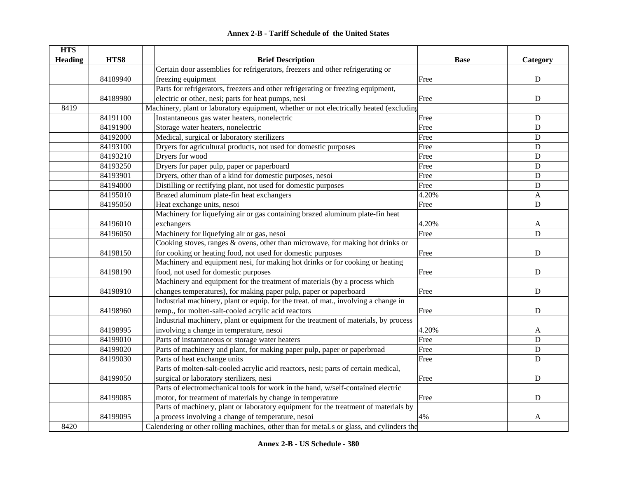|  | <b>Annex 2-B - Tariff Schedule of the United States</b> |  |
|--|---------------------------------------------------------|--|
|--|---------------------------------------------------------|--|

| <b>HTS</b>     |          |                                                                                          |             |              |
|----------------|----------|------------------------------------------------------------------------------------------|-------------|--------------|
| <b>Heading</b> | HTS8     | <b>Brief Description</b>                                                                 | <b>Base</b> | Category     |
|                |          | Certain door assemblies for refrigerators, freezers and other refrigerating or           |             |              |
|                | 84189940 | freezing equipment                                                                       | Free        | ${\bf D}$    |
|                |          | Parts for refrigerators, freezers and other refrigerating or freezing equipment,         |             |              |
|                | 84189980 | electric or other, nesi; parts for heat pumps, nesi                                      | Free        | ${\bf D}$    |
| 8419           |          | Machinery, plant or laboratory equipment, whether or not electrically heated (excluding  |             |              |
|                | 84191100 | Instantaneous gas water heaters, nonelectric                                             | Free        | ${\bf D}$    |
|                | 84191900 | Storage water heaters, nonelectric                                                       | Free        | $\mathbf D$  |
|                | 84192000 | Medical, surgical or laboratory sterilizers                                              | Free        | $\mathbf D$  |
|                | 84193100 | Dryers for agricultural products, not used for domestic purposes                         | Free        | ${\bf D}$    |
|                | 84193210 | Dryers for wood                                                                          | Free        | ${\bf D}$    |
|                | 84193250 | Dryers for paper pulp, paper or paperboard                                               | Free        | ${\bf D}$    |
|                | 84193901 | Dryers, other than of a kind for domestic purposes, nesoi                                | Free        | ${\bf D}$    |
|                | 84194000 | Distilling or rectifying plant, not used for domestic purposes                           | Free        | ${\bf D}$    |
|                | 84195010 | Brazed aluminum plate-fin heat exchangers                                                | 4.20%       | A            |
|                | 84195050 | Heat exchange units, nesoi                                                               | Free        | ${\bf D}$    |
|                |          | Machinery for liquefying air or gas containing brazed aluminum plate-fin heat            |             |              |
|                | 84196010 | exchangers                                                                               | 4.20%       | $\mathbf{A}$ |
|                | 84196050 | Machinery for liquefying air or gas, nesoi                                               | Free        | $\mathbf D$  |
|                |          | Cooking stoves, ranges & ovens, other than microwave, for making hot drinks or           |             |              |
|                | 84198150 | for cooking or heating food, not used for domestic purposes                              | Free        | ${\bf D}$    |
|                |          | Machinery and equipment nesi, for making hot drinks or for cooking or heating            |             |              |
|                | 84198190 | food, not used for domestic purposes                                                     | Free        | ${\bf D}$    |
|                |          | Machinery and equipment for the treatment of materials (by a process which               |             |              |
|                | 84198910 | changes temperatures), for making paper pulp, paper or paperboard                        | Free        | $\mathbf D$  |
|                |          | Industrial machinery, plant or equip. for the treat. of mat., involving a change in      |             |              |
|                | 84198960 | temp., for molten-salt-cooled acrylic acid reactors                                      | Free        | D            |
|                |          | Industrial machinery, plant or equipment for the treatment of materials, by process      |             |              |
|                | 84198995 | involving a change in temperature, nesoi                                                 | 4.20%       | A            |
|                | 84199010 | Parts of instantaneous or storage water heaters                                          | Free        | $\mathbf D$  |
|                | 84199020 | Parts of machinery and plant, for making paper pulp, paper or paperbroad                 | Free        | ${\rm D}$    |
|                | 84199030 | Parts of heat exchange units                                                             | Free        | $\mathbf D$  |
|                |          | Parts of molten-salt-cooled acrylic acid reactors, nesi; parts of certain medical,       |             |              |
|                | 84199050 | surgical or laboratory sterilizers, nesi                                                 | Free        | ${\bf D}$    |
|                |          | Parts of electromechanical tools for work in the hand, w/self-contained electric         |             |              |
|                | 84199085 | motor, for treatment of materials by change in temperature                               | Free        | ${\bf D}$    |
|                |          | Parts of machinery, plant or laboratory equipment for the treatment of materials by      |             |              |
|                | 84199095 | a process involving a change of temperature, nesoi                                       | 4%          | A            |
| 8420           |          | Calendering or other rolling machines, other than for metaLs or glass, and cylinders the |             |              |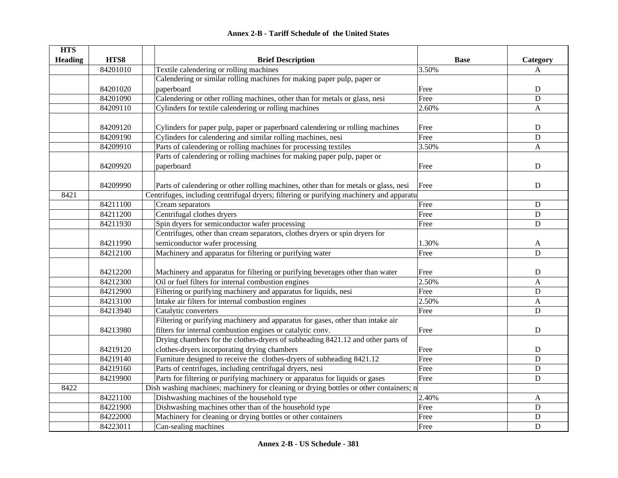| <b>HTS</b>     |          |                                                                                          |             |              |
|----------------|----------|------------------------------------------------------------------------------------------|-------------|--------------|
| <b>Heading</b> | HTS8     | <b>Brief Description</b>                                                                 | <b>Base</b> | Category     |
|                | 84201010 | Textile calendering or rolling machines                                                  | 3.50%       | A            |
|                |          | Calendering or similar rolling machines for making paper pulp, paper or                  |             |              |
|                | 84201020 | paperboard                                                                               | Free        | ${\bf D}$    |
|                | 84201090 | Calendering or other rolling machines, other than for metals or glass, nesi              | Free        | $\mathbf D$  |
|                | 84209110 | Cylinders for textile calendering or rolling machines                                    | 2.60%       | A            |
|                |          |                                                                                          |             |              |
|                | 84209120 | Cylinders for paper pulp, paper or paperboard calendering or rolling machines            | Free        | ${\bf D}$    |
|                | 84209190 | Cylinders for calendering and similar rolling machines, nesi                             | Free        | $\mathbf D$  |
|                | 84209910 | Parts of calendering or rolling machines for processing textiles                         | 3.50%       | A            |
|                |          | Parts of calendering or rolling machines for making paper pulp, paper or                 |             |              |
|                | 84209920 | paperboard                                                                               | Free        | ${\bf D}$    |
|                |          |                                                                                          |             |              |
|                | 84209990 | Parts of calendering or other rolling machines, other than for metals or glass, nesi     | Free        | ${\bf D}$    |
| 8421           |          | Centrifuges, including centrifugal dryers; filtering or purifying machinery and apparatu |             |              |
|                | 84211100 | Cream separators                                                                         | Free        | ${\bf D}$    |
|                | 84211200 | Centrifugal clothes dryers                                                               | Free        | $\mathbf D$  |
|                | 84211930 | Spin dryers for semiconductor wafer processing                                           | Free        | ${\bf D}$    |
|                |          | Centrifuges, other than cream separators, clothes dryers or spin dryers for              |             |              |
|                | 84211990 | semiconductor wafer processing                                                           | 1.30%       | A            |
|                | 84212100 | Machinery and apparatus for filtering or purifying water                                 | Free        | $\mathbf D$  |
|                |          |                                                                                          |             |              |
|                | 84212200 | Machinery and apparatus for filtering or purifying beverages other than water            | Free        | ${\bf D}$    |
|                | 84212300 | Oil or fuel filters for internal combustion engines                                      | 2.50%       | $\mathbf{A}$ |
|                | 84212900 | Filtering or purifying machinery and apparatus for liquids, nesi                         | Free        | $\mathbf D$  |
|                | 84213100 | Intake air filters for internal combustion engines                                       | 2.50%       | A            |
|                | 84213940 | Catalytic converters                                                                     | Free        | ${\bf D}$    |
|                |          | Filtering or purifying machinery and apparatus for gases, other than intake air          |             |              |
|                | 84213980 | filters for internal combustion engines or catalytic conv.                               | Free        | $\mathbf D$  |
|                |          | Drying chambers for the clothes-dryers of subheading 8421.12 and other parts of          |             |              |
|                | 84219120 | clothes-dryers incorporating drying chambers                                             | Free        | ${\bf D}$    |
|                | 84219140 | Furniture designed to receive the clothes-dryers of subheading 8421.12                   | Free        | $\mathbf D$  |
|                | 84219160 | Parts of centrifuges, including centrifugal dryers, nesi                                 | Free        | $\mathbf D$  |
|                | 84219900 | Parts for filtering or purifying machinery or apparatus for liquids or gases             | Free        | ${\bf D}$    |
| 8422           |          | Dish washing machines; machinery for cleaning or drying bottles or other containers; n   |             |              |
|                | 84221100 | Dishwashing machines of the household type                                               | 2.40%       | A            |
|                | 84221900 | Dishwashing machines other than of the household type                                    | Free        | ${\bf D}$    |
|                | 84222000 | Machinery for cleaning or drying bottles or other containers                             | Free        | ${\rm D}$    |
|                | 84223011 | Can-sealing machines                                                                     | Free        | $\mathbf D$  |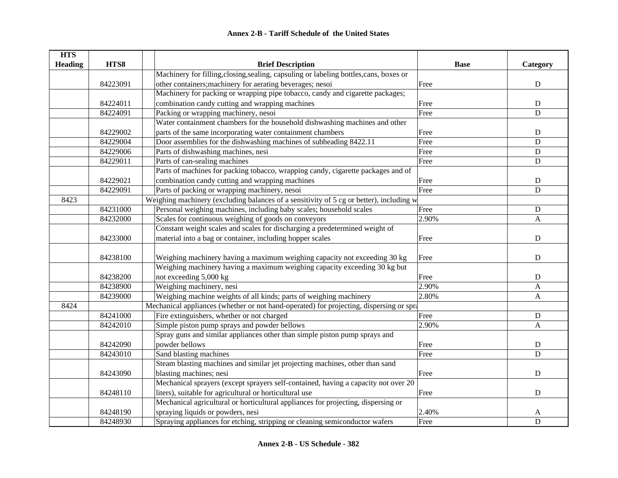| <b>HTS</b>     |          |                                                                                         |             |              |
|----------------|----------|-----------------------------------------------------------------------------------------|-------------|--------------|
| <b>Heading</b> | HTS8     | <b>Brief Description</b>                                                                | <b>Base</b> | Category     |
|                |          | Machinery for filling, closing, sealing, capsuling or labeling bottles, cans, boxes or  |             |              |
|                | 84223091 | other containers; machinery for aerating beverages; nesoi                               | Free        | ${\bf D}$    |
|                |          | Machinery for packing or wrapping pipe tobacco, candy and cigarette packages;           |             |              |
|                | 84224011 | combination candy cutting and wrapping machines                                         | Free        | $\mathbf D$  |
|                | 84224091 | Packing or wrapping machinery, nesoi                                                    | Free        | ${\bf D}$    |
|                |          | Water containment chambers for the household dishwashing machines and other             |             |              |
|                | 84229002 | parts of the same incorporating water containment chambers                              | Free        | ${\bf D}$    |
|                | 84229004 | Door assemblies for the dishwashing machines of subheading 8422.11                      | Free        | $\mathbf D$  |
|                | 84229006 | Parts of dishwashing machines, nesi                                                     | Free        | $\mathbf D$  |
|                | 84229011 | Parts of can-sealing machines                                                           | Free        | $\mathbf D$  |
|                |          | Parts of machines for packing tobacco, wrapping candy, cigarette packages and of        |             |              |
|                | 84229021 | combination candy cutting and wrapping machines                                         | Free        | ${\bf D}$    |
|                | 84229091 | Parts of packing or wrapping machinery, nesoi                                           | Free        | $\mathbf D$  |
| 8423           |          | Weighing machinery (excluding balances of a sensitivity of 5 cg or better), including w |             |              |
|                | 84231000 | Personal weighing machines, including baby scales; household scales                     | Free        | $\mathbf D$  |
|                | 84232000 | Scales for continuous weighing of goods on conveyors                                    | 2.90%       | A            |
|                |          | Constant weight scales and scales for discharging a predetermined weight of             |             |              |
|                | 84233000 | material into a bag or container, including hopper scales                               | Free        | ${\bf D}$    |
|                |          |                                                                                         |             |              |
|                | 84238100 | Weighing machinery having a maximum weighing capacity not exceeding 30 kg               | Free        | ${\bf D}$    |
|                |          | Weighing machinery having a maximum weighing capacity exceeding 30 kg but               |             |              |
|                | 84238200 | not exceeding 5,000 kg                                                                  | Free        | D            |
|                | 84238900 | Weighing machinery, nesi                                                                | 2.90%       | A            |
|                | 84239000 | Weighing machine weights of all kinds; parts of weighing machinery                      | 2.80%       | $\mathbf{A}$ |
| 8424           |          | Mechanical appliances (whether or not hand-operated) for projecting, dispersing or spra |             |              |
|                | 84241000 | Fire extinguishers, whether or not charged                                              | Free        | ${\bf D}$    |
|                | 84242010 | Simple piston pump sprays and powder bellows                                            | 2.90%       | $\mathbf{A}$ |
|                |          | Spray guns and similar appliances other than simple piston pump sprays and              |             |              |
|                | 84242090 | powder bellows                                                                          | Free        | ${\bf D}$    |
|                | 84243010 | Sand blasting machines                                                                  | Free        | $\mathbf D$  |
|                |          | Steam blasting machines and similar jet projecting machines, other than sand            |             |              |
|                | 84243090 | blasting machines; nesi                                                                 | Free        | ${\bf D}$    |
|                |          | Mechanical sprayers (except sprayers self-contained, having a capacity not over 20      |             |              |
|                | 84248110 | liters), suitable for agricultural or horticultural use                                 | Free        | $\mathbf D$  |
|                |          | Mechanical agricultural or horticultural appliances for projecting, dispersing or       |             |              |
|                | 84248190 | spraying liquids or powders, nesi                                                       | 2.40%       | A            |
|                | 84248930 | Spraying appliances for etching, stripping or cleaning semiconductor wafers             | Free        | $\mathbf D$  |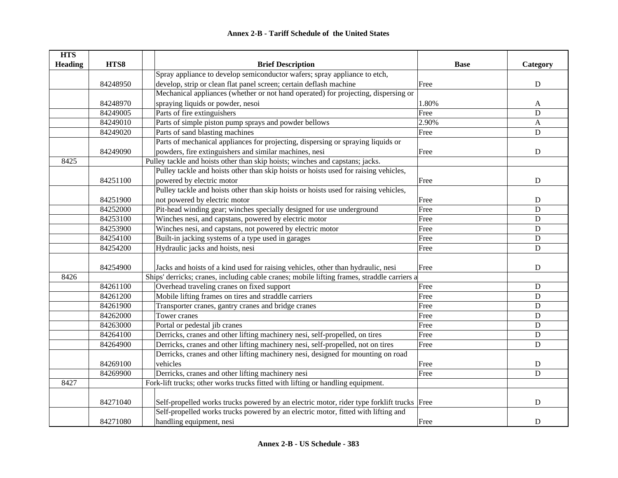| <b>HTS</b>     |          |                                                                                             |             |             |
|----------------|----------|---------------------------------------------------------------------------------------------|-------------|-------------|
| <b>Heading</b> | HTS8     | <b>Brief Description</b>                                                                    | <b>Base</b> | Category    |
|                |          | Spray appliance to develop semiconductor wafers; spray appliance to etch,                   |             |             |
|                | 84248950 | develop, strip or clean flat panel screen; certain deflash machine                          | Free        | $\mathbf D$ |
|                |          | Mechanical appliances (whether or not hand operated) for projecting, dispersing or          |             |             |
|                | 84248970 | spraying liquids or powder, nesoi                                                           | 1.80%       | A           |
|                | 84249005 | Parts of fire extinguishers                                                                 | Free        | $\mathbf D$ |
|                | 84249010 | Parts of simple piston pump sprays and powder bellows                                       | 2.90%       | A           |
|                | 84249020 | Parts of sand blasting machines                                                             | Free        | $\mathbf D$ |
|                |          | Parts of mechanical appliances for projecting, dispersing or spraying liquids or            |             |             |
|                | 84249090 | powders, fire extinguishers and similar machines, nesi                                      | Free        | ${\bf D}$   |
| 8425           |          | Pulley tackle and hoists other than skip hoists; winches and capstans; jacks.               |             |             |
|                |          | Pulley tackle and hoists other than skip hoists or hoists used for raising vehicles,        |             |             |
|                | 84251100 | powered by electric motor                                                                   | Free        | $\mathbf D$ |
|                |          | Pulley tackle and hoists other than skip hoists or hoists used for raising vehicles,        |             |             |
|                | 84251900 | not powered by electric motor                                                               | Free        | ${\bf D}$   |
|                | 84252000 | Pit-head winding gear; winches specially designed for use underground                       | Free        | D           |
|                | 84253100 | Winches nesi, and capstans, powered by electric motor                                       | Free        | $\mathbf D$ |
|                | 84253900 | Winches nesi, and capstans, not powered by electric motor                                   | Free        | ${\bf D}$   |
|                | 84254100 | Built-in jacking systems of a type used in garages                                          | Free        | $\mathbf D$ |
|                | 84254200 | Hydraulic jacks and hoists, nesi                                                            | Free        | $\mathbf D$ |
|                | 84254900 | Jacks and hoists of a kind used for raising vehicles, other than hydraulic, nesi            | Free        | ${\bf D}$   |
| 8426           |          | Ships' derricks; cranes, including cable cranes; mobile lifting frames, straddle carriers a |             |             |
|                | 84261100 | Overhead traveling cranes on fixed support                                                  | Free        | D           |
|                | 84261200 | Mobile lifting frames on tires and straddle carriers                                        | Free        | ${\bf D}$   |
|                | 84261900 | Transporter cranes, gantry cranes and bridge cranes                                         | Free        | ${\bf D}$   |
|                | 84262000 | Tower cranes                                                                                | Free        | $\mathbf D$ |
|                | 84263000 | Portal or pedestal jib cranes                                                               | Free        | $\mathbf D$ |
|                | 84264100 | Derricks, cranes and other lifting machinery nesi, self-propelled, on tires                 | Free        | $\mathbf D$ |
|                | 84264900 | Derricks, cranes and other lifting machinery nesi, self-propelled, not on tires             | Free        | $\mathbf D$ |
|                |          | Derricks, cranes and other lifting machinery nesi, designed for mounting on road            |             |             |
|                | 84269100 | vehicles                                                                                    | Free        | ${\bf D}$   |
|                | 84269900 | Derricks, cranes and other lifting machinery nesi                                           | Free        | $\mathbf D$ |
| 8427           |          | Fork-lift trucks; other works trucks fitted with lifting or handling equipment.             |             |             |
|                |          |                                                                                             |             |             |
|                | 84271040 | Self-propelled works trucks powered by an electric motor, rider type forklift trucks Free   |             | $\mathbf D$ |
|                |          | Self-propelled works trucks powered by an electric motor, fitted with lifting and           |             |             |
|                | 84271080 | handling equipment, nesi                                                                    | Free        | D           |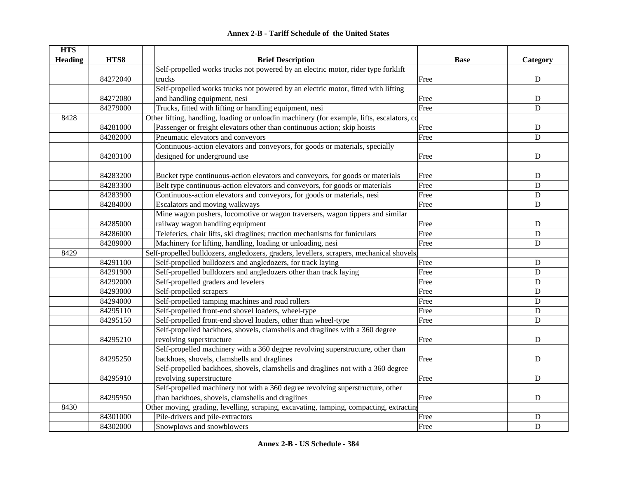|  | Annex 2-B - Tariff Schedule of the United States |  |
|--|--------------------------------------------------|--|
|--|--------------------------------------------------|--|

| <b>HTS</b>     |          |                                                                                            |             |             |
|----------------|----------|--------------------------------------------------------------------------------------------|-------------|-------------|
| <b>Heading</b> | HTS8     | <b>Brief Description</b>                                                                   | <b>Base</b> | Category    |
|                |          | Self-propelled works trucks not powered by an electric motor, rider type forklift          |             |             |
|                | 84272040 | trucks                                                                                     | Free        | ${\bf D}$   |
|                |          | Self-propelled works trucks not powered by an electric motor, fitted with lifting          |             |             |
|                | 84272080 | and handling equipment, nesi                                                               | Free        | $\mathbf D$ |
|                | 84279000 | Trucks, fitted with lifting or handling equipment, nesi                                    | Free        | $\mathbf D$ |
| 8428           |          | Other lifting, handling, loading or unloadin machinery (for example, lifts, escalators, co |             |             |
|                | 84281000 | Passenger or freight elevators other than continuous action; skip hoists                   | Free        | ${\bf D}$   |
|                | 84282000 | Pneumatic elevators and conveyors                                                          | Free        | $\mathbf D$ |
|                |          | Continuous-action elevators and conveyors, for goods or materials, specially               |             |             |
|                | 84283100 | designed for underground use                                                               | Free        | ${\bf D}$   |
|                |          |                                                                                            |             |             |
|                | 84283200 | Bucket type continuous-action elevators and conveyors, for goods or materials              | Free        | D           |
|                | 84283300 | Belt type continuous-action elevators and conveyors, for goods or materials                | Free        | $\mathbf D$ |
|                | 84283900 | Continuous-action elevators and conveyors, for goods or materials, nesi                    | Free        | ${\bf D}$   |
|                | 84284000 | Escalators and moving walkways                                                             | Free        | $\mathbf D$ |
|                |          | Mine wagon pushers, locomotive or wagon traversers, wagon tippers and similar              |             |             |
|                | 84285000 | railway wagon handling equipment                                                           | Free        | ${\bf D}$   |
|                | 84286000 | Teleferics, chair lifts, ski draglines; traction mechanisms for funiculars                 | Free        | $\mathbf D$ |
|                | 84289000 | Machinery for lifting, handling, loading or unloading, nesi                                | Free        | ${\bf D}$   |
| 8429           |          | Self-propelled bulldozers, angledozers, graders, levellers, scrapers, mechanical shovels,  |             |             |
|                | 84291100 | Self-propelled bulldozers and angledozers, for track laying                                | Free        | $\mathbf D$ |
|                | 84291900 | Self-propelled bulldozers and angledozers other than track laying                          | Free        | $\mathbf D$ |
|                | 84292000 | Self-propelled graders and levelers                                                        | Free        | $\mathbf D$ |
|                | 84293000 | Self-propelled scrapers                                                                    | Free        | $\mathbf D$ |
|                | 84294000 | Self-propelled tamping machines and road rollers                                           | Free        | $\mathbf D$ |
|                | 84295110 | Self-propelled front-end shovel loaders, wheel-type                                        | Free        | ${\bf D}$   |
|                | 84295150 | Self-propelled front-end shovel loaders, other than wheel-type                             | Free        | D           |
|                |          | Self-propelled backhoes, shovels, clamshells and draglines with a 360 degree               |             |             |
|                | 84295210 | revolving superstructure                                                                   | Free        | $\mathbf D$ |
|                |          | Self-propelled machinery with a 360 degree revolving superstructure, other than            |             |             |
|                | 84295250 | backhoes, shovels, clamshells and draglines                                                | Free        | $\mathbf D$ |
|                |          | Self-propelled backhoes, shovels, clamshells and draglines not with a 360 degree           |             |             |
|                | 84295910 | revolving superstructure                                                                   | Free        | ${\bf D}$   |
|                |          | Self-propelled machinery not with a 360 degree revolving superstructure, other             |             |             |
|                | 84295950 | than backhoes, shovels, clamshells and draglines                                           | Free        | ${\bf D}$   |
| 8430           |          | Other moving, grading, levelling, scraping, excavating, tamping, compacting, extractin     |             |             |
|                | 84301000 | Pile-drivers and pile-extractors                                                           | Free        | ${\bf D}$   |
|                | 84302000 | Snowplows and snowblowers                                                                  | Free        | $\mathbf D$ |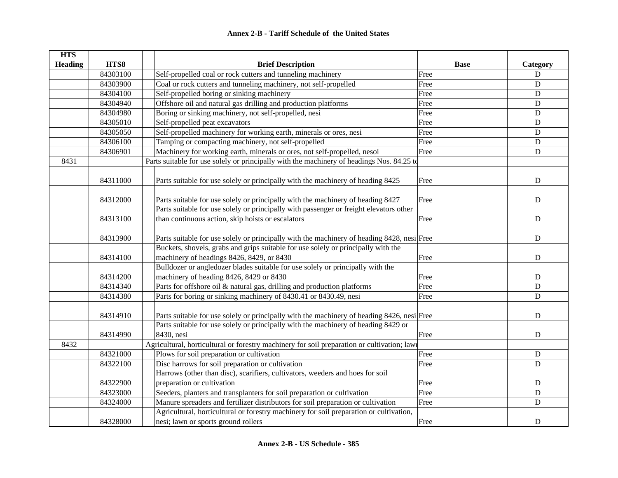| <b>HTS</b>     |          |                                                                                            |             |             |
|----------------|----------|--------------------------------------------------------------------------------------------|-------------|-------------|
| <b>Heading</b> | HTS8     | <b>Brief Description</b>                                                                   | <b>Base</b> | Category    |
|                | 84303100 | Self-propelled coal or rock cutters and tunneling machinery                                | Free        | ${\bf D}$   |
|                | 84303900 | Coal or rock cutters and tunneling machinery, not self-propelled                           | Free        | $\mathbf D$ |
|                | 84304100 | Self-propelled boring or sinking machinery                                                 | Free        | $\mathbf D$ |
|                | 84304940 | Offshore oil and natural gas drilling and production platforms                             | Free        | D           |
|                | 84304980 | Boring or sinking machinery, not self-propelled, nesi                                      | Free        | ${\bf D}$   |
|                | 84305010 | Self-propelled peat excavators                                                             | Free        | ${\bf D}$   |
|                | 84305050 | Self-propelled machinery for working earth, minerals or ores, nesi                         | Free        | ${\bf D}$   |
|                | 84306100 | Tamping or compacting machinery, not self-propelled                                        | Free        | ${\bf D}$   |
|                | 84306901 | Machinery for working earth, minerals or ores, not self-propelled, nesoi                   | Free        | ${\bf D}$   |
| 8431           |          | Parts suitable for use solely or principally with the machinery of headings Nos. 84.25 to  |             |             |
|                |          |                                                                                            |             |             |
|                | 84311000 | Parts suitable for use solely or principally with the machinery of heading 8425            | Free        | ${\bf D}$   |
|                |          |                                                                                            |             |             |
|                | 84312000 | Parts suitable for use solely or principally with the machinery of heading 8427            | Free        | ${\bf D}$   |
|                |          | Parts suitable for use solely or principally with passenger or freight elevators other     |             |             |
|                | 84313100 | than continuous action, skip hoists or escalators                                          | Free        | ${\bf D}$   |
|                |          |                                                                                            |             |             |
|                | 84313900 | Parts suitable for use solely or principally with the machinery of heading 8428, nesi Free |             | ${\bf D}$   |
|                |          | Buckets, shovels, grabs and grips suitable for use solely or principally with the          |             |             |
|                | 84314100 | machinery of headings 8426, 8429, or 8430                                                  | Free        | ${\bf D}$   |
|                |          | Bulldozer or angledozer blades suitable for use solely or principally with the             |             |             |
|                | 84314200 | machinery of heading 8426, 8429 or 8430                                                    | Free        | $\mathbf D$ |
|                | 84314340 | Parts for offshore oil & natural gas, drilling and production platforms                    | Free        | $\mathbf D$ |
|                | 84314380 | Parts for boring or sinking machinery of 8430.41 or 8430.49, nesi                          | Free        | $\mathbf D$ |
|                |          |                                                                                            |             |             |
|                | 84314910 | Parts suitable for use solely or principally with the machinery of heading 8426, nesi Free |             | $\mathbf D$ |
|                |          | Parts suitable for use solely or principally with the machinery of heading 8429 or         |             |             |
|                | 84314990 | 8430, nesi                                                                                 | Free        | $\mathbf D$ |
| 8432           |          | Agricultural, horticultural or forestry machinery for soil preparation or cultivation; law |             |             |
|                | 84321000 | Plows for soil preparation or cultivation                                                  | Free        | ${\bf D}$   |
|                | 84322100 | Disc harrows for soil preparation or cultivation                                           | Free        | ${\bf D}$   |
|                |          | Harrows (other than disc), scarifiers, cultivators, weeders and hoes for soil              |             |             |
|                | 84322900 | preparation or cultivation                                                                 | Free        | ${\bf D}$   |
|                | 84323000 | Seeders, planters and transplanters for soil preparation or cultivation                    | Free        | $\mathbf D$ |
|                | 84324000 | Manure spreaders and fertilizer distributors for soil preparation or cultivation           | Free        | ${\bf D}$   |
|                |          | Agricultural, horticultural or forestry machinery for soil preparation or cultivation,     |             |             |
|                | 84328000 | nesi; lawn or sports ground rollers                                                        | Free        | $\mathbf D$ |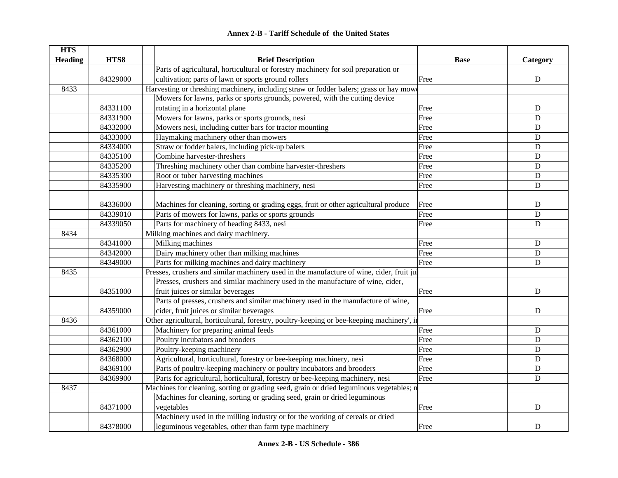| <b>HTS</b>     |          |                                                                                            |             |                |
|----------------|----------|--------------------------------------------------------------------------------------------|-------------|----------------|
| <b>Heading</b> | HTS8     | <b>Brief Description</b>                                                                   | <b>Base</b> | Category       |
|                |          | Parts of agricultural, horticultural or forestry machinery for soil preparation or         |             |                |
|                | 84329000 | cultivation; parts of lawn or sports ground rollers                                        | Free        | ${\bf D}$      |
| 8433           |          | Harvesting or threshing machinery, including straw or fodder balers; grass or hay mow      |             |                |
|                |          | Mowers for lawns, parks or sports grounds, powered, with the cutting device                |             |                |
|                | 84331100 | rotating in a horizontal plane                                                             | Free        | D              |
|                | 84331900 | Mowers for lawns, parks or sports grounds, nesi                                            | Free        | D              |
|                | 84332000 | Mowers nesi, including cutter bars for tractor mounting                                    | Free        | $\mathbf D$    |
|                | 84333000 | Haymaking machinery other than mowers                                                      | Free        | D              |
|                | 84334000 | Straw or fodder balers, including pick-up balers                                           | Free        | D              |
|                | 84335100 | Combine harvester-threshers                                                                | Free        | $\mathbf D$    |
|                | 84335200 | Threshing machinery other than combine harvester-threshers                                 | Free        | ${\bf D}$      |
|                | 84335300 | Root or tuber harvesting machines                                                          | Free        | ${\bf D}$      |
|                | 84335900 | Harvesting machinery or threshing machinery, nesi                                          | Free        | ${\bf D}$      |
|                |          |                                                                                            |             |                |
|                | 84336000 | Machines for cleaning, sorting or grading eggs, fruit or other agricultural produce        | Free        | ${\rm D}$      |
|                | 84339010 | Parts of mowers for lawns, parks or sports grounds                                         | Free        | $\overline{D}$ |
|                | 84339050 | Parts for machinery of heading 8433, nesi                                                  | Free        | ${\bf D}$      |
| 8434           |          | Milking machines and dairy machinery.                                                      |             |                |
|                | 84341000 | Milking machines                                                                           | Free        | ${\bf D}$      |
|                | 84342000 | Dairy machinery other than milking machines                                                | Free        | ${\bf D}$      |
|                | 84349000 | Parts for milking machines and dairy machinery                                             | Free        | $\mathbf D$    |
| 8435           |          | Presses, crushers and similar machinery used in the manufacture of wine, cider, fruit jui  |             |                |
|                |          | Presses, crushers and similar machinery used in the manufacture of wine, cider,            |             |                |
|                | 84351000 | fruit juices or similar beverages                                                          | Free        | D              |
|                |          | Parts of presses, crushers and similar machinery used in the manufacture of wine,          |             |                |
|                | 84359000 | cider, fruit juices or similar beverages                                                   | Free        | D              |
| 8436           |          | Other agricultural, horticultural, forestry, poultry-keeping or bee-keeping machinery', in |             |                |
|                | 84361000 | Machinery for preparing animal feeds                                                       | Free        | D              |
|                | 84362100 | Poultry incubators and brooders                                                            | Free        | D              |
|                | 84362900 | Poultry-keeping machinery                                                                  | Free        | D              |
|                | 84368000 | Agricultural, horticultural, forestry or bee-keeping machinery, nesi                       | Free        | $\mathbf D$    |
|                | 84369100 | Parts of poultry-keeping machinery or poultry incubators and brooders                      | Free        | D              |
|                | 84369900 | Parts for agricultural, horticultural, forestry or bee-keeping machinery, nesi             | Free        | $\mathbf D$    |
| 8437           |          | Machines for cleaning, sorting or grading seed, grain or dried leguminous vegetables; n    |             |                |
|                |          | Machines for cleaning, sorting or grading seed, grain or dried leguminous                  |             |                |
|                | 84371000 | vegetables                                                                                 | Free        | $\mathbf D$    |
|                |          | Machinery used in the milling industry or for the working of cereals or dried              |             |                |
|                | 84378000 | leguminous vegetables, other than farm type machinery                                      | Free        | $\mathbf D$    |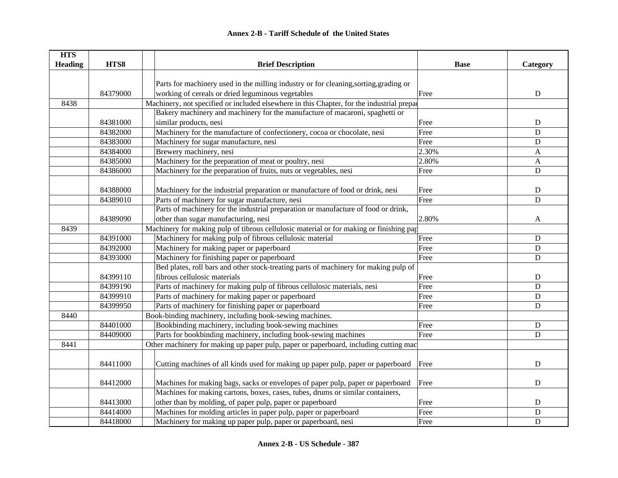| <b>HTS</b>     |          |                                                                                           |             |             |
|----------------|----------|-------------------------------------------------------------------------------------------|-------------|-------------|
| <b>Heading</b> | HTS8     | <b>Brief Description</b>                                                                  | <b>Base</b> | Category    |
|                |          |                                                                                           |             |             |
|                |          | Parts for machinery used in the milling industry or for cleaning, sorting, grading or     |             |             |
|                | 84379000 | working of cereals or dried leguminous vegetables                                         | Free        | ${\bf D}$   |
| 8438           |          | Machinery, not specified or included elsewhere in this Chapter, for the industrial prepar |             |             |
|                |          | Bakery machinery and machinery for the manufacture of macaroni, spaghetti or              |             |             |
|                | 84381000 | similar products, nesi                                                                    | Free        | ${\bf D}$   |
|                | 84382000 | Machinery for the manufacture of confectionery, cocoa or chocolate, nesi                  | Free        | $\mathbf D$ |
|                | 84383000 | Machinery for sugar manufacture, nesi                                                     | Free        | ${\bf D}$   |
|                | 84384000 | Brewery machinery, nesi                                                                   | 2.30%       | A           |
|                | 84385000 | Machinery for the preparation of meat or poultry, nesi                                    | 2.80%       | A           |
|                | 84386000 | Machinery for the preparation of fruits, nuts or vegetables, nesi                         | Free        | ${\bf D}$   |
|                |          |                                                                                           |             |             |
|                | 84388000 | Machinery for the industrial preparation or manufacture of food or drink, nesi            | Free        | ${\bf D}$   |
|                | 84389010 | Parts of machinery for sugar manufacture, nesi                                            | Free        | $\mathbf D$ |
|                |          | Parts of machinery for the industrial preparation or manufacture of food or drink,        |             |             |
|                | 84389090 | other than sugar manufacturing, nesi                                                      | 2.80%       | A           |
| 8439           |          | Machinery for making pulp of tibrous cellulosic material or for making or finishing pap   |             |             |
|                | 84391000 | Machinery for making pulp of fibrous cellulosic material                                  | Free        | D           |
|                | 84392000 | Machinery for making paper or paperboard                                                  | Free        | ${\bf D}$   |
|                | 84393000 | Machinery for finishing paper or paperboard                                               | Free        | $\mathbf D$ |
|                |          | Bed plates, roll bars and other stock-treating parts of machinery for making pulp of      |             |             |
|                | 84399110 | fibrous cellulosic materials                                                              | Free        | ${\bf D}$   |
|                | 84399190 | Parts of machinery for making pulp of fibrous cellulosic materials, nesi                  | Free        | ${\bf D}$   |
|                | 84399910 | Parts of machinery for making paper or paperboard                                         | Free        | $\mathbf D$ |
|                | 84399950 | Parts of machinery for finishing paper or paperboard                                      | Free        | $\mathbf D$ |
| 8440           |          | Book-binding machinery, including book-sewing machines.                                   |             |             |
|                | 84401000 | Bookbinding machinery, including book-sewing machines                                     | Free        | $\mathbf D$ |
|                | 84409000 | Parts for bookbinding machinery, including book-sewing machines                           | Free        | $\mathbf D$ |
| 8441           |          | Other machinery for making up paper pulp, paper or paperboard, including cutting mac      |             |             |
|                |          |                                                                                           |             |             |
|                | 84411000 | Cutting machines of all kinds used for making up paper pulp, paper or paperboard          | Free        | ${\bf D}$   |
|                |          |                                                                                           |             |             |
|                | 84412000 | Machines for making bags, sacks or envelopes of paper pulp, paper or paperboard           | Free        | $\mathbf D$ |
|                |          | Machines for making cartons, boxes, cases, tubes, drums or similar containers,            |             |             |
|                | 84413000 | other than by molding, of paper pulp, paper or paperboard                                 | Free        | $\mathbf D$ |
|                | 84414000 | Machines for molding articles in paper pulp, paper or paperboard                          | Free        | $\mathbf D$ |
|                | 84418000 | Machinery for making up paper pulp, paper or paperboard, nesi                             | Free        | $\mathbf D$ |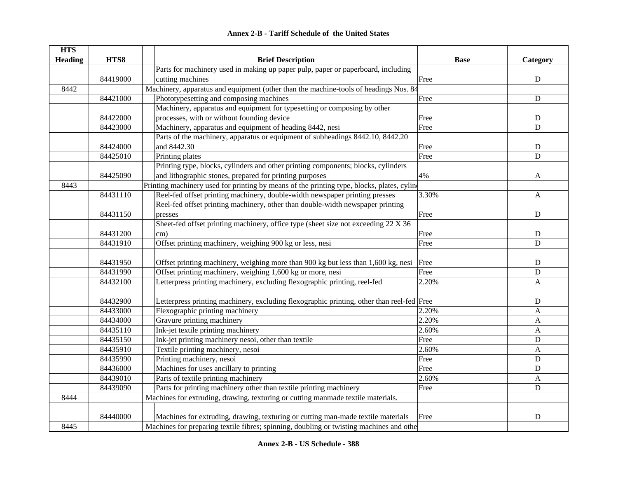|  | <b>Annex 2-B - Tariff Schedule of the United States</b> |  |
|--|---------------------------------------------------------|--|
|--|---------------------------------------------------------|--|

| <b>HTS</b>     |          |                                                                                            |             |              |
|----------------|----------|--------------------------------------------------------------------------------------------|-------------|--------------|
| <b>Heading</b> | HTS8     | <b>Brief Description</b>                                                                   | <b>Base</b> | Category     |
|                |          | Parts for machinery used in making up paper pulp, paper or paperboard, including           |             |              |
|                | 84419000 | cutting machines                                                                           | Free        | ${\bf D}$    |
| 8442           |          | Machinery, apparatus and equipment (other than the machine-tools of headings Nos. 84       |             |              |
|                | 84421000 | Phototypesetting and composing machines                                                    | Free        | ${\bf D}$    |
|                |          | Machinery, apparatus and equipment for typesetting or composing by other                   |             |              |
|                | 84422000 | processes, with or without founding device                                                 | Free        | ${\bf D}$    |
|                | 84423000 | Machinery, apparatus and equipment of heading 8442, nesi                                   | Free        | $\mathbf D$  |
|                |          | Parts of the machinery, apparatus or equipment of subheadings 8442.10, 8442.20             |             |              |
|                | 84424000 | and 8442.30                                                                                | Free        | ${\bf D}$    |
|                | 84425010 | Printing plates                                                                            | Free        | $\mathbf D$  |
|                |          | Printing type, blocks, cylinders and other printing components; blocks, cylinders          |             |              |
|                | 84425090 | and lithographic stones, prepared for printing purposes                                    | 4%          | A            |
| 8443           |          | Printing machinery used for printing by means of the printing type, blocks, plates, cyline |             |              |
|                | 84431110 | Reel-fed offset printing machinery, double-width newspaper printing presses                | 3.30%       | A            |
|                |          | Reel-fed offset printing machinery, other than double-width newspaper printing             |             |              |
|                | 84431150 | presses                                                                                    | Free        | $\mathbf D$  |
|                |          | Sheet-fed offset printing machinery, office type (sheet size not exceeding 22 X 36)        |             |              |
|                | 84431200 | cm)                                                                                        | Free        | ${\bf D}$    |
|                | 84431910 | Offset printing machinery, weighing 900 kg or less, nesi                                   | Free        | $\mathbf D$  |
|                |          |                                                                                            |             |              |
|                | 84431950 | Offset printing machinery, weighing more than 900 kg but less than 1,600 kg, nesi          | Free        | ${\bf D}$    |
|                | 84431990 | Offset printing machinery, weighing 1,600 kg or more, nesi                                 | Free        | ${\bf D}$    |
|                | 84432100 | Letterpress printing machinery, excluding flexographic printing, reel-fed                  | 2.20%       | $\mathbf{A}$ |
|                |          |                                                                                            |             |              |
|                | 84432900 | Letterpress printing machinery, excluding flexographic printing, other than reel-fed Free  |             | ${\bf D}$    |
|                | 84433000 | Flexographic printing machinery                                                            | 2.20%       | A            |
|                | 84434000 | Gravure printing machinery                                                                 | 2.20%       | A            |
|                | 84435110 | Ink-jet textile printing machinery                                                         | 2.60%       | $\mathbf{A}$ |
|                | 84435150 | Ink-jet printing machinery nesoi, other than textile                                       | Free        | ${\bf D}$    |
|                | 84435910 | Textile printing machinery, nesoi                                                          | 2.60%       | $\mathbf{A}$ |
|                | 84435990 | Printing machinery, nesoi                                                                  | Free        | $\mathbf D$  |
|                | 84436000 | Machines for uses ancillary to printing                                                    | Free        | $\mathbf D$  |
|                | 84439010 | Parts of textile printing machinery                                                        | 2.60%       | A            |
|                | 84439090 | Parts for printing machinery other than textile printing machinery                         | Free        | ${\bf D}$    |
| 8444           |          | Machines for extruding, drawing, texturing or cutting manmade textile materials.           |             |              |
|                |          |                                                                                            |             |              |
|                | 84440000 | Machines for extruding, drawing, texturing or cutting man-made textile materials           | Free        | ${\rm D}$    |
| 8445           |          | Machines for preparing textile fibres; spinning, doubling or twisting machines and other   |             |              |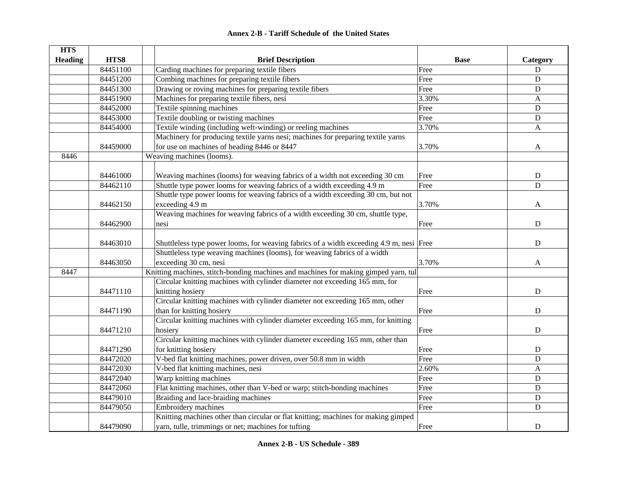|  | <b>Annex 2-B - Tariff Schedule of the United States</b> |  |
|--|---------------------------------------------------------|--|
|--|---------------------------------------------------------|--|

| <b>HTS</b>     |          |                                                                                         |             |              |
|----------------|----------|-----------------------------------------------------------------------------------------|-------------|--------------|
| <b>Heading</b> | HTS8     | <b>Brief Description</b>                                                                | <b>Base</b> | Category     |
|                | 84451100 | Carding machines for preparing textile fibers                                           | Free        | D            |
|                | 84451200 | Combing machines for preparing textile fibers                                           | Free        | $\mathbf D$  |
|                | 84451300 | Drawing or roving machines for preparing textile fibers                                 | Free        | $\mathbf D$  |
|                | 84451900 | Machines for preparing textile fibers, nesi                                             | 3.30%       | A            |
|                | 84452000 | Textile spinning machines                                                               | Free        | ${\bf D}$    |
|                | 84453000 | Textile doubling or twisting machines                                                   | Free        | $\mathbf D$  |
|                | 84454000 | Textile winding (including weft-winding) or reeling machines                            | 3.70%       | $\mathbf{A}$ |
|                |          | Machinery for producing textile yarns nesi; machines for preparing textile yarns        |             |              |
|                | 84459000 | for use on machines of heading 8446 or 8447                                             | 3.70%       | A            |
| 8446           |          | Weaving machines (looms).                                                               |             |              |
|                |          |                                                                                         |             |              |
|                | 84461000 | Weaving machines (looms) for weaving fabrics of a width not exceeding 30 cm             | Free        | $\mathbf D$  |
|                | 84462110 | Shuttle type power looms for weaving fabrics of a width exceeding 4.9 m                 | Free        | D            |
|                |          | Shuttle type power looms for weaving fabrics of a width exceeding 30 cm, but not        |             |              |
|                | 84462150 | exceeding 4.9 m                                                                         | 3.70%       | A            |
|                |          | Weaving machines for weaving fabrics of a width exceeding 30 cm, shuttle type,          |             |              |
|                | 84462900 | nesi                                                                                    | Free        | $\mathbf D$  |
|                |          |                                                                                         |             |              |
|                | 84463010 | Shuttleless type power looms, for weaving fabrics of a width exceeding 4.9 m, nesi Free |             | $\mathbf D$  |
|                |          | Shuttleless type weaving machines (looms), for weaving fabrics of a width               |             |              |
|                | 84463050 | exceeding 30 cm, nesi                                                                   | 3.70%       | A            |
| 8447           |          | Knitting machines, stitch-bonding machines and machines for making gimped yarn, tul     |             |              |
|                |          | Circular knitting machines with cylinder diameter not exceeding 165 mm, for             |             |              |
|                | 84471110 | knitting hosiery                                                                        | Free        | $\mathbf D$  |
|                |          | Circular knitting machines with cylinder diameter not exceeding 165 mm, other           |             |              |
|                | 84471190 | than for knitting hosiery                                                               | Free        | $\mathbf D$  |
|                |          | Circular knitting machines with cylinder diameter exceeding 165 mm, for knitting        |             |              |
|                | 84471210 | hosiery                                                                                 | Free        | $\mathbf D$  |
|                |          | Circular knitting machines with cylinder diameter exceeding 165 mm, other than          |             |              |
|                | 84471290 | for knitting hosiery                                                                    | Free        | ${\bf D}$    |
|                | 84472020 | V-bed flat knitting machines, power driven, over 50.8 mm in width                       | Free        | $\mathbf D$  |
|                | 84472030 | V-bed flat knitting machines, nesi                                                      | 2.60%       | $\mathbf{A}$ |
|                | 84472040 | Warp knitting machines                                                                  | Free        | $\mathbf D$  |
|                | 84472060 | Flat knitting machines, other than V-bed or warp; stitch-bonding machines               | Free        | ${\bf D}$    |
|                | 84479010 | Braiding and lace-braiding machines                                                     | Free        | ${\bf D}$    |
|                | 84479050 | <b>Embroidery</b> machines                                                              | Free        | D            |
|                |          | Knitting machines other than circular or flat knitting; machines for making gimped      |             |              |
|                | 84479090 | yarn, tulle, trimmings or net; machines for tufting                                     | Free        | ${\bf D}$    |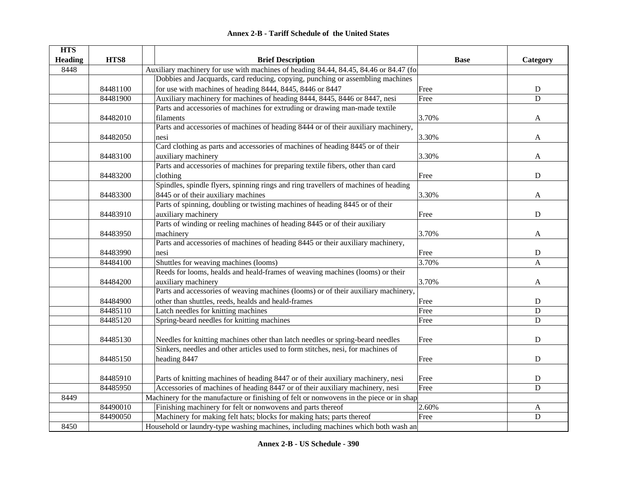| <b>HTS</b>     |          |                                                                                         |             |              |
|----------------|----------|-----------------------------------------------------------------------------------------|-------------|--------------|
| <b>Heading</b> | HTS8     | <b>Brief Description</b>                                                                | <b>Base</b> | Category     |
| 8448           |          | Auxiliary machinery for use with machines of heading 84.44, 84.45, 84.46 or 84.47 (for  |             |              |
|                |          | Dobbies and Jacquards, card reducing, copying, punching or assembling machines          |             |              |
|                | 84481100 | for use with machines of heading 8444, 8445, 8446 or 8447                               | Free        | $\mathbf D$  |
|                | 84481900 | Auxiliary machinery for machines of heading 8444, 8445, 8446 or 8447, nesi              | Free        | D            |
|                |          | Parts and accessories of machines for extruding or drawing man-made textile             |             |              |
|                | 84482010 | filaments                                                                               | 3.70%       | A            |
|                |          | Parts and accessories of machines of heading 8444 or of their auxiliary machinery,      |             |              |
|                | 84482050 | nesi                                                                                    | 3.30%       | A            |
|                |          | Card clothing as parts and accessories of machines of heading 8445 or of their          |             |              |
|                | 84483100 | auxiliary machinery                                                                     | 3.30%       | A            |
|                |          | Parts and accessories of machines for preparing textile fibers, other than card         |             |              |
|                | 84483200 | clothing                                                                                | Free        | D            |
|                |          | Spindles, spindle flyers, spinning rings and ring travellers of machines of heading     |             |              |
|                | 84483300 | 8445 or of their auxiliary machines                                                     | 3.30%       | A            |
|                |          | Parts of spinning, doubling or twisting machines of heading 8445 or of their            |             |              |
|                | 84483910 | auxiliary machinery                                                                     | Free        | D            |
|                |          | Parts of winding or reeling machines of heading 8445 or of their auxiliary              |             |              |
|                | 84483950 | machinery                                                                               | 3.70%       | A            |
|                |          | Parts and accessories of machines of heading 8445 or their auxiliary machinery,         |             |              |
|                | 84483990 | nesi                                                                                    | Free        | ${\rm D}$    |
|                | 84484100 | Shuttles for weaving machines (looms)                                                   | 3.70%       | $\mathbf{A}$ |
|                |          | Reeds for looms, healds and heald-frames of weaving machines (looms) or their           |             |              |
|                | 84484200 | auxiliary machinery                                                                     | 3.70%       | A            |
|                |          | Parts and accessories of weaving machines (looms) or of their auxiliary machinery,      |             |              |
|                | 84484900 | other than shuttles, reeds, healds and heald-frames                                     | Free        | D            |
|                | 84485110 | Latch needles for knitting machines                                                     | Free        | ${\rm D}$    |
|                | 84485120 | Spring-beard needles for knitting machines                                              | Free        | $\mathbf D$  |
|                |          |                                                                                         |             |              |
|                | 84485130 | Needles for knitting machines other than latch needles or spring-beard needles          | Free        | $\mathbf D$  |
|                |          | Sinkers, needles and other articles used to form stitches, nesi, for machines of        |             |              |
|                | 84485150 | heading 8447                                                                            | Free        | ${\bf D}$    |
|                |          |                                                                                         |             |              |
|                | 84485910 | Parts of knitting machines of heading 8447 or of their auxiliary machinery, nesi        | Free        | ${\rm D}$    |
|                | 84485950 | Accessories of machines of heading 8447 or of their auxiliary machinery, nesi           | Free        | D            |
| 8449           |          | Machinery for the manufacture or finishing of felt or nonwovens in the piece or in shap |             |              |
|                | 84490010 | Finishing machinery for felt or nonwovens and parts thereof                             | 2.60%       | $\mathbf{A}$ |
|                | 84490050 | Machinery for making felt hats; blocks for making hats; parts thereof                   | Free        | ${\bf D}$    |
| 8450           |          | Household or laundry-type washing machines, including machines which both wash an       |             |              |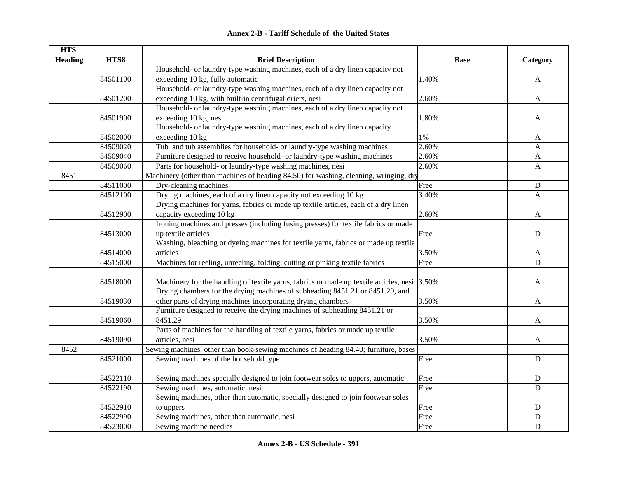|  | <b>Annex 2-B - Tariff Schedule of the United States</b> |  |
|--|---------------------------------------------------------|--|
|--|---------------------------------------------------------|--|

| <b>HTS</b>     |          |                                                                                              |             |              |
|----------------|----------|----------------------------------------------------------------------------------------------|-------------|--------------|
| <b>Heading</b> | HTS8     | <b>Brief Description</b>                                                                     | <b>Base</b> | Category     |
|                |          | Household- or laundry-type washing machines, each of a dry linen capacity not                |             |              |
|                | 84501100 | exceeding 10 kg, fully automatic                                                             | 1.40%       | A            |
|                |          | Household- or laundry-type washing machines, each of a dry linen capacity not                |             |              |
|                | 84501200 | exceeding 10 kg, with built-in centrifugal driers, nesi                                      | 2.60%       | A            |
|                |          | Household- or laundry-type washing machines, each of a dry linen capacity not                |             |              |
|                | 84501900 | exceeding 10 kg, nesi                                                                        | 1.80%       | A            |
|                |          | Household- or laundry-type washing machines, each of a dry linen capacity                    |             |              |
|                | 84502000 | exceeding 10 kg                                                                              | 1%          | A            |
|                | 84509020 | Tub and tub assemblies for household- or laundry-type washing machines                       | 2.60%       | A            |
|                | 84509040 | Furniture designed to receive household- or laundry-type washing machines                    | 2.60%       | A            |
|                | 84509060 | Parts for household- or laundry-type washing machines, nesi                                  | 2.60%       | $\mathbf{A}$ |
| 8451           |          | Machinery (other than machines of heading 84.50) for washing, cleaning, wringing, dry        |             |              |
|                | 84511000 | Dry-cleaning machines                                                                        | Free        | ${\bf D}$    |
|                | 84512100 | Drying machines, each of a dry linen capacity not exceeding 10 kg                            | 3.40%       | A            |
|                |          | Drying machines for yarns, fabrics or made up textile articles, each of a dry linen          |             |              |
|                | 84512900 | capacity exceeding 10 kg                                                                     | 2.60%       | A            |
|                |          | Ironing machines and presses (including fusing presses) for textile fabrics or made          |             |              |
|                | 84513000 | up textile articles                                                                          | Free        | ${\bf D}$    |
|                |          | Washing, bleaching or dyeing machines for textile yarns, fabrics or made up textile          |             |              |
|                | 84514000 | articles                                                                                     | 3.50%       | A            |
|                | 84515000 | Machines for reeling, unreeling, folding, cutting or pinking textile fabrics                 | Free        | $\mathbf D$  |
|                |          |                                                                                              |             |              |
|                | 84518000 | Machinery for the handling of textile yarns, fabrics or made up textile articles, nesi 3.50% |             | A            |
|                |          | Drying chambers for the drying machines of subheading 8451.21 or 8451.29, and                |             |              |
|                | 84519030 | other parts of drying machines incorporating drying chambers                                 | 3.50%       | A            |
|                |          | Furniture designed to receive the drying machines of subheading 8451.21 or                   |             |              |
|                | 84519060 | 8451.29                                                                                      | 3.50%       | A            |
|                |          | Parts of machines for the handling of textile yarns, fabrics or made up textile              |             |              |
|                | 84519090 | articles, nesi                                                                               | 3.50%       | A            |
| 8452           |          | Sewing machines, other than book-sewing machines of heading 84.40; furniture, bases          |             |              |
|                | 84521000 | Sewing machines of the household type                                                        | Free        | $\mathbf D$  |
|                |          |                                                                                              |             |              |
|                | 84522110 | Sewing machines specially designed to join footwear soles to uppers, automatic               | Free        | ${\bf D}$    |
|                | 84522190 | Sewing machines, automatic, nesi                                                             | Free        | $\mathbf D$  |
|                |          | Sewing machines, other than automatic, specially designed to join footwear soles             |             |              |
|                | 84522910 | to uppers                                                                                    | Free        | $\mathbf D$  |
|                | 84522990 | Sewing machines, other than automatic, nesi                                                  | Free        | $\mathbf D$  |
|                | 84523000 | Sewing machine needles                                                                       | Free        | ${\bf D}$    |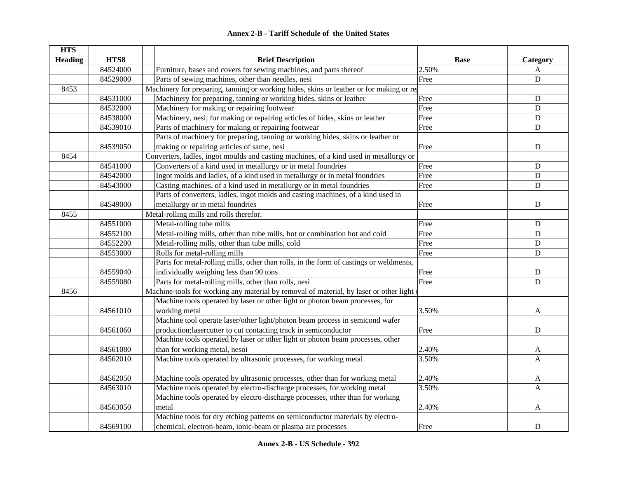|  | <b>Annex 2-B - Tariff Schedule of the United States</b> |  |
|--|---------------------------------------------------------|--|
|--|---------------------------------------------------------|--|

| <b>HTS</b>     |          |                                                                                           |             |                |
|----------------|----------|-------------------------------------------------------------------------------------------|-------------|----------------|
| <b>Heading</b> | HTS8     | <b>Brief Description</b>                                                                  | <b>Base</b> | Category       |
|                | 84524000 | Furniture, bases and covers for sewing machines, and parts thereof                        | 2.50%       | $\mathbf{A}$   |
|                | 84529000 | Parts of sewing machines, other than needles, nesi                                        | Free        | $\mathbf D$    |
| 8453           |          | Machinery for preparing, tanning or working hides, skins or leather or for making or re-  |             |                |
|                | 84531000 | Machinery for preparing, tanning or working hides, skins or leather                       | Free        | ${\bf D}$      |
|                | 84532000 | Machinery for making or repairing footwear                                                | Free        | $\mathbf D$    |
|                | 84538000 | Machinery, nesi, for making or repairing articles of hides, skins or leather              | Free        | ${\bf D}$      |
|                | 84539010 | Parts of machinery for making or repairing footwear                                       | Free        | D              |
|                |          | Parts of machinery for preparing, tanning or working hides, skins or leather or           |             |                |
|                | 84539050 | making or repairing articles of same, nesi                                                | Free        | D              |
| 8454           |          | Converters, ladles, ingot moulds and casting machines, of a kind used in metallurgy or    |             |                |
|                | 84541000 | Converters of a kind used in metallurgy or in metal foundries                             | Free        | ${\bf D}$      |
|                | 84542000 | Ingot molds and ladles, of a kind used in metallurgy or in metal foundries                | Free        | $\mathbf D$    |
|                | 84543000 | Casting machines, of a kind used in metallurgy or in metal foundries                      | Free        | ${\bf D}$      |
|                |          | Parts of converters, ladles, ingot molds and casting machines, of a kind used in          |             |                |
|                | 84549000 | metallurgy or in metal foundries                                                          | Free        | ${\bf D}$      |
| 8455           |          | Metal-rolling mills and rolls therefor.                                                   |             |                |
|                | 84551000 | Metal-rolling tube mills                                                                  | Free        | ${\bf D}$      |
|                | 84552100 | Metal-rolling mills, other than tube mills, hot or combination hot and cold               | Free        | $\mathbf D$    |
|                | 84552200 | Metal-rolling mills, other than tube mills, cold                                          | Free        | ${\bf D}$      |
|                | 84553000 | Rolls for metal-rolling mills                                                             | Free        | ${\bf D}$      |
|                |          | Parts for metal-rolling mills, other than rolls, in the form of castings or weldments,    |             |                |
|                | 84559040 | individually weighing less than 90 tons                                                   | Free        | ${\bf D}$      |
|                | 84559080 | Parts for metal-rolling mills, other than rolls, nesi                                     | Free        | $\mathbf D$    |
| 8456           |          | Machine-tools for working any material by removal of material, by laser or other light of |             |                |
|                |          | Machine tools operated by laser or other light or photon beam processes, for              |             |                |
|                | 84561010 | working metal                                                                             | 3.50%       | A              |
|                |          | Machine tool operate laser/other light/photon beam process in semicond wafer              |             |                |
|                | 84561060 | production; lasercutter to cut contacting track in semiconductor                          | Free        | $\mathbf D$    |
|                |          | Machine tools operated by laser or other light or photon beam processes, other            |             |                |
|                | 84561080 | than for working metal, nesoi                                                             | 2.40%       | A              |
|                | 84562010 | Machine tools operated by ultrasonic processes, for working metal                         | 3.50%       | $\overline{A}$ |
|                |          |                                                                                           |             |                |
|                | 84562050 | Machine tools operated by ultrasonic processes, other than for working metal              | 2.40%       | A              |
|                | 84563010 | Machine tools operated by electro-discharge processes, for working metal                  | 3.50%       | A              |
|                |          | Machine tools operated by electro-discharge processes, other than for working             |             |                |
|                | 84563050 | metal                                                                                     | 2.40%       | A              |
|                |          | Machine tools for dry etching patterns on semiconductor materials by electro-             |             |                |
|                | 84569100 | chemical, electron-beam, ionic-beam or plasma arc processes                               | Free        | D              |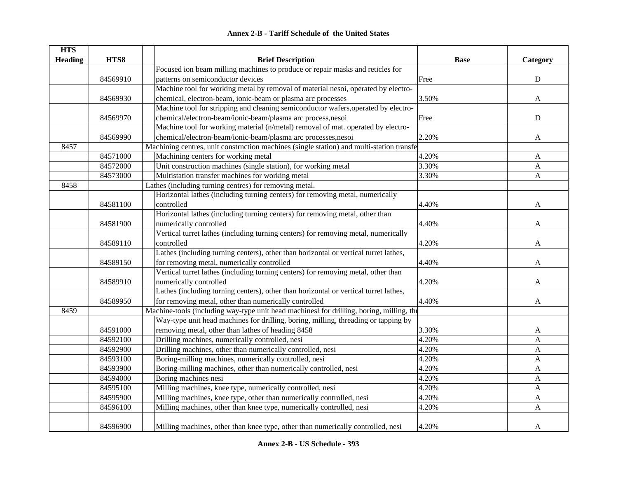|  | <b>Annex 2-B - Tariff Schedule of the United States</b> |  |
|--|---------------------------------------------------------|--|
|--|---------------------------------------------------------|--|

| <b>HTS</b>     |          |                                                                                          |             |                           |
|----------------|----------|------------------------------------------------------------------------------------------|-------------|---------------------------|
| <b>Heading</b> | HTS8     | <b>Brief Description</b>                                                                 | <b>Base</b> | Category                  |
|                |          | Focused ion beam milling machines to produce or repair masks and reticles for            |             |                           |
|                | 84569910 | patterns on semiconductor devices                                                        | Free        | ${\bf D}$                 |
|                |          | Machine tool for working metal by removal of material nesoi, operated by electro-        |             |                           |
|                | 84569930 | chemical, electron-beam, ionic-beam or plasma arc processes                              | 3.50%       | $\mathbf{A}$              |
|                |          | Machine tool for stripping and cleaning semiconductor wafers, operated by electro-       |             |                           |
|                | 84569970 | chemical/electron-beam/ionic-beam/plasma arc process,nesoi                               | Free        | ${\bf D}$                 |
|                |          | Machine tool for working material (n/metal) removal of mat. operated by electro-         |             |                           |
|                | 84569990 | chemical/electron-beam/ionic-beam/plasma arc processes,nesoi                             | 2.20%       | A                         |
| 8457           |          | Machining centres, unit constrnction machines (single station) and multi-station transfe |             |                           |
|                | 84571000 | Machining centers for working metal                                                      | 4.20%       | A                         |
|                | 84572000 | Unit construction machines (single station), for working metal                           | 3.30%       | A                         |
|                | 84573000 | Multistation transfer machines for working metal                                         | 3.30%       | A                         |
| 8458           |          | Lathes (including turning centres) for removing metal.                                   |             |                           |
|                |          | Horizontal lathes (including turning centers) for removing metal, numerically            |             |                           |
|                | 84581100 | controlled                                                                               | 4.40%       | A                         |
|                |          | Horizontal lathes (including turning centers) for removing metal, other than             |             |                           |
|                | 84581900 | numerically controlled                                                                   | 4.40%       | A                         |
|                |          | Vertical turret lathes (including turning centers) for removing metal, numerically       |             |                           |
|                | 84589110 | controlled                                                                               | 4.20%       | A                         |
|                |          | Lathes (including turning centers), other than horizontal or vertical turret lathes,     |             |                           |
|                | 84589150 | for removing metal, numerically controlled                                               | 4.40%       | $\mathbf{A}$              |
|                |          | Vertical turret lathes (including turning centers) for removing metal, other than        |             |                           |
|                | 84589910 | numerically controlled                                                                   | 4.20%       | A                         |
|                |          | Lathes (including turning centers), other than horizontal or vertical turret lathes,     |             |                           |
|                | 84589950 | for removing metal, other than numerically controlled                                    | 4.40%       | A                         |
| 8459           |          | Machine-tools (including way-type unit head machinesl for drilling, boring, milling, the |             |                           |
|                |          | Way-type unit head machines for drilling, boring, milling, threading or tapping by       |             |                           |
|                | 84591000 | removing metal, other than lathes of heading 8458                                        | 3.30%       | A                         |
|                | 84592100 | Drilling machines, numerically controlled, nesi                                          | 4.20%       | $\boldsymbol{\mathsf{A}}$ |
|                | 84592900 | Drilling machines, other than numerically controlled, nesi                               | 4.20%       | $\mathbf{A}$              |
|                | 84593100 | Boring-milling machines, numerically controlled, nesi                                    | 4.20%       | $\mathbf{A}$              |
|                | 84593900 | Boring-milling machines, other than numerically controlled, nesi                         | 4.20%       | $\mathbf{A}$              |
|                | 84594000 | Boring machines nesi                                                                     | 4.20%       | A                         |
|                | 84595100 | Milling machines, knee type, numerically controlled, nesi                                | 4.20%       | $\mathbf{A}$              |
|                | 84595900 | Milling machines, knee type, other than numerically controlled, nesi                     | 4.20%       | $\mathbf{A}$              |
|                | 84596100 | Milling machines, other than knee type, numerically controlled, nesi                     | 4.20%       | A                         |
|                | 84596900 | Milling machines, other than knee type, other than numerically controlled, nesi          | 4.20%       | $\mathbf{A}$              |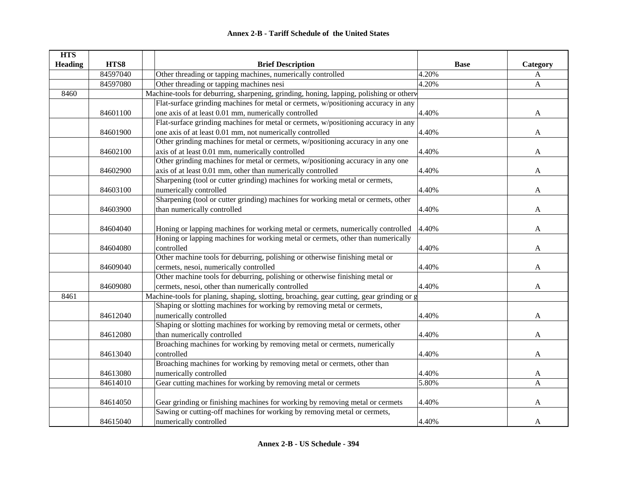| <b>HTS</b>     |          |                                                                                           |             |              |
|----------------|----------|-------------------------------------------------------------------------------------------|-------------|--------------|
| <b>Heading</b> | HTS8     | <b>Brief Description</b>                                                                  | <b>Base</b> | Category     |
|                | 84597040 | Other threading or tapping machines, numerically controlled                               | 4.20%       | A            |
|                | 84597080 | Other threading or tapping machines nesi                                                  | 4.20%       | $\mathbf{A}$ |
| 8460           |          | Machine-tools for deburring, sharpening, grinding, honing, lapping, polishing or otherw   |             |              |
|                |          | Flat-surface grinding machines for metal or cermets, w/positioning accuracy in any        |             |              |
|                | 84601100 | one axis of at least 0.01 mm, numerically controlled                                      | 4.40%       | A            |
|                |          | Flat-surface grinding machines for metal or cermets, w/positioning accuracy in any        |             |              |
|                | 84601900 | one axis of at least 0.01 mm, not numerically controlled                                  | 4.40%       | A            |
|                |          | Other grinding machines for metal or cermets, w/positioning accuracy in any one           |             |              |
|                | 84602100 | axis of at least 0.01 mm, numerically controlled                                          | 4.40%       | A            |
|                |          | Other grinding machines for metal or cermets, w/positioning accuracy in any one           |             |              |
|                | 84602900 | axis of at least 0.01 mm, other than numerically controlled                               | 4.40%       | A            |
|                |          | Sharpening (tool or cutter grinding) machines for working metal or cermets,               |             |              |
|                | 84603100 | numerically controlled                                                                    | 4.40%       | A            |
|                |          | Sharpening (tool or cutter grinding) machines for working metal or cermets, other         |             |              |
|                | 84603900 | than numerically controlled                                                               | 4.40%       | A            |
|                |          |                                                                                           |             |              |
|                | 84604040 | Honing or lapping machines for working metal or cermets, numerically controlled           | 4.40%       | A            |
|                |          | Honing or lapping machines for working metal or cermets, other than numerically           |             |              |
|                | 84604080 | controlled                                                                                | 4.40%       | A            |
|                |          | Other machine tools for deburring, polishing or otherwise finishing metal or              |             |              |
|                | 84609040 | cermets, nesoi, numerically controlled                                                    | 4.40%       | A            |
|                |          | Other machine tools for deburring, polishing or otherwise finishing metal or              |             |              |
|                | 84609080 | cermets, nesoi, other than numerically controlled                                         | 4.40%       | A            |
| 8461           |          | Machine-tools for planing, shaping, slotting, broaching, gear cutting, gear grinding or g |             |              |
|                |          | Shaping or slotting machines for working by removing metal or cermets,                    |             |              |
|                | 84612040 | numerically controlled                                                                    | 4.40%       | A            |
|                |          | Shaping or slotting machines for working by removing metal or cermets, other              |             |              |
|                | 84612080 | than numerically controlled                                                               | 4.40%       | A            |
|                |          | Broaching machines for working by removing metal or cermets, numerically                  |             |              |
|                | 84613040 | controlled                                                                                | 4.40%       | A            |
|                |          | Broaching machines for working by removing metal or cermets, other than                   |             |              |
|                | 84613080 | numerically controlled                                                                    | 4.40%       | A            |
|                | 84614010 | Gear cutting machines for working by removing metal or cermets                            | 5.80%       | A            |
|                |          |                                                                                           |             |              |
|                | 84614050 | Gear grinding or finishing machines for working by removing metal or cermets              | 4.40%       | A            |
|                |          | Sawing or cutting-off machines for working by removing metal or cermets,                  |             |              |
|                | 84615040 | numerically controlled                                                                    | 4.40%       | A            |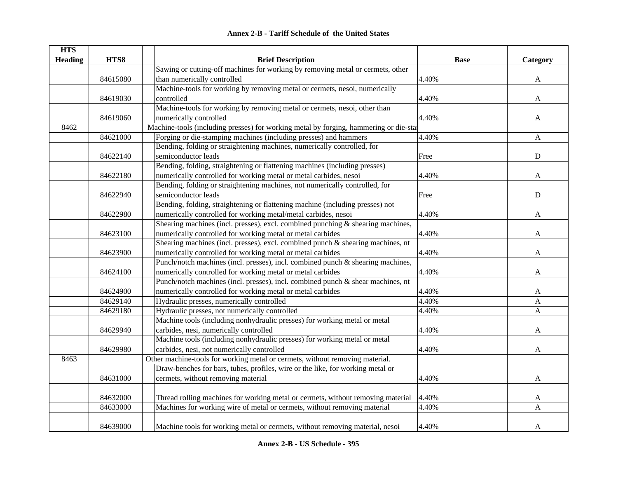| <b>Annex 2-B - Tariff Schedule of the United States</b> |  |
|---------------------------------------------------------|--|
|---------------------------------------------------------|--|

| <b>HTS</b>     |          |                                                                                       |             |              |
|----------------|----------|---------------------------------------------------------------------------------------|-------------|--------------|
| <b>Heading</b> | HTS8     | <b>Brief Description</b>                                                              | <b>Base</b> | Category     |
|                |          | Sawing or cutting-off machines for working by removing metal or cermets, other        |             |              |
|                | 84615080 | than numerically controlled                                                           | 4.40%       | A            |
|                |          | Machine-tools for working by removing metal or cermets, nesoi, numerically            |             |              |
|                | 84619030 | controlled                                                                            | 4.40%       | A            |
|                |          | Machine-tools for working by removing metal or cermets, nesoi, other than             |             |              |
|                | 84619060 | numerically controlled                                                                | 4.40%       | A            |
| 8462           |          | Machine-tools (including presses) for working metal by forging, hammering or die-star |             |              |
|                | 84621000 | Forging or die-stamping machines (including presses) and hammers                      | 4.40%       | A            |
|                |          | Bending, folding or straightening machines, numerically controlled, for               |             |              |
|                | 84622140 | semiconductor leads                                                                   | Free        | $\mathbf D$  |
|                |          | Bending, folding, straightening or flattening machines (including presses)            |             |              |
|                | 84622180 | numerically controlled for working metal or metal carbides, nesoi                     | 4.40%       | A            |
|                |          | Bending, folding or straightening machines, not numerically controlled, for           |             |              |
|                | 84622940 | semiconductor leads                                                                   | Free        | $\mathbf D$  |
|                |          | Bending, folding, straightening or flattening machine (including presses) not         |             |              |
|                | 84622980 | numerically controlled for working metal/metal carbides, nesoi                        | 4.40%       | A            |
|                |          | Shearing machines (incl. presses), excl. combined punching $\&$ shearing machines,    |             |              |
|                | 84623100 | numerically controlled for working metal or metal carbides                            | 4.40%       | A            |
|                |          | Shearing machines (incl. presses), excl. combined punch & shearing machines, nt       |             |              |
|                | 84623900 | numerically controlled for working metal or metal carbides                            | 4.40%       | $\mathbf{A}$ |
|                |          | Punch/notch machines (incl. presses), incl. combined punch & shearing machines,       |             |              |
|                | 84624100 | numerically controlled for working metal or metal carbides                            | 4.40%       | A            |
|                |          | Punch/notch machines (incl. presses), incl. combined punch & shear machines, nt       |             |              |
|                | 84624900 | numerically controlled for working metal or metal carbides                            | 4.40%       | A            |
|                | 84629140 | Hydraulic presses, numerically controlled                                             | 4.40%       | A            |
|                | 84629180 | Hydraulic presses, not numerically controlled                                         | 4.40%       | A            |
|                |          | Machine tools (including nonhydraulic presses) for working metal or metal             |             |              |
|                | 84629940 | carbides, nesi, numerically controlled                                                | 4.40%       | A            |
|                |          | Machine tools (including nonhydraulic presses) for working metal or metal             |             |              |
|                | 84629980 | carbides, nesi, not numerically controlled                                            | 4.40%       | A            |
| 8463           |          | Other machine-tools for working metal or cermets, without removing material.          |             |              |
|                |          | Draw-benches for bars, tubes, profiles, wire or the like, for working metal or        |             |              |
|                | 84631000 | cermets, without removing material                                                    | 4.40%       | A            |
|                |          |                                                                                       |             |              |
|                | 84632000 | Thread rolling machines for working metal or cermets, without removing material       | 4.40%       | A            |
|                | 84633000 | Machines for working wire of metal or cermets, without removing material              | 4.40%       | A            |
|                |          |                                                                                       |             |              |
|                | 84639000 | Machine tools for working metal or cermets, without removing material, nesoi          | 4.40%       | A            |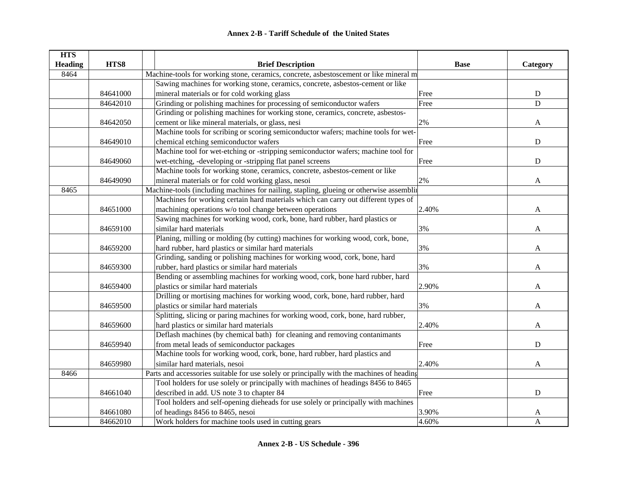| <b>HTS</b>     |          |                                                                                           |             |              |  |  |
|----------------|----------|-------------------------------------------------------------------------------------------|-------------|--------------|--|--|
| <b>Heading</b> | HTS8     | <b>Brief Description</b>                                                                  | <b>Base</b> | Category     |  |  |
| 8464           |          | Machine-tools for working stone, ceramics, concrete, asbestoscement or like mineral m     |             |              |  |  |
|                |          | Sawing machines for working stone, ceramics, concrete, asbestos-cement or like            |             |              |  |  |
|                | 84641000 | mineral materials or for cold working glass                                               | Free        | ${\bf D}$    |  |  |
|                | 84642010 | Grinding or polishing machines for processing of semiconductor wafers                     | Free        | ${\bf D}$    |  |  |
|                |          | Grinding or polishing machines for working stone, ceramics, concrete, asbestos-           |             |              |  |  |
|                | 84642050 | cement or like mineral materials, or glass, nesi                                          | 2%          | A            |  |  |
|                |          | Machine tools for scribing or scoring semiconductor wafers; machine tools for wet-        |             |              |  |  |
|                | 84649010 | chemical etching semiconductor wafers                                                     | Free        | ${\rm D}$    |  |  |
|                |          | Machine tool for wet-etching or -stripping semiconductor wafers; machine tool for         |             |              |  |  |
|                | 84649060 | wet-etching, -developing or -stripping flat panel screens                                 | Free        | $\mathbf D$  |  |  |
|                |          | Machine tools for working stone, ceramics, concrete, asbestos-cement or like              |             |              |  |  |
|                | 84649090 | mineral materials or for cold working glass, nesoi                                        | 2%          | A            |  |  |
| 8465           |          | Machine-tools (including machines for nailing, stapling, glueing or otherwise assembling  |             |              |  |  |
|                |          | Machines for working certain hard materials which can carry out different types of        |             |              |  |  |
|                | 84651000 | machining operations w/o tool change between operations                                   | 2.40%       | A            |  |  |
|                |          | Sawing machines for working wood, cork, bone, hard rubber, hard plastics or               |             |              |  |  |
|                | 84659100 | similar hard materials                                                                    | 3%          | A            |  |  |
|                |          | Planing, milling or molding (by cutting) machines for working wood, cork, bone,           |             |              |  |  |
|                | 84659200 | hard rubber, hard plastics or similar hard materials                                      | 3%          | A            |  |  |
|                |          | Grinding, sanding or polishing machines for working wood, cork, bone, hard                |             |              |  |  |
|                | 84659300 | rubber, hard plastics or similar hard materials                                           | 3%          | A            |  |  |
|                |          | Bending or assembling machines for working wood, cork, bone hard rubber, hard             |             |              |  |  |
|                | 84659400 | plastics or similar hard materials                                                        | 2.90%       | A            |  |  |
|                |          | Drilling or mortising machines for working wood, cork, bone, hard rubber, hard            |             |              |  |  |
|                | 84659500 | plastics or similar hard materials                                                        | 3%          | A            |  |  |
|                |          | Splitting, slicing or paring machines for working wood, cork, bone, hard rubber,          |             |              |  |  |
|                | 84659600 | hard plastics or similar hard materials                                                   | 2.40%       | A            |  |  |
|                |          | Deflash machines (by chemical bath) for cleaning and removing contanimants                |             |              |  |  |
|                | 84659940 | from metal leads of semiconductor packages                                                | Free        | ${\bf D}$    |  |  |
|                |          | Machine tools for working wood, cork, bone, hard rubber, hard plastics and                |             |              |  |  |
|                | 84659980 | similar hard materials, nesoi                                                             | 2.40%       | A            |  |  |
| 8466           |          | Parts and accessories suitable for use solely or principally with the machines of heading |             |              |  |  |
|                |          | Tool holders for use solely or principally with machines of headings 8456 to 8465         |             |              |  |  |
|                | 84661040 | described in add. US note 3 to chapter 84                                                 | Free        | $\mathbf D$  |  |  |
|                |          | Tool holders and self-opening dieheads for use solely or principally with machines        |             |              |  |  |
|                | 84661080 | of headings 8456 to 8465, nesoi                                                           | 3.90%       | A            |  |  |
|                | 84662010 | Work holders for machine tools used in cutting gears                                      | 4.60%       | $\mathbf{A}$ |  |  |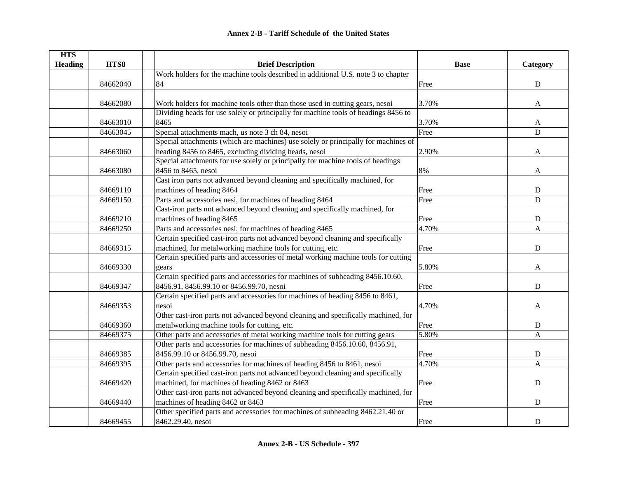| <b>HTS</b>     |          |                                                                                    |             |                |
|----------------|----------|------------------------------------------------------------------------------------|-------------|----------------|
| <b>Heading</b> | HTS8     | <b>Brief Description</b>                                                           | <b>Base</b> | Category       |
|                |          | Work holders for the machine tools described in additional U.S. note 3 to chapter  |             |                |
|                | 84662040 | 84                                                                                 | Free        | ${\bf D}$      |
|                |          |                                                                                    |             |                |
|                | 84662080 | Work holders for machine tools other than those used in cutting gears, nesoi       | 3.70%       | $\mathbf{A}$   |
|                |          | Dividing heads for use solely or principally for machine tools of headings 8456 to |             |                |
|                | 84663010 | 8465                                                                               | 3.70%       | A              |
|                | 84663045 | Special attachments mach, us note 3 ch 84, nesoi                                   | Free        | ${\bf D}$      |
|                |          | Special attachments (which are machines) use solely or principally for machines of |             |                |
|                | 84663060 | heading 8456 to 8465, excluding dividing heads, nesoi                              | 2.90%       | A              |
|                |          | Special attachments for use solely or principally for machine tools of headings    |             |                |
|                | 84663080 | 8456 to 8465, nesoi                                                                | 8%          | A              |
|                |          | Cast iron parts not advanced beyond cleaning and specifically machined, for        |             |                |
|                | 84669110 | machines of heading 8464                                                           | Free        | ${\bf D}$      |
|                | 84669150 | Parts and accessories nesi, for machines of heading 8464                           | Free        | $\mathbf D$    |
|                |          | Cast-iron parts not advanced beyond cleaning and specifically machined, for        |             |                |
|                | 84669210 | machines of heading 8465                                                           | Free        | ${\bf D}$      |
|                | 84669250 | Parts and accessories nesi, for machines of heading 8465                           | 4.70%       | A              |
|                |          | Certain specified cast-iron parts not advanced beyond cleaning and specifically    |             |                |
|                | 84669315 | machined, for metalworking machine tools for cutting, etc.                         | Free        | D              |
|                |          | Certain specified parts and accessories of metal working machine tools for cutting |             |                |
|                | 84669330 | gears                                                                              | 5.80%       | A              |
|                |          | Certain specified parts and accessories for machines of subheading 8456.10.60,     |             |                |
|                | 84669347 | 8456.91, 8456.99.10 or 8456.99.70, nesoi                                           | Free        | $\mathbf D$    |
|                |          | Certain specified parts and accessories for machines of heading 8456 to 8461,      |             |                |
|                | 84669353 | nesoi                                                                              | 4.70%       | A              |
|                |          | Other cast-iron parts not advanced beyond cleaning and specifically machined, for  |             |                |
|                | 84669360 | metalworking machine tools for cutting, etc.                                       | Free        | D              |
|                | 84669375 | Other parts and accessories of metal working machine tools for cutting gears       | 5.80%       | $\overline{A}$ |
|                |          | Other parts and accessories for machines of subheading 8456.10.60, 8456.91,        |             |                |
|                | 84669385 | 8456.99.10 or 8456.99.70, nesoi                                                    | Free        | ${\rm D}$      |
|                | 84669395 | Other parts and accessories for machines of heading 8456 to 8461, nesoi            | 4.70%       | A              |
|                |          | Certain specified cast-iron parts not advanced beyond cleaning and specifically    |             |                |
|                | 84669420 | machined, for machines of heading 8462 or 8463                                     | Free        | D              |
|                |          | Other cast-iron parts not advanced beyond cleaning and specifically machined, for  |             |                |
|                | 84669440 | machines of heading 8462 or 8463                                                   | Free        | ${\bf D}$      |
|                |          | Other specified parts and accessories for machines of subheading 8462.21.40 or     |             |                |
|                | 84669455 | 8462.29.40, nesoi                                                                  | Free        | ${\bf D}$      |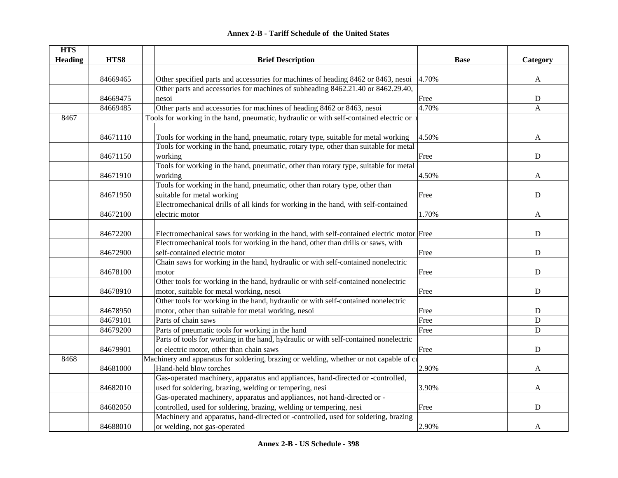| <b>HTS</b>     |          |                                                                                         |             |             |
|----------------|----------|-----------------------------------------------------------------------------------------|-------------|-------------|
| <b>Heading</b> | HTS8     | <b>Brief Description</b>                                                                | <b>Base</b> | Category    |
|                |          |                                                                                         |             |             |
|                | 84669465 | Other specified parts and accessories for machines of heading 8462 or 8463, nesoi       | 4.70%       | A           |
|                |          | Other parts and accessories for machines of subheading 8462.21.40 or 8462.29.40,        |             |             |
|                | 84669475 | nesoi                                                                                   | Free        | ${\bf D}$   |
|                | 84669485 | Other parts and accessories for machines of heading 8462 or 8463, nesoi                 | 4.70%       | A           |
| 8467           |          | Tools for working in the hand, pneumatic, hydraulic or with self-contained electric or  |             |             |
|                | 84671110 | Tools for working in the hand, pneumatic, rotary type, suitable for metal working       | 4.50%       | A           |
|                |          | Tools for working in the hand, pneumatic, rotary type, other than suitable for metal    |             |             |
|                | 84671150 | working                                                                                 | Free        | D           |
|                |          | Tools for working in the hand, pneumatic, other than rotary type, suitable for metal    |             |             |
|                | 84671910 | working                                                                                 | 4.50%       | A           |
|                |          | Tools for working in the hand, pneumatic, other than rotary type, other than            |             |             |
|                | 84671950 | suitable for metal working                                                              | Free        | ${\bf D}$   |
|                |          | Electromechanical drills of all kinds for working in the hand, with self-contained      |             |             |
|                | 84672100 | electric motor                                                                          | 1.70%       | A           |
|                |          |                                                                                         |             |             |
|                | 84672200 | Electromechanical saws for working in the hand, with self-contained electric motor Free |             | ${\bf D}$   |
|                |          | Electromechanical tools for working in the hand, other than drills or saws, with        |             |             |
|                | 84672900 | self-contained electric motor                                                           | Free        | ${\bf D}$   |
|                |          | Chain saws for working in the hand, hydraulic or with self-contained nonelectric        |             |             |
|                | 84678100 | motor                                                                                   | Free        | ${\bf D}$   |
|                |          | Other tools for working in the hand, hydraulic or with self-contained nonelectric       |             |             |
|                | 84678910 | motor, suitable for metal working, nesoi                                                | Free        | $\mathbf D$ |
|                |          | Other tools for working in the hand, hydraulic or with self-contained nonelectric       |             |             |
|                | 84678950 | motor, other than suitable for metal working, nesoi                                     | Free        | $\mathbf D$ |
|                | 84679101 | Parts of chain saws                                                                     | Free        | $\mathbf D$ |
|                | 84679200 | Parts of pneumatic tools for working in the hand                                        | Free        | $\mathbf D$ |
|                |          | Parts of tools for working in the hand, hydraulic or with self-contained nonelectric    |             |             |
|                | 84679901 | or electric motor, other than chain saws                                                | Free        | $\mathbf D$ |
| 8468           |          | Machinery and apparatus for soldering, brazing or welding, whether or not capable of cu |             |             |
|                | 84681000 | Hand-held blow torches                                                                  | 2.90%       | A           |
|                |          | Gas-operated machinery, apparatus and appliances, hand-directed or -controlled,         |             |             |
|                | 84682010 | used for soldering, brazing, welding or tempering, nesi                                 | 3.90%       | A           |
|                |          | Gas-operated machinery, apparatus and appliances, not hand-directed or -                |             |             |
|                | 84682050 | controlled, used for soldering, brazing, welding or tempering, nesi                     | Free        | $\mathbf D$ |
|                |          | Machinery and apparatus, hand-directed or -controlled, used for soldering, brazing      |             |             |
|                | 84688010 | or welding, not gas-operated                                                            | 2.90%       | A           |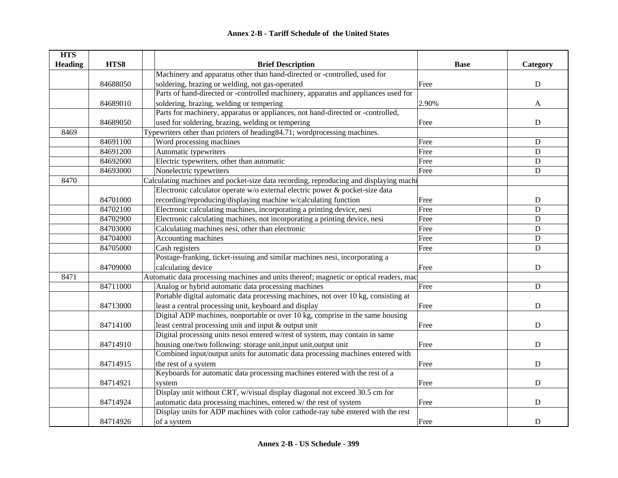| <b>HTS</b>     |          |                                                                                        |             |              |
|----------------|----------|----------------------------------------------------------------------------------------|-------------|--------------|
| <b>Heading</b> | HTS8     | <b>Brief Description</b>                                                               | <b>Base</b> | Category     |
|                |          | Machinery and apparatus other than hand-directed or -controlled, used for              |             |              |
|                | 84688050 | soldering, brazing or welding, not gas-operated                                        | Free        | $\mathbf D$  |
|                |          | Parts of hand-directed or -controlled machinery, apparatus and appliances used for     |             |              |
|                | 84689010 | soldering, brazing, welding or tempering                                               | 2.90%       | $\mathbf{A}$ |
|                |          | Parts for machinery, apparatus or appliances, not hand-directed or -controlled,        |             |              |
|                | 84689050 | used for soldering, brazing, welding or tempering                                      | Free        | ${\bf D}$    |
| 8469           |          | Typewriters other than printers of heading 84.71; wordprocessing machines.             |             |              |
|                | 84691100 | Word processing machines                                                               | Free        | ${\bf D}$    |
|                | 84691200 | Automatic typewriters                                                                  | Free        | $\mathbf D$  |
|                | 84692000 | Electric typewriters, other than automatic                                             | Free        | ${\bf D}$    |
|                | 84693000 | Nonelectric typewriters                                                                | Free        | ${\bf D}$    |
| 8470           |          | Calculating machines and pocket-size data recording, reproducing and displaying machi  |             |              |
|                |          | Electronic calculator operate w/o external electric power & pocket-size data           |             |              |
|                | 84701000 | recording/reproducing/displaying machine w/calculating function                        | Free        | ${\bf D}$    |
|                | 84702100 | Electronic calculating machines, incorporating a printing device, nesi                 | Free        | D            |
|                | 84702900 | Electronic calculating machines, not incorporating a printing device, nesi             | Free        | D            |
|                | 84703000 | Calculating machines nesi, other than electronic                                       | Free        | $\mathbf D$  |
|                | 84704000 | Accounting machines                                                                    | Free        | ${\bf D}$    |
|                | 84705000 | Cash registers                                                                         | Free        | $\mathbf D$  |
|                |          | Postage-franking, ticket-issuing and similar machines nesi, incorporating a            |             |              |
|                | 84709000 | calculating device                                                                     | Free        | ${\bf D}$    |
| 8471           |          | Automatic data processing machines and units thereof; magnetic or optical readers, mac |             |              |
|                | 84711000 | Analog or hybrid automatic data processing machines                                    | Free        | $\mathbf D$  |
|                |          | Portable digital automatic data processing machines, not over 10 kg, consisting at     |             |              |
|                | 84713000 | least a central processing unit, keyboard and display                                  | Free        | $\mathbf D$  |
|                |          | Digital ADP machines, nonportable or over 10 kg, comprise in the same housing          |             |              |
|                | 84714100 | least central processing unit and input & output unit                                  | Free        | $\mathbf D$  |
|                |          | Digital processing units nesoi entered w/rest of system, may contain in same           |             |              |
|                | 84714910 | housing one/two following: storage unit, input unit, output unit                       | Free        | ${\bf D}$    |
|                |          | Combined input/output units for automatic data processing machines entered with        |             |              |
|                | 84714915 | the rest of a system                                                                   | Free        | ${\bf D}$    |
|                |          | Keyboards for automatic data processing machines entered with the rest of a            |             |              |
|                | 84714921 | system                                                                                 | Free        | ${\bf D}$    |
|                |          | Display unit without CRT, w/visual display diagonal not exceed 30.5 cm for             |             |              |
|                | 84714924 | automatic data processing machines, entered w/ the rest of system                      | Free        | ${\bf D}$    |
|                |          | Display units for ADP machines with color cathode-ray tube entered with the rest       |             |              |
|                | 84714926 | of a system                                                                            | Free        | ${\bf D}$    |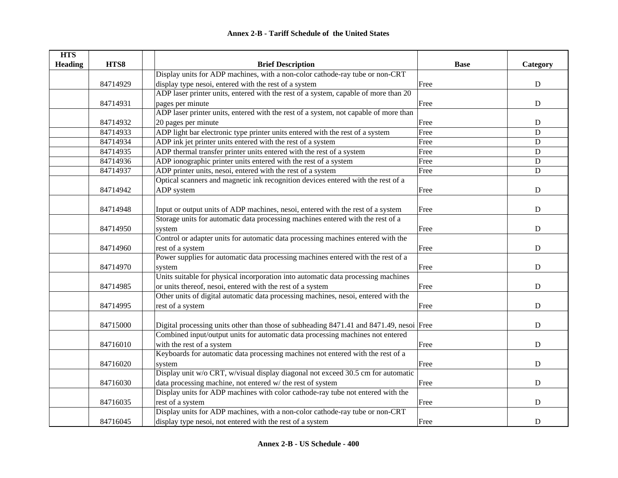| <b>HTS</b>     |          |                                                                                         |             |             |
|----------------|----------|-----------------------------------------------------------------------------------------|-------------|-------------|
| <b>Heading</b> | HTS8     | <b>Brief Description</b>                                                                | <b>Base</b> | Category    |
|                |          | Display units for ADP machines, with a non-color cathode-ray tube or non-CRT            |             |             |
|                | 84714929 | display type nesoi, entered with the rest of a system                                   | Free        | ${\bf D}$   |
|                |          | ADP laser printer units, entered with the rest of a system, capable of more than 20     |             |             |
|                | 84714931 | pages per minute                                                                        | Free        | ${\bf D}$   |
|                |          | ADP laser printer units, entered with the rest of a system, not capable of more than    |             |             |
|                | 84714932 | 20 pages per minute                                                                     | Free        | ${\bf D}$   |
|                | 84714933 | ADP light bar electronic type printer units entered with the rest of a system           | Free        | $\mathbf D$ |
|                | 84714934 | ADP ink jet printer units entered with the rest of a system                             | Free        | ${\bf D}$   |
|                | 84714935 | ADP thermal transfer printer units entered with the rest of a system                    | Free        | D           |
|                | 84714936 | ADP ionographic printer units entered with the rest of a system                         | Free        | D           |
|                | 84714937 | ADP printer units, nesoi, entered with the rest of a system                             | Free        | ${\bf D}$   |
|                |          | Optical scanners and magnetic ink recognition devices entered with the rest of a        |             |             |
|                | 84714942 | ADP system                                                                              | Free        | ${\bf D}$   |
|                |          |                                                                                         |             |             |
|                | 84714948 | Input or output units of ADP machines, nesoi, entered with the rest of a system         | Free        | D           |
|                |          | Storage units for automatic data processing machines entered with the rest of a         |             |             |
|                | 84714950 | system                                                                                  | Free        | D           |
|                |          | Control or adapter units for automatic data processing machines entered with the        |             |             |
|                | 84714960 | rest of a system                                                                        | Free        | ${\bf D}$   |
|                |          | Power supplies for automatic data processing machines entered with the rest of a        |             |             |
|                | 84714970 | system                                                                                  | Free        | D           |
|                |          | Units suitable for physical incorporation into automatic data processing machines       |             |             |
|                | 84714985 | or units thereof, nesoi, entered with the rest of a system                              | Free        | D           |
|                |          | Other units of digital automatic data processing machines, nesoi, entered with the      |             |             |
|                | 84714995 | rest of a system                                                                        | Free        | D           |
|                |          |                                                                                         |             |             |
|                | 84715000 | Digital processing units other than those of subheading 8471.41 and 8471.49, nesoi Free |             | ${\bf D}$   |
|                |          | Combined input/output units for automatic data processing machines not entered          |             |             |
|                | 84716010 | with the rest of a system                                                               | Free        | $\mathbf D$ |
|                |          | Keyboards for automatic data processing machines not entered with the rest of a         |             |             |
|                | 84716020 | system                                                                                  | Free        | ${\bf D}$   |
|                |          | Display unit w/o CRT, w/visual display diagonal not exceed 30.5 cm for automatic        |             |             |
|                | 84716030 | data processing machine, not entered w/ the rest of system                              | Free        | ${\bf D}$   |
|                |          | Display units for ADP machines with color cathode-ray tube not entered with the         |             |             |
|                | 84716035 | rest of a system                                                                        | Free        | $\mathbf D$ |
|                |          | Display units for ADP machines, with a non-color cathode-ray tube or non-CRT            |             |             |
|                | 84716045 | display type nesoi, not entered with the rest of a system                               | Free        | D           |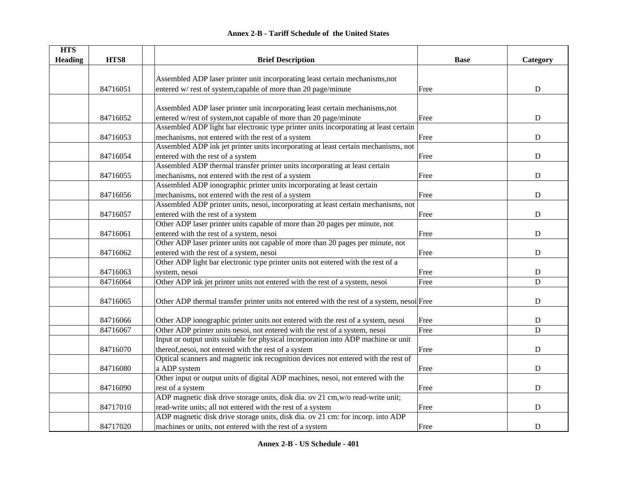| <b>HTS</b>     |          |                                                                                            |             |             |
|----------------|----------|--------------------------------------------------------------------------------------------|-------------|-------------|
| <b>Heading</b> | HTS8     | <b>Brief Description</b>                                                                   | <b>Base</b> | Category    |
|                |          |                                                                                            |             |             |
|                |          | Assembled ADP laser printer unit incorporating least certain mechanisms, not               |             |             |
|                | 84716051 | entered w/rest of system, capable of more than 20 page/minute                              | Free        | ${\bf D}$   |
|                |          |                                                                                            |             |             |
|                |          | Assembled ADP laser printer unit incorporating least certain mechanisms, not               |             |             |
|                | 84716052 | entered w/rest of system, not capable of more than 20 page/minute                          | Free        | D           |
|                |          | Assembled ADP light bar electronic type printer units incorporating at least certain       |             |             |
|                | 84716053 | mechanisms, not entered with the rest of a system                                          | Free        | $\mathbf D$ |
|                |          | Assembled ADP ink jet printer units incorporating at least certain mechanisms, not         |             |             |
|                | 84716054 | entered with the rest of a system                                                          | Free        | ${\bf D}$   |
|                |          | Assembled ADP thermal transfer printer units incorporating at least certain                |             |             |
|                | 84716055 | mechanisms, not entered with the rest of a system                                          | Free        | D           |
|                |          | Assembled ADP ionographic printer units incorporating at least certain                     |             |             |
|                | 84716056 | mechanisms, not entered with the rest of a system                                          | Free        | ${\bf D}$   |
|                |          | Assembled ADP printer units, nesoi, incorporating at least certain mechanisms, not         |             |             |
|                | 84716057 | entered with the rest of a system                                                          | Free        | ${\bf D}$   |
|                |          | Other ADP laser printer units capable of more than 20 pages per minute, not                |             |             |
|                | 84716061 | entered with the rest of a system, nesoi                                                   | Free        | ${\bf D}$   |
|                |          | Other ADP laser printer units not capable of more than 20 pages per minute, not            |             |             |
|                | 84716062 | entered with the rest of a system, nesoi                                                   | Free        | ${\bf D}$   |
|                |          | Other ADP light bar electronic type printer units not entered with the rest of a           |             |             |
|                | 84716063 | system, nesoi                                                                              | Free        | ${\bf D}$   |
|                | 84716064 | Other ADP ink jet printer units not entered with the rest of a system, nesoi               | Free        | $\mathbf D$ |
|                |          |                                                                                            |             |             |
|                | 84716065 | Other ADP thermal transfer printer units not entered with the rest of a system, nesoi Free |             | $\mathbf D$ |
|                |          |                                                                                            |             |             |
|                | 84716066 | Other ADP ionographic printer units not entered with the rest of a system, nesoi           | Free        | ${\bf D}$   |
|                | 84716067 | Other ADP printer units nesoi, not entered with the rest of a system, nesoi                | Free        | D           |
|                |          | Input or output units suitable for physical incorporation into ADP machine or unit         |             |             |
|                | 84716070 | thereof, nesoi, not entered with the rest of a system                                      | Free        | D           |
|                |          | Optical scanners and magnetic ink recognition devices not entered with the rest of         |             |             |
|                | 84716080 | a ADP system                                                                               | Free        | ${\bf D}$   |
|                |          | Other input or output units of digital ADP machines, nesoi, not entered with the           |             |             |
|                | 84716090 | rest of a system                                                                           | Free        | ${\bf D}$   |
|                |          | ADP magnetic disk drive storage units, disk dia. ov 21 cm, w/o read-write unit;            |             |             |
|                | 84717010 | read-write units; all not entered with the rest of a system                                | Free        | ${\bf D}$   |
|                |          | ADP magnetic disk drive storage units, disk dia. ov 21 cm: for incorp. into ADP            |             |             |
|                | 84717020 | machines or units, not entered with the rest of a system                                   | Free        | ${\bf D}$   |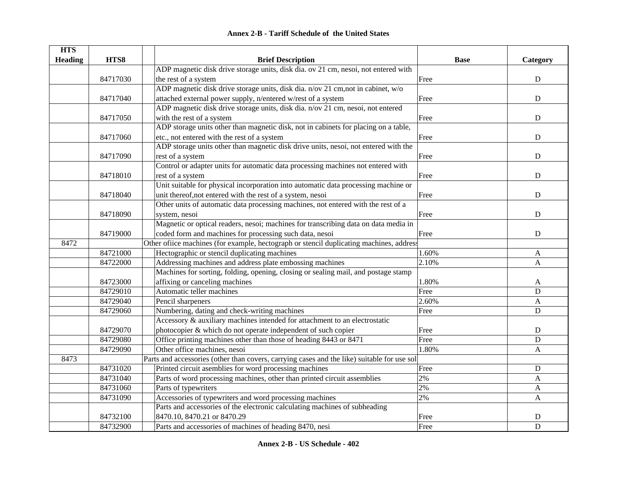| <b>HTS</b>     |          |                                                                                             |             |             |
|----------------|----------|---------------------------------------------------------------------------------------------|-------------|-------------|
| <b>Heading</b> | HTS8     | <b>Brief Description</b>                                                                    | <b>Base</b> | Category    |
|                |          | ADP magnetic disk drive storage units, disk dia. ov 21 cm, nesoi, not entered with          |             |             |
|                | 84717030 | the rest of a system                                                                        | Free        | ${\bf D}$   |
|                |          | ADP magnetic disk drive storage units, disk dia. n/ov 21 cm, not in cabinet, w/o            |             |             |
|                | 84717040 | attached external power supply, n/entered w/rest of a system                                | Free        | ${\bf D}$   |
|                |          | ADP magnetic disk drive storage units, disk dia. n/ov 21 cm, nesoi, not entered             |             |             |
|                | 84717050 | with the rest of a system                                                                   | Free        | $\mathbf D$ |
|                |          | ADP storage units other than magnetic disk, not in cabinets for placing on a table,         |             |             |
|                | 84717060 | etc., not entered with the rest of a system                                                 | Free        | $\mathbf D$ |
|                |          | ADP storage units other than magnetic disk drive units, nesoi, not entered with the         |             |             |
|                | 84717090 | rest of a system                                                                            | Free        | $\mathbf D$ |
|                |          | Control or adapter units for automatic data processing machines not entered with            |             |             |
|                | 84718010 | rest of a system                                                                            | Free        | $\mathbf D$ |
|                |          | Unit suitable for physical incorporation into automatic data processing machine or          |             |             |
|                | 84718040 | unit thereof, not entered with the rest of a system, nesoi                                  | Free        | $\mathbf D$ |
|                |          | Other units of automatic data processing machines, not entered with the rest of a           |             |             |
|                | 84718090 | system, nesoi                                                                               | Free        | $\mathbf D$ |
|                |          | Magnetic or optical readers, nesoi; machines for transcribing data on data media in         |             |             |
|                | 84719000 | coded form and machines for processing such data, nesoi                                     | Free        | ${\bf D}$   |
| 8472           |          | Other office machines (for example, hectograph or stencil duplicating machines, address     |             |             |
|                | 84721000 | Hectographic or stencil duplicating machines                                                | 1.60%       | A           |
|                | 84722000 | Addressing machines and address plate embossing machines                                    | 2.10%       | A           |
|                |          | Machines for sorting, folding, opening, closing or sealing mail, and postage stamp          |             |             |
|                | 84723000 | affixing or canceling machines                                                              | 1.80%       | A           |
|                | 84729010 | Automatic teller machines                                                                   | Free        | $\mathbf D$ |
|                | 84729040 | Pencil sharpeners                                                                           | 2.60%       | A           |
|                | 84729060 | Numbering, dating and check-writing machines                                                | Free        | D           |
|                |          | Accessory & auxiliary machines intended for attachment to an electrostatic                  |             |             |
|                | 84729070 | photocopier & which do not operate independent of such copier                               | Free        | ${\bf D}$   |
|                | 84729080 | Office printing machines other than those of heading 8443 or 8471                           | Free        | D           |
|                | 84729090 | Other office machines, nesoi                                                                | 1.80%       | A           |
| 8473           |          | Parts and accessories (other than covers, carrying cases and the like) suitable for use sol |             |             |
|                | 84731020 | Printed circuit asemblies for word processing machines                                      | Free        | $\mathbf D$ |
|                | 84731040 | Parts of word processing machines, other than printed circuit assemblies                    | 2%          | A           |
|                | 84731060 | Parts of typewriters                                                                        | 2%          | A           |
|                | 84731090 | Accessories of typewriters and word processing machines                                     | 2%          | A           |
|                |          | Parts and accessories of the electronic calculating machines of subheading                  |             |             |
|                | 84732100 | 8470.10, 8470.21 or 8470.29                                                                 | Free        | $\mathbf D$ |
|                | 84732900 | Parts and accessories of machines of heading 8470, nesi                                     | Free        | $\mathbf D$ |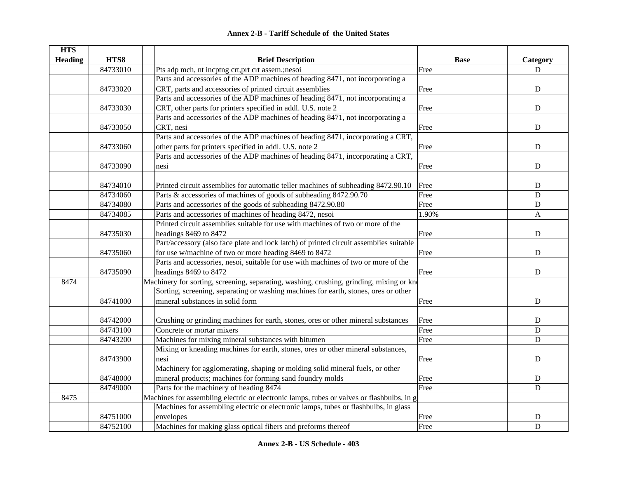|  | <b>Annex 2-B - Tariff Schedule of the United States</b> |  |
|--|---------------------------------------------------------|--|
|--|---------------------------------------------------------|--|

| <b>HTS</b>     |          |                                                                                           |             |             |
|----------------|----------|-------------------------------------------------------------------------------------------|-------------|-------------|
| <b>Heading</b> | HTS8     | <b>Brief Description</b>                                                                  | <b>Base</b> | Category    |
|                | 84733010 | Pts adp mch, nt incptng crt, prt crt assem.; nesoi                                        | Free        | D           |
|                |          | Parts and accessories of the ADP machines of heading 8471, not incorporating a            |             |             |
|                | 84733020 | CRT, parts and accessories of printed circuit assemblies                                  | Free        | ${\bf D}$   |
|                |          | Parts and accessories of the ADP machines of heading 8471, not incorporating a            |             |             |
|                | 84733030 | CRT, other parts for printers specified in addl. U.S. note 2                              | Free        | ${\rm D}$   |
|                |          | Parts and accessories of the ADP machines of heading 8471, not incorporating a            |             |             |
|                | 84733050 | CRT, nesi                                                                                 | Free        | ${\bf D}$   |
|                |          | Parts and accessories of the ADP machines of heading 8471, incorporating a CRT,           |             |             |
|                | 84733060 | other parts for printers specified in addl. U.S. note 2                                   | Free        | $\mathbf D$ |
|                |          | Parts and accessories of the ADP machines of heading 8471, incorporating a CRT,           |             |             |
|                | 84733090 | nesi                                                                                      | Free        | ${\bf D}$   |
|                |          |                                                                                           |             |             |
|                | 84734010 | Printed circuit assemblies for automatic teller machines of subheading 8472.90.10         | Free        | D           |
|                | 84734060 | Parts & accessories of machines of goods of subheading 8472.90.70                         | Free        | $\mathbf D$ |
|                | 84734080 | Parts and accessories of the goods of subheading 8472.90.80                               | Free        | ${\bf D}$   |
|                | 84734085 | Parts and accessories of machines of heading 8472, nesoi                                  | 1.90%       | A           |
|                |          | Printed circuit assemblies suitable for use with machines of two or more of the           |             |             |
|                | 84735030 | headings 8469 to 8472                                                                     | Free        | ${\bf D}$   |
|                |          | Part/accessory (also face plate and lock latch) of printed circuit assemblies suitable    |             |             |
|                | 84735060 | for use w/machine of two or more heading 8469 to 8472                                     | Free        | ${\bf D}$   |
|                |          | Parts and accessories, nesoi, suitable for use with machines of two or more of the        |             |             |
|                | 84735090 | headings 8469 to 8472                                                                     | Free        | ${\bf D}$   |
| 8474           |          | Machinery for sorting, screening, separating, washing, crushing, grinding, mixing or kn   |             |             |
|                |          | Sorting, screening, separating or washing machines for earth, stones, ores or other       |             |             |
|                | 84741000 | mineral substances in solid form                                                          | Free        | ${\bf D}$   |
|                |          |                                                                                           |             |             |
|                | 84742000 | Crushing or grinding machines for earth, stones, ores or other mineral substances         | Free        | ${\bf D}$   |
|                | 84743100 | Concrete or mortar mixers                                                                 | Free        | $\mathbf D$ |
|                | 84743200 | Machines for mixing mineral substances with bitumen                                       | Free        | ${\bf D}$   |
|                |          | Mixing or kneading machines for earth, stones, ores or other mineral substances,          |             |             |
|                | 84743900 | nesi                                                                                      | Free        | $\mathbf D$ |
|                |          | Machinery for agglomerating, shaping or molding solid mineral fuels, or other             |             |             |
|                | 84748000 | mineral products; machines for forming sand foundry molds                                 | Free        | ${\bf D}$   |
|                | 84749000 | Parts for the machinery of heading 8474                                                   | Free        | D           |
| 8475           |          | Machines for assembling electric or electronic lamps, tubes or valves or flashbulbs, in g |             |             |
|                |          | Machines for assembling electric or electronic lamps, tubes or flashbulbs, in glass       |             |             |
|                | 84751000 | envelopes                                                                                 | Free        | $\mathbf D$ |
|                | 84752100 | Machines for making glass optical fibers and preforms thereof                             | Free        | $\mathbf D$ |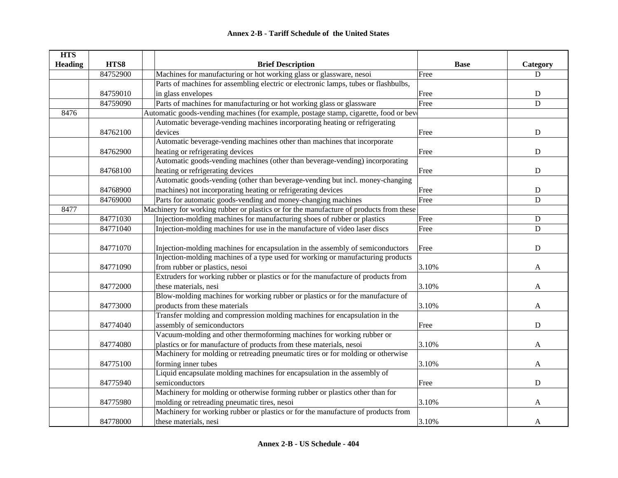| <b>HTS</b>     |          |                                                                                        |             |             |
|----------------|----------|----------------------------------------------------------------------------------------|-------------|-------------|
| <b>Heading</b> | HTS8     | <b>Brief Description</b>                                                               | <b>Base</b> | Category    |
|                | 84752900 | Machines for manufacturing or hot working glass or glassware, nesoi                    | Free        | $\mathbf D$ |
|                |          | Parts of machines for assembling electric or electronic lamps, tubes or flashbulbs,    |             |             |
|                | 84759010 | in glass envelopes                                                                     | Free        | ${\bf D}$   |
|                | 84759090 | Parts of machines for manufacturing or hot working glass or glassware                  | Free        | D           |
| 8476           |          | Automatic goods-vending machines (for example, postage stamp, cigarette, food or beve  |             |             |
|                |          | Automatic beverage-vending machines incorporating heating or refrigerating             |             |             |
|                | 84762100 | devices                                                                                | Free        | ${\bf D}$   |
|                |          | Automatic beverage-vending machines other than machines that incorporate               |             |             |
|                | 84762900 | heating or refrigerating devices                                                       | Free        | ${\bf D}$   |
|                |          | Automatic goods-vending machines (other than beverage-vending) incorporating           |             |             |
|                | 84768100 | heating or refrigerating devices                                                       | Free        | $\mathbf D$ |
|                |          | Automatic goods-vending (other than beverage-vending but incl. money-changing          |             |             |
|                | 84768900 | machines) not incorporating heating or refrigerating devices                           | Free        | ${\bf D}$   |
|                | 84769000 | Parts for automatic goods-vending and money-changing machines                          | Free        | D           |
| 8477           |          | Machinery for working rubber or plastics or for the manufacture of products from these |             |             |
|                | 84771030 | Injection-molding machines for manufacturing shoes of rubber or plastics               | Free        | $\mathbf D$ |
|                | 84771040 | Injection-molding machines for use in the manufacture of video laser discs             | Free        | D           |
|                |          |                                                                                        |             |             |
|                | 84771070 | Injection-molding machines for encapsulation in the assembly of semiconductors         | Free        | $\mathbf D$ |
|                |          | Injection-molding machines of a type used for working or manufacturing products        |             |             |
|                | 84771090 | from rubber or plastics, nesoi                                                         | 3.10%       | A           |
|                |          | Extruders for working rubber or plastics or for the manufacture of products from       |             |             |
|                | 84772000 | these materials, nesi                                                                  | 3.10%       | A           |
|                |          | Blow-molding machines for working rubber or plastics or for the manufacture of         |             |             |
|                | 84773000 | products from these materials                                                          | 3.10%       | A           |
|                |          | Transfer molding and compression molding machines for encapsulation in the             |             |             |
|                | 84774040 | assembly of semiconductors                                                             | Free        | $\mathbf D$ |
|                |          | Vacuum-molding and other thermoforming machines for working rubber or                  |             |             |
|                | 84774080 | plastics or for manufacture of products from these materials, nesoi                    | 3.10%       | A           |
|                |          | Machinery for molding or retreading pneumatic tires or for molding or otherwise        |             |             |
|                | 84775100 | forming inner tubes                                                                    | 3.10%       | A           |
|                |          | Liquid encapsulate molding machines for encapsulation in the assembly of               |             |             |
|                | 84775940 | semiconductors                                                                         | Free        | ${\bf D}$   |
|                |          | Machinery for molding or otherwise forming rubber or plastics other than for           |             |             |
|                | 84775980 | molding or retreading pneumatic tires, nesoi                                           | 3.10%       | A           |
|                |          | Machinery for working rubber or plastics or for the manufacture of products from       |             |             |
|                | 84778000 | these materials, nesi                                                                  | 3.10%       | A           |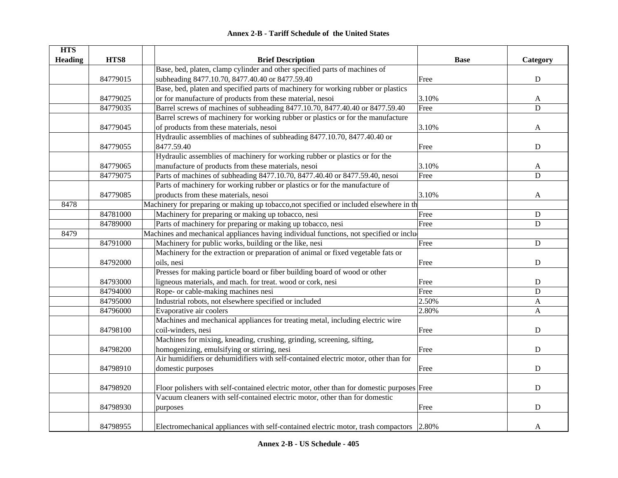| <b>HTS</b>     |          |                                                                                           |             |           |
|----------------|----------|-------------------------------------------------------------------------------------------|-------------|-----------|
| <b>Heading</b> | HTS8     | <b>Brief Description</b>                                                                  | <b>Base</b> | Category  |
|                |          | Base, bed, platen, clamp cylinder and other specified parts of machines of                |             |           |
|                | 84779015 | subheading 8477.10.70, 8477.40.40 or 8477.59.40                                           | Free        | ${\bf D}$ |
|                |          | Base, bed, platen and specified parts of machinery for working rubber or plastics         |             |           |
|                | 84779025 | or for manufacture of products from these material, nesoi                                 | 3.10%       | A         |
|                | 84779035 | Barrel screws of machines of subheading 8477.10.70, 8477.40.40 or 8477.59.40              | Free        | D         |
|                |          | Barrel screws of machinery for working rubber or plastics or for the manufacture          |             |           |
|                | 84779045 | of products from these materials, nesoi                                                   | 3.10%       | A         |
|                |          | Hydraulic assemblies of machines of subheading 8477.10.70, 8477.40.40 or                  |             |           |
|                | 84779055 | 8477.59.40                                                                                | Free        | ${\bf D}$ |
|                |          | Hydraulic assemblies of machinery for working rubber or plastics or for the               |             |           |
|                | 84779065 | manufacture of products from these materials, nesoi                                       | 3.10%       | A         |
|                | 84779075 | Parts of machines of subheading 8477.10.70, 8477.40.40 or 8477.59.40, nesoi               | Free        | ${\bf D}$ |
|                |          | Parts of machinery for working rubber or plastics or for the manufacture of               |             |           |
|                | 84779085 | products from these materials, nesoi                                                      | 3.10%       | A         |
| 8478           |          | Machinery for preparing or making up tobacco, not specified or included elsewhere in th   |             |           |
|                | 84781000 | Machinery for preparing or making up tobacco, nesi                                        | Free        | ${\bf D}$ |
|                | 84789000 | Parts of machinery for preparing or making up tobacco, nesi                               | Free        | ${\bf D}$ |
| 8479           |          | Machines and mechanical appliances having individual functions, not specified or inclu-   |             |           |
|                | 84791000 | Machinery for public works, building or the like, nesi                                    | Free        | ${\bf D}$ |
|                |          | Machinery for the extraction or preparation of animal or fixed vegetable fats or          |             |           |
|                | 84792000 | oils, nesi                                                                                | Free        | ${\bf D}$ |
|                |          | Presses for making particle board or fiber building board of wood or other                |             |           |
|                | 84793000 | ligneous materials, and mach. for treat. wood or cork, nesi                               | Free        | D         |
|                | 84794000 | Rope- or cable-making machines nesi                                                       | Free        | D         |
|                | 84795000 | Industrial robots, not elsewhere specified or included                                    | 2.50%       | A         |
|                | 84796000 | Evaporative air coolers                                                                   | 2.80%       | A         |
|                |          | Machines and mechanical appliances for treating metal, including electric wire            |             |           |
|                | 84798100 | coil-winders, nesi                                                                        | Free        | D         |
|                |          | Machines for mixing, kneading, crushing, grinding, screening, sifting,                    |             |           |
|                | 84798200 | homogenizing, emulsifying or stirring, nesi                                               | Free        | ${\bf D}$ |
|                |          | Air humidifiers or dehumidifiers with self-contained electric motor, other than for       |             |           |
|                | 84798910 | domestic purposes                                                                         | Free        | D         |
|                |          |                                                                                           |             |           |
|                | 84798920 | Floor polishers with self-contained electric motor, other than for domestic purposes Free |             | ${\bf D}$ |
|                |          | Vacuum cleaners with self-contained electric motor, other than for domestic               |             |           |
|                | 84798930 | purposes                                                                                  | Free        | D         |
|                |          |                                                                                           |             |           |
|                | 84798955 | Electromechanical appliances with self-contained electric motor, trash compactors 2.80%   |             | A         |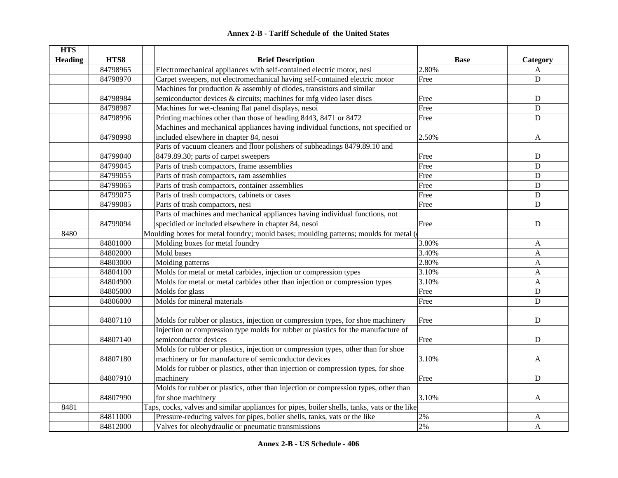| <b>HTS</b>     |          |                                                                                              |             |                |
|----------------|----------|----------------------------------------------------------------------------------------------|-------------|----------------|
| <b>Heading</b> | HTS8     | <b>Brief Description</b>                                                                     | <b>Base</b> | Category       |
|                | 84798965 | Electromechanical appliances with self-contained electric motor, nesi                        | 2.80%       | A              |
|                | 84798970 | Carpet sweepers, not electromechanical having self-contained electric motor                  | Free        | D              |
|                |          | Machines for production & assembly of diodes, transistors and similar                        |             |                |
|                | 84798984 | semiconductor devices & circuits; machines for mfg video laser discs                         | Free        | ${\bf D}$      |
|                | 84798987 | Machines for wet-cleaning flat panel displays, nesoi                                         | Free        | D              |
|                | 84798996 | Printing machines other than those of heading 8443, 8471 or 8472                             | Free        | ${\bf D}$      |
|                |          | Machines and mechanical appliances having individual functions, not specified or             |             |                |
|                | 84798998 | included elsewhere in chapter 84, nesoi                                                      | 2.50%       | A              |
|                |          | Parts of vacuum cleaners and floor polishers of subheadings 8479.89.10 and                   |             |                |
|                | 84799040 | 8479.89.30; parts of carpet sweepers                                                         | Free        | D              |
|                | 84799045 | Parts of trash compactors, frame assemblies                                                  | Free        | D              |
|                | 84799055 | Parts of trash compactors, ram assemblies                                                    | Free        | ${\bf D}$      |
|                | 84799065 | Parts of trash compactors, container assemblies                                              | Free        | D              |
|                | 84799075 | Parts of trash compactors, cabinets or cases                                                 | Free        | $\overline{D}$ |
|                | 84799085 | Parts of trash compactors, nesi                                                              | Free        | $\mathbf D$    |
|                |          | Parts of machines and mechanical appliances having individual functions, not                 |             |                |
|                | 84799094 | specidied or included elsewhere in chapter 84, nesoi                                         | Free        | ${\bf D}$      |
| 8480           |          | Moulding boxes for metal foundry; mould bases; moulding patterns; moulds for metal (         |             |                |
|                | 84801000 | Molding boxes for metal foundry                                                              | 3.80%       | A              |
|                | 84802000 | Mold bases                                                                                   | 3.40%       | $\mathbf{A}$   |
|                | 84803000 | Molding patterns                                                                             | 2.80%       | $\mathbf{A}$   |
|                | 84804100 | Molds for metal or metal carbides, injection or compression types                            | 3.10%       | $\mathbf{A}$   |
|                | 84804900 | Molds for metal or metal carbides other than injection or compression types                  | 3.10%       | $\mathbf{A}$   |
|                | 84805000 | Molds for glass                                                                              | Free        | D              |
|                | 84806000 | Molds for mineral materials                                                                  | Free        | $\mathbf D$    |
|                |          |                                                                                              |             |                |
|                | 84807110 | Molds for rubber or plastics, injection or compression types, for shoe machinery             | Free        | $\mathbf D$    |
|                |          | Injection or compression type molds for rubber or plastics for the manufacture of            |             |                |
|                | 84807140 | semiconductor devices                                                                        | Free        | $\mathbf D$    |
|                |          | Molds for rubber or plastics, injection or compression types, other than for shoe            |             |                |
|                | 84807180 | machinery or for manufacture of semiconductor devices                                        | 3.10%       | A              |
|                |          | Molds for rubber or plastics, other than injection or compression types, for shoe            |             |                |
|                | 84807910 | machinery                                                                                    | Free        | ${\bf D}$      |
|                |          | Molds for rubber or plastics, other than injection or compression types, other than          |             |                |
|                | 84807990 | for shoe machinery                                                                           | 3.10%       | $\mathbf{A}$   |
| 8481           |          | Taps, cocks, valves and similar appliances for pipes, boiler shells, tanks, vats or the like |             |                |
|                | 84811000 | Pressure-reducing valves for pipes, boiler shells, tanks, vats or the like                   | $2\%$       | A              |
|                | 84812000 | Valves for oleohydraulic or pneumatic transmissions                                          | 2%          | A              |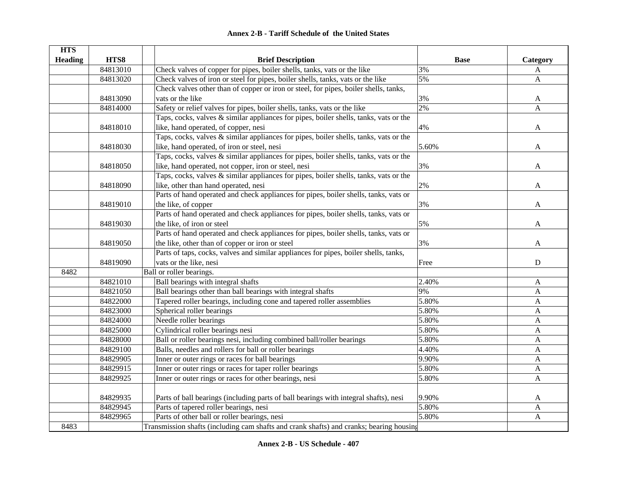| <b>HTS</b>     |          |                                                                                         |             |                           |
|----------------|----------|-----------------------------------------------------------------------------------------|-------------|---------------------------|
| <b>Heading</b> | HTS8     | <b>Brief Description</b>                                                                | <b>Base</b> | Category                  |
|                | 84813010 | Check valves of copper for pipes, boiler shells, tanks, vats or the like                | 3%          | A                         |
|                | 84813020 | Check valves of iron or steel for pipes, boiler shells, tanks, vats or the like         | 5%          | $\mathbf{A}$              |
|                |          | Check valves other than of copper or iron or steel, for pipes, boiler shells, tanks,    |             |                           |
|                | 84813090 | vats or the like                                                                        | 3%          | A                         |
|                | 84814000 | Safety or relief valves for pipes, boiler shells, tanks, vats or the like               | 2%          | $\mathbf{A}$              |
|                |          | Taps, cocks, valves & similar appliances for pipes, boiler shells, tanks, vats or the   |             |                           |
|                | 84818010 | like, hand operated, of copper, nesi                                                    | 4%          | A                         |
|                |          | Taps, cocks, valves & similar appliances for pipes, boiler shells, tanks, vats or the   |             |                           |
|                | 84818030 | like, hand operated, of iron or steel, nesi                                             | 5.60%       | A                         |
|                |          | Taps, cocks, valves & similar appliances for pipes, boiler shells, tanks, vats or the   |             |                           |
|                | 84818050 | like, hand operated, not copper, iron or steel, nesi                                    | 3%          | A                         |
|                |          | Taps, cocks, valves & similar appliances for pipes, boiler shells, tanks, vats or the   |             |                           |
|                | 84818090 | like, other than hand operated, nesi                                                    | 2%          | A                         |
|                |          | Parts of hand operated and check appliances for pipes, boiler shells, tanks, vats or    |             |                           |
|                | 84819010 | the like, of copper                                                                     | 3%          | $\mathbf{A}$              |
|                |          | Parts of hand operated and check appliances for pipes, boiler shells, tanks, vats or    |             |                           |
|                | 84819030 | the like, of iron or steel                                                              | 5%          | A                         |
|                |          | Parts of hand operated and check appliances for pipes, boiler shells, tanks, vats or    |             |                           |
|                | 84819050 | the like, other than of copper or iron or steel                                         | 3%          | A                         |
|                |          | Parts of taps, cocks, valves and similar appliances for pipes, boiler shells, tanks,    |             |                           |
|                | 84819090 | vats or the like, nesi                                                                  | Free        | $\mathbf D$               |
| 8482           |          | Ball or roller bearings.                                                                |             |                           |
|                | 84821010 | Ball bearings with integral shafts                                                      | 2.40%       | A                         |
|                | 84821050 | Ball bearings other than ball bearings with integral shafts                             | 9%          | A                         |
|                | 84822000 | Tapered roller bearings, including cone and tapered roller assemblies                   | 5.80%       | A                         |
|                | 84823000 | Spherical roller bearings                                                               | 5.80%       | A                         |
|                | 84824000 | Needle roller bearings                                                                  | 5.80%       | $\mathbf{A}$              |
|                | 84825000 | Cylindrical roller bearings nesi                                                        | 5.80%       | $\mathbf{A}$              |
|                | 84828000 | Ball or roller bearings nesi, including combined ball/roller bearings                   | 5.80%       | $\boldsymbol{\mathsf{A}}$ |
|                | 84829100 | Balls, needles and rollers for ball or roller bearings                                  | 4.40%       | $\boldsymbol{\mathsf{A}}$ |
|                | 84829905 | Inner or outer rings or races for ball bearings                                         | 9.90%       | A                         |
|                | 84829915 | Inner or outer rings or races for taper roller bearings                                 | 5.80%       | A                         |
|                | 84829925 | Inner or outer rings or races for other bearings, nesi                                  | 5.80%       | A                         |
|                |          |                                                                                         |             |                           |
|                | 84829935 | Parts of ball bearings (including parts of ball bearings with integral shafts), nesi    | 9.90%       | A                         |
|                | 84829945 | Parts of tapered roller bearings, nesi                                                  | 5.80%       | $\mathbf{A}$              |
|                | 84829965 | Parts of other ball or roller bearings, nesi                                            | 5.80%       | $\boldsymbol{\mathsf{A}}$ |
| 8483           |          | Transmission shafts (including cam shafts and crank shafts) and cranks; bearing housing |             |                           |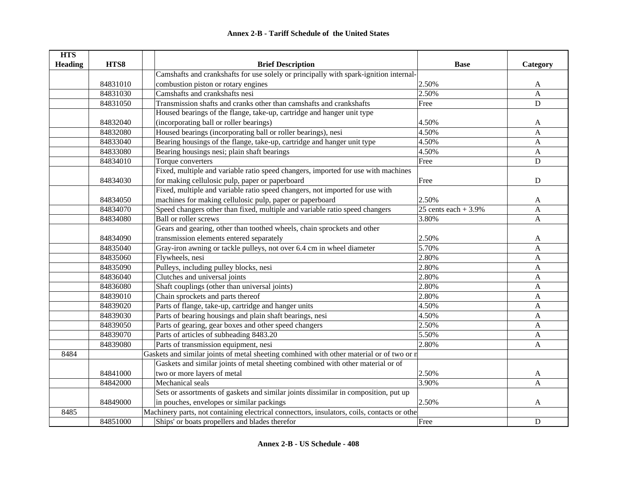| <b>HTS</b>     |          |                                                                                             |                       |              |
|----------------|----------|---------------------------------------------------------------------------------------------|-----------------------|--------------|
| <b>Heading</b> | HTS8     | <b>Brief Description</b>                                                                    | <b>Base</b>           | Category     |
|                |          | Camshafts and crankshafts for use solely or principally with spark-ignition internal-       |                       |              |
|                | 84831010 | combustion piston or rotary engines                                                         | 2.50%                 | A            |
|                | 84831030 | Camshafts and crankshafts nesi                                                              | 2.50%                 | A            |
|                | 84831050 | Transmission shafts and cranks other than camshafts and crankshafts                         | Free                  | D            |
|                |          | Housed bearings of the flange, take-up, cartridge and hanger unit type                      |                       |              |
|                | 84832040 | (incorporating ball or roller bearings)                                                     | 4.50%                 | A            |
|                | 84832080 | Housed bearings (incorporating ball or roller bearings), nesi                               | 4.50%                 | $\mathbf{A}$ |
|                | 84833040 | Bearing housings of the flange, take-up, cartridge and hanger unit type                     | 4.50%                 | $\mathbf{A}$ |
|                | 84833080 | Bearing housings nesi; plain shaft bearings                                                 | 4.50%                 | A            |
|                | 84834010 | Torque converters                                                                           | Free                  | $\mathbf D$  |
|                |          | Fixed, multiple and variable ratio speed changers, imported for use with machines           |                       |              |
|                | 84834030 | for making cellulosic pulp, paper or paperboard                                             | Free                  | ${\bf D}$    |
|                |          | Fixed, multiple and variable ratio speed changers, not imported for use with                |                       |              |
|                | 84834050 | machines for making cellulosic pulp, paper or paperboard                                    | 2.50%                 | A            |
|                | 84834070 | Speed changers other than fixed, multiple and variable ratio speed changers                 | 25 cents each $+3.9%$ | A            |
|                | 84834080 | <b>Ball or roller screws</b>                                                                | 3.80%                 | A            |
|                |          | Gears and gearing, other than toothed wheels, chain sprockets and other                     |                       |              |
|                | 84834090 | transmission elements entered separately                                                    | 2.50%                 | A            |
|                | 84835040 | Gray-iron awning or tackle pulleys, not over 6.4 cm in wheel diameter                       | 5.70%                 | $\mathbf{A}$ |
|                | 84835060 | Flywheels, nesi                                                                             | 2.80%                 | $\mathbf{A}$ |
|                | 84835090 | Pulleys, including pulley blocks, nesi                                                      | 2.80%                 | $\mathbf{A}$ |
|                | 84836040 | Clutches and universal joints                                                               | 2.80%                 | A            |
|                | 84836080 | Shaft couplings (other than universal joints)                                               | 2.80%                 | A            |
|                | 84839010 | Chain sprockets and parts thereof                                                           | 2.80%                 | A            |
|                | 84839020 | Parts of flange, take-up, cartridge and hanger units                                        | 4.50%                 | A            |
|                | 84839030 | Parts of bearing housings and plain shaft bearings, nesi                                    | 4.50%                 | A            |
|                | 84839050 | Parts of gearing, gear boxes and other speed changers                                       | 2.50%                 | A            |
|                | 84839070 | Parts of articles of subheading 8483.20                                                     | 5.50%                 | A            |
|                | 84839080 | Parts of transmission equipment, nesi                                                       | 2.80%                 | A            |
| 8484           |          | Gaskets and similar joints of metal sheeting comhined with other material or of two or n    |                       |              |
|                |          | Gaskets and similar joints of metal sheeting combined with other material or of             |                       |              |
|                | 84841000 | two or more layers of metal                                                                 | 2.50%                 | A            |
|                | 84842000 | Mechanical seals                                                                            | 3.90%                 | $\mathbf{A}$ |
|                |          | Sets or assortments of gaskets and similar joints dissimilar in composition, put up         |                       |              |
|                | 84849000 | in pouches, envelopes or similar packings                                                   | 2.50%                 | A            |
| 8485           |          | Machinery parts, not containing electrical connecttors, insulators, coils, contacts or othe |                       |              |
|                | 84851000 | Ships' or boats propellers and blades therefor                                              | Free                  | ${\bf D}$    |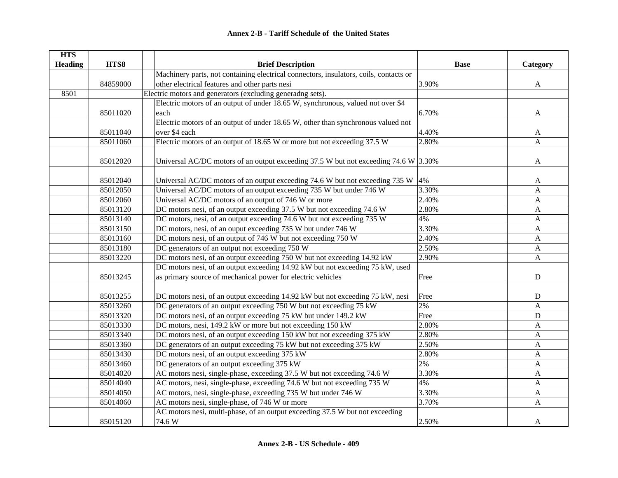| <b>HTS</b>     |          |                                                                                          |             |              |
|----------------|----------|------------------------------------------------------------------------------------------|-------------|--------------|
| <b>Heading</b> | HTS8     | <b>Brief Description</b>                                                                 | <b>Base</b> | Category     |
|                |          | Machinery parts, not containing electrical connectors, insulators, coils, contacts or    |             |              |
|                | 84859000 | other electrical features and other parts nesi                                           | 3.90%       | $\mathbf{A}$ |
| 8501           |          | Electric motors and generators (excluding generadng sets).                               |             |              |
|                |          | Electric motors of an output of under 18.65 W, synchronous, valued not over \$4          |             |              |
|                | 85011020 | each                                                                                     | 6.70%       | A            |
|                |          | Electric motors of an output of under 18.65 W, other than synchronous valued not         |             |              |
|                | 85011040 | over \$4 each                                                                            | 4.40%       | A            |
|                | 85011060 | Electric motors of an output of 18.65 W or more but not exceeding 37.5 W                 | 2.80%       | A            |
|                |          |                                                                                          |             |              |
|                | 85012020 | Universal AC/DC motors of an output exceeding 37.5 W but not exceeding 74.6 W $ 3.30\% $ |             | A            |
|                | 85012040 | Universal AC/DC motors of an output exceeding 74.6 W but not exceeding 735 W $ 4\%$      |             | A            |
|                | 85012050 | Universal AC/DC motors of an output exceeding 735 W but under 746 W                      | 3.30%       | A            |
|                | 85012060 | Universal AC/DC motors of an output of 746 W or more                                     | 2.40%       | $\mathbf{A}$ |
|                | 85013120 | DC motors nesi, of an output exceeding 37.5 W but not exceeding 74.6 W                   | 2.80%       | A            |
|                | 85013140 | DC motors, nesi, of an output exceeding 74.6 W but not exceeding 735 W                   | 4%          | A            |
|                | 85013150 | DC motors, nesi, of an ouput exceeding 735 W but under 746 W                             | 3.30%       | A            |
|                | 85013160 | DC motors nesi, of an output of 746 W but not exceeding 750 W                            | 2.40%       | $\mathbf{A}$ |
|                | 85013180 | DC generators of an output not exceeding 750 W                                           | 2.50%       | $\mathbf{A}$ |
|                | 85013220 | DC motors nesi, of an output exceeding 750 W but not exceeding 14.92 kW                  | 2.90%       | $\mathbf{A}$ |
|                |          | DC motors nesi, of an output exceeding 14.92 kW but not exceeding 75 kW, used            |             |              |
|                | 85013245 | as primary source of mechanical power for electric vehicles                              | Free        | ${\bf D}$    |
|                |          |                                                                                          |             |              |
|                | 85013255 | DC motors nesi, of an output exceeding 14.92 kW but not exceeding 75 kW, nesi            | Free        | ${\bf D}$    |
|                | 85013260 | DC generators of an output exceeding 750 W but not exceeding 75 kW                       | 2%          | A            |
|                | 85013320 | DC motors nesi, of an output exceeding 75 kW but under 149.2 kW                          | Free        | $\mathbf D$  |
|                | 85013330 | DC motors, nesi, 149.2 kW or more but not exceeding 150 kW                               | 2.80%       | A            |
|                | 85013340 | DC motors nesi, of an output exceeding 150 kW but not exceeding 375 kW                   | 2.80%       | A            |
|                | 85013360 | DC generators of an output exceeding 75 kW but not exceeding 375 kW                      | 2.50%       | A            |
|                | 85013430 | DC motors nesi, of an output exceeding 375 kW                                            | 2.80%       | $\mathbf{A}$ |
|                | 85013460 | DC generators of an output exceeding 375 kW                                              | 2%          | $\mathbf{A}$ |
|                | 85014020 | AC motors nesi, single-phase, exceeding 37.5 W but not exceeding 74.6 W                  | 3.30%       | $\mathbf{A}$ |
|                | 85014040 | AC motors, nesi, single-phase, exceeding 74.6 W but not exceeding 735 W                  | 4%          | $\mathbf{A}$ |
|                | 85014050 | AC motors, nesi, single-phase, exceeding 735 W but under 746 W                           | 3.30%       | $\mathbf{A}$ |
|                | 85014060 | AC motors nesi, single-phase, of 746 W or more                                           | 3.70%       | $\mathbf{A}$ |
|                |          | AC motors nesi, multi-phase, of an output exceeding 37.5 W but not exceeding             |             |              |
|                | 85015120 | 74.6W                                                                                    | 2.50%       | A            |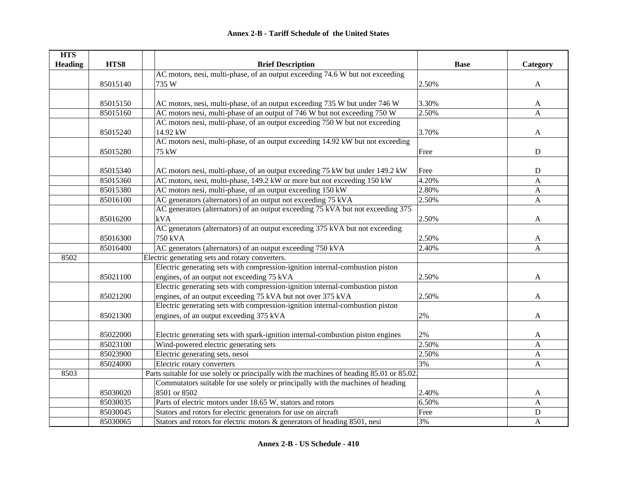| <b>HTS</b>     |          |                                                                                           |             |              |
|----------------|----------|-------------------------------------------------------------------------------------------|-------------|--------------|
| <b>Heading</b> | HTS8     | <b>Brief Description</b>                                                                  | <b>Base</b> | Category     |
|                |          | AC motors, nesi, multi-phase, of an output exceeding 74.6 W but not exceeding             |             |              |
|                | 85015140 | 735 W                                                                                     | 2.50%       | $\mathbf{A}$ |
|                |          |                                                                                           |             |              |
|                | 85015150 | AC motors, nesi, multi-phase, of an output exceeding 735 W but under 746 W                | 3.30%       | A            |
|                | 85015160 | AC motors nesi, multi-phase of an output of 746 W but not exceeding 750 W                 | 2.50%       | A            |
|                |          | AC motors nesi, multi-phase, of an output exceeding 750 W but not exceeding               |             |              |
|                | 85015240 | 14.92 kW                                                                                  | 3.70%       | A            |
|                |          | AC motors nesi, multi-phase, of an output exceeding 14.92 kW but not exceeding            |             |              |
|                | 85015280 | 75 kW                                                                                     | Free        | ${\bf D}$    |
|                |          |                                                                                           |             |              |
|                | 85015340 | AC motors nesi, multi-phase, of an output exceeding 75 kW but under 149.2 kW              | Free        | ${\bf D}$    |
|                | 85015360 | AC motors, nesi, multi-phase, 149.2 kW or more but not exceeding 150 kW                   | 4.20%       | $\mathbf{A}$ |
|                | 85015380 | AC motors nesi, multi-phase, of an output exceeding 150 kW                                | 2.80%       | A            |
|                | 85016100 | AC generators (alternators) of an output not exceeding 75 kVA                             | 2.50%       | A            |
|                |          | AC generators (alternators) of an output exceeding 75 kVA but not exceeding 375           |             |              |
|                | 85016200 | kVA                                                                                       | 2.50%       | A            |
|                |          | AC generators (alternators) of an output exceeding 375 kVA but not exceeding              |             |              |
|                | 85016300 | 750 kVA                                                                                   | 2.50%       | A            |
|                | 85016400 | AC generators (alternators) of an output exceeding 750 kVA                                | 2.40%       | A            |
| 8502           |          | Electric generating sets and rotary converters.                                           |             |              |
|                |          | Electric generating sets with compression-ignition internal-combustion piston             |             |              |
|                | 85021100 | engines, of an output not exceeding 75 kVA                                                | 2.50%       | A            |
|                |          | Electric generating sets with compression-ignition internal-combustion piston             |             |              |
|                | 85021200 | engines, of an output exceeding 75 kVA but not over 375 kVA                               | 2.50%       | A            |
|                |          | Electric generating sets with compression-ignition internal-combustion piston             |             |              |
|                | 85021300 | engines, of an output exceeding 375 kVA                                                   | 2%          | A            |
|                |          |                                                                                           |             |              |
|                | 85022000 | Electric generating sets with spark-ignition internal-combustion piston engines           | 2%          | A            |
|                | 85023100 | Wind-powered electric generating sets                                                     | 2.50%       | A            |
|                | 85023900 | Electric generating sets, nesoi                                                           | 2.50%       | $\mathbf{A}$ |
|                | 85024000 | Electric rotary converters                                                                | 3%          | $\mathbf{A}$ |
| 8503           |          | Parts suitable for use solely or principally with the machines of heading 85.01 or 85.02. |             |              |
|                |          | Commutators suitable for use solely or principally with the machines of heading           |             |              |
|                | 85030020 | 8501 or 8502                                                                              | 2.40%       | A            |
|                | 85030035 | Parts of electric motors under 18.65 W, stators and rotors                                | 6.50%       | A            |
|                | 85030045 | Stators and rotors for electric generators for use on aircraft                            | Free        | ${\bf D}$    |
|                | 85030065 | Stators and rotors for electric motors & generators of heading 8501, nesi                 | 3%          | A            |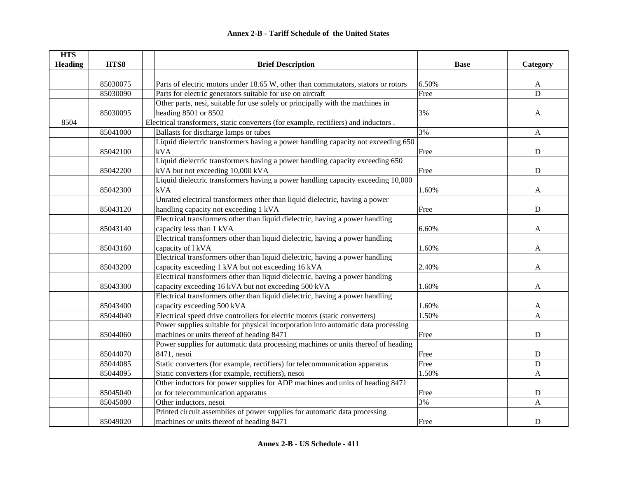| <b>HTS</b>     |          |                                                                                     |             |                |
|----------------|----------|-------------------------------------------------------------------------------------|-------------|----------------|
| <b>Heading</b> | HTS8     | <b>Brief Description</b>                                                            | <b>Base</b> | Category       |
|                |          |                                                                                     |             |                |
|                | 85030075 | Parts of electric motors under 18.65 W, other than commutators, stators or rotors   | 6.50%       | A              |
|                | 85030090 | Parts for electric generators suitable for use on aircraft                          | Free        | $\overline{D}$ |
|                |          | Other parts, nesi, suitable for use solely or principally with the machines in      |             |                |
|                | 85030095 | heading 8501 or 8502                                                                | 3%          | A              |
| 8504           |          | Electrical transformers, static converters (for example, rectifiers) and inductors. |             |                |
|                | 85041000 | Ballasts for discharge lamps or tubes                                               | 3%          | A              |
|                |          | Liquid dielectric transformers having a power handling capacity not exceeding 650   |             |                |
|                | 85042100 | kVA                                                                                 | Free        | ${\bf D}$      |
|                |          | Liquid dielectric transformers having a power handling capacity exceeding 650       |             |                |
|                | 85042200 | kVA but not exceeding 10,000 kVA                                                    | Free        | ${\bf D}$      |
|                |          | Liquid dielectric transformers having a power handling capacity exceeding 10,000    |             |                |
|                | 85042300 | kVA                                                                                 | 1.60%       | A              |
|                |          | Unrated electrical transformers other than liquid dielectric, having a power        |             |                |
|                | 85043120 | handling capacity not exceeding 1 kVA                                               | Free        | D              |
|                |          | Electrical transformers other than liquid dielectric, having a power handling       |             |                |
|                | 85043140 | capacity less than 1 kVA                                                            | 6.60%       | A              |
|                |          | Electrical transformers other than liquid dielectric, having a power handling       |             |                |
|                | 85043160 | capacity of 1 kVA                                                                   | 1.60%       | A              |
|                |          | Electrical transformers other than liquid dielectric, having a power handling       |             |                |
|                | 85043200 | capacity exceeding 1 kVA but not exceeding 16 kVA                                   | 2.40%       | A              |
|                |          | Electrical transformers other than liquid dielectric, having a power handling       |             |                |
|                | 85043300 | capacity exceeding 16 kVA but not exceeding 500 kVA                                 | 1.60%       | A              |
|                |          | Electrical transformers other than liquid dielectric, having a power handling       |             |                |
|                | 85043400 | capacity exceeding 500 kVA                                                          | 1.60%       | A              |
|                | 85044040 | Electrical speed drive controllers for electric motors (static converters)          | 1.50%       | A              |
|                |          | Power supplies suitable for physical incorporation into automatic data processing   |             |                |
|                | 85044060 | machines or units thereof of heading 8471                                           | Free        | $\mathbf D$    |
|                |          | Power supplies for automatic data processing machines or units thereof of heading   |             |                |
|                | 85044070 | 8471, nesoi                                                                         | Free        | $\mathbf D$    |
|                | 85044085 | Static converters (for example, rectifiers) for telecommunication apparatus         | Free        | ${\bf D}$      |
|                | 85044095 | Static converters (for example, rectifiers), nesoi                                  | 1.50%       | A              |
|                |          | Other inductors for power supplies for ADP machines and units of heading 8471       |             |                |
|                | 85045040 | or for telecommunication apparatus                                                  | Free        | D              |
|                | 85045080 | Other inductors, nesoi                                                              | 3%          | A              |
|                |          | Printed circuit assemblies of power supplies for automatic data processing          |             |                |
|                | 85049020 | machines or units thereof of heading 8471                                           | Free        | $\mathbf D$    |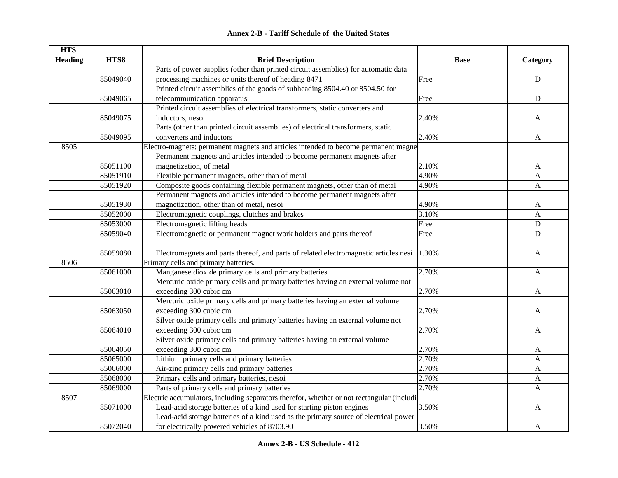| <b>Annex 2-B - Tariff Schedule of the United States</b> |  |
|---------------------------------------------------------|--|
|---------------------------------------------------------|--|

| <b>HTS</b>     |          |                                                                                            |             |              |
|----------------|----------|--------------------------------------------------------------------------------------------|-------------|--------------|
| <b>Heading</b> | HTS8     | <b>Brief Description</b>                                                                   | <b>Base</b> | Category     |
|                |          | Parts of power supplies (other than printed circuit assemblies) for automatic data         |             |              |
|                | 85049040 | processing machines or units thereof of heading 8471                                       | Free        | ${\bf D}$    |
|                |          | Printed circuit assemblies of the goods of subheading 8504.40 or 8504.50 for               |             |              |
|                | 85049065 | telecommunication apparatus                                                                | Free        | ${\bf D}$    |
|                |          | Printed circuit assemblies of electrical transformers, static converters and               |             |              |
|                | 85049075 | inductors, nesoi                                                                           | 2.40%       | A            |
|                |          | Parts (other than printed circuit assemblies) of electrical transformers, static           |             |              |
|                | 85049095 | converters and inductors                                                                   | 2.40%       | A            |
| 8505           |          | Electro-magnets; permanent magnets and articles intended to become permanent magne         |             |              |
|                |          | Permanent magnets and articles intended to become permanent magnets after                  |             |              |
|                | 85051100 | magnetization, of metal                                                                    | 2.10%       | A            |
|                | 85051910 | Flexible permanent magnets, other than of metal                                            | 4.90%       | A            |
|                | 85051920 | Composite goods containing flexible permanent magnets, other than of metal                 | 4.90%       | $\mathbf{A}$ |
|                |          | Permanent magnets and articles intended to become permanent magnets after                  |             |              |
|                | 85051930 | magnetization, other than of metal, nesoi                                                  | 4.90%       | A            |
|                | 85052000 | Electromagnetic couplings, clutches and brakes                                             | 3.10%       | A            |
|                | 85053000 | Electromagnetic lifting heads                                                              | Free        | ${\bf D}$    |
|                | 85059040 | Electromagnetic or permanent magnet work holders and parts thereof                         | Free        | ${\bf D}$    |
|                | 85059080 | Electromagnets and parts thereof, and parts of related electromagnetic articles nesi 1.30% |             | A            |
| 8506           |          | Primary cells and primary batteries.                                                       |             |              |
|                | 85061000 | Manganese dioxide primary cells and primary batteries                                      | 2.70%       | A            |
|                |          | Mercuric oxide primary cells and primary batteries having an external volume not           |             |              |
|                | 85063010 | exceeding 300 cubic cm                                                                     | 2.70%       | A            |
|                |          | Mercuric oxide primary cells and primary batteries having an external volume               |             |              |
|                | 85063050 | exceeding 300 cubic cm                                                                     | 2.70%       | A            |
|                |          | Silver oxide primary cells and primary batteries having an external volume not             |             |              |
|                | 85064010 | exceeding 300 cubic cm                                                                     | 2.70%       | A            |
|                |          | Silver oxide primary cells and primary batteries having an external volume                 |             |              |
|                | 85064050 | exceeding 300 cubic cm                                                                     | 2.70%       | A            |
|                | 85065000 | Lithium primary cells and primary batteries                                                | 2.70%       | A            |
|                | 85066000 | Air-zinc primary cells and primary batteries                                               | 2.70%       | A            |
|                | 85068000 | Primary cells and primary batteries, nesoi                                                 | 2.70%       | A            |
|                | 85069000 | Parts of primary cells and primary batteries                                               | 2.70%       | $\mathbf{A}$ |
| 8507           |          | Electric accumulators, including separators therefor, whether or not rectangular (includi  |             |              |
|                | 85071000 | Lead-acid storage batteries of a kind used for starting piston engines                     | 3.50%       | A            |
|                |          | Lead-acid storage batteries of a kind used as the primary source of electrical power       |             |              |
|                | 85072040 | for electrically powered vehicles of 8703.90                                               | 3.50%       | A            |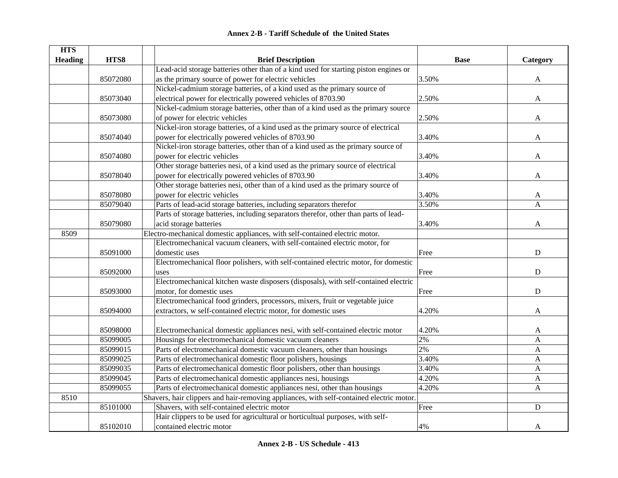| <b>Annex 2-B - Tariff Schedule of the United States</b> |
|---------------------------------------------------------|
|---------------------------------------------------------|

| <b>HTS</b>     |          |                                                                                          |             |              |
|----------------|----------|------------------------------------------------------------------------------------------|-------------|--------------|
| <b>Heading</b> | HTS8     | <b>Brief Description</b>                                                                 | <b>Base</b> | Category     |
|                |          | Lead-acid storage batteries other than of a kind used for starting piston engines or     |             |              |
|                | 85072080 | as the primary source of power for electric vehicles                                     | 3.50%       | A            |
|                |          | Nickel-cadmium storage batteries, of a kind used as the primary source of                |             |              |
|                | 85073040 | electrical power for electrically powered vehicles of 8703.90                            | 2.50%       | A            |
|                |          | Nickel-cadmium storage batteries, other than of a kind used as the primary source        |             |              |
|                | 85073080 | of power for electric vehicles                                                           | 2.50%       | A            |
|                |          | Nickel-iron storage batteries, of a kind used as the primary source of electrical        |             |              |
|                | 85074040 | power for electrically powered vehicles of 8703.90                                       | 3.40%       | A            |
|                |          | Nickel-iron storage batteries, other than of a kind used as the primary source of        |             |              |
|                | 85074080 | power for electric vehicles                                                              | 3.40%       | A            |
|                |          | Other storage batteries nesi, of a kind used as the primary source of electrical         |             |              |
|                | 85078040 | power for electrically powered vehicles of 8703.90                                       | 3.40%       | A            |
|                |          | Other storage batteries nesi, other than of a kind used as the primary source of         |             |              |
|                | 85078080 | power for electric vehicles                                                              | 3.40%       | A            |
|                | 85079040 | Parts of lead-acid storage batteries, including separators therefor                      | 3.50%       | A            |
|                |          | Parts of storage batteries, including separators therefor, other than parts of lead-     |             |              |
|                | 85079080 | acid storage batteries                                                                   | 3.40%       | A            |
| 8509           |          | Electro-mechanical domestic appliances, with self-contained electric motor.              |             |              |
|                |          | Electromechanical vacuum cleaners, with self-contained electric motor, for               |             |              |
|                | 85091000 | domestic uses                                                                            | Free        | ${\bf D}$    |
|                |          | Electromechanical floor polishers, with self-contained electric motor, for domestic      |             |              |
|                | 85092000 | uses                                                                                     | Free        | $\mathbf D$  |
|                |          | Electromechanical kitchen waste disposers (disposals), with self-contained electric      |             |              |
|                | 85093000 | motor, for domestic uses                                                                 | Free        | ${\bf D}$    |
|                |          | Electromechanical food grinders, processors, mixers, fruit or vegetable juice            |             |              |
|                | 85094000 | extractors, w self-contained electric motor, for domestic uses                           | 4.20%       | A            |
|                |          |                                                                                          |             |              |
|                | 85098000 | Electromechanical domestic appliances nesi, with self-contained electric motor           | 4.20%       | A            |
|                | 85099005 | Housings for electromechanical domestic vacuum cleaners                                  | 2%          | A            |
|                | 85099015 | Parts of electromechanical domestic vacuum cleaners, other than housings                 | 2%          | A            |
|                | 85099025 | Parts of electromechanical domestic floor polishers, housings                            | 3.40%       | $\mathbf{A}$ |
|                | 85099035 | Parts of electromechanical domestic floor polishers, other than housings                 | 3.40%       | A            |
|                | 85099045 | Parts of electromechanical domestic appliances nesi, housings                            | 4.20%       | A            |
|                | 85099055 | Parts of electromechanical domestic appliances nesi, other than housings                 | 4.20%       | A            |
| 8510           |          | Shavers, hair clippers and hair-removing appliances, with self-contained electric motor. |             |              |
|                | 85101000 | Shavers, with self-contained electric motor                                              | Free        | $\mathbf D$  |
|                |          | Hair clippers to be used for agricultural or horticultual purposes, with self-           |             |              |
|                | 85102010 | contained electric motor                                                                 | 4%          | A            |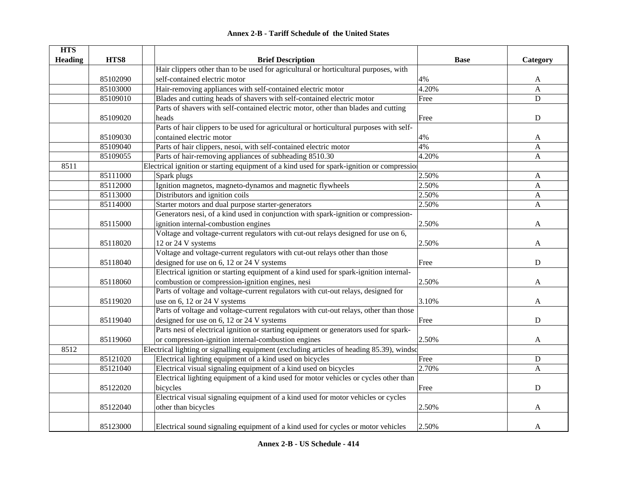|  | <b>Annex 2-B - Tariff Schedule of the United States</b> |  |
|--|---------------------------------------------------------|--|
|--|---------------------------------------------------------|--|

| <b>HTS</b>     |          |                                                                                           |             |              |
|----------------|----------|-------------------------------------------------------------------------------------------|-------------|--------------|
| <b>Heading</b> | HTS8     | <b>Brief Description</b>                                                                  | <b>Base</b> | Category     |
|                |          | Hair clippers other than to be used for agricultural or horticultural purposes, with      |             |              |
|                | 85102090 | self-contained electric motor                                                             | 4%          | A            |
|                | 85103000 | Hair-removing appliances with self-contained electric motor                               | 4.20%       | $\mathbf{A}$ |
|                | 85109010 | Blades and cutting heads of shavers with self-contained electric motor                    | Free        | ${\bf D}$    |
|                |          | Parts of shavers with self-contained electric motor, other than blades and cutting        |             |              |
|                | 85109020 | heads                                                                                     | Free        | ${\bf D}$    |
|                |          | Parts of hair clippers to be used for agricultural or horticultural purposes with self-   |             |              |
|                | 85109030 | contained electric motor                                                                  | 4%          | A            |
|                | 85109040 | Parts of hair clippers, nesoi, with self-contained electric motor                         | 4%          | A            |
|                | 85109055 | Parts of hair-removing appliances of subheading 8510.30                                   | 4.20%       | A            |
| 8511           |          | Electrical ignition or starting equipment of a kind used for spark-ignition or compressio |             |              |
|                | 85111000 | Spark plugs                                                                               | 2.50%       | A            |
|                | 85112000 | Ignition magnetos, magneto-dynamos and magnetic flywheels                                 | 2.50%       | $\mathbf{A}$ |
|                | 85113000 | Distributors and ignition coils                                                           | 2.50%       | $\mathbf{A}$ |
|                | 85114000 | Starter motors and dual purpose starter-generators                                        | 2.50%       | $\mathbf{A}$ |
|                |          | Generators nesi, of a kind used in conjunction with spark-ignition or compression-        |             |              |
|                | 85115000 | ignition internal-combustion engines                                                      | 2.50%       | A            |
|                |          | Voltage and voltage-current regulators with cut-out relays designed for use on 6,         |             |              |
|                | 85118020 | 12 or 24 V systems                                                                        | 2.50%       | A            |
|                |          | Voltage and voltage-current regulators with cut-out relays other than those               |             |              |
|                | 85118040 | designed for use on 6, 12 or 24 V systems                                                 | Free        | $\mathbf D$  |
|                |          | Electrical ignition or starting equipment of a kind used for spark-ignition internal-     |             |              |
|                | 85118060 | combustion or compression-ignition engines, nesi                                          | 2.50%       | A            |
|                |          | Parts of voltage and voltage-current regulators with cut-out relays, designed for         |             |              |
|                | 85119020 | use on 6, 12 or 24 V systems                                                              | 3.10%       | A            |
|                |          | Parts of voltage and voltage-current regulators with cut-out relays, other than those     |             |              |
|                | 85119040 | designed for use on 6, 12 or 24 V systems                                                 | Free        | $\mathbf D$  |
|                |          | Parts nesi of electrical ignition or starting equipment or generators used for spark-     |             |              |
|                | 85119060 | or compression-ignition internal-combustion engines                                       | 2.50%       | A            |
| 8512           |          | Electrical lighting or signalling equipment (excluding articles of heading 85.39), windsc |             |              |
|                | 85121020 | Electrical lighting equipment of a kind used on bicycles                                  | Free        | ${\bf D}$    |
|                | 85121040 | Electrical visual signaling equipment of a kind used on bicycles                          | 2.70%       | A            |
|                |          | Electrical lighting equipment of a kind used for motor vehicles or cycles other than      |             |              |
|                | 85122020 | bicycles                                                                                  | Free        | ${\bf D}$    |
|                |          | Electrical visual signaling equipment of a kind used for motor vehicles or cycles         |             |              |
|                | 85122040 | other than bicycles                                                                       | 2.50%       | A            |
|                |          |                                                                                           |             |              |
|                | 85123000 | Electrical sound signaling equipment of a kind used for cycles or motor vehicles          | 2.50%       | A            |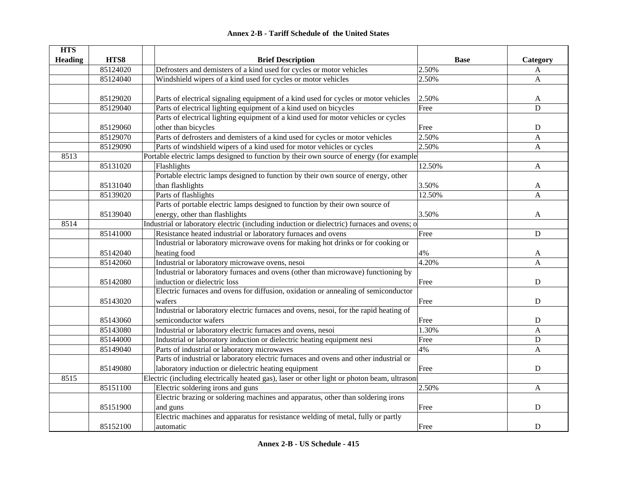| <b>HTS</b>     |          |                                                                                              |             |              |
|----------------|----------|----------------------------------------------------------------------------------------------|-------------|--------------|
| <b>Heading</b> | HTS8     | <b>Brief Description</b>                                                                     | <b>Base</b> | Category     |
|                | 85124020 | Defrosters and demisters of a kind used for cycles or motor vehicles                         | 2.50%       | A            |
|                | 85124040 | Windshield wipers of a kind used for cycles or motor vehicles                                | 2.50%       | A            |
|                |          |                                                                                              |             |              |
|                | 85129020 | Parts of electrical signaling equipment of a kind used for cycles or motor vehicles          | 2.50%       | A            |
|                | 85129040 | Parts of electrical lighting equipment of a kind used on bicycles                            | Free        | D            |
|                |          | Parts of electrical lighting equipment of a kind used for motor vehicles or cycles           |             |              |
|                | 85129060 | other than bicycles                                                                          | Free        | ${\bf D}$    |
|                | 85129070 | Parts of defrosters and demisters of a kind used for cycles or motor vehicles                | 2.50%       | A            |
|                | 85129090 | Parts of windshield wipers of a kind used for motor vehicles or cycles                       | 2.50%       | A            |
| 8513           |          | Portable electric lamps designed to function by their own source of energy (for example      |             |              |
|                | 85131020 | Flashlights                                                                                  | 12.50%      | A            |
|                |          | Portable electric lamps designed to function by their own source of energy, other            |             |              |
|                | 85131040 | than flashlights                                                                             | 3.50%       | A            |
|                | 85139020 | Parts of flashlights                                                                         | 12.50%      | $\mathsf{A}$ |
|                |          | Parts of portable electric lamps designed to function by their own source of                 |             |              |
|                | 85139040 | energy, other than flashlights                                                               | 3.50%       | A            |
| 8514           |          | Industrial or laboratory electric (including induction or dielectric) furnaces and ovens; o  |             |              |
|                | 85141000 | Resistance heated industrial or laboratory furnaces and ovens                                | Free        | ${\bf D}$    |
|                |          | Industrial or laboratory microwave ovens for making hot drinks or for cooking or             |             |              |
|                | 85142040 | heating food                                                                                 | 4%          | A            |
|                | 85142060 | Industrial or laboratory microwave ovens, nesoi                                              | 4.20%       | A            |
|                |          | Industrial or laboratory furnaces and ovens (other than microwave) functioning by            |             |              |
|                | 85142080 | induction or dielectric loss                                                                 | Free        | $\mathbf D$  |
|                |          | Electric furnaces and ovens for diffusion, oxidation or annealing of semiconductor           |             |              |
|                | 85143020 | wafers                                                                                       | Free        | $\mathbf D$  |
|                |          | Industrial or laboratory electric furnaces and ovens, nesoi, for the rapid heating of        |             |              |
|                | 85143060 | semiconductor wafers                                                                         | Free        | ${\bf D}$    |
|                | 85143080 | Industrial or laboratory electric furnaces and ovens, nesoi                                  | 1.30%       | A            |
|                | 85144000 | Industrial or laboratory induction or dielectric heating equipment nesi                      | Free        | $\mathbf D$  |
|                | 85149040 | Parts of industrial or laboratory microwaves                                                 | 4%          | A            |
|                |          | Parts of industrial or laboratory electric furnaces and ovens and other industrial or        |             |              |
|                | 85149080 | laboratory induction or dielectric heating equipment                                         | Free        | ${\bf D}$    |
| 8515           |          | Electric (including electrically heated gas), laser or other light or photon beam, ultrasoni |             |              |
|                | 85151100 | Electric soldering irons and guns                                                            | 2.50%       | A            |
|                |          | Electric brazing or soldering machines and apparatus, other than soldering irons             |             |              |
|                | 85151900 | and guns                                                                                     | Free        | $\mathbf D$  |
|                |          | Electric machines and apparatus for resistance welding of metal, fully or partly             |             |              |
|                | 85152100 | automatic                                                                                    | Free        | D            |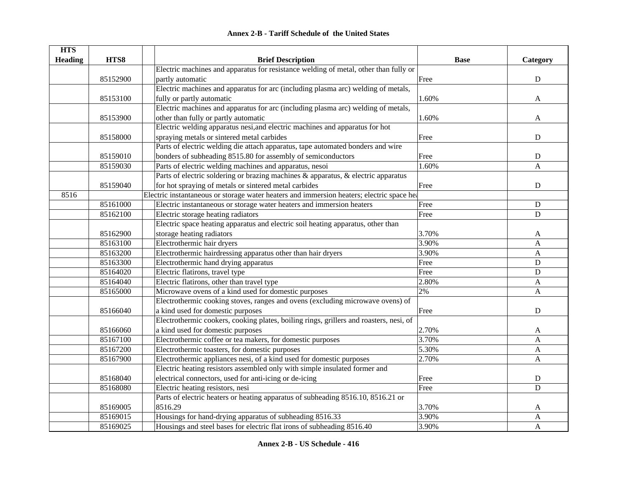| <b>Annex 2-B - Tariff Schedule of the United States</b> |  |
|---------------------------------------------------------|--|
|---------------------------------------------------------|--|

| <b>HTS</b>     |          |                                                                                           |             |              |
|----------------|----------|-------------------------------------------------------------------------------------------|-------------|--------------|
| <b>Heading</b> | HTS8     | <b>Brief Description</b>                                                                  | <b>Base</b> | Category     |
|                |          | Electric machines and apparatus for resistance welding of metal, other than fully or      |             |              |
|                | 85152900 | partly automatic                                                                          | Free        | ${\bf D}$    |
|                |          | Electric machines and apparatus for arc (including plasma arc) welding of metals,         |             |              |
|                | 85153100 | fully or partly automatic                                                                 | 1.60%       | A            |
|                |          | Electric machines and apparatus for arc (including plasma arc) welding of metals,         |             |              |
|                | 85153900 | other than fully or partly automatic                                                      | 1.60%       | A            |
|                |          | Electric welding apparatus nesi, and electric machines and apparatus for hot              |             |              |
|                | 85158000 | spraying metals or sintered metal carbides                                                | Free        | $\mathbf D$  |
|                |          | Parts of electric welding die attach apparatus, tape automated bonders and wire           |             |              |
|                | 85159010 | bonders of subheading 8515.80 for assembly of semiconductors                              | Free        | ${\bf D}$    |
|                | 85159030 | Parts of electric welding machines and apparatus, nesoi                                   | 1.60%       | A            |
|                |          | Parts of electric soldering or brazing machines & apparatus, & electric apparatus         |             |              |
|                | 85159040 | for hot spraying of metals or sintered metal carbides                                     | Free        | ${\bf D}$    |
| 8516           |          | Electric instantaneous or storage water heaters and immersion heaters; electric space hea |             |              |
|                | 85161000 | Electric instantaneous or storage water heaters and immersion heaters                     | Free        | ${\bf D}$    |
|                | 85162100 | Electric storage heating radiators                                                        | Free        | $\mathbf D$  |
|                |          | Electric space heating apparatus and electric soil heating apparatus, other than          |             |              |
|                | 85162900 | storage heating radiators                                                                 | 3.70%       | A            |
|                | 85163100 | Electrothermic hair dryers                                                                | 3.90%       | A            |
|                | 85163200 | Electrothermic hairdressing apparatus other than hair dryers                              | 3.90%       | A            |
|                | 85163300 | Electrothermic hand drying apparatus                                                      | Free        | ${\bf D}$    |
|                | 85164020 | Electric flatirons, travel type                                                           | Free        | $\mathbf D$  |
|                | 85164040 | Electric flatirons, other than travel type                                                | 2.80%       | A            |
|                | 85165000 | Microwave ovens of a kind used for domestic purposes                                      | 2%          | $\mathbf{A}$ |
|                |          | Electrothermic cooking stoves, ranges and ovens (excluding microwave ovens) of            |             |              |
|                | 85166040 | a kind used for domestic purposes                                                         | Free        | D            |
|                |          | Electrothermic cookers, cooking plates, boiling rings, grillers and roasters, nesi, of    |             |              |
|                | 85166060 | a kind used for domestic purposes                                                         | 2.70%       | A            |
|                | 85167100 | Electrothermic coffee or tea makers, for domestic purposes                                | 3.70%       | A            |
|                | 85167200 | Electrothermic toasters, for domestic purposes                                            | 5.30%       | A            |
|                | 85167900 | Electrothermic appliances nesi, of a kind used for domestic purposes                      | 2.70%       | $\mathbf{A}$ |
|                |          | Electric heating resistors assembled only with simple insulated former and                |             |              |
|                | 85168040 | electrical connectors, used for anti-icing or de-icing                                    | Free        | ${\bf D}$    |
|                | 85168080 | Electric heating resistors, nesi                                                          | Free        | D            |
|                |          | Parts of electric heaters or heating apparatus of subheading 8516.10, 8516.21 or          |             |              |
|                | 85169005 | 8516.29                                                                                   | 3.70%       | A            |
|                | 85169015 | Housings for hand-drying apparatus of subheading 8516.33                                  | 3.90%       | A            |
|                | 85169025 | Housings and steel bases for electric flat irons of subheading 8516.40                    | 3.90%       | A            |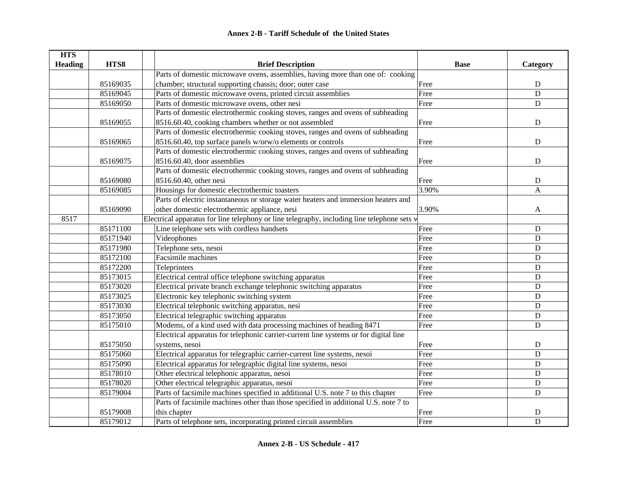| <b>HTS</b>     |          |                                                                                             |             |             |
|----------------|----------|---------------------------------------------------------------------------------------------|-------------|-------------|
| <b>Heading</b> | HTS8     | <b>Brief Description</b>                                                                    | <b>Base</b> | Category    |
|                |          | Parts of domestic microwave ovens, assemblies, having more than one of: cooking             |             |             |
|                | 85169035 | chamber; structural supporting chassis; door; outer case                                    | Free        | ${\bf D}$   |
|                | 85169045 | Parts of domestic microwave ovens, printed circuit assemblies                               | Free        | D           |
|                | 85169050 | Parts of domestic microwave ovens, other nesi                                               | Free        | ${\bf D}$   |
|                |          | Parts of domestic electrothermic cooking stoves, ranges and ovens of subheading             |             |             |
|                | 85169055 | 8516.60.40, cooking chambers whether or not assembled                                       | Free        | ${\bf D}$   |
|                |          | Parts of domestic electrothermic cooking stoves, ranges and ovens of subheading             |             |             |
|                | 85169065 | 8516.60.40, top surface panels w/orw/o elements or controls                                 | Free        | ${\bf D}$   |
|                |          | Parts of domestic electrothermic cooking stoves, ranges and ovens of subheading             |             |             |
|                | 85169075 | 8516.60.40, door assemblies                                                                 | Free        | $\mathbf D$ |
|                |          | Parts of domestic electrothermic cooking stoves, ranges and ovens of subheading             |             |             |
|                | 85169080 | 8516.60.40, other nesi                                                                      | Free        | ${\bf D}$   |
|                | 85169085 | Housings for domestic electrothermic toasters                                               | 3.90%       | A           |
|                |          | Parts of electric instantaneous or storage water heaters and immersion heaters and          |             |             |
|                | 85169090 | other domestic electrothermic appliance, nesi                                               | 3.90%       | A           |
| 8517           |          | Electrical apparatus for line telephony or line telegraphy, including line telephone sets w |             |             |
|                | 85171100 | Line telephone sets with cordless handsets                                                  | Free        | ${\bf D}$   |
|                | 85171940 | Videophones                                                                                 | Free        | ${\bf D}$   |
|                | 85171980 | Telephone sets, nesoi                                                                       | Free        | ${\bf D}$   |
|                | 85172100 | Facsimile machines                                                                          | Free        | ${\bf D}$   |
|                | 85172200 | Teleprinters                                                                                | Free        | ${\bf D}$   |
|                | 85173015 | Electrical central office telephone switching apparatus                                     | Free        | $\mathbf D$ |
|                | 85173020 | Electrical private branch exchange telephonic switching apparatus                           | Free        | ${\bf D}$   |
|                | 85173025 | Electronic key telephonic switching system                                                  | Free        | $\mathbf D$ |
|                | 85173030 | Electrical telephonic switching apparatus, nesi                                             | Free        | $\mathbf D$ |
|                | 85173050 | Electrical telegraphic switching apparatus                                                  | Free        | $\mathbf D$ |
|                | 85175010 | Modems, of a kind used with data processing machines of heading 8471                        | Free        | $\mathbf D$ |
|                |          | Electrical apparatus for telephonic carrier-current line systems or for digital line        |             |             |
|                | 85175050 | systems, nesoi                                                                              | Free        | $\mathbf D$ |
|                | 85175060 | Electrical apparatus for telegraphic carrier-current line systems, nesoi                    | Free        | ${\bf D}$   |
|                | 85175090 | Electrical apparatus for telegraphic digital line systems, nesoi                            | Free        | ${\bf D}$   |
|                | 85178010 | Other electrical telephonic apparatus, nesoi                                                | Free        | ${\bf D}$   |
|                | 85178020 | Other electrical telegraphic apparatus, nesoi                                               | Free        | ${\bf D}$   |
|                | 85179004 | Parts of facsimile machines specified in additional U.S. note 7 to this chapter             | Free        | ${\bf D}$   |
|                |          | Parts of facsimile machines other than those specified in additional U.S. note 7 to         |             |             |
|                | 85179008 | this chapter                                                                                | Free        | D           |
|                | 85179012 | Parts of telephone sets, incorporating printed circuit assemblies                           | Free        | $\mathbf D$ |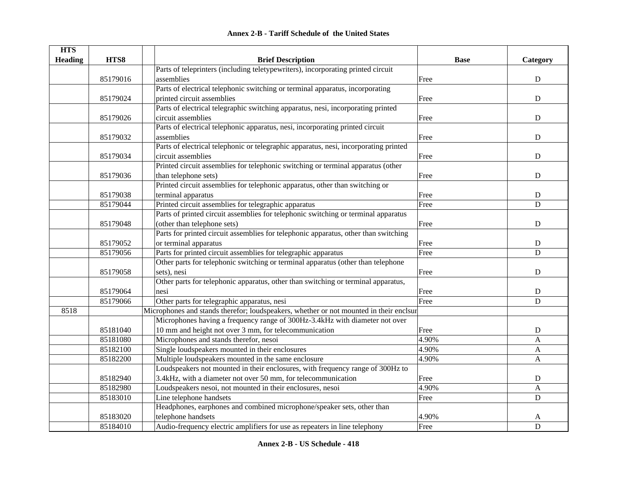|  | <b>Annex 2-B - Tariff Schedule of the United States</b> |  |
|--|---------------------------------------------------------|--|
|--|---------------------------------------------------------|--|

| <b>HTS</b>     |          |                                                                                        |             |              |
|----------------|----------|----------------------------------------------------------------------------------------|-------------|--------------|
| <b>Heading</b> | HTS8     | <b>Brief Description</b>                                                               | <b>Base</b> | Category     |
|                |          | Parts of teleprinters (including teletypewriters), incorporating printed circuit       |             |              |
|                | 85179016 | assemblies                                                                             | Free        | ${\bf D}$    |
|                |          | Parts of electrical telephonic switching or terminal apparatus, incorporating          |             |              |
|                | 85179024 | printed circuit assemblies                                                             | Free        | ${\bf D}$    |
|                |          | Parts of electrical telegraphic switching apparatus, nesi, incorporating printed       |             |              |
|                | 85179026 | circuit assemblies                                                                     | Free        | ${\bf D}$    |
|                |          | Parts of electrical telephonic apparatus, nesi, incorporating printed circuit          |             |              |
|                | 85179032 | assemblies                                                                             | Free        | ${\bf D}$    |
|                |          | Parts of electrical telephonic or telegraphic apparatus, nesi, incorporating printed   |             |              |
|                | 85179034 | circuit assemblies                                                                     | Free        | ${\bf D}$    |
|                |          | Printed circuit assemblies for telephonic switching or terminal apparatus (other       |             |              |
|                | 85179036 | than telephone sets)                                                                   | Free        | ${\bf D}$    |
|                |          | Printed circuit assemblies for telephonic apparatus, other than switching or           |             |              |
|                | 85179038 | terminal apparatus                                                                     | Free        | ${\bf D}$    |
|                | 85179044 | Printed circuit assemblies for telegraphic apparatus                                   | Free        | D            |
|                |          | Parts of printed circuit assemblies for telephonic switching or terminal apparatus     |             |              |
|                | 85179048 | (other than telephone sets)                                                            | Free        | ${\bf D}$    |
|                |          | Parts for printed circuit assemblies for telephonic apparatus, other than switching    |             |              |
|                | 85179052 | or terminal apparatus                                                                  | Free        | ${\bf D}$    |
|                | 85179056 | Parts for printed circuit assemblies for telegraphic apparatus                         | Free        | ${\bf D}$    |
|                |          | Other parts for telephonic switching or terminal apparatus (other than telephone       |             |              |
|                | 85179058 | sets), nesi                                                                            | Free        | ${\bf D}$    |
|                |          | Other parts for telephonic apparatus, other than switching or terminal apparatus,      |             |              |
|                | 85179064 | nesi                                                                                   | Free        | ${\bf D}$    |
|                | 85179066 | Other parts for telegraphic apparatus, nesi                                            | Free        | D            |
| 8518           |          | Microphones and stands therefor; loudspeakers, whether or not mounted in their enclsur |             |              |
|                |          | Microphones having a frequency range of 300Hz-3.4kHz with diameter not over            |             |              |
|                | 85181040 | 10 mm and height not over 3 mm, for telecommunication                                  | Free        | D            |
|                | 85181080 | Microphones and stands therefor, nesoi                                                 | 4.90%       | A            |
|                | 85182100 | Single loudspeakers mounted in their enclosures                                        | 4.90%       | A            |
|                | 85182200 | Multiple loudspeakers mounted in the same enclosure                                    | 4.90%       | $\mathbf{A}$ |
|                |          | Loudspeakers not mounted in their enclosures, with frequency range of 300Hz to         |             |              |
|                | 85182940 | 3.4kHz, with a diameter not over 50 mm, for telecommunication                          | Free        | ${\bf D}$    |
|                | 85182980 | Loudspeakers nesoi, not mounted in their enclosures, nesoi                             | 4.90%       | A            |
|                | 85183010 | Line telephone handsets                                                                | Free        | $\mathbf D$  |
|                |          | Headphones, earphones and combined microphone/speaker sets, other than                 |             |              |
|                | 85183020 | telephone handsets                                                                     | 4.90%       | A            |
|                | 85184010 | Audio-frequency electric amplifiers for use as repeaters in line telephony             | Free        | $\mathbf D$  |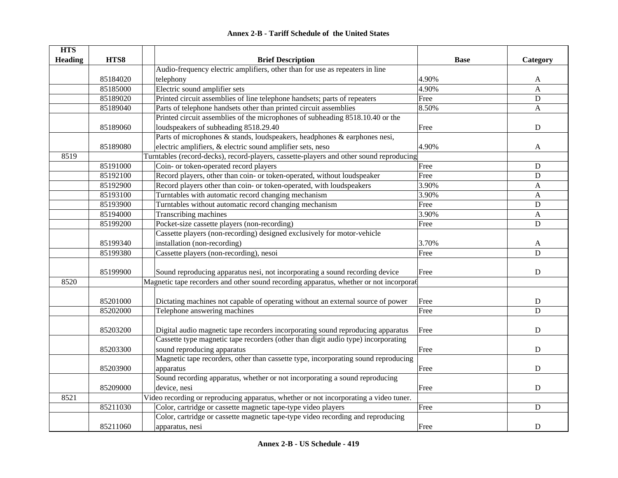|  | <b>Annex 2-B - Tariff Schedule of the United States</b> |  |
|--|---------------------------------------------------------|--|
|--|---------------------------------------------------------|--|

| <b>HTS</b>     |          |                                                                                         |             |             |
|----------------|----------|-----------------------------------------------------------------------------------------|-------------|-------------|
| <b>Heading</b> | HTS8     | <b>Brief Description</b>                                                                | <b>Base</b> | Category    |
|                |          | Audio-frequency electric amplifiers, other than for use as repeaters in line            |             |             |
|                | 85184020 | telephony                                                                               | 4.90%       | A           |
|                | 85185000 | Electric sound amplifier sets                                                           | 4.90%       | A           |
|                | 85189020 | Printed circuit assemblies of line telephone handsets; parts of repeaters               | Free        | D           |
|                | 85189040 | Parts of telephone handsets other than printed circuit assemblies                       | 8.50%       | A           |
|                |          | Printed circuit assemblies of the microphones of subheading 8518.10.40 or the           |             |             |
|                | 85189060 | loudspeakers of subheading 8518.29.40                                                   | Free        | $\mathbf D$ |
|                |          | Parts of microphones & stands, loudspeakers, headphones & earphones nesi,               |             |             |
|                | 85189080 | electric amplifiers, & electric sound amplifier sets, neso                              | 4.90%       | A           |
| 8519           |          | Turntables (record-decks), record-players, cassette-players and other sound reproducing |             |             |
|                | 85191000 | Coin- or token-operated record players                                                  | Free        | ${\bf D}$   |
|                | 85192100 | Record players, other than coin- or token-operated, without loudspeaker                 | Free        | ${\bf D}$   |
|                | 85192900 | Record players other than coin- or token-operated, with loudspeakers                    | 3.90%       | A           |
|                | 85193100 | Turntables with automatic record changing mechanism                                     | 3.90%       | A           |
|                | 85193900 | Turntables without automatic record changing mechanism                                  | Free        | ${\bf D}$   |
|                | 85194000 | Transcribing machines                                                                   | 3.90%       | A           |
|                | 85199200 | Pocket-size cassette players (non-recording)                                            | Free        | $\mathbf D$ |
|                |          | Cassette players (non-recording) designed exclusively for motor-vehicle                 |             |             |
|                | 85199340 | installation (non-recording)                                                            | 3.70%       | A           |
|                | 85199380 | Cassette players (non-recording), nesoi                                                 | Free        | ${\bf D}$   |
|                |          |                                                                                         |             |             |
|                | 85199900 | Sound reproducing apparatus nesi, not incorporating a sound recording device            | Free        | ${\bf D}$   |
| 8520           |          | Magnetic tape recorders and other sound recording apparatus, whether or not incorporat  |             |             |
|                |          |                                                                                         |             |             |
|                | 85201000 | Dictating machines not capable of operating without an external source of power         | Free        | ${\bf D}$   |
|                | 85202000 | Telephone answering machines                                                            | Free        | $\mathbf D$ |
|                |          |                                                                                         |             |             |
|                | 85203200 | Digital audio magnetic tape recorders incorporating sound reproducing apparatus         | Free        | ${\bf D}$   |
|                |          | Cassette type magnetic tape recorders (other than digit audio type) incorporating       |             |             |
|                | 85203300 | sound reproducing apparatus                                                             | Free        | $\mathbf D$ |
|                |          | Magnetic tape recorders, other than cassette type, incorporating sound reproducing      |             |             |
|                | 85203900 | apparatus                                                                               | Free        | $\mathbf D$ |
|                |          | Sound recording apparatus, whether or not incorporating a sound reproducing             |             |             |
|                | 85209000 | device, nesi                                                                            | Free        | ${\bf D}$   |
| 8521           |          | Video recording or reproducing apparatus, whether or not incorporating a video tuner.   |             |             |
|                | 85211030 | Color, cartridge or cassette magnetic tape-type video players                           | Free        | ${\bf D}$   |
|                |          | Color, cartridge or cassette magnetic tape-type video recording and reproducing         |             |             |
|                | 85211060 | apparatus, nesi                                                                         | Free        | ${\bf D}$   |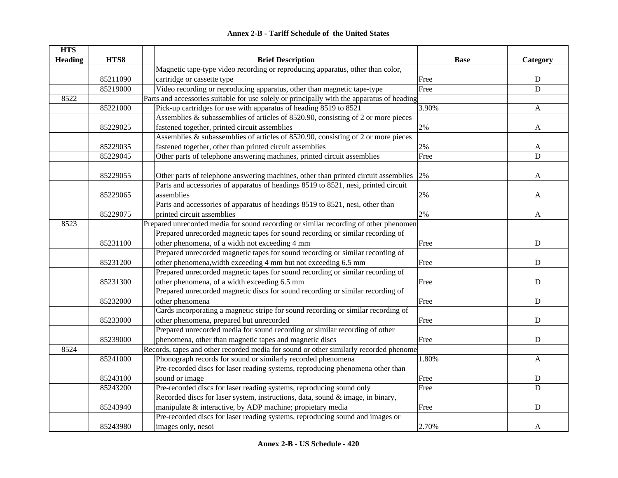| <b>HTS</b>     |          |                                                                                            |             |                |
|----------------|----------|--------------------------------------------------------------------------------------------|-------------|----------------|
| <b>Heading</b> | HTS8     | <b>Brief Description</b>                                                                   | <b>Base</b> | Category       |
|                |          | Magnetic tape-type video recording or reproducing apparatus, other than color,             |             |                |
|                | 85211090 | cartridge or cassette type                                                                 | Free        | ${\bf D}$      |
|                | 85219000 | Video recording or reproducing apparatus, other than magnetic tape-type                    | Free        | D              |
| 8522           |          | Parts and accessories suitable for use solely or principally with the apparatus of heading |             |                |
|                | 85221000 | Pick-up cartridges for use with apparatus of heading 8519 to 8521                          | 3.90%       | $\mathbf{A}$   |
|                |          | Assemblies & subassemblies of articles of 8520.90, consisting of 2 or more pieces          |             |                |
|                | 85229025 | fastened together, printed circuit assemblies                                              | 2%          | A              |
|                |          | Assemblies & subassemblies of articles of 8520.90, consisting of 2 or more pieces          |             |                |
|                | 85229035 | fastened together, other than printed circuit assemblies                                   | 2%          | A              |
|                | 85229045 | Other parts of telephone answering machines, printed circuit assemblies                    | Free        | $\overline{D}$ |
|                |          |                                                                                            |             |                |
|                | 85229055 | Other parts of telephone answering machines, other than printed circuit assemblies         | 2%          | A              |
|                |          | Parts and accessories of apparatus of headings 8519 to 8521, nesi, printed circuit         |             |                |
|                | 85229065 | assemblies                                                                                 | $2\%$       | A              |
|                |          | Parts and accessories of apparatus of headings 8519 to 8521, nesi, other than              |             |                |
|                | 85229075 | printed circuit assemblies                                                                 | 2%          | A              |
| 8523           |          | Prepared unrecorded media for sound recording or similar recording of other phenomen       |             |                |
|                |          | Prepared unrecorded magnetic tapes for sound recording or similar recording of             |             |                |
|                | 85231100 | other phenomena, of a width not exceeding 4 mm                                             | Free        | ${\bf D}$      |
|                |          | Prepared unrecorded magnetic tapes for sound recording or similar recording of             |             |                |
|                | 85231200 | other phenomena, width exceeding 4 mm but not exceeding 6.5 mm                             | Free        | $\mathbf D$    |
|                |          | Prepared unrecorded magnetic tapes for sound recording or similar recording of             |             |                |
|                | 85231300 | other phenomena, of a width exceeding 6.5 mm                                               | Free        | $\mathbf D$    |
|                |          | Prepared unrecorded magnetic discs for sound recording or similar recording of             |             |                |
|                | 85232000 | other phenomena                                                                            | Free        | $\mathbf D$    |
|                |          | Cards incorporating a magnetic stripe for sound recording or similar recording of          |             |                |
|                | 85233000 | other phenomena, prepared but unrecorded                                                   | Free        | ${\bf D}$      |
|                |          | Prepared unrecorded media for sound recording or similar recording of other                |             |                |
|                | 85239000 | phenomena, other than magnetic tapes and magnetic discs                                    | Free        | $\mathbf D$    |
| 8524           |          | Records, tapes and other recorded media for sound or other similarly recorded phenome      |             |                |
|                | 85241000 | Phonograph records for sound or similarly recorded phenomena                               | 1.80%       | A              |
|                |          | Pre-recorded discs for laser reading systems, reproducing phenomena other than             |             |                |
|                | 85243100 | sound or image                                                                             | Free        | ${\bf D}$      |
|                | 85243200 | Pre-recorded discs for laser reading systems, reproducing sound only                       | Free        | D              |
|                |          | Recorded discs for laser system, instructions, data, sound & image, in binary,             |             |                |
|                | 85243940 | manipulate & interactive, by ADP machine; propietary media                                 | Free        | ${\bf D}$      |
|                |          | Pre-recorded discs for laser reading systems, reproducing sound and images or              |             |                |
|                | 85243980 | images only, nesoi                                                                         | 2.70%       | A              |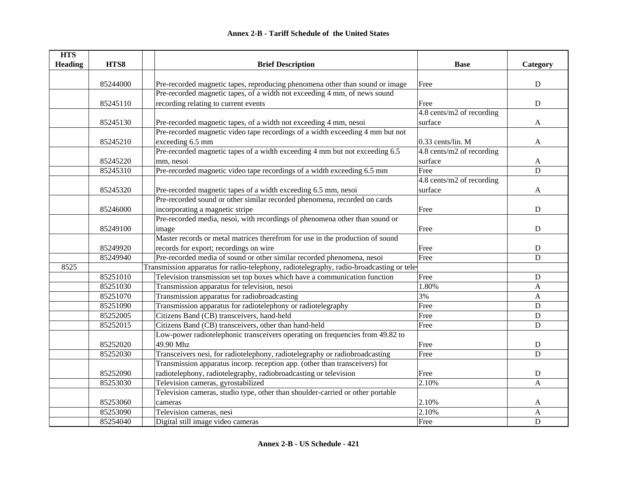| <b>HTS</b>     |          |                                                                                         |                           |             |
|----------------|----------|-----------------------------------------------------------------------------------------|---------------------------|-------------|
| <b>Heading</b> | HTS8     | <b>Brief Description</b>                                                                | <b>Base</b>               | Category    |
|                |          |                                                                                         |                           |             |
|                | 85244000 | Pre-recorded magnetic tapes, reproducing phenomena other than sound or image            | Free                      | ${\bf D}$   |
|                |          | Pre-recorded magnetic tapes, of a width not exceeding 4 mm, of news sound               |                           |             |
|                | 85245110 | recording relating to current events                                                    | Free                      | ${\bf D}$   |
|                |          |                                                                                         | 4.8 cents/m2 of recording |             |
|                | 85245130 | Pre-recorded magnetic tapes, of a width not exceeding 4 mm, nesoi                       | surface                   | A           |
|                |          | Pre-recorded magnetic video tape recordings of a width exceeding 4 mm but not           |                           |             |
|                | 85245210 | exceeding 6.5 mm                                                                        | 0.33 cents/lin. M         | A           |
|                |          | Pre-recorded magnetic tapes of a width exceeding 4 mm but not exceeding 6.5             | 4.8 cents/m2 of recording |             |
|                | 85245220 | mm, nesoi                                                                               | surface                   | A           |
|                | 85245310 | Pre-recorded magnetic video tape recordings of a width exceeding 6.5 mm                 | Free                      | $\mathbf D$ |
|                |          |                                                                                         | 4.8 cents/m2 of recording |             |
|                | 85245320 | Pre-recorded magnetic tapes of a width exceeding 6.5 mm, nesoi                          | surface                   | A           |
|                |          | Pre-recorded sound or other similar recorded phenomena, recorded on cards               |                           |             |
|                | 85246000 | incorporating a magnetic stripe                                                         | Free                      | D           |
|                |          | Pre-recorded media, nesoi, with recordings of phenomena other than sound or             |                           |             |
|                | 85249100 | image                                                                                   | Free                      | D           |
|                |          | Master records or metal matrices therefrom for use in the production of sound           |                           |             |
|                | 85249920 | records for export; recordings on wire                                                  | Free                      | ${\bf D}$   |
|                | 85249940 | Pre-recorded media of sound or other similar recorded phenomena, nesoi                  | Free                      | $\mathbf D$ |
| 8525           |          | Transmission apparatus for radio-telephony, radiotelegraphy, radio-broadcasting or tele |                           |             |
|                | 85251010 | Television transmission set top boxes which have a communication function               | Free                      | $\mathbf D$ |
|                | 85251030 | Transmission apparatus for television, nesoi                                            | 1.80%                     | A           |
|                | 85251070 | Transmission apparatus for radiobroadcasting                                            | 3%                        | $\mathbf A$ |
|                | 85251090 | Transmission apparatus for radiotelephony or radiotelegraphy                            | Free                      | $\mathbf D$ |
|                | 85252005 | Citizens Band (CB) transceivers, hand-held                                              | Free                      | $\mathbf D$ |
|                | 85252015 | Citizens Band (CB) transceivers, other than hand-held                                   | Free                      | D           |
|                |          | Low-power radiotelephonic transceivers operating on frequencies from 49.82 to           |                           |             |
|                | 85252020 | 49.90 Mhz                                                                               | Free                      | ${\bf D}$   |
|                | 85252030 | Transceivers nesi, for radiotelephony, radiotelegraphy or radiobroadcasting             | Free                      | D           |
|                |          | Transmission apparatus incorp. reception app. (other than transceivers) for             |                           |             |
|                | 85252090 | radiotelephony, radiotelegraphy, radiobroadcasting or television                        | Free                      | ${\bf D}$   |
|                | 85253030 | Television cameras, gyrostabilized                                                      | 2.10%                     | A           |
|                |          | Television cameras, studio type, other than shoulder-carried or other portable          |                           |             |
|                | 85253060 | cameras                                                                                 | 2.10%                     | A           |
|                | 85253090 | Television cameras, nesi                                                                | 2.10%                     | $\mathbf A$ |
|                | 85254040 | Digital still image video cameras                                                       | Free                      | $\mathbf D$ |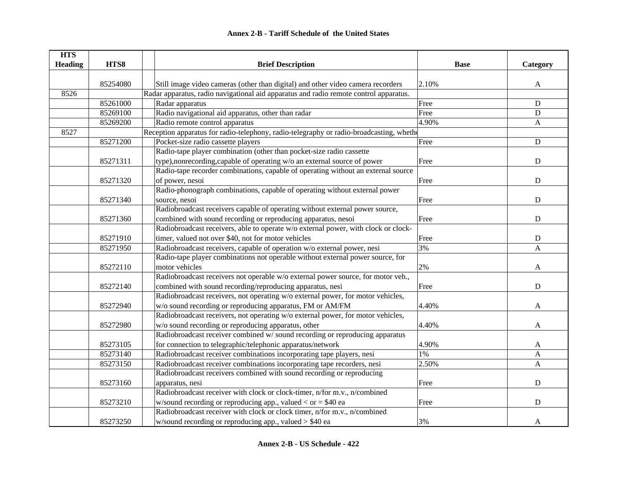| <b>HTS</b>     |          |                                                                                          |             |              |
|----------------|----------|------------------------------------------------------------------------------------------|-------------|--------------|
| <b>Heading</b> | HTS8     | <b>Brief Description</b>                                                                 | <b>Base</b> | Category     |
|                |          |                                                                                          |             |              |
|                | 85254080 | Still image video cameras (other than digital) and other video camera recorders          | 2.10%       | A            |
| 8526           |          | Radar apparatus, radio navigational aid apparatus and radio remote control apparatus.    |             |              |
|                | 85261000 | Radar apparatus                                                                          | Free        | D            |
|                | 85269100 | Radio navigational aid apparatus, other than radar                                       | Free        | D            |
|                | 85269200 | Radio remote control apparatus                                                           | 4.90%       | $\mathbf{A}$ |
| 8527           |          | Reception apparatus for radio-telephony, radio-telegraphy or radio-broadcasting, whether |             |              |
|                | 85271200 | Pocket-size radio cassette players                                                       | Free        | ${\bf D}$    |
|                |          | Radio-tape player combination (other than pocket-size radio cassette                     |             |              |
|                | 85271311 | type), nonrecording, capable of operating w/o an external source of power                | Free        | D            |
|                |          | Radio-tape recorder combinations, capable of operating without an external source        |             |              |
|                | 85271320 | of power, nesoi                                                                          | Free        | ${\bf D}$    |
|                |          | Radio-phonograph combinations, capable of operating without external power               |             |              |
|                | 85271340 | source, nesoi                                                                            | Free        | $\mathbf D$  |
|                |          | Radiobroadcast receivers capable of operating without external power source,             |             |              |
|                | 85271360 | combined with sound recording or reproducing apparatus, nesoi                            | Free        | ${\bf D}$    |
|                |          | Radiobroadcast receivers, able to operate w/o external power, with clock or clock-       |             |              |
|                | 85271910 | timer, valued not over \$40, not for motor vehicles                                      | Free        | D            |
|                | 85271950 | Radiobroadcast receivers, capable of operation w/o external power, nesi                  | 3%          | A            |
|                |          | Radio-tape player combinations not operable without external power source, for           |             |              |
|                | 85272110 | motor vehicles                                                                           | 2%          | A            |
|                |          | Radiobroadcast receivers not operable w/o external power source, for motor veh.,         |             |              |
|                | 85272140 | combined with sound recording/reproducing apparatus, nesi                                | Free        | $\mathbf D$  |
|                |          | Radiobroadcast receivers, not operating w/o external power, for motor vehicles,          |             |              |
|                | 85272940 | w/o sound recording or reproducing apparatus, FM or AM/FM                                | 4.40%       | A            |
|                |          | Radiobroadcast receivers, not operating w/o external power, for motor vehicles,          |             |              |
|                | 85272980 | w/o sound recording or reproducing apparatus, other                                      | 4.40%       | $\mathbf{A}$ |
|                |          | Radiobroadcast receiver combined w/sound recording or reproducing apparatus              |             |              |
|                | 85273105 | for connection to telegraphic/telephonic apparatus/network                               | 4.90%       | A            |
|                | 85273140 | Radiobroadcast receiver combinations incorporating tape players, nesi                    | 1%          | $\mathbf A$  |
|                | 85273150 | Radiobroadcast receiver combinations incorporating tape recorders, nesi                  | 2.50%       | A            |
|                |          | Radiobroadcast receivers combined with sound recording or reproducing                    |             |              |
|                | 85273160 | apparatus, nesi                                                                          | Free        | ${\bf D}$    |
|                |          | Radiobroadcast receiver with clock or clock-timer, n/for m.v., n/combined                |             |              |
|                | 85273210 | w/sound recording or reproducing app., valued $<$ or $=$ \$40 ea                         | Free        | $\mathbf D$  |
|                |          | Radiobroadcast receiver with clock or clock timer, n/for m.v., n/combined                |             |              |
|                | 85273250 | w/sound recording or reproducing app., valued $> $40$ ea                                 | 3%          | A            |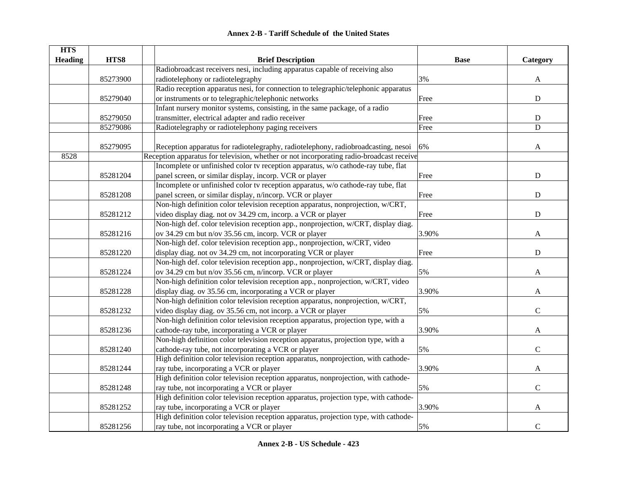|  | <b>Annex 2-B - Tariff Schedule of the United States</b> |  |
|--|---------------------------------------------------------|--|
|--|---------------------------------------------------------|--|

| <b>HTS</b>     |          |                                                                                          |             |               |
|----------------|----------|------------------------------------------------------------------------------------------|-------------|---------------|
| <b>Heading</b> | HTS8     | <b>Brief Description</b>                                                                 | <b>Base</b> | Category      |
|                |          | Radiobroadcast receivers nesi, including apparatus capable of receiving also             |             |               |
|                | 85273900 | radiotelephony or radiotelegraphy                                                        | 3%          | A             |
|                |          | Radio reception apparatus nesi, for connection to telegraphic/telephonic apparatus       |             |               |
|                | 85279040 | or instruments or to telegraphic/telephonic networks                                     | Free        | ${\bf D}$     |
|                |          | Infant nursery monitor systems, consisting, in the same package, of a radio              |             |               |
|                | 85279050 | transmitter, electrical adapter and radio receiver                                       | Free        | ${\bf D}$     |
|                | 85279086 | Radiotelegraphy or radiotelephony paging receivers                                       | Free        | $\mathbf D$   |
|                |          |                                                                                          |             |               |
|                | 85279095 | Reception apparatus for radiotelegraphy, radiotelephony, radiobroadcasting, nesoi        | 6%          | A             |
| 8528           |          | Reception apparatus for television, whether or not incorporating radio-broadcast receive |             |               |
|                |          | Incomplete or unfinished color tv reception apparatus, w/o cathode-ray tube, flat        |             |               |
|                | 85281204 | panel screen, or similar display, incorp. VCR or player                                  | Free        | ${\bf D}$     |
|                |          | Incomplete or unfinished color tv reception apparatus, w/o cathode-ray tube, flat        |             |               |
|                | 85281208 | panel screen, or similar display, n/incorp. VCR or player                                | Free        | ${\bf D}$     |
|                |          | Non-high definition color television reception apparatus, nonprojection, w/CRT,          |             |               |
|                | 85281212 | video display diag. not ov 34.29 cm, incorp. a VCR or player                             | Free        | $\mathbf D$   |
|                |          | Non-high def. color television reception app., nonprojection, w/CRT, display diag.       |             |               |
|                | 85281216 | ov 34.29 cm but n/ov 35.56 cm, incorp. VCR or player                                     | 3.90%       | A             |
|                |          | Non-high def. color television reception app., nonprojection, w/CRT, video               |             |               |
|                | 85281220 | display diag. not ov 34.29 cm, not incorporating VCR or player                           | Free        | ${\bf D}$     |
|                |          | Non-high def. color television reception app., nonprojection, w/CRT, display diag.       |             |               |
|                | 85281224 | ov 34.29 cm but n/ov 35.56 cm, n/incorp. VCR or player                                   | 5%          | A             |
|                |          | Non-high definition color television reception app., nonprojection, w/CRT, video         |             |               |
|                | 85281228 | display diag. ov 35.56 cm, incorporating a VCR or player                                 | 3.90%       | A             |
|                |          | Non-high definition color television reception apparatus, nonprojection, w/CRT,          |             |               |
|                | 85281232 | video display diag. ov 35.56 cm, not incorp. a VCR or player                             | 5%          | $\mathbf C$   |
|                |          | Non-high definition color television reception apparatus, projection type, with a        |             |               |
|                | 85281236 | cathode-ray tube, incorporating a VCR or player                                          | 3.90%       | A             |
|                |          | Non-high definition color television reception apparatus, projection type, with a        |             |               |
|                | 85281240 | cathode-ray tube, not incorporating a VCR or player                                      | 5%          | $\mathcal{C}$ |
|                |          | High definition color television reception apparatus, nonprojection, with cathode-       |             |               |
|                | 85281244 | ray tube, incorporating a VCR or player                                                  | 3.90%       | $\mathbf{A}$  |
|                |          | High definition color television reception apparatus, nonprojection, with cathode-       |             |               |
|                | 85281248 | ray tube, not incorporating a VCR or player                                              | 5%          | $\mathbf C$   |
|                |          | High definition color television reception apparatus, projection type, with cathode-     |             |               |
|                | 85281252 | ray tube, incorporating a VCR or player                                                  | 3.90%       | A             |
|                |          | High definition color television reception apparatus, projection type, with cathode-     |             |               |
|                | 85281256 | ray tube, not incorporating a VCR or player                                              | 5%          | $\mathbf C$   |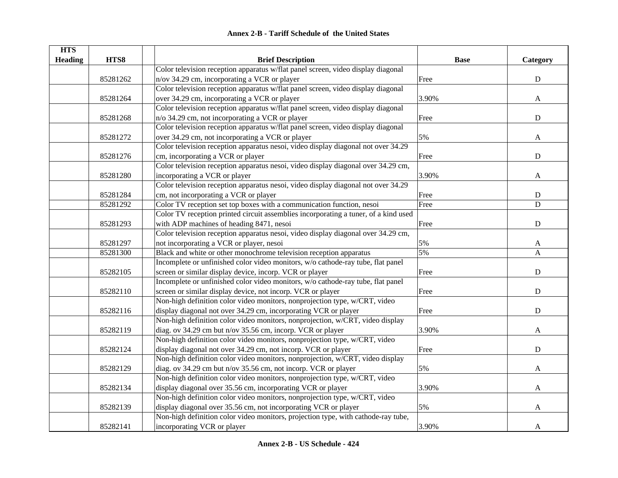|  | Annex 2-B - Tariff Schedule of the United States |  |
|--|--------------------------------------------------|--|
|--|--------------------------------------------------|--|

| <b>HTS</b>     |          |                                                                                     |             |              |
|----------------|----------|-------------------------------------------------------------------------------------|-------------|--------------|
| <b>Heading</b> | HTS8     | <b>Brief Description</b>                                                            | <b>Base</b> | Category     |
|                |          | Color television reception apparatus w/flat panel screen, video display diagonal    |             |              |
|                | 85281262 | n/ov 34.29 cm, incorporating a VCR or player                                        | Free        | ${\bf D}$    |
|                |          | Color television reception apparatus w/flat panel screen, video display diagonal    |             |              |
|                | 85281264 | over 34.29 cm, incorporating a VCR or player                                        | 3.90%       | A            |
|                |          | Color television reception apparatus w/flat panel screen, video display diagonal    |             |              |
|                | 85281268 | n/o 34.29 cm, not incorporating a VCR or player                                     | Free        | $\mathbf D$  |
|                |          | Color television reception apparatus w/flat panel screen, video display diagonal    |             |              |
|                | 85281272 | over 34.29 cm, not incorporating a VCR or player                                    | 5%          | $\mathbf{A}$ |
|                |          | Color television reception apparatus nesoi, video display diagonal not over 34.29   |             |              |
|                | 85281276 | cm, incorporating a VCR or player                                                   | Free        | ${\bf D}$    |
|                |          | Color television reception apparatus nesoi, video display diagonal over 34.29 cm,   |             |              |
|                | 85281280 | incorporating a VCR or player                                                       | 3.90%       | A            |
|                |          | Color television reception apparatus nesoi, video display diagonal not over 34.29   |             |              |
|                | 85281284 | cm, not incorporating a VCR or player                                               | Free        | ${\bf D}$    |
|                | 85281292 | Color TV reception set top boxes with a communication function, nesoi               | Free        | $\mathbf D$  |
|                |          | Color TV reception printed circuit assemblies incorporating a tuner, of a kind used |             |              |
|                | 85281293 | with ADP machines of heading 8471, nesoi                                            | Free        | ${\bf D}$    |
|                |          | Color television reception apparatus nesoi, video display diagonal over 34.29 cm,   |             |              |
|                | 85281297 | not incorporating a VCR or player, nesoi                                            | 5%          | $\mathbf{A}$ |
|                | 85281300 | Black and white or other monochrome television reception apparatus                  | 5%          | $\mathbf{A}$ |
|                |          | Incomplete or unfinished color video monitors, w/o cathode-ray tube, flat panel     |             |              |
|                | 85282105 | screen or similar display device, incorp. VCR or player                             | Free        | ${\bf D}$    |
|                |          | Incomplete or unfinished color video monitors, w/o cathode-ray tube, flat panel     |             |              |
|                | 85282110 | screen or similar display device, not incorp. VCR or player                         | Free        | ${\bf D}$    |
|                |          | Non-high definition color video monitors, nonprojection type, w/CRT, video          |             |              |
|                | 85282116 | display diagonal not over 34.29 cm, incorporating VCR or player                     | Free        | ${\bf D}$    |
|                |          | Non-high definition color video monitors, nonprojection, w/CRT, video display       |             |              |
|                | 85282119 | diag. ov 34.29 cm but n/ov 35.56 cm, incorp. VCR or player                          | 3.90%       | A            |
|                |          | Non-high definition color video monitors, nonprojection type, w/CRT, video          |             |              |
|                | 85282124 | display diagonal not over 34.29 cm, not incorp. VCR or player                       | Free        | ${\bf D}$    |
|                |          | Non-high definition color video monitors, nonprojection, w/CRT, video display       |             |              |
|                | 85282129 | diag. ov 34.29 cm but n/ov 35.56 cm, not incorp. VCR or player                      | 5%          | A            |
|                |          | Non-high definition color video monitors, nonprojection type, w/CRT, video          |             |              |
|                | 85282134 | display diagonal over 35.56 cm, incorporating VCR or player                         | 3.90%       |              |
|                |          | Non-high definition color video monitors, nonprojection type, w/CRT, video          |             | A            |
|                |          |                                                                                     |             |              |
|                | 85282139 | display diagonal over 35.56 cm, not incorporating VCR or player                     | 5%          | A            |
|                |          | Non-high definition color video monitors, projection type, with cathode-ray tube,   |             |              |
|                | 85282141 | incorporating VCR or player                                                         | 3.90%       | A            |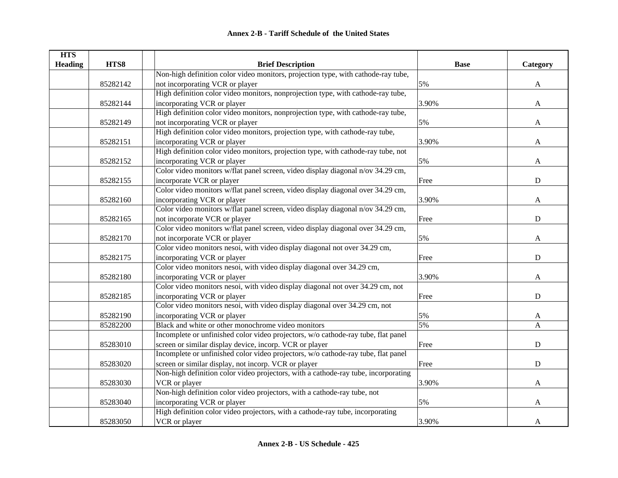| <b>HTS</b>     |          |                                                                                    |             |                           |
|----------------|----------|------------------------------------------------------------------------------------|-------------|---------------------------|
| <b>Heading</b> | HTS8     | <b>Brief Description</b>                                                           | <b>Base</b> | Category                  |
|                |          | Non-high definition color video monitors, projection type, with cathode-ray tube,  |             |                           |
|                | 85282142 | not incorporating VCR or player                                                    | 5%          | $\boldsymbol{\mathsf{A}}$ |
|                |          | High definition color video monitors, nonprojection type, with cathode-ray tube,   |             |                           |
|                | 85282144 | incorporating VCR or player                                                        | 3.90%       | $\mathbf{A}$              |
|                |          | High definition color video monitors, nonprojection type, with cathode-ray tube,   |             |                           |
|                | 85282149 | not incorporating VCR or player                                                    | 5%          | $\mathbf{A}$              |
|                |          | High definition color video monitors, projection type, with cathode-ray tube,      |             |                           |
|                | 85282151 | incorporating VCR or player                                                        | 3.90%       | A                         |
|                |          | High definition color video monitors, projection type, with cathode-ray tube, not  |             |                           |
|                | 85282152 | incorporating VCR or player                                                        | 5%          | $\mathbf{A}$              |
|                |          | Color video monitors w/flat panel screen, video display diagonal n/ov 34.29 cm,    |             |                           |
|                | 85282155 | incorporate VCR or player                                                          | Free        | ${\bf D}$                 |
|                |          | Color video monitors w/flat panel screen, video display diagonal over 34.29 cm,    |             |                           |
|                | 85282160 | incorporating VCR or player                                                        | 3.90%       | A                         |
|                |          | Color video monitors w/flat panel screen, video display diagonal n/ov 34.29 cm,    |             |                           |
|                | 85282165 | not incorporate VCR or player                                                      | Free        | ${\bf D}$                 |
|                |          | Color video monitors w/flat panel screen, video display diagonal over 34.29 cm,    |             |                           |
|                | 85282170 | not incorporate VCR or player                                                      | 5%          | A                         |
|                |          | Color video monitors nesoi, with video display diagonal not over 34.29 cm,         |             |                           |
|                | 85282175 | incorporating VCR or player                                                        | Free        | $\mathbf D$               |
|                |          | Color video monitors nesoi, with video display diagonal over 34.29 cm,             |             |                           |
|                | 85282180 | incorporating VCR or player                                                        | 3.90%       | A                         |
|                |          | Color video monitors nesoi, with video display diagonal not over 34.29 cm, not     |             |                           |
|                | 85282185 | incorporating VCR or player                                                        | Free        | $\mathbf D$               |
|                |          | Color video monitors nesoi, with video display diagonal over 34.29 cm, not         |             |                           |
|                | 85282190 | incorporating VCR or player                                                        | 5%          | A                         |
|                | 85282200 | Black and white or other monochrome video monitors                                 | 5%          | $\mathbf{A}$              |
|                |          | Incomplete or unfinished color video projectors, w/o cathode-ray tube, flat panel  |             |                           |
|                | 85283010 | screen or similar display device, incorp. VCR or player                            | Free        | ${\bf D}$                 |
|                |          | Incomplete or unfinished color video projectors, w/o cathode-ray tube, flat panel  |             |                           |
|                | 85283020 | screen or similar display, not incorp. VCR or player                               | Free        | ${\bf D}$                 |
|                |          | Non-high definition color video projectors, with a cathode-ray tube, incorporating |             |                           |
|                | 85283030 | VCR or player                                                                      | 3.90%       | $\mathbf{A}$              |
|                |          | Non-high definition color video projectors, with a cathode-ray tube, not           |             |                           |
|                | 85283040 | incorporating VCR or player                                                        | 5%          | A                         |
|                |          | High definition color video projectors, with a cathode-ray tube, incorporating     |             |                           |
|                | 85283050 | VCR or player                                                                      | 3.90%       | A                         |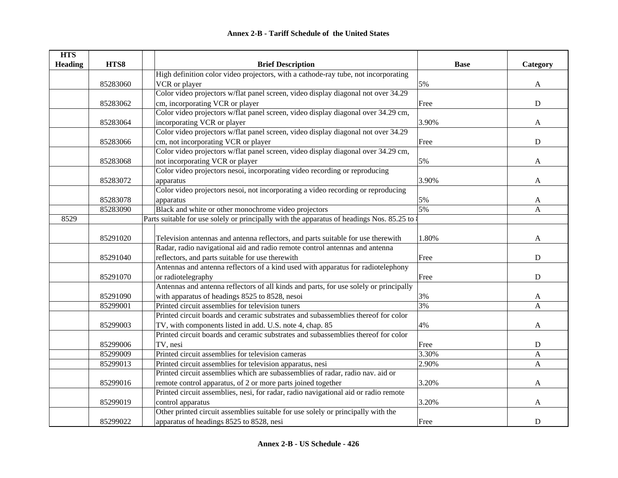| <b>HTS</b>     |          |                                                                                           |             |              |
|----------------|----------|-------------------------------------------------------------------------------------------|-------------|--------------|
| <b>Heading</b> | HTS8     | <b>Brief Description</b>                                                                  | <b>Base</b> | Category     |
|                |          | High definition color video projectors, with a cathode-ray tube, not incorporating        |             |              |
|                | 85283060 | VCR or player                                                                             | 5%          | $\mathbf{A}$ |
|                |          | Color video projectors w/flat panel screen, video display diagonal not over 34.29         |             |              |
|                | 85283062 | cm, incorporating VCR or player                                                           | Free        | ${\bf D}$    |
|                |          | Color video projectors w/flat panel screen, video display diagonal over 34.29 cm,         |             |              |
|                | 85283064 | incorporating VCR or player                                                               | 3.90%       | A            |
|                |          | Color video projectors w/flat panel screen, video display diagonal not over 34.29         |             |              |
|                | 85283066 | cm, not incorporating VCR or player                                                       | Free        | ${\bf D}$    |
|                |          | Color video projectors w/flat panel screen, video display diagonal over 34.29 cm,         |             |              |
|                | 85283068 | not incorporating VCR or player                                                           | 5%          | A            |
|                |          | Color video projectors nesoi, incorporating video recording or reproducing                |             |              |
|                | 85283072 | apparatus                                                                                 | 3.90%       | A            |
|                |          | Color video projectors nesoi, not incorporating a video recording or reproducing          |             |              |
|                | 85283078 | apparatus                                                                                 | 5%          | A            |
|                | 85283090 | Black and white or other monochrome video projectors                                      | 5%          | A            |
| 8529           |          | Parts suitable for use solely or principally with the apparatus of headings Nos. 85.25 to |             |              |
|                |          |                                                                                           |             |              |
|                | 85291020 | Television antennas and antenna reflectors, and parts suitable for use therewith          | 1.80%       | A            |
|                |          | Radar, radio navigational aid and radio remote control antennas and antenna               |             |              |
|                | 85291040 | reflectors, and parts suitable for use therewith                                          | Free        | ${\bf D}$    |
|                |          | Antennas and antenna reflectors of a kind used with apparatus for radiotelephony          |             |              |
|                | 85291070 | or radiotelegraphy                                                                        | Free        | D            |
|                |          | Antennas and antenna reflectors of all kinds and parts, for use solely or principally     |             |              |
|                | 85291090 | with apparatus of headings 8525 to 8528, nesoi                                            | 3%          | A            |
|                | 85299001 | Printed circuit assemblies for television tuners                                          | 3%          | A            |
|                |          | Printed circuit boards and ceramic substrates and subassemblies thereof for color         |             |              |
|                | 85299003 | TV, with components listed in add. U.S. note 4, chap. 85                                  | 4%          | A            |
|                |          | Printed circuit boards and ceramic substrates and subassemblies thereof for color         |             |              |
|                | 85299006 | TV, nesi                                                                                  | Free        | ${\bf D}$    |
|                | 85299009 | Printed circuit assemblies for television cameras                                         | 3.30%       | A            |
|                | 85299013 | Printed circuit assemblies for television apparatus, nesi                                 | 2.90%       | $\mathbf{A}$ |
|                |          | Printed circuit assemblies which are subassemblies of radar, radio nav. aid or            |             |              |
|                | 85299016 | remote control apparatus, of 2 or more parts joined together                              | 3.20%       | A            |
|                |          | Printed circuit assemblies, nesi, for radar, radio navigational aid or radio remote       |             |              |
|                | 85299019 | control apparatus                                                                         | 3.20%       | A            |
|                |          | Other printed circuit assemblies suitable for use solely or principally with the          |             |              |
|                | 85299022 | apparatus of headings 8525 to 8528, nesi                                                  | Free        | ${\bf D}$    |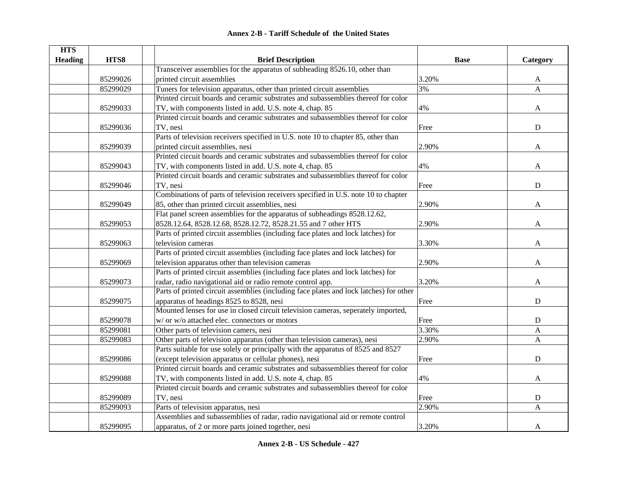|  | <b>Annex 2-B - Tariff Schedule of the United States</b> |  |
|--|---------------------------------------------------------|--|
|--|---------------------------------------------------------|--|

| <b>HTS</b>     |          |                                                                                        |             |              |
|----------------|----------|----------------------------------------------------------------------------------------|-------------|--------------|
| <b>Heading</b> | HTS8     | <b>Brief Description</b>                                                               | <b>Base</b> | Category     |
|                |          | Transceiver assemblies for the apparatus of subheading 8526.10, other than             |             |              |
|                | 85299026 | printed circuit assemblies                                                             | 3.20%       | A            |
|                | 85299029 | Tuners for television apparatus, other than printed circuit assemblies                 | 3%          | $\mathbf{A}$ |
|                |          | Printed circuit boards and ceramic substrates and subassemblies thereof for color      |             |              |
|                | 85299033 | TV, with components listed in add. U.S. note 4, chap. 85                               | 4%          | A            |
|                |          | Printed circuit boards and ceramic substrates and subassemblies thereof for color      |             |              |
|                | 85299036 | TV, nesi                                                                               | Free        | ${\bf D}$    |
|                |          | Parts of television receivers specified in U.S. note 10 to chapter 85, other than      |             |              |
|                | 85299039 | printed circuit assemblies, nesi                                                       | 2.90%       | A            |
|                |          | Printed circuit boards and ceramic substrates and subassemblies thereof for color      |             |              |
|                | 85299043 | TV, with components listed in add. U.S. note 4, chap. 85                               | 4%          | A            |
|                |          | Printed circuit boards and ceramic substrates and subassemblies thereof for color      |             |              |
|                | 85299046 | TV, nesi                                                                               | Free        | $\mathbf D$  |
|                |          | Combinations of parts of television receivers specified in U.S. note 10 to chapter     |             |              |
|                | 85299049 | 85, other than printed circuit assemblies, nesi                                        | 2.90%       | A            |
|                |          | Flat panel screen assemblies for the apparatus of subheadings 8528.12.62,              |             |              |
|                | 85299053 | 8528.12.64, 8528.12.68, 8528.12.72, 8528.21.55 and 7 other HTS                         | 2.90%       | A            |
|                |          | Parts of printed circuit assemblies (including face plates and lock latches) for       |             |              |
|                | 85299063 | television cameras                                                                     | 3.30%       | A            |
|                |          | Parts of printed circuit assemblies (including face plates and lock latches) for       |             |              |
|                | 85299069 | television apparatus other than television cameras                                     | 2.90%       | A            |
|                |          | Parts of printed circuit assemblies (including face plates and lock latches) for       |             |              |
|                | 85299073 | radar, radio navigational aid or radio remote control app.                             | 3.20%       | A            |
|                |          | Parts of printed circuit assemblies (including face plates and lock latches) for other |             |              |
|                | 85299075 | apparatus of headings 8525 to 8528, nesi                                               | Free        | $\mathbf D$  |
|                |          | Mounted lenses for use in closed circuit television cameras, seperately imported,      |             |              |
|                | 85299078 | w/ or w/o attached elec. connectors or motors                                          | Free        | ${\bf D}$    |
|                | 85299081 | Other parts of television camers, nesi                                                 | 3.30%       | A            |
|                | 85299083 | Other parts of television apparatus (other than television cameras), nesi              | 2.90%       | A            |
|                |          | Parts suitable for use solely or principally with the apparatus of 8525 and 8527       |             |              |
|                | 85299086 | (except television apparatus or cellular phones), nesi                                 | Free        | $\mathbf D$  |
|                |          | Printed circuit boards and ceramic substrates and subassemblies thereof for color      |             |              |
|                | 85299088 | TV, with components listed in add. U.S. note 4, chap. 85                               | 4%          | A            |
|                |          | Printed circuit boards and ceramic substrates and subassemblies thereof for color      |             |              |
|                | 85299089 | TV, nesi                                                                               | Free        | ${\bf D}$    |
|                | 85299093 | Parts of television apparatus, nesi                                                    | 2.90%       | A            |
|                |          | Assemblies and subassemblies of radar, radio navigational aid or remote control        |             |              |
|                | 85299095 | apparatus, of 2 or more parts joined together, nesi                                    | 3.20%       | A            |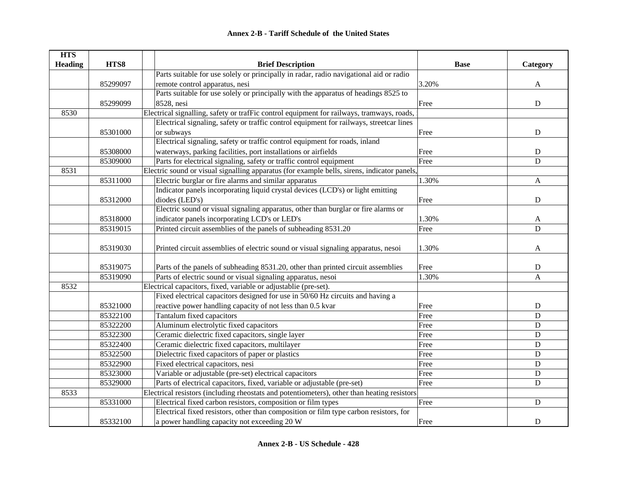| <b>HTS</b>     |          |                                                                                             |             |                |
|----------------|----------|---------------------------------------------------------------------------------------------|-------------|----------------|
| <b>Heading</b> | HTS8     | <b>Brief Description</b>                                                                    | <b>Base</b> | Category       |
|                |          | Parts suitable for use solely or principally in radar, radio navigational aid or radio      |             |                |
|                | 85299097 | remote control apparatus, nesi                                                              | 3.20%       | A              |
|                |          | Parts suitable for use solely or principally with the apparatus of headings 8525 to         |             |                |
|                | 85299099 | 8528, nesi                                                                                  | Free        | ${\bf D}$      |
| 8530           |          | Electrical signalling, safety or trafFic control equipment for railways, tramways, roads,   |             |                |
|                |          | Electrical signaling, safety or traffic control equipment for railways, streetcar lines     |             |                |
|                | 85301000 | or subways                                                                                  | Free        | ${\bf D}$      |
|                |          | Electrical signaling, safety or traffic control equipment for roads, inland                 |             |                |
|                | 85308000 | waterways, parking facilities, port installations or airfields                              | Free        | $\mathbf D$    |
|                | 85309000 | Parts for electrical signaling, safety or traffic control equipment                         | Free        | $\mathbf D$    |
| 8531           |          | Electric sound or visual signalling apparatus (for example bells, sirens, indicator panels, |             |                |
|                | 85311000 | Electric burglar or fire alarms and similar apparatus                                       | 1.30%       | A              |
|                |          | Indicator panels incorporating liquid crystal devices (LCD's) or light emitting             |             |                |
|                | 85312000 | diodes (LED's)                                                                              | Free        | ${\bf D}$      |
|                |          | Electric sound or visual signaling apparatus, other than burglar or fire alarms or          |             |                |
|                | 85318000 | indicator panels incorporating LCD's or LED's                                               | 1.30%       | $\mathbf{A}$   |
|                | 85319015 | Printed circuit assemblies of the panels of subheading 8531.20                              | Free        | $\overline{D}$ |
|                |          |                                                                                             |             |                |
|                | 85319030 | Printed circuit assemblies of electric sound or visual signaling apparatus, nesoi           | 1.30%       | A              |
|                |          |                                                                                             |             |                |
|                | 85319075 | Parts of the panels of subheading 8531.20, other than printed circuit assemblies            | Free        | D              |
|                | 85319090 | Parts of electric sound or visual signaling apparatus, nesoi                                | 1.30%       | A              |
| 8532           |          | Electrical capacitors, fixed, variable or adjustablie (pre-set).                            |             |                |
|                |          | Fixed electrical capacitors designed for use in 50/60 Hz circuits and having a              |             |                |
|                | 85321000 | reactive power handling capacity of not less than 0.5 kvar                                  | Free        | ${\bf D}$      |
|                | 85322100 | Tantalum fixed capacitors                                                                   | Free        | $\mathbf D$    |
|                | 85322200 | Aluminum electrolytic fixed capacitors                                                      | Free        | $\mathbf D$    |
|                | 85322300 | Ceramic dielectric fixed capacitors, single layer                                           | Free        | D              |
|                | 85322400 | Ceramic dielectric fixed capacitors, multilayer                                             | Free        | ${\bf D}$      |
|                | 85322500 | Dielectric fixed capacitors of paper or plastics                                            | Free        | $\mathbf D$    |
|                | 85322900 | Fixed electrical capacitors, nesi                                                           | Free        | ${\bf D}$      |
|                | 85323000 | Variable or adjustable (pre-set) electrical capacitors                                      | Free        | ${\bf D}$      |
|                | 85329000 | Parts of electrical capacitors, fixed, variable or adjustable (pre-set)                     | Free        | ${\bf D}$      |
| 8533           |          | Electrical resistors (including rheostats and potentiometers), other than heating resistors |             |                |
|                | 85331000 | Electrical fixed carbon resistors, composition or film types                                | Free        | ${\bf D}$      |
|                |          | Electrical fixed resistors, other than composition or film type carbon resistors, for       |             |                |
|                | 85332100 | a power handling capacity not exceeding 20 W                                                | Free        | $\mathbf D$    |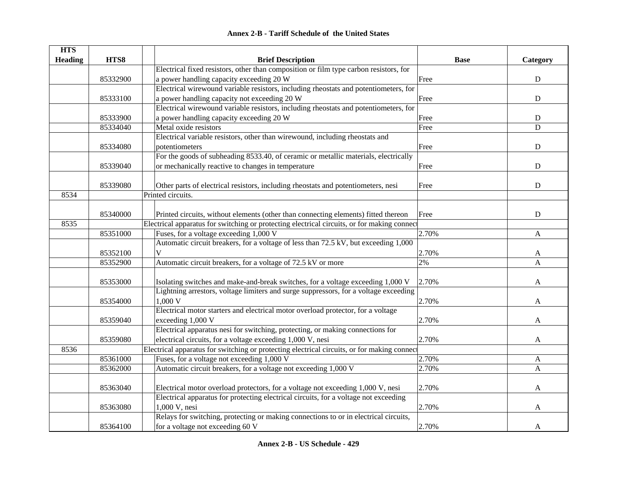| <b>Annex 2-B - Tariff Schedule of the United States</b> |  |
|---------------------------------------------------------|--|
|---------------------------------------------------------|--|

| <b>HTS</b><br><b>Heading</b> | HTS8     | <b>Brief Description</b>                                                                    | <b>Base</b> | Category     |
|------------------------------|----------|---------------------------------------------------------------------------------------------|-------------|--------------|
|                              |          | Electrical fixed resistors, other than composition or film type carbon resistors, for       |             |              |
|                              | 85332900 | a power handling capacity exceeding 20 W                                                    | Free        | $\mathbf D$  |
|                              |          | Electrical wirewound variable resistors, including rheostats and potentiometers, for        |             |              |
|                              | 85333100 | a power handling capacity not exceeding 20 W                                                | Free        | ${\bf D}$    |
|                              |          | Electrical wirewound variable resistors, including rheostats and potentiometers, for        |             |              |
|                              | 85333900 | a power handling capacity exceeding 20 W                                                    | Free        | $\mathbf D$  |
|                              | 85334040 | Metal oxide resistors                                                                       | Free        | $\mathbf D$  |
|                              |          | Electrical variable resistors, other than wirewound, including rheostats and                |             |              |
|                              | 85334080 | potentiometers                                                                              | Free        | D            |
|                              |          | For the goods of subheading 8533.40, of ceramic or metallic materials, electrically         |             |              |
|                              | 85339040 | or mechanically reactive to changes in temperature                                          | Free        | D            |
|                              |          |                                                                                             |             |              |
|                              | 85339080 | Other parts of electrical resistors, including rheostats and potentiometers, nesi           | Free        | D            |
| 8534                         |          | Printed circuits.                                                                           |             |              |
|                              |          |                                                                                             |             |              |
|                              | 85340000 | Printed circuits, without elements (other than connecting elements) fitted thereon          | Free        | ${\bf D}$    |
| 8535                         |          | Electrical apparatus for switching or protecting electrical circuits, or for making connect |             |              |
|                              | 85351000 | Fuses, for a voltage exceeding 1,000 V                                                      | 2.70%       | $\mathbf{A}$ |
|                              |          | Automatic circuit breakers, for a voltage of less than 72.5 kV, but exceeding 1,000         |             |              |
|                              | 85352100 | V                                                                                           | 2.70%       | A            |
|                              | 85352900 | Automatic circuit breakers, for a voltage of 72.5 kV or more                                | 2%          | A            |
|                              | 85353000 | Isolating switches and make-and-break switches, for a voltage exceeding 1,000 V             | 2.70%       | A            |
|                              |          | Lightning arrestors, voltage limiters and surge suppressors, for a voltage exceeding        |             |              |
|                              | 85354000 | 1,000 V                                                                                     | 2.70%       | A            |
|                              |          | Electrical motor starters and electrical motor overload protector, for a voltage            |             |              |
|                              | 85359040 | exceeding 1,000 V                                                                           | 2.70%       | A            |
|                              |          | Electrical apparatus nesi for switching, protecting, or making connections for              |             |              |
|                              | 85359080 | electrical circuits, for a voltage exceeding 1,000 V, nesi                                  | 2.70%       | A            |
| 8536                         |          | Electrical apparatus for switching or protecting electrical circuits, or for making connect |             |              |
|                              | 85361000 | Fuses, for a voltage not exceeding 1,000 V                                                  | 2.70%       | A            |
|                              | 85362000 | Automatic circuit breakers, for a voltage not exceeding 1,000 V                             | 2.70%       | A            |
|                              | 85363040 | Electrical motor overload protectors, for a voltage not exceeding 1,000 V, nesi             | 2.70%       | A            |
|                              |          | Electrical apparatus for protecting electrical circuits, for a voltage not exceeding        |             |              |
|                              | 85363080 | 1,000 V, nesi                                                                               | 2.70%       | A            |
|                              |          | Relays for switching, protecting or making connections to or in electrical circuits,        |             |              |
|                              | 85364100 | for a voltage not exceeding 60 V                                                            | 2.70%       | A            |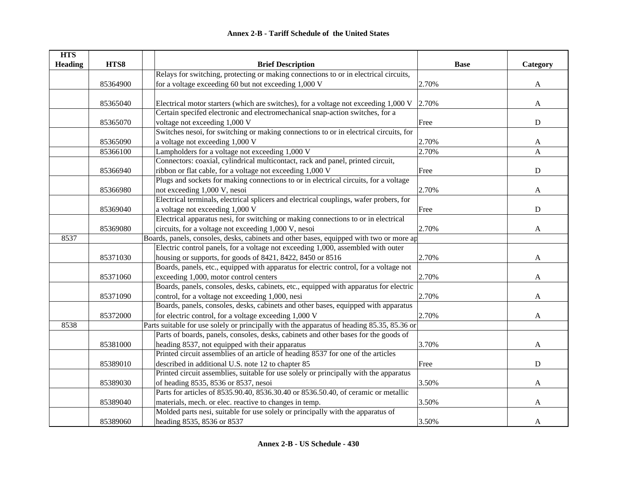| <b>HTS</b>     |          |                                                                                            |             |              |
|----------------|----------|--------------------------------------------------------------------------------------------|-------------|--------------|
| <b>Heading</b> | HTS8     | <b>Brief Description</b>                                                                   | <b>Base</b> | Category     |
|                |          | Relays for switching, protecting or making connections to or in electrical circuits,       |             |              |
|                | 85364900 | for a voltage exceeding 60 but not exceeding 1,000 V                                       | 2.70%       | A            |
|                | 85365040 | Electrical motor starters (which are switches), for a voltage not exceeding 1,000 V        | 2.70%       | $\mathbf{A}$ |
|                |          | Certain specifed electronic and electromechanical snap-action switches, for a              |             |              |
|                | 85365070 | voltage not exceeding 1,000 V                                                              | Free        | ${\bf D}$    |
|                |          | Switches nesoi, for switching or making connections to or in electrical circuits, for      |             |              |
|                |          |                                                                                            |             |              |
|                | 85365090 | a voltage not exceeding 1,000 V                                                            | 2.70%       | $\mathbf{A}$ |
|                | 85366100 | Lampholders for a voltage not exceeding 1,000 V                                            | 2.70%       | $\mathbf{A}$ |
|                |          | Connectors: coaxial, cylindrical multicontact, rack and panel, printed circuit,            |             |              |
|                | 85366940 | ribbon or flat cable, for a voltage not exceeding 1,000 V                                  | Free        | ${\bf D}$    |
|                |          | Plugs and sockets for making connections to or in electrical circuits, for a voltage       |             |              |
|                | 85366980 | not exceeding 1,000 V, nesoi                                                               | 2.70%       | A            |
|                |          | Electrical terminals, electrical splicers and electrical couplings, wafer probers, for     |             |              |
|                | 85369040 | a voltage not exceeding 1,000 V                                                            | Free        | D            |
|                |          | Electrical apparatus nesi, for switching or making connections to or in electrical         |             |              |
|                | 85369080 | circuits, for a voltage not exceeding 1,000 V, nesoi                                       | 2.70%       | A            |
| 8537           |          | Boards, panels, consoles, desks, cabinets and other bases, equipped with two or more ap    |             |              |
|                |          | Electric control panels, for a voltage not exceeding 1,000, assembled with outer           |             |              |
|                | 85371030 | housing or supports, for goods of 8421, 8422, 8450 or 8516                                 | 2.70%       | A            |
|                |          | Boards, panels, etc., equipped with apparatus for electric control, for a voltage not      |             |              |
|                | 85371060 | exceeding 1,000, motor control centers                                                     | 2.70%       | A            |
|                |          | Boards, panels, consoles, desks, cabinets, etc., equipped with apparatus for electric      |             |              |
|                | 85371090 | control, for a voltage not exceeding 1,000, nesi                                           | 2.70%       | A            |
|                |          | Boards, panels, consoles, desks, cabinets and other bases, equipped with apparatus         |             |              |
|                | 85372000 | for electric control, for a voltage exceeding 1,000 V                                      | 2.70%       | A            |
| 8538           |          | Parts suitable for use solely or principally with the apparatus of heading 85.35, 85.36 or |             |              |
|                |          | Parts of boards, panels, consoles, desks, cabinets and other bases for the goods of        |             |              |
|                | 85381000 | heading 8537, not equipped with their apparatus                                            | 3.70%       | A            |
|                |          | Printed circuit assemblies of an article of heading 8537 for one of the articles           |             |              |
|                | 85389010 | described in additional U.S. note 12 to chapter 85                                         | Free        | ${\bf D}$    |
|                |          | Printed circuit assemblies, suitable for use solely or principally with the apparatus      |             |              |
|                | 85389030 | of heading 8535, 8536 or 8537, nesoi                                                       | 3.50%       | A            |
|                |          | Parts for articles of 8535.90.40, 8536.30.40 or 8536.50.40, of ceramic or metallic         |             |              |
|                | 85389040 | materials, mech. or elec. reactive to changes in temp.                                     | 3.50%       | A            |
|                |          | Molded parts nesi, suitable for use solely or principally with the apparatus of            |             |              |
|                | 85389060 | heading 8535, 8536 or 8537                                                                 | 3.50%       | A            |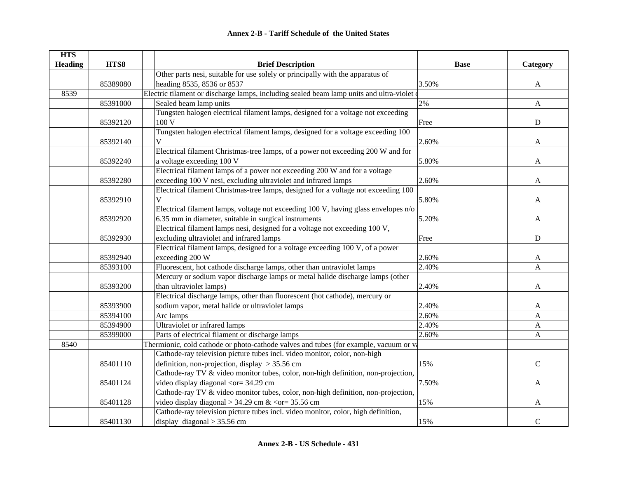| <b>HTS</b>     |          |                                                                                                        |             |              |
|----------------|----------|--------------------------------------------------------------------------------------------------------|-------------|--------------|
| <b>Heading</b> | HTS8     | <b>Brief Description</b>                                                                               | <b>Base</b> | Category     |
|                |          | Other parts nesi, suitable for use solely or principally with the apparatus of                         |             |              |
|                | 85389080 | heading 8535, 8536 or 8537                                                                             | 3.50%       | $\mathbf{A}$ |
| 8539           |          | Electric tilament or discharge lamps, including sealed beam lamp units and ultra-violet                |             |              |
|                | 85391000 | Sealed beam lamp units                                                                                 | 2%          | $\mathbf{A}$ |
|                |          | Tungsten halogen electrical filament lamps, designed for a voltage not exceeding                       |             |              |
|                | 85392120 | 100 V                                                                                                  | Free        | ${\bf D}$    |
|                |          | Tungsten halogen electrical filament lamps, designed for a voltage exceeding 100                       |             |              |
|                | 85392140 | V                                                                                                      | 2.60%       | A            |
|                |          | Electrical filament Christmas-tree lamps, of a power not exceeding 200 W and for                       |             |              |
|                | 85392240 | a voltage exceeding 100 V                                                                              | 5.80%       | $\mathbf{A}$ |
|                |          | Electrical filament lamps of a power not exceeding 200 W and for a voltage                             |             |              |
|                | 85392280 | exceeding 100 V nesi, excluding ultraviolet and infrared lamps                                         | 2.60%       | A            |
|                |          | Electrical filament Christmas-tree lamps, designed for a voltage not exceeding 100                     |             |              |
|                | 85392910 | $\mathbf V$                                                                                            | 5.80%       | A            |
|                |          | Electrical filament lamps, voltage not exceeding 100 V, having glass envelopes n/o                     |             |              |
|                | 85392920 | 6.35 mm in diameter, suitable in surgical instruments                                                  | 5.20%       | A            |
|                |          | Electrical filament lamps nesi, designed for a voltage not exceeding 100 V,                            |             |              |
|                | 85392930 | excluding ultraviolet and infrared lamps                                                               | Free        | ${\bf D}$    |
|                |          | Electrical filament lamps, designed for a voltage exceeding 100 V, of a power                          |             |              |
|                | 85392940 | exceeding 200 W                                                                                        | 2.60%       | A            |
|                | 85393100 | Fluorescent, hot cathode discharge lamps, other than untraviolet lamps                                 | 2.40%       | A            |
|                |          | Mercury or sodium vapor discharge lamps or metal halide discharge lamps (other                         |             |              |
|                | 85393200 | than ultraviolet lamps)                                                                                | 2.40%       | A            |
|                |          | Electrical discharge lamps, other than fluorescent (hot cathode), mercury or                           |             |              |
|                | 85393900 | sodium vapor, metal halide or ultraviolet lamps                                                        | 2.40%       | A            |
|                | 85394100 | Arc lamps                                                                                              | 2.60%       | A            |
|                | 85394900 | Ultraviolet or infrared lamps                                                                          | 2.40%       | A            |
|                | 85399000 | Parts of electrical filament or discharge lamps                                                        | 2.60%       | A            |
| 8540           |          | Thermionic, cold cathode or photo-cathode valves and tubes (for example, vacuum or va                  |             |              |
|                |          | Cathode-ray television picture tubes incl. video monitor, color, non-high                              |             |              |
|                | 85401110 | definition, non-projection, display $>$ 35.56 cm                                                       | 15%         | $\mathbf C$  |
|                |          | Cathode-ray TV & video monitor tubes, color, non-high definition, non-projection,                      |             |              |
|                | 85401124 | video display diagonal <or= 34.29="" cm<="" td=""><td>7.50%</td><td><math>\mathbf{A}</math></td></or=> | 7.50%       | $\mathbf{A}$ |
|                |          | Cathode-ray TV & video monitor tubes, color, non-high definition, non-projection,                      |             |              |
|                | 85401128 | video display diagonal > 34.29 cm & <or 35.56="" =="" cm<="" td=""><td>15%</td><td>A</td></or>         | 15%         | A            |
|                |          | Cathode-ray television picture tubes incl. video monitor, color, high definition,                      |             |              |
|                | 85401130 | display diagonal $>$ 35.56 cm                                                                          | 15%         | $\mathbf C$  |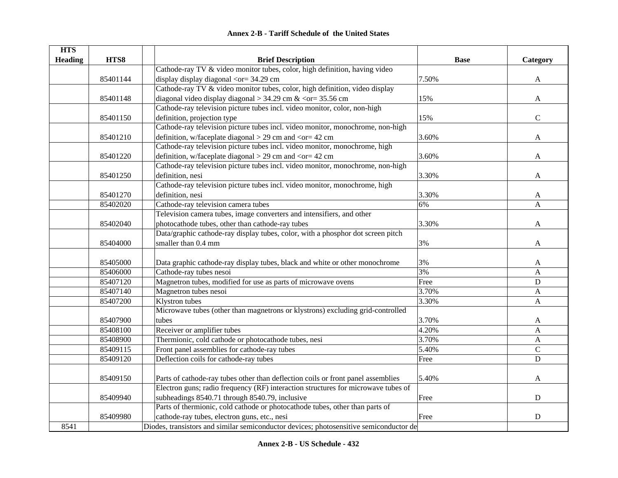| <b>HTS</b>     |          |                                                                                        |             |              |
|----------------|----------|----------------------------------------------------------------------------------------|-------------|--------------|
| <b>Heading</b> | HTS8     | <b>Brief Description</b>                                                               | <b>Base</b> | Category     |
|                |          | Cathode-ray TV & video monitor tubes, color, high definition, having video             |             |              |
|                | 85401144 | display display diagonal $\langle$ or= 34.29 cm                                        | 7.50%       | $\mathbf{A}$ |
|                |          | Cathode-ray TV & video monitor tubes, color, high definition, video display            |             |              |
|                | 85401148 | diagonal video display diagonal > 34.29 cm & < $or = 35.56$ cm                         | 15%         | A            |
|                |          | Cathode-ray television picture tubes incl. video monitor, color, non-high              |             |              |
|                | 85401150 | definition, projection type                                                            | 15%         | $\mathbf C$  |
|                |          | Cathode-ray television picture tubes incl. video monitor, monochrome, non-high         |             |              |
|                | 85401210 | definition, w/faceplate diagonal $>$ 29 cm and $<$ or = 42 cm                          | 3.60%       | A            |
|                |          | Cathode-ray television picture tubes incl. video monitor, monochrome, high             |             |              |
|                | 85401220 | definition, w/faceplate diagonal $>$ 29 cm and $<$ or = 42 cm                          | 3.60%       | A            |
|                |          | Cathode-ray television picture tubes incl. video monitor, monochrome, non-high         |             |              |
|                | 85401250 | definition, nesi                                                                       | 3.30%       | A            |
|                |          | Cathode-ray television picture tubes incl. video monitor, monochrome, high             |             |              |
|                | 85401270 | definition, nesi                                                                       | 3.30%       | A            |
|                | 85402020 | Cathode-ray television camera tubes                                                    | 6%          | A            |
|                |          | Television camera tubes, image converters and intensifiers, and other                  |             |              |
|                | 85402040 | photocathode tubes, other than cathode-ray tubes                                       | 3.30%       | A            |
|                |          | Data/graphic cathode-ray display tubes, color, with a phosphor dot screen pitch        |             |              |
|                | 85404000 | smaller than 0.4 mm                                                                    | 3%          | A            |
|                | 85405000 | Data graphic cathode-ray display tubes, black and white or other monochrome            | 3%          | A            |
|                | 85406000 | Cathode-ray tubes nesoi                                                                | 3%          | A            |
|                | 85407120 | Magnetron tubes, modified for use as parts of microwave ovens                          | Free        | $\mathbf D$  |
|                | 85407140 |                                                                                        | 3.70%       |              |
|                |          | Magnetron tubes nesoi                                                                  | 3.30%       | A            |
|                | 85407200 | Klystron tubes                                                                         |             | A            |
|                |          | Microwave tubes (other than magnetrons or klystrons) excluding grid-controlled         |             |              |
|                | 85407900 | tubes                                                                                  | 3.70%       | A            |
|                | 85408100 | Receiver or amplifier tubes                                                            | 4.20%       | A            |
|                | 85408900 | Thermionic, cold cathode or photocathode tubes, nesi                                   | 3.70%       | A            |
|                | 85409115 | Front panel assemblies for cathode-ray tubes                                           | 5.40%       | $\mathbf C$  |
|                | 85409120 | Deflection coils for cathode-ray tubes                                                 | Free        | $\mathbf D$  |
|                | 85409150 | Parts of cathode-ray tubes other than deflection coils or front panel assemblies       | 5.40%       | A            |
|                |          | Electron guns; radio frequency (RF) interaction structures for microwave tubes of      |             |              |
|                | 85409940 | subheadings 8540.71 through 8540.79, inclusive                                         | Free        | ${\bf D}$    |
|                |          | Parts of thermionic, cold cathode or photocathode tubes, other than parts of           |             |              |
|                | 85409980 | cathode-ray tubes, electron guns, etc., nesi                                           | Free        | ${\bf D}$    |
| 8541           |          | Diodes, transistors and similar semiconductor devices; photosensitive semiconductor de |             |              |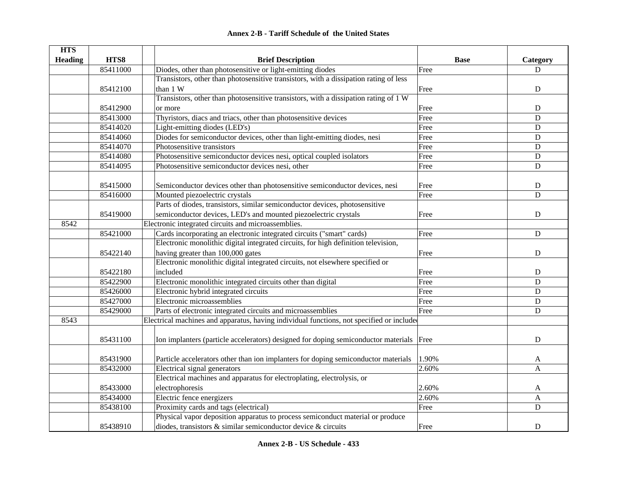| <b>HTS</b>     |          |                                                                                          |             |              |
|----------------|----------|------------------------------------------------------------------------------------------|-------------|--------------|
| <b>Heading</b> | HTS8     | <b>Brief Description</b>                                                                 | <b>Base</b> | Category     |
|                | 85411000 | Diodes, other than photosensitive or light-emitting diodes                               | Free        | D            |
|                |          | Transistors, other than photosensitive transistors, with a dissipation rating of less    |             |              |
|                | 85412100 | than 1 W                                                                                 | Free        | ${\rm D}$    |
|                |          | Transistors, other than photosensitive transistors, with a dissipation rating of 1 W     |             |              |
|                | 85412900 | or more                                                                                  | Free        | $\mathbf D$  |
|                | 85413000 | Thyristors, diacs and triacs, other than photosensitive devices                          | Free        | $\mathbf D$  |
|                | 85414020 | Light-emitting diodes (LED's)                                                            | Free        | $\mathbf D$  |
|                | 85414060 | Diodes for semiconductor devices, other than light-emitting diodes, nesi                 | Free        | $\mathbf D$  |
|                | 85414070 | Photosensitive transistors                                                               | Free        | $\mathbf D$  |
|                | 85414080 | Photosensitive semiconductor devices nesi, optical coupled isolators                     | Free        | ${\bf D}$    |
|                | 85414095 | Photosensitive semiconductor devices nesi, other                                         | Free        | $\mathbf D$  |
|                |          |                                                                                          |             |              |
|                | 85415000 | Semiconductor devices other than photosensitive semiconductor devices, nesi              | Free        | ${\bf D}$    |
|                | 85416000 | Mounted piezoelectric crystals                                                           | Free        | $\mathbf D$  |
|                |          | Parts of diodes, transistors, similar semiconductor devices, photosensitive              |             |              |
|                | 85419000 | semiconductor devices, LED's and mounted piezoelectric crystals                          | Free        | ${\bf D}$    |
| 8542           |          | Electronic integrated circuits and microassemblies.                                      |             |              |
|                | 85421000 | Cards incorporating an electronic integrated circuits ("smart" cards)                    | Free        | ${\bf D}$    |
|                |          | Electronic monolithic digital integrated circuits, for high definition television,       |             |              |
|                | 85422140 | having greater than 100,000 gates                                                        | Free        | ${\bf D}$    |
|                |          | Electronic monolithic digital integrated circuits, not elsewhere specified or            |             |              |
|                | 85422180 | included                                                                                 | Free        | ${\bf D}$    |
|                | 85422900 | Electronic monolithic integrated circuits other than digital                             | Free        | $\mathbf D$  |
|                | 85426000 | Electronic hybrid integrated circuits                                                    | Free        | $\mathbf D$  |
|                | 85427000 | Electronic microassemblies                                                               | Free        | $\mathbf D$  |
|                | 85429000 | Parts of electronic integrated circuits and microassemblies                              | Free        | $\mathbf D$  |
| 8543           |          | Electrical machines and apparatus, having individual functions, not specified or include |             |              |
|                |          |                                                                                          |             |              |
|                | 85431100 | Ion implanters (particle accelerators) designed for doping semiconductor materials Free  |             | D            |
|                | 85431900 | Particle accelerators other than ion implanters for doping semiconductor materials       | 1.90%       | A            |
|                | 85432000 | Electrical signal generators                                                             | 2.60%       | $\mathsf{A}$ |
|                |          | Electrical machines and apparatus for electroplating, electrolysis, or                   |             |              |
|                | 85433000 | electrophoresis                                                                          | 2.60%       | A            |
|                | 85434000 | Electric fence energizers                                                                | 2.60%       | A            |
|                | 85438100 | Proximity cards and tags (electrical)                                                    | Free        | $\mathbf D$  |
|                |          | Physical vapor deposition apparatus to process semiconduct material or produce           |             |              |
|                | 85438910 | diodes, transistors $\&$ similar semiconductor device $\&$ circuits                      | Free        | ${\bf D}$    |
|                |          |                                                                                          |             |              |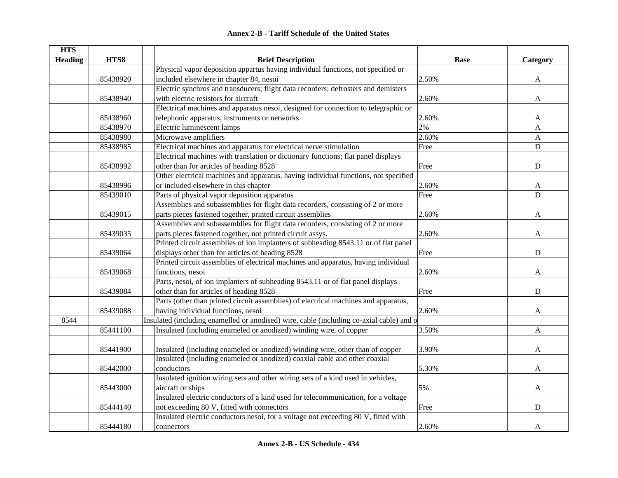|  | <b>Annex 2-B - Tariff Schedule of the United States</b> |  |
|--|---------------------------------------------------------|--|
|--|---------------------------------------------------------|--|

| <b>HTS</b>     |          |                                                                                          |             |              |
|----------------|----------|------------------------------------------------------------------------------------------|-------------|--------------|
| <b>Heading</b> | HTS8     | <b>Brief Description</b>                                                                 | <b>Base</b> | Category     |
|                |          | Physical vapor deposition appartus having individual functions, not specified or         |             |              |
|                | 85438920 | included elsewhere in chapter 84, nesoi                                                  | 2.50%       | A            |
|                |          | Electric synchros and transducers; flight data recorders; defrosters and demisters       |             |              |
|                | 85438940 | with electric resistors for aircraft                                                     | 2.60%       | A            |
|                |          | Electrical machines and apparatus nesoi, designed for connection to telegraphic or       |             |              |
|                | 85438960 | telephonic apparatus, instruments or networks                                            | 2.60%       | A            |
|                | 85438970 | Electric luminescent lamps                                                               | 2%          | A            |
|                | 85438980 | Microwave amplifiers                                                                     | 2.60%       | $\mathbf{A}$ |
|                | 85438985 | Electrical machines and apparatus for electrical nerve stimulation                       | Free        | D            |
|                |          | Electrical machines with translation or dictionary functions; flat panel displays        |             |              |
|                | 85438992 | other than for articles of heading 8528                                                  | Free        | $\mathbf D$  |
|                |          | Other electrical machines and apparatus, having individual functions, not specified      |             |              |
|                | 85438996 | or included elsewhere in this chapter                                                    | 2.60%       | A            |
|                | 85439010 | Parts of physical vapor deposition apparatus                                             | Free        | D            |
|                |          | Assemblies and subassemblies for flight data recorders, consisting of 2 or more          |             |              |
|                | 85439015 | parts pieces fastened together, printed circuit assemblies                               | 2.60%       | A            |
|                |          | Assemblies and subassemblies for flight data recorders, consisting of 2 or more          |             |              |
|                | 85439035 | parts pieces fastened together, not printed circuit assys.                               | 2.60%       | A            |
|                |          | Printed circuit assemblies of ion implanters of subheading 8543.11 or of flat panel      |             |              |
|                | 85439064 | displays other than for articles of heading 8528                                         | Free        | ${\bf D}$    |
|                |          | Printed circuit assemblies of electrical machines and apparatus, having individual       |             |              |
|                | 85439068 | functions, nesoi                                                                         | 2.60%       | A            |
|                |          | Parts, nesoi, of ion implanters of subheading 8543.11 or of flat panel displays          |             |              |
|                | 85439084 | other than for articles of heading 8528                                                  | Free        | ${\bf D}$    |
|                |          | Parts (other than printed circuit assemblies) of electrical machines and apparatus,      |             |              |
|                | 85439088 | having individual functions, nesoi                                                       | 2.60%       | A            |
| 8544           |          | Insulated (including enamelled or anodised) wire, cable (including co-axial cable) and o |             |              |
|                | 85441100 | Insulated (including enameled or anodized) winding wire, of copper                       | 3.50%       | A            |
|                |          |                                                                                          |             |              |
|                | 85441900 | Insulated (including enameled or anodized) winding wire, other than of copper            | 3.90%       | A            |
|                |          | Insulated (including enameled or anodized) coaxial cable and other coaxial               |             |              |
|                | 85442000 | conductors                                                                               | 5.30%       | A            |
|                |          | Insulated ignition wiring sets and other wiring sets of a kind used in vehicles,         |             |              |
|                | 85443000 | aircraft or ships                                                                        | 5%          | $\mathbf{A}$ |
|                |          | Insulated electric conductors of a kind used for telecommunication, for a voltage        |             |              |
|                | 85444140 | not exceeding 80 V, fitted with connectors                                               | Free        | ${\bf D}$    |
|                |          | Insulated electric conductors nesoi, for a voltage not exceeding 80 V, fitted with       |             |              |
|                | 85444180 | connectors                                                                               | 2.60%       | A            |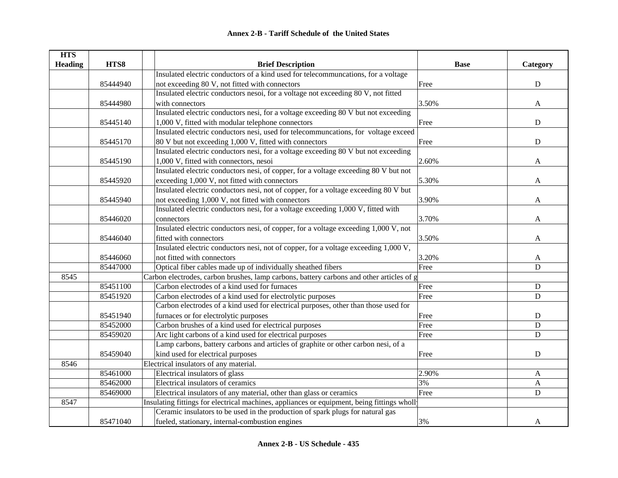| <b>HTS</b>     |          |                                                                                                |             |                           |
|----------------|----------|------------------------------------------------------------------------------------------------|-------------|---------------------------|
| <b>Heading</b> | HTS8     | <b>Brief Description</b>                                                                       | <b>Base</b> | Category                  |
|                |          | Insulated electric conductors of a kind used for telecommuncations, for a voltage              |             |                           |
|                | 85444940 | not exceeding 80 V, not fitted with connectors                                                 | Free        | ${\bf D}$                 |
|                |          | Insulated electric conductors nesoi, for a voltage not exceeding 80 V, not fitted              |             |                           |
|                | 85444980 | with connectors                                                                                | 3.50%       | A                         |
|                |          | Insulated electric conductors nesi, for a voltage exceeding 80 V but not exceeding             |             |                           |
|                | 85445140 | 1,000 V, fitted with modular telephone connectors                                              | Free        | ${\bf D}$                 |
|                |          | Insulated electric conductors nesi, used for telecommuncations, for voltage exceed             |             |                           |
|                | 85445170 | 80 V but not exceeding 1,000 V, fitted with connectors                                         | Free        | $\mathbf D$               |
|                |          | Insulated electric conductors nesi, for a voltage exceeding $80\,\mathrm{V}$ but not exceeding |             |                           |
|                | 85445190 | 1,000 V, fitted with connectors, nesoi                                                         | 2.60%       | A                         |
|                |          | Insulated electric conductors nesi, of copper, for a voltage exceeding 80 V but not            |             |                           |
|                | 85445920 | exceeding 1,000 V, not fitted with connectors                                                  | 5.30%       | A                         |
|                |          | Insulated electric conductors nesi, not of copper, for a voltage exceeding 80 V but            |             |                           |
|                | 85445940 | not exceeding 1,000 V, not fitted with connectors                                              | 3.90%       | A                         |
|                |          | Insulated electric conductors nesi, for a voltage exceeding 1,000 V, fitted with               |             |                           |
|                | 85446020 | connectors                                                                                     | 3.70%       | A                         |
|                |          | Insulated electric conductors nesi, of copper, for a voltage exceeding 1,000 V, not            |             |                           |
|                | 85446040 | fitted with connectors                                                                         | 3.50%       | A                         |
|                |          | Insulated electric conductors nesi, not of copper, for a voltage exceeding 1,000 V,            |             |                           |
|                | 85446060 | not fitted with connectors                                                                     | 3.20%       | A                         |
|                | 85447000 | Optical fiber cables made up of individually sheathed fibers                                   | Free        | $\mathbf D$               |
| 8545           |          | Carbon electrodes, carbon brushes, lamp carbons, battery carbons and other articles of g       |             |                           |
|                | 85451100 | Carbon electrodes of a kind used for furnaces                                                  | Free        | ${\bf D}$                 |
|                | 85451920 | Carbon electrodes of a kind used for electrolytic purposes                                     | Free        | ${\bf D}$                 |
|                |          | Carbon electrodes of a kind used for electrical purposes, other than those used for            |             |                           |
|                | 85451940 | furnaces or for electrolytic purposes                                                          | Free        | ${\bf D}$                 |
|                | 85452000 | Carbon brushes of a kind used for electrical purposes                                          | Free        | D                         |
|                | 85459020 | Arc light carbons of a kind used for electrical purposes                                       | Free        | ${\bf D}$                 |
|                |          | Lamp carbons, battery carbons and articles of graphite or other carbon nesi, of a              |             |                           |
|                | 85459040 | kind used for electrical purposes                                                              | Free        | ${\bf D}$                 |
| 8546           |          | Electrical insulators of any material.                                                         |             |                           |
|                | 85461000 | Electrical insulators of glass                                                                 | 2.90%       | A                         |
|                | 85462000 | Electrical insulators of ceramics                                                              | 3%          | $\boldsymbol{\mathsf{A}}$ |
|                | 85469000 | Electrical insulators of any material, other than glass or ceramics                            | Free        | ${\bf D}$                 |
| 8547           |          | Insulating fittings for electrical machines, appliances or equipment, being fittings wholly    |             |                           |
|                |          | Ceramic insulators to be used in the production of spark plugs for natural gas                 |             |                           |
|                | 85471040 | fueled, stationary, internal-combustion engines                                                | 3%          | A                         |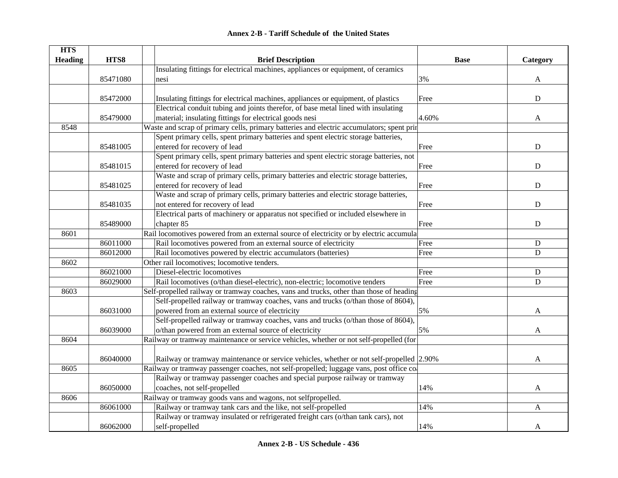|  | Annex 2-B - Tariff Schedule of the United States |  |
|--|--------------------------------------------------|--|
|--|--------------------------------------------------|--|

| <b>Heading</b><br>HTS8<br><b>Brief Description</b><br><b>Base</b><br>Insulating fittings for electrical machines, appliances or equipment, of ceramics<br>85471080<br>3%<br>nesi<br>A<br>85472000<br>Insulating fittings for electrical machines, appliances or equipment, of plastics<br>${\bf D}$<br>Free<br>Electrical conduit tubing and joints therefor, of base metal lined with insulating |          |                                                         |       |          |
|---------------------------------------------------------------------------------------------------------------------------------------------------------------------------------------------------------------------------------------------------------------------------------------------------------------------------------------------------------------------------------------------------|----------|---------------------------------------------------------|-------|----------|
|                                                                                                                                                                                                                                                                                                                                                                                                   |          |                                                         |       | Category |
|                                                                                                                                                                                                                                                                                                                                                                                                   |          |                                                         |       |          |
|                                                                                                                                                                                                                                                                                                                                                                                                   |          |                                                         |       |          |
|                                                                                                                                                                                                                                                                                                                                                                                                   |          |                                                         |       |          |
|                                                                                                                                                                                                                                                                                                                                                                                                   |          |                                                         |       |          |
|                                                                                                                                                                                                                                                                                                                                                                                                   |          |                                                         |       |          |
|                                                                                                                                                                                                                                                                                                                                                                                                   | 85479000 | material; insulating fittings for electrical goods nesi | 4.60% | A        |
| 8548<br>Waste and scrap of primary cells, primary batteries and electric accumulators; spent prin                                                                                                                                                                                                                                                                                                 |          |                                                         |       |          |
| Spent primary cells, spent primary batteries and spent electric storage batteries,                                                                                                                                                                                                                                                                                                                |          |                                                         |       |          |
| 85481005<br>entered for recovery of lead<br>Free<br>D                                                                                                                                                                                                                                                                                                                                             |          |                                                         |       |          |
| Spent primary cells, spent primary batteries and spent electric storage batteries, not                                                                                                                                                                                                                                                                                                            |          |                                                         |       |          |
| entered for recovery of lead<br>85481015<br>Free<br>D                                                                                                                                                                                                                                                                                                                                             |          |                                                         |       |          |
| Waste and scrap of primary cells, primary batteries and electric storage batteries,                                                                                                                                                                                                                                                                                                               |          |                                                         |       |          |
| entered for recovery of lead<br>D<br>85481025<br>Free                                                                                                                                                                                                                                                                                                                                             |          |                                                         |       |          |
| Waste and scrap of primary cells, primary batteries and electric storage batteries,                                                                                                                                                                                                                                                                                                               |          |                                                         |       |          |
| not entered for recovery of lead<br>$\mathbf D$<br>85481035<br>Free                                                                                                                                                                                                                                                                                                                               |          |                                                         |       |          |
| Electrical parts of machinery or apparatus not specified or included elsewhere in                                                                                                                                                                                                                                                                                                                 |          |                                                         |       |          |
| $\mathbf D$<br>85489000<br>chapter 85<br>Free                                                                                                                                                                                                                                                                                                                                                     |          |                                                         |       |          |
| Rail locomotives powered from an external source of electricity or by electric accumula<br>8601                                                                                                                                                                                                                                                                                                   |          |                                                         |       |          |
| 86011000<br>Rail locomotives powered from an external source of electricity<br>Free<br>${\bf D}$                                                                                                                                                                                                                                                                                                  |          |                                                         |       |          |
| Rail locomotives powered by electric accumulators (batteries)<br>86012000<br>${\bf D}$<br>Free                                                                                                                                                                                                                                                                                                    |          |                                                         |       |          |
| Other rail locomotives; locomotive tenders.<br>8602                                                                                                                                                                                                                                                                                                                                               |          |                                                         |       |          |
| 86021000<br>Diesel-electric locomotives<br>Free<br>${\bf D}$                                                                                                                                                                                                                                                                                                                                      |          |                                                         |       |          |
| Rail locomotives (o/than diesel-electric), non-electric; locomotive tenders<br>86029000<br>Free<br>$\mathbf D$                                                                                                                                                                                                                                                                                    |          |                                                         |       |          |
| Self-propelled railway or tramway coaches, vans and trucks, other than those of heading<br>8603                                                                                                                                                                                                                                                                                                   |          |                                                         |       |          |
| Self-propelled railway or tramway coaches, vans and trucks (o/than those of 8604),                                                                                                                                                                                                                                                                                                                |          |                                                         |       |          |
| powered from an external source of electricity<br>86031000<br>5%<br>A                                                                                                                                                                                                                                                                                                                             |          |                                                         |       |          |
| Self-propelled railway or tramway coaches, vans and trucks (o/than those of 8604),                                                                                                                                                                                                                                                                                                                |          |                                                         |       |          |
| o/than powered from an external source of electricity<br>86039000<br>5%<br>A                                                                                                                                                                                                                                                                                                                      |          |                                                         |       |          |
| Railway or tramway maintenance or service vehicles, whether or not self-propelled (for<br>8604                                                                                                                                                                                                                                                                                                    |          |                                                         |       |          |
|                                                                                                                                                                                                                                                                                                                                                                                                   |          |                                                         |       |          |
| 86040000<br>Railway or tramway maintenance or service vehicles, whether or not self-propelled 2.90%<br>A                                                                                                                                                                                                                                                                                          |          |                                                         |       |          |
| 8605<br>Railway or tramway passenger coaches, not self-propelled; luggage vans, post office co                                                                                                                                                                                                                                                                                                    |          |                                                         |       |          |
| Railway or tramway passenger coaches and special purpose railway or tramway                                                                                                                                                                                                                                                                                                                       |          |                                                         |       |          |
| coaches, not self-propelled<br>86050000<br>14%<br>A                                                                                                                                                                                                                                                                                                                                               |          |                                                         |       |          |
| Railway or tramway goods vans and wagons, not selfpropelled.<br>8606                                                                                                                                                                                                                                                                                                                              |          |                                                         |       |          |
| 86061000<br>Railway or tramway tank cars and the like, not self-propelled<br>14%<br>A                                                                                                                                                                                                                                                                                                             |          |                                                         |       |          |
| Railway or tramway insulated or refrigerated freight cars (o/than tank cars), not                                                                                                                                                                                                                                                                                                                 |          |                                                         |       |          |
| self-propelled<br>14%<br>86062000<br>A                                                                                                                                                                                                                                                                                                                                                            |          |                                                         |       |          |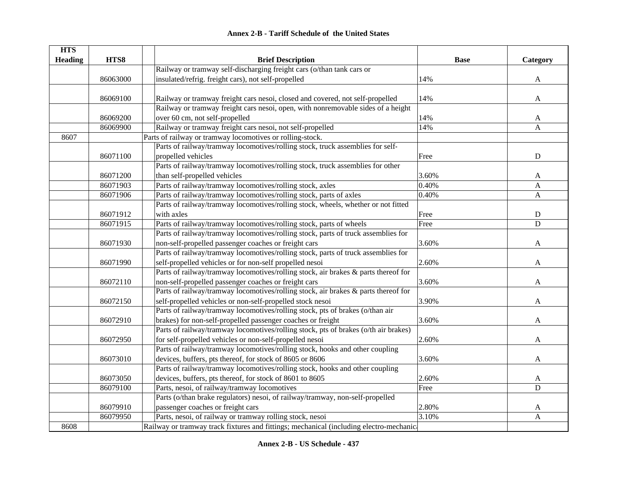|  | <b>Annex 2-B - Tariff Schedule of the United States</b> |  |
|--|---------------------------------------------------------|--|
|--|---------------------------------------------------------|--|

| <b>HTS</b>     |          |                                                                                        |             |             |
|----------------|----------|----------------------------------------------------------------------------------------|-------------|-------------|
| <b>Heading</b> | HTS8     | <b>Brief Description</b>                                                               | <b>Base</b> | Category    |
|                |          | Railway or tramway self-discharging freight cars (o/than tank cars or                  |             |             |
|                | 86063000 | insulated/refrig. freight cars), not self-propelled                                    | 14%         | A           |
|                |          |                                                                                        |             |             |
|                | 86069100 | Railway or tramway freight cars nesoi, closed and covered, not self-propelled          | 14%         | A           |
|                |          | Railway or tramway freight cars nesoi, open, with nonremovable sides of a height       |             |             |
|                | 86069200 | over 60 cm, not self-propelled                                                         | 14%         | A           |
|                | 86069900 | Railway or tramway freight cars nesoi, not self-propelled                              | 14%         | A           |
| 8607           |          | Parts of railway or tramway locomotives or rolling-stock.                              |             |             |
|                |          | Parts of railway/tramway locomotives/rolling stock, truck assemblies for self-         |             |             |
|                | 86071100 | propelled vehicles                                                                     | Free        | ${\bf D}$   |
|                |          | Parts of railway/tramway locomotives/rolling stock, truck assemblies for other         |             |             |
|                | 86071200 | than self-propelled vehicles                                                           | 3.60%       | A           |
|                | 86071903 | Parts of railway/tramway locomotives/rolling stock, axles                              | 0.40%       | A           |
|                | 86071906 | Parts of railway/tramway locomotives/rolling stock, parts of axles                     | 0.40%       | A           |
|                |          | Parts of railway/tramway locomotives/rolling stock, wheels, whether or not fitted      |             |             |
|                | 86071912 | with axles                                                                             | Free        | ${\bf D}$   |
|                | 86071915 | Parts of railway/tramway locomotives/rolling stock, parts of wheels                    | Free        | $\mathbf D$ |
|                |          | Parts of railway/tramway locomotives/rolling stock, parts of truck assemblies for      |             |             |
|                | 86071930 | non-self-propelled passenger coaches or freight cars                                   | 3.60%       | A           |
|                |          | Parts of railway/tramway locomotives/rolling stock, parts of truck assemblies for      |             |             |
|                | 86071990 | self-propelled vehicles or for non-self propelled nesoi                                | 2.60%       | A           |
|                |          | Parts of railway/tramway locomotives/rolling stock, air brakes & parts thereof for     |             |             |
|                | 86072110 | non-self-propelled passenger coaches or freight cars                                   | 3.60%       | A           |
|                |          | Parts of railway/tramway locomotives/rolling stock, air brakes & parts thereof for     |             |             |
|                | 86072150 | self-propelled vehicles or non-self-propelled stock nesoi                              | 3.90%       | A           |
|                |          | Parts of railway/tramway locomotives/rolling stock, pts of brakes (o/than air          |             |             |
|                | 86072910 | brakes) for non-self-propelled passenger coaches or freight                            | 3.60%       | A           |
|                |          | Parts of railway/tramway locomotives/rolling stock, pts of brakes (o/th air brakes)    |             |             |
|                | 86072950 | for self-propelled vehicles or non-self-propelled nesoi                                | 2.60%       | A           |
|                |          | Parts of railway/tramway locomotives/rolling stock, hooks and other coupling           |             |             |
|                | 86073010 | devices, buffers, pts thereof, for stock of 8605 or 8606                               | 3.60%       | A           |
|                |          | Parts of railway/tramway locomotives/rolling stock, hooks and other coupling           |             |             |
|                | 86073050 | devices, buffers, pts thereof, for stock of 8601 to 8605                               | 2.60%       | A           |
|                | 86079100 | Parts, nesoi, of railway/tramway locomotives                                           | Free        | $\mathbf D$ |
|                |          | Parts (o/than brake regulators) nesoi, of railway/tramway, non-self-propelled          |             |             |
|                | 86079910 | passenger coaches or freight cars                                                      | 2.80%       | A           |
|                | 86079950 | Parts, nesoi, of railway or tramway rolling stock, nesoi                               | 3.10%       | A           |
| 8608           |          | Railway or tramway track fixtures and fittings; mechanical (including electro-mechanic |             |             |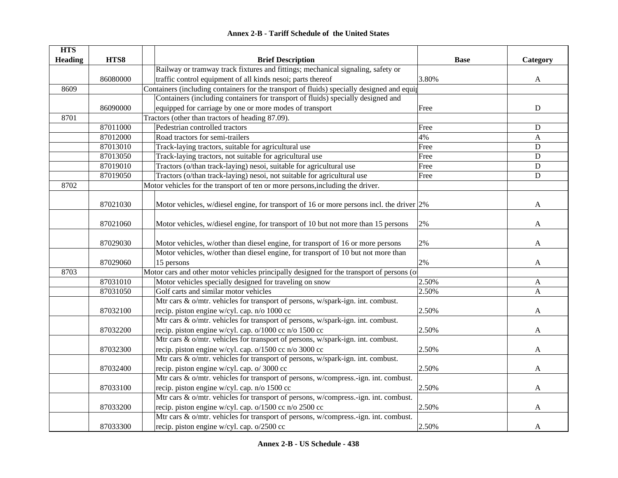#### **HTS Heading HTS8 Brief Description Base Category** 86080000Railway or tramway track fixtures and fittings; mechanical signaling, safety or traffic control equipment of all kinds nesoi; parts thereof 3.80% 3.80% A 8609Containers (including containers for the transport of fluids) specially designed and equip 86090000Containers (including containers for transport of fluids) specially designed and equipped for carriage by one or more modes of transport Free Free Free Press, and D 8701Tractors (other than tractors of heading 87.09). 87011000 Pedestrian controlled tractors D 87012000 Road tractors for semi-trailers 4% A 87013010 Track-laying tractors, suitable for agricultural use Free Free Free D 87013050 Track-laying tractors, not suitable for agricultural use Free Free Free D 87019010 Tractors (o/than track-laying) nesoi, suitable for agricultural use Free Free Pree D 87019050 Tractors (o/than track-laying) nesoi, not suitable for agricultural use Free Free D 8702Motor vehicles for the transport of ten or more persons, including the driver. 87021030 Motor vehicles, w/diesel engine, for transport of 16 or more persons incl. the driver 2% A 87021060 Motor vehicles, w/diesel engine, for transport of 10 but not more than 15 persons 2% A 87029030 Motor vehicles, w/other than diesel engine, for transport of 16 or more persons 2% A 87029060Motor vehicles, w/other than diesel engine, for transport of 10 but not more than 15 persons  $2\%$ 8703Motor cars and other motor vehicles principally designed for the transport of persons (o 87031010 Motor vehicles specially designed for traveling on snow 2.50% 2.50% A  $87031050$  Golf carts and similar motor vehicles  $2.50\%$   $2.50\%$ 87032100Mtr cars & o/mtr. vehicles for transport of persons, w/spark-ign. int. combust. recip. piston engine w/cyl. cap. n/o 1000 cc  $\qquad \qquad$  2.50%  $\qquad \qquad$  A 87032200Mtr cars & o/mtr. vehicles for transport of persons, w/spark-ign. int. combust. recip. piston engine w/cyl. cap. o/1000 cc n/o 1500 cc  $\vert$  2.50%  $\vert$  A 87032300Mtr cars & o/mtr. vehicles for transport of persons, w/spark-ign. int. combust. recip. piston engine w/cyl. cap. o/1500 cc n/o 3000 cc  $\qquad \qquad$  2.50%  $\qquad \qquad$  A 87032400Mtr cars & o/mtr. vehicles for transport of persons, w/spark-ign. int. combust. recip. piston engine w/cyl. cap. o/ 3000 cc  $\qquad \qquad$  2.50%  $\qquad \qquad$  A 87033100Mtr cars & o/mtr. vehicles for transport of persons, w/compress.-ign. int. combust. recip. piston engine w/cyl. cap. n/o 1500 cc  $\qquad \qquad$  2.50%  $\qquad \qquad$  A 87033200Mtr cars & o/mtr. vehicles for transport of persons, w/compress.-ign. int. combust. recip. piston engine w/cyl. cap.  $\frac{o}{1500}$  cc  $\frac{n}{\sqrt{250}}$  250% and 2.50% and 2.50% A 87033300Mtr cars & o/mtr. vehicles for transport of persons, w/compress.-ign. int. combust. recip. piston engine w/cyl. cap.  $\frac{o}{2500}$  cc 2.50% and 2.50% A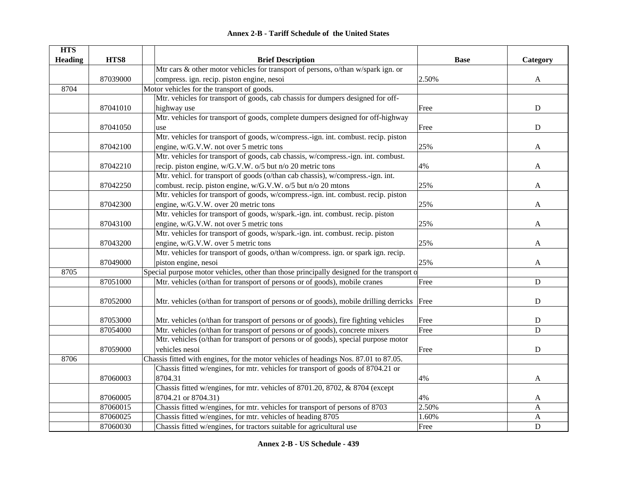| <b>Annex 2-B - Tariff Schedule of the United States</b> |  |
|---------------------------------------------------------|--|
|---------------------------------------------------------|--|

| <b>HTS</b>     |          |                                                                                            |             |                  |
|----------------|----------|--------------------------------------------------------------------------------------------|-------------|------------------|
| <b>Heading</b> | HTS8     | <b>Brief Description</b>                                                                   | <b>Base</b> | Category         |
|                |          | Mtr cars & other motor vehicles for transport of persons, o/than w/spark ign. or           |             |                  |
|                | 87039000 | compress. ign. recip. piston engine, nesoi                                                 | 2.50%       | A                |
| 8704           |          | Motor vehicles for the transport of goods.                                                 |             |                  |
|                |          | Mtr. vehicles for transport of goods, cab chassis for dumpers designed for off-            |             |                  |
|                | 87041010 | highway use                                                                                | Free        | D                |
|                |          | Mtr. vehicles for transport of goods, complete dumpers designed for off-highway            |             |                  |
|                | 87041050 | use                                                                                        | Free        | $\mathbf D$      |
|                |          | Mtr. vehicles for transport of goods, w/compress.-ign. int. combust. recip. piston         |             |                  |
|                | 87042100 | engine, w/G.V.W. not over 5 metric tons                                                    | 25%         | A                |
|                |          | Mtr. vehicles for transport of goods, cab chassis, w/compress.-ign. int. combust.          |             |                  |
|                | 87042210 | recip. piston engine, w/G.V.W. o/5 but n/o 20 metric tons                                  | 4%          | A                |
|                |          | Mtr. vehicl. for transport of goods (o/than cab chassis), w/compress.-ign. int.            |             |                  |
|                | 87042250 | combust. recip. piston engine, w/G.V.W. o/5 but n/o 20 mtons                               | 25%         | A                |
|                |          | Mtr. vehicles for transport of goods, w/compress.-ign. int. combust. recip. piston         |             |                  |
|                | 87042300 | engine, w/G.V.W. over 20 metric tons                                                       | 25%         | A                |
|                |          | Mtr. vehicles for transport of goods, w/spark.-ign. int. combust. recip. piston            |             |                  |
|                | 87043100 | engine, w/G.V.W. not over 5 metric tons                                                    | 25%         | A                |
|                |          | Mtr. vehicles for transport of goods, w/spark.-ign. int. combust. recip. piston            |             |                  |
|                | 87043200 | engine, w/G.V.W. over 5 metric tons                                                        | 25%         | A                |
|                |          | Mtr. vehicles for transport of goods, o/than w/compress. ign. or spark ign. recip.         |             |                  |
|                | 87049000 | piston engine, nesoi                                                                       | 25%         | A                |
| 8705           |          | Special purpose motor vehicles, other than those principally designed for the transport of |             |                  |
|                | 87051000 | Mtr. vehicles (o/than for transport of persons or of goods), mobile cranes                 | Free        | $\mathbf D$      |
|                | 87052000 | Mtr. vehicles (o/than for transport of persons or of goods), mobile drilling derricks      | Free        | $\mathbf D$      |
|                | 87053000 | Mtr. vehicles (o/than for transport of persons or of goods), fire fighting vehicles        | Free        | D                |
|                | 87054000 | Mtr. vehicles (o/than for transport of persons or of goods), concrete mixers               | Free        | D                |
|                |          | Mtr. vehicles (o/than for transport of persons or of goods), special purpose motor         |             |                  |
|                | 87059000 | vehicles nesoi                                                                             | Free        | $\mathbf D$      |
| 8706           |          | Chassis fitted with engines, for the motor vehicles of headings Nos. 87.01 to 87.05.       |             |                  |
|                |          | Chassis fitted w/engines, for mtr. vehicles for transport of goods of 8704.21 or           |             |                  |
|                | 87060003 | 8704.31                                                                                    | 4%          | A                |
|                |          | Chassis fitted w/engines, for mtr. vehicles of 8701.20, 8702, & 8704 (except               |             |                  |
|                | 87060005 | 8704.21 or 8704.31)                                                                        | 4%          | A                |
|                | 87060015 | Chassis fitted w/engines, for mtr. vehicles for transport of persons of 8703               | 2.50%       | A                |
|                | 87060025 | Chassis fitted w/engines, for mtr. vehicles of heading 8705                                | 1.60%       | $\boldsymbol{A}$ |
|                | 87060030 | Chassis fitted w/engines, for tractors suitable for agricultural use                       | Free        | D                |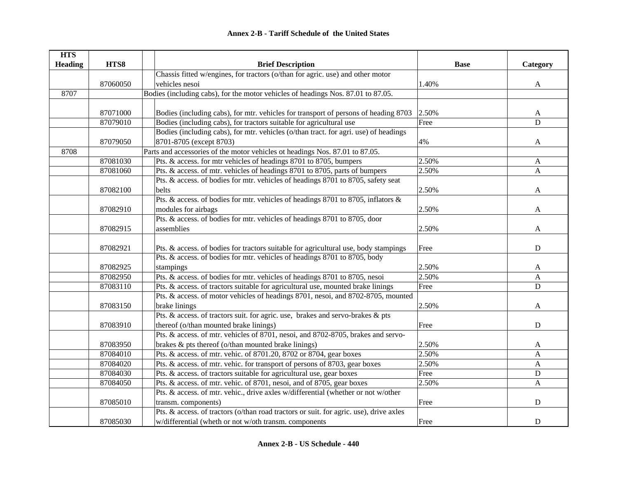| <b>HTS</b>     |          |                                                                                        |             |              |
|----------------|----------|----------------------------------------------------------------------------------------|-------------|--------------|
| <b>Heading</b> | HTS8     | <b>Brief Description</b>                                                               | <b>Base</b> | Category     |
|                |          | Chassis fitted w/engines, for tractors (o/than for agric. use) and other motor         |             |              |
|                | 87060050 | vehicles nesoi                                                                         | 1.40%       | A            |
| 8707           |          | Bodies (including cabs), for the motor vehicles of headings Nos. 87.01 to 87.05.       |             |              |
|                |          |                                                                                        |             |              |
|                | 87071000 | Bodies (including cabs), for mtr. vehicles for transport of persons of heading 8703    | 2.50%       | $\mathbf{A}$ |
|                | 87079010 | Bodies (including cabs), for tractors suitable for agricultural use                    | Free        | $\mathbf D$  |
|                |          | Bodies (including cabs), for mtr. vehicles (o/than tract. for agri. use) of headings   |             |              |
|                | 87079050 | 8701-8705 (except 8703)                                                                | 4%          | A            |
| 8708           |          | Parts and accessories of the motor vehicles ot headings Nos. 87.01 to 87.05.           |             |              |
|                | 87081030 | Pts. & access. for mtr vehicles of headings 8701 to 8705, bumpers                      | 2.50%       | A            |
|                | 87081060 | Pts. & access. of mtr. vehicles of headings 8701 to 8705, parts of bumpers             | 2.50%       | $\mathbf{A}$ |
|                |          | Pts. & access. of bodies for mtr. vehicles of headings 8701 to 8705, safety seat       |             |              |
|                | 87082100 | belts                                                                                  | 2.50%       | A            |
|                |          | Pts. & access. of bodies for mtr. vehicles of headings 8701 to 8705, inflators &       |             |              |
|                | 87082910 | modules for airbags                                                                    | 2.50%       | A            |
|                |          | Pts. & access. of bodies for mtr. vehicles of headings 8701 to 8705, door              |             |              |
|                | 87082915 | assemblies                                                                             | 2.50%       | A            |
|                |          |                                                                                        |             |              |
|                | 87082921 | Pts. & access. of bodies for tractors suitable for agricultural use, body stampings    | Free        | D            |
|                |          | Pts. & access. of bodies for mtr. vehicles of headings 8701 to 8705, body              |             |              |
|                | 87082925 | stampings                                                                              | 2.50%       | A            |
|                | 87082950 | Pts. & access. of bodies for mtr. vehicles of headings 8701 to 8705, nesoi             | 2.50%       | $\mathbf{A}$ |
|                | 87083110 | Pts. & access. of tractors suitable for agricultural use, mounted brake linings        | Free        | ${\bf D}$    |
|                |          | Pts. & access. of motor vehicles of headings 8701, nesoi, and 8702-8705, mounted       |             |              |
|                | 87083150 | brake linings                                                                          | 2.50%       | A            |
|                |          | Pts. & access. of tractors suit. for agric. use, brakes and servo-brakes & pts         |             |              |
|                | 87083910 | thereof (o/than mounted brake linings)                                                 | Free        | $\mathbf D$  |
|                |          | Pts. & access. of mtr. vehicles of 8701, nesoi, and 8702-8705, brakes and servo-       |             |              |
|                | 87083950 | brakes & pts thereof (o/than mounted brake linings)                                    | 2.50%       | A            |
|                | 87084010 | Pts. & access. of mtr. vehic. of 8701.20, 8702 or 8704, gear boxes                     | 2.50%       | $\mathbf{A}$ |
|                | 87084020 | Pts. & access. of mtr. vehic. for transport of persons of 8703, gear boxes             | 2.50%       | $\mathbf{A}$ |
|                | 87084030 | Pts. & access. of tractors suitable for agricultural use, gear boxes                   | Free        | ${\bf D}$    |
|                | 87084050 | Pts. & access. of mtr. vehic. of 8701, nesoi, and of 8705, gear boxes                  | 2.50%       | $\mathbf{A}$ |
|                |          | Pts. & access. of mtr. vehic., drive axles w/differential (whether or not w/other      |             |              |
|                | 87085010 | transm. components)                                                                    | Free        | $\mathbf D$  |
|                |          | Pts. & access. of tractors (o/than road tractors or suit. for agric. use), drive axles |             |              |
|                | 87085030 | w/differential (wheth or not w/oth transm. components                                  | Free        | D            |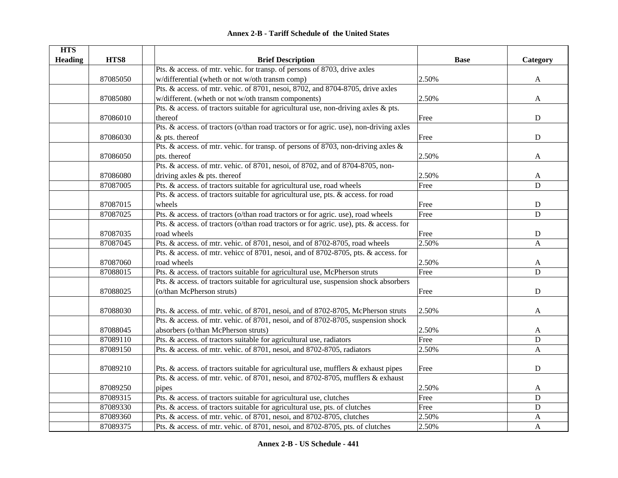| <b>HTS</b>     |          |                                                                                         |             |                |
|----------------|----------|-----------------------------------------------------------------------------------------|-------------|----------------|
| <b>Heading</b> | HTS8     | <b>Brief Description</b>                                                                | <b>Base</b> | Category       |
|                |          | Pts. & access. of mtr. vehic. for transp. of persons of 8703, drive axles               |             |                |
|                | 87085050 | w/differential (wheth or not w/oth transm comp)                                         | 2.50%       | A              |
|                |          | Pts. & access. of mtr. vehic. of 8701, nesoi, 8702, and 8704-8705, drive axles          |             |                |
|                | 87085080 | w/different. (wheth or not w/oth transm components)                                     | 2.50%       | A              |
|                |          | Pts. & access. of tractors suitable for agricultural use, non-driving axles & pts.      |             |                |
|                | 87086010 | thereof                                                                                 | Free        | ${\bf D}$      |
|                |          | Pts. & access. of tractors (o/than road tractors or for agric. use), non-driving axles  |             |                |
|                | 87086030 | $&$ pts. thereof                                                                        | Free        | $\mathbf D$    |
|                |          | Pts. & access. of mtr. vehic. for transp. of persons of 8703, non-driving axles &       |             |                |
|                | 87086050 | pts. thereof                                                                            | 2.50%       | A              |
|                |          | Pts. & access. of mtr. vehic. of 8701, nesoi, of 8702, and of 8704-8705, non-           |             |                |
|                | 87086080 | driving axles & pts. thereof                                                            | 2.50%       | A              |
|                | 87087005 | Pts. & access. of tractors suitable for agricultural use, road wheels                   | Free        | D              |
|                |          | Pts. & access. of tractors suitable for agricultural use, pts. & access. for road       |             |                |
|                | 87087015 | wheels                                                                                  | Free        | ${\bf D}$      |
|                | 87087025 | Pts. & access. of tractors (o/than road tractors or for agric. use), road wheels        | Free        | $\overline{D}$ |
|                |          | Pts. & access. of tractors (o/than road tractors or for agric. use), pts. & access. for |             |                |
|                | 87087035 | road wheels                                                                             | Free        | ${\bf D}$      |
|                | 87087045 | Pts. & access. of mtr. vehic. of 8701, nesoi, and of 8702-8705, road wheels             | 2.50%       | A              |
|                |          | Pts. & access. of mtr. vehicc of 8701, nesoi, and of 8702-8705, pts. & access. for      |             |                |
|                | 87087060 | road wheels                                                                             | 2.50%       | A              |
|                | 87088015 | Pts. & access. of tractors suitable for agricultural use, McPherson struts              | Free        | $\mathbf D$    |
|                |          | Pts. & access. of tractors suitable for agricultural use, suspension shock absorbers    |             |                |
|                | 87088025 | (o/than McPherson struts)                                                               | Free        | $\mathbf D$    |
|                |          |                                                                                         |             |                |
|                | 87088030 | Pts. & access. of mtr. vehic. of 8701, nesoi, and of 8702-8705, McPherson struts        | 2.50%       | A              |
|                |          | Pts. & access. of mtr. vehic. of 8701, nesoi, and of 8702-8705, suspension shock        |             |                |
|                | 87088045 | absorbers (o/than McPherson struts)                                                     | 2.50%       | A              |
|                | 87089110 | Pts. & access. of tractors suitable for agricultural use, radiators                     | Free        | $\mathbf D$    |
|                | 87089150 | Pts. & access. of mtr. vehic. of 8701, nesoi, and 8702-8705, radiators                  | 2.50%       | $\mathbf{A}$   |
|                |          |                                                                                         |             |                |
|                | 87089210 | Pts. & access. of tractors suitable for agricultural use, mufflers & exhaust pipes      | Free        | ${\bf D}$      |
|                |          | Pts. & access. of mtr. vehic. of 8701, nesoi, and 8702-8705, mufflers & exhaust         |             |                |
|                | 87089250 | pipes                                                                                   | 2.50%       | A              |
|                | 87089315 | Pts. & access. of tractors suitable for agricultural use, clutches                      | Free        | ${\bf D}$      |
|                | 87089330 | Pts. & access. of tractors suitable for agricultural use, pts. of clutches              | Free        | ${\bf D}$      |
|                | 87089360 | Pts. & access. of mtr. vehic. of 8701, nesoi, and 8702-8705, clutches                   | 2.50%       | A              |
|                | 87089375 | Pts. & access. of mtr. vehic. of 8701, nesoi, and 8702-8705, pts. of clutches           | 2.50%       | A              |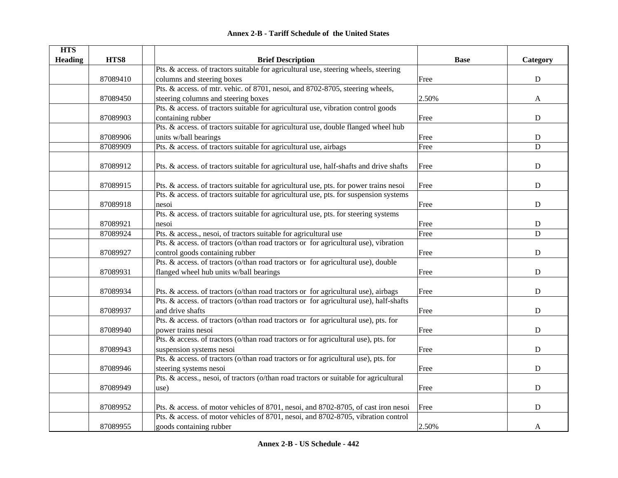| <b>Annex 2-B - Tariff Schedule of the United States</b> |  |
|---------------------------------------------------------|--|
|---------------------------------------------------------|--|

| <b>HTS</b>     |          |                                                                                        |             |             |
|----------------|----------|----------------------------------------------------------------------------------------|-------------|-------------|
| <b>Heading</b> | HTS8     | <b>Brief Description</b>                                                               | <b>Base</b> | Category    |
|                |          | Pts. & access. of tractors suitable for agricultural use, steering wheels, steering    |             |             |
|                | 87089410 | columns and steering boxes                                                             | Free        | $\mathbf D$ |
|                |          | Pts. & access. of mtr. vehic. of 8701, nesoi, and 8702-8705, steering wheels,          |             |             |
|                | 87089450 | steering columns and steering boxes                                                    | 2.50%       | A           |
|                |          | Pts. & access. of tractors suitable for agricultural use, vibration control goods      |             |             |
|                | 87089903 | containing rubber                                                                      | Free        | ${\bf D}$   |
|                |          | Pts. & access. of tractors suitable for agricultural use, double flanged wheel hub     |             |             |
|                | 87089906 | units w/ball bearings                                                                  | Free        | ${\bf D}$   |
|                | 87089909 | Pts. & access. of tractors suitable for agricultural use, airbags                      | Free        | D           |
|                |          |                                                                                        |             |             |
|                | 87089912 | Pts. & access. of tractors suitable for agricultural use, half-shafts and drive shafts | Free        | ${\bf D}$   |
|                |          |                                                                                        |             |             |
|                | 87089915 | Pts. & access. of tractors suitable for agricultural use, pts. for power trains nesoi  | Free        | $\mathbf D$ |
|                |          | Pts. & access. of tractors suitable for agricultural use, pts. for suspension systems  |             |             |
|                | 87089918 | nesoi                                                                                  | Free        | $\mathbf D$ |
|                |          | Pts. & access. of tractors suitable for agricultural use, pts. for steering systems    |             |             |
|                | 87089921 | nesoi                                                                                  | Free        | ${\bf D}$   |
|                | 87089924 | Pts. & access., nesoi, of tractors suitable for agricultural use                       | Free        | D           |
|                |          | Pts. & access. of tractors (o/than road tractors or for agricultural use), vibration   |             |             |
|                | 87089927 | control goods containing rubber                                                        | Free        | ${\bf D}$   |
|                |          | Pts. & access. of tractors (o/than road tractors or for agricultural use), double      |             |             |
|                | 87089931 | flanged wheel hub units w/ball bearings                                                | Free        | $\mathbf D$ |
|                |          |                                                                                        |             |             |
|                | 87089934 | Pts. & access. of tractors (o/than road tractors or for agricultural use), airbags     | Free        | $\mathbf D$ |
|                |          | Pts. & access. of tractors (o/than road tractors or for agricultural use), half-shafts |             |             |
|                | 87089937 | and drive shafts                                                                       | Free        | D           |
|                |          | Pts. & access. of tractors (o/than road tractors or for agricultural use), pts. for    |             |             |
|                | 87089940 | power trains nesoi                                                                     | Free        | D           |
|                |          | Pts. & access. of tractors (o/than road tractors or for agricultural use), pts. for    |             |             |
|                | 87089943 | suspension systems nesoi                                                               | Free        | $\mathbf D$ |
|                |          | Pts. & access. of tractors (o/than road tractors or for agricultural use), pts. for    |             |             |
|                | 87089946 | steering systems nesoi                                                                 | Free        | $\mathbf D$ |
|                |          | Pts. & access., nesoi, of tractors (o/than road tractors or suitable for agricultural  |             |             |
|                | 87089949 | use)                                                                                   | Free        | ${\bf D}$   |
|                |          |                                                                                        |             |             |
|                | 87089952 | Pts. & access. of motor vehicles of 8701, nesoi, and 8702-8705, of cast iron nesoi     | Free        | $\mathbf D$ |
|                |          | Pts. & access. of motor vehicles of 8701, nesoi, and 8702-8705, vibration control      |             |             |
|                | 87089955 | goods containing rubber                                                                | 2.50%       | A           |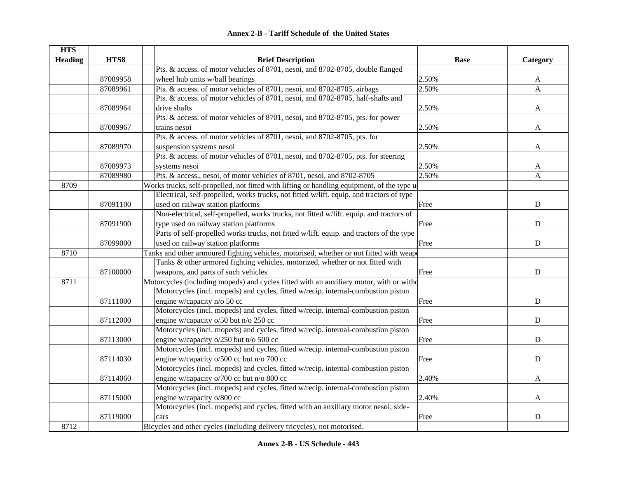|  | <b>Annex 2-B - Tariff Schedule of the United States</b> |
|--|---------------------------------------------------------|
|--|---------------------------------------------------------|

| <b>HTS</b>     |          |                                                                                            |             |              |
|----------------|----------|--------------------------------------------------------------------------------------------|-------------|--------------|
| <b>Heading</b> | HTS8     | <b>Brief Description</b>                                                                   | <b>Base</b> | Category     |
|                |          | Pts. & access. of motor vehicles of 8701, nesoi, and 8702-8705, double flanged             |             |              |
|                | 87089958 | wheel hub units w/ball bearings                                                            | 2.50%       | A            |
|                | 87089961 | Pts. & access. of motor vehicles of 8701, nesoi, and 8702-8705, airbags                    | 2.50%       | $\mathbf{A}$ |
|                |          | Pts. & access. of motor vehicles of 8701, nesoi, and 8702-8705, half-shafts and            |             |              |
|                | 87089964 | drive shafts                                                                               | 2.50%       | $\mathbf{A}$ |
|                |          | Pts. & access. of motor vehicles of 8701, nesoi, and 8702-8705, pts. for power             |             |              |
|                | 87089967 | trains nesoi                                                                               | 2.50%       | A            |
|                |          | Pts. & access. of motor vehicles of 8701, nesoi, and 8702-8705, pts. for                   |             |              |
|                | 87089970 | suspension systems nesoi                                                                   | 2.50%       | A            |
|                |          | Pts. & access. of motor vehicles of 8701, nesoi, and 8702-8705, pts. for steering          |             |              |
|                | 87089973 | systems nesoi                                                                              | 2.50%       | A            |
|                | 87089980 | Pts. & access., nesoi, of motor vehicles of 8701, nesoi, and 8702-8705                     | 2.50%       | A            |
| 8709           |          | Works trucks, self-propelled, not fitted with lifting or handling equipment, of the type u |             |              |
|                |          | Electrical, self-propelled, works trucks, not fitted w/lift. equip. and tractors of type   |             |              |
|                | 87091100 | used on railway station platforms                                                          | Free        | ${\bf D}$    |
|                |          | Non-electrical, self-propelled, works trucks, not fitted w/lift. equip. and tractors of    |             |              |
|                | 87091900 | type used on railway station platforms                                                     | Free        | ${\bf D}$    |
|                |          | Parts of self-propelled works trucks, not fitted w/lift. equip. and tractors of the type   |             |              |
|                | 87099000 | used on railway station platforms                                                          | Free        | ${\bf D}$    |
| 8710           |          | Tanks and other armoured fighting vehicles, motorised, whether or not fitted with weap     |             |              |
|                |          | Tanks & other armored fighting vehicles, motorized, whether or not fitted with             |             |              |
|                | 87100000 | weapons, and parts of such vehicles                                                        | Free        | ${\bf D}$    |
| 8711           |          | Motorcycles (including mopeds) and cycles fitted with an auxiliary motor, with or witho    |             |              |
|                |          | Motorcycles (incl. mopeds) and cycles, fitted w/recip. internal-combustion piston          |             |              |
|                | 87111000 | engine w/capacity n/o 50 cc                                                                | Free        | D            |
|                |          | Motorcycles (incl. mopeds) and cycles, fitted w/recip. internal-combustion piston          |             |              |
|                | 87112000 | engine w/capacity o/50 but n/o 250 cc                                                      | Free        | ${\bf D}$    |
|                |          | Motorcycles (incl. mopeds) and cycles, fitted w/recip. internal-combustion piston          |             |              |
|                | 87113000 | engine w/capacity o/250 but n/o 500 cc                                                     | Free        | D            |
|                |          | Motorcycles (incl. mopeds) and cycles, fitted w/recip. internal-combustion piston          |             |              |
|                | 87114030 | engine w/capacity o/500 cc but n/o 700 cc                                                  | Free        | ${\bf D}$    |
|                |          | Motorcycles (incl. mopeds) and cycles, fitted w/recip. internal-combustion piston          |             |              |
|                | 87114060 | engine w/capacity o/700 cc but n/o 800 cc                                                  | 2.40%       | A            |
|                |          | Motorcycles (incl. mopeds) and cycles, fitted w/recip. internal-combustion piston          |             |              |
|                | 87115000 | engine w/capacity o/800 cc                                                                 | 2.40%       | A            |
|                |          | Motorcycles (incl. mopeds) and cycles, fitted with an auxiliary motor nesoi; side-         |             |              |
|                | 87119000 | cars                                                                                       | Free        | $\mathbf D$  |
| 8712           |          | Bicycles and other cycles (including delivery tricycles), not motorised.                   |             |              |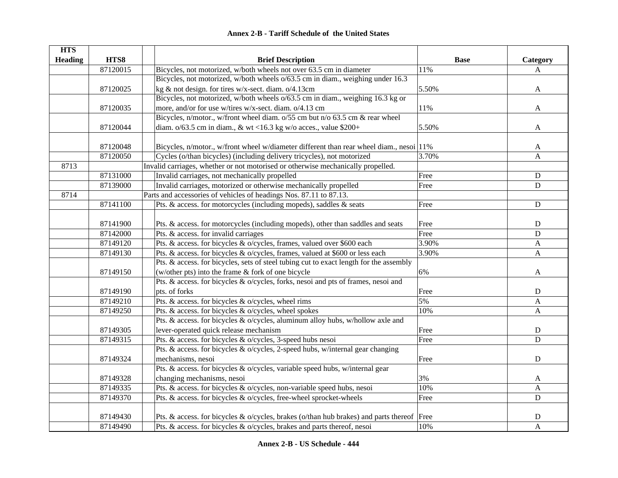|  | <b>Annex 2-B - Tariff Schedule of the United States</b> |  |
|--|---------------------------------------------------------|--|
|--|---------------------------------------------------------|--|

| <b>HTS</b>     |          |                                                                                             |             |                           |
|----------------|----------|---------------------------------------------------------------------------------------------|-------------|---------------------------|
| <b>Heading</b> | HTS8     | <b>Brief Description</b>                                                                    | <b>Base</b> | Category                  |
|                | 87120015 | Bicycles, not motorized, w/both wheels not over 63.5 cm in diameter                         | 11%         | A                         |
|                |          | Bicycles, not motorized, w/both wheels o/63.5 cm in diam., weighing under 16.3              |             |                           |
|                | 87120025 | kg & not design. for tires w/x-sect. diam. o/4.13cm                                         | 5.50%       | $\mathbf{A}$              |
|                |          | Bicycles, not motorized, w/both wheels o/63.5 cm in diam., weighing 16.3 kg or              |             |                           |
|                | 87120035 | more, and/or for use w/tires w/x-sect. diam. o/4.13 cm                                      | 11%         | A                         |
|                |          | Bicycles, n/motor., w/front wheel diam. o/55 cm but n/o 63.5 cm & rear wheel                |             |                           |
|                | 87120044 | diam. $o/63.5$ cm in diam., & wt <16.3 kg w/o acces., value \$200+                          | 5.50%       | A                         |
|                |          |                                                                                             |             |                           |
|                | 87120048 | Bicycles, n/motor., w/front wheel w/diameter different than rear wheel diam., nesoi 11%     |             | A                         |
|                | 87120050 | Cycles (o/than bicycles) (including delivery tricycles), not motorized                      | 3.70%       | $\mathbf{A}$              |
| 8713           |          | Invalid carriages, whether or not motorised or otherwise mechanically propelled.            |             |                           |
|                | 87131000 | Invalid carriages, not mechanically propelled                                               | Free        | $\mathbf D$               |
|                | 87139000 | Invalid carriages, motorized or otherwise mechanically propelled                            | Free        | D                         |
| 8714           |          | Parts and accessories of vehicles of headings Nos. 87.11 to 87.13.                          |             |                           |
|                | 87141100 | Pts. & access. for motorcycles (including mopeds), saddles & seats                          | Free        | ${\bf D}$                 |
|                |          |                                                                                             |             |                           |
|                | 87141900 | Pts. & access. for motorcycles (including mopeds), other than saddles and seats             | Free        | $\mathbf D$               |
|                | 87142000 | Pts. & access. for invalid carriages                                                        | Free        | $\mathbf D$               |
|                | 87149120 | Pts. & access. for bicycles & o/cycles, frames, valued over \$600 each                      | 3.90%       | $\mathbf{A}$              |
|                | 87149130 | Pts. & access. for bicycles & o/cycles, frames, valued at \$600 or less each                | 3.90%       | $\mathbf{A}$              |
|                |          | Pts. & access. for bicycles, sets of steel tubing cut to exact length for the assembly      |             |                           |
|                | 87149150 | (w/other pts) into the frame & fork of one bicycle                                          | 6%          | A                         |
|                |          | Pts. & access. for bicycles & o/cycles, forks, nesoi and pts of frames, nesoi and           |             |                           |
|                | 87149190 | pts. of forks                                                                               | Free        | D                         |
|                | 87149210 | Pts. & access. for bicycles & o/cycles, wheel rims                                          | 5%          | A                         |
|                | 87149250 | Pts. & access. for bicycles & o/cycles, wheel spokes                                        | 10%         | $\mathbf{A}$              |
|                |          | Pts. & access. for bicycles & o/cycles, aluminum alloy hubs, w/hollow axle and              |             |                           |
|                | 87149305 | lever-operated quick release mechanism                                                      | Free        | D                         |
|                | 87149315 | Pts. & access. for bicycles & o/cycles, 3-speed hubs nesoi                                  | Free        | $\mathbf D$               |
|                |          | Pts. & access. for bicycles & o/cycles, 2-speed hubs, w/internal gear changing              |             |                           |
|                | 87149324 | mechanisms, nesoi                                                                           | Free        | ${\bf D}$                 |
|                |          | Pts. & access. for bicycles & o/cycles, variable speed hubs, w/internal gear                |             |                           |
|                | 87149328 | changing mechanisms, nesoi                                                                  | 3%          | A                         |
|                | 87149335 | Pts. & access. for bicycles & o/cycles, non-variable speed hubs, nesoi                      | 10%         | $\boldsymbol{\mathsf{A}}$ |
|                | 87149370 | Pts. & access. for bicycles & o/cycles, free-wheel sprocket-wheels                          | Free        | $\mathbf D$               |
|                |          |                                                                                             |             |                           |
|                | 87149430 | Pts. & access. for bicycles & o/cycles, brakes (o/than hub brakes) and parts thereof   Free |             | $\mathbf D$               |
|                | 87149490 | Pts. & access. for bicycles & o/cycles, brakes and parts thereof, nesoi                     | 10%         | $\mathbf{A}$              |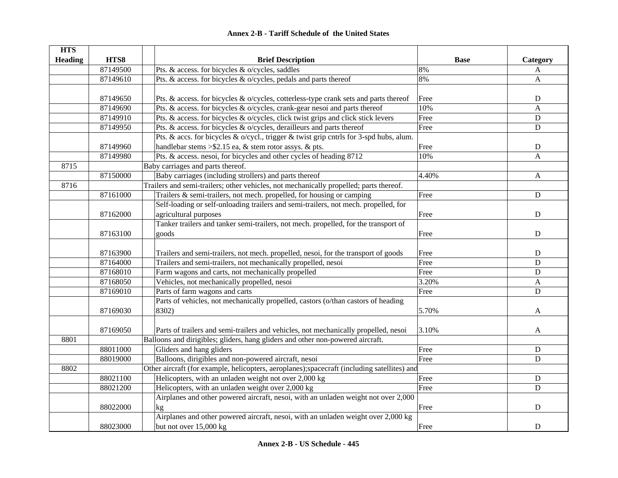| <b>HTS</b>     |          |                                                                                              |             |              |
|----------------|----------|----------------------------------------------------------------------------------------------|-------------|--------------|
| <b>Heading</b> | HTS8     | <b>Brief Description</b>                                                                     | <b>Base</b> | Category     |
|                | 87149500 | Pts. & access. for bicycles & o/cycles, saddles                                              | 8%          | A            |
|                | 87149610 | Pts. & access. for bicycles & o/cycles, pedals and parts thereof                             | 8%          | $\mathbf{A}$ |
|                |          |                                                                                              |             |              |
|                | 87149650 | Pts. & access. for bicycles & o/cycles, cotterless-type crank sets and parts thereof         | Free        | ${\bf D}$    |
|                | 87149690 | Pts. & access. for bicycles & o/cycles, crank-gear nesoi and parts thereof                   | 10%         | $\mathbf{A}$ |
|                | 87149910 | Pts. & access. for bicycles & o/cycles, click twist grips and click stick levers             | Free        | ${\bf D}$    |
|                | 87149950 | Pts. & access. for bicycles & o/cycles, derailleurs and parts thereof                        | Free        | ${\bf D}$    |
|                |          | Pts. & accs. for bicycles & o/cycl., trigger & twist grip cntrls for 3-spd hubs, alum.       |             |              |
|                | 87149960 | handlebar stems $>\$ 3.15 ea, & stem rotor assys. & pts.                                     | Free        | $\mathbf D$  |
|                | 87149980 | Pts. & access. nesoi, for bicycles and other cycles of heading 8712                          | 10%         | $\mathbf{A}$ |
| 8715           |          | Baby carriages and parts thereof.                                                            |             |              |
|                | 87150000 | Baby carriages (including strollers) and parts thereof                                       | 4.40%       | A            |
| 8716           |          | Trailers and semi-trailers; other vehicles, not mechanically propelled; parts thereof.       |             |              |
|                | 87161000 | Trailers & semi-trailers, not mech. propelled, for housing or camping                        | Free        | D            |
|                |          | Self-loading or self-unloading trailers and semi-trailers, not mech. propelled, for          |             |              |
|                | 87162000 | agricultural purposes                                                                        | Free        | $\mathbf D$  |
|                |          | Tanker trailers and tanker semi-trailers, not mech. propelled, for the transport of          |             |              |
|                | 87163100 | goods                                                                                        | Free        | ${\bf D}$    |
|                |          |                                                                                              |             |              |
|                | 87163900 | Trailers and semi-trailers, not mech. propelled, nesoi, for the transport of goods           | Free        | ${\bf D}$    |
|                | 87164000 | Trailers and semi-trailers, not mechanically propelled, nesoi                                | Free        | $\mathbf D$  |
|                | 87168010 | Farm wagons and carts, not mechanically propelled                                            | Free        | $\mathbf D$  |
|                | 87168050 | Vehicles, not mechanically propelled, nesoi                                                  | 3.20%       | $\mathbf{A}$ |
|                | 87169010 | Parts of farm wagons and carts                                                               | Free        | $\mathbf D$  |
|                |          | Parts of vehicles, not mechanically propelled, castors (o/than castors of heading            |             |              |
|                | 87169030 | 8302)                                                                                        | 5.70%       | A            |
|                |          |                                                                                              |             |              |
|                | 87169050 | Parts of trailers and semi-trailers and vehicles, not mechanically propelled, nesoi          | 3.10%       | A            |
| 8801           |          | Balloons and dirigibles; gliders, hang gliders and other non-powered aircraft.               |             |              |
|                | 88011000 | Gliders and hang gliders                                                                     | Free        | ${\bf D}$    |
|                | 88019000 | Balloons, dirigibles and non-powered aircraft, nesoi                                         | Free        | D            |
| 8802           |          | Other aircraft (for example, helicopters, aeroplanes); spacecraft (including satellites) and |             |              |
|                | 88021100 | Helicopters, with an unladen weight not over 2,000 kg                                        | Free        | $\mathbf D$  |
|                | 88021200 | Helicopters, with an unladen weight over 2,000 kg                                            | Free        | $\mathbf D$  |
|                |          | Airplanes and other powered aircraft, nesoi, with an unladen weight not over 2,000           |             |              |
|                | 88022000 | kg                                                                                           | Free        | $\mathbf D$  |
|                |          | Airplanes and other powered aircraft, nesoi, with an unladen weight over 2,000 kg            |             |              |
|                | 88023000 | but not over 15,000 kg                                                                       | Free        | ${\bf D}$    |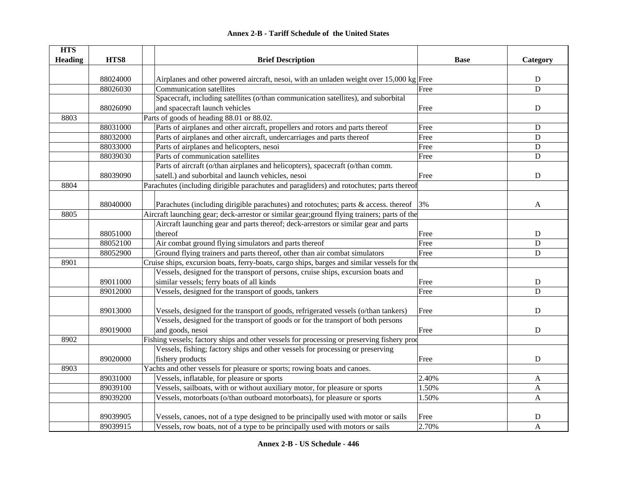| <b>HTS</b>     |          |                                                                                                   |             |              |
|----------------|----------|---------------------------------------------------------------------------------------------------|-------------|--------------|
| <b>Heading</b> | HTS8     | <b>Brief Description</b>                                                                          | <b>Base</b> | Category     |
|                |          |                                                                                                   |             |              |
|                | 88024000 | Airplanes and other powered aircraft, nesoi, with an unladen weight over $15,000 \text{ kg}$ Free |             | D            |
|                | 88026030 | Communication satellites                                                                          | Free        | D            |
|                |          | Spacecraft, including satellites (o/than communication satellites), and suborbital                |             |              |
|                | 88026090 | and spacecraft launch vehicles                                                                    | Free        | D            |
| 8803           |          | Parts of goods of heading 88.01 or 88.02.                                                         |             |              |
|                | 88031000 | Parts of airplanes and other aircraft, propellers and rotors and parts thereof                    | Free        | D            |
|                | 88032000 | Parts of airplanes and other aircraft, undercarriages and parts thereof                           | Free        | D            |
|                | 88033000 | Parts of airplanes and helicopters, nesoi                                                         | Free        | D            |
|                | 88039030 | Parts of communication satellites                                                                 | Free        | D            |
|                |          | Parts of aircraft (o/than airplanes and helicopters), spacecraft (o/than comm.                    |             |              |
|                | 88039090 | satell.) and suborbital and launch vehicles, nesoi                                                | Free        | D            |
| 8804           |          | Parachutes (including dirigible parachutes and paragliders) and rotochutes; parts thereof         |             |              |
|                |          |                                                                                                   |             |              |
|                | 88040000 | Parachutes (including dirigible parachutes) and rotochutes; parts & access. thereof               | 3%          | A            |
| 8805           |          | Aircraft launching gear; deck-arrestor or similar gear; ground flying trainers; parts of the      |             |              |
|                |          | Aircraft launching gear and parts thereof; deck-arrestors or similar gear and parts               |             |              |
|                | 88051000 | thereof                                                                                           | Free        | D            |
|                | 88052100 | Air combat ground flying simulators and parts thereof                                             | Free        | D            |
|                | 88052900 | Ground flying trainers and parts thereof, other than air combat simulators                        | Free        | D            |
| 8901           |          | Cruise ships, excursion boats, ferry-boats, cargo ships, barges and similar vessels for the       |             |              |
|                |          | Vessels, designed for the transport of persons, cruise ships, excursion boats and                 |             |              |
|                | 89011000 | similar vessels; ferry boats of all kinds                                                         | Free        | D            |
|                | 89012000 | Vessels, designed for the transport of goods, tankers                                             | Free        | D            |
|                |          |                                                                                                   |             |              |
|                | 89013000 | Vessels, designed for the transport of goods, refrigerated vessels (o/than tankers)               | Free        | D            |
|                |          | Vessels, designed for the transport of goods or for the transport of both persons                 |             |              |
|                | 89019000 | and goods, nesoi                                                                                  | Free        | D            |
| 8902           |          | Fishing vessels; factory ships and other vessels for processing or preserving fishery prod        |             |              |
|                |          | Vessels, fishing; factory ships and other vessels for processing or preserving                    |             |              |
|                | 89020000 | fishery products                                                                                  | Free        | D            |
| 8903           |          | Yachts and other vessels for pleasure or sports; rowing boats and canoes.                         |             |              |
|                | 89031000 | Vessels, inflatable, for pleasure or sports                                                       | 2.40%       | A            |
|                | 89039100 | Vessels, sailboats, with or without auxiliary motor, for pleasure or sports                       | 1.50%       | $\mathbf{A}$ |
|                | 89039200 | Vessels, motorboats (o/than outboard motorboats), for pleasure or sports                          | 1.50%       | A            |
|                |          |                                                                                                   |             |              |
|                | 89039905 | Vessels, canoes, not of a type designed to be principally used with motor or sails                | Free        | $\mathbf D$  |
|                | 89039915 | Vessels, row boats, not of a type to be principally used with motors or sails                     | 2.70%       | $\mathbf{A}$ |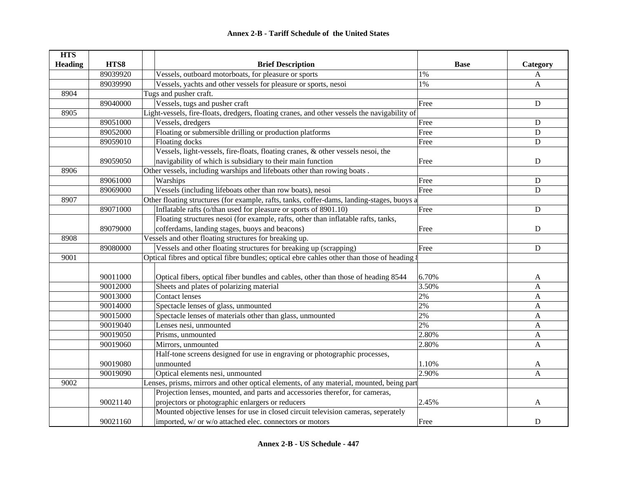| <b>HTS</b>     |          |                                                                                              |             |             |
|----------------|----------|----------------------------------------------------------------------------------------------|-------------|-------------|
| <b>Heading</b> | HTS8     | <b>Brief Description</b>                                                                     | <b>Base</b> | Category    |
|                | 89039920 | Vessels, outboard motorboats, for pleasure or sports                                         | 1%          | A           |
|                | 89039990 | Vessels, yachts and other vessels for pleasure or sports, nesoi                              | 1%          | A           |
| 8904           |          | Tugs and pusher craft.                                                                       |             |             |
|                | 89040000 | Vessels, tugs and pusher craft                                                               | Free        | ${\bf D}$   |
| 8905           |          | Light-vessels, fire-floats, dredgers, floating cranes, and other vessels the navigability of |             |             |
|                | 89051000 | Vessels, dredgers                                                                            | Free        | ${\bf D}$   |
|                | 89052000 | Floating or submersible drilling or production platforms                                     | Free        | $\mathbf D$ |
|                | 89059010 | Floating docks                                                                               | Free        | $\mathbf D$ |
|                |          | Vessels, light-vessels, fire-floats, floating cranes, & other vessels nesoi, the             |             |             |
|                | 89059050 | navigability of which is subsidiary to their main function                                   | Free        | $\mathbf D$ |
| 8906           |          | Other vessels, including warships and lifeboats other than rowing boats.                     |             |             |
|                | 89061000 | Warships                                                                                     | Free        | ${\bf D}$   |
|                | 89069000 | Vessels (including lifeboats other than row boats), nesoi                                    | Free        | $\mathbf D$ |
| 8907           |          | Other floating structures (for example, rafts, tanks, coffer-dams, landing-stages, buoys a   |             |             |
|                | 89071000 | Inflatable rafts (o/than used for pleasure or sports of 8901.10)                             | Free        | $\mathbf D$ |
|                |          | Floating structures nesoi (for example, rafts, other than inflatable rafts, tanks,           |             |             |
|                | 89079000 | cofferdams, landing stages, buoys and beacons)                                               | Free        | ${\bf D}$   |
| 8908           |          | Vessels and other floating structures for breaking up.                                       |             |             |
|                | 89080000 | Vessels and other floating structures for breaking up (scrapping)                            | Free        | ${\bf D}$   |
| 9001           |          | Optical fibres and optical fibre bundles; optical ebre cahles other than those of heading {  |             |             |
|                |          |                                                                                              |             |             |
|                | 90011000 | Optical fibers, optical fiber bundles and cables, other than those of heading 8544           | 6.70%       | A           |
|                | 90012000 | Sheets and plates of polarizing material                                                     | 3.50%       | A           |
|                | 90013000 | <b>Contact lenses</b>                                                                        | 2%          | A           |
|                | 90014000 | Spectacle lenses of glass, unmounted                                                         | 2%          | A           |
|                | 90015000 | Spectacle lenses of materials other than glass, unmounted                                    | 2%          | A           |
|                | 90019040 | Lenses nesi, unmounted                                                                       | 2%          | A           |
|                | 90019050 | Prisms, unmounted                                                                            | 2.80%       | A           |
|                | 90019060 | Mirrors, unmounted                                                                           | 2.80%       | A           |
|                |          | Half-tone screens designed for use in engraving or photographic processes,                   |             |             |
|                | 90019080 | unmounted                                                                                    | 1.10%       | A           |
|                | 90019090 | Optical elements nesi, unmounted                                                             | 2.90%       | A           |
| 9002           |          | Lenses, prisms, mirrors and other optical elements, of any material, mounted, being part     |             |             |
|                |          | Projection lenses, mounted, and parts and accessories therefor, for cameras,                 |             |             |
|                | 90021140 | projectors or photographic enlargers or reducers                                             | 2.45%       | A           |
|                |          | Mounted objective lenses for use in closed circuit television cameras, seperately            |             |             |
|                | 90021160 | imported, w/ or w/o attached elec. connectors or motors                                      | Free        | D           |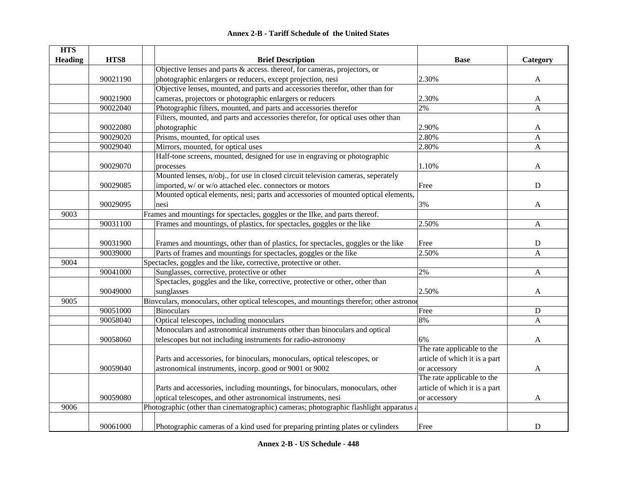| <b>Annex 2-B - Tariff Schedule of the United States</b> |
|---------------------------------------------------------|
|---------------------------------------------------------|

| <b>HTS</b>     |          |                                                                                          |                               |              |
|----------------|----------|------------------------------------------------------------------------------------------|-------------------------------|--------------|
| <b>Heading</b> | HTS8     | <b>Brief Description</b>                                                                 | <b>Base</b>                   | Category     |
|                |          | Objective lenses and parts $\&$ access. thereof, for cameras, projectors, or             |                               |              |
|                | 90021190 | photographic enlargers or reducers, except projection, nesi                              | 2.30%                         | A            |
|                |          | Objective lenses, mounted, and parts and accessories therefor, other than for            |                               |              |
|                | 90021900 | cameras, projectors or photographic enlargers or reducers                                | 2.30%                         | A            |
|                | 90022040 | Photographic filters, mounted, and parts and accessories therefor                        | 2%                            | $\mathbf{A}$ |
|                |          | Filters, mounted, and parts and accessories therefor, for optical uses other than        |                               |              |
|                | 90022080 | photographic                                                                             | 2.90%                         | A            |
|                | 90029020 | Prisms, mounted, for optical uses                                                        | 2.80%                         | A            |
|                | 90029040 | Mirrors, mounted, for optical uses                                                       | 2.80%                         | A            |
|                |          | Half-tone screens, mounted, designed for use in engraving or photographic                |                               |              |
|                | 90029070 | processes                                                                                | 1.10%                         | A            |
|                |          | Mounted lenses, n/obj., for use in closed circuit television cameras, seperately         |                               |              |
|                | 90029085 | imported, w/ or w/o attached elec. connectors or motors                                  | Free                          | $\mathbf D$  |
|                |          | Mounted optical elements, nesi; parts and accessories of mounted optical elements,       |                               |              |
|                | 90029095 | nesi                                                                                     | 3%                            | A            |
| 9003           |          | Frames and mountings for spectacles, goggles or the Ilke, and parts thereof.             |                               |              |
|                | 90031100 | Frames and mountings, of plastics, for spectacles, goggles or the like                   | 2.50%                         | $\mathbf{A}$ |
|                |          |                                                                                          |                               |              |
|                | 90031900 | Frames and mountings, other than of plastics, for spectacles, goggles or the like        | Free                          | ${\bf D}$    |
|                | 90039000 | Parts of frames and mountings for spectacles, goggles or the like                        | 2.50%                         | A            |
| 9004           |          | Spectacles, goggles and the like, corrective, protective or other.                       |                               |              |
|                | 90041000 | Sunglasses, corrective, protective or other                                              | 2%                            | $\mathbf{A}$ |
|                |          | Spectacles, goggles and the like, corrective, protective or other, other than            |                               |              |
|                | 90049000 | sunglasses                                                                               | 2.50%                         | A            |
| 9005           |          | Binvculars, monoculars, other optical telescopes, and mountings therefor; other astronor |                               |              |
|                | 90051000 | <b>Binoculars</b>                                                                        | Free                          | D            |
|                | 90058040 | Optical telescopes, including monoculars                                                 | 8%                            | A            |
|                |          | Monoculars and astronomical instruments other than binoculars and optical                |                               |              |
|                | 90058060 | telescopes but not including instruments for radio-astronomy                             | 6%                            | A            |
|                |          |                                                                                          | The rate applicable to the    |              |
|                |          | Parts and accessories, for binoculars, monoculars, optical telescopes, or                | article of which it is a part |              |
|                | 90059040 | astronomical instruments, incorp. good or 9001 or 9002                                   | or accessory                  | A            |
|                |          |                                                                                          | The rate applicable to the    |              |
|                |          | Parts and accessories, including mountings, for binoculars, monoculars, other            | article of which it is a part |              |
|                | 90059080 | optical telescopes, and other astronomical instruments, nesi                             | or accessory                  | A            |
| 9006           |          | Photographic (other than cinematographic) cameras; photographic flashlight apparatus a   |                               |              |
|                |          |                                                                                          |                               |              |
|                | 90061000 | Photographic cameras of a kind used for preparing printing plates or cylinders           | Free                          | D            |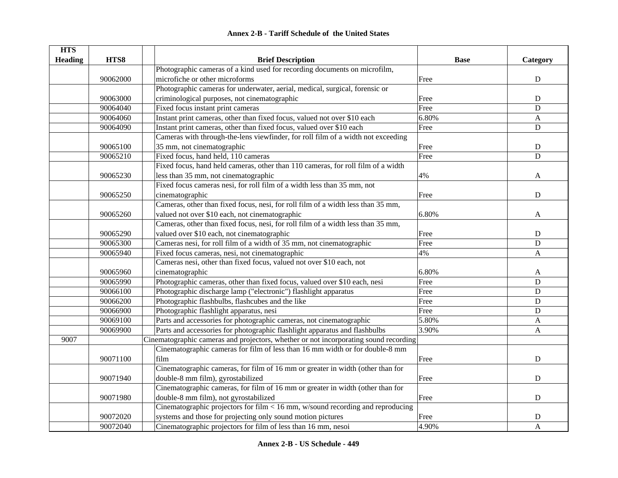|  | <b>Annex 2-B - Tariff Schedule of the United States</b> |  |
|--|---------------------------------------------------------|--|
|--|---------------------------------------------------------|--|

| <b>HTS</b>     |          |                                                                                      |             |              |
|----------------|----------|--------------------------------------------------------------------------------------|-------------|--------------|
| <b>Heading</b> | HTS8     | <b>Brief Description</b>                                                             | <b>Base</b> | Category     |
|                |          | Photographic cameras of a kind used for recording documents on microfilm,            |             |              |
|                | 90062000 | microfiche or other microforms                                                       | Free        | ${\bf D}$    |
|                |          | Photographic cameras for underwater, aerial, medical, surgical, forensic or          |             |              |
|                | 90063000 | criminological purposes, not cinematographic                                         | Free        | $\mathbf D$  |
|                | 90064040 | Fixed focus instant print cameras                                                    | Free        | $\mathbf D$  |
|                | 90064060 | Instant print cameras, other than fixed focus, valued not over \$10 each             | 6.80%       | A            |
|                | 90064090 | Instant print cameras, other than fixed focus, valued over \$10 each                 | Free        | $\mathbf D$  |
|                |          | Cameras with through-the-lens viewfinder, for roll film of a width not exceeding     |             |              |
|                | 90065100 | 35 mm, not cinematographic                                                           | Free        | ${\bf D}$    |
|                | 90065210 | Fixed focus, hand held, 110 cameras                                                  | Free        | $\mathbf D$  |
|                |          | Fixed focus, hand held cameras, other than 110 cameras, for roll film of a width     |             |              |
|                | 90065230 | less than 35 mm, not cinematographic                                                 | 4%          | A            |
|                |          | Fixed focus cameras nesi, for roll film of a width less than 35 mm, not              |             |              |
|                | 90065250 | cinematographic                                                                      | Free        | $\mathbf D$  |
|                |          | Cameras, other than fixed focus, nesi, for roll film of a width less than 35 mm,     |             |              |
|                | 90065260 | valued not over \$10 each, not cinematographic                                       | 6.80%       | A            |
|                |          | Cameras, other than fixed focus, nesi, for roll film of a width less than 35 mm,     |             |              |
|                | 90065290 | valued over \$10 each, not cinematographic                                           | Free        | ${\bf D}$    |
|                | 90065300 | Cameras nesi, for roll film of a width of 35 mm, not cinematographic                 | Free        | $\mathbf D$  |
|                | 90065940 | Fixed focus cameras, nesi, not cinematographic                                       | 4%          | $\mathbf{A}$ |
|                |          | Cameras nesi, other than fixed focus, valued not over \$10 each, not                 |             |              |
|                | 90065960 | cinematographic                                                                      | 6.80%       | A            |
|                | 90065990 | Photographic cameras, other than fixed focus, valued over \$10 each, nesi            | Free        | $\mathbf D$  |
|                | 90066100 | Photographic discharge lamp ("electronic") flashlight apparatus                      | Free        | $\mathbf D$  |
|                | 90066200 | Photographic flashbulbs, flashcubes and the like                                     | Free        | $\mathbf D$  |
|                | 90066900 | Photographic flashlight apparatus, nesi                                              | Free        | $\mathbf D$  |
|                | 90069100 | Parts and accessories for photographic cameras, not cinematographic                  | 5.80%       | A            |
|                | 90069900 | Parts and accessories for photographic flashlight apparatus and flashbulbs           | 3.90%       | $\mathbf{A}$ |
| 9007           |          | Cinematographic cameras and projectors, whether or not incorporating sound recording |             |              |
|                |          | Cinematographic cameras for film of less than 16 mm width or for double-8 mm         |             |              |
|                | 90071100 | film                                                                                 | Free        | $\mathbf D$  |
|                |          | Cinematographic cameras, for film of 16 mm or greater in width (other than for       |             |              |
|                | 90071940 | double-8 mm film), gyrostabilized                                                    | Free        | $\mathbf D$  |
|                |          | Cinematographic cameras, for film of 16 mm or greater in width (other than for       |             |              |
|                | 90071980 | double-8 mm film), not gyrostabilized                                                | Free        | ${\bf D}$    |
|                |          | Cinematographic projectors for film $< 16$ mm, w/sound recording and reproducing     |             |              |
|                | 90072020 | systems and those for projecting only sound motion pictures                          | Free        | $\mathbf D$  |
|                | 90072040 | Cinematographic projectors for film of less than 16 mm, nesoi                        | 4.90%       | A            |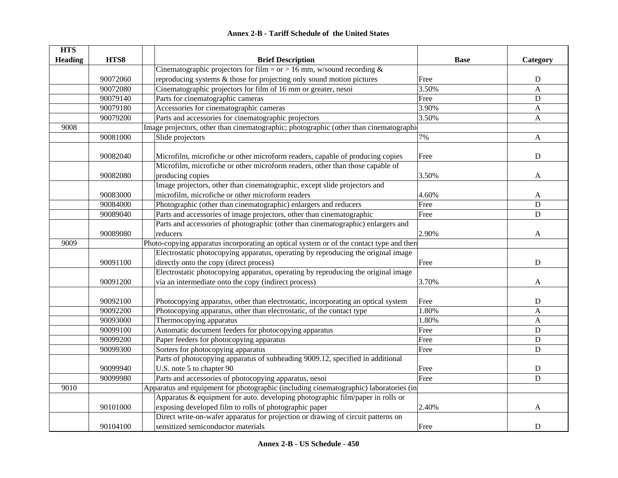| <b>HTS</b>     |          |                                                                                         |             |              |
|----------------|----------|-----------------------------------------------------------------------------------------|-------------|--------------|
| <b>Heading</b> | HTS8     | <b>Brief Description</b>                                                                | <b>Base</b> | Category     |
|                |          | Cinematographic projectors for film = or > 16 mm, w/sound recording $\&$                |             |              |
|                | 90072060 | reproducing systems $\&$ those for projecting only sound motion pictures                | Free        | ${\bf D}$    |
|                | 90072080 | Cinematographic projectors for film of 16 mm or greater, nesoi                          | 3.50%       | A            |
|                | 90079140 | Parts for cinematographic cameras                                                       | Free        | ${\bf D}$    |
|                | 90079180 | Accessories for cinematographic cameras                                                 | 3.90%       | A            |
|                | 90079200 | Parts and accessories for cinematographic projectors                                    | 3.50%       | A            |
| 9008           |          | Image projectors, other than cinematographic; photographic (other than cinematographic  |             |              |
|                | 90081000 | Slide projectors                                                                        | 7%          | A            |
|                |          |                                                                                         |             |              |
|                | 90082040 | Microfilm, microfiche or other microform readers, capable of producing copies           | Free        | ${\bf D}$    |
|                |          | Microfilm, microfiche or other microform readers, other than those capable of           |             |              |
|                | 90082080 | producing copies                                                                        | 3.50%       | A            |
|                |          | Image projectors, other than cinematographic, except slide projectors and               |             |              |
|                | 90083000 | microfilm, microfiche or other microform readers                                        | 4.60%       | A            |
|                | 90084000 | Photographic (other than cinematographic) enlargers and reducers                        | Free        | D            |
|                | 90089040 | Parts and accessories of image projectors, other than cinematographic                   | Free        | D            |
|                |          | Parts and accessories of photographic (other than cinematographic) enlargers and        |             |              |
|                | 90089080 | reducers                                                                                | 2.90%       | A            |
| 9009           |          | Photo-copying apparatus incorporating an optical system or of the contact type and then |             |              |
|                |          | Electrostatic photocopying apparatus, operating by reproducing the original image       |             |              |
|                | 90091100 | directly onto the copy (direct process)                                                 | Free        | $\mathbf D$  |
|                |          | Electrostatic photocopying apparatus, operating by reproducing the original image       |             |              |
|                | 90091200 | via an intermediate onto the copy (indirect process)                                    | 3.70%       | A            |
|                |          |                                                                                         |             |              |
|                | 90092100 | Photocopying apparatus, other than electrostatic, incorporating an optical system       | Free        | ${\bf D}$    |
|                | 90092200 | Photocopying apparatus, other than electrostatic, of the contact type                   | 1.80%       | A            |
|                | 90093000 | Thermocopying apparatus                                                                 | 1.80%       | $\mathbf{A}$ |
|                | 90099100 | Automatic document feeders for photocopying apparatus                                   | Free        | ${\bf D}$    |
|                | 90099200 | Paper feeders for photocopying apparatus                                                | Free        | ${\bf D}$    |
|                | 90099300 | Sorters for photocopying apparatus                                                      | Free        | $\mathbf D$  |
|                |          | Parts of photocopying apparatus of subheading 9009.12, specified in additional          |             |              |
|                | 90099940 | U.S. note 5 to chapter 90                                                               | Free        | ${\bf D}$    |
|                | 90099980 | Parts and accessories of photocopying apparatus, nesoi                                  | Free        | D            |
| 9010           |          | Apparatus and equipment for photographic (including cinematographic) laboratories (in   |             |              |
|                |          | Apparatus & equipment for auto. developing photographic film/paper in rolls or          |             |              |
|                | 90101000 | exposing developed film to rolls of photographic paper                                  | 2.40%       | A            |
|                |          | Direct write-on-wafer apparatus for projection or drawing of circuit patterns on        |             |              |
|                | 90104100 | sensitized semiconductor materials                                                      | Free        | D            |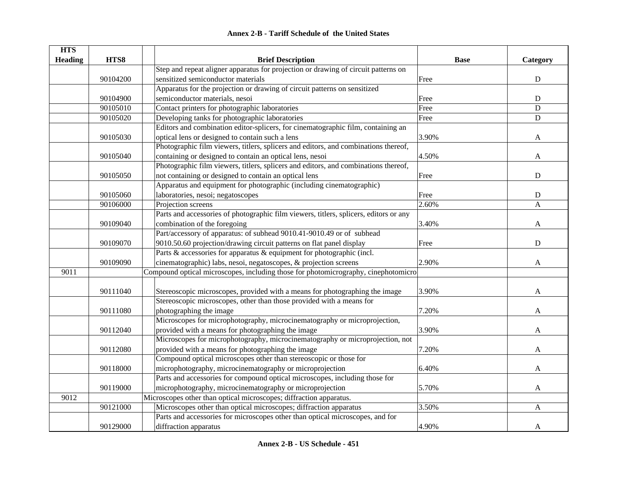|  | <b>Annex 2-B - Tariff Schedule of the United States</b> |  |
|--|---------------------------------------------------------|--|
|--|---------------------------------------------------------|--|

| <b>HTS</b>     |          |                                                                                       |             |             |
|----------------|----------|---------------------------------------------------------------------------------------|-------------|-------------|
| <b>Heading</b> | HTS8     | <b>Brief Description</b>                                                              | <b>Base</b> | Category    |
|                |          | Step and repeat aligner apparatus for projection or drawing of circuit patterns on    |             |             |
|                | 90104200 | sensitized semiconductor materials                                                    | Free        | ${\bf D}$   |
|                |          | Apparatus for the projection or drawing of circuit patterns on sensitized             |             |             |
|                | 90104900 | semiconductor materials, nesoi                                                        | Free        | ${\bf D}$   |
|                | 90105010 | Contact printers for photographic laboratories                                        | Free        | $\mathbf D$ |
|                | 90105020 | Developing tanks for photographic laboratories                                        | Free        | $\mathbf D$ |
|                |          | Editors and combination editor-splicers, for cinematographic film, containing an      |             |             |
|                | 90105030 | optical lens or designed to contain such a lens                                       | 3.90%       | A           |
|                |          | Photographic film viewers, titlers, splicers and editors, and combinations thereof,   |             |             |
|                | 90105040 | containing or designed to contain an optical lens, nesoi                              | 4.50%       | A           |
|                |          | Photographic film viewers, titlers, splicers and editors, and combinations thereof,   |             |             |
|                | 90105050 | not containing or designed to contain an optical lens                                 | Free        | ${\bf D}$   |
|                |          | Apparatus and equipment for photographic (including cinematographic)                  |             |             |
|                | 90105060 | laboratories, nesoi; negatoscopes                                                     | Free        | ${\bf D}$   |
|                | 90106000 | Projection screens                                                                    | 2.60%       | A           |
|                |          | Parts and accessories of photographic film viewers, titlers, splicers, editors or any |             |             |
|                | 90109040 | combination of the foregoing                                                          | 3.40%       | A           |
|                |          | Part/accessory of apparatus: of subhead 9010.41-9010.49 or of subhead                 |             |             |
|                | 90109070 | 9010.50.60 projection/drawing circuit patterns on flat panel display                  | Free        | $\mathbf D$ |
|                |          | Parts & accessories for apparatus & equipment for photographic (incl.                 |             |             |
|                | 90109090 | cinematographic) labs, nesoi, negatoscopes, & projection screens                      | 2.90%       | A           |
| 9011           |          | Compound optical microscopes, including those for photomicrography, cinephotomicro    |             |             |
|                |          |                                                                                       |             |             |
|                | 90111040 | Stereoscopic microscopes, provided with a means for photographing the image           | 3.90%       | A           |
|                |          | Stereoscopic microscopes, other than those provided with a means for                  |             |             |
|                | 90111080 | photographing the image                                                               | 7.20%       | A           |
|                |          | Microscopes for microphotography, microcinematography or microprojection,             |             |             |
|                | 90112040 | provided with a means for photographing the image                                     | 3.90%       | A           |
|                |          | Microscopes for microphotography, microcinematography or microprojection, not         |             |             |
|                | 90112080 | provided with a means for photographing the image                                     | 7.20%       | A           |
|                |          | Compound optical microscopes other than stereoscopic or those for                     |             |             |
|                | 90118000 | microphotography, microcinematography or microprojection                              | 6.40%       | A           |
|                |          | Parts and accessories for compound optical microscopes, including those for           |             |             |
|                | 90119000 | microphotography, microcinematography or microprojection                              | 5.70%       | A           |
| 9012           |          | Microscopes other than optical microscopes; diffraction apparatus.                    |             |             |
|                | 90121000 | Microscopes other than optical microscopes; diffraction apparatus                     | 3.50%       | A           |
|                |          | Parts and accessories for microscopes other than optical microscopes, and for         |             |             |
|                | 90129000 | diffraction apparatus                                                                 | 4.90%       | A           |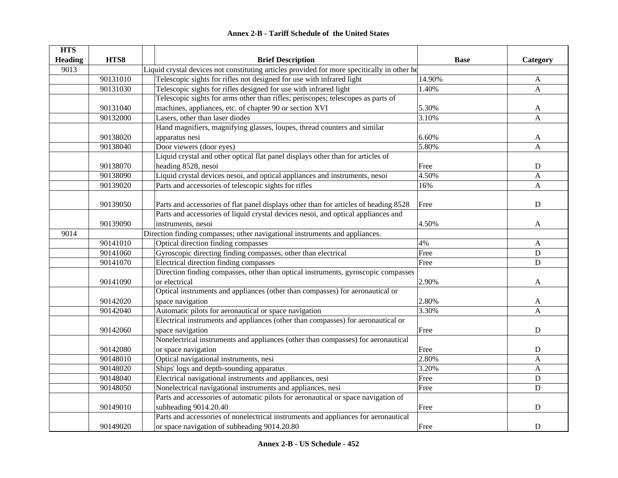| <b>Annex 2-B - Tariff Schedule of the United States</b> |  |
|---------------------------------------------------------|--|
|---------------------------------------------------------|--|

| <b>HTS</b>     |          |                                                                                             |             |              |
|----------------|----------|---------------------------------------------------------------------------------------------|-------------|--------------|
| <b>Heading</b> | HTS8     | <b>Brief Description</b>                                                                    | <b>Base</b> | Category     |
| 9013           |          | Liquid crystal devices not constituting articles provided for more specitically in other he |             |              |
|                | 90131010 | Telescopic sights for rifles not designed for use with infrared light                       | 14.90%      | $\mathbf{A}$ |
|                | 90131030 | Telescopic sights for rifles designed for use with infrared light                           | 1.40%       | $\mathbf{A}$ |
|                |          | Telescopic sights for arms other than rifles; periscopes; telescopes as parts of            |             |              |
|                | 90131040 | machines, appliances, etc. of chapter 90 or section XVI                                     | 5.30%       | A            |
|                | 90132000 | Lasers, other than laser diodes                                                             | 3.10%       | A            |
|                |          | Hand magnifiers, magnifying glasses, loupes, thread counters and similar                    |             |              |
|                | 90138020 | apparatus nesi                                                                              | 6.60%       | A            |
|                | 90138040 | Door viewers (door eyes)                                                                    | 5.80%       | A            |
|                |          | Liquid crystal and other optical flat panel displays other than for articles of             |             |              |
|                | 90138070 | heading 8528, nesoi                                                                         | Free        | ${\bf D}$    |
|                | 90138090 | Liquid crystal devices nesoi, and optical appliances and instruments, nesoi                 | 4.50%       | A            |
|                | 90139020 | Parts and accessories of telescopic sights for rifles                                       | 16%         | $\mathbf{A}$ |
|                |          |                                                                                             |             |              |
|                | 90139050 | Parts and accessories of flat panel displays other than for articles of heading 8528        | Free        | $\mathbf D$  |
|                |          | Parts and accessories of liquid crystal devices nesoi, and optical appliances and           |             |              |
|                | 90139090 | instruments, nesoi                                                                          | 4.50%       | A            |
| 9014           |          | Direction finding compasses; other navigational instruments and appliances.                 |             |              |
|                | 90141010 | Optical direction finding compasses                                                         | 4%          | A            |
|                | 90141060 | Gyroscopic directing finding compasses, other than electrical                               | Free        | ${\bf D}$    |
|                | 90141070 | Electrical direction finding compasses                                                      | Free        | $\mathbf D$  |
|                |          | Direction finding compasses, other than optical instruments, gyroscopic compasses           |             |              |
|                | 90141090 | or electrical                                                                               | 2.90%       | A            |
|                |          | Optical instruments and appliances (other than compasses) for aeronautical or               |             |              |
|                | 90142020 | space navigation                                                                            | 2.80%       | A            |
|                | 90142040 | Automatic pilots for aeronautical or space navigation                                       | 3.30%       | A            |
|                |          | Electrical instruments and appliances (other than compasses) for aeronautical or            |             |              |
|                | 90142060 | space navigation                                                                            | Free        | $\mathbf D$  |
|                |          | Nonelectrical instruments and appliances (other than compasses) for aeronautical            |             |              |
|                | 90142080 | or space navigation                                                                         | Free        | ${\bf D}$    |
|                | 90148010 | Optical navigational instruments, nesi                                                      | 2.80%       | A            |
|                | 90148020 | Ships' logs and depth-sounding apparatus                                                    | 3.20%       | A            |
|                | 90148040 | Electrical navigational instruments and appliances, nesi                                    | Free        | $\mathbf D$  |
|                | 90148050 | Nonelectrical navigational instruments and appliances, nesi                                 | Free        | $\mathbf D$  |
|                |          | Parts and accessories of automatic pilots for aeronautical or space navigation of           |             |              |
|                | 90149010 | subheading 9014.20.40                                                                       | Free        | ${\bf D}$    |
|                |          | Parts and accessories of nonelectrical instruments and appliances for aeronautical          |             |              |
|                | 90149020 | or space navigation of subheading 9014.20.80                                                | Free        | ${\bf D}$    |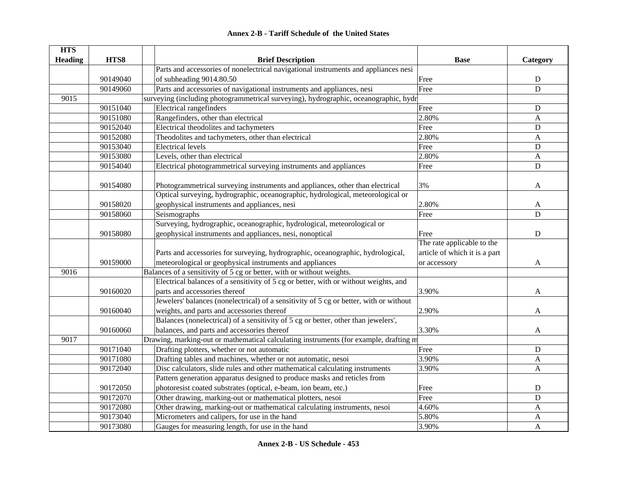#### **HTS Heading HTS8 Brief Description Base Category** 90149040 Parts and accessories of nonelectrical navigational instruments and appliances nesi of subheading 9014.80.50 D 90149060 Parts and accessories of navigational instruments and appliances, nesi Free Free D 9015surveying (including photogrammetrical surveying), hydrographic, oceanographic, hydr 90151040 Electrical rangefinders D 90151080 Rangefinders, other than electrical 2.80% A 90152040 Electrical theodolites and tachymeters Free Free D 90152080 Theodolites and tachymeters, other than electrical 2.80% 2.80% A 90153040 Electrical levels D 90153080 Levels, other than electrical 2.80% A 90154040 Electrical photogrammetrical surveying instruments and appliances Free Free Press, Pree D 90154080 Photogrammetrical surveying instruments and appliances, other than electrical 3% A 90158020Optical surveying, hydrographic, oceanographic, hydrological, meteorological or geophysical instruments and appliances, nesi 2.80% and 2.80% A 90158060 | Seismographs **Free** D 90158080Surveying, hydrographic, oceanographic, hydrological, meteorological or geophysical instruments and appliances, nesi, nonoptical Free Free Press,  $\Box$ 90159000Parts and accessories for surveying, hydrographic, oceanographic, hydrological, meteorological or geophysical instruments and appliances The rate applicable to the article of which it is a part or accessory and  $A$ 9016Balances of a sensitivity of 5 cg or better, with or without weights. 90160020Electrical balances of a sensitivity of 5 cg or better, with or without weights, and parts and accessories thereof 3.90% A 90160040Jewelers' balances (nonelectrical) of a sensitivity of 5 cg or better, with or without weights, and parts and accessories thereof 2.90% A 90160060Balances (nonelectrical) of a sensitivity of 5 cg or better, other than jewelers', balances, and parts and accessories thereof 3.30% A 9017Drawing, marking-out or mathematical calculating instruments (for example, drafting m 90171040 Drafting plotters, whether or not automatic Free Free D 90171080 Drafting tables and machines, whether or not automatic, nesoi 3.90% 3.90% A 90172040 Disc calculators, slide rules and other mathematical calculating instruments 3.90% A 90172050Pattern generation apparatus designed to produce masks and reticles from photoresist coated substrates (optical, e-beam, ion beam, etc.) Free Free Free D 90172070 Other drawing, marking-out or mathematical plotters, nesoi Free Free D 90172080 Other drawing, marking-out or mathematical calculating instruments, nesoi 4.60% A 90173040 Micrometers and calipers, for use in the hand 5.80% A 90173080 Gauges for measuring length, for use in the hand 3.90% 3.90% A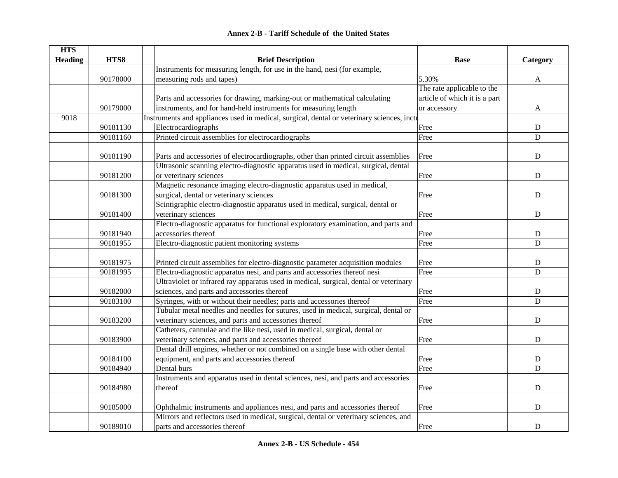|  | <b>Annex 2-B - Tariff Schedule of the United States</b> |  |
|--|---------------------------------------------------------|--|
|--|---------------------------------------------------------|--|

| <b>HTS</b>     |          |                                                                                           |                               |             |
|----------------|----------|-------------------------------------------------------------------------------------------|-------------------------------|-------------|
| <b>Heading</b> | HTS8     | <b>Brief Description</b>                                                                  | <b>Base</b>                   | Category    |
|                |          | Instruments for measuring length, for use in the hand, nesi (for example,                 |                               |             |
|                | 90178000 | measuring rods and tapes)                                                                 | 5.30%                         | A           |
|                |          |                                                                                           | The rate applicable to the    |             |
|                |          | Parts and accessories for drawing, marking-out or mathematical calculating                | article of which it is a part |             |
|                | 90179000 | instruments, and for hand-held instruments for measuring length                           | or accessory                  | A           |
| 9018           |          | Instruments and appliances used in medical, surgical, dental or veterinary sciences, inct |                               |             |
|                | 90181130 | Electrocardiographs                                                                       | Free                          | $\mathbf D$ |
|                | 90181160 | Printed circuit assemblies for electrocardiographs                                        | Free                          | D           |
|                |          |                                                                                           |                               |             |
|                | 90181190 | Parts and accessories of electrocardiographs, other than printed circuit assemblies       | Free                          | $\mathbf D$ |
|                |          | Ultrasonic scanning electro-diagnostic apparatus used in medical, surgical, dental        |                               |             |
|                | 90181200 | or veterinary sciences                                                                    | Free                          | D           |
|                |          | Magnetic resonance imaging electro-diagnostic apparatus used in medical,                  |                               |             |
|                | 90181300 | surgical, dental or veterinary sciences                                                   | Free                          | $\mathbf D$ |
|                |          | Scintigraphic electro-diagnostic apparatus used in medical, surgical, dental or           |                               |             |
|                | 90181400 | veterinary sciences                                                                       | Free                          | $\mathbf D$ |
|                |          | Electro-diagnostic apparatus for functional exploratory examination, and parts and        |                               |             |
|                | 90181940 | accessories thereof                                                                       | Free                          | ${\bf D}$   |
|                | 90181955 | Electro-diagnostic patient monitoring systems                                             | Free                          | D           |
|                |          |                                                                                           |                               |             |
|                | 90181975 | Printed circuit assemblies for electro-diagnostic parameter acquisition modules           | Free                          | $\mathbf D$ |
|                | 90181995 | Electro-diagnostic apparatus nesi, and parts and accessories thereof nesi                 | Free                          | D           |
|                |          | Ultraviolet or infrared ray apparatus used in medical, surgical, dental or veterinary     |                               |             |
|                | 90182000 | sciences, and parts and accessories thereof                                               | Free                          | D           |
|                | 90183100 | Syringes, with or without their needles; parts and accessories thereof                    | Free                          | $\mathbf D$ |
|                |          | Tubular metal needles and needles for sutures, used in medical, surgical, dental or       |                               |             |
|                | 90183200 | veterinary sciences, and parts and accessories thereof                                    | Free                          | ${\bf D}$   |
|                |          | Catheters, cannulae and the like nesi, used in medical, surgical, dental or               |                               |             |
|                | 90183900 | veterinary sciences, and parts and accessories thereof                                    | Free                          | $\mathbf D$ |
|                |          | Dental drill engines, whether or not combined on a single base with other dental          |                               |             |
|                | 90184100 | equipment, and parts and accessories thereof                                              | Free                          | $\mathbf D$ |
|                | 90184940 | Dental burs                                                                               | Free                          | D           |
|                |          | Instruments and apparatus used in dental sciences, nesi, and parts and accessories        |                               |             |
|                | 90184980 | thereof                                                                                   | Free                          | ${\bf D}$   |
|                |          |                                                                                           |                               |             |
|                | 90185000 | Ophthalmic instruments and appliances nesi, and parts and accessories thereof             | Free                          | D           |
|                |          | Mirrors and reflectors used in medical, surgical, dental or veterinary sciences, and      |                               |             |
|                | 90189010 | parts and accessories thereof                                                             | Free                          | D           |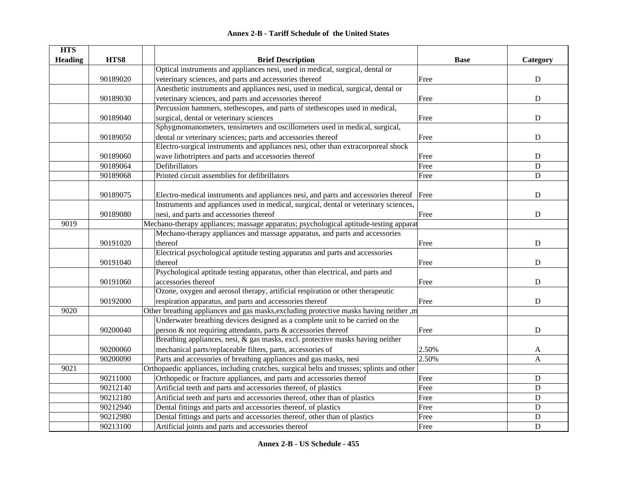| <b>Annex 2-B - Tariff Schedule of the United States</b> |
|---------------------------------------------------------|
|---------------------------------------------------------|

| <b>HTS</b>     |          |                                                                                           |             |             |
|----------------|----------|-------------------------------------------------------------------------------------------|-------------|-------------|
| <b>Heading</b> | HTS8     | <b>Brief Description</b>                                                                  | <b>Base</b> | Category    |
|                |          | Optical instruments and appliances nesi, used in medical, surgical, dental or             |             |             |
|                | 90189020 | veterinary sciences, and parts and accessories thereof                                    | Free        | ${\bf D}$   |
|                |          | Anesthetic instruments and appliances nesi, used in medical, surgical, dental or          |             |             |
|                | 90189030 | veterinary sciences, and parts and accessories thereof                                    | Free        | ${\bf D}$   |
|                |          | Percussion hammers, stethescopes, and parts of stethescopes used in medical,              |             |             |
|                | 90189040 | surgical, dental or veterinary sciences                                                   | Free        | ${\bf D}$   |
|                |          | Sphygmomanometers, tensimeters and oscillometers used in medical, surgical,               |             |             |
|                | 90189050 | dental or veterinary sciences; parts and accessories thereof                              | Free        | ${\bf D}$   |
|                |          | Electro-surgical instruments and appliances nesi, other than extracorporeal shock         |             |             |
|                | 90189060 | wave lithotripters and parts and accessories thereof                                      | Free        | ${\bf D}$   |
|                | 90189064 | Defibrillators                                                                            | Free        | ${\bf D}$   |
|                | 90189068 | Printed circuit assemblies for defibrillators                                             | Free        | $\mathbf D$ |
|                |          |                                                                                           |             |             |
|                | 90189075 | Electro-medical instruments and appliances nesi, and parts and accessories thereof Free   |             | $\mathbf D$ |
|                |          | Instruments and appliances used in medical, surgical, dental or veterinary sciences,      |             |             |
|                | 90189080 | nesi, and parts and accessories thereof                                                   | Free        | $\mathbf D$ |
| 9019           |          | Mechano-therapy appliances; massage apparatus; psychological aptitude-testing apparat     |             |             |
|                |          | Mechano-therapy appliances and massage apparatus, and parts and accessories               |             |             |
|                | 90191020 | thereof                                                                                   | Free        | ${\bf D}$   |
|                |          | Electrical psychological aptitude testing apparatus and parts and accessories             |             |             |
|                | 90191040 | thereof                                                                                   | Free        | ${\bf D}$   |
|                |          | Psychological aptitude testing apparatus, other than electrical, and parts and            |             |             |
|                | 90191060 | accessories thereof                                                                       | Free        | $\mathbf D$ |
|                |          | Ozone, oxygen and aerosol therapy, artificial respiration or other therapeutic            |             |             |
|                | 90192000 | respiration apparatus, and parts and accessories thereof                                  | Free        | ${\bf D}$   |
| 9020           |          | Other breathing appliances and gas masks, excluding protective masks having neither, m    |             |             |
|                |          | Underwater breathing devices designed as a complete unit to be carried on the             |             |             |
|                | 90200040 | person & not requiring attendants, parts & accessories thereof                            | Free        | D           |
|                |          | Breathing appliances, nesi, $\&$ gas masks, excl. protective masks having neither         |             |             |
|                | 90200060 | mechanical parts/replaceable filters, parts, accessories of                               | 2.50%       | A           |
|                | 90200090 | Parts and accessories of breathing appliances and gas masks, nesi                         | 2.50%       | A           |
| 9021           |          | Orthopaedic appliances, including crutches, surgical belts and trusses; splints and other |             |             |
|                | 90211000 | Orthopedic or fracture appliances, and parts and accessories thereof                      | Free        | ${\bf D}$   |
|                | 90212140 | Artificial teeth and parts and accessories thereof, of plastics                           | Free        | ${\bf D}$   |
|                | 90212180 | Artificial teeth and parts and accessories thereof, other than of plastics                | Free        | ${\bf D}$   |
|                | 90212940 | Dental fittings and parts and accessories thereof, of plastics                            | Free        | ${\bf D}$   |
|                | 90212980 | Dental fittings and parts and accessories thereof, other than of plastics                 | Free        | ${\rm D}$   |
|                | 90213100 | Artificial joints and parts and accessories thereof                                       | Free        | $\mathbf D$ |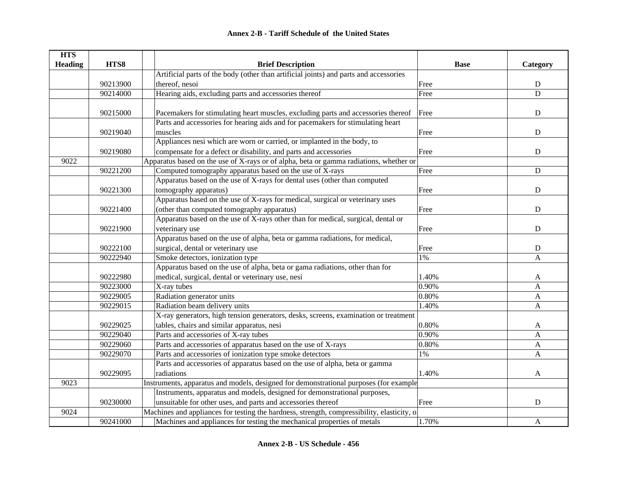| <b>HTS</b>     |          |                                                                                            |             |              |
|----------------|----------|--------------------------------------------------------------------------------------------|-------------|--------------|
| <b>Heading</b> | HTS8     | <b>Brief Description</b>                                                                   | <b>Base</b> | Category     |
|                |          | Artificial parts of the body (other than artificial joints) and parts and accessories      |             |              |
|                | 90213900 | thereof, nesoi                                                                             | Free        | ${\bf D}$    |
|                | 90214000 | Hearing aids, excluding parts and accessories thereof                                      | Free        | D            |
|                |          |                                                                                            |             |              |
|                | 90215000 | Pacemakers for stimulating heart muscles, excluding parts and accessories thereof          | Free        | ${\bf D}$    |
|                |          | Parts and accessories for hearing aids and for pacemakers for stimulating heart            |             |              |
|                | 90219040 | muscles                                                                                    | Free        | ${\bf D}$    |
|                |          | Appliances nesi which are worn or carried, or implanted in the body, to                    |             |              |
|                | 90219080 | compensate for a defect or disability, and parts and accessories                           | Free        | ${\bf D}$    |
| 9022           |          | Apparatus based on the use of X-rays or of alpha, beta or gamma radiations, whether or     |             |              |
|                | 90221200 | Computed tomography apparatus based on the use of $\overline{X\text{-rays}}$               | Free        | ${\bf D}$    |
|                |          | Apparatus based on the use of X-rays for dental uses (other than computed                  |             |              |
|                | 90221300 | tomography apparatus)                                                                      | Free        | ${\bf D}$    |
|                |          | Apparatus based on the use of X-rays for medical, surgical or veterinary uses              |             |              |
|                | 90221400 | (other than computed tomography apparatus)                                                 | Free        | ${\bf D}$    |
|                |          | Apparatus based on the use of X-rays other than for medical, surgical, dental or           |             |              |
|                | 90221900 | veterinary use                                                                             | Free        | D            |
|                |          | Apparatus based on the use of alpha, beta or gamma radiations, for medical,                |             |              |
|                | 90222100 | surgical, dental or veterinary use                                                         | Free        | D            |
|                | 90222940 | Smoke detectors, ionization type                                                           | 1%          | A            |
|                |          | Apparatus based on the use of alpha, beta or gama radiations, other than for               |             |              |
|                | 90222980 | medical, surgical, dental or veterinary use, nesi                                          | 1.40%       | A            |
|                | 90223000 | X-ray tubes                                                                                | 0.90%       | A            |
|                | 90229005 | Radiation generator units                                                                  | 0.80%       | A            |
|                | 90229015 | Radiation beam delivery units                                                              | 1.40%       | A            |
|                |          | X-ray generators, high tension generators, desks, screens, examination or treatment        |             |              |
|                | 90229025 | tables, chairs and similar apparatus, nesi                                                 | 0.80%       | A            |
|                | 90229040 | Parts and accessories of X-ray tubes                                                       | 0.90%       | $\mathbf{A}$ |
|                | 90229060 | Parts and accessories of apparatus based on the use of X-rays                              | 0.80%       | A            |
|                | 90229070 | Parts and accessories of ionization type smoke detectors                                   | $1\%$       | A            |
|                |          | Parts and accessories of apparatus based on the use of alpha, beta or gamma                |             |              |
|                | 90229095 | radiations                                                                                 | 1.40%       | A            |
| 9023           |          | Instruments, apparatus and models, designed for demonstrational purposes (for example      |             |              |
|                |          | Instruments, apparatus and models, designed for demonstrational purposes,                  |             |              |
|                | 90230000 | unsuitable for other uses, and parts and accessories thereof                               | Free        | $\mathbf D$  |
| 9024           |          | Machines and appliances for testing the hardness, strength, compressibility, elasticity, o |             |              |
|                | 90241000 | Machines and appliances for testing the mechanical properties of metals                    | 1.70%       | $\mathbf{A}$ |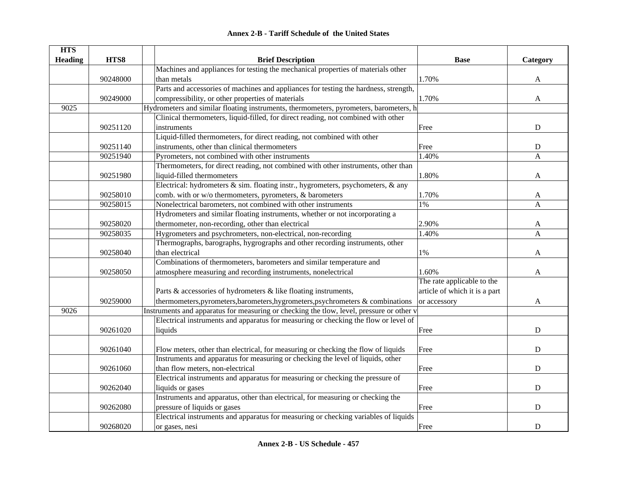| <b>HTS</b>     |          |                                                                                          |                               |             |
|----------------|----------|------------------------------------------------------------------------------------------|-------------------------------|-------------|
| <b>Heading</b> | HTS8     | <b>Brief Description</b>                                                                 | <b>Base</b>                   | Category    |
|                |          | Machines and appliances for testing the mechanical properties of materials other         |                               |             |
|                | 90248000 | than metals                                                                              | 1.70%                         | A           |
|                |          | Parts and accessories of machines and appliances for testing the hardness, strength,     |                               |             |
|                | 90249000 | compressibility, or other properties of materials                                        | 1.70%                         | A           |
| 9025           |          | Hydrometers and similar floating instruments, thermometers, pyrometers, barometers, h    |                               |             |
|                |          | Clinical thermometers, liquid-filled, for direct reading, not combined with other        |                               |             |
|                | 90251120 | instruments                                                                              | Free                          | $\mathbf D$ |
|                |          | Liquid-filled thermometers, for direct reading, not combined with other                  |                               |             |
|                | 90251140 | instruments, other than clinical thermometers                                            | Free                          | ${\bf D}$   |
|                | 90251940 | Pyrometers, not combined with other instruments                                          | 1.40%                         | A           |
|                |          | Thermometers, for direct reading, not combined with other instruments, other than        |                               |             |
|                | 90251980 | liquid-filled thermometers                                                               | 1.80%                         | A           |
|                |          | Electrical: hydrometers & sim. floating instr., hygrometers, psychometers, & any         |                               |             |
|                | 90258010 | comb. with or w/o thermometers, pyrometers, & barometers                                 | 1.70%                         | A           |
|                | 90258015 | Nonelectrical barometers, not combined with other instruments                            | 1%                            | A           |
|                |          | Hydrometers and similar floating instruments, whether or not incorporating a             |                               |             |
|                | 90258020 | thermometer, non-recording, other than electrical                                        | 2.90%                         | A           |
|                | 90258035 | Hygrometers and psychrometers, non-electrical, non-recording                             | 1.40%                         | A           |
|                |          | Thermographs, barographs, hygrographs and other recording instruments, other             |                               |             |
|                | 90258040 | than electrical                                                                          | $1\%$                         | A           |
|                |          | Combinations of thermometers, barometers and similar temperature and                     |                               |             |
|                | 90258050 | atmosphere measuring and recording instruments, nonelectrical                            | 1.60%                         | A           |
|                |          |                                                                                          | The rate applicable to the    |             |
|                |          | Parts & accessories of hydrometers & like floating instruments,                          | article of which it is a part |             |
|                | 90259000 | thermometers, pyrometers, barometers, hygrometers, psychrometers & combinations          | or accessory                  | A           |
| 9026           |          | Instruments and apparatus for measuring or checking the tlow, level, pressure or other v |                               |             |
|                |          | Electrical instruments and apparatus for measuring or checking the flow or level of      |                               |             |
|                | 90261020 | liquids                                                                                  | Free                          | D           |
|                |          |                                                                                          |                               |             |
|                | 90261040 | Flow meters, other than electrical, for measuring or checking the flow of liquids        | Free                          | $\mathbf D$ |
|                |          | Instruments and apparatus for measuring or checking the level of liquids, other          |                               |             |
|                | 90261060 | than flow meters, non-electrical                                                         | Free                          | $\mathbf D$ |
|                |          | Electrical instruments and apparatus for measuring or checking the pressure of           |                               |             |
|                | 90262040 | liquids or gases                                                                         | Free                          | $\mathbf D$ |
|                |          | Instruments and apparatus, other than electrical, for measuring or checking the          |                               |             |
|                | 90262080 | pressure of liquids or gases                                                             | Free                          | D           |
|                |          | Electrical instruments and apparatus for measuring or checking variables of liquids      |                               |             |
|                | 90268020 | or gases, nesi                                                                           | Free                          | ${\bf D}$   |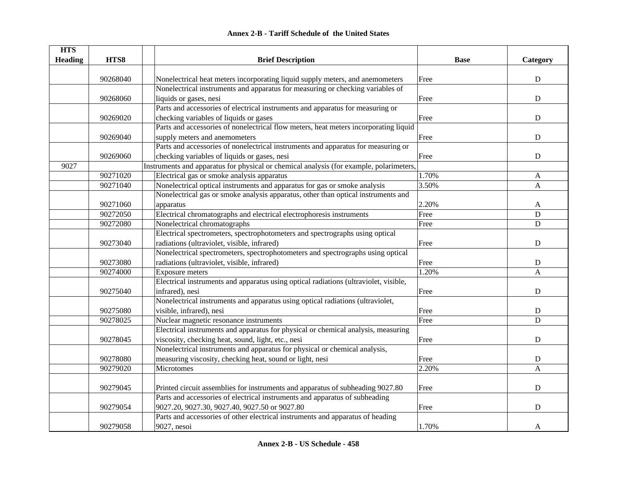| <b>Annex 2-B - Tariff Schedule of the United States</b> |  |
|---------------------------------------------------------|--|
|---------------------------------------------------------|--|

| <b>HTS</b><br><b>Heading</b> | HTS8     | <b>Brief Description</b>                                                                | <b>Base</b> | Category       |
|------------------------------|----------|-----------------------------------------------------------------------------------------|-------------|----------------|
|                              |          |                                                                                         |             |                |
|                              | 90268040 | Nonelectrical heat meters incorporating liquid supply meters, and anemometers           | Free        | ${\bf D}$      |
|                              |          | Nonelectrical instruments and apparatus for measuring or checking variables of          |             |                |
|                              | 90268060 | liquids or gases, nesi                                                                  | Free        | ${\bf D}$      |
|                              |          | Parts and accessories of electrical instruments and apparatus for measuring or          |             |                |
|                              | 90269020 | checking variables of liquids or gases                                                  | Free        | ${\bf D}$      |
|                              |          | Parts and accessories of nonelectrical flow meters, heat meters incorporating liquid    |             |                |
|                              | 90269040 | supply meters and anemometers                                                           | Free        | $\mathbf D$    |
|                              |          | Parts and accessories of nonelectrical instruments and apparatus for measuring or       |             |                |
|                              | 90269060 | checking variables of liquids or gases, nesi                                            | Free        | ${\bf D}$      |
| 9027                         |          | Instruments and apparatus for physical or chemical analysis (for example, polarimeters, |             |                |
|                              | 90271020 | Electrical gas or smoke analysis apparatus                                              | 1.70%       | A              |
|                              | 90271040 | Nonelectrical optical instruments and apparatus for gas or smoke analysis               | 3.50%       | $\mathbf{A}$   |
|                              |          | Nonelectrical gas or smoke analysis apparatus, other than optical instruments and       |             |                |
|                              | 90271060 | apparatus                                                                               | 2.20%       | A              |
|                              | 90272050 | Electrical chromatographs and electrical electrophoresis instruments                    | Free        | $\mathbf D$    |
|                              | 90272080 | Nonelectrical chromatographs                                                            | Free        | $\mathbf D$    |
|                              |          | Electrical spectrometers, spectrophotometers and spectrographs using optical            |             |                |
|                              | 90273040 | radiations (ultraviolet, visible, infrared)                                             | Free        | ${\bf D}$      |
|                              |          | Nonelectrical spectrometers, spectrophotometers and spectrographs using optical         |             |                |
|                              | 90273080 | radiations (ultraviolet, visible, infrared)                                             | Free        | ${\bf D}$      |
|                              | 90274000 | Exposure meters                                                                         | 1.20%       | A              |
|                              |          | Electrical instruments and apparatus using optical radiations (ultraviolet, visible,    |             |                |
|                              | 90275040 | infrared), nesi                                                                         | Free        | ${\bf D}$      |
|                              |          | Nonelectrical instruments and apparatus using optical radiations (ultraviolet,          |             |                |
|                              | 90275080 | visible, infrared), nesi                                                                | Free        | $\mathbf D$    |
|                              | 90278025 | Nuclear magnetic resonance instruments                                                  | Free        | D              |
|                              |          | Electrical instruments and apparatus for physical or chemical analysis, measuring       |             |                |
|                              | 90278045 | viscosity, checking heat, sound, light, etc., nesi                                      | Free        | D              |
|                              |          | Nonelectrical instruments and apparatus for physical or chemical analysis,              |             |                |
|                              | 90278080 | measuring viscosity, checking heat, sound or light, nesi                                | Free        | D              |
|                              | 90279020 | Microtomes                                                                              | 2.20%       | $\overline{A}$ |
|                              |          |                                                                                         |             |                |
|                              | 90279045 | Printed circuit assemblies for instruments and apparatus of subheading 9027.80          | Free        | $\mathbf D$    |
|                              |          | Parts and accessories of electrical instruments and apparatus of subheading             |             |                |
|                              | 90279054 | 9027.20, 9027.30, 9027.40, 9027.50 or 9027.80                                           | Free        | ${\bf D}$      |
|                              |          | Parts and accessories of other electrical instruments and apparatus of heading          |             |                |
|                              | 90279058 | 9027, nesoi                                                                             | 1.70%       | A              |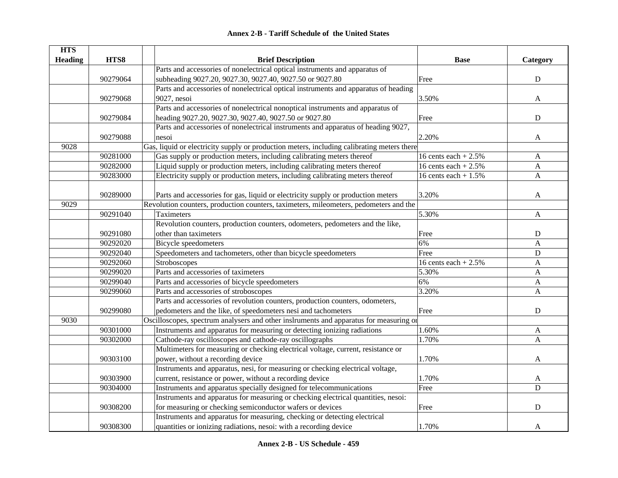| <b>HTS</b>     |          |                                                                                            |                       |                           |
|----------------|----------|--------------------------------------------------------------------------------------------|-----------------------|---------------------------|
| <b>Heading</b> | HTS8     | <b>Brief Description</b>                                                                   | <b>Base</b>           | Category                  |
|                |          | Parts and accessories of nonelectrical optical instruments and apparatus of                |                       |                           |
|                | 90279064 | subheading 9027.20, 9027.30, 9027.40, 9027.50 or 9027.80                                   | Free                  | ${\bf D}$                 |
|                |          | Parts and accessories of nonelectrical optical instruments and apparatus of heading        |                       |                           |
|                | 90279068 | 9027, nesoi                                                                                | 3.50%                 | A                         |
|                |          | Parts and accessories of nonelectrical nonoptical instruments and apparatus of             |                       |                           |
|                | 90279084 | heading 9027.20, 9027.30, 9027.40, 9027.50 or 9027.80                                      | Free                  | $\mathbf D$               |
|                |          | Parts and accessories of nonelectrical instruments and apparatus of heading 9027,          |                       |                           |
|                | 90279088 | nesoi                                                                                      | 2.20%                 | A                         |
| 9028           |          | Gas, liquid or electricity supply or production meters, including calibrating meters there |                       |                           |
|                | 90281000 | Gas supply or production meters, including calibrating meters thereof                      | 16 cents each $+2.5%$ | A                         |
|                | 90282000 | Liquid supply or production meters, including calibrating meters thereof                   | 16 cents each $+2.5%$ | A                         |
|                | 90283000 | Electricity supply or production meters, including calibrating meters thereof              | 16 cents each $+1.5%$ | A                         |
|                |          |                                                                                            |                       |                           |
|                | 90289000 | Parts and accessories for gas, liquid or electricity supply or production meters           | 3.20%                 | A                         |
| 9029           |          | Revolution counters, production counters, taximeters, mileometers, pedometers and the      |                       |                           |
|                | 90291040 | Taximeters                                                                                 | 5.30%                 | A                         |
|                |          | Revolution counters, production counters, odometers, pedometers and the like,              |                       |                           |
|                | 90291080 | other than taximeters                                                                      | Free                  | ${\bf D}$                 |
|                | 90292020 | <b>Bicycle</b> speedometers                                                                | 6%                    | A                         |
|                | 90292040 | Speedometers and tachometers, other than bicycle speedometers                              | Free                  | ${\bf D}$                 |
|                | 90292060 | Stroboscopes                                                                               | 16 cents each $+2.5%$ | $\boldsymbol{\mathsf{A}}$ |
|                | 90299020 | Parts and accessories of taximeters                                                        | 5.30%                 | A                         |
|                | 90299040 | Parts and accessories of bicycle speedometers                                              | 6%                    | A                         |
|                | 90299060 | Parts and accessories of stroboscopes                                                      | 3.20%                 | A                         |
|                |          | Parts and accessories of revolution counters, production counters, odometers,              |                       |                           |
|                | 90299080 | pedometers and the like, of speedometers nesi and tachometers                              | Free                  | ${\bf D}$                 |
| 9030           |          | Oscilloscopes, spectrum analysers and other inslruments and apparatus for measuring or     |                       |                           |
|                | 90301000 | Instruments and apparatus for measuring or detecting ionizing radiations                   | 1.60%                 | $\mathbf{A}$              |
|                | 90302000 | Cathode-ray oscilloscopes and cathode-ray oscillographs                                    | 1.70%                 | A                         |
|                |          | Multimeters for measuring or checking electrical voltage, current, resistance or           |                       |                           |
|                | 90303100 | power, without a recording device                                                          | 1.70%                 | A                         |
|                |          | Instruments and apparatus, nesi, for measuring or checking electrical voltage,             |                       |                           |
|                | 90303900 | current, resistance or power, without a recording device                                   | 1.70%                 | A                         |
|                | 90304000 | Instruments and apparatus specially designed for telecommunications                        | Free                  | D                         |
|                |          | Instruments and apparatus for measuring or checking electrical quantities, nesoi:          |                       |                           |
|                | 90308200 | for measuring or checking semiconductor wafers or devices                                  | Free                  | D                         |
|                |          | Instruments and apparatus for measuring, checking or detecting electrical                  |                       |                           |
|                | 90308300 | quantities or ionizing radiations, nesoi: with a recording device                          | 1.70%                 | A                         |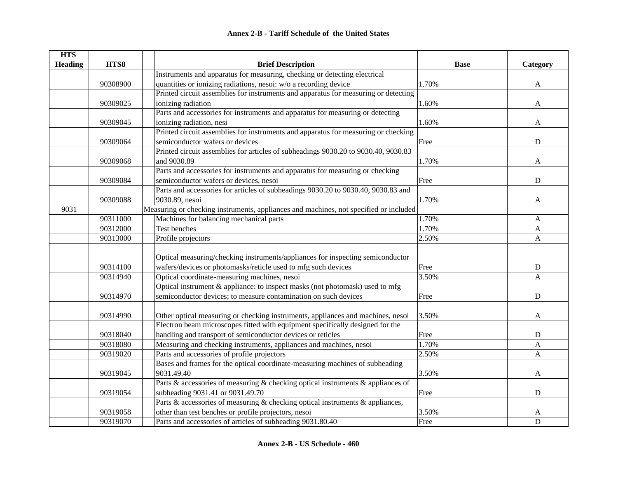| <b>HTS</b>     |          |                                                                                                                                                         |             |                           |
|----------------|----------|---------------------------------------------------------------------------------------------------------------------------------------------------------|-------------|---------------------------|
| <b>Heading</b> | HTS8     | <b>Brief Description</b><br>Instruments and apparatus for measuring, checking or detecting electrical                                                   | <b>Base</b> | Category                  |
|                | 90308900 |                                                                                                                                                         | 1.70%       |                           |
|                |          | quantities or ionizing radiations, nesoi: w/o a recording device<br>Printed circuit assemblies for instruments and apparatus for measuring or detecting |             | $\mathbf{A}$              |
|                |          |                                                                                                                                                         |             |                           |
|                | 90309025 | ionizing radiation<br>Parts and accessories for instruments and apparatus for measuring or detecting                                                    | 1.60%       | $\mathbf{A}$              |
|                |          |                                                                                                                                                         |             |                           |
|                | 90309045 | ionizing radiation, nesi<br>Printed circuit assemblies for instruments and apparatus for measuring or checking                                          | 1.60%       | A                         |
|                |          |                                                                                                                                                         |             |                           |
|                | 90309064 | semiconductor wafers or devices                                                                                                                         | Free        | ${\bf D}$                 |
|                |          | Printed circuit assemblies for articles of subheadings 9030.20 to 9030.40, 9030.83                                                                      |             |                           |
|                | 90309068 | and 9030.89                                                                                                                                             | 1.70%       | A                         |
|                |          | Parts and accessories for instruments and apparatus for measuring or checking                                                                           |             |                           |
|                | 90309084 | semiconductor wafers or devices, nesoi                                                                                                                  | Free        | ${\bf D}$                 |
|                |          | Parts and accessories for articles of subheadings 9030.20 to 9030.40, 9030.83 and                                                                       |             |                           |
|                | 90309088 | 9030.89, nesoi                                                                                                                                          | 1.70%       | A                         |
| 9031           |          | Measuring or checking instruments, appliances and machines, not specified or included                                                                   |             |                           |
|                | 90311000 | Machines for balancing mechanical parts                                                                                                                 | 1.70%       | A                         |
|                | 90312000 | Test benches                                                                                                                                            | 1.70%       | A                         |
|                | 90313000 | Profile projectors                                                                                                                                      | 2.50%       | $\mathbf{A}$              |
|                |          |                                                                                                                                                         |             |                           |
|                |          | Optical measuring/checking instruments/appliances for inspecting semiconductor                                                                          |             |                           |
|                | 90314100 | wafers/devices or photomasks/reticle used to mfg such devices                                                                                           | Free        | D                         |
|                | 90314940 | Optical coordinate-measuring machines, nesoi                                                                                                            | 3.50%       | A                         |
|                |          | Optical instrument & appliance: to inspect masks (not photomask) used to mfg                                                                            |             |                           |
|                | 90314970 | semiconductor devices; to measure contamination on such devices                                                                                         | Free        | $\mathbf D$               |
|                |          |                                                                                                                                                         |             |                           |
|                | 90314990 | Other optical measuring or checking instruments, appliances and machines, nesoi                                                                         | 3.50%       | A                         |
|                |          | Electron beam microscopes fitted with equipment specifically designed for the                                                                           |             |                           |
|                | 90318040 | handling and transport of semiconductor devices or reticles                                                                                             | Free        | ${\bf D}$                 |
|                | 90318080 | Measuring and checking instruments, appliances and machines, nesoi                                                                                      | 1.70%       | $\boldsymbol{\mathsf{A}}$ |
|                | 90319020 | Parts and accessories of profile projectors                                                                                                             | 2.50%       | A                         |
|                |          | Bases and frames for the optical coordinate-measuring machines of subheading                                                                            |             |                           |
|                | 90319045 | 9031.49.40                                                                                                                                              | 3.50%       | A                         |
|                |          | Parts & accessories of measuring & checking optical instruments & appliances of                                                                         |             |                           |
|                | 90319054 | subheading 9031.41 or 9031.49.70                                                                                                                        | Free        | ${\bf D}$                 |
|                |          | Parts & accessories of measuring & checking optical instruments & appliances,                                                                           |             |                           |
|                | 90319058 | other than test benches or profile projectors, nesoi                                                                                                    | 3.50%       | A                         |
|                | 90319070 | Parts and accessories of articles of subheading 9031.80.40                                                                                              | Free        | $\mathbf D$               |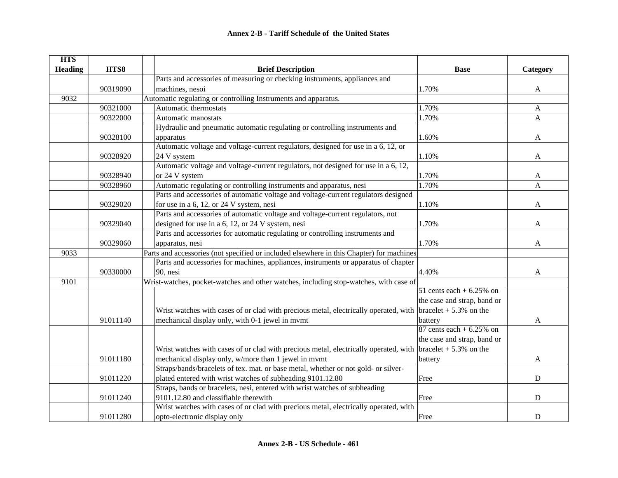| <b>HTS</b>     |          |                                                                                                                     |                             |              |
|----------------|----------|---------------------------------------------------------------------------------------------------------------------|-----------------------------|--------------|
| <b>Heading</b> | HTS8     | <b>Brief Description</b>                                                                                            | <b>Base</b>                 | Category     |
|                |          | Parts and accessories of measuring or checking instruments, appliances and                                          |                             |              |
|                | 90319090 | machines, nesoi                                                                                                     | 1.70%                       | $\mathbf{A}$ |
| 9032           |          | Automatic regulating or controlling Instruments and apparatus.                                                      |                             |              |
|                | 90321000 | Automatic thermostats                                                                                               | 1.70%                       | A            |
|                | 90322000 | Automatic manostats                                                                                                 | 1.70%                       | $\mathbf{A}$ |
|                |          | Hydraulic and pneumatic automatic regulating or controlling instruments and                                         |                             |              |
|                | 90328100 | apparatus                                                                                                           | 1.60%                       | $\mathbf{A}$ |
|                |          | Automatic voltage and voltage-current regulators, designed for use in a 6, 12, or                                   |                             |              |
|                | 90328920 | 24 V system                                                                                                         | 1.10%                       | A            |
|                |          | Automatic voltage and voltage-current regulators, not designed for use in a 6, 12,                                  |                             |              |
|                | 90328940 | or 24 V system                                                                                                      | 1.70%                       | A            |
|                | 90328960 | Automatic regulating or controlling instruments and apparatus, nesi                                                 | 1.70%                       | A            |
|                |          | Parts and accessories of automatic voltage and voltage-current regulators designed                                  |                             |              |
|                | 90329020 | for use in a 6, 12, or 24 V system, nesi                                                                            | 1.10%                       | A            |
|                |          | Parts and accessories of automatic voltage and voltage-current regulators, not                                      |                             |              |
|                | 90329040 | designed for use in a 6, 12, or 24 V system, nesi                                                                   | 1.70%                       | A            |
|                |          | Parts and accessories for automatic regulating or controlling instruments and                                       |                             |              |
|                | 90329060 | apparatus, nesi                                                                                                     | 1.70%                       | A            |
| 9033           |          | Parts and accessories (not specified or included elsewhere in this Chapter) for machines.                           |                             |              |
|                |          | Parts and accessories for machines, appliances, instruments or apparatus of chapter                                 |                             |              |
|                | 90330000 | 90, nesi                                                                                                            | 4.40%                       | A            |
| 9101           |          | Wrist-watches, pocket-watches and other watches, including stop-watches, with case of                               |                             |              |
|                |          |                                                                                                                     | 51 cents each $+6.25\%$ on  |              |
|                |          |                                                                                                                     | the case and strap, band or |              |
|                |          | Wrist watches with cases of or clad with precious metal, electrically operated, with $\vert$ bracelet + 5.3% on the |                             |              |
|                | 91011140 | mechanical display only, with 0-1 jewel in mvmt                                                                     | battery                     | A            |
|                |          |                                                                                                                     | 87 cents each $+6.25%$ on   |              |
|                |          |                                                                                                                     | the case and strap, band or |              |
|                |          | Wrist watches with cases of or clad with precious metal, electrically operated, with $\vert$ bracelet + 5.3% on the |                             |              |
|                | 91011180 | mechanical display only, w/more than 1 jewel in mvmt                                                                | battery                     | A            |
|                |          | Straps/bands/bracelets of tex. mat. or base metal, whether or not gold- or silver-                                  |                             |              |
|                | 91011220 | plated entered with wrist watches of subheading 9101.12.80                                                          | Free                        | D            |
|                |          | Straps, bands or bracelets, nesi, entered with wrist watches of subheading                                          |                             |              |
|                | 91011240 | 9101.12.80 and classifiable therewith                                                                               | Free                        | $\mathbf D$  |
|                |          | Wrist watches with cases of or clad with precious metal, electrically operated, with                                |                             |              |
|                | 91011280 | opto-electronic display only                                                                                        | Free                        | D            |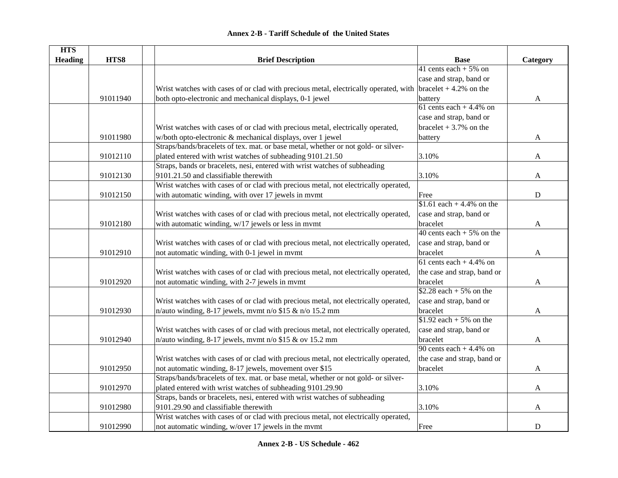| <b>HTS</b>     |          |                                                                                                                     |                             |             |
|----------------|----------|---------------------------------------------------------------------------------------------------------------------|-----------------------------|-------------|
| <b>Heading</b> | HTS8     | <b>Brief Description</b>                                                                                            | <b>Base</b>                 | Category    |
|                |          |                                                                                                                     | 41 cents each $+5\%$ on     |             |
|                |          |                                                                                                                     | case and strap, band or     |             |
|                |          | Wrist watches with cases of or clad with precious metal, electrically operated, with $\vert$ bracelet + 4.2% on the |                             |             |
|                | 91011940 | both opto-electronic and mechanical displays, 0-1 jewel                                                             | battery                     | A           |
|                |          |                                                                                                                     | 61 cents each $+4.4\%$ on   |             |
|                |          |                                                                                                                     | case and strap, band or     |             |
|                |          | Wrist watches with cases of or clad with precious metal, electrically operated,                                     | bracelet $+3.7\%$ on the    |             |
|                | 91011980 | w/both opto-electronic & mechanical displays, over 1 jewel                                                          | battery                     | A           |
|                |          | Straps/bands/bracelets of tex. mat. or base metal, whether or not gold- or silver-                                  |                             |             |
|                | 91012110 | plated entered with wrist watches of subheading 9101.21.50                                                          | 3.10%                       | A           |
|                |          | Straps, bands or bracelets, nesi, entered with wrist watches of subheading                                          |                             |             |
|                | 91012130 | 9101.21.50 and classifiable therewith                                                                               | 3.10%                       | A           |
|                |          | Wrist watches with cases of or clad with precious metal, not electrically operated,                                 |                             |             |
|                | 91012150 | with automatic winding, with over 17 jewels in mymt                                                                 | Free                        | $\mathbf D$ |
|                |          |                                                                                                                     | \$1.61 each + 4.4% on the   |             |
|                |          | Wrist watches with cases of or clad with precious metal, not electrically operated,                                 | case and strap, band or     |             |
|                | 91012180 | with automatic winding, w/17 jewels or less in mvmt                                                                 | bracelet                    | A           |
|                |          |                                                                                                                     | 40 cents each $+5\%$ on the |             |
|                |          | Wrist watches with cases of or clad with precious metal, not electrically operated,                                 | case and strap, band or     |             |
|                | 91012910 | not automatic winding, with 0-1 jewel in mvmt                                                                       | bracelet                    | A           |
|                |          |                                                                                                                     | 61 cents each $+4.4\%$ on   |             |
|                |          | Wrist watches with cases of or clad with precious metal, not electrically operated,                                 | the case and strap, band or |             |
|                | 91012920 | not automatic winding, with 2-7 jewels in mvmt                                                                      | bracelet                    | A           |
|                |          |                                                                                                                     | $$2.28$ each + 5% on the    |             |
|                |          | Wrist watches with cases of or clad with precious metal, not electrically operated,                                 | case and strap, band or     |             |
|                | 91012930 | n/auto winding, 8-17 jewels, mvmt n/o \$15 & n/o 15.2 mm                                                            | bracelet                    | A           |
|                |          |                                                                                                                     | $$1.92$ each + 5% on the    |             |
|                |          | Wrist watches with cases of or clad with precious metal, not electrically operated,                                 | case and strap, band or     |             |
|                | 91012940 | n/auto winding, 8-17 jewels, mvmt n/o \$15 & ov 15.2 mm                                                             | bracelet                    | A           |
|                |          |                                                                                                                     | 90 cents each $+4.4\%$ on   |             |
|                |          | Wrist watches with cases of or clad with precious metal, not electrically operated,                                 | the case and strap, band or |             |
|                | 91012950 | not automatic winding, 8-17 jewels, movement over \$15                                                              | bracelet                    | A           |
|                |          | Straps/bands/bracelets of tex. mat. or base metal, whether or not gold- or silver-                                  |                             |             |
|                | 91012970 | plated entered with wrist watches of subheading 9101.29.90                                                          | 3.10%                       | A           |
|                |          | Straps, bands or bracelets, nesi, entered with wrist watches of subheading                                          |                             |             |
|                | 91012980 | 9101.29.90 and classifiable therewith                                                                               | 3.10%                       | A           |
|                |          | Wrist watches with cases of or clad with precious metal, not electrically operated,                                 |                             |             |
|                | 91012990 | not automatic winding, w/over 17 jewels in the mvmt                                                                 | Free                        | ${\bf D}$   |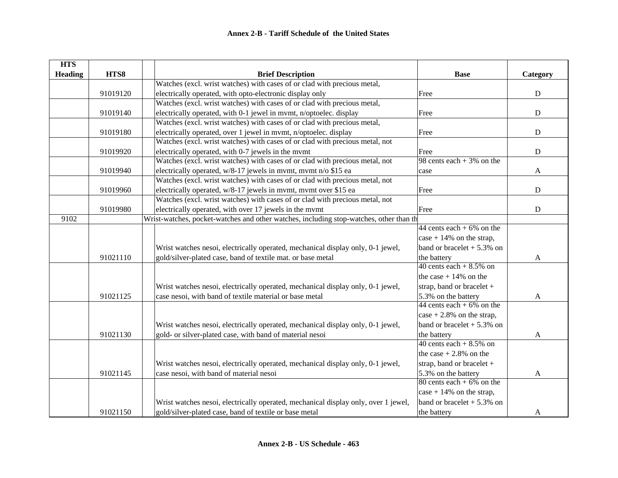| <b>HTS</b>     |          |                                                                                        |                              |           |
|----------------|----------|----------------------------------------------------------------------------------------|------------------------------|-----------|
| <b>Heading</b> | HTS8     | <b>Brief Description</b>                                                               | <b>Base</b>                  | Category  |
|                |          | Watches (excl. wrist watches) with cases of or clad with precious metal,               |                              |           |
|                | 91019120 | electrically operated, with opto-electronic display only                               | Free                         | ${\bf D}$ |
|                |          | Watches (excl. wrist watches) with cases of or clad with precious metal,               |                              |           |
|                | 91019140 | electrically operated, with 0-1 jewel in mvmt, n/optoelec. display                     | Free                         | ${\bf D}$ |
|                |          | Watches (excl. wrist watches) with cases of or clad with precious metal,               |                              |           |
|                | 91019180 | electrically operated, over 1 jewel in mvmt, n/optoelec. display                       | Free                         | ${\bf D}$ |
|                |          | Watches (excl. wrist watches) with cases of or clad with precious metal, not           |                              |           |
|                | 91019920 | electrically operated, with 0-7 jewels in the mymt                                     | Free                         | ${\bf D}$ |
|                |          | Watches (excl. wrist watches) with cases of or clad with precious metal, not           | 98 cents each $+3\%$ on the  |           |
|                | 91019940 | electrically operated, w/8-17 jewels in mvmt, mvmt n/o \$15 ea                         | case                         | A         |
|                |          | Watches (excl. wrist watches) with cases of or clad with precious metal, not           |                              |           |
|                | 91019960 | electrically operated, w/8-17 jewels in mvmt, mvmt over \$15 ea                        | Free                         | D         |
|                |          | Watches (excl. wrist watches) with cases of or clad with precious metal, not           |                              |           |
|                | 91019980 | electrically operated, with over 17 jewels in the mvmt                                 | Free                         | ${\bf D}$ |
| 9102           |          | Wrist-watches, pocket-watches and other watches, including stop-watches, other than th |                              |           |
|                |          |                                                                                        | 44 cents each $+6\%$ on the  |           |
|                |          |                                                                                        | case $+14\%$ on the strap,   |           |
|                |          | Wrist watches nesoi, electrically operated, mechanical display only, 0-1 jewel,        | band or bracelet $+5.3\%$ on |           |
|                | 91021110 | gold/silver-plated case, band of textile mat. or base metal                            | the battery                  | A         |
|                |          |                                                                                        | 40 cents each $+8.5\%$ on    |           |
|                |          |                                                                                        | the case $+14\%$ on the      |           |
|                |          | Wrist watches nesoi, electrically operated, mechanical display only, 0-1 jewel,        | strap, band or bracelet +    |           |
|                | 91021125 | case nesoi, with band of textile material or base metal                                | 5.3% on the battery          | A         |
|                |          |                                                                                        | 44 cents each + $6\%$ on the |           |
|                |          |                                                                                        | case $+2.8\%$ on the strap,  |           |
|                |          | Wrist watches nesoi, electrically operated, mechanical display only, 0-1 jewel,        | band or bracelet $+5.3\%$ on |           |
|                | 91021130 | gold- or silver-plated case, with band of material nesoi                               | the battery                  | A         |
|                |          |                                                                                        | 40 cents each $+8.5\%$ on    |           |
|                |          |                                                                                        | the case $+2.8\%$ on the     |           |
|                |          | Wrist watches nesoi, electrically operated, mechanical display only, 0-1 jewel,        | strap, band or bracelet +    |           |
|                | 91021145 | case nesoi, with band of material nesoi                                                | 5.3% on the battery          | A         |
|                |          |                                                                                        | 80 cents each + $6\%$ on the |           |
|                |          |                                                                                        | $\cos$ + 14% on the strap,   |           |
|                |          | Wrist watches nesoi, electrically operated, mechanical display only, over 1 jewel,     | band or bracelet $+5.3\%$ on |           |
|                | 91021150 | gold/silver-plated case, band of textile or base metal                                 | the battery                  | A         |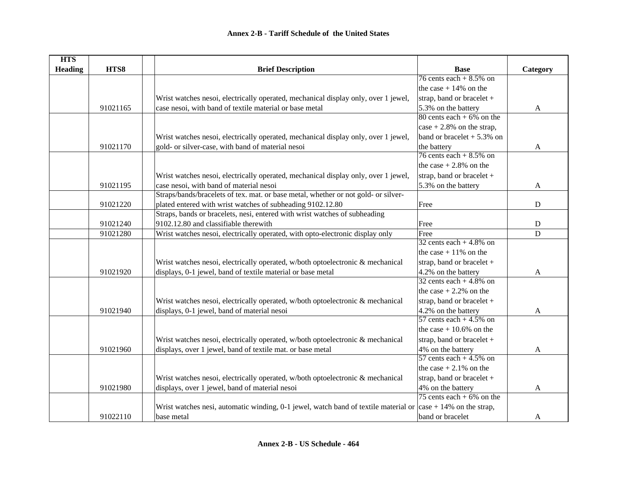| <b>HTS</b>     |          |                                                                                     |                              |              |
|----------------|----------|-------------------------------------------------------------------------------------|------------------------------|--------------|
| <b>Heading</b> | HTS8     | <b>Brief Description</b>                                                            | <b>Base</b>                  | Category     |
|                |          |                                                                                     | 76 cents each $+8.5\%$ on    |              |
|                |          |                                                                                     | the case $+14\%$ on the      |              |
|                |          | Wrist watches nesoi, electrically operated, mechanical display only, over 1 jewel,  | strap, band or bracelet +    |              |
|                | 91021165 | case nesoi, with band of textile material or base metal                             | 5.3% on the battery          | A            |
|                |          |                                                                                     | 80 cents each $+6\%$ on the  |              |
|                |          |                                                                                     | case $+2.8\%$ on the strap,  |              |
|                |          | Wrist watches nesoi, electrically operated, mechanical display only, over 1 jewel,  | band or bracelet $+5.3\%$ on |              |
|                | 91021170 | gold- or silver-case, with band of material nesoi                                   | the battery                  | A            |
|                |          |                                                                                     | 76 cents each $+8.5\%$ on    |              |
|                |          |                                                                                     | the case $+2.8\%$ on the     |              |
|                |          | Wrist watches nesoi, electrically operated, mechanical display only, over 1 jewel,  | strap, band or bracelet $+$  |              |
|                | 91021195 | case nesoi, with band of material nesoi                                             | 5.3% on the battery          | $\mathbf{A}$ |
|                |          | Straps/bands/bracelets of tex. mat. or base metal, whether or not gold- or silver-  |                              |              |
|                | 91021220 | plated entered with wrist watches of subheading 9102.12.80                          | Free                         | ${\bf D}$    |
|                |          | Straps, bands or bracelets, nesi, entered with wrist watches of subheading          |                              |              |
|                | 91021240 | 9102.12.80 and classifiable therewith                                               | Free                         | ${\bf D}$    |
|                | 91021280 | Wrist watches nesoi, electrically operated, with opto-electronic display only       | Free                         | D            |
|                |          |                                                                                     | 32 cents each $+4.8\%$ on    |              |
|                |          |                                                                                     | the case $+11\%$ on the      |              |
|                |          | Wrist watches nesoi, electrically operated, w/both optoelectronic & mechanical      | strap, band or bracelet +    |              |
|                | 91021920 | displays, 0-1 jewel, band of textile material or base metal                         | 4.2% on the battery          | A            |
|                |          |                                                                                     | 32 cents each + $4.8\%$ on   |              |
|                |          |                                                                                     | the case $+2.2\%$ on the     |              |
|                |          | Wrist watches nesoi, electrically operated, w/both optoelectronic & mechanical      | strap, band or bracelet +    |              |
|                | 91021940 | displays, 0-1 jewel, band of material nesoi                                         | 4.2% on the battery          | A            |
|                |          |                                                                                     | 57 cents each $+4.5\%$ on    |              |
|                |          |                                                                                     | the case $+10.6\%$ on the    |              |
|                |          | Wrist watches nesoi, electrically operated, w/both optoelectronic & mechanical      | strap, band or bracelet +    |              |
|                | 91021960 | displays, over 1 jewel, band of textile mat. or base metal                          | 4% on the battery            | A            |
|                |          |                                                                                     | 57 cents each $+4.5\%$ on    |              |
|                |          |                                                                                     | the case $+2.1\%$ on the     |              |
|                |          | Wrist watches nesoi, electrically operated, w/both optoelectronic & mechanical      | strap, band or bracelet +    |              |
|                | 91021980 | displays, over 1 jewel, band of material nesoi                                      | 4% on the battery            | A            |
|                |          |                                                                                     | 75 cents each + $6\%$ on the |              |
|                |          | Wrist watches nesi, automatic winding, 0-1 jewel, watch band of textile material or | $\cos$ = 14% on the strap,   |              |
|                | 91022110 | base metal                                                                          | band or bracelet             | A            |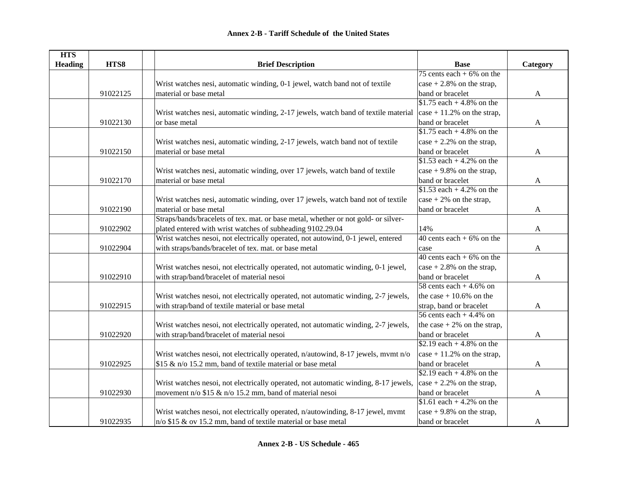| <b>HTS</b>     |          |                                                                                     |                                                     |              |
|----------------|----------|-------------------------------------------------------------------------------------|-----------------------------------------------------|--------------|
| <b>Heading</b> | HTS8     | <b>Brief Description</b>                                                            | <b>Base</b>                                         | Category     |
|                |          |                                                                                     | 75 cents each $+6\%$ on the                         |              |
|                |          | Wrist watches nesi, automatic winding, 0-1 jewel, watch band not of textile         | $\cos$ + 2.8% on the strap,                         |              |
|                | 91022125 | material or base metal                                                              | band or bracelet                                    | $\mathbf{A}$ |
|                |          |                                                                                     | \$1.75 each + 4.8% on the                           |              |
|                |          | Wrist watches nesi, automatic winding, 2-17 jewels, watch band of textile material  | $\vert \text{case} + 11.2\% \text{ on the strap, }$ |              |
|                | 91022130 | or base metal                                                                       | band or bracelet                                    | A            |
|                |          |                                                                                     | \$1.75 each + 4.8% on the                           |              |
|                |          | Wrist watches nesi, automatic winding, 2-17 jewels, watch band not of textile       | case $+2.2\%$ on the strap,                         |              |
|                | 91022150 | material or base metal                                                              | band or bracelet                                    | A            |
|                |          |                                                                                     | \$1.53 each + 4.2% on the                           |              |
|                |          | Wrist watches nesi, automatic winding, over 17 jewels, watch band of textile        | case $+9.8\%$ on the strap,                         |              |
|                | 91022170 | material or base metal                                                              | band or bracelet                                    | A            |
|                |          |                                                                                     | \$1.53 each + 4.2% on the                           |              |
|                |          | Wrist watches nesi, automatic winding, over 17 jewels, watch band not of textile    | case $+2\%$ on the strap,                           |              |
|                | 91022190 | material or base metal                                                              | band or bracelet                                    | A            |
|                |          | Straps/bands/bracelets of tex. mat. or base metal, whether or not gold- or silver-  |                                                     |              |
|                | 91022902 | plated entered with wrist watches of subheading 9102.29.04                          | 14%                                                 | A            |
|                |          | Wrist watches nesoi, not electrically operated, not autowind, 0-1 jewel, entered    | 40 cents each $+6\%$ on the                         |              |
|                | 91022904 | with straps/bands/bracelet of tex. mat. or base metal                               | case                                                | A            |
|                |          |                                                                                     | 40 cents each $+6\%$ on the                         |              |
|                |          | Wrist watches nesoi, not electrically operated, not automatic winding, 0-1 jewel,   | case $+2.8\%$ on the strap,                         |              |
|                | 91022910 | with strap/band/bracelet of material nesoi                                          | band or bracelet                                    | $\mathbf{A}$ |
|                |          |                                                                                     | 58 cents each $+4.6\%$ on                           |              |
|                |          | Wrist watches nesoi, not electrically operated, not automatic winding, 2-7 jewels,  | the case $+10.6\%$ on the                           |              |
|                | 91022915 | with strap/band of textile material or base metal                                   | strap, band or bracelet                             | $\mathbf{A}$ |
|                |          |                                                                                     | 56 cents each $+4.4\%$ on                           |              |
|                |          | Wrist watches nesoi, not electrically operated, not automatic winding, 2-7 jewels,  | the case $+2\%$ on the strap,                       |              |
|                | 91022920 | with strap/band/bracelet of material nesoi                                          | band or bracelet                                    | A            |
|                |          |                                                                                     | \$2.19 each + 4.8% on the                           |              |
|                |          | Wrist watches nesoi, not electrically operated, n/autowind, 8-17 jewels, mvmt n/o   | case $+11.2\%$ on the strap,                        |              |
|                | 91022925 | \$15 & n/o 15.2 mm, band of textile material or base metal                          | band or bracelet                                    | $\mathbf{A}$ |
|                |          |                                                                                     | \$2.19 each + 4.8% on the                           |              |
|                |          | Wrist watches nesoi, not electrically operated, not automatic winding, 8-17 jewels, | $\cos$ = 1.2% on the strap,                         |              |
|                | 91022930 | movement n/o $$15 \& n$ /o $15.2$ mm, band of material nesoi                        | band or bracelet                                    | A            |
|                |          |                                                                                     | \$1.61 each + 4.2% on the                           |              |
|                |          | Wrist watches nesoi, not electrically operated, n/autowinding, 8-17 jewel, mvmt     | case $+9.8\%$ on the strap,                         |              |
|                | 91022935 | $n/o$ \$15 & ov 15.2 mm, band of textile material or base metal                     | band or bracelet                                    | A            |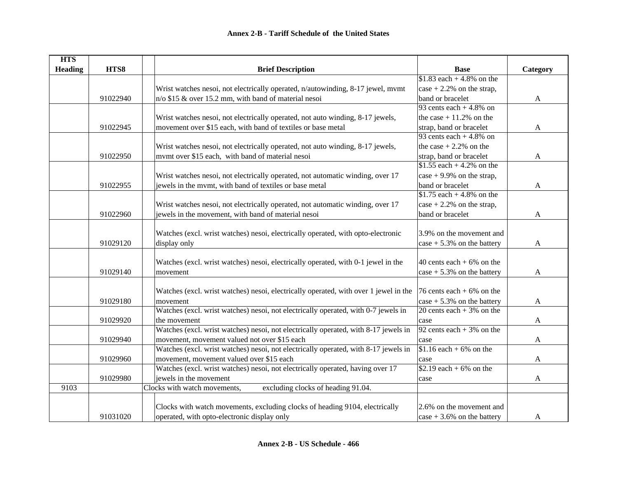| <b>HTS</b>     |          |                                                                                      |                                     |              |
|----------------|----------|--------------------------------------------------------------------------------------|-------------------------------------|--------------|
| <b>Heading</b> | HTS8     | <b>Brief Description</b>                                                             | <b>Base</b>                         | Category     |
|                |          |                                                                                      | \$1.83 each + 4.8% on the           |              |
|                |          | Wrist watches nesoi, not electrically operated, n/autowinding, 8-17 jewel, mvmt      | case $+2.2\%$ on the strap,         |              |
|                | 91022940 | $n$ /o \$15 & over 15.2 mm, with band of material nesoi                              | band or bracelet                    | A            |
|                |          |                                                                                      | 93 cents each $+4.8\%$ on           |              |
|                |          | Wrist watches nesoi, not electrically operated, not auto winding, 8-17 jewels,       | the case $+11.2\%$ on the           |              |
|                | 91022945 | movement over \$15 each, with band of textiles or base metal                         | strap, band or bracelet             | $\mathbf{A}$ |
|                |          |                                                                                      | 93 cents each $+4.8\%$ on           |              |
|                |          | Wrist watches nesoi, not electrically operated, not auto winding, 8-17 jewels,       | the case $+2.2%$ on the             |              |
|                | 91022950 | mvmt over \$15 each, with band of material nesoi                                     | strap, band or bracelet             | A            |
|                |          |                                                                                      | \$1.55 each + 4.2% on the           |              |
|                |          | Wrist watches nesoi, not electrically operated, not automatic winding, over 17       | $\cos$ + 9.9% on the strap,         |              |
|                | 91022955 | jewels in the mvmt, with band of textiles or base metal                              | band or bracelet                    | A            |
|                |          |                                                                                      | \$1.75 each + 4.8% on the           |              |
|                |          | Wrist watches nesoi, not electrically operated, not automatic winding, over 17       | $\cos \theta + 2.2\%$ on the strap, |              |
|                | 91022960 | jewels in the movement, with band of material nesoi                                  | band or bracelet                    | A            |
|                |          |                                                                                      |                                     |              |
|                |          | Watches (excl. wrist watches) nesoi, electrically operated, with opto-electronic     | 3.9% on the movement and            |              |
|                | 91029120 | display only                                                                         | case $+5.3\%$ on the battery        | A            |
|                |          |                                                                                      |                                     |              |
|                |          | Watches (excl. wrist watches) nesoi, electrically operated, with 0-1 jewel in the    | 40 cents each $+6\%$ on the         |              |
|                | 91029140 | movement                                                                             | case $+5.3\%$ on the battery        | A            |
|                |          |                                                                                      |                                     |              |
|                |          | Watches (excl. wrist watches) nesoi, electrically operated, with over 1 jewel in the | 76 cents each $+6\%$ on the         |              |
|                | 91029180 | movement                                                                             | case $+5.3\%$ on the battery        | $\mathbf{A}$ |
|                |          | Watches (excl. wrist watches) nesoi, not electrically operated, with 0-7 jewels in   | 20 cents each $+3\%$ on the         |              |
|                | 91029920 | the movement                                                                         | case                                | $\mathbf{A}$ |
|                |          | Watches (excl. wrist watches) nesoi, not electrically operated, with 8-17 jewels in  | 92 cents each $+3\%$ on the         |              |
|                | 91029940 | movement, movement valued not over \$15 each                                         | case                                | $\mathbf{A}$ |
|                |          | Watches (excl. wrist watches) nesoi, not electrically operated, with 8-17 jewels in  | \$1.16 each + $6\%$ on the          |              |
|                | 91029960 | movement, movement valued over \$15 each                                             | case                                | $\mathbf{A}$ |
|                |          | Watches (excl. wrist watches) nesoi, not electrically operated, having over 17       | \$2.19 each + $6\%$ on the          |              |
|                | 91029980 | jewels in the movement                                                               | case                                | $\mathbf{A}$ |
| 9103           |          | excluding clocks of heading 91.04.<br>Clocks with watch movements,                   |                                     |              |
|                |          |                                                                                      |                                     |              |
|                |          | Clocks with watch movements, excluding clocks of heading 9104, electrically          | 2.6% on the movement and            |              |
|                | 91031020 | operated, with opto-electronic display only                                          | case $+3.6\%$ on the battery        | $\mathbf{A}$ |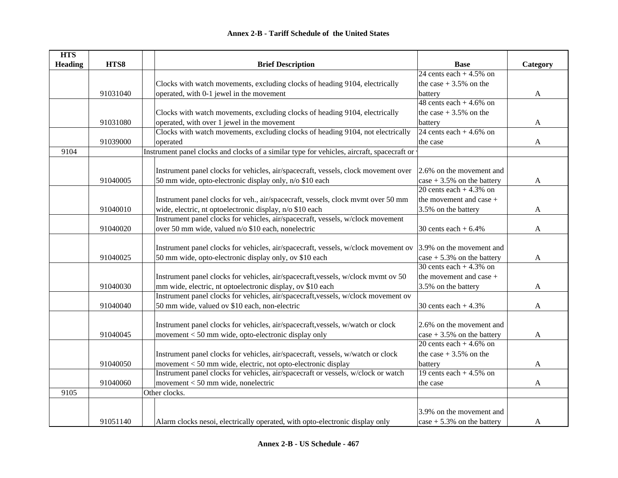| HTS8<br><b>Heading</b><br><b>Brief Description</b><br>Category<br><b>Base</b><br>24 cents each $+4.5\%$ on<br>Clocks with watch movements, excluding clocks of heading 9104, electrically<br>the case $+3.5%$ on the<br>91031040<br>operated, with 0-1 jewel in the movement<br>battery<br>$\mathbf{A}$<br>48 cents each $+4.6\%$ on<br>Clocks with watch movements, excluding clocks of heading 9104, electrically<br>the case $+3.5%$ on the<br>operated, with over 1 jewel in the movement<br>91031080<br>battery<br>A<br>Clocks with watch movements, excluding clocks of heading 9104, not electrically<br>24 cents each $+4.6\%$ on<br>operated<br>91039000<br>the case<br>$\mathbf{A}$<br>Instrument panel clocks and clocks of a similar type for vehicles, aircraft, spacecraft or<br>9104<br>Instrument panel clocks for vehicles, air/spacecraft, vessels, clock movement over<br>2.6% on the movement and<br>50 mm wide, opto-electronic display only, n/o \$10 each<br>91040005<br>case $+3.5\%$ on the battery<br>A<br>20 cents each $+4.3\%$ on<br>Instrument panel clocks for veh., air/spacecraft, vessels, clock mvmt over 50 mm<br>the movement and case +<br>wide, electric, nt optoelectronic display, n/o \$10 each<br>91040010<br>3.5% on the battery<br>A<br>Instrument panel clocks for vehicles, air/spacecraft, vessels, w/clock movement<br>over 50 mm wide, valued n/o \$10 each, nonelectric<br>91040020<br>30 cents each $+6.4\%$<br>A<br>Instrument panel clocks for vehicles, air/spacecraft, vessels, w/clock movement ov<br>3.9% on the movement and<br>50 mm wide, opto-electronic display only, ov \$10 each<br>91040025<br>case $+5.3\%$ on the battery<br>A<br>30 cents each $+4.3\%$ on<br>the movement and case +<br>Instrument panel clocks for vehicles, air/spacecraft, vessels, w/clock mvmt ov 50<br>mm wide, electric, nt optoelectronic display, ov \$10 each<br>3.5% on the battery<br>91040030<br>A<br>Instrument panel clocks for vehicles, air/spacecraft, vessels, w/clock movement ov<br>50 mm wide, valued ov \$10 each, non-electric<br>91040040<br>30 cents each $+4.3%$<br>$\mathbf{A}$<br>Instrument panel clocks for vehicles, air/spacecraft, vessels, w/watch or clock<br>2.6% on the movement and |
|------------------------------------------------------------------------------------------------------------------------------------------------------------------------------------------------------------------------------------------------------------------------------------------------------------------------------------------------------------------------------------------------------------------------------------------------------------------------------------------------------------------------------------------------------------------------------------------------------------------------------------------------------------------------------------------------------------------------------------------------------------------------------------------------------------------------------------------------------------------------------------------------------------------------------------------------------------------------------------------------------------------------------------------------------------------------------------------------------------------------------------------------------------------------------------------------------------------------------------------------------------------------------------------------------------------------------------------------------------------------------------------------------------------------------------------------------------------------------------------------------------------------------------------------------------------------------------------------------------------------------------------------------------------------------------------------------------------------------------------------------------------------------------------------------------------------------------------------------------------------------------------------------------------------------------------------------------------------------------------------------------------------------------------------------------------------------------------------------------------------------------------------------------------------------------------------------------------------------------------------------------------|
|                                                                                                                                                                                                                                                                                                                                                                                                                                                                                                                                                                                                                                                                                                                                                                                                                                                                                                                                                                                                                                                                                                                                                                                                                                                                                                                                                                                                                                                                                                                                                                                                                                                                                                                                                                                                                                                                                                                                                                                                                                                                                                                                                                                                                                                                  |
|                                                                                                                                                                                                                                                                                                                                                                                                                                                                                                                                                                                                                                                                                                                                                                                                                                                                                                                                                                                                                                                                                                                                                                                                                                                                                                                                                                                                                                                                                                                                                                                                                                                                                                                                                                                                                                                                                                                                                                                                                                                                                                                                                                                                                                                                  |
|                                                                                                                                                                                                                                                                                                                                                                                                                                                                                                                                                                                                                                                                                                                                                                                                                                                                                                                                                                                                                                                                                                                                                                                                                                                                                                                                                                                                                                                                                                                                                                                                                                                                                                                                                                                                                                                                                                                                                                                                                                                                                                                                                                                                                                                                  |
|                                                                                                                                                                                                                                                                                                                                                                                                                                                                                                                                                                                                                                                                                                                                                                                                                                                                                                                                                                                                                                                                                                                                                                                                                                                                                                                                                                                                                                                                                                                                                                                                                                                                                                                                                                                                                                                                                                                                                                                                                                                                                                                                                                                                                                                                  |
|                                                                                                                                                                                                                                                                                                                                                                                                                                                                                                                                                                                                                                                                                                                                                                                                                                                                                                                                                                                                                                                                                                                                                                                                                                                                                                                                                                                                                                                                                                                                                                                                                                                                                                                                                                                                                                                                                                                                                                                                                                                                                                                                                                                                                                                                  |
|                                                                                                                                                                                                                                                                                                                                                                                                                                                                                                                                                                                                                                                                                                                                                                                                                                                                                                                                                                                                                                                                                                                                                                                                                                                                                                                                                                                                                                                                                                                                                                                                                                                                                                                                                                                                                                                                                                                                                                                                                                                                                                                                                                                                                                                                  |
|                                                                                                                                                                                                                                                                                                                                                                                                                                                                                                                                                                                                                                                                                                                                                                                                                                                                                                                                                                                                                                                                                                                                                                                                                                                                                                                                                                                                                                                                                                                                                                                                                                                                                                                                                                                                                                                                                                                                                                                                                                                                                                                                                                                                                                                                  |
|                                                                                                                                                                                                                                                                                                                                                                                                                                                                                                                                                                                                                                                                                                                                                                                                                                                                                                                                                                                                                                                                                                                                                                                                                                                                                                                                                                                                                                                                                                                                                                                                                                                                                                                                                                                                                                                                                                                                                                                                                                                                                                                                                                                                                                                                  |
|                                                                                                                                                                                                                                                                                                                                                                                                                                                                                                                                                                                                                                                                                                                                                                                                                                                                                                                                                                                                                                                                                                                                                                                                                                                                                                                                                                                                                                                                                                                                                                                                                                                                                                                                                                                                                                                                                                                                                                                                                                                                                                                                                                                                                                                                  |
|                                                                                                                                                                                                                                                                                                                                                                                                                                                                                                                                                                                                                                                                                                                                                                                                                                                                                                                                                                                                                                                                                                                                                                                                                                                                                                                                                                                                                                                                                                                                                                                                                                                                                                                                                                                                                                                                                                                                                                                                                                                                                                                                                                                                                                                                  |
|                                                                                                                                                                                                                                                                                                                                                                                                                                                                                                                                                                                                                                                                                                                                                                                                                                                                                                                                                                                                                                                                                                                                                                                                                                                                                                                                                                                                                                                                                                                                                                                                                                                                                                                                                                                                                                                                                                                                                                                                                                                                                                                                                                                                                                                                  |
|                                                                                                                                                                                                                                                                                                                                                                                                                                                                                                                                                                                                                                                                                                                                                                                                                                                                                                                                                                                                                                                                                                                                                                                                                                                                                                                                                                                                                                                                                                                                                                                                                                                                                                                                                                                                                                                                                                                                                                                                                                                                                                                                                                                                                                                                  |
|                                                                                                                                                                                                                                                                                                                                                                                                                                                                                                                                                                                                                                                                                                                                                                                                                                                                                                                                                                                                                                                                                                                                                                                                                                                                                                                                                                                                                                                                                                                                                                                                                                                                                                                                                                                                                                                                                                                                                                                                                                                                                                                                                                                                                                                                  |
|                                                                                                                                                                                                                                                                                                                                                                                                                                                                                                                                                                                                                                                                                                                                                                                                                                                                                                                                                                                                                                                                                                                                                                                                                                                                                                                                                                                                                                                                                                                                                                                                                                                                                                                                                                                                                                                                                                                                                                                                                                                                                                                                                                                                                                                                  |
|                                                                                                                                                                                                                                                                                                                                                                                                                                                                                                                                                                                                                                                                                                                                                                                                                                                                                                                                                                                                                                                                                                                                                                                                                                                                                                                                                                                                                                                                                                                                                                                                                                                                                                                                                                                                                                                                                                                                                                                                                                                                                                                                                                                                                                                                  |
|                                                                                                                                                                                                                                                                                                                                                                                                                                                                                                                                                                                                                                                                                                                                                                                                                                                                                                                                                                                                                                                                                                                                                                                                                                                                                                                                                                                                                                                                                                                                                                                                                                                                                                                                                                                                                                                                                                                                                                                                                                                                                                                                                                                                                                                                  |
|                                                                                                                                                                                                                                                                                                                                                                                                                                                                                                                                                                                                                                                                                                                                                                                                                                                                                                                                                                                                                                                                                                                                                                                                                                                                                                                                                                                                                                                                                                                                                                                                                                                                                                                                                                                                                                                                                                                                                                                                                                                                                                                                                                                                                                                                  |
|                                                                                                                                                                                                                                                                                                                                                                                                                                                                                                                                                                                                                                                                                                                                                                                                                                                                                                                                                                                                                                                                                                                                                                                                                                                                                                                                                                                                                                                                                                                                                                                                                                                                                                                                                                                                                                                                                                                                                                                                                                                                                                                                                                                                                                                                  |
|                                                                                                                                                                                                                                                                                                                                                                                                                                                                                                                                                                                                                                                                                                                                                                                                                                                                                                                                                                                                                                                                                                                                                                                                                                                                                                                                                                                                                                                                                                                                                                                                                                                                                                                                                                                                                                                                                                                                                                                                                                                                                                                                                                                                                                                                  |
|                                                                                                                                                                                                                                                                                                                                                                                                                                                                                                                                                                                                                                                                                                                                                                                                                                                                                                                                                                                                                                                                                                                                                                                                                                                                                                                                                                                                                                                                                                                                                                                                                                                                                                                                                                                                                                                                                                                                                                                                                                                                                                                                                                                                                                                                  |
|                                                                                                                                                                                                                                                                                                                                                                                                                                                                                                                                                                                                                                                                                                                                                                                                                                                                                                                                                                                                                                                                                                                                                                                                                                                                                                                                                                                                                                                                                                                                                                                                                                                                                                                                                                                                                                                                                                                                                                                                                                                                                                                                                                                                                                                                  |
|                                                                                                                                                                                                                                                                                                                                                                                                                                                                                                                                                                                                                                                                                                                                                                                                                                                                                                                                                                                                                                                                                                                                                                                                                                                                                                                                                                                                                                                                                                                                                                                                                                                                                                                                                                                                                                                                                                                                                                                                                                                                                                                                                                                                                                                                  |
|                                                                                                                                                                                                                                                                                                                                                                                                                                                                                                                                                                                                                                                                                                                                                                                                                                                                                                                                                                                                                                                                                                                                                                                                                                                                                                                                                                                                                                                                                                                                                                                                                                                                                                                                                                                                                                                                                                                                                                                                                                                                                                                                                                                                                                                                  |
|                                                                                                                                                                                                                                                                                                                                                                                                                                                                                                                                                                                                                                                                                                                                                                                                                                                                                                                                                                                                                                                                                                                                                                                                                                                                                                                                                                                                                                                                                                                                                                                                                                                                                                                                                                                                                                                                                                                                                                                                                                                                                                                                                                                                                                                                  |
|                                                                                                                                                                                                                                                                                                                                                                                                                                                                                                                                                                                                                                                                                                                                                                                                                                                                                                                                                                                                                                                                                                                                                                                                                                                                                                                                                                                                                                                                                                                                                                                                                                                                                                                                                                                                                                                                                                                                                                                                                                                                                                                                                                                                                                                                  |
|                                                                                                                                                                                                                                                                                                                                                                                                                                                                                                                                                                                                                                                                                                                                                                                                                                                                                                                                                                                                                                                                                                                                                                                                                                                                                                                                                                                                                                                                                                                                                                                                                                                                                                                                                                                                                                                                                                                                                                                                                                                                                                                                                                                                                                                                  |
|                                                                                                                                                                                                                                                                                                                                                                                                                                                                                                                                                                                                                                                                                                                                                                                                                                                                                                                                                                                                                                                                                                                                                                                                                                                                                                                                                                                                                                                                                                                                                                                                                                                                                                                                                                                                                                                                                                                                                                                                                                                                                                                                                                                                                                                                  |
|                                                                                                                                                                                                                                                                                                                                                                                                                                                                                                                                                                                                                                                                                                                                                                                                                                                                                                                                                                                                                                                                                                                                                                                                                                                                                                                                                                                                                                                                                                                                                                                                                                                                                                                                                                                                                                                                                                                                                                                                                                                                                                                                                                                                                                                                  |
| 91040045<br>movement < 50 mm wide, opto-electronic display only<br>case $+3.5\%$ on the battery<br>$\mathbf{A}$                                                                                                                                                                                                                                                                                                                                                                                                                                                                                                                                                                                                                                                                                                                                                                                                                                                                                                                                                                                                                                                                                                                                                                                                                                                                                                                                                                                                                                                                                                                                                                                                                                                                                                                                                                                                                                                                                                                                                                                                                                                                                                                                                  |
| 20 cents each $+4.6\%$ on                                                                                                                                                                                                                                                                                                                                                                                                                                                                                                                                                                                                                                                                                                                                                                                                                                                                                                                                                                                                                                                                                                                                                                                                                                                                                                                                                                                                                                                                                                                                                                                                                                                                                                                                                                                                                                                                                                                                                                                                                                                                                                                                                                                                                                        |
| Instrument panel clocks for vehicles, air/spacecraft, vessels, w/watch or clock<br>the case $+3.5%$ on the                                                                                                                                                                                                                                                                                                                                                                                                                                                                                                                                                                                                                                                                                                                                                                                                                                                                                                                                                                                                                                                                                                                                                                                                                                                                                                                                                                                                                                                                                                                                                                                                                                                                                                                                                                                                                                                                                                                                                                                                                                                                                                                                                       |
| movement < 50 mm wide, electric, not opto-electronic display<br>91040050<br>battery<br>$\mathbf{A}$                                                                                                                                                                                                                                                                                                                                                                                                                                                                                                                                                                                                                                                                                                                                                                                                                                                                                                                                                                                                                                                                                                                                                                                                                                                                                                                                                                                                                                                                                                                                                                                                                                                                                                                                                                                                                                                                                                                                                                                                                                                                                                                                                              |
| Instrument panel clocks for vehicles, air/spacecraft or vessels, w/clock or watch<br>19 cents each $+4.5\%$ on                                                                                                                                                                                                                                                                                                                                                                                                                                                                                                                                                                                                                                                                                                                                                                                                                                                                                                                                                                                                                                                                                                                                                                                                                                                                                                                                                                                                                                                                                                                                                                                                                                                                                                                                                                                                                                                                                                                                                                                                                                                                                                                                                   |
| movement < 50 mm wide, nonelectric<br>91040060<br>the case<br>$\mathbf{A}$                                                                                                                                                                                                                                                                                                                                                                                                                                                                                                                                                                                                                                                                                                                                                                                                                                                                                                                                                                                                                                                                                                                                                                                                                                                                                                                                                                                                                                                                                                                                                                                                                                                                                                                                                                                                                                                                                                                                                                                                                                                                                                                                                                                       |
| 9105<br>Other clocks.                                                                                                                                                                                                                                                                                                                                                                                                                                                                                                                                                                                                                                                                                                                                                                                                                                                                                                                                                                                                                                                                                                                                                                                                                                                                                                                                                                                                                                                                                                                                                                                                                                                                                                                                                                                                                                                                                                                                                                                                                                                                                                                                                                                                                                            |
|                                                                                                                                                                                                                                                                                                                                                                                                                                                                                                                                                                                                                                                                                                                                                                                                                                                                                                                                                                                                                                                                                                                                                                                                                                                                                                                                                                                                                                                                                                                                                                                                                                                                                                                                                                                                                                                                                                                                                                                                                                                                                                                                                                                                                                                                  |
| 3.9% on the movement and                                                                                                                                                                                                                                                                                                                                                                                                                                                                                                                                                                                                                                                                                                                                                                                                                                                                                                                                                                                                                                                                                                                                                                                                                                                                                                                                                                                                                                                                                                                                                                                                                                                                                                                                                                                                                                                                                                                                                                                                                                                                                                                                                                                                                                         |
| 91051140<br>Alarm clocks nesoi, electrically operated, with opto-electronic display only<br>case $+5.3\%$ on the battery<br>A                                                                                                                                                                                                                                                                                                                                                                                                                                                                                                                                                                                                                                                                                                                                                                                                                                                                                                                                                                                                                                                                                                                                                                                                                                                                                                                                                                                                                                                                                                                                                                                                                                                                                                                                                                                                                                                                                                                                                                                                                                                                                                                                    |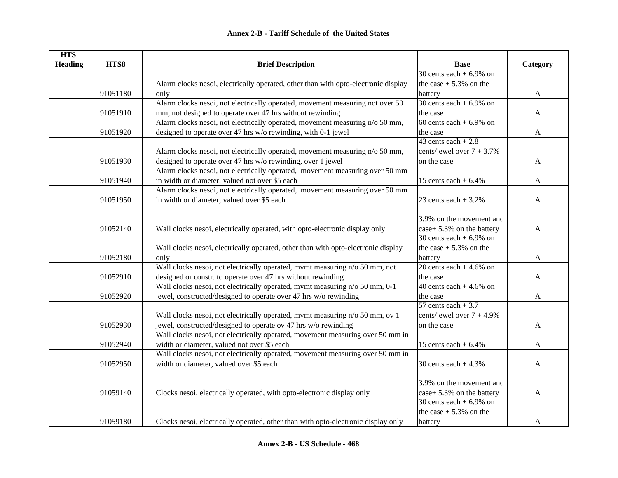| <b>HTS</b>     |          |                                                                                    |                              |              |
|----------------|----------|------------------------------------------------------------------------------------|------------------------------|--------------|
| <b>Heading</b> | HTS8     | <b>Brief Description</b>                                                           | <b>Base</b>                  | Category     |
|                |          |                                                                                    | 30 cents each $+6.9\%$ on    |              |
|                |          | Alarm clocks nesoi, electrically operated, other than with opto-electronic display | the case $+5.3\%$ on the     |              |
|                | 91051180 | only                                                                               | battery                      | A            |
|                |          | Alarm clocks nesoi, not electrically operated, movement measuring not over 50      | 30 cents each $+6.9\%$ on    |              |
|                | 91051910 | mm, not designed to operate over 47 hrs without rewinding                          | the case                     | $\mathbf{A}$ |
|                |          | Alarm clocks nesoi, not electrically operated, movement measuring n/o 50 mm,       | 60 cents each $+6.9\%$ on    |              |
|                | 91051920 | designed to operate over 47 hrs w/o rewinding, with 0-1 jewel                      | the case                     | A            |
|                |          |                                                                                    | 43 cents each $+2.8$         |              |
|                |          | Alarm clocks nesoi, not electrically operated, movement measuring n/o 50 mm,       | cents/jewel over $7 + 3.7\%$ |              |
|                | 91051930 | designed to operate over 47 hrs w/o rewinding, over 1 jewel                        | on the case                  | A            |
|                |          | Alarm clocks nesoi, not electrically operated, movement measuring over 50 mm       |                              |              |
|                | 91051940 | in width or diameter, valued not over \$5 each                                     | 15 cents each $+6.4\%$       | A            |
|                |          | Alarm clocks nesoi, not electrically operated, movement measuring over 50 mm       |                              |              |
|                | 91051950 | in width or diameter, valued over \$5 each                                         | 23 cents each $+3.2%$        | A            |
|                |          |                                                                                    |                              |              |
|                |          |                                                                                    | 3.9% on the movement and     |              |
|                | 91052140 | Wall clocks nesoi, electrically operated, with opto-electronic display only        | case+ 5.3% on the battery    | A            |
|                |          |                                                                                    | 30 cents each $+6.9\%$ on    |              |
|                |          | Wall clocks nesoi, electrically operated, other than with opto-electronic display  | the case $+5.3\%$ on the     |              |
|                | 91052180 | only                                                                               | battery                      | A            |
|                |          | Wall clocks nesoi, not electrically operated, mvmt measuring n/o 50 mm, not        | 20 cents each $+4.6\%$ on    |              |
|                | 91052910 | designed or constr. to operate over 47 hrs without rewinding                       | the case                     | $\mathbf{A}$ |
|                |          | Wall clocks nesoi, not electrically operated, mvmt measuring n/o 50 mm, 0-1        | 40 cents each $+4.6\%$ on    |              |
|                | 91052920 | jewel, constructed/designed to operate over 47 hrs w/o rewinding                   | the case                     | $\mathbf{A}$ |
|                |          |                                                                                    | 57 cents each $+3.7$         |              |
|                |          | Wall clocks nesoi, not electrically operated, mvmt measuring n/o 50 mm, ov 1       | cents/jewel over $7 + 4.9\%$ |              |
|                | 91052930 | jewel, constructed/designed to operate ov 47 hrs w/o rewinding                     | on the case                  | A            |
|                |          | Wall clocks nesoi, not electrically operated, movement measuring over 50 mm in     |                              |              |
|                | 91052940 | width or diameter, valued not over \$5 each                                        | 15 cents each $+6.4%$        | A            |
|                |          | Wall clocks nesoi, not electrically operated, movement measuring over 50 mm in     |                              |              |
|                | 91052950 | width or diameter, valued over \$5 each                                            | 30 cents each $+4.3\%$       | A            |
|                |          |                                                                                    |                              |              |
|                |          |                                                                                    | 3.9% on the movement and     |              |
|                | 91059140 | Clocks nesoi, electrically operated, with opto-electronic display only             | case+ 5.3% on the battery    | A            |
|                |          |                                                                                    | 30 cents each $+6.9\%$ on    |              |
|                |          |                                                                                    | the case $+5.3\%$ on the     |              |
|                | 91059180 | Clocks nesoi, electrically operated, other than with opto-electronic display only  | battery                      | A            |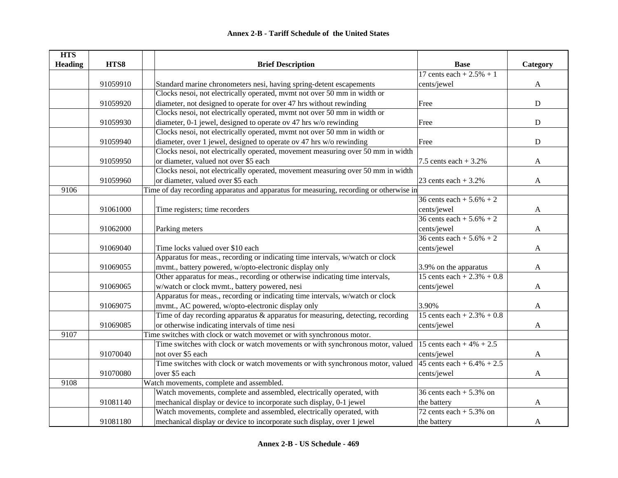| <b>HTS</b>     |          |                                                                                                        |                               |              |
|----------------|----------|--------------------------------------------------------------------------------------------------------|-------------------------------|--------------|
| <b>Heading</b> | HTS8     | <b>Brief Description</b>                                                                               | <b>Base</b>                   | Category     |
|                |          |                                                                                                        | 17 cents each + $2.5% + 1$    |              |
|                | 91059910 | Standard marine chronometers nesi, having spring-detent escapements                                    | cents/jewel                   | A            |
|                |          | Clocks nesoi, not electrically operated, mvmt not over 50 mm in width or                               |                               |              |
|                | 91059920 | diameter, not designed to operate for over 47 hrs without rewinding                                    | Free                          | ${\bf D}$    |
|                |          | Clocks nesoi, not electrically operated, mvmt not over 50 mm in width or                               |                               |              |
|                | 91059930 | diameter, 0-1 jewel, designed to operate ov 47 hrs w/o rewinding                                       | Free                          | ${\bf D}$    |
|                |          | Clocks nesoi, not electrically operated, mvmt not over 50 mm in width or                               |                               |              |
|                | 91059940 | diameter, over 1 jewel, designed to operate ov 47 hrs w/o rewinding                                    | Free                          | D            |
|                |          | Clocks nesoi, not electrically operated, movement measuring over 50 mm in width                        |                               |              |
|                | 91059950 | or diameter, valued not over \$5 each                                                                  | 7.5 cents each $+3.2%$        | $\mathbf{A}$ |
|                |          | Clocks nesoi, not electrically operated, movement measuring over 50 mm in width                        |                               |              |
|                | 91059960 | or diameter, valued over \$5 each                                                                      | 23 cents each $+3.2\%$        | A            |
| 9106           |          | Time of day recording apparatus and apparatus for measuring, recording or otherwise in                 |                               |              |
|                |          |                                                                                                        | 36 cents each + $5.6\%$ + 2   |              |
|                | 91061000 | Time registers; time recorders                                                                         | cents/jewel                   | A            |
|                |          |                                                                                                        | 36 cents each + $5.6\%$ + 2   |              |
|                | 91062000 | Parking meters                                                                                         | cents/jewel                   | A            |
|                |          |                                                                                                        | 36 cents each + $5.6\%$ + 2   |              |
|                | 91069040 | Time locks valued over \$10 each                                                                       | cents/jewel                   | A            |
|                |          | Apparatus for meas., recording or indicating time intervals, w/watch or clock                          |                               |              |
|                | 91069055 | mvmt., battery powered, w/opto-electronic display only                                                 | 3.9% on the apparatus         | A            |
|                |          | Other apparatus for meas., recording or otherwise indicating time intervals,                           | 15 cents each + $2.3\%$ + 0.8 |              |
|                | 91069065 | w/watch or clock mvmt., battery powered, nesi                                                          | cents/jewel                   | A            |
|                |          | Apparatus for meas., recording or indicating time intervals, w/watch or clock                          |                               |              |
|                | 91069075 | mvmt., AC powered, w/opto-electronic display only                                                      | 3.90%                         | $\mathbf{A}$ |
|                |          | Time of day recording apparatus & apparatus for measuring, detecting, recording                        | 15 cents each + $2.3\%$ + 0.8 |              |
|                | 91069085 | or otherwise indicating intervals of time nesi                                                         | cents/jewel                   | A            |
| 9107           |          | Time switches with clock or watch movemet or with synchronous motor.                                   |                               |              |
|                |          | Time switches with clock or watch movements or with synchronous motor, valued 15 cents each + 4% + 2.5 |                               |              |
|                | 91070040 | not over \$5 each                                                                                      | cents/jewel                   | A            |
|                |          | Time switches with clock or watch movements or with synchronous motor, valued                          | 45 cents each + $6.4\%$ + 2.5 |              |
|                | 91070080 | over \$5 each                                                                                          | cents/jewel                   | $\mathbf{A}$ |
| 9108           |          | Watch movements, complete and assembled.                                                               |                               |              |
|                |          | Watch movements, complete and assembled, electrically operated, with                                   | 36 cents each $+5.3\%$ on     |              |
|                | 91081140 | mechanical display or device to incorporate such display, 0-1 jewel                                    | the battery                   | $\mathbf{A}$ |
|                |          | Watch movements, complete and assembled, electrically operated, with                                   | 72 cents each $+5.3\%$ on     |              |
|                | 91081180 | mechanical display or device to incorporate such display, over 1 jewel                                 | the battery                   | A            |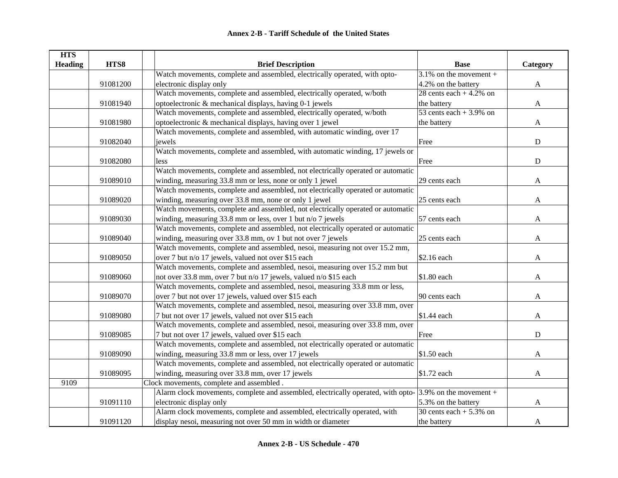| <b>HTS</b>     |          |                                                                                                            |                            |              |
|----------------|----------|------------------------------------------------------------------------------------------------------------|----------------------------|--------------|
| <b>Heading</b> | HTS8     | <b>Brief Description</b>                                                                                   | <b>Base</b>                | Category     |
|                |          | Watch movements, complete and assembled, electrically operated, with opto-                                 | $3.1\%$ on the movement +  |              |
|                | 91081200 | electronic display only                                                                                    | 4.2% on the battery        | $\mathbf{A}$ |
|                |          | Watch movements, complete and assembled, electrically operated, w/both                                     | 28 cents each $+4.2\%$ on  |              |
|                | 91081940 | optoelectronic & mechanical displays, having 0-1 jewels                                                    | the battery                | A            |
|                |          | Watch movements, complete and assembled, electrically operated, w/both                                     | 53 cents each + $3.9\%$ on |              |
|                | 91081980 | optoelectronic & mechanical displays, having over 1 jewel                                                  | the battery                | A            |
|                |          | Watch movements, complete and assembled, with automatic winding, over 17                                   |                            |              |
|                | 91082040 | jewels                                                                                                     | Free                       | ${\bf D}$    |
|                |          | Watch movements, complete and assembled, with automatic winding, 17 jewels or                              |                            |              |
|                | 91082080 | less                                                                                                       | Free                       | ${\bf D}$    |
|                |          | Watch movements, complete and assembled, not electrically operated or automatic                            |                            |              |
|                | 91089010 | winding, measuring 33.8 mm or less, none or only 1 jewel                                                   | 29 cents each              | A            |
|                |          | Watch movements, complete and assembled, not electrically operated or automatic                            |                            |              |
|                | 91089020 | winding, measuring over 33.8 mm, none or only 1 jewel                                                      | 25 cents each              | A            |
|                |          | Watch movements, complete and assembled, not electrically operated or automatic                            |                            |              |
|                | 91089030 | winding, measuring $33.8$ mm or less, over 1 but n/o 7 jewels                                              | 57 cents each              | A            |
|                |          | Watch movements, complete and assembled, not electrically operated or automatic                            |                            |              |
|                | 91089040 | winding, measuring over 33.8 mm, ov 1 but not over 7 jewels                                                | 25 cents each              | A            |
|                |          | Watch movements, complete and assembled, nesoi, measuring not over 15.2 mm,                                |                            |              |
|                | 91089050 | over 7 but n/o 17 jewels, valued not over \$15 each                                                        | \$2.16 each                | A            |
|                |          | Watch movements, complete and assembled, nesoi, measuring over 15.2 mm but                                 |                            |              |
|                | 91089060 | not over 33.8 mm, over 7 but n/o 17 jewels, valued n/o \$15 each                                           | \$1.80 each                | A            |
|                |          | Watch movements, complete and assembled, nesoi, measuring 33.8 mm or less,                                 |                            |              |
|                | 91089070 | over 7 but not over 17 jewels, valued over \$15 each                                                       | 90 cents each              | A            |
|                |          | Watch movements, complete and assembled, nesoi, measuring over 33.8 mm, over                               |                            |              |
|                | 91089080 | 7 but not over 17 jewels, valued not over \$15 each                                                        | \$1.44 each                | A            |
|                |          | Watch movements, complete and assembled, nesoi, measuring over 33.8 mm, over                               |                            |              |
|                | 91089085 | 7 but not over 17 jewels, valued over \$15 each                                                            | Free                       | ${\bf D}$    |
|                |          | Watch movements, complete and assembled, not electrically operated or automatic                            |                            |              |
|                | 91089090 | winding, measuring 33.8 mm or less, over 17 jewels                                                         | \$1.50 each                | A            |
|                |          | Watch movements, complete and assembled, not electrically operated or automatic                            |                            |              |
|                | 91089095 | winding, measuring over 33.8 mm, over 17 jewels                                                            | \$1.72 each                | $\mathbf{A}$ |
| 9109           |          | Clock movements, complete and assembled.                                                                   |                            |              |
|                |          | Alarm clock movements, complete and assembled, electrically operated, with opto- $3.9\%$ on the movement + |                            |              |
|                | 91091110 | electronic display only                                                                                    | 5.3% on the battery        | A            |
|                |          | Alarm clock movements, complete and assembled, electrically operated, with                                 | 30 cents each $+5.3\%$ on  |              |
|                | 91091120 | display nesoi, measuring not over 50 mm in width or diameter                                               | the battery                | A            |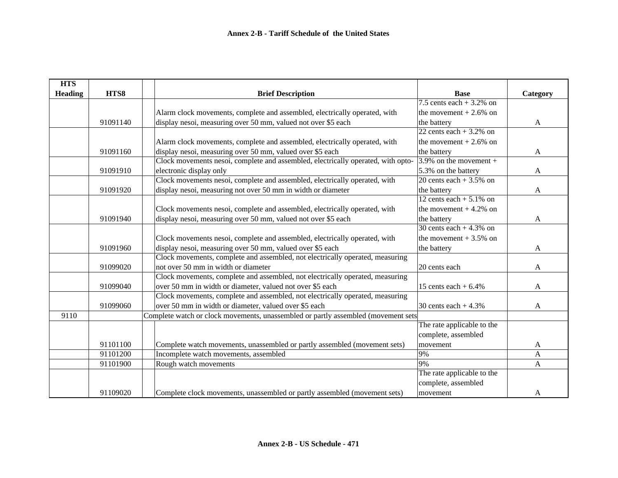| <b>HTS</b>     |          |                                                                                   |                            |              |
|----------------|----------|-----------------------------------------------------------------------------------|----------------------------|--------------|
| <b>Heading</b> | HTS8     | <b>Brief Description</b>                                                          | <b>Base</b>                | Category     |
|                |          |                                                                                   | 7.5 cents each $+3.2\%$ on |              |
|                |          | Alarm clock movements, complete and assembled, electrically operated, with        | the movement $+2.6\%$ on   |              |
|                | 91091140 | display nesoi, measuring over 50 mm, valued not over \$5 each                     | the battery                | A            |
|                |          |                                                                                   | 22 cents each $+3.2\%$ on  |              |
|                |          | Alarm clock movements, complete and assembled, electrically operated, with        | the movement $+2.6\%$ on   |              |
|                | 91091160 | display nesoi, measuring over 50 mm, valued over \$5 each                         | the battery                | A            |
|                |          | Clock movements nesoi, complete and assembled, electrically operated, with opto-  | 3.9% on the movement +     |              |
|                | 91091910 | electronic display only                                                           | 5.3% on the battery        | A            |
|                |          | Clock movements nesoi, complete and assembled, electrically operated, with        | 20 cents each $+3.5\%$ on  |              |
|                | 91091920 | display nesoi, measuring not over 50 mm in width or diameter                      | the battery                | A            |
|                |          |                                                                                   | 12 cents each $+ 5.1\%$ on |              |
|                |          | Clock movements nesoi, complete and assembled, electrically operated, with        | the movement $+4.2\%$ on   |              |
|                | 91091940 | display nesoi, measuring over 50 mm, valued not over \$5 each                     | the battery                | A            |
|                |          |                                                                                   | 30 cents each $+4.3\%$ on  |              |
|                |          | Clock movements nesoi, complete and assembled, electrically operated, with        | the movement $+3.5\%$ on   |              |
|                | 91091960 | display nesoi, measuring over 50 mm, valued over \$5 each                         | the battery                | A            |
|                |          | Clock movements, complete and assembled, not electrically operated, measuring     |                            |              |
|                | 91099020 | not over 50 mm in width or diameter                                               | 20 cents each              | A            |
|                |          | Clock movements, complete and assembled, not electrically operated, measuring     |                            |              |
|                | 91099040 | over 50 mm in width or diameter, valued not over \$5 each                         | 15 cents each $+6.4%$      | A            |
|                |          | Clock movements, complete and assembled, not electrically operated, measuring     |                            |              |
|                | 91099060 | over 50 mm in width or diameter, valued over \$5 each                             | 30 cents each $+4.3%$      | A            |
| 9110           |          | Complete watch or clock movements, unassembled or partly assembled (movement sets |                            |              |
|                |          |                                                                                   | The rate applicable to the |              |
|                |          |                                                                                   | complete, assembled        |              |
|                | 91101100 | Complete watch movements, unassembled or partly assembled (movement sets)         | movement                   | A            |
|                | 91101200 | Incomplete watch movements, assembled                                             | 9%                         | A            |
|                | 91101900 | Rough watch movements                                                             | 9%                         | $\mathbf{A}$ |
|                |          |                                                                                   | The rate applicable to the |              |
|                |          |                                                                                   | complete, assembled        |              |
|                | 91109020 | Complete clock movements, unassembled or partly assembled (movement sets)         | movement                   | A            |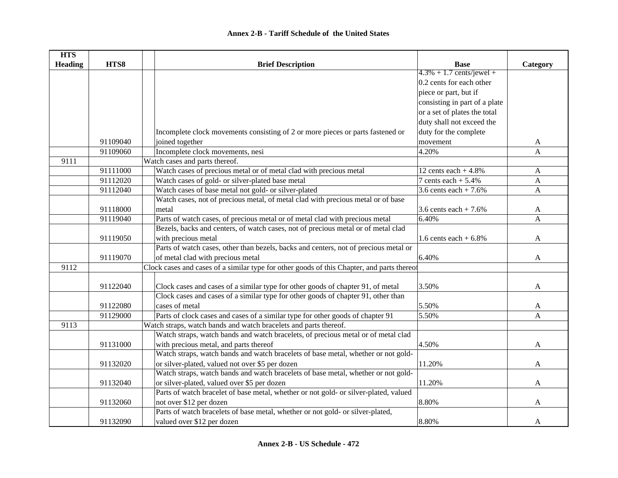| <b>HTS</b>     |          |                                                                                            |                               |              |
|----------------|----------|--------------------------------------------------------------------------------------------|-------------------------------|--------------|
| <b>Heading</b> | HTS8     | <b>Brief Description</b>                                                                   | <b>Base</b>                   | Category     |
|                |          |                                                                                            | $4.3\% + 1.7$ cents/jewel +   |              |
|                |          |                                                                                            | 0.2 cents for each other      |              |
|                |          |                                                                                            | piece or part, but if         |              |
|                |          |                                                                                            | consisting in part of a plate |              |
|                |          |                                                                                            | or a set of plates the total  |              |
|                |          |                                                                                            | duty shall not exceed the     |              |
|                |          | Incomplete clock movements consisting of 2 or more pieces or parts fastened or             | duty for the complete         |              |
|                | 91109040 | joined together                                                                            | movement                      | A            |
|                | 91109060 | Incomplete clock movements, nesi                                                           | 4.20%                         | $\mathbf A$  |
| 9111           |          | Watch cases and parts thereof.                                                             |                               |              |
|                | 91111000 | Watch cases of precious metal or of metal clad with precious metal                         | 12 cents each $+4.8\%$        | $\mathbf{A}$ |
|                | 91112020 | Watch cases of gold- or silver-plated base metal                                           | 7 cents each $+$ 5.4%         | A            |
|                | 91112040 | Watch cases of base metal not gold- or silver-plated                                       | 3.6 cents each $+7.6%$        | $\mathbf{A}$ |
|                |          | Watch cases, not of precious metal, of metal clad with precious metal or of base           |                               |              |
|                | 91118000 | metal                                                                                      | 3.6 cents each $+7.6%$        | A            |
|                | 91119040 | Parts of watch cases, of precious metal or of metal clad with precious metal               | 6.40%                         | A            |
|                |          | Bezels, backs and centers, of watch cases, not of precious metal or of metal clad          |                               |              |
|                | 91119050 | with precious metal                                                                        | 1.6 cents each $+6.8\%$       | A            |
|                |          | Parts of watch cases, other than bezels, backs and centers, not of precious metal or       |                               |              |
|                | 91119070 | of metal clad with precious metal                                                          | 6.40%                         | A            |
| 9112           |          | Clock cases and cases of a similar type for other goods of this Chapter, and parts thereof |                               |              |
|                |          |                                                                                            |                               |              |
|                | 91122040 | Clock cases and cases of a similar type for other goods of chapter 91, of metal            | 3.50%                         | A            |
|                |          | Clock cases and cases of a similar type for other goods of chapter 91, other than          |                               |              |
|                | 91122080 | cases of metal                                                                             | 5.50%                         | A            |
|                | 91129000 | Parts of clock cases and cases of a similar type for other goods of chapter 91             | 5.50%                         | A            |
| 9113           |          | Watch straps, watch bands and watch bracelets and parts thereof.                           |                               |              |
|                |          | Watch straps, watch bands and watch bracelets, of precious metal or of metal clad          |                               |              |
|                | 91131000 | with precious metal, and parts thereof                                                     | 4.50%                         | A            |
|                |          | Watch straps, watch bands and watch bracelets of base metal, whether or not gold-          |                               |              |
|                | 91132020 | or silver-plated, valued not over \$5 per dozen                                            | 11.20%                        | A            |
|                |          | Watch straps, watch bands and watch bracelets of base metal, whether or not gold-          |                               |              |
|                | 91132040 | or silver-plated, valued over \$5 per dozen                                                | 11.20%                        | A            |
|                |          | Parts of watch bracelet of base metal, whether or not gold- or silver-plated, valued       |                               |              |
|                | 91132060 | not over \$12 per dozen                                                                    | 8.80%                         | A            |
|                |          | Parts of watch bracelets of base metal, whether or not gold- or silver-plated,             |                               |              |
|                | 91132090 | valued over \$12 per dozen                                                                 | 8.80%                         | A            |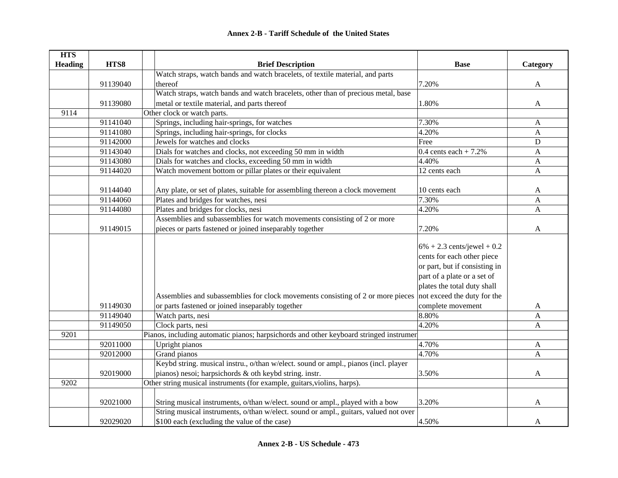| <b>HTS</b>     |          |                                                                                                             |                               |                           |
|----------------|----------|-------------------------------------------------------------------------------------------------------------|-------------------------------|---------------------------|
| <b>Heading</b> | HTS8     | <b>Brief Description</b>                                                                                    | <b>Base</b>                   | Category                  |
|                |          | Watch straps, watch bands and watch bracelets, of textile material, and parts                               |                               |                           |
|                | 91139040 | thereof                                                                                                     | 7.20%                         | $\mathbf{A}$              |
|                |          | Watch straps, watch bands and watch bracelets, other than of precious metal, base                           |                               |                           |
|                | 91139080 | metal or textile material, and parts thereof                                                                | 1.80%                         | $\mathbf{A}$              |
| 9114           |          | Other clock or watch parts.                                                                                 |                               |                           |
|                | 91141040 | Springs, including hair-springs, for watches                                                                | 7.30%                         | $\mathbf{A}$              |
|                | 91141080 | Springs, including hair-springs, for clocks                                                                 | 4.20%                         | $\mathbf{A}$              |
|                | 91142000 | Jewels for watches and clocks                                                                               | Free                          | ${\bf D}$                 |
|                | 91143040 | Dials for watches and clocks, not exceeding 50 mm in width                                                  | 0.4 cents each $+ 7.2%$       | $\mathbf{A}$              |
|                | 91143080 | Dials for watches and clocks, exceeding 50 mm in width                                                      | 4.40%                         | A                         |
|                | 91144020 | Watch movement bottom or pillar plates or their equivalent                                                  | 12 cents each                 | $\mathbf{A}$              |
|                |          |                                                                                                             |                               |                           |
|                | 91144040 | Any plate, or set of plates, suitable for assembling thereon a clock movement                               | 10 cents each                 | A                         |
|                | 91144060 | Plates and bridges for watches, nesi                                                                        | 7.30%                         | A                         |
|                | 91144080 | Plates and bridges for clocks, nesi                                                                         | 4.20%                         | A                         |
|                |          | Assemblies and subassemblies for watch movements consisting of 2 or more                                    |                               |                           |
|                | 91149015 | pieces or parts fastened or joined inseparably together                                                     | 7.20%                         | A                         |
|                |          |                                                                                                             |                               |                           |
|                |          |                                                                                                             | $6\% + 2.3$ cents/jewel + 0.2 |                           |
|                |          |                                                                                                             | cents for each other piece    |                           |
|                |          |                                                                                                             | or part, but if consisting in |                           |
|                |          |                                                                                                             | part of a plate or a set of   |                           |
|                |          |                                                                                                             | plates the total duty shall   |                           |
|                |          | Assemblies and subassemblies for clock movements consisting of 2 or more pieces not exceed the duty for the |                               |                           |
|                | 91149030 | or parts fastened or joined inseparably together                                                            | complete movement             | A                         |
|                | 91149040 | Watch parts, nesi                                                                                           | 8.80%                         | $\boldsymbol{\mathsf{A}}$ |
|                | 91149050 | Clock parts, nesi                                                                                           | 4.20%                         | A                         |
| 9201           |          | Pianos, including automatic pianos; harpsichords and other keyboard stringed instrumer                      |                               |                           |
|                | 92011000 | Upright pianos                                                                                              | 4.70%                         | A                         |
|                | 92012000 | Grand pianos                                                                                                | 4.70%                         | $\mathbf{A}$              |
|                |          | Keybd string. musical instru., o/than w/elect. sound or ampl., pianos (incl. player                         |                               |                           |
|                | 92019000 | pianos) nesoi; harpsichords & oth keybd string. instr.                                                      | 3.50%                         | $\mathbf{A}$              |
| 9202           |          | Other string musical instruments (for example, guitars, violins, harps).                                    |                               |                           |
|                |          |                                                                                                             |                               |                           |
|                | 92021000 | String musical instruments, o/than w/elect. sound or ampl., played with a bow                               | 3.20%                         | A                         |
|                |          | String musical instruments, o/than w/elect. sound or ampl., guitars, valued not over                        |                               |                           |
|                | 92029020 | \$100 each (excluding the value of the case)                                                                | 4.50%                         | A                         |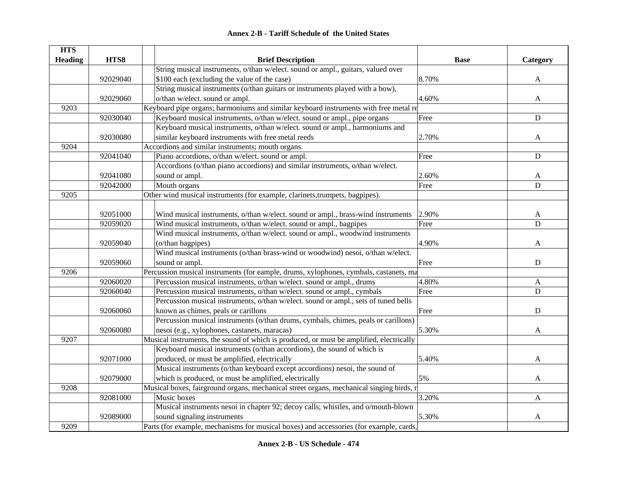| <b>HTS</b>     |          |                                                                                         |             |                |
|----------------|----------|-----------------------------------------------------------------------------------------|-------------|----------------|
| <b>Heading</b> | HTS8     | <b>Brief Description</b>                                                                | <b>Base</b> | Category       |
|                |          | String musical instruments, o/than w/elect. sound or ampl., guitars, valued over        |             |                |
|                | 92029040 | \$100 each (excluding the value of the case)                                            | 8.70%       | A              |
|                |          | String musical instruments (o/than guitars or instruments played with a bow),           |             |                |
|                | 92029060 | o/than w/elect. sound or ampl.                                                          | 4.60%       | A              |
| 9203           |          | Keyboard pipe organs; harmoniums and similar keyboard instruments with free metal re    |             |                |
|                | 92030040 | Keyboard musical instruments, o/than w/elect. sound or ampl., pipe organs               | Free        | ${\bf D}$      |
|                |          | Keyboard musical instruments, o/than w/elect. sound or ampl., harmoniums and            |             |                |
|                | 92030080 | similar keyboard instruments with free metal reeds                                      | 2.70%       | A              |
| 9204           |          | Accordions and similar instruments; mouth organs.                                       |             |                |
|                | 92041040 | Piano accordions, o/than w/elect. sound or ampl.                                        | Free        | ${\bf D}$      |
|                |          | Accordions (o/than piano accordions) and similar instruments, o/than w/elect.           |             |                |
|                | 92041080 | sound or ampl.                                                                          | 2.60%       | A              |
|                | 92042000 | Mouth organs                                                                            | Free        | D              |
| 9205           |          | Other wind musical instruments (for example, clarinets, trumpets, bagpipes).            |             |                |
|                |          |                                                                                         |             |                |
|                | 92051000 | Wind musical instruments, o/than w/elect. sound or ampl., brass-wind instruments        | 2.90%       | $\mathbf{A}$   |
|                | 92059020 | Wind musical instruments, o/than w/elect. sound or ampl., bagpipes                      | Free        | $\overline{D}$ |
|                |          | Wind musical instruments, o/than w/elect. sound or ampl., woodwind instruments          |             |                |
|                | 92059040 | (o/than bagpipes)                                                                       | 4.90%       | A              |
|                |          | Wind musical instruments (o/than brass-wind or woodwind) nesoi, o/than w/elect.         |             |                |
|                | 92059060 | sound or ampl.                                                                          | Free        | $\mathbf D$    |
| 9206           |          | Percussion musical instruments (for eample, drums, xylophones, cymbals, castanets, ma   |             |                |
|                | 92060020 | Percussion musical instruments, o/than w/elect. sound or ampl., drums                   | 4.80%       | A              |
|                | 92060040 | Percussion musical instruments, o/than w/elect. sound or ampl., cymbals                 | Free        | D              |
|                |          | Percussion musical instruments, o/than w/elect. sound or ampl., sets of tuned bells     |             |                |
|                | 92060060 | known as chimes, peals or carillons                                                     | Free        | D              |
|                |          | Percussion musical instruments (o/than drums, cymbals, chimes, peals or carillons)      |             |                |
|                | 92060080 | nesoi (e.g., xylophones, castanets, maracas)                                            | 5.30%       | A              |
| 9207           |          | Musical instruments, the sound of which is produced, or must be amplified, electrically |             |                |
|                |          | Keyboard musical instruments (o/than accordions), the sound of which is                 |             |                |
|                | 92071000 | produced, or must be amplified, electrically                                            | 5.40%       | A              |
|                |          | Musical instruments (o/than keyboard except accordions) nesoi, the sound of             |             |                |
|                | 92079000 | which is produced, or must be amplified, electrically                                   | 5%          | A              |
| 9208           |          | Musical boxes, fairground organs, mechanical street organs, mechanical singing birds, r |             |                |
|                | 92081000 | Music boxes                                                                             | 3.20%       | A              |
|                |          | Musical instruments nesoi in chapter 92; decoy calls; whistles, and o/mouth-blown       |             |                |
|                | 92089000 | sound signaling instruments                                                             | 5.30%       | A              |
| 9209           |          | Parts (for example, mechanisms for musical boxes) and accessories (for example, cards,  |             |                |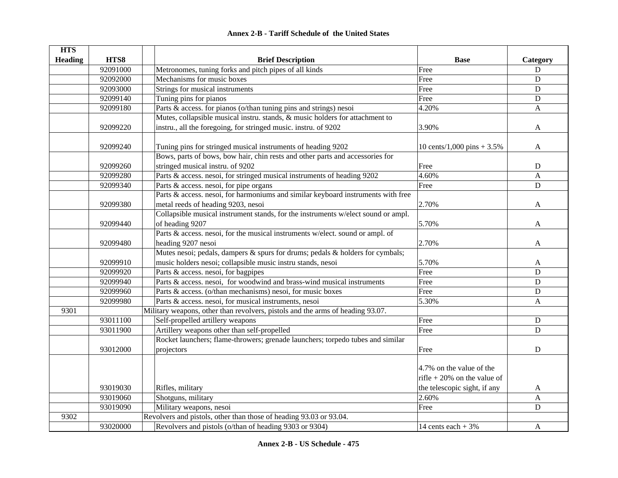|  | <b>Annex 2-B - Tariff Schedule of the United States</b> |  |
|--|---------------------------------------------------------|--|
|--|---------------------------------------------------------|--|

| <b>HTS</b>     |          |                                                                                   |                              |                  |
|----------------|----------|-----------------------------------------------------------------------------------|------------------------------|------------------|
| <b>Heading</b> | HTS8     | <b>Brief Description</b>                                                          | <b>Base</b>                  | Category         |
|                | 92091000 | Metronomes, tuning forks and pitch pipes of all kinds                             | Free                         | D                |
|                | 92092000 | Mechanisms for music boxes                                                        | Free                         | $\mathbf D$      |
|                | 92093000 | Strings for musical instruments                                                   | Free                         | $\mathbf D$      |
|                | 92099140 | Tuning pins for pianos                                                            | Free                         | $\mathbf D$      |
|                | 92099180 | Parts & access. for pianos (o/than tuning pins and strings) nesoi                 | 4.20%                        | A                |
|                |          | Mutes, collapsible musical instru. stands, & music holders for attachment to      |                              |                  |
|                | 92099220 | instru., all the foregoing, for stringed music. instru. of 9202                   | 3.90%                        | A                |
|                | 92099240 | Tuning pins for stringed musical instruments of heading 9202                      | 10 cents/1,000 pins $+3.5%$  | A                |
|                |          | Bows, parts of bows, bow hair, chin rests and other parts and accessories for     |                              |                  |
|                | 92099260 | stringed musical instru. of 9202                                                  | Free                         | D                |
|                | 92099280 | Parts & access. nesoi, for stringed musical instruments of heading 9202           | 4.60%                        | $\mathbf{A}$     |
|                | 92099340 | Parts & access. nesoi, for pipe organs                                            | Free                         | ${\bf D}$        |
|                |          | Parts & access. nesoi, for harmoniums and similar keyboard instruments with free  |                              |                  |
|                | 92099380 | metal reeds of heading 9203, nesoi                                                | 2.70%                        | A                |
|                |          | Collapsible musical instrument stands, for the instruments w/elect sound or ampl. |                              |                  |
|                | 92099440 | of heading 9207                                                                   | 5.70%                        | A                |
|                |          | Parts & access. nesoi, for the musical instruments w/elect. sound or ampl. of     |                              |                  |
|                | 92099480 | heading 9207 nesoi                                                                | 2.70%                        | A                |
|                |          | Mutes nesoi; pedals, dampers & spurs for drums; pedals & holders for cymbals;     |                              |                  |
|                | 92099910 | music holders nesoi; collapsible music instru stands, nesoi                       | 5.70%                        | A                |
|                | 92099920 | Parts & access. nesoi, for bagpipes                                               | Free                         | ${\bf D}$        |
|                | 92099940 | Parts & access. nesoi, for woodwind and brass-wind musical instruments            | Free                         | $\mathbf D$      |
|                | 92099960 | Parts & access. (o/than mechanisms) nesoi, for music boxes                        | Free                         | $\mathbf D$      |
|                | 92099980 | Parts & access. nesoi, for musical instruments, nesoi                             | 5.30%                        | A                |
| 9301           |          | Military weapons, other than revolvers, pistols and the arms of heading 93.07.    |                              |                  |
|                | 93011100 | Self-propelled artillery weapons                                                  | Free                         | ${\bf D}$        |
|                | 93011900 | Artillery weapons other than self-propelled                                       | Free                         | ${\bf D}$        |
|                |          | Rocket launchers; flame-throwers; grenade launchers; torpedo tubes and similar    |                              |                  |
|                | 93012000 | projectors                                                                        | Free                         | $\mathbf D$      |
|                |          |                                                                                   |                              |                  |
|                |          |                                                                                   | 4.7% on the value of the     |                  |
|                |          |                                                                                   | rifle + 20% on the value of  |                  |
|                | 93019030 | Rifles, military                                                                  | the telescopic sight, if any | $\mathbf{A}$     |
|                | 93019060 | Shotguns, military                                                                | 2.60%                        | $\boldsymbol{A}$ |
|                | 93019090 | Military weapons, nesoi                                                           | Free                         | D                |
| 9302           |          | Revolvers and pistols, other than those of heading 93.03 or 93.04.                |                              |                  |
|                | 93020000 | Revolvers and pistols (o/than of heading 9303 or 9304)                            | 14 cents each $+3\%$         | A                |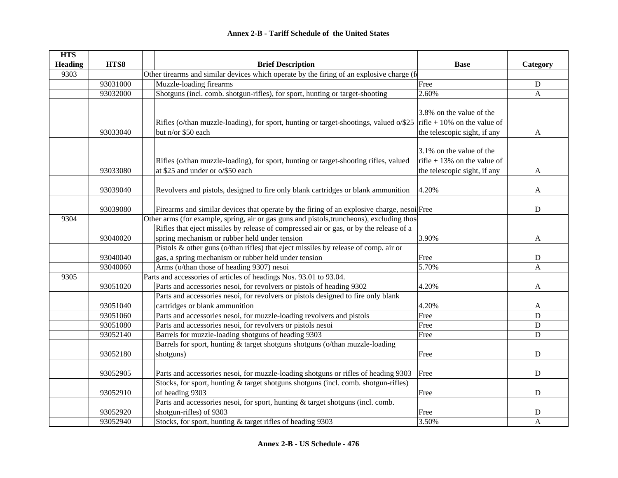| <b>HTS</b>     |          |                                                                                            |                                                         |                |  |  |
|----------------|----------|--------------------------------------------------------------------------------------------|---------------------------------------------------------|----------------|--|--|
| <b>Heading</b> | HTS8     | <b>Brief Description</b>                                                                   | <b>Base</b>                                             | Category       |  |  |
| 9303           |          | Other tirearms and similar devices which operate by the firing of an explosive charge (f   |                                                         |                |  |  |
|                | 93031000 | Muzzle-loading firearms                                                                    | Free                                                    | ${\bf D}$      |  |  |
|                | 93032000 | Shotguns (incl. comb. shotgun-rifles), for sport, hunting or target-shooting               | 2.60%                                                   | $\overline{A}$ |  |  |
|                |          |                                                                                            | 3.8% on the value of the                                |                |  |  |
|                |          | Rifles (o/than muzzle-loading), for sport, hunting or target-shootings, valued o/\$25      | rifle + 10% on the value of                             |                |  |  |
|                | 93033040 | but n/or \$50 each                                                                         | the telescopic sight, if any                            | A              |  |  |
|                |          |                                                                                            |                                                         |                |  |  |
|                |          | Rifles (o/than muzzle-loading), for sport, hunting or target-shooting rifles, valued       | 3.1% on the value of the<br>rifle + 13% on the value of |                |  |  |
|                | 93033080 | at \$25 and under or o/\$50 each                                                           | the telescopic sight, if any                            | A              |  |  |
|                |          |                                                                                            |                                                         |                |  |  |
|                | 93039040 | Revolvers and pistols, designed to fire only blank cartridges or blank ammunition          | 4.20%                                                   | A              |  |  |
|                |          |                                                                                            |                                                         |                |  |  |
|                | 93039080 | Firearms and similar devices that operate by the firing of an explosive charge, nesoi Free |                                                         | $\mathbf D$    |  |  |
| 9304           |          | Other arms (for example, spring, air or gas guns and pistols, truncheons), excluding those |                                                         |                |  |  |
|                |          | Rifles that eject missiles by release of compressed air or gas, or by the release of a     |                                                         |                |  |  |
|                | 93040020 | spring mechanism or rubber held under tension                                              | 3.90%                                                   | A              |  |  |
|                |          | Pistols & other guns (o/than rifles) that eject missiles by release of comp. air or        |                                                         |                |  |  |
|                | 93040040 | gas, a spring mechanism or rubber held under tension                                       | Free                                                    | D              |  |  |
|                | 93040060 | Arms (o/than those of heading 9307) nesoi                                                  | 5.70%                                                   | A              |  |  |
| 9305           |          | Parts and accessories of articles of headings Nos. 93.01 to 93.04.                         |                                                         |                |  |  |
|                | 93051020 | Parts and accessories nesoi, for revolvers or pistols of heading 9302                      | 4.20%                                                   | $\mathbf{A}$   |  |  |
|                |          | Parts and accessories nesoi, for revolvers or pistols designed to fire only blank          |                                                         |                |  |  |
|                | 93051040 | cartridges or blank ammunition                                                             | 4.20%                                                   | A              |  |  |
|                | 93051060 | Parts and accessories nesoi, for muzzle-loading revolvers and pistols                      | Free                                                    | $\mathbf D$    |  |  |
|                | 93051080 | Parts and accessories nesoi, for revolvers or pistols nesoi                                | Free                                                    | D              |  |  |
|                | 93052140 | Barrels for muzzle-loading shotguns of heading 9303                                        | Free                                                    | D              |  |  |
|                |          | Barrels for sport, hunting & target shotguns shotguns (o/than muzzle-loading               |                                                         |                |  |  |
|                | 93052180 | shotguns)                                                                                  | Free                                                    | ${\bf D}$      |  |  |
|                |          |                                                                                            |                                                         |                |  |  |
|                | 93052905 | Parts and accessories nesoi, for muzzle-loading shotguns or rifles of heading 9303         | Free                                                    | ${\bf D}$      |  |  |
|                |          | Stocks, for sport, hunting & target shotguns shotguns (incl. comb. shotgun-rifles)         |                                                         |                |  |  |
|                | 93052910 | of heading 9303                                                                            | Free                                                    | $\mathbf D$    |  |  |
|                |          | Parts and accessories nesoi, for sport, hunting & target shotguns (incl. comb.             |                                                         |                |  |  |
|                | 93052920 | shotgun-rifles) of 9303                                                                    | Free                                                    | D              |  |  |
|                | 93052940 | Stocks, for sport, hunting & target rifles of heading 9303                                 | 3.50%                                                   | A              |  |  |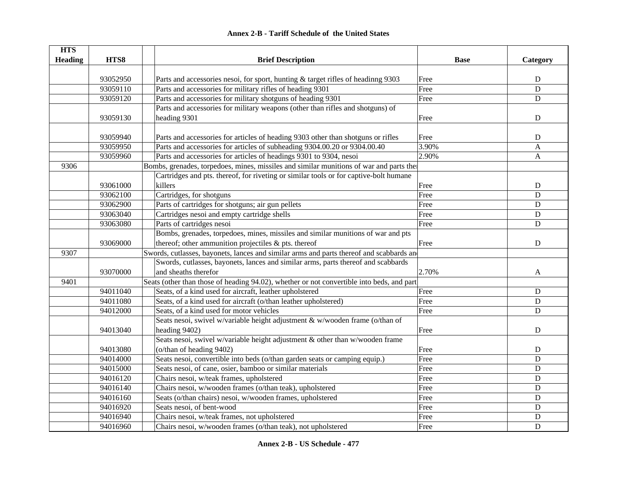| <b>Annex 2-B - Tariff Schedule of the United States</b> |
|---------------------------------------------------------|
|---------------------------------------------------------|

| <b>HTS</b>     |          |                                                                                           |             |              |
|----------------|----------|-------------------------------------------------------------------------------------------|-------------|--------------|
| <b>Heading</b> | HTS8     | <b>Brief Description</b>                                                                  | <b>Base</b> | Category     |
|                |          |                                                                                           |             |              |
|                | 93052950 | Parts and accessories nesoi, for sport, hunting & target rifles of headinng 9303          | Free        | ${\bf D}$    |
|                | 93059110 | Parts and accessories for military rifles of heading 9301                                 | Free        | $\mathbf D$  |
|                | 93059120 | Parts and accessories for military shotguns of heading 9301                               | Free        | $\mathbf D$  |
|                |          | Parts and accessories for military weapons (other than rifles and shotguns) of            |             |              |
|                | 93059130 | heading 9301                                                                              | Free        | $\mathbf D$  |
|                |          |                                                                                           |             |              |
|                | 93059940 | Parts and accessories for articles of heading 9303 other than shotguns or rifles          | Free        | D            |
|                | 93059950 | Parts and accessories for articles of subheading 9304.00.20 or 9304.00.40                 | 3.90%       | A            |
|                | 93059960 | Parts and accessories for articles of headings 9301 to 9304, nesoi                        | 2.90%       | $\mathbf{A}$ |
| 9306           |          | Bombs, grenades, torpedoes, mines, missiles and similar munitions of war and parts the    |             |              |
|                |          | Cartridges and pts. thereof, for riveting or similar tools or for captive-bolt humane     |             |              |
|                | 93061000 | killers                                                                                   | Free        | $\mathbf D$  |
|                | 93062100 | Cartridges, for shotguns                                                                  | Free        | $\mathbf D$  |
|                | 93062900 | Parts of cartridges for shotguns; air gun pellets                                         | Free        | D            |
|                | 93063040 | Cartridges nesoi and empty cartridge shells                                               | Free        | $\mathbf D$  |
|                | 93063080 | Parts of cartridges nesoi                                                                 | Free        | $\mathbf D$  |
|                |          | Bombs, grenades, torpedoes, mines, missiles and similar munitions of war and pts          |             |              |
|                | 93069000 | thereof; other ammunition projectiles & pts. thereof                                      | Free        | ${\bf D}$    |
| 9307           |          | Swords, cutlasses, bayonets, lances and similar arms and parts thereof and scabbards and  |             |              |
|                |          | Swords, cutlasses, bayonets, lances and similar arms, parts thereof and scabbards         |             |              |
|                | 93070000 | and sheaths therefor                                                                      | 2.70%       | A            |
| 9401           |          | Seats (other than those of heading 94.02), whether or not convertible into beds, and part |             |              |
|                | 94011040 | Seats, of a kind used for aircraft, leather upholstered                                   | Free        | D            |
|                | 94011080 | Seats, of a kind used for aircraft (o/than leather upholstered)                           | Free        | D            |
|                | 94012000 | Seats, of a kind used for motor vehicles                                                  | Free        | $\mathbf D$  |
|                |          | Seats nesoi, swivel w/variable height adjustment & w/wooden frame (o/than of              |             |              |
|                | 94013040 | heading 9402)                                                                             | Free        | $\mathbf D$  |
|                |          | Seats nesoi, swivel w/variable height adjustment & other than w/wooden frame              |             |              |
|                | 94013080 | (o/than of heading 9402)                                                                  | Free        | ${\bf D}$    |
|                | 94014000 | Seats nesoi, convertible into beds (o/than garden seats or camping equip.)                | Free        | $\mathbf D$  |
|                | 94015000 | Seats nesoi, of cane, osier, bamboo or similar materials                                  | Free        | ${\bf D}$    |
|                | 94016120 | Chairs nesoi, w/teak frames, upholstered                                                  | Free        | ${\bf D}$    |
|                | 94016140 | Chairs nesoi, w/wooden frames (o/than teak), upholstered                                  | Free        | ${\bf D}$    |
|                | 94016160 | Seats (o/than chairs) nesoi, w/wooden frames, upholstered                                 | Free        | $\mathbf D$  |
|                | 94016920 | Seats nesoi, of bent-wood                                                                 | Free        | ${\bf D}$    |
|                | 94016940 | Chairs nesoi, w/teak frames, not upholstered                                              | Free        | D            |
|                | 94016960 | Chairs nesoi, w/wooden frames (o/than teak), not upholstered                              | Free        | $\mathbf D$  |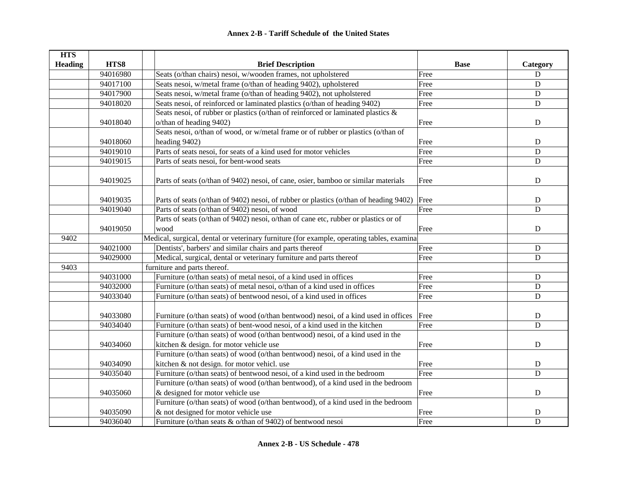| <b>HTS</b>     |          |                                                                                           |             |                |
|----------------|----------|-------------------------------------------------------------------------------------------|-------------|----------------|
| <b>Heading</b> | HTS8     | <b>Brief Description</b>                                                                  | <b>Base</b> | Category       |
|                | 94016980 | Seats (o/than chairs) nesoi, w/wooden frames, not upholstered                             | Free        | ${\bf D}$      |
|                | 94017100 | Seats nesoi, w/metal frame (o/than of heading 9402), upholstered                          | Free        | $\mathbf D$    |
|                | 94017900 | Seats nesoi, w/metal frame (o/than of heading 9402), not upholstered                      | Free        | $\mathbf D$    |
|                | 94018020 | Seats nesoi, of reinforced or laminated plastics (o/than of heading 9402)                 | Free        | $\mathbf D$    |
|                |          | Seats nesoi, of rubber or plastics (o/than of reinforced or laminated plastics &          |             |                |
|                | 94018040 | o/than of heading 9402)                                                                   | Free        | ${\bf D}$      |
|                |          | Seats nesoi, o/than of wood, or w/metal frame or of rubber or plastics (o/than of         |             |                |
|                | 94018060 | heading 9402)                                                                             | Free        | ${\bf D}$      |
|                | 94019010 | Parts of seats nesoi, for seats of a kind used for motor vehicles                         | Free        | $\mathbf D$    |
|                | 94019015 | Parts of seats nesoi, for bent-wood seats                                                 | Free        | $\mathbf D$    |
|                |          |                                                                                           |             |                |
|                | 94019025 | Parts of seats (o/than of 9402) nesoi, of cane, osier, bamboo or similar materials        | Free        | $\mathbf D$    |
|                |          |                                                                                           |             |                |
|                | 94019035 | Parts of seats (o/than of 9402) nesoi, of rubber or plastics (o/than of heading 9402)     | Free        | ${\bf D}$      |
|                | 94019040 | Parts of seats (o/than of 9402) nesoi, of wood                                            | Free        | $\mathbf D$    |
|                |          | Parts of seats (o/than of 9402) nesoi, o/than of cane etc, rubber or plastics or of       |             |                |
|                | 94019050 | wood                                                                                      | Free        | D              |
| 9402           |          | Medical, surgical, dental or veterinary furniture (for example, operating tables, examina |             |                |
|                | 94021000 | Dentists', barbers' and similar chairs and parts thereof                                  | Free        | ${\bf D}$      |
|                | 94029000 | Medical, surgical, dental or veterinary furniture and parts thereof                       | Free        | $\mathbf D$    |
| 9403           |          | furniture and parts thereof.                                                              |             |                |
|                | 94031000 | Furniture (o/than seats) of metal nesoi, of a kind used in offices                        | Free        | $\mathbf D$    |
|                | 94032000 | Furniture (o/than seats) of metal nesoi, o/than of a kind used in offices                 | Free        | $\mathbf D$    |
|                | 94033040 | Furniture (o/than seats) of bentwood nesoi, of a kind used in offices                     | Free        | $\overline{D}$ |
|                |          |                                                                                           |             |                |
|                | 94033080 | Furniture (o/than seats) of wood (o/than bentwood) nesoi, of a kind used in offices       | Free        | ${\bf D}$      |
|                | 94034040 | Furniture (o/than seats) of bent-wood nesoi, of a kind used in the kitchen                | Free        | $\mathbf D$    |
|                |          | Furniture (o/than seats) of wood (o/than bentwood) nesoi, of a kind used in the           |             |                |
|                | 94034060 | kitchen & design. for motor vehicle use                                                   | Free        | ${\bf D}$      |
|                |          | Furniture (o/than seats) of wood (o/than bentwood) nesoi, of a kind used in the           |             |                |
|                | 94034090 | kitchen & not design. for motor vehicl. use                                               | Free        | ${\bf D}$      |
|                | 94035040 | Furniture (o/than seats) of bentwood nesoi, of a kind used in the bedroom                 | Free        | D              |
|                |          | Furniture (o/than seats) of wood (o/than bentwood), of a kind used in the bedroom         |             |                |
|                | 94035060 | & designed for motor vehicle use                                                          | Free        | ${\bf D}$      |
|                |          | Furniture (o/than seats) of wood (o/than bentwood), of a kind used in the bedroom         |             |                |
|                | 94035090 | & not designed for motor vehicle use                                                      | Free        | D              |
|                | 94036040 | Furniture (o/than seats & o/than of 9402) of bentwood nesoi                               | Free        | $\mathbf D$    |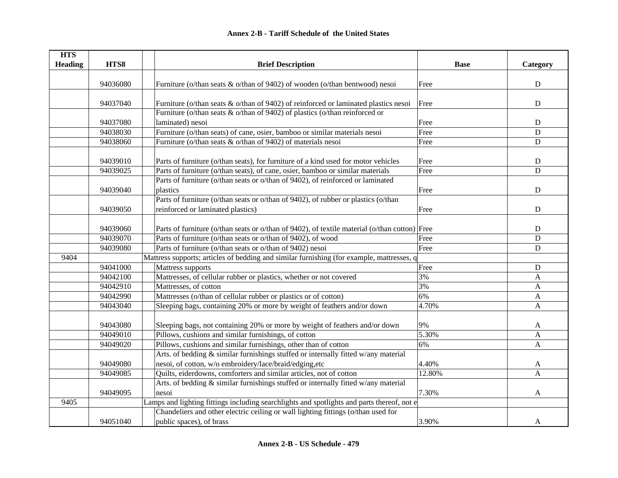| <b>HTS</b>     |          |                                                                                               |             |                |
|----------------|----------|-----------------------------------------------------------------------------------------------|-------------|----------------|
| <b>Heading</b> | HTS8     | <b>Brief Description</b>                                                                      | <b>Base</b> | Category       |
|                |          |                                                                                               |             |                |
|                | 94036080 | Furniture (o/than seats & o/than of 9402) of wooden (o/than bentwood) nesoi                   | Free        | ${\bf D}$      |
|                |          |                                                                                               |             |                |
|                | 94037040 | Furniture (o/than seats $\&$ o/than of 9402) of reinforced or laminated plastics nesoi        | Free        | ${\bf D}$      |
|                |          | Furniture (o/than seats $&$ o/than of 9402) of plastics (o/than reinforced or                 |             |                |
|                | 94037080 | laminated) nesoi                                                                              | Free        | ${\bf D}$      |
|                | 94038030 | Furniture (o/than seats) of cane, osier, bamboo or similar materials nesoi                    | Free        | $\mathbf D$    |
|                | 94038060 | Furniture (o/than seats $&$ o/than of 9402) of materials nesoi                                | Free        | $\mathbf D$    |
|                |          |                                                                                               |             |                |
|                | 94039010 | Parts of furniture (o/than seats), for furniture of a kind used for motor vehicles            | Free        | $\mathbf D$    |
|                | 94039025 | Parts of furniture (o/than seats), of cane, osier, bamboo or similar materials                | Free        | $\overline{D}$ |
|                |          | Parts of furniture (o/than seats or o/than of 9402), of reinforced or laminated               |             |                |
|                | 94039040 | plastics                                                                                      | Free        | ${\bf D}$      |
|                |          | Parts of furniture (o/than seats or o/than of 9402), of rubber or plastics (o/than            |             |                |
|                | 94039050 | reinforced or laminated plastics)                                                             | Free        | D              |
|                |          |                                                                                               |             |                |
|                | 94039060 | Parts of furniture (o/than seats or o/than of 9402), of textile material (o/than cotton) Free |             | ${\bf D}$      |
|                | 94039070 | Parts of furniture (o/than seats or o/than of 9402), of wood                                  | Free        | ${\bf D}$      |
|                | 94039080 | Parts of furniture (o/than seats or o/than of 9402) nesoi                                     | Free        | D              |
| 9404           |          | Mattress supports; articles of bedding and similar furnishing (for example, mattresses, q     |             |                |
|                | 94041000 | Mattress supports                                                                             | Free        | ${\bf D}$      |
|                | 94042100 | Mattresses, of cellular rubber or plastics, whether or not covered                            | 3%          | $\mathbf{A}$   |
|                | 94042910 | Mattresses, of cotton                                                                         | 3%          | A              |
|                | 94042990 | Mattresses (o/than of cellular rubber or plastics or of cotton)                               | 6%          | $\mathbf{A}$   |
|                | 94043040 | Sleeping bags, containing 20% or more by weight of feathers and/or down                       | 4.70%       | $\mathbf{A}$   |
|                |          |                                                                                               |             |                |
|                | 94043080 | Sleeping bags, not containing 20% or more by weight of feathers and/or down                   | 9%          | A              |
|                | 94049010 | Pillows, cushions and similar furnishings, of cotton                                          | 5.30%       | A              |
|                | 94049020 | Pillows, cushions and similar furnishings, other than of cotton                               | 6%          | A              |
|                |          | Arts. of bedding & similar furnishings stuffed or internally fitted w/any material            |             |                |
|                | 94049080 | nesoi, of cotton, w/o embroidery/lace/braid/edging,etc                                        | 4.40%       | A              |
|                | 94049085 | Quilts, eiderdowns, comforters and similar articles, not of cotton                            | 12.80%      | A              |
|                |          | Arts. of bedding & similar furnishings stuffed or internally fitted w/any material            |             |                |
|                | 94049095 | nesoi                                                                                         | 7.30%       | $\mathbf{A}$   |
| 9405           |          | Lamps and lighting fittings including searchlights and spotlights and parts thereof, not e    |             |                |
|                |          | Chandeliers and other electric ceiling or wall lighting fittings (o/than used for             |             |                |
|                | 94051040 | public spaces), of brass                                                                      | 3.90%       | A              |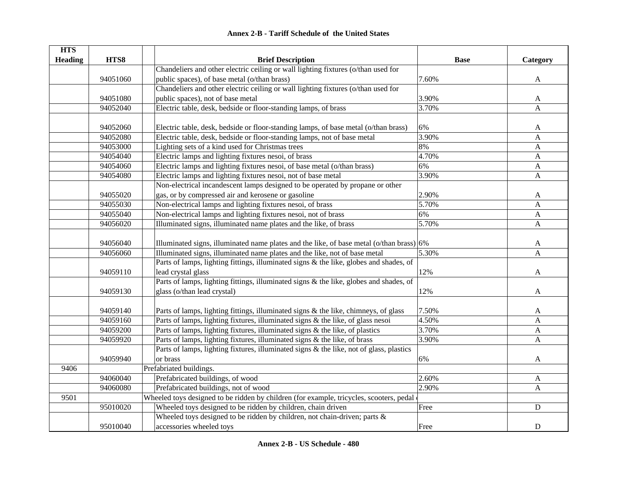|  | <b>Annex 2-B - Tariff Schedule of the United States</b> |  |
|--|---------------------------------------------------------|--|
|--|---------------------------------------------------------|--|

| <b>HTS</b>     |          |                                                                                              |             |              |
|----------------|----------|----------------------------------------------------------------------------------------------|-------------|--------------|
| <b>Heading</b> | HTS8     | <b>Brief Description</b>                                                                     | <b>Base</b> | Category     |
|                |          | Chandeliers and other electric ceiling or wall lighting fixtures (o/than used for            |             |              |
|                | 94051060 | public spaces), of base metal (o/than brass)                                                 | 7.60%       | $\mathbf{A}$ |
|                |          | Chandeliers and other electric ceiling or wall lighting fixtures (o/than used for            |             |              |
|                | 94051080 | public spaces), not of base metal                                                            | 3.90%       | A            |
|                | 94052040 | Electric table, desk, bedside or floor-standing lamps, of brass                              | 3.70%       | $\mathbf{A}$ |
|                |          |                                                                                              |             |              |
|                | 94052060 | Electric table, desk, bedside or floor-standing lamps, of base metal (o/than brass)          | 6%          | A            |
|                | 94052080 | Electric table, desk, bedside or floor-standing lamps, not of base metal                     | 3.90%       | A            |
|                | 94053000 | Lighting sets of a kind used for Christmas trees                                             | 8%          | A            |
|                | 94054040 | Electric lamps and lighting fixtures nesoi, of brass                                         | 4.70%       | A            |
|                | 94054060 | Electric lamps and lighting fixtures nesoi, of base metal (o/than brass)                     | 6%          | $\mathbf{A}$ |
|                | 94054080 | Electric lamps and lighting fixtures nesoi, not of base metal                                | 3.90%       | $\mathbf{A}$ |
|                |          | Non-electrical incandescent lamps designed to be operated by propane or other                |             |              |
|                | 94055020 | gas, or by compressed air and kerosene or gasoline                                           | 2.90%       | A            |
|                | 94055030 | Non-electrical lamps and lighting fixtures nesoi, of brass                                   | 5.70%       | A            |
|                | 94055040 | Non-electrical lamps and lighting fixtures nesoi, not of brass                               | 6%          | A            |
|                | 94056020 | Illuminated signs, illuminated name plates and the like, of brass                            | 5.70%       | A            |
|                |          |                                                                                              |             |              |
|                | 94056040 | Illuminated signs, illuminated name plates and the like, of base metal ( $o$ /than brass) 6% |             | A            |
|                | 94056060 | Illuminated signs, illuminated name plates and the like, not of base metal                   | 5.30%       | A            |
|                |          | Parts of lamps, lighting fittings, illuminated signs & the like, globes and shades, of       |             |              |
|                | 94059110 | lead crystal glass                                                                           | 12%         | A            |
|                |          | Parts of lamps, lighting fittings, illuminated signs & the like, globes and shades, of       |             |              |
|                | 94059130 | glass (o/than lead crystal)                                                                  | 12%         | A            |
|                |          |                                                                                              |             |              |
|                | 94059140 | Parts of lamps, lighting fittings, illuminated signs & the like, chimneys, of glass          | 7.50%       | A            |
|                | 94059160 | Parts of lamps, lighting fixtures, illuminated signs & the like, of glass nesoi              | 4.50%       | $\mathbf{A}$ |
|                | 94059200 | Parts of lamps, lighting fixtures, illuminated signs $\&$ the like, of plastics              | 3.70%       | $\mathbf{A}$ |
|                | 94059920 | Parts of lamps, lighting fixtures, illuminated signs & the like, of brass                    | 3.90%       | A            |
|                |          | Parts of lamps, lighting fixtures, illuminated signs & the like, not of glass, plastics      |             |              |
|                | 94059940 | or brass                                                                                     | 6%          | A            |
| 9406           |          | Prefabriated buildings.                                                                      |             |              |
|                | 94060040 | Prefabricated buildings, of wood                                                             | 2.60%       | A            |
|                | 94060080 | Prefabricated buildings, not of wood                                                         | 2.90%       | A            |
| 9501           |          | Wheeled toys designed to be ridden by children (for example, tricycles, scooters, pedal      |             |              |
|                | 95010020 | Wheeled toys designed to be ridden by children, chain driven                                 | Free        | ${\bf D}$    |
|                |          | Wheeled toys designed to be ridden by children, not chain-driven; parts $\&$                 |             |              |
|                | 95010040 | accessories wheeled toys                                                                     | Free        | ${\bf D}$    |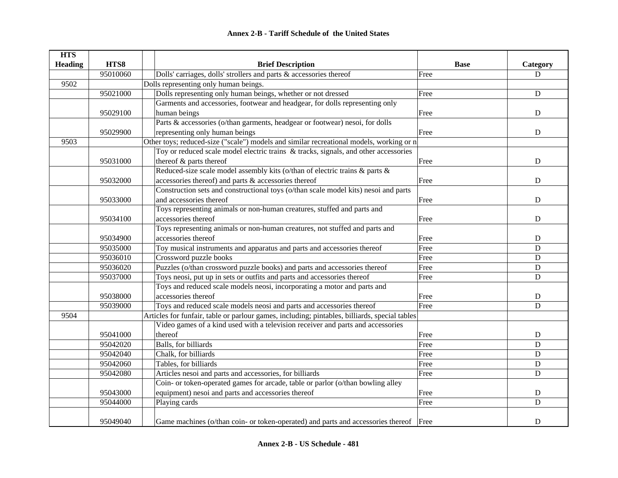| <b>HTS</b>     |          |                                                                                               |             |             |
|----------------|----------|-----------------------------------------------------------------------------------------------|-------------|-------------|
| <b>Heading</b> | HTS8     | <b>Brief Description</b>                                                                      | <b>Base</b> | Category    |
|                | 95010060 | Dolls' carriages, dolls' strollers and parts & accessories thereof                            | Free        | D           |
| 9502           |          | Dolls representing only human beings.                                                         |             |             |
|                | 95021000 | Dolls representing only human beings, whether or not dressed                                  | Free        | ${\bf D}$   |
|                |          | Garments and accessories, footwear and headgear, for dolls representing only                  |             |             |
|                | 95029100 | human beings                                                                                  | Free        | ${\bf D}$   |
|                |          | Parts & accessories (o/than garments, headgear or footwear) nesoi, for dolls                  |             |             |
|                | 95029900 | representing only human beings                                                                | Free        | ${\bf D}$   |
| 9503           |          | Other toys; reduced-size ("scale") models and similar recreational models, working or n       |             |             |
|                |          | Toy or reduced scale model electric trains & tracks, signals, and other accessories           |             |             |
|                | 95031000 | thereof & parts thereof                                                                       | Free        | ${\bf D}$   |
|                |          | Reduced-size scale model assembly kits (o/than of electric trains $\&$ parts $\&$             |             |             |
|                | 95032000 | accessories thereof) and parts & accessories thereof                                          | Free        | ${\bf D}$   |
|                |          | Construction sets and constructional toys (o/than scale model kits) nesoi and parts           |             |             |
|                | 95033000 | and accessories thereof                                                                       | Free        | ${\bf D}$   |
|                |          | Toys representing animals or non-human creatures, stuffed and parts and                       |             |             |
|                | 95034100 | accessories thereof                                                                           | Free        | $\mathbf D$ |
|                |          | Toys representing animals or non-human creatures, not stuffed and parts and                   |             |             |
|                | 95034900 | accessories thereof                                                                           | Free        | D           |
|                | 95035000 | Toy musical instruments and apparatus and parts and accessories thereof                       | Free        | ${\bf D}$   |
|                | 95036010 | Crossword puzzle books                                                                        | Free        | ${\bf D}$   |
|                | 95036020 | Puzzles (o/than crossword puzzle books) and parts and accessories thereof                     | Free        | $\mathbf D$ |
|                | 95037000 | Toys neosi, put up in sets or outfits and parts and accessories thereof                       | Free        | $\mathbf D$ |
|                |          | Toys and reduced scale models neosi, incorporating a motor and parts and                      |             |             |
|                | 95038000 | accessories thereof                                                                           | Free        | ${\bf D}$   |
|                | 95039000 | Toys and reduced scale models neosi and parts and accessories thereof                         | Free        | $\mathbf D$ |
| 9504           |          | Articles for funfair, table or parlour games, including; pintables, billiards, special tables |             |             |
|                |          | Video games of a kind used with a television receiver and parts and accessories               |             |             |
|                | 95041000 | thereof                                                                                       | Free        | ${\bf D}$   |
|                | 95042020 | Balls, for billiards                                                                          | Free        | $\mathbf D$ |
|                | 95042040 | Chalk, for billiards                                                                          | Free        | ${\bf D}$   |
|                | 95042060 | Tables, for billiards                                                                         | Free        | ${\bf D}$   |
|                | 95042080 | Articles nesoi and parts and accessories, for billiards                                       | Free        | $\mathbf D$ |
|                |          | Coin- or token-operated games for arcade, table or parlor (o/than bowling alley               |             |             |
|                | 95043000 | equipment) nesoi and parts and accessories thereof                                            | Free        | $\mathbf D$ |
|                | 95044000 | Playing cards                                                                                 | Free        | D           |
|                | 95049040 | Game machines (o/than coin- or token-operated) and parts and accessories thereof Free         |             | D           |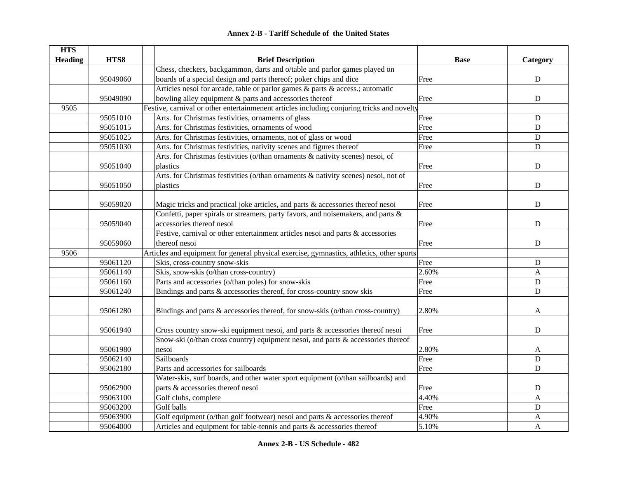| <b>HTS</b>     |          |                                                                                            |             |              |
|----------------|----------|--------------------------------------------------------------------------------------------|-------------|--------------|
| <b>Heading</b> | HTS8     | <b>Brief Description</b>                                                                   | <b>Base</b> | Category     |
|                |          | Chess, checkers, backgammon, darts and o/table and parlor games played on                  |             |              |
|                | 95049060 | boards of a special design and parts thereof; poker chips and dice                         | Free        | ${\bf D}$    |
|                |          | Articles nesoi for arcade, table or parlor games $\&$ parts $\&$ access.; automatic        |             |              |
|                | 95049090 | bowling alley equipment $\&$ parts and accessories thereof                                 | Free        | ${\bf D}$    |
| 9505           |          | Festive, carnival or other entertainmenent articles including conjuring tricks and novelty |             |              |
|                | 95051010 | Arts. for Christmas festivities, ornaments of glass                                        | Free        | ${\bf D}$    |
|                | 95051015 | Arts. for Christmas festivities, ornaments of wood                                         | Free        | $\mathbf D$  |
|                | 95051025 | Arts. for Christmas festivities, ornaments, not of glass or wood                           | Free        | $\mathbf D$  |
|                | 95051030 | Arts. for Christmas festivities, nativity scenes and figures thereof                       | Free        | $\mathbf D$  |
|                |          | Arts. for Christmas festivities (o/than ornaments & nativity scenes) nesoi, of             |             |              |
|                | 95051040 | plastics                                                                                   | Free        | ${\bf D}$    |
|                |          | Arts. for Christmas festivities (o/than ornaments & nativity scenes) nesoi, not of         |             |              |
|                | 95051050 | plastics                                                                                   | Free        | $\mathbf D$  |
|                |          |                                                                                            |             |              |
|                | 95059020 | Magic tricks and practical joke articles, and parts & accessories thereof nesoi            | Free        | $\mathbf D$  |
|                |          | Confetti, paper spirals or streamers, party favors, and noisemakers, and parts &           |             |              |
|                | 95059040 | accessories thereof nesoi                                                                  | Free        | ${\bf D}$    |
|                |          | Festive, carnival or other entertainment articles nesoi and parts & accessories            |             |              |
|                | 95059060 | thereof nesoi                                                                              | Free        | ${\bf D}$    |
| 9506           |          | Articles and equipment for general physical exercise, gymnastics, athletics, other sports  |             |              |
|                | 95061120 | Skis, cross-country snow-skis                                                              | Free        | ${\bf D}$    |
|                | 95061140 | Skis, snow-skis (o/than cross-country)                                                     | 2.60%       | A            |
|                | 95061160 | Parts and accessories (o/than poles) for snow-skis                                         | Free        | $\mathbf D$  |
|                | 95061240 | Bindings and parts & accessories thereof, for cross-country snow skis                      | Free        | $\mathbf D$  |
|                |          |                                                                                            |             |              |
|                | 95061280 | Bindings and parts & accessories thereof, for snow-skis (o/than cross-country)             | 2.80%       | A            |
|                |          |                                                                                            |             |              |
|                | 95061940 | Cross country snow-ski equipment nesoi, and parts & accessories thereof nesoi              | Free        | D            |
|                |          | Snow-ski (o/than cross country) equipment nesoi, and parts & accessories thereof           |             |              |
|                | 95061980 | nesoi                                                                                      | 2.80%       | A            |
|                | 95062140 | Sailboards                                                                                 | Free        | $\mathbf D$  |
|                | 95062180 | Parts and accessories for sailboards                                                       | Free        | $\mathbf D$  |
|                |          | Water-skis, surf boards, and other water sport equipment (o/than sailboards) and           |             |              |
|                | 95062900 | parts & accessories thereof nesoi                                                          | Free        | ${\bf D}$    |
|                | 95063100 | Golf clubs, complete                                                                       | 4.40%       | A            |
|                | 95063200 | Golf balls                                                                                 | Free        | ${\bf D}$    |
|                | 95063900 | Golf equipment (o/than golf footwear) nesoi and parts $\&$ accessories thereof             | 4.90%       | A            |
|                | 95064000 | Articles and equipment for table-tennis and parts & accessories thereof                    | 5.10%       | $\mathbf{A}$ |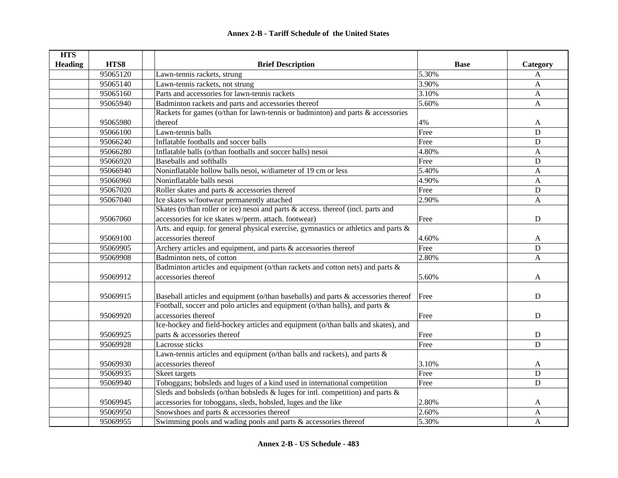| <b>HTS</b>     |          |                                                                                           |             |              |
|----------------|----------|-------------------------------------------------------------------------------------------|-------------|--------------|
| <b>Heading</b> | HTS8     | <b>Brief Description</b>                                                                  | <b>Base</b> | Category     |
|                | 95065120 | Lawn-tennis rackets, strung                                                               | 5.30%       | $\mathbf{A}$ |
|                | 95065140 | Lawn-tennis rackets, not strung                                                           | 3.90%       | A            |
|                | 95065160 | Parts and accessories for lawn-tennis rackets                                             | 3.10%       | A            |
|                | 95065940 | Badminton rackets and parts and accessories thereof                                       | 5.60%       | A            |
|                |          | Rackets for games (o/than for lawn-tennis or badminton) and parts & accessories           |             |              |
|                | 95065980 | thereof                                                                                   | 4%          | A            |
|                | 95066100 | Lawn-tennis balls                                                                         | Free        | $\mathbf D$  |
|                | 95066240 | Inflatable footballs and soccer balls                                                     | Free        | $\mathbf D$  |
|                | 95066280 | Inflatable balls (o/than footballs and soccer balls) nesoi                                | 4.80%       | A            |
|                | 95066920 | Baseballs and softballs                                                                   | Free        | $\mathbf D$  |
|                | 95066940 | Noninflatable hollow balls nesoi, w/diameter of 19 cm or less                             | 5.40%       | A            |
|                | 95066960 | Noninflatable balls nesoi                                                                 | 4.90%       | A            |
|                | 95067020 | Roller skates and parts & accessories thereof                                             | Free        | $\mathbf D$  |
|                | 95067040 | Ice skates w/footwear permanently attached                                                | 2.90%       | A            |
|                |          | Skates (o/than roller or ice) nesoi and parts & access. thereof (incl. parts and          |             |              |
|                | 95067060 | accessories for ice skates w/perm. attach. footwear)                                      | Free        | D            |
|                |          | Arts. and equip. for general physical exercise, gymnastics or athletics and parts &       |             |              |
|                | 95069100 | accessories thereof                                                                       | 4.60%       | A            |
|                | 95069905 | Archery articles and equipment, and parts $\&$ accessories thereof                        | Free        | $\mathbf D$  |
|                | 95069908 | Badminton nets, of cotton                                                                 | 2.80%       | A            |
|                |          | Badminton articles and equipment (o/than rackets and cotton nets) and parts $\&$          |             |              |
|                | 95069912 | accessories thereof                                                                       | 5.60%       | A            |
|                |          |                                                                                           |             |              |
|                | 95069915 | Baseball articles and equipment (o/than baseballs) and parts & accessories thereof        | Free        | $\mathbf D$  |
|                |          | Football, soccer and polo articles and equipment (o/than balls), and parts &              |             |              |
|                | 95069920 | accessories thereof                                                                       | Free        | $\mathbf D$  |
|                |          | Ice-hockey and field-hockey articles and equipment (o/than balls and skates), and         |             |              |
|                | 95069925 | parts & accessories thereof                                                               | Free        | $\mathbf D$  |
|                | 95069928 | Lacrosse sticks                                                                           | Free        | $\mathbf D$  |
|                |          | Lawn-tennis articles and equipment ( $\overline{o}$ /than balls and rackets), and parts & |             |              |
|                | 95069930 | accessories thereof                                                                       | 3.10%       | $\mathbf{A}$ |
|                | 95069935 | Skeet targets                                                                             | Free        | ${\bf D}$    |
|                | 95069940 | Toboggans; bobsleds and luges of a kind used in international competition                 | Free        | $\mathbf D$  |
|                |          | Sleds and bobsleds (o/than bobsleds & luges for intl. competition) and parts &            |             |              |
|                | 95069945 | accessories for toboggans, sleds, bobsled, luges and the like                             | 2.80%       | A            |
|                | 95069950 | Snowshoes and parts & accessories thereof                                                 | 2.60%       | $\mathbf{A}$ |
|                | 95069955 | Swimming pools and wading pools and parts & accessories thereof                           | 5.30%       | A            |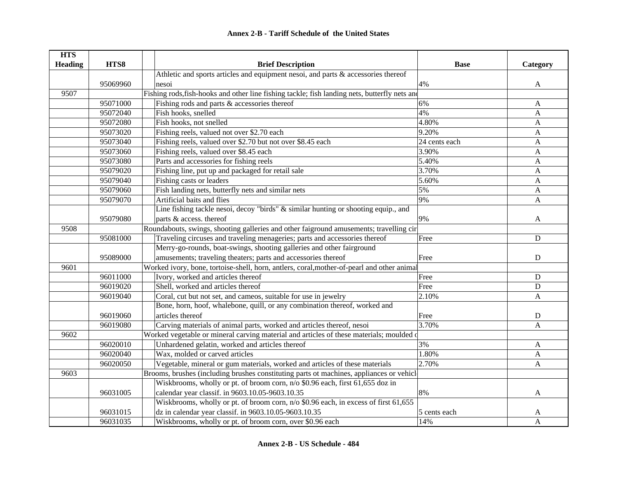| <b>HTS</b>     |          |                                                                                               |               |              |
|----------------|----------|-----------------------------------------------------------------------------------------------|---------------|--------------|
| <b>Heading</b> | HTS8     | <b>Brief Description</b>                                                                      | <b>Base</b>   | Category     |
|                |          | Athletic and sports articles and equipment nesoi, and parts & accessories thereof             |               |              |
|                | 95069960 | nesoi                                                                                         | 4%            | A            |
| 9507           |          | Fishing rods, fish-hooks and other line fishing tackle; fish landing nets, butterfly nets and |               |              |
|                | 95071000 | Fishing rods and parts & accessories thereof                                                  | 6%            | A            |
|                | 95072040 | Fish hooks, snelled                                                                           | 4%            | A            |
|                | 95072080 | Fish hooks, not snelled                                                                       | 4.80%         | A            |
|                | 95073020 | Fishing reels, valued not over \$2.70 each                                                    | 9.20%         | A            |
|                | 95073040 | Fishing reels, valued over \$2.70 but not over \$8.45 each                                    | 24 cents each | A            |
|                | 95073060 | Fishing reels, valued over \$8.45 each                                                        | 3.90%         | A            |
|                | 95073080 | Parts and accessories for fishing reels                                                       | 5.40%         | A            |
|                | 95079020 | Fishing line, put up and packaged for retail sale                                             | 3.70%         | A            |
|                | 95079040 | Fishing casts or leaders                                                                      | 5.60%         | A            |
|                | 95079060 | Fish landing nets, butterfly nets and similar nets                                            | 5%            | A            |
|                | 95079070 | Artificial baits and flies                                                                    | 9%            | A            |
|                |          | Line fishing tackle nesoi, decoy "birds" & similar hunting or shooting equip., and            |               |              |
|                | 95079080 | parts & access. thereof                                                                       | 9%            | A            |
| 9508           |          | Roundabouts, swings, shooting galleries and other faiground amusements; travelling cir        |               |              |
|                | 95081000 | Traveling circuses and traveling menageries; parts and accessories thereof                    | Free          | $\mathbf D$  |
|                |          | Merry-go-rounds, boat-swings, shooting galleries and other fairground                         |               |              |
|                | 95089000 | amusements; traveling theaters; parts and accessories thereof                                 | Free          | D            |
| 9601           |          | Worked ivory, bone, tortoise-shell, horn, antlers, coral, mother-of-pearl and other animal    |               |              |
|                | 96011000 | Ivory, worked and articles thereof                                                            | Free          | $\mathbf D$  |
|                | 96019020 | Shell, worked and articles thereof                                                            | Free          | D            |
|                | 96019040 | Coral, cut but not set, and cameos, suitable for use in jewelry                               | 2.10%         | A            |
|                |          | Bone, horn, hoof, whalebone, quill, or any combination thereof, worked and                    |               |              |
|                | 96019060 | articles thereof                                                                              | Free          | ${\bf D}$    |
|                | 96019080 | Carving materials of animal parts, worked and articles thereof, nesoi                         | 3.70%         | $\mathbf{A}$ |
| 9602           |          | Worked vegetable or mineral carving material and articles of these materials; moulded of      |               |              |
|                | 96020010 | Unhardened gelatin, worked and articles thereof                                               | 3%            | A            |
|                | 96020040 | Wax, molded or carved articles                                                                | 1.80%         | A            |
|                | 96020050 | Vegetable, mineral or gum materials, worked and articles of these materials                   | 2.70%         | $\mathbf{A}$ |
| 9603           |          | Brooms, brushes (including brushes constituting parts ot machines, appliances or vehicle      |               |              |
|                |          | Wiskbrooms, wholly or pt. of broom corn, n/o \$0.96 each, first 61,655 doz in                 |               |              |
|                | 96031005 | calendar year classif. in 9603.10.05-9603.10.35                                               | 8%            | A            |
|                |          | Wiskbrooms, wholly or pt. of broom corn, n/o \$0.96 each, in excess of first 61,655           |               |              |
|                | 96031015 | dz in calendar year classif. in 9603.10.05-9603.10.35                                         | 5 cents each  | A            |
|                | 96031035 | Wiskbrooms, wholly or pt. of broom corn, over \$0.96 each                                     | 14%           | A            |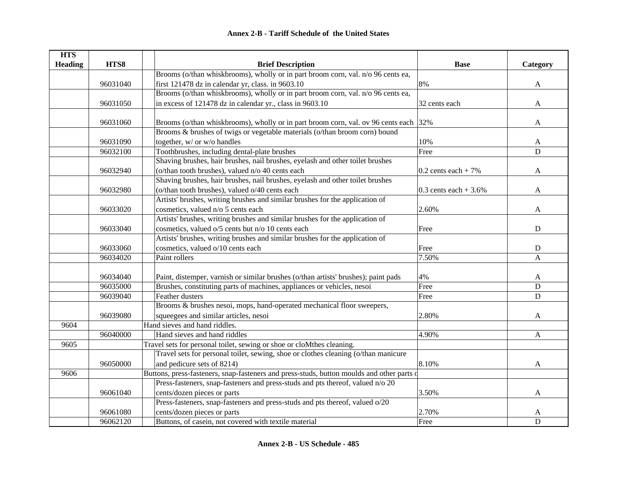| <b>HTS</b>     |          |                                                                                            |                        |              |
|----------------|----------|--------------------------------------------------------------------------------------------|------------------------|--------------|
| <b>Heading</b> | HTS8     | <b>Brief Description</b>                                                                   | <b>Base</b>            | Category     |
|                |          | Brooms (o/than whiskbrooms), wholly or in part broom corn, val. n/o 96 cents ea,           |                        |              |
|                | 96031040 | first 121478 dz in calendar yr, class. in 9603.10                                          | 8%                     | A            |
|                |          | Brooms (o/than whiskbrooms), wholly or in part broom corn, val. n/o 96 cents ea,           |                        |              |
|                | 96031050 | in excess of 121478 dz in calendar yr., class in 9603.10                                   | 32 cents each          | A            |
|                |          |                                                                                            |                        |              |
|                | 96031060 | Brooms (o/than whiskbrooms), wholly or in part broom corn, val. ov 96 cents each 32%       |                        | $\mathbf{A}$ |
|                |          | Brooms & brushes of twigs or vegetable materials (o/than broom corn) bound                 |                        |              |
|                | 96031090 | together, w/ or w/o handles                                                                | 10%                    | A            |
|                | 96032100 | Toothbrushes, including dental-plate brushes                                               | Free                   | $\mathbf D$  |
|                |          | Shaving brushes, hair brushes, nail brushes, eyelash and other toilet brushes              |                        |              |
|                | 96032940 | (o/than tooth brushes), valued n/o 40 cents each                                           | $0.2$ cents each + 7%  | $\mathbf{A}$ |
|                |          | Shaving brushes, hair brushes, nail brushes, eyelash and other toilet brushes              |                        |              |
|                | 96032980 | (o/than tooth brushes), valued o/40 cents each                                             | 0.3 cents each $+3.6%$ | A            |
|                |          | Artists' brushes, writing brushes and similar brushes for the application of               |                        |              |
|                | 96033020 | cosmetics, valued n/o 5 cents each                                                         | 2.60%                  | A            |
|                |          | Artists' brushes, writing brushes and similar brushes for the application of               |                        |              |
|                | 96033040 | cosmetics, valued o/5 cents but n/o 10 cents each                                          | Free                   | D            |
|                |          | Artists' brushes, writing brushes and similar brushes for the application of               |                        |              |
|                | 96033060 | cosmetics, valued o/10 cents each                                                          | Free                   | D            |
|                | 96034020 | Paint rollers                                                                              | 7.50%                  | $\mathbf{A}$ |
|                |          |                                                                                            |                        |              |
|                | 96034040 | Paint, distemper, varnish or similar brushes (o/than artists' brushes); paint pads         | 4%                     | A            |
|                | 96035000 | Brushes, constituting parts of machines, appliances or vehicles, nesoi                     | Free                   | $\mathbf D$  |
|                | 96039040 | Feather dusters                                                                            | Free                   | D            |
|                |          | Brooms & brushes nesoi, mops, hand-operated mechanical floor sweepers,                     |                        |              |
|                | 96039080 | squeegees and similar articles, nesoi                                                      | 2.80%                  | A            |
| 9604           |          | Hand sieves and hand riddles.                                                              |                        |              |
|                | 96040000 | Hand sieves and hand riddles                                                               | 4.90%                  | $\mathbf{A}$ |
| 9605           |          | Travel sets for personal toilet, sewing or shoe or cloMthes cleaning.                      |                        |              |
|                |          | Travel sets for personal toilet, sewing, shoe or clothes cleaning (o/than manicure         |                        |              |
|                | 96050000 | and pedicure sets of 8214)                                                                 | 8.10%                  | A            |
| 9606           |          | Buttons, press-fasteners, snap-fasteners and press-studs, button moulds and other parts of |                        |              |
|                |          | Press-fasteners, snap-fasteners and press-studs and pts thereof, valued n/o 20             |                        |              |
|                | 96061040 | cents/dozen pieces or parts                                                                | 3.50%                  | $\mathbf{A}$ |
|                |          | Press-fasteners, snap-fasteners and press-studs and pts thereof, valued o/20               |                        |              |
|                | 96061080 | cents/dozen pieces or parts                                                                | 2.70%                  | A            |
|                | 96062120 | Buttons, of casein, not covered with textile material                                      | Free                   | $\mathbf D$  |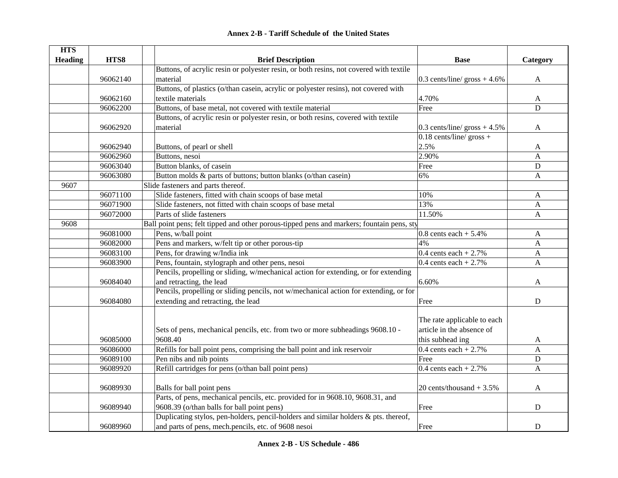|  | <b>Annex 2-B - Tariff Schedule of the United States</b> |  |
|--|---------------------------------------------------------|--|
|--|---------------------------------------------------------|--|

| <b>HTS</b>     |          |                                                                                           |                                        |              |
|----------------|----------|-------------------------------------------------------------------------------------------|----------------------------------------|--------------|
| <b>Heading</b> | HTS8     | <b>Brief Description</b>                                                                  | <b>Base</b>                            | Category     |
|                |          | Buttons, of acrylic resin or polyester resin, or both resins, not covered with textile    |                                        |              |
|                | 96062140 | material                                                                                  | $0.3$ cents/line/ gross + 4.6%         | $\mathbf{A}$ |
|                |          | Buttons, of plastics (o/than casein, acrylic or polyester resins), not covered with       |                                        |              |
|                | 96062160 | textile materials                                                                         | 4.70%                                  | A            |
|                | 96062200 | Buttons, of base metal, not covered with textile material                                 | Free                                   | D            |
|                |          | Buttons, of acrylic resin or polyester resin, or both resins, covered with textile        |                                        |              |
|                | 96062920 | material                                                                                  | 0.3 cents/line/ $\text{gross} + 4.5\%$ | A            |
|                |          |                                                                                           | $0.18$ cents/line/ gross +             |              |
|                | 96062940 | Buttons, of pearl or shell                                                                | 2.5%                                   | A            |
|                | 96062960 | Buttons, nesoi                                                                            | 2.90%                                  | A            |
|                | 96063040 | Button blanks, of casein                                                                  | Free                                   | $\mathbf D$  |
|                | 96063080 | Button molds & parts of buttons; button blanks (o/than casein)                            | 6%                                     | A            |
| 9607           |          | Slide fasteners and parts thereof.                                                        |                                        |              |
|                | 96071100 | Slide fasteners, fitted with chain scoops of base metal                                   | 10%                                    | A            |
|                | 96071900 | Slide fasteners, not fitted with chain scoops of base metal                               | 13%                                    | $\mathbf{A}$ |
|                | 96072000 | Parts of slide fasteners                                                                  | 11.50%                                 | A            |
| 9608           |          | Ball point pens; felt tipped and other porous-tipped pens and markers; fountain pens, sty |                                        |              |
|                | 96081000 | Pens, w/ball point                                                                        | 0.8 cents each $+$ 5.4%                | $\mathbf{A}$ |
|                | 96082000 | Pens and markers, w/felt tip or other porous-tip                                          | 4%                                     | A            |
|                | 96083100 | Pens, for drawing w/India ink                                                             | 0.4 cents each $+2.7\%$                | $\mathbf{A}$ |
|                | 96083900 | Pens, fountain, stylograph and other pens, nesoi                                          | 0.4 cents each $+2.7\%$                | $\mathbf{A}$ |
|                |          | Pencils, propelling or sliding, w/mechanical action for extending, or for extending       |                                        |              |
|                | 96084040 | and retracting, the lead                                                                  | 6.60%                                  | A            |
|                |          | Pencils, propelling or sliding pencils, not w/mechanical action for extending, or for     |                                        |              |
|                | 96084080 | extending and retracting, the lead                                                        | Free                                   | $\mathbf D$  |
|                |          |                                                                                           |                                        |              |
|                |          |                                                                                           | The rate applicable to each            |              |
|                |          | Sets of pens, mechanical pencils, etc. from two or more subheadings 9608.10 -             | article in the absence of              |              |
|                | 96085000 | 9608.40                                                                                   | this subhead ing                       | A            |
|                | 96086000 | Refills for ball point pens, comprising the ball point and ink reservoir                  | 0.4 cents each $+2.7%$                 | $\mathbf A$  |
|                | 96089100 | Pen nibs and nib points                                                                   | Free                                   | D            |
|                | 96089920 | Refill cartridges for pens (o/than ball point pens)                                       | 0.4 cents each $+2.7\%$                | A            |
|                |          |                                                                                           |                                        |              |
|                | 96089930 | Balls for ball point pens                                                                 | 20 cents/thousand $+3.5%$              | A            |
|                |          | Parts, of pens, mechanical pencils, etc. provided for in 9608.10, 9608.31, and            |                                        |              |
|                | 96089940 | 9608.39 (o/than balls for ball point pens)                                                | Free                                   | D            |
|                |          | Duplicating stylos, pen-holders, pencil-holders and similar holders $\&$ pts. thereof,    |                                        |              |
|                | 96089960 | and parts of pens, mech.pencils, etc. of 9608 nesoi                                       | Free                                   | ${\bf D}$    |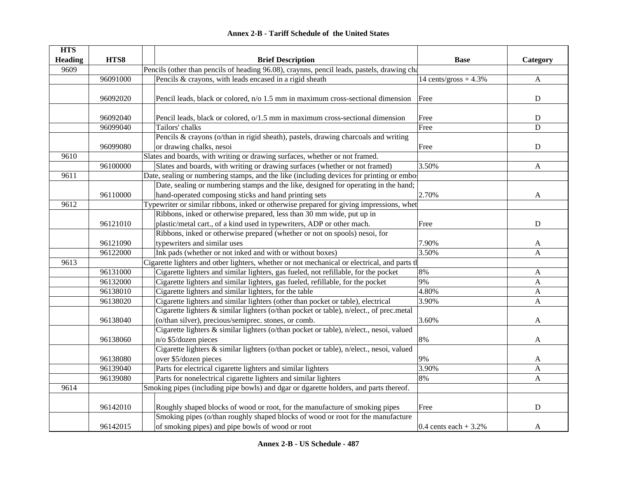|  | <b>Annex 2-B - Tariff Schedule of the United States</b> |  |
|--|---------------------------------------------------------|--|
|--|---------------------------------------------------------|--|

| <b>HTS</b>     |          |                                                                                               |                         |              |
|----------------|----------|-----------------------------------------------------------------------------------------------|-------------------------|--------------|
| <b>Heading</b> | HTS8     | <b>Brief Description</b>                                                                      | <b>Base</b>             | Category     |
| 9609           |          | Pencils (other than pencils of heading 96.08), craynns, pencil leads, pastels, drawing cha    |                         |              |
|                | 96091000 | Pencils & crayons, with leads encased in a rigid sheath                                       | 14 cents/gross $+4.3\%$ | $\mathbf{A}$ |
|                |          |                                                                                               |                         |              |
|                | 96092020 | Pencil leads, black or colored, n/o 1.5 mm in maximum cross-sectional dimension               | Free                    | $\mathbf D$  |
|                |          |                                                                                               |                         |              |
|                | 96092040 | Pencil leads, black or colored, o/1.5 mm in maximum cross-sectional dimension                 | Free                    | ${\rm D}$    |
|                | 96099040 | Tailors' chalks                                                                               | Free                    | D            |
|                |          | Pencils & crayons (o/than in rigid sheath), pastels, drawing charcoals and writing            |                         |              |
|                | 96099080 | or drawing chalks, nesoi                                                                      | Free                    | ${\bf D}$    |
| 9610           |          | Slates and boards, with writing or drawing surfaces, whether or not framed.                   |                         |              |
|                | 96100000 | Slates and boards, with writing or drawing surfaces (whether or not framed)                   | 3.50%                   | A            |
| 9611           |          | Date, sealing or numbering stamps, and the like (including devices for printing or embor      |                         |              |
|                |          | Date, sealing or numbering stamps and the like, designed for operating in the hand;           |                         |              |
|                | 96110000 | hand-operated composing sticks and hand printing sets                                         | 2.70%                   | A            |
| 9612           |          | Typewriter or similar ribbons, inked or otherwise prepared for giving impressions, whet       |                         |              |
|                |          | Ribbons, inked or otherwise prepared, less than 30 mm wide, put up in                         |                         |              |
|                | 96121010 | plastic/metal cart., of a kind used in typewriters, ADP or other mach.                        | Free                    | ${\bf D}$    |
|                |          | Ribbons, inked or otherwise prepared (whether or not on spools) nesoi, for                    |                         |              |
|                | 96121090 | typewriters and similar uses                                                                  | 7.90%                   | A            |
|                | 96122000 | Ink pads (whether or not inked and with or without boxes)                                     | 3.50%                   | $\mathbf{A}$ |
| 9613           |          | Cigarette lighters and other lighters, whether or not mechanical or electrical, and parts the |                         |              |
|                | 96131000 | Cigarette lighters and similar lighters, gas fueled, not refillable, for the pocket           | 8%                      | $\mathbf{A}$ |
|                | 96132000 | Cigarette lighters and similar lighters, gas fueled, refillable, for the pocket               | 9%                      | A            |
|                | 96138010 | Cigarette lighters and similar lighters, for the table                                        | 4.80%                   | $\mathbf{A}$ |
|                | 96138020 | Cigarette lighters and similar lighters (other than pocket or table), electrical              | 3.90%                   | A            |
|                |          | Cigarette lighters & similar lighters (o/than pocket or table), n/elect., of prec.metal       |                         |              |
|                | 96138040 | (o/than silver), precious/semiprec. stones, or comb.                                          | 3.60%                   | A            |
|                |          | Cigarette lighters & similar lighters (o/than pocket or table), n/elect., nesoi, valued       |                         |              |
|                | 96138060 | n/o \$5/dozen pieces                                                                          | 8%                      | A            |
|                |          | Cigarette lighters & similar lighters (o/than pocket or table), n/elect., nesoi, valued       |                         |              |
|                | 96138080 | over \$5/dozen pieces                                                                         | 9%                      | A            |
|                | 96139040 | Parts for electrical cigarette lighters and similar lighters                                  | 3.90%                   | $\mathbf{A}$ |
|                | 96139080 | Parts for nonelectrical cigarette lighters and similar lighters                               | 8%                      | A            |
| 9614           |          | Smoking pipes (including pipe bowls) and dgar or dgarette holders, and parts thereof.         |                         |              |
|                |          |                                                                                               |                         |              |
|                | 96142010 | Roughly shaped blocks of wood or root, for the manufacture of smoking pipes                   | Free                    | D            |
|                |          | Smoking pipes (o/than roughly shaped blocks of wood or root for the manufacture               |                         |              |
|                | 96142015 | of smoking pipes) and pipe bowls of wood or root                                              | 0.4 cents each $+3.2%$  | A            |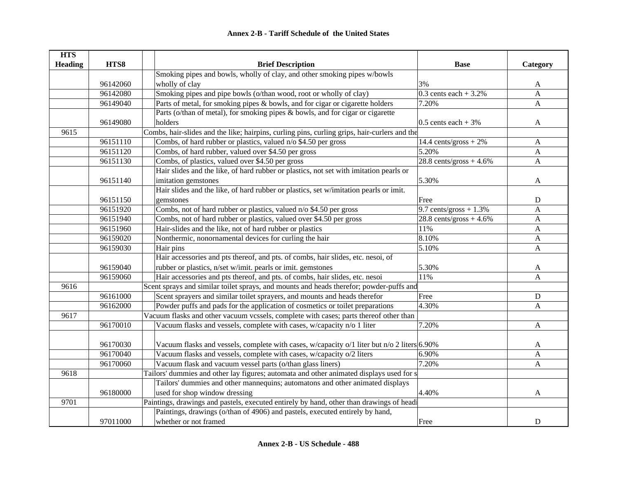| <b>HTS</b>     |          |                                                                                              |                           |              |
|----------------|----------|----------------------------------------------------------------------------------------------|---------------------------|--------------|
| <b>Heading</b> | HTS8     | <b>Brief Description</b>                                                                     | <b>Base</b>               | Category     |
|                |          | Smoking pipes and bowls, wholly of clay, and other smoking pipes w/bowls                     |                           |              |
|                | 96142060 | wholly of clay                                                                               | 3%                        | A            |
|                | 96142080 | Smoking pipes and pipe bowls (o/than wood, root or wholly of clay)                           | $0.3$ cents each + 3.2%   | $\mathbf A$  |
|                | 96149040 | Parts of metal, for smoking pipes & bowls, and for cigar or cigarette holders                | 7.20%                     | A            |
|                |          | Parts (o/than of metal), for smoking pipes & bowls, and for cigar or cigarette               |                           |              |
|                | 96149080 | holders                                                                                      | 0.5 cents each $+3\%$     | $\mathbf{A}$ |
| 9615           |          | Combs, hair-slides and the like; hairpins, curling pins, curling grips, hair-curlers and the |                           |              |
|                | 96151110 | Combs, of hard rubber or plastics, valued n/o \$4.50 per gross                               | 14.4 cents/gross $+2\%$   | A            |
|                | 96151120 | Combs, of hard rubber, valued over \$4.50 per gross                                          | 5.20%                     | A            |
|                | 96151130 | Combs, of plastics, valued over \$4.50 per gross                                             | $28.8$ cents/gross + 4.6% | $\mathbf{A}$ |
|                |          | Hair slides and the like, of hard rubber or plastics, not set with imitation pearls or       |                           |              |
|                | 96151140 | imitation gemstones                                                                          | 5.30%                     | A            |
|                |          | Hair slides and the like, of hard rubber or plastics, set w/imitation pearls or imit.        |                           |              |
|                | 96151150 | gemstones                                                                                    | Free                      | D            |
|                | 96151920 | Combs, not of hard rubber or plastics, valued n/o \$4.50 per gross                           | 9.7 cents/gross $+1.3\%$  | A            |
|                | 96151940 | Combs, not of hard rubber or plastics, valued over \$4.50 per gross                          | $28.8$ cents/gross + 4.6% | A            |
|                | 96151960 | Hair-slides and the like, not of hard rubber or plastics                                     | 11%                       | A            |
|                | 96159020 | Nonthermic, nonornamental devices for curling the hair                                       | 8.10%                     | A            |
|                | 96159030 | Hair pins                                                                                    | 5.10%                     | $\mathbf{A}$ |
|                |          | Hair accessories and pts thereof, and pts. of combs, hair slides, etc. nesoi, of             |                           |              |
|                | 96159040 | rubber or plastics, n/set w/imit. pearls or imit. gemstones                                  | 5.30%                     | A            |
|                | 96159060 | Hair accessories and pts thereof, and pts. of combs, hair slides, etc. nesoi                 | 11%                       | A            |
| 9616           |          | Scent sprays and similar toilet sprays, and mounts and heads therefor; powder-puffs and      |                           |              |
|                | 96161000 | Scent sprayers and similar toilet sprayers, and mounts and heads therefor                    | Free                      | ${\bf D}$    |
|                | 96162000 | Powder puffs and pads for the application of cosmetics or toilet preparations                | 4.30%                     | A            |
| 9617           |          | Vacuum flasks and other vacuum vcssels, complete with cases; parts thereof other than        |                           |              |
|                | 96170010 | Vacuum flasks and vessels, complete with cases, w/capacity n/o 1 liter                       | 7.20%                     | $\mathbf{A}$ |
|                |          |                                                                                              |                           |              |
|                | 96170030 | Vacuum flasks and vessels, complete with cases, w/capacity o/1 liter but n/o 2 liters 6.90%  |                           | A            |
|                | 96170040 | Vacuum flasks and vessels, complete with cases, w/capacity o/2 liters                        | 6.90%                     | $\mathbf{A}$ |
|                | 96170060 | Vacuum flask and vacuum vessel parts (o/than glass liners)                                   | 7.20%                     | A            |
| 9618           |          | Tailors' dummies and other lay figures; automata and other animated displays used for s      |                           |              |
|                |          | Tailors' dummies and other mannequins; automatons and other animated displays                |                           |              |
|                | 96180000 | used for shop window dressing                                                                | 4.40%                     | $\mathbf{A}$ |
| 9701           |          | Paintings, drawings and pastels, executed entirely by hand, other than drawings of headi     |                           |              |
|                |          | Paintings, drawings (o/than of 4906) and pastels, executed entirely by hand,                 |                           |              |
|                | 97011000 | whether or not framed                                                                        | Free                      | D            |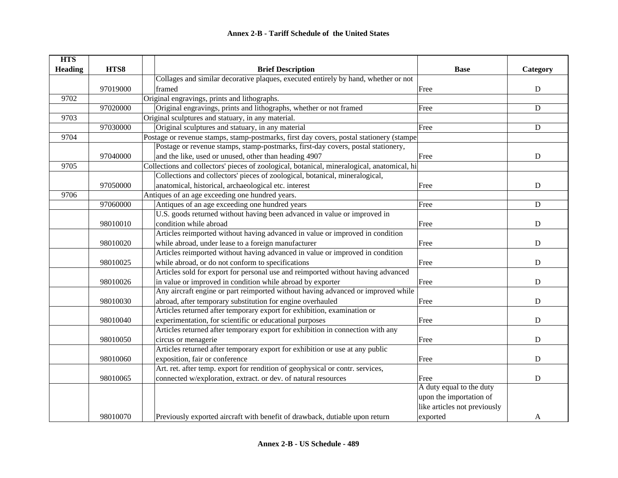| <b>HTS</b>     |          |                                                                                            |                              |             |
|----------------|----------|--------------------------------------------------------------------------------------------|------------------------------|-------------|
| <b>Heading</b> | HTS8     | <b>Brief Description</b>                                                                   | <b>Base</b>                  | Category    |
|                |          | Collages and similar decorative plaques, executed entirely by hand, whether or not         |                              |             |
|                | 97019000 | framed                                                                                     | Free                         | ${\bf D}$   |
| 9702           |          | Original engravings, prints and lithographs.                                               |                              |             |
|                | 97020000 | Original engravings, prints and lithographs, whether or not framed                         | Free                         | ${\bf D}$   |
| 9703           |          | Original sculptures and statuary, in any material.                                         |                              |             |
|                | 97030000 | Original sculptures and statuary, in any material                                          | Free                         | ${\bf D}$   |
| 9704           |          | Postage or revenue stamps, stamp-postmarks, first day covers, postal stationery (stampe    |                              |             |
|                |          | Postage or revenue stamps, stamp-postmarks, first-day covers, postal stationery,           |                              |             |
|                | 97040000 | and the like, used or unused, other than heading 4907                                      | Free                         | ${\bf D}$   |
| 9705           |          | Collections and collectors' pieces of zoological, botanical, mineralogical, anatomical, hi |                              |             |
|                |          | Collections and collectors' pieces of zoological, botanical, mineralogical,                |                              |             |
|                | 97050000 | anatomical, historical, archaeological etc. interest                                       | Free                         | $\mathbf D$ |
| 9706           |          | Antiques of an age exceeding one hundred years.                                            |                              |             |
|                | 97060000 | Antiques of an age exceeding one hundred years                                             | Free                         | ${\bf D}$   |
|                |          | U.S. goods returned without having been advanced in value or improved in                   |                              |             |
|                | 98010010 | condition while abroad                                                                     | Free                         | ${\bf D}$   |
|                |          | Articles reimported without having advanced in value or improved in condition              |                              |             |
|                | 98010020 | while abroad, under lease to a foreign manufacturer                                        | Free                         | ${\bf D}$   |
|                |          | Articles reimported without having advanced in value or improved in condition              |                              |             |
|                | 98010025 | while abroad, or do not conform to specifications                                          | Free                         | ${\bf D}$   |
|                |          | Articles sold for export for personal use and reimported without having advanced           |                              |             |
|                | 98010026 | in value or improved in condition while abroad by exporter                                 | Free                         | ${\bf D}$   |
|                |          | Any aircraft engine or part reimported without having advanced or improved while           |                              |             |
|                | 98010030 | abroad, after temporary substitution for engine overhauled                                 | Free                         | ${\bf D}$   |
|                |          | Articles returned after temporary export for exhibition, examination or                    |                              |             |
|                | 98010040 | experimentation, for scientific or educational purposes                                    | Free                         | ${\bf D}$   |
|                |          | Articles returned after temporary export for exhibition in connection with any             |                              |             |
|                | 98010050 | circus or menagerie                                                                        | Free                         | ${\bf D}$   |
|                |          | Articles returned after temporary export for exhibition or use at any public               |                              |             |
|                | 98010060 | exposition, fair or conference                                                             | Free                         | ${\bf D}$   |
|                |          | Art. ret. after temp. export for rendition of geophysical or contr. services,              |                              |             |
|                | 98010065 | connected w/exploration, extract. or dev. of natural resources                             | Free                         | $\mathbf D$ |
|                |          |                                                                                            | A duty equal to the duty     |             |
|                |          |                                                                                            | upon the importation of      |             |
|                |          |                                                                                            | like articles not previously |             |
|                | 98010070 | Previously exported aircraft with benefit of drawback, dutiable upon return                | exported                     | A           |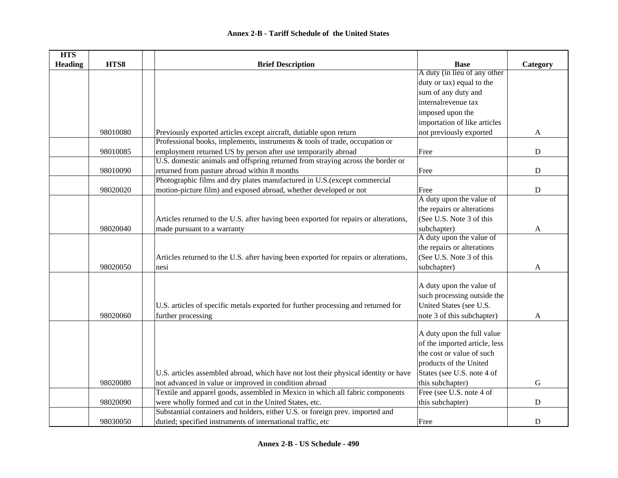| <b>HTS</b>     |          |                                                                                      |                               |             |
|----------------|----------|--------------------------------------------------------------------------------------|-------------------------------|-------------|
| <b>Heading</b> | HTS8     | <b>Brief Description</b>                                                             | <b>Base</b>                   | Category    |
|                |          |                                                                                      | A duty (in lieu of any other  |             |
|                |          |                                                                                      | duty or tax) equal to the     |             |
|                |          |                                                                                      | sum of any duty and           |             |
|                |          |                                                                                      | internalrevenue tax           |             |
|                |          |                                                                                      | imposed upon the              |             |
|                |          |                                                                                      | importation of like articles  |             |
|                | 98010080 | Previously exported articles except aircraft, dutiable upon return                   | not previously exported       | A           |
|                |          | Professional books, implements, instruments $\&$ tools of trade, occupation or       |                               |             |
|                | 98010085 | employment returned US by person after use temporarily abroad                        | Free                          | $\mathbf D$ |
|                |          | U.S. domestic animals and offspring returned from straying across the border or      |                               |             |
|                | 98010090 | returned from pasture abroad within 8 months                                         | Free                          | $\mathbf D$ |
|                |          | Photographic films and dry plates manufactured in U.S.(except commercial             |                               |             |
|                | 98020020 | motion-picture film) and exposed abroad, whether developed or not                    | Free                          | $\mathbf D$ |
|                |          |                                                                                      | A duty upon the value of      |             |
|                |          |                                                                                      | the repairs or alterations    |             |
|                |          | Articles returned to the U.S. after having been exported for repairs or alterations, | (See U.S. Note 3 of this      |             |
|                | 98020040 | made pursuant to a warranty                                                          | subchapter)                   | A           |
|                |          |                                                                                      | A duty upon the value of      |             |
|                |          |                                                                                      | the repairs or alterations    |             |
|                |          | Articles returned to the U.S. after having been exported for repairs or alterations, | (See U.S. Note 3 of this      |             |
|                | 98020050 | nesi                                                                                 | subchapter)                   | A           |
|                |          |                                                                                      |                               |             |
|                |          |                                                                                      | A duty upon the value of      |             |
|                |          |                                                                                      | such processing outside the   |             |
|                |          | U.S. articles of specific metals exported for further processing and returned for    | United States (see U.S.       |             |
|                | 98020060 | further processing                                                                   | note 3 of this subchapter)    | A           |
|                |          |                                                                                      |                               |             |
|                |          |                                                                                      | A duty upon the full value    |             |
|                |          |                                                                                      | of the imported article, less |             |
|                |          |                                                                                      | the cost or value of such     |             |
|                |          |                                                                                      | products of the United        |             |
|                |          | U.S. articles assembled abroad, which have not lost their physical identity or have  | States (see U.S. note 4 of    |             |
|                | 98020080 | not advanced in value or improved in condition abroad                                | this subchapter)              | ${\bf G}$   |
|                |          | Textile and apparel goods, assembled in Mexico in which all fabric components        | Free (see U.S. note 4 of      |             |
|                | 98020090 | were wholly formed and cut in the United States, etc.                                | this subchapter)              | ${\bf D}$   |
|                |          | Substantial containers and holders, either U.S. or foreign prev. imported and        |                               |             |
|                | 98030050 | dutied; specified instruments of international traffic, etc                          | Free                          | D           |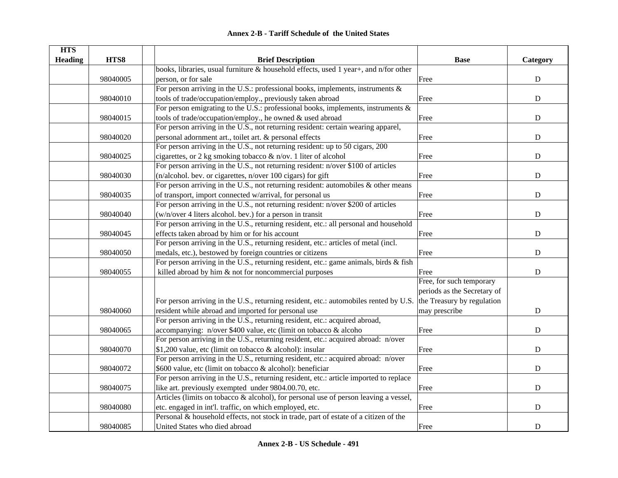| <b>HTS</b><br><b>Heading</b> | HTS8     | <b>Brief Description</b>                                                                                         | <b>Base</b>                 | Category  |
|------------------------------|----------|------------------------------------------------------------------------------------------------------------------|-----------------------------|-----------|
|                              |          | books, libraries, usual furniture & household effects, used 1 year+, and n/for other                             |                             |           |
|                              | 98040005 | person, or for sale                                                                                              | Free                        | ${\bf D}$ |
|                              |          | For person arriving in the U.S.: professional books, implements, instruments $\&$                                |                             |           |
|                              | 98040010 | tools of trade/occupation/employ., previously taken abroad                                                       | Free                        | ${\bf D}$ |
|                              |          | For person emigrating to the U.S.: professional books, implements, instruments $\&$                              |                             |           |
|                              | 98040015 | tools of trade/occupation/employ., he owned & used abroad                                                        | Free                        | ${\bf D}$ |
|                              |          | For person arriving in the U.S., not returning resident: certain wearing apparel,                                |                             |           |
|                              | 98040020 | personal adornment art., toilet art. & personal effects                                                          | Free                        | ${\bf D}$ |
|                              |          | For person arriving in the U.S., not returning resident: up to 50 cigars, 200                                    |                             |           |
|                              | 98040025 | cigarettes, or 2 kg smoking tobacco $\&$ n/ov. 1 liter of alcohol                                                | Free                        | ${\bf D}$ |
|                              |          | For person arriving in the U.S., not returning resident: n/over \$100 of articles                                |                             |           |
|                              | 98040030 | $(n/alcohol.$ bev. or cigarettes, $n/over 100$ cigars) for gift                                                  | Free                        | ${\bf D}$ |
|                              |          | For person arriving in the U.S., not returning resident: automobiles $\&$ other means                            |                             |           |
|                              | 98040035 | of transport, import connected w/arrival, for personal us                                                        | Free                        | ${\bf D}$ |
|                              |          | For person arriving in the U.S., not returning resident: n/over \$200 of articles                                |                             |           |
|                              | 98040040 | (w/n/over 4 liters alcohol. bev.) for a person in transit                                                        | Free                        | ${\bf D}$ |
|                              |          | For person arriving in the U.S., returning resident, etc.: all personal and household                            |                             |           |
|                              | 98040045 | effects taken abroad by him or for his account                                                                   | Free                        | ${\bf D}$ |
|                              |          | For person arriving in the U.S., returning resident, etc.: articles of metal (incl.                              |                             |           |
|                              | 98040050 | medals, etc.), bestowed by foreign countries or citizens                                                         | Free                        | ${\bf D}$ |
|                              |          | For person arriving in the U.S., returning resident, etc.: game animals, birds & fish                            |                             |           |
|                              | 98040055 | killed abroad by him & not for noncommercial purposes                                                            | Free                        | ${\bf D}$ |
|                              |          |                                                                                                                  | Free, for such temporary    |           |
|                              |          |                                                                                                                  | periods as the Secretary of |           |
|                              |          | For person arriving in the U.S., returning resident, etc.: automobiles rented by U.S. the Treasury by regulation |                             |           |
|                              | 98040060 | resident while abroad and imported for personal use                                                              | may prescribe               | ${\bf D}$ |
|                              |          | For person arriving in the U.S., returning resident, etc.: acquired abroad,                                      |                             |           |
|                              | 98040065 | accompanying: $n/over $400$ value, etc (limit on tobacco & alcoho                                                | Free                        | ${\bf D}$ |
|                              |          | For person arriving in the U.S., returning resident, etc.: acquired abroad: n/over                               |                             |           |
|                              | 98040070 | \$1,200 value, etc (limit on tobacco & alcohol): insular                                                         | Free                        | ${\bf D}$ |
|                              |          | For person arriving in the U.S., returning resident, etc.: acquired abroad: n/over                               |                             |           |
|                              | 98040072 | \$600 value, etc (limit on tobacco & alcohol): beneficiar                                                        | Free                        | ${\bf D}$ |
|                              |          | For person arriving in the U.S., returning resident, etc.: article imported to replace                           |                             |           |
|                              | 98040075 | like art. previously exempted under 9804.00.70, etc.                                                             | Free                        | ${\bf D}$ |
|                              |          | Articles (limits on tobacco & alcohol), for personal use of person leaving a vessel,                             |                             |           |
|                              | 98040080 | etc. engaged in int'l. traffic, on which employed, etc.                                                          | Free                        | ${\bf D}$ |
|                              |          | Personal & household effects, not stock in trade, part of estate of a citizen of the                             |                             |           |
|                              | 98040085 | United States who died abroad                                                                                    | Free                        | ${\bf D}$ |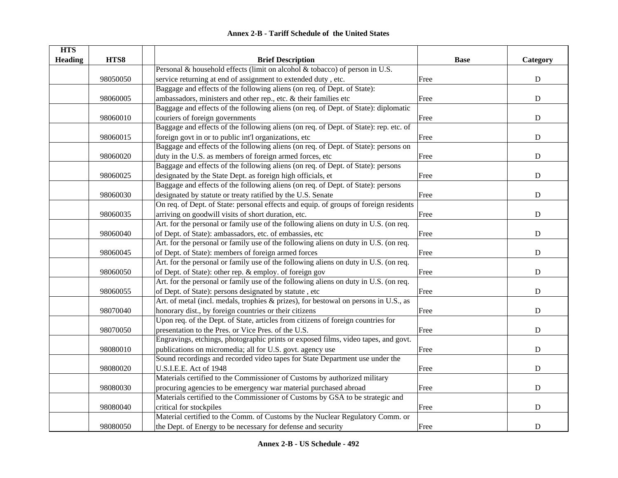| <b>HTS</b><br><b>Heading</b> | HTS8     | <b>Brief Description</b>                                                              | <b>Base</b> | Category    |
|------------------------------|----------|---------------------------------------------------------------------------------------|-------------|-------------|
|                              |          | Personal & household effects (limit on alcohol & tobacco) of person in U.S.           |             |             |
|                              | 98050050 | service returning at end of assignment to extended duty, etc.                         | Free        | ${\bf D}$   |
|                              |          | Baggage and effects of the following aliens (on req. of Dept. of State):              |             |             |
|                              | 98060005 | ambassadors, ministers and other rep., etc. & their families etc                      | Free        | ${\bf D}$   |
|                              |          | Baggage and effects of the following aliens (on req. of Dept. of State): diplomatic   |             |             |
|                              | 98060010 | couriers of foreign governments                                                       | Free        | $\mathbf D$ |
|                              |          | Baggage and effects of the following aliens (on req. of Dept. of State): rep. etc. of |             |             |
|                              | 98060015 | foreign govt in or to public int'l organizations, etc                                 | Free        | ${\bf D}$   |
|                              |          | Baggage and effects of the following aliens (on req. of Dept. of State): persons on   |             |             |
|                              | 98060020 | duty in the U.S. as members of foreign armed forces, etc                              | Free        | D           |
|                              |          | Baggage and effects of the following aliens (on req. of Dept. of State): persons      |             |             |
|                              | 98060025 | designated by the State Dept. as foreign high officials, et                           | Free        | ${\bf D}$   |
|                              |          | Baggage and effects of the following aliens (on req. of Dept. of State): persons      |             |             |
|                              | 98060030 | designated by statute or treaty ratified by the U.S. Senate                           | Free        | ${\bf D}$   |
|                              |          | On req. of Dept. of State: personal effects and equip. of groups of foreign residents |             |             |
|                              | 98060035 | arriving on goodwill visits of short duration, etc.                                   | Free        | ${\bf D}$   |
|                              |          | Art. for the personal or family use of the following aliens on duty in U.S. (on req.  |             |             |
|                              | 98060040 | of Dept. of State): ambassadors, etc. of embassies, etc                               | Free        | ${\bf D}$   |
|                              |          | Art. for the personal or family use of the following aliens on duty in U.S. (on req.  |             |             |
|                              | 98060045 | of Dept. of State): members of foreign armed forces                                   | Free        | ${\bf D}$   |
|                              |          | Art. for the personal or family use of the following aliens on duty in U.S. (on req.  |             |             |
|                              | 98060050 | of Dept. of State): other rep. & employ. of foreign gov                               | Free        | ${\bf D}$   |
|                              |          | Art. for the personal or family use of the following aliens on duty in U.S. (on req.  |             |             |
|                              | 98060055 | of Dept. of State): persons designated by statute, etc                                | Free        | ${\bf D}$   |
|                              |          | Art. of metal (incl. medals, trophies & prizes), for bestowal on persons in U.S., as  |             |             |
|                              | 98070040 | honorary dist., by foreign countries or their citizens                                | Free        | ${\bf D}$   |
|                              |          | Upon req. of the Dept. of State, articles from citizens of foreign countries for      |             |             |
|                              | 98070050 | presentation to the Pres. or Vice Pres. of the U.S.                                   | Free        | ${\bf D}$   |
|                              |          | Engravings, etchings, photographic prints or exposed films, video tapes, and govt.    |             |             |
|                              | 98080010 | publications on micromedia; all for U.S. govt. agency use                             | Free        | $\mathbf D$ |
|                              |          | Sound recordings and recorded video tapes for State Department use under the          |             |             |
|                              | 98080020 | U.S.I.E.E. Act of 1948                                                                | Free        | $\mathbf D$ |
|                              |          | Materials certified to the Commissioner of Customs by authorized military             |             |             |
|                              | 98080030 | procuring agencies to be emergency war material purchased abroad                      | Free        | ${\bf D}$   |
|                              |          | Materials certified to the Commissioner of Customs by GSA to be strategic and         |             |             |
|                              | 98080040 | critical for stockpiles                                                               | Free        | ${\bf D}$   |
|                              |          | Material certified to the Comm. of Customs by the Nuclear Regulatory Comm. or         |             |             |
|                              | 98080050 | the Dept. of Energy to be necessary for defense and security                          | Free        | ${\bf D}$   |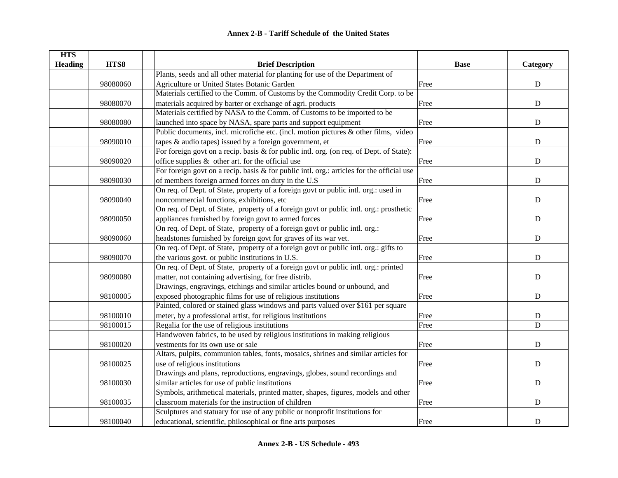| <b>HTS</b>     |          |                                                                                           |             |             |
|----------------|----------|-------------------------------------------------------------------------------------------|-------------|-------------|
| <b>Heading</b> | HTS8     | <b>Brief Description</b>                                                                  | <b>Base</b> | Category    |
|                |          | Plants, seeds and all other material for planting for use of the Department of            |             |             |
|                | 98080060 | Agriculture or United States Botanic Garden                                               | Free        | ${\bf D}$   |
|                |          | Materials certified to the Comm. of Customs by the Commodity Credit Corp. to be           |             |             |
|                | 98080070 | materials acquired by barter or exchange of agri. products                                | Free        | ${\bf D}$   |
|                |          | Materials certified by NASA to the Comm. of Customs to be imported to be                  |             |             |
|                | 98080080 | launched into space by NASA, spare parts and support equipment                            | Free        | ${\bf D}$   |
|                |          | Public documents, incl. microfiche etc. (incl. motion pictures & other films, video       |             |             |
|                | 98090010 | tapes $\&$ audio tapes) issued by a foreign government, et                                | Free        | ${\bf D}$   |
|                |          | For foreign govt on a recip. basis & for public intl. org. (on req. of Dept. of State):   |             |             |
|                | 98090020 | office supplies & other art. for the official use                                         | Free        | ${\bf D}$   |
|                |          | For foreign govt on a recip. basis & for public intl. org.: articles for the official use |             |             |
|                | 98090030 | of members foreign armed forces on duty in the U.S                                        | Free        | $\mathbf D$ |
|                |          | On req. of Dept. of State, property of a foreign govt or public intl. org.: used in       |             |             |
|                | 98090040 | noncommercial functions, exhibitions, etc                                                 | Free        | $\mathbf D$ |
|                |          | On req. of Dept. of State, property of a foreign govt or public intl. org.: prosthetic    |             |             |
|                | 98090050 | appliances furnished by foreign govt to armed forces                                      | Free        | $\mathbf D$ |
|                |          | On req. of Dept. of State, property of a foreign govt or public intl. org.:               |             |             |
|                | 98090060 | headstones furnished by foreign govt for graves of its war vet.                           | Free        | ${\bf D}$   |
|                |          | On req. of Dept. of State, property of a foreign govt or public intl. org.: gifts to      |             |             |
|                | 98090070 | the various govt. or public institutions in U.S.                                          | Free        | ${\bf D}$   |
|                |          | On req. of Dept. of State, property of a foreign govt or public intl. org.: printed       |             |             |
|                | 98090080 | matter, not containing advertising, for free distrib.                                     | Free        | ${\bf D}$   |
|                |          | Drawings, engravings, etchings and similar articles bound or unbound, and                 |             |             |
|                | 98100005 | exposed photographic films for use of religious institutions                              | Free        | ${\bf D}$   |
|                |          | Painted, colored or stained glass windows and parts valued over \$161 per square          |             |             |
|                | 98100010 | meter, by a professional artist, for religious institutions                               | Free        | ${\bf D}$   |
|                | 98100015 | Regalia for the use of religious institutions                                             | Free        | $\mathbf D$ |
|                |          | Handwoven fabrics, to be used by religious institutions in making religious               |             |             |
|                | 98100020 | vestments for its own use or sale                                                         | Free        | ${\bf D}$   |
|                |          | Altars, pulpits, communion tables, fonts, mosaics, shrines and similar articles for       |             |             |
|                | 98100025 | use of religious institutions                                                             | Free        | ${\bf D}$   |
|                |          | Drawings and plans, reproductions, engravings, globes, sound recordings and               |             |             |
|                | 98100030 | similar articles for use of public institutions                                           | Free        | ${\bf D}$   |
|                |          | Symbols, arithmetical materials, printed matter, shapes, figures, models and other        |             |             |
|                | 98100035 | classroom materials for the instruction of children                                       | Free        | ${\bf D}$   |
|                |          | Sculptures and statuary for use of any public or nonprofit institutions for               |             |             |
|                | 98100040 | educational, scientific, philosophical or fine arts purposes                              | Free        | ${\bf D}$   |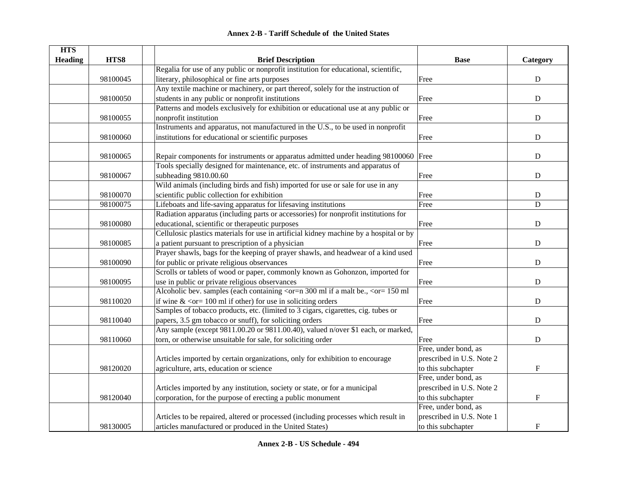|  | <b>Annex 2-B - Tariff Schedule of the United States</b> |  |
|--|---------------------------------------------------------|--|
|--|---------------------------------------------------------|--|

| <b>HTS</b>     |          |                                                                                                                                        |                           |                           |
|----------------|----------|----------------------------------------------------------------------------------------------------------------------------------------|---------------------------|---------------------------|
| <b>Heading</b> | HTS8     | <b>Brief Description</b>                                                                                                               | <b>Base</b>               | Category                  |
|                |          | Regalia for use of any public or nonprofit institution for educational, scientific,                                                    |                           |                           |
|                | 98100045 | literary, philosophical or fine arts purposes                                                                                          | Free                      | ${\bf D}$                 |
|                |          | Any textile machine or machinery, or part thereof, solely for the instruction of                                                       |                           |                           |
|                | 98100050 | students in any public or nonprofit institutions                                                                                       | Free                      | ${\bf D}$                 |
|                |          | Patterns and models exclusively for exhibition or educational use at any public or                                                     |                           |                           |
|                | 98100055 | nonprofit institution                                                                                                                  | Free                      | ${\bf D}$                 |
|                |          | Instruments and apparatus, not manufactured in the U.S., to be used in nonprofit                                                       |                           |                           |
|                | 98100060 | institutions for educational or scientific purposes                                                                                    | Free                      | ${\bf D}$                 |
|                | 98100065 | Repair components for instruments or apparatus admitted under heading 98100060 Free                                                    |                           | ${\bf D}$                 |
|                |          | Tools specially designed for maintenance, etc. of instruments and apparatus of                                                         |                           |                           |
|                | 98100067 | subheading 9810.00.60                                                                                                                  | Free                      | ${\bf D}$                 |
|                |          | Wild animals (including birds and fish) imported for use or sale for use in any                                                        |                           |                           |
|                | 98100070 | scientific public collection for exhibition                                                                                            | Free                      | ${\bf D}$                 |
|                | 98100075 | Lifeboats and life-saving apparatus for lifesaving institutions                                                                        | Free                      | $\mathbf D$               |
|                |          | Radiation apparatus (including parts or accessories) for nonprofit institutions for                                                    |                           |                           |
|                | 98100080 | educational, scientific or therapeutic purposes                                                                                        | Free                      | ${\bf D}$                 |
|                |          | Cellulosic plastics materials for use in artificial kidney machine by a hospital or by                                                 |                           |                           |
|                | 98100085 | a patient pursuant to prescription of a physician                                                                                      | Free                      | ${\bf D}$                 |
|                |          | Prayer shawls, bags for the keeping of prayer shawls, and headwear of a kind used                                                      |                           |                           |
|                | 98100090 | for public or private religious observances                                                                                            | Free                      | ${\bf D}$                 |
|                |          | Scrolls or tablets of wood or paper, commonly known as Gohonzon, imported for                                                          |                           |                           |
|                | 98100095 | use in public or private religious observances                                                                                         | Free                      | $\mathbf D$               |
|                |          | Alcoholic bev. samples (each containing <or=n 300="" <or="150" a="" be.,="" if="" malt="" ml="" ml<="" td=""><td></td><td></td></or=n> |                           |                           |
|                | 98110020 | if wine $<$ or = 100 ml if other) for use in soliciting orders                                                                         | Free                      | $\mathbf D$               |
|                |          | Samples of tobacco products, etc. (limited to 3 cigars, cigarettes, cig. tubes or                                                      |                           |                           |
|                | 98110040 | papers, 3.5 gm tobacco or snuff), for soliciting orders                                                                                | Free                      | ${\bf D}$                 |
|                |          | Any sample (except 9811.00.20 or 9811.00.40), valued n/over \$1 each, or marked,                                                       |                           |                           |
|                | 98110060 | torn, or otherwise unsuitable for sale, for soliciting order                                                                           | Free                      | $\mathbf D$               |
|                |          |                                                                                                                                        | Free, under bond, as      |                           |
|                |          | Articles imported by certain organizations, only for exhibition to encourage                                                           | prescribed in U.S. Note 2 |                           |
|                | 98120020 | agriculture, arts, education or science                                                                                                | to this subchapter        | ${\bf F}$                 |
|                |          |                                                                                                                                        | Free, under bond, as      |                           |
|                |          | Articles imported by any institution, society or state, or for a municipal                                                             | prescribed in U.S. Note 2 |                           |
|                | 98120040 | corporation, for the purpose of erecting a public monument                                                                             | to this subchapter        | $\boldsymbol{\mathrm{F}}$ |
|                |          |                                                                                                                                        | Free, under bond, as      |                           |
|                |          | Articles to be repaired, altered or processed (including processes which result in                                                     | prescribed in U.S. Note 1 |                           |
|                | 98130005 | articles manufactured or produced in the United States)                                                                                | to this subchapter        | $\mathbf F$               |
|                |          |                                                                                                                                        |                           |                           |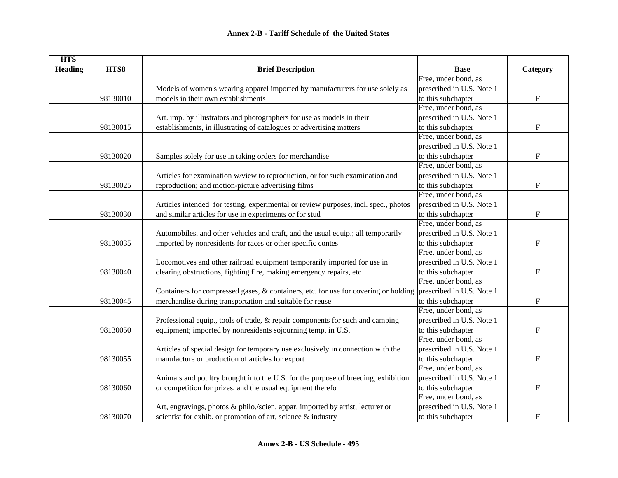| <b>HTS</b>     |          |                                                                                                               |                           |                           |
|----------------|----------|---------------------------------------------------------------------------------------------------------------|---------------------------|---------------------------|
| <b>Heading</b> | HTS8     | <b>Brief Description</b>                                                                                      | <b>Base</b>               | Category                  |
|                |          |                                                                                                               | Free, under bond, as      |                           |
|                |          | Models of women's wearing apparel imported by manufacturers for use solely as                                 | prescribed in U.S. Note 1 |                           |
|                | 98130010 | models in their own establishments                                                                            | to this subchapter        | $\boldsymbol{\mathrm{F}}$ |
|                |          |                                                                                                               | Free, under bond, as      |                           |
|                |          | Art. imp. by illustrators and photographers for use as models in their                                        | prescribed in U.S. Note 1 |                           |
|                | 98130015 | establishments, in illustrating of catalogues or advertising matters                                          | to this subchapter        | $\boldsymbol{\mathrm{F}}$ |
|                |          |                                                                                                               | Free, under bond, as      |                           |
|                |          |                                                                                                               | prescribed in U.S. Note 1 |                           |
|                | 98130020 | Samples solely for use in taking orders for merchandise                                                       | to this subchapter        | $\mathbf F$               |
|                |          |                                                                                                               | Free, under bond, as      |                           |
|                |          | Articles for examination w/view to reproduction, or for such examination and                                  | prescribed in U.S. Note 1 |                           |
|                | 98130025 | reproduction; and motion-picture advertising films                                                            | to this subchapter        | $\boldsymbol{\mathrm{F}}$ |
|                |          |                                                                                                               | Free, under bond, as      |                           |
|                |          | Articles intended for testing, experimental or review purposes, incl. spec., photos                           | prescribed in U.S. Note 1 |                           |
|                | 98130030 | and similar articles for use in experiments or for stud                                                       | to this subchapter        | F                         |
|                |          |                                                                                                               | Free, under bond, as      |                           |
|                |          | Automobiles, and other vehicles and craft, and the usual equip.; all temporarily                              | prescribed in U.S. Note 1 |                           |
|                | 98130035 | imported by nonresidents for races or other specific contes                                                   | to this subchapter        | $\mathbf F$               |
|                |          |                                                                                                               | Free, under bond, as      |                           |
|                |          | Locomotives and other railroad equipment temporarily imported for use in                                      | prescribed in U.S. Note 1 |                           |
|                | 98130040 | clearing obstructions, fighting fire, making emergency repairs, etc                                           | to this subchapter        | $\mathbf F$               |
|                |          |                                                                                                               | Free, under bond, as      |                           |
|                |          | Containers for compressed gases, & containers, etc. for use for covering or holding prescribed in U.S. Note 1 |                           |                           |
|                | 98130045 | merchandise during transportation and suitable for reuse                                                      | to this subchapter        | $\mathbf F$               |
|                |          |                                                                                                               | Free, under bond, as      |                           |
|                |          | Professional equip., tools of trade, & repair components for such and camping                                 | prescribed in U.S. Note 1 |                           |
|                | 98130050 | equipment; imported by nonresidents sojourning temp. in U.S.                                                  | to this subchapter        | ${\rm F}$                 |
|                |          |                                                                                                               | Free, under bond, as      |                           |
|                |          | Articles of special design for temporary use exclusively in connection with the                               | prescribed in U.S. Note 1 |                           |
|                | 98130055 | manufacture or production of articles for export                                                              | to this subchapter        | ${\bf F}$                 |
|                |          |                                                                                                               | Free, under bond, as      |                           |
|                |          | Animals and poultry brought into the U.S. for the purpose of breeding, exhibition                             | prescribed in U.S. Note 1 |                           |
|                | 98130060 | or competition for prizes, and the usual equipment therefo                                                    | to this subchapter        | ${\bf F}$                 |
|                |          |                                                                                                               | Free, under bond, as      |                           |
|                |          | Art, engravings, photos & philo./scien. appar. imported by artist, lecturer or                                | prescribed in U.S. Note 1 |                           |
|                | 98130070 | scientist for exhib. or promotion of art, science & industry                                                  | to this subchapter        | $\boldsymbol{\mathrm{F}}$ |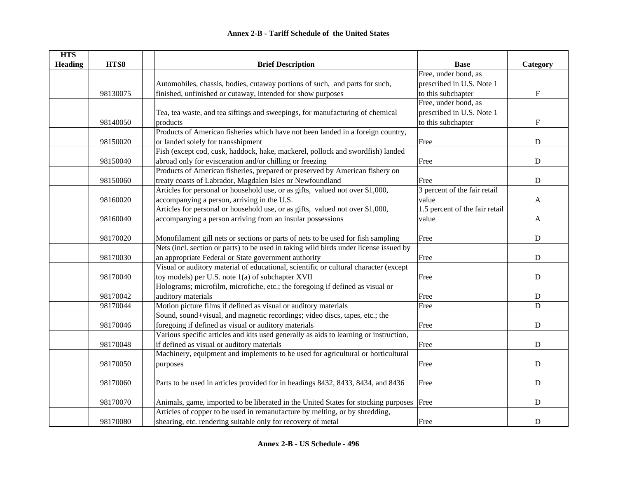| <b>HTS</b>     |          |                                                                                         |                                |                           |
|----------------|----------|-----------------------------------------------------------------------------------------|--------------------------------|---------------------------|
| <b>Heading</b> | HTS8     | <b>Brief Description</b>                                                                | <b>Base</b>                    | Category                  |
|                |          |                                                                                         | Free, under bond, as           |                           |
|                |          | Automobiles, chassis, bodies, cutaway portions of such, and parts for such,             | prescribed in U.S. Note 1      |                           |
|                | 98130075 | finished, unfinished or cutaway, intended for show purposes                             | to this subchapter             | $\boldsymbol{\mathrm{F}}$ |
|                |          |                                                                                         | Free, under bond, as           |                           |
|                |          | Tea, tea waste, and tea siftings and sweepings, for manufacturing of chemical           | prescribed in U.S. Note 1      |                           |
|                | 98140050 | products                                                                                | to this subchapter             | F                         |
|                |          | Products of American fisheries which have not been landed in a foreign country,         |                                |                           |
|                | 98150020 | or landed solely for transshipment                                                      | Free                           | ${\bf D}$                 |
|                |          | Fish (except cod, cusk, haddock, hake, mackerel, pollock and swordfish) landed          |                                |                           |
|                | 98150040 | abroad only for evisceration and/or chilling or freezing                                | Free                           | ${\bf D}$                 |
|                |          | Products of American fisheries, prepared or preserved by American fishery on            |                                |                           |
|                | 98150060 | treaty coasts of Labrador, Magdalen Isles or Newfoundland                               | Free                           | ${\bf D}$                 |
|                |          | Articles for personal or household use, or as gifts, valued not over \$1,000,           | 3 percent of the fair retail   |                           |
|                | 98160020 | accompanying a person, arriving in the U.S.                                             | value                          | A                         |
|                |          | Articles for personal or household use, or as gifts, valued not over \$1,000,           | 1.5 percent of the fair retail |                           |
|                | 98160040 | accompanying a person arriving from an insular possessions                              | value                          | A                         |
|                |          |                                                                                         |                                |                           |
|                | 98170020 | Monofilament gill nets or sections or parts of nets to be used for fish sampling        | Free                           | D                         |
|                |          | Nets (incl. section or parts) to be used in taking wild birds under license issued by   |                                |                           |
|                | 98170030 | an appropriate Federal or State government authority                                    | Free                           | ${\bf D}$                 |
|                |          | Visual or auditory material of educational, scientific or cultural character (except    |                                |                           |
|                | 98170040 | toy models) per U.S. note 1(a) of subchapter XVII                                       | Free                           | D                         |
|                |          | Holograms; microfilm, microfiche, etc.; the foregoing if defined as visual or           |                                |                           |
|                | 98170042 | auditory materials                                                                      | Free                           | ${\bf D}$                 |
|                | 98170044 | Motion picture films if defined as visual or auditory materials                         | Free                           | $\mathbf D$               |
|                |          | Sound, sound+visual, and magnetic recordings; video discs, tapes, etc.; the             |                                |                           |
|                | 98170046 | foregoing if defined as visual or auditory materials                                    | Free                           | $\mathbf D$               |
|                |          | Various specific articles and kits used generally as aids to learning or instruction,   |                                |                           |
|                | 98170048 | if defined as visual or auditory materials                                              | Free                           | ${\bf D}$                 |
|                |          | Machinery, equipment and implements to be used for agricultural or horticultural        |                                |                           |
|                | 98170050 | purposes                                                                                | Free                           | ${\bf D}$                 |
|                |          |                                                                                         |                                |                           |
|                | 98170060 | Parts to be used in articles provided for in headings 8432, 8433, 8434, and 8436        | Free                           | ${\bf D}$                 |
|                |          |                                                                                         |                                |                           |
|                | 98170070 | Animals, game, imported to be liberated in the United States for stocking purposes Free |                                | $\mathbf D$               |
|                |          | Articles of copper to be used in remanufacture by melting, or by shredding,             |                                |                           |
|                | 98170080 | shearing, etc. rendering suitable only for recovery of metal                            | Free                           | D                         |